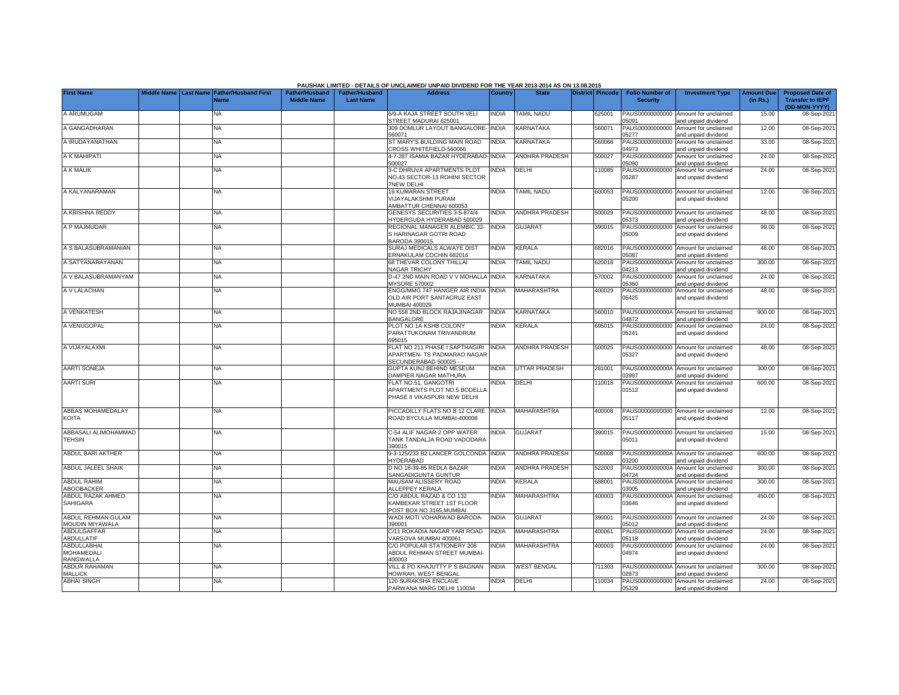|                                              |  |                                                           |                                      |                                           | <b>PAUSHAK LIMITED - DETAILS OF UNCLAIMED/ UNPAID DIVIDEND FOR THE YEAR 2013-2014 AS ON 13.08.2015</b>    |              |                       |                  |                                           |                                                                    |                               |                                                                     |
|----------------------------------------------|--|-----------------------------------------------------------|--------------------------------------|-------------------------------------------|-----------------------------------------------------------------------------------------------------------|--------------|-----------------------|------------------|-------------------------------------------|--------------------------------------------------------------------|-------------------------------|---------------------------------------------------------------------|
| <b>First Name</b>                            |  | Middle Name Last Name Father/Husband First<br><b>Name</b> | Father/Husband<br><b>Middle Name</b> | <b>Father/Husband</b><br><b>Last Name</b> | <b>Address</b>                                                                                            | Country      | <b>State</b>          | District Pincode | <b>Folio Number of</b><br><b>Security</b> | <b>Investment Type</b>                                             | <b>Amount Due</b><br>(in Rs.) | <b>Proposed Date of</b><br><b>Transfer to IEPF</b><br>(DD-MON-YYYY) |
| A ARUMUGAM                                   |  | <b>NA</b>                                                 |                                      |                                           | 6/9-A KAJA STREET SOUTH VELI<br>STREET MADURAI 625001                                                     | <b>INDIA</b> | <b>TAMIL NADU</b>     | 625001           | PAUS00000000000<br>05091                  | Amount for unclaimed<br>and unpaid dividend                        | 15.00                         | 08-Sep-2021                                                         |
| A GANGADHARAN                                |  | <b>NA</b>                                                 |                                      |                                           | 309 DOMLUR LAYOUT BANGALORE-<br>560071                                                                    | <b>INDIA</b> | KARNATAKA             | 560071           | PAUS00000000000<br>05277                  | Amount for unclaimed<br>and unpaid dividend                        | 12.00                         | 08-Sep-2021                                                         |
| A IRUDAYANATHAN                              |  | NA                                                        |                                      |                                           | ST MARY'S BUILDING MAIN ROAD<br>CROSS WHITEFIELD-560066                                                   | <b>INDIA</b> | KARNATAKA             | 560066           | PAUS00000000000<br>04973                  | Amount for unclaimed<br>and unpaid dividend                        | 33.00                         | 08-Sep-2021                                                         |
| A K MAHIPATI                                 |  | <b>NA</b>                                                 |                                      |                                           | 4-7-287 ISAMIA BAZAR HYDERABAD- INDIA<br>500027                                                           |              | <b>ANDHRA PRADESH</b> | 500027           | PAUS00000000000<br>05090                  | Amount for unclaimed<br>and unpaid dividend                        | 24.00                         | 08-Sep-2021                                                         |
| A K MALIK                                    |  | <b>NA</b>                                                 |                                      |                                           | <b>3-C DHRUVA APARTMENTS PLOT</b><br>NO.43 SECTOR-13 ROHINI SECTOR<br><b>7NEW DELHI</b>                   | <b>NDIA</b>  | DELHI                 | 110085           | PAUS00000000000<br>05287                  | Amount for unclaimed<br>and unpaid dividend                        | 24.00                         | 08-Sep-2021                                                         |
| A KALYANARAMAN                               |  | <b>NA</b>                                                 |                                      |                                           | 19 KUMARAN STREET<br><b>/IJAYALAKSHMI PURAM</b><br>AMBATTUR CHENNAI 600053                                | <b>INDIA</b> | <b>TAMIL NADU</b>     | 600053           | PAUS00000000000<br>05200                  | Amount for unclaimed<br>and unpaid dividend                        | 12.00                         | 08-Sep-2021                                                         |
| A KRISHNA REDDY                              |  | ΝA                                                        |                                      |                                           | <b>GENESYS SECURITIES 3-5-874/4</b><br><b>IYDERGUDA HYDERABAD 500029</b>                                  | NDIA         | <b>ANDHRA PRADESH</b> | 500029           | PAUS00000000000<br>05373                  | Amount for unclaimed<br>and unpaid dividend                        | 48.00                         | 08-Sep-2021                                                         |
| A P MAJMUDAR                                 |  | <b>NA</b>                                                 |                                      |                                           | REGIONAL MANAGER ALEMBIC 32-<br>S HARINAGAR GOTRI ROAD<br>3ARODA 390015                                   | <b>INDIA</b> | <b>GUJARAT</b>        | 390015           | PAUS00000000000<br>05009                  | Amount for unclaimed<br>and unpaid dividend                        | 99.00                         | 08-Sep-2021                                                         |
| A S BALASUBRAMANIAN                          |  | <b>NA</b>                                                 |                                      |                                           | SURAJ MEDICALS ALWAYE DIST<br>ERNAKULAM COCHIN 682016                                                     | INDIA        | KERALA                | 682016           | PAUS00000000000<br>05087                  | Amount for unclaimed                                               | 48.00                         | 08-Sep-2021                                                         |
| A SATYANARAYANAN                             |  | <b>NA</b>                                                 |                                      |                                           | 68 THEVAR COLONY THILLAI<br><b>NAGAR TRICHY</b>                                                           | INDIA        | <b>TAMIL NADU</b>     | 620018           | PAUS0000000000A<br>04213                  | and unpaid dividend<br>Amount for unclaimed                        | 300.00                        | 08-Sep-2021                                                         |
| A V BALASUBRAMANYAM                          |  | <b>NA</b>                                                 |                                      |                                           | 0-47 2ND MAIN ROAD V V MOHALLA INDIA                                                                      |              | KARNATAKA             | 570002           | PAUS00000000000                           | and unpaid dividend<br>Amount for unclaimed                        | 24.00                         | 08-Sep-2021                                                         |
| A V LALACHAN                                 |  | NA                                                        |                                      |                                           | <b>MYSORE 570002</b><br>ENGG/MMG 747 HANGER AIR INDIA<br>OLD AIR PORT SANTACRUZ EAST                      | <b>NDIA</b>  | MAHARASHTRA           | 400029           | 05360<br>PAUS00000000000<br>05425         | and unpaid dividend<br>Amount for unclaimed<br>and unpaid dividend | 48.00                         | 08-Sep-2021                                                         |
| A VENKATESH                                  |  | <b>NA</b>                                                 |                                      |                                           | MUMBAI 400029<br>NO 558 2ND BLOCK RAJAJINAGAR                                                             | <b>INDIA</b> | KARNATAKA             | 560010           |                                           | PAUS0000000000A Amount for unclaimed                               | 900.00                        | 08-Sep-2021                                                         |
| A VENUGOPAL                                  |  | NA                                                        |                                      |                                           | <b>BANGALORE</b><br>PLOT NO 1A KSHB COLONY<br>PARATTUKONAM TRIVANDRUM                                     | INDIA        | KERALA                | 695015           | 04872<br>PAUS00000000000<br>05241         | and unpaid dividend<br>Amount for unclaimed<br>and unpaid dividend | 24.00                         | 08-Sep-2021                                                         |
| A VIJAYALAXMI                                |  | <b>NA</b>                                                 |                                      |                                           | 395015<br>FLAT NO 211 PHASE I SAPTHAGIRI<br><b>APARTMEN- TS PADMARAO NAGAR</b><br>SECUNDERABAD 500025 - - | <b>INDIA</b> | ANDHRA PRADESH        | 500025           | PAUS00000000000<br>05327                  | Amount for unclaimed<br>and unpaid dividend                        | 48.00                         | 08-Sep-2021                                                         |
| AARTI SONEJA                                 |  | NA                                                        |                                      |                                           | <b>GUPTA KUNJ BEHIND MESEUM</b><br>DAMPIER NAGAR MATHURA                                                  | <b>INDIA</b> | <b>UTTAR PRADESH</b>  | 281001           | PAUS0000000000A<br>03997                  | Amount for unclaimed<br>and unpaid dividend                        | 300.00                        | 08-Sep-2021                                                         |
| <b>AARTI SURI</b>                            |  | <b>NA</b>                                                 |                                      |                                           | FLAT NO.51, GANGOTRI<br>APARTMENTS PLOT NO.5 BODELLA<br>PHASE II VIKASPURI NEW DELHI                      | INDIA        | DELHI                 | 110018           | PAUS0000000000A<br>01512                  | Amount for unclaimed<br>and unpaid dividend                        | 600.00                        | 08-Sep-2021                                                         |
| ABBAS MOHAMEDALAY<br>KOITA                   |  | NA                                                        |                                      |                                           | PICCADILLY FLATS NO B 12 CLARE<br>ROAD BYCULLA MUMBAI-400008                                              | <b>INDIA</b> | MAHARASHTRA           | 400008           | PAUS00000000000<br>05117                  | Amount for unclaimed<br>and unpaid dividend                        | 12.00                         | 08-Sep-2021                                                         |
| ABBASALI ALIMOHAMMAD<br><b>TEHSIN</b>        |  | <b>NA</b>                                                 |                                      |                                           | C-54 ALIF NAGAR-2 OPP WATER<br><b>TANK TANDALJA ROAD VADODARA</b><br>390015                               | <b>NDIA</b>  | <b>GUJARAT</b>        | 390015           | 05011                                     | PAUS00000000000 Amount for unclaimed<br>and unpaid dividend        | 15.00                         | 08-Sep-2021                                                         |
| <b>ABDUL BARI AKTHER</b>                     |  | <b>NA</b>                                                 |                                      |                                           | 3-3-125/233 B2 LANCER GOLCONDA<br><b>IYDERABAD</b>                                                        | <b>NDIA</b>  | <b>ANDHRA PRADESH</b> | 500008           | PAUS0000000000A<br>03200                  | Amount for unclaimed<br>and unpaid dividend                        | 600.00                        | 08-Sep-2021                                                         |
| ABDUL JALEEL SHAIK                           |  | <b>NA</b>                                                 |                                      |                                           | D NO 18-39-85 REDLA BAZAR<br><b>SANGADIGUNTA GUNTUR</b>                                                   | <b>INDIA</b> | <b>ANDHRA PRADESH</b> | 522003           | PAUS0000000000A<br>04724                  | Amount for unclaimed<br>and unpaid dividend                        | 300.00                        | 08-Sep-2021                                                         |
| <b>ABDUL RAHIM</b><br>ABOOBACKER             |  | <b>NA</b>                                                 |                                      |                                           | <b>MAUSAM ALISSERY ROAD</b><br><b>ILLEPPEY KERALA</b>                                                     | <b>INDIA</b> | KERALA                | 688001           | PAUS0000000000A<br>03005                  | Amount for unclaimed<br>and unpaid dividend                        | 300.00                        | 08-Sep-2021                                                         |
| ABDUL RAZAK AHMED<br><b>SAHIGARA</b>         |  | <b>NA</b>                                                 |                                      |                                           | C/O ABDUL RAZAD & CO 132<br>KAMBEKAR STREET 1ST FLOOR<br>POST BOX NO 3165.MUMBAI                          | INDIA        | <b>MAHARASHTRA</b>    | 400003           | PAUS0000000000A<br>03646                  | Amount for unclaimed<br>and unpaid dividend                        | 450.00                        | 08-Sep-2021                                                         |
| ABDUL REHMAN GULAM<br><b>MOUDIN MIYAWALA</b> |  | <b>NA</b>                                                 |                                      |                                           | VADI MOTI VOHARWAD BARODA-<br>390001                                                                      | <b>INDIA</b> | <b>GUJARAT</b>        | 390001           | PAUS00000000000<br>05012                  | Amount for unclaimed<br>and unpaid dividend                        | 24.00                         | 08-Sep-2021                                                         |
| <b>ABDULGAFFAR</b><br>ABDULLATIF             |  | <b>NA</b>                                                 |                                      |                                           | C/11 ROKADIA NAGAR YARI ROAD<br><b>/ARSOVA MUMBAI 400061</b>                                              | <b>INDIA</b> | MAHARASHTRA           | 400061           | PAUS00000000000<br>05118                  | Amount for unclaimed<br>and unpaid dividend                        | 24.00                         | 08-Sep-2021                                                         |
| ABDULLABHAI<br>MOHAMEDALI<br>RANGWALLA       |  | <b>NA</b>                                                 |                                      |                                           | C/O POPULAR STATIONERY 208<br>ABDUL REHMAN STREET MUMBAI-<br>100003                                       | <b>NDIA</b>  | MAHARASHTRA           | 400003           | PAUS00000000000<br>04974                  | Amount for unclaimed<br>and unpaid dividend                        | 24.00                         | 08-Sep-2021                                                         |
| <b>ABDUR RAHAMAN</b><br><b>MALLICK</b>       |  | NA                                                        |                                      |                                           | <b>VILL &amp; PO KHAJUTTY P S BAGNAN</b><br>HOWRAH, WEST BENGAL                                           | <b>INDIA</b> | <b>WEST BENGAL</b>    | 711303           | PAUS0000000000A<br>02873                  | Amount for unclaimed<br>and unpaid dividend                        | 300.00                        | 08-Sep-2021                                                         |
| <b>ABHAI SINGH</b>                           |  | <b>NA</b>                                                 |                                      |                                           | 120 SURAKSHA ENCLAVE<br>PARWANA MARG DELHI 110034                                                         | <b>INDIA</b> | DELHI                 | 110034           | PAUS00000000000<br>05329                  | Amount for unclaimed<br>and unpaid dividend                        | 24.00                         | 08-Sep-2021                                                         |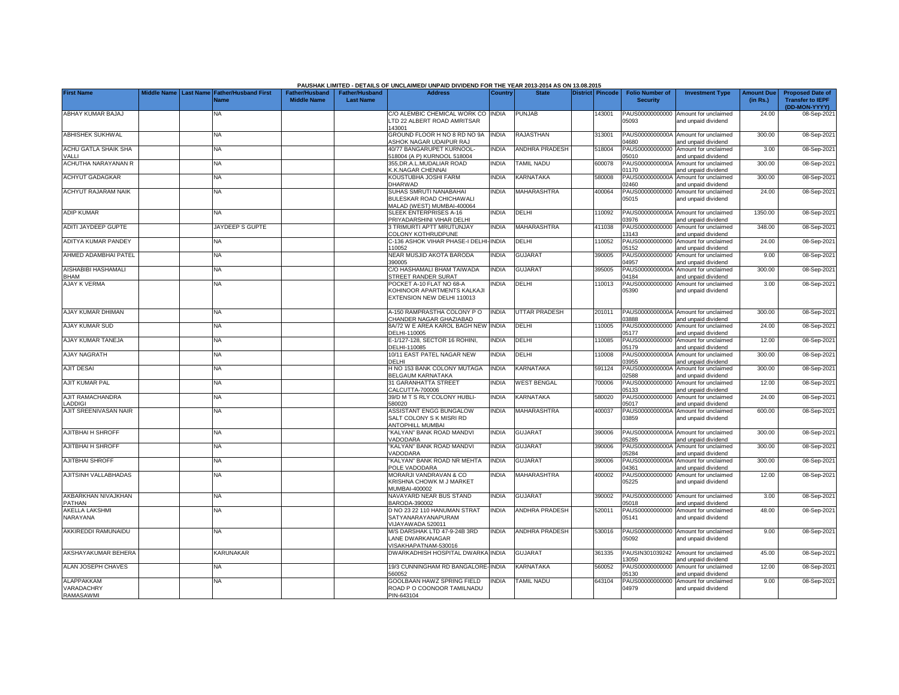|                                              |                       |                                            |                                             |                                           | PAUSHAK LIMITED - DETAILS OF UNCLAIMED/ UNPAID DIVIDEND FOR THE YEAR 2013-2014 AS ON 13.08.2015 |                |                       |                         |                                           |                                                             |                               |                                                    |
|----------------------------------------------|-----------------------|--------------------------------------------|---------------------------------------------|-------------------------------------------|-------------------------------------------------------------------------------------------------|----------------|-----------------------|-------------------------|-------------------------------------------|-------------------------------------------------------------|-------------------------------|----------------------------------------------------|
| <b>First Name</b>                            | Middle Name Last Name | <b>Father/Husband First</b><br><b>Name</b> | <b>Father/Husband</b><br><b>Middle Name</b> | <b>Father/Husband</b><br><b>Last Name</b> | <b>Address</b>                                                                                  | <b>Country</b> | <b>State</b>          | <b>District</b> Pincode | <b>Folio Number of</b><br><b>Security</b> | <b>Investment Type</b>                                      | <b>Amount Due</b><br>(in Rs.) | <b>Proposed Date of</b><br><b>Transfer to IEPF</b> |
| ABHAY KUMAR BAJAJ                            |                       | NA                                         |                                             |                                           | C/O ALEMBIC CHEMICAL WORK CO INDIA<br>LTD 22 ALBERT ROAD AMRITSAR<br>143001                     |                | <b>PUNJAB</b>         | 43001                   | PAUS00000000000<br>05093                  | Amount for unclaimed<br>and unpaid dividend                 | 24.00                         | (DD-MON-YYYY)<br>08-Sep-2021                       |
| <b>ABHISHEK SUKHWAL</b>                      |                       | NA                                         |                                             |                                           | GROUND FLOOR H NO 8 RD NO 9A<br>ASHOK NAGAR UDAIPUR RAJ                                         | <b>INDIA</b>   | <b>RAJASTHAN</b>      | 313001                  | PAUS0000000000A<br>0861                   | Amount for unclaimed<br>and unpaid dividend                 | 300.00                        | 08-Sep-2021                                        |
| ACHU GATLA SHAIK SHA<br>VALLI                |                       | <b>NA</b>                                  |                                             |                                           | 40/77 BANGARUPET KURNOOL-<br>518004 (A P) KURNOOL 518004                                        | <b>INDIA</b>   | ANDHRA PRADESH        | 518004                  | PAUS00000000000<br>05010                  | Amount for unclaimed<br>and unpaid dividend                 | 3.00                          | 08-Sep-2021                                        |
| ACHUTHA NARAYANAN R                          |                       | ΝA                                         |                                             |                                           | 355, DR.A.L.MUDALIAR ROAD<br>K.K.NAGAR CHENNAI                                                  | <b>INDIA</b>   | <b>TAMIL NADU</b>     | 600078                  | PAUS0000000000A<br>01170                  | Amount for unclaimed<br>and unpaid dividend                 | 300.00                        | 08-Sep-2021                                        |
| <b>ACHYUT GADAGKAR</b>                       |                       | <b>NA</b>                                  |                                             |                                           | KOUSTUBHA JOSHI FARM<br>DHARWAD                                                                 | <b>INDIA</b>   | KARNATAKA             | 580008                  | PAUS0000000000A<br>02460                  | Amount for unclaimed<br>and unpaid dividend                 | 300.00                        | 08-Sep-2021                                        |
| <b>ACHYUT RAJARAM NAIK</b>                   |                       | NA                                         |                                             |                                           | SUHAS SMRUTI NANABAHAI<br>BULESKAR ROAD CHICHAWALI<br>MALAD (WEST) MUMBAI-400064                | <b>INDIA</b>   | <b>MAHARASHTRA</b>    | 400064                  | PAUS00000000000<br>05015                  | Amount for unclaimed<br>and unpaid dividend                 | 24.00                         | 08-Sep-2021                                        |
| <b>ADIP KUMAR</b>                            |                       | <b>NA</b>                                  |                                             |                                           | SLEEK ENTERPRISES A-16<br>PRIYADARSHINI VIHAR DELHI                                             | <b>INDIA</b>   | DELHI                 | 10092                   | 03976                                     | PAUS0000000000A Amount for unclaimed<br>and unpaid dividend | 1350.00                       | 08-Sep-2021                                        |
| ADITI JAYDEEP GUPTE                          |                       | JAYDEEP S GUPTE                            |                                             |                                           | 3 TRIMURTI APTT MRUTUNJAY<br>COLONY KOTHRUDPUNE                                                 | <b>INDIA</b>   | MAHARASHTRA           | 411038                  | PAUS00000000000<br>13143                  | Amount for unclaimed<br>and unpaid dividend                 | 348.00                        | 08-Sep-2021                                        |
| <b>ADITYA KUMAR PANDEY</b>                   |                       | NA                                         |                                             |                                           | C-136 ASHOK VIHAR PHASE-I DELHI-INDIA<br>110052                                                 |                | <b>DELHI</b>          | 110052                  | PAUS00000000000<br>05152                  | Amount for unclaimed<br>and unpaid dividend                 | 24.00                         | 08-Sep-2021                                        |
| AHMED ADAMBHAI PATEL                         |                       | <b>NA</b>                                  |                                             |                                           | NEAR MUSJID AKOTA BARODA<br>390005                                                              | <b>INDIA</b>   | <b>GUJARAT</b>        | 390005                  | PAUS00000000000<br>04957                  | Amount for unclaimed<br>and unpaid dividend                 | 9.00                          | 08-Sep-2021                                        |
| AISHABIBI HASHAMALI<br><b>BHAM</b>           |                       | <b>NA</b>                                  |                                             |                                           | C/O HASHAMALI BHAM TAIWADA<br>STREET RANDER SURAT                                               | <b>INDIA</b>   | <b>GUJARAT</b>        | 395005                  | PAUS0000000000A<br>04184                  | Amount for unclaimed<br>and unpaid dividend                 | 300.00                        | 08-Sep-2021                                        |
| <b>AJAY K VERMA</b>                          |                       | NA                                         |                                             |                                           | POCKET A-10 FLAT NO 68-A<br>KOHINOOR APARTMENTS KALKAJI<br>EXTENSION NEW DELHI 110013           | <b>NDIA</b>    | DELHI                 | 110013                  | PAUS00000000000<br>05390                  | Amount for unclaimed<br>and unpaid dividend                 | 3.00                          | 08-Sep-2021                                        |
| AJAY KUMAR DHIMAN                            |                       | NA                                         |                                             |                                           | 4-150 RAMPRASTHA COLONY PO<br>CHANDER NAGAR GHAZIABAD                                           | <b>INDIA</b>   | <b>UTTAR PRADESH</b>  | 201011                  | PAUS0000000000A<br>03888                  | Amount for unclaimed<br>and unpaid dividend                 | 300.00                        | 08-Sep-2021                                        |
| <b>AJAY KUMAR SUD</b>                        |                       | <b>NA</b>                                  |                                             |                                           | 8A/72 W E AREA KAROL BAGH NEW INDIA<br>DELHI-110005                                             |                | DELHI                 | 110005                  | PAUS00000000000<br>05177                  | Amount for unclaimed<br>and unpaid dividend                 | 24.00                         | 08-Sep-202                                         |
| AJAY KUMAR TANEJA                            |                       | <b>NA</b>                                  |                                             |                                           | E-1/127-128, SECTOR 16 ROHINI,<br>DELHI-110085                                                  | <b>INDIA</b>   | DELHI                 | 110085                  | PAUS00000000000<br>05179                  | Amount for unclaimed<br>and unpaid dividend                 | 12.00                         | 08-Sep-2021                                        |
| <b>AJAY NAGRATH</b>                          |                       | ΝA                                         |                                             |                                           | 10/11 EAST PATEL NAGAR NEW<br>DELHI                                                             | <b>INDIA</b>   | DELHI                 | 110008                  | PAUS0000000000A<br>03955                  | Amount for unclaimed<br>and unpaid dividend                 | 300.00                        | 08-Sep-2021                                        |
| <b>AJIT DESAI</b>                            |                       | ΝA                                         |                                             |                                           | H NO 153 BANK COLONY MUTAGA<br>BELGAUM KARNATAKA                                                | <b>INDIA</b>   | KARNATAKA             | 591124                  | PAUS0000000000A<br>02588                  | Amount for unclaimed<br>and unpaid dividend                 | 300.00                        | 08-Sep-2021                                        |
| <b>AJIT KUMAR PAL</b>                        |                       | NA                                         |                                             |                                           | <b>31 GARANHATTA STREET</b><br>CALCUTTA-700006                                                  | <b>INDIA</b>   | <b>WEST BENGAL</b>    | 700006                  | PAUS00000000000<br>05133                  | Amount for unclaimed<br>and unpaid dividend                 | 12.00                         | 08-Sep-2021                                        |
| AJIT RAMACHANDRA<br>LADDIGI                  |                       | <b>NA</b>                                  |                                             |                                           | 39/D M T S RLY COLONY HUBLI-<br>580020                                                          | <b>INDIA</b>   | KARNATAKA             | 580020                  | PAUS00000000000<br>05017                  | Amount for unclaimed<br>and unpaid dividend                 | 24.00                         | 08-Sep-2021                                        |
| AJIT SREENIVASAN NAIR                        |                       | NA                                         |                                             |                                           | ASSISTANT ENGG BUNGALOW<br>SALT COLONY S K MISRI RD<br><b>ANTOPHILL MUMBAI</b>                  | <b>INDIA</b>   | MAHARASHTRA           | 400037                  | PAUS0000000000A<br>03859                  | Amount for unclaimed<br>and unpaid dividend                 | 600.00                        | 08-Sep-2021                                        |
| <b>AJITBHAI H SHROFF</b>                     |                       | <b>NA</b>                                  |                                             |                                           | "KALYAN" BANK ROAD MANDVI<br>VADODARA                                                           | <b>INDIA</b>   | <b>GUJARAT</b>        | 390006                  | 05285                                     | PAUS0000000000A Amount for unclaimed<br>and unpaid dividend | 300.00                        | 08-Sep-2021                                        |
| AJITBHAI H SHROFF                            |                       | <b>NA</b>                                  |                                             |                                           | "KALYAN" BANK ROAD MANDVI<br>VADODARA                                                           | <b>INDIA</b>   | <b>GUJARAT</b>        | 390006                  | PAUS0000000000A<br>05284                  | Amount for unclaimed<br>and unpaid dividend                 | 300.00                        | 08-Sep-2021                                        |
| <b>AJITBHAI SHROFF</b>                       |                       | <b>NA</b>                                  |                                             |                                           | 'KALYAN" BANK ROAD NR MEHTA<br>POLE VADODARA                                                    | <b>INDIA</b>   | <b>GUJARAT</b>        | 390006                  | PAUS0000000000A<br>14361                  | Amount for unclaimed<br>and unpaid dividend                 | 300.00                        | 08-Sep-2021                                        |
| AJITSINH VALLABHADAS                         |                       | NA                                         |                                             |                                           | <b>MORARJI VANDRAVAN &amp; CO</b><br>KRISHNA CHOWK M J MARKET<br>MUMBAI-400002                  | <b>NDIA</b>    | MAHARASHTRA           | 400002                  | PAUS00000000000<br>05225                  | Amount for unclaimed<br>and unpaid dividend                 | 12.00                         | 08-Sep-2021                                        |
| AKBARKHAN NIVAJKHAN<br>PATHAN                |                       | <b>NA</b>                                  |                                             |                                           | NAVAYARD NEAR BUS STAND<br>BARODA-390002                                                        | <b>INDIA</b>   | <b>GUJARAT</b>        | 390002                  | PAUS00000000000<br>05018                  | Amount for unclaimed<br>and unpaid dividend                 | 3.00                          | 08-Sep-2021                                        |
| <b>AKELLA LAKSHMI</b><br>NARAYANA            |                       | NA                                         |                                             |                                           | D NO 23 22 110 HANUMAN STRAT<br>SATYANARAYANAPURAM<br>VIJAYAWADA 520011                         | <b>INDIA</b>   | <b>ANDHRA PRADESH</b> | 520011                  | PAUS00000000000<br>05141                  | Amount for unclaimed<br>and unpaid dividend                 | 48.00                         | 08-Sep-2021                                        |
| AKKIREDDI RAMUNAIDU                          |                       | <b>NA</b>                                  |                                             |                                           | M/S DARSHAK LTD 47-9-24B 3RD<br>LANE DWARKANAGAR<br>VISAKHAPATNAM-530016                        | <b>INDIA</b>   | <b>ANDHRA PRADESH</b> | 530016                  | 05092                                     | PAUS00000000000 Amount for unclaimed<br>and unpaid dividend | 9.00                          | 08-Sep-2021                                        |
| AKSHAYAKUMAR BEHERA                          |                       | KARUNAKAR                                  |                                             |                                           | DWARKADHISH HOSPITAL DWARKA INDIA                                                               |                | <b>GUJARAT</b>        | 361335                  | 3050                                      | PAUSIN301039242 Amount for unclaimed<br>and unpaid dividend | 45.00                         | 08-Sep-2021                                        |
| <b>ALAN JOSEPH CHAVES</b>                    |                       | NA.                                        |                                             |                                           | 19/3 CUNNINGHAM RD BANGALORE-INDIA<br>560052                                                    |                | KARNATAKA             | 560052                  | PAUS00000000000<br>15130                  | Amount for unclaimed<br>and unpaid dividend                 | 12.00                         | 08-Sep-2021                                        |
| <b>ALAPPAKKAM</b><br>VARADACHRY<br>RAMASAWMI |                       | NA                                         |                                             |                                           | GOOLBAAN HAWZ SPRING FIELD<br>ROAD P O COONOOR TAMILNADU<br>PIN-643104                          | <b>INDIA</b>   | <b>TAMIL NADU</b>     | 643104                  | PAUS00000000000<br>04979                  | Amount for unclaimed<br>and unpaid dividend                 | 9.00                          | 08-Sep-2021                                        |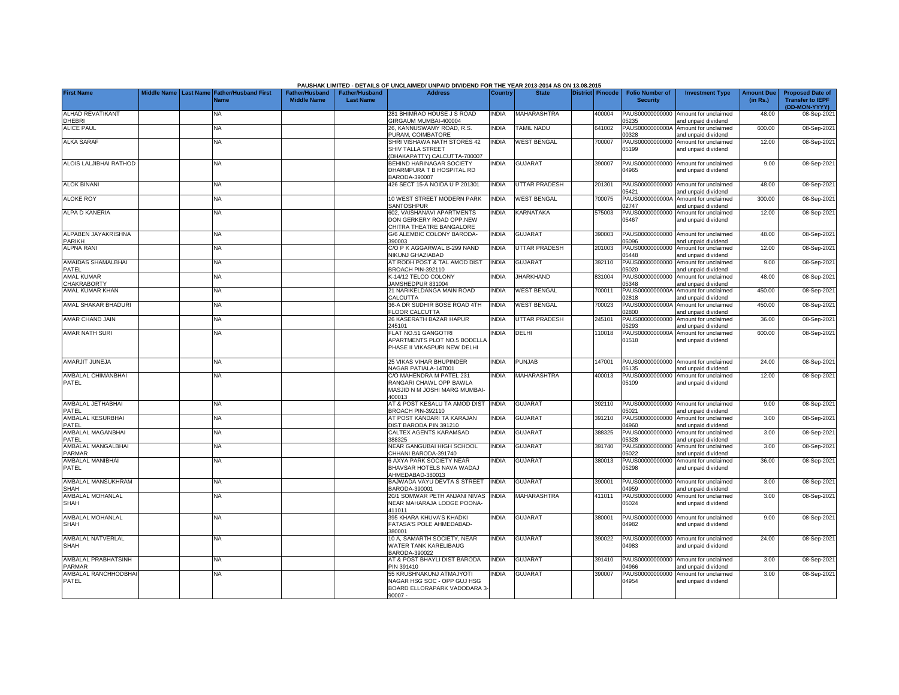|                                         |                         |                                            |                                             |                                           | PAUSHAK LIMITED - DETAILS OF UNCLAIMED/ UNPAID DIVIDEND FOR THE YEAR 2013-2014 AS ON 13.08.2015      |              |                      |                  |                                           |                                                             |                               |                                                                     |
|-----------------------------------------|-------------------------|--------------------------------------------|---------------------------------------------|-------------------------------------------|------------------------------------------------------------------------------------------------------|--------------|----------------------|------------------|-------------------------------------------|-------------------------------------------------------------|-------------------------------|---------------------------------------------------------------------|
| <b>First Name</b>                       | Middle Name   Last Name | <b>Father/Husband First</b><br><b>Name</b> | <b>Father/Husband</b><br><b>Middle Name</b> | <b>Father/Husband</b><br><b>Last Name</b> | <b>Address</b>                                                                                       | Country      | <b>State</b>         | District Pincode | <b>Folio Number of</b><br><b>Security</b> | <b>Investment Type</b>                                      | <b>Amount Due</b><br>(in Rs.) | <b>Proposed Date of</b><br><b>Transfer to IEPF</b><br>(DD-MON-YYYY) |
| ALHAD REVATIKANT<br>DHEBRI              |                         | NA                                         |                                             |                                           | 281 BHIMRAO HOUSE J S ROAD<br>GIRGAUM MUMBAI-400004                                                  | <b>INDIA</b> | <b>MAHARASHTRA</b>   | 400004           | PAUS00000000000<br>05235                  | Amount for unclaimed<br>and unpaid dividend                 | 48.00                         | 08-Sep-2021                                                         |
| <b>ALICE PAUL</b>                       |                         | <b>NA</b>                                  |                                             |                                           | 26. KANNUSWAMY ROAD, R.S.<br>PURAM, COIMBATORE                                                       | <b>INDIA</b> | <b>TAMIL NADU</b>    | 641002           | PAUS0000000000A<br>00328                  | Amount for unclaimed<br>and unpaid dividend                 | 600.00                        | 08-Sep-2021                                                         |
| <b>ALKA SARAF</b>                       |                         | <b>NA</b>                                  |                                             |                                           | SHRI VISHAWA NATH STORES 42<br>SHIV TALLA STREET<br>(DHAKAPATTY) CALCUTTA-700007                     | <b>INDIA</b> | <b>WEST BENGAL</b>   | 700007           | PAUS00000000000<br>05199                  | Amount for unclaimed<br>and unpaid dividend                 | 12.00                         | 08-Sep-2021                                                         |
| ALOIS LALJIBHAI RATHOD                  |                         | NA                                         |                                             |                                           | BEHIND HARINAGAR SOCIETY<br>DHARMPURA T B HOSPITAL RD<br>BARODA-390007                               | <b>INDIA</b> | <b>GUJARAT</b>       | 390007           | PAUS00000000000<br>04965                  | Amount for unclaimed<br>and unpaid dividend                 | 9.00                          | 08-Sep-2021                                                         |
| <b>ALOK BINANI</b>                      |                         | <b>NA</b>                                  |                                             |                                           | 426 SECT 15-A NOIDA U P 201301                                                                       | <b>INDIA</b> | <b>UTTAR PRADESH</b> | 201301           | 05421                                     | PAUS00000000000 Amount for unclaimed<br>and unpaid dividend | 48.00                         | 08-Sep-2021                                                         |
| <b>ALOKE ROY</b>                        |                         | <b>NA</b>                                  |                                             |                                           | 10 WEST STREET MODERN PARK<br>SANTOSHPUR                                                             | INDIA        | <b>WEST BENGAL</b>   | 700075           | PAUS0000000000A<br>02747                  | Amount for unclaimed<br>and unpaid dividend                 | 300.00                        | 08-Sep-2021                                                         |
| ALPA D KANERIA                          |                         | <b>NA</b>                                  |                                             |                                           | <b>602, VAISHANAVI APARTMENTS</b><br>DON GERKERY ROAD OPP.NEW<br>CHITRA THEATRE BANGALORE            | <b>NDIA</b>  | <b>KARNATAKA</b>     | 575003           | PAUS00000000000<br>05467                  | Amount for unclaimed<br>and unpaid dividend                 | 12.00                         | 08-Sep-2021                                                         |
| ALPABEN JAYAKRISHNA<br><b>PARIKH</b>    |                         | <b>NA</b>                                  |                                             |                                           | G/6 ALEMBIC COLONY BARODA-<br>390003                                                                 | <b>INDIA</b> | <b>GUJARAT</b>       | 390003           | PAUS00000000000<br>05096                  | Amount for unclaimed<br>nd unpaid dividend                  | 48.00                         | 08-Sep-2021                                                         |
| <b>ALPNA RANI</b>                       |                         | <b>NA</b>                                  |                                             |                                           | C/O P K AGGARWAL B-299 NAND<br><b>NIKUNJ GHAZIABAD</b>                                               | <b>INDIA</b> | UTTAR PRADESH        | 201003           | PAUS00000000000<br>05448                  | Amount for unclaimed<br>and unpaid dividend                 | 12.00                         | 08-Sep-2021                                                         |
| AMAIDAS SHAMALBHAI<br>PATEL             |                         | <b>NA</b>                                  |                                             |                                           | AT RODH POST & TAL AMOD DIST<br>BROACH PIN-392110                                                    | <b>INDIA</b> | <b>GUJARAT</b>       | 392110           | PAUS00000000000<br>05020                  | Amount for unclaimed<br>and unpaid dividend                 | 9.00                          | 08-Sep-2021                                                         |
| <b>AMAL KUMAR</b><br><b>CHAKRABORTY</b> |                         | NA                                         |                                             |                                           | K-14/12 TELCO COLONY<br>JAMSHEDPUR 831004                                                            | <b>INDIA</b> | <b>JHARKHAND</b>     | 831004           | PAUS00000000000<br>05348                  | Amount for unclaimed<br>and unpaid dividend                 | 48.00                         | 08-Sep-2021                                                         |
| AMAL KUMAR KHAN                         |                         | NA                                         |                                             |                                           | 21 NARIKELDANGA MAIN ROAD<br>CALCUTTA                                                                | <b>INDIA</b> | <b>WEST BENGAL</b>   | 700011           | PAUS0000000000A<br>02818                  | Amount for unclaimed<br>and unpaid dividend                 | 450.00                        | 08-Sep-2021                                                         |
| AMAL SHAKAR BHADURI                     |                         | <b>NA</b>                                  |                                             |                                           | 36-A DR SUDHIR BOSE ROAD 4TH<br><b>FLOOR CALCUTTA</b>                                                | <b>INDIA</b> | <b>WEST BENGAL</b>   | 700023           | PAUS0000000000A<br>02800                  | Amount for unclaimed<br>and unpaid dividend                 | 450.00                        | 08-Sep-2021                                                         |
| AMAR CHAND JAIN                         |                         | <b>NA</b>                                  |                                             |                                           | 26 KASERATH BAZAR HAPUR<br>245101                                                                    | <b>NDIA</b>  | <b>UTTAR PRADESH</b> | 245101           | PAUS00000000000<br>05293                  | Amount for unclaimed<br>and unpaid dividend                 | 36.00                         | 08-Sep-2021                                                         |
| AMAR NATH SURI                          |                         | <b>NA</b>                                  |                                             |                                           | FLAT NO.51 GANGOTRI<br>APARTMENTS PLOT NO.5 BODELLA<br>PHASE II VIKASPURI NEW DELHI                  | <b>NDIA</b>  | DELHI                | 110018           | PAUS0000000000A<br>01518                  | Amount for unclaimed<br>and unpaid dividend                 | 600.00                        | 08-Sep-2021                                                         |
| AMARJIT JUNEJA                          |                         | <b>NA</b>                                  |                                             |                                           | 25 VIKAS VIHAR BHUPINDER<br>NAGAR PATIALA-147001                                                     | <b>NDIA</b>  | <b>PUNJAB</b>        | 147001           | 05135                                     | PAUS00000000000 Amount for unclaimed<br>and unpaid dividend | 24.00                         | 08-Sep-2021                                                         |
| AMBALAL CHIMANBHAI<br>PATEL             |                         | NA                                         |                                             |                                           | C/O MAHENDRA M PATEL 231<br>RANGARI CHAWL OPP BAWLA<br>MASJID N M JOSHI MARG MUMBAI-<br>400013       | <b>INDIA</b> | <b>MAHARASHTRA</b>   | 400013           | PAUS00000000000<br>05109                  | Amount for unclaimed<br>and unpaid dividend                 | 12.00                         | 08-Sep-2021                                                         |
| AMBALAL JETHABHAI<br>PATEL              |                         | <b>NA</b>                                  |                                             |                                           | AT & POST KESALU TA AMOD DIST<br>BROACH PIN-392110                                                   | <b>INDIA</b> | <b>GUJARAT</b>       | 392110           | PAUS00000000000<br>05021                  | Amount for unclaimed<br>and unpaid dividend                 | 9.00                          | 08-Sep-2021                                                         |
| AMBALAL KESURBHAI<br>PATEL              |                         | <b>NA</b>                                  |                                             |                                           | AT POST KANDARI TA KARAJAN<br>DIST BARODA PIN 391210                                                 | <b>INDIA</b> | <b>GUJARAT</b>       | 391210           | PAUS00000000000<br>04960                  | Amount for unclaimed<br>and unpaid dividend                 | 3.00                          | 08-Sep-2021                                                         |
| AMBALAL MAGANBHAI<br>PATEL              |                         | <b>NA</b>                                  |                                             |                                           | CALTEX AGENTS KARAMSAD<br>388325                                                                     | <b>INDIA</b> | <b>GUJARAT</b>       | 388325           | PAUS00000000000<br>05328                  | Amount for unclaimed<br>and unpaid dividend                 | 3.00                          | 08-Sep-2021                                                         |
| AMBALAL MANGALBHAI<br><b>PARMAR</b>     |                         | <b>NA</b>                                  |                                             |                                           | NEAR GANGUBAI HIGH SCHOOL<br>CHHANI BARODA-391740                                                    | <b>INDIA</b> | <b>GUJARAT</b>       | 391740           | PAUS00000000000<br>05022                  | Amount for unclaimed<br>and unpaid dividend                 | 3.00                          | 08-Sep-2021                                                         |
| AMBALAL MANIBHAI<br>PATEL               |                         | <b>NA</b>                                  |                                             |                                           | <b>6 AXYA PARK SOCIETY NEAR</b><br>BHAVSAR HOTELS NAVA WADAJ<br>AHMEDABAD-380013                     | <b>INDIA</b> | <b>GUJARAT</b>       | 380013           | PAUS00000000000<br>05298                  | Amount for unclaimed<br>and unpaid dividend                 | 36.00                         | 08-Sep-2021                                                         |
| AMBALAL MANSUKHRAM<br><b>SHAH</b>       |                         | <b>NA</b>                                  |                                             |                                           | BAJWADA VAYU DEVTA S STREET<br>BARODA-390001                                                         | <b>INDIA</b> | <b>GUJARAT</b>       | 390001           | PAUS00000000000<br>14959                  | Amount for unclaimed<br>and unpaid dividend                 | 3.00                          | 08-Sep-2021                                                         |
| AMBALAL MOHANLAL<br><b>SHAH</b>         |                         | NΑ                                         |                                             |                                           | 20/1 SOMWAR PETH ANJANI NIVAS<br>NEAR MAHARAJA LODGE POONA-<br>411011                                | <b>NDIA</b>  | <b>MAHARASHTRA</b>   | 411011           | PAUS00000000000<br>05024                  | Amount for unclaimed<br>and unpaid dividend                 | 3.00                          | 08-Sep-2021                                                         |
| AMBALAL MOHANLAL<br><b>SHAH</b>         |                         | <b>NA</b>                                  |                                             |                                           | 395 KHARA KHUVA'S KHADKI<br>FATASA'S POLE AHMEDABAD-<br>380001                                       | <b>INDIA</b> | <b>GUJARAT</b>       | 380001           | 04982                                     | PAUS00000000000 Amount for unclaimed<br>and unpaid dividend | 9.00                          | 08-Sep-2021                                                         |
| AMBALAL NATVERLAL<br><b>SHAH</b>        |                         | NA                                         |                                             |                                           | 10 A, SAMARTH SOCIETY, NEAR<br>WATER TANK KARELIBAUG<br>BARODA-390022                                | <b>NDIA</b>  | <b>GUJARAT</b>       | 90022            | PAUS00000000000<br>04983                  | Amount for unclaimed<br>and unpaid dividend                 | 24.00                         | 08-Sep-2021                                                         |
| AMBALAL PRABHATSINH<br><b>PARMAR</b>    |                         | NA                                         |                                             |                                           | AT & POST BHAYLI DIST BARODA<br>PIN 391410                                                           | <b>INDIA</b> | <b>GUJARAT</b>       | 391410           | PAUS00000000000<br>04966                  | Amount for unclaimed<br>and unpaid dividend                 | 3.00                          | 08-Sep-2021                                                         |
| AMBALAL RANCHHODBHA<br>PATEL            |                         | <b>NA</b>                                  |                                             |                                           | 55 KRUSHNAKUNJ ATMAJYOTI<br>NAGAR HSG SOC - OPP GUJ HSG<br>BOARD ELLORAPARK VADODARA 3-<br>$90007 -$ | <b>INDIA</b> | <b>GUJARAT</b>       | 390007           | PAUS00000000000<br>04954                  | Amount for unclaimed<br>and unpaid dividend                 | 3.00                          | 08-Sep-2021                                                         |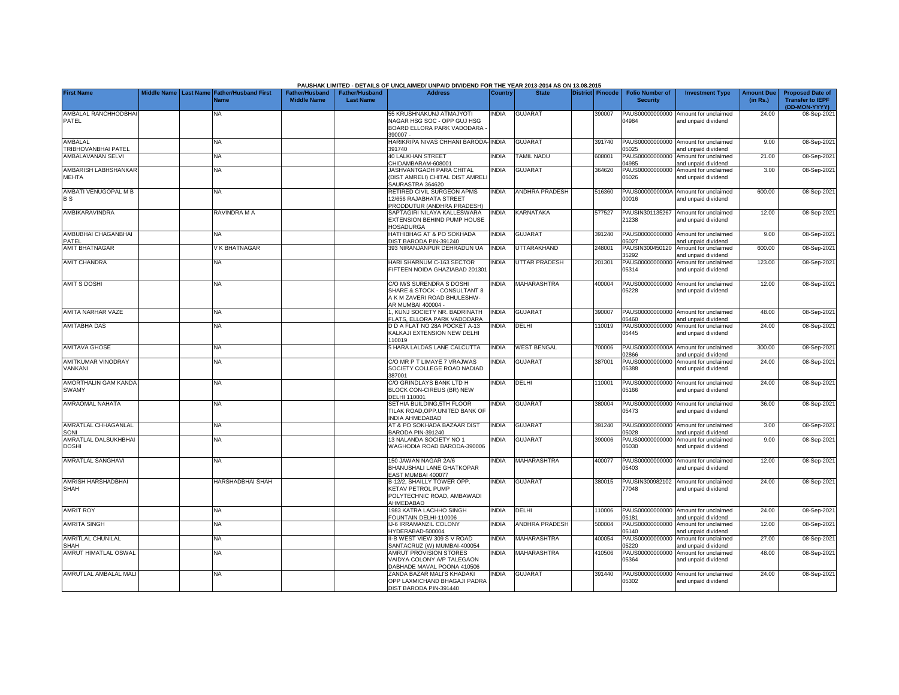|                                          |  |                                                               |                                             |                                           | PAUSHAK LIMITED - DETAILS OF UNCLAIMED/ UNPAID DIVIDEND FOR THE YEAR 2013-2014 AS ON 13.08.2015               |                |                      |                  |                                           |                                                                    |                               |                                                                     |
|------------------------------------------|--|---------------------------------------------------------------|---------------------------------------------|-------------------------------------------|---------------------------------------------------------------------------------------------------------------|----------------|----------------------|------------------|-------------------------------------------|--------------------------------------------------------------------|-------------------------------|---------------------------------------------------------------------|
| <b>First Name</b>                        |  | Middle Name   Last Name   Father/Husband First<br><b>Name</b> | <b>Father/Husband</b><br><b>Middle Name</b> | <b>Father/Husband</b><br><b>Last Name</b> | <b>Address</b>                                                                                                | <b>Country</b> | <b>State</b>         | District Pincode | <b>Folio Number of</b><br><b>Security</b> | <b>Investment Type</b>                                             | <b>Amount Due</b><br>(in Rs.) | <b>Proposed Date of</b><br><b>Transfer to IEPF</b><br>(DD-MON-YYYY) |
| AMBALAL RANCHHODBHAI<br>PATEL            |  | <b>NA</b>                                                     |                                             |                                           | 55 KRUSHNAKUNJ ATMAJYOTI<br>NAGAR HSG SOC - OPP GUJ HSG<br>BOARD ELLORA PARK VADODARA<br>390007-              | INDIA          | <b>GUJARAT</b>       | 390007           | 04984                                     | PAUS00000000000 Amount for unclaimed<br>and unpaid dividend        | 24.00                         | 08-Sep-2021                                                         |
| AMBALAL                                  |  | ΝA                                                            |                                             |                                           | HARIKRIPA NIVAS CHHANI BARODA-INDIA                                                                           |                | <b>GUJARAT</b>       | 391740           |                                           | PAUS00000000000 Amount for unclaimed                               | 9.00                          | 08-Sep-202                                                          |
| TRIBHOVANBHAI PATEL<br>AMBALAVANAN SELVI |  | <b>NA</b>                                                     |                                             |                                           | 391740<br><b>40 LALKHAN STREET</b><br>CHIDAMBARAM-608001                                                      | <b>INDIA</b>   | <b>TAMIL NADU</b>    | 608001           | 05025<br>PAUS00000000000<br>14985         | and unpaid dividend<br>Amount for unclaimed<br>and unpaid dividend | 21.00                         | 08-Sep-202                                                          |
| AMBARISH LABHSHANKAR                     |  | <b>NA</b>                                                     |                                             |                                           | JASHVANTGADH PARA CHITAL                                                                                      | <b>INDIA</b>   | <b>GUJARAT</b>       | 364620           | PAUS00000000000                           | Amount for unclaimed                                               | 3.00                          | 08-Sep-202                                                          |
| <b>MEHTA</b>                             |  |                                                               |                                             |                                           | (DIST AMRELI) CHITAL DIST AMREL<br>SAURASTRA 364620                                                           |                |                      |                  | 05026                                     | and unpaid dividend                                                |                               |                                                                     |
| AMBATI VENUGOPAL M B<br><b>BS</b>        |  | <b>NA</b>                                                     |                                             |                                           | RETIRED CIVIL SURGEON APMS<br>12/656 RAJABHATA STREET<br>PRODDUTUR (ANDHRA PRADESH)                           | <b>INDIA</b>   | ANDHRA PRADESH       | 516360           | 00016                                     | PAUS0000000000A Amount for unclaimed<br>and unpaid dividend        | 600.00                        | 08-Sep-202                                                          |
| AMBIKARAVINDRA                           |  | RAVINDRA M A                                                  |                                             |                                           | SAPTAGIRI NILAYA KALLESWARA<br>EXTENSION BEHIND PUMP HOUSE<br><b>HOSADURGA</b>                                | NDIA           | KARNATAKA            | 577527           | PAUSIN301135267<br>21238                  | Amount for unclaimed<br>and unpaid dividend                        | 12.00                         | 08-Sep-202                                                          |
| AMBUBHAI CHAGANBHAI<br><b>PATEL</b>      |  | <b>NA</b>                                                     |                                             |                                           | HATHIBHAG AT & PO SOKHADA<br><b>JIST BARODA PIN-391240</b>                                                    | <b>INDIA</b>   | <b>GUJARAT</b>       | 391240           | 5027                                      | PAUS00000000000 Amount for unclaimed<br>and unpaid dividend        | 9.00                          | 08-Sep-202                                                          |
| <b>AMIT BHATNAGAR</b>                    |  | / K BHATNAGAR                                                 |                                             |                                           | 393 NIRANJANPUR DEHRADUN UA                                                                                   | <b>INDIA</b>   | UTTARAKHAND          | 248001           | PAUSIN300450120                           | Amount for unclaimed                                               | 600.00                        | 08-Sep-202                                                          |
| <b>AMIT CHANDRA</b>                      |  | NA                                                            |                                             |                                           | HARI SHARNUM C-163 SECTOR                                                                                     | <b>INDIA</b>   | <b>UTTAR PRADESH</b> | 201301           | 35292                                     | and unpaid dividend<br>PAUS00000000000 Amount for unclaimed        | 123.00                        | 08-Sep-2021                                                         |
|                                          |  |                                                               |                                             |                                           | FIFTEEN NOIDA GHAZIABAD 201301                                                                                |                |                      |                  | 05314                                     | and unpaid dividend                                                |                               |                                                                     |
| <b>AMIT S DOSHI</b>                      |  | NA                                                            |                                             |                                           | C/O M/S SURENDRA S DOSHI<br>SHARE & STOCK - CONSULTANT 8<br>A K M ZAVERI ROAD BHULESHW-<br>AR MUMBAI 400004 - | NDIA           | <b>MAHARASHTRA</b>   | 400004           | PAUS00000000000<br>05228                  | Amount for unclaimed<br>and unpaid dividend                        | 12.00                         | 08-Sep-202                                                          |
| AMITA NARHAR VAZE                        |  | <b>NA</b>                                                     |                                             |                                           | . KUNJ SOCIETY NR. BADRINATH<br><b>ELATS. ELLORA PARK VADODARA</b>                                            | <b>NDIA</b>    | <b>GUJARAT</b>       | 390007           | 5460                                      | PAUS00000000000 Amount for unclaimed<br>and unpaid dividend        | 48.00                         | 08-Sep-202                                                          |
| <b>AMITABHA DAS</b>                      |  | <b>NA</b>                                                     |                                             |                                           | D D A FLAT NO 28A POCKET A-13<br>KALKAJI EXTENSION NEW DELHI<br>110019                                        | <b>NDIA</b>    | DELHI                | 110019           | PAUS00000000000<br>05445                  | Amount for unclaimed<br>and unpaid dividend                        | 24.00                         | 08-Sep-202                                                          |
| <b>AMITAVA GHOSE</b>                     |  | <b>NA</b>                                                     |                                             |                                           | 5 HARA LALDAS LANE CALCUTTA                                                                                   | <b>INDIA</b>   | <b>WEST BENGAL</b>   | 700006           | 2866                                      | PAUS0000000000A Amount for unclaimed<br>nd unpaid dividend         | 300.00                        | 08-Sep-202                                                          |
| AMITKUMAR VINODRAY<br>VANKANI            |  | ΝA                                                            |                                             |                                           | C/O MR P T LIMAYE 7 VRAJWAS<br>SOCIETY COLLEGE ROAD NADIAD<br>387001                                          | NDIA           | <b>GUJARAT</b>       | 387001           | PAUS00000000000<br>05388                  | Amount for unclaimed<br>and unpaid dividend                        | 24.00                         | 08-Sep-202                                                          |
| AMORTHALIN GAM KANDA<br><b>SWAMY</b>     |  | NA                                                            |                                             |                                           | C/O GRINDLAYS BANK LTD H<br>BLOCK CON-CIREUS (BR) NEW<br><b>DELHI 110001</b>                                  | <b>NDIA</b>    | DELHI                | 110001           | 05166                                     | PAUS00000000000 Amount for unclaimed<br>and unpaid dividend        | 24.00                         | 08-Sep-202                                                          |
| AMRAOMAL NAHATA                          |  | <b>NA</b>                                                     |                                             |                                           | SETHIA BUILDING,5TH FLOOR<br>TILAK ROAD, OPP. UNITED BANK OF<br>NDIA AHMEDABAD                                | NDIA           | <b>GUJARAT</b>       | 380004           | PAUS00000000000<br>05473                  | Amount for unclaimed<br>and unpaid dividend                        | 36.00                         | 08-Sep-202                                                          |
| AMRATLAL CHHAGANLAL<br>SONI              |  | <b>NA</b>                                                     |                                             |                                           | AT & PO SOKHADA BAZAAR DIST<br>BARODA PIN-391240                                                              | <b>NDIA</b>    | <b>GUJARAT</b>       | 391240           | 05028                                     | PAUS00000000000 Amount for unclaimed<br>and unpaid dividend        | 3.00                          | 08-Sep-202                                                          |
| AMRATLAL DALSUKHBHA<br><b>DOSHI</b>      |  | NA                                                            |                                             |                                           | 13 NALANDA SOCIETY NO 1<br>WAGHODIA ROAD BARODA-390006                                                        | <b>NDIA</b>    | <b>GUJARAT</b>       | 390006           | PAUS00000000000<br>05030                  | Amount for unclaimed<br>and unpaid dividend                        | 9.00                          | 08-Sep-202                                                          |
| <b>AMRATLAL SANGHAVI</b>                 |  | <b>NA</b>                                                     |                                             |                                           | 150 JAWAN NAGAR 2A/6<br>BHANUSHALI LANE GHATKOPAR<br>EAST MUMBAI 400077                                       | <b>INDIA</b>   | <b>MAHARASHTRA</b>   | 400077           | 05403                                     | PAUS00000000000 Amount for unclaimed<br>and unpaid dividend        | 12.00                         | 08-Sep-202                                                          |
| AMRISH HARSHADBHAI<br><b>SHAH</b>        |  | HARSHADBHAI SHAH                                              |                                             |                                           | B-12/2, SHAILLY TOWER OPP.<br>KETAV PETROL PUMP<br>POLYTECHNIC ROAD, AMBAWADI<br>AHMEDABAD                    | <b>INDIA</b>   | <b>GUJARAT</b>       | 380015           | 77048                                     | PAUSIN300982102 Amount for unclaimed<br>and unpaid dividend        | 24.00                         | 08-Sep-202                                                          |
| <b>AMRIT ROY</b>                         |  | <b>NA</b>                                                     |                                             |                                           | 983 KATRA LACHHO SINGH<br>FOUNTAIN DELHI-110006                                                               | INDIA          | DELHI                | 10006            | PAUS00000000000<br>5181                   | Amount for unclaimed<br>and unpaid dividend                        | 24.00                         | 08-Sep-202                                                          |
| <b>AMRITA SINGH</b>                      |  | NA                                                            |                                             |                                           | J-6 IRRAMANZIL COLONY<br>HYDERABAD-500004                                                                     | <b>INDIA</b>   | ANDHRA PRADESH       | 500004           | PAUS00000000000<br>05140                  | Amount for unclaimed<br>and unpaid dividend                        | 12.00                         | 08-Sep-202                                                          |
| AMRITLAL CHUNILAL<br><b>SHAH</b>         |  | <b>NA</b>                                                     |                                             |                                           | I-B WEST VIEW 309 S V ROAD<br>SANTACRUZ (W) MUMBAI-400054                                                     | <b>NDIA</b>    | <b>MAHARASHTRA</b>   | 400054           | PAUS00000000000<br>05220                  | Amount for unclaimed<br>and unpaid dividend                        | 27.00                         | 08-Sep-202                                                          |
| AMRUT HIMATLAL OSWAL                     |  | NA                                                            |                                             |                                           | <b>AMRUT PROVISION STORES</b>                                                                                 | <b>NDIA</b>    | <b>MAHARASHTRA</b>   | 410506           | PAUS00000000000                           | Amount for unclaimed                                               | 48.00                         | 08-Sep-2021                                                         |
|                                          |  |                                                               |                                             |                                           | <b>VAIDYA COLONY A/P TALEGAON</b><br>DABHADE MAVAL POONA 410506                                               |                |                      |                  | 05364                                     | and unpaid dividend                                                |                               |                                                                     |
| AMRUTLAL AMBALAL MAL                     |  | <b>NA</b>                                                     |                                             |                                           | ZANDA BAZAR MALI'S KHADAKI<br>OPP LAXMICHAND BHAGAJI PADRA<br>DIST BARODA PIN-391440                          | <b>NDIA</b>    | <b>GUJARAT</b>       | 391440           | 05302                                     | PAUS00000000000 Amount for unclaimed<br>and unpaid dividend        | 24.00                         | 08-Sep-202                                                          |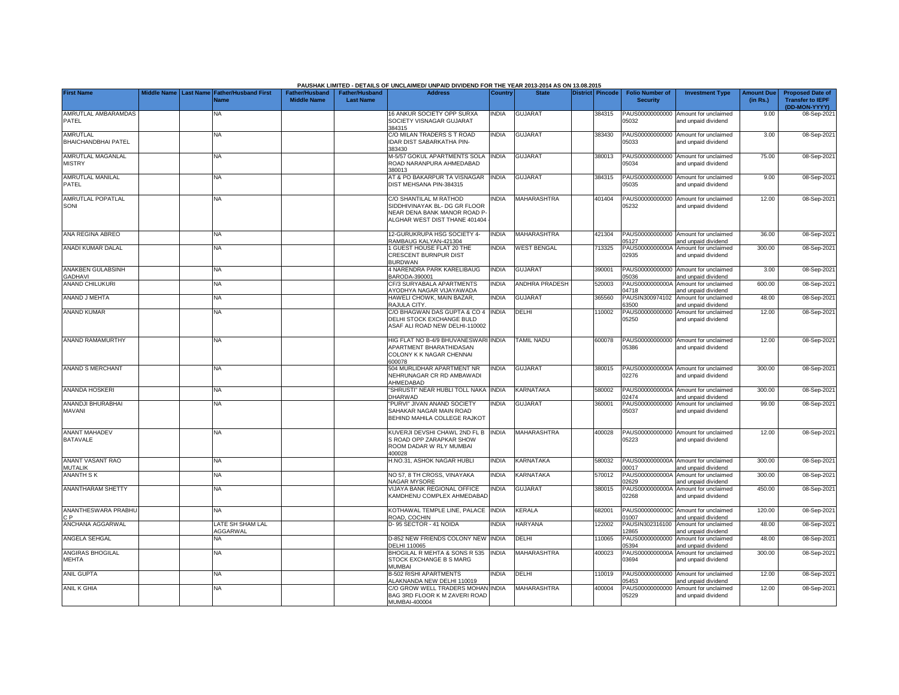|                                               |                       |                                            |                                             |                                           | PAUSHAK LIMITED - DETAILS OF UNCLAIMED/ UNPAID DIVIDEND FOR THE YEAR 2013-2014 AS ON 13.08.2015                          |                |                       |                  |                                           |                                                             |                               |                                                                     |
|-----------------------------------------------|-----------------------|--------------------------------------------|---------------------------------------------|-------------------------------------------|--------------------------------------------------------------------------------------------------------------------------|----------------|-----------------------|------------------|-------------------------------------------|-------------------------------------------------------------|-------------------------------|---------------------------------------------------------------------|
| <b>First Name</b>                             | Middle Name Last Name | <b>Father/Husband First</b><br><b>Name</b> | <b>Father/Husband</b><br><b>Middle Name</b> | <b>Father/Husband</b><br><b>Last Name</b> | <b>Address</b>                                                                                                           | <b>Country</b> | <b>State</b>          | District Pincode | <b>Folio Number of</b><br><b>Security</b> | <b>Investment Type</b>                                      | <b>Amount Due</b><br>(in Rs.) | <b>Proposed Date of</b><br><b>Transfer to IEPF</b><br>(DD-MON-YYYY) |
| AMRUTLAL AMBARAMDAS<br>PATEL                  |                       | NA                                         |                                             |                                           | 16 ANKUR SOCIETY OPP SURXA<br>SOCIETY VISNAGAR GUJARAT<br>384315                                                         | <b>INDIA</b>   | <b>GUJARAT</b>        | 384315           | PAUS00000000000<br>05032                  | Amount for unclaimed<br>and unpaid dividend                 | 9.00                          | 08-Sep-2021                                                         |
| <b>AMRUTLAL</b><br><b>BHAICHANDBHAI PATEL</b> |                       | <b>NA</b>                                  |                                             |                                           | C/O MILAN TRADERS S T ROAD<br>IDAR DIST SABARKATHA PIN-<br>383430                                                        | INDIA          | <b>GUJARAT</b>        | 383430           | 05033                                     | PAUS00000000000 Amount for unclaimed<br>and unpaid dividend | 3.00                          | 08-Sep-202                                                          |
| AMRUTLAL MAGANLAL<br><b>MISTRY</b>            |                       | ΝA                                         |                                             |                                           | M-5/57 GOKUL APARTMENTS SOLA<br>ROAD NARANPURA AHMEDABAD<br>380013                                                       | <b>INDIA</b>   | <b>GUJARAT</b>        | 380013           | 05034                                     | PAUS00000000000 Amount for unclaimed<br>and unpaid dividend | 75.00                         | 08-Sep-2021                                                         |
| AMRUTLAL MANILAL<br>PATEL                     |                       | NA                                         |                                             |                                           | <b>IT &amp; PO BAKARPUR TA VISNAGAR</b><br>DIST MEHSANA PIN-384315                                                       | <b>INDIA</b>   | <b>GUJARAT</b>        | 384315           | 05035                                     | PAUS00000000000 Amount for unclaimed<br>and unpaid dividend | 9.00                          | 08-Sep-202                                                          |
| AMRUTLAL POPATLAL<br>SONI                     |                       | NA                                         |                                             |                                           | C/O SHANTILAL M RATHOD<br>SIDDHIVINAYAK BL- DG GR FLOOR<br>NEAR DENA BANK MANOR ROAD P-<br>ALGHAR WEST DIST THANE 401404 | <b>NDIA</b>    | MAHARASHTRA           | 401404           | 05232                                     | PAUS00000000000 Amount for unclaimed<br>and unpaid dividend | 12.00                         | 08-Sep-202                                                          |
| ANA REGINA ABREO                              |                       | NA                                         |                                             |                                           | 12-GURUKRUPA HSG SOCIETY 4-<br>RAMBAUG KALYAN-421304                                                                     | <b>NDIA</b>    | MAHARASHTRA           | 421304           | PAUS00000000000<br>05127                  | Amount for unclaimed<br>and unpaid dividend                 | 36.00                         | 08-Sep-202                                                          |
| ANADI KUMAR DALAL                             |                       | NA.                                        |                                             |                                           | GUEST HOUSE FLAT 20 THE<br>CRESCENT BURNPUR DIST<br><b>BURDWAN</b>                                                       | <b>NDIA</b>    | <b>WEST BENGAL</b>    | 713325           | PAUS0000000000A<br>02935                  | Amount for unclaimed<br>and unpaid dividend                 | 300.00                        | 08-Sep-202                                                          |
| ANAKBEN GULABSINH<br><b>GADHAVI</b>           |                       | ΝA                                         |                                             |                                           | 1 NARENDRA PARK KARELIBAUG<br>3ARODA-390001                                                                              | india          | <b>GUJARAT</b>        | 390001           | 05036                                     | PAUS00000000000 Amount for unclaimed<br>and unpaid dividend | 3.00                          | 08-Sep-202                                                          |
| <b>ANAND CHILUKURI</b>                        |                       | <b>NA</b>                                  |                                             |                                           | CF/3 SURYABALA APARTMENTS<br>YODHYA NAGAR VIJAYAWADA                                                                     | <b>INDIA</b>   | <b>ANDHRA PRADESH</b> | 520003           | PAUS0000000000A<br>04718                  | Amount for unclaimed<br>and unpaid dividend                 | 600.00                        | 08-Sep-202                                                          |
| ANAND J MEHTA                                 |                       | <b>NA</b>                                  |                                             |                                           | HAWELI CHOWK, MAIN BAZAR,<br>RAJULA CITY.                                                                                | <b>INDIA</b>   | <b>GUJARAT</b>        | 365560           | PAUSIN300974102<br>33500                  | Amount for unclaimed<br>and unpaid dividend                 | 48.00                         | 08-Sep-202                                                          |
| <b>ANAND KUMAR</b>                            |                       | <b>NA</b>                                  |                                             |                                           | C/O BHAGWAN DAS GUPTA & CO 4<br>DELHI STOCK EXCHANGE BULD<br>ASAF ALI ROAD NEW DELHI-110002                              | <b>INDIA</b>   | DELHI                 | 110002           | PAUS00000000000<br>05250                  | Amount for unclaimed<br>and unpaid dividend                 | 12.00                         | 08-Sep-202                                                          |
| <b>ANAND RAMAMURTHY</b>                       |                       | <b>NA</b>                                  |                                             |                                           | HIG FLAT NO B-4/9 BHUVANESWARI INDIA<br>APARTMENT BHARATHIDASAN<br>COLONY K K NAGAR CHENNAI<br>600078                    |                | TAMIL NADU            | 600078           | 05386                                     | PAUS00000000000 Amount for unclaimed<br>and unpaid dividend | 12.00                         | 08-Sep-202                                                          |
| <b>ANAND S MERCHANT</b>                       |                       | <b>NA</b>                                  |                                             |                                           | 504 MURLIDHAR APARTMENT NR<br>NEHRUNAGAR CR RD AMBAWADI<br>AHMEDABAD                                                     | <b>INDIA</b>   | <b>GUJARAT</b>        | 380015           | 02276                                     | PAUS0000000000A Amount for unclaimed<br>and unpaid dividend | 300.00                        | 08-Sep-202                                                          |
| ANANDA HOSKERI                                |                       | <b>NA</b>                                  |                                             |                                           | SHRUSTI" NEAR HUBLI TOLL NAKA<br><b>DHARWAD</b>                                                                          | <b>INDIA</b>   | KARNATAKA             | 580002           | 2474                                      | PAUS0000000000A Amount for unclaimed<br>nd unpaid dividend  | 300.00                        | 08-Sep-202                                                          |
| ANANDJI BHURABHAI<br>MAVANI                   |                       | <b>NA</b>                                  |                                             |                                           | PURVI" JIVAN ANAND SOCIETY<br>SAHAKAR NAGAR MAIN ROAD<br>BEHIND MAHILA COLLEGE RAJKOT                                    | <b>INDIA</b>   | <b>GUJARAT</b>        | 360001           | PAUS00000000000<br>05037                  | Amount for unclaimed<br>and unpaid dividend                 | 99.00                         | 08-Sep-202                                                          |
| <b>ANANT MAHADEV</b><br><b>BATAVALE</b>       |                       | <b>NA</b>                                  |                                             |                                           | <b>KUVERJI DEVSHI CHAWL 2ND FL B</b><br>S ROAD OPP ZARAPKAR SHOW<br>ROOM DADAR W RLY MUMBAI<br>100028                    | <b>INDIA</b>   | <b>MAHARASHTRA</b>    | 400028           | 05223                                     | PAUS00000000000 Amount for unclaimed<br>and unpaid dividend | 12.00                         | 08-Sep-202                                                          |
| ANANT VASANT RAO<br><b>MUTALIK</b>            |                       | NA                                         |                                             |                                           | H.NO.31, ASHOK NAGAR HUBLI                                                                                               | INDIA          | KARNATAKA             | 580032           | 00017                                     | PAUS0000000000A Amount for unclaimed<br>and unpaid dividend | 300.00                        | 08-Sep-202                                                          |
| <b>ANANTH SK</b>                              |                       | ΝA                                         |                                             |                                           | NO 57, 8 TH CROSS, VINAYAKA<br><b>VAGAR MYSORE</b>                                                                       | <b>INDIA</b>   | KARNATAKA             | 570012           | PAUS0000000000A<br>2629                   | Amount for unclaimed<br>and unpaid dividend                 | 300.00                        | 08-Sep-202                                                          |
| <b>ANANTHARAM SHETTY</b>                      |                       | <b>NA</b>                                  |                                             |                                           | VIJAYA BANK REGIONAL OFFICE<br>KAMDHENU COMPLEX AHMEDABAD                                                                | <b>NDIA</b>    | <b>GUJARAT</b>        | 380015           | PAUS0000000000A<br>02268                  | Amount for unclaimed<br>and unpaid dividend                 | 450.00                        | 08-Sep-2021                                                         |
| ANANTHESWARA PRABHU<br>C P                    |                       | ΝA                                         |                                             |                                           | <b>KOTHAWAL TEMPLE LINE, PALACE</b><br>ROAD, COCHIN                                                                      | <b>INDIA</b>   | KERALA                | 682001           | 1007                                      | PAUS0000000000C Amount for unclaimed<br>and unpaid dividend | 120.00                        | 08-Sep-202                                                          |
| <b>ANCHANA AGGARWAL</b>                       |                       | LATE SH SHAM LAL<br>AGGARWAL               |                                             |                                           | 0-95 SECTOR - 41 NOIDA                                                                                                   | <b>INDIA</b>   | <b>HARYANA</b>        | 122002           | PAUSIN302316100<br>12865                  | Amount for unclaimed<br>and unpaid dividend                 | 48.00                         | 08-Sep-202                                                          |
| ANGELA SEHGAL                                 |                       | NA                                         |                                             |                                           | 0-852 NEW FRIENDS COLONY NEW<br><b>DELHI 110065</b>                                                                      | <b>INDIA</b>   | DELHI                 | 10065            | PAUS00000000000<br>5394                   | Amount for unclaimed<br>and unpaid dividend                 | 48.00                         | 08-Sep-202                                                          |
| ANGIRAS BHOGILAL<br><b>MEHTA</b>              |                       | NA.                                        |                                             |                                           | <b>BHOGILAL R MEHTA &amp; SONS R 535</b><br>STOCK EXCHANGE B S MARG<br>MUMBAI                                            | INDIA          | MAHARASHTRA           | 400023           | PAUS0000000000A<br>03694                  | Amount for unclaimed<br>and unpaid dividend                 | 300.00                        | 08-Sep-202                                                          |
| <b>ANIL GUPTA</b>                             |                       | <b>NA</b>                                  |                                             |                                           | <b>B-502 RISHI APARTMENTS</b><br>ALAKNANDA NEW DELHI 110019                                                              | <b>INDIA</b>   | DELHI                 | 110019           | 05453                                     | PAUS00000000000 Amount for unclaimed<br>and unpaid dividend | 12.00                         | 08-Sep-202                                                          |
| <b>ANIL K GHIA</b>                            |                       | NA                                         |                                             |                                           | C/O GROW WELL TRADERS MOHAN INDIA<br>BAG 3RD FLOOR K M ZAVERI ROAD<br>MUMBAI-400004                                      |                | MAHARASHTRA           | 400004           | 05229                                     | PAUS00000000000 Amount for unclaimed<br>and unpaid dividend | 12.00                         | 08-Sep-2021                                                         |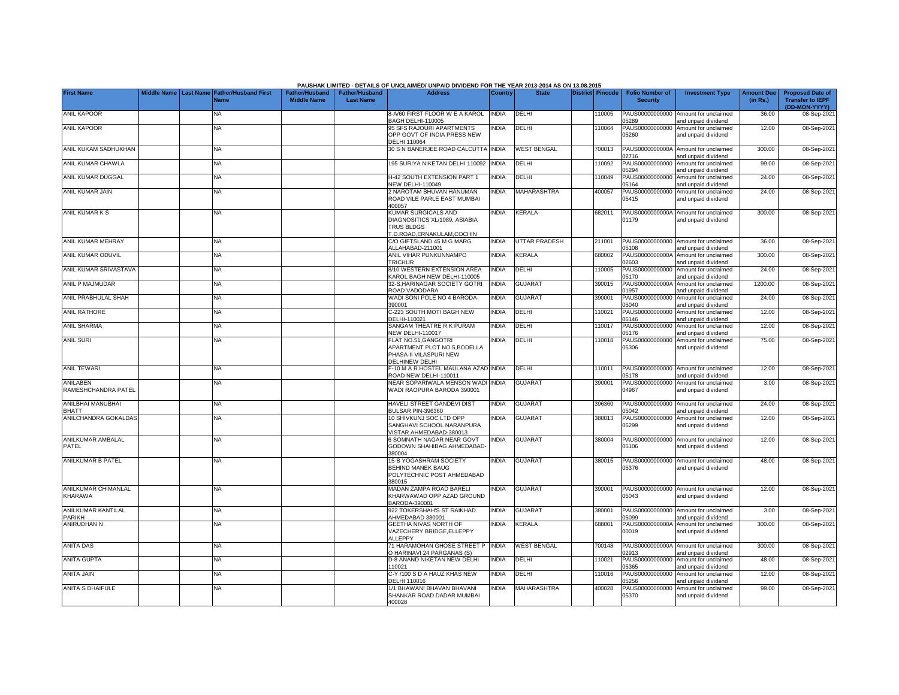|                                        |                    |                                                      |                                             |                                           | PAUSHAK LIMITED - DETAILS OF UNCLAIMED/ UNPAID DIVIDEND FOR THE YEAR 2013-2014 AS ON 13.08.2015          |                |                      |                         |                                           |                                                             |                               |                                                                     |
|----------------------------------------|--------------------|------------------------------------------------------|---------------------------------------------|-------------------------------------------|----------------------------------------------------------------------------------------------------------|----------------|----------------------|-------------------------|-------------------------------------------|-------------------------------------------------------------|-------------------------------|---------------------------------------------------------------------|
| <b>First Name</b>                      | <b>Middle Name</b> | <b>Last Name Father/Husband First</b><br><b>Name</b> | <b>Father/Husband</b><br><b>Middle Name</b> | <b>Father/Husband</b><br><b>Last Name</b> | <b>Address</b>                                                                                           | <b>Country</b> | <b>State</b>         | <b>District Pincode</b> | <b>Folio Number of</b><br><b>Security</b> | <b>Investment Type</b>                                      | <b>Amount Due</b><br>(in Rs.) | <b>Proposed Date of</b><br><b>Transfer to IEPF</b><br>(DD-MON-YYYY) |
| <b>ANIL KAPOOR</b>                     |                    | NA                                                   |                                             |                                           | 3-A/60 FIRST FLOOR W E A KAROL<br><b>BAGH DELHI-110005</b>                                               | <b>INDIA</b>   | DELHI                | 110005                  | PAUS00000000000<br>05289                  | Amount for unclaimed<br>and unpaid dividend                 | 36.00                         | 08-Sep-2021                                                         |
| <b>ANIL KAPOOR</b>                     |                    | NA                                                   |                                             |                                           | <b>95 SFS RAJOURI APARTMENTS</b><br>OPP GOVT OF INDIA PRESS NEW<br><b>DELHI 110064</b>                   | <b>NDIA</b>    | DELHI                | 110064                  | PAUS00000000000<br>05260                  | Amount for unclaimed<br>and unpaid dividend                 | 12.00                         | 08-Sep-2021                                                         |
| ANIL KUKAM SADHUKHAN                   |                    | NA                                                   |                                             |                                           | <b>30 S N BANERJEE ROAD CALCUTTA INDIA</b>                                                               |                | <b>WEST BENGAL</b>   | 700013                  | PAUS0000000000A<br>2716                   | Amount for unclaimed<br>and unpaid dividend                 | 300.00                        | 08-Sep-2021                                                         |
| ANIL KUMAR CHAWLA                      |                    | NA                                                   |                                             |                                           | 95 SURIYA NIKETAN DELHI 110092                                                                           | <b>INDIA</b>   | DELHI                | 10092                   | PAUS00000000000<br>05294                  | Amount for unclaimed<br>and unpaid dividend                 | 99.00                         | 08-Sep-2021                                                         |
| ANIL KUMAR DUGGAL                      |                    | ΝA                                                   |                                             |                                           | 1-42 SOUTH EXTENSION PART 1<br><b>VEW DELHI-110049</b>                                                   | <b>INDIA</b>   | DELHI                | 110049                  | PAUS00000000000<br>05164                  | Amount for unclaimed<br>and unpaid dividend                 | 24.00                         | 08-Sep-2021                                                         |
| ANIL KUMAR JAIN                        |                    | NA                                                   |                                             |                                           | <b>NAROTAM BHUVAN HANUMAN</b><br>ROAD VILE PARLE EAST MUMBAI<br>100057                                   | <b>NDIA</b>    | MAHARASHTRA          | 400057                  | PAUS00000000000<br>05415                  | Amount for unclaimed<br>and unpaid dividend                 | 24.00                         | 08-Sep-2021                                                         |
| ANIL KUMAR K S                         |                    | NA                                                   |                                             |                                           | KUMAR SURGICALS AND<br>DIAGNOSITICS XL/1089, ASIABIA<br><b>TRUS BLDGS</b><br>T.D.ROAD, ERNAKULAM, COCHIN | <b>NDIA</b>    | KERALA               | 682011                  | PAUS0000000000A<br>01179                  | Amount for unclaimed<br>and unpaid dividend                 | 300.00                        | 08-Sep-2021                                                         |
| ANIL KUMAR MEHRAY                      |                    | <b>NA</b>                                            |                                             |                                           | C/O GIFTSLAND 45 M G MARG<br>ALLAHABAD-211001                                                            | <b>INDIA</b>   | <b>UTTAR PRADESH</b> | 211001                  | 05108                                     | PAUS00000000000 Amount for unclaimed<br>and unpaid dividend | 36.00                         | 08-Sep-2021                                                         |
| ANIL KUMAR ODUVIL                      |                    | <b>NA</b>                                            |                                             |                                           | ANIL VIHAR PUNKUNNAMPO<br><b>TRICHUR</b>                                                                 | <b>INDIA</b>   | KERALA               | 680002                  | PAUS0000000000A<br>02603                  | Amount for unclaimed<br>and unpaid dividend                 | 300.00                        | 08-Sep-2021                                                         |
| ANIL KUMAR SRIVASTAVA                  |                    | <b>NA</b>                                            |                                             |                                           | 8/10 WESTERN EXTENSION AREA<br><b>KAROL BAGH NEW DELHI-110005</b>                                        | <b>INDIA</b>   | <b>DELHI</b>         | 110005                  | PAUS00000000000<br>05170                  | Amount for unclaimed<br>and unpaid dividend                 | 24.00                         | 08-Sep-2021                                                         |
| ANIL P MAJMUDAR                        |                    | <b>NA</b>                                            |                                             |                                           | 32-S, HARINAGAR SOCIETY GOTRI<br>ROAD VADODARA                                                           | INDIA          | <b>GUJARAT</b>       | 390015                  | PAUS0000000000A<br>01957                  | Amount for unclaimed<br>and unpaid dividend                 | 1200.00                       | 08-Sep-2021                                                         |
| ANIL PRABHULAL SHAH                    |                    | <b>NA</b>                                            |                                             |                                           | WADI SONI POLE NO 4 BARODA-<br>390001                                                                    | INDIA          | <b>GUJARAT</b>       | 390001                  | PAUS00000000000<br>05040                  | Amount for unclaimed<br>and unpaid dividend                 | 24.00                         | 08-Sep-2021                                                         |
| ANIL RATHORE                           |                    | <b>NA</b>                                            |                                             |                                           | C-223 SOUTH MOTI BAGH NEW<br>DELHI-110021                                                                | INDIA          | DELHI                | 110021                  | PAUS00000000000<br>05146                  | Amount for unclaimed<br>and unpaid dividend                 | 12.00                         | 08-Sep-2021                                                         |
| <b>ANIL SHARMA</b>                     |                    | <b>NA</b>                                            |                                             |                                           | SANGAM THEATRE R K PURAM<br><b>VEW DELHI-110017</b>                                                      | <b>INDIA</b>   | DELHI                | 110017                  | PAUS00000000000<br>05176                  | Amount for unclaimed<br>and unpaid dividend                 | 12.00                         | 08-Sep-2021                                                         |
| <b>ANIL SURI</b>                       |                    | <b>NA</b>                                            |                                             |                                           | FLAT NO.51.GANGOTRI<br>APARTMENT PLOT NO.5, BODELLA<br>PHASA-II VILASPURI NEW<br>DELHINEW DELHI          | <b>NDIA</b>    | DELHI                | 110018                  | PAUS00000000000<br>05306                  | Amount for unclaimed<br>and unpaid dividend                 | 75.00                         | 08-Sep-2021                                                         |
| <b>ANIL TEWARI</b>                     |                    | <b>NA</b>                                            |                                             |                                           | -10 M A R HOSTEL MAULANA AZAD INDIA<br>ROAD NEW DELHI-110011                                             |                | DELHI                | 10011                   | 05178                                     | PAUS00000000000 Amount for unclaimed<br>and unpaid dividend | 12.00                         | 08-Sep-2021                                                         |
| <b>ANILABEN</b><br>RAMESHCHANDRA PATEL |                    | NA                                                   |                                             |                                           | NEAR SOPARIWALA MENSON WADI INDIA<br>WADI RAOPURA BARODA 390001                                          |                | <b>GUJARAT</b>       | 390001                  | PAUS00000000000<br>04967                  | Amount for unclaimed<br>and unpaid dividend                 | 3.00                          | 08-Sep-2021                                                         |
| ANILBHAI MANUBHAI<br><b>BHATT</b>      |                    | <b>NA</b>                                            |                                             |                                           | HAVELI STREET GANDEVI DIST<br><b>BULSAR PIN-396360</b>                                                   | <b>NDIA</b>    | <b>GUJARAT</b>       | 396360                  | PAUS00000000000<br>05042                  | Amount for unclaimed<br>and unpaid dividend                 | 24.00                         | 08-Sep-2021                                                         |
| ANILCHANDRA GOKALDAS                   |                    | NA                                                   |                                             |                                           | 10 SHIVKUNJ SOC LTD OPP<br>SANGHAVI SCHOOL NARANPURA<br>/ISTAR AHMEDABAD-380013                          | INDIA          | <b>GUJARAT</b>       | 380013                  | PAUS00000000000<br>05299                  | Amount for unclaimed<br>and unpaid dividend                 | 12.00                         | 08-Sep-2021                                                         |
| ANILKUMAR AMBALAL<br>PATEL             |                    | NA                                                   |                                             |                                           | 6 SOMNATH NAGAR NEAR GOVT<br>GODOWN SHAHIBAG AHMEDABAD-<br>380004                                        | <b>NDIA</b>    | <b>GUJARAT</b>       | 380004                  | PAUS00000000000<br>05106                  | Amount for unclaimed<br>and unpaid dividend                 | 12.00                         | 08-Sep-2021                                                         |
| ANILKUMAR B PATEL                      |                    | NA                                                   |                                             |                                           | 15-B YOGASHRAM SOCIETY<br>BEHIND MANEK BAUG<br>POLYTECHNIC POST AHMEDABAD<br>380015                      | <b>INDIA</b>   | <b>GUJARAT</b>       | 380015                  | PAUS00000000000<br>05376                  | Amount for unclaimed<br>and unpaid dividend                 | 48.00                         | 08-Sep-2021                                                         |
| ANILKUMAR CHIMANLAL<br>KHARAWA         |                    | <b>NA</b>                                            |                                             |                                           | MADAN ZAMPA ROAD BARELI<br>KHARWAWAD OPP AZAD GROUND<br>BARODA-390001                                    | <b>NDIA</b>    | <b>GUJARAT</b>       | 390001                  | PAUS00000000000<br>05043                  | Amount for unclaimed<br>and unpaid dividend                 | 12.00                         | 08-Sep-2021                                                         |
| ANILKUMAR KANTILAL<br>PARIKH           |                    | <b>NA</b>                                            |                                             |                                           | 922 TOKERSHAH'S ST RAIKHAD<br>AHMEDABAD 380001                                                           | INDIA          | GUJARAT              | 380001                  | 05099                                     | PAUS00000000000 Amount for unclaimed<br>and unpaid dividend | 3.00                          | 08-Sep-2021                                                         |
| ANIRUDHAN N                            |                    | <b>NA</b>                                            |                                             |                                           | <b>GEETHA NIVAS NORTH OF</b><br>/AZECHERY BRIDGE, ELLEPPY<br>ALLEPPY                                     | INDIA          | KERALA               | 688001                  | PAUS0000000000A<br>00019                  | Amount for unclaimed<br>and unpaid dividend                 | 300.00                        | 08-Sep-2021                                                         |
| <b>ANITA DAS</b>                       |                    | <b>NA</b>                                            |                                             |                                           | 71 HARAMOHAN GHOSE STREET P INDIA<br>O HARINAVI 24 PARGANAS (S)                                          |                | <b>WEST BENGAL</b>   | 700148                  | PAUS0000000000A<br>02913                  | Amount for unclaimed<br>and unpaid dividend                 | 300.00                        | 08-Sep-2021                                                         |
| <b>ANITA GUPTA</b>                     |                    | <b>NA</b>                                            |                                             |                                           | <b>D-8 ANAND NIKETAN NEW DELHI</b><br>110021                                                             | <b>NDIA</b>    | DELHI                | 110021                  | PAUS00000000000<br>05365                  | Amount for unclaimed<br>and unpaid dividend                 | 48.00                         | 08-Sep-2021                                                         |
| <b>ANITA JAIN</b>                      |                    | <b>NA</b>                                            |                                             |                                           | C-Y /100 S D A HAUZ KHAS NEW<br><b>DELHI 110016</b>                                                      | <b>NDIA</b>    | DELHI                | 110016                  | PAUS00000000000<br>05256                  | Amount for unclaimed<br>and unpaid dividend                 | 12.00                         | 08-Sep-2021                                                         |
| <b>ANITA S DHAIFULE</b>                |                    | <b>NA</b>                                            |                                             |                                           | /1 BHAWANI BHAVAN BHAVANI<br>SHANKAR ROAD DADAR MUMBAI<br>400028                                         | <b>NDIA</b>    | <b>MAHARASHTRA</b>   | 400028                  | PAUS00000000000<br>05370                  | Amount for unclaimed<br>and unpaid dividend                 | 99.00                         | 08-Sep-2021                                                         |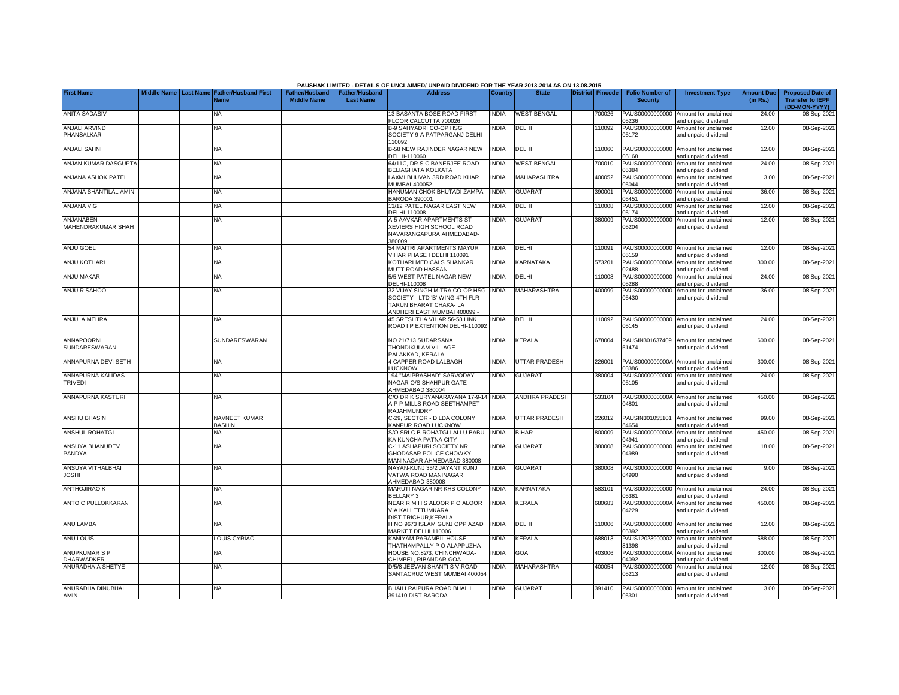|                                     |                    |                  |                                            |                                             |                                           | PAUSHAK LIMITED - DETAILS OF UNCLAIMED/ UNPAID DIVIDEND FOR THE YEAR 2013-2014 AS ON 13.08.2015                          |              |                       |                         |        |                                           |                                                             |                               |                                                    |
|-------------------------------------|--------------------|------------------|--------------------------------------------|---------------------------------------------|-------------------------------------------|--------------------------------------------------------------------------------------------------------------------------|--------------|-----------------------|-------------------------|--------|-------------------------------------------|-------------------------------------------------------------|-------------------------------|----------------------------------------------------|
| <b>First Name</b>                   | <b>Middle Name</b> | <b>Last Name</b> | <b>Father/Husband First</b><br><b>Name</b> | <b>Father/Husband</b><br><b>Middle Name</b> | <b>Father/Husband</b><br><b>Last Name</b> | <b>Address</b>                                                                                                           | Country      | <b>State</b>          | <b>District Pincode</b> |        | <b>Folio Number of</b><br><b>Security</b> | <b>Investment Type</b>                                      | <b>Amount Due</b><br>(in Rs.) | <b>Proposed Date of</b><br><b>Transfer to IEPF</b> |
| <b>ANITA SADASIV</b>                |                    |                  | NA.                                        |                                             |                                           | 13 BASANTA BOSE ROAD FIRST<br>FLOOR CALCUTTA 700026                                                                      | <b>INDIA</b> | <b>WEST BENGAL</b>    |                         | 700026 | PAUS00000000000<br>05236                  | Amount for unclaimed<br>and unpaid dividend                 | 24.00                         | (DD-MON-YYYY)<br>08-Sep-2021                       |
| ANJALI ARVIND<br>PHANSALKAR         |                    |                  | NA                                         |                                             |                                           | B-9 SAHYADRI CO-OP HSG<br>SOCIETY 9-A PATPARGANJ DELHI<br>110092                                                         | <b>NDIA</b>  | DELHI                 |                         | 110092 | PAUS00000000000<br>05172                  | Amount for unclaimed<br>and unpaid dividend                 | 12.00                         | 08-Sep-2021                                        |
| <b>ANJALI SAHNI</b>                 |                    |                  | <b>NA</b>                                  |                                             |                                           | B-58 NEW RAJINDER NAGAR NEW<br>DELHI-110060                                                                              | <b>NDIA</b>  | DELHI                 |                         | 110060 | PAUS00000000000<br>05168                  | Amount for unclaimed<br>and unpaid dividend                 | 12.00                         | 08-Sep-2021                                        |
| ANJAN KUMAR DASGUPTA                |                    |                  | <b>NA</b>                                  |                                             |                                           | 64/11C, DR.S C BANERJEE ROAD<br><b>BELIAGHATA KOLKATA</b>                                                                | INDIA        | <b>WEST BENGAL</b>    |                         | 700010 | PAUS00000000000<br>05384                  | Amount for unclaimed<br>and unpaid dividend                 | 24.00                         | 08-Sep-2021                                        |
| ANJANA ASHOK PATEL                  |                    |                  | <b>NA</b>                                  |                                             |                                           | AXMI BHUVAN 3RD ROAD KHAR<br><b>JUMBAI-400052</b>                                                                        | <b>INDIA</b> | <b>MAHARASHTRA</b>    |                         | 400052 | PAUS00000000000<br>05044                  | Amount for unclaimed<br>and unpaid dividend                 | 3.00                          | 08-Sep-2021                                        |
| ANJANA SHANTILAL AMIN               |                    |                  | <b>NA</b>                                  |                                             |                                           | HANUMAN CHOK BHUTADI ZAMPA<br>3ARODA 390001                                                                              | <b>INDIA</b> | <b>GUJARAT</b>        |                         | 390001 | PAUS00000000000<br>05451                  | Amount for unclaimed<br>and unpaid dividend                 | 36.00                         | 08-Sep-2021                                        |
| <b>ANJANA VIG</b>                   |                    |                  | <b>NA</b>                                  |                                             |                                           | 13/12 PATEL NAGAR EAST NEW<br>DELHI-110008                                                                               | <b>NDIA</b>  | DELHI                 |                         | 110008 | PAUS00000000000<br>05174                  | Amount for unclaimed<br>and unpaid dividend                 | 12.00                         | 08-Sep-2021                                        |
| ANJANABEN<br>MAHENDRAKUMAR SHAH     |                    |                  | <b>NA</b>                                  |                                             |                                           | A-5 AAVKAR APARTMENTS ST<br>XEVIERS HIGH SCHOOL ROAD<br>NAVARANGAPURA AHMEDABAD-<br>380009                               | <b>NDIA</b>  | <b>GUJARAT</b>        |                         | 380009 | PAUS00000000000<br>05204                  | Amount for unclaimed<br>and unpaid dividend                 | 12.00                         | 08-Sep-2021                                        |
| <b>ANJU GOEL</b>                    |                    |                  | <b>NA</b>                                  |                                             |                                           | 54 MAITRI APARTMENTS MAYUR<br>VIHAR PHASE I DELHI 110091                                                                 | <b>INDIA</b> | DELHI                 |                         | 110091 | PAUS00000000000<br>05159                  | Amount for unclaimed<br>and unpaid dividend                 | 12.00                         | 08-Sep-2021                                        |
| <b>ANJU KOTHARI</b>                 |                    |                  | <b>NA</b>                                  |                                             |                                           | KOTHARI MEDICALS SHANKAR<br>MUTT ROAD HASSAN                                                                             | <b>NDIA</b>  | KARNATAKA             |                         | 573201 | PAUS0000000000A<br>02488                  | Amount for unclaimed<br>and unpaid dividend                 | 300.00                        | 08-Sep-2021                                        |
| <b>ANJU MAKAR</b>                   |                    |                  | NA                                         |                                             |                                           | 5/5 WEST PATEL NAGAR NEW<br><b>DELHI-110008</b>                                                                          | <b>NDIA</b>  | DELHI                 |                         | 110008 | PAUS00000000000<br>05288                  | Amount for unclaimed<br>and unpaid dividend                 | 24.00                         | 08-Sep-2021                                        |
| ANJU R SAHOO                        |                    |                  | NA                                         |                                             |                                           | 32 VIJAY SINGH MITRA CO-OP HSG<br>SOCIETY - LTD 'B' WING 4TH FLR<br>TARUN BHARAT CHAKA- LA<br>ANDHERI EAST MUMBAI 400099 | <b>INDIA</b> | <b>MAHARASHTRA</b>    |                         | 400099 | PAUS00000000000<br>05430                  | Amount for unclaimed<br>and unpaid dividend                 | 36.00                         | 08-Sep-2021                                        |
| <b>ANJULA MEHRA</b>                 |                    |                  | NΑ                                         |                                             |                                           | 45 SRESHTHA VIHAR 56-58 LINK<br>ROAD I P EXTENTION DELHI-110092                                                          | <b>NDIA</b>  | DELHI                 |                         | 10092  | PAUS00000000000<br>05145                  | Amount for unclaimed<br>and unpaid dividend                 | 24.00                         | 08-Sep-2021                                        |
| <b>ANNAPOORNI</b><br>SUNDARESWARAN  |                    |                  | SUNDARESWARAN                              |                                             |                                           | NO 21/713 SUDARSANA<br>THONDIKULAM VILLAGE<br>PALAKKAD, KERALA                                                           | INDIA        | <b>KERALA</b>         |                         | 678004 | 51474                                     | PAUSIN301637409 Amount for unclaimed<br>and unpaid dividend | 600.00                        | 08-Sep-2021                                        |
| ANNAPURNA DEVI SETH                 |                    |                  | NA                                         |                                             |                                           | 4 CAPPER ROAD LALBAGH<br><b>UCKNOW</b>                                                                                   | INDIA        | <b>UTTAR PRADESH</b>  |                         | 226001 | PAUS0000000000A<br>03386                  | Amount for unclaimed<br>and unpaid dividend                 | 300.00                        | 08-Sep-2021                                        |
| ANNAPURNA KALIDAS<br><b>TRIVEDI</b> |                    |                  | <b>NA</b>                                  |                                             |                                           | 194 "MAIPRASHAD" SARVODAY<br>NAGAR O/S SHAHPUR GATE<br>AHMEDABAD 380004                                                  | <b>INDIA</b> | <b>GUJARAT</b>        |                         | 380004 | PAUS00000000000<br>05105                  | Amount for unclaimed<br>and unpaid dividend                 | 24.00                         | 08-Sep-2021                                        |
| ANNAPURNA KASTURI                   |                    |                  | NA                                         |                                             |                                           | C/O DR K SURYANARAYANA 17-9-14<br>A P P MILLS ROAD SEETHAMPET<br>RAJAHMUNDRY                                             | <b>INDIA</b> | <b>ANDHRA PRADESH</b> |                         | 533104 | PAUS0000000000A<br>04801                  | Amount for unclaimed<br>and unpaid dividend                 | 450.00                        | 08-Sep-2021                                        |
| <b>ANSHU BHASIN</b>                 |                    |                  | NAVNEET KUMAR<br><b>BASHIN</b>             |                                             |                                           | C-29, SECTOR - D LDA COLONY<br>KANPUR ROAD LUCKNOW                                                                       | INDIA        | <b>UTTAR PRADESH</b>  |                         | 226012 | PAUSIN301055101<br>64654                  | Amount for unclaimed<br>and unpaid dividend                 | 99.00                         | 08-Sep-2021                                        |
| <b>ANSHUL ROHATGI</b>               |                    |                  | <b>NA</b>                                  |                                             |                                           | S/O SRI C B ROHATGI LALLU BABU<br><b>KA KUNCHA PATNA CITY</b>                                                            | <b>INDIA</b> | <b>BIHAR</b>          |                         | 800009 | PAUS0000000000A<br>04941                  | Amount for unclaimed<br>and unpaid dividend                 | 450.00                        | 08-Sep-2021                                        |
| ANSUYA BHANUDEV<br>PANDYA           |                    |                  | <b>NA</b>                                  |                                             |                                           | C-11 ASHAPURI SOCIETY NR<br><b>GHODASAR POLICE CHOWKY</b><br>MANINAGAR AHMEDABAD 380008                                  | INDIA        | <b>GUJARAT</b>        |                         | 380008 | PAUS00000000000<br>04989                  | Amount for unclaimed<br>and unpaid dividend                 | 18.00                         | 08-Sep-2021                                        |
| ANSUYA VITHALBHAI<br><b>IHZOL</b>   |                    |                  | <b>NA</b>                                  |                                             |                                           | NAYAN-KUNJ 35/2 JAYANT KUNJ<br>VATWA ROAD MANINAGAR<br>AHMEDABAD-380008                                                  | <b>INDIA</b> | <b>GUJARAT</b>        |                         | 380008 | PAUS00000000000<br>04990                  | Amount for unclaimed<br>and unpaid dividend                 | 9.00                          | 08-Sep-2021                                        |
| <b>ANTHOJIRAO K</b>                 |                    |                  | NA.                                        |                                             |                                           | MARUTI NAGAR NR KHB COLONY<br>BELLARY 3                                                                                  | <b>INDIA</b> | <b>KARNATAKA</b>      |                         | 583101 | PAUS00000000000<br>15381                  | Amount for unclaimed<br>and unpaid dividend                 | 24.00                         | 08-Sep-2021                                        |
| ANTO C PULLOKKARAN                  |                    |                  | <b>NA</b>                                  |                                             |                                           | NEAR R M H S ALOOR P O ALOOR<br>VIA KALLETTUMKARA<br><b>DIST.TRICHUR,KERALA</b>                                          | <b>INDIA</b> | <b>KERALA</b>         |                         | 680683 | PAUS0000000000A<br>04229                  | Amount for unclaimed<br>and unpaid dividend                 | 450.00                        | 08-Sep-2021                                        |
| <b>ANU LAMBA</b>                    |                    |                  | NA.                                        |                                             |                                           | H NO 9673 ISLAM GUNJ OPP AZAD<br>MARKET DELHI 110006                                                                     | <b>NDIA</b>  | DELHI                 |                         | 10006  | PAUS00000000000<br>05392                  | Amount for unclaimed<br>and unpaid dividend                 | 12.00                         | 08-Sep-2021                                        |
| <b>ANU LOUIS</b>                    |                    |                  | <b>LOUIS CYRIAC</b>                        |                                             |                                           | KANIYAM PARAMBIL HOUSE<br>THATHAMPALLY P O ALAPPUZHA                                                                     | <b>NDIA</b>  | KERALA                |                         | 688013 | PAUS12023900002<br>81398                  | Amount for unclaimed<br>and unpaid dividend                 | 588.00                        | 08-Sep-2021                                        |
| ANUPKUMAR S P<br><b>DHARWADKER</b>  |                    |                  | <b>NA</b>                                  |                                             |                                           | HOUSE NO.82/3, CHINCHWADA-<br>HIMBEL, RIBANDAR-GOA                                                                       | <b>NDIA</b>  | GOA                   |                         | 403006 | PAUS0000000000A<br>04092                  | Amount for unclaimed<br>and unpaid dividend                 | 300.00                        | 08-Sep-2021                                        |
| ANURADHA A SHETYE                   |                    |                  | <b>NA</b>                                  |                                             |                                           | D/5/8 JEEVAN SHANTI S V ROAD<br>SANTACRUZ WEST MUMBAI 400054                                                             | <b>NDIA</b>  | MAHARASHTRA           |                         | 400054 | PAUS00000000000<br>05213                  | Amount for unclaimed<br>and unpaid dividend                 | 12.00                         | 08-Sep-2021                                        |
| ANURADHA DINUBHAI<br>AMIN           |                    |                  | <b>NA</b>                                  |                                             |                                           | BHAILI RAIPURA ROAD BHAILI<br>391410 DIST BARODA                                                                         | <b>INDIA</b> | <b>GUJARAT</b>        |                         | 391410 | 05301                                     | PAUS00000000000 Amount for unclaimed<br>and unpaid dividend | 3.00                          | 08-Sep-2021                                        |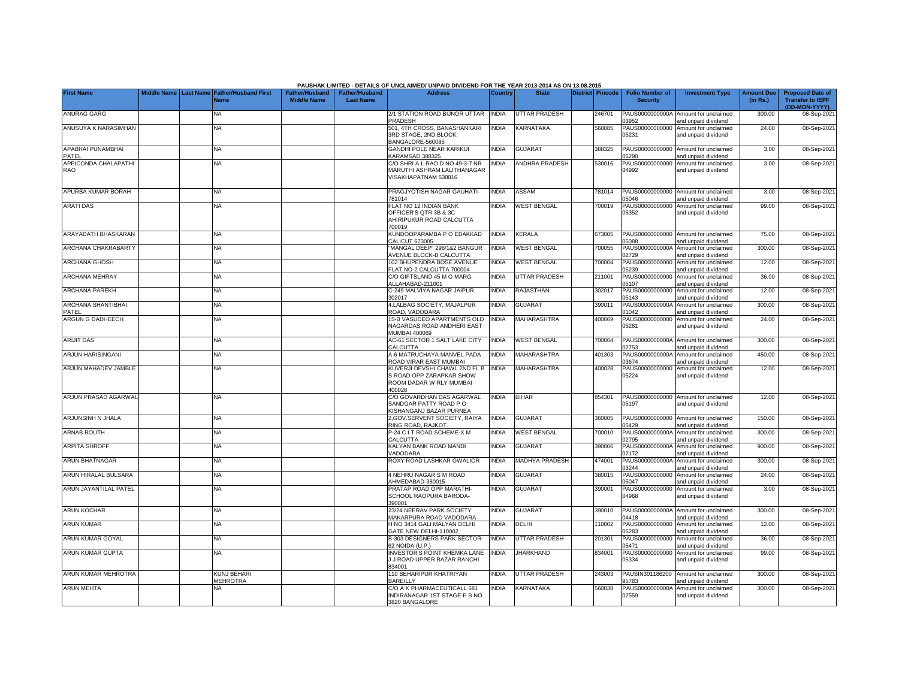|                                    |  |                                                    |                                             |                                           | PAUSHAK LIMITED - DETAILS OF UNCLAIMED/ UNPAID DIVIDEND FOR THE YEAR 2013-2014 AS ON 13.08.2015 |                |                       |                  |                                           |                                                             |                               |                                                                     |
|------------------------------------|--|----------------------------------------------------|---------------------------------------------|-------------------------------------------|-------------------------------------------------------------------------------------------------|----------------|-----------------------|------------------|-------------------------------------------|-------------------------------------------------------------|-------------------------------|---------------------------------------------------------------------|
| <b>First Name</b>                  |  | Middle Name Last Name Father/Husband First<br>Name | <b>Father/Husband</b><br><b>Middle Name</b> | <b>Father/Husband</b><br><b>Last Name</b> | <b>Address</b>                                                                                  | <b>Country</b> | <b>State</b>          | District Pincode | <b>Folio Number of</b><br><b>Security</b> | <b>Investment Type</b>                                      | <b>Amount Due</b><br>(in Rs.) | <b>Proposed Date of</b><br><b>Transfer to IEPF</b><br>(DD-MON-YYYY) |
| <b>ANURAG GARG</b>                 |  | NA                                                 |                                             |                                           | 2/1 STATION ROAD BIJNOR UTTAR<br>PRADESH                                                        | <b>INDIA</b>   | UTTAR PRADESH         | 246701           | PAUS0000000000A<br>03952                  | Amount for unclaimed<br>and unpaid dividend                 | 300.00                        | 08-Sep-202                                                          |
| ANUSUYA K NARASIMHAN               |  | <b>NA</b>                                          |                                             |                                           | 501, 4TH CROSS, BANASHANKARI<br>3RD STAGE, 2ND BLOCK,<br>BANGALORE-560085                       | <b>INDIA</b>   | KARNATAKA             | 560085           | PAUS00000000000<br>05231                  | Amount for unclaimed<br>and unpaid dividend                 | 24.00                         | 08-Sep-2021                                                         |
| <b>APABHAI PUNAMBHAI</b><br>PATEL  |  | <b>NA</b>                                          |                                             |                                           | GANDHI POLE NEAR KARIKUI<br>KARAMSAD 388325                                                     | <b>INDIA</b>   | <b>GUJARAT</b>        | 388325           | 5290                                      | PAUS00000000000 Amount for unclaimed<br>and unpaid dividend | 3.00                          | 08-Sep-202                                                          |
| APPICONDA CHALAPATHI<br><b>RAO</b> |  | <b>NA</b>                                          |                                             |                                           | C/O SHRI A L RAO D NO 49-3-7 NR<br>MARUTHI ASHRAM LALITHANAGAR<br>VISAKHAPATNAM 530016          | <b>NDIA</b>    | ANDHRA PRADESH        | 530016           | PAUS00000000000<br>04992                  | Amount for unclaimed<br>and unpaid dividend                 | 3.00                          | 08-Sep-2021                                                         |
| APURBA KUMAR BORAH                 |  | <b>NA</b>                                          |                                             |                                           | PRAGJYOTISH NAGAR GAUHATI-<br>781014                                                            | <b>INDIA</b>   | <b>ASSAM</b>          | 781014           | 05046                                     | PAUS00000000000 Amount for unclaimed<br>and unpaid dividend | 3.00                          | 08-Sep-202                                                          |
| <b>ARATI DAS</b>                   |  | NA                                                 |                                             |                                           | FLAT NO 12 INDIAN BANK<br>OFFICER'S QTR 3B & 3C<br>AHIRIPUKUR ROAD CALCUTTA<br>700019           | <b>INDIA</b>   | <b>WEST BENGAL</b>    | 700019           | 05352                                     | PAUS00000000000 Amount for unclaimed<br>and unpaid dividend | 99.00                         | 08-Sep-2021                                                         |
| ARAYADATH BHASKARAN                |  | <b>NA</b>                                          |                                             |                                           | KUNDOOPARAMBA P O EDAKKAD<br>CALICUT 673005                                                     | <b>INDIA</b>   | KERALA                | 673005           | 5088                                      | PAUS00000000000 Amount for unclaimed<br>and unpaid dividend | 75.00                         | 08-Sep-202                                                          |
| ARCHANA CHAKRABARTY                |  | <b>NA</b>                                          |                                             |                                           | 'MANGAL DEEP" 296/1&2 BANGUR<br><b>AVENUE BLOCK-B CALCUTTA</b>                                  | <b>INDIA</b>   | <b>WEST BENGAL</b>    | 700055           | PAUS0000000000A<br>02729                  | Amount for unclaimed<br>and unpaid dividend                 | 300.00                        | 08-Sep-202                                                          |
| <b>ARCHANA GHOSH</b>               |  | <b>NA</b>                                          |                                             |                                           | 102 BHUPENDRA BOSE AVENUE<br>FLAT NO-2 CALCUTTA 700004                                          | <b>INDIA</b>   | WEST BENGAL           | 700004           | PAUS00000000000<br>05239                  | Amount for unclaimed<br>and unpaid dividend                 | 12.00                         | 08-Sep-202                                                          |
| <b>ARCHANA MEHRAY</b>              |  | <b>NA</b>                                          |                                             |                                           | C/O GIFTSLAND 45 M G MARG<br>ALLAHABAD-211001                                                   | <b>INDIA</b>   | UTTAR PRADESH         | 211001           | PAUS00000000000<br>05107                  | Amount for unclaimed<br>and unpaid dividend                 | 36.00                         | 08-Sep-202                                                          |
| <b>ARCHANA PAREKH</b>              |  | <b>NA</b>                                          |                                             |                                           | C-249 MALVIYA NAGAR JAIPUR<br>302017                                                            | <b>INDIA</b>   | RAJASTHAN             | 302017           | PAUS00000000000<br>05143                  | Amount for unclaimed<br>and unpaid dividend                 | 12.00                         | 08-Sep-202                                                          |
| ARCHANA SHANTIBHAI<br>PATEL        |  | <b>NA</b>                                          |                                             |                                           | 4, LALBAG SOCIETY, MAJALPUR<br>ROAD, VADODARA                                                   | <b>INDIA</b>   | GUJARAT               | 390011           | PAUS0000000000A<br>01042                  | Amount for unclaimed<br>and unpaid dividend                 | 300.00                        | 08-Sep-202                                                          |
| ARGUN G DADHEECH                   |  | <b>NA</b>                                          |                                             |                                           | 15-B VASUDEO APARTMENTS OLD<br>NAGARDAS ROAD ANDHERI EAST<br>MUMBAI 400069                      | <b>INDIA</b>   | MAHARASHTRA           | 400069           | PAUS00000000000<br>05281                  | Amount for unclaimed<br>and unpaid dividend                 | 24.00                         | 08-Sep-202                                                          |
| <b>ARIJIT DAS</b>                  |  | <b>NA</b>                                          |                                             |                                           | AC-61 SECTOR 1 SALT LAKE CITY<br>CALCUTTA                                                       | <b>INDIA</b>   | <b>WEST BENGAL</b>    | 700064           | 02753                                     | PAUS0000000000A Amount for unclaimed<br>and unpaid dividend | 300.00                        | 08-Sep-202                                                          |
| <b>ARJUN HARISINGANI</b>           |  | <b>NA</b>                                          |                                             |                                           | A-6 MATRUCHAYA MANVEL PADA<br>ROAD VIRAR FAST MUMBAI                                            | <b>INDIA</b>   | <b>MAHARASHTRA</b>    | 401303           | PAUS0000000000A<br>13674                  | Amount for unclaimed<br>and unpaid dividend                 | 450.00                        | 08-Sep-202                                                          |
| <b>ARJUN MAHADEV JAMBLE</b>        |  | <b>NA</b>                                          |                                             |                                           | KUVERJI DEVSHI CHAWL 2ND FL B<br>S ROAD OPP ZARAPKAR SHOW<br>ROOM DADAR W RLY MUMBAI<br>400028  | <b>INDIA</b>   | MAHARASHTRA           | 400028           | PAUS00000000000<br>05224                  | Amount for unclaimed<br>and unpaid dividend                 | 12.00                         | 08-Sep-202                                                          |
| ARJUN PRASAD AGARWAL               |  | <b>NA</b>                                          |                                             |                                           | C/O GOVARDHAN DAS AGARWAL<br>SANDGAR PATTY ROAD PO<br>KISHANGANJ BAZAR PURNEA                   | <b>INDIA</b>   | <b>BIHAR</b>          | 854301           | 05197                                     | PAUS00000000000 Amount for unclaimed<br>and unpaid dividend | 12.00                         | 08-Sep-202                                                          |
| ARJUNSINH N JHALA                  |  | <b>NA</b>                                          |                                             |                                           | 2, GOV. SERVENT SOCIETY, RAIYA<br>RING ROAD, RAJKOT                                             | <b>INDIA</b>   | <b>GUJARAT</b>        | 360005           | 05429                                     | PAUS00000000000 Amount for unclaimed<br>and unpaid dividend | 150.00                        | 08-Sep-202                                                          |
| <b>ARNAB ROUTH</b>                 |  | <b>NA</b>                                          |                                             |                                           | 2-24 C I T ROAD SCHEME-X M<br>CALCUTTA                                                          | <b>INDIA</b>   | <b>WEST BENGAL</b>    | 700010           | PAUS0000000000A<br>2795                   | Amount for unclaimed<br>and unpaid dividend                 | 300.00                        | 08-Sep-202                                                          |
| <b>ARPITA SHROFF</b>               |  | <b>NA</b>                                          |                                             |                                           | KALYAN BANK ROAD MANDI<br><b>/ADODARA</b>                                                       | <b>INDIA</b>   | <b>GUJARAT</b>        | 390006           | PAUS0000000000A<br>2172                   | Amount for unclaimed<br>and unpaid dividend                 | 900.00                        | 08-Sep-202                                                          |
| <b>ARUN BHATNAGAR</b>              |  | <b>NA</b>                                          |                                             |                                           | ROXY ROAD LASHKAR GWALIOR                                                                       | <b>INDIA</b>   | <b>MADHYA PRADESH</b> | 474001           | PAUS0000000000A<br>3244                   | Amount for unclaimed<br>and unpaid dividend                 | 300.00                        | 08-Sep-202                                                          |
| ARUN HIRALAL BULSARA               |  | <b>NA</b>                                          |                                             |                                           | <b>1 NEHRU NAGAR S M ROAD</b><br>AHMEDABAD-380015                                               | <b>INDIA</b>   | <b>GUJARAT</b>        | 380015           | PAUS00000000000<br>05047                  | Amount for unclaimed<br>and unpaid dividend                 | 24.00                         | 08-Sep-202                                                          |
| ARUN JAYANTILAL PATEL              |  | NA                                                 |                                             |                                           | PRATAP ROAD OPP MARATHI-<br>SCHOOL RAOPURA BARODA-<br>390001                                    | <b>NDIA</b>    | <b>GUJARAT</b>        | 390001           | PAUS00000000000<br>04968                  | Amount for unclaimed<br>and unpaid dividend                 | 3.00                          | 08-Sep-202                                                          |
| <b>ARUN KOCHAR</b>                 |  | NA                                                 |                                             |                                           | 23/24 NEERAV PARK SOCIETY<br>MAKARPURA ROAD VADODARA                                            | <b>INDIA</b>   | <b>GUJARAT</b>        | 390010           | 04418                                     | PAUS0000000000A Amount for unclaimed<br>and unpaid dividend | 300.00                        | 08-Sep-202                                                          |
| <b>ARUN KUMAR</b>                  |  | <b>NA</b>                                          |                                             |                                           | H NO 3414 GALI MALYAN DELHI<br>GATE NEW DELHI-110002                                            | <b>INDIA</b>   | DELHI                 | 110002           | PAUS00000000000<br>5283                   | Amount for unclaimed<br>and unpaid dividend                 | 12.00                         | 08-Sep-2021                                                         |
| <b>ARUN KUMAR GOYAL</b>            |  | <b>NA</b>                                          |                                             |                                           | B-303 DESIGNERS PARK SECTOR-<br>62 NOIDA (U.P.)                                                 | <b>INDIA</b>   | <b>UTTAR PRADESH</b>  | 201301           | PAUS00000000000<br>05471                  | Amount for unclaimed<br>and unpaid dividend                 | 36.00                         | 08-Sep-202                                                          |
| ARUN KUMAR GUPTA                   |  | NA.                                                |                                             |                                           | <b>INVESTOR'S POINT KHEMKA LANE</b><br>J J ROAD UPPER BAZAR RANCHI<br>834001                    | INDIA          | <b>JHARKHAND</b>      | 834001           | PAUS00000000000<br>05334                  | Amount for unclaimed<br>and unpaid dividend                 | 99.00                         | 08-Sep-2021                                                         |
| ARUN KUMAR MEHROTRA                |  | <b>KUNJ BEHARI</b><br><b>MEHROTRA</b>              |                                             |                                           | 110 BEHARIPUR KHATRIYAN<br><b>BAREILLY</b>                                                      | <b>NDIA</b>    | UTTAR PRADESH         | 243003           | PAUSIN301186200<br>35783                  | Amount for unclaimed<br>and unpaid dividend                 | 300.00                        | 08-Sep-202                                                          |
| <b>ARUN MEHTA</b>                  |  | NA                                                 |                                             |                                           | C/O A K PHARMACEUTICALL 681<br>INDIRANAGAR 1ST STAGE P B NO<br>3820 BANGALORE                   | <b>NDIA</b>    | KARNATAKA             | 560038           | PAUS0000000000A<br>02559                  | Amount for unclaimed<br>and unpaid dividend                 | 300.00                        | 08-Sep-202                                                          |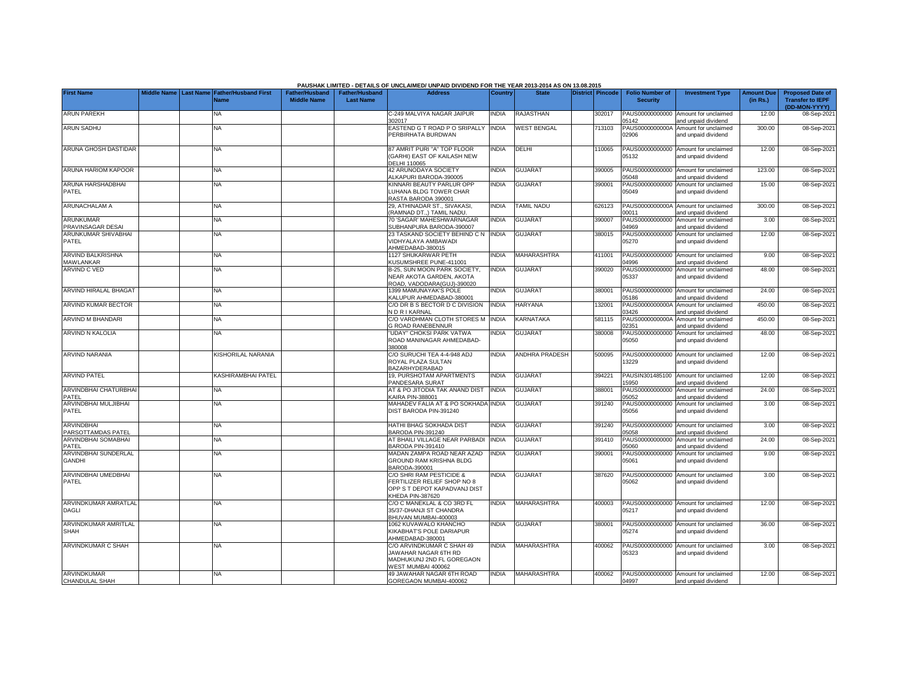|                                         |  |                                                               |                                             |                                           | PAUSHAK LIMITED - DETAILS OF UNCLAIMED/ UNPAID DIVIDEND FOR THE YEAR 2013-2014 AS ON 13.08.2015             |              |                       |                         |                                           |                                                             |                               |                                                                     |
|-----------------------------------------|--|---------------------------------------------------------------|---------------------------------------------|-------------------------------------------|-------------------------------------------------------------------------------------------------------------|--------------|-----------------------|-------------------------|-------------------------------------------|-------------------------------------------------------------|-------------------------------|---------------------------------------------------------------------|
| <b>First Name</b>                       |  | Middle Name   Last Name   Father/Husband First<br><b>Name</b> | <b>Father/Husband</b><br><b>Middle Name</b> | <b>Father/Husband</b><br><b>Last Name</b> | <b>Address</b>                                                                                              | Country      | <b>State</b>          | <b>District Pincode</b> | <b>Folio Number of</b><br><b>Security</b> | <b>Investment Type</b>                                      | <b>Amount Due</b><br>(in Rs.) | <b>Proposed Date of</b><br><b>Transfer to IEPF</b><br>(DD-MON-YYYY) |
| <b>ARUN PAREKH</b>                      |  | <b>NA</b>                                                     |                                             |                                           | C-249 MALVIYA NAGAR JAIPUR<br>302017                                                                        | <b>INDIA</b> | <b>RAJASTHAN</b>      | 302017                  | PAUS00000000000<br>05142                  | Amount for unclaimed<br>and unpaid dividend                 | 12.00                         | 08-Sep-2021                                                         |
| <b>ARUN SADHU</b>                       |  | <b>NA</b>                                                     |                                             |                                           | EASTEND G T ROAD P O SRIPALLY<br>PERBIRHATA BURDWAN                                                         | <b>INDIA</b> | <b>WEST BENGAL</b>    | 713103                  | PAUS0000000000A<br>02906                  | Amount for unclaimed<br>and unpaid dividend                 | 300.00                        | 08-Sep-2021                                                         |
| ARUNA GHOSH DASTIDAR                    |  | <b>NA</b>                                                     |                                             |                                           | 87 AMRIT PURI "A" TOP FLOOR<br>(GARHI) EAST OF KAILASH NEW<br><b>DELHI 110065</b>                           | <b>INDIA</b> | DELHI                 | 110065                  | PAUS00000000000<br>05132                  | Amount for unclaimed<br>and unpaid dividend                 | 12.00                         | 08-Sep-2021                                                         |
| <b>ARUNA HARIOM KAPOOR</b>              |  | <b>NA</b>                                                     |                                             |                                           | 42 ARUNODAYA SOCIETY<br>ALKAPURI BARODA-390005                                                              | <b>INDIA</b> | <b>GUJARAT</b>        | 390005                  | PAUS00000000000<br>05048                  | Amount for unclaimed<br>nd unpaid dividend                  | 123.00                        | 08-Sep-2021                                                         |
| ARUNA HARSHADBHAI<br>PATEL              |  | NΑ                                                            |                                             |                                           | KINNARI BEAUTY PARLUR OPP<br>LUHANA BLDG TOWER CHAR<br>RASTA BARODA 390001                                  | <b>NDIA</b>  | <b>GUJARAT</b>        | 390001                  | PAUS00000000000<br>05049                  | Amount for unclaimed<br>and unpaid dividend                 | 15.00                         | 08-Sep-2021                                                         |
| ARUNACHALAM A                           |  | <b>NA</b>                                                     |                                             |                                           | 29, ATHINADAR ST., SIVAKASI,<br>(RAMNAD DT.,) TAMIL NADU.                                                   | <b>NDIA</b>  | <b>TAMIL NADU</b>     | 326123                  | PAUS0000000000A<br>00011                  | Amount for unclaimed<br>and unpaid dividend                 | 300.00                        | 08-Sep-2021                                                         |
| <b>ARUNKUMAR</b><br>PRAVINSAGAR DESAI   |  | <b>NA</b>                                                     |                                             |                                           | 70 'SAGAR' MAHESHWARNAGAR<br>SUBHANPURA BARODA-390007                                                       | <b>INDIA</b> | <b>GUJARAT</b>        | 390007                  | PAUS00000000000<br>04969                  | Amount for unclaimed<br>and unpaid dividend                 | 3.00                          | 08-Sep-2021                                                         |
| <b>ARUNKUMAR SHIVABHAI</b><br>PATEL     |  | <b>NA</b>                                                     |                                             |                                           | 23 TASKAND SOCIETY BEHIND C N<br>VIDHYALAYA AMBAWADI<br>AHMEDABAD-380015                                    | <b>INDIA</b> | <b>GUJARAT</b>        | 380015                  | PAUS00000000000<br>05270                  | Amount for unclaimed<br>and unpaid dividend                 | 12.00                         | 08-Sep-2021                                                         |
| ARVIND BALKRISHNA<br>MAWLANKAR          |  | NA                                                            |                                             |                                           | 1127 SHUKARWAR PETH<br>KUSUMSHREE PUNE-411001                                                               | <b>INDIA</b> | <b>MAHARASHTRA</b>    | 411001                  | PAUS00000000000<br>04996                  | Amount for unclaimed<br>and unpaid dividend                 | 9.00                          | 08-Sep-2021                                                         |
| ARVIND C VED                            |  | <b>NA</b>                                                     |                                             |                                           | B-25, SUN MOON PARK SOCIETY,<br>NEAR AKOTA GARDEN, AKOTA<br>ROAD, VADODARA(GUJ)-390020                      | <b>INDIA</b> | <b>GUJARAT</b>        | 390020                  | PAUS00000000000<br>05337                  | Amount for unclaimed<br>and unpaid dividend                 | 48.00                         | 08-Sep-2021                                                         |
| <b>ARVIND HIRALAL BHAGAT</b>            |  | <b>NA</b>                                                     |                                             |                                           | 1399 MAMUNAYAK'S POLE<br>KALUPUR AHMEDABAD-380001                                                           | <b>INDIA</b> | <b>GUJARAT</b>        | 380001                  | PAUS00000000000<br>05186                  | Amount for unclaimed<br>and unpaid dividend                 | 24.00                         | 08-Sep-2021                                                         |
| ARVIND KUMAR BECTOR                     |  | <b>NA</b>                                                     |                                             |                                           | C/O DR B S BECTOR D C DIVISION<br>N D R I KARNAL                                                            | <b>INDIA</b> | <b>HARYANA</b>        | 132001                  | PAUS0000000000A<br>03426                  | Amount for unclaimed<br>and unpaid dividend                 | 450.00                        | 08-Sep-2021                                                         |
| ARVIND M BHANDARI                       |  | <b>NA</b>                                                     |                                             |                                           | C/O VARDHMAN CLOTH STORES M<br><b>G ROAD RANEBENNUR</b>                                                     | <b>INDIA</b> | KARNATAKA             | 581115                  | PAUS0000000000A<br>02351                  | Amount for unclaimed<br>and unpaid dividend                 | 450.00                        | 08-Sep-2021                                                         |
| ARVIND N KALOLIA                        |  | <b>NA</b>                                                     |                                             |                                           | 'UDAY" CHOKSI PARK VATWA<br>ROAD MANINAGAR AHMEDABAD-<br>380008                                             | <b>NDIA</b>  | <b>GUJARAT</b>        | 380008                  | PAUS00000000000<br>05050                  | Amount for unclaimed<br>and unpaid dividend                 | 48.00                         | 08-Sep-2021                                                         |
| ARVIND NARANIA                          |  | KISHORILAL NARANIA                                            |                                             |                                           | C/O SURUCHI TEA 4-4-948 ADJ<br>ROYAL PLAZA SULTAN<br><b>BAZARHYDERABAD</b>                                  | <b>NDIA</b>  | <b>ANDHRA PRADESH</b> | 500095                  | PAUS00000000000<br>3229                   | Amount for unclaimed<br>and unpaid dividend                 | 12.00                         | 08-Sep-2021                                                         |
| <b>ARVIND PATEL</b>                     |  | <b>KASHIRAMBHAI PATEL</b>                                     |                                             |                                           | 19, PURSHOTAM APARTMENTS<br>PANDESARA SURAT                                                                 | <b>INDIA</b> | <b>GUJARAT</b>        | 394221                  | PAUSIN301485100<br>5950                   | Amount for unclaimed<br>and unpaid dividend                 | 12.00                         | 08-Sep-2021                                                         |
| ARVINDBHAI CHATURBHAI<br>PATEL          |  | <b>NA</b>                                                     |                                             |                                           | AT & PO JITODIA TAK ANAND DIST<br><b>CAIRA PIN-388001</b>                                                   | <b>INDIA</b> | <b>GUJARAT</b>        | 388001                  | PAUS00000000000<br>05052                  | Amount for unclaimed<br>and unpaid dividend                 | 24.00                         | 08-Sep-2021                                                         |
| ARVINDBHAI MULJIBHAI<br>PATEL           |  | <b>NA</b>                                                     |                                             |                                           | MAHADEV FALIA AT & PO SOKHADA INDIA<br>DIST BARODA PIN-391240                                               |              | <b>GUJARAT</b>        | 391240                  | PAUS00000000000<br>05056                  | Amount for unclaimed<br>and unpaid dividend                 | 3.00                          | 08-Sep-2021                                                         |
| <b>ARVINDBHAI</b><br>PARSOTTAMDAS PATEL |  | NA                                                            |                                             |                                           | HATHI BHAG SOKHADA DIST<br>BARODA PIN-391240                                                                | <b>INDIA</b> | <b>GUJARAT</b>        | 391240                  | PAUS00000000000<br>05058                  | Amount for unclaimed<br>and unpaid dividend                 | 3.00                          | 08-Sep-2021                                                         |
| ARVINDBHAI SOMABHAI<br>PATEL            |  | <b>NA</b>                                                     |                                             |                                           | AT BHAILI VILLAGE NEAR PARBADI<br>BARODA PIN-391410                                                         | <b>INDIA</b> | <b>GUJARAT</b>        | 391410                  | PAUS00000000000<br>05060                  | Amount for unclaimed<br>and unpaid dividend                 | 24.00                         | 08-Sep-2021                                                         |
| ARVINDBHAI SUNDERLAL<br><b>GANDHI</b>   |  | <b>NA</b>                                                     |                                             |                                           | MADAN ZAMPA ROAD NEAR AZAD<br>GROUND RAM KRISHNA BLDG<br>BARODA-390001                                      | <b>INDIA</b> | <b>GUJARAT</b>        | 390001                  | PAUS00000000000<br>05061                  | Amount for unclaimed<br>and unpaid dividend                 | 9.00                          | 08-Sep-2021                                                         |
| ARVINDBHAI UMEDBHAI<br>PATEL            |  | NA                                                            |                                             |                                           | C/O SHRI RAM PESTICIDE &<br>FERTILIZER RELIEF SHOP NO 8<br>OPP S T DEPOT KAPADVANJ DIST<br>KHEDA PIN-387620 | <b>NDIA</b>  | <b>GUJARAT</b>        | 387620                  | 05062                                     | PAUS00000000000 Amount for unclaimed<br>and unpaid dividend | 3.00                          | 08-Sep-2021                                                         |
| ARVINDKUMAR AMRATLAL<br>DAGLI           |  | <b>NA</b>                                                     |                                             |                                           | C/O C MANEKLAL & CO 3RD FL<br>35/37-DHANJI ST CHANDRA<br>BHUVAN MUMBAI-400003                               | <b>INDIA</b> | <b>MAHARASHTRA</b>    | 400003                  | PAUS00000000000<br>05217                  | Amount for unclaimed<br>and unpaid dividend                 | 12.00                         | 08-Sep-2021                                                         |
| ARVINDKUMAR AMRITLAL<br><b>SHAH</b>     |  | NA                                                            |                                             |                                           | 1062 KUVAWALO KHANCHO<br>KIKABHAT'S POLE DARIAPUR<br>AHMEDABAD-380001                                       | <b>INDIA</b> | <b>GUJARAT</b>        | 380001                  | PAUS00000000000<br>05274                  | Amount for unclaimed<br>and unpaid dividend                 | 36.00                         | 08-Sep-2021                                                         |
| ARVINDKUMAR C SHAH                      |  | <b>NA</b>                                                     |                                             |                                           | C/O ARVINDKUMAR C SHAH 49<br>JAWAHAR NAGAR 6TH RD<br>MADHUKUNJ 2ND FL GOREGAON<br>WEST MUMBAI 400062        | <b>NDIA</b>  | <b>MAHARASHTRA</b>    | 400062                  | 05323                                     | PAUS00000000000 Amount for unclaimed<br>and unpaid dividend | 3.00                          | 08-Sep-2021                                                         |
| ARVINDKUMAR<br>CHANDULAL SHAH           |  | <b>NA</b>                                                     |                                             |                                           | 49 JAWAHAR NAGAR 6TH ROAD<br>GOREGAON MUMBAI-400062                                                         | <b>NDIA</b>  | <b>MAHARASHTRA</b>    | 400062                  | PAUS00000000000<br>04997                  | Amount for unclaimed<br>and unpaid dividend                 | 12.00                         | 08-Sep-2021                                                         |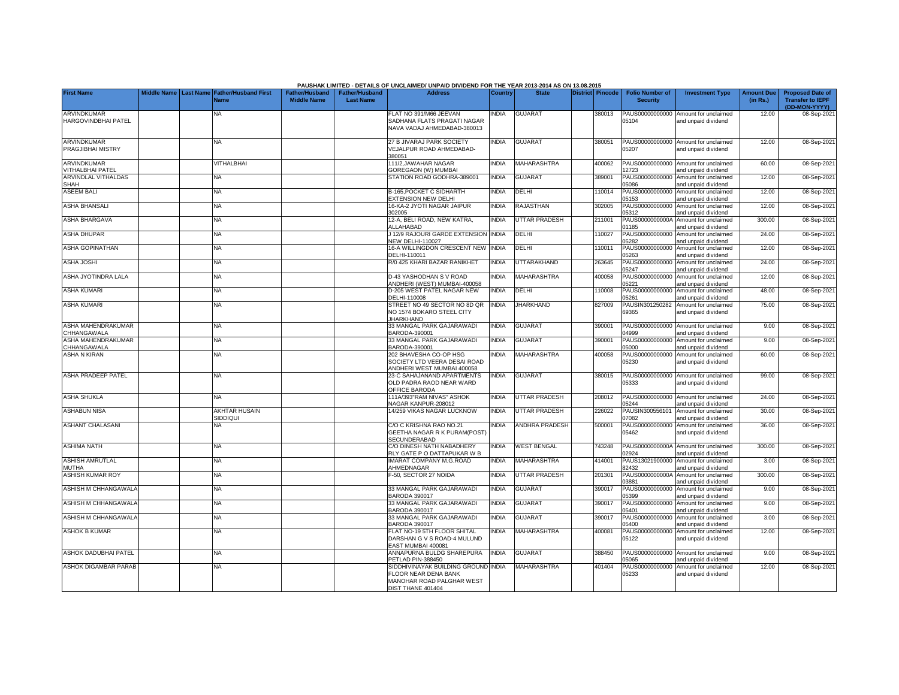|                                           |                    |                  |                                  |                       |                       | PAUSHAK LIMITED - DETAILS OF UNCLAIMED/ UNPAID DIVIDEND FOR THE YEAR 2013-2014 AS ON 13.08.2015                |                |                      |                         |                          |                                                             |                   |                                          |
|-------------------------------------------|--------------------|------------------|----------------------------------|-----------------------|-----------------------|----------------------------------------------------------------------------------------------------------------|----------------|----------------------|-------------------------|--------------------------|-------------------------------------------------------------|-------------------|------------------------------------------|
| <b>First Name</b>                         | <b>Middle Name</b> | <b>Last Name</b> | <b>Father/Husband First</b>      | <b>Father/Husband</b> | <b>Father/Husband</b> | <b>Address</b>                                                                                                 | <b>Country</b> | <b>State</b>         | <b>District Pincode</b> | <b>Folio Number of</b>   | <b>Investment Type</b>                                      | <b>Amount Due</b> | <b>Proposed Date of</b>                  |
|                                           |                    |                  | <b>Name</b>                      | <b>Middle Name</b>    | <b>Last Name</b>      |                                                                                                                |                |                      |                         | <b>Security</b>          |                                                             | (in Rs.)          | <b>Transfer to IEPF</b><br>(DD-MON-YYYY) |
| ARVINDKUMAR<br><b>HARGOVINDBHAI PATEL</b> |                    |                  | NA                               |                       |                       | FLAT NO 391/M66 JEEVAN<br>SADHANA FLATS PRAGATI NAGAR<br>NAVA VADAJ AHMEDABAD-380013                           | NDIA           | <b>GUJARAT</b>       | 380013                  | 05104                    | PAUS00000000000 Amount for unclaimed<br>and unpaid dividend | 12.00             | 08-Sep-2021                              |
|                                           |                    |                  |                                  |                       |                       |                                                                                                                |                |                      |                         |                          |                                                             |                   |                                          |
| ARVINDKUMAR<br>PRAGJIBHAI MISTRY          |                    |                  | NA                               |                       |                       | 27 B JIVARAJ PARK SOCIETY<br>VEJALPUR ROAD AHMEDABAD-<br>380051                                                | <b>NDIA</b>    | <b>GUJARAT</b>       | 380051                  | 05207                    | PAUS00000000000 Amount for unclaimed<br>and unpaid dividend | 12.00             | 08-Sep-2021                              |
| ARVINDKUMAR<br><b>VITHALBHAI PATEL</b>    |                    |                  | VITHALBHAI                       |                       |                       | 111/2, JAWAHAR NAGAR<br>GOREGAON (W) MUMBAI                                                                    | <b>NDIA</b>    | MAHARASHTRA          | 400062                  | 2723                     | PAUS00000000000 Amount for unclaimed<br>and unpaid dividend | 60.00             | 08-Sep-2021                              |
| ARVINDLAL VITHALDAS<br>SHAH               |                    |                  | <b>NA</b>                        |                       |                       | STATION ROAD GODHRA-389001                                                                                     | <b>INDIA</b>   | <b>GUJARAT</b>       | 389001                  | 05086                    | PAUS00000000000 Amount for unclaimed<br>and unpaid dividend | 12.00             | 08-Sep-2021                              |
| <b>ASEEM BALI</b>                         |                    |                  | <b>NA</b>                        |                       |                       | <b>B-165.POCKET C SIDHARTH</b><br><b>EXTENSION NEW DELHI</b>                                                   | <b>NDIA</b>    | DELHI                | 110014                  | 05153                    | PAUS00000000000 Amount for unclaimed<br>and unpaid dividend | 12.00             | 08-Sep-2021                              |
| <b>ASHA BHANSALI</b>                      |                    |                  | <b>NA</b>                        |                       |                       | 16-KA-2 JYOTI NAGAR JAIPUR<br>302005                                                                           | INDIA          | RAJASTHAN            | 302005                  | PAUS00000000000<br>05312 | Amount for unclaimed<br>and unpaid dividend                 | 12.00             | 08-Sep-202                               |
| <b>ASHA BHARGAVA</b>                      |                    |                  | <b>NA</b>                        |                       |                       | 12-A, BELI ROAD, NEW KATRA,<br>ALLAHABAD                                                                       | <b>INDIA</b>   | UTTAR PRADESH        | 211001                  | 01185                    | PAUS0000000000A Amount for unclaimed<br>and unpaid dividend | 300.00            | 08-Sep-202                               |
| <b>ASHA DHUPAR</b>                        |                    |                  | <b>NA</b>                        |                       |                       | J 12/9 RAJOURI GARDE EXTENSION INDIA<br><b>JEW DELHI-110027</b>                                                |                | DELHI                | 110027                  | PAUS00000000000<br>05282 | Amount for unclaimed<br>and unpaid dividend                 | 24.00             | 08-Sep-202                               |
| <b>ASHA GOPINATHAN</b>                    |                    |                  | NA                               |                       |                       | 16-A WILLINGDON CRESCENT NEW<br>DELHI-110011                                                                   | <b>INDIA</b>   | DELHI                | 110011                  | PAUS00000000000<br>05263 | Amount for unclaimed<br>and unpaid dividend                 | 12.00             | 08-Sep-2021                              |
| <b>ASHA JOSHI</b>                         |                    |                  | <b>NA</b>                        |                       |                       | R/0 425 KHARI BAZAR RANIKHET                                                                                   | <b>INDIA</b>   | UTTARAKHAND          | 263645                  | PAUS00000000000<br>05247 | Amount for unclaimed<br>and unpaid dividend                 | 24.00             | 08-Sep-2021                              |
| ASHA JYOTINDRA LALA                       |                    |                  | <b>NA</b>                        |                       |                       | D-43 YASHODHAN S V ROAD<br>ANDHERI (WEST) MUMBAI-400058                                                        | <b>INDIA</b>   | <b>MAHARASHTRA</b>   | 400058                  | PAUS00000000000<br>15221 | Amount for unclaimed<br>nd unpaid dividend                  | 12.00             | 08-Sep-2021                              |
| <b>ASHA KUMARI</b>                        |                    |                  | <b>NA</b>                        |                       |                       | D-205 WEST PATEL NAGAR NEW<br>DELHI-110008                                                                     | <b>INDIA</b>   | DELHI                | 110008                  | PAUS00000000000<br>5261  | Amount for unclaimed<br>and unpaid dividend                 | 48.00             | 08-Sep-202                               |
| <b>ASHA KUMARI</b>                        |                    |                  | <b>NA</b>                        |                       |                       | STREET NO 49 SECTOR NO 8D QR<br>NO 1574 BOKARO STEEL CITY<br><b>JHARKHAND</b>                                  | <b>INDIA</b>   | <b>JHARKHAND</b>     | 827009                  | PAUSIN301250282<br>69365 | Amount for unclaimed<br>and unpaid dividend                 | 75.00             | 08-Sep-2021                              |
| ASHA MAHENDRAKUMAR<br>CHHANGAWALA         |                    |                  | <b>NA</b>                        |                       |                       | 33 MANGAL PARK GAJARAWADI<br>BARODA-390001                                                                     | <b>INDIA</b>   | <b>GUJARAT</b>       | 390001                  | 14999                    | PAUS00000000000 Amount for unclaimed<br>and unpaid dividend | 9.00              | 08-Sep-2021                              |
| ASHA MAHENDRAKUMAR<br>CHHANGAWALA         |                    |                  | NA.                              |                       |                       | 33 MANGAL PARK GAJARAWADI<br>BARODA-390001                                                                     | <b>NDIA</b>    | <b>GUJARAT</b>       | 390001                  | 05000                    | PAUS00000000000 Amount for unclaimed<br>and unpaid dividend | 9.00              | 08-Sep-2021                              |
| <b>ASHA N KIRAN</b>                       |                    |                  | NA.                              |                       |                       | 202 BHAVESHA CO-OP HSG<br>SOCIETY LTD VEERA DESAI ROAD<br>ANDHERI WEST MUMBAI 400058                           | NDIA           | <b>MAHARASHTRA</b>   | 400058                  | PAUS00000000000<br>05230 | Amount for unclaimed<br>and unpaid dividend                 | 60.00             | 08-Sep-2021                              |
| ASHA PRADEEP PATEL                        |                    |                  | <b>NA</b>                        |                       |                       | 23-C SAHAJANAND APARTMENTS<br>OLD PADRA RAOD NEAR WARD<br>OFFICE BARODA                                        | <b>INDIA</b>   | <b>GUJARAT</b>       | 380015                  | 05333                    | PAUS00000000000 Amount for unclaimed<br>and unpaid dividend | 99.00             | 08-Sep-2021                              |
| <b>ASHA SHUKLA</b>                        |                    |                  | NA.                              |                       |                       | 111A/393"RAM NIVAS" ASHOK<br>NAGAR KANPUR-208012                                                               | <b>NDIA</b>    | <b>UTTAR PRADESH</b> | 208012                  | 5244                     | PAUS00000000000 Amount for unclaimed<br>and unpaid dividend | 24.00             | 08-Sep-202                               |
| <b>ASHABUN NISA</b>                       |                    |                  | <b>AKHTAR HUSAIN</b><br>SIDDIQUI |                       |                       | 14/259 VIKAS NAGAR LUCKNOW                                                                                     | <b>NDIA</b>    | UTTAR PRADESH        | 226022                  | PAUSIN300556101<br>)7082 | Amount for unclaimed<br>and unpaid dividend                 | 30.00             | 08-Sep-2021                              |
| <b>ASHANT CHALASANI</b>                   |                    |                  | NA                               |                       |                       | C/O C KRISHNA RAO NO.21<br>GEETHA NAGAR R K PURAM(POST)<br>SECUNDERABAD                                        | <b>NDIA</b>    | ANDHRA PRADESH       | 500001                  | PAUS00000000000<br>05462 | Amount for unclaimed<br>and unpaid dividend                 | 36.00             | 08-Sep-202                               |
| <b>ASHIMA NATH</b>                        |                    |                  | NA                               |                       |                       | C/O DINESH NATH NABADHERY<br>RLY GATE P O DATTAPUKAR W B                                                       | <b>INDIA</b>   | <b>WEST BENGAL</b>   | 743248                  | )2924                    | PAUS0000000000A Amount for unclaimed<br>and unpaid dividend | 300.00            | 08-Sep-202                               |
| <b>ASHISH AMRUTLAL</b><br><b>MUTHA</b>    |                    |                  | <b>NA</b>                        |                       |                       | <b>MARAT COMPANY M.G.ROAD</b><br>AHMEDNAGAR                                                                    | <b>INDIA</b>   | <b>MAHARASHTRA</b>   | 414001                  | PAUS13021900000<br>82432 | Amount for unclaimed<br>and unpaid dividend                 | 3.00              | 08-Sep-2021                              |
| ASHISH KUMAR ROY                          |                    |                  | <b>NA</b>                        |                       |                       | F-50, SECTOR 27 NOIDA                                                                                          | <b>INDIA</b>   | <b>UTTAR PRADESH</b> | 201301                  | PAUS0000000000A<br>3881  | Amount for unclaimed<br>nd unpaid dividend                  | 300.00            | 08-Sep-2021                              |
| ASHISH M CHHANGAWALA                      |                    |                  | <b>NA</b>                        |                       |                       | 33 MANGAL PARK GAJARAWADI<br>BARODA 390017                                                                     | <b>INDIA</b>   | <b>GUJARAT</b>       | 390017                  | PAUS00000000000<br>15399 | Amount for unclaimed<br>and unpaid dividend                 | 9.00              | 08-Sep-2021                              |
| ASHISH M CHHANGAWALA                      |                    |                  | <b>NA</b>                        |                       |                       | 33 MANGAL PARK GAJARAWADI<br>3ARODA 390017                                                                     | <b>NDIA</b>    | <b>GUJARAT</b>       | 390017                  | PAUS00000000000<br>05401 | Amount for unclaimed<br>and unpaid dividend                 | 9.00              | 08-Sep-2021                              |
| ASHISH M CHHANGAWALA                      |                    |                  | NA                               |                       |                       | 33 MANGAL PARK GAJARAWADI<br>BARODA 390017                                                                     | <b>NDIA</b>    | <b>GUJARAT</b>       | 390017                  | PAUS00000000000<br>05400 | Amount for unclaimed<br>and unpaid dividend                 | 3.00              | 08-Sep-2021                              |
| <b>ASHOK B KUMAR</b>                      |                    |                  | NA                               |                       |                       | FLAT NO-19 5TH FLOOR SHITAL<br>DARSHAN G V S ROAD-4 MULUND<br>EAST MUMBAI 400081                               | <b>NDIA</b>    | MAHARASHTRA          | 400081                  | 05122                    | PAUS00000000000 Amount for unclaimed<br>and unpaid dividend | 12.00             | 08-Sep-2021                              |
| <b>ASHOK DADUBHAI PATEL</b>               |                    |                  | NA                               |                       |                       | ANNAPURNA BULDG SHAREPURA<br>PETLAD PIN-388450                                                                 | <b>NDIA</b>    | <b>GUJARAT</b>       | 388450                  | 5065                     | PAUS00000000000 Amount for unclaimed<br>and unpaid dividend | 9.00              | 08-Sep-202                               |
| <b>ASHOK DIGAMBAR PARAB</b>               |                    |                  | NA.                              |                       |                       | SIDDHIVINAYAK BUILDING GROUND<br><b>FLOOR NEAR DENA BANK</b><br>MANOHAR ROAD PALGHAR WEST<br>DIST THANE 401404 | <b>INDIA</b>   | <b>MAHARASHTRA</b>   | 401404                  | PAUS00000000000<br>05233 | Amount for unclaimed<br>and unpaid dividend                 | 12.00             | 08-Sep-2021                              |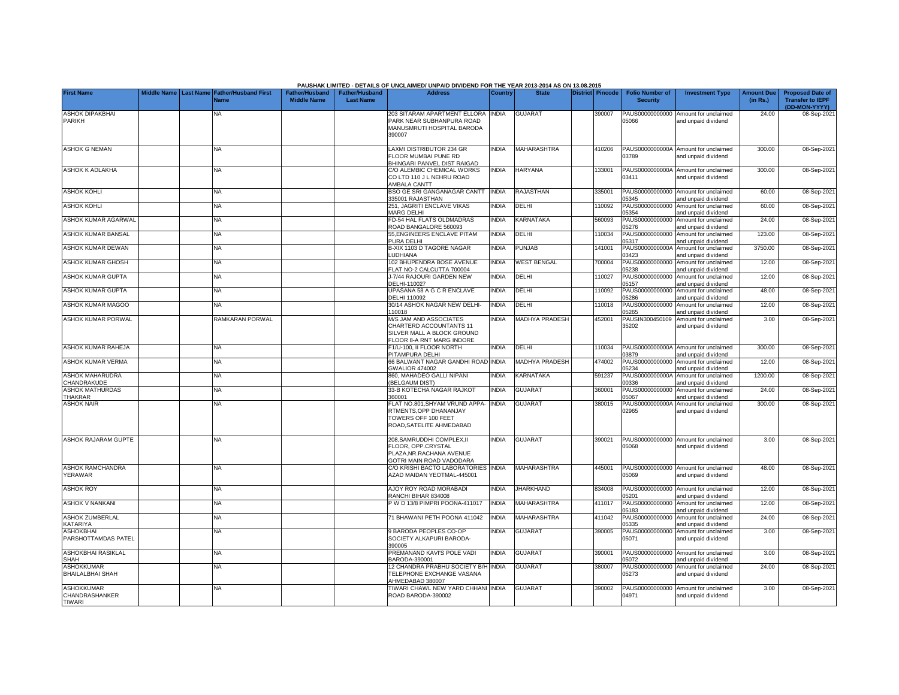|                                                      |                    |                                               |                                             |                                           | PAUSHAK LIMITED - DETAILS OF UNCLAIMED/ UNPAID DIVIDEND FOR THE YEAR 2013-2014 AS ON 13.08.2015              |                |                       |                  |                                           |                                                             |                               |                                                                     |
|------------------------------------------------------|--------------------|-----------------------------------------------|---------------------------------------------|-------------------------------------------|--------------------------------------------------------------------------------------------------------------|----------------|-----------------------|------------------|-------------------------------------------|-------------------------------------------------------------|-------------------------------|---------------------------------------------------------------------|
| <b>First Name</b>                                    | <b>Middle Name</b> | <b>Last Name Father/Husband First</b><br>Vame | <b>Father/Husband</b><br><b>Middle Name</b> | <b>Father/Husband</b><br><b>Last Name</b> | <b>Address</b>                                                                                               | <b>Country</b> | <b>State</b>          | District Pincode | <b>Folio Number of</b><br><b>Security</b> | <b>Investment Type</b>                                      | <b>Amount Due</b><br>(in Rs.) | <b>Proposed Date of</b><br><b>Transfer to IEPF</b><br>(DD-MON-YYYY) |
| <b>ASHOK DIPAKBHAI</b><br><b>PARIKH</b>              |                    | NA                                            |                                             |                                           | 203 SITARAM APARTMENT ELLORA<br>PARK NEAR SUBHANPURA ROAD<br>MANUSMRUTI HOSPITAL BARODA<br>390007            | <b>INDIA</b>   | <b>GUJARAT</b>        | 390007           | PAUS00000000000<br>05066                  | Amount for unclaimed<br>and unpaid dividend                 | 24.00                         | 08-Sep-202                                                          |
| <b>ASHOK G NEMAN</b>                                 |                    | <b>NA</b>                                     |                                             |                                           | LAXMI DISTRIBUTOR 234 GR<br>FLOOR MUMBAI PUNE RD<br>BHINGARI PANVEL DIST RAIGAD                              | <b>INDIA</b>   | MAHARASHTRA           | 410206           | PAUS0000000000A<br>03789                  | Amount for unclaimed<br>and unpaid dividend                 | 300.00                        | 08-Sep-202                                                          |
| <b>ASHOK K ADLAKHA</b>                               |                    | <b>NA</b>                                     |                                             |                                           | C/O ALEMBIC CHEMICAL WORKS<br>CO LTD 110 J L NEHRU ROAD<br><b>AMBALA CANTT</b>                               | <b>INDIA</b>   | <b>HARYANA</b>        | 133001           | 03411                                     | PAUS0000000000A Amount for unclaimed<br>and unpaid dividend | 300.00                        | 08-Sep-2021                                                         |
| <b>ASHOK KOHLI</b>                                   |                    | <b>NA</b>                                     |                                             |                                           | BSO GE SRI GANGANAGAR CANTT<br>335001 RAJASTHAN                                                              | <b>INDIA</b>   | RAJASTHAN             | 335001           | PAUS00000000000<br>05345                  | Amount for unclaimed<br>and unpaid dividend                 | 60.00                         | 08-Sep-202                                                          |
| <b>ASHOK KOHLI</b>                                   |                    | NA                                            |                                             |                                           | 251, JAGRITI ENCLAVE VIKAS<br>MARG DELHI                                                                     | INDIA          | DELHI                 | 110092           | PAUS00000000000<br>05354                  | Amount for unclaimed<br>and unpaid dividend                 | 60.00                         | 08-Sep-202                                                          |
| ASHOK KUMAR AGARWAL                                  |                    | NA.                                           |                                             |                                           | FD-54 HAL FLATS OLDMADRAS<br>ROAD BANGALORE 560093                                                           | <b>INDIA</b>   | KARNATAKA             | 560093           | PAUS00000000000<br>05276                  | Amount for unclaimed<br>and unpaid dividend                 | 24.00                         | 08-Sep-202                                                          |
| ASHOK KUMAR BANSAL                                   |                    | NA                                            |                                             |                                           | 55, ENGINEERS ENCLAVE PITAM<br>PURA DELHI                                                                    | <b>INDIA</b>   | DELHI                 | 110034           | PAUS00000000000<br>05317                  | Amount for unclaimed<br>and unpaid dividend                 | 123.00                        | 08-Sep-202                                                          |
| ASHOK KUMAR DEWAN                                    |                    | NA                                            |                                             |                                           | B-XIX 1103 D TAGORE NAGAR<br><b>LUDHIANA</b>                                                                 | INDIA          | PUNJAB                | 141001           | PAUS0000000000A<br>03423                  | Amount for unclaimed<br>and unpaid dividend                 | 3750.00                       | 08-Sep-202                                                          |
| ASHOK KUMAR GHOSH                                    |                    | <b>NA</b>                                     |                                             |                                           | 102 BHUPENDRA BOSE AVENUE<br>FLAT NO-2 CALCUTTA 700004                                                       | <b>INDIA</b>   | <b>WEST BENGAL</b>    | 700004           | PAUS00000000000<br>05238                  | Amount for unclaimed<br>and unpaid dividend                 | 12.00                         | 08-Sep-202                                                          |
| ASHOK KUMAR GUPTA                                    |                    | <b>NA</b>                                     |                                             |                                           | J-7/44 RAJOURI GARDEN NEW<br>DELHI-110027                                                                    | <b>INDIA</b>   | DELHI                 | 110027           | PAUS00000000000<br>05157                  | Amount for unclaimed<br>and unpaid dividend                 | 12.00                         | 08-Sep-202                                                          |
| <b>ASHOK KUMAR GUPTA</b>                             |                    | <b>NA</b>                                     |                                             |                                           | UPASANA 58 A G C R ENCLAVE<br>DELHI 110092                                                                   | <b>INDIA</b>   | DELHI                 | 110092           | PAUS00000000000<br>05286                  | Amount for unclaimed<br>and unpaid dividend                 | 48.00                         | 08-Sep-202                                                          |
| ASHOK KUMAR MAGOO                                    |                    | <b>NA</b>                                     |                                             |                                           | 30/14 ASHOK NAGAR NEW DELHI-<br>110018                                                                       | <b>INDIA</b>   | DELHI                 | 110018           | PAUS00000000000<br>5265                   | Amount for unclaimed<br>and unpaid dividend                 | 12.00                         | 08-Sep-202                                                          |
| ASHOK KUMAR PORWAL                                   |                    | RAMKARAN PORWAL                               |                                             |                                           | M/S JAM AND ASSOCIATES<br>CHARTERD ACCOUNTANTS 11<br>SILVER MALL A BLOCK GROUND<br>FLOOR 8-A RNT MARG INDORE | <b>INDIA</b>   | <b>MADHYA PRADESH</b> | 452001           | PAUSIN300450109<br>35202                  | Amount for unclaimed<br>and unpaid dividend                 | 3.00                          | 08-Sep-202                                                          |
| ASHOK KUMAR RAHEJA                                   |                    | <b>NA</b>                                     |                                             |                                           | F1/U-100, II FLOOR NORTH<br>PITAMPURA DELHI                                                                  | <b>INDIA</b>   | DELHI                 | 110034           | 03879                                     | PAUS0000000000A Amount for unclaimed<br>and unpaid dividend | 300.00                        | 08-Sep-202                                                          |
| ASHOK KUMAR VERMA                                    |                    | NA                                            |                                             |                                           | 66 BALWANT NAGAR GANDHI ROAD INDIA<br><b>GWALIOR 474002</b>                                                  |                | MADHYA PRADESH        | 474002           | PAUS00000000000<br>05234                  | Amount for unclaimed<br>and unpaid dividend                 | 12.00                         | 08-Sep-202                                                          |
| <b>ASHOK MAHARUDRA</b><br>CHANDRAKUDE                |                    | NA                                            |                                             |                                           | 860, MAHADEO GALLI NIPANI<br>(BELGAUM DIST)                                                                  | <b>INDIA</b>   | KARNATAKA             | 591237           | PAUS0000000000A<br>0336                   | Amount for unclaimed<br>and unpaid dividend                 | 1200.00                       | 08-Sep-202                                                          |
| <b>ASHOK MATHURDAS</b><br><b>THAKRAR</b>             |                    | <b>NA</b>                                     |                                             |                                           | 33-B KOTECHA NAGAR RAJKOT<br>360001                                                                          | <b>INDIA</b>   | GUJARAT               | 360001           | PAUS00000000000<br>5067                   | Amount for unclaimed<br>and unpaid dividend                 | 24.00                         | 08-Sep-202                                                          |
| <b>ASHOK NAIR</b>                                    |                    | <b>NA</b>                                     |                                             |                                           | FLAT NO.801, SHYAM VRUND APPA-<br>RTMENTS.OPP DHANANJAY<br>TOWERS OFF 100 FEET<br>ROAD, SATELITE AHMEDABAD   | <b>INDIA</b>   | GUJARAT               | 380015           | PAUS0000000000A<br>02965                  | Amount for unclaimed<br>and unpaid dividend                 | 300.00                        | 08-Sep-202                                                          |
| <b>ASHOK RAJARAM GUPTE</b>                           |                    | <b>NA</b>                                     |                                             |                                           | 208.SAMRUDDHI COMPLEX.II<br>FLOOR, OPP.CRYSTAL<br>PLAZA, NR. RACHANA AVENUE<br>GOTRI MAIN ROAD VADODARA      | <b>INDIA</b>   | <b>GUJARAT</b>        | 390021           | 05068                                     | PAUS00000000000 Amount for unclaimed<br>and unpaid dividend | 3.00                          | 08-Sep-2021                                                         |
| <b>ASHOK RAMCHANDRA</b><br>YERAWAR                   |                    | <b>NA</b>                                     |                                             |                                           | C/O KRISHI BACTO LABORATORIES INDIA<br>AZAD MAIDAN YEOTMAL-445001                                            |                | <b>MAHARASHTRA</b>    | 445001           | 05069                                     | PAUS00000000000 Amount for unclaimed<br>and unpaid dividend | 48.00                         | 08-Sep-2021                                                         |
| <b>ASHOK ROY</b>                                     |                    | <b>NA</b>                                     |                                             |                                           | AJOY ROY ROAD MORABADI<br>RANCHI BIHAR 834008                                                                | <b>INDIA</b>   | <b>JHARKHAND</b>      | 834008           | 05201                                     | PAUS00000000000 Amount for unclaimed<br>and unpaid dividend | 12.00                         | 08-Sep-202                                                          |
| <b>ASHOK V NANKANI</b>                               |                    | <b>NA</b>                                     |                                             |                                           | P W D 13/8 PIMPRI POONA-411017                                                                               | <b>INDIA</b>   | MAHARASHTRA           | 411017           | PAUS00000000000<br>05183                  | Amount for unclaimed<br>and unpaid dividend                 | 12.00                         | 08-Sep-202                                                          |
| <b>ASHOK ZUMBERLAL</b><br>KATARIYA                   |                    | <b>NA</b>                                     |                                             |                                           | 71 BHAWANI PETH POONA 411042                                                                                 | <b>INDIA</b>   | MAHARASHTRA           | 411042           | 05335                                     | PAUS00000000000 Amount for unclaimed<br>and unpaid dividend | 24.00                         | 08-Sep-202                                                          |
| <b>ASHOKBHAI</b><br>PARSHOTTAMDAS PATEL              |                    | <b>NA</b>                                     |                                             |                                           | <b>BARODA PEOPLES CO-OP</b><br>SOCIETY ALKAPURI BARODA-<br>390005                                            | <b>INDIA</b>   | <b>GUJARAT</b>        | 390005           | 05071                                     | PAUS00000000000 Amount for unclaimed<br>and unpaid dividend | 3.00                          | 08-Sep-202                                                          |
| <b>ASHOKBHAI RASIKLAL</b><br><b>SHAH</b>             |                    | NA                                            |                                             |                                           | PREMANAND KAVI'S POLE VADI<br>3ARODA-390001                                                                  | <b>INDIA</b>   | <b>GUJARAT</b>        | 390001           | 05072                                     | PAUS00000000000 Amount for unclaimed<br>and unpaid dividend | 3.00                          | 08-Sep-202                                                          |
| <b>ASHOKKUMAR</b><br><b>BHAILALBHAI SHAH</b>         |                    | <b>NA</b>                                     |                                             |                                           | 12 CHANDRA PRABHU SOCIETY B/H INDIA<br>TELEPHONE EXCHANGE VASANA<br>AHMEDABAD 380007                         |                | <b>GUJARAT</b>        | 380007           | 05273                                     | PAUS00000000000 Amount for unclaimed<br>and unpaid dividend | 24.00                         | 08-Sep-202                                                          |
| <b>ASHOKKUMAR</b><br>CHANDRASHANKER<br><b>TIWARI</b> |                    | <b>NA</b>                                     |                                             |                                           | TIWARI CHAWL NEW YARD CHHANI INDIA<br>ROAD BARODA-390002                                                     |                | <b>GUJARAT</b>        | 390002           | 04971                                     | PAUS00000000000 Amount for unclaimed<br>and unpaid dividend | 3.00                          | 08-Sep-202                                                          |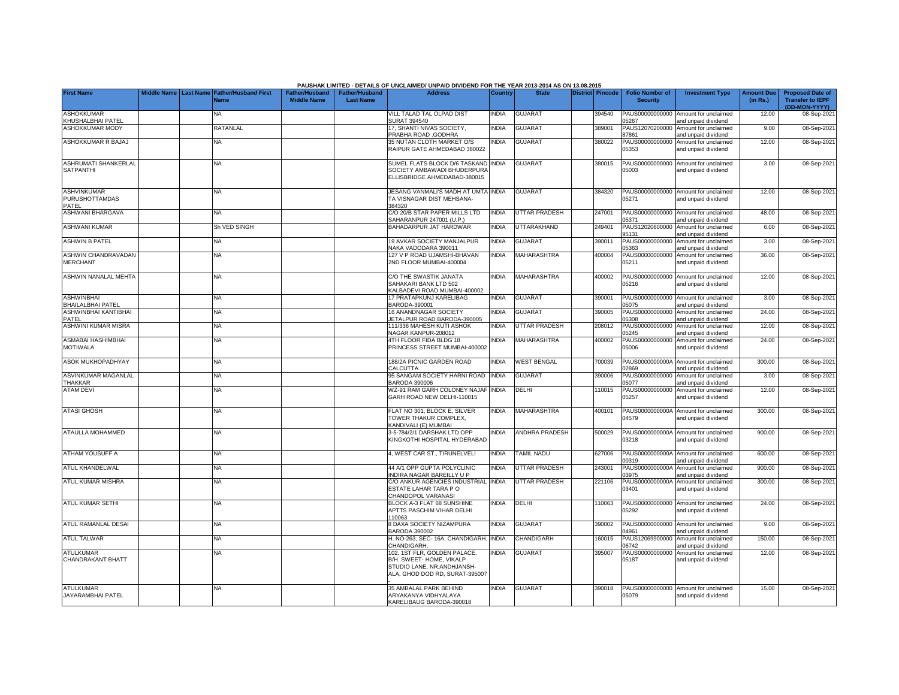|                                                      |             |                  |                                            |                                             |                                           | PAUSHAK LIMITED - DETAILS OF UNCLAIMED/ UNPAID DIVIDEND FOR THE YEAR 2013-2014 AS ON 13.08.2015                          |              |                      |                         |                                           |                                                             |                               |                                                                     |
|------------------------------------------------------|-------------|------------------|--------------------------------------------|---------------------------------------------|-------------------------------------------|--------------------------------------------------------------------------------------------------------------------------|--------------|----------------------|-------------------------|-------------------------------------------|-------------------------------------------------------------|-------------------------------|---------------------------------------------------------------------|
| <b>First Name</b>                                    | Middle Name | <b>Last Name</b> | <b>Father/Husband First</b><br><b>Name</b> | <b>Father/Husband</b><br><b>Middle Name</b> | <b>Father/Husband</b><br><b>Last Name</b> | <b>Address</b>                                                                                                           | Country      | <b>State</b>         | <b>District Pincode</b> | <b>Folio Number of</b><br><b>Security</b> | <b>Investment Type</b>                                      | <b>Amount Due</b><br>(in Rs.) | <b>Proposed Date of</b><br><b>Transfer to IEPF</b><br>(DD-MON-YYYY) |
| <b>ASHOKKUMAR</b><br>KHUSHALBHAI PATEL               |             |                  | NA                                         |                                             |                                           | VILL TALAD TAL OLPAD DIST<br><b>SURAT 394540</b>                                                                         | <b>INDIA</b> | <b>GUJARAT</b>       | 394540                  | PAUS00000000000<br>05267                  | Amount for unclaimed<br>and unpaid dividend                 | 12.00                         | 08-Sep-2021                                                         |
| <b>ASHOKKUMAR MODY</b>                               |             |                  | RATANLAL                                   |                                             |                                           | 17. SHANTI NIVAS SOCIETY.<br><b>PRABHA ROAD .GODHRA</b>                                                                  | <b>INDIA</b> | <b>GUJARAT</b>       | 389001                  | PAUS12070200000<br>87861                  | Amount for unclaimed<br>and unpaid dividend                 | 9.00                          | 08-Sep-2021                                                         |
| ASHOKKUMAR R BAJAJ                                   |             |                  | NA.                                        |                                             |                                           | 35 NUTAN CLOTH MARKET O/S<br>RAIPUR GATE AHMEDABAD 380022                                                                | <b>NDIA</b>  | <b>GUJARAT</b>       | 380022                  | PAUS00000000000<br>05353                  | Amount for unclaimed<br>and unpaid dividend                 | 12.00                         | 08-Sep-2021                                                         |
| ASHRUMATI SHANKERLAL<br><b>SATPANTHI</b>             |             |                  | <b>NA</b>                                  |                                             |                                           | SUMEL FLATS BLOCK D/6 TASKAND INDIA<br>SOCIETY AMBAWADI BHUDERPURA<br>ELLISBRIDGE AHMEDABAD-380015                       |              | <b>GUJARAT</b>       | 380015                  | PAUS00000000000<br>05003                  | Amount for unclaimed<br>and unpaid dividend                 | 3.00                          | 08-Sep-2021                                                         |
| <b>ASHVINKUMAR</b><br><b>PURUSHOTTAMDAS</b><br>PATEL |             |                  | <b>NA</b>                                  |                                             |                                           | JESANG VANMALI'S MADH AT UMTA INDIA<br>TA VISNAGAR DIST MEHSANA-<br>384320                                               |              | <b>GUJARAT</b>       | 384320                  | PAUS00000000000<br>05271                  | Amount for unclaimed<br>and unpaid dividend                 | 12.00                         | 08-Sep-2021                                                         |
| ASHWANI BHARGAVA                                     |             |                  | <b>NA</b>                                  |                                             |                                           | C/O 20/B STAR PAPER MILLS LTD<br>AHARANPUR 247001 (U.P.)                                                                 | <b>INDIA</b> | <b>UTTAR PRADESH</b> | 247001                  | PAUS00000000000<br>05371                  | Amount for unclaimed<br>and unpaid dividend                 | 48.00                         | 08-Sep-2021                                                         |
| <b>ASHWANI KUMAR</b>                                 |             |                  | Sh VED SINGH                               |                                             |                                           | BAHADARPUR JAT HARDWAR                                                                                                   | <b>NDIA</b>  | UTTARAKHAND          | 249401                  | PAUS12020600000<br>95131                  | Amount for unclaimed<br>and unpaid dividend                 | 6.00                          | 08-Sep-2021                                                         |
| <b>ASHWIN B PATEL</b>                                |             |                  | <b>NA</b>                                  |                                             |                                           | 19 AVKAR SOCIETY MANJALPUR<br>NAKA VADODARA 390011                                                                       | <b>NDIA</b>  | <b>GUJARAT</b>       | 390011                  | PAUS00000000000<br>05363                  | Amount for unclaimed<br>and unpaid dividend                 | 3.00                          | 08-Sep-2021                                                         |
| ASHWIN CHANDRAVADAN<br><b>MERCHANT</b>               |             |                  | NA                                         |                                             |                                           | 127 V P ROAD UJAMSHI-BHAVAN<br>2ND FLOOR MUMBAI-400004                                                                   | <b>NDIA</b>  | MAHARASHTRA          | 400004                  | PAUS00000000000<br>05211                  | Amount for unclaimed<br>and unpaid dividend                 | 36.00                         | 08-Sep-2021                                                         |
| ASHWIN NANALAL MEHTA                                 |             |                  | NA                                         |                                             |                                           | C/O THE SWASTIK JANATA<br>SAHAKARI BANK LTD 502<br>KALBADEVI ROAD MUMBAI-400002                                          | INDIA        | <b>MAHARASHTRA</b>   | 400002                  | PAUS00000000000<br>05216                  | Amount for unclaimed<br>and unpaid dividend                 | 12.00                         | 08-Sep-2021                                                         |
| <b>ASHWINBHAI</b><br>BHAILALBHAI PATEL               |             |                  | NA                                         |                                             |                                           | 17 PRATAPKUNJ KARELIBAG<br>BARODA-390001                                                                                 | <b>INDIA</b> | <b>GUJARAT</b>       | 390001                  | PAUS00000000000<br>05075                  | Amount for unclaimed<br>and unpaid dividend                 | 3.00                          | 08-Sep-2021                                                         |
| ASHWINBHAI KANTIBHAI<br>PATEL                        |             |                  | <b>NA</b>                                  |                                             |                                           | 16 ANANDNAGAR SOCIETY<br>ETALPUR ROAD BARODA-390005                                                                      | <b>INDIA</b> | <b>GUJARAT</b>       | 390005                  | PAUS00000000000<br>05308                  | Amount for unclaimed<br>and unpaid dividend                 | 24.00                         | 08-Sep-2021                                                         |
| <b>ASHWINI KUMAR MISRA</b>                           |             |                  | NA                                         |                                             |                                           | 111/336 MAHESH KUTI ASHOK<br>VAGAR KANPUR-208012                                                                         | <b>INDIA</b> | UTTAR PRADESH        | 208012                  | PAUS00000000000<br>05245                  | Amount for unclaimed<br>and unpaid dividend                 | 12.00                         | 08-Sep-2021                                                         |
| ASMABAI HASHIMBHAI<br><b>MOTIWALA</b>                |             |                  | NA                                         |                                             |                                           | 4TH FLOOR FIDA BLDG 18<br>PRINCESS STREET MUMBAI-400002                                                                  | <b>INDIA</b> | <b>MAHARASHTRA</b>   | 400002                  | PAUS00000000000<br>05006                  | Amount for unclaimed<br>and unpaid dividend                 | 24.00                         | 08-Sep-2021                                                         |
| ASOK MUKHOPADHYAY                                    |             |                  | NA                                         |                                             |                                           | 188/2A PICNIC GARDEN ROAD<br>CALCUTTA                                                                                    | INDIA        | <b>WEST BENGAL</b>   | 700039                  | PAUS0000000000A<br>02869                  | Amount for unclaimed<br>and unpaid dividend                 | 300.00                        | 08-Sep-2021                                                         |
| ASVINKUMAR MAGANLAL<br>THAKKAR                       |             |                  | NA                                         |                                             |                                           | 95 SANGAM SOCIETY HARNI ROAD<br>BARODA 390006                                                                            | <b>INDIA</b> | <b>GUJARAT</b>       | 390006                  | PAUS00000000000<br>05077                  | Amount for unclaimed<br>and unpaid dividend                 | 3.00                          | 08-Sep-2021                                                         |
| <b>ATAM DEVI</b>                                     |             |                  | <b>NA</b>                                  |                                             |                                           | WZ-91 RAM GARH COLONEY NAJAF<br>GARH ROAD NEW DELHI-110015                                                               | <b>INDIA</b> | DELHI                | 110015                  | PAUS00000000000<br>05257                  | Amount for unclaimed<br>and unpaid dividend                 | 12.00                         | 08-Sep-2021                                                         |
| <b>ATASI GHOSH</b>                                   |             |                  | <b>NA</b>                                  |                                             |                                           | FLAT NO 301, BLOCK E, SILVER<br>TOWER THAKUR COMPLEX,<br><b>KANDIVALI (E) MUMBAI</b>                                     | <b>INDIA</b> | <b>MAHARASHTRA</b>   | 400101                  | PAUS0000000000A<br>04579                  | Amount for unclaimed<br>and unpaid dividend                 | 300.00                        | 08-Sep-2021                                                         |
| <b>ATAULLA MOHAMMED</b>                              |             |                  | ΝA                                         |                                             |                                           | 3-5-784/2/1 DARSHAK LTD OPP<br><b>KINGKOTHI HOSPITAL HYDERABAD</b>                                                       | <b>NDIA</b>  | ANDHRA PRADESH       | 500029                  | 03218                                     | PAUS0000000000A Amount for unclaimed<br>and unpaid dividend | 900.00                        | 08-Sep-2021                                                         |
| ATHAM YOUSUFF A                                      |             |                  | <b>NA</b>                                  |                                             |                                           | 4, WEST CAR ST., TIRUNELVELI                                                                                             | <b>INDIA</b> | <b>TAMIL NADU</b>    | 627006                  | 00319                                     | PAUS0000000000A Amount for unclaimed<br>nd unpaid dividend  | 600.00                        | 08-Sep-2021                                                         |
| ATUL KHANDELWAL                                      |             |                  | <b>NA</b>                                  |                                             |                                           | <b>44 A/1 OPP GUPTA POLYCLINIC</b><br>NDIRA NAGAR BAREILLY U P                                                           | <b>NDIA</b>  | UTTAR PRADESH        | 243001                  | PAUS0000000000A<br>03975                  | Amount for unclaimed<br>and unpaid dividend                 | 900.00                        | 08-Sep-2021                                                         |
| ATUL KUMAR MISHRA                                    |             |                  | NA                                         |                                             |                                           | C/O ANKUR AGENCIES INDUSTRIAL<br>ESTATE LAHAR TARA PO<br>CHANDOPOL VARANASI                                              | <b>INDIA</b> | <b>UTTAR PRADESH</b> | 221106                  | PAUS0000000000A<br>03401                  | Amount for unclaimed<br>and unpaid dividend                 | 300.00                        | 08-Sep-2021                                                         |
| <b>ATUL KUMAR SETHI</b>                              |             |                  | NA                                         |                                             |                                           | BLOCK A-3 FLAT 68 SUNSHINE<br>APTTS PASCHIM VIHAR DELHI<br>110063                                                        | <b>INDIA</b> | DELHI                | 110063                  | PAUS00000000000<br>05292                  | Amount for unclaimed<br>and unpaid dividend                 | 24.00                         | 08-Sep-2021                                                         |
| ATUL RAMANLAL DESAI                                  |             |                  | <b>NA</b>                                  |                                             |                                           | <b>B DAXA SOCIETY NIZAMPURA</b><br>BARODA 390002                                                                         | <b>INDIA</b> | <b>GUJARAT</b>       | 390002                  | PAUS00000000000<br>04961                  | Amount for unclaimed<br>and unpaid dividend                 | 9.00                          | 08-Sep-2021                                                         |
| <b>ATUL TALWAR</b>                                   |             |                  | NA                                         |                                             |                                           | H. NO-263, SEC- 16A, CHANDIGARH<br>CHANDIGARH                                                                            | <b>INDIA</b> | <b>CHANDIGARH</b>    | 160015                  | PAUS12069900000<br>06742                  | Amount for unclaimed<br>and unpaid dividend                 | 150.00                        | 08-Sep-2021                                                         |
| <b>ATULKUMAR</b><br>CHANDRAKANT BHATT                |             |                  | NA                                         |                                             |                                           | 102, 1ST FLR, GOLDEN PALACE,<br>B/H. SWEET- HOME, VIKALP<br>STUDIO LANE, NR.ANDHJANSH-<br>ALA, GHOD DOD RD, SURAT-395007 | INDIA        | <b>GUJARAT</b>       | 395007                  | PAUS00000000000<br>05187                  | Amount for unclaimed<br>and unpaid dividend                 | 12.00                         | 08-Sep-2021                                                         |
| <b>ATULKUMAR</b><br>JAYARAMBHAI PATEL                |             |                  | NA                                         |                                             |                                           | 35 AMBALAL PARK BEHIND<br>ARYAKANYA VIDHYALAYA<br>KARELIBAUG BARODA-390018                                               | INDIA        | <b>GUJARAT</b>       | 390018                  | PAUS00000000000<br>05079                  | Amount for unclaimed<br>and unpaid dividend                 | 15.00                         | 08-Sep-2021                                                         |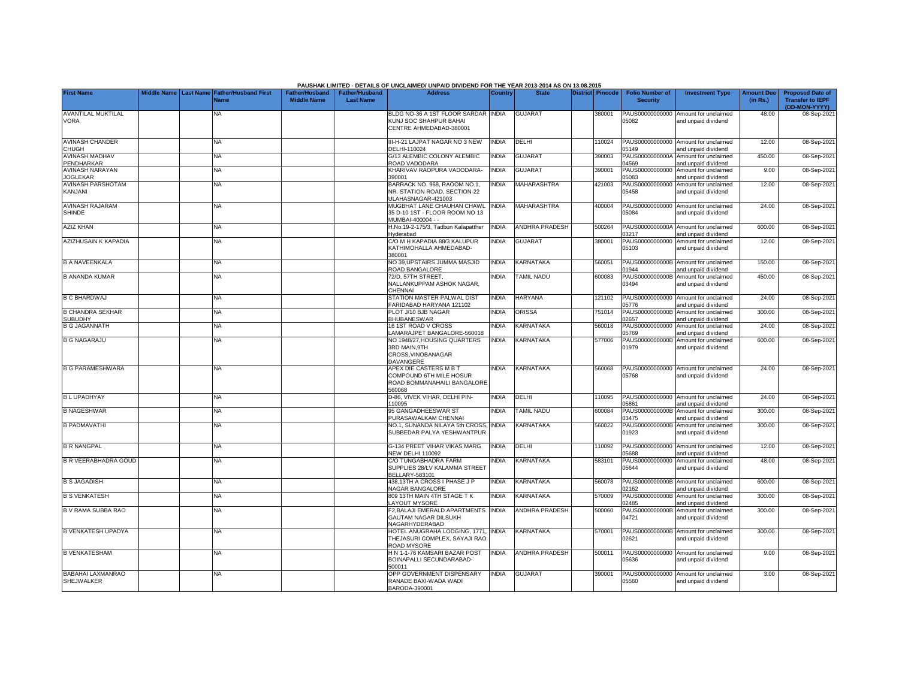|                                               |  |                                            |                       |                       | PAUSHAK LIMITED - DETAILS OF UNCLAIMED/ UNPAID DIVIDEND FOR THE YEAR 2013-2014 AS ON 13.08.2015 |                |                       |                  |                          |                                                             |                   |                                          |
|-----------------------------------------------|--|--------------------------------------------|-----------------------|-----------------------|-------------------------------------------------------------------------------------------------|----------------|-----------------------|------------------|--------------------------|-------------------------------------------------------------|-------------------|------------------------------------------|
| <b>First Name</b>                             |  | Middle Name Last Name Father/Husband First | <b>Father/Husband</b> | <b>Father/Husband</b> | <b>Address</b>                                                                                  | <b>Country</b> | <b>State</b>          | District Pincode | <b>Folio Number of</b>   | <b>Investment Type</b>                                      | <b>Amount Due</b> | <b>Proposed Date of</b>                  |
|                                               |  | Name                                       | <b>Middle Name</b>    | <b>Last Name</b>      |                                                                                                 |                |                       |                  | <b>Security</b>          |                                                             | (in Rs.)          | <b>Transfer to IEPF</b><br>(DD-MON-YYYY) |
| <b>AVANTILAL MUKTILAL</b>                     |  | ΝA                                         |                       |                       | BLDG NO-36 A 1ST FLOOR SARDAR INDIA                                                             |                | <b>GUJARAT</b>        | 380001           | PAUS00000000000          | Amount for unclaimed                                        | 48.00             | 08-Sep-2021                              |
| <b>VORA</b>                                   |  |                                            |                       |                       | KUNJ SOC SHAHPUR BAHAI<br>CENTRE AHMEDABAD-380001                                               |                |                       |                  | 05082                    | and unpaid dividend                                         |                   |                                          |
|                                               |  |                                            |                       |                       |                                                                                                 |                |                       |                  |                          |                                                             |                   |                                          |
| <b>AVINASH CHANDER</b>                        |  | NA.                                        |                       |                       | II-H-21 LAJPAT NAGAR NO 3 NEW                                                                   | <b>INDIA</b>   | <b>DELHI</b>          | 10024            | PAUS00000000000          | Amount for unclaimed                                        | 12.00             | 08-Sep-202                               |
| <b>CHUGH</b><br><b>AVINASH MADHAV</b>         |  | <b>NA</b>                                  |                       |                       | DELHI-110024<br>G/13 ALEMBIC COLONY ALEMBIC                                                     | <b>NDIA</b>    | <b>GUJARAT</b>        | 390003           | 05149                    | and unpaid dividend<br>PAUS0000000000A Amount for unclaimed | 450.00            | 08-Sep-202                               |
| PENDHARKAR                                    |  |                                            |                       |                       | ROAD VADODARA                                                                                   |                |                       |                  | 04569                    | and unpaid dividend                                         |                   |                                          |
| <b>AVINASH NARAYAN</b><br><b>JOGLEKAR</b>     |  | <b>NA</b>                                  |                       |                       | KHARIVAV RAOPURA VADODARA-<br>390001                                                            | <b>INDIA</b>   | <b>GUJARAT</b>        | 390001           | PAUS00000000000<br>05083 | Amount for unclaimed<br>and unpaid dividend                 | 9.00              | 08-Sep-202                               |
| <b>AVINASH PARSHOTAM</b>                      |  | NA                                         |                       |                       | BARRACK NO. 968, RAOOM NO.1.                                                                    | <b>NDIA</b>    | MAHARASHTRA           | 421003           | PAUS00000000000          | Amount for unclaimed                                        | 12.00             | 08-Sep-202                               |
| KANJANI                                       |  |                                            |                       |                       | NR. STATION ROAD. SECTION-22                                                                    |                |                       |                  | 05458                    | and unpaid dividend                                         |                   |                                          |
| <b>AVINASH RAJARAM</b>                        |  | NA                                         |                       |                       | JLAHASNAGAR-421003<br>MUGBHAT LANE CHAUHAN CHAWL                                                | <b>INDIA</b>   | MAHARASHTRA           | 400004           |                          | PAUS00000000000 Amount for unclaimed                        | 24.00             | 08-Sep-202                               |
| <b>SHINDE</b>                                 |  |                                            |                       |                       | 35 D-10 1ST - FLOOR ROOM NO 13                                                                  |                |                       |                  | 05084                    | and unpaid dividend                                         |                   |                                          |
|                                               |  |                                            |                       |                       | MUMBAI-400004 - -                                                                               |                |                       |                  |                          |                                                             |                   |                                          |
| <b>AZIZ KHAN</b>                              |  | <b>NA</b>                                  |                       |                       | H.No.19-2-175/3, Tadbun Kalapatther<br><b>Hyderabad</b>                                         | <b>INDIA</b>   | <b>ANDHRA PRADESH</b> | 500264           | 03217                    | PAUS0000000000A Amount for unclaimed<br>and unpaid dividend | 600.00            | 08-Sep-202                               |
| AZIZHUSAIN K KAPADIA                          |  | NA                                         |                       |                       | C/O M H KAPADIA 88/3 KALUPUR                                                                    | <b>INDIA</b>   | <b>GUJARAT</b>        | 380001           | PAUS00000000000          | Amount for unclaimed                                        | 12.00             | 08-Sep-202                               |
|                                               |  |                                            |                       |                       | KATHIMOHALLA AHMEDABAD-<br>380001                                                               |                |                       |                  | 05103                    | and unpaid dividend                                         |                   |                                          |
| <b>B A NAVEENKALA</b>                         |  | <b>NA</b>                                  |                       |                       | NO 39,UPSTAIRS JUMMA MASJID                                                                     | <b>INDIA</b>   | KARNATAKA             | 560051           |                          | PAUS0000000000B Amount for unclaimed                        | 150.00            | 08-Sep-202                               |
|                                               |  |                                            |                       |                       | ROAD BANGALORE                                                                                  |                |                       |                  | 1944                     | nd unpaid dividend                                          |                   |                                          |
| <b>B ANANDA KUMAR</b>                         |  | NA                                         |                       |                       | 2/D. 57TH STREET.<br>NALLANKUPPAM ASHOK NAGAR.                                                  | <b>INDIA</b>   | <b>TAMIL NADU</b>     | 600083           | PAUS0000000000B<br>03494 | Amount for unclaimed<br>and unpaid dividend                 | 450.00            | 08-Sep-202                               |
|                                               |  |                                            |                       |                       | <b>HENNAI</b>                                                                                   |                |                       |                  |                          |                                                             |                   |                                          |
| <b>B C BHARDWAJ</b>                           |  | NA                                         |                       |                       | STATION MASTER PALWAL DIST                                                                      | <b>INDIA</b>   | <b>HARYANA</b>        | 121102           | PAUS00000000000          | Amount for unclaimed                                        | 24.00             | 08-Sep-202                               |
| <b>B CHANDRA SEKHAR</b>                       |  | <b>NA</b>                                  |                       |                       | ARIDABAD HARYANA 121102<br>PLOT J/10 BJB NAGAR                                                  | <b>INDIA</b>   | <b>ORISSA</b>         | 751014           | 05776                    | and unpaid dividend<br>PAUS0000000000B Amount for unclaimed | 300.00            | 08-Sep-202                               |
| <b>SUBUDHY</b>                                |  |                                            |                       |                       | <b>BHUBANESWAR</b>                                                                              |                |                       |                  | 02657                    | and unpaid dividend                                         |                   |                                          |
| <b>B G JAGANNATH</b>                          |  | <b>NA</b>                                  |                       |                       | 16 1ST ROAD V CROSS<br>AMARAJPET BANGALORE-560018                                               | <b>INDIA</b>   | KARNATAKA             | 560018           | PAUS00000000000<br>05769 | Amount for unclaimed<br>and unpaid dividend                 | 24.00             | 08-Sep-202                               |
| <b>B G NAGARAJU</b>                           |  | NA                                         |                       |                       | NO 1948/27, HOUSING QUARTERS                                                                    | <b>INDIA</b>   | KARNATAKA             | 577006           | PAUS0000000000B          | Amount for unclaimed                                        | 600.00            | 08-Sep-202                               |
|                                               |  |                                            |                       |                       | 3RD MAIN, 9TH                                                                                   |                |                       |                  | 01979                    | and unpaid dividend                                         |                   |                                          |
|                                               |  |                                            |                       |                       | CROSS, VINOBANAGAR<br><b>DAVANGERE</b>                                                          |                |                       |                  |                          |                                                             |                   |                                          |
| <b>B G PARAMESHWARA</b>                       |  | <b>NA</b>                                  |                       |                       | <b>APEX DIE CASTERS M B T</b>                                                                   | <b>INDIA</b>   | KARNATAKA             | 560068           |                          | PAUS00000000000 Amount for unclaimed                        | 24.00             | 08-Sep-202                               |
|                                               |  |                                            |                       |                       | COMPOUND 6TH MILE HOSUR<br>ROAD BOMMANAHAILI BANGALORE                                          |                |                       |                  | 05768                    | and unpaid dividend                                         |                   |                                          |
|                                               |  |                                            |                       |                       | 560068                                                                                          |                |                       |                  |                          |                                                             |                   |                                          |
| <b>BL UPADHYAY</b>                            |  | NA                                         |                       |                       | D-86, VIVEK VIHAR, DELHI PIN-                                                                   | <b>INDIA</b>   | DELHI                 | 110095           |                          | PAUS00000000000 Amount for unclaimed                        | 24.00             | 08-Sep-202                               |
| <b>B NAGESHWAR</b>                            |  | <b>NA</b>                                  |                       |                       | 110095<br>95 GANGADHEESWAR ST                                                                   | <b>INDIA</b>   | <b>TAMIL NADU</b>     | 600084           | 15861<br>PAUS0000000000B | and unpaid dividend<br>Amount for unclaimed                 | 300.00            | 08-Sep-202                               |
|                                               |  |                                            |                       |                       | PURASAWALKAM CHENNAI                                                                            |                |                       |                  | 03475                    | and unpaid dividend                                         |                   |                                          |
| <b>B PADMAVATHI</b>                           |  | NA                                         |                       |                       | NO.1. SUNANDA NILAYA 5th CROSS.<br>SUBBEDAR PALYA YESHWANTPUR                                   | <b>INDIA</b>   | KARNATAKA             | 560022           | PAUS0000000000B<br>01923 | Amount for unclaimed<br>and unpaid dividend                 | 300.00            | 08-Sep-202                               |
|                                               |  |                                            |                       |                       |                                                                                                 |                |                       |                  |                          |                                                             |                   |                                          |
| <b>B R NANGPAL</b>                            |  | <b>NA</b>                                  |                       |                       | G-134 PREET VIHAR VIKAS MARG                                                                    | <b>INDIA</b>   | DELHI                 | 110092           |                          | PAUS00000000000 Amount for unclaimed                        | 12.00             | 08-Sep-202                               |
| <b>B R VEERABHADRA GOUD</b>                   |  | NA                                         |                       |                       | <b>JEW DELHI 110092</b><br><b>C/O TUNGABHADRA FARM</b>                                          | <b>INDIA</b>   | KARNATAKA             | 583101           | 5688<br>PAUS00000000000  | and unpaid dividend<br>Amount for unclaimed                 | 48.00             | 08-Sep-202                               |
|                                               |  |                                            |                       |                       | SUPPLIES 28/LV KALAMMA STREET                                                                   |                |                       |                  | 05644                    | and unpaid dividend                                         |                   |                                          |
| <b>B S JAGADISH</b>                           |  | <b>NA</b>                                  |                       |                       | BELLARY-583101<br>438,13TH A CROSS I PHASE J P                                                  | <b>INDIA</b>   | KARNATAKA             | 560078           | PAUS0000000000B          | Amount for unclaimed                                        | 600.00            | 08-Sep-202                               |
|                                               |  |                                            |                       |                       | NAGAR BANGALORE                                                                                 |                |                       |                  | 02162                    | and unpaid dividend                                         |                   |                                          |
| <b>B S VENKATESH</b>                          |  | ΝA                                         |                       |                       | 809 13TH MAIN 4TH STAGE TK                                                                      | INDIA          | KARNATAKA             | 570009           | PAUS0000000000B          | Amount for unclaimed                                        | 300.00            | 08-Sep-202                               |
| B V RAMA SUBBA RAO                            |  | NA                                         |                       |                       | <b>AYOUT MYSORE</b><br>2, BALAJI EMERALD APARTMENTS INDIA                                       |                | <b>ANDHRA PRADESH</b> | 500060           | 02485<br>PAUS0000000000B | and unpaid dividend<br>Amount for unclaimed                 | 300.00            | 08-Sep-2021                              |
|                                               |  |                                            |                       |                       | GAUTAM NAGAR DILSUKH                                                                            |                |                       |                  | 04721                    | and unpaid dividend                                         |                   |                                          |
| <b>B VENKATESH UPADYA</b>                     |  | NA                                         |                       |                       | NAGARHYDERABAD<br><b>HOTEL ANUGRAHA LODGING, 1771.</b>                                          | <b>NDIA</b>    | <b>KARNATAKA</b>      | 570001           | PAUS0000000000B          | Amount for unclaimed                                        | 300.00            | 08-Sep-202                               |
|                                               |  |                                            |                       |                       | THEJASURI COMPLEX, SAYAJI RAO                                                                   |                |                       |                  | 02621                    | and unpaid dividend                                         |                   |                                          |
|                                               |  |                                            |                       |                       | ROAD MYSORE                                                                                     |                |                       |                  |                          |                                                             |                   |                                          |
| <b>B VENKATESHAM</b>                          |  | <b>NA</b>                                  |                       |                       | H N 1-1-76 KAMSARI BAZAR POST<br>BOINAPALLI SECUNDARABAD-                                       | INDIA          | <b>ANDHRA PRADESH</b> | 500011           | 05636                    | PAUS00000000000 Amount for unclaimed<br>and unpaid dividend | 9.00              | 08-Sep-2021                              |
|                                               |  |                                            |                       |                       | 500011                                                                                          |                |                       |                  |                          |                                                             |                   |                                          |
| <b>BABAHAI LAXMANRAO</b><br><b>SHEJWALKER</b> |  | NA                                         |                       |                       | <b>OPP GOVERNMENT DISPENSARY</b><br>RANADE BAXI-WADA WADI                                       | <b>INDIA</b>   | <b>GUJARAT</b>        | 390001           | 05560                    | PAUS00000000000 Amount for unclaimed                        | 3.00              | 08-Sep-202                               |
|                                               |  |                                            |                       |                       | BARODA-390001                                                                                   |                |                       |                  |                          | and unpaid dividend                                         |                   |                                          |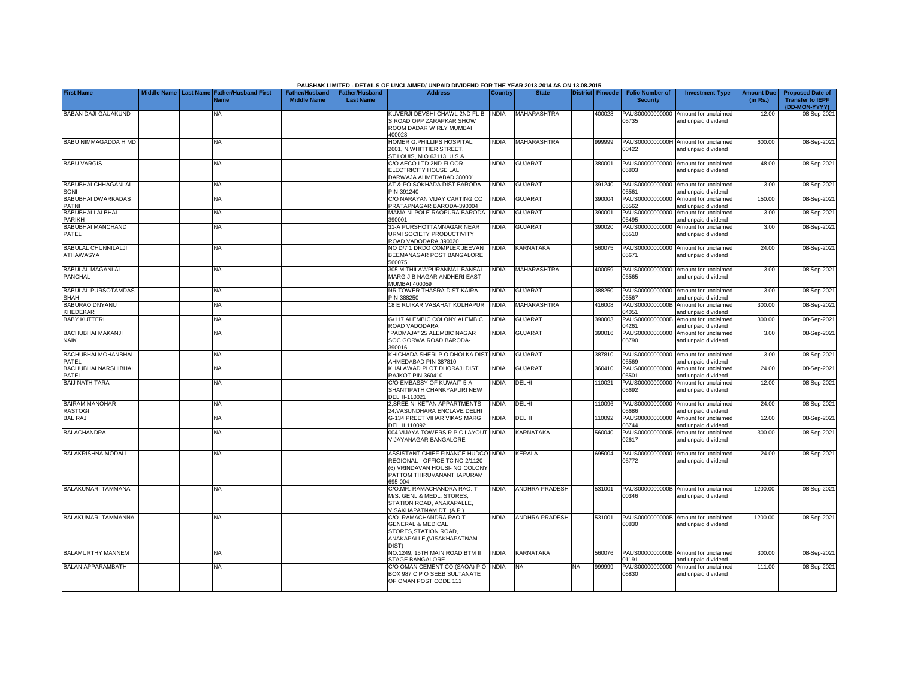|                                         |                       |                                     |                                             |                                           | PAUSHAK LIMITED - DETAILS OF UNCLAIMED/ UNPAID DIVIDEND FOR THE YEAR 2013-2014 AS ON 13.08.2015 |                |                       |     |                  |                                           |                                                             |                               |                                                    |
|-----------------------------------------|-----------------------|-------------------------------------|---------------------------------------------|-------------------------------------------|-------------------------------------------------------------------------------------------------|----------------|-----------------------|-----|------------------|-------------------------------------------|-------------------------------------------------------------|-------------------------------|----------------------------------------------------|
| <b>First Name</b>                       | Middle Name Last Name | <b>Father/Husband First</b><br>Name | <b>Father/Husband</b><br><b>Middle Name</b> | <b>Father/Husband</b><br><b>Last Name</b> | <b>Address</b>                                                                                  | <b>Country</b> | <b>State</b>          |     | District Pincode | <b>Folio Number of</b><br><b>Security</b> | <b>Investment Type</b>                                      | <b>Amount Due</b><br>(in Rs.) | <b>Proposed Date of</b><br><b>Transfer to IEPF</b> |
|                                         |                       |                                     |                                             |                                           |                                                                                                 |                |                       |     |                  |                                           |                                                             |                               | (DD-MON-YYYY)                                      |
| BABAN DAJI GAUAKUND                     |                       | ΝA                                  |                                             |                                           | KUVERJI DEVSHI CHAWL 2ND FL B<br>S ROAD OPP ZARAPKAR SHOW                                       | <b>INDIA</b>   | MAHARASHTRA           |     | 400028           | 05735                                     | PAUS00000000000 Amount for unclaimed<br>and unpaid dividend | 12.00                         | 08-Sep-202                                         |
|                                         |                       |                                     |                                             |                                           | ROOM DADAR W RLY MUMBAI                                                                         |                |                       |     |                  |                                           |                                                             |                               |                                                    |
| <b>BABU NIMMAGADDA H MD</b>             |                       | <b>NA</b>                           |                                             |                                           | 400028<br>HOMER G.PHILLIPS HOSPITAL.                                                            | <b>INDIA</b>   | <b>MAHARASHTRA</b>    |     | 999999           | PAUS0000000000H                           | Amount for unclaimed                                        | 600.00                        | 08-Sep-2021                                        |
|                                         |                       |                                     |                                             |                                           | 2601. N.WHITTIER STREET.                                                                        |                |                       |     |                  | 00422                                     | and unpaid dividend                                         |                               |                                                    |
| <b>BABU VARGIS</b>                      |                       |                                     |                                             |                                           | ST.LOUIS, M.O.63113. U.S.A                                                                      | INDIA          | <b>GUJARAT</b>        |     | 380001           |                                           |                                                             |                               |                                                    |
|                                         |                       | <b>NA</b>                           |                                             |                                           | C/O AECO LTD 2ND FLOOR<br>ELECTRICITY HOUSE LAL                                                 |                |                       |     |                  | 05803                                     | PAUS00000000000 Amount for unclaimed<br>and unpaid dividend | 48.00                         | 08-Sep-202                                         |
|                                         |                       |                                     |                                             |                                           | DARWAJA AHMEDABAD 380001                                                                        |                |                       |     |                  |                                           |                                                             |                               |                                                    |
| <b>BABUBHAI CHHAGANLAL</b><br>SONI      |                       | <b>NA</b>                           |                                             |                                           | AT & PO SOKHADA DIST BARODA<br>PIN-391240                                                       | <b>INDIA</b>   | <b>GUJARAT</b>        |     | 391240           | 05561                                     | PAUS00000000000 Amount for unclaimed<br>and unpaid dividend | 3.00                          | 08-Sep-202                                         |
| <b>BABUBHAI DWARKADAS</b>               |                       | <b>NA</b>                           |                                             |                                           | C/O NARAYAN VIJAY CARTING CO                                                                    | <b>INDIA</b>   | <b>GUJARAT</b>        |     | 390004           | PAUS00000000000                           | Amount for unclaimed                                        | 150.00                        | 08-Sep-202                                         |
| <b>PATNI</b><br><b>BABUBHAI LALBHAI</b> |                       | NΑ                                  |                                             |                                           | PRATAPNAGAR BARODA-390004<br>MAMA NI POLE RAOPURA BARODA                                        | <b>INDIA</b>   | <b>GUJARAT</b>        |     | 390001           | 05562<br>PAUS00000000000                  | and unpaid dividend<br>Amount for unclaimed                 | 3.00                          | 08-Sep-202                                         |
| <b>PARIKH</b>                           |                       |                                     |                                             |                                           | 390001                                                                                          |                |                       |     |                  | 05495                                     | and unpaid dividend                                         |                               |                                                    |
| <b>BABUBHAI MANCHAND</b>                |                       | <b>NA</b>                           |                                             |                                           | 31-A PURSHOTTAMNAGAR NEAR                                                                       | <b>INDIA</b>   | <b>GUJARAT</b>        |     | 390020           | PAUS00000000000                           | Amount for unclaimed                                        | 3.00                          | 08-Sep-202                                         |
| PATEL                                   |                       |                                     |                                             |                                           | <b>JRMI SOCIETY PRODUCTIVITY</b><br>ROAD VADODARA 390020                                        |                |                       |     |                  | 05510                                     | and unpaid dividend                                         |                               |                                                    |
| <b>BABULAL CHUNNILALJI</b>              |                       | NA                                  |                                             |                                           | NO D/7 1 DRDO COMPLEX JEEVAN                                                                    | <b>NDIA</b>    | <b>KARNATAKA</b>      |     | 560075           | PAUS00000000000                           | Amount for unclaimed                                        | 24.00                         | 08-Sep-202                                         |
| ATHAWASYA                               |                       |                                     |                                             |                                           | BEEMANAGAR POST BANGALORE<br>560075                                                             |                |                       |     |                  | 05671                                     | and unpaid dividend                                         |                               |                                                    |
| <b>BABULAL MAGANLAL</b>                 |                       | NA                                  |                                             |                                           | 305 MITHILA'A'PURANMAL BANSAL                                                                   | <b>INDIA</b>   | MAHARASHTRA           |     | 400059           |                                           | PAUS00000000000 Amount for unclaimed                        | 3.00                          | 08-Sep-202                                         |
| PANCHAL                                 |                       |                                     |                                             |                                           | MARG J B NAGAR ANDHERI EAST<br><b>MUMBAI 400059</b>                                             |                |                       |     |                  | 05565                                     | and unpaid dividend                                         |                               |                                                    |
| <b>BABULAL PURSOTAMDAS</b>              |                       | <b>NA</b>                           |                                             |                                           | NR TOWER THASRA DIST KAIRA                                                                      | <b>INDIA</b>   | <b>GUJARAT</b>        |     | 388250           |                                           | PAUS00000000000 Amount for unclaimed                        | 3.00                          | 08-Sep-202                                         |
| <b>SHAH</b>                             |                       |                                     |                                             |                                           | PIN-388250                                                                                      |                |                       |     |                  | 5567                                      | and unpaid dividend                                         |                               |                                                    |
| <b>BABURAO DNYANU</b><br>KHEDEKAR       |                       | <b>NA</b>                           |                                             |                                           | 18 E RUIKAR VASAHAT KOLHAPUR                                                                    | <b>INDIA</b>   | <b>MAHARASHTRA</b>    |     | 416008           | PAUS0000000000B<br>04051                  | Amount for unclaimed<br>and unpaid dividend                 | 300.00                        | 08-Sep-202                                         |
| <b>BABY KUTTERI</b>                     |                       | <b>NA</b>                           |                                             |                                           | G/117 ALEMBIC COLONY ALEMBIC                                                                    | <b>INDIA</b>   | <b>GUJARAT</b>        |     | 390003           | PAUS0000000000B                           | Amount for unclaimed                                        | 300.00                        | 08-Sep-202                                         |
| <b>BACHUBHAI MAKANJI</b>                |                       | ΝA                                  |                                             |                                           | ROAD VADODARA<br>PADMAJA" 25 ALEMBIC NAGAR                                                      | <b>INDIA</b>   | <b>GUJARAT</b>        |     | 390016           | 14261<br>PAUS00000000000                  | and unpaid dividend<br>Amount for unclaimed                 | 3.00                          | 08-Sep-202                                         |
| <b>NAIK</b>                             |                       |                                     |                                             |                                           | SOC GORWA ROAD BARODA-                                                                          |                |                       |     |                  | 05790                                     | and unpaid dividend                                         |                               |                                                    |
| <b>BACHUBHAI MOHANBHAI</b>              |                       | NA                                  |                                             |                                           | 390016<br>KHICHADA SHERI P O DHOLKA DIST                                                        | <b>INDIA</b>   | <b>GUJARAT</b>        |     | 387810           | PAUS00000000000                           | Amount for unclaimed                                        | 3.00                          | 08-Sep-202                                         |
| PATEL                                   |                       |                                     |                                             |                                           | AHMEDABAD PIN-387810                                                                            |                |                       |     |                  | 05569                                     | and unpaid dividend                                         |                               |                                                    |
| <b>BACHUBHAI NARSHIBHAI</b>             |                       | <b>NA</b>                           |                                             |                                           | KHALAWAD PLOT DHORAJI DIST<br><b>RAJKOT PIN 360410</b>                                          | <b>INDIA</b>   | <b>GUJARAT</b>        |     | 360410           | 05501                                     | PAUS00000000000 Amount for unclaimed                        | 24.00                         | 08-Sep-202                                         |
| PATEL<br><b>BAIJ NATH TARA</b>          |                       | <b>NA</b>                           |                                             |                                           | C/O EMBASSY OF KUWAIT 5-A                                                                       | <b>NDIA</b>    | DELHI                 |     | 110021           |                                           | and unpaid dividend<br>PAUS00000000000 Amount for unclaimed | 12.00                         | 08-Sep-202                                         |
|                                         |                       |                                     |                                             |                                           | SHANTIPATH CHANKYAPURI NEW                                                                      |                |                       |     |                  | 05692                                     | and unpaid dividend                                         |                               |                                                    |
| <b>BAIRAM MANOHAR</b>                   |                       | <b>NA</b>                           |                                             |                                           | DELHI-110021<br>2, SREE NI KETAN APPARTMENTS                                                    | <b>INDIA</b>   | DELHI                 |     | 10096            |                                           | PAUS00000000000 Amount for unclaimed                        | 24.00                         | 08-Sep-202                                         |
| <b>RASTOGI</b>                          |                       |                                     |                                             |                                           | 24, VASUNDHARA ENCLAVE DELHI                                                                    |                |                       |     |                  | 05686                                     | and unpaid dividend                                         |                               |                                                    |
| <b>BAL RAJ</b>                          |                       | ΝA                                  |                                             |                                           | G-134 PREET VIHAR VIKAS MARG<br><b>DELHI 110092</b>                                             | INDIA          | DELHI                 |     | 110092           | PAUS00000000000<br>05744                  | Amount for unclaimed<br>and unpaid dividend                 | 12.00                         | 08-Sep-202                                         |
| <b>BALACHANDRA</b>                      |                       | NΑ                                  |                                             |                                           | 004 VIJAYA TOWERS R P C LAYOUT INDIA                                                            |                | KARNATAKA             |     | 560040           | PAUS0000000000B                           | Amount for unclaimed                                        | 300.00                        | 08-Sep-202                                         |
|                                         |                       |                                     |                                             |                                           | /IJAYANAGAR BANGALORE                                                                           |                |                       |     |                  | 02617                                     | and unpaid dividend                                         |                               |                                                    |
| <b>BALAKRISHNA MODALI</b>               |                       | <b>NA</b>                           |                                             |                                           | ASSISTANT CHIEF FINANCE HUDCO INDIA                                                             |                | KERALA                |     | 695004           | PAUS00000000000                           | Amount for unclaimed                                        | 24.00                         | 08-Sep-202                                         |
|                                         |                       |                                     |                                             |                                           | REGIONAL - OFFICE TC NO 2/1120<br>(6) VRINDAVAN HOUSI- NG COLONY                                |                |                       |     |                  | 05772                                     | and unpaid dividend                                         |                               |                                                    |
|                                         |                       |                                     |                                             |                                           | PATTOM THIRUVANANTHAPURAM                                                                       |                |                       |     |                  |                                           |                                                             |                               |                                                    |
|                                         |                       |                                     |                                             |                                           | 395-004                                                                                         |                |                       |     |                  |                                           |                                                             |                               |                                                    |
| BALAKUMARI TAMMANA                      |                       | <b>NA</b>                           |                                             |                                           | C/O.MR. RAMACHANDRA RAO. T<br>M/S. GENL.& MEDL. STORES.                                         | <b>INDIA</b>   | <b>ANDHRA PRADESH</b> |     | 531001           | 00346                                     | PAUS0000000000B Amount for unclaimed<br>and unpaid dividend | 1200.00                       | 08-Sep-202                                         |
|                                         |                       |                                     |                                             |                                           | STATION ROAD, ANAKAPALLE.                                                                       |                |                       |     |                  |                                           |                                                             |                               |                                                    |
| <b>BALAKUMARI TAMMANNA</b>              |                       | ΝA                                  |                                             |                                           | /ISAKHAPATNAM DT. (A.P.)<br>C/O. RAMACHANDRA RAO T                                              | INDIA          | ANDHRA PRADESH        |     | 531001           |                                           | PAUS0000000000B Amount for unclaimed                        | 1200.00                       | 08-Sep-202                                         |
|                                         |                       |                                     |                                             |                                           | <b>GENERAL &amp; MEDICAL</b>                                                                    |                |                       |     |                  | 00830                                     | and unpaid dividend                                         |                               |                                                    |
|                                         |                       |                                     |                                             |                                           | STORES, STATION ROAD,<br>ANAKAPALLE, (VISAKHAPATNAM                                             |                |                       |     |                  |                                           |                                                             |                               |                                                    |
|                                         |                       |                                     |                                             |                                           | DIST)                                                                                           |                |                       |     |                  |                                           |                                                             |                               |                                                    |
| <b>BALAMURTHY MANNEM</b>                |                       | <b>NA</b>                           |                                             |                                           | <b>VO.1249, 15TH MAIN ROAD BTM II</b>                                                           | <b>INDIA</b>   | KARNATAKA             |     | 560076           |                                           | PAUS0000000000B Amount for unclaimed                        | 300.00                        | 08-Sep-202                                         |
| <b>BALAN APPARAMBATH</b>                |                       | <b>NA</b>                           |                                             |                                           | STAGE BANGALORE<br>C/O OMAN CEMENT CO (SAOA) P O                                                | <b>INDIA</b>   | <b>NA</b>             | NA. | 999999           | 01191<br>PAUS00000000000                  | and unpaid dividend<br>Amount for unclaimed                 | 111.00                        | 08-Sep-202                                         |
|                                         |                       |                                     |                                             |                                           | BOX 987 C P O SEEB SULTANATE                                                                    |                |                       |     |                  | 05830                                     | and unpaid dividend                                         |                               |                                                    |
|                                         |                       |                                     |                                             |                                           | OF OMAN POST CODE 111                                                                           |                |                       |     |                  |                                           |                                                             |                               |                                                    |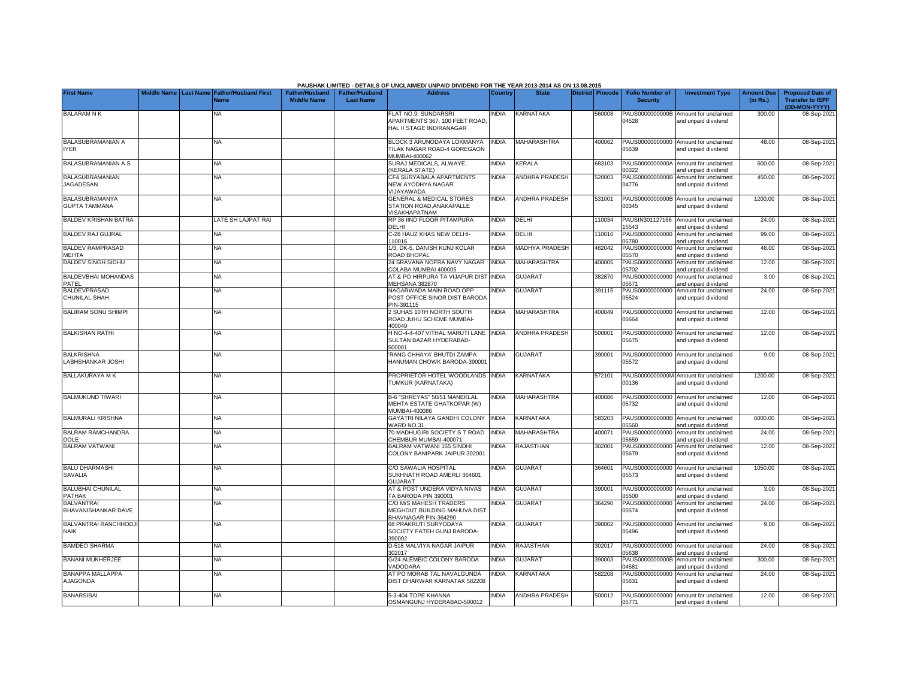|                                               |  |                                                    |                                             |                                           | PAUSHAK LIMITED - DETAILS OF UNCLAIMED/ UNPAID DIVIDEND FOR THE YEAR 2013-2014 AS ON 13.08.2015 |                |                       |                  |                                           |                                                             |                               |                                                                     |
|-----------------------------------------------|--|----------------------------------------------------|---------------------------------------------|-------------------------------------------|-------------------------------------------------------------------------------------------------|----------------|-----------------------|------------------|-------------------------------------------|-------------------------------------------------------------|-------------------------------|---------------------------------------------------------------------|
| <b>First Name</b>                             |  | Middle Name Last Name Father/Husband First<br>Name | <b>Father/Husband</b><br><b>Middle Name</b> | <b>Father/Husband</b><br><b>Last Name</b> | <b>Address</b>                                                                                  | <b>Country</b> | <b>State</b>          | District Pincode | <b>Folio Number of</b><br><b>Security</b> | <b>Investment Type</b>                                      | <b>Amount Due</b><br>(in Rs.) | <b>Proposed Date of</b><br><b>Transfer to IEPF</b><br>(DD-MON-YYYY) |
| <b>BALARAM N K</b>                            |  | NA                                                 |                                             |                                           | FLAT NO.9. SUNDARSRI<br>APARTMENTS 367, 100 FEET ROAD<br>HAL II STAGE INDIRANAGAR               | <b>NDIA</b>    | KARNATAKA             | 560008           | PAUS0000000000B<br>04528                  | Amount for unclaimed<br>and unpaid dividend                 | 300.00                        | 08-Sep-202                                                          |
| BALASUBRAMANIAN A<br><b>IYER</b>              |  | <b>NA</b>                                          |                                             |                                           | BLOCK 3 ARUNODAYA LOKMANYA<br>TILAK NAGAR ROAD-4 GOREGAON<br><b>MUMBAI-400062</b>               | <b>NDIA</b>    | MAHARASHTRA           | 400062           | 05639                                     | PAUS00000000000 Amount for unclaimed<br>and unpaid dividend | 48.00                         | 08-Sep-202                                                          |
| BALASUBRAMANIAN A S                           |  | <b>NA</b>                                          |                                             |                                           | SURAJ MEDICALS, ALWAYE.<br><b>KERALA STATE)</b>                                                 | <b>INDIA</b>   | KERALA                | 683103           | PAUS0000000000A<br>00322                  | Amount for unclaimed<br>and unpaid dividend                 | 600.00                        | 08-Sep-202                                                          |
| <b>BALASUBRAMANIAN</b><br>JAGADESAN           |  | NA                                                 |                                             |                                           | CF4 SURYABALA APARTMENTS<br>NEW AYODHYA NAGAR<br><b>JIJAYAWADA</b>                              | <b>NDIA</b>    | <b>ANDHRA PRADESH</b> | 520003           | PAUS0000000000B<br>04776                  | Amount for unclaimed<br>and unpaid dividend                 | 450.00                        | 08-Sep-202                                                          |
| <b>BALASUBRAMANYA</b><br><b>GUPTA TAMMANA</b> |  | NA                                                 |                                             |                                           | <b>GENERAL &amp; MEDICAL STORES</b><br>STATION ROAD, ANAKAPALLE<br>/ISAKHAPATNAM                | <b>INDIA</b>   | <b>ANDHRA PRADESH</b> | 531001           | PAUS0000000000B<br>00345                  | Amount for unclaimed<br>and unpaid dividend                 | 1200.00                       | 08-Sep-202                                                          |
| <b>BALDEV KRISHAN BATRA</b>                   |  | ATE SH LAJPAT RAI                                  |                                             |                                           | RP 36 IIND FLOOR PITAMPURA<br><b>DELHI</b>                                                      | <b>INDIA</b>   | DELHI                 | 10034            | PAUSIN301127166<br>5543                   | Amount for unclaimed<br>and unpaid dividend                 | 24.00                         | 08-Sep-202                                                          |
| <b>BALDEV RAJ GUJRAL</b>                      |  | ΝA                                                 |                                             |                                           | C-28 HAUZ KHAS NEW DELHI-<br>10016                                                              | <b>INDIA</b>   | DELHI                 | 10016            | PAUS00000000000<br>05780                  | Amount for unclaimed<br>and unpaid dividend                 | 99.00                         | 08-Sep-202                                                          |
| <b>BALDEV RAMPRASAD</b><br><b>MEHTA</b>       |  | NA                                                 |                                             |                                           | 1/3, DK-5, DANISH KUNJ KOLAR<br><b>ROAD BHOPAL</b>                                              | <b>INDIA</b>   | MADHYA PRADESH        | 462042           | PAUS00000000000<br>05570                  | Amount for unclaimed<br>and unpaid dividend                 | 48.00                         | 08-Sep-202                                                          |
| <b>BALDEV SINGH SIDHU</b>                     |  | NA                                                 |                                             |                                           | 24 SRAVANA NOFRA NAVY NAGAR<br>COLABA MUMBAI 400005                                             | <b>INDIA</b>   | MAHARASHTRA           | 400005           | PAUS00000000000<br>05702                  | Amount for unclaimed<br>and unpaid dividend                 | 12.00                         | 08-Sep-202                                                          |
| <b>BALDEVBHAI MOHANDAS</b><br>PATEL           |  | NA                                                 |                                             |                                           | AT & PO HIRPURA TA VIJAPUR DIST INDIA<br>MEHSANA 382870                                         |                | <b>GUJARAT</b>        | 382870           | PAUS00000000000<br>05571                  | Amount for unclaimed<br>and unpaid dividend                 | 3.00                          | 08-Sep-202                                                          |
| BALDEVPRASAD<br><b>CHUNILAL SHAH</b>          |  | ΝA                                                 |                                             |                                           | NAGARWADA MAIN ROAD OPP<br>POST OFFICE SINOR DIST BARODA<br>PIN-391115                          | <b>NDIA</b>    | <b>GUJARAT</b>        | 391115           | PAUS00000000000<br>05524                  | Amount for unclaimed<br>and unpaid dividend                 | 24.00                         | 08-Sep-202                                                          |
| <b>BALIRAM SONU SHIMPI</b>                    |  | NΑ                                                 |                                             |                                           | <b>SUHAS 10TH NORTH SOUTH</b><br>ROAD JUHU SCHEME MUMBAI-<br>100049                             | <b>INDIA</b>   | MAHARASHTRA           | 400049           | 05664                                     | PAUS00000000000 Amount for unclaimed<br>and unpaid dividend | 12.00                         | 08-Sep-202                                                          |
| <b>BALKISHAN RATHI</b>                        |  | <b>NA</b>                                          |                                             |                                           | H NO-4-4-407 VITHAL MARUTI LANE INDIA<br>SULTAN BAZAR HYDERABAD-<br>500001                      |                | <b>ANDHRA PRADESH</b> | 500001           | 05675                                     | PAUS00000000000 Amount for unclaimed<br>and unpaid dividend | 12.00                         | 08-Sep-202                                                          |
| <b>BALKRISHNA</b><br>LABHSHANKAR JOSHI        |  | NA                                                 |                                             |                                           | RANG CHHAYA' BHUTDI ZAMPA<br>HANUMAN CHOWK BARODA-390001                                        | INDIA          | <b>GUJARAT</b>        | 390001           | 05572                                     | PAUS00000000000 Amount for unclaimed<br>and unpaid dividend | 9.00                          | 08-Sep-202                                                          |
| <b>BALLAKURAYA M K</b>                        |  | ΝA                                                 |                                             |                                           | PROPRIETOR HOTEL WOODLANDS INDIA<br>TUMKUR (KARNATAKA)                                          |                | KARNATAKA             | 572101           | 00136                                     | PAUS0000000000M Amount for unclaimed<br>and unpaid dividend | 1200.00                       | 08-Sep-202                                                          |
| <b>BALMUKUND TIWARI</b>                       |  | NA                                                 |                                             |                                           | B-6 "SHREYAS" 50/51 MANEKLAL<br>MEHTA ESTATE GHATKOPAR (W)<br>MUMBAI-400086                     | <b>NDIA</b>    | <b>MAHARASHTRA</b>    | 400086           | 05732                                     | PAUS00000000000 Amount for unclaimed<br>and unpaid dividend | 12.00                         | 08-Sep-202                                                          |
| <b>BALMURALI KRISHNA</b>                      |  | <b>NA</b>                                          |                                             |                                           | GAYATRI NILAYA GANDHI COLONY<br>VARD NO.31                                                      | <b>INDIA</b>   | <b>KARNATAKA</b>      | 583203           | 5560                                      | PAUS0000000000B Amount for unclaimed<br>and unpaid dividend | 6000.00                       | 08-Sep-202                                                          |
| <b>BALRAM RAMCHANDRA</b><br><b>DOLE</b>       |  | <b>NA</b>                                          |                                             |                                           | 70 MADHUGIRI SOCIETY S T ROAD<br>CHEMBUR MUMBAI-400071                                          | <b>INDIA</b>   | <b>MAHARASHTRA</b>    | 400071           | PAUS00000000000<br>5659                   | Amount for unclaimed<br>and unpaid dividend                 | 24.00                         | 08-Sep-202                                                          |
| <b>BALRAM VATWANI</b>                         |  | NA                                                 |                                             |                                           | BALRAM VATWANI 155 SINDHI<br>COLONY BANIPARK JAIPUR 302001                                      | <b>NDIA</b>    | RAJASTHAN             | 302001           | PAUS00000000000<br>05679                  | Amount for unclaimed<br>and unpaid dividend                 | 12.00                         | 08-Sep-202                                                          |
| <b>BALU DHARMASHI</b><br><b>SAVALIA</b>       |  | <b>NA</b>                                          |                                             |                                           | C/O SAWALIA HOSPITAL<br>SUKHNATH ROAD AMERLI 364601<br>GUJARAT                                  | <b>NDIA</b>    | <b>GUJARAT</b>        | 364601           | PAUS00000000000<br>05573                  | Amount for unclaimed<br>and unpaid dividend                 | 1050.00                       | 08-Sep-202                                                          |
| <b>BALUBHAI CHUNILAL</b><br><b>PATHAK</b>     |  | <b>NA</b>                                          |                                             |                                           | AT & POST UNDERA VIDYA NIVAS<br>TA BARODA PIN 390001                                            | <b>NDIA</b>    | <b>GUJARAT</b>        | 390001           | PAUS00000000000<br>5500                   | Amount for unclaimed<br>and unpaid dividend                 | 3.00                          | 08-Sep-202                                                          |
| <b>BALVANTRAI</b><br>BHAVANISHANKAR DAVE      |  | <b>NA</b>                                          |                                             |                                           | C/O M/S MAHESH TRADERS<br>MEGHDUT BUILDING MAHUVA DIST<br>BHAVNAGAR PIN-364290                  | <b>NDIA</b>    | GUJARAT               | 364290           | PAUS00000000000<br>05574                  | Amount for unclaimed<br>and unpaid dividend                 | 24.00                         | 08-Sep-202                                                          |
| BALVANTRAI RANCHHODJ<br><b>NAIK</b>           |  | NA                                                 |                                             |                                           | <b>68 PRAKRUTI SURYODAYA</b><br>SOCIETY FATEH GUNJ BARODA-<br>390002                            | <b>NDIA</b>    | <b>GUJARAT</b>        | 390002           | PAUS00000000000<br>05496                  | Amount for unclaimed<br>and unpaid dividend                 | 9.00                          | 08-Sep-2021                                                         |
| <b>BAMDEO SHARMA</b>                          |  | NA                                                 |                                             |                                           | D-518 MALVIYA NAGAR JAIPUR<br>302017                                                            | <b>NDIA</b>    | RAJASTHAN             | 302017           | PAUS00000000000<br>05638                  | Amount for unclaimed<br>and unpaid dividend                 | 24.00                         | 08-Sep-202                                                          |
| <b>BANANI MUKHERJEE</b>                       |  | ΝA                                                 |                                             |                                           | G/24 ALEMBIC COLONY BARODA<br><b>/ADODARA</b>                                                   | <b>INDIA</b>   | <b>GUJARAT</b>        | 390003           | 04581                                     | PAUS0000000000B Amount for unclaimed<br>and unpaid dividend | 300.00                        | 08-Sep-202                                                          |
| <b>BANAPPA MALLAPPA</b><br>AJAGONDA           |  | <b>NA</b>                                          |                                             |                                           | <b>IT PO MORAB TAL NAVALGUNDA</b><br>DIST DHARWAR KARNATAK 582208                               | <b>NDIA</b>    | KARNATAKA             | 582208           | 05631                                     | PAUS00000000000 Amount for unclaimed<br>and unpaid dividend | 24.00                         | 08-Sep-202                                                          |
| <b>BANARSIBAI</b>                             |  | ΝA                                                 |                                             |                                           | 5-3-404 TOPE KHANNA<br>OSMANGUNJ HYDERABAD-500012                                               | INDIA          | <b>ANDHRA PRADESH</b> | 500012           | 05771                                     | PAUS00000000000 Amount for unclaimed<br>and unpaid dividend | 12.00                         | 08-Sep-2021                                                         |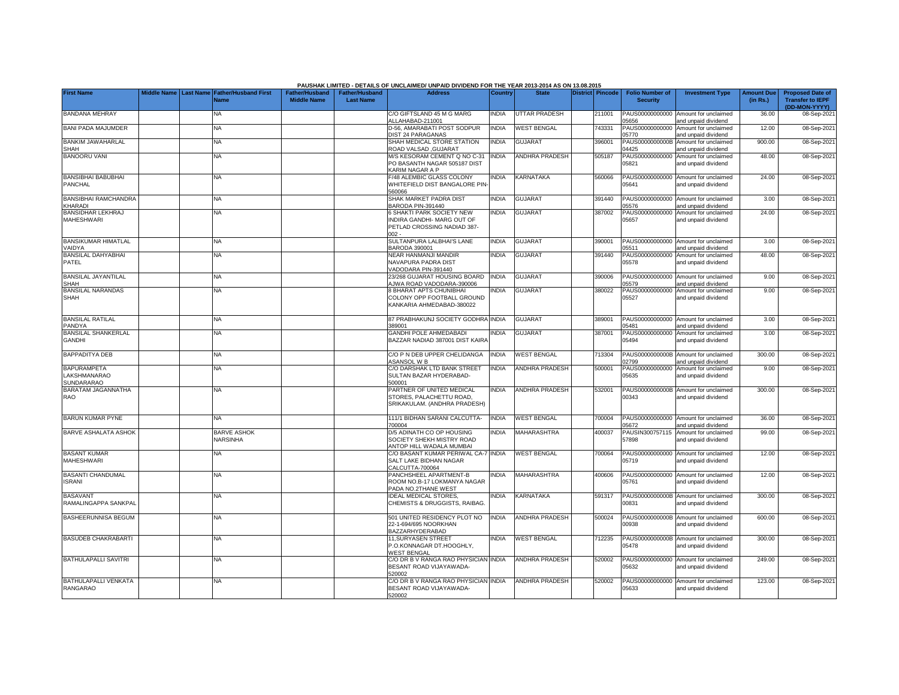|                                                  |                       |                                            |                                             |                                           | PAUSHAK LIMITED - DETAILS OF UNCLAIMED/ UNPAID DIVIDEND FOR THE YEAR 2013-2014 AS ON 13.08.2015      |                |                       |                         |                                           |                                                             |                               |                                                                     |
|--------------------------------------------------|-----------------------|--------------------------------------------|---------------------------------------------|-------------------------------------------|------------------------------------------------------------------------------------------------------|----------------|-----------------------|-------------------------|-------------------------------------------|-------------------------------------------------------------|-------------------------------|---------------------------------------------------------------------|
| <b>First Name</b>                                | Middle Name Last Name | <b>Father/Husband First</b><br><b>Name</b> | <b>Father/Husband</b><br><b>Middle Name</b> | <b>Father/Husband</b><br><b>Last Name</b> | <b>Address</b>                                                                                       | <b>Country</b> | <b>State</b>          | <b>District Pincode</b> | <b>Folio Number of</b><br><b>Security</b> | <b>Investment Type</b>                                      | <b>Amount Due</b><br>(in Rs.) | <b>Proposed Date of</b><br><b>Transfer to IEPF</b><br>(DD-MON-YYYY) |
| <b>BANDANA MEHRAY</b>                            |                       | NA                                         |                                             |                                           | C/O GIFTSLAND 45 M G MARG<br>ALLAHABAD-211001                                                        | <b>INDIA</b>   | UTTAR PRADESH         | 211001                  | PAUS00000000000<br>05656                  | Amount for unclaimed<br>and unpaid dividend                 | 36.00                         | 08-Sep-2021                                                         |
| <b>BANI PADA MAJUMDER</b>                        |                       | <b>NA</b>                                  |                                             |                                           | D-56, AMARABATI POST SODPUR<br><b>DIST 24 PARAGANAS</b>                                              | <b>INDIA</b>   | <b>WEST BENGAL</b>    | 743331                  | PAUS00000000000<br>05770                  | Amount for unclaimed<br>and unpaid dividend                 | 12.00                         | 08-Sep-2021                                                         |
| <b>BANKIM JAWAHARLAL</b><br><b>SHAH</b>          |                       | <b>NA</b>                                  |                                             |                                           | SHAH MEDICAL STORE STATION<br><b>ROAD VALSAD, GUJARAT</b>                                            | <b>NDIA</b>    | <b>GUJARAT</b>        | 396001                  | 04425                                     | PAUS0000000000B Amount for unclaimed<br>and unpaid dividend | 900.00                        | 08-Sep-2021                                                         |
| <b>BANOORU VANI</b>                              |                       | NA                                         |                                             |                                           | M/S KESORAM CEMENT Q NO C-31<br>PO BASANTH NAGAR 505187 DIST<br>KARIM NAGAR A P                      | INDIA          | <b>ANDHRA PRADESH</b> | 505187                  | PAUS00000000000<br>05821                  | Amount for unclaimed<br>and unpaid dividend                 | 48.00                         | 08-Sep-2021                                                         |
| <b>BANSIBHAI BABUBHAI</b><br>PANCHAL             |                       | <b>NA</b>                                  |                                             |                                           | F/48 ALEMBIC GLASS COLONY<br>WHITEFIELD DIST BANGALORE PIN<br>560066                                 | <b>INDIA</b>   | KARNATAKA             | 560066                  | 05641                                     | PAUS00000000000 Amount for unclaimed<br>and unpaid dividend | 24.00                         | 08-Sep-2021                                                         |
| <b>BANSIBHAI RAMCHANDRA</b><br>KHARADI           |                       | NA                                         |                                             |                                           | SHAK MARKET PADRA DIST<br><b>BARODA PIN-391440</b>                                                   | <b>NDIA</b>    | <b>GUJARAT</b>        | 391440                  | PAUS00000000000<br>05576                  | Amount for unclaimed<br>and unpaid dividend                 | 3.00                          | 08-Sep-2021                                                         |
| <b>BANSIDHAR LEKHRAJ</b><br>MAHESHWARI           |                       | NA                                         |                                             |                                           | <b>SHAKTI PARK SOCIETY NEW</b><br>INDIRA GANDHI- MARG OUT OF<br>PETLAD CROSSING NADIAD 387-<br>ากว - | <b>NDIA</b>    | <b>GUJARAT</b>        | 387002                  | PAUS00000000000<br>05657                  | Amount for unclaimed<br>and unpaid dividend                 | 24.00                         | 08-Sep-2021                                                         |
| <b>BANSIKUMAR HIMATLAL</b><br>VAIDYA             |                       | <b>NA</b>                                  |                                             |                                           | SULTANPURA LALBHAI'S LANE<br>BARODA 390001                                                           | INDIA          | <b>GUJARAT</b>        | 390001                  | PAUS00000000000<br>05511                  | Amount for unclaimed<br>nd unpaid dividend                  | 3.00                          | 08-Sep-2021                                                         |
| <b>BANSILAL DAHYABHAI</b><br>PATEL               |                       | NA                                         |                                             |                                           | NEAR HANMANJI MANDIR<br>NAVAPURA PADRA DIST<br><b>/ADODARA PIN-391440</b>                            | <b>INDIA</b>   | <b>GUJARAT</b>        | 391440                  | PAUS00000000000<br>05578                  | Amount for unclaimed<br>and unpaid dividend                 | 48.00                         | 08-Sep-2021                                                         |
| <b>BANSILAL JAYANTILAL</b><br><b>SHAH</b>        |                       | NA                                         |                                             |                                           | 23/268 GUJARAT HOUSING BOARD<br><b>AJWA ROAD VADODARA-390006</b>                                     | <b>INDIA</b>   | <b>GUJARAT</b>        | 390006                  | PAUS00000000000<br>05579                  | Amount for unclaimed<br>and unpaid dividend                 | 9.00                          | 08-Sep-2021                                                         |
| <b>BANSILAL NARANDAS</b><br><b>SHAH</b>          |                       | ΝA                                         |                                             |                                           | <b>BHARAT APTS CHUNIBHAI</b><br>COLONY OPP FOOTBALL GROUND<br>KANKARIA AHMEDABAD-380022              | <b>NDIA</b>    | <b>GUJARAT</b>        | 380022                  | PAUS00000000000<br>05527                  | Amount for unclaimed<br>and unpaid dividend                 | 9.00                          | 08-Sep-2021                                                         |
| <b>BANSILAL RATILAL</b><br>PANDYA                |                       | NA                                         |                                             |                                           | 87 PRABHAKUNJ SOCIETY GODHRA<br>389001                                                               | <b>INDIA</b>   | <b>GUJARAT</b>        | 389001                  | PAUS00000000000<br>05481                  | Amount for unclaimed<br>and unpaid dividend                 | 3.00                          | 08-Sep-2021                                                         |
| <b>BANSILAL SHANKERLAL</b><br>GANDHI             |                       | <b>NA</b>                                  |                                             |                                           | <b>GANDHI POLE AHMEDABADI</b><br>BAZZAR NADIAD 387001 DIST KAIR/                                     | <b>NDIA</b>    | <b>GUJARAT</b>        | 387001                  | PAUS00000000000<br>05494                  | Amount for unclaimed<br>and unpaid dividend                 | 3.00                          | 08-Sep-2021                                                         |
| <b>BAPPADITYA DEB</b>                            |                       | <b>NA</b>                                  |                                             |                                           | C/O P N DEB UPPER CHELIDANGA<br><b>SANSOL W B</b>                                                    | <b>INDIA</b>   | <b>WEST BENGAL</b>    | 713304                  | PAUS0000000000B<br>02799                  | Amount for unclaimed<br>and unpaid dividend                 | 300.00                        | 08-Sep-2021                                                         |
| <b>BAPURAMPETA</b><br>LAKSHMANARAO<br>SUNDARARAO |                       | NA                                         |                                             |                                           | C/O DARSHAK LTD BANK STREET<br>SULTAN BAZAR HYDERABAD-<br>500001                                     | <b>INDIA</b>   | <b>ANDHRA PRADESH</b> | 500001                  | PAUS00000000000<br>05635                  | Amount for unclaimed<br>and unpaid dividend                 | 9.00                          | 08-Sep-2021                                                         |
| BARATAM JAGANNATHA<br>RAO                        |                       | NA                                         |                                             |                                           | PARTNER OF UNITED MEDICAL<br>STORES, PALACHETTU ROAD,<br>SRIKAKULAM. (ANDHRA PRADESH)                | <b>NDIA</b>    | <b>ANDHRA PRADESH</b> | 532001                  | PAUS0000000000B<br>00343                  | Amount for unclaimed<br>and unpaid dividend                 | 300.00                        | 08-Sep-2021                                                         |
| <b>BARUN KUMAR PYNE</b>                          |                       | NA                                         |                                             |                                           | 111/1 BIDHAN SARANI CALCUTTA-<br>700004                                                              | <b>INDIA</b>   | <b>WEST BENGAL</b>    | 700004                  | 05672                                     | PAUS00000000000 Amount for unclaimed<br>and unpaid dividend | 36.00                         | 08-Sep-2021                                                         |
| <b>BARVE ASHALATA ASHOK</b>                      |                       | <b>BARVE ASHOK</b><br>NARSINHA             |                                             |                                           | D/5 ADINATH CO OP HOUSING<br>SOCIETY SHEKH MISTRY ROAD<br>ANTOP HILL WADALA MUMBAI                   | <b>INDIA</b>   | <b>MAHARASHTRA</b>    | 400037                  | PAUSIN300757115<br>57898                  | Amount for unclaimed<br>and unpaid dividend                 | 99.00                         | 08-Sep-2021                                                         |
| <b>BASANT KUMAR</b><br>MAHESHWARI                |                       | NA                                         |                                             |                                           | C/O BASANT KUMAR PERIWAL CA-7 INDIA<br>SALT LAKE BIDHAN NAGAR<br>CALCUTTA-700064                     |                | <b>WEST BENGAL</b>    | 700064                  | PAUS00000000000<br>05719                  | Amount for unclaimed<br>and unpaid dividend                 | 12.00                         | 08-Sep-2021                                                         |
| <b>BASANTI CHANDUMAL</b><br><b>ISRANI</b>        |                       | <b>NA</b>                                  |                                             |                                           | PANCHSHEEL APARTMENT-B<br>ROOM NO.B-17 LOKMANYA NAGAR<br>PADA NO.2THANE WEST                         | <b>NDIA</b>    | <b>MAHARASHTRA</b>    | 400606                  | 05761                                     | PAUS00000000000 Amount for unclaimed<br>and unpaid dividend | 12.00                         | 08-Sep-2021                                                         |
| <b>BASAVANT</b><br>RAMALINGAPPA SANKPAL          |                       | ΝA                                         |                                             |                                           | DEAL MEDICAL STORES,<br>CHEMISTS & DRUGGISTS, RAIBAG.                                                | <b>NDIA</b>    | KARNATAKA             | 591317                  | PAUS0000000000B<br>00831                  | Amount for unclaimed<br>and unpaid dividend                 | 300.00                        | 08-Sep-2021                                                         |
| <b>BASHEERUNNISA BEGUM</b>                       |                       | ΝA                                         |                                             |                                           | 501 UNITED RESIDENCY PLOT NO<br>22-1-694/695 NOORKHAN<br><b>BAZZARHYDERABAD</b>                      | <b>INDIA</b>   | <b>ANDHRA PRADESH</b> | 500024                  | 00938                                     | PAUS0000000000B Amount for unclaimed<br>and unpaid dividend | 600.00                        | 08-Sep-2021                                                         |
| <b>BASUDEB CHAKRABARTI</b>                       |                       | NA                                         |                                             |                                           | <b>11.SURYASEN STREET</b><br>P.O.KONNAGAR DT.HOOGHLY,<br><b>WEST BENGAL</b>                          | <b>NDIA</b>    | <b>WEST BENGAL</b>    | 12235                   | PAUS0000000000B<br>05478                  | Amount for unclaimed<br>and unpaid dividend                 | 300.00                        | 08-Sep-2021                                                         |
| <b>BATHULAPALLI SAVITRI</b>                      |                       | NA                                         |                                             |                                           | C/O DR B V RANGA RAO PHYSICIAN INDIA<br>BESANT ROAD VIJAYAWADA-<br>520002                            |                | <b>ANDHRA PRADESH</b> | 520002                  | PAUS00000000000<br>05632                  | Amount for unclaimed<br>and unpaid dividend                 | 249.00                        | 08-Sep-2021                                                         |
| <b>BATHULAPALLI VENKATA</b><br><b>RANGARAO</b>   |                       | <b>NA</b>                                  |                                             |                                           | C/O DR B V RANGA RAO PHYSICIAN INDIA<br><b>BESANT ROAD VIJAYAWADA-</b><br>520002                     |                | <b>ANDHRA PRADESH</b> | 520002                  | PAUS00000000000<br>05633                  | Amount for unclaimed<br>and unpaid dividend                 | 123.00                        | 08-Sep-2021                                                         |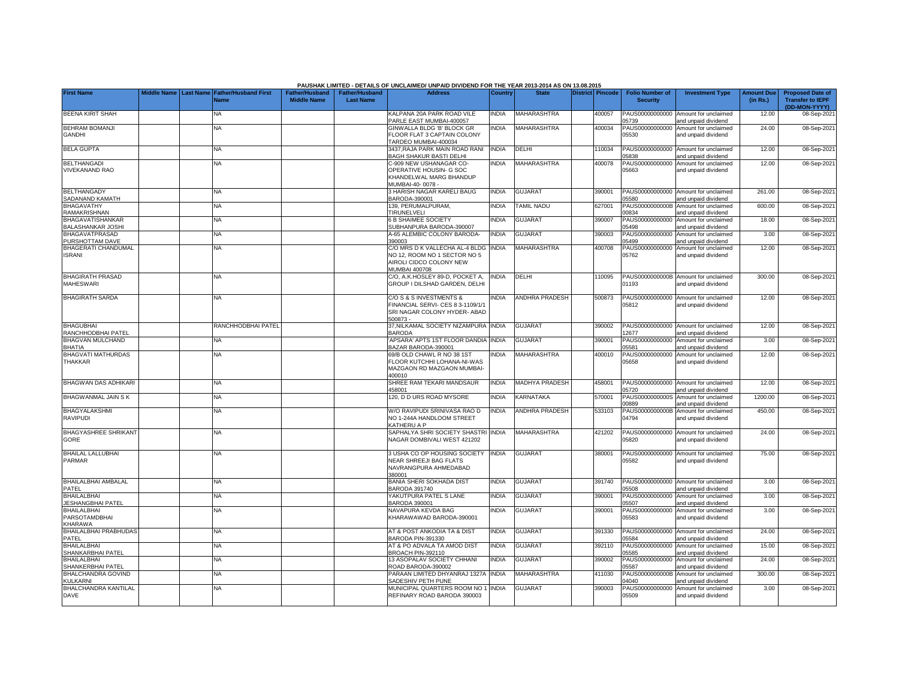|                                                       |             |                  |                                     |                                             |                                           | PAUSHAK LIMITED - DETAILS OF UNCLAIMED/ UNPAID DIVIDEND FOR THE YEAR 2013-2014 AS ON 13.08.2015                   |              |                       |                         |                                           |                                                             |                               |                                                                     |
|-------------------------------------------------------|-------------|------------------|-------------------------------------|---------------------------------------------|-------------------------------------------|-------------------------------------------------------------------------------------------------------------------|--------------|-----------------------|-------------------------|-------------------------------------------|-------------------------------------------------------------|-------------------------------|---------------------------------------------------------------------|
| <b>First Name</b>                                     | Middle Name | <b>Last Name</b> | <b>Father/Husband First</b><br>Name | <b>Father/Husband</b><br><b>Middle Name</b> | <b>Father/Husband</b><br><b>Last Name</b> | <b>Address</b>                                                                                                    | Country      | <b>State</b>          | <b>District Pincode</b> | <b>Folio Number of</b><br><b>Security</b> | <b>Investment Type</b>                                      | <b>Amount Due</b><br>(in Rs.) | <b>Proposed Date of</b><br><b>Transfer to IEPF</b><br>(DD-MON-YYYY) |
| <b>BEENA KIRIT SHAH</b>                               |             |                  | NA.                                 |                                             |                                           | KALPANA 20A PARK ROAD VILE<br>PARLE EAST MUMBAI-400057                                                            | <b>INDIA</b> | <b>MAHARASHTRA</b>    | 400057                  | PAUS00000000000<br>05739                  | Amount for unclaimed<br>and unpaid dividend                 | 12.00                         | 08-Sep-2021                                                         |
| <b>BEHRAM BOMANJI</b><br><b>GANDHI</b>                |             |                  | <b>NA</b>                           |                                             |                                           | GINWALLA BLDG 'B' BLOCK GR<br>FLOOR FLAT 3 CAPTAIN COLONY<br>TARDEO MUMBAI-400034                                 | <b>INDIA</b> | <b>MAHARASHTRA</b>    | 400034                  | PAUS00000000000<br>05530                  | Amount for unclaimed<br>and unpaid dividend                 | 24.00                         | 08-Sep-2021                                                         |
| <b>BELA GUPTA</b>                                     |             |                  | <b>NA</b>                           |                                             |                                           | 3437, RAJA PARK MAIN ROAD RANI<br>BAGH SHAKUR BASTI DELHI                                                         | <b>INDIA</b> | DELHI                 | 110034                  | PAUS00000000000<br>05838                  | Amount for unclaimed<br>and unpaid dividend                 | 12.00                         | 08-Sep-2021                                                         |
| <b>BELTHANGADI</b><br>VIVEKANAND RAO                  |             |                  | <b>NA</b>                           |                                             |                                           | C-909 NEW USHANAGAR CO-<br>OPERATIVE HOUSIN- G SOC<br>KHANDELWAL MARG BHANDUP<br>MUMBAI-40-0078                   | <b>NDIA</b>  | <b>MAHARASHTRA</b>    | 400078                  | PAUS00000000000<br>05663                  | Amount for unclaimed<br>and unpaid dividend                 | 12.00                         | 08-Sep-2021                                                         |
| <b>BELTHANGADY</b><br>SADANAND KAMATH                 |             |                  | <b>NA</b>                           |                                             |                                           | 3 HARISH NAGAR KARELI BAUG<br>3ARODA-390001                                                                       | <b>INDIA</b> | <b>GUJARAT</b>        | 390001                  | PAUS00000000000<br>05580                  | Amount for unclaimed<br>and unpaid dividend                 | 261.00                        | 08-Sep-2021                                                         |
| <b>BHAGAVATHY</b><br><b>RAMAKRISHNAN</b>              |             |                  | NA                                  |                                             |                                           | 139. PERUMALPURAM.<br>TIRUNELVELI                                                                                 | INDIA        | <b>TAMIL NADU</b>     | 627001                  | PAUS0000000000B<br>00834                  | Amount for unclaimed<br>and unpaid dividend                 | 600.00                        | 08-Sep-202                                                          |
| BHAGAVATISHANKAR<br><b>BALASHANKAR JOSHI</b>          |             |                  | NA                                  |                                             |                                           | <b>B SHAIMEE SOCIETY</b><br>SUBHANPURA BARODA-390007                                                              | INDIA        | <b>GUJARAT</b>        | 390007                  | PAUS00000000000<br>05498                  | Amount for unclaimed<br>and unpaid dividend                 | 18.00                         | 08-Sep-2021                                                         |
| <b>BHAGAVATPRASAD</b><br>PURSHOTTAM DAVE              |             |                  | NA                                  |                                             |                                           | A-65 ALEMBIC COLONY BARODA-<br>390003                                                                             | INDIA        | <b>GUJARAT</b>        | 390003                  | PAUS00000000000<br>05499                  | Amount for unclaimed<br>and unpaid dividend                 | 3.00                          | 08-Sep-2021                                                         |
| <b>BHAGERATI CHANDUMAL</b><br><b>ISRANI</b>           |             |                  | NA                                  |                                             |                                           | C/O MRS D K VALLECHA AL-4 BLDG<br>NO 12, ROOM NO 1 SECTOR NO 5<br>AIROLI CIDCO COLONY NEW<br><b>MUMBAI 400708</b> | <b>INDIA</b> | <b>MAHARASHTRA</b>    | 400708                  | PAUS00000000000<br>05762                  | Amount for unclaimed<br>and unpaid dividend                 | 12.00                         | 08-Sep-2021                                                         |
| <b>BHAGIRATH PRASAD</b><br><b>MAHESWARI</b>           |             |                  | NA.                                 |                                             |                                           | C/O, A.K.HOSLEY 89-D, POCKET A,<br>GROUP I DILSHAD GARDEN, DELHI                                                  | <b>NDIA</b>  | DELHI                 | 110095                  | 01193                                     | PAUS0000000000B Amount for unclaimed<br>and unpaid dividend | 300.00                        | 08-Sep-2021                                                         |
| <b>BHAGIRATH SARDA</b>                                |             |                  | <b>NA</b>                           |                                             |                                           | C/O S & S INVESTMENTS &<br>INANCIAL SERVI- CES 8 3-1109/1/1<br>SRI NAGAR COLONY HYDER- ABAD<br>500873-            | <b>NDIA</b>  | <b>ANDHRA PRADESH</b> | 500873                  | PAUS00000000000<br>05812                  | Amount for unclaimed<br>and unpaid dividend                 | 12.00                         | 08-Sep-2021                                                         |
| <b>BHAGUBHAI</b><br>RANCHHODBHAI PATEL                |             |                  | RANCHHODBHAI PATEL                  |                                             |                                           | 37, NILKAMAL SOCIETY NIZAMPURA<br><b>BARODA</b>                                                                   | <b>INDIA</b> | <b>GUJARAT</b>        | 390002                  | PAUS00000000000<br>12677                  | Amount for unclaimed<br>and unpaid dividend                 | 12.00                         | 08-Sep-2021                                                         |
| <b>BHAGVAN MULCHAND</b><br><b>BHATIA</b>              |             |                  | <b>NA</b>                           |                                             |                                           | APSARA' APTS 1ST FLOOR DANDIA INDIA<br>BAZAR BARODA-390001                                                        |              | <b>GUJARAT</b>        | 390001                  | PAUS00000000000<br>05581                  | Amount for unclaimed<br>and unpaid dividend                 | 3.00                          | 08-Sep-2021                                                         |
| <b>BHAGVATI MATHURDAS</b><br><b>THAKKAR</b>           |             |                  | <b>NA</b>                           |                                             |                                           | 69/B OLD CHAWL R NO 38 1ST<br>FLOOR KUTCHHI LOHANA-NI-WAS<br>MAZGAON RD MAZGAON MUMBAI<br>100010                  | <b>NDIA</b>  | <b>MAHARASHTRA</b>    | 400010                  | PAUS00000000000<br>05658                  | Amount for unclaimed<br>and unpaid dividend                 | 12.00                         | 08-Sep-2021                                                         |
| <b>BHAGWAN DAS ADHIKARI</b>                           |             |                  | <b>NA</b>                           |                                             |                                           | SHREE RAM TEKARI MANDSAUR<br>158001                                                                               | <b>INDIA</b> | <b>MADHYA PRADESH</b> | 458001                  | PAUS00000000000<br>05720                  | Amount for unclaimed<br>and unpaid dividend                 | 12.00                         | 08-Sep-2021                                                         |
| <b>BHAGWANMAL JAIN S K</b>                            |             |                  | NA                                  |                                             |                                           | 120, D D URS ROAD MYSORE                                                                                          | <b>NDIA</b>  | <b>KARNATAKA</b>      | 570001                  | PAUS0000000000S<br>00889                  | Amount for unclaimed<br>and unpaid dividend                 | 1200.00                       | 08-Sep-2021                                                         |
| <b>BHAGYALAKSHMI</b><br>RAVIPUDI                      |             |                  | <b>NA</b>                           |                                             |                                           | W/O RAVIPUDI SRINIVASA RAO D<br>NO 1-244A HANDLOOM STREET<br>KATHERU A P                                          | <b>NDIA</b>  | <b>ANDHRA PRADESH</b> | 533103                  | PAUS0000000000B<br>04794                  | Amount for unclaimed<br>and unpaid dividend                 | 450.00                        | 08-Sep-2021                                                         |
| <b>BHAGYASHREE SHRIKANT</b><br>GORE                   |             |                  | <b>NA</b>                           |                                             |                                           | SAPHALYA SHRI SOCIETY SHASTRI INDIA<br>NAGAR DOMBIVALI WEST 421202                                                |              | <b>MAHARASHTRA</b>    | 421202                  | PAUS00000000000<br>05820                  | Amount for unclaimed<br>and unpaid dividend                 | 24.00                         | 08-Sep-2021                                                         |
| <b>BHAILAL LALLUBHAI</b><br>PARMAR                    |             |                  | NA                                  |                                             |                                           | 3 USHA CO OP HOUSING SOCIETY<br>NEAR SHREEJI BAG FLATS<br>NAVRANGPURA AHMEDABAD<br>380001                         | <b>INDIA</b> | <b>GUJARAT</b>        | 380001                  | 05582                                     | PAUS00000000000 Amount for unclaimed<br>and unpaid dividend | 75.00                         | 08-Sep-2021                                                         |
| BHAILALBHAI AMBALAL<br>PATEL                          |             |                  | <b>NA</b>                           |                                             |                                           | BANIA SHERI SOKHADA DIST<br>BARODA 391740                                                                         | <b>NDIA</b>  | <b>GUJARAT</b>        | 391740                  | PAUS00000000000<br>05508                  | Amount for unclaimed<br>and unpaid dividend                 | 3.00                          | 08-Sep-2021                                                         |
| <b>BHAILALBHAI</b><br><b>JESHANGBHAI PATEL</b>        |             |                  | <b>NA</b>                           |                                             |                                           | YAKUTPURA PATEL S LANE<br><b>BARODA 390001</b>                                                                    | <b>INDIA</b> | <b>GUJARAT</b>        | 390001                  | PAUS00000000000<br>05507                  | Amount for unclaimed<br>and unpaid dividend                 | 3.00                          | 08-Sep-2021                                                         |
| <b>BHAILALBHAI</b><br><b>PARSOTAMDBHAI</b><br>KHARAWA |             |                  | <b>NA</b>                           |                                             |                                           | NAVAPURA KEVDA BAG<br>KHARAWAWAD BARODA-390001                                                                    | <b>NDIA</b>  | <b>GUJARAT</b>        | 390001                  | PAUS00000000000<br>05583                  | Amount for unclaimed<br>and unpaid dividend                 | 3.00                          | 08-Sep-2021                                                         |
| <b>BHAILALBHAI PRABHUDAS</b><br>PATEL                 |             |                  | <b>NA</b>                           |                                             |                                           | AT & POST ANKODIA TA & DIST<br><b>BARODA PIN-391330</b>                                                           | <b>NDIA</b>  | <b>GUJARAT</b>        | 391330                  | PAUS00000000000<br>05584                  | Amount for unclaimed<br>and unpaid dividend                 | 24.00                         | 08-Sep-2021                                                         |
| <b>BHAILALBHAI</b><br><b>SHANKARBHAI PATEL</b>        |             |                  | <b>NA</b>                           |                                             |                                           | AT & PO ADVALA TA AMOD DIST<br><b>BROACH PIN-392110</b>                                                           | INDIA        | <b>GUJARAT</b>        | 392110                  | PAUS00000000000<br>05585                  | Amount for unclaimed<br>and unpaid dividend                 | 15.00                         | 08-Sep-2021                                                         |
| <b>BHAILALBHAI</b><br><b>SHANKERBHAI PATEL</b>        |             |                  | NA.                                 |                                             |                                           | 13 ASOPALAV SOCIETY CHHANI<br>ROAD BARODA-390002                                                                  | <b>NDIA</b>  | <b>GUJARAT</b>        | 390002                  | PAUS00000000000<br>05587                  | Amount for unclaimed<br>and unpaid dividend                 | 24.00                         | 08-Sep-2021                                                         |
| <b>BHALCHANDRA GOVIND</b><br><b>KULKARNI</b>          |             |                  | NA                                  |                                             |                                           | PARAAN LIMITED DHYANRAJ 1327A<br><b>SADESHIV PETH PUNE</b>                                                        | <b>INDIA</b> | <b>MAHARASHTRA</b>    | 411030                  | PAUS0000000000B<br>04040                  | Amount for unclaimed<br>and unpaid dividend                 | 300.00                        | 08-Sep-2021                                                         |
| <b>BHALCHANDRA KANTILAL</b><br><b>DAVE</b>            |             |                  | NA                                  |                                             |                                           | MUNICIPAL QUARTERS ROOM NO 1<br>REFINARY ROAD BARODA 390003                                                       | <b>NDIA</b>  | <b>GUJARAT</b>        | 390003                  | PAUS00000000000<br>05509                  | Amount for unclaimed<br>and unpaid dividend                 | 3.00                          | 08-Sep-2021                                                         |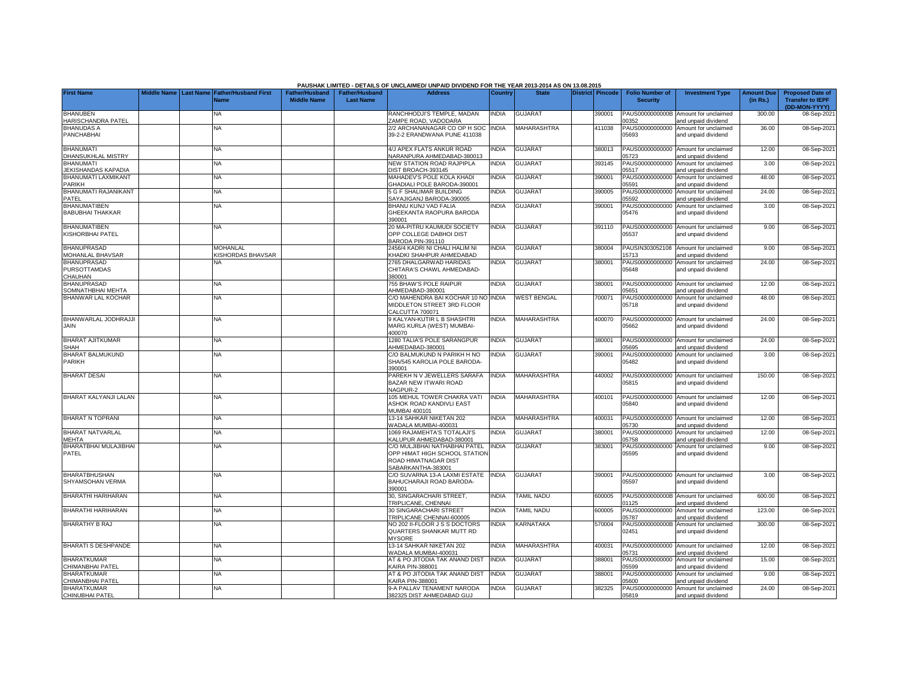|                                                      |                    |                  |                                      |                                             |                                           | PAUSHAK LIMITED - DETAILS OF UNCLAIMED/ UNPAID DIVIDEND FOR THE YEAR 2013-2014 AS ON 13.08.2015                     |                |                    |                  |                                           |                                                             |                               |                                                                     |
|------------------------------------------------------|--------------------|------------------|--------------------------------------|---------------------------------------------|-------------------------------------------|---------------------------------------------------------------------------------------------------------------------|----------------|--------------------|------------------|-------------------------------------------|-------------------------------------------------------------|-------------------------------|---------------------------------------------------------------------|
| <b>First Name</b>                                    | <b>Middle Name</b> | <b>Last Name</b> | <b>Father/Husband First</b><br>Name  | <b>Father/Husband</b><br><b>Middle Name</b> | <b>Father/Husband</b><br><b>Last Name</b> | <b>Address</b>                                                                                                      | <b>Country</b> | <b>State</b>       | District Pincode | <b>Folio Number of</b><br><b>Security</b> | <b>Investment Type</b>                                      | <b>Amount Due</b><br>(in Rs.) | <b>Proposed Date of</b><br><b>Transfer to IEPF</b><br>(DD-MON-YYYY) |
| <b>BHANUBEN</b><br>HARISCHANDRA PATEL                |                    |                  | <b>NA</b>                            |                                             |                                           | RANCHHODJI'S TEMPLE, MADAN<br>ZAMPE ROAD, VADODARA                                                                  | <b>INDIA</b>   | <b>GUJARAT</b>     | 390001           | PAUS0000000000B<br>00352                  | Amount for unclaimed<br>and unpaid dividend                 | 300.00                        | 08-Sep-202                                                          |
| <b>BHANUDAS A</b><br>PANCHABHAI                      |                    |                  | <b>NA</b>                            |                                             |                                           | 2/2 ARCHANANAGAR CO OP H SOC INDIA<br>39-2-2 ERANDWANA PUNE 411038                                                  |                | MAHARASHTRA        | 411038           | 05693                                     | PAUS00000000000 Amount for unclaimed<br>and unpaid dividend | 36.00                         | 08-Sep-202                                                          |
| <b>BHANUMATI</b><br><b>DHANSUKHLAL MISTRY</b>        |                    |                  | <b>NA</b>                            |                                             |                                           | 4/J APEX FLATS ANKUR ROAD<br>NARANPURA AHMEDABAD-380013                                                             | <b>NDIA</b>    | GUJARAT            | 380013           | 5723                                      | PAUS00000000000 Amount for unclaimed<br>and unpaid dividend | 12.00                         | 08-Sep-202                                                          |
| <b>BHANUMATI</b><br>JEKISHANDAS KAPADIA              |                    |                  | NA                                   |                                             |                                           | NEW STATION ROAD RAJPIPLA<br>DIST BROACH-393145                                                                     | <b>NDIA</b>    | GUJARAT            | 393145           | PAUS00000000000<br>05517                  | Amount for unclaimed<br>and unpaid dividend                 | 3.00                          | 08-Sep-202                                                          |
| BHANUMATI LAXMIKANT<br>PARIKH                        |                    |                  | NA                                   |                                             |                                           | MAHADEV'S POLE KOLA KHADI<br>GHADIALI POLE BARODA-390001                                                            | <b>INDIA</b>   | <b>GUJARAT</b>     | 390001           | PAUS00000000000<br>05591                  | Amount for unclaimed<br>and unpaid dividend                 | 48.00                         | 08-Sep-202                                                          |
| <b>BHANUMATI RAJANIKANT</b><br>PATFL                 |                    |                  | <b>NA</b>                            |                                             |                                           | 5 G F SHALIMAR BUILDING<br>SAYAJIGANJ BARODA-390005                                                                 | <b>INDIA</b>   | <b>GUJARAT</b>     | 390005           | PAUS00000000000<br>05592                  | Amount for unclaimed<br>and unpaid dividend                 | 24.00                         | 08-Sep-202                                                          |
| <b>BHANUMATIBEN</b><br><b>BABUBHAI THAKKAR</b>       |                    |                  | NA                                   |                                             |                                           | BHANU KUNJ VAD FALIA<br>GHEEKANTA RAOPURA BARODA<br>390001                                                          | INDIA          | GUJARAT            | 390001           | PAUS00000000000<br>05476                  | Amount for unclaimed<br>and unpaid dividend                 | 3.00                          | 08-Sep-202                                                          |
| <b>BHANUMATIBEN</b><br>KISHORBHAI PATEL              |                    |                  | <b>NA</b>                            |                                             |                                           | 20 MA-PITRU KAUMUDI SOCIETY<br>OPP COLLEGE DABHOI DIST<br>BARODA PIN-391110                                         | <b>INDIA</b>   | GUJARAT            | 391110           | PAUS00000000000<br>05537                  | Amount for unclaimed<br>and unpaid dividend                 | 9.00                          | 08-Sep-202                                                          |
| <b>BHANUPRASAD</b><br>MOHANLAL BHAVSAR               |                    |                  | <b>MOHANLAL</b><br>KISHORDAS BHAVSAR |                                             |                                           | 2456/4 KADRI NI CHALI HALIM NI<br>KHADKI SHAHPUR AHMEDABAD                                                          | <b>INDIA</b>   | <b>GUJARAT</b>     | 380004           | 5713                                      | PAUSIN303052108 Amount for unclaimed<br>and unpaid dividend | 9.00                          | 08-Sep-202                                                          |
| <b>BHANUPRASAD</b><br><b>PURSOTTAMDAS</b><br>CHAUHAN |                    |                  | NA.                                  |                                             |                                           | 2765 DHALGARWAD HARIDAS<br>CHITARA'S CHAWL AHMEDABAD-<br>380001                                                     | <b>NDIA</b>    | <b>GUJARAT</b>     | 380001           | PAUS00000000000<br>05648                  | Amount for unclaimed<br>and unpaid dividend                 | 24.00                         | 08-Sep-202                                                          |
| <b>BHANUPRASAD</b><br>SOMNATHBHAI MEHTA              |                    |                  | <b>NA</b>                            |                                             |                                           | 755 BHAW'S POLE RAIPUR<br>AHMEDABAD-380001                                                                          | <b>INDIA</b>   | GUJARAT            | 380001           | PAUS00000000000<br>5651                   | Amount for unclaimed<br>and unpaid dividend                 | 12.00                         | 08-Sep-202                                                          |
| <b>BHANWAR LAL KOCHAR</b>                            |                    |                  | NA                                   |                                             |                                           | C/O MAHENDRA BAI KOCHAR 10 NO INDIA<br>MIDDLETON STREET 3RD FLOOR<br>CALCUTTA 700071                                |                | <b>WEST BENGAL</b> | 700071           | PAUS00000000000<br>05718                  | Amount for unclaimed<br>and unpaid dividend                 | 48.00                         | 08-Sep-202                                                          |
| BHANWARLAL JODHRAJJI<br>JAIN                         |                    |                  | <b>NA</b>                            |                                             |                                           | 9 KALYAN-KUTIR L B SHASHTRI<br>MARG KURLA (WEST) MUMBAI-<br>400070                                                  | <b>INDIA</b>   | MAHARASHTRA        | 400070           | 05662                                     | PAUS00000000000 Amount for unclaimed<br>and unpaid dividend | 24.00                         | 08-Sep-202                                                          |
| <b>BHARAT AJITKUMAR</b><br><b>SHAH</b>               |                    |                  | <b>NA</b>                            |                                             |                                           | 1280 TALIA'S POLE SARANGPUR<br>AHMEDABAD-380001                                                                     | <b>INDIA</b>   | <b>GUJARAT</b>     | 380001           | PAUS00000000000<br>05695                  | Amount for unclaimed<br>and unpaid dividend                 | 24.00                         | 08-Sep-202                                                          |
| BHARAT BALMUKUND<br>PARIKH                           |                    |                  | <b>NA</b>                            |                                             |                                           | C/O BALMUKUND N PARIKH H NO<br>SHA/545 KAROLIA POLE BARODA-<br>390001                                               | INDIA          | <b>GUJARAT</b>     | 390001           | PAUS00000000000<br>05482                  | Amount for unclaimed<br>and unpaid dividend                 | 3.00                          | 08-Sep-202                                                          |
| <b>BHARAT DESAI</b>                                  |                    |                  | <b>NA</b>                            |                                             |                                           | PAREKH N V JEWELLERS SARAFA<br>BAZAR NEW ITWARI ROAD<br>NAGPUR-2                                                    | <b>INDIA</b>   | MAHARASHTRA        | 440002           | 05815                                     | PAUS00000000000 Amount for unclaimed<br>and unpaid dividend | 150.00                        | 08-Sep-202                                                          |
| <b>BHARAT KALYANJI LALAN</b>                         |                    |                  | <b>NA</b>                            |                                             |                                           | 105 MEHUL TOWER CHAKRA VATI<br>ASHOK ROAD KANDIVLI EAST<br>MUMBAI 400101                                            | <b>INDIA</b>   | MAHARASHTRA        | 400101           | 05840                                     | PAUS00000000000 Amount for unclaimed<br>and unpaid dividend | 12.00                         | 08-Sep-202                                                          |
| <b>BHARAT N TOPRANI</b>                              |                    |                  | NA                                   |                                             |                                           | 13-14 SAHKAR NIKETAN 202<br>WADALA MUMBAI-400031                                                                    | <b>INDIA</b>   | MAHARASHTRA        | 400031           | 05730                                     | PAUS00000000000 Amount for unclaimed<br>and unpaid dividend | 12.00                         | 08-Sep-202                                                          |
| <b>BHARAT NATVARLAL</b><br><b>MEHTA</b>              |                    |                  | <b>NA</b>                            |                                             |                                           | 1069 RAJAMEHTA'S TOTALAJI'S<br>KALUPUR AHMEDABAD-380001                                                             | <b>INDIA</b>   | <b>GUJARAT</b>     | 380001           | PAUS00000000000<br>05758                  | Amount for unclaimed<br>and unpaid dividend                 | 12.00                         | 08-Sep-202                                                          |
| BHARATBHAI MULAJIBHAI<br>PATEL                       |                    |                  | NA                                   |                                             |                                           | C/O MULJIBHAI NATHABHAI PATEL<br>OPP HIMAT HIGH SCHOOL STATION<br><b>ROAD HIMATNAGAR DIST</b><br>SABARKANTHA-383001 | <b>INDIA</b>   | <b>GUJARAT</b>     | 383001           | PAUS00000000000<br>05595                  | Amount for unclaimed<br>and unpaid dividend                 | 9.00                          | 08-Sep-202                                                          |
| <b>BHARATBHUSHAN</b><br>SHYAMSOHAN VERMA             |                    |                  | <b>NA</b>                            |                                             |                                           | C/O SUVARNA 13-A LAXMI ESTATE<br>BAHUCHARAJI ROAD BARODA-<br>390001                                                 | <b>INDIA</b>   | <b>GUJARAT</b>     | 390001           | 05597                                     | PAUS00000000000 Amount for unclaimed<br>and unpaid dividend | 3.00                          | 08-Sep-202                                                          |
| BHARATHI HARIHARAN                                   |                    |                  | <b>NA</b>                            |                                             |                                           | 30, SINGARACHARI STREET,<br>TRIPLICANE, CHENNAI                                                                     | <b>INDIA</b>   | <b>TAMIL NADU</b>  | 600005           | 1125                                      | PAUS0000000000B Amount for unclaimed<br>and unpaid dividend | 600.00                        | 08-Sep-202                                                          |
| <b>BHARATHI HARIHARAN</b>                            |                    |                  | <b>NA</b>                            |                                             |                                           | 30 SINGARACHARI STREET<br>TRIPLICANE CHENNAI-600005                                                                 | <b>INDIA</b>   | <b>TAMIL NADU</b>  | 600005           | PAUS00000000000<br>15787                  | Amount for unclaimed<br>and unpaid dividend                 | 123.00                        | 08-Sep-202                                                          |
| <b>BHARATHY B RAJ</b>                                |                    |                  | <b>NA</b>                            |                                             |                                           | NO 202 II-FLOOR J S S DOCTORS<br>QUARTERS SHANKAR MUTT RD<br><b>MYSORE</b>                                          | INDIA          | KARNATAKA          | 570004           | PAUS0000000000B<br>02451                  | Amount for unclaimed<br>and unpaid dividend                 | 300.00                        | 08-Sep-202                                                          |
| <b>BHARATI S DESHPANDE</b>                           |                    |                  | NA                                   |                                             |                                           | 13-14 SAHKAR NIKETAN 202<br>WADALA MUMBAI-400031                                                                    | <b>INDIA</b>   | MAHARASHTRA        | 400031           | 5731                                      | PAUS00000000000 Amount for unclaimed<br>and unpaid dividend | 12.00                         | 08-Sep-202                                                          |
| <b>BHARATKUMAR</b><br>HIMANBHAI PATEL                |                    |                  | NA                                   |                                             |                                           | AT & PO JITODIA TAK ANAND DIST<br>KAIRA PIN-388001                                                                  | <b>INDIA</b>   | <b>GUJARAT</b>     | 388001           | PAUS00000000000<br>5599                   | Amount for unclaimed<br>and unpaid dividend                 | 15.00                         | 08-Sep-202                                                          |
| <b>BHARATKUMAR</b><br>CHIMANBHAI PATEL               |                    |                  | NA                                   |                                             |                                           | AT & PO JITODIA TAK ANAND DIST<br><b>KAIRA PIN-388001</b>                                                           | <b>INDIA</b>   | <b>GUJARAT</b>     | 388001           | PAUS00000000000<br>5600                   | Amount for unclaimed<br>and unpaid dividend                 | 9.00                          | 08-Sep-202                                                          |
| <b>BHARATKUMAR</b><br>CHINUBHAI PATEL                |                    |                  | NA                                   |                                             |                                           | 9-A PALLAV TENAMENT NARODA<br>382325 DIST AHMEDABAD GUJ                                                             | <b>INDIA</b>   | <b>GUJARAT</b>     | 382325           | PAUS00000000000<br>05819                  | Amount for unclaimed<br>and unpaid dividend                 | 24.00                         | 08-Sep-2021                                                         |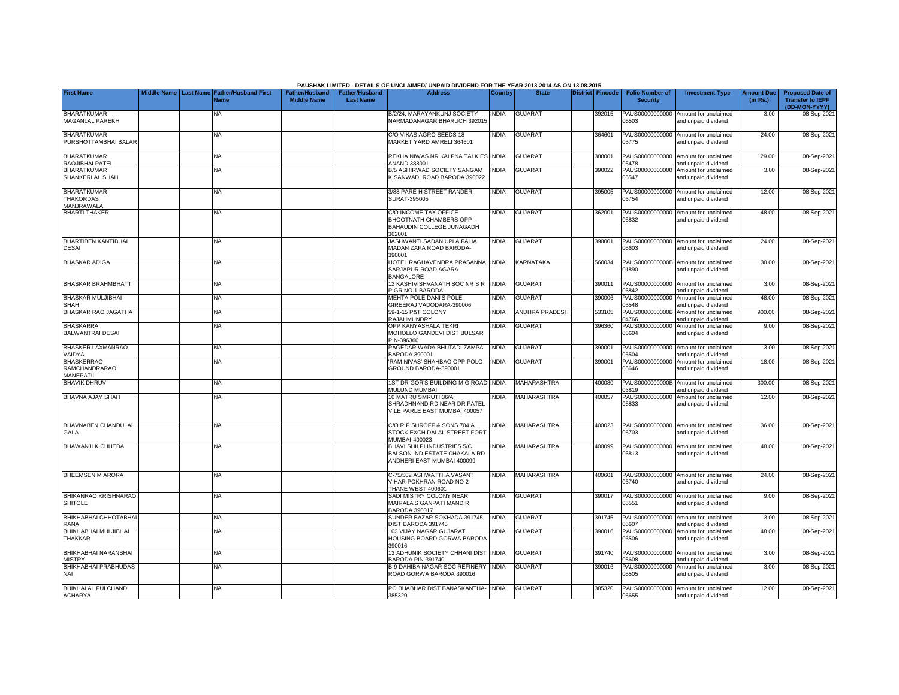|                                            |             |                  |                             |                       |                       | PAUSHAK LIMITED - DETAILS OF UNCLAIMED/ UNPAID DIVIDEND FOR THE YEAR 2013-2014 AS ON 13.08.2015 |                |                    |                  |                          |                                                             |                   |                                          |
|--------------------------------------------|-------------|------------------|-----------------------------|-----------------------|-----------------------|-------------------------------------------------------------------------------------------------|----------------|--------------------|------------------|--------------------------|-------------------------------------------------------------|-------------------|------------------------------------------|
| <b>First Name</b>                          | Middle Name | <b>Last Name</b> | <b>Father/Husband First</b> | <b>Father/Hushand</b> | <b>Father/Husband</b> | <b>Address</b>                                                                                  | <b>Country</b> | <b>State</b>       | District Pincode | <b>Folio Number of</b>   | <b>Investment Type</b>                                      | <b>Amount Due</b> | <b>Proposed Date of</b>                  |
|                                            |             |                  | <b>s</b>                    | <b>Middle Name</b>    | <b>Last Name</b>      |                                                                                                 |                |                    |                  | <b>Security</b>          |                                                             | (in Rs.)          | <b>Transfer to IEPF</b><br>(DD-MON-YYYY) |
| <b>BHARATKUMAR</b>                         |             |                  | NA                          |                       |                       | B/2/24, MARAYANKUNJ SOCIETY                                                                     | <b>NDIA</b>    | <b>GUJARAT</b>     | 392015           | PAUS00000000000          | Amount for unclaimed                                        | 3.00              | 08-Sep-202                               |
| MAGANLAL PAREKH                            |             |                  |                             |                       |                       | NARMADANAGAR BHARUCH 392015                                                                     |                |                    |                  | 05503                    | and unpaid dividend                                         |                   |                                          |
|                                            |             |                  |                             |                       |                       |                                                                                                 |                |                    |                  |                          |                                                             |                   |                                          |
| <b>BHARATKUMAR</b><br>PURSHOTTAMBHAI BALAR |             |                  | <b>NA</b>                   |                       |                       | C/O VIKAS AGRO SEEDS 18<br>MARKET YARD AMRELI 364601                                            | <b>INDIA</b>   | <b>GUJARAT</b>     | 364601           | 05775                    | PAUS00000000000 Amount for unclaimed<br>and unpaid dividend | 24.00             | 08-Sep-202                               |
|                                            |             |                  |                             |                       |                       |                                                                                                 |                |                    |                  |                          |                                                             |                   |                                          |
| <b>BHARATKUMAR</b>                         |             |                  | <b>NA</b>                   |                       |                       | REKHA NIWAS NR KALPNA TALKIES INDIA                                                             |                | GUJARAT            | 388001           |                          | PAUS00000000000 Amount for unclaimed                        | 129.00            | 08-Sep-202                               |
| RAOJIBHAI PATEL                            |             |                  |                             |                       |                       | ANAND 388001                                                                                    |                |                    |                  | 5478                     | and unpaid dividend                                         |                   |                                          |
| <b>BHARATKUMAR</b>                         |             |                  | <b>NA</b>                   |                       |                       | B/5 ASHIRWAD SOCIETY SANGAM                                                                     | <b>INDIA</b>   | <b>GUJARAT</b>     | 390022           | PAUS00000000000          | Amount for unclaimed                                        | 3.00              | 08-Sep-2021                              |
| SHANKERLAL SHAH                            |             |                  |                             |                       |                       | KISANWADI ROAD BARODA 390022                                                                    |                |                    |                  | 05547                    | and unpaid dividend                                         |                   |                                          |
| <b>BHARATKUMAR</b>                         |             |                  | <b>NA</b>                   |                       |                       | 3/83 PARE-H STREET RANDER                                                                       | <b>INDIA</b>   | <b>GUJARAT</b>     | 395005           |                          | PAUS00000000000 Amount for unclaimed                        | 12.00             | 08-Sep-202                               |
| <b>THAKORDAS</b>                           |             |                  |                             |                       |                       | SURAT-395005                                                                                    |                |                    |                  | 05754                    | and unpaid dividend                                         |                   |                                          |
| MANJRAWALA                                 |             |                  | <b>NA</b>                   |                       |                       |                                                                                                 | <b>INDIA</b>   |                    |                  |                          |                                                             |                   |                                          |
| <b>BHARTI THAKER</b>                       |             |                  |                             |                       |                       | C/O INCOME TAX OFFICE<br><b>BHOOTNATH CHAMBERS OPP</b>                                          |                | <b>GUJARAT</b>     | 362001           | PAUS00000000000<br>05832 | Amount for unclaimed<br>and unpaid dividend                 | 48.00             | 08-Sep-202                               |
|                                            |             |                  |                             |                       |                       | BAHAUDIN COLLEGE JUNAGADH                                                                       |                |                    |                  |                          |                                                             |                   |                                          |
|                                            |             |                  |                             |                       |                       | 362001                                                                                          |                |                    |                  |                          |                                                             |                   |                                          |
| <b>BHARTIBEN KANTIBHAI</b>                 |             |                  | <b>NA</b>                   |                       |                       | JASHWANTI SADAN UPLA FALIA                                                                      | <b>INDIA</b>   | <b>GUJARAT</b>     | 390001           |                          | PAUS00000000000 Amount for unclaimed                        | 24.00             | 08-Sep-202                               |
| <b>DESAI</b>                               |             |                  |                             |                       |                       | MADAN ZAPA ROAD BARODA-<br>390001                                                               |                |                    |                  | 05603                    | and unpaid dividend                                         |                   |                                          |
| <b>BHASKAR ADIGA</b>                       |             |                  | <b>NA</b>                   |                       |                       | HOTEL RAGHAVENDRA PRASANNA, INDIA                                                               |                | KARNATAKA          | 560034           |                          | PAUS0000000000B Amount for unclaimed                        | 30.00             | 08-Sep-202                               |
|                                            |             |                  |                             |                       |                       | SARJAPUR ROAD, AGARA                                                                            |                |                    |                  | 01890                    | and unpaid dividend                                         |                   |                                          |
|                                            |             |                  |                             |                       |                       | <b>BANGALORE</b>                                                                                |                |                    |                  |                          |                                                             |                   |                                          |
| <b>BHASKAR BRAHMBHATT</b>                  |             |                  | <b>NA</b>                   |                       |                       | 12 KASHIVISHVANATH SOC NR S R<br>P GR NO 1 BARODA                                               | <b>INDIA</b>   | <b>GUJARAT</b>     | 390011           | 05842                    | PAUS00000000000 Amount for unclaimed                        | 3.00              | 08-Sep-202                               |
| <b>BHASKAR MULJIBHAI</b>                   |             |                  | NA                          |                       |                       | <b>MEHTA POLE DANI'S POLE</b>                                                                   | <b>INDIA</b>   | <b>GUJARAT</b>     | 390006           | PAUS00000000000          | and unpaid dividend<br>Amount for unclaimed                 | 48.00             | 08-Sep-202                               |
| SHAH                                       |             |                  |                             |                       |                       | GIREERAJ VADODARA-390006                                                                        |                |                    |                  | 5548                     | and unpaid dividend                                         |                   |                                          |
| <b>BHASKAR RAO JAGATHA</b>                 |             |                  | <b>NA</b>                   |                       |                       | 59-1-15 P&T COLONY                                                                              | <b>INDIA</b>   | ANDHRA PRADESH     | 533105           | PAUS0000000000B          | Amount for unclaimed                                        | 900.00            | 08-Sep-202                               |
| <b>BHASKARRAI</b>                          |             |                  | <b>NA</b>                   |                       |                       | RAJAHMUNDRY<br>OPP KANYASHALA TEKRI                                                             |                |                    |                  | 4766                     | and unpaid dividend                                         |                   |                                          |
| <b>BALWANTRAI DESAI</b>                    |             |                  |                             |                       |                       | MOHOLLO GANDEVI DIST BULSAR                                                                     | <b>INDIA</b>   | <b>GUJARAT</b>     | 396360           | PAUS00000000000<br>05604 | Amount for unclaimed<br>and unpaid dividend                 | 9.00              | 08-Sep-202                               |
|                                            |             |                  |                             |                       |                       | PIN-396360                                                                                      |                |                    |                  |                          |                                                             |                   |                                          |
| <b>BHASKER LAXMANRAO</b>                   |             |                  | <b>NA</b>                   |                       |                       | PAGEDAR WADA BHUTADI ZAMPA                                                                      | <b>NDIA</b>    | <b>GUJARA1</b>     | 390001           | PAUS00000000000          | Amount for unclaimed                                        | 3.00              | 08-Sep-202                               |
| VAIDYA                                     |             |                  |                             |                       |                       | BARODA 390001                                                                                   |                |                    |                  | 05504                    | and unpaid dividend                                         |                   |                                          |
| <b>BHASKERRAO</b><br><b>RAMCHANDRARAO</b>  |             |                  | <b>NA</b>                   |                       |                       | 'RAM NIVAS' SHAHBAG OPP POLO<br>GROUND BARODA-390001                                            | <b>INDIA</b>   | <b>GUJARAT</b>     | 390001           | PAUS00000000000<br>05646 | Amount for unclaimed<br>and unpaid dividend                 | 18.00             | 08-Sep-202                               |
| MANEPATIL                                  |             |                  |                             |                       |                       |                                                                                                 |                |                    |                  |                          |                                                             |                   |                                          |
| <b>BHAVIK DHRUV</b>                        |             |                  | NA                          |                       |                       | 1ST DR GOR'S BUILDING M G ROAD INDIA                                                            |                | <b>MAHARASHTRA</b> | 400080           |                          | PAUS0000000000B Amount for unclaimed                        | 300.00            | 08-Sep-202                               |
| <b>BHAVNA AJAY SHAH</b>                    |             |                  | NA                          |                       |                       | <b>MULUND MUMBAI</b><br>10 MATRU SMRUTI 36/A                                                    | <b>NDIA</b>    | <b>MAHARASHTRA</b> | 400057           | 03819                    | and unpaid dividend<br>Amount for unclaimed                 |                   |                                          |
|                                            |             |                  |                             |                       |                       | SHRADHNAND RD NEAR DR PATEL                                                                     |                |                    |                  | PAUS00000000000<br>05833 | and unpaid dividend                                         | 12.00             | 08-Sep-202                               |
|                                            |             |                  |                             |                       |                       | VILE PARLE EAST MUMBAI 400057                                                                   |                |                    |                  |                          |                                                             |                   |                                          |
|                                            |             |                  |                             |                       |                       |                                                                                                 |                |                    |                  |                          |                                                             |                   |                                          |
| <b>BHAVNABEN CHANDULAL</b>                 |             |                  | <b>NA</b>                   |                       |                       | C/O R P SHROFF & SONS 704 A                                                                     | <b>NDIA</b>    | MAHARASHTRA        | 400023           | PAUS00000000000          | Amount for unclaimed                                        | 36.00             | 08-Sep-202                               |
| GALA                                       |             |                  |                             |                       |                       | STOCK EXCH DALAL STREET FORT<br>MUMBAI-400023                                                   |                |                    |                  | 05703                    | and unpaid dividend                                         |                   |                                          |
| BHAWANJI K CHHEDA                          |             |                  | <b>NA</b>                   |                       |                       | <b>BHAVI SHILPI INDUSTRIES 5/C</b>                                                              | <b>NDIA</b>    | MAHARASHTRA        | 400099           |                          | PAUS00000000000 Amount for unclaimed                        | 48.00             | 08-Sep-202                               |
|                                            |             |                  |                             |                       |                       | BALSON IND ESTATE CHAKALA RD                                                                    |                |                    |                  | 05813                    | and unpaid dividend                                         |                   |                                          |
|                                            |             |                  |                             |                       |                       | ANDHERI EAST MUMBAI 400099                                                                      |                |                    |                  |                          |                                                             |                   |                                          |
| <b>BHEEMSEN M ARORA</b>                    |             |                  | <b>NA</b>                   |                       |                       | C-75/502 ASHWATTHA VASANT                                                                       | <b>INDIA</b>   | MAHARASHTRA        | 400601           |                          | PAUS00000000000 Amount for unclaimed                        | 24.00             | 08-Sep-202                               |
|                                            |             |                  |                             |                       |                       | VIHAR POKHRAN ROAD NO 2                                                                         |                |                    |                  | 05740                    | and unpaid dividend                                         |                   |                                          |
|                                            |             |                  |                             |                       |                       | THANE WEST 400601                                                                               |                |                    |                  |                          |                                                             |                   |                                          |
| BHIKANRAO KRISHNARAO                       |             |                  | <b>NA</b>                   |                       |                       | SADI MISTRY COLONY NEAR                                                                         | <b>INDIA</b>   | <b>GUJARAT</b>     | 390017           |                          | PAUS00000000000 Amount for unclaimed                        | 9.00              | 08-Sep-202                               |
| <b>SHITOLE</b>                             |             |                  |                             |                       |                       | MAIRALA'S GANPATI MANDIR<br>BARODA 390017                                                       |                |                    |                  | 05551                    | and unpaid dividend                                         |                   |                                          |
| <b>ВНІКНАВНАІ СННОТАВНА</b> І              |             |                  | <b>NA</b>                   |                       |                       | SUNDER BAZAR SOKHADA 391745                                                                     | <b>INDIA</b>   | <b>GUJARAT</b>     | 391745           | PAUS00000000000          | Amount for unclaimed                                        | 3.00              | 08-Sep-202                               |
| <b>RANA</b>                                |             |                  |                             |                       |                       | <b>JIST BARODA 391745</b>                                                                       |                |                    |                  | 5607                     | and unpaid dividend                                         |                   |                                          |
| BHIKHABHAI MULJIBHAI                       |             |                  | <b>NA</b>                   |                       |                       | 103 VIJAY NAGAR GUJARAT                                                                         | <b>NDIA</b>    | <b>GUJARAT</b>     | 390016           | PAUS00000000000          | Amount for unclaimed                                        | 48.00             | 08-Sep-202                               |
| THAKKAR                                    |             |                  |                             |                       |                       | HOUSING BOARD GORWA BARODA<br>390016                                                            |                |                    |                  | 05506                    | and unpaid dividend                                         |                   |                                          |
| BHIKHABHAI NARANBHAI                       |             |                  | NA                          |                       |                       | 13 ADHUNIK SOCIETY CHHANI DIST INDIA                                                            |                | GUJARAT            | 391740           |                          | PAUS00000000000 Amount for unclaimed                        | 3.00              | 08-Sep-202                               |
| <b>MISTRY</b>                              |             |                  |                             |                       |                       | BARODA PIN-391740                                                                               |                |                    |                  | 5608                     | and unpaid dividend                                         |                   |                                          |
| <b>BHIKHABHAI PRABHUDAS</b>                |             |                  | NA                          |                       |                       | <b>B-9 DAHIBA NAGAR SOC REFINERY</b>                                                            | <b>INDIA</b>   | <b>GUJARAT</b>     | 390016           | PAUS00000000000          | Amount for unclaimed                                        | 3.00              | 08-Sep-2021                              |
| NAI                                        |             |                  |                             |                       |                       | ROAD GORWA BARODA 390016                                                                        |                |                    |                  | 05505                    | and unpaid dividend                                         |                   |                                          |
| BHIKHALAL FULCHAND                         |             |                  | <b>NA</b>                   |                       |                       | PO BHABHAR DIST BANASKANTHA- INDIA                                                              |                | <b>GUJARAT</b>     | 385320           |                          | PAUS00000000000 Amount for unclaimed                        | 12.00             | 08-Sep-2021                              |
| <b>ACHARYA</b>                             |             |                  |                             |                       |                       | 385320                                                                                          |                |                    |                  | 05655                    | and unpaid dividend                                         |                   |                                          |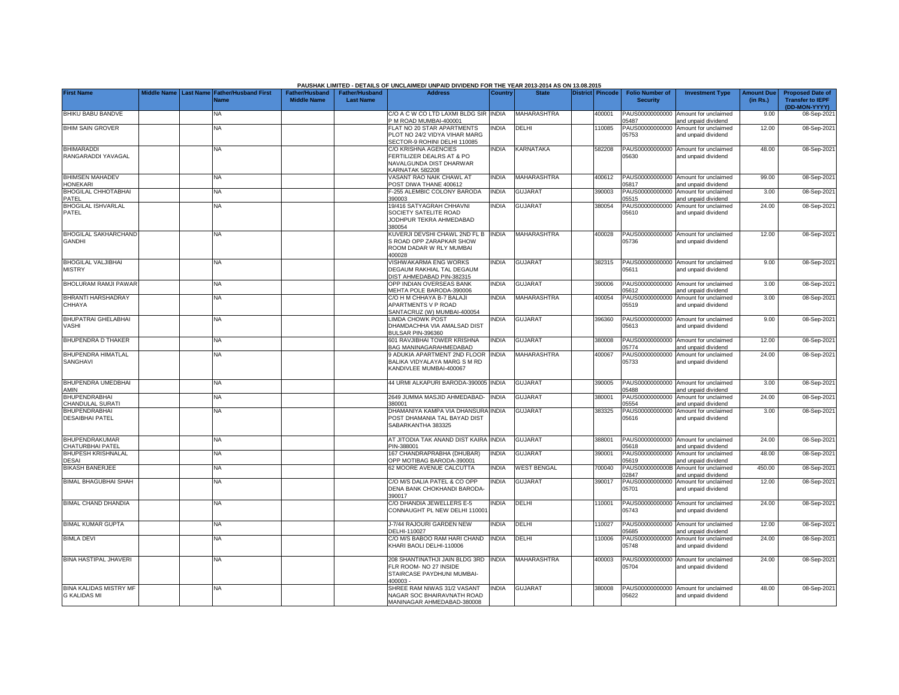|                                                      |  |                                                    |                                             |                                           | PAUSHAK LIMITED - DETAILS OF UNCLAIMED/ UNPAID DIVIDEND FOR THE YEAR 2013-2014 AS ON 13.08.2015        |                |                    |                  |                                           |                                                             |                               |                                                                     |
|------------------------------------------------------|--|----------------------------------------------------|---------------------------------------------|-------------------------------------------|--------------------------------------------------------------------------------------------------------|----------------|--------------------|------------------|-------------------------------------------|-------------------------------------------------------------|-------------------------------|---------------------------------------------------------------------|
| <b>First Name</b>                                    |  | Middle Name Last Name Father/Husband First<br>Name | <b>Father/Husband</b><br><b>Middle Name</b> | <b>Father/Husband</b><br><b>Last Name</b> | <b>Address</b>                                                                                         | <b>Country</b> | <b>State</b>       | District Pincode | <b>Folio Number of</b><br><b>Security</b> | <b>Investment Type</b>                                      | <b>Amount Due</b><br>(in Rs.) | <b>Proposed Date of</b><br><b>Transfer to IEPF</b><br>(DD-MON-YYYY) |
| BHIKU BABU BANDVE                                    |  | <b>NA</b>                                          |                                             |                                           | C/O A C W CO LTD LAXMI BLDG SIR INDIA<br>M ROAD MUMBAI-400001                                          |                | <b>MAHARASHTRA</b> | 400001           | PAUS00000000000<br>15487                  | Amount for unclaimed<br>and unpaid dividend                 | 9.00                          | 08-Sep-202                                                          |
| <b>BHIM SAIN GROVER</b>                              |  | <b>NA</b>                                          |                                             |                                           | FLAT NO 20 STAR APARTMENTS<br>PLOT NO 24/2 VIDYA VIHAR MARG<br>SECTOR-9 ROHINI DELHI 110085            | INDIA          | DELHI              | 110085           | PAUS00000000000<br>05753                  | Amount for unclaimed<br>and unpaid dividend                 | 12.00                         | 08-Sep-2021                                                         |
| <b>BHIMARADDI</b><br>RANGARADDI YAVAGAL              |  | <b>NA</b>                                          |                                             |                                           | C/O KRISHNA AGENCIES<br>FERTILIZER DEALRS AT & PO<br>NAVALGUNDA DIST DHARWAR<br><b>KARNATAK 582208</b> | <b>INDIA</b>   | KARNATAKA          | 582208           | 05630                                     | PAUS00000000000 Amount for unclaimed<br>and unpaid dividend | 48.00                         | 08-Sep-202                                                          |
| <b>BHIMSEN MAHADEV</b><br><b>HONEKARI</b>            |  | ΝA                                                 |                                             |                                           | <b>/ASANT RAO NAIK CHAWL AT</b><br>POST DIWA THANE 400612                                              | <b>INDIA</b>   | <b>MAHARASHTRA</b> | 400612           | PAUS00000000000<br>05817                  | Amount for unclaimed<br>and unpaid dividend                 | 99.00                         | 08-Sep-202                                                          |
| <b>BHOGILAL CHHOTABHAI</b><br>PATEL                  |  | ΝA                                                 |                                             |                                           | -255 ALEMBIC COLONY BARODA<br>390003                                                                   | <b>INDIA</b>   | <b>GUJARAT</b>     | 390003           | PAUS00000000000<br>05515                  | Amount for unclaimed<br>and unpaid dividend                 | 3.00                          | 08-Sep-202                                                          |
| <b>BHOGILAL ISHVARLAL</b><br>PATEL                   |  | NΑ                                                 |                                             |                                           | 19/416 SATYAGRAH CHHAVNI<br>SOCIETY SATELITE ROAD<br>JODHPUR TEKRA AHMEDABAD<br>380054                 | INDIA          | <b>GUJARAT</b>     | 380054           | 05610                                     | PAUS00000000000 Amount for unclaimed<br>and unpaid dividend | 24.00                         | 08-Sep-2021                                                         |
| <b>BHOGILAL SAKHARCHAND</b><br><b>GANDHI</b>         |  | NA                                                 |                                             |                                           | KUVERJI DEVSHI CHAWL 2ND FL B INDIA<br>S ROAD OPP ZARAPKAR SHOW<br>ROOM DADAR W RLY MUMBAI<br>400028   |                | MAHARASHTRA        | 400028           | 05736                                     | PAUS00000000000 Amount for unclaimed<br>and unpaid dividend | 12.00                         | 08-Sep-2021                                                         |
| <b>BHOGILAL VALJIBHAI</b><br><b>MISTRY</b>           |  | ΝA                                                 |                                             |                                           | <b>/ISHWAKARMA ENG WORKS</b><br>DEGAUM RAKHIAL TAL DEGAUM<br>DIST AHMEDABAD PIN-382315                 | <b>INDIA</b>   | <b>GUJARAT</b>     | 382315           | 05611                                     | PAUS00000000000 Amount for unclaimed<br>and unpaid dividend | 9.00                          | 08-Sep-202                                                          |
| <b>BHOLURAM RAMJI PAWAR</b>                          |  | <b>NA</b>                                          |                                             |                                           | OPP INDIAN OVERSEAS BANK<br>MEHTA POLE BARODA-390006                                                   | <b>INDIA</b>   | <b>GUJARAT</b>     | 390006           | 05612                                     | PAUS00000000000 Amount for unclaimed<br>and unpaid dividend | 3.00                          | 08-Sep-202                                                          |
| BHRANTI HARSHADRAY<br>CHHAYA                         |  | <b>NA</b>                                          |                                             |                                           | C/O H M CHHAYA B-7 BALAJI<br><b>APARTMENTS V P ROAD</b><br>SANTACRUZ (W) MUMBAI-400054                 | <b>INDIA</b>   | <b>MAHARASHTRA</b> | 400054           | PAUS00000000000<br>05519                  | Amount for unclaimed<br>and unpaid dividend                 | 3.00                          | 08-Sep-2021                                                         |
| BHUPATRAI GHELABHAI<br>VASHI                         |  | NA                                                 |                                             |                                           | <b>IMDA CHOWK POST</b><br>DHAMDACHHA VIA AMALSAD DIST<br><b>BULSAR PIN-396360</b>                      | NDIA           | <b>GUJARAT</b>     | 396360           | PAUS00000000000<br>05613                  | Amount for unclaimed<br>and unpaid dividend                 | 9.00                          | 08-Sep-202                                                          |
| <b>BHUPENDRA D THAKER</b>                            |  | <b>NA</b>                                          |                                             |                                           | 601 RAVJIBHAI TOWER KRISHNA<br><b>BAG MANINAGARAHMEDABAD</b>                                           | <b>NDIA</b>    | <b>GUJARAT</b>     | 380008           | PAUS00000000000<br>15774                  | Amount for unclaimed<br>and unpaid dividend                 | 12.00                         | 08-Sep-202                                                          |
| <b>BHUPENDRA HIMATLAL</b><br>SANGHAVI                |  | <b>NA</b>                                          |                                             |                                           | <b>ADUKIA APARTMENT 2ND FLOOR</b><br>BALIKA VIDYALAYA MARG S M RD<br><b>KANDIVLEE MUMBAI-400067</b>    | <b>INDIA</b>   | <b>MAHARASHTRA</b> | 400067           | PAUS00000000000<br>05733                  | Amount for unclaimed<br>and unpaid dividend                 | 24.00                         | 08-Sep-202                                                          |
| <b>BHUPENDRA UMEDBHAI</b><br>AMIN                    |  | NA                                                 |                                             |                                           | 44 URMI ALKAPURI BARODA-390005 INDIA                                                                   |                | <b>GUJARAT</b>     | 390005           | 05488                                     | PAUS00000000000 Amount for unclaimed<br>and unpaid dividend | 3.00                          | 08-Sep-202                                                          |
| <b>BHUPENDRABHAI</b><br>CHANDULAL SURATI             |  | ΝA                                                 |                                             |                                           | 2649 JUMMA MASJID AHMEDABAD-<br>380001                                                                 | <b>INDIA</b>   | <b>GUJARAT</b>     | 380001           | 05554                                     | PAUS00000000000 Amount for unclaimed<br>and unpaid dividend | 24.00                         | 08-Sep-202                                                          |
| <b>BHUPENDRABHAI</b><br><b>DESAIBHAI PATEL</b>       |  | <b>NA</b>                                          |                                             |                                           | DHAMANIYA KAMPA VIA DHANSURA INDIA<br>POST DHAMANIA TAL BAYAD DIST<br>SABARKANTHA 383325               |                | <b>GUJARAT</b>     | 383325           | 05616                                     | PAUS00000000000 Amount for unclaimed<br>and unpaid dividend | 3.00                          | 08-Sep-2021                                                         |
| <b>BHUPENDRAKUMAR</b><br>CHATURBHAI PATEL            |  | <b>NA</b>                                          |                                             |                                           | AT JITODIA TAK ANAND DIST KAIRA INDIA<br>PIN-388001                                                    |                | <b>GUJARAT</b>     | 388001           | 05618                                     | PAUS00000000000 Amount for unclaimed<br>and unpaid dividend | 24.00                         | 08-Sep-202                                                          |
| <b>BHUPESH KRISHNALAL</b><br><b>DESAI</b>            |  | <b>NA</b>                                          |                                             |                                           | 167 CHANDRAPRABHA (DHUBAR)<br>OPP MOTIBAG BARODA-390001                                                | INDIA          | <b>GUJARAT</b>     | 390001           | 05619                                     | PAUS00000000000 Amount for unclaimed<br>and unpaid dividend | 48.00                         | 08-Sep-202                                                          |
| <b>BIKASH BANERJEE</b>                               |  | ΝA                                                 |                                             |                                           | 32 MOORE AVENUE CALCUTTA                                                                               | <b>NDIA</b>    | <b>WEST BENGAL</b> | 700040           | PAUS0000000000B<br>02847                  | Amount for unclaimed<br>and unpaid dividend                 | 450.00                        | 08-Sep-202                                                          |
| <b>BIMAL BHAGUBHAI SHAH</b>                          |  | <b>NA</b>                                          |                                             |                                           | C/O M/S DALIA PATEL & CO OPP<br>DENA BANK CHOKHANDI BARODA-<br>390017                                  | <b>INDIA</b>   | <b>GUJARAT</b>     | 390017           | PAUS00000000000<br>05701                  | Amount for unclaimed<br>and unpaid dividend                 | 12.00                         | 08-Sep-202                                                          |
| <b>BIMAL CHAND DHANDIA</b>                           |  | <b>NA</b>                                          |                                             |                                           | C/O DHANDIA JEWELLERS E-5<br>CONNAUGHT PL NEW DELHI 11000                                              | <b>NDIA</b>    | DELHI              | 10001            | 05743                                     | PAUS00000000000 Amount for unclaimed<br>and unpaid dividend | 24.00                         | 08-Sep-202                                                          |
| <b>BIMAL KUMAR GUPTA</b>                             |  | <b>NA</b>                                          |                                             |                                           | J-7/44 RAJOURI GARDEN NEW<br>DELHI-110027                                                              | <b>INDIA</b>   | DELHI              | 10027            | 05685                                     | PAUS00000000000 Amount for unclaimed<br>and unpaid dividend | 12.00                         | 08-Sep-202                                                          |
| <b>BIMLA DEVI</b>                                    |  | NΑ                                                 |                                             |                                           | C/O M/S BABOO RAM HARI CHAND<br>KHARI BAOLI DELHI-110006                                               | <b>INDIA</b>   | DELHI              | 10006            | PAUS00000000000<br>05748                  | Amount for unclaimed<br>and unpaid dividend                 | 24.00                         | 08-Sep-202                                                          |
| <b>BINA HASTIPAL JHAVERI</b>                         |  | NA                                                 |                                             |                                           | 208 SHANTINATHJI JAIN BLDG 3RD<br>FLR ROOM- NO 27 INSIDE<br>STAIRCASE PAYDHUNI MUMBAI-<br>400003-      | INDIA          | MAHARASHTRA        | 400003           | 05704                                     | PAUS00000000000 Amount for unclaimed<br>and unpaid dividend | 24.00                         | 08-Sep-202                                                          |
| <b>BINA KALIDAS MISTRY MF</b><br><b>G KALIDAS MI</b> |  | NA                                                 |                                             |                                           | SHREE RAM NIWAS 31/2 VASANT<br>NAGAR SOC BHAIRAVNATH ROAD<br>MANINAGAR AHMEDABAD-380008                | <b>NDIA</b>    | <b>GUJARAT</b>     | 380008           | 05622                                     | PAUS00000000000 Amount for unclaimed<br>and unpaid dividend | 48.00                         | 08-Sep-202                                                          |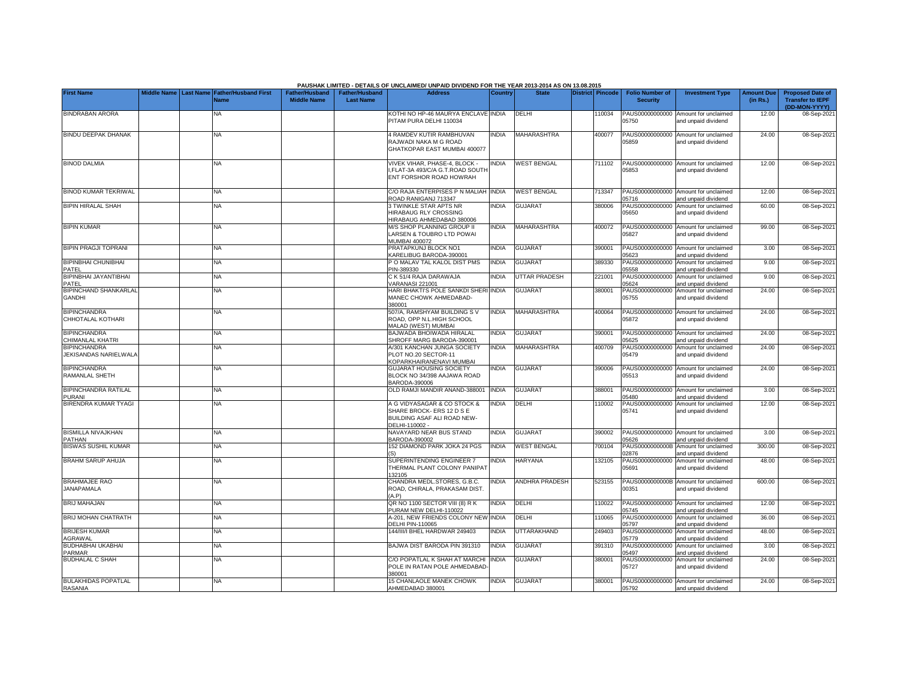|                                               |  |                                                               |                                             |                                           | PAUSHAK LIMITED - DETAILS OF UNCLAIMED/ UNPAID DIVIDEND FOR THE YEAR 2013-2014 AS ON 13.08.2015           |              |                       |                         |                                           |                                                             |                               |                                                                     |
|-----------------------------------------------|--|---------------------------------------------------------------|---------------------------------------------|-------------------------------------------|-----------------------------------------------------------------------------------------------------------|--------------|-----------------------|-------------------------|-------------------------------------------|-------------------------------------------------------------|-------------------------------|---------------------------------------------------------------------|
| <b>First Name</b>                             |  | Middle Name   Last Name   Father/Husband First<br><b>Name</b> | <b>Father/Husband</b><br><b>Middle Name</b> | <b>Father/Husband</b><br><b>Last Name</b> | <b>Address</b>                                                                                            | Country      | <b>State</b>          | <b>District Pincode</b> | <b>Folio Number of</b><br><b>Security</b> | <b>Investment Type</b>                                      | <b>Amount Due</b><br>(in Rs.) | <b>Proposed Date of</b><br><b>Transfer to IEPF</b><br>(DD-MON-YYYY) |
| <b>BINDRABAN ARORA</b>                        |  | <b>NA</b>                                                     |                                             |                                           | KOTHI NO HP-46 MAURYA ENCLAVE INDIA<br>PITAM PURA DELHI 110034                                            |              | DELHI                 | 10034                   | PAUS00000000000<br>05750                  | Amount for unclaimed<br>and unpaid dividend                 | 12.00                         | 08-Sep-202                                                          |
| <b>BINDU DEEPAK DHANAK</b>                    |  | <b>NA</b>                                                     |                                             |                                           | 4 RAMDEV KUTIR RAMBHUVAN<br>RAJWADI NAKA M G ROAD<br>GHATKOPAR EAST MUMBAI 400077                         | <b>INDIA</b> | <b>MAHARASHTRA</b>    | 400077                  | 05859                                     | PAUS00000000000 Amount for unclaimed<br>and unpaid dividend | 24.00                         | 08-Sep-202                                                          |
| <b>BINOD DALMIA</b>                           |  | NA                                                            |                                             |                                           | VIVEK VIHAR, PHASE-4, BLOCK -<br>FLAT-3A 493/C/A G.T.ROAD SOUTI<br>ENT FORSHOR ROAD HOWRAH                | <b>INDIA</b> | <b>WEST BENGAL</b>    | 711102                  | 05853                                     | PAUS00000000000 Amount for unclaimed<br>and unpaid dividend | 12.00                         | 08-Sep-202                                                          |
| <b>BINOD KUMAR TEKRIWAL</b>                   |  | NA                                                            |                                             |                                           | C/O RAJA ENTERPISES P N MALIAH INDIA<br>ROAD RANIGANJ 713347                                              |              | <b>WEST BENGAL</b>    | 713347                  | 05716                                     | PAUS00000000000 Amount for unclaimed<br>and unpaid dividend | 12.00                         | 08-Sep-202                                                          |
| <b>BIPIN HIRALAL SHAH</b>                     |  | ΝA                                                            |                                             |                                           | 3 TWINKLE STAR APTS NR<br><b>HIRABAUG RLY CROSSING</b><br>HIRABAUG AHMEDABAD 380006                       | <b>NDIA</b>  | <b>GUJARAT</b>        | 380006                  | PAUS00000000000<br>05650                  | Amount for unclaimed<br>and unpaid dividend                 | 60.00                         | 08-Sep-202                                                          |
| <b>BIPIN KUMAR</b>                            |  | <b>NA</b>                                                     |                                             |                                           | M/S SHOP PLANNING GROUP II<br>ARSEN & TOUBRO LTD POWAI<br><b>MUMBAI 400072</b>                            | <b>NDIA</b>  | <b>MAHARASHTRA</b>    | 400072                  | PAUS00000000000<br>05827                  | Amount for unclaimed<br>and unpaid dividend                 | 99.00                         | 08-Sep-202                                                          |
| <b>BIPIN PRAGJI TOPRANI</b>                   |  | NA                                                            |                                             |                                           | PRATAPKUNJ BLOCK NO1<br><b>KARELIBUG BARODA-390001</b>                                                    | <b>INDIA</b> | <b>GUJARAT</b>        | 390001                  | 05623                                     | PAUS00000000000 Amount for unclaimed<br>and unpaid dividend | 3.00                          | 08-Sep-202                                                          |
| <b>BIPINBHAI CHUNIBHAI</b><br>PATEL           |  | NA                                                            |                                             |                                           | O MALAV TAL KALOL DIST PMS<br>PIN-389330                                                                  | <b>NDIA</b>  | <b>GUJARAT</b>        | 389330                  | PAUS00000000000<br>05558                  | Amount for unclaimed<br>and unpaid dividend                 | 9.00                          | 08-Sep-202                                                          |
| BIPINBHAI JAYANTIBHAI<br>PATEL                |  | NA                                                            |                                             |                                           | C K 51/4 RAJA DARAWAJA<br>/ARANASI 221001                                                                 | <b>NDIA</b>  | <b>UTTAR PRADESH</b>  | 221001                  | 05624                                     | PAUS00000000000 Amount for unclaimed<br>and unpaid dividend | 9.00                          | 08-Sep-202                                                          |
| <b>BIPINCHAND SHANKARLAL</b><br><b>GANDHI</b> |  | <b>NA</b>                                                     |                                             |                                           | HARI BHAKTI'S POLE SANKDI SHERI INDIA<br>MANEC CHOWK AHMEDABAD-<br>380001                                 |              | <b>GUJARAT</b>        | 380001                  | 05755                                     | PAUS00000000000 Amount for unclaimed<br>and unpaid dividend | 24.00                         | 08-Sep-202                                                          |
| <b>BIPINCHANDRA</b><br>CHHOTALAL KOTHARI      |  | NA                                                            |                                             |                                           | 507/A, RAMSHYAM BUILDING SV<br>ROAD, OPP N.L.HIGH SCHOOL<br>MALAD (WEST) MUMBAI                           | <b>NDIA</b>  | <b>MAHARASHTRA</b>    | 400064                  | 05872                                     | PAUS00000000000 Amount for unclaimed<br>and unpaid dividend | 24.00                         | 08-Sep-202                                                          |
| <b>BIPINCHANDRA</b><br>CHIMANLAL KHATRI       |  | ΝA                                                            |                                             |                                           | BAJWADA BHOIWADA HIRALAL<br>SHROFF MARG BARODA-390001                                                     | INDIA        | <b>GUJARAT</b>        | 390001                  | 05625                                     | PAUS00000000000 Amount for unclaimed<br>and unpaid dividend | 24.00                         | 08-Sep-202                                                          |
| <b>BIPINCHANDRA</b><br>JEKISANDAS NARIELWALA  |  | NA                                                            |                                             |                                           | A/301 KANCHAN JUNGA SOCIETY<br>PLOT NO.20 SECTOR-11<br>KOPARKHAIRANENAVI MUMBAI                           | <b>INDIA</b> | <b>MAHARASHTRA</b>    | 400709                  | PAUS00000000000<br>05479                  | Amount for unclaimed<br>and unpaid dividend                 | 24.00                         | 08-Sep-202                                                          |
| <b>BIPINCHANDRA</b><br>RAMANLAL SHETH         |  | NA                                                            |                                             |                                           | <b>GUJARAT HOUSING SOCIETY</b><br>BLOCK NO 34/398 AAJAWA ROAD<br>ARODA-390006                             | <b>NDIA</b>  | <b>GUJARAT</b>        | 390006                  | 05513                                     | PAUS00000000000 Amount for unclaimed<br>and unpaid dividend | 24.00                         | 08-Sep-2021                                                         |
| <b>BIPINCHANDRA RATILAL</b><br><b>PURANI</b>  |  | NA                                                            |                                             |                                           | <b>DLD RAMJI MANDIR ANAND-388001</b>                                                                      | <b>INDIA</b> | <b>GUJARAT</b>        | 388001                  | 05480                                     | PAUS00000000000 Amount for unclaimed<br>and unpaid dividend | 3.00                          | 08-Sep-202                                                          |
| <b>BIRENDRA KUMAR TYAGI</b>                   |  | <b>NA</b>                                                     |                                             |                                           | A G VIDYASAGAR & CO STOCK &<br>SHARE BROCK- ERS 12 D S E<br>BUILDING ASAF ALI ROAD NEW-<br>DELHI-110002 - | <b>NDIA</b>  | DELHI                 | 110002                  | PAUS00000000000<br>05741                  | Amount for unclaimed<br>and unpaid dividend                 | 12.00                         | 08-Sep-2021                                                         |
| <b>BISMILLA NIVAJKHAN</b><br><b>PATHAN</b>    |  | NA                                                            |                                             |                                           | NAVAYARD NEAR BUS STAND<br>BARODA-390002                                                                  | <b>NDIA</b>  | <b>GUJARAT</b>        | 390002                  | 05626                                     | PAUS00000000000 Amount for unclaimed<br>and unpaid dividend | 3.00                          | 08-Sep-202                                                          |
| <b>BISWAS SUSHIL KUMAR</b>                    |  | NA                                                            |                                             |                                           | 152 DIAMOND PARK JOKA 24 PGS                                                                              | <b>NDIA</b>  | <b>WEST BENGAL</b>    | 700104                  | 02876                                     | PAUS0000000000B Amount for unclaimed<br>and unpaid dividend | 300.00                        | 08-Sep-202                                                          |
| <b>BRAHM SARUP AHUJA</b>                      |  | NA                                                            |                                             |                                           | SUPERINTENDING ENGINEER 7<br>THERMAL PLANT COLONY PANIPAT<br>32105                                        | NDIA         | <b>HARYANA</b>        | 132105                  | PAUS00000000000<br>05691                  | Amount for unclaimed<br>and unpaid dividend                 | 48.00                         | 08-Sep-202                                                          |
| <b>BRAHMAJEE RAO</b><br><b>JANAPAMALA</b>     |  | <b>NA</b>                                                     |                                             |                                           | CHANDRA MEDL.STORES, G.B.C.<br>ROAD, CHIRALA, PRAKASAM DIST<br>A.P                                        | <b>NDIA</b>  | <b>ANDHRA PRADESH</b> | 523155                  | PAUS0000000000B<br>00351                  | Amount for unclaimed<br>and unpaid dividend                 | 600.00                        | 08-Sep-202                                                          |
| <b>BRIJ MAHAJAN</b>                           |  | NA                                                            |                                             |                                           | QR NO 1100 SECTOR VIII (8) R K<br>PURAM NEW DELHI-110022                                                  | <b>NDIA</b>  | DELHI                 | 110022                  | PAUS00000000000<br>05745                  | Amount for unclaimed<br>and unpaid dividend                 | 12.00                         | 08-Sep-202                                                          |
| <b>BRIJ MOHAN CHATRATH</b>                    |  | NA                                                            |                                             |                                           | A-201, NEW FRIENDS COLONY NEW<br><b>DELHI PIN-110065</b>                                                  | <b>INDIA</b> | DELHI                 | 110065                  | PAUS00000000000<br>05797                  | Amount for unclaimed<br>and unpaid dividend                 | 36.00                         | 08-Sep-202                                                          |
| <b>BRIJESH KUMAR</b><br><b>GRAWAL</b>         |  | NA                                                            |                                             |                                           | 144/III/I BHEL HARDWAR 249403                                                                             | INDIA        | <b>UTTARAKHAND</b>    | 249403                  | PAUS00000000000<br>05779                  | Amount for unclaimed<br>and unpaid dividend                 | 48.00                         | 08-Sep-202                                                          |
| <b>BUDHABHAI UKABHAI</b><br><b>PARMAR</b>     |  | NA                                                            |                                             |                                           | BAJWA DIST BARODA PIN 391310                                                                              | <b>INDIA</b> | <b>GUJARAT</b>        | 391310                  | PAUS00000000000<br>05497                  | Amount for unclaimed<br>and unpaid dividend                 | 3.00                          | 08-Sep-202                                                          |
| <b>BUDHALAL C SHAH</b>                        |  | NA                                                            |                                             |                                           | C/O POPATLAL K SHAH AT MARCHI<br>POLE IN RATAN POLE AHMEDABAD<br>380001                                   | <b>INDIA</b> | <b>GUJARAT</b>        | 380001                  | PAUS00000000000<br>05727                  | Amount for unclaimed<br>and unpaid dividend                 | 24.00                         | 08-Sep-202                                                          |
| <b>BULAKHIDAS POPATLAL</b><br><b>RASANIA</b>  |  | NA                                                            |                                             |                                           | 15 CHANLAOLE MANEK CHOWK<br>AHMEDABAD 380001                                                              | <b>INDIA</b> | <b>GUJARAT</b>        | 380001                  | 05792                                     | PAUS00000000000 Amount for unclaimed<br>and unpaid dividend | 24.00                         | 08-Sep-2021                                                         |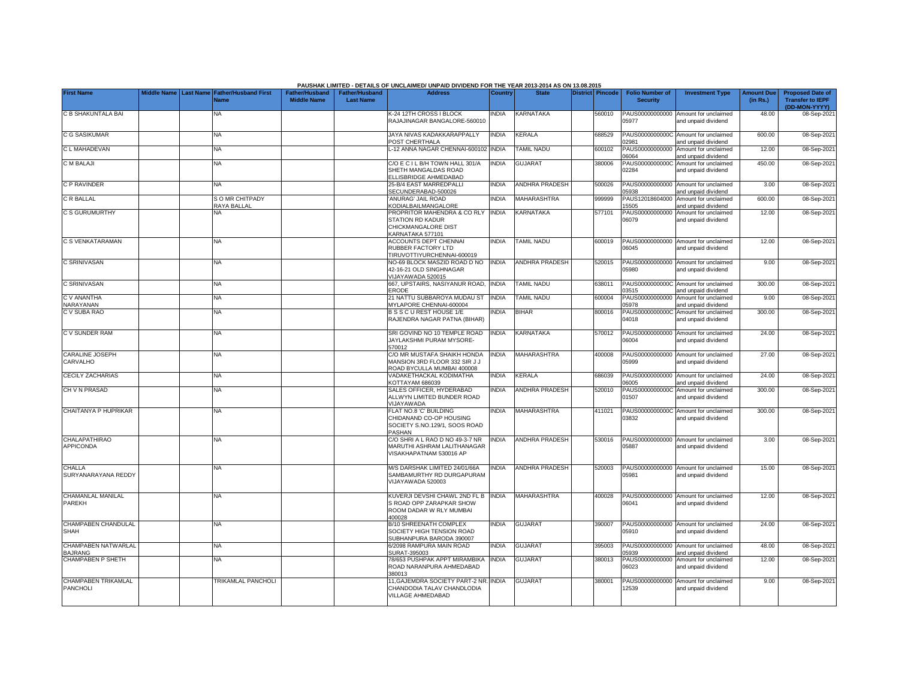|                                        |                         |                                            |                                             |                                           | PAUSHAK LIMITED - DETAILS OF UNCLAIMED/ UNPAID DIVIDEND FOR THE YEAR 2013-2014 AS ON 13.08.2015   |              |                       |                         |                                           |                                                             |                               |                                                                     |
|----------------------------------------|-------------------------|--------------------------------------------|---------------------------------------------|-------------------------------------------|---------------------------------------------------------------------------------------------------|--------------|-----------------------|-------------------------|-------------------------------------------|-------------------------------------------------------------|-------------------------------|---------------------------------------------------------------------|
| <b>First Name</b>                      | Middle Name   Last Name | <b>Father/Husband First</b><br><b>Name</b> | <b>Father/Husband</b><br><b>Middle Name</b> | <b>Father/Husband</b><br><b>Last Name</b> | <b>Address</b>                                                                                    | Country      | <b>State</b>          | <b>District Pincode</b> | <b>Folio Number of</b><br><b>Security</b> | <b>Investment Type</b>                                      | <b>Amount Due</b><br>(in Rs.) | <b>Proposed Date of</b><br><b>Transfer to IEPF</b><br>(DD-MON-YYYY) |
| C B SHAKUNTALA BAI                     |                         | <b>NA</b>                                  |                                             |                                           | K-24 12TH CROSS I BLOCK<br>RAJAJINAGAR BANGALORE-560010                                           | INDIA        | KARNATAKA             | 560010                  | PAUS00000000000<br>05977                  | Amount for unclaimed<br>and unpaid dividend                 | 48.00                         | 08-Sep-2021                                                         |
| <b>C G SASIKUMAR</b>                   |                         | <b>NA</b>                                  |                                             |                                           | JAYA NIVAS KADAKKARAPPALLY<br>POST CHERTHALA                                                      | <b>INDIA</b> | KERALA                | 688529                  | 02981                                     | PAUS0000000000C Amount for unclaimed<br>and unpaid dividend | 600.00                        | 08-Sep-2021                                                         |
| C L MAHADEVAN                          |                         | <b>NA</b>                                  |                                             |                                           | -12 ANNA NAGAR CHENNAI-600102 INDIA                                                               |              | <b>TAMIL NADU</b>     | 600102                  | PAUS00000000000<br>06064                  | Amount for unclaimed<br>and unpaid dividend                 | 12.00                         | 08-Sep-2021                                                         |
| <b>C M BALAJI</b>                      |                         | NΑ                                         |                                             |                                           | C/O E C I L B/H TOWN HALL 301/A<br>SHETH MANGALDAS ROAD<br>ELLISBRIDGE AHMEDABAD                  | <b>INDIA</b> | <b>GUJARAT</b>        | 380006                  | PAUS0000000000C<br>02284                  | Amount for unclaimed<br>and unpaid dividend                 | 450.00                        | 08-Sep-2021                                                         |
| C P RAVINDER                           |                         | <b>NA</b>                                  |                                             |                                           | 25-B/4 EAST MARREDPALL<br>SECUNDERABAD-500026                                                     | <b>INDIA</b> | <b>ANDHRA PRADESH</b> | 500026                  | 05938                                     | PAUS00000000000 Amount for unclaimed<br>and unpaid dividend | 3.00                          | 08-Sep-2021                                                         |
| C R BALLAL                             |                         | S O MR CHITPADY<br>RAYA BALLAL             |                                             |                                           | ANURAG' JAIL ROAD<br><b>CODIALBAILMANGALORE</b>                                                   | <b>INDIA</b> | <b>MAHARASHTRA</b>    | 999999                  | PAUS12018604000<br>5505                   | Amount for unclaimed<br>and unpaid dividend                 | 600.00                        | 08-Sep-2021                                                         |
| <b>C S GURUMURTHY</b>                  |                         | NA.                                        |                                             |                                           | PROPRITOR MAHENDRA & CO RLY<br><b>STATION RD KADUR</b><br>CHICKMANGALORE DIST<br>KARNATAKA 577101 | <b>INDIA</b> | <b>KARNATAKA</b>      | 577101                  | PAUS00000000000<br>06079                  | Amount for unclaimed<br>and unpaid dividend                 | 12.00                         | 08-Sep-2021                                                         |
| C S VENKATARAMAN                       |                         | NA                                         |                                             |                                           | <b>ACCOUNTS DEPT CHENNAI</b><br>RUBBER FACTORY LTD<br>TIRUVOTTIYURCHENNAI-600019                  | <b>NDIA</b>  | <b>TAMIL NADU</b>     | 600019                  | PAUS00000000000<br>06045                  | Amount for unclaimed<br>and unpaid dividend                 | 12.00                         | 08-Sep-2021                                                         |
| C SRINIVASAN                           |                         | NA                                         |                                             |                                           | NO-69 BLOCK MASZID ROAD D NO<br>42-16-21 OLD SINGHNAGAR<br>VIJAYAWADA 520015                      | <b>INDIA</b> | <b>ANDHRA PRADESH</b> | 520015                  | PAUS00000000000<br>05980                  | Amount for unclaimed<br>and unpaid dividend                 | 9.00                          | 08-Sep-2021                                                         |
| C SRINIVASAN                           |                         | ΝA                                         |                                             |                                           | 667, UPSTAIRS, NASIYANUR ROAD,<br><b>ERODE</b>                                                    | <b>INDIA</b> | <b>TAMIL NADU</b>     | 638011                  | 03515                                     | PAUS0000000000C Amount for unclaimed<br>and unpaid dividend | 300.00                        | 08-Sep-2021                                                         |
| <b>CV ANANTHA</b><br>NARAYANAN         |                         | NA.                                        |                                             |                                           | 21 NATTU SUBBAROYA MUDAU ST<br>MYLAPORE CHENNAI-600004                                            | <b>INDIA</b> | <b>TAMIL NADU</b>     | 600004                  | PAUS00000000000<br>05978                  | Amount for unclaimed<br>and unpaid dividend                 | 9.00                          | 08-Sep-2021                                                         |
| C V SUBA RAO                           |                         | NA                                         |                                             |                                           | B S S C U REST HOUSE 1/E<br>RAJENDRA NAGAR PATNA (BIHAR)                                          | <b>NDIA</b>  | <b>BIHAR</b>          | 800016                  | PAUS0000000000C<br>04018                  | Amount for unclaimed<br>and unpaid dividend                 | 300.00                        | 08-Sep-2021                                                         |
| C V SUNDER RAM                         |                         | NA                                         |                                             |                                           | SRI GOVIND NO 10 TEMPLE ROAD<br>JAYLAKSHMI PURAM MYSORE-<br>570012                                | <b>NDIA</b>  | KARNATAKA             | 570012                  | 06004                                     | PAUS00000000000 Amount for unclaimed<br>and unpaid dividend | 24.00                         | 08-Sep-2021                                                         |
| CARALINE JOSEPH<br>CARVALHO            |                         | <b>NA</b>                                  |                                             |                                           | C/O MR MUSTAFA SHAIKH HONDA<br>MANSION 3RD FLOOR 332 SIR J J<br>ROAD BYCULLA MUMBAI 400008        | <b>INDIA</b> | <b>MAHARASHTRA</b>    | 400008                  | 05999                                     | PAUS00000000000 Amount for unclaimed<br>and unpaid dividend | 27.00                         | 08-Sep-2021                                                         |
| <b>CECILY ZACHARIAS</b>                |                         | NA                                         |                                             |                                           | VADAKETHACKAL KODIMATHA<br>KOTTAYAM 686039                                                        | <b>INDIA</b> | KERALA                | 686039                  | 06005                                     | PAUS00000000000 Amount for unclaimed<br>and unpaid dividend | 24.00                         | 08-Sep-2021                                                         |
| CH V N PRASAD                          |                         | <b>NA</b>                                  |                                             |                                           | SALES OFFICER, HYDERABAD<br>ALLWYN LIMITED BUNDER ROAD<br>VIJAYAWADA                              | <b>INDIA</b> | <b>ANDHRA PRADESH</b> | 520010                  | 01507                                     | PAUS0000000000C Amount for unclaimed<br>and unpaid dividend | 300.00                        | 08-Sep-2021                                                         |
| CHAITANYA P HUPRIKAR                   |                         | ΝA                                         |                                             |                                           | FLAT NO.8 'C' BUILDING<br>CHIDANAND CO-OP HOUSING<br>SOCIETY S.NO.129/1, SOOS ROAD<br>PASHAN      | <b>INDIA</b> | <b>MAHARASHTRA</b>    | 411021                  | 03832                                     | PAUS0000000000C Amount for unclaimed<br>and unpaid dividend | 300.00                        | 08-Sep-2021                                                         |
| CHALAPATHIRAO<br><b>APPICONDA</b>      |                         | NA                                         |                                             |                                           | C/O SHRI A L RAO D NO 49-3-7 NR<br>MARUTHI ASHRAM LALITHANAGAR<br>VISAKHAPATNAM 530016 AP         | NDIA         | <b>ANDHRA PRADESH</b> | 530016                  | 05887                                     | PAUS00000000000 Amount for unclaimed<br>and unpaid dividend | 3.00                          | 08-Sep-2021                                                         |
| CHALLA<br>SURYANARAYANA REDDY          |                         | <b>NA</b>                                  |                                             |                                           | M/S DARSHAK LIMITED 24/01/66A<br>SAMBAMURTHY RD DURGAPURAM<br>VIJAYAWADA 520003                   | <b>NDIA</b>  | <b>ANDHRA PRADESH</b> | 520003                  | 05981                                     | PAUS00000000000 Amount for unclaimed<br>and unpaid dividend | 15.00                         | 08-Sep-2021                                                         |
| CHAMANLAL MANILAL<br><b>PAREKH</b>     |                         | NA                                         |                                             |                                           | KUVERJI DEVSHI CHAWL 2ND FL B<br>S ROAD OPP ZARAPKAR SHOW<br>ROOM DADAR W RLY MUMBAI<br>400028    | <b>INDIA</b> | <b>MAHARASHTRA</b>    | 400028                  | 06041                                     | PAUS00000000000 Amount for unclaimed<br>and unpaid dividend | 12.00                         | 08-Sep-2021                                                         |
| CHAMPABEN CHANDULAL<br><b>SHAH</b>     |                         | <b>NA</b>                                  |                                             |                                           | B/10 SHREENATH COMPLEX<br>SOCIETY HIGH TENSION ROAD<br>SUBHANPURA BARODA 390007                   | <b>INDIA</b> | <b>GUJARAT</b>        | 390007                  | 05910                                     | PAUS00000000000 Amount for unclaimed<br>and unpaid dividend | 24.00                         | 08-Sep-2021                                                         |
| CHAMPABEN NATWARLAL<br><b>BAJRANG</b>  |                         | <b>NA</b>                                  |                                             |                                           | 6/2098 RAMPURA MAIN ROAD<br>SURAT-395003                                                          | <b>INDIA</b> | <b>GUJARAT</b>        | 395003                  | 05939                                     | PAUS00000000000 Amount for unclaimed<br>and unpaid dividend | 48.00                         | 08-Sep-2021                                                         |
| CHAMPABEN P SHETH                      |                         | <b>NA</b>                                  |                                             |                                           | 78/653 PUSHPAK APPT MIRAMBIKA<br>ROAD NARANPURA AHMEDABAD<br>380013                               | <b>INDIA</b> | <b>GUJARAT</b>        | 380013                  | PAUS00000000000<br>06023                  | Amount for unclaimed<br>and unpaid dividend                 | 12.00                         | 08-Sep-2021                                                         |
| CHAMPABEN TRIKAMLAL<br><b>PANCHOLI</b> |                         | TRIKAMLAL PANCHOLI                         |                                             |                                           | 11, GAJEMDRA SOCIETY PART-2 NR. INDIA<br>CHANDODIA TALAV CHANDLODIA<br>VILLAGE AHMEDABAD          |              | <b>GUJARAT</b>        | 380001                  | 2539                                      | PAUS00000000000 Amount for unclaimed<br>and unpaid dividend | 9.00                          | 08-Sep-2021                                                         |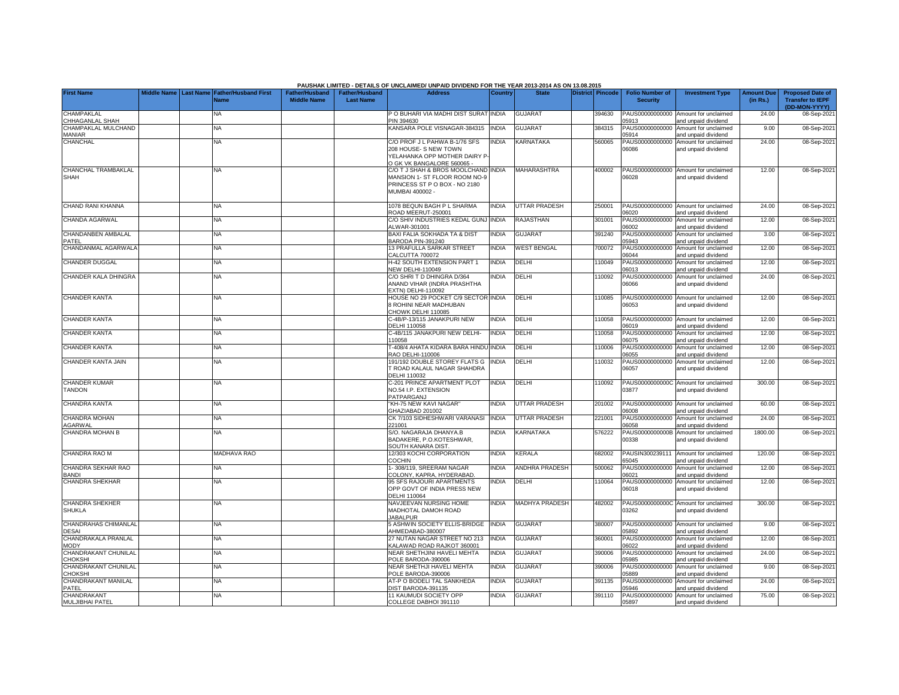|                                             |                       |                                            |                                      |                                           | PAUSHAK LIMITED - DETAILS OF UNCLAIMED/ UNPAID DIVIDEND FOR THE YEAR 2013-2014 AS ON 13.08.2015                          |                |                       |                  |                                           |                                                             |                               |                                                                     |
|---------------------------------------------|-----------------------|--------------------------------------------|--------------------------------------|-------------------------------------------|--------------------------------------------------------------------------------------------------------------------------|----------------|-----------------------|------------------|-------------------------------------------|-------------------------------------------------------------|-------------------------------|---------------------------------------------------------------------|
| <b>First Name</b>                           | Middle Name Last Name | <b>Father/Husband First</b><br><b>Name</b> | Father/Husband<br><b>Middle Name</b> | <b>Father/Husband</b><br><b>Last Name</b> | <b>Address</b>                                                                                                           | <b>Country</b> | <b>State</b>          | District Pincode | <b>Folio Number of</b><br><b>Security</b> | <b>Investment Type</b>                                      | <b>Amount Due</b><br>(in Rs.) | <b>Proposed Date of</b><br><b>Transfer to IEPF</b><br>(DD-MON-YYYY) |
| <b>CHAMPAKLAL</b><br>CHHAGANLAL SHAH        |                       | NA.                                        |                                      |                                           | O BUHARI VIA MADHI DIST SURAT<br>PIN 394630                                                                              | <b>INDIA</b>   | <b>GUJARAT</b>        | 394630           | PAUS00000000000<br>05913                  | Amount for unclaimed<br>and unpaid dividend                 | 24.00                         | 08-Sep-202                                                          |
| CHAMPAKLAL MULCHAND<br>MANIAR               |                       | <b>NA</b>                                  |                                      |                                           | <b>KANSARA POLE VISNAGAR-384315</b>                                                                                      | <b>INDIA</b>   | <b>GUJARAT</b>        | 384315           | PAUS00000000000<br>05914                  | Amount for unclaimed<br>and unpaid dividend                 | 9.00                          | 08-Sep-202                                                          |
| CHANCHAL                                    |                       | <b>NA</b>                                  |                                      |                                           | C/O PROF J L PAHWA B-1/76 SFS<br>208 HOUSE- S NEW TOWN<br>YELAHANKA OPP MOTHER DAIRY P<br>O GK VK BANGALORE 560065 -     | <b>INDIA</b>   | KARNATAKA             | 560065           | 06086                                     | PAUS00000000000 Amount for unclaimed<br>and unpaid dividend | 24.00                         | 08-Sep-202                                                          |
| CHANCHAL TRAMBAKLAL<br><b>SHAH</b>          |                       | <b>NA</b>                                  |                                      |                                           | C/O T J SHAH & BROS MOOLCHAND INDIA<br>MANSION 1- ST FLOOR ROOM NO-9<br>PRINCESS ST P O BOX - NO 2180<br>MUMBAI 400002 - |                | <b>MAHARASHTRA</b>    | 400002           | 06028                                     | PAUS00000000000 Amount for unclaimed<br>and unpaid dividend | 12.00                         | 08-Sep-202                                                          |
| CHAND RANI KHANNA                           |                       | <b>NA</b>                                  |                                      |                                           | 1078 BEQUN BAGH P L SHARMA<br>ROAD MEERUT-250001                                                                         | <b>INDIA</b>   | <b>UTTAR PRADESH</b>  | 250001           | 06020                                     | PAUS00000000000 Amount for unclaimed<br>and unpaid dividend | 24.00                         | 08-Sep-202                                                          |
| CHANDA AGARWAL                              |                       | NA                                         |                                      |                                           | C/O SHIV INDUSTRIES KEDAL GUNJ<br>LWAR-301001                                                                            | <b>INDIA</b>   | RAJASTHAN             | 301001           | PAUS00000000000<br>06002                  | Amount for unclaimed<br>and unpaid dividend                 | 12.00                         | 08-Sep-202                                                          |
| CHANDANBEN AMBALAL<br>PATEL                 |                       | NA                                         |                                      |                                           | <b>BAXI FALIA SOKHADA TA &amp; DIST</b><br><b>BARODA PIN-391240</b>                                                      | <b>INDIA</b>   | <b>GUJARAT</b>        | 391240           | PAUS00000000000<br>05943                  | Amount for unclaimed<br>and unpaid dividend                 | 3.00                          | 08-Sep-202                                                          |
| CHANDANMAL AGARWALA                         |                       | NA                                         |                                      |                                           | 13 PRAFULLA SARKAR STREET<br>CALCUTTA 700072                                                                             | INDIA          | <b>WEST BENGAL</b>    | 700072           | PAUS00000000000<br>06044                  | Amount for unclaimed<br>and unpaid dividend                 | 12.00                         | 08-Sep-202                                                          |
| <b>CHANDER DUGGAL</b>                       |                       | ΝA                                         |                                      |                                           | H-42 SOUTH EXTENSION PART 1<br><b>VEW DELHI-110049</b>                                                                   | <b>INDIA</b>   | DELHI                 | 110049           | PAUS00000000000<br>06013                  | Amount for unclaimed<br>and unpaid dividend                 | 12.00                         | 08-Sep-202                                                          |
| CHANDER KALA DHINGRA                        |                       | <b>NA</b>                                  |                                      |                                           | C/O SHRI T D DHINGRA D/364<br>ANAND VIHAR (INDRA PRASHTHA<br>EXTN) DELHI-110092                                          | <b>INDIA</b>   | DELHI                 | 110092           | PAUS00000000000<br>38060                  | Amount for unclaimed<br>and unpaid dividend                 | 24.00                         | 08-Sep-202                                                          |
| <b>CHANDER KANTA</b>                        |                       | ΝA                                         |                                      |                                           | HOUSE NO 29 POCKET C/9 SECTOR INDIA<br><b>B ROHINI NEAR MADHUBAN</b><br><b>CHOWK DELHI 110085</b>                        |                | DELHI                 | 10085            | 06053                                     | PAUS00000000000 Amount for unclaimed<br>and unpaid dividend | 12.00                         | 08-Sep-202                                                          |
| <b>CHANDER KANTA</b>                        |                       | NA                                         |                                      |                                           | :-4B/P-13/115 JANAKPURI NEW<br>ELHI 110058                                                                               | <b>INDIA</b>   | DELHI                 | 110058           | PAUS00000000000<br>06019                  | Amount for unclaimed<br>and unpaid dividend                 | 12.00                         | 08-Sep-202                                                          |
| <b>CHANDER KANTA</b>                        |                       | <b>NA</b>                                  |                                      |                                           | -4B/115 JANAKPURI NEW DELHI-<br>10058                                                                                    | <b>INDIA</b>   | DELHI                 | 110058           | PAUS00000000000<br>6075                   | Amount for unclaimed<br>and unpaid dividend                 | 12.00                         | 08-Sep-202                                                          |
| <b>CHANDER KANTA</b>                        |                       | <b>NA</b>                                  |                                      |                                           | -408/4 AHATA KIDARA BARA HINDU<br>RAO DELHI-110006                                                                       | <b>INDIA</b>   | DELHI                 | 110006           | PAUS00000000000<br>06055                  | Amount for unclaimed<br>and unpaid dividend                 | 12.00                         | 08-Sep-202                                                          |
| CHANDER KANTA JAIN                          |                       | <b>NA</b>                                  |                                      |                                           | 191/192 DOUBLE STOREY FLATS G<br><b>F ROAD KALAUL NAGAR SHAHDRA</b><br>DELHI 110032                                      | <b>INDIA</b>   | DELHI                 | 110032           | PAUS00000000000<br>06057                  | Amount for unclaimed<br>and unpaid dividend                 | 12.00                         | 08-Sep-202                                                          |
| <b>CHANDER KUMAR</b><br><b>TANDON</b>       |                       | <b>NA</b>                                  |                                      |                                           | C-201 PRINCE APARTMENT PLOT<br>NO.54 I.P. EXTENSION<br>PATPARGANJ                                                        | <b>INDIA</b>   | DELHI                 | 110092           | 03877                                     | PAUS0000000000C Amount for unclaimed<br>and unpaid dividend | 300.00                        | 08-Sep-202                                                          |
| <b>CHANDRA KANTA</b>                        |                       | <b>NA</b>                                  |                                      |                                           | KH-75 NEW KAVI NAGAR"<br>GHAZIABAD 201002                                                                                | <b>INDIA</b>   | <b>UTTAR PRADESH</b>  | 201002           | 6008                                      | PAUS00000000000 Amount for unclaimed<br>nd unpaid dividend  | 60.00                         | 08-Sep-202                                                          |
| CHANDRA MOHAN<br>AGARWAL                    |                       | <b>NA</b>                                  |                                      |                                           | CK 7/103 SIDHESHWARI VARANASI<br>221001                                                                                  | <b>INDIA</b>   | <b>UTTAR PRADESH</b>  | 221001           | PAUS00000000000<br>6058                   | Amount for unclaimed<br>nd unpaid dividend                  | 24.00                         | 08-Sep-202                                                          |
| <b>CHANDRA MOHAN B</b>                      |                       | NA                                         |                                      |                                           | S/O. NAGARAJA DHANYA.B<br><b>BADAKERE, P.O.KOTESHWAR,</b><br>SOUTH KANARA DIST.                                          | INDIA          | <b>KARNATAKA</b>      | 576222           | PAUS0000000000B<br>00338                  | Amount for unclaimed<br>and unpaid dividend                 | 1800.00                       | 08-Sep-202                                                          |
| <b>CHANDRA RAO M</b>                        |                       | <b>MADHAVA RAO</b>                         |                                      |                                           | 12/303 KOCHI CORPORATION<br>COCHIN                                                                                       | <b>INDIA</b>   | <b>KERALA</b>         | 682002           | PAUSIN300239111<br>5045                   | Amount for unclaimed<br>nd unpaid dividend                  | 120.00                        | 08-Sep-202                                                          |
| CHANDRA SEKHAR RAO<br><b>BANDI</b>          |                       | NA                                         |                                      |                                           | - 308/119, SREERAM NAGAR<br>COLONY, KAPRA, HYDERABAD,                                                                    | <b>INDIA</b>   | <b>ANDHRA PRADESH</b> | 500062           | PAUS00000000000<br>06021                  | Amount for unclaimed<br>and unpaid dividend                 | 12.00                         | 08-Sep-202                                                          |
| CHANDRA SHEKHAR                             |                       | NA                                         |                                      |                                           | <b>95 SFS RAJOURI APARTMENTS</b><br>OPP GOVT OF INDIA PRESS NEW<br><b>DELHI 110064</b>                                   | <b>NDIA</b>    | DELHI                 | 110064           | PAUS00000000000<br>06018                  | Amount for unclaimed<br>and unpaid dividend                 | 12.00                         | 08-Sep-202                                                          |
| <b>CHANDRA SHEKHER</b><br><b>SHUKLA</b>     |                       | NA                                         |                                      |                                           | NAVJEEVAN NURSING HOME<br>MADHOTAL DAMOH ROAD<br><b>JABALPUR</b>                                                         | <b>INDIA</b>   | <b>MADHYA PRADESH</b> | 482002           | 03262                                     | PAUS0000000000C Amount for unclaimed<br>and unpaid dividend | 300.00                        | 08-Sep-202                                                          |
| <b>CHANDRAHAS CHIMANLAL</b><br><b>DESAI</b> |                       | ΝA                                         |                                      |                                           | 5 ASHWIN SOCIETY ELLIS-BRIDGE<br>AHMEDABAD-380007                                                                        | <b>INDIA</b>   | <b>GUJARAT</b>        | 380007           | 5892                                      | PAUS00000000000 Amount for unclaimed<br>and unpaid dividend | 9.00                          | 08-Sep-202                                                          |
| CHANDRAKALA PRANLAL<br><b>MODY</b>          |                       | NA                                         |                                      |                                           | 27 NUTAN NAGAR STREET NO 213<br><b>KALAWAD ROAD RAJKOT 360001</b>                                                        | <b>INDIA</b>   | <b>GUJARAT</b>        | 360001           | PAUS00000000000<br>06022                  | Amount for unclaimed<br>and unpaid dividend                 | 12.00                         | 08-Sep-202                                                          |
| CHANDRAKANT CHUNILAL<br><b>HOKSHI</b>       |                       | NA.                                        |                                      |                                           | <b>VEAR SHETHJINI HAVELI MEHTA</b><br>POLE BARODA-390006                                                                 | <b>NDIA</b>    | <b>GUJARAT</b>        | 390006           | PAUS00000000000<br>5985                   | Amount for unclaimed<br>and unpaid dividend                 | 24.00                         | 08-Sep-202                                                          |
| CHANDRAKANT CHUNILAL<br>CHOKSHI             |                       | NA                                         |                                      |                                           | NEAR SHETHJI HAVELI MEHTA<br>POLE BARODA-390006                                                                          | <b>NDIA</b>    | <b>GUJARAT</b>        | 390006           | PAUS00000000000<br>5889                   | Amount for unclaimed<br>and unpaid dividend                 | 9.00                          | 08-Sep-202                                                          |
| CHANDRAKANT MANILAL<br>PATEL                |                       | <b>NA</b>                                  |                                      |                                           | AT-P O BODELI TAL SANKHEDA<br>DIST BARODA-391135                                                                         | <b>INDIA</b>   | <b>GUJARAT</b>        | 391135           | PAUS00000000000<br>05946                  | Amount for unclaimed<br>and unpaid dividend                 | 24.00                         | 08-Sep-202                                                          |
| CHANDRAKANT<br>MULJIBHAI PATEL              |                       | <b>NA</b>                                  |                                      |                                           | 11 KAUMUDI SOCIETY OPP<br>COLLEGE DABHOI 391110                                                                          | <b>INDIA</b>   | <b>GUJARAT</b>        | 391110           | 05897                                     | PAUS00000000000 Amount for unclaimed<br>and unpaid dividend | 75.00                         | 08-Sep-2021                                                         |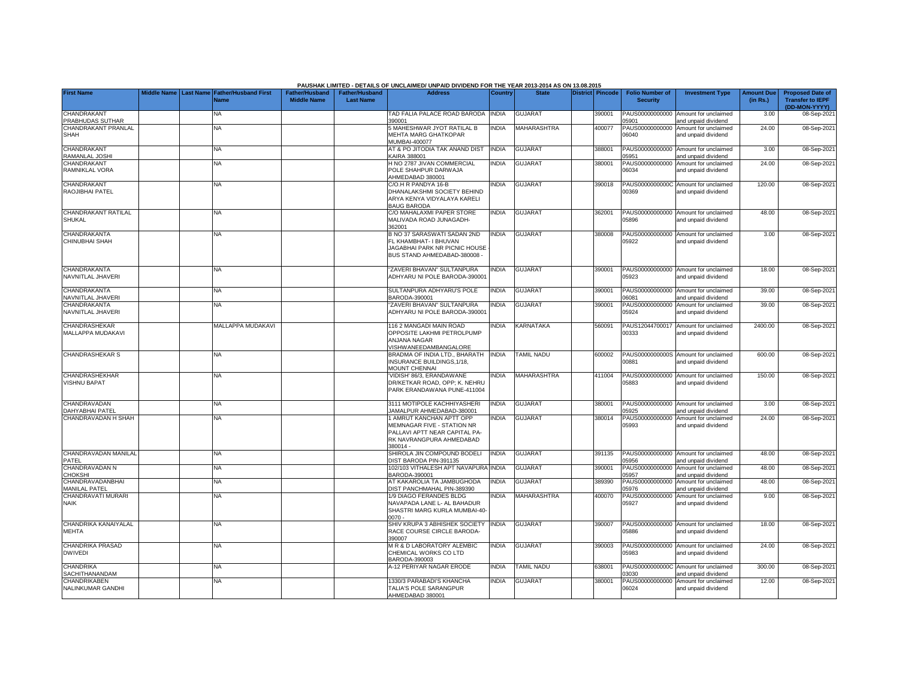|                                                |                    |                  |                                     |                                             |                                           | PAUSHAK LIMITED - DETAILS OF UNCLAIMED/ UNPAID DIVIDEND FOR THE YEAR 2013-2014 AS ON 13.08.2015                                 |                |                |                  |                                           |                                                             |                               |                                                                     |
|------------------------------------------------|--------------------|------------------|-------------------------------------|---------------------------------------------|-------------------------------------------|---------------------------------------------------------------------------------------------------------------------------------|----------------|----------------|------------------|-------------------------------------------|-------------------------------------------------------------|-------------------------------|---------------------------------------------------------------------|
| <b>First Name</b>                              | <b>Middle Name</b> | <b>Last Name</b> | <b>Father/Husband First</b><br>Name | <b>Father/Husband</b><br><b>Middle Name</b> | <b>Father/Husband</b><br><b>Last Name</b> | <b>Address</b>                                                                                                                  | <b>Country</b> | <b>State</b>   | District Pincode | <b>Folio Number of</b><br><b>Security</b> | <b>Investment Type</b>                                      | <b>Amount Due</b><br>(in Rs.) | <b>Proposed Date of</b><br><b>Transfer to IEPF</b><br>(DD-MON-YYYY) |
| CHANDRAKANT<br>PRABHUDAS SUTHAR                |                    |                  | <b>NA</b>                           |                                             |                                           | TAD FALIA PALACE ROAD BARODA<br>390001                                                                                          | <b>INDIA</b>   | <b>GUJARAT</b> | 390001           | PAUS00000000000<br>05901                  | Amount for unclaimed<br>and unpaid dividend                 | 3.00                          | 08-Sep-202                                                          |
| CHANDRAKANT PRANLAL<br>SHAH                    |                    |                  | <b>NA</b>                           |                                             |                                           | 5 MAHESHWAR JYOT RATILAL B<br>MEHTA MARG GHATKOPAR<br><b>MUMBAI-400077</b>                                                      | <b>INDIA</b>   | MAHARASHTRA    | 400077           | 06040                                     | PAUS00000000000 Amount for unclaimed<br>and unpaid dividend | 24.00                         | 08-Sep-202                                                          |
| CHANDRAKANT<br>RAMANLAL JOSHI                  |                    |                  | <b>NA</b>                           |                                             |                                           | AT & PO JITODIA TAK ANAND DIST<br><b>CAIRA 388001</b>                                                                           | <b>INDIA</b>   | GUJARAT        | 388001           | 5951                                      | PAUS00000000000 Amount for unclaimed<br>and unpaid dividend | 3.00                          | 08-Sep-202                                                          |
| CHANDRAKANT<br>RAMNIKLAL VORA                  |                    |                  | NA                                  |                                             |                                           | H NO 2787 JIVAN COMMERCIAL<br>POLE SHAHPUR DARWAJA<br>AHMEDABAD 380001                                                          | <b>NDIA</b>    | GUJARAT        | 380001           | PAUS00000000000<br>06034                  | Amount for unclaimed<br>and unpaid dividend                 | 24.00                         | 08-Sep-202                                                          |
| CHANDRAKANT<br>RAOJIBHAI PATEL                 |                    |                  | <b>NA</b>                           |                                             |                                           | C/O.H R PANDYA 16-B<br>DHANALAKSHMI SOCIETY BEHIND<br>ARYA KENYA VIDYALAYA KARELI<br><b>BAUG BARODA</b>                         | <b>INDIA</b>   | <b>GUJARAT</b> | 390018           | 00369                                     | PAUS0000000000C Amount for unclaimed<br>and unpaid dividend | 120.00                        | 08-Sep-202                                                          |
| <b>CHANDRAKANT RATILAL</b><br><b>SHUKAL</b>    |                    |                  | NA                                  |                                             |                                           | C/O MAHALAXMI PAPER STORE<br>MALIVADA ROAD JUNAGADH-<br>362001                                                                  | <b>INDIA</b>   | <b>GUJARAT</b> | 362001           | PAUS00000000000<br>5896                   | Amount for unclaimed<br>and unpaid dividend                 | 48.00                         | 08-Sep-202                                                          |
| CHANDRAKANTA<br>CHINUBHAI SHAH                 |                    |                  | <b>NA</b>                           |                                             |                                           | B NO 37 SARASWATI SADAN 2ND<br>FL KHAMBHAT- I BHUVAN<br>JAGABHAI PARK NR PICNIC HOUSE<br>BUS STAND AHMEDABAD-380008 -           | <b>INDIA</b>   | <b>GUJARAT</b> | 380008           | 5922                                      | PAUS00000000000 Amount for unclaimed<br>and unpaid dividend | 3.00                          | 08-Sep-202                                                          |
| CHANDRAKANTA<br>NAVNITLAL JHAVERI              |                    |                  | <b>NA</b>                           |                                             |                                           | 'ZAVERI BHAVAN" SULTANPURA<br>ADHYARU NI POLE BARODA-390001                                                                     | <b>NDIA</b>    | <b>GUJARAT</b> | 390001           | 15923                                     | PAUS00000000000 Amount for unclaimed<br>and unpaid dividend | 18.00                         | 08-Sep-202                                                          |
| CHANDRAKANTA<br>NAVNITLAL JHAVERI              |                    |                  | <b>NA</b>                           |                                             |                                           | SULTANPURA ADHYARU'S POLE<br>BARODA-390001                                                                                      | <b>INDIA</b>   | <b>GUJARAT</b> | 390001           | PAUS00000000000<br>06081                  | Amount for unclaimed<br>and unpaid dividend                 | 39.00                         | 08-Sep-202                                                          |
| CHANDRAKANTA<br>NAVNITLAL JHAVERI              |                    |                  | <b>NA</b>                           |                                             |                                           | 'ZAVERI BHAVAN" SULTANPURA<br>ADHYARU NI POLE BARODA-390001                                                                     | INDIA          | GUJARA1        | 390001           | PAUS00000000000<br>05924                  | Amount for unclaimed<br>and unpaid dividend                 | 39.00                         | 08-Sep-2021                                                         |
| <b>CHANDRASHEKAR</b><br>MALLAPPA MUDAKAVI      |                    |                  | MALLAPPA MUDAKAVI                   |                                             |                                           | 1162 MANGADI MAIN ROAD<br>OPPOSITE LAKHMI PETROLPUMP<br>ANJANA NAGAR<br>VISHWANEEDAMBANGALORE                                   | <b>INDIA</b>   | KARNATAKA      | 560091           | 00333                                     | PAUS12044700017 Amount for unclaimed<br>and unpaid dividend | 2400.00                       | 08-Sep-202                                                          |
| <b>CHANDRASHEKAR S</b>                         |                    |                  | <b>NA</b>                           |                                             |                                           | BRADMA OF INDIA LTD., BHARATH<br>INSURANCE BUILDINGS, 1/18,<br><b>MOUNT CHENNAI</b>                                             | <b>INDIA</b>   | TAMIL NADU     | 600002           | 0881                                      | PAUS0000000000S Amount for unclaimed<br>and unpaid dividend | 600.00                        | 08-Sep-202                                                          |
| CHANDRASHEKHAR<br><b>VISHNU BAPAT</b>          |                    |                  | <b>NA</b>                           |                                             |                                           | VIDISH' 86/3, ERANDAWANE<br>DR/KETKAR ROAD, OPP: K. NEHRU<br>PARK ERANDAWANA PUNE-411004                                        | <b>NDIA</b>    | MAHARASHTRA    | 411004           | 05883                                     | PAUS00000000000 Amount for unclaimed<br>and unpaid dividend | 150.00                        | 08-Sep-202                                                          |
| CHANDRAVADAN<br>DAHYABHAI PATEL                |                    |                  | <b>NA</b>                           |                                             |                                           | 3111 MOTIPOLE KACHHIYASHERI<br>JAMALPUR AHMEDABAD-380001                                                                        | <b>INDIA</b>   | GUJARAT        | 380001           | 05925                                     | PAUS00000000000 Amount for unclaimed<br>and unpaid dividend | 3.00                          | 08-Sep-202                                                          |
| CHANDRAVADAN H SHAH                            |                    |                  | NA                                  |                                             |                                           | 1 AMRUT KANCHAN APTT OPP<br>MEMNAGAR FIVE - STATION NR<br>PALLAVI APTT NEAR CAPITAL PA-<br>RK NAVRANGPURA AHMEDABAD<br>380014 - | <b>NDIA</b>    | <b>GUJARA1</b> | 380014           | PAUS00000000000<br>05993                  | Amount for unclaimed<br>and unpaid dividend                 | 24.00                         | 08-Sep-202                                                          |
| CHANDRAVADAN MANILAI<br>PATFL                  |                    |                  | <b>NA</b>                           |                                             |                                           | SHIROLA JIN COMPOUND BODELI<br>DIST BARODA PIN-391135                                                                           | <b>INDIA</b>   | <b>GUJARAT</b> | 391135           | 5956                                      | PAUS00000000000 Amount for unclaimed<br>and unpaid dividend | 48.00                         | 08-Sep-202                                                          |
| CHANDRAVADAN N<br><b>HOKSHI</b>                |                    |                  | <b>NA</b>                           |                                             |                                           | 102/103 VITHALESH APT NAVAPURA INDIA<br>BARODA-390001                                                                           |                | <b>GUJARAT</b> | 390001           | PAUS00000000000<br>05957                  | Amount for unclaimed<br>and unpaid dividend                 | 48.00                         | 08-Sep-202                                                          |
| <b>HANDRAVADANBHAI</b><br><b>MANILAL PATEL</b> |                    |                  | <b>NA</b>                           |                                             |                                           | AT KAKAROLIA TA JAMBUGHODA<br>DIST PANCHMAHAL PIN-389390                                                                        | <b>INDIA</b>   | <b>GUJARAT</b> | 389390           | PAUS00000000000<br>05976                  | Amount for unclaimed<br>and unpaid dividend                 | 48.00                         | 08-Sep-202                                                          |
| CHANDRAVATI MURARI<br><b>NAIK</b>              |                    |                  | <b>NA</b>                           |                                             |                                           | 1/9 DIAGO FERANDES BLDG<br>NAVAPADA LANE L- AL BAHADUR<br>SHASTRI MARG KURLA MUMBAI-40-<br>ነሰ7ሰ.                                | INDIA          | MAHARASHTRA    | 400070           | PAUS00000000000<br>05927                  | Amount for unclaimed<br>and unpaid dividend                 | 9.00                          | 08-Sep-202                                                          |
| CHANDRIKA KANAIYALAL<br><b>MEHTA</b>           |                    |                  | <b>NA</b>                           |                                             |                                           | SHIV KRUPA 3 ABHISHEK SOCIETY<br>RACE COURSE CIRCLE BARODA-<br>390007                                                           | <b>INDIA</b>   | <b>GUJARAT</b> | 390007           | 05886                                     | PAUS00000000000 Amount for unclaimed<br>and unpaid dividend | 18.00                         | 08-Sep-202                                                          |
| <b>CHANDRIKA PRASAD</b><br><b>DWIVEDI</b>      |                    |                  | NA                                  |                                             |                                           | M R & D LABORATORY ALEMBIC<br>CHEMICAL WORKS CO LTD<br>BARODA-390003                                                            | <b>INDIA</b>   | <b>GUJARAT</b> | 390003           | 05983                                     | PAUS00000000000 Amount for unclaimed<br>and unpaid dividend | 24.00                         | 08-Sep-202                                                          |
| CHANDRIKA<br>SACHITHANANDAM                    |                    |                  | <b>NA</b>                           |                                             |                                           | A-12 PERIYAR NAGAR ERODE                                                                                                        | <b>INDIA</b>   | TAMIL NADU     | 638001           | 3030                                      | PAUS0000000000C Amount for unclaimed<br>and unpaid dividend | 300.00                        | 08-Sep-202                                                          |
| CHANDRIKABEN<br>NALINKUMAR GANDHI              |                    |                  | <b>NA</b>                           |                                             |                                           | 1330/3 PARABADI'S KHANCHA<br>TALIA'S POLE SARANGPUR<br>AHMEDABAD 380001                                                         | <b>INDIA</b>   | <b>GUJARAT</b> | 380001           | PAUS00000000000<br>06024                  | Amount for unclaimed<br>and unpaid dividend                 | 12.00                         | 08-Sep-2021                                                         |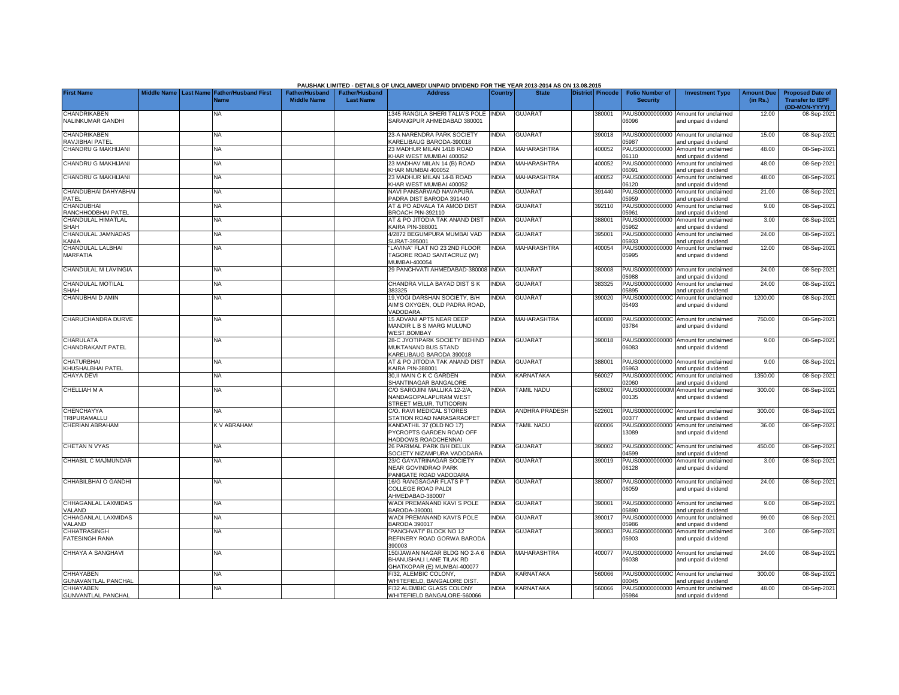|                                                |                    |                                                      |                                             |                                           | PAUSHAK LIMITED - DETAILS OF UNCLAIMED/ UNPAID DIVIDEND FOR THE YEAR 2013-2014 AS ON 13.08.2015 |              |                       |                         |                                           |                                                             |                               |                                                    |
|------------------------------------------------|--------------------|------------------------------------------------------|---------------------------------------------|-------------------------------------------|-------------------------------------------------------------------------------------------------|--------------|-----------------------|-------------------------|-------------------------------------------|-------------------------------------------------------------|-------------------------------|----------------------------------------------------|
| <b>First Name</b>                              | <b>Middle Name</b> | <b>Last Name Father/Husband First</b><br><b>Vame</b> | <b>Father/Husband</b><br><b>Middle Name</b> | <b>Father/Husband</b><br><b>Last Name</b> | <b>Address</b>                                                                                  | Country      | <b>State</b>          | <b>District Pincode</b> | <b>Folio Number of</b><br><b>Security</b> | <b>Investment Type</b>                                      | <b>Amount Due</b><br>(in Rs.) | <b>Proposed Date of</b><br><b>Transfer to IEPF</b> |
| <b>CHANDRIKABEN</b>                            |                    | NA                                                   |                                             |                                           | 1345 RANGILA SHERI TALIA'S POLE                                                                 | <b>INDIA</b> | <b>GUJARAT</b>        | 380001                  | PAUS00000000000                           | Amount for unclaimed                                        | 12.00                         | (DD-MON-YYYY)<br>08-Sep-2021                       |
| NALINKUMAR GANDHI                              |                    |                                                      |                                             |                                           | SARANGPUR AHMEDABAD 380001                                                                      |              |                       |                         | 06096                                     | and unpaid dividend                                         |                               |                                                    |
| <b>CHANDRIKABEN</b><br>RAVJIBHAI PATEL         |                    | NA                                                   |                                             |                                           | 23-A NARENDRA PARK SOCIETY<br><b>KARELIBAUG BARODA-390018</b>                                   | <b>INDIA</b> | <b>GUJARAT</b>        | 390018                  | PAUS00000000000<br>15987                  | Amount for unclaimed<br>and unpaid dividend                 | 15.00                         | 08-Sep-2021                                        |
| CHANDRU G MAKHIJANI                            |                    | NA                                                   |                                             |                                           | 23 MADHUR MILAN 141B ROAD<br><b>KHAR WEST MUMBAI 400052</b>                                     | <b>INDIA</b> | MAHARASHTRA           | 400052                  | PAUS00000000000<br>06110                  | Amount for unclaimed<br>and unpaid dividend                 | 48.00                         | 08-Sep-2021                                        |
| CHANDRU G MAKHIJANI                            |                    | NA                                                   |                                             |                                           | 23 MADHAV MILAN 14 (B) ROAD<br><b>KHAR MUMBAI 400052</b>                                        | <b>INDIA</b> | MAHARASHTRA           | 400052                  | PAUS00000000000<br>06091                  | Amount for unclaimed<br>and unpaid dividend                 | 48.00                         | 08-Sep-2021                                        |
| CHANDRU G MAKHIJANI                            |                    | NA                                                   |                                             |                                           | 23 MADHUR MILAN 14-B ROAD<br>KHAR WEST MUMBAI 400052                                            | <b>INDIA</b> | <b>MAHARASHTRA</b>    | 400052                  | PAUS00000000000<br>06120                  | Amount for unclaimed<br>and unpaid dividend                 | 48.00                         | 08-Sep-2021                                        |
| CHANDUBHAI DAHYABHAI<br>PATEL                  |                    | NA                                                   |                                             |                                           | NAVI PANSARWAD NAVAPURA<br>PADRA DIST BARODA 391440                                             | <b>INDIA</b> | <b>GUJARAT</b>        | 391440                  | PAUS00000000000<br>05959                  | Amount for unclaimed<br>and unpaid dividend                 | 21.00                         | 08-Sep-2021                                        |
| <b>CHANDUBHAI</b>                              |                    | NA                                                   |                                             |                                           | AT & PO ADVALA TA AMOD DIST                                                                     | <b>INDIA</b> | <b>GUJARAT</b>        | 392110                  | PAUS00000000000                           | Amount for unclaimed                                        | 9.00                          | 08-Sep-2021                                        |
| RANCHHODBHAI PATEL<br>CHANDULAL HIMATLAL       |                    | NA                                                   |                                             |                                           | BROACH PIN-392110<br>AT & PO JITODIA TAK ANAND DIST                                             | INDIA        | <b>GUJARAT</b>        | 388001                  | 05961<br>PAUS00000000000                  | and unpaid dividend<br>Amount for unclaimed                 | 3.00                          | 08-Sep-2021                                        |
| SHAH                                           |                    |                                                      |                                             |                                           | KAIRA PIN-388001                                                                                |              |                       |                         | 05962                                     | and unpaid dividend                                         |                               |                                                    |
| CHANDULAL JAMNADAS<br>KANIA                    |                    | NA                                                   |                                             |                                           | 4/2872 BEGUMPURA MUMBAI VAD<br>SURAT-395001                                                     | <b>INDIA</b> | <b>GUJARAT</b>        | 395001                  | PAUS00000000000<br>05933                  | Amount for unclaimed<br>and unpaid dividend                 | 24.00                         | 08-Sep-2021                                        |
| CHANDULAL LALBHAI                              |                    | NA                                                   |                                             |                                           | "LAVINA" FLAT NO 23 2ND FLOOR                                                                   | INDIA        | <b>MAHARASHTRA</b>    | 400054                  | PAUS00000000000                           | Amount for unclaimed                                        | 12.00                         | 08-Sep-2021                                        |
| <b>MARFATIA</b>                                |                    |                                                      |                                             |                                           | TAGORE ROAD SANTACRUZ (W)<br>MUMBAI-400054                                                      |              |                       |                         | 05995                                     | and unpaid dividend                                         |                               |                                                    |
| CHANDULAL M LAVINGIA                           |                    | NA                                                   |                                             |                                           | 29 PANCHVATI AHMEDABAD-380008 INDIA                                                             |              | <b>GUJARAT</b>        | 380008                  | PAUS00000000000<br>05988                  | Amount for unclaimed<br>and unpaid dividend                 | 24.00                         | 08-Sep-2021                                        |
| CHANDULAL MOTILAL<br>SHAH                      |                    | NA                                                   |                                             |                                           | CHANDRA VILLA BAYAD DIST S K<br>383325                                                          | <b>INDIA</b> | <b>GUJARAT</b>        | 383325                  | PAUS00000000000<br>05895                  | Amount for unclaimed<br>and unpaid dividend                 | 24.00                         | 08-Sep-2021                                        |
| CHANUBHAI D AMIN                               |                    | NA                                                   |                                             |                                           | 19, YOGI DARSHAN SOCIETY, B/H                                                                   | <b>NDIA</b>  | <b>GUJARAT</b>        | 390020                  | PAUS0000000000C                           | Amount for unclaimed                                        | 1200.00                       | 08-Sep-2021                                        |
|                                                |                    |                                                      |                                             |                                           | AIM'S OXYGEN, OLD PADRA ROAD.<br><b>/ADODARA</b>                                                |              |                       |                         | 05493                                     | and unpaid dividend                                         |                               |                                                    |
| CHARUCHANDRA DURVE                             |                    | NA                                                   |                                             |                                           | 15 ADVANI APTS NEAR DEEP<br>MANDIR L B S MARG MULUND                                            | INDIA        | MAHARASHTRA           | 400080                  | PAUS0000000000C<br>03784                  | Amount for unclaimed<br>and unpaid dividend                 | 750.00                        | 08-Sep-2021                                        |
|                                                |                    |                                                      |                                             |                                           | <b>WEST.BOMBAY</b>                                                                              |              |                       |                         |                                           |                                                             |                               |                                                    |
| <b>CHARULATA</b><br>CHANDRAKANT PATEL          |                    | NA                                                   |                                             |                                           | 28-C JYOTIPARK SOCIETY BEHIND<br>MUKTANAND BUS STAND<br>KARELIBAUG BARODA 390018                | <b>INDIA</b> | <b>GUJARAT</b>        | 390018                  | PAUS00000000000<br>06083                  | Amount for unclaimed<br>and unpaid dividend                 | 9.00                          | 08-Sep-2021                                        |
| <b>CHATURBHAI</b>                              |                    | NA                                                   |                                             |                                           | AT & PO JITODIA TAK ANAND DIST                                                                  | <b>INDIA</b> | <b>GUJARAT</b>        | 388001                  | PAUS00000000000<br>05963                  | Amount for unclaimed                                        | 9.00                          | 08-Sep-2021                                        |
| KHUSHALBHAI PATEL<br><b>CHAYA DEVI</b>         |                    | NA                                                   |                                             |                                           | KAIRA PIN-388001<br>30.II MAIN C K C GARDEN                                                     | <b>INDIA</b> | <b>KARNATAKA</b>      | 560027                  | PAUS0000000000C                           | and unpaid dividend<br>Amount for unclaimed                 | 1350.00                       | 08-Sep-2021                                        |
|                                                |                    |                                                      |                                             |                                           | <b>SHANTINAGAR BANGALORE</b>                                                                    |              |                       |                         | 02060                                     | and unpaid dividend                                         |                               |                                                    |
| <b>CHELLIAH M A</b>                            |                    | NA                                                   |                                             |                                           | C/O SAROJINI MALLIKA 12-2/A,<br>NANDAGOPALAPURAM WEST<br><b>TREET MELUR, TUTICORIN</b>          | <b>INDIA</b> | <b>TAMIL NADU</b>     | 628002                  | PAUS0000000000M<br>00135                  | Amount for unclaimed<br>and unpaid dividend                 | 300.00                        | 08-Sep-2021                                        |
| <b>CHENCHAYYA</b>                              |                    | NA                                                   |                                             |                                           | <b>CO. RAVI MEDICAL STORES</b>                                                                  | INDIA        | <b>ANDHRA PRADESH</b> | 522601                  | PAUS0000000000C<br>0377                   | Amount for unclaimed                                        | 300.00                        | 08-Sep-2021                                        |
| TRIPURAMALLU<br>CHERIAN ABRAHAM                |                    | K V ABRAHAM                                          |                                             |                                           | STATION ROAD NARASARAOPET<br>KANDATHIL 37 (OLD NO 17)                                           | INDIA        | <b>TAMIL NADU</b>     | 600006                  | PAUS00000000000                           | and unpaid dividend<br>Amount for unclaimed                 | 36.00                         | 08-Sep-2021                                        |
|                                                |                    |                                                      |                                             |                                           | PYCROPTS GARDEN ROAD OFF<br>HADDOWS ROADCHENNAI                                                 |              |                       |                         | 13089                                     | and unpaid dividend                                         |                               |                                                    |
| <b>CHETAN N VYAS</b>                           |                    | <b>NA</b>                                            |                                             |                                           | 26 PARIMAL PARK B/H DELUX<br>SOCIETY NIZAMPURA VADODARA                                         | <b>INDIA</b> | <b>GUJARAT</b>        | 390002                  | 4599                                      | PAUS0000000000C Amount for unclaimed<br>and unpaid dividend | 450.00                        | 08-Sep-2021                                        |
| CHHABIL C MAJMUNDAR                            |                    | ΝA                                                   |                                             |                                           | 23/C GAYATRINAGAR SOCIETY                                                                       | INDIA        | <b>GUJARAT</b>        | 390019                  | PAUS00000000000                           | Amount for unclaimed                                        | 3.00                          | 08-Sep-2021                                        |
|                                                |                    |                                                      |                                             |                                           | NEAR GOVINDRAO PARK<br>PANIGATE ROAD VADODARA                                                   |              |                       |                         | 06128                                     | and unpaid dividend                                         |                               |                                                    |
| CHHABILBHAI O GANDHI                           |                    | <b>NA</b>                                            |                                             |                                           | 16/G RANGSAGAR FLATS P T<br>COLLEGE ROAD PALDI<br>AHMEDABAD-380007                              | INDIA        | <b>GUJARAT</b>        | 380007                  | PAUS00000000000<br>06059                  | Amount for unclaimed<br>and unpaid dividend                 | 24.00                         | 08-Sep-2021                                        |
| CHHAGANLAL LAXMIDAS<br>VALAND                  |                    | NA                                                   |                                             |                                           | WADI PREMANAND KAVI S POLE<br>BARODA-390001                                                     | <b>INDIA</b> | <b>GUJARAT</b>        | 390001                  | PAUS00000000000<br>5890                   | Amount for unclaimed<br>and unpaid dividend                 | 9.00                          | 08-Sep-2021                                        |
| CHHAGANLAL LAXMIDAS<br>VALAND                  |                    | NA                                                   |                                             |                                           | WADI PREMANAND KAVI'S POLE<br><b>BARODA 390017</b>                                              | INDIA        | <b>GUJARAT</b>        | 390017                  | PAUS00000000000<br>05986                  | Amount for unclaimed<br>and unpaid dividend                 | 99.00                         | 08-Sep-2021                                        |
| CHHATRASINGH<br><b>FATESINGH RANA</b>          |                    | NA                                                   |                                             |                                           | "PANCHVATI" BLOCK NO 12<br>REFINERY ROAD GORWA BARODA                                           | INDIA        | <b>GUJARAT</b>        | 390003                  | PAUS00000000000<br>05903                  | Amount for unclaimed<br>and unpaid dividend                 | 3.00                          | 08-Sep-2021                                        |
|                                                |                    |                                                      |                                             |                                           | 390003                                                                                          |              |                       |                         |                                           |                                                             |                               |                                                    |
| CHHAYA A SANGHAVI                              |                    | <b>NA</b>                                            |                                             |                                           | 150/JAWAN NAGAR BLDG NO 2-A 6<br>BHANUSHALI LANE TILAK RD                                       | <b>INDIA</b> | <b>MAHARASHTRA</b>    | 400077                  | PAUS00000000000<br>06038                  | Amount for unclaimed<br>and unpaid dividend                 | 24.00                         | 08-Sep-2021                                        |
|                                                |                    |                                                      |                                             |                                           | GHATKOPAR (E) MUMBAI-400077                                                                     |              |                       |                         |                                           |                                                             |                               |                                                    |
| <b>CHHAYABEN</b><br><b>GUNAVANTLAL PANCHAL</b> |                    | <b>NA</b>                                            |                                             |                                           | F/32, ALEMBIC COLONY.<br><b><i>NHITEFIELD, BANGALORE DIST</i></b>                               | <b>INDIA</b> | KARNATAKA             | 560066                  | 0045                                      | PAUS0000000000C Amount for unclaimed<br>and unpaid dividend | 300.00                        | 08-Sep-2021                                        |
| <b>CHHAYABEN</b>                               |                    | NA.                                                  |                                             |                                           | F/32 ALEMBIC GLASS COLONY                                                                       | <b>INDIA</b> | KARNATAKA             | 560066                  | PAUS00000000000                           | Amount for unclaimed                                        | 48.00                         | 08-Sep-2021                                        |
| <b>GUNVANTLAL PANCHAL</b>                      |                    |                                                      |                                             |                                           | WHITEFIELD BANGALORE-560066                                                                     |              |                       |                         | 05984                                     | and unpaid dividend                                         |                               |                                                    |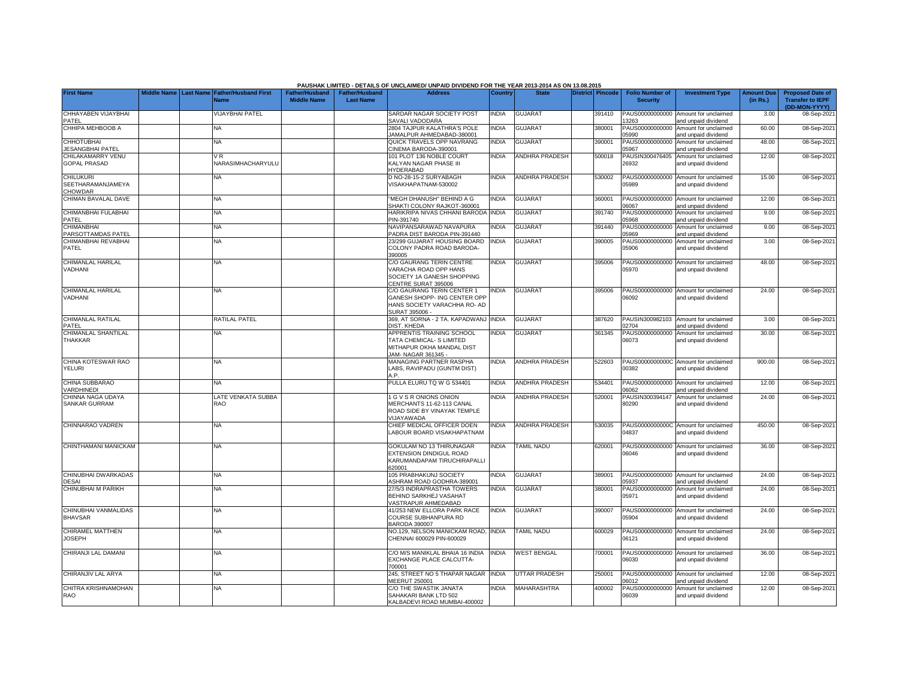|                                                         |  |                                                    |                                             |                                           | PAUSHAK LIMITED - DETAILS OF UNCLAIMED/ UNPAID DIVIDEND FOR THE YEAR 2013-2014 AS ON 13.08.2015                   |                |                          |                  |                                           |                                                             |                               |                                                                     |
|---------------------------------------------------------|--|----------------------------------------------------|---------------------------------------------|-------------------------------------------|-------------------------------------------------------------------------------------------------------------------|----------------|--------------------------|------------------|-------------------------------------------|-------------------------------------------------------------|-------------------------------|---------------------------------------------------------------------|
| <b>First Name</b>                                       |  | Middle Name Last Name Father/Husband First<br>Vame | <b>Father/Husband</b><br><b>Middle Name</b> | <b>Father/Husband</b><br><b>Last Name</b> | <b>Address</b>                                                                                                    | <b>Country</b> | <b>State</b>             | District Pincode | <b>Folio Number of</b><br><b>Security</b> | <b>Investment Type</b>                                      | <b>Amount Due</b><br>(in Rs.) | <b>Proposed Date of</b><br><b>Transfer to IEPF</b><br>(DD-MON-YYYY) |
| CHHAYABEN VIJAYBHAI                                     |  | <b>/IJAYBHAI PATEL</b>                             |                                             |                                           | SARDAR NAGAR SOCIETY POST<br>SAVALI VADODARA                                                                      | INDIA          | <b>GUJARAT</b>           | 391410           | PAUS00000000000                           | Amount for unclaimed                                        | 3.00                          | 08-Sep-202                                                          |
| PATEL<br>CHHIPA MEHBOOB A                               |  | <b>NA</b>                                          |                                             |                                           | 2804 TAJPUR KALATHRA'S POLE<br>JAMALPUR AHMEDABAD-380001                                                          | <b>INDIA</b>   | <b>GUJARAT</b>           | 380001           | 3263<br>PAUS00000000000<br>5990           | and unpaid dividend<br>Amount for unclaimed                 | 60.00                         | 08-Sep-202                                                          |
| <b>CHHOTUBHAI</b>                                       |  | <b>NA</b>                                          |                                             |                                           | QUICK TRAVELS OPP NAVRANG                                                                                         | <b>INDIA</b>   | <b>GUJARAT</b>           | 390001           | PAUS00000000000                           | and unpaid dividend<br>Amount for unclaimed                 | 48.00                         | 08-Sep-202                                                          |
| <b>JESANGBHAI PATEL</b><br>CHILAKAMARRY VENU            |  | VR                                                 |                                             |                                           | CINEMA BARODA-390001<br>101 PLOT 136 NOBLE COURT                                                                  | <b>INDIA</b>   | ANDHRA PRADESH           | 500018           | 5967<br>PAUSIN300476405                   | and unpaid dividend<br>Amount for unclaimed                 | 12.00                         | 08-Sep-202                                                          |
| <b>GOPAL PRASAD</b>                                     |  | NARASIMHACHARYULU                                  |                                             |                                           | <b>KALYAN NAGAR PHASE III</b><br><b>IYDERABAD</b>                                                                 |                |                          |                  | 26932                                     | and unpaid dividend                                         |                               |                                                                     |
| <b>CHILUKURI</b><br>SEETHARAMANJAMEYA<br><b>CHOWDAR</b> |  | NA                                                 |                                             |                                           | D NO-28-15-2 SURYABAGH<br>/ISAKHAPATNAM-530002                                                                    | <b>INDIA</b>   | <b>ANDHRA PRADESH</b>    | 530002           | 05989                                     | PAUS00000000000 Amount for unclaimed<br>and unpaid dividend | 15.00                         | 08-Sep-202                                                          |
| CHIMAN BAVALAL DAVE                                     |  | <b>NA</b>                                          |                                             |                                           | MEGH DHANUSH" BEHIND A G<br>SHAKTI COLONY RAJKOT-360001                                                           | <b>NDIA</b>    | <b>GUJARAT</b>           | 360001           | PAUS00000000000<br>6067                   | Amount for unclaimed<br>and unpaid dividend                 | 12.00                         | 08-Sep-202                                                          |
| CHIMANBHAI FULABHAI<br>PATEL                            |  | <b>NA</b>                                          |                                             |                                           | <b>HARIKRIPA NIVAS CHHANI BARODA</b><br>PIN-391740                                                                | <b>INDIA</b>   | <b>GUJARAT</b>           | 391740           | PAUS00000000000<br>5968                   | Amount for unclaimed<br>and unpaid dividend                 | 9.00                          | 08-Sep-202                                                          |
| <b>CHIMANBHAI</b><br>PARSOTTAMDAS PATEL                 |  | NA                                                 |                                             |                                           | NAVIPANSARAWAD NAVAPURA<br>PADRA DIST BARODA PIN-391440                                                           | <b>NDIA</b>    | GUJARAT                  | 391440           | PAUS00000000000<br>5969                   | Amount for unclaimed<br>and unpaid dividend                 | 9.00                          | 08-Sep-202                                                          |
| CHIMANBHAI REVABHAI<br>PATEL                            |  | NA                                                 |                                             |                                           | 23/299 GUJARAT HOUSING BOARD<br>COLONY PADRA ROAD BARODA-                                                         | <b>NDIA</b>    | <b>GUJARAT</b>           | 390005           | PAUS00000000000<br>05906                  | Amount for unclaimed<br>and unpaid dividend                 | 3.00                          | 08-Sep-202                                                          |
| CHIMANLAL HARILAL<br>VADHANI                            |  | ΝA                                                 |                                             |                                           | 390005<br>C/O GAURANG TERIN CENTRE<br>/ARACHA ROAD OPP HANS<br>SOCIETY 1A GANESH SHOPPING                         | INDIA          | <b>GUJARAT</b>           | 395006           | )5970                                     | PAUS00000000000 Amount for unclaimed<br>and unpaid dividend | 48.00                         | 08-Sep-202                                                          |
| CHIMANLAL HARILAL<br>VADHANI                            |  | NA                                                 |                                             |                                           | CENTRE SURAT 395006<br>C/O GAURANG TERIN CENTER 1<br>GANESH SHOPP- ING CENTER OPF<br>HANS SOCIETY VARACHHA RO- AD | <b>NDIA</b>    | <b>GUJARAT</b>           | 395006           | 06092                                     | PAUS00000000000 Amount for unclaimed<br>and unpaid dividend | 24.00                         | 08-Sep-202                                                          |
| CHIMANLAL RATILAL<br>PATEL                              |  | RATILAL PATEL                                      |                                             |                                           | SURAT 395006 -<br>369, AT SORNA - 2 TA. KAPADWANJ INDIA<br><b>DIST, KHEDA</b>                                     |                | <b>GUJARAT</b>           | 387620           | 02704                                     | PAUSIN300982103 Amount for unclaimed<br>and unpaid dividend | 3.00                          | 08-Sep-202                                                          |
| CHIMANLAL SHANTILAL<br>THAKKAR                          |  | ΝA                                                 |                                             |                                           | APPRENTIS TRAINING SCHOOL<br>TATA CHEMICAL- S LIMITED<br>MITHAPUR OKHA MANDAL DIST<br>JAM- NAGAR 361345 -         | INDIA          | <b>GUJARAT</b>           | 361345           | 06073                                     | PAUS00000000000 Amount for unclaimed<br>and unpaid dividend | 30.00                         | 08-Sep-202                                                          |
| CHINA KOTESWAR RAO<br><b>YELURI</b>                     |  | <b>NA</b>                                          |                                             |                                           | MANAGING PARTNER RASPHA<br>ABS, RAVIPADU (GUNTM DIST)<br>A P                                                      | INDIA          | ANDHRA PRADESH           | 522603           | 00382                                     | PAUS0000000000C Amount for unclaimed<br>and unpaid dividend | 900.00                        | 08-Sep-202                                                          |
| CHINA SUBBARAO<br><b>VARDHINEDI</b>                     |  | <b>NA</b>                                          |                                             |                                           | PULLA ELURU TQ W G 534401                                                                                         | INDIA          | ANDHRA PRADESH           | 534401           | 06062                                     | PAUS00000000000 Amount for unclaimed<br>and unpaid dividend | 12.00                         | 08-Sep-202                                                          |
| CHINNA NAGA UDAYA<br><b>SANKAR GURRAM</b>               |  | LATE VENKATA SUBBA<br><b>RAO</b>                   |                                             |                                           | <b>GVSRONIONSONION</b><br>MERCHANTS 11-62-113 CANAL<br>ROAD SIDE BY VINAYAK TEMPLE<br><b>JIJAYAWADA</b>           | INDIA          | ANDHRA PRADESH           | 520001           | PAUSIN300394147<br>80290                  | Amount for unclaimed<br>and unpaid dividend                 | 24.00                         | 08-Sep-202                                                          |
| CHINNARAO VADREN                                        |  | <b>NA</b>                                          |                                             |                                           | CHIEF MEDICAL OFFICER DOEN<br>ABOUR BOARD VISAKHAPATNAM                                                           | <b>NDIA</b>    | <b>ANDHRA PRADESH</b>    | 530035           | 04837                                     | PAUS0000000000C Amount for unclaimed<br>and unpaid dividend | 450.00                        | 08-Sep-202                                                          |
| CHINTHAMANI MANICKAM                                    |  | NA                                                 |                                             |                                           | <b>GOKULAM NO 13 THIRUNAGAR</b><br>EXTENSION DINDIGUL ROAD<br>KARUMANDAPAM TIRUCHIRAPALLI<br>320001               | INDIA          | TAMIL NADU               | 620001           | 06046                                     | PAUS00000000000 Amount for unclaimed<br>and unpaid dividend | 36.00                         | 08-Sep-202                                                          |
| CHINUBHAI DWARKADAS<br><b>DESAI</b>                     |  | <b>NA</b>                                          |                                             |                                           | 105 PRABHAKUNJ SOCIETY<br><b>ASHRAM ROAD GODHRA-389001</b>                                                        | <b>INDIA</b>   | <b>GUJARAT</b>           | 389001           | 5937                                      | PAUS00000000000 Amount for unclaimed<br>and unpaid dividend | 24.00                         | 08-Sep-202                                                          |
| CHINUBHAI M PARIKH                                      |  | <b>NA</b>                                          |                                             |                                           | 27/5/3 INDRAPRASTHA TOWERS<br>BEHIND SARKHEJ VASAHAT<br><b>/ASTRAPUR AHMEDABAD</b>                                | <b>NDIA</b>    | <b>GUJARAT</b>           | 380001           | PAUS00000000000<br>05971                  | Amount for unclaimed<br>and unpaid dividend                 | 24.00                         | 08-Sep-202                                                          |
| CHINUBHAI VANMALIDAS<br><b>BHAVSAR</b>                  |  | <b>NA</b>                                          |                                             |                                           | 41/253 NEW ELLORA PARK RACE<br>COURSE SUBHANPURA RD<br><b>BARODA 390007</b>                                       | <b>INDIA</b>   | <b>GUJARAT</b>           | 390007           | 05904                                     | PAUS00000000000 Amount for unclaimed<br>and unpaid dividend | 24.00                         | 08-Sep-202                                                          |
| <b>CHIRAMEL MATTHEN</b><br><b>JOSEPH</b>                |  | NA                                                 |                                             |                                           | NO.129, NELSON MANICKAM ROAD,<br>CHENNAI 600029 PIN-600029                                                        | <b>INDIA</b>   | <b><i>FAMIL NADU</i></b> | 600029           | PAUS00000000000<br>06121                  | Amount for unclaimed<br>and unpaid dividend                 | 24.00                         | 08-Sep-202                                                          |
| CHIRANJI LAL DAMANI                                     |  | NA                                                 |                                             |                                           | C/O M/S MANIKLAL BHAIA 16 INDIA<br>EXCHANGE PLACE CALCUTTA-<br>700001                                             | <b>INDIA</b>   | <b>WEST BENGAL</b>       | 700001           | PAUS00000000000<br>06030                  | Amount for unclaimed<br>and unpaid dividend                 | 36.00                         | 08-Sep-202                                                          |
| CHIRANJIV LAL ARYA                                      |  | <b>NA</b>                                          |                                             |                                           | 245, STREET NO 5 THAPAR NAGAR<br><b>MEERUT 250001</b>                                                             | <b>INDIA</b>   | <b>UTTAR PRADESH</b>     | 250001           | PAUS00000000000<br>06012                  | Amount for unclaimed<br>and unpaid dividend                 | 12.00                         | 08-Sep-202                                                          |
| CHITRA KRISHNAMOHAN<br><b>RAO</b>                       |  | <b>NA</b>                                          |                                             |                                           | C/O THE SWASTIK JANATA<br>SAHAKARI BANK LTD 502<br>KALBADEVI ROAD MUMBAI-400002                                   | <b>INDIA</b>   | MAHARASHTRA              | 400002           | PAUS00000000000<br>06039                  | Amount for unclaimed<br>and unpaid dividend                 | 12.00                         | 08-Sep-202                                                          |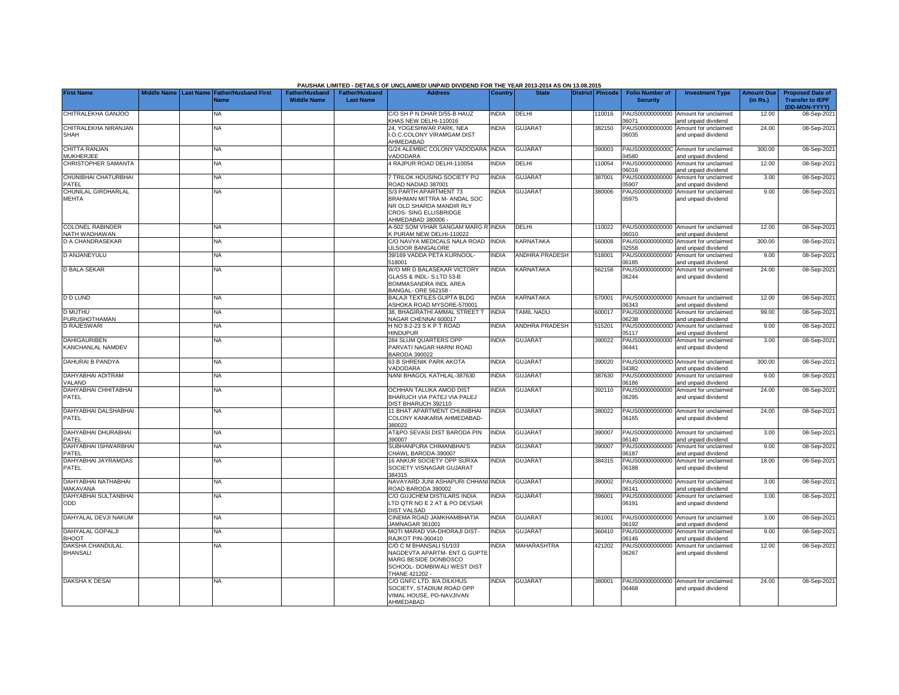|                                            |  |                                                        |                                             |                                           | PAUSHAK LIMITED - DETAILS OF UNCLAIMED/ UNPAID DIVIDEND FOR THE YEAR 2013-2014 AS ON 13.08.2015                                        |                |                       |                         |                                           |                                                             |                               |                                                                     |
|--------------------------------------------|--|--------------------------------------------------------|---------------------------------------------|-------------------------------------------|----------------------------------------------------------------------------------------------------------------------------------------|----------------|-----------------------|-------------------------|-------------------------------------------|-------------------------------------------------------------|-------------------------------|---------------------------------------------------------------------|
| <b>First Name</b>                          |  | Middle Name   Last Name   Father/Husband First<br>Name | <b>Father/Husband</b><br><b>Middle Name</b> | <b>Father/Husband</b><br><b>Last Name</b> | <b>Address</b>                                                                                                                         | <b>Country</b> | <b>State</b>          | <b>District Pincode</b> | <b>Folio Number of</b><br><b>Security</b> | <b>Investment Type</b>                                      | <b>Amount Due</b><br>(in Rs.) | <b>Proposed Date of</b><br><b>Transfer to IEPF</b><br>(DD-MON-YYYY) |
| CHITRALEKHA GANJOO                         |  | <b>NA</b>                                              |                                             |                                           | C/O SH P N DHAR D/55-B HAUZ<br>KHAS NEW DELHI-110016                                                                                   | <b>INDIA</b>   | DELHI                 | 110016                  | PAUS00000000000<br>06071                  | Amount for unclaimed<br>and unpaid dividend                 | 12.00                         | 08-Sep-2021                                                         |
| CHITRALEKHA NIRANJAN<br>SHAH               |  | NA                                                     |                                             |                                           | 24. YOGESHWAR PARK, NEA<br>.O.C.COLONY VIRAMGAM DIST<br>AHMEDABAD                                                                      | <b>NDIA</b>    | <b>GUJARAT</b>        | 382150                  | PAUS00000000000<br>06035                  | Amount for unclaimed<br>and unpaid dividend                 | 24.00                         | 08-Sep-2021                                                         |
| CHITTA RANJAN<br><b>MUKHERJEE</b>          |  | <b>NA</b>                                              |                                             |                                           | G/24 ALEMBIC COLONY VADODARA<br>VADODARA                                                                                               | <b>INDIA</b>   | <b>GUJARAT</b>        | 390003                  | PAUS0000000000C<br>04580                  | Amount for unclaimed<br>and unpaid dividend                 | 300.00                        | 08-Sep-2021                                                         |
| CHRISTOPHER SAMANTA                        |  | NA                                                     |                                             |                                           | 4 RAJPUR ROAD DELHI-110054                                                                                                             | <b>NDIA</b>    | DELHI                 | 110054                  | PAUS00000000000<br>06016                  | Amount for unclaimed<br>and unpaid dividend                 | 12.00                         | 08-Sep-2021                                                         |
| CHUNIBHAI CHATURBHAI<br>PATEL              |  | NΑ                                                     |                                             |                                           | TRILOK HOUSING SOCIETY PIJ<br>ROAD NADIAD 387001                                                                                       | <b>INDIA</b>   | <b>GUJARAT</b>        | 387001                  | PAUS00000000000<br>05907                  | Amount for unclaimed<br>and unpaid dividend                 | 3.00                          | 08-Sep-2021                                                         |
| CHUNILAL GIRDHARLAL<br>MEHTA               |  | NA                                                     |                                             |                                           | S/3 PARTH APARTMENT 73<br>BRAHMAN MITTRA M- ANDAL SOC<br>NR OLD SHARDA MANDIR RLY<br><b>CROS- SING ELLISBRIDGE</b><br>AHMEDABAD 380006 | NDIA           | GUJARAT               | 380006                  | PAUS00000000000<br>05975                  | Amount for unclaimed<br>and unpaid dividend                 | 9.00                          | 08-Sep-2021                                                         |
| <b>COLONEL RABINDER</b><br>NATH WADHAWAN   |  | <b>NA</b>                                              |                                             |                                           | A-502 SOM VIHAR SANGAM MARG R INDIA<br>K PURAM NEW DELHI-110022                                                                        |                | DELHI                 | 110022                  | PAUS00000000000<br>06010                  | Amount for unclaimed<br>and unpaid dividend                 | 12.00                         | 08-Sep-2021                                                         |
| <b>D A CHANDRASEKAR</b>                    |  | <b>NA</b>                                              |                                             |                                           | C/O NAVYA MEDICALS NALA ROAD INDIA<br><b>JLSOOR BANGALORE</b>                                                                          |                | <b>KARNATAKA</b>      | 560008                  | PAUS0000000000D<br>02558                  | Amount for unclaimed<br>and unpaid dividend                 | 300.00                        | 08-Sep-2021                                                         |
| D ANJANEYULU                               |  | <b>NA</b>                                              |                                             |                                           | 39/169 VADDA PETA KURNOOL-<br>518001                                                                                                   | <b>INDIA</b>   | <b>ANDHRA PRADESH</b> | 518001                  | PAUS00000000000<br>06185                  | Amount for unclaimed<br>nd unpaid dividend                  | 9.00                          | 08-Sep-2021                                                         |
| <b>D BALA SEKAR</b>                        |  | <b>NA</b>                                              |                                             |                                           | W/O MR D BALASEKAR VICTORY<br>GLASS & INDL- S.LTD 53-B<br>BOMMASANDRA INDL AREA<br>BANGAL- ORE 562158 -                                | <b>INDIA</b>   | <b>KARNATAKA</b>      | 562158                  | PAUS00000000000<br>06244                  | Amount for unclaimed<br>and unpaid dividend                 | 24.00                         | 08-Sep-2021                                                         |
| <b>D D LUND</b>                            |  | <b>NA</b>                                              |                                             |                                           | BALAJI TEXTILES GUPTA BLDG<br>ASHOKA ROAD MYSORE-570001                                                                                | <b>INDIA</b>   | KARNATAKA             | 570001                  | 06343                                     | PAUS00000000000 Amount for unclaimed<br>and unpaid dividend | 12.00                         | 08-Sep-2021                                                         |
| <b>D MUTHU</b><br><b>PURUSHOTHAMAN</b>     |  | NA                                                     |                                             |                                           | 38, BHAGIRATHI AMMAL STREET T<br>NAGAR CHENNAI 600017                                                                                  | <b>INDIA</b>   | <b>TAMIL NADU</b>     | 600017                  | PAUS00000000000<br>06238                  | Amount for unclaimed<br>and unpaid dividend                 | 99.00                         | 08-Sep-2021                                                         |
| <b>D RAJESWARI</b>                         |  | <b>NA</b>                                              |                                             |                                           | HNO 8-2-23 SKPT ROAD<br><b>HINDUPUR</b>                                                                                                | <b>INDIA</b>   | <b>ANDHRA PRADESH</b> | 515201                  | PAUS0000000000D<br>05117                  | Amount for unclaimed<br>and unpaid dividend                 | 9.00                          | 08-Sep-2021                                                         |
| <b>DAHIGAURIBEN</b><br>KANCHANLAL NAMDEV   |  | <b>NA</b>                                              |                                             |                                           | <b>284 SLUM QUARTERS OPP</b><br>PARVATI NAGAR HARNI ROAD<br>BARODA 390022                                                              | <b>NDIA</b>    | <b>GUJARAT</b>        | 390022                  | PAUS00000000000<br>06441                  | Amount for unclaimed<br>and unpaid dividend                 | 3.00                          | 08-Sep-2021                                                         |
| DAHURAI B PANDYA                           |  | <b>NA</b>                                              |                                             |                                           | 63 B SHRENIK PARK AKOTA<br>VADODARA                                                                                                    | <b>INDIA</b>   | <b>GUJARAT</b>        | 390020                  | PAUS0000000000D<br>04382                  | Amount for unclaimed<br>and unpaid dividend                 | 300.00                        | 08-Sep-2021                                                         |
| DAHYABHAI ADITRAM<br>VALAND                |  | <b>NA</b>                                              |                                             |                                           | NANI BHAGOL KATHLAL-387630                                                                                                             | <b>INDIA</b>   | <b>GUJARAT</b>        | 387630                  | PAUS00000000000<br>06186                  | Amount for unclaimed<br>and unpaid dividend                 | 9.00                          | 08-Sep-2021                                                         |
| DAHYABHAI CHHITABHAI<br>PATEL              |  | <b>NA</b>                                              |                                             |                                           | OCHHAN TALUKA AMOD DIST<br>BHARUCH VIA PATEJ VIA PALEJ<br>DIST BHARUCH 392110                                                          | <b>NDIA</b>    | <b>GUJARAT</b>        | 392110                  | PAUS00000000000<br>06295                  | Amount for unclaimed<br>and unpaid dividend                 | 24.00                         | 08-Sep-2021                                                         |
| DAHYABHAI DALSHABHAI<br>PATEL              |  | NA                                                     |                                             |                                           | 11 BHAT APARTMENT CHUNIBHAI<br>COLONY KANKARIA AHMEDABAD-<br>380022                                                                    | INDIA          | <b>GUJARAT</b>        | 380022                  | PAUS00000000000<br>06165                  | Amount for unclaimed<br>and unpaid dividend                 | 24.00                         | 08-Sep-2021                                                         |
| DAHYABHAI DHURABHAI<br>PATEL               |  | <b>NA</b>                                              |                                             |                                           | AT&PO SEVASI DIST BARODA PIN<br>390007                                                                                                 | <b>INDIA</b>   | <b>GUJARAT</b>        | 390007                  | 06140                                     | PAUS00000000000 Amount for unclaimed<br>and unpaid dividend | 3.00                          | 08-Sep-2021                                                         |
| DAHYABHAI ISHWARBHAI<br>PATEL              |  | NA                                                     |                                             |                                           | SUBHANPURA CHIMANBHAI'S<br>CHAWL BARODA-390007                                                                                         | <b>INDIA</b>   | <b>GUJARAT</b>        | 390007                  | PAUS00000000000<br>06187                  | Amount for unclaimed<br>and unpaid dividend                 | 9.00                          | 08-Sep-2021                                                         |
| DAHYABHAI JAYRAMDAS<br>PATEL               |  | <b>NA</b>                                              |                                             |                                           | 16 ANKUR SOCIETY OPP SURXA<br>SOCIETY VISNAGAR GUJARAT<br>384315                                                                       | <b>INDIA</b>   | <b>GUJARAT</b>        | 384315                  | PAUS00000000000<br>06188                  | Amount for unclaimed<br>and unpaid dividend                 | 18.00                         | 08-Sep-2021                                                         |
| DAHYABHAI NATHABHAI<br>MAKAVANA            |  | <b>NA</b>                                              |                                             |                                           | NAVAYARD JUNI ASHAPURI CHHANI INDIA<br>ROAD BARODA 390002                                                                              |                | <b>GUJARAT</b>        | 390002                  | PAUS00000000000<br>06141                  | Amount for unclaimed<br>and unpaid dividend                 | 3.00                          | 08-Sep-2021                                                         |
| DAHYABHAI SULTANBHAI<br>ODD                |  | NA                                                     |                                             |                                           | C/O GUJCHEM DISTILARS INDIA<br>TD QTR NO E 2 AT & PO DEVSAR<br><b>DIST VALSAD</b>                                                      | <b>NDIA</b>    | <b>GUJARAT</b>        | 396001                  | PAUS00000000000<br>06191                  | Amount for unclaimed<br>and unpaid dividend                 | 3.00                          | 08-Sep-2021                                                         |
| DAHYALAL DEVJI NAKUM                       |  | <b>NA</b>                                              |                                             |                                           | CINEMA ROAD JAMKHAMBHATIA<br>JAMNAGAR 361001                                                                                           | <b>NDIA</b>    | <b>GUJARAT</b>        | 361001                  | PAUS00000000000<br>06192                  | Amount for unclaimed<br>and unpaid dividend                 | 3.00                          | 08-Sep-2021                                                         |
| <b>DAHYALAL GOPALJI</b><br><b>BHOOT</b>    |  | <b>NA</b>                                              |                                             |                                           | MOTI MARAD VIA-DHORAJI DIST-<br>RAJKOT PIN-360410                                                                                      | <b>INDIA</b>   | <b>GUJARAT</b>        | 360410                  | PAUS00000000000<br>06146                  | Amount for unclaimed<br>and unpaid dividend                 | 9.00                          | 08-Sep-2021                                                         |
| <b>DAKSHA CHANDULAL</b><br><b>BHANSALI</b> |  | NA                                                     |                                             |                                           | C/O C M BHANSALI 51/103<br>NAGDEVTA APARTM- ENT G GUPTE<br>MARG BESIDE DONBOSCO<br>SCHOOL- DOMBIWALI WEST DIST<br>THANE 421202 -       | <b>NDIA</b>    | <b>MAHARASHTRA</b>    | 421202                  | PAUS00000000000<br>06267                  | Amount for unclaimed<br>and unpaid dividend                 | 12.00                         | 08-Sep-2021                                                         |
| <b>DAKSHA K DESAI</b>                      |  | NA                                                     |                                             |                                           | C/O GNFC LTD, 8/A DILKHUS<br>SOCIETY, STADIUM ROAD OPP<br>VIMAL HOUSE, PO-NAVJIVAN<br>AHMEDABAD                                        | <b>NDIA</b>    | <b>GUJARAT</b>        | 380001                  | PAUS00000000000<br>06468                  | Amount for unclaimed<br>and unpaid dividend                 | 24.00                         | 08-Sep-2021                                                         |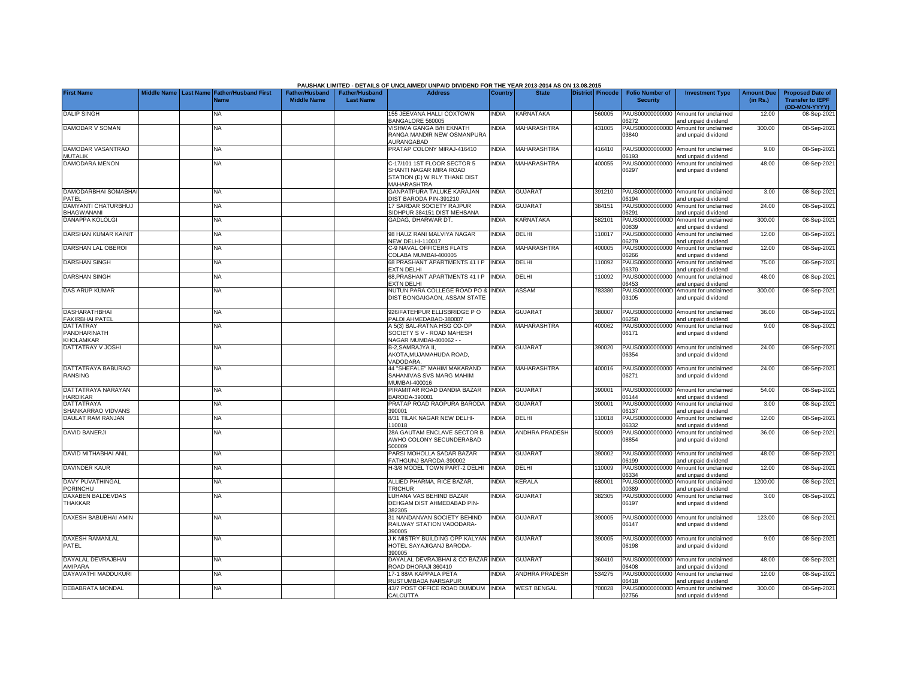|                                             |             |                  |                             |                       |                       | PAUSHAK LIMITED - DETAILS OF UNCLAIMED/ UNPAID DIVIDEND FOR THE YEAR 2013-2014 AS ON 13.08.2015 |                |                       |                  |                          |                                                             |                   |                             |
|---------------------------------------------|-------------|------------------|-----------------------------|-----------------------|-----------------------|-------------------------------------------------------------------------------------------------|----------------|-----------------------|------------------|--------------------------|-------------------------------------------------------------|-------------------|-----------------------------|
| <b>First Name</b>                           | Middle Name | <b>Last Name</b> | <b>Father/Husband First</b> | <b>Father/Husband</b> | <b>Father/Husband</b> | <b>Address</b>                                                                                  | <b>Country</b> | <b>State</b>          | District Pincode | <b>Folio Number of</b>   | <b>Investment Type</b>                                      | <b>Amount Due</b> | <b>Proposed Date of</b>     |
|                                             |             |                  | <b>Name</b>                 | <b>Middle Name</b>    | <b>Last Name</b>      |                                                                                                 |                |                       |                  | <b>Security</b>          |                                                             | (in Rs.)          | <b>Transfer to IEPF</b>     |
| <b>DALIP SINGH</b>                          |             |                  | <b>NA</b>                   |                       |                       | 155 JEEVANA HALLI COXTOWN                                                                       | <b>INDIA</b>   | <b>KARNATAKA</b>      | 560005           | PAUS00000000000          | Amount for unclaimed                                        | 12.00             | (DD-MON-YYYY)<br>08-Sep-202 |
|                                             |             |                  |                             |                       |                       | BANGALORE 560005                                                                                |                |                       |                  | 6272                     | and unpaid dividend                                         |                   |                             |
| <b>DAMODAR V SOMAN</b>                      |             |                  | <b>NA</b>                   |                       |                       | VISHWA GANGA B/H EKNATH                                                                         | <b>INDIA</b>   | MAHARASHTRA           | 431005           | PAUS0000000000D          | Amount for unclaimed                                        | 300.00            | 08-Sep-2021                 |
|                                             |             |                  |                             |                       |                       | RANGA MANDIR NEW OSMANPURA                                                                      |                |                       |                  | 03840                    | and unpaid dividend                                         |                   |                             |
| DAMODAR VASANTRAO                           |             |                  | <b>NA</b>                   |                       |                       | AURANGABAD<br>PRATAP COLONY MIRAJ-416410                                                        | <b>INDIA</b>   | MAHARASHTRA           | 416410           |                          | PAUS00000000000 Amount for unclaimed                        | 9.00              | 08-Sep-202                  |
| <b>MUTALIK</b>                              |             |                  |                             |                       |                       |                                                                                                 |                |                       |                  | 06193                    | and unpaid dividend                                         |                   |                             |
| DAMODARA MENON                              |             |                  | NA                          |                       |                       | C-17/101 1ST FLOOR SECTOR 5                                                                     | <b>INDIA</b>   | MAHARASHTRA           | 400055           | PAUS00000000000          | Amount for unclaimed                                        | 48.00             | 08-Sep-202                  |
|                                             |             |                  |                             |                       |                       | SHANTI NAGAR MIRA ROAD                                                                          |                |                       |                  | 06297                    | and unpaid dividend                                         |                   |                             |
|                                             |             |                  |                             |                       |                       | STATION (E) W RLY THANE DIST<br><b>MAHARASHTRA</b>                                              |                |                       |                  |                          |                                                             |                   |                             |
| DAMODARBHAI SOMABHA                         |             |                  | <b>NA</b>                   |                       |                       | GANPATPURA TALUKE KARAJAN                                                                       | <b>INDIA</b>   | <b>GUJARAT</b>        | 391210           |                          | PAUS00000000000 Amount for unclaimed                        | 3.00              | 08-Sep-202                  |
| PATFL                                       |             |                  |                             |                       |                       | DIST BARODA PIN-391210                                                                          |                |                       |                  | 06194                    | and unpaid dividend                                         |                   |                             |
| DAMYANTI CHATURBHUJ                         |             |                  | <b>NA</b>                   |                       |                       | 17 SARDAR SOCIETY RAJPUR                                                                        | INDIA          | <b>GUJARAT</b>        | 384151           | PAUS00000000000          | Amount for unclaimed                                        | 24.00             | 08-Sep-202                  |
| <b>BHAGWANANI</b><br><b>DANAPPA KOLOLGI</b> |             |                  |                             |                       |                       | SIDHPUR 384151 DIST MEHSANA<br>GADAG, DHARWAR DT.                                               |                | KARNATAKA             |                  | 06291                    | and unpaid dividend                                         | 300.00            |                             |
|                                             |             |                  | <b>NA</b>                   |                       |                       |                                                                                                 | <b>INDIA</b>   |                       | 582101           | 00839                    | PAUS0000000000D Amount for unclaimed<br>and unpaid dividend |                   | 08-Sep-202                  |
| DARSHAN KUMAR KAINIT                        |             |                  | <b>NA</b>                   |                       |                       | 98 HAUZ RANI MALVIYA NAGAR                                                                      | <b>INDIA</b>   | DELHI                 | 110017           |                          | PAUS00000000000 Amount for unclaimed                        | 12.00             | 08-Sep-202                  |
|                                             |             |                  |                             |                       |                       | <b>NEW DELHI-110017</b>                                                                         |                |                       |                  | 06279                    | and unpaid dividend                                         |                   |                             |
| DARSHAN LAL OBEROI                          |             |                  | <b>NA</b>                   |                       |                       | C-9 NAVAL OFFICERS FLATS                                                                        | <b>INDIA</b>   | MAHARASHTRA           | 400005           |                          | PAUS00000000000 Amount for unclaimed                        | 12.00             | 08-Sep-202                  |
| <b>DARSHAN SINGH</b>                        |             |                  | <b>NA</b>                   |                       |                       | COLABA MUMBAI-400005<br>68 PRASHANT APARTMENTS 41 I P                                           | <b>INDIA</b>   | DELHI                 | 110092           | 06266<br>PAUS00000000000 | and unpaid dividend<br>Amount for unclaimed                 | 75.00             | 08-Sep-202                  |
|                                             |             |                  |                             |                       |                       | <b>EXTN DELHI</b>                                                                               |                |                       |                  | 6370                     | and unpaid dividend                                         |                   |                             |
| <b>DARSHAN SINGH</b>                        |             |                  | <b>NA</b>                   |                       |                       | 68, PRASHANT APARTMENTS 41 I P                                                                  | <b>INDIA</b>   | DELHI                 | 110092           | PAUS00000000000          | Amount for unclaimed                                        | 48.00             | 08-Sep-202                  |
|                                             |             |                  |                             |                       |                       | <b>XTN DELHI</b>                                                                                |                |                       |                  | 06453                    | and unpaid dividend                                         |                   |                             |
| <b>DAS ARUP KUMAR</b>                       |             |                  | NA                          |                       |                       | NUTUN PARA COLLEGE ROAD PO & INDIA                                                              |                | ASSAM                 | 783380           |                          | PAUS0000000000D Amount for unclaimed                        | 300.00            | 08-Sep-202                  |
|                                             |             |                  |                             |                       |                       | DIST BONGAIGAON, ASSAM STATE                                                                    |                |                       |                  | 03105                    | and unpaid dividend                                         |                   |                             |
| <b>DASHARATHBHAI</b>                        |             |                  | <b>NA</b>                   |                       |                       | 926/FATEHPUR ELLISBRIDGE PO                                                                     | <b>NDIA</b>    | <b>GUJARAT</b>        | 380007           | PAUS00000000000          | Amount for unclaimed                                        | 36.00             | 08-Sep-202                  |
| <b>FAKIRBHAI PATEL</b>                      |             |                  |                             |                       |                       | PALDI AHMEDABAD-380007                                                                          |                |                       |                  | 06250                    | and unpaid dividend                                         |                   |                             |
| <b>DATTATRAY</b>                            |             |                  | <b>NA</b>                   |                       |                       | A 5(3) BAL-RATNA HSG CO-OP                                                                      | <b>INDIA</b>   | MAHARASHTRA           | 400062           | PAUS00000000000          | Amount for unclaimed                                        | 9.00              | 08-Sep-202                  |
| PANDHARINATH                                |             |                  |                             |                       |                       | SOCIETY S V - ROAD MAHESH                                                                       |                |                       |                  | 06171                    | and unpaid dividend                                         |                   |                             |
| <b>KHOLAMKAR</b><br>DATTATRAY V JOSHI       |             |                  | <b>NA</b>                   |                       |                       | NAGAR MUMBAI-400062 - -<br>B-2, SAMRAJYA II,                                                    | <b>INDIA</b>   | <b>GUJARAT</b>        | 390020           |                          | PAUS00000000000 Amount for unclaimed                        | 24.00             | 08-Sep-202                  |
|                                             |             |                  |                             |                       |                       | AKOTA, MUJAMAHUDA ROAD,                                                                         |                |                       |                  | 06354                    | and unpaid dividend                                         |                   |                             |
|                                             |             |                  |                             |                       |                       | VADODARA.                                                                                       |                |                       |                  |                          |                                                             |                   |                             |
| DATTATRAYA BABURAO                          |             |                  | <b>NA</b>                   |                       |                       | 44 "SHEFALE" MAHIM MAKARAND                                                                     | <b>INDIA</b>   | MAHARASHTRA           | 400016           |                          | PAUS00000000000 Amount for unclaimed                        | 24.00             | 08-Sep-202                  |
| <b>RANSING</b>                              |             |                  |                             |                       |                       | SAHANIVAS SVS MARG MAHIM<br>ALUMBAI-400016                                                      |                |                       |                  | 06271                    | and unpaid dividend                                         |                   |                             |
| DATTATRAYA NARAYAN                          |             |                  | NA                          |                       |                       | PIRAMITAR ROAD DANDIA BAZAR                                                                     | <b>NDIA</b>    | <b>GUJARAT</b>        | 390001           | PAUS00000000000          | Amount for unclaimed                                        | 54.00             | 08-Sep-202                  |
| <b>HARDIKAR</b>                             |             |                  |                             |                       |                       | 3ARODA-390001                                                                                   |                |                       |                  | 06144                    | and unpaid dividend                                         |                   |                             |
| <b>DATTATRAYA</b>                           |             |                  | <b>NA</b>                   |                       |                       | PRATAP ROAD RAOPURA BARODA                                                                      | <b>INDIA</b>   | GUJARAT               | 390001           | PAUS00000000000          | Amount for unclaimed                                        | 3.00              | 08-Sep-202                  |
| SHANKARRAO VIDVANS<br>DAULAT RAM RANJAN     |             |                  | <b>NA</b>                   |                       |                       | 390001<br>8/31 TILAK NAGAR NEW DELHI-                                                           | <b>INDIA</b>   | DELHI                 | 110018           | 06137<br>PAUS00000000000 | and unpaid dividend<br>Amount for unclaimed                 | 12.00             | 08-Sep-202                  |
|                                             |             |                  |                             |                       |                       | 110018                                                                                          |                |                       |                  | 06332                    | and unpaid dividend                                         |                   |                             |
| <b>DAVID BANERJI</b>                        |             |                  | <b>NA</b>                   |                       |                       | 28A GAUTAM ENCLAVE SECTOR B                                                                     | <b>INDIA</b>   | ANDHRA PRADESH        | 500009           | PAUS00000000000          | Amount for unclaimed                                        | 36.00             | 08-Sep-202                  |
|                                             |             |                  |                             |                       |                       | AWHO COLONY SECUNDERABAD                                                                        |                |                       |                  | 8854                     | and unpaid dividend                                         |                   |                             |
| DAVID MITHABHAI ANIL                        |             |                  | <b>NA</b>                   |                       |                       | 500009<br>PARSI MOHOLLA SADAR BAZAR                                                             | <b>INDIA</b>   | <b>GUJARAT</b>        | 390002           |                          | PAUS00000000000 Amount for unclaimed                        | 48.00             | 08-Sep-202                  |
|                                             |             |                  |                             |                       |                       | ATHGUNJ BARODA-390002                                                                           |                |                       |                  | 6199                     | and unpaid dividend                                         |                   |                             |
| <b>DAVINDER KAUR</b>                        |             |                  | <b>NA</b>                   |                       |                       | H-3/8 MODEL TOWN PART-2 DELHI                                                                   | <b>INDIA</b>   | DELHI                 | 10009            | PAUS00000000000          | Amount for unclaimed                                        | 12.00             | 08-Sep-202                  |
|                                             |             |                  |                             |                       |                       |                                                                                                 |                |                       |                  | 6334                     | and unpaid dividend                                         |                   |                             |
| <b>DAVY PUVATHINGAL</b><br><b>PORINCHU</b>  |             |                  | <b>NA</b>                   |                       |                       | ALLIED PHARMA, RICE BAZAR.<br>TRICHUR                                                           | <b>INDIA</b>   | KERALA                | 680001           | PAUS0000000000D<br>0389  | Amount for unclaimed<br>and unpaid dividend                 | 1200.00           | 08-Sep-202                  |
| DAXABEN BALDEVDAS                           |             |                  | <b>NA</b>                   |                       |                       | LUHANA VAS BEHIND BAZAR                                                                         | <b>NDIA</b>    | <b>GUJARAT</b>        | 382305           | PAUS00000000000          | Amount for unclaimed                                        | 3.00              | 08-Sep-202                  |
| THAKKAR                                     |             |                  |                             |                       |                       | DEHGAM DIST AHMEDABAD PIN-                                                                      |                |                       |                  | 06197                    | and unpaid dividend                                         |                   |                             |
|                                             |             |                  |                             |                       |                       | 382305                                                                                          |                |                       |                  |                          |                                                             |                   |                             |
| DAXESH BABUBHAI AMIN                        |             |                  | <b>NA</b>                   |                       |                       | 31 NANDANVAN SOCIETY BEHIND<br>RAILWAY STATION VADODARA-                                        | <b>INDIA</b>   | <b>GUJARAT</b>        | 390005           | 06147                    | PAUS00000000000 Amount for unclaimed                        | 123.00            | 08-Sep-2021                 |
|                                             |             |                  |                             |                       |                       | 390005                                                                                          |                |                       |                  |                          | and unpaid dividend                                         |                   |                             |
| <b>DAXESH RAMANLAL</b>                      |             |                  | <b>NA</b>                   |                       |                       | J K MISTRY BUILDING OPP KALYAN INDIA                                                            |                | <b>GUJARAT</b>        | 390005           |                          | PAUS00000000000 Amount for unclaimed                        | 9.00              | 08-Sep-202                  |
| PATEL                                       |             |                  |                             |                       |                       | HOTEL SAYAJIGANJ BARODA-                                                                        |                |                       |                  | 06198                    | and unpaid dividend                                         |                   |                             |
|                                             |             |                  |                             |                       |                       | 390005                                                                                          |                |                       |                  |                          |                                                             |                   |                             |
| DAYALAL DEVRAJBHAI<br>AMIPARA               |             |                  | <b>NA</b>                   |                       |                       | DAYALAL DEVRAJBHAI & CO BAZAR INDIA<br>ROAD DHORAJI 360410                                      |                | <b>GUJARAT</b>        | 360410           | 06408                    | PAUS00000000000 Amount for unclaimed<br>and unpaid dividend | 48.00             | 08-Sep-202                  |
| DAYAVATHI MADDUKURI                         |             |                  | NA                          |                       |                       | 17-1 88/A KAPPALA PETA                                                                          | <b>INDIA</b>   | <b>ANDHRA PRADESH</b> | 534275           | PAUS00000000000          | Amount for unclaimed                                        | 12.00             | 08-Sep-202                  |
|                                             |             |                  |                             |                       |                       | RUSTUMBADA NARSAPUR                                                                             |                |                       |                  | 06418                    | and unpaid dividend                                         |                   |                             |
| <b>DEBABRATA MONDAL</b>                     |             |                  | <b>NA</b>                   |                       |                       | 43/7 POST OFFICE ROAD DUMDUM                                                                    | <b>INDIA</b>   | <b>WEST BENGAL</b>    | 700028           |                          | PAUS0000000000D Amount for unclaimed                        | 300.00            | 08-Sep-2021                 |
|                                             |             |                  |                             |                       |                       | <b>CALCUTTA</b>                                                                                 |                |                       |                  | 02756                    | and unpaid dividend                                         |                   |                             |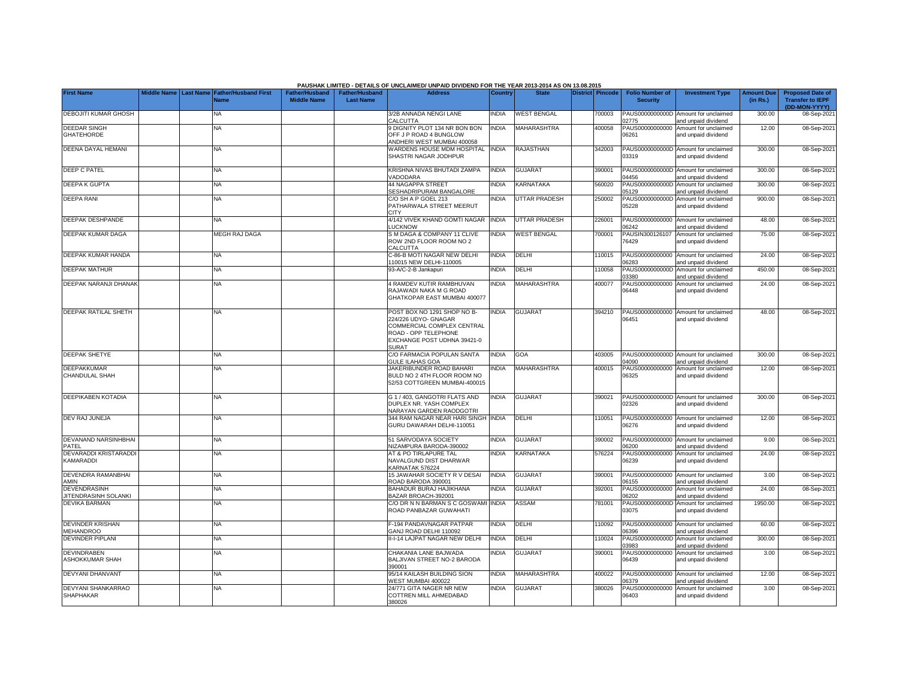|                                             |  |                                                    |                                             |                                           | PAUSHAK LIMITED - DETAILS OF UNCLAIMED/ UNPAID DIVIDEND FOR THE YEAR 2013-2014 AS ON 13.08.2015                                                   |                |                    |                  |                                           |                                                             |                               |                                                                     |
|---------------------------------------------|--|----------------------------------------------------|---------------------------------------------|-------------------------------------------|---------------------------------------------------------------------------------------------------------------------------------------------------|----------------|--------------------|------------------|-------------------------------------------|-------------------------------------------------------------|-------------------------------|---------------------------------------------------------------------|
| <b>First Name</b>                           |  | Middle Name Last Name Father/Husband First<br>Name | <b>Father/Husband</b><br><b>Middle Name</b> | <b>Father/Husband</b><br><b>Last Name</b> | <b>Address</b>                                                                                                                                    | <b>Country</b> | <b>State</b>       | District Pincode | <b>Folio Number of</b><br><b>Security</b> | <b>Investment Type</b>                                      | <b>Amount Due</b><br>(in Rs.) | <b>Proposed Date of</b><br><b>Transfer to IEPF</b><br>(DD-MON-YYYY) |
| DEBOJITI KUMAR GHOSH                        |  | <b>NA</b>                                          |                                             |                                           | 3/2B ANNADA NENGI LANE<br><b>CALCUTTA</b>                                                                                                         | <b>NDIA</b>    | <b>WEST BENGAL</b> | 700003           | PAUS0000000000D<br>2775                   | Amount for unclaimed<br>and unpaid dividend                 | 300.00                        | 08-Sep-202                                                          |
| DEEDAR SINGH<br><b>GHATEHORDE</b>           |  | NA                                                 |                                             |                                           | <b>DIGNITY PLOT 134 NR BON BON</b><br>OFF J P ROAD 4 BUNGLOW<br>NDHERI WEST MUMBAI 400058                                                         | <b>INDIA</b>   | MAHARASHTRA        | 400058           | PAUS00000000000<br>06261                  | Amount for unclaimed<br>and unpaid dividend                 | 12.00                         | 08-Sep-2021                                                         |
| DEENA DAYAL HEMANI                          |  | <b>NA</b>                                          |                                             |                                           | WARDENS HOUSE MDM HOSPITAL<br>SHASTRI NAGAR JODHPUR                                                                                               | <b>INDIA</b>   | RAJASTHAN          | 342003           | 3319                                      | PAUS0000000000D Amount for unclaimed<br>and unpaid dividend | 300.00                        | 08-Sep-202                                                          |
| <b>DEEP C PATEL</b>                         |  | NA                                                 |                                             |                                           | KRISHNA NIVAS BHUTADI ZAMPA<br><b>/ADODARA</b>                                                                                                    | <b>INDIA</b>   | <b>GUJARAT</b>     | 390001           | 4456                                      | PAUS0000000000D Amount for unclaimed<br>and unpaid dividend | 300.00                        | 08-Sep-202                                                          |
| <b>DEEPA K GUPTA</b>                        |  | ΝA                                                 |                                             |                                           | <b>14 NAGAPPA STREET</b><br><b>SESHADRIPURAM BANGALORE</b>                                                                                        | <b>NDIA</b>    | KARNATAKA          | 560020           | PAUS0000000000D<br>5129                   | Amount for unclaimed<br>and unpaid dividend                 | 300.00                        | 08-Sep-202                                                          |
| <b>DEEPA RANI</b>                           |  | ΝA                                                 |                                             |                                           | C/O SH A P GOEL 213<br>PATHARWALA STREET MEERUT<br><b>CITY</b>                                                                                    | <b>NDIA</b>    | UTTAR PRADESH      | 250002           | PAUS0000000000D<br>05228                  | Amount for unclaimed<br>and unpaid dividend                 | 900.00                        | 08-Sep-202                                                          |
| DEEPAK DESHPANDE                            |  | ΝA                                                 |                                             |                                           | 4/142 VIVEK KHAND GOMTI NAGAR<br><b>UCKNOW</b>                                                                                                    | <b>INDIA</b>   | UTTAR PRADESH      | 226001           | PAUS00000000000<br>06242                  | Amount for unclaimed<br>and unpaid dividend                 | 48.00                         | 08-Sep-202                                                          |
| DEEPAK KUMAR DAGA                           |  | MEGH RAJ DAGA                                      |                                             |                                           | S M DAGA & COMPANY 11 CLIVE<br>ROW 2ND FLOOR ROOM NO 2<br>CALCUTTA                                                                                | <b>NDIA</b>    | <b>WEST BENGAL</b> | 700001           | PAUSIN300126107<br>76429                  | Amount for unclaimed<br>and unpaid dividend                 | 75.00                         | 08-Sep-202                                                          |
| DEEPAK KUMAR HANDA                          |  | <b>NA</b>                                          |                                             |                                           | C-86-B MOTI NAGAR NEW DELHI<br>110015 NEW DELHI-110005                                                                                            | <b>INDIA</b>   | DELHI              | 10015            | 6283                                      | PAUS00000000000 Amount for unclaimed<br>and unpaid dividend | 24.00                         | 08-Sep-202                                                          |
| <b>DEEPAK MATHUR</b>                        |  | NA                                                 |                                             |                                           | 93-A/C-2-B Jankapuri                                                                                                                              | <b>NDIA</b>    | DELHI              | 110058           | PAUS0000000000D<br>03380                  | Amount for unclaimed<br>and unpaid dividend                 | 450.00                        | 08-Sep-202                                                          |
| DEEPAK NARANJI DHANAK                       |  | <b>NA</b>                                          |                                             |                                           | 4 RAMDEV KUTIR RAMBHUVAN<br>RAJAWADI NAKA M G ROAD<br>GHATKOPAR EAST MUMBAI 400077                                                                | <b>INDIA</b>   | <b>MAHARASHTRA</b> | 400077           | 06448                                     | PAUS00000000000 Amount for unclaimed<br>and unpaid dividend | 24.00                         | 08-Sep-2021                                                         |
| DEEPAK RATILAL SHETH                        |  | <b>NA</b>                                          |                                             |                                           | POST BOX NO 1291 SHOP NO B-<br>224/226 UDYO- GNAGAR<br>COMMERCIAL COMPLEX CENTRAL<br>ROAD - OPP TELEPHONE<br>EXCHANGE POST UDHNA 39421-0<br>SURAT | <b>INDIA</b>   | <b>GUJARAT</b>     | 394210           | 06451                                     | PAUS00000000000 Amount for unclaimed<br>and unpaid dividend | 48.00                         | 08-Sep-202                                                          |
| <b>DEEPAK SHETYE</b>                        |  | <b>NA</b>                                          |                                             |                                           | C/O FARMACIA POPULAN SANTA<br><b>GULE ILAHAS GOA</b>                                                                                              | <b>INDIA</b>   | GOA                | 403005           | 4090                                      | PAUS0000000000D Amount for unclaimed<br>and unpaid dividend | 300.00                        | 08-Sep-202                                                          |
| <b>DEEPAKKUMAR</b><br>CHANDULAL SHAH        |  | <b>NA</b>                                          |                                             |                                           | JAKERIBUNDER ROAD BAHARI<br>BULD NO 2 4TH FLOOR ROOM NO<br>52/53 COTTGREEN MUMBAI-400015                                                          | <b>NDIA</b>    | <b>MAHARASHTRA</b> | 400015           | 06325                                     | PAUS00000000000 Amount for unclaimed<br>and unpaid dividend | 12.00                         | 08-Sep-202                                                          |
| DEEPIKABEN KOTADIA                          |  | <b>NA</b>                                          |                                             |                                           | G 1 / 403. GANGOTRI FLATS AND<br>DUPLEX NR. YASH COMPLEX<br>NARAYAN GARDEN RAODGOTRI                                                              | <b>INDIA</b>   | <b>GUJARAT</b>     | 390021           | 02326                                     | PAUS0000000000D Amount for unclaimed<br>and unpaid dividend | 300.00                        | 08-Sep-202                                                          |
| DEV RAJ JUNEJA                              |  | <b>NA</b>                                          |                                             |                                           | 344 RAM NAGAR NEAR HARI SINGH<br>GURU DAWARAH DELHI-110051                                                                                        | <b>INDIA</b>   | DELHI              | 110051           | PAUS00000000000<br>06276                  | Amount for unclaimed<br>and unpaid dividend                 | 12.00                         | 08-Sep-202                                                          |
| DEVANAND NARSINHBHAI<br>PATEL               |  | <b>NA</b>                                          |                                             |                                           | 51 SARVODAYA SOCIETY<br><b>VIZAMPURA BARODA-390002</b>                                                                                            | <b>NDIA</b>    | <b>GUJARAT</b>     | 390002           | 06200                                     | PAUS00000000000 Amount for unclaimed<br>and unpaid dividend | 9.00                          | 08-Sep-202                                                          |
| DEVARADDI KRISTARADDI<br>KAMARADDI          |  | <b>NA</b>                                          |                                             |                                           | AT & PO TIRLAPURE TAL<br>NAVALGUND DIST DHARWAR<br>KARNATAK 576224                                                                                | <b>NDIA</b>    | <b>KARNATAKA</b>   | 576224           | PAUS00000000000<br>06239                  | Amount for unclaimed<br>and unpaid dividend                 | 24.00                         | 08-Sep-202                                                          |
| DEVENDRA RAMANBHAI<br>AMIN                  |  | <b>NA</b>                                          |                                             |                                           | 15 JAWAHAR SOCIETY R V DESAI<br>ROAD BARODA 390001                                                                                                | <b>NDIA</b>    | <b>GUJARAT</b>     | 390001           | PAUS00000000000<br>06155                  | Amount for unclaimed<br>and unpaid dividend                 | 3.00                          | 08-Sep-202                                                          |
| DEVENDRASINH<br>JITENDRASINH SOLANKI        |  | <b>NA</b>                                          |                                             |                                           | BAHADUR BURAJ HAJIKHANA<br>3AZAR BROACH-392001                                                                                                    | <b>NDIA</b>    | <b>GUJARAT</b>     | 392001           | PAUS00000000000<br>16202                  | Amount for unclaimed<br>and unpaid dividend                 | 24.00                         | 08-Sep-202                                                          |
| <b>DEVIKA BARMAN</b>                        |  | NA                                                 |                                             |                                           | C/O DR N N BARMAN S C GOSWAMI<br>ROAD PANBAZAR GUWAHATI                                                                                           | <b>INDIA</b>   | ASSAM              | 781001           | PAUS0000000000D<br>03075                  | Amount for unclaimed<br>and unpaid dividend                 | 1950.00                       | 08-Sep-202                                                          |
| <b>DEVINDER KRISHAN</b><br><b>MEHANDROO</b> |  | <b>NA</b>                                          |                                             |                                           | F-194 PANDAVNAGAR PATPAR<br>GANJ ROAD DELHI 110092                                                                                                | <b>NDIA</b>    | DELHI              | 10092            | PAUS00000000000<br>06396                  | Amount for unclaimed<br>and unpaid dividend                 | 60.00                         | 08-Sep-202                                                          |
| <b>DEVINDER PIPLANI</b>                     |  | <b>NA</b>                                          |                                             |                                           | II-I-14 LAJPAT NAGAR NEW DELHI                                                                                                                    | <b>INDIA</b>   | <b>DELHI</b>       | 110024           | 03983                                     | PAUS0000000000D Amount for unclaimed<br>and unpaid dividend | 300.00                        | 08-Sep-202                                                          |
| <b>DEVINDRABEN</b><br>ASHOKKUMAR SHAH       |  | <b>NA</b>                                          |                                             |                                           | CHAKANIA LANE BAJWADA<br>BALJIVAN STREET NO-2 BARODA<br>390001                                                                                    | <b>NDIA</b>    | <b>GUJARAT</b>     | 390001           | 06439                                     | PAUS00000000000 Amount for unclaimed<br>and unpaid dividend | 3.00                          | 08-Sep-202                                                          |
| <b>DEVYANI DHANVANT</b>                     |  | NA                                                 |                                             |                                           | 95/14 KAILASH BUILDING SION<br>VEST MUMBAI 400022                                                                                                 | <b>NDIA</b>    | <b>MAHARASHTRA</b> | 400022           | 06379                                     | PAUS00000000000 Amount for unclaimed<br>and unpaid dividend | 12.00                         | 08-Sep-202                                                          |
| DEVYANI SHANKARRAO<br>SHAPHAKAR             |  | NA                                                 |                                             |                                           | 24/771 GITA NAGER NR NEW<br>COTTREN MILL AHMEDABAD<br>380026                                                                                      | <b>INDIA</b>   | <b>GUJARAT</b>     | 380026           | 06403                                     | PAUS00000000000 Amount for unclaimed<br>and unpaid dividend | 3.00                          | 08-Sep-202                                                          |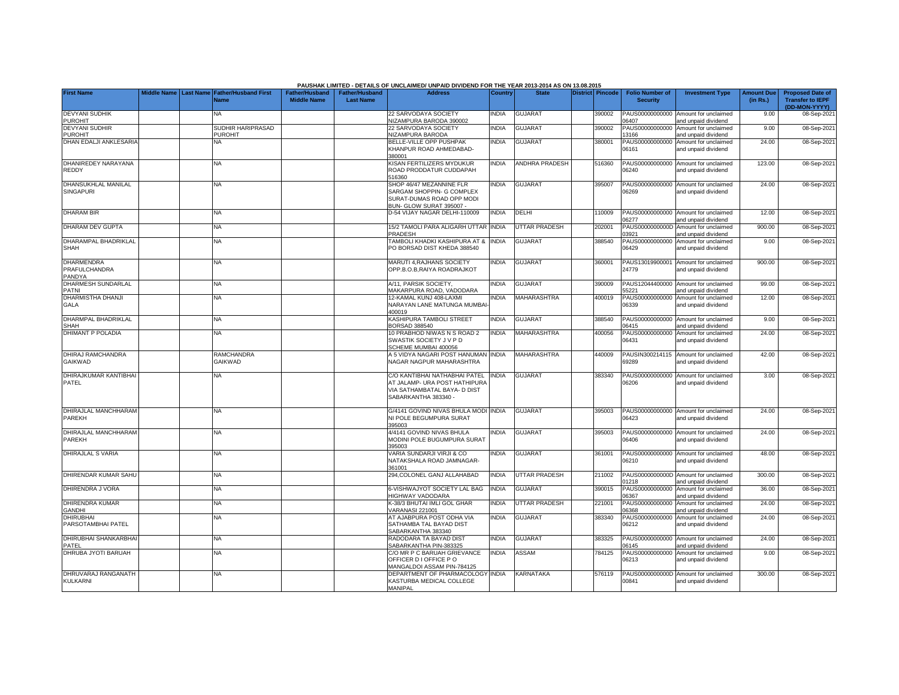|                                              |                       |                                            |                                             |                                           | PAUSHAK LIMITED - DETAILS OF UNCLAIMED/ UNPAID DIVIDEND FOR THE YEAR 2013-2014 AS ON 13.08.2015                        |                |                       |                         |                                           |                                                             |                               |                                                                     |
|----------------------------------------------|-----------------------|--------------------------------------------|---------------------------------------------|-------------------------------------------|------------------------------------------------------------------------------------------------------------------------|----------------|-----------------------|-------------------------|-------------------------------------------|-------------------------------------------------------------|-------------------------------|---------------------------------------------------------------------|
| <b>First Name</b>                            | Middle Name Last Name | <b>Father/Husband First</b><br><b>Name</b> | <b>Father/Husband</b><br><b>Middle Name</b> | <b>Father/Husband</b><br><b>Last Name</b> | <b>Address</b>                                                                                                         | <b>Country</b> | <b>State</b>          | <b>District Pincode</b> | <b>Folio Number of</b><br><b>Security</b> | <b>Investment Type</b>                                      | <b>Amount Due</b><br>(in Rs.) | <b>Proposed Date of</b><br><b>Transfer to IEPF</b><br>(DD-MON-YYYY) |
| <b>DEVYANI SUDHIK</b><br><b>PUROHIT</b>      |                       | NA                                         |                                             |                                           | 22 SARVODAYA SOCIETY<br>NIZAMPURA BARODA 390002                                                                        | <b>INDIA</b>   | <b>GUJARAT</b>        | 390002                  | PAUS00000000000<br>06407                  | Amount for unclaimed<br>and unpaid dividend                 | 9.00                          | 08-Sep-2021                                                         |
| <b>DEVYANI SUDHIR</b><br><b>PUROHIT</b>      |                       | SUDHIR HARIPRASAD<br><b>PUROHIT</b>        |                                             |                                           | 22 SARVODAYA SOCIETY<br><b>NIZAMPURA BARODA</b>                                                                        | <b>INDIA</b>   | <b>GUJARAT</b>        | 390002                  | PAUS00000000000<br>13166                  | Amount for unclaimed<br>and unpaid dividend                 | 9.00                          | 08-Sep-2021                                                         |
| DHAN EDALJI ANKLESARIA                       |                       | NΑ                                         |                                             |                                           | <b>BELLE-VILLE OPP PUSHPAK</b><br>KHANPUR ROAD AHMEDABAD-<br>380001                                                    | <b>NDIA</b>    | <b>GUJARAT</b>        | 380001                  | PAUS00000000000<br>06161                  | Amount for unclaimed<br>and unpaid dividend                 | 24.00                         | 08-Sep-2021                                                         |
| DHANIREDEY NARAYANA<br>REDDY                 |                       | NA                                         |                                             |                                           | KISAN FERTILIZERS MYDUKUR<br>ROAD PRODDATUR CUDDAPAH<br>516360                                                         | <b>INDIA</b>   | <b>ANDHRA PRADESH</b> | 516360                  | 06240                                     | PAUS00000000000 Amount for unclaimed<br>and unpaid dividend | 123.00                        | 08-Sep-2021                                                         |
| DHANSUKHLAL MANILAL<br><b>SINGAPURI</b>      |                       | <b>NA</b>                                  |                                             |                                           | SHOP 46/47 MEZANNINE FLR<br>SARGAM SHOPPIN- G COMPLEX<br>SURAT-DUMAS ROAD OPP MODI<br>3UN- GLOW SURAT 395007 -         | INDIA          | <b>GUJARAT</b>        | 395007                  | PAUS00000000000<br>06269                  | Amount for unclaimed<br>and unpaid dividend                 | 24.00                         | 08-Sep-2021                                                         |
| <b>DHARAM BIR</b>                            |                       | <b>NA</b>                                  |                                             |                                           | D-54 VIJAY NAGAR DELHI-110009                                                                                          | <b>INDIA</b>   | DELHI                 | 110009                  | 06277                                     | PAUS00000000000 Amount for unclaimed<br>and unpaid dividend | 12.00                         | 08-Sep-2021                                                         |
| DHARAM DEV GUPTA                             |                       | <b>NA</b>                                  |                                             |                                           | 15/2 TAMOLI PARA ALIGARH UTTAR INDIA<br>PRADESH                                                                        |                | <b>UTTAR PRADESH</b>  | 202001                  | PAUS0000000000D<br>03921                  | Amount for unclaimed<br>and unpaid dividend                 | 900.00                        | 08-Sep-2021                                                         |
| DHARAMPAL BHADRIKLAL<br><b>SHAH</b>          |                       | <b>NA</b>                                  |                                             |                                           | TAMBOLI KHADKI KASHIPURA AT &<br>PO BORSAD DIST KHEDA 388540                                                           | <b>INDIA</b>   | <b>GUJARAT</b>        | 388540                  | PAUS00000000000<br>06429                  | Amount for unclaimed<br>and unpaid dividend                 | 9.00                          | 08-Sep-2021                                                         |
| <b>DHARMENDRA</b><br>PRAFULCHANDRA<br>PANDYA |                       | <b>NA</b>                                  |                                             |                                           | MARUTI 4, RAJHANS SOCIETY<br>OPP.B.O.B,RAIYA ROADRAJKOT                                                                | INDIA          | <b>GUJARAT</b>        | 360001                  | PAUS13019900001<br>24779                  | Amount for unclaimed<br>and unpaid dividend                 | 900.00                        | 08-Sep-2021                                                         |
| DHARMESH SUNDARLAL<br>PATNI                  |                       | NA                                         |                                             |                                           | A/11, PARSIK SOCIETY,<br>MAKARPURA ROAD, VADODARA                                                                      | <b>NDIA</b>    | <b>GUJARAT</b>        | 390009                  | PAUS12044400000<br>55221                  | Amount for unclaimed<br>and unpaid dividend                 | 99.00                         | 08-Sep-2021                                                         |
| <b>DHARMISTHA DHANJI</b><br><b>GALA</b>      |                       | NA                                         |                                             |                                           | 12-KAMAL KUNJ 408-LAXMI<br>NARAYAN LANE MATUNGA MUMBAI<br>400019                                                       | <b>NDIA</b>    | <b>MAHARASHTRA</b>    | 400019                  | PAUS00000000000<br>06339                  | Amount for unclaimed<br>and unpaid dividend                 | 12.00                         | 08-Sep-2021                                                         |
| DHARMPAL BHADRIKLAL<br><b>SHAH</b>           |                       | <b>NA</b>                                  |                                             |                                           | <b>KASHIPURA TAMBOLI STREET</b><br>3ORSAD 388540                                                                       | INDIA          | <b>GUJARAT</b>        | 388540                  | PAUS00000000000<br>06415                  | Amount for unclaimed<br>and unpaid dividend                 | 9.00                          | 08-Sep-2021                                                         |
| <b>DHIMANT P POLADIA</b>                     |                       | NA.                                        |                                             |                                           | 10 PRABHOD NIWAS N S ROAD 2<br>SWASTIK SOCIETY J V P D<br>SCHEME MUMBAI 400056                                         | <b>INDIA</b>   | <b>MAHARASHTRA</b>    | 400056                  | PAUS00000000000<br>06431                  | Amount for unclaimed<br>and unpaid dividend                 | 24.00                         | 08-Sep-2021                                                         |
| DHIRAJ RAMCHANDRA<br>GAIKWAD                 |                       | RAMCHANDRA<br>GAIKWAD                      |                                             |                                           | A 5 VIDYA NAGARI POST HANUMAN INDIA<br>NAGAR NAGPUR MAHARASHTRA                                                        |                | <b>MAHARASHTRA</b>    | 440009                  | 69289                                     | PAUSIN300214115 Amount for unclaimed<br>and unpaid dividend | 42.00                         | 08-Sep-2021                                                         |
| DHIRAJKUMAR KANTIBHAI<br>PATEL               |                       | NA                                         |                                             |                                           | C/O KANTIBHAI NATHABHAI PATEL<br>AT JALAMP- URA POST HATHIPURA<br>VIA SATHAMBATAL BAYA- D DIST<br>SABARKANTHA 383340 - | <b>INDIA</b>   | <b>GUJARAT</b>        | 383340                  | PAUS00000000000<br>06206                  | Amount for unclaimed<br>and unpaid dividend                 | 3.00                          | 08-Sep-2021                                                         |
| DHIRAJLAL MANCHHARAM<br>PAREKH               |                       | <b>NA</b>                                  |                                             |                                           | G/4141 GOVIND NIVAS BHULA MODI INDIA<br>NI POLE BEGUMPURA SURAT<br>395003                                              |                | <b>GUJARAT</b>        | 395003                  | PAUS00000000000<br>06423                  | Amount for unclaimed<br>and unpaid dividend                 | 24.00                         | 08-Sep-2021                                                         |
| DHIRAJLAL MANCHHARAM<br>PAREKH               |                       | ΝA                                         |                                             |                                           | 4/4141 GOVIND NIVAS BHULA<br>MODINI POLE BUGUMPURA SURAT<br>395003                                                     | <b>NDIA</b>    | <b>GUJARAT</b>        | 395003                  | PAUS00000000000<br>06406                  | Amount for unclaimed<br>and unpaid dividend                 | 24.00                         | 08-Sep-2021                                                         |
| <b>DHIRAJLAL S VARIA</b>                     |                       | ΝA                                         |                                             |                                           | VARIA SUNDARJI VIRJI & CO<br>NATAKSHALA ROAD JAMNAGAR-<br>361001                                                       | <b>INDIA</b>   | <b>GUJARAT</b>        | 361001                  | PAUS00000000000<br>06210                  | Amount for unclaimed<br>and unpaid dividend                 | 48.00                         | 08-Sep-2021                                                         |
| DHIRENDAR KUMAR SAHU                         |                       | NA                                         |                                             |                                           | 294, COLONEL GANJ ALLAHABAD                                                                                            | <b>INDIA</b>   | <b>UTTAR PRADESH</b>  | 211002                  | PAUS0000000000D<br>01218                  | Amount for unclaimed<br>and unpaid dividend                 | 300.00                        | 08-Sep-2021                                                         |
| DHIRENDRA J VORA                             |                       | <b>NA</b>                                  |                                             |                                           | 6-VISHWAJYOT SOCIETY LAL BAG<br><b>IIGHWAY VADODARA</b>                                                                | <b>INDIA</b>   | <b>GUJARAT</b>        | 390015                  | PAUS00000000000<br>16367                  | Amount for unclaimed<br>nd unpaid dividend                  | 36.00                         | 08-Sep-2021                                                         |
| DHIRENDRA KUMAR<br><b>GANDHI</b>             |                       | <b>NA</b>                                  |                                             |                                           | <b>&lt;-38/3 BHUTAI IMLI GOL GHAR</b><br>/ARANASI 221001                                                               | <b>NDIA</b>    | <b>UTTAR PRADESH</b>  | 221001                  | PAUS00000000000<br>06368                  | Amount for unclaimed<br>and unpaid dividend                 | 24.00                         | 08-Sep-2021                                                         |
| <b>DHIRUBHAI</b><br>PARSOTAMBHAI PATEL       |                       | ΝA                                         |                                             |                                           | AT AJABPURA POST ODHA VIA<br>SATHAMBA TAL BAYAD DIST<br>SABARKANTHA 383340                                             | INDIA          | <b>GUJARAT</b>        | 383340                  | PAUS00000000000<br>06212                  | Amount for unclaimed<br>and unpaid dividend                 | 24.00                         | 08-Sep-2021                                                         |
| <b>DHIRUBHAI SHANKARBHA</b><br>PATEL         |                       | NA                                         |                                             |                                           | RADODARA TA BAYAD DIST<br><b>SABARKANTHA PIN-383325</b>                                                                | <b>INDIA</b>   | <b>GUJARAT</b>        | 383325                  | PAUS00000000000<br>06145                  | Amount for unclaimed<br>and unpaid dividend                 | 24.00                         | 08-Sep-2021                                                         |
| DHRUBA JYOTI BARUAH                          |                       | NA                                         |                                             |                                           | C/O MR P C BARUAH GRIEVANCE<br>OFFICER D I OFFICE PO<br><b>MANGALDOI ASSAM PIN-784125</b>                              | <b>INDIA</b>   | ASSAM                 | 784125                  | PAUS00000000000<br>06213                  | Amount for unclaimed<br>and unpaid dividend                 | 9.00                          | 08-Sep-2021                                                         |
| DHRUVARAJ RANGANATH<br>KULKARNI              |                       | NA.                                        |                                             |                                           | DEPARTMENT OF PHARMACOLOGY INDIA<br>KASTURBA MEDICAL COLLEGE<br><b>MANIPAL</b>                                         |                | KARNATAKA             | 576119                  | 00841                                     | PAUS0000000000D Amount for unclaimed<br>and unpaid dividend | 300.00                        | 08-Sep-2021                                                         |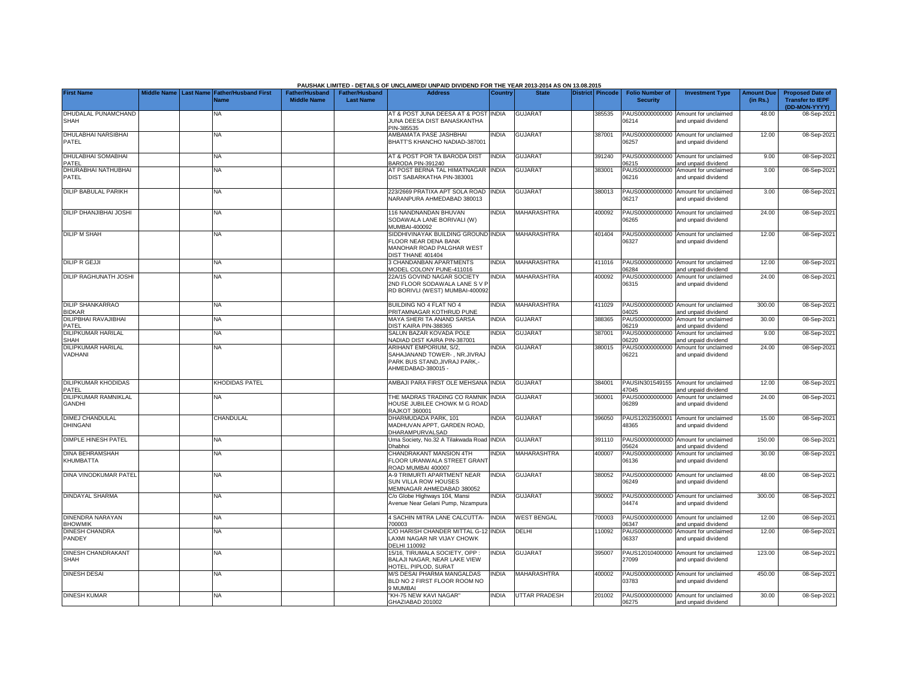|                                            |                    |                  |                                     |                                             |                                           | PAUSHAK LIMITED - DETAILS OF UNCLAIMED/ UNPAID DIVIDEND FOR THE YEAR 2013-2014 AS ON 13.08.2015               |                |                    |                         |                                           |                                                             |                               |                                                                     |
|--------------------------------------------|--------------------|------------------|-------------------------------------|---------------------------------------------|-------------------------------------------|---------------------------------------------------------------------------------------------------------------|----------------|--------------------|-------------------------|-------------------------------------------|-------------------------------------------------------------|-------------------------------|---------------------------------------------------------------------|
| <b>First Name</b>                          | <b>Middle Name</b> | <b>Last Name</b> | <b>Father/Husband First</b><br>Jame | <b>Father/Husband</b><br><b>Middle Name</b> | <b>Father/Husband</b><br><b>Last Name</b> | <b>Address</b>                                                                                                | <b>Country</b> | <b>State</b>       | <b>District Pincode</b> | <b>Folio Number of</b><br><b>Security</b> | <b>Investment Type</b>                                      | <b>Amount Due</b><br>(in Rs.) | <b>Proposed Date of</b><br><b>Transfer to IEPF</b><br>(DD-MON-YYYY) |
| DHUDALAL PUNAMCHAND<br>SHAH                |                    |                  | NA                                  |                                             |                                           | AT & POST JUNA DEESA AT & POST<br>JUNA DEESA DIST BANASKANTHA<br>PIN-385535                                   | INDIA          | <b>GUJARA1</b>     | 385535                  | PAUS00000000000<br>06214                  | Amount for unclaimed<br>and unpaid dividend                 | 48.00                         | 08-Sep-202                                                          |
| <b>DHULABHAI NARSIBHAI</b><br><b>PATEL</b> |                    |                  | NA.                                 |                                             |                                           | AMBAMATA PASE JASHBHAI<br>BHATT'S KHANCHO NADIAD-387001                                                       | <b>NDIA</b>    | <b>GUJARAT</b>     | 387001                  | 06257                                     | PAUS00000000000 Amount for unclaimed<br>and unpaid dividend | 12.00                         | 08-Sep-2021                                                         |
| <b>DHULABHAI SOMABHAI</b><br><b>PATEL</b>  |                    |                  | <b>NA</b>                           |                                             |                                           | AT & POST POR TA BARODA DIST<br><b>BARODA PIN-391240</b>                                                      | INDIA          | <b>GUJARAT</b>     | 391240                  | 6215                                      | PAUS00000000000 Amount for unclaimed<br>and unpaid dividend | 9.00                          | 08-Sep-2021                                                         |
| DHURABHAI NATHUBHAI<br>PATEL               |                    |                  | NA                                  |                                             |                                           | AT POST BERNA TAL HIMATNAGAR<br>DIST SABARKATHA PIN-383001                                                    | <b>INDIA</b>   | <b>GUJARAT</b>     | 383001                  | PAUS00000000000<br>06216                  | Amount for unclaimed<br>and unpaid dividend                 | 3.00                          | 08-Sep-2021                                                         |
| <b>DILIP BABULAL PARIKH</b>                |                    |                  | NA                                  |                                             |                                           | 223/2669 PRATIXA APT SOLA ROAD<br>NARANPURA AHMEDABAD 380013                                                  | <b>INDIA</b>   | <b>GUJARAT</b>     | 380013                  | 06217                                     | PAUS00000000000 Amount for unclaimed<br>and unpaid dividend | 3.00                          | 08-Sep-2021                                                         |
| <b>DILIP DHANJIBHAI JOSHI</b>              |                    |                  | NA.                                 |                                             |                                           | 116 NANDNANDAN BHUVAN<br>SODAWALA LANE BORIVALI (W)<br>MUMBAI-400092                                          | <b>NDIA</b>    | <b>MAHARASHTRA</b> | 400092                  | 06265                                     | PAUS00000000000 Amount for unclaimed<br>and unpaid dividend | 24.00                         | 08-Sep-2021                                                         |
| <b>DILIP M SHAH</b>                        |                    |                  | NA                                  |                                             |                                           | SIDDHIVINAYAK BUILDING GROUND INDIA<br>FLOOR NEAR DENA BANK<br>MANOHAR ROAD PALGHAR WEST<br>DIST THANE 401404 |                | <b>MAHARASHTRA</b> | 401404                  | 06327                                     | PAUS00000000000 Amount for unclaimed<br>and unpaid dividend | 12.00                         | 08-Sep-2021                                                         |
| <b>DILIP R GEJJI</b>                       |                    |                  | NA                                  |                                             |                                           | 3 CHANDANBAN APARTMENTS<br>MODEL COLONY PUNE-411016                                                           | <b>NDIA</b>    | <b>MAHARASHTRA</b> | 411016                  | 06284                                     | PAUS00000000000 Amount for unclaimed<br>and unpaid dividend | 12.00                         | 08-Sep-2021                                                         |
| <b>DILIP RAGHUNATH JOSHI</b>               |                    |                  | <b>NA</b>                           |                                             |                                           | 22A/15 GOVIND NAGAR SOCIETY<br>2ND FLOOR SODAWALA LANE S V I<br>RD BORIVLI (WEST) MUMBAI-400092               | <b>NDIA</b>    | <b>MAHARASHTRA</b> | 400092                  | 06315                                     | PAUS00000000000 Amount for unclaimed<br>and unpaid dividend | 24.00                         | 08-Sep-2021                                                         |
| <b>DILIP SHANKARRAO</b><br><b>BIDKAR</b>   |                    |                  | <b>NA</b>                           |                                             |                                           | BUILDING NO 4 FLAT NO 4<br>PRITAMNAGAR KOTHRUD PUNE                                                           | <b>NDIA</b>    | MAHARASHTRA        | 411029                  | 14025                                     | PAUS0000000000D Amount for unclaimed<br>and unpaid dividend | 300.00                        | 08-Sep-2021                                                         |
| DILIPBHAI RAVAJIBHAI<br>PATEL              |                    |                  | <b>NA</b>                           |                                             |                                           | MAYA SHERI TA ANAND SARSA<br>DIST KAIRA PIN-388365                                                            | <b>NDIA</b>    | <b>GUJARAT</b>     | 388365                  | 06219                                     | PAUS00000000000 Amount for unclaimed<br>and unpaid dividend | 30.00                         | 08-Sep-2021                                                         |
| DILIPKUMAR HARILAL<br>SHAH                 |                    |                  | NA                                  |                                             |                                           | SALUN BAZAR KOVADA POLE<br>NADIAD DIST KAIRA PIN-387001                                                       | <b>NDIA</b>    | <b>GUJARAT</b>     | 387001                  | PAUS00000000000<br>6220                   | Amount for unclaimed<br>and unpaid dividend                 | 9.00                          | 08-Sep-2021                                                         |
| <b>DILIPKUMAR HARILAL</b><br>VADHANI       |                    |                  | NA                                  |                                             |                                           | ARIHANT EMPORIUM, S/2,<br>SAHAJANAND TOWER-, NR.JIVRAJ<br>PARK BUS STAND, JIVRAJ PARK,-<br>AHMEDABAD-380015 - | <b>NDIA</b>    | <b>GUJARAT</b>     | 380015                  | 06221                                     | PAUS00000000000 Amount for unclaimed<br>and unpaid dividend | 24.00                         | 08-Sep-2021                                                         |
| DILIPKUMAR KHODIDAS<br>PATEL               |                    |                  | KHODIDAS PATEL                      |                                             |                                           | AMBAJI PARA FIRST OLE MEHSANA INDIA                                                                           |                | <b>GUJARAT</b>     | 384001                  | 17045                                     | PAUSIN301549155 Amount for unclaimed<br>and unpaid dividend | 12.00                         | 08-Sep-2021                                                         |
| DILIPKUMAR RAMNIKLAL<br><b>GANDHI</b>      |                    |                  | NΑ                                  |                                             |                                           | THE MADRAS TRADING CO RAMNIK<br>HOUSE JUBILEE CHOWK M G ROAD<br><b>RAJKOT 360001</b>                          | <b>NDIA</b>    | <b>GUJARAT</b>     | 360001                  | 06289                                     | PAUS00000000000 Amount for unclaimed<br>and unpaid dividend | 24.00                         | 08-Sep-2021                                                         |
| DIMEJ CHANDULAL<br><b>DHINGANI</b>         |                    |                  | CHANDULAL                           |                                             |                                           | DHARMUDADA PARK, 101<br>MADHUVAN APPT, GARDEN ROAD.<br>DHARAMPURVALSAD                                        | <b>NDIA</b>    | <b>GUJARAT</b>     | 396050                  | 48365                                     | PAUS12023500001 Amount for unclaimed<br>and unpaid dividend | 15.00                         | 08-Sep-2021                                                         |
| <b>DIMPLE HINESH PATEL</b>                 |                    |                  | <b>NA</b>                           |                                             |                                           | Uma Society, No.32 A Tilakwada Road INDIA<br>Dhabhoi                                                          |                | <b>GUJARAT</b>     | 391110                  | 5624                                      | PAUS0000000000D Amount for unclaimed<br>and unpaid dividend | 150.00                        | 08-Sep-202                                                          |
| <b>DINA BEHRAMSHAH</b><br><b>KHUMBATTA</b> |                    |                  | NA                                  |                                             |                                           | CHANDRAKANT MANSION 4TH<br>FLOOR URANWALA STREET GRANT<br>ROAD MUMBAI 400007                                  | <b>NDIA</b>    | MAHARASHTRA        | 400007                  | 06136                                     | PAUS00000000000 Amount for unclaimed<br>and unpaid dividend | 30.00                         | 08-Sep-2021                                                         |
| DINA VINODKUMAR PATEL                      |                    |                  | NA.                                 |                                             |                                           | <b>A-9 TRIMURTI APARTMENT NEAR</b><br>SUN VILLA ROW HOUSES<br>MEMNAGAR AHMEDABAD 380052                       | <b>NDIA</b>    | <b>GUJARAT</b>     | 380052                  | 06249                                     | PAUS00000000000 Amount for unclaimed<br>and unpaid dividend | 48.00                         | 08-Sep-202                                                          |
| <b>DINDAYAL SHARMA</b>                     |                    |                  | NA.                                 |                                             |                                           | C/o Globe Highways 104, Mansi<br>Avenue Near Gelani Pump, Nizampura                                           | <b>NDIA</b>    | <b>GUJARAT</b>     | 390002                  | 04474                                     | PAUS0000000000D Amount for unclaimed<br>and unpaid dividend | 300.00                        | 08-Sep-2021                                                         |
| <b>DINENDRA NARAYAN</b><br><b>BHOWMIK</b>  |                    |                  | NA                                  |                                             |                                           | 4 SACHIN MITRA LANE CALCUTTA-<br>700003                                                                       | <b>NDIA</b>    | <b>WEST BENGAL</b> | 700003                  | 06347                                     | PAUS00000000000 Amount for unclaimed<br>and unpaid dividend | 12.00                         | 08-Sep-202                                                          |
| <b>DINESH CHANDRA</b><br>PANDEY            |                    |                  | NA.                                 |                                             |                                           | C/O HARISH CHANDER MITTAL G-12<br>LAXMI NAGAR NR VIJAY CHOWK<br><b>DELHI 110092</b>                           | <b>NDIA</b>    | DELHI              | 110092                  | PAUS00000000000<br>06337                  | Amount for unclaimed<br>and unpaid dividend                 | 12.00                         | 08-Sep-2021                                                         |
| <b>DINESH CHANDRAKANT</b><br>SHAH          |                    |                  | NA                                  |                                             |                                           | 15/16, TIRUMALA SOCIETY, OPP:<br>BALAJI NAGAR, NEAR LAKE VIEW<br><b>IOTEL, PIPLOD, SURAT</b>                  | <b>NDIA</b>    | <b>GUJARAT</b>     | 395007                  | PAUS12010400000<br>27099                  | Amount for unclaimed<br>and unpaid dividend                 | 123.00                        | 08-Sep-2021                                                         |
| <b>DINESH DESAI</b>                        |                    |                  | NA.                                 |                                             |                                           | M/S DESAI PHARMA MANGALDAS<br>BLD NO 2 FIRST FLOOR ROOM NO<br><b>MUMBAI</b>                                   | NDIA           | <b>MAHARASHTRA</b> | 400002                  | 03783                                     | PAUS0000000000D Amount for unclaimed<br>and unpaid dividend | 450.00                        | 08-Sep-2021                                                         |
| <b>DINESH KUMAR</b>                        |                    |                  | <b>NA</b>                           |                                             |                                           | "KH-75 NEW KAVI NAGAR"<br>GHAZIABAD 201002                                                                    | india          | UTTAR PRADESH      | 201002                  | 06275                                     | PAUS00000000000 Amount for unclaimed<br>and unpaid dividend | 30.00                         | 08-Sep-2021                                                         |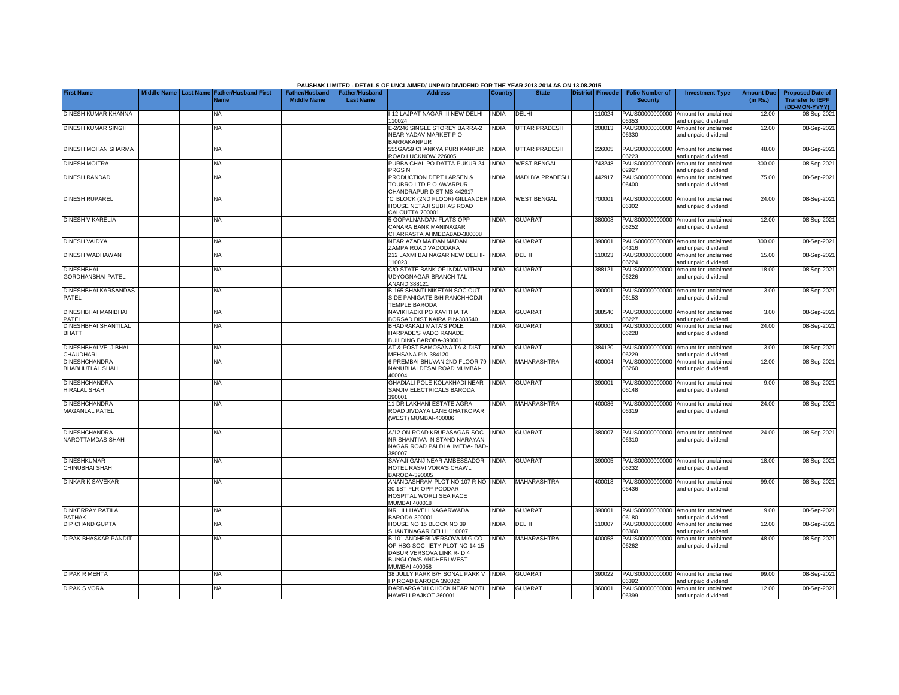| Middle Name   Last Name   Father/Husband First<br><b>District Pincode</b><br><b>Folio Number of</b><br><b>Amount Due</b><br><b>Proposed Date of</b><br><b>Father/Husband</b><br><b>Father/Husband</b><br><b>Address</b><br><b>State</b><br><b>Investment Type</b><br><b>Country</b><br><b>Middle Name</b><br><b>Last Name</b><br><b>Transfer to IEPF</b><br><b>Security</b><br>(in Rs.)<br><b>Name</b><br>(DD-MON-YYYY)<br>NA<br>-12 LAJPAT NAGAR III NEW DELHI-<br>DELHI<br>10024<br>PAUS00000000000<br>Amount for unclaimed<br>12.00<br><b>INDIA</b><br>08-Sep-2021<br>06353<br>and unpaid dividend<br>110024<br>UTTAR PRADESH<br>DINESH KUMAR SINGH<br>E-2/246 SINGLE STOREY BARRA-2<br><b>INDIA</b><br>208013<br>PAUS00000000000<br>12.00<br>08-Sep-2021<br>ΝA<br>Amount for unclaimed<br>NEAR YADAV MARKET P O<br>06330<br>and unpaid dividend<br><b>BARRAKANPUR</b><br>555GA/59 CHANKYA PURI KANPUR<br><b>NA</b><br><b>INDIA</b><br>UTTAR PRADESH<br>226005<br>PAUS00000000000<br>Amount for unclaimed<br>48.00<br>08-Sep-2021<br>ROAD LUCKNOW 226005<br>06223<br>and unpaid dividend<br>PURBA CHAL PO DATTA PUKUR 24<br><b>INDIA</b><br><b>WEST BENGAL</b><br>743248<br>PAUS0000000000D<br>Amount for unclaimed<br>300.00<br>08-Sep-2021<br><b>NA</b><br>PRGS <sub>N</sub><br>02927<br>and unpaid dividend<br><b>DINESH RANDAD</b><br><b>MADHYA PRADESH</b><br>PAUS00000000000<br>NA<br>PRODUCTION DEPT LARSEN &<br>INDIA<br>442917<br>Amount for unclaimed<br>75.00<br>08-Sep-2021<br>TOUBRO LTD P O AWARPUR<br>06400<br>and unpaid dividend<br>CHANDRAPUR DIST MS 442917<br><b>DINESH RUPAREL</b><br>C' BLOCK (2ND FLOOR) GILLANDER INDIA<br><b>WEST BENGAL</b><br>700001<br>PAUS00000000000<br>24.00<br>08-Sep-2021<br>NA<br>Amount for unclaimed<br>06302<br>HOUSE NETAJI SUBHAS ROAD<br>and unpaid dividend<br>CALCUTTA-700001<br><b>DINESH V KARELIA</b><br><b>INDIA</b><br><b>GUJARAT</b><br>380008<br>PAUS00000000000<br>12.00<br>5 GOPALNANDAN FLATS OPP<br>Amount for unclaimed<br>08-Sep-2021<br>ΝA<br>06252<br>CANARA BANK MANINAGAR<br>and unpaid dividend<br>CHARRASTA AHMEDABAD-380008<br>PAUS0000000000D Amount for unclaimed<br>NA<br>NEAR AZAD MAIDAN MADAN<br>INDIA<br><b>GUJARAT</b><br>390001<br>300.00<br>08-Sep-2021<br>04316<br>ZAMPA ROAD VADODARA<br>and unpaid dividend<br><b>NA</b><br>212 LAXMI BAI NAGAR NEW DELHI-<br><b>INDIA</b><br>DELHI<br>110023<br>PAUS00000000000<br>Amount for unclaimed<br>15.00<br>08-Sep-2021<br>06224<br>10023<br>and unpaid dividend<br><b>DINESHBHAI</b><br>C/O STATE BANK OF INDIA VITHAL<br><b>INDIA</b><br><b>GUJARAT</b><br>PAUS00000000000<br><b>NA</b><br>388121<br>Amount for unclaimed<br>18.00<br>08-Sep-2021<br>UDYOGNAGAR BRANCH TAL<br>06226<br>and unpaid dividend<br>ANAND 388121<br><b>B-165 SHANTI NIKETAN SOC OUT</b><br><b>NDIA</b><br><b>GUJARAT</b><br>390001<br>PAUS00000000000<br>3.00<br>NΑ<br>Amount for unclaimed<br>08-Sep-2021<br>SIDE PANIGATE B/H RANCHHODJI<br>06153<br>and unpaid dividend<br>TEMPLE BARODA<br><b>INDIA</b><br><b>GUJARAT</b><br>388540<br>PAUS00000000000<br>NAVIKHADKI PO KAVITHA TA<br>Amount for unclaimed<br>3.00<br>NA<br>08-Sep-2021<br>06227<br>PATEL<br>BORSAD DIST KAIRA PIN-388540<br>and unpaid dividend<br><b>DINESHBHAI SHANTILAL</b><br><b>NA</b><br>BHADRAKALI MATA'S POLE<br><b>INDIA</b><br><b>GUJARAT</b><br>390001<br>PAUS00000000000<br>Amount for unclaimed<br>24.00<br>08-Sep-2021<br>HARPADE'S VADO RANADE<br>06228<br>and unpaid dividend<br>BUILDING BARODA-390001<br><b>NA</b><br>AT & POST BAMOSANA TA & DIST<br><b>INDIA</b><br><b>GUJARAT</b><br>384120<br>PAUS00000000000 Amount for unclaimed<br>3.00<br>08-Sep-2021<br>MEHSANA PIN-384120<br>06229<br>and unpaid dividend<br><b>NA</b><br>6 PREMBAI BHUVAN 2ND FLOOR 79 INDIA<br><b>MAHARASHTRA</b><br>400004<br>PAUS00000000000<br>12.00<br>08-Sep-2021<br>Amount for unclaimed<br>NANUBHAI DESAI ROAD MUMBAI-<br>06260<br>and unpaid dividend<br>400004<br>GHADIALI POLE KOLAKHADI NEAR<br><b>GUJARAT</b><br>390001<br>9.00<br>NA<br><b>INDIA</b><br>PAUS00000000000<br>Amount for unclaimed<br>08-Sep-2021<br>SANJIV ELECTRICALS BARODA<br>06148<br>and unpaid dividend<br>390001<br>11 DR LAKHANI ESTATE AGRA<br><b>NA</b><br>INDIA<br>MAHARASHTRA<br>400086<br>PAUS00000000000<br>Amount for unclaimed<br>24.00<br>08-Sep-2021<br>ROAD JIVDAYA LANE GHATKOPAR<br>06319<br>and unpaid dividend<br>(WEST) MUMBAI-400086<br>A/12 ON ROAD KRUPASAGAR SOC<br><b>GUJARAT</b><br>PAUS00000000000 Amount for unclaimed<br>24.00<br><b>NA</b><br><b>INDIA</b><br>380007<br>08-Sep-2021<br>NR SHANTIVA- N STAND NARAYAN<br>06310<br>and unpaid dividend<br>NAGAR ROAD PALDI AHMEDA- BAD<br>380007-<br>SAYAJI GANJ NEAR AMBESSADOR<br><b>INDIA</b><br><b>GUJARAT</b><br>PAUS00000000000 Amount for unclaimed<br>18.00<br>NΑ<br>390005<br>08-Sep-2021<br>HOTEL RASVI VORA'S CHAWL<br>06232<br>and unpaid dividend<br>BARODA-390005<br>ANANDASHRAM PLOT NO 107 R NO INDIA<br><b>MAHARASHTRA</b><br>PAUS00000000000<br>99.00<br>NA<br>400018<br>Amount for unclaimed<br>08-Sep-2021<br>30 1ST FLR OPP PODDAR<br>06436<br>and unpaid dividend<br>HOSPITAL WORLI SEA FACE<br>MUMBAI 400018<br><b>NA</b><br>NR LILI HAVELI NAGARWADA<br><b>INDIA</b><br><b>GUJARAT</b><br>390001<br>PAUS00000000000 Amount for unclaimed<br>9.00<br>08-Sep-2021<br>BARODA-390001<br><b>PATHAK</b><br>06180<br>and unpaid dividend<br>HOUSE NO 15 BLOCK NO 39<br><b>INDIA</b><br>DELHI<br>110007<br>PAUS00000000000<br>12.00<br>08-Sep-2021<br><b>NA</b><br>Amount for unclaimed<br>SHAKTINAGAR DELHI 110007<br>06360<br>and unpaid dividend<br><b>DIPAK BHASKAR PANDIT</b><br>B-101 ANDHERI VERSOVA MIG CO-<br><b>INDIA</b><br><b>MAHARASHTRA</b><br>400058<br>PAUS00000000000<br>48.00<br>08-Sep-2021<br>NA<br>Amount for unclaimed<br>OP HSG SOC- IETY PLOT NO 14-15<br>06262<br>and unpaid dividend<br>DABUR VERSOVA LINK R- D 4<br><b>BUNGLOWS ANDHERI WEST</b><br>MUMBAI 400058-<br><b>DIPAK R MEHTA</b><br>38 JULLY PARK B/H SONAL PARK V INDIA<br><b>GUJARAT</b><br>390022<br>PAUS00000000000 Amount for unclaimed<br>99.00<br>08-Sep-2021<br><b>NA</b><br>06392<br>P ROAD BARODA 390022<br>and unpaid dividend<br>DARBARGADH CHOCK NEAR MOTI INDIA<br><b>GUJARAT</b><br>12.00<br>08-Sep-2021<br><b>NA</b><br>360001<br>PAUS00000000000 Amount for unclaimed<br>HAWELI RAJKOT 360001<br>06399<br>and unpaid dividend |                                                |  |  | PAUSHAK LIMITED - DETAILS OF UNCLAIMED/ UNPAID DIVIDEND FOR THE YEAR 2013-2014 AS ON 13.08.2015 |  |  |  |  |
|-----------------------------------------------------------------------------------------------------------------------------------------------------------------------------------------------------------------------------------------------------------------------------------------------------------------------------------------------------------------------------------------------------------------------------------------------------------------------------------------------------------------------------------------------------------------------------------------------------------------------------------------------------------------------------------------------------------------------------------------------------------------------------------------------------------------------------------------------------------------------------------------------------------------------------------------------------------------------------------------------------------------------------------------------------------------------------------------------------------------------------------------------------------------------------------------------------------------------------------------------------------------------------------------------------------------------------------------------------------------------------------------------------------------------------------------------------------------------------------------------------------------------------------------------------------------------------------------------------------------------------------------------------------------------------------------------------------------------------------------------------------------------------------------------------------------------------------------------------------------------------------------------------------------------------------------------------------------------------------------------------------------------------------------------------------------------------------------------------------------------------------------------------------------------------------------------------------------------------------------------------------------------------------------------------------------------------------------------------------------------------------------------------------------------------------------------------------------------------------------------------------------------------------------------------------------------------------------------------------------------------------------------------------------------------------------------------------------------------------------------------------------------------------------------------------------------------------------------------------------------------------------------------------------------------------------------------------------------------------------------------------------------------------------------------------------------------------------------------------------------------------------------------------------------------------------------------------------------------------------------------------------------------------------------------------------------------------------------------------------------------------------------------------------------------------------------------------------------------------------------------------------------------------------------------------------------------------------------------------------------------------------------------------------------------------------------------------------------------------------------------------------------------------------------------------------------------------------------------------------------------------------------------------------------------------------------------------------------------------------------------------------------------------------------------------------------------------------------------------------------------------------------------------------------------------------------------------------------------------------------------------------------------------------------------------------------------------------------------------------------------------------------------------------------------------------------------------------------------------------------------------------------------------------------------------------------------------------------------------------------------------------------------------------------------------------------------------------------------------------------------------------------------------------------------------------------------------------------------------------------------------------------------------------------------------------------------------------------------------------------------------------------------------------------------------------------------------------------------------------------------------------------------------------------------------------------------------------------------------------------------------------------------------------------------------------------------------------------------------------------------------------------------------------------------------------------------------------------------------------------------------------------------------------------------------------------------------------------------------------------------------------------------------------------------------------------------------------------------------------------------------------------------------------------------------------------------------------------------------------------------------------------------------------------------------------------------------------------------------------------------------------------------------------------------------------------------------------------------------------------------------------------------------------------------------------------------------------------------------------------------------------------------------------------------------------------------------------------------------------------------------------------------|------------------------------------------------|--|--|-------------------------------------------------------------------------------------------------|--|--|--|--|
|                                                                                                                                                                                                                                                                                                                                                                                                                                                                                                                                                                                                                                                                                                                                                                                                                                                                                                                                                                                                                                                                                                                                                                                                                                                                                                                                                                                                                                                                                                                                                                                                                                                                                                                                                                                                                                                                                                                                                                                                                                                                                                                                                                                                                                                                                                                                                                                                                                                                                                                                                                                                                                                                                                                                                                                                                                                                                                                                                                                                                                                                                                                                                                                                                                                                                                                                                                                                                                                                                                                                                                                                                                                                                                                                                                                                                                                                                                                                                                                                                                                                                                                                                                                                                                                                                                                                                                                                                                                                                                                                                                                                                                                                                                                                                                                                                                                                                                                                                                                                                                                                                                                                                                                                                                                                                                                                                                                                                                                                                                                                                                                                                                                                                                                                                                                                                                                                                                                                                                                                                                                                                                                                                                                                                                                                                                                                                                                                     | <b>First Name</b>                              |  |  |                                                                                                 |  |  |  |  |
|                                                                                                                                                                                                                                                                                                                                                                                                                                                                                                                                                                                                                                                                                                                                                                                                                                                                                                                                                                                                                                                                                                                                                                                                                                                                                                                                                                                                                                                                                                                                                                                                                                                                                                                                                                                                                                                                                                                                                                                                                                                                                                                                                                                                                                                                                                                                                                                                                                                                                                                                                                                                                                                                                                                                                                                                                                                                                                                                                                                                                                                                                                                                                                                                                                                                                                                                                                                                                                                                                                                                                                                                                                                                                                                                                                                                                                                                                                                                                                                                                                                                                                                                                                                                                                                                                                                                                                                                                                                                                                                                                                                                                                                                                                                                                                                                                                                                                                                                                                                                                                                                                                                                                                                                                                                                                                                                                                                                                                                                                                                                                                                                                                                                                                                                                                                                                                                                                                                                                                                                                                                                                                                                                                                                                                                                                                                                                                                                     |                                                |  |  |                                                                                                 |  |  |  |  |
|                                                                                                                                                                                                                                                                                                                                                                                                                                                                                                                                                                                                                                                                                                                                                                                                                                                                                                                                                                                                                                                                                                                                                                                                                                                                                                                                                                                                                                                                                                                                                                                                                                                                                                                                                                                                                                                                                                                                                                                                                                                                                                                                                                                                                                                                                                                                                                                                                                                                                                                                                                                                                                                                                                                                                                                                                                                                                                                                                                                                                                                                                                                                                                                                                                                                                                                                                                                                                                                                                                                                                                                                                                                                                                                                                                                                                                                                                                                                                                                                                                                                                                                                                                                                                                                                                                                                                                                                                                                                                                                                                                                                                                                                                                                                                                                                                                                                                                                                                                                                                                                                                                                                                                                                                                                                                                                                                                                                                                                                                                                                                                                                                                                                                                                                                                                                                                                                                                                                                                                                                                                                                                                                                                                                                                                                                                                                                                                                     | DINESH KUMAR KHANNA                            |  |  |                                                                                                 |  |  |  |  |
|                                                                                                                                                                                                                                                                                                                                                                                                                                                                                                                                                                                                                                                                                                                                                                                                                                                                                                                                                                                                                                                                                                                                                                                                                                                                                                                                                                                                                                                                                                                                                                                                                                                                                                                                                                                                                                                                                                                                                                                                                                                                                                                                                                                                                                                                                                                                                                                                                                                                                                                                                                                                                                                                                                                                                                                                                                                                                                                                                                                                                                                                                                                                                                                                                                                                                                                                                                                                                                                                                                                                                                                                                                                                                                                                                                                                                                                                                                                                                                                                                                                                                                                                                                                                                                                                                                                                                                                                                                                                                                                                                                                                                                                                                                                                                                                                                                                                                                                                                                                                                                                                                                                                                                                                                                                                                                                                                                                                                                                                                                                                                                                                                                                                                                                                                                                                                                                                                                                                                                                                                                                                                                                                                                                                                                                                                                                                                                                                     |                                                |  |  |                                                                                                 |  |  |  |  |
|                                                                                                                                                                                                                                                                                                                                                                                                                                                                                                                                                                                                                                                                                                                                                                                                                                                                                                                                                                                                                                                                                                                                                                                                                                                                                                                                                                                                                                                                                                                                                                                                                                                                                                                                                                                                                                                                                                                                                                                                                                                                                                                                                                                                                                                                                                                                                                                                                                                                                                                                                                                                                                                                                                                                                                                                                                                                                                                                                                                                                                                                                                                                                                                                                                                                                                                                                                                                                                                                                                                                                                                                                                                                                                                                                                                                                                                                                                                                                                                                                                                                                                                                                                                                                                                                                                                                                                                                                                                                                                                                                                                                                                                                                                                                                                                                                                                                                                                                                                                                                                                                                                                                                                                                                                                                                                                                                                                                                                                                                                                                                                                                                                                                                                                                                                                                                                                                                                                                                                                                                                                                                                                                                                                                                                                                                                                                                                                                     |                                                |  |  |                                                                                                 |  |  |  |  |
|                                                                                                                                                                                                                                                                                                                                                                                                                                                                                                                                                                                                                                                                                                                                                                                                                                                                                                                                                                                                                                                                                                                                                                                                                                                                                                                                                                                                                                                                                                                                                                                                                                                                                                                                                                                                                                                                                                                                                                                                                                                                                                                                                                                                                                                                                                                                                                                                                                                                                                                                                                                                                                                                                                                                                                                                                                                                                                                                                                                                                                                                                                                                                                                                                                                                                                                                                                                                                                                                                                                                                                                                                                                                                                                                                                                                                                                                                                                                                                                                                                                                                                                                                                                                                                                                                                                                                                                                                                                                                                                                                                                                                                                                                                                                                                                                                                                                                                                                                                                                                                                                                                                                                                                                                                                                                                                                                                                                                                                                                                                                                                                                                                                                                                                                                                                                                                                                                                                                                                                                                                                                                                                                                                                                                                                                                                                                                                                                     | DINESH MOHAN SHARMA                            |  |  |                                                                                                 |  |  |  |  |
|                                                                                                                                                                                                                                                                                                                                                                                                                                                                                                                                                                                                                                                                                                                                                                                                                                                                                                                                                                                                                                                                                                                                                                                                                                                                                                                                                                                                                                                                                                                                                                                                                                                                                                                                                                                                                                                                                                                                                                                                                                                                                                                                                                                                                                                                                                                                                                                                                                                                                                                                                                                                                                                                                                                                                                                                                                                                                                                                                                                                                                                                                                                                                                                                                                                                                                                                                                                                                                                                                                                                                                                                                                                                                                                                                                                                                                                                                                                                                                                                                                                                                                                                                                                                                                                                                                                                                                                                                                                                                                                                                                                                                                                                                                                                                                                                                                                                                                                                                                                                                                                                                                                                                                                                                                                                                                                                                                                                                                                                                                                                                                                                                                                                                                                                                                                                                                                                                                                                                                                                                                                                                                                                                                                                                                                                                                                                                                                                     | <b>DINESH MOITRA</b>                           |  |  |                                                                                                 |  |  |  |  |
|                                                                                                                                                                                                                                                                                                                                                                                                                                                                                                                                                                                                                                                                                                                                                                                                                                                                                                                                                                                                                                                                                                                                                                                                                                                                                                                                                                                                                                                                                                                                                                                                                                                                                                                                                                                                                                                                                                                                                                                                                                                                                                                                                                                                                                                                                                                                                                                                                                                                                                                                                                                                                                                                                                                                                                                                                                                                                                                                                                                                                                                                                                                                                                                                                                                                                                                                                                                                                                                                                                                                                                                                                                                                                                                                                                                                                                                                                                                                                                                                                                                                                                                                                                                                                                                                                                                                                                                                                                                                                                                                                                                                                                                                                                                                                                                                                                                                                                                                                                                                                                                                                                                                                                                                                                                                                                                                                                                                                                                                                                                                                                                                                                                                                                                                                                                                                                                                                                                                                                                                                                                                                                                                                                                                                                                                                                                                                                                                     |                                                |  |  |                                                                                                 |  |  |  |  |
|                                                                                                                                                                                                                                                                                                                                                                                                                                                                                                                                                                                                                                                                                                                                                                                                                                                                                                                                                                                                                                                                                                                                                                                                                                                                                                                                                                                                                                                                                                                                                                                                                                                                                                                                                                                                                                                                                                                                                                                                                                                                                                                                                                                                                                                                                                                                                                                                                                                                                                                                                                                                                                                                                                                                                                                                                                                                                                                                                                                                                                                                                                                                                                                                                                                                                                                                                                                                                                                                                                                                                                                                                                                                                                                                                                                                                                                                                                                                                                                                                                                                                                                                                                                                                                                                                                                                                                                                                                                                                                                                                                                                                                                                                                                                                                                                                                                                                                                                                                                                                                                                                                                                                                                                                                                                                                                                                                                                                                                                                                                                                                                                                                                                                                                                                                                                                                                                                                                                                                                                                                                                                                                                                                                                                                                                                                                                                                                                     |                                                |  |  |                                                                                                 |  |  |  |  |
|                                                                                                                                                                                                                                                                                                                                                                                                                                                                                                                                                                                                                                                                                                                                                                                                                                                                                                                                                                                                                                                                                                                                                                                                                                                                                                                                                                                                                                                                                                                                                                                                                                                                                                                                                                                                                                                                                                                                                                                                                                                                                                                                                                                                                                                                                                                                                                                                                                                                                                                                                                                                                                                                                                                                                                                                                                                                                                                                                                                                                                                                                                                                                                                                                                                                                                                                                                                                                                                                                                                                                                                                                                                                                                                                                                                                                                                                                                                                                                                                                                                                                                                                                                                                                                                                                                                                                                                                                                                                                                                                                                                                                                                                                                                                                                                                                                                                                                                                                                                                                                                                                                                                                                                                                                                                                                                                                                                                                                                                                                                                                                                                                                                                                                                                                                                                                                                                                                                                                                                                                                                                                                                                                                                                                                                                                                                                                                                                     |                                                |  |  |                                                                                                 |  |  |  |  |
|                                                                                                                                                                                                                                                                                                                                                                                                                                                                                                                                                                                                                                                                                                                                                                                                                                                                                                                                                                                                                                                                                                                                                                                                                                                                                                                                                                                                                                                                                                                                                                                                                                                                                                                                                                                                                                                                                                                                                                                                                                                                                                                                                                                                                                                                                                                                                                                                                                                                                                                                                                                                                                                                                                                                                                                                                                                                                                                                                                                                                                                                                                                                                                                                                                                                                                                                                                                                                                                                                                                                                                                                                                                                                                                                                                                                                                                                                                                                                                                                                                                                                                                                                                                                                                                                                                                                                                                                                                                                                                                                                                                                                                                                                                                                                                                                                                                                                                                                                                                                                                                                                                                                                                                                                                                                                                                                                                                                                                                                                                                                                                                                                                                                                                                                                                                                                                                                                                                                                                                                                                                                                                                                                                                                                                                                                                                                                                                                     |                                                |  |  |                                                                                                 |  |  |  |  |
|                                                                                                                                                                                                                                                                                                                                                                                                                                                                                                                                                                                                                                                                                                                                                                                                                                                                                                                                                                                                                                                                                                                                                                                                                                                                                                                                                                                                                                                                                                                                                                                                                                                                                                                                                                                                                                                                                                                                                                                                                                                                                                                                                                                                                                                                                                                                                                                                                                                                                                                                                                                                                                                                                                                                                                                                                                                                                                                                                                                                                                                                                                                                                                                                                                                                                                                                                                                                                                                                                                                                                                                                                                                                                                                                                                                                                                                                                                                                                                                                                                                                                                                                                                                                                                                                                                                                                                                                                                                                                                                                                                                                                                                                                                                                                                                                                                                                                                                                                                                                                                                                                                                                                                                                                                                                                                                                                                                                                                                                                                                                                                                                                                                                                                                                                                                                                                                                                                                                                                                                                                                                                                                                                                                                                                                                                                                                                                                                     | <b>DINESH VAIDYA</b>                           |  |  |                                                                                                 |  |  |  |  |
|                                                                                                                                                                                                                                                                                                                                                                                                                                                                                                                                                                                                                                                                                                                                                                                                                                                                                                                                                                                                                                                                                                                                                                                                                                                                                                                                                                                                                                                                                                                                                                                                                                                                                                                                                                                                                                                                                                                                                                                                                                                                                                                                                                                                                                                                                                                                                                                                                                                                                                                                                                                                                                                                                                                                                                                                                                                                                                                                                                                                                                                                                                                                                                                                                                                                                                                                                                                                                                                                                                                                                                                                                                                                                                                                                                                                                                                                                                                                                                                                                                                                                                                                                                                                                                                                                                                                                                                                                                                                                                                                                                                                                                                                                                                                                                                                                                                                                                                                                                                                                                                                                                                                                                                                                                                                                                                                                                                                                                                                                                                                                                                                                                                                                                                                                                                                                                                                                                                                                                                                                                                                                                                                                                                                                                                                                                                                                                                                     | DINESH WADHAWAN                                |  |  |                                                                                                 |  |  |  |  |
|                                                                                                                                                                                                                                                                                                                                                                                                                                                                                                                                                                                                                                                                                                                                                                                                                                                                                                                                                                                                                                                                                                                                                                                                                                                                                                                                                                                                                                                                                                                                                                                                                                                                                                                                                                                                                                                                                                                                                                                                                                                                                                                                                                                                                                                                                                                                                                                                                                                                                                                                                                                                                                                                                                                                                                                                                                                                                                                                                                                                                                                                                                                                                                                                                                                                                                                                                                                                                                                                                                                                                                                                                                                                                                                                                                                                                                                                                                                                                                                                                                                                                                                                                                                                                                                                                                                                                                                                                                                                                                                                                                                                                                                                                                                                                                                                                                                                                                                                                                                                                                                                                                                                                                                                                                                                                                                                                                                                                                                                                                                                                                                                                                                                                                                                                                                                                                                                                                                                                                                                                                                                                                                                                                                                                                                                                                                                                                                                     |                                                |  |  |                                                                                                 |  |  |  |  |
|                                                                                                                                                                                                                                                                                                                                                                                                                                                                                                                                                                                                                                                                                                                                                                                                                                                                                                                                                                                                                                                                                                                                                                                                                                                                                                                                                                                                                                                                                                                                                                                                                                                                                                                                                                                                                                                                                                                                                                                                                                                                                                                                                                                                                                                                                                                                                                                                                                                                                                                                                                                                                                                                                                                                                                                                                                                                                                                                                                                                                                                                                                                                                                                                                                                                                                                                                                                                                                                                                                                                                                                                                                                                                                                                                                                                                                                                                                                                                                                                                                                                                                                                                                                                                                                                                                                                                                                                                                                                                                                                                                                                                                                                                                                                                                                                                                                                                                                                                                                                                                                                                                                                                                                                                                                                                                                                                                                                                                                                                                                                                                                                                                                                                                                                                                                                                                                                                                                                                                                                                                                                                                                                                                                                                                                                                                                                                                                                     | <b>GORDHANBHAI PATEL</b>                       |  |  |                                                                                                 |  |  |  |  |
|                                                                                                                                                                                                                                                                                                                                                                                                                                                                                                                                                                                                                                                                                                                                                                                                                                                                                                                                                                                                                                                                                                                                                                                                                                                                                                                                                                                                                                                                                                                                                                                                                                                                                                                                                                                                                                                                                                                                                                                                                                                                                                                                                                                                                                                                                                                                                                                                                                                                                                                                                                                                                                                                                                                                                                                                                                                                                                                                                                                                                                                                                                                                                                                                                                                                                                                                                                                                                                                                                                                                                                                                                                                                                                                                                                                                                                                                                                                                                                                                                                                                                                                                                                                                                                                                                                                                                                                                                                                                                                                                                                                                                                                                                                                                                                                                                                                                                                                                                                                                                                                                                                                                                                                                                                                                                                                                                                                                                                                                                                                                                                                                                                                                                                                                                                                                                                                                                                                                                                                                                                                                                                                                                                                                                                                                                                                                                                                                     | DINESHBHAI KARSANDAS<br>PATEL                  |  |  |                                                                                                 |  |  |  |  |
|                                                                                                                                                                                                                                                                                                                                                                                                                                                                                                                                                                                                                                                                                                                                                                                                                                                                                                                                                                                                                                                                                                                                                                                                                                                                                                                                                                                                                                                                                                                                                                                                                                                                                                                                                                                                                                                                                                                                                                                                                                                                                                                                                                                                                                                                                                                                                                                                                                                                                                                                                                                                                                                                                                                                                                                                                                                                                                                                                                                                                                                                                                                                                                                                                                                                                                                                                                                                                                                                                                                                                                                                                                                                                                                                                                                                                                                                                                                                                                                                                                                                                                                                                                                                                                                                                                                                                                                                                                                                                                                                                                                                                                                                                                                                                                                                                                                                                                                                                                                                                                                                                                                                                                                                                                                                                                                                                                                                                                                                                                                                                                                                                                                                                                                                                                                                                                                                                                                                                                                                                                                                                                                                                                                                                                                                                                                                                                                                     | DINESHBHAI MANIBHAI                            |  |  |                                                                                                 |  |  |  |  |
|                                                                                                                                                                                                                                                                                                                                                                                                                                                                                                                                                                                                                                                                                                                                                                                                                                                                                                                                                                                                                                                                                                                                                                                                                                                                                                                                                                                                                                                                                                                                                                                                                                                                                                                                                                                                                                                                                                                                                                                                                                                                                                                                                                                                                                                                                                                                                                                                                                                                                                                                                                                                                                                                                                                                                                                                                                                                                                                                                                                                                                                                                                                                                                                                                                                                                                                                                                                                                                                                                                                                                                                                                                                                                                                                                                                                                                                                                                                                                                                                                                                                                                                                                                                                                                                                                                                                                                                                                                                                                                                                                                                                                                                                                                                                                                                                                                                                                                                                                                                                                                                                                                                                                                                                                                                                                                                                                                                                                                                                                                                                                                                                                                                                                                                                                                                                                                                                                                                                                                                                                                                                                                                                                                                                                                                                                                                                                                                                     |                                                |  |  |                                                                                                 |  |  |  |  |
|                                                                                                                                                                                                                                                                                                                                                                                                                                                                                                                                                                                                                                                                                                                                                                                                                                                                                                                                                                                                                                                                                                                                                                                                                                                                                                                                                                                                                                                                                                                                                                                                                                                                                                                                                                                                                                                                                                                                                                                                                                                                                                                                                                                                                                                                                                                                                                                                                                                                                                                                                                                                                                                                                                                                                                                                                                                                                                                                                                                                                                                                                                                                                                                                                                                                                                                                                                                                                                                                                                                                                                                                                                                                                                                                                                                                                                                                                                                                                                                                                                                                                                                                                                                                                                                                                                                                                                                                                                                                                                                                                                                                                                                                                                                                                                                                                                                                                                                                                                                                                                                                                                                                                                                                                                                                                                                                                                                                                                                                                                                                                                                                                                                                                                                                                                                                                                                                                                                                                                                                                                                                                                                                                                                                                                                                                                                                                                                                     | <b>BHATT</b>                                   |  |  |                                                                                                 |  |  |  |  |
|                                                                                                                                                                                                                                                                                                                                                                                                                                                                                                                                                                                                                                                                                                                                                                                                                                                                                                                                                                                                                                                                                                                                                                                                                                                                                                                                                                                                                                                                                                                                                                                                                                                                                                                                                                                                                                                                                                                                                                                                                                                                                                                                                                                                                                                                                                                                                                                                                                                                                                                                                                                                                                                                                                                                                                                                                                                                                                                                                                                                                                                                                                                                                                                                                                                                                                                                                                                                                                                                                                                                                                                                                                                                                                                                                                                                                                                                                                                                                                                                                                                                                                                                                                                                                                                                                                                                                                                                                                                                                                                                                                                                                                                                                                                                                                                                                                                                                                                                                                                                                                                                                                                                                                                                                                                                                                                                                                                                                                                                                                                                                                                                                                                                                                                                                                                                                                                                                                                                                                                                                                                                                                                                                                                                                                                                                                                                                                                                     | <b>DINESHBHAI VELJIBHAI</b><br>CHAUDHARI       |  |  |                                                                                                 |  |  |  |  |
|                                                                                                                                                                                                                                                                                                                                                                                                                                                                                                                                                                                                                                                                                                                                                                                                                                                                                                                                                                                                                                                                                                                                                                                                                                                                                                                                                                                                                                                                                                                                                                                                                                                                                                                                                                                                                                                                                                                                                                                                                                                                                                                                                                                                                                                                                                                                                                                                                                                                                                                                                                                                                                                                                                                                                                                                                                                                                                                                                                                                                                                                                                                                                                                                                                                                                                                                                                                                                                                                                                                                                                                                                                                                                                                                                                                                                                                                                                                                                                                                                                                                                                                                                                                                                                                                                                                                                                                                                                                                                                                                                                                                                                                                                                                                                                                                                                                                                                                                                                                                                                                                                                                                                                                                                                                                                                                                                                                                                                                                                                                                                                                                                                                                                                                                                                                                                                                                                                                                                                                                                                                                                                                                                                                                                                                                                                                                                                                                     | <b>DINESHCHANDRA</b><br><b>BHABHUTLAL SHAH</b> |  |  |                                                                                                 |  |  |  |  |
|                                                                                                                                                                                                                                                                                                                                                                                                                                                                                                                                                                                                                                                                                                                                                                                                                                                                                                                                                                                                                                                                                                                                                                                                                                                                                                                                                                                                                                                                                                                                                                                                                                                                                                                                                                                                                                                                                                                                                                                                                                                                                                                                                                                                                                                                                                                                                                                                                                                                                                                                                                                                                                                                                                                                                                                                                                                                                                                                                                                                                                                                                                                                                                                                                                                                                                                                                                                                                                                                                                                                                                                                                                                                                                                                                                                                                                                                                                                                                                                                                                                                                                                                                                                                                                                                                                                                                                                                                                                                                                                                                                                                                                                                                                                                                                                                                                                                                                                                                                                                                                                                                                                                                                                                                                                                                                                                                                                                                                                                                                                                                                                                                                                                                                                                                                                                                                                                                                                                                                                                                                                                                                                                                                                                                                                                                                                                                                                                     | <b>DINESHCHANDRA</b><br>HIRALAL SHAH           |  |  |                                                                                                 |  |  |  |  |
|                                                                                                                                                                                                                                                                                                                                                                                                                                                                                                                                                                                                                                                                                                                                                                                                                                                                                                                                                                                                                                                                                                                                                                                                                                                                                                                                                                                                                                                                                                                                                                                                                                                                                                                                                                                                                                                                                                                                                                                                                                                                                                                                                                                                                                                                                                                                                                                                                                                                                                                                                                                                                                                                                                                                                                                                                                                                                                                                                                                                                                                                                                                                                                                                                                                                                                                                                                                                                                                                                                                                                                                                                                                                                                                                                                                                                                                                                                                                                                                                                                                                                                                                                                                                                                                                                                                                                                                                                                                                                                                                                                                                                                                                                                                                                                                                                                                                                                                                                                                                                                                                                                                                                                                                                                                                                                                                                                                                                                                                                                                                                                                                                                                                                                                                                                                                                                                                                                                                                                                                                                                                                                                                                                                                                                                                                                                                                                                                     | <b>DINESHCHANDRA</b><br><b>MAGANLAL PATEL</b>  |  |  |                                                                                                 |  |  |  |  |
|                                                                                                                                                                                                                                                                                                                                                                                                                                                                                                                                                                                                                                                                                                                                                                                                                                                                                                                                                                                                                                                                                                                                                                                                                                                                                                                                                                                                                                                                                                                                                                                                                                                                                                                                                                                                                                                                                                                                                                                                                                                                                                                                                                                                                                                                                                                                                                                                                                                                                                                                                                                                                                                                                                                                                                                                                                                                                                                                                                                                                                                                                                                                                                                                                                                                                                                                                                                                                                                                                                                                                                                                                                                                                                                                                                                                                                                                                                                                                                                                                                                                                                                                                                                                                                                                                                                                                                                                                                                                                                                                                                                                                                                                                                                                                                                                                                                                                                                                                                                                                                                                                                                                                                                                                                                                                                                                                                                                                                                                                                                                                                                                                                                                                                                                                                                                                                                                                                                                                                                                                                                                                                                                                                                                                                                                                                                                                                                                     | <b>DINESHCHANDRA</b><br>NAROTTAMDAS SHAH       |  |  |                                                                                                 |  |  |  |  |
|                                                                                                                                                                                                                                                                                                                                                                                                                                                                                                                                                                                                                                                                                                                                                                                                                                                                                                                                                                                                                                                                                                                                                                                                                                                                                                                                                                                                                                                                                                                                                                                                                                                                                                                                                                                                                                                                                                                                                                                                                                                                                                                                                                                                                                                                                                                                                                                                                                                                                                                                                                                                                                                                                                                                                                                                                                                                                                                                                                                                                                                                                                                                                                                                                                                                                                                                                                                                                                                                                                                                                                                                                                                                                                                                                                                                                                                                                                                                                                                                                                                                                                                                                                                                                                                                                                                                                                                                                                                                                                                                                                                                                                                                                                                                                                                                                                                                                                                                                                                                                                                                                                                                                                                                                                                                                                                                                                                                                                                                                                                                                                                                                                                                                                                                                                                                                                                                                                                                                                                                                                                                                                                                                                                                                                                                                                                                                                                                     | <b>DINESHKUMAR</b><br>CHINUBHAI SHAH           |  |  |                                                                                                 |  |  |  |  |
|                                                                                                                                                                                                                                                                                                                                                                                                                                                                                                                                                                                                                                                                                                                                                                                                                                                                                                                                                                                                                                                                                                                                                                                                                                                                                                                                                                                                                                                                                                                                                                                                                                                                                                                                                                                                                                                                                                                                                                                                                                                                                                                                                                                                                                                                                                                                                                                                                                                                                                                                                                                                                                                                                                                                                                                                                                                                                                                                                                                                                                                                                                                                                                                                                                                                                                                                                                                                                                                                                                                                                                                                                                                                                                                                                                                                                                                                                                                                                                                                                                                                                                                                                                                                                                                                                                                                                                                                                                                                                                                                                                                                                                                                                                                                                                                                                                                                                                                                                                                                                                                                                                                                                                                                                                                                                                                                                                                                                                                                                                                                                                                                                                                                                                                                                                                                                                                                                                                                                                                                                                                                                                                                                                                                                                                                                                                                                                                                     | <b>DINKAR K SAVEKAR</b>                        |  |  |                                                                                                 |  |  |  |  |
|                                                                                                                                                                                                                                                                                                                                                                                                                                                                                                                                                                                                                                                                                                                                                                                                                                                                                                                                                                                                                                                                                                                                                                                                                                                                                                                                                                                                                                                                                                                                                                                                                                                                                                                                                                                                                                                                                                                                                                                                                                                                                                                                                                                                                                                                                                                                                                                                                                                                                                                                                                                                                                                                                                                                                                                                                                                                                                                                                                                                                                                                                                                                                                                                                                                                                                                                                                                                                                                                                                                                                                                                                                                                                                                                                                                                                                                                                                                                                                                                                                                                                                                                                                                                                                                                                                                                                                                                                                                                                                                                                                                                                                                                                                                                                                                                                                                                                                                                                                                                                                                                                                                                                                                                                                                                                                                                                                                                                                                                                                                                                                                                                                                                                                                                                                                                                                                                                                                                                                                                                                                                                                                                                                                                                                                                                                                                                                                                     | <b>DINKERRAY RATILAL</b>                       |  |  |                                                                                                 |  |  |  |  |
|                                                                                                                                                                                                                                                                                                                                                                                                                                                                                                                                                                                                                                                                                                                                                                                                                                                                                                                                                                                                                                                                                                                                                                                                                                                                                                                                                                                                                                                                                                                                                                                                                                                                                                                                                                                                                                                                                                                                                                                                                                                                                                                                                                                                                                                                                                                                                                                                                                                                                                                                                                                                                                                                                                                                                                                                                                                                                                                                                                                                                                                                                                                                                                                                                                                                                                                                                                                                                                                                                                                                                                                                                                                                                                                                                                                                                                                                                                                                                                                                                                                                                                                                                                                                                                                                                                                                                                                                                                                                                                                                                                                                                                                                                                                                                                                                                                                                                                                                                                                                                                                                                                                                                                                                                                                                                                                                                                                                                                                                                                                                                                                                                                                                                                                                                                                                                                                                                                                                                                                                                                                                                                                                                                                                                                                                                                                                                                                                     | <b>DIP CHAND GUPTA</b>                         |  |  |                                                                                                 |  |  |  |  |
|                                                                                                                                                                                                                                                                                                                                                                                                                                                                                                                                                                                                                                                                                                                                                                                                                                                                                                                                                                                                                                                                                                                                                                                                                                                                                                                                                                                                                                                                                                                                                                                                                                                                                                                                                                                                                                                                                                                                                                                                                                                                                                                                                                                                                                                                                                                                                                                                                                                                                                                                                                                                                                                                                                                                                                                                                                                                                                                                                                                                                                                                                                                                                                                                                                                                                                                                                                                                                                                                                                                                                                                                                                                                                                                                                                                                                                                                                                                                                                                                                                                                                                                                                                                                                                                                                                                                                                                                                                                                                                                                                                                                                                                                                                                                                                                                                                                                                                                                                                                                                                                                                                                                                                                                                                                                                                                                                                                                                                                                                                                                                                                                                                                                                                                                                                                                                                                                                                                                                                                                                                                                                                                                                                                                                                                                                                                                                                                                     |                                                |  |  |                                                                                                 |  |  |  |  |
|                                                                                                                                                                                                                                                                                                                                                                                                                                                                                                                                                                                                                                                                                                                                                                                                                                                                                                                                                                                                                                                                                                                                                                                                                                                                                                                                                                                                                                                                                                                                                                                                                                                                                                                                                                                                                                                                                                                                                                                                                                                                                                                                                                                                                                                                                                                                                                                                                                                                                                                                                                                                                                                                                                                                                                                                                                                                                                                                                                                                                                                                                                                                                                                                                                                                                                                                                                                                                                                                                                                                                                                                                                                                                                                                                                                                                                                                                                                                                                                                                                                                                                                                                                                                                                                                                                                                                                                                                                                                                                                                                                                                                                                                                                                                                                                                                                                                                                                                                                                                                                                                                                                                                                                                                                                                                                                                                                                                                                                                                                                                                                                                                                                                                                                                                                                                                                                                                                                                                                                                                                                                                                                                                                                                                                                                                                                                                                                                     |                                                |  |  |                                                                                                 |  |  |  |  |
|                                                                                                                                                                                                                                                                                                                                                                                                                                                                                                                                                                                                                                                                                                                                                                                                                                                                                                                                                                                                                                                                                                                                                                                                                                                                                                                                                                                                                                                                                                                                                                                                                                                                                                                                                                                                                                                                                                                                                                                                                                                                                                                                                                                                                                                                                                                                                                                                                                                                                                                                                                                                                                                                                                                                                                                                                                                                                                                                                                                                                                                                                                                                                                                                                                                                                                                                                                                                                                                                                                                                                                                                                                                                                                                                                                                                                                                                                                                                                                                                                                                                                                                                                                                                                                                                                                                                                                                                                                                                                                                                                                                                                                                                                                                                                                                                                                                                                                                                                                                                                                                                                                                                                                                                                                                                                                                                                                                                                                                                                                                                                                                                                                                                                                                                                                                                                                                                                                                                                                                                                                                                                                                                                                                                                                                                                                                                                                                                     |                                                |  |  |                                                                                                 |  |  |  |  |
|                                                                                                                                                                                                                                                                                                                                                                                                                                                                                                                                                                                                                                                                                                                                                                                                                                                                                                                                                                                                                                                                                                                                                                                                                                                                                                                                                                                                                                                                                                                                                                                                                                                                                                                                                                                                                                                                                                                                                                                                                                                                                                                                                                                                                                                                                                                                                                                                                                                                                                                                                                                                                                                                                                                                                                                                                                                                                                                                                                                                                                                                                                                                                                                                                                                                                                                                                                                                                                                                                                                                                                                                                                                                                                                                                                                                                                                                                                                                                                                                                                                                                                                                                                                                                                                                                                                                                                                                                                                                                                                                                                                                                                                                                                                                                                                                                                                                                                                                                                                                                                                                                                                                                                                                                                                                                                                                                                                                                                                                                                                                                                                                                                                                                                                                                                                                                                                                                                                                                                                                                                                                                                                                                                                                                                                                                                                                                                                                     |                                                |  |  |                                                                                                 |  |  |  |  |
|                                                                                                                                                                                                                                                                                                                                                                                                                                                                                                                                                                                                                                                                                                                                                                                                                                                                                                                                                                                                                                                                                                                                                                                                                                                                                                                                                                                                                                                                                                                                                                                                                                                                                                                                                                                                                                                                                                                                                                                                                                                                                                                                                                                                                                                                                                                                                                                                                                                                                                                                                                                                                                                                                                                                                                                                                                                                                                                                                                                                                                                                                                                                                                                                                                                                                                                                                                                                                                                                                                                                                                                                                                                                                                                                                                                                                                                                                                                                                                                                                                                                                                                                                                                                                                                                                                                                                                                                                                                                                                                                                                                                                                                                                                                                                                                                                                                                                                                                                                                                                                                                                                                                                                                                                                                                                                                                                                                                                                                                                                                                                                                                                                                                                                                                                                                                                                                                                                                                                                                                                                                                                                                                                                                                                                                                                                                                                                                                     | <b>DIPAK S VORA</b>                            |  |  |                                                                                                 |  |  |  |  |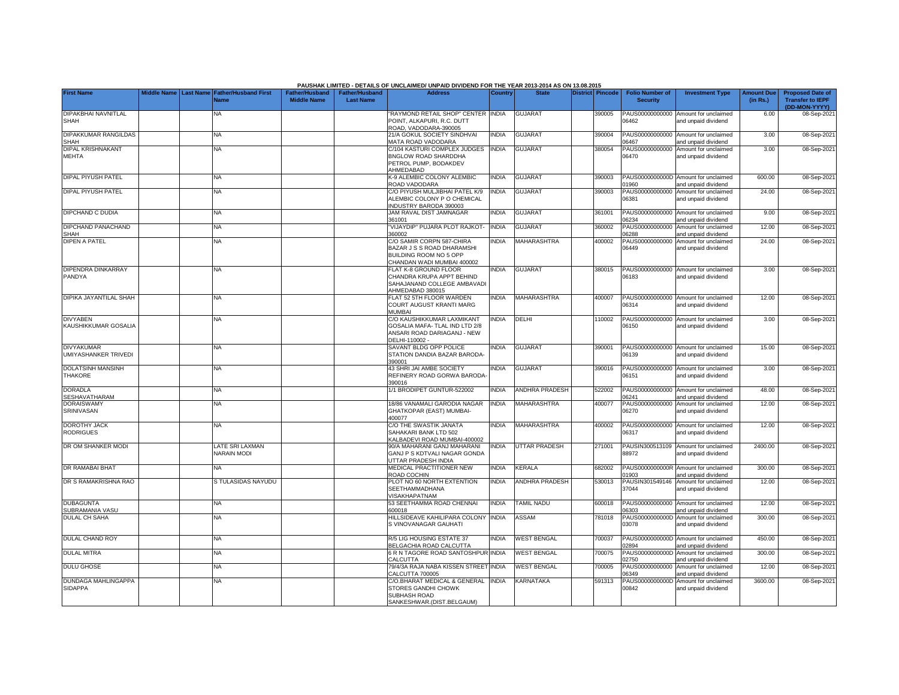|                                                  |                         |                                            |                                      |                                           | PAUSHAK LIMITED - DETAILS OF UNCLAIMED/ UNPAID DIVIDEND FOR THE YEAR 2013-2014 AS ON 13.08.2015                |                              |                                 |                  |                                           |                                                             |                               |                                                                     |
|--------------------------------------------------|-------------------------|--------------------------------------------|--------------------------------------|-------------------------------------------|----------------------------------------------------------------------------------------------------------------|------------------------------|---------------------------------|------------------|-------------------------------------------|-------------------------------------------------------------|-------------------------------|---------------------------------------------------------------------|
| <b>First Name</b>                                | Middle Name   Last Name | <b>Father/Husband First</b><br><b>Name</b> | Father/Husband<br><b>Middle Name</b> | <b>Father/Husband</b><br><b>Last Name</b> | <b>Address</b>                                                                                                 | Country                      | <b>State</b>                    | District Pincode | <b>Folio Number of</b><br><b>Security</b> | <b>Investment Type</b>                                      | <b>Amount Due</b><br>(in Rs.) | <b>Proposed Date of</b><br><b>Transfer to IEPF</b><br>(DD-MON-YYYY) |
|                                                  |                         |                                            |                                      |                                           |                                                                                                                |                              |                                 |                  |                                           |                                                             |                               |                                                                     |
| DIPAKBHAI NAVNITLAL<br><b>SHAH</b>               |                         | ΝA                                         |                                      |                                           | RAYMOND RETAIL SHOP" CENTER INDIA<br>POINT, ALKAPURI, R.C. DUTT<br>ROAD, VADODARA-390005                       |                              | <b>GUJARAT</b>                  | 390005           | 06462                                     | PAUS00000000000 Amount for unclaimed<br>and unpaid dividend | 6.00                          | 08-Sep-2021                                                         |
| DIPAKKUMAR RANGILDAS<br>SHAH                     |                         | <b>NA</b>                                  |                                      |                                           | 21/A GOKUL SOCIETY SINDHVAI<br><b>MATA ROAD VADODARA</b>                                                       | <b>INDIA</b>                 | <b>GUJARAT</b>                  | 390004           | PAUS00000000000<br>6467                   | Amount for unclaimed<br>bnebivib biegnu bne                 | 3.00                          | 08-Sep-202                                                          |
| DIPAL KRISHNAKANT<br>MEHTA                       |                         | <b>NA</b>                                  |                                      |                                           | C/104 KASTURI COMPLEX JUDGES<br>BNGLOW ROAD SHARDDHA<br>PETROL PUMP, BODAKDEV<br>AHMEDABAD                     | <b>INDIA</b>                 | <b>GUJARAT</b>                  | 380054           | PAUS00000000000<br>06470                  | Amount for unclaimed<br>and unpaid dividend                 | 3.00                          | 08-Sep-202                                                          |
| <b>DIPAL PIYUSH PATEL</b>                        |                         | <b>NA</b>                                  |                                      |                                           | <b>&lt;- 9 ALEMBIC COLONY ALEMBIC</b><br>ROAD VADODARA                                                         | <b>INDIA</b>                 | <b>GUJARAT</b>                  | 390003           | 01960                                     | PAUS0000000000D Amount for unclaimed<br>and unpaid dividend | 600.00                        | 08-Sep-202                                                          |
| <b>DIPAL PIYUSH PATEL</b>                        |                         | <b>NA</b>                                  |                                      |                                           | C/O PIYUSH MULJIBHAI PATEL K/9<br>ALEMBIC COLONY P O CHEMICAL<br>NDUSTRY BARODA 390003                         | <b>INDIA</b>                 | <b>GUJARAT</b>                  | 390003           | 06381                                     | PAUS00000000000 Amount for unclaimed<br>and unpaid dividend | 24.00                         | 08-Sep-202                                                          |
| <b>DIPCHAND C DUDIA</b>                          |                         | <b>NA</b>                                  |                                      |                                           | JAM RAVAL DIST JAMNAGAR<br>361001                                                                              | <b>NDIA</b>                  | <b>GUJARAT</b>                  | 361001           | 06234                                     | PAUS00000000000 Amount for unclaimed<br>nd unpaid dividend  | 9.00                          | 08-Sep-202                                                          |
| <b>DIPCHAND PANACHAND</b><br><b>SHAH</b>         |                         | <b>NA</b>                                  |                                      |                                           | VIJAYDIP" PUJARA PLOT RAJKOT-<br>360002                                                                        | <b>INDIA</b>                 | <b>GUJARAT</b>                  | 360002           | PAUS00000000000<br>06288                  | Amount for unclaimed<br>and unpaid dividend                 | 12.00                         | 08-Sep-202                                                          |
| <b>DIPEN A PATEL</b>                             |                         | NA                                         |                                      |                                           | C/O SAMIR CORPN 587-CHIRA<br>BAZAR J S S ROAD DHARAMSHI<br>BUILDING ROOM NO 5 OPP<br>HANDAN WADI MUMBAI 400002 | <b>INDIA</b>                 | MAHARASHTRA                     | 400002           | PAUS00000000000<br>06449                  | Amount for unclaimed<br>and unpaid dividend                 | 24.00                         | 08-Sep-202                                                          |
| <b>DIPENDRA DINKARRAY</b><br>PANDYA              |                         | NA                                         |                                      |                                           | <b>ELAT K-8 GROUND FLOOR</b><br>CHANDRA KRUPA APPT BEHIND<br>SAHAJANAND COLLEGE AMBAVADI<br>AHMEDABAD 380015   | <b>NDIA</b>                  | <b>GUJARAT</b>                  | 380015           | PAUS00000000000<br>06183                  | Amount for unclaimed<br>and unpaid dividend                 | 3.00                          | 08-Sep-202                                                          |
| DIPIKA JAYANTILAL SHAH                           |                         | <b>NA</b>                                  |                                      |                                           | FLAT 52 5TH FLOOR WARDEN<br>COURT AUGUST KRANTI MARG<br>MUMBAI                                                 | <b>NDIA</b>                  | <b>MAHARASHTRA</b>              | 400007           | 06314                                     | PAUS00000000000 Amount for unclaimed<br>and unpaid dividend | 12.00                         | 08-Sep-202                                                          |
| <b>DIVYABEN</b><br>KAUSHIKKUMAR GOSALIA          |                         | <b>NA</b>                                  |                                      |                                           | C/O KAUSHIKKUMAR LAXMIKANT<br>GOSALIA MAFA-TLAL IND LTD 2/8<br>ANSARI ROAD DARIAGANJ - NEW<br>DELHI-110002 -   | <b>INDIA</b>                 | DELHI                           | 110002           | 06150                                     | PAUS00000000000 Amount for unclaimed<br>and unpaid dividend | 3.00                          | 08-Sep-202                                                          |
| <b>DIVYAKUMAR</b><br><b>UMIYASHANKER TRIVEDI</b> |                         | <b>NA</b>                                  |                                      |                                           | SAVANT BLDG OPP POLICE<br>STATION DANDIA BAZAR BARODA-<br>100023                                               | <b>NDIA</b>                  | <b>GUJARAT</b>                  | 390001           | PAUS00000000000<br>06139                  | Amount for unclaimed<br>and unpaid dividend                 | 15.00                         | 08-Sep-202                                                          |
| <b>DOLATSINH MANSINH</b><br>THAKORE              |                         | NA                                         |                                      |                                           | <b>43 SHRI JAI AMBE SOCIETY</b><br>REFINERY ROAD GORWA BARODA<br>390016                                        | <b>NDIA</b>                  | <b>GUJARAT</b>                  | 390016           | PAUS00000000000<br>06151                  | Amount for unclaimed<br>and unpaid dividend                 | 3.00                          | 08-Sep-202                                                          |
| <b>DORADLA</b><br>SESHAVATHARAM                  |                         | <b>NA</b>                                  |                                      |                                           | 1/1 BRODIPET GUNTUR-522002                                                                                     | <b>INDIA</b>                 | <b>ANDHRA PRADESH</b>           | 522002           | 6241                                      | PAUS00000000000 Amount for unclaimed<br>nd unpaid dividend  | 48.00                         | 08-Sep-202                                                          |
| <b>DORAISWAMY</b><br>SRINIVASAN                  |                         | <b>NA</b>                                  |                                      |                                           | 18/86 VANAMALI GARODIA NAGAR<br>GHATKOPAR (EAST) MUMBAI-<br>100077                                             | <b>INDIA</b>                 | MAHARASHTRA                     | 400077           | PAUS00000000000<br>6270                   | Amount for unclaimed<br>and unpaid dividend                 | 12.00                         | 08-Sep-202                                                          |
| <b>DOROTHY JACK</b><br><b>RODRIGUES</b>          |                         | ΝA                                         |                                      |                                           | C/O THE SWASTIK JANATA<br>SAHAKARI BANK LTD 502<br>ALBADEVI ROAD MUMBAI-400002                                 | <b>INDIA</b>                 | MAHARASHTRA                     | 400002           | 06317                                     | PAUS00000000000 Amount for unclaimed<br>and unpaid dividend | 12.00                         | 08-Sep-202                                                          |
| DR OM SHANKER MODI                               |                         | LATE SRI LAXMAN<br><b>NARAIN MODI</b>      |                                      |                                           | 90/A MAHARANI GANJ MAHARANI<br>GANJ P S KDTVALI NAGAR GONDA<br><b>JTTAR PRADESH INDIA</b>                      | <b>NDIA</b>                  | <b>UTTAR PRADESH</b>            | 271001           | 88972                                     | PAUSIN300513109 Amount for unclaimed<br>and unpaid dividend | 2400.00                       | 08-Sep-202                                                          |
| DR RAMABAI BHAT                                  |                         | NA                                         |                                      |                                           | <b>MEDICAL PRACTITIONER NEW</b><br>ROAD COCHIN                                                                 | <b>NDIA</b>                  | KERALA                          | 682002           | PAUS0000000000R<br>1903                   | Amount for unclaimed<br>and unpaid dividend                 | 300.00                        | 08-Sep-202                                                          |
| DR S RAMAKRISHNA RAO                             |                         | S TULASIDAS NAYUDU                         |                                      |                                           | PLOT NO 60 NORTH EXTENTION<br>SEETHAMMADHANA<br><b>/ISAKHAPATNAM</b>                                           | <b>INDIA</b>                 | <b>ANDHRA PRADESH</b>           | 530013           | PAUSIN301549146<br>37044                  | Amount for unclaimed<br>and unpaid dividend                 | 12.00                         | 08-Sep-2021                                                         |
| <b>DUBAGUNTA</b><br>SUBRAMANIA VASU              |                         | <b>NA</b>                                  |                                      |                                           | 53 SEETHAMMA ROAD CHENNAI<br>600018                                                                            | <b>INDIA</b>                 | <b>TAMIL NADU</b>               | 600018           | 6303                                      | PAUS00000000000 Amount for unclaimed<br>and unpaid dividend | 12.00                         | 08-Sep-202                                                          |
| <b>DULAL CH SAHA</b>                             |                         | <b>NA</b>                                  |                                      |                                           | <b>HILLSIDEAVE KAHILIPARA COLONY</b><br>S VINOVANAGAR GAUHATI                                                  | <b>INDIA</b>                 | ASSAM                           | 781018           | PAUS0000000000D<br>03078                  | Amount for unclaimed<br>and unpaid dividend                 | 300.00                        | 08-Sep-202                                                          |
| <b>DULAL CHAND ROY</b>                           |                         | NA                                         |                                      |                                           | <b>37 LIG HOUSING ESTATE 37</b><br><b>BELGACHIA ROAD CALCUTTA</b>                                              | <b>INDIA</b>                 | <b>WEST BENGAL</b>              | 700037           | 2894                                      | PAUS0000000000D Amount for unclaimed<br>and unpaid dividend | 450.00                        | 08-Sep-202                                                          |
| <b>DULAL MITRA</b>                               |                         | <b>NA</b>                                  |                                      |                                           | <b>BRIN TAGORE ROAD SANTOSHPUR INDIA</b><br>CALCUTTA                                                           |                              | <b>WEST BENGAL</b>              | 700075           | PAUS0000000000D<br>2750                   | Amount for unclaimed<br>and unpaid dividend                 | 300.00                        | 08-Sep-202                                                          |
| <b>DULU GHOSE</b><br><b>DUNDAGA MAHLINGAPPA</b>  |                         | NA                                         |                                      |                                           | 79/4/3A RAJA NABA KISSEN STREET<br>CALCUTTA 700005<br>C/O.BHARAT MEDICAL & GENERAL                             | <b>INDIA</b><br><b>INDIA</b> | <b>WEST BENGAL</b><br>KARNATAKA | 700005           | PAUS00000000000<br>06349                  | Amount for unclaimed<br>and unpaid dividend                 | 12.00<br>3600.00              | 08-Sep-202                                                          |
| <b>SIDAPPA</b>                                   |                         | <b>NA</b>                                  |                                      |                                           | STORES GANDHI CHOWK<br><b>SUBHASH ROAD</b><br>SANKESHWAR.(DIST.BELGAUM)                                        |                              |                                 | 591313           | PAUS0000000000D<br>00842                  | Amount for unclaimed<br>and unpaid dividend                 |                               | 08-Sep-202                                                          |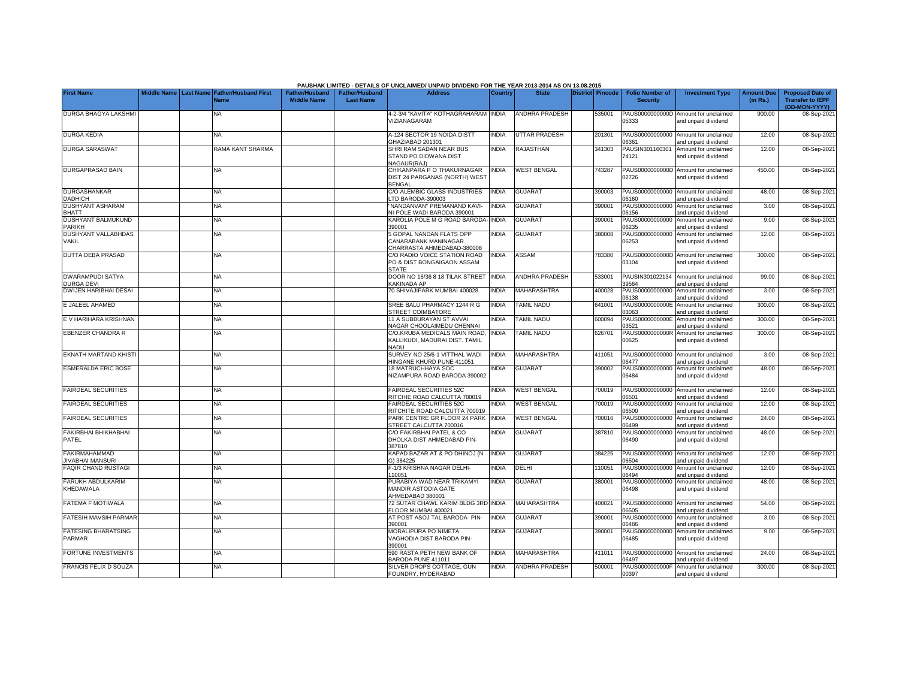|                                                 |             |                  |                                            |                                             |                                           | PAUSHAK LIMITED - DETAILS OF UNCLAIMED/ UNPAID DIVIDEND FOR THE YEAR 2013-2014 AS ON 13.08.2015 |              |                       |                  |                                           |                                                             |                               |                                                                     |
|-------------------------------------------------|-------------|------------------|--------------------------------------------|---------------------------------------------|-------------------------------------------|-------------------------------------------------------------------------------------------------|--------------|-----------------------|------------------|-------------------------------------------|-------------------------------------------------------------|-------------------------------|---------------------------------------------------------------------|
| <b>First Name</b>                               | Middle Name | <b>Last Name</b> | <b>Father/Husband First</b><br><b>Name</b> | <b>Father/Husband</b><br><b>Middle Name</b> | <b>Father/Husband</b><br><b>Last Name</b> | <b>Address</b>                                                                                  | Country      | <b>State</b>          | District Pincode | <b>Folio Number of</b><br><b>Security</b> | <b>Investment Type</b>                                      | <b>Amount Due</b><br>(in Rs.) | <b>Proposed Date of</b><br><b>Transfer to IEPF</b><br>(DD-MON-YYYY) |
| <b>DURGA BHAGYA LAKSHMI</b>                     |             |                  | NΑ                                         |                                             |                                           | 4-2-3/4 "KAVITA" KOTHAGRAHARAM INDIA<br>VIZIANAGARAM                                            |              | ANDHRA PRADESH        | 535001           | PAUS0000000000D<br>05333                  | Amount for unclaimed<br>and unpaid dividend                 | 900.00                        | 08-Sep-2021                                                         |
| <b>DURGA KEDIA</b>                              |             |                  | <b>NA</b>                                  |                                             |                                           | A-124 SECTOR 19 NOIDA DISTT<br>GHAZIABAD 201301                                                 | <b>INDIA</b> | <b>UTTAR PRADESH</b>  | 201301           | PAUS00000000000<br>06361                  | Amount for unclaimed<br>nd unpaid dividend                  | 12.00                         | 08-Sep-2021                                                         |
| <b>DURGA SARASWAT</b>                           |             |                  | RAMA KANT SHARMA                           |                                             |                                           | SHRI RAM SADAN NEAR BUS<br>STAND PO DIDWANA DIST<br>NAGAUR(RAJ)                                 | <b>INDIA</b> | <b>RAJASTHAN</b>      | 341303           | PAUSIN301160301<br>74121                  | Amount for unclaimed<br>and unpaid dividend                 | 12.00                         | 08-Sep-2021                                                         |
| DURGAPRASAD BAIN                                |             |                  | <b>NA</b>                                  |                                             |                                           | CHIKANPARA P O THAKURNAGAR<br>DIST 24 PARGANAS (NORTH) WEST<br>BENGAL                           | <b>INDIA</b> | <b>WEST BENGAL</b>    | 743287           | 02726                                     | PAUS0000000000D Amount for unclaimed<br>and unpaid dividend | 450.00                        | 08-Sep-2021                                                         |
| <b>DURGASHANKAR</b><br><b>DADHICH</b>           |             |                  | <b>NA</b>                                  |                                             |                                           | C/O ALEMBIC GLASS INDUSTRIES<br>TD BARODA-390003                                                | INDIA        | <b>GUJARAT</b>        | 390003           | PAUS00000000000<br>06160                  | Amount for unclaimed<br>and unpaid dividend                 | 48.00                         | 08-Sep-2021                                                         |
| <b>DUSHYANT ASHARAM</b><br><b>BHATT</b>         |             |                  | NA                                         |                                             |                                           | "NANDANVAN" PREMANAND KAVI-<br>NI-POLE WADI BARODA 390001                                       | <b>INDIA</b> | <b>GUJARAT</b>        | 390001           | PAUS00000000000<br>06156                  | Amount for unclaimed<br>and unpaid dividend                 | 3.00                          | 08-Sep-2021                                                         |
| DUSHYANT BALMUKUND<br><b>PARIKH</b>             |             |                  | <b>NA</b>                                  |                                             |                                           | KAROLIA POLE M G ROAD BARODA- INDIA<br>390001                                                   |              | <b>GUJARAT</b>        | 39000            | PAUS00000000000<br>06235                  | Amount for unclaimed<br>and unpaid dividend                 | 9.00                          | 08-Sep-2021                                                         |
| <b>DUSHYANT VALLABHDAS</b><br><b>VAKIL</b>      |             |                  | NA                                         |                                             |                                           | 5 GOPAL NANDAN FLATS OPP<br>CANARABANK MANINAGAR<br>CHARRASTA AHMEDABAD-380008                  | <b>INDIA</b> | <b>GUJARAT</b>        | 380008           | PAUS00000000000<br>06253                  | Amount for unclaimed<br>and unpaid dividend                 | 12.00                         | 08-Sep-2021                                                         |
| <b>DUTTA DEBA PRASAD</b>                        |             |                  | NA                                         |                                             |                                           | C/O RADIO VOICE STATION ROAD<br>PO & DIST BONGAIGAON ASSAM<br><b>STATE</b>                      | <b>NDIA</b>  | <b>ASSAM</b>          | 783380           | 03104                                     | PAUS0000000000D Amount for unclaimed<br>and unpaid dividend | 300.00                        | 08-Sep-2021                                                         |
| <b>DWARAMPUDI SATYA</b><br>DURGA DEVI           |             |                  | <b>NA</b>                                  |                                             |                                           | DOOR NO 16/36 8 18 TILAK STREET<br>KAKINADA AP                                                  | <b>INDIA</b> | <b>ANDHRA PRADESH</b> | 533001           | PAUSIN301022134<br>39564                  | Amount for unclaimed<br>and unpaid dividend                 | 99.00                         | 08-Sep-2021                                                         |
| <b>DWIJEN HARIBHAI DESAI</b>                    |             |                  | <b>NA</b>                                  |                                             |                                           | 70 SHIVAJIPARK MUMBAI 400028                                                                    | <b>NDIA</b>  | <b>MAHARASHTRA</b>    | 400028           | PAUS00000000000<br>06138                  | Amount for unclaimed<br>and unpaid dividend                 | 3.00                          | 08-Sep-2021                                                         |
| E JALEEL AHAMED                                 |             |                  | <b>NA</b>                                  |                                             |                                           | SREE BALU PHARMACY 1244 R G<br><b>STREET COIMBATORE</b>                                         | <b>INDIA</b> | <b>TAMIL NADU</b>     | 641001           | PAUS0000000000E<br>03063                  | Amount for unclaimed<br>and unpaid dividend                 | 300.00                        | 08-Sep-2021                                                         |
| E V HARIHARA KRISHNAN                           |             |                  | <b>NA</b>                                  |                                             |                                           | 11 A SUBBURAYAN ST AVVAI<br>NAGAR CHOOLAIMEDU CHENNAI                                           | INDIA        | <b>TAMIL NADU</b>     | 600094           | PAUS0000000000E<br>03521                  | Amount for unclaimed<br>and unpaid dividend                 | 300.00                        | 08-Sep-2021                                                         |
| EBENZER CHANDRA R                               |             |                  | <b>NA</b>                                  |                                             |                                           | C/O.KRUBA MEDICALS MAIN ROAD,<br>KALLIKUDI, MADURAI DIST. TAMIL<br>NADU                         | <b>INDIA</b> | <b>TAMIL NADU</b>     | 626701           | PAUS0000000000R<br>00625                  | Amount for unclaimed<br>and unpaid dividend                 | 300.00                        | 08-Sep-2021                                                         |
| EKNATH MARTAND KHISTI                           |             |                  | NA                                         |                                             |                                           | SURVEY NO 25/6-1 VITTHAL WADI<br>HINGANE KHURD PUNE 411051                                      | <b>NDIA</b>  | <b>MAHARASHTRA</b>    | 411051           | PAUS00000000000<br>06477                  | Amount for unclaimed<br>and unpaid dividend                 | 3.00                          | 08-Sep-2021                                                         |
| <b>ESMERALDA ERIC BOSE</b>                      |             |                  | NA                                         |                                             |                                           | <b>18 MATRUCHHAYA SOC</b><br>NIZAMPURA ROAD BARODA 390002                                       | <b>NDIA</b>  | <b>GUJARAT</b>        | 390002           | PAUS00000000000<br>06484                  | Amount for unclaimed<br>and unpaid dividend                 | 48.00                         | 08-Sep-2021                                                         |
| <b>FAIRDEAL SECURITIES</b>                      |             |                  | <b>NA</b>                                  |                                             |                                           | FAIRDEAL SECURITIES 52C<br>RITCHIE ROAD CALCUTTA 700019                                         | <b>NDIA</b>  | <b>WEST BENGAL</b>    | 700019           | PAUS00000000000<br>06501                  | Amount for unclaimed<br>and unpaid dividend                 | 12.00                         | 08-Sep-2021                                                         |
| <b>FAIRDEAL SECURITIES</b>                      |             |                  | <b>NA</b>                                  |                                             |                                           | FAIRDEAL SECURITIES 52C<br>RITCHITE ROAD CALCUTTA 700019                                        | INDIA        | <b>WEST BENGAL</b>    | 700019           | PAUS00000000000<br>06500                  | Amount for unclaimed<br>and unpaid dividend                 | 12.00                         | 08-Sep-2021                                                         |
| <b>FAIRDEAL SECURITIES</b>                      |             |                  | NA                                         |                                             |                                           | PARK CENTRE GR FLOOR 24 PARK<br>STREET CALCUTTA 700016                                          | <b>INDIA</b> | <b>WEST BENGAL</b>    | 700016           | PAUS00000000000<br>06499                  | Amount for unclaimed<br>and unpaid dividend                 | 24.00                         | 08-Sep-2021                                                         |
| FAKIRBHAI BHIKHABHAI<br>PATEL                   |             |                  | <b>NA</b>                                  |                                             |                                           | C/O FAKIRBHAI PATEL & CO<br>DHOLKA DIST AHMEDABAD PIN-<br>387810                                | <b>INDIA</b> | <b>GUJARAT</b>        | 387810           | PAUS00000000000<br>06490                  | Amount for unclaimed<br>and unpaid dividend                 | 48.00                         | 08-Sep-2021                                                         |
| <b>FAKIRMAHAMMAD</b><br><b>JIVABHAI MANSURI</b> |             |                  | <b>NA</b>                                  |                                             |                                           | KAPAD BAZAR AT & PO DHINOJ (N<br>G) 384225                                                      | <b>INDIA</b> | <b>GUJARAT</b>        | 384225           | 06504                                     | PAUS00000000000 Amount for unclaimed<br>and unpaid dividend | 12.00                         | 08-Sep-2021                                                         |
| <b>FAQIR CHAND RUSTAGI</b>                      |             |                  | NA                                         |                                             |                                           | -- 1/3 KRISHNA NAGAR DELHI-<br>110051                                                           | <b>NDIA</b>  | DELHI                 | 10051            | PAUS00000000000<br>06494                  | Amount for unclaimed<br>and unpaid dividend                 | 12.00                         | 08-Sep-2021                                                         |
| FARUKH ABDULKARIM<br>KHEDAWALA                  |             |                  | <b>NA</b>                                  |                                             |                                           | PURABIYA WAD NEAR TRIKAMYI<br>MANDIR ASTODIA GATE<br>AHMEDABAD 380001                           | <b>INDIA</b> | <b>GUJARAT</b>        | 380001           | PAUS00000000000<br>06498                  | Amount for unclaimed<br>and unpaid dividend                 | 48.00                         | 08-Sep-2021                                                         |
| <b>FATEMA F MOTIWALA</b>                        |             |                  | <b>NA</b>                                  |                                             |                                           | 72 SUTAR CHAWL KARIM BLDG 3RD INDIA<br>FLOOR MUMBAI 400021                                      |              | <b>MAHARASHTRA</b>    | 400021           | PAUS00000000000<br>06505                  | Amount for unclaimed<br>and unpaid dividend                 | 54.00                         | 08-Sep-2021                                                         |
| <b>FATESIH MAVSIH PARMAR</b>                    |             |                  | <b>NA</b>                                  |                                             |                                           | AT POST ASOJ TAL BARODA- PIN-<br>390001                                                         | <b>INDIA</b> | <b>GUJARAT</b>        | 390001           | PAUS00000000000<br>06486                  | Amount for unclaimed<br>and unpaid dividend                 | 3.00                          | 08-Sep-2021                                                         |
| <b>FATESING BHARATSING</b><br>PARMAR            |             |                  | <b>NA</b>                                  |                                             |                                           | <b>MORALIPURA PO NIMETA</b><br>VAGHODIA DIST BARODA PIN-<br>390001                              | <b>INDIA</b> | <b>GUJARAT</b>        | 390001           | PAUS00000000000<br>06485                  | Amount for unclaimed<br>and unpaid dividend                 | 9.00                          | 08-Sep-2021                                                         |
| <b>FORTUNE INVESTMENTS</b>                      |             |                  | <b>NA</b>                                  |                                             |                                           | 590 RASTA PETH NEW BANK OF<br>BARODA PUNE 411011                                                | <b>INDIA</b> | <b>MAHARASHTRA</b>    | 411011           | 06497                                     | PAUS00000000000 Amount for unclaimed<br>and unpaid dividend | 24.00                         | 08-Sep-2021                                                         |
| <b>FRANCIS FELIX D SOUZA</b>                    |             |                  | NA                                         |                                             |                                           | SILVER DROPS COTTAGE, GUN<br>FOUNDRY, HYDERABAD                                                 | <b>INDIA</b> | ANDHRA PRADESH        | 500001           | PAUS0000000000F<br>00397                  | Amount for unclaimed<br>and unpaid dividend                 | 300.00                        | 08-Sep-2021                                                         |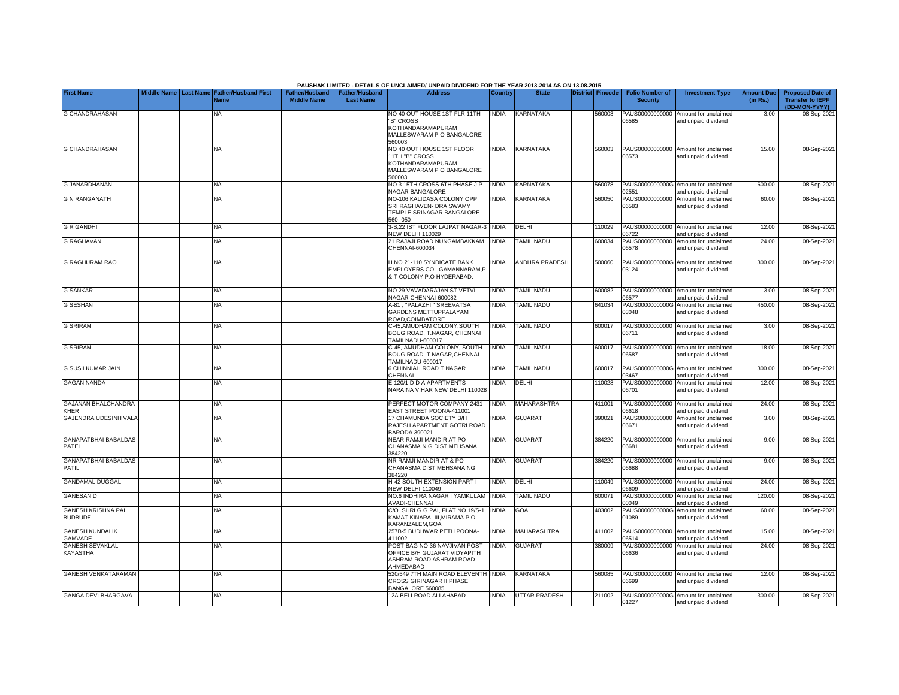|                                             |                    |                                                      |                                             |                                           | PAUSHAK LIMITED - DETAILS OF UNCLAIMED/ UNPAID DIVIDEND FOR THE YEAR 2013-2014 AS ON 13.08.2015             |                |                      |                  |                                           |                                                             |                               |                                                                     |
|---------------------------------------------|--------------------|------------------------------------------------------|---------------------------------------------|-------------------------------------------|-------------------------------------------------------------------------------------------------------------|----------------|----------------------|------------------|-------------------------------------------|-------------------------------------------------------------|-------------------------------|---------------------------------------------------------------------|
| <b>First Name</b>                           | <b>Middle Name</b> | <b>Last Name Father/Husband First</b><br><b>Name</b> | <b>Father/Husband</b><br><b>Middle Name</b> | <b>Father/Husband</b><br><b>Last Name</b> | <b>Address</b>                                                                                              | <b>Country</b> | <b>State</b>         | District Pincode | <b>Folio Number of</b><br><b>Security</b> | <b>Investment Type</b>                                      | <b>Amount Due</b><br>(in Rs.) | <b>Proposed Date of</b><br><b>Transfer to IEPF</b><br>(DD-MON-YYYY) |
| G CHANDRAHASAN                              |                    | <b>NA</b>                                            |                                             |                                           | NO 40 OUT HOUSE 1ST FLR 11TH<br>'B" CROSS<br>KOTHANDARAMAPURAM<br>MALLESWARAM P O BANGALORE<br><b>E0003</b> | INDIA          | KARNATAKA            | 560003           | PAUS00000000000<br>06585                  | Amount for unclaimed<br>and unpaid dividend                 | 3.00                          | 08-Sep-202                                                          |
| <b>G CHANDRAHASAN</b>                       |                    | <b>NA</b>                                            |                                             |                                           | NO 40 OUT HOUSE 1ST FLOOR<br>11TH "B" CROSS<br>KOTHANDARAMAPURAM<br>MALLESWARAM P O BANGALORE<br>560003     | <b>NDIA</b>    | KARNATAKA            | 560003           | PAUS00000000000<br>06573                  | Amount for unclaimed<br>and unpaid dividend                 | 15.00                         | 08-Sep-202                                                          |
| <b>G JANARDHANAN</b>                        |                    | ΝA                                                   |                                             |                                           | NO 3 15TH CROSS 6TH PHASE J P<br><b>NAGAR BANGALORE</b>                                                     | <b>NDIA</b>    | KARNATAKA            | 560078           | 2551                                      | PAUS0000000000G Amount for unclaimed<br>and unpaid dividend | 600.00                        | 08-Sep-202                                                          |
| <b>G N RANGANATH</b>                        |                    | NA                                                   |                                             |                                           | NO-106 KALIDASA COLONY OPP<br>SRI RAGHAVEN- DRA SWAMY<br>TEMPLE SRINAGAR BANGALORE-<br>560-050-             | <b>NDIA</b>    | KARNATAKA            | 560050           | PAUS00000000000<br>06583                  | Amount for unclaimed<br>and unpaid dividend                 | 60.00                         | 08-Sep-202                                                          |
| <b>G R GANDHI</b>                           |                    | <b>NA</b>                                            |                                             |                                           | 3-B,22 IST FLOOR LAJPAT NAGAR-3<br><b>NEW DELHI 110029</b>                                                  | <b>INDIA</b>   | <b>DELHI</b>         | 10029            | PAUS00000000000<br>06722                  | Amount for unclaimed<br>and unpaid dividend                 | 12.00                         | 08-Sep-202                                                          |
| <b>G RAGHAVAN</b>                           |                    | NA                                                   |                                             |                                           | 21 RAJAJI ROAD NUNGAMBAKKAM<br>CHENNAI-600034                                                               | <b>INDIA</b>   | <b>TAMIL NADU</b>    | 600034           | PAUS00000000000<br>06578                  | Amount for unclaimed<br>and unpaid dividend                 | 24.00                         | 08-Sep-202                                                          |
| <b>G RAGHURAM RAO</b>                       |                    | NA                                                   |                                             |                                           | H.NO 21-110 SYNDICATE BANK<br>EMPLOYERS COL GAMANNARAM,P<br>& T COLONY P.O HYDERABAD.                       | <b>NDIA</b>    | ANDHRA PRADESH       | 500060           | 03124                                     | PAUS0000000000G Amount for unclaimed<br>and unpaid dividend | 300.00                        | 08-Sep-202                                                          |
| <b>G SANKAR</b>                             |                    | NA                                                   |                                             |                                           | NO 29 VAVADARAJAN ST VETVI<br>NAGAR CHENNAI-600082                                                          | <b>INDIA</b>   | <b>TAMIL NADU</b>    | 600082           | 06577                                     | PAUS00000000000 Amount for unclaimed<br>and unpaid dividend | 3.00                          | 08-Sep-202                                                          |
| <b>G SESHAN</b>                             |                    | <b>NA</b>                                            |                                             |                                           | 4-81, "PALAZHI " SREEVATSA<br>GARDENS METTUPPALAYAM<br>ROAD.COIMBATORE                                      | <b>INDIA</b>   | TAMIL NADU           | 641034           | 03048                                     | PAUS0000000000G Amount for unclaimed<br>and unpaid dividend | 450.00                        | 08-Sep-2021                                                         |
| <b>G SRIRAM</b>                             |                    | <b>NA</b>                                            |                                             |                                           | C-45,AMUDHAM COLONY,SOUTH<br>BOUG ROAD, T.NAGAR, CHENNAI<br>TAMILNADU-600017                                | <b>NDIA</b>    | TAMIL NADU           | 600017           | 06711                                     | PAUS00000000000 Amount for unclaimed<br>and unpaid dividend | 3.00                          | 08-Sep-202                                                          |
| <b>G SRIRAM</b>                             |                    | <b>NA</b>                                            |                                             |                                           | C-45, AMUDHAM COLONY, SOUTH<br>BOUG ROAD, T.NAGAR, CHENNAI<br>TAMILNADU-600017                              | <b>NDIA</b>    | <b>TAMIL NADU</b>    | 600017           | 06587                                     | PAUS00000000000 Amount for unclaimed<br>and unpaid dividend | 18.00                         | 08-Sep-202                                                          |
| <b>G SUSILKUMAR JAIN</b>                    |                    | <b>NA</b>                                            |                                             |                                           | <b>6 CHINNIAH ROAD T NAGAR</b><br>CHENNAI                                                                   | <b>NDIA</b>    | <b>TAMIL NADU</b>    | 600017           | 3467                                      | PAUS0000000000G Amount for unclaimed<br>and unpaid dividend | 300.00                        | 08-Sep-202                                                          |
| <b>GAGAN NANDA</b>                          |                    | <b>NA</b>                                            |                                             |                                           | E-120/1 D D A APARTMENTS<br>NARAINA VIHAR NEW DELHI 110028                                                  | <b>NDIA</b>    | DELHI                | 110028           | 06701                                     | PAUS00000000000 Amount for unclaimed<br>and unpaid dividend | 12.00                         | 08-Sep-202                                                          |
| <b>GAJANAN BHALCHANDRA</b><br><b>KHER</b>   |                    | <b>NA</b>                                            |                                             |                                           | PERFECT MOTOR COMPANY 2431<br>EAST STREET POONA-411001                                                      | <b>INDIA</b>   | MAHARASHTRA          | 411001           | 06618                                     | PAUS00000000000 Amount for unclaimed<br>and unpaid dividend | 24.00                         | 08-Sep-202                                                          |
| GAJENDRA UDESINH VALA                       |                    | <b>NA</b>                                            |                                             |                                           | 17 CHAMUNDA SOCIETY B/H<br>RAJESH APARTMENT GOTRI ROAD<br><b>BARODA 390021</b>                              | NDIA           | GUJARAT              | 390021           | PAUS00000000000<br>06671                  | Amount for unclaimed<br>and unpaid dividend                 | 3.00                          | 08-Sep-202                                                          |
| <b>GANAPATBHAI BABALDAS</b><br>PATEL        |                    | <b>NA</b>                                            |                                             |                                           | NEAR RAMJI MANDIR AT PO<br>CHANASMA N G DIST MEHSANA<br>384220                                              | <b>NDIA</b>    | <b>GUJARAT</b>       | 384220           | 06681                                     | PAUS00000000000 Amount for unclaimed<br>and unpaid dividend | 9.00                          | 08-Sep-2021                                                         |
| <b>GANAPATBHAI BABALDAS</b><br>PATIL        |                    | <b>NA</b>                                            |                                             |                                           | NR RAMJI MANDIR AT & PO<br>CHANASMA DIST MEHSANA NG<br>384220                                               | NDIA           | <b>GUJARAT</b>       | 384220           | PAUS00000000000<br>88660                  | Amount for unclaimed<br>and unpaid dividend                 | 9.00                          | 08-Sep-202                                                          |
| <b>GANDAMAL DUGGAL</b>                      |                    | <b>NA</b>                                            |                                             |                                           | H-42 SOUTH EXTENSION PART I<br><b>NEW DELHI-110049</b>                                                      | <b>NDIA</b>    | DELHI                | 10049            | PAUS00000000000<br>16609                  | Amount for unclaimed<br>and unpaid dividend                 | 24.00                         | 08-Sep-202                                                          |
| <b>GANESAN D</b>                            |                    | <b>NA</b>                                            |                                             |                                           | NO.6 INDHIRA NAGAR I YAMKULAM<br><b>AVADI-CHENNAI</b>                                                       | <b>NDIA</b>    | <b>TAMIL NADU</b>    | 600071           | PAUS0000000000D<br>00049                  | Amount for unclaimed<br>and unpaid dividend                 | 120.00                        | 08-Sep-202                                                          |
| <b>GANESH KRISHNA PAI</b><br><b>BUDBUDE</b> |                    | <b>NA</b>                                            |                                             |                                           | C/O. SHRI.G.G.PAI, FLAT NO.19/S-1<br>KAMAT KINARA -III, MIRAMA P.O,<br>KARANZALEM.GOA                       | <b>NDIA</b>    | GOA                  | 403002           | PAUS0000000000G<br>01089                  | Amount for unclaimed<br>and unpaid dividend                 | 60.00                         | 08-Sep-202                                                          |
| <b>GANESH KUNDALIK</b><br><b>GAMVADE</b>    |                    | <b>NA</b>                                            |                                             |                                           | 257B-5 BUDHWAR PETH POONA-<br>411002                                                                        | <b>NDIA</b>    | MAHARASHTRA          | 411002           | PAUS00000000000<br>06514                  | Amount for unclaimed<br>and unpaid dividend                 | 15.00                         | 08-Sep-202                                                          |
| <b>GANESH SEVAKLAL</b><br>KAYASTHA          |                    | NA.                                                  |                                             |                                           | POST BAG NO 36 NAVJIVAN POST<br>OFFICE B/H GUJARAT VIDYAPITH<br>ASHRAM ROAD ASHRAM ROAD<br>AHMEDABAD        | <b>NDIA</b>    | <b>GUJARAT</b>       | 380009           | PAUS00000000000<br>06636                  | Amount for unclaimed<br>and unpaid dividend                 | 24.00                         | 08-Sep-202                                                          |
| <b>GANESH VENKATARAMAN</b>                  |                    | NA                                                   |                                             |                                           | 520/549 7TH MAIN ROAD ELEVENTH INDIA<br>CROSS GIRINAGAR II PHASE<br>BANGALORE 560085                        |                | <b>KARNATAKA</b>     | 560085           | 06699                                     | PAUS00000000000 Amount for unclaimed<br>and unpaid dividend | 12.00                         | 08-Sep-202                                                          |
| <b>GANGA DEVI BHARGAVA</b>                  |                    | <b>NA</b>                                            |                                             |                                           | 12A BELI ROAD ALLAHABAD                                                                                     | <b>NDIA</b>    | <b>UTTAR PRADESH</b> | 211002           | 01227                                     | PAUS0000000000G Amount for unclaimed<br>and unpaid dividend | 300.00                        | 08-Sep-2021                                                         |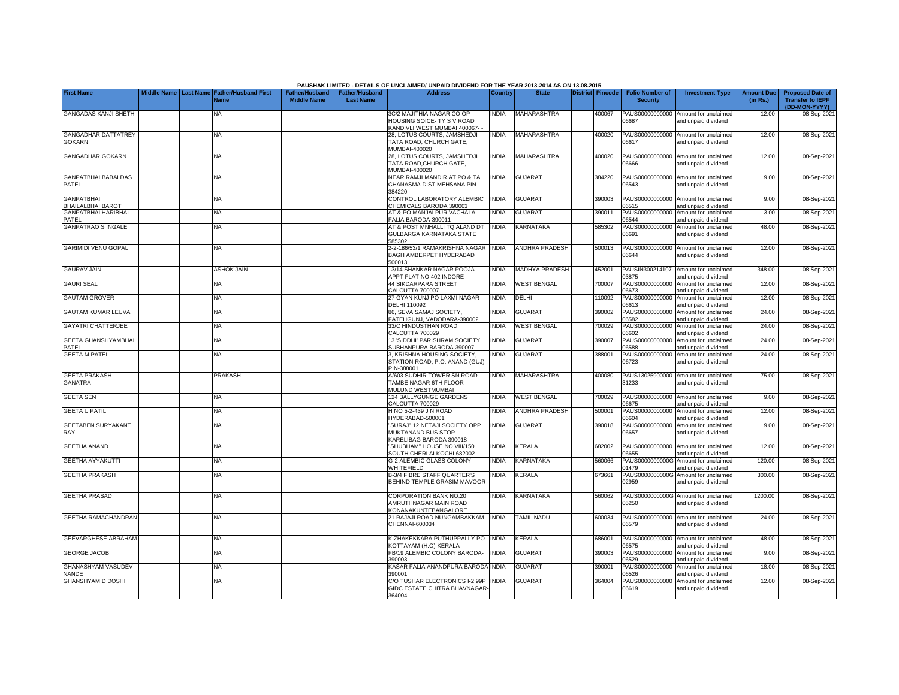|                                             |  |                                                           |                                             |                                           | PAUSHAK LIMITED - DETAILS OF UNCLAIMED/ UNPAID DIVIDEND FOR THE YEAR 2013-2014 AS ON 13.08.2015 |                |                       |                         |                                           |                                                                    |                               |                                                    |
|---------------------------------------------|--|-----------------------------------------------------------|---------------------------------------------|-------------------------------------------|-------------------------------------------------------------------------------------------------|----------------|-----------------------|-------------------------|-------------------------------------------|--------------------------------------------------------------------|-------------------------------|----------------------------------------------------|
| <b>First Name</b>                           |  | Middle Name Last Name Father/Husband First<br><b>Name</b> | <b>Father/Husband</b><br><b>Middle Name</b> | <b>Father/Husband</b><br><b>Last Name</b> | <b>Address</b>                                                                                  | <b>Country</b> | <b>State</b>          | <b>District Pincode</b> | <b>Folio Number of</b><br><b>Security</b> | <b>Investment Type</b>                                             | <b>Amount Due</b><br>(in Rs.) | <b>Proposed Date of</b><br><b>Transfer to IEPF</b> |
| <b>GANGADAS KANJI SHETH</b>                 |  | NA                                                        |                                             |                                           | 3C/2 MAJITHIA NAGAR CO OP<br>HOUSING SOICE- TY S V ROAD<br>KANDIVLI WEST MUMBAI 400067-         | <b>INDIA</b>   | <b>MAHARASHTRA</b>    | 400067                  | PAUS00000000000<br>06687                  | Amount for unclaimed<br>and unpaid dividend                        | 12.00                         | (DD-MON-YYYY)<br>08-Sep-2021                       |
| <b>GANGADHAR DATTATREY</b><br><b>GOKARN</b> |  | NA                                                        |                                             |                                           | 28, LOTUS COURTS, JAMSHEDJI<br>TATA ROAD, CHURCH GATE,<br>MUMBAI-400020                         | <b>INDIA</b>   | <b>MAHARASHTRA</b>    | 400020                  | PAUS00000000000<br>06617                  | Amount for unclaimed<br>and unpaid dividend                        | 12.00                         | 08-Sep-2021                                        |
| GANGADHAR GOKARN                            |  | <b>NA</b>                                                 |                                             |                                           | 28, LOTUS COURTS, JAMSHEDJI<br>TATA ROAD, CHURCH GATE,<br>MUMBAI-400020                         | <b>INDIA</b>   | <b>MAHARASHTRA</b>    | 400020                  | 06666                                     | PAUS00000000000 Amount for unclaimed<br>and unpaid dividend        | 12.00                         | 08-Sep-2021                                        |
| <b>GANPATBHAI BABALDAS</b><br>PATEL         |  | <b>NA</b>                                                 |                                             |                                           | NEAR RAMJI MANDIR AT PO & TA<br>CHANASMA DIST MEHSANA PIN-<br>384220                            | <b>INDIA</b>   | <b>GUJARAT</b>        | 384220                  | 06543                                     | PAUS00000000000 Amount for unclaimed<br>and unpaid dividend        | 9.00                          | 08-Sep-2021                                        |
| <b>GANPATBHAI</b><br>BHAILALBHAI BAROT      |  | <b>NA</b>                                                 |                                             |                                           | CONTROL LABORATORY ALEMBIC<br>CHEMICALS BARODA 390003                                           | <b>INDIA</b>   | <b>GUJARAT</b>        | 390003                  | PAUS00000000000<br>06515                  | Amount for unclaimed<br>and unpaid dividend                        | 9.00                          | 08-Sep-2021                                        |
| <b>GANPATBHAI HARIBHAI</b>                  |  | <b>NA</b>                                                 |                                             |                                           | AT & PO MANJALPUR VACHALA                                                                       | <b>INDIA</b>   | <b>GUJARAT</b>        | 390011                  | PAUS00000000000                           | Amount for unclaimed                                               | 3.00                          | 08-Sep-2021                                        |
| PATEL<br><b>GANPATRAO S INGALE</b>          |  | NΑ                                                        |                                             |                                           | FALIA BARODA-390011<br>AT & POST MNHALLI TQ ALAND DT<br>GULBARGA KARNATAKA STATE<br>585302      | <b>INDIA</b>   | KARNATAKA             | 585302                  | 06544<br>PAUS00000000000<br>06691         | and unpaid dividend<br>Amount for unclaimed<br>and unpaid dividend | 48.00                         | 08-Sep-2021                                        |
| <b>GARIMIDI VENU GOPAL</b>                  |  | <b>NA</b>                                                 |                                             |                                           | 2-2-186/53/1 RAMAKRISHNA NAGAR INDIA<br>BAGH AMBERPET HYDERABAD<br>500013                       |                | <b>ANDHRA PRADESH</b> | 500013                  | PAUS00000000000<br>06644                  | Amount for unclaimed<br>and unpaid dividend                        | 12.00                         | 08-Sep-2021                                        |
| <b>GAURAV JAIN</b>                          |  | <b>ASHOK JAIN</b>                                         |                                             |                                           | 13/14 SHANKAR NAGAR POOJA<br>APPT FLAT NO 402 INDORE                                            | INDIA          | <b>MADHYA PRADESH</b> | 452001                  | PAUSIN300214107<br>03875                  | Amount for unclaimed<br>and unpaid dividend                        | 348.00                        | 08-Sep-2021                                        |
| <b>GAURI SEAL</b>                           |  | <b>NA</b>                                                 |                                             |                                           | <b>44 SIKDARPARA STREET</b><br>CALCUTTA 700007                                                  | <b>INDIA</b>   | <b>WEST BENGAL</b>    | 700007                  | PAUS00000000000<br>06673                  | Amount for unclaimed<br>and unpaid dividend                        | 12.00                         | 08-Sep-2021                                        |
| <b>GAUTAM GROVER</b>                        |  | <b>NA</b>                                                 |                                             |                                           | 27 GYAN KUNJ PO LAXMI NAGAR<br><b>DELHI 110092</b>                                              | <b>INDIA</b>   | DELHI                 | 110092                  | PAUS00000000000<br>06613                  | Amount for unclaimed<br>and unpaid dividend                        | 12.00                         | 08-Sep-2021                                        |
| <b>GAUTAM KUMAR LEUVA</b>                   |  | NΑ                                                        |                                             |                                           | 86, SEVA SAMAJ SOCIETY,<br>FATEHGUNJ, VADODARA-390002                                           | <b>INDIA</b>   | <b>GUJARAT</b>        | 390002                  | PAUS00000000000<br>06582                  | Amount for unclaimed<br>and unpaid dividend                        | 24.00                         | 08-Sep-2021                                        |
| <b>GAYATRI CHATTERJEE</b>                   |  | <b>NA</b>                                                 |                                             |                                           | 33/C HINDUSTHAN ROAD<br>CALCUTTA 700029                                                         | <b>INDIA</b>   | <b>WEST BENGAL</b>    | 700029                  | PAUS00000000000<br>06602                  | Amount for unclaimed<br>and unpaid dividend                        | 24.00                         | 08-Sep-2021                                        |
| GEETA GHANSHYAMBHAI<br>PATEL                |  | NA                                                        |                                             |                                           | 13 'SIDDHI' PARISHRAM SOCIETY<br>SUBHANPURA BARODA-390007                                       | <b>INDIA</b>   | <b>GUJARAT</b>        | 390007                  | PAUS00000000000<br>06588                  | Amount for unclaimed<br>and unpaid dividend                        | 24.00                         | 08-Sep-2021                                        |
| <b>GEETA M PATEL</b>                        |  | NA                                                        |                                             |                                           | 3, KRISHNA HOUSING SOCIETY,<br>STATION ROAD, P.O. ANAND (GUJ)<br>PIN-388001                     | <b>INDIA</b>   | <b>GUJARAT</b>        | 388001                  | PAUS00000000000<br>06723                  | Amount for unclaimed<br>and unpaid dividend                        | 24.00                         | 08-Sep-2021                                        |
| <b>GEETA PRAKASH</b><br><b>GANATRA</b>      |  | <b>PRAKASH</b>                                            |                                             |                                           | A/603 SUDHIR TOWER SN ROAD<br>TAMBE NAGAR 6TH FLOOR<br>MULUND WESTMUMBAI                        | <b>NDIA</b>    | <b>MAHARASHTRA</b>    | 400080                  | PAUS13025900000<br>31233                  | Amount for unclaimed<br>and unpaid dividend                        | 75.00                         | 08-Sep-2021                                        |
| <b>GEETA SEN</b>                            |  | NA                                                        |                                             |                                           | 124 BALLYGUNGE GARDENS<br>CALCUTTA 700029                                                       | <b>INDIA</b>   | <b>WEST BENGAL</b>    | 700029                  | PAUS00000000000<br>06675                  | Amount for unclaimed<br>and unpaid dividend                        | 9.00                          | 08-Sep-2021                                        |
| <b>GEETA U PATIL</b>                        |  | NA                                                        |                                             |                                           | H NO 5-2-439 J N ROAD<br>HYDERABAD-500001                                                       | <b>INDIA</b>   | <b>ANDHRA PRADESH</b> | 500001                  | PAUS00000000000<br>06604                  | Amount for unclaimed<br>and unpaid dividend                        | 12.00                         | 08-Sep-2021                                        |
| <b>GEETABEN SURYAKANT</b><br>RAY            |  | <b>NA</b>                                                 |                                             |                                           | "SURAJ" 12 NETAJI SOCIETY OPP<br>MUKTANAND BUS STOP<br>KARELIBAG BARODA 390018                  | <b>INDIA</b>   | <b>GUJARAT</b>        | 390018                  | PAUS00000000000<br>06657                  | Amount for unclaimed<br>and unpaid dividend                        | 9.00                          | 08-Sep-2021                                        |
| <b>GEETHA ANAND</b>                         |  | <b>NA</b>                                                 |                                             |                                           | 'SHUBHAM" HOUSE NO VIII/150<br>SOUTH CHERLAI KOCHI 682002                                       | <b>INDIA</b>   | <b>KERALA</b>         | 682002                  | PAUS00000000000<br>06655                  | Amount for unclaimed<br>nd unpaid dividend                         | 12.00                         | 08-Sep-2021                                        |
| <b>GEETHA AYYAKUTTI</b>                     |  | <b>NA</b>                                                 |                                             |                                           | <b>G-2 ALEMBIC GLASS COLONY</b><br>WHITEFIELD                                                   | <b>INDIA</b>   | <b>KARNATAKA</b>      | 560066                  | PAUS0000000000G<br>01479                  | Amount for unclaimed<br>and unpaid dividend                        | 120.00                        | 08-Sep-2021                                        |
| <b>GEETHA PRAKASH</b>                       |  | <b>NA</b>                                                 |                                             |                                           | <b>B-3/4 FIBRE STAFF QUARTER'S</b><br>BEHIND TEMPLE GRASIM MAVOOR                               | <b>NDIA</b>    | <b>KERALA</b>         | 673661                  | PAUS0000000000G<br>02959                  | Amount for unclaimed<br>and unpaid dividend                        | 300.00                        | 08-Sep-2021                                        |
| <b>GEETHA PRASAD</b>                        |  | NΑ                                                        |                                             |                                           | CORPORATION BANK NO.20<br>AMRUTHNAGAR MAIN ROAD<br>KONANAKUNTEBANGALORE                         | <b>NDIA</b>    | KARNATAKA             | 560062                  | 05250                                     | PAUS0000000000G Amount for unclaimed<br>and unpaid dividend        | 1200.00                       | 08-Sep-2021                                        |
| GEETHA RAMACHANDRAN                         |  | NA                                                        |                                             |                                           | 21 RAJAJI ROAD NUNGAMBAKKAM<br>CHENNAI-600034                                                   | <b>INDIA</b>   | <b>TAMIL NADU</b>     | 600034                  | 06579                                     | PAUS00000000000 Amount for unclaimed<br>and unpaid dividend        | 24.00                         | 08-Sep-2021                                        |
| <b>GEEVARGHESE ABRAHAM</b>                  |  | <b>NA</b>                                                 |                                             |                                           | KIZHAKEKKARA PUTHUPPALLY PO<br>KOTTAYAM (H.O) KERALA                                            | <b>INDIA</b>   | KERALA                | 686001                  | PAUS00000000000<br>06575                  | Amount for unclaimed<br>and unpaid dividend                        | 48.00                         | 08-Sep-2021                                        |
| <b>GEORGE JACOB</b>                         |  | <b>NA</b>                                                 |                                             |                                           | FB/19 ALEMBIC COLONY BARODA-<br>390003                                                          | <b>INDIA</b>   | <b>GUJARAT</b>        | 390003                  | PAUS00000000000<br>06529                  | Amount for unclaimed<br>and unpaid dividend                        | 9.00                          | 08-Sep-2021                                        |
| <b>GHANASHYAM VASUDEV</b><br><b>NANDE</b>   |  | <b>NA</b>                                                 |                                             |                                           | KASAR FALIA ANANDPURA BARODA<br>390001                                                          | <b>INDIA</b>   | <b>GUJARAT</b>        | 390001                  | PAUS00000000000<br>06526                  | Amount for unclaimed<br>and unpaid dividend                        | 18.00                         | 08-Sep-2021                                        |
| <b>GHANSHYAM D DOSHI</b>                    |  | <b>NA</b>                                                 |                                             |                                           | C/O TUSHAR ELECTRONICS I-2 99P<br>GIDC ESTATE CHITRA BHAVNAGAR<br>364004                        | <b>INDIA</b>   | <b>GUJARAT</b>        | 364004                  | PAUS00000000000<br>06619                  | Amount for unclaimed<br>and unpaid dividend                        | 12.00                         | 08-Sep-2021                                        |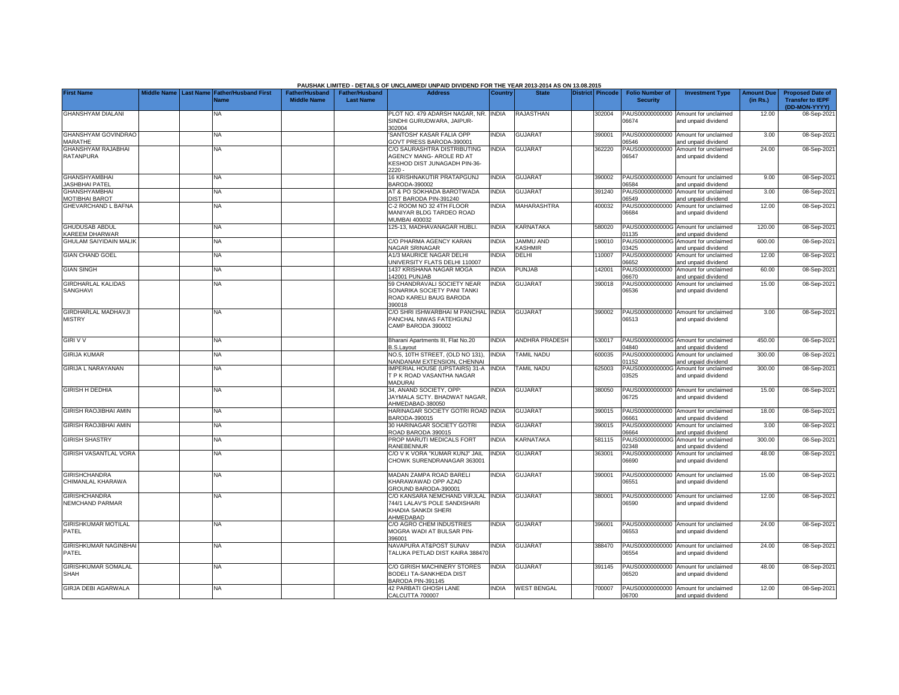|                                               |                    |                  |                                     |                                             |                                           | PAUSHAK LIMITED - DETAILS OF UNCLAIMED/ UNPAID DIVIDEND FOR THE YEAR 2013-2014 AS ON 13.08.2015     |              |                             |                         |                                           |                                                             |                               |                                                                     |
|-----------------------------------------------|--------------------|------------------|-------------------------------------|---------------------------------------------|-------------------------------------------|-----------------------------------------------------------------------------------------------------|--------------|-----------------------------|-------------------------|-------------------------------------------|-------------------------------------------------------------|-------------------------------|---------------------------------------------------------------------|
| <b>First Name</b>                             | <b>Middle Name</b> | <b>Last Name</b> | <b>Father/Husband First</b><br>Name | <b>Father/Husband</b><br><b>Middle Name</b> | <b>Father/Husband</b><br><b>Last Name</b> | <b>Address</b>                                                                                      | Country      | <b>State</b>                | <b>District Pincode</b> | <b>Folio Number of</b><br><b>Security</b> | <b>Investment Type</b>                                      | <b>Amount Due</b><br>(in Rs.) | <b>Proposed Date of</b><br><b>Transfer to IEPF</b><br>(DD-MON-YYYY) |
| <b>GHANSHYAM DIALANI</b>                      |                    |                  | <b>NA</b>                           |                                             |                                           | PLOT NO. 479 ADARSH NAGAR, NR.<br>SINDHI GURUDWARA, JAIPUR-<br>302004                               | <b>INDIA</b> | <b>RAJASTHAN</b>            | 302004                  | PAUS00000000000<br>06674                  | Amount for unclaimed<br>and unpaid dividend                 | 12.00                         | 08-Sep-2021                                                         |
| <b>GHANSHYAM GOVINDRAO</b><br><b>MARATHE</b>  |                    |                  | <b>NA</b>                           |                                             |                                           | SANTOSH' KASAR FALIA OPP<br>GOVT PRESS BARODA-390001                                                | <b>INDIA</b> | <b>GUJARAT</b>              | 390001                  | PAUS00000000000<br>06546                  | Amount for unclaimed<br>and unpaid dividend                 | 3.00                          | 08-Sep-2021                                                         |
| <b>GHANSHYAM RAJABHAI</b><br>RATANPURA        |                    |                  | <b>NA</b>                           |                                             |                                           | C/O SAURASHTRA DISTRIBUTING<br>AGENCY MANG- AROLE RD AT<br>KESHOD DIST JUNAGADH PIN-36-<br>$2220 -$ | <b>INDIA</b> | <b>GUJARAT</b>              | 362220                  | PAUS00000000000<br>06547                  | Amount for unclaimed<br>and unpaid dividend                 | 24.00                         | 08-Sep-2021                                                         |
| <b>GHANSHYAMBHAI</b><br><b>JASHBHAI PATEL</b> |                    |                  | <b>NA</b>                           |                                             |                                           | 16 KRISHNAKUTIR PRATAPGUNJ<br>BARODA-390002                                                         | <b>INDIA</b> | <b>GUJARAT</b>              | 390002                  | PAUS00000000000<br>06584                  | Amount for unclaimed<br>and unpaid dividend                 | 9.00                          | 08-Sep-2021                                                         |
| <b>GHANSHYAMBHAI</b><br><b>MOTIBHAI BAROT</b> |                    |                  | <b>NA</b>                           |                                             |                                           | AT & PO SOKHADA BAROTWADA<br>DIST BARODA PIN-391240                                                 | <b>INDIA</b> | <b>GUJARAT</b>              | 391240                  | PAUS00000000000<br>06549                  | Amount for unclaimed<br>and unpaid dividend                 | 3.00                          | 08-Sep-2021                                                         |
| <b>GHEVARCHAND L BAFNA</b>                    |                    |                  | NA.                                 |                                             |                                           | C-2 ROOM NO 32 4TH FLOOR<br>MANIYAR BLDG TARDEO ROAD<br><b>MUMBAI 400032</b>                        | <b>NDIA</b>  | <b>MAHARASHTRA</b>          | 400032                  | PAUS00000000000<br>06684                  | Amount for unclaimed<br>and unpaid dividend                 | 12.00                         | 08-Sep-2021                                                         |
| <b>GHUDUSAB ABDUL</b><br>KAREEM DHARWAR       |                    |                  | <b>NA</b>                           |                                             |                                           | 125-13, MADHAVANAGAR HUBLI.                                                                         | <b>INDIA</b> | KARNATAKA                   | 580020                  | PAUS0000000000G<br>01135                  | Amount for unclaimed<br>and unpaid dividend                 | 120.00                        | 08-Sep-2021                                                         |
| <b>GHULAM SAIYIDAIN MALIK</b>                 |                    |                  | <b>NA</b>                           |                                             |                                           | C/O PHARMA AGENCY KARAN<br><b>NAGAR SRINAGAR</b>                                                    | <b>INDIA</b> | <b>JAMMU AND</b><br>KASHMIR | 190010                  | PAUS0000000000G<br>03425                  | Amount for unclaimed<br>and unpaid dividend                 | 600.00                        | 08-Sep-2021                                                         |
| <b>GIAN CHAND GOEL</b>                        |                    |                  | <b>NA</b>                           |                                             |                                           | A1/3 MAURICE NAGAR DELHI<br><b>JNIVERSITY FLATS DELHI 110007</b>                                    | <b>INDIA</b> | DELHI                       | 110007                  | PAUS00000000000<br>06652                  | Amount for unclaimed<br>and unpaid dividend                 | 12.00                         | 08-Sep-2021                                                         |
| <b>GIAN SINGH</b>                             |                    |                  | NA                                  |                                             |                                           | 1437 KRISHANA NAGAR MOGA<br>42001 PUNJAB                                                            | <b>NDIA</b>  | <b>PUNJAB</b>               | 142001                  | PAUS00000000000<br>06670                  | Amount for unclaimed<br>and unpaid dividend                 | 60.00                         | 08-Sep-2021                                                         |
| <b>GIRDHARLAL KALIDAS</b><br>SANGHAVI         |                    |                  | NA                                  |                                             |                                           | 59 CHANDRAVALI SOCIETY NEAR<br>SONARIKA SOCIETY PANI TANKI<br>ROAD KARELI BAUG BARODA<br>390018     | <b>NDIA</b>  | <b>GUJARAT</b>              | 390018                  | PAUS00000000000<br>06536                  | Amount for unclaimed<br>and unpaid dividend                 | 15.00                         | 08-Sep-2021                                                         |
| <b>GIRDHARLAL MADHAVJI</b><br><b>MISTRY</b>   |                    |                  | NA                                  |                                             |                                           | C/O SHRI ISHWARBHAI M PANCHAL INDIA<br>PANCHAL NIWAS FATEHGUNJ<br>CAMP BARODA 390002                |              | <b>GUJARAT</b>              | 390002                  | 06513                                     | PAUS00000000000 Amount for unclaimed<br>and unpaid dividend | 3.00                          | 08-Sep-2021                                                         |
| <b>GIRI V V</b>                               |                    |                  | NA.                                 |                                             |                                           | Bharani Apartments III, Flat No.20<br>3.S.Layout                                                    | <b>NDIA</b>  | <b>ANDHRA PRADESH</b>       | 530017                  | 04840                                     | PAUS0000000000G Amount for unclaimed<br>and unpaid dividend | 450.00                        | 08-Sep-2021                                                         |
| <b>GIRIJA KUMAR</b>                           |                    |                  | <b>NA</b>                           |                                             |                                           | NO.5, 10TH STREET, (OLD NO 131).<br>NANDANAM EXTENSION, CHENNAI                                     | INDIA        | <b>TAMIL NADU</b>           | 600035                  | PAUS0000000000G<br>01152                  | Amount for unclaimed<br>and unpaid dividend                 | 300.00                        | 08-Sep-2021                                                         |
| <b>GIRIJA L NARAYANAN</b>                     |                    |                  | <b>NA</b>                           |                                             |                                           | IMPERIAL HOUSE (UPSTAIRS) 31-A<br>T P K ROAD VASANTHA NAGAR<br><b>MADURAI</b>                       | <b>INDIA</b> | <b>TAMIL NADU</b>           | 625003                  | PAUS0000000000G<br>03525                  | Amount for unclaimed<br>and unpaid dividend                 | 300.00                        | 08-Sep-2021                                                         |
| <b>GIRISH H DEDHIA</b>                        |                    |                  | <b>NA</b>                           |                                             |                                           | 34, ANAND SOCIETY, OPP:<br>JAYMALA SCTY, BHADWAT NAGAR<br>AHMEDABAD-380050                          | <b>NDIA</b>  | <b>GUJARAT</b>              | 380050                  | PAUS00000000000<br>06725                  | Amount for unclaimed<br>and unpaid dividend                 | 15.00                         | 08-Sep-2021                                                         |
| <b>GIRISH RAOJIBHAI AMIN</b>                  |                    |                  | NA                                  |                                             |                                           | HARINAGAR SOCIETY GOTRI ROAD INDIA<br>3ARODA-390015                                                 |              | <b>GUJARAT</b>              | 390015                  | PAUS00000000000<br>06661                  | Amount for unclaimed<br>and unpaid dividend                 | 18.00                         | 08-Sep-2021                                                         |
| <b>GIRISH RAOJIBHAI AMIN</b>                  |                    |                  | NA                                  |                                             |                                           | 30 HARINAGAR SOCIETY GOTRI<br>ROAD BARODA 390015                                                    | <b>NDIA</b>  | <b>GUJARAT</b>              | 390015                  | PAUS00000000000<br>06664                  | Amount for unclaimed<br>and unpaid dividend                 | 3.00                          | 08-Sep-2021                                                         |
| <b>GIRISH SHASTRY</b>                         |                    |                  | <b>NA</b>                           |                                             |                                           | PROP MARUTI MEDICALS FORT<br>RANEBENNUR                                                             | INDIA        | KARNATAKA                   | 581115                  | PAUS0000000000G<br>02348                  | Amount for unclaimed<br>and unpaid dividend                 | 300.00                        | 08-Sep-2021                                                         |
| <b>GIRISH VASANTLAL VORA</b>                  |                    |                  | <b>NA</b>                           |                                             |                                           | C/O V K VORA "KUMAR KUNJ" JAIL<br>CHOWK SURENDRANAGAR 363001                                        | INDIA        | <b>GUJARAT</b>              | 363001                  | PAUS00000000000<br>06690                  | Amount for unclaimed<br>and unpaid dividend                 | 48.00                         | 08-Sep-2021                                                         |
| <b>GIRISHCHANDRA</b><br>CHIMANLAL KHARAWA     |                    |                  | NA                                  |                                             |                                           | MADAN ZAMPA ROAD BARELI<br>KHARAWAWAD OPP AZAD<br>GROUND BARODA-390001                              | <b>NDIA</b>  | <b>GUJARAT</b>              | 390001                  | PAUS00000000000<br>06551                  | Amount for unclaimed<br>and unpaid dividend                 | 15.00                         | 08-Sep-2021                                                         |
| <b>GIRISHCHANDRA</b><br>NEMCHAND PARMAR       |                    |                  | <b>NA</b>                           |                                             |                                           | C/O KANSARA NEMCHAND VIRJLAL<br>744/1 LALAV'S POLE SANDISHARI<br>KHADIA SANKDI SHERI<br>AHMEDABAD   | <b>INDIA</b> | <b>GUJARAT</b>              | 380001                  | PAUS00000000000<br>06590                  | Amount for unclaimed<br>and unpaid dividend                 | 12.00                         | 08-Sep-2021                                                         |
| <b>GIRISHKUMAR MOTILAL</b><br>PATEL           |                    |                  | NA                                  |                                             |                                           | C/O AGRO CHEM INDUSTRIES<br>MOGRA WADI AT BULSAR PIN-<br>96001                                      | <b>NDIA</b>  | <b>GUJARAT</b>              | 396001                  | PAUS00000000000<br>06553                  | Amount for unclaimed<br>and unpaid dividend                 | 24.00                         | 08-Sep-2021                                                         |
| GIRISHKUMAR NAGINBHAI<br>PATEL                |                    |                  | NA                                  |                                             |                                           | NAVAPURA AT&POST SUNAV<br>TALUKA PETLAD DIST KAIRA 38847                                            | <b>NDIA</b>  | <b>GUJARAT</b>              | 388470                  | PAUS00000000000<br>06554                  | Amount for unclaimed<br>and unpaid dividend                 | 24.00                         | 08-Sep-2021                                                         |
| <b>GIRISHKUMAR SOMALAL</b><br><b>SHAH</b>     |                    |                  | NA                                  |                                             |                                           | C/O GIRISH MACHINERY STORES<br>BODELI TA-SANKHEDA DIST<br>3ARODA PIN-391145                         | INDIA        | <b>GUJARAT</b>              | 391145                  | PAUS00000000000<br>06520                  | Amount for unclaimed<br>and unpaid dividend                 | 48.00                         | 08-Sep-2021                                                         |
| <b>GIRJA DEBI AGARWALA</b>                    |                    |                  | <b>NA</b>                           |                                             |                                           | <b>42 PARBATI GHOSH LANE</b><br>CALCUTTA 700007                                                     | <b>INDIA</b> | <b>WEST BENGAL</b>          | 700007                  | 06700                                     | PAUS00000000000 Amount for unclaimed<br>and unpaid dividend | 12.00                         | 08-Sep-2021                                                         |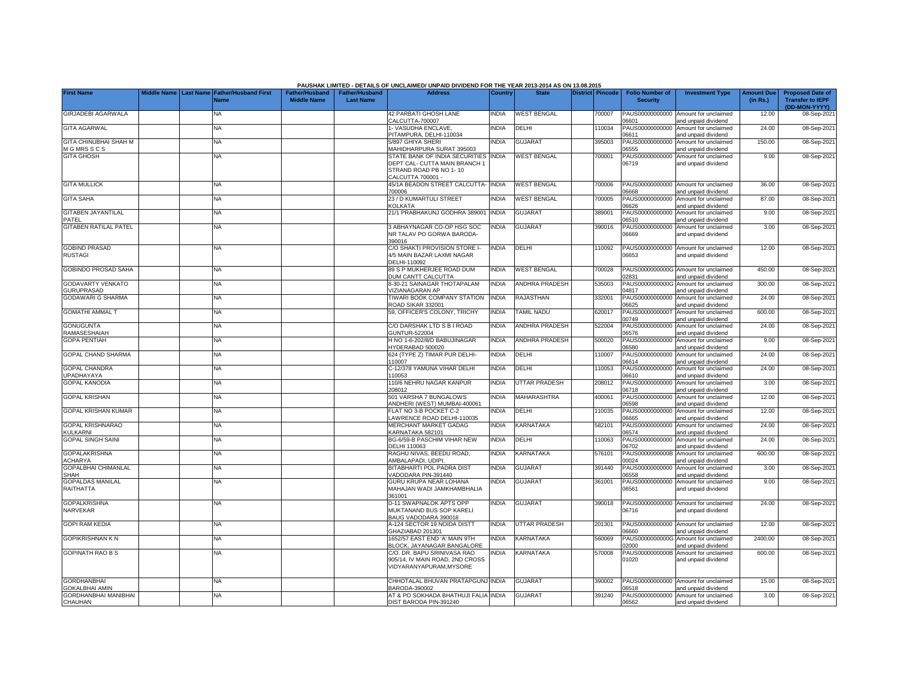|                                           |  |                                                    |                                             |                                           | PAUSHAK LIMITED - DETAILS OF UNCLAIMED/ UNPAID DIVIDEND FOR THE YEAR 2013-2014 AS ON 13.08.2015                |                |                       |                         |                                           |                                                             |                               |                                                                     |
|-------------------------------------------|--|----------------------------------------------------|---------------------------------------------|-------------------------------------------|----------------------------------------------------------------------------------------------------------------|----------------|-----------------------|-------------------------|-------------------------------------------|-------------------------------------------------------------|-------------------------------|---------------------------------------------------------------------|
| <b>First Name</b>                         |  | Middle Name Last Name Father/Husband First<br>Name | <b>Father/Husband</b><br><b>Middle Name</b> | <b>Father/Husband</b><br><b>Last Name</b> | <b>Address</b>                                                                                                 | <b>Country</b> | <b>State</b>          | <b>District Pincode</b> | <b>Folio Number of</b><br><b>Security</b> | <b>Investment Type</b>                                      | <b>Amount Due</b><br>(in Rs.) | <b>Proposed Date of</b><br><b>Transfer to IEPF</b><br>(DD-MON-YYYY) |
| <b>GIRJADEBI AGARWALA</b>                 |  | NA                                                 |                                             |                                           | <b>12 PARBATI GHOSH LANE</b><br>CALCUTTA-700007                                                                | <b>INDIA</b>   | <b>WEST BENGAL</b>    | 700007                  | PAUS00000000000<br>6601                   | Amount for unclaimed<br>and unpaid dividend                 | 12.00                         | 08-Sep-2021                                                         |
| <b>GITA AGARWAL</b>                       |  | <b>NA</b>                                          |                                             |                                           | - VASUDHA ENCLAVE,<br>PITAMPURA, DELHI-110034                                                                  | <b>NDIA</b>    | DELHI                 | 110034                  | PAUS00000000000<br>06611                  | Amount for unclaimed<br>and unpaid dividend                 | 24.00                         | 08-Sep-2021                                                         |
| GITA CHINUBHAI SHAH M<br>M G MRS S C S    |  | NA                                                 |                                             |                                           | 5/897 GHIYA SHERI<br><b>MAHIDHARPURA SURAT 395003</b>                                                          | <b>NDIA</b>    | <b>GUJARAT</b>        | 395003                  | PAUS00000000000<br>6555                   | Amount for unclaimed<br>and unpaid dividend                 | 150.00                        | 08-Sep-2021                                                         |
| <b>GITA GHOSH</b>                         |  | NA                                                 |                                             |                                           | STATE BANK OF INDIA SECURITIES<br>DEPT CAL- CUTTA MAIN BRANCH 1<br>STRAND ROAD PB NO 1-10<br>CALCUTTA 700001 - | <b>INDIA</b>   | <b>WEST BENGAL</b>    | 700001                  | PAUS00000000000<br>06719                  | Amount for unclaimed<br>and unpaid dividend                 | 9.00                          | 08-Sep-2021                                                         |
| <b>GITA MULLICK</b>                       |  | NA                                                 |                                             |                                           | 45/1A BEADON STREET CALCUTTA-<br>700006                                                                        | <b>INDIA</b>   | <b>WEST BENGAL</b>    | 700006                  | PAUS00000000000<br>06668                  | Amount for unclaimed<br>and unpaid dividend                 | 36.00                         | 08-Sep-2021                                                         |
| <b>GITA SAHA</b>                          |  | NA                                                 |                                             |                                           | 23 / D KUMARTULI STREET<br><b>KOLKATA</b>                                                                      | <b>INDIA</b>   | <b>WEST BENGAL</b>    | 700005                  | PAUS00000000000<br>06626                  | Amount for unclaimed<br>and unpaid dividend                 | 87.00                         | 08-Sep-2021                                                         |
| <b>GITABEN JAYANTILAL</b><br>PATEL        |  | NA                                                 |                                             |                                           | 21/1 PRABHAKUNJ GODHRA 389001                                                                                  | <b>INDIA</b>   | <b>GUJARAT</b>        | 389001                  | PAUS00000000000<br>06510                  | Amount for unclaimed<br>and unpaid dividend                 | 9.00                          | 08-Sep-2021                                                         |
| GITABEN RATILAL PATEL                     |  | NA                                                 |                                             |                                           | <b>ABHAYNAGAR CO-OP HSG SOC</b><br>NR TALAV PO GORWA BARODA-<br>390016                                         | <b>NDIA</b>    | <b>GUJARAT</b>        | 390016                  | PAUS00000000000<br>06669                  | Amount for unclaimed<br>and unpaid dividend                 | 3.00                          | 08-Sep-2021                                                         |
| <b>GOBIND PRASAD</b><br>RUSTAGI           |  | ΝA                                                 |                                             |                                           | C/O SHAKTI PROVISION STORE I-<br>4/5 MAIN BAZAR LAXMI NAGAR<br>DELHI-110092                                    | <b>NDIA</b>    | DELHI                 | 110092                  | 06653                                     | PAUS00000000000 Amount for unclaimed<br>and unpaid dividend | 12.00                         | 08-Sep-2021                                                         |
| GOBINDO PROSAD SAHA                       |  | ΝA                                                 |                                             |                                           | 39 S P MUKHERJEE ROAD DUM<br><b>DUM CANTT CALCUTTA</b>                                                         | <b>INDIA</b>   | <b>WEST BENGAL</b>    | 700028                  | 2831                                      | PAUS0000000000G Amount for unclaimed<br>and unpaid dividend | 450.00                        | 08-Sep-2021                                                         |
| GODAVARTY VENKATO<br><b>GURUPRASAD</b>    |  | NA                                                 |                                             |                                           | 3-30-21 SAINAGAR THOTAPALAM<br>/IZIANAGARAN AP                                                                 | INDIA          | ANDHRA PRADESH        | 535003                  | PAUS0000000000G<br>04817                  | Amount for unclaimed<br>and unpaid dividend                 | 300.00                        | 08-Sep-2021                                                         |
| GODAWARI G SHARMA                         |  | ΝA                                                 |                                             |                                           | <b>TIWARI BOOK COMPANY STATION</b><br><b>ROAD SIKAR 332001</b>                                                 | <b>INDIA</b>   | RAJASTHAN             | 332001                  | PAUS00000000000<br>06625                  | Amount for unclaimed<br>and unpaid dividend                 | 24.00                         | 08-Sep-2021                                                         |
| <b>GOMATHI AMMAL T</b>                    |  | ΝA                                                 |                                             |                                           | 59, OFFICER'S COLONY, TRICHY                                                                                   | INDIA          | <b>TAMIL NADU</b>     | 620017                  | PAUS0000000000T<br>0749                   | Amount for unclaimed<br>and unpaid dividend                 | 600.00                        | 08-Sep-2021                                                         |
| <b>GONUGUNTA</b><br>RAMASESHAIAH          |  | <b>NA</b>                                          |                                             |                                           | C/O DARSHAK LTD S B I ROAD<br><b>GUNTUR-522004</b>                                                             | <b>INDIA</b>   | <b>ANDHRA PRADESH</b> | 522004                  | PAUS00000000000<br>6576                   | Amount for unclaimed<br>and unpaid dividend                 | 24.00                         | 08-Sep-2021                                                         |
| <b>GOPA PENTIAH</b>                       |  | <b>NA</b>                                          |                                             |                                           | H NO 1-6-202/8/D BABUJINAGAR<br>IYDERABAD 500020                                                               | <b>NDIA</b>    | <b>ANDHRA PRADESH</b> | 500020                  | AUS00000000000<br>6580                    | Amount for unclaimed<br>and unpaid dividend                 | 9.00                          | 08-Sep-2021                                                         |
| <b>GOPAL CHAND SHARMA</b>                 |  | <b>NA</b>                                          |                                             |                                           | 624 (TYPE Z) TIMAR PUR DELHI-<br>110007                                                                        | <b>NDIA</b>    | <b>DELHI</b>          | 110007                  | PAUS00000000000<br>6614                   | Amount for unclaimed<br>and unpaid dividend                 | 24.00                         | 08-Sep-2021                                                         |
| <b>GOPAL CHANDRA</b><br><b>JPADHAYAYA</b> |  | <b>NA</b>                                          |                                             |                                           | C-12/378 YAMUNA VIHAR DELHI<br>10053                                                                           | <b>INDIA</b>   | <b>DELHI</b>          | 110053                  | PAUS00000000000<br>06610                  | Amount for unclaimed<br>and unpaid dividend                 | 24.00                         | 08-Sep-2021                                                         |
| <b>GOPAL KANODIA</b>                      |  | <b>NA</b>                                          |                                             |                                           | 110/6 NEHRU NAGAR KANPUR<br>208012                                                                             | <b>NDIA</b>    | UTTAR PRADESH         | 208012                  | PAUS00000000000<br>06718                  | Amount for unclaimed<br>and unpaid dividend                 | 3.00                          | 08-Sep-2021                                                         |
| <b>GOPAL KRISHAN</b>                      |  | <b>NA</b>                                          |                                             |                                           | 501 VARSHA 7 BUNGALOWS<br>ANDHERI (WEST) MUMBAI-400061                                                         | <b>NDIA</b>    | <b>MAHARASHTRA</b>    | 400061                  | PAUS00000000000<br>6598                   | Amount for unclaimed<br>and unpaid dividend                 | 12.00                         | 08-Sep-2021                                                         |
| <b>GOPAL KRISHAN KUMAR</b>                |  | NA.                                                |                                             |                                           | FLAT NO 3-B POCKET C-2<br>AWRENCE ROAD DELHI-110035                                                            | <b>NDIA</b>    | <b>DELHI</b>          | 110035                  | PAUS00000000000<br>6665                   | Amount for unclaimed<br>and unpaid dividend                 | 12.00                         | 08-Sep-2021                                                         |
| <b>GOPAL KRISHNARAO</b><br>KULKARNI       |  | NA                                                 |                                             |                                           | <b>MERCHANT MARKET GADAG</b><br>KARNATAKA 582101                                                               | <b>NDIA</b>    | KARNATAKA             | 582101                  | PAUS00000000000<br>06574                  | Amount for unclaimed<br>and unpaid dividend                 | 24.00                         | 08-Sep-2021                                                         |
| <b>GOPAL SINGH SAINI</b>                  |  | <b>NA</b>                                          |                                             |                                           | BG-6/59-B PASCHIM VIHAR NEW<br>DELHI 110063                                                                    | <b>INDIA</b>   | DELHI                 | 110063                  | PAUS00000000000<br>06702                  | Amount for unclaimed<br>and unpaid dividend                 | 24.00                         | 08-Sep-2021                                                         |
| <b>GOPALAKRISHNA</b><br>ACHARYA           |  | <b>NA</b>                                          |                                             |                                           | RAGHU NIVAS, BEEDU ROAD,<br>AMBALAPADI, UDIPI.                                                                 | <b>INDIA</b>   | <b>KARNATAKA</b>      | 576101                  | 00024                                     | PAUS0000000000B Amount for unclaimed<br>and unpaid dividend | 600.00                        | 08-Sep-2021                                                         |
| GOPALBHAI CHIMANLAL<br>SHAH               |  | <b>NA</b>                                          |                                             |                                           | BITABHARTI POL PADRA DIST<br>/ADODARA PIN-391440                                                               | INDIA          | <b>GUJARAT</b>        | 391440                  | PAUS00000000000<br>06558                  | Amount for unclaimed<br>and unpaid dividend                 | 3.00                          | 08-Sep-2021                                                         |
| GOPALDAS MANILAL<br>RAITHATTA             |  | <b>NA</b>                                          |                                             |                                           | GURU KRUPA NEAR LOHANA<br>MAHAJAN WADI JAMKHAMBHALIA<br>361001                                                 | <b>NDIA</b>    | <b>GUJARAT</b>        | 361001                  | PAUS00000000000<br>06561                  | Amount for unclaimed<br>and unpaid dividend                 | 9.00                          | 08-Sep-2021                                                         |
| <b>GOPALKRISHNA</b><br>NARVEKAR           |  | <b>NA</b>                                          |                                             |                                           | D-11 SWAPNALOK APTS OPP<br>MUKTANAND BUS SOP KARELI<br>BAUG VADODARA 390018                                    | <b>INDIA</b>   | <b>GUJARAT</b>        | 390018                  | 06716                                     | PAUS00000000000 Amount for unclaimed<br>and unpaid dividend | 24.00                         | 08-Sep-2021                                                         |
| <b>GOPI RAM KEDIA</b>                     |  | NA                                                 |                                             |                                           | 4-124 SECTOR 19 NOIDA DISTT<br>GHAZIABAD 201301                                                                | INDIA          | <b>UTTAR PRADESH</b>  | 201301                  | 06660                                     | PAUS00000000000 Amount for unclaimed<br>and unpaid dividend | 12.00                         | 08-Sep-2021                                                         |
| <b>GOPIKRISHNAN K N</b>                   |  | NA                                                 |                                             |                                           | 1652/57 EAST END 'A' MAIN 9TH<br>BLOCK, JAYANAGAR BANGALORE                                                    | <b>NDIA</b>    | KARNATAKA             | 560069                  | PAUS0000000000G<br>2000                   | Amount for unclaimed<br>and unpaid dividend                 | 2400.00                       | 08-Sep-2021                                                         |
| <b>GOPINATH RAO B S</b>                   |  | <b>NA</b>                                          |                                             |                                           | %/O. DR. BAPU SRINIVASA RAO<br>905/14. IV MAIN ROAD, 2ND CROSS<br>/IDYARANYAPURAM, MYSORE                      | <b>NDIA</b>    | KARNATAKA             | 570008                  | PAUS0000000000B<br>01020                  | Amount for unclaimed<br>and unpaid dividend                 | 600.00                        | 08-Sep-2021                                                         |
| <b>GORDHANBHAI</b><br>GOKALBHAI AMIN      |  | <b>NA</b>                                          |                                             |                                           | CHHOTALAL BHUVAN PRATAPGUNJ<br>3ARODA-390002                                                                   | <b>INDIA</b>   | <b>GUJARAT</b>        | 390002                  | 06518                                     | PAUS00000000000 Amount for unclaimed<br>and unpaid dividend | 15.00                         | 08-Sep-2021                                                         |
| GORDHANBHAI MANIBHAI<br>CHAUHAN           |  | <b>NA</b>                                          |                                             |                                           | AT & PO SOKHADA BHATHUJI FALIA INDIA<br>DIST BARODA PIN-391240                                                 |                | <b>GUJARAT</b>        | 391240                  | 06562                                     | PAUS00000000000 Amount for unclaimed<br>and unpaid dividend | 3.00                          | 08-Sep-2021                                                         |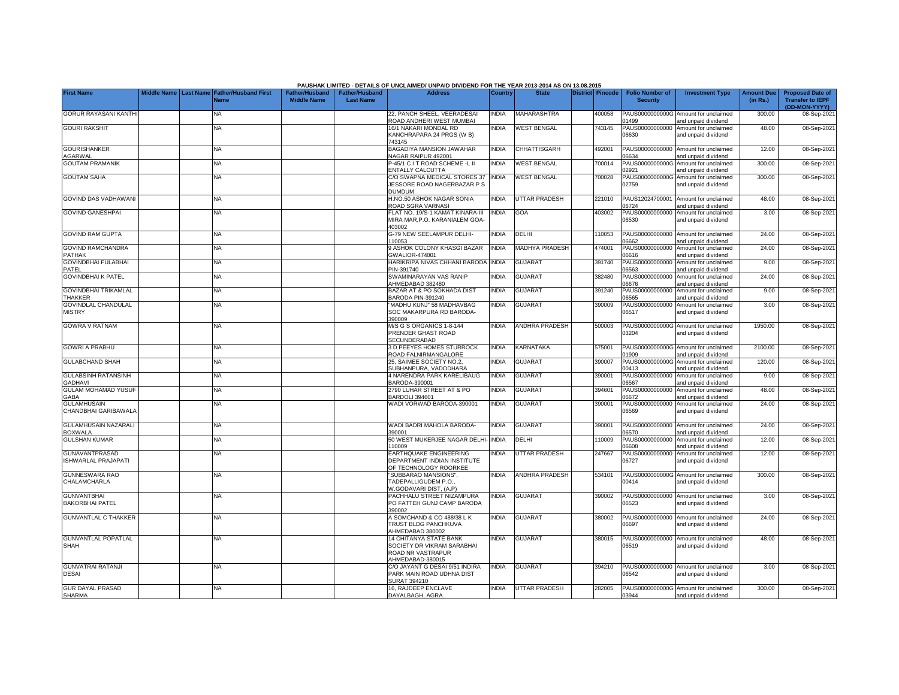|                                                     |             |                                                      |                                             |                                           | PAUSHAK LIMITED - DETAILS OF UNCLAIMED/ UNPAID DIVIDEND FOR THE YEAR 2013-2014 AS ON 13.08.2015 |                |                       |                         |                                           |                                                             |                               |                                                    |
|-----------------------------------------------------|-------------|------------------------------------------------------|---------------------------------------------|-------------------------------------------|-------------------------------------------------------------------------------------------------|----------------|-----------------------|-------------------------|-------------------------------------------|-------------------------------------------------------------|-------------------------------|----------------------------------------------------|
| <b>First Name</b>                                   | Middle Name | <b>Last Name Father/Husband First</b><br><b>Name</b> | <b>Father/Husband</b><br><b>Middle Name</b> | <b>Father/Husband</b><br><b>Last Name</b> | <b>Address</b>                                                                                  | <b>Country</b> | <b>State</b>          | <b>District Pincode</b> | <b>Folio Number of</b><br><b>Security</b> | <b>Investment Type</b>                                      | <b>Amount Due</b><br>(in Rs.) | <b>Proposed Date of</b><br><b>Transfer to IEPF</b> |
| <b>GORUR RAYASANI KANTH</b>                         |             | <b>NA</b>                                            |                                             |                                           | 22. PANCH SHEEL, VEERADESAI<br>ROAD ANDHERI WEST MUMBAI                                         | <b>NDIA</b>    | <b>MAHARASHTRA</b>    | 400058                  | PAUS0000000000G<br>1499                   | Amount for unclaimed<br>and unpaid dividend                 | 300.00                        | (DD-MON-YYYY)<br>08-Sep-202                        |
| <b>GOURI RAKSHIT</b>                                |             | ΝA                                                   |                                             |                                           | 16/1 NAKARI MONDAL RD<br>KANCHRAPARA 24 PRGS (W B)<br>743145                                    | <b>NDIA</b>    | <b>WEST BENGAL</b>    | 743145                  | PAUS00000000000<br>06630                  | Amount for unclaimed<br>and unpaid dividend                 | 48.00                         | 08-Sep-202                                         |
| <b>GOURISHANKER</b><br>AGARWAL                      |             | <b>NA</b>                                            |                                             |                                           | BAGADIYA MANSION JAWAHAR<br>NAGAR RAIPUR 492001                                                 | <b>INDIA</b>   | CHHATTISGARH          | 492001                  | PAUS00000000000<br>6634                   | Amount for unclaimed<br>and unpaid dividend                 | 12.00                         | 08-Sep-202                                         |
| <b>GOUTAM PRAMANIK</b>                              |             | <b>NA</b>                                            |                                             |                                           | 2-45/1 C I T ROAD SCHEME -L II<br>ENTALLY CALCUTTA                                              | <b>INDIA</b>   | <b>WEST BENGAL</b>    | 700014                  | 2921                                      | PAUS0000000000G Amount for unclaimed<br>and unpaid dividend | 300.00                        | 08-Sep-202                                         |
| <b>GOUTAM SAHA</b>                                  |             | <b>NA</b>                                            |                                             |                                           | C/O SWAPNA MEDICAL STORES 37<br>JESSORE ROAD NAGERBAZAR P S<br>DUMDUM                           | <b>NDIA</b>    | <b>WEST BENGAL</b>    | 700028                  | PAUS0000000000G<br>02759                  | Amount for unclaimed<br>and unpaid dividend                 | 300.00                        | 08-Sep-202                                         |
| GOVIND DAS VADHAWAN                                 |             | <b>NA</b>                                            |                                             |                                           | H.NO.50 ASHOK NAGAR SONIA<br>ROAD SGRA VARNASI                                                  | <b>NDIA</b>    | <b>UTTAR PRADESH</b>  | 221010                  | PAUS12024700001<br>6724                   | Amount for unclaimed<br>and unpaid dividend                 | 48.00                         | 08-Sep-202                                         |
| <b>GOVIND GANESHPAI</b>                             |             | <b>NA</b>                                            |                                             |                                           | FLAT NO. 19/S-1 KAMAT KINARA-III<br>MIRA MAR, P.O. KARANIALEM GOA<br>403002                     | <b>NDIA</b>    | GOA                   | 403002                  | PAUS00000000000<br>06530                  | Amount for unclaimed<br>and unpaid dividend                 | 3.00                          | 08-Sep-202                                         |
| <b>GOVIND RAM GUPTA</b>                             |             | <b>NA</b>                                            |                                             |                                           | G-79 NEW SEELAMPUR DELHI-<br>110053                                                             | <b>NDIA</b>    | DELHI                 | 110053                  | 06662                                     | PAUS00000000000 Amount for unclaimed<br>and unpaid dividend | 24.00                         | 08-Sep-202                                         |
| <b>GOVIND RAMCHANDRA</b><br><b>PATHAK</b>           |             | <b>NA</b>                                            |                                             |                                           | 9 ASHOK COLONY KHASGI BAZAR<br>GWALIOR-474001                                                   | <b>INDIA</b>   | <b>MADHYA PRADESH</b> | 474001                  | 06616                                     | PAUS00000000000 Amount for unclaimed<br>and unpaid dividend | 24.00                         | 08-Sep-202                                         |
| <b>GOVINDBHAI FULABHAI</b><br>PATEL                 |             | <b>NA</b>                                            |                                             |                                           | HARIKRIPA NIVAS CHHANI BARODA<br>PIN-391740                                                     | INDIA          | <b>GUJARAT</b>        | 391740                  | 06563                                     | PAUS00000000000 Amount for unclaimed<br>and unpaid dividend | 9.00                          | 08-Sep-202                                         |
| <b>GOVINDBHAI K PATEL</b>                           |             | <b>NA</b>                                            |                                             |                                           | SWAMINARAYAN VAS RANIP<br>AHMEDABAD 382480                                                      | <b>NDIA</b>    | GUJARAT               | 382480                  | PAUS00000000000<br>06676                  | Amount for unclaimed<br>and unpaid dividend                 | 24.00                         | 08-Sep-202                                         |
| <b>GOVINDBHAI TRIKAMLAL</b><br><b>THAKKER</b>       |             | <b>NA</b>                                            |                                             |                                           | BAZAR AT & PO SOKHADA DIST<br><b>BARODA PIN-391240</b>                                          | <b>NDIA</b>    | <b>GUJARAT</b>        | 391240                  | PAUS00000000000<br>6565                   | Amount for unclaimed<br>and unpaid dividend                 | 9.00                          | 08-Sep-202                                         |
| <b>GOVINDLAL CHANDULAL</b><br><b>MISTRY</b>         |             | <b>NA</b>                                            |                                             |                                           | MADHU KUNJ" 58 MADHAVBAG<br>SOC MAKARPURA RD BARODA-<br>390009                                  | <b>NDIA</b>    | GUJARAT               | 390009                  | PAUS00000000000<br>06517                  | Amount for unclaimed<br>and unpaid dividend                 | 3.00                          | 08-Sep-202                                         |
| <b>GOWRA V RATNAM</b>                               |             | <b>NA</b>                                            |                                             |                                           | M/S G S ORGANICS 1-8-144<br>PRENDER GHAST ROAD<br>SECUNDERABAD                                  | <b>INDIA</b>   | <b>ANDHRA PRADESH</b> | 500003                  | PAUS0000000000G<br>03204                  | Amount for unclaimed<br>and unpaid dividend                 | 1950.00                       | 08-Sep-202                                         |
| <b>GOWRI A PRABHU</b>                               |             | NA                                                   |                                             |                                           | 3 D PEEYES HOMES STURROCK<br>ROAD FALNIRMANGALORE                                               | <b>INDIA</b>   | KARNATAKA             | 575001                  | 1909                                      | PAUS0000000000G Amount for unclaimed<br>and unpaid dividend | 2100.00                       | 08-Sep-202                                         |
| <b>GULABCHAND SHAH</b>                              |             | NA                                                   |                                             |                                           | 25, SAIMEE SOCIETY NO.2,<br>SUBHANPURA, VADODHARA                                               | <b>INDIA</b>   | GUJARAT               | 390007                  | PAUS0000000000G<br>00413                  | Amount for unclaimed<br>and unpaid dividend                 | 120.00                        | 08-Sep-202                                         |
| <b>GULABSINH RATANSINH</b><br><b>GADHAVI</b>        |             | <b>NA</b>                                            |                                             |                                           | <b>1 NARENDRA PARK KARELIBAUG</b><br>BARODA-390001                                              | <b>INDIA</b>   | <b>GUJARAT</b>        | 390001                  | PAUS00000000000<br>06567                  | Amount for unclaimed<br>and unpaid dividend                 | 9.00                          | 08-Sep-202                                         |
| <b>GULAM MOHAMAD YUSUF</b><br>GABA                  |             | <b>NA</b>                                            |                                             |                                           | 2790 LUHAR STREET AT & PO<br>3ARDOLI 394601                                                     | <b>NDIA</b>    | <b>GUJARAT</b>        | 394601                  | PAUS00000000000<br>06672                  | Amount for unclaimed<br>and unpaid dividend                 | 48.00                         | 08-Sep-202                                         |
| <b>GULAMHUSAIN</b><br>CHANDBHAI GARIBAWALA          |             | <b>NA</b>                                            |                                             |                                           | VADI VORWAD BARODA-390001                                                                       | <b>INDIA</b>   | GUJARAT               | 390001                  | PAUS00000000000<br>06569                  | Amount for unclaimed<br>and unpaid dividend                 | 24.00                         | 08-Sep-202                                         |
| <b>GULAMHUSAIN NAZARALI</b><br><b>BOXWALA</b>       |             | <b>NA</b>                                            |                                             |                                           | WADI BADRI MAHOLA BARODA-<br>390001                                                             | <b>INDIA</b>   | <b>GUJARAT</b>        | 390001                  | PAUS00000000000<br>06570                  | Amount for unclaimed<br>and unpaid dividend                 | 24.00                         | 08-Sep-202                                         |
| <b>GULSHAN KUMAR</b>                                |             | <b>NA</b>                                            |                                             |                                           | 50 WEST MUKERJEE NAGAR DELHI-<br>110009                                                         | <b>INDIA</b>   | DELHI                 | 110009                  | PAUS00000000000<br>30660                  | Amount for unclaimed<br>and unpaid dividend                 | 12.00                         | 08-Sep-202                                         |
| <b>GUNAVANTPRASAD</b><br><b>ISHWARLAL PRAJAPATI</b> |             | <b>NA</b>                                            |                                             |                                           | EARTHQUAKE ENGINEERING<br>DEPARTMENT INDIAN INSTITUTE<br>OF TECHNOLOGY ROORKEE                  | <b>NDIA</b>    | <b>UTTAR PRADESH</b>  | 247667                  | PAUS00000000000<br>06727                  | Amount for unclaimed<br>and unpaid dividend                 | 12.00                         | 08-Sep-202                                         |
| <b>GUNNESWARA RAO</b><br>CHALAMCHARLA               |             | <b>NA</b>                                            |                                             |                                           | 'SUBBARAO MANSIONS".<br><b>TADEPALLIGUDEM P.O.</b><br><b>N.GODAVARI DIST. (A.P)</b>             | <b>INDIA</b>   | <b>ANDHRA PRADESH</b> | 534101                  | 00414                                     | PAUS0000000000G Amount for unclaimed<br>and unpaid dividend | 300.00                        | 08-Sep-202                                         |
| <b>GUNVANTBHAI</b><br><b>BAKORBHAI PATEL</b>        |             | <b>NA</b>                                            |                                             |                                           | PACHHALU STREET NIZAMPURA<br>PO FATTEH GUNJ CAMP BARODA<br>390002                               | <b>NDIA</b>    | <b>GUJARAT</b>        | 390002                  | 06523                                     | PAUS00000000000 Amount for unclaimed<br>and unpaid dividend | 3.00                          | 08-Sep-202                                         |
| <b>GUNVANTLAL C THAKKER</b>                         |             | <b>NA</b>                                            |                                             |                                           | A SOMCHAND & CO 488/38 L K<br><b>TRUST BLDG PANCHKUVA</b><br>AHMEDABAD 380002                   | <b>NDIA</b>    | <b>GUJARAT</b>        | 380002                  | 06697                                     | PAUS00000000000 Amount for unclaimed<br>and unpaid dividend | 24.00                         | 08-Sep-202                                         |
| <b>GUNVANTLAL POPATLAL</b><br>SHAH                  |             | <b>NA</b>                                            |                                             |                                           | 14 CHITANYA STATE BANK<br>SOCIETY DR VIKRAM SARABHAI<br>ROAD NR VASTRAPUR<br>AHMEDABAD-380015   | <b>NDIA</b>    | <b>GUJARAT</b>        | 380015                  | 06519                                     | PAUS00000000000 Amount for unclaimed<br>and unpaid dividend | 48.00                         | 08-Sep-202                                         |
| <b>GUNVATRAI RATANJI</b><br><b>DESAI</b>            |             | <b>NA</b>                                            |                                             |                                           | C/O JAYANT G DESAI 9/51 INDIRA<br>PARK MAIN ROAD UDHNA DIST<br>SURAT 394210                     | <b>NDIA</b>    | <b>GUJARAT</b>        | 394210                  | 06542                                     | PAUS00000000000 Amount for unclaimed<br>and unpaid dividend | 3.00                          | 08-Sep-202                                         |
| <b>GUR DAYAL PRASAD</b><br><b>SHARMA</b>            |             | <b>NA</b>                                            |                                             |                                           | 16. RAJDEEP ENCLAVE<br>DAYALBAGH, AGRA                                                          | <b>INDIA</b>   | <b>UTTAR PRADESH</b>  | 282005                  | 13944                                     | PAUS0000000000G Amount for unclaimed<br>and unpaid dividend | 300.00                        | 08-Sep-202                                         |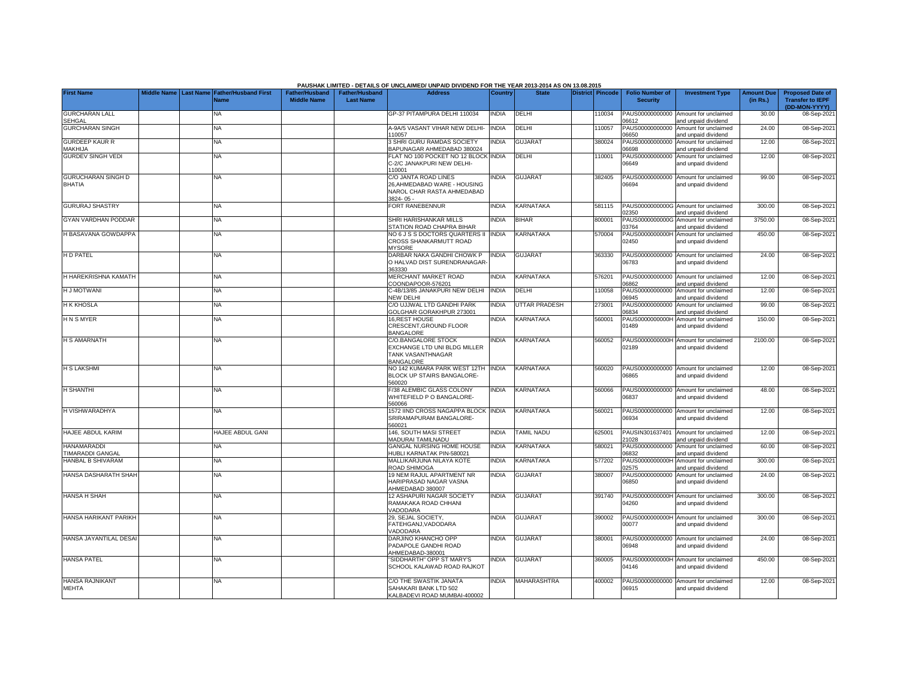|                                               |                       |                             |                       |                       | PAUSHAK LIMITED - DETAILS OF UNCLAIMED/ UNPAID DIVIDEND FOR THE YEAR 2013-2014 AS ON 13.08.2015 |              |                      |                         |        |                          |                                                             |                   |                                          |
|-----------------------------------------------|-----------------------|-----------------------------|-----------------------|-----------------------|-------------------------------------------------------------------------------------------------|--------------|----------------------|-------------------------|--------|--------------------------|-------------------------------------------------------------|-------------------|------------------------------------------|
| <b>First Name</b>                             | Middle Name Last Name | <b>Father/Husband First</b> | <b>Father/Husband</b> | <b>Father/Husband</b> | <b>Address</b>                                                                                  | Country      | <b>State</b>         | <b>District Pincode</b> |        | <b>Folio Number of</b>   | <b>Investment Type</b>                                      | <b>Amount Due</b> | <b>Proposed Date of</b>                  |
|                                               |                       | <b>Name</b>                 | <b>Middle Name</b>    | <b>Last Name</b>      |                                                                                                 |              |                      |                         |        | <b>Security</b>          |                                                             | (in Rs.)          | <b>Transfer to IEPF</b><br>(DD-MON-YYYY) |
| <b>GURCHARAN LALL</b><br>SEHGAL               |                       | NA                          |                       |                       | GP-37 PITAMPURA DELHI 110034                                                                    | <b>INDIA</b> | DELHI                |                         | 10034  | PAUS00000000000<br>06612 | Amount for unclaimed<br>and unpaid dividend                 | 30.00             | 08-Sep-2021                              |
| <b>GURCHARAN SINGH</b>                        |                       | NA                          |                       |                       | 4-9A/5 VASANT VIHAR NEW DELHI-<br>110057                                                        | <b>INDIA</b> | DELHI                |                         | 110057 | PAUS00000000000<br>06650 | Amount for unclaimed<br>and unpaid dividend                 | 24.00             | 08-Sep-2021                              |
| <b>GURDEEP KAUR R</b><br>MAKHIJA              |                       | NA                          |                       |                       | 3 SHRI GURU RAMDAS SOCIETY<br>3APUNAGAR AHMEDABAD 380024                                        | INDIA        | <b>GUJARAT</b>       |                         | 380024 | PAUS00000000000<br>06698 | Amount for unclaimed<br>and unpaid dividend                 | 12.00             | 08-Sep-2021                              |
| <b>GURDEV SINGH VEDI</b>                      |                       | <b>NA</b>                   |                       |                       | FLAT NO 100 POCKET NO 12 BLOCK INDIA<br>C-2/C JANAKPURI NEW DELHI-<br>110001                    |              | DELHI                |                         | 110001 | PAUS00000000000<br>06649 | Amount for unclaimed<br>and unpaid dividend                 | 12.00             | 08-Sep-2021                              |
| <b>GURUCHARAN SINGH D</b><br><b>BHATIA</b>    |                       | NA.                         |                       |                       | C/O JANTA ROAD LINES<br>26.AHMEDABAD WARE - HOUSING<br>NAROL CHAR RASTA AHMEDABAD<br>3824-05-   | <b>NDIA</b>  | <b>GUJARAT</b>       |                         | 382405 | PAUS00000000000<br>06694 | Amount for unclaimed<br>and unpaid dividend                 | 99.00             | 08-Sep-2021                              |
| <b>GURURAJ SHASTRY</b>                        |                       | NA                          |                       |                       | FORT RANEBENNUR                                                                                 | <b>INDIA</b> | <b>KARNATAKA</b>     |                         | 581115 | 02350                    | PAUS0000000000G Amount for unclaimed<br>and unpaid dividend | 300.00            | 08-Sep-2021                              |
| <b>GYAN VARDHAN PODDAR</b>                    |                       | <b>NA</b>                   |                       |                       | SHRI HARISHANKAR MILLS<br><b>STATION ROAD CHAPRA BIHAR</b>                                      | INDIA        | <b>BIHAR</b>         |                         | 800001 | PAUS0000000000G<br>03764 | Amount for unclaimed<br>and unpaid dividend                 | 3750.00           | 08-Sep-2021                              |
| <b>H BASAVANA GOWDAPPA</b>                    |                       | <b>NA</b>                   |                       |                       | NO 6 J S S DOCTORS QUARTERS II<br>CROSS SHANKARMUTT ROAD<br><b>MYSORE</b>                       | <b>INDIA</b> | KARNATAKA            |                         | 570004 | PAUS0000000000H<br>02450 | Amount for unclaimed<br>and unpaid dividend                 | 450.00            | 08-Sep-2021                              |
| <b>HD PATEL</b>                               |                       | <b>NA</b>                   |                       |                       | DARBAR NAKA GANDHI CHOWK P<br>O HALVAD DIST SURENDRANAGAR<br>363330                             | <b>INDIA</b> | <b>GUJARAT</b>       |                         | 363330 | PAUS00000000000<br>06783 | Amount for unclaimed<br>and unpaid dividend                 | 24.00             | 08-Sep-2021                              |
| H HAREKRISHNA KAMATH                          |                       | <b>NA</b>                   |                       |                       | MERCHANT MARKET ROAD<br>COONDAPOOR-576201                                                       | <b>NDIA</b>  | KARNATAKA            |                         | 576201 | PAUS00000000000<br>06862 | Amount for unclaimed<br>and unpaid dividend                 | 12.00             | 08-Sep-2021                              |
| <b>H J MOTWANI</b>                            |                       | NA                          |                       |                       | -4B/13/85 JANAKPURI NEW DELHI<br><b>VEW DELHI</b>                                               | <b>INDIA</b> | DELHI                |                         | 110058 | PAUS00000000000<br>06945 | Amount for unclaimed<br>and unpaid dividend                 | 12.00             | 08-Sep-2021                              |
| <b>H K KHOSLA</b>                             |                       | <b>NA</b>                   |                       |                       | C/O UJJWAL LTD GANDHI PARK<br>GOLGHAR GORAKHPUR 273001                                          | <b>NDIA</b>  | <b>UTTAR PRADESH</b> |                         | 273001 | PAUS00000000000<br>06834 | Amount for unclaimed<br>and unpaid dividend                 | 99.00             | 08-Sep-2021                              |
| <b>HNSMYER</b>                                |                       | ΝA                          |                       |                       | 16, REST HOUSE<br>CRESCENT, GROUND FLOOR<br><b>BANGALORE</b>                                    | <b>INDIA</b> | KARNATAKA            |                         | 560001 | PAUS0000000000H<br>01489 | Amount for unclaimed<br>and unpaid dividend                 | 150.00            | 08-Sep-2021                              |
| <b>H S AMARNATH</b>                           |                       | NA                          |                       |                       | C/O.BANGALORE STOCK<br>EXCHANGE LTD UNI BLDG MILLER<br>TANK VASANTHNAGAR<br><b>BANGALORE</b>    | INDIA        | KARNATAKA            |                         | 560052 | 02189                    | PAUS0000000000H Amount for unclaimed<br>and unpaid dividend | 2100.00           | 08-Sep-2021                              |
| <b>H S LAKSHMI</b>                            |                       | NA                          |                       |                       | NO 142 KUMARA PARK WEST 12TH<br><b>BLOCK UP STAIRS BANGALORE-</b><br>560020                     | <b>INDIA</b> | KARNATAKA            |                         | 560020 | PAUS00000000000<br>06865 | Amount for unclaimed<br>and unpaid dividend                 | 12.00             | 08-Sep-2021                              |
| <b>H SHANTHI</b>                              |                       | NA                          |                       |                       | /38 ALEMBIC GLASS COLONY<br>WHITEFIELD P O BANGALORE-<br>560066                                 | INDIA        | <b>KARNATAKA</b>     |                         | 560066 | PAUS00000000000<br>06837 | Amount for unclaimed<br>and unpaid dividend                 | 48.00             | 08-Sep-2021                              |
| H VISHWARADHYA                                |                       | <b>NA</b>                   |                       |                       | 1572 IIND CROSS NAGAPPA BLOCK<br>SRIRAMAPURAM BANGALORE-<br>560021                              | <b>INDIA</b> | <b>KARNATAKA</b>     |                         | 560021 | PAUS00000000000<br>06934 | Amount for unclaimed<br>and unpaid dividend                 | 12.00             | 08-Sep-2021                              |
| HAJEE ABDUL KARIM                             |                       | HAJEE ABDUL GANI            |                       |                       | 146, SOUTH MASI STREET<br><b>MADURAI TAMILNADU</b>                                              | <b>INDIA</b> | <b>TAMIL NADU</b>    |                         | 325001 | PAUSIN301637401<br>21028 | Amount for unclaimed<br>nd unpaid dividend                  | 12.00             | 08-Sep-2021                              |
| <b>HANAMARADDI</b><br><b>TIMARADDI GANGAL</b> |                       | <b>NA</b>                   |                       |                       | GANGAL NURSING HOME HOUSE<br>HUBLI KARNATAK PIN-580021                                          | <b>INDIA</b> | <b>KARNATAKA</b>     |                         | 580021 | PAUS00000000000<br>06832 | Amount for unclaimed<br>and unpaid dividend                 | 60.00             | 08-Sep-2021                              |
| <b>HANBAL B SHIVARAM</b>                      |                       | NA                          |                       |                       | MALLIKARJUNA NILAYA KOTE<br><b>ROAD SHIMOGA</b>                                                 | <b>NDIA</b>  | <b>KARNATAKA</b>     |                         | 577202 | PAUS0000000000H<br>02575 | Amount for unclaimed<br>and unpaid dividend                 | 300.00            | 08-Sep-2021                              |
| HANSA DASHARATH SHAH                          |                       | NA                          |                       |                       | 19 NEM RAJUL APARTMENT NR<br>HARIPRASAD NAGAR VASNA<br>AHMEDABAD 380007                         | <b>NDIA</b>  | <b>GUJARAT</b>       |                         | 380007 | PAUS00000000000<br>06850 | Amount for unclaimed<br>and unpaid dividend                 | 24.00             | 08-Sep-2021                              |
| <b>HANSA H SHAH</b>                           |                       | NA                          |                       |                       | 12 ASHAPURI NAGAR SOCIETY<br>RAMAKAKA ROAD CHHANI<br>VADODARA                                   | <b>INDIA</b> | <b>GUJARAT</b>       |                         | 391740 | 04260                    | PAUS0000000000H Amount for unclaimed<br>and unpaid dividend | 300.00            | 08-Sep-2021                              |
| HANSA HARIKANT PARIKH                         |                       | NA.                         |                       |                       | 29, SEJAL SOCIETY,<br>FATEHGANJ, VADODARA<br><b>/ADODARA</b>                                    | <b>INDIA</b> | <b>GUJARAT</b>       |                         | 390002 | 00077                    | PAUS0000000000H Amount for unclaimed<br>and unpaid dividend | 300.00            | 08-Sep-2021                              |
| HANSA JAYANTILAL DESA                         |                       | NA                          |                       |                       | DARJINO KHANCHO OPP<br>PADAPOLE GANDHI ROAD<br>AHMEDABAD-380001                                 | <b>INDIA</b> | <b>GUJARAT</b>       |                         | 380001 | PAUS00000000000<br>06948 | Amount for unclaimed<br>and unpaid dividend                 | 24.00             | 08-Sep-2021                              |
| <b>HANSA PATEL</b>                            |                       | NA.                         |                       |                       | 'SIDDHARTH" OPP ST MARY'S<br>SCHOOL KALAWAD ROAD RAJKOT                                         | <b>NDIA</b>  | <b>GUJARAT</b>       |                         | 360005 | PAUS0000000000H<br>04146 | Amount for unclaimed<br>and unpaid dividend                 | 450.00            | 08-Sep-2021                              |
| <b>HANSA RAJNIKANT</b><br><b>MEHTA</b>        |                       | NA.                         |                       |                       | C/O THE SWASTIK JANATA<br>SAHAKARI BANK LTD 502<br>KALBADEVI ROAD MUMBAI-400002                 | <b>INDIA</b> | MAHARASHTRA          |                         | 400002 | PAUS00000000000<br>06915 | Amount for unclaimed<br>and unpaid dividend                 | 12.00             | 08-Sep-2021                              |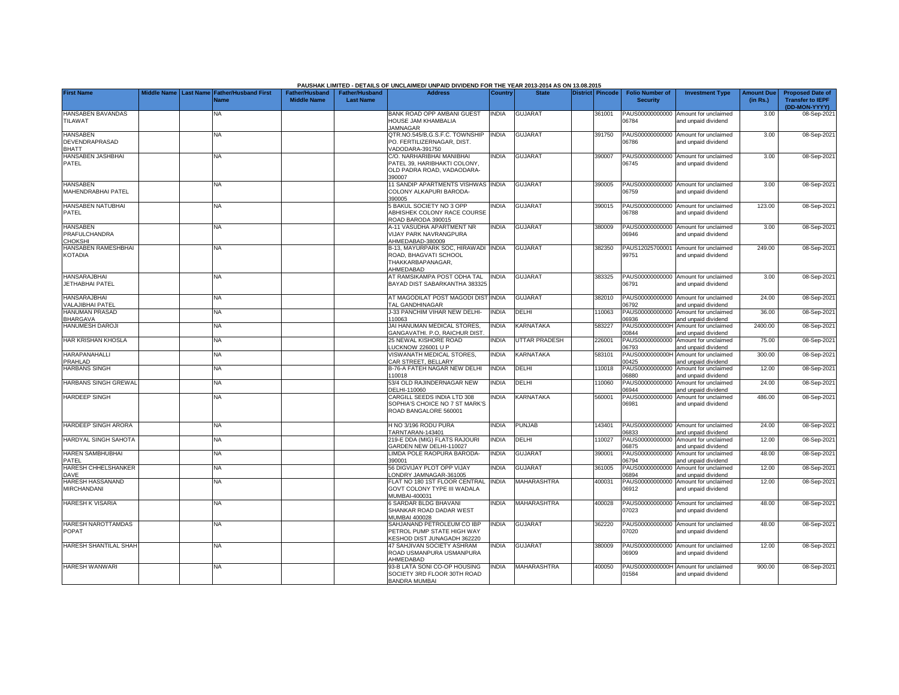|                                                      |                              |                                     |                                             |                                           | PAUSHAK LIMITED - DETAILS OF UNCLAIMED/ UNPAID DIVIDEND FOR THE YEAR 2013-2014 AS ON 13.08.2015   |              |                         |                  |                                           |                                                                                     |                               |                                                                     |
|------------------------------------------------------|------------------------------|-------------------------------------|---------------------------------------------|-------------------------------------------|---------------------------------------------------------------------------------------------------|--------------|-------------------------|------------------|-------------------------------------------|-------------------------------------------------------------------------------------|-------------------------------|---------------------------------------------------------------------|
| <b>First Name</b>                                    | <b>Middle Name Last Name</b> | <b>Father/Husband First</b><br>Name | <b>Father/Husband</b><br><b>Middle Name</b> | <b>Father/Husband</b><br><b>Last Name</b> | <b>Address</b>                                                                                    | Country      | <b>State</b>            | District Pincode | <b>Folio Number of</b><br><b>Security</b> | <b>Investment Type</b>                                                              | <b>Amount Due</b><br>(in Rs.) | <b>Proposed Date of</b><br><b>Transfer to IEPF</b><br>(DD-MON-YYYY) |
| <b>HANSABEN BAVANDAS</b><br>TILAWAT                  |                              | <b>NA</b>                           |                                             |                                           | BANK ROAD OPP AMBANI GUEST<br>HOUSE JAM KHAMBALIA<br><b>JAMNAGAR</b>                              | <b>INDIA</b> | <b>GUJARAT</b>          | 361001           | PAUS00000000000<br>06784                  | Amount for unclaimed<br>and unpaid dividend                                         | 3.00                          | 08-Sep-202                                                          |
| <b>HANSABEN</b><br>DEVENDRAPRASAD<br><b>BHATT</b>    |                              | <b>NA</b>                           |                                             |                                           | QTR.NO.545/B,G.S.F.C. TOWNSHIP<br>PO. FERTILIZERNAGAR, DIST.<br>VADODARA-391750                   | <b>INDIA</b> | <b>GUJARAT</b>          | 391750           | 06786                                     | PAUS00000000000 Amount for unclaimed<br>and unpaid dividend                         | 3.00                          | 08-Sep-202                                                          |
| HANSABEN JASHBHAI<br>PATEL                           |                              | <b>NA</b>                           |                                             |                                           | C/O. NARHARIBHAI MANIBHAI<br>PATEL 39, HARIBHAKTI COLONY,<br>OLD PADRA ROAD, VADAODARA-<br>390007 | <b>INDIA</b> | <b>GUJARAT</b>          | 390007           | 06745                                     | PAUS00000000000 Amount for unclaimed<br>and unpaid dividend                         | 3.00                          | 08-Sep-202                                                          |
| <b>HANSABEN</b><br>MAHENDRABHAI PATEL                |                              | <b>NA</b>                           |                                             |                                           | 11 SANDIP APARTMENTS VISHWAS INDIA<br>COLONY ALKAPURI BARODA-<br>390005                           |              | <b>GUJARAT</b>          | 390005           | 06759                                     | PAUS00000000000 Amount for unclaimed<br>and unpaid dividend                         | 3.00                          | 08-Sep-202                                                          |
| <b>HANSABEN NATUBHAI</b><br>PATEL                    |                              | NA                                  |                                             |                                           | <b>BAKUL SOCIETY NO 3 OPP</b><br>ABHISHEK COLONY RACE COURSE<br>ROAD BARODA 390015                | <b>NDIA</b>  | <b>GUJARAT</b>          | 390015           | 06788                                     | PAUS00000000000 Amount for unclaimed<br>and unpaid dividend                         | 123.00                        | 08-Sep-2021                                                         |
| <b>HANSABEN</b><br>PRAFULCHANDRA<br>CHOKSHI          |                              | <b>NA</b>                           |                                             |                                           | A-11 VASUDHA APARTMENT NR<br><b>VIJAY PARK NAVRANGPURA</b><br>AHMEDABAD-380009                    | <b>INDIA</b> | <b>GUJARAT</b>          | 380009           | 06946                                     | PAUS00000000000 Amount for unclaimed<br>and unpaid dividend                         | 3.00                          | 08-Sep-202                                                          |
| HANSABEN RAMESHBHAI<br><b>KOTADIA</b>                |                              | ΝA                                  |                                             |                                           | B-13, MAYURPARK SOC, HIRAWADI<br>ROAD, BHAGVATI SCHOOL<br>THAKKARBAPANAGAR.<br>AHMEDABAD          | <b>INDIA</b> | <b>GUJARAT</b>          | 382350           | 99751                                     | PAUS12025700001 Amount for unclaimed<br>and unpaid dividend                         | 249.00                        | 08-Sep-202                                                          |
| <b>HANSARAJBHAI</b><br><b>JETHABHAI PATEL</b>        |                              | <b>NA</b>                           |                                             |                                           | AT RAMSIKAMPA POST ODHA TAL<br>BAYAD DIST SABARKANTHA 383325                                      | <b>INDIA</b> | <b>GUJARAT</b>          | 383325           | 06791                                     | PAUS00000000000 Amount for unclaimed<br>and unpaid dividend                         | 3.00                          | 08-Sep-202                                                          |
| HANSARA, IBHAI<br>VALAJIBHAI PATEL<br>HANUMAN PRASAD |                              | <b>NA</b><br>NA                     |                                             |                                           | AT MAGODILAT POST MAGODI DIST INDIA<br>TAL GANDHINAGAR<br>J-33 PANCHIM VIHAR NEW DELHI-           | <b>INDIA</b> | <b>GUJARAT</b><br>DELHI | 382010<br>110063 | 6792<br>PAUS00000000000                   | PAUS00000000000 Amount for unclaimed<br>and unpaid dividend<br>Amount for unclaimed | 24.00<br>36.00                | 08-Sep-202<br>08-Sep-202                                            |
| <b>BHARGAVA</b><br><b>HANUMESH DAROJI</b>            |                              | <b>NA</b>                           |                                             |                                           | 110063<br>JAI HANUMAN MEDICAL STORES.                                                             | <b>INDIA</b> | KARNATAKA               | 583227           | 06936<br>PAUS0000000000H                  | and unpaid dividend<br>Amount for unclaimed                                         | 2400.00                       | 08-Sep-202                                                          |
| HAR KRISHAN KHOSLA                                   |                              | <b>NA</b>                           |                                             |                                           | GANGAVATHI. P.O. RAICHUR DIST<br>25 NEWAL KISHORE ROAD                                            | <b>INDIA</b> | <b>UTTAR PRADESH</b>    | 226001           | 00844                                     | and unpaid dividend<br>PAUS00000000000 Amount for unclaimed                         | 75.00                         | 08-Sep-202                                                          |
| <b>HARAPANAHALLI</b>                                 |                              | <b>NA</b>                           |                                             |                                           | LUCKNOW 226001 U P<br><b>/ISWANATH MEDICAL STORES,</b>                                            | <b>NDIA</b>  | KARNATAKA               | 583101           | 06793<br>PAUS0000000000H                  | and unpaid dividend<br>Amount for unclaimed                                         | 300.00                        | 08-Sep-202                                                          |
| PRAHLAD<br><b>HARBANS SINGH</b>                      |                              | <b>NA</b>                           |                                             |                                           | CAR STREET, BELLARY<br>B-76-A FATEH NAGAR NEW DELHI                                               | <b>NDIA</b>  | DELHI                   | 110018           | 0425<br>PAUS00000000000                   | and unpaid dividend<br>Amount for unclaimed                                         | 12.00                         | 08-Sep-202                                                          |
| <b>HARBANS SINGH GREWAL</b>                          |                              | <b>NA</b>                           |                                             |                                           | 110018<br>53/4 OLD RAJINDERNAGAR NEW                                                              | <b>INDIA</b> | DELHI                   | 110060           | 0880<br>PAUS00000000000                   | and unpaid dividend<br>Amount for unclaimed                                         | 24.00                         | 08-Sep-202                                                          |
| <b>HARDEEP SINGH</b>                                 |                              | <b>NA</b>                           |                                             |                                           | DELHI-110060<br>CARGILL SEEDS INDIA LTD 308                                                       | <b>INDIA</b> | KARNATAKA               | 560001           | 06944<br>PAUS00000000000                  | and unpaid dividend<br>Amount for unclaimed                                         | 486.00                        | 08-Sep-202                                                          |
|                                                      |                              |                                     |                                             |                                           | SOPHIA'S CHOICE NO 7 ST MARK'S<br>ROAD BANGALORE 560001                                           |              |                         |                  | 06981                                     | and unpaid dividend                                                                 |                               |                                                                     |
| <b>HARDEEP SINGH ARORA</b>                           |                              | <b>NA</b>                           |                                             |                                           | H NO 3/196 RODU PURA<br>TARNTARAN-143401                                                          | <b>INDIA</b> | PUNJAB                  | 143401           | 06833                                     | PAUS00000000000 Amount for unclaimed<br>and unpaid dividend                         | 24.00                         | 08-Sep-202                                                          |
| HARDYAL SINGH SAHOTA                                 |                              | <b>NA</b>                           |                                             |                                           | 219-E DDA (MIG) FLATS RAJOURI<br>GARDEN NEW DELHI-110027                                          | <b>INDIA</b> | DELHI                   | 110027           | PAUS00000000000<br>06875                  | Amount for unclaimed<br>and unpaid dividend                                         | 12.00                         | 08-Sep-202                                                          |
| <b>HAREN SAMBHUBHAI</b><br>PATEL                     |                              | <b>NA</b>                           |                                             |                                           | LIMDA POLE RAOPURA BARODA-<br>390001                                                              | <b>INDIA</b> | <b>GUJARAT</b>          | 390001           | PAUS00000000000<br>06794                  | Amount for unclaimed<br>and unpaid dividend                                         | 48.00                         | 08-Sep-202                                                          |
| <b>HARESH CHHELSHANKER</b><br><b>DAVE</b>            |                              | <b>NA</b>                           |                                             |                                           | 56 DIGVIJAY PLOT OPP VIJAY<br>ONDRY JAMNAGAR-361005                                               | <b>INDIA</b> | <b>GUJARAT</b>          | 361005           | PAUS00000000000<br>06894                  | Amount for unclaimed<br>and unpaid dividend                                         | 12.00                         | 08-Sep-2021                                                         |
| HARESH HASSANAND<br>MIRCHANDANI                      |                              | <b>NA</b>                           |                                             |                                           | FLAT NO 180 1ST FLOOR CENTRAL<br>GOVT COLONY TYPE III WADALA<br>MUMBAI-400031                     | <b>INDIA</b> | MAHARASHTRA             | 400031           | PAUS00000000000<br>06912                  | Amount for unclaimed<br>and unpaid dividend                                         | 12.00                         | 08-Sep-202                                                          |
| <b>HARESH K VISARIA</b>                              |                              | <b>NA</b>                           |                                             |                                           | <b>S SARDAR BLDG BHAVANI</b><br>SHANKAR ROAD DADAR WEST<br><b>MUMBAI 400028</b>                   | <b>INDIA</b> | MAHARASHTRA             | 400028           | 07023                                     | PAUS00000000000 Amount for unclaimed<br>and unpaid dividend                         | 48.00                         | 08-Sep-202                                                          |
| HARESH NAROTTAMDAS<br>POPAT                          |                              | <b>NA</b>                           |                                             |                                           | SAHJANAND PETROLEUM CO IBP<br>PETROL PUMP STATE HIGH WAY<br><b>(ESHOD DIST JUNAGADH 362220</b>    | <b>INDIA</b> | <b>GUJARAT</b>          | 362220           | )7020                                     | PAUS00000000000 Amount for unclaimed<br>and unpaid dividend                         | 48.00                         | 08-Sep-202                                                          |
| HARESH SHANTILAL SHAH                                |                              | <b>NA</b>                           |                                             |                                           | 47 SAHJIVAN SOCIETY ASHRAM<br>ROAD USMANPURA USMANPURA<br>AHMEDABAD                               | <b>NDIA</b>  | <b>GUJARAT</b>          | 380009           | 06909                                     | PAUS00000000000 Amount for unclaimed<br>and unpaid dividend                         | 12.00                         | 08-Sep-202                                                          |
| <b>HARESH WANWARI</b>                                |                              | <b>NA</b>                           |                                             |                                           | 93-B LATA SONI CO-OP HOUSING<br>SOCIETY 3RD FLOOR 30TH ROAD<br><b>BANDRA MUMBAI</b>               | <b>NDIA</b>  | <b>MAHARASHTRA</b>      | 400050           | 01584                                     | PAUS0000000000H Amount for unclaimed<br>and unpaid dividend                         | 900.00                        | 08-Sep-202                                                          |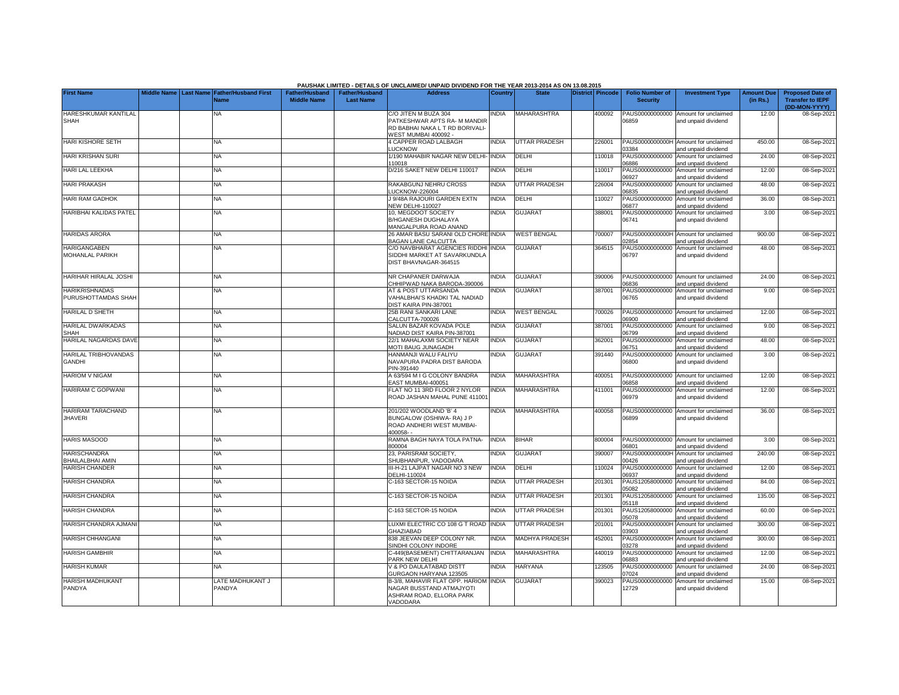|                                                |  |                                                           |                                             |                                           | PAUSHAK LIMITED - DETAILS OF UNCLAIMED/ UNPAID DIVIDEND FOR THE YEAR 2013-2014 AS ON 13.08.2015                        |                |                       |                         |                                           |                                                             |                               |                                                                     |
|------------------------------------------------|--|-----------------------------------------------------------|---------------------------------------------|-------------------------------------------|------------------------------------------------------------------------------------------------------------------------|----------------|-----------------------|-------------------------|-------------------------------------------|-------------------------------------------------------------|-------------------------------|---------------------------------------------------------------------|
| <b>First Name</b>                              |  | Middle Name Last Name Father/Husband First<br><b>Name</b> | <b>Father/Husband</b><br><b>Middle Name</b> | <b>Father/Husband</b><br><b>Last Name</b> | <b>Address</b>                                                                                                         | <b>Country</b> | <b>State</b>          | <b>District Pincode</b> | <b>Folio Number of</b><br><b>Security</b> | <b>Investment Type</b>                                      | <b>Amount Due</b><br>(in Rs.) | <b>Proposed Date of</b><br><b>Transfer to IEPF</b><br>(DD-MON-YYYY) |
| HARESHKUMAR KANTILAL<br><b>SHAH</b>            |  | <b>NA</b>                                                 |                                             |                                           | C/O JITEN M BUZA 304<br><b>PATKESHWAR APTS RA- M MANDIR</b><br>RD BABHAI NAKA L T RD BORIVALI-<br>VEST MUMBAI 400092 - | <b>INDIA</b>   | MAHARASHTRA           | 400092                  | 06859                                     | PAUS00000000000 Amount for unclaimed<br>and unpaid dividend | 12.00                         | 08-Sep-2021                                                         |
| HARI KISHORE SETH                              |  | <b>NA</b>                                                 |                                             |                                           | <b>4 CAPPER ROAD LALBAGH</b><br><b>UCKNOW</b>                                                                          | <b>INDIA</b>   | <b>UTTAR PRADESH</b>  | 226001                  | 03384                                     | PAUS0000000000H Amount for unclaimed<br>and unpaid dividend | 450.00                        | 08-Sep-2021                                                         |
| <b>HARI KRISHAN SURI</b>                       |  | <b>NA</b>                                                 |                                             |                                           | /190 MAHABIR NAGAR NEW DELHI-<br>10018                                                                                 | <b>INDIA</b>   | DELHI                 | 10018                   | PAUS00000000000<br>06886                  | Amount for unclaimed<br>and unpaid dividend                 | 24.00                         | 08-Sep-2021                                                         |
| HARI LAL LEEKHA                                |  | <b>NA</b>                                                 |                                             |                                           | 0/216 SAKET NEW DELHI 110017                                                                                           | <b>INDIA</b>   | DELHI                 | 10017                   | PAUS00000000000<br>06927                  | Amount for unclaimed<br>and unpaid dividend                 | 12.00                         | 08-Sep-2021                                                         |
| <b>HARI PRAKASH</b>                            |  | ΝA                                                        |                                             |                                           | RAKABGUNJ NEHRU CROSS<br>LUCKNOW-226004                                                                                | INDIA          | <b>UTTAR PRADESH</b>  | 226004                  | PAUS00000000000<br>06835                  | Amount for unclaimed<br>and unpaid dividend                 | 48.00                         | 08-Sep-2021                                                         |
| <b>HARI RAM GADHOK</b>                         |  | ΝA                                                        |                                             |                                           | J 9/48A RAJOURI GARDEN EXTN<br>NEW DELHI-110027                                                                        | <b>NDIA</b>    | DELHI                 | 110027                  | PAUS00000000000<br>06877                  | Amount for unclaimed<br>and unpaid dividend                 | 36.00                         | 08-Sep-2021                                                         |
| HARIBHAI KALIDAS PATEL                         |  | NA                                                        |                                             |                                           | 10, MEGDOOT SOCIETY<br>B/HGANESH DUGHALAYA<br>MANGALPURA ROAD ANAND                                                    | <b>NDIA</b>    | <b>GUJARAT</b>        | 388001                  | PAUS00000000000<br>06741                  | Amount for unclaimed<br>and unpaid dividend                 | 3.00                          | 08-Sep-2021                                                         |
| <b>HARIDAS ARORA</b>                           |  | <b>NA</b>                                                 |                                             |                                           | 26 AMAR BASU SARANI OLD CHORE INDIA<br><b>BAGAN LANE CALCUTTA</b>                                                      |                | WEST BENGAL           | 700007                  | 02854                                     | PAUS0000000000H Amount for unclaimed<br>and unpaid dividend | 900.00                        | 08-Sep-2021                                                         |
| <b>HARIGANGABEN</b><br>MOHANLAL PARIKH         |  | NA                                                        |                                             |                                           | C/O NAVBHARAT AGENCIES RIDDHI<br>SIDDHI MARKET AT SAVARKUNDLA<br>DIST BHAVNAGAR-364515                                 | INDIA          | <b>GUJARAT</b>        | 364515                  | PAUS00000000000<br>06797                  | Amount for unclaimed<br>and unpaid dividend                 | 48.00                         | 08-Sep-2021                                                         |
| HARIHAR HIRALAL JOSHI                          |  | <b>NA</b>                                                 |                                             |                                           | NR CHAPANER DARWAJA<br>CHHIPWAD NAKA BARODA-390006                                                                     | <b>INDIA</b>   | <b>GUJARAT</b>        | 390006                  | 06836                                     | PAUS00000000000 Amount for unclaimed<br>and unpaid dividend | 24.00                         | 08-Sep-2021                                                         |
| <b>HARIKRISHNADAS</b><br>PURUSHOTTAMDAS SHAH   |  | <b>NA</b>                                                 |                                             |                                           | <b>AT &amp; POST UTTARSANDA</b><br>VAHALBHAI'S KHADKI TAL NADIAD<br><b>JIST KAIRA PIN-387001</b>                       | <b>NDIA</b>    | <b>GUJARAT</b>        | 387001                  | 06765                                     | PAUS00000000000 Amount for unclaimed<br>and unpaid dividend | 9.00                          | 08-Sep-2021                                                         |
| <b>HARILAL D SHETH</b>                         |  | <b>NA</b>                                                 |                                             |                                           | 25B RANI SANKARI LANE<br>CALCUTTA-700026                                                                               | INDIA          | <b>WEST BENGAL</b>    | 700026                  | 00960                                     | PAUS00000000000 Amount for unclaimed<br>and unpaid dividend | 12.00                         | 08-Sep-2021                                                         |
| <b>HARILAL DWARKADAS</b><br><b>SHAH</b>        |  | <b>NA</b>                                                 |                                             |                                           | SALUN BAZAR KOVADA POLE<br>VADIAD DIST KAIRA PIN-387001                                                                | <b>INDIA</b>   | <b>GUJARAT</b>        | 387001                  | PAUS00000000000<br>06799                  | Amount for unclaimed<br>and unpaid dividend                 | 9.00                          | 08-Sep-2021                                                         |
| HARILAL NAGARDAS DAVE                          |  | <b>NA</b>                                                 |                                             |                                           | 22/1 MAHALAXMI SOCIETY NEAR<br>MOTI BAUG JUNAGADH                                                                      | <b>INDIA</b>   | <b>GUJARAT</b>        | 362001                  | PAUS00000000000<br>06751                  | Amount for unclaimed<br>and unpaid dividend                 | 48.00                         | 08-Sep-2021                                                         |
| <b>HARILAL TRIBHOVANDAS</b><br><b>GANDHI</b>   |  | <b>NA</b>                                                 |                                             |                                           | HANMANJI WALU FALIYU<br>NAVAPURA PADRA DIST BARODA<br>PIN-391440                                                       | <b>INDIA</b>   | <b>GUJARAT</b>        | 391440                  | PAUS00000000000<br>06800                  | Amount for unclaimed<br>and unpaid dividend                 | 3.00                          | 08-Sep-2021                                                         |
| <b>HARIOM V NIGAM</b>                          |  | <b>NA</b>                                                 |                                             |                                           | 4 63/594 M I G COLONY BANDRA<br><b>EAST MUMBAI-400051</b>                                                              | <b>NDIA</b>    | <b>MAHARASHTRA</b>    | 400051                  | 06858                                     | PAUS00000000000 Amount for unclaimed<br>and unpaid dividend | 12.00                         | 08-Sep-2021                                                         |
| HARIRAM C GOPWANI                              |  | <b>NA</b>                                                 |                                             |                                           | <b>ELAT NO 11 3RD FLOOR 2 NYLOR</b><br>ROAD JASHAN MAHAL PUNE 411001                                                   | <b>NDIA</b>    | MAHARASHTRA           | 411001                  | PAUS00000000000<br>06979                  | Amount for unclaimed<br>and unpaid dividend                 | 12.00                         | 08-Sep-2021                                                         |
| <b>HARIRAM TARACHAND</b><br><b>JHAVERI</b>     |  | <b>NA</b>                                                 |                                             |                                           | 201/202 WOODLAND 'B' 4<br>BUNGALOW (OSHIWA-RA) J P<br>ROAD ANDHERI WEST MUMBAI-<br>$100058 -$                          | <b>INDIA</b>   | <b>MAHARASHTRA</b>    | 400058                  | 06899                                     | PAUS00000000000 Amount for unclaimed<br>and unpaid dividend | 36.00                         | 08-Sep-2021                                                         |
| <b>HARIS MASOOD</b>                            |  | <b>NA</b>                                                 |                                             |                                           | RAMNA BAGH NAYA TOLA PATNA-<br>800004                                                                                  | <b>INDIA</b>   | <b>BIHAR</b>          | 800004                  | 06801                                     | PAUS00000000000 Amount for unclaimed<br>and unpaid dividend | 3.00                          | 08-Sep-2021                                                         |
| <b>HARISCHANDRA</b><br><b>BHAILALBHAI AMIN</b> |  | <b>NA</b>                                                 |                                             |                                           | 23. PARISRAM SOCIETY.<br>SHUBHANPUR, VADODARA                                                                          | <b>INDIA</b>   | <b>GUJARAT</b>        | 390007                  | 00426                                     | PAUS0000000000H Amount for unclaimed<br>and unpaid dividend | 240.00                        | 08-Sep-2021                                                         |
| <b>HARISH CHANDER</b>                          |  | <b>NA</b>                                                 |                                             |                                           | II-H-21 LAJPAT NAGAR NO 3 NEW<br>DELHI-110024                                                                          | <b>INDIA</b>   | DELHI                 | 110024                  | PAUS00000000000<br>06937                  | Amount for unclaimed<br>and unpaid dividend                 | 12.00                         | 08-Sep-2021                                                         |
| <b>HARISH CHANDRA</b>                          |  | <b>NA</b>                                                 |                                             |                                           | C-163 SECTOR-15 NOIDA                                                                                                  | <b>INDIA</b>   | <b>UTTAR PRADESH</b>  | 201301                  | PAUS12058000000<br>05082                  | Amount for unclaimed<br>and unpaid dividend                 | 84.00                         | 08-Sep-2021                                                         |
| <b>HARISH CHANDRA</b>                          |  | <b>NA</b>                                                 |                                             |                                           | C-163 SECTOR-15 NOIDA                                                                                                  | <b>INDIA</b>   | UTTAR PRADESH         | 201301                  | PAUS12058000000<br>05118                  | Amount for unclaimed<br>and unpaid dividend                 | 135.00                        | 08-Sep-2021                                                         |
| <b>HARISH CHANDRA</b>                          |  | <b>NA</b>                                                 |                                             |                                           | C-163 SECTOR-15 NOIDA                                                                                                  | <b>INDIA</b>   | UTTAR PRADESH         | 201301                  | 05078                                     | PAUS12058000000 Amount for unclaimed<br>and unpaid dividend | 60.00                         | 08-Sep-2021                                                         |
| HARISH CHANDRA AJMANI                          |  | <b>NA</b>                                                 |                                             |                                           | LUXMI ELECTRIC CO 108 G T ROAD INDIA<br><b>GHAZIABAD</b>                                                               |                | UTTAR PRADESH         | 201001                  | 03903                                     | PAUS0000000000H Amount for unclaimed<br>and unpaid dividend | 300.00                        | 08-Sep-2021                                                         |
| <b>HARISH CHHANGANI</b>                        |  | NA                                                        |                                             |                                           | 338 JEEVAN DEEP COLONY NR.<br>SINDHI COLONY INDORE                                                                     | <b>INDIA</b>   | <b>MADHYA PRADESH</b> | 452001                  | 3278                                      | PAUS0000000000H Amount for unclaimed<br>and unpaid dividend | 300.00                        | 08-Sep-2021                                                         |
| <b>HARISH GAMBHIR</b>                          |  | NA                                                        |                                             |                                           | -449(BASEMENT) CHITTARANJAN<br><b>PARK NEW DELHI</b>                                                                   | <b>INDIA</b>   | MAHARASHTRA           | 440019                  | PAUS00000000000<br>06883                  | Amount for unclaimed<br>and unpaid dividend                 | 12.00                         | 08-Sep-2021                                                         |
| <b>HARISH KUMAR</b>                            |  | <b>NA</b>                                                 |                                             |                                           | / & PO DAULATABAD DISTT<br><b>GURGAON HARYANA 123505</b>                                                               | <b>NDIA</b>    | <b>HARYANA</b>        | 123505                  | PAUS00000000000<br>07024                  | Amount for unclaimed<br>and unpaid dividend                 | 24.00                         | 08-Sep-2021                                                         |
| <b>HARISH MADHUKANT</b><br>PANDYA              |  | LATE MADHUKANT J<br>PANDYA                                |                                             |                                           | 3-3/8. MAHAVIR FLAT OPP. HARIOM INDIA<br><b>VAGAR BUSSTAND ATMAJYOTI</b><br>ASHRAM ROAD, ELLORA PARK<br>VADODARA       |                | GUJARAT               | 390023                  | PAUS00000000000<br>12729                  | Amount for unclaimed<br>and unpaid dividend                 | 15.00                         | 08-Sep-2021                                                         |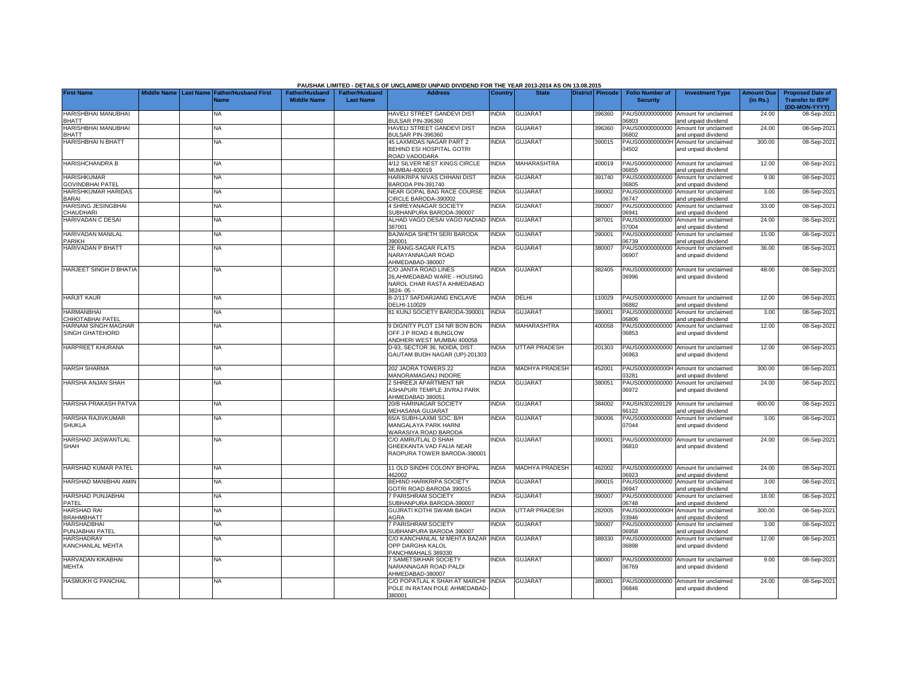|                                               |  |                                                               |                                      |                                           | PAUSHAK LIMITED - DETAILS OF UNCLAIMED/ UNPAID DIVIDEND FOR THE YEAR 2013-2014 AS ON 13.08.2015 |              |                       |                  |                                           |                                                             |                               |                                                                     |
|-----------------------------------------------|--|---------------------------------------------------------------|--------------------------------------|-------------------------------------------|-------------------------------------------------------------------------------------------------|--------------|-----------------------|------------------|-------------------------------------------|-------------------------------------------------------------|-------------------------------|---------------------------------------------------------------------|
| <b>First Name</b>                             |  | Middle Name   Last Name   Father/Husband First<br><b>Name</b> | Father/Husband<br><b>Middle Name</b> | <b>Father/Husband</b><br><b>Last Name</b> | <b>Address</b>                                                                                  | Country      | <b>State</b>          | District Pincode | <b>Folio Number of</b><br><b>Security</b> | <b>Investment Type</b>                                      | <b>Amount Due</b><br>(in Rs.) | <b>Proposed Date of</b><br><b>Transfer to IEPF</b><br>(DD-MON-YYYY) |
| HARISHBHAI MANUBHAI<br><b>BHATT</b>           |  | <b>NA</b>                                                     |                                      |                                           | <b>HAVELI STREET GANDEVI DIST</b><br><b>BULSAR PIN-396360</b>                                   | <b>INDIA</b> | <b>GUJARAT</b>        | 396360           | PAUS00000000000<br>CO860                  | Amount for unclaimed<br>and unpaid dividend                 | 24.00                         | 08-Sep-202                                                          |
| HARISHBHAI MANUBHAI<br><b>BHATT</b>           |  | <b>NA</b>                                                     |                                      |                                           | HAVELI STREET GANDEVI DIST<br>BULSAR PIN-396360                                                 | <b>INDIA</b> | <b>GUJARAT</b>        | 396360           | PAUS00000000000<br>06802                  | Amount for unclaimed<br>and unpaid dividend                 | 24.00                         | 08-Sep-2021                                                         |
| <b>HARISHBHAI N BHATT</b>                     |  | <b>NA</b>                                                     |                                      |                                           | <b>45 LAXMIDAS NAGAR PART 2</b><br>BEHIND ESI HOSPITAL GOTRI<br>ROAD VADODARA                   | INDIA        | <b>GUJARAT</b>        | 390015           | PAUS0000000000H<br>04502                  | Amount for unclaimed<br>and unpaid dividend                 | 300.00                        | 08-Sep-2021                                                         |
| <b>HARISHCHANDRA B</b>                        |  | <b>NA</b>                                                     |                                      |                                           | 1/12 SILVER NEST KINGS CIRCLE<br>MUMBAI-400019                                                  | <b>NDIA</b>  | MAHARASHTRA           | 400019           | PAUS00000000000<br>06855                  | Amount for unclaimed<br>and unpaid dividend                 | 12.00                         | 08-Sep-2021                                                         |
| <b>HARISHKUMAR</b><br><b>GOVINDBHAI PATEL</b> |  | NA                                                            |                                      |                                           | HARIKRIPA NIVAS CHHANI DIST<br><b>BARODA PIN-391740</b>                                         | <b>NDIA</b>  | <b>GUJARAT</b>        | 391740           | PAUS00000000000<br>06805                  | Amount for unclaimed<br>and unpaid dividend                 | 9.00                          | 08-Sep-2021                                                         |
| HARISHKUMAR HARIDAS<br>BARAI                  |  | NΑ                                                            |                                      |                                           | NEAR GOPAL BAG RACE COURSE<br>CIRCLE BARODA-390002                                              | <b>NDIA</b>  | <b>GUJARAT</b>        | 390002           | PAUS00000000000<br>06747                  | Amount for unclaimed<br>and unpaid dividend                 | 3.00                          | 08-Sep-2021                                                         |
| <b>HARISING JESINGBHAI</b><br>CHAUDHARI       |  | <b>NA</b>                                                     |                                      |                                           | <b>1 SHREYANAGAR SOCIETY</b><br>SUBHANPURA BARODA-390007                                        | <b>INDIA</b> | <b>GUJARAT</b>        | 390007           | PAUS00000000000<br>06941                  | Amount for unclaimed<br>and unpaid dividend                 | 33.00                         | 08-Sep-2021                                                         |
| HARIVADAN C DESAI                             |  | <b>NA</b>                                                     |                                      |                                           | ALHAD VAGO DESAI VAGO NADIAD<br>387001                                                          | <b>INDIA</b> | <b>GUJARAT</b>        | 387001           | PAUS00000000000<br>07004                  | Amount for unclaimed<br>and unpaid dividend                 | 24.00                         | 08-Sep-2021                                                         |
| HARIVADAN MANILAL<br>PARIKH                   |  | NA                                                            |                                      |                                           | BAJWADA SHETH SERI BARODA<br>390001                                                             | <b>INDIA</b> | <b>GUJARAT</b>        | 390001           | PAUS00000000000<br>06739                  | Amount for unclaimed<br>and unpaid dividend                 | 15.00                         | 08-Sep-2021                                                         |
| HARIVADAN P BHATT                             |  | <b>NA</b>                                                     |                                      |                                           | 2E RANG-SAGAR FLATS<br>NARAYANNAGAR ROAD<br>AHMEDABAD-380007                                    | <b>INDIA</b> | <b>GUJARAT</b>        | 380007           | PAUS00000000000<br>06907                  | Amount for unclaimed<br>and unpaid dividend                 | 36.00                         | 08-Sep-2021                                                         |
| HARJEET SINGH D BHATIA                        |  | NA                                                            |                                      |                                           | C/O JANTA ROAD LINES<br>26, AHMEDABAD WARE - HOUSING<br>NAROL CHAR RASTA AHMEDABAD<br>3824-05-  | <b>NDIA</b>  | <b>GUJARAT</b>        | 382405           | 06996                                     | PAUS00000000000 Amount for unclaimed<br>and unpaid dividend | 48.00                         | 08-Sep-2021                                                         |
| <b>HARJIT KAUR</b>                            |  | NA                                                            |                                      |                                           | B-2/117 SAFDARJANG ENCLAVE<br><b>DELHI-110029</b>                                               | <b>INDIA</b> | DELHI                 | 110029           | PAUS00000000000<br>06882                  | Amount for unclaimed<br>and unpaid dividend                 | 12.00                         | 08-Sep-2021                                                         |
| <b>HARMANBHAI</b><br>CHHOTABHAI PATEL         |  | <b>NA</b>                                                     |                                      |                                           | 31 KUNJ SOCIETY BARODA-390001                                                                   | <b>INDIA</b> | <b>GUJARAT</b>        | 390001           | PAUS00000000000<br>06806                  | Amount for unclaimed<br>and unpaid dividend                 | 3.00                          | 08-Sep-2021                                                         |
| HARNAM SINGH MAGHAR<br>SINGH GHATEHORD        |  | <b>NA</b>                                                     |                                      |                                           | <b>DIGNITY PLOT 134 NR BON BON</b><br>OFF J P ROAD 4 BUNGLOW<br>ANDHERI WEST MUMBAI 400058      | <b>INDIA</b> | <b>MAHARASHTRA</b>    | 400058           | PAUS00000000000<br>06853                  | Amount for unclaimed<br>and unpaid dividend                 | 12.00                         | 08-Sep-2021                                                         |
| HARPREET KHURANA                              |  | <b>NA</b>                                                     |                                      |                                           | D-93, SECTOR 36, NOIDA, DIST.<br>GAUTAM BUDH NAGAR (UP)-201303                                  | <b>NDIA</b>  | <b>UTTAR PRADESH</b>  | 201303           | PAUS00000000000<br>06963                  | Amount for unclaimed<br>and unpaid dividend                 | 12.00                         | 08-Sep-2021                                                         |
| <b>HARSH SHARMA</b>                           |  | <b>NA</b>                                                     |                                      |                                           | 202 JAORA TOWERS 22<br>MANORAMAGANJ INDORE                                                      | <b>INDIA</b> | <b>MADHYA PRADESH</b> | 452001           | 03281                                     | PAUS0000000000H Amount for unclaimed<br>and unpaid dividend | 300.00                        | 08-Sep-2021                                                         |
| HARSHA ANJAN SHAH                             |  | NA                                                            |                                      |                                           | <b>SHREEJI APARTMENT NR</b><br><b>ASHAPURI TEMPLE JIVRAJ PARK</b><br>AHMEDABAD 380051           | <b>NDIA</b>  | <b>GUJARAT</b>        | 380051           | PAUS00000000000<br>06972                  | Amount for unclaimed<br>and unpaid dividend                 | 24.00                         | 08-Sep-2021                                                         |
| HARSHA PRAKASH PATVA                          |  | <b>NA</b>                                                     |                                      |                                           | 20/B HARINAGAR SOCIETY<br>MEHASANA GUJARAT                                                      | <b>INDIA</b> | <b>GUJARA1</b>        | 384002           | PAUSIN302269129<br>66122                  | Amount for unclaimed<br>and unpaid dividend                 | 600.00                        | 08-Sep-2021                                                         |
| HARSHA RAJIVKUMAR<br><b>SHUKLA</b>            |  | <b>NA</b>                                                     |                                      |                                           | 65/A SUBH-LAXMI SOC. B/H<br>MANGALAYA PARK HARNI<br><b>NARASIYA ROAD BARODA</b>                 | INDIA        | <b>GUJARAT</b>        | 390006           | PAUS00000000000<br>07044                  | Amount for unclaimed<br>and unpaid dividend                 | 3.00                          | 08-Sep-2021                                                         |
| HARSHAD JASWANTLAL<br><b>SHAH</b>             |  | NA                                                            |                                      |                                           | C/O AMRUTLAL D SHAH<br>GHEEKANTA VAD FALIA NEAR<br>RAOPURA TOWER BARODA-390001                  | <b>INDIA</b> | <b>GUJARAT</b>        | 390001           | PAUS00000000000<br>06810                  | Amount for unclaimed<br>and unpaid dividend                 | 24.00                         | 08-Sep-2021                                                         |
| HARSHAD KUMAR PATEL                           |  | NA                                                            |                                      |                                           | 11 OLD SINDHI COLONY BHOPAL<br>162002                                                           | <b>INDIA</b> | <b>MADHYA PRADESH</b> | 462002           | PAUS00000000000<br>06923                  | Amount for unclaimed<br>and unpaid dividend                 | 24.00                         | 08-Sep-2021                                                         |
| HARSHAD MANIBHAI AMIN                         |  | <b>NA</b>                                                     |                                      |                                           | <b>BEHIND HARIKRIPA SOCIETY</b><br>GOTRI ROAD BARODA 390015                                     | <b>INDIA</b> | <b>GUJARAT</b>        | 390015           | PAUS00000000000<br>06947                  | Amount for unclaimed<br>and unpaid dividend                 | 3.00                          | 08-Sep-2021                                                         |
| HARSHAD PUNJABHAI<br>PATEL                    |  | NA                                                            |                                      |                                           | <b>PARISHRAM SOCIETY</b><br>SUBHANPURA BARODA-390007                                            | <b>INDIA</b> | <b>GUJARAT</b>        | 390007           | PAUS00000000000<br>06748                  | Amount for unclaimed<br>and unpaid dividend                 | 18.00                         | 08-Sep-2021                                                         |
| HARSHAD RAI<br><b>BRAHMBHATT</b>              |  | NA                                                            |                                      |                                           | GUJRATI KOTHI SWAMI BAGH<br><b>AGRA</b>                                                         | <b>INDIA</b> | UTTAR PRADESH         | 282005           | PAUS0000000000H<br>03946                  | Amount for unclaimed<br>and unpaid dividend                 | 300.00                        | 08-Sep-2021                                                         |
| HARSHADBHAI<br>PUNJABHAI PATEL                |  | <b>NA</b>                                                     |                                      |                                           | <b>PARISHRAM SOCIETY</b><br>SUBHANPURA BARODA 390007                                            | <b>INDIA</b> | <b>GUJARAT</b>        | 390007           | PAUS00000000000<br>06958                  | Amount for unclaimed<br>and unpaid dividend                 | 3.00                          | 08-Sep-2021                                                         |
| <b>HARSHADRAY</b><br>KANCHANLAL MEHTA         |  | <b>NA</b>                                                     |                                      |                                           | C/O KANCHANLAL M MEHTA BAZAR INDIA<br>OPP DARGHA KALOL<br>PANCHMAHALS 389330                    |              | <b>GUJARAT</b>        | 389330           | PAUS00000000000<br>06898                  | Amount for unclaimed<br>and unpaid dividend                 | 12.00                         | 08-Sep-2021                                                         |
| HARVADAN KIKABHAI<br>MEHTA                    |  | <b>NA</b>                                                     |                                      |                                           | <b>SAMETSIKHAR SOCIETY</b><br>NARANNAGAR ROAD PALDI<br>AHMEDABAD-380007                         | <b>INDIA</b> | <b>GUJARAT</b>        | 380007           | PAUS00000000000<br>06769                  | Amount for unclaimed<br>and unpaid dividend                 | 9.00                          | 08-Sep-2021                                                         |
| <b>HASMUKH G PANCHAL</b>                      |  | <b>NA</b>                                                     |                                      |                                           | C/O POPATLAL K SHAH AT MARCHI INDIA<br>POLE IN RATAN POLE AHMEDABAD<br>380001                   |              | <b>GUJARAT</b>        | 380001           | PAUS00000000000<br>06846                  | Amount for unclaimed<br>and unpaid dividend                 | 24.00                         | 08-Sep-2021                                                         |

**PAUSHAK LIMITED - DETAILS OF UNCLAIMED/ UNPAID DIVIDEND FOR THE YEAR 2013-2014 AS ON 13.08.2015**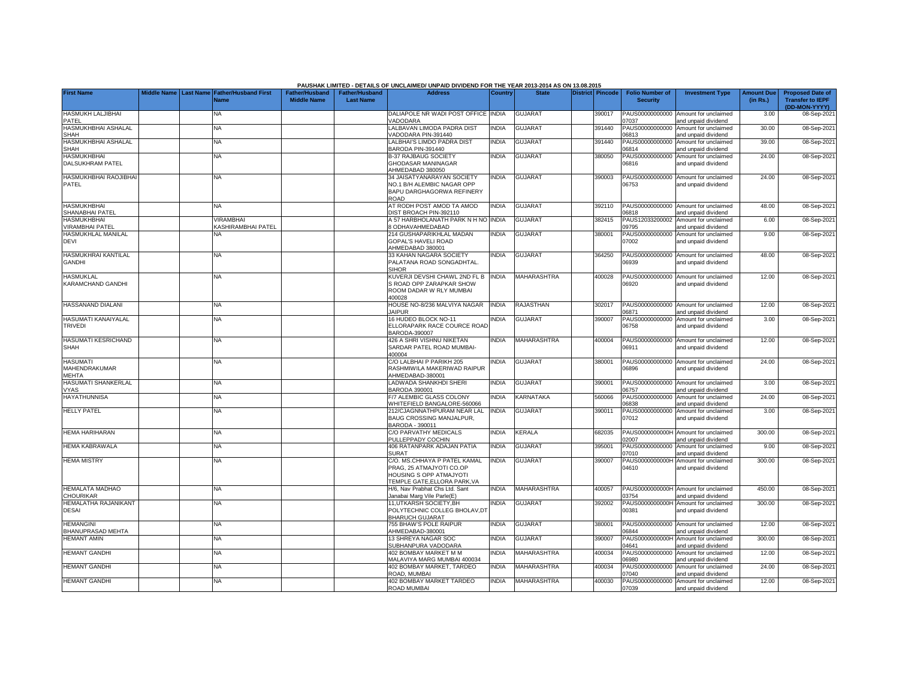|                                                  |  |                                                           |                                             |                                           | <b>PAUSHAK LIMITED - DETAILS OF UNCLAIMED/ UNPAID DIVIDEND FOR THE YEAR 2013-2014 AS ON 13.08.2015</b>                     |                |                    |                  |                                           |                                                             |                               |                                                                     |
|--------------------------------------------------|--|-----------------------------------------------------------|---------------------------------------------|-------------------------------------------|----------------------------------------------------------------------------------------------------------------------------|----------------|--------------------|------------------|-------------------------------------------|-------------------------------------------------------------|-------------------------------|---------------------------------------------------------------------|
| <b>First Name</b>                                |  | Middle Name Last Name Father/Husband First<br><b>Name</b> | <b>Father/Husband</b><br><b>Middle Name</b> | <b>Father/Husband</b><br><b>Last Name</b> | <b>Address</b>                                                                                                             | <b>Country</b> | <b>State</b>       | District Pincode | <b>Folio Number of</b><br><b>Security</b> | <b>Investment Type</b>                                      | <b>Amount Due</b><br>(in Rs.) | <b>Proposed Date of</b><br><b>Transfer to IEPF</b><br>(DD-MON-YYYY) |
| HASMUKH LALJIBHAI<br>PATEL                       |  | <b>NA</b>                                                 |                                             |                                           | DALIAPOLE NR WADI POST OFFICE INDIA<br><b>/ADODARA</b>                                                                     |                | <b>GUJARAT</b>     | 390017           | PAUS00000000000<br>07037                  | Amount for unclaimed<br>and unpaid dividend                 | 3.00                          | 08-Sep-2021                                                         |
| HASMUKHBHAI ASHALAL<br>SHAH                      |  | <b>NA</b>                                                 |                                             |                                           | ALBAVAN LIMODA PADRA DIST<br><b>/ADODARA PIN-391440</b>                                                                    | <b>INDIA</b>   | GUJARAT            | 391440           | PAUS00000000000<br>06813                  | Amount for unclaimed<br>and unpaid dividend                 | 30.00                         | 08-Sep-2021                                                         |
| HASMUKHBHAI ASHALAL<br><b>SHAH</b>               |  | <b>NA</b>                                                 |                                             |                                           | LALBHAI'S LIMDO PADRA DIST<br><b>BARODA PIN-391440</b>                                                                     | <b>INDIA</b>   | <b>GUJARAT</b>     | 391440           | PAUS00000000000<br>06814                  | Amount for unclaimed<br>and unpaid dividend                 | 39.00                         | 08-Sep-2021                                                         |
| <b>HASMUKHBHAI</b><br>DALSUKHRAM PATEL           |  | <b>NA</b>                                                 |                                             |                                           | 3-37 RAJBAUG SOCIETY<br><b>GHODASAR MANINAGAR</b><br>AHMEDABAD 380050                                                      | INDIA          | <b>GUJARAT</b>     | 380050           | PAUS00000000000<br>06816                  | Amount for unclaimed<br>and unpaid dividend                 | 24.00                         | 08-Sep-2021                                                         |
| <b>HASMUKHBHAI RAOJIBHA</b><br>PATEL             |  | <b>NA</b>                                                 |                                             |                                           | 34 JAISATYANARAYAN SOCIETY<br>NO.1 B/H ALEMBIC NAGAR OPP<br>BAPU DARGHAGORWA REFINERY<br><b>OAO</b>                        | <b>INDIA</b>   | <b>GUJARAT</b>     | 390003           | PAUS00000000000<br>06753                  | Amount for unclaimed<br>and unpaid dividend                 | 24.00                         | 08-Sep-2021                                                         |
| <b>HASMUKHBHAI</b><br>SHANABHAI PATEL            |  | NA                                                        |                                             |                                           | AT RODH POST AMOD TA AMOD<br>DIST BROACH PIN-392110                                                                        | <b>INDIA</b>   | <b>GUJARAT</b>     | 392110           | PAUS00000000000<br>06818                  | Amount for unclaimed<br>and unpaid dividend                 | 48.00                         | 08-Sep-2021                                                         |
| <b>HASMUKHBHAI</b><br><b>VIRAMBHAI PATEI</b>     |  | VIRAMBHAI<br><b>KASHIRAMBHAI PATEL</b>                    |                                             |                                           | 4 57 HARBHOLANATH PARK N H NO INDIA<br><b>GDHAVAHMEDABAD</b>                                                               |                | <b>GUJARAT</b>     | 382415           | PAUS12033200002<br>09795                  | Amount for unclaimed<br>and unpaid dividend                 | 6.00                          | 08-Sep-2021                                                         |
| HASMUKHLAL MANILAL<br>DEVI                       |  | NA                                                        |                                             |                                           | 214 GUSHAPARIKHLAL MADAN<br><b>GOPAL'S HAVELI ROAD</b><br>AHMEDABAD 380001                                                 | INDIA          | <b>GUJARAT</b>     | 380001           | PAUS00000000000<br>07002                  | Amount for unclaimed<br>and unpaid dividend                 | 9.00                          | 08-Sep-2021                                                         |
| HASMUKHRAI KANTILAL<br><b>GANDHI</b>             |  | <b>NA</b>                                                 |                                             |                                           | 33 KAHAN NAGARA SOCIETY<br>PALATANA ROAD SONGADHTAL.<br><b>SIHOR</b>                                                       | <b>NDIA</b>    | <b>GUJARAT</b>     | 364250           | PAUS00000000000<br>06939                  | Amount for unclaimed<br>and unpaid dividend                 | 48.00                         | 08-Sep-2021                                                         |
| <b>HASMUKLAL</b><br>KARAMCHAND GANDHI            |  | <b>NA</b>                                                 |                                             |                                           | <b>KUVERJI DEVSHI CHAWL 2ND FL B</b><br>S ROAD OPP ZARAPKAR SHOW<br>ROOM DADAR W RLY MUMBAI<br>100028                      | <b>INDIA</b>   | <b>MAHARASHTRA</b> | 400028           | 06920                                     | PAUS00000000000 Amount for unclaimed<br>and unpaid dividend | 12.00                         | 08-Sep-2021                                                         |
| HASSANAND DIALANI                                |  | <b>NA</b>                                                 |                                             |                                           | HOUSE NO-8/236 MALVIYA NAGAR<br><b>JAIPUR</b>                                                                              | <b>INDIA</b>   | RAJASTHAN          | 302017           | PAUS00000000000<br>06871                  | Amount for unclaimed<br>and unpaid dividend                 | 12.00                         | 08-Sep-2021                                                         |
| <b>HASUMATI KANAIYALAL</b><br><b>TRIVEDI</b>     |  | <b>NA</b>                                                 |                                             |                                           | 16 HUDEO BLOCK NO-11<br>ELLORAPARK RACE COURCE ROAD<br>BARODA-390007                                                       | <b>INDIA</b>   | <b>GUJARAT</b>     | 390007           | PAUS00000000000<br>06758                  | Amount for unclaimed<br>and unpaid dividend                 | 3.00                          | 08-Sep-2021                                                         |
| <b>HASUMATI KESRICHAND</b><br>SHAH               |  | <b>NA</b>                                                 |                                             |                                           | <b>426 A SHRI VISHNU NIKETAN</b><br>SARDAR PATEL ROAD MUMBAI-<br>100004                                                    | <b>INDIA</b>   | <b>MAHARASHTRA</b> | 400004           | PAUS00000000000<br>06911                  | Amount for unclaimed<br>and unpaid dividend                 | 12.00                         | 08-Sep-2021                                                         |
| <b>HASUMATI</b><br><b>MAHENDRAKUMAR</b><br>MEHTA |  | NA                                                        |                                             |                                           | C/O LALBHAI P PARIKH 205<br>RASHMIWILA MAKERIWAD RAIPUR<br>AHMEDABAD-380001                                                | <b>NDIA</b>    | <b>GUJARAT</b>     | 380001           | 06896                                     | PAUS00000000000 Amount for unclaimed<br>and unpaid dividend | 24.00                         | 08-Sep-2021                                                         |
| HASUMATI SHANKERLAL<br><b>VYAS</b>               |  | <b>NA</b>                                                 |                                             |                                           | LADWADA SHANKHDI SHERI<br>3ARODA 390001                                                                                    | <b>INDIA</b>   | <b>GUJARAT</b>     | 390001           | 06757                                     | PAUS00000000000 Amount for unclaimed<br>and unpaid dividend | 3.00                          | 08-Sep-2021                                                         |
| <b>HAYATHUNNISA</b>                              |  | <b>NA</b>                                                 |                                             |                                           | -77 ALEMBIC GLASS COLONY<br>VHITEFIELD BANGALORE-560066                                                                    | <b>INDIA</b>   | KARNATAKA          | 560066           | PAUS00000000000<br>06838                  | Amount for unclaimed<br>and unpaid dividend                 | 24.00                         | 08-Sep-2021                                                         |
| <b>HELLY PATEL</b>                               |  | <b>NA</b>                                                 |                                             |                                           | 212/CJAGNNATHPURAM NEAR LAL<br>BAUG CROSSING MANJALPUR,<br>BARODA - 390011                                                 | INDIA          | <b>GUJARAT</b>     | 390011           | PAUS00000000000<br>07012                  | Amount for unclaimed<br>and unpaid dividend                 | 3.00                          | 08-Sep-2021                                                         |
| <b>HEMA HARIHARAN</b>                            |  | <b>NA</b>                                                 |                                             |                                           | C/O PARVATHY MEDICALS<br>PULLEPPADY COCHIN                                                                                 | <b>INDIA</b>   | KERALA             | 682035           | 12007                                     | PAUS0000000000H Amount for unclaimed<br>and unpaid dividend | 300.00                        | 08-Sep-2021                                                         |
| HEMA KABRAWALA                                   |  | NA                                                        |                                             |                                           | 406 RATANPARK ADAJAN PATIA<br>SURAT                                                                                        | INDIA          | <b>GUJARAT</b>     | 395001           | PAUS00000000000<br>07010                  | Amount for unclaimed<br>and unpaid dividend                 | 9.00                          | 08-Sep-2021                                                         |
| <b>HEMA MISTRY</b>                               |  | <b>NA</b>                                                 |                                             |                                           | C/O. MS.CHHAYA P PATEL KAMAL<br>PRAG, 25 ATMAJYOTI CO.OP<br>HOUSING S OPP ATMAJYOTI<br><b>TEMPLE GATE, ELLORA PARK, VA</b> | <b>INDIA</b>   | <b>GUJARAT</b>     | 390007           | PAUS0000000000H<br>04610                  | Amount for unclaimed<br>and unpaid dividend                 | 300.00                        | 08-Sep-2021                                                         |
| HEMALATA MADHAO<br>CHOURIKAR                     |  | NA                                                        |                                             |                                           | H/6, Nav Prabhat Chs Ltd. Sant<br>Janabai Marg Vile Parle(E)                                                               | <b>INDIA</b>   | MAHARASHTRA        | 400057           | PAUS0000000000H<br>03754                  | Amount for unclaimed<br>and unpaid dividend                 | 450.00                        | 08-Sep-2021                                                         |
| HEMALATHA RAJANIKANT<br><b>DESAI</b>             |  | <b>NA</b>                                                 |                                             |                                           | 1,UTKARSH SOCIETY, BH<br>POLYTECHNIC COLLEG BHOLAV.DT<br><b>BHARUCH GUJARAT</b>                                            | INDIA          | <b>GUJARAT</b>     | 392002           | PAUS0000000000H<br>00381                  | Amount for unclaimed<br>and unpaid dividend                 | 300.00                        | 08-Sep-2021                                                         |
| <b>HEMANGINI</b><br>BHANUPRASAD MEHTA            |  | <b>NA</b>                                                 |                                             |                                           | <b>755 BHAW'S POLE RAIPUR</b><br>AHMEDABAD-380001                                                                          | <b>INDIA</b>   | <b>GUJARAT</b>     | 380001           | PAUS00000000000<br>06844                  | Amount for unclaimed<br>and unpaid dividend                 | 12.00                         | 08-Sep-2021                                                         |
| <b>HEMANT AMIN</b>                               |  | <b>NA</b>                                                 |                                             |                                           | 13 SHREYA NAGAR SOC<br>SUBHANPURA VADODARA                                                                                 | <b>INDIA</b>   | <b>GUJARAT</b>     | 390007           | PAUS0000000000H<br>04641                  | Amount for unclaimed<br>and unpaid dividend                 | 300.00                        | 08-Sep-2021                                                         |
| <b>HEMANT GANDHI</b>                             |  | <b>NA</b>                                                 |                                             |                                           | <b>402 BOMBAY MARKET M M</b><br><b>MALAVIYA MARG MUMBAI 400034</b>                                                         | <b>INDIA</b>   | MAHARASHTRA        | 400034           | PAUS00000000000<br>06980                  | Amount for unclaimed<br>and unpaid dividend                 | 12.00                         | 08-Sep-2021                                                         |
| <b>HEMANT GANDHI</b>                             |  | NA                                                        |                                             |                                           | 102 BOMBAY MARKET, TARDEO<br>ROAD, MUMBAI                                                                                  | <b>NDIA</b>    | MAHARASHTRA        | 400034           | PAUS00000000000<br>07040                  | Amount for unclaimed<br>and unpaid dividend                 | 24.00                         | 08-Sep-2021                                                         |
| <b>HEMANT GANDHI</b>                             |  | <b>NA</b>                                                 |                                             |                                           | 402 BOMBAY MARKET TARDEO<br>ROAD MUMBAI                                                                                    | <b>INDIA</b>   | MAHARASHTRA        | 400030           | PAUS00000000000<br>07039                  | Amount for unclaimed<br>and unpaid dividend                 | 12.00                         | 08-Sep-2021                                                         |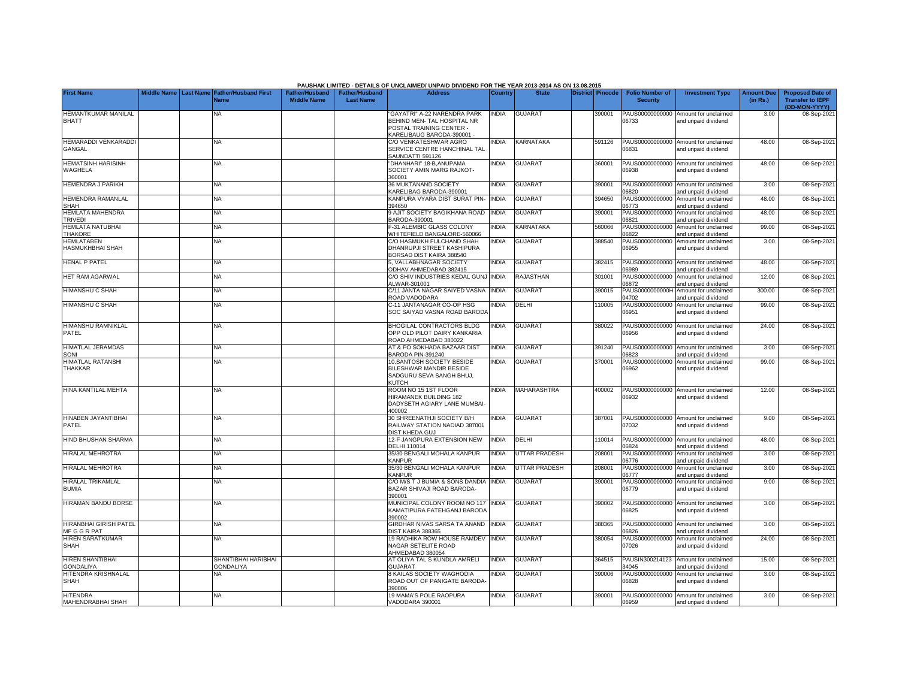|                                                      |                         |                                     |                                             |                                           | PAUSHAK LIMITED - DETAILS OF UNCLAIMED/ UNPAID DIVIDEND FOR THE YEAR 2013-2014 AS ON 13.08.2015                                                                                                                                                                                                                                   |                |                      |                  |                                           |                                                             |                               |                                                                     |
|------------------------------------------------------|-------------------------|-------------------------------------|---------------------------------------------|-------------------------------------------|-----------------------------------------------------------------------------------------------------------------------------------------------------------------------------------------------------------------------------------------------------------------------------------------------------------------------------------|----------------|----------------------|------------------|-------------------------------------------|-------------------------------------------------------------|-------------------------------|---------------------------------------------------------------------|
| <b>First Name</b>                                    | Middle Name   Last Name | <b>Father/Husband First</b><br>Name | <b>Father/Husband</b><br><b>Middle Name</b> | <b>Father/Husband</b><br><b>Last Name</b> | <b>Address</b>                                                                                                                                                                                                                                                                                                                    | <b>Country</b> | <b>State</b>         | District Pincode | <b>Folio Number of</b><br><b>Security</b> | <b>Investment Type</b>                                      | <b>Amount Due</b><br>(in Rs.) | <b>Proposed Date of</b><br><b>Transfer to IEPF</b><br>(DD-MON-YYYY) |
| <b>HEMANTKUMAR MANILAL</b><br><b>BHATT</b>           |                         | NA                                  |                                             |                                           | 'GAYATRI" A-22 NARENDRA PARK<br>BEHIND MEN- TAL HOSPITAL NR<br>POSTAL TRAINING CENTER -<br><arelibaug -<="" baroda-390001="" td=""><td><b>INDIA</b></td><td><b>GUJARA1</b></td><td>390001</td><td>PAUS00000000000<br/>06733</td><td>Amount for unclaimed<br/>and unpaid dividend</td><td>3.00</td><td>08-Sep-202</td></arelibaug> | <b>INDIA</b>   | <b>GUJARA1</b>       | 390001           | PAUS00000000000<br>06733                  | Amount for unclaimed<br>and unpaid dividend                 | 3.00                          | 08-Sep-202                                                          |
| HEMARADDI VENKARADDI<br>GANGAL                       |                         | <b>NA</b>                           |                                             |                                           | C/O VENKATESHWAR AGRO<br>SERVICE CENTRE HANCHINAL TAL<br>SAUNDATTI 591126                                                                                                                                                                                                                                                         | INDIA          | KARNATAKA            | 591126           | 6831                                      | PAUS00000000000 Amount for unclaimed<br>and unpaid dividend | 48.00                         | 08-Sep-202                                                          |
| <b>HEMATSINH HARISINH</b><br>WAGHELA                 |                         | ΝA                                  |                                             |                                           | DHANHARI" 18-B, ANUPAMA<br>SOCIETY AMIN MARG RAJKOT-<br>360001                                                                                                                                                                                                                                                                    | INDIA          | <b>GUJARAT</b>       | 360001           | 6938                                      | PAUS00000000000 Amount for unclaimed<br>and unpaid dividend | 48.00                         | 08-Sep-2021                                                         |
| <b>HEMENDRA J PARIKH</b>                             |                         | ΝA                                  |                                             |                                           | <b>86 MUKTANAND SOCIETY</b><br><b>KARELIBAG BARODA-390001</b>                                                                                                                                                                                                                                                                     | INDIA          | <b>GUJARAT</b>       | 390001           | 6820                                      | PAUS00000000000 Amount for unclaimed<br>and unpaid dividend | 3.00                          | 08-Sep-202                                                          |
| HEMENDRA RAMANLAL<br><b>SHAH</b>                     |                         | ΝA                                  |                                             |                                           | KANPURA VYARA DIST SURAT PIN-<br>394650                                                                                                                                                                                                                                                                                           | <b>INDIA</b>   | <b>GUJARAT</b>       | 394650           | PAUS00000000000<br>6773                   | Amount for unclaimed<br>nd unpaid dividend                  | 48.00                         | 08-Sep-202                                                          |
| <b>HEMLATA MAHENDRA</b><br><b>TRIVEDI</b>            |                         | ΝA                                  |                                             |                                           | <b>AJIT SOCIETY BAGIKHANA ROAD</b><br>3ARODA-390001                                                                                                                                                                                                                                                                               | <b>INDIA</b>   | <b>GUJARAT</b>       | 390001           | PAUS00000000000<br>6821                   | Amount for unclaimed<br>nd unpaid dividend                  | 48.00                         | 08-Sep-202                                                          |
| <b>HEMLATA NATUBHAI</b><br><b>THAKORE</b>            |                         | <b>NA</b>                           |                                             |                                           | -31 ALEMBIC GLASS COLONY<br>VHITEFIELD BANGALORE-560066                                                                                                                                                                                                                                                                           | <b>NDIA</b>    | <b>KARNATAKA</b>     | 560066           | PAUS00000000000<br>06822                  | Amount for unclaimed<br>and unpaid dividend                 | 99.00                         | 08-Sep-202                                                          |
| <b>HEMLATABEN</b><br>HASMUKHBHAI SHAH                |                         | <b>NA</b>                           |                                             |                                           | <b>CO HASMUKH FULCHAND SHAH</b><br><b>DHANRUPJI STREET KASHIPURA</b><br><b>BORSAD DIST KAIRA 388540</b>                                                                                                                                                                                                                           | <b>NDIA</b>    | <b>GUJARAT</b>       | 388540           | PAUS00000000000<br>06955                  | Amount for unclaimed<br>and unpaid dividend                 | 3.00                          | 08-Sep-202                                                          |
| <b>HENAL P PATEL</b>                                 |                         | NA                                  |                                             |                                           | . VALLABHNAGAR SOCIETY<br>ODHAV AHMEDABAD 382415                                                                                                                                                                                                                                                                                  | <b>INDIA</b>   | <b>GUJARAT</b>       | 382415           | PAUS00000000000<br>6989                   | Amount for unclaimed<br>and unpaid dividend                 | 48.00                         | 08-Sep-202                                                          |
| <b>HET RAM AGARWAL</b>                               |                         | <b>NA</b>                           |                                             |                                           | C/O SHIV INDUSTRIES KEDAL GUNJ INDIA<br><b>LWAR-301001</b>                                                                                                                                                                                                                                                                        |                | RAJASTHAN            | 301001           | PAUS00000000000<br>6872                   | Amount for unclaimed<br>and unpaid dividend                 | 12.00                         | 08-Sep-202                                                          |
| <b>HIMANSHU C SHAH</b>                               |                         | <b>NA</b>                           |                                             |                                           | C/11 JANTA NAGAR SAIYED VASNA<br><b>ROAD VADODARA</b>                                                                                                                                                                                                                                                                             | <b>INDIA</b>   | <b>GUJARAT</b>       | 390015           | PAUS0000000000H<br>4702                   | Amount for unclaimed<br>and unpaid dividend                 | 300.00                        | 08-Sep-202                                                          |
| <b>HIMANSHU C SHAH</b>                               |                         | NA                                  |                                             |                                           | C-11 JANTANAGAR CO-OP HSG<br>SOC SAIYAD VASNA ROAD BARODA                                                                                                                                                                                                                                                                         | <b>NDIA</b>    | DELHI                | 10005            | PAUS00000000000<br>06951                  | Amount for unclaimed<br>and unpaid dividend                 | 99.00                         | 08-Sep-202                                                          |
| HIMANSHU RAMNIKLAL<br>PATEL                          |                         | <b>NA</b>                           |                                             |                                           | BHOGILAL CONTRACTORS BLDG<br>OPP OLD PILOT DAIRY KANKARIA<br>ROAD AHMEDABAD 380022                                                                                                                                                                                                                                                | <b>NDIA</b>    | <b>GUJARAT</b>       | 380022           | 06956                                     | PAUS00000000000 Amount for unclaimed<br>and unpaid dividend | 24.00                         | 08-Sep-202                                                          |
| <b>HIMATLAL JERAMDAS</b><br>SONI                     |                         | ΝA                                  |                                             |                                           | AT & PO SOKHADA BAZAAR DIST<br>BARODA PIN-391240                                                                                                                                                                                                                                                                                  | <b>INDIA</b>   | <b>GUJARAT</b>       | 391240           | PAUS00000000000<br>06823                  | Amount for unclaimed<br>and unpaid dividend                 | 3.00                          | 08-Sep-202                                                          |
| <b>HIMATLAL RATANSHI</b><br>THAKKAR                  |                         | NA                                  |                                             |                                           | 10, SANTOSH SOCIETY BESIDE<br>BILESHWAR MANDIR BESIDE<br>SADGURU SEVA SANGH BHUJ,<br><b>KUTCH</b>                                                                                                                                                                                                                                 | INDIA          | <b>GUJARAT</b>       | 370001           | PAUS00000000000<br>06962                  | Amount for unclaimed<br>and unpaid dividend                 | 99.00                         | 08-Sep-202                                                          |
| HINA KANTILAL MEHTA                                  |                         | ΝA                                  |                                             |                                           | ROOM NO 15 1ST FLOOR<br>HIRAMANEK BUILDING 182<br>DADYSETH AGIARY LANE MUMBAI-<br>400002                                                                                                                                                                                                                                          | <b>INDIA</b>   | <b>MAHARASHTRA</b>   | 400002           | 06932                                     | PAUS00000000000 Amount for unclaimed<br>and unpaid dividend | 12.00                         | 08-Sep-202                                                          |
| HINABEN JAYANTIBHAI<br>PATEL                         |                         | <b>NA</b>                           |                                             |                                           | 30 SHREENATHJI SOCIETY B/H<br>RAILWAY STATION NADIAD 387001<br>DIST KHEDA GUJ                                                                                                                                                                                                                                                     | <b>NDIA</b>    | <b>GUJARAT</b>       | 387001           | 07032                                     | PAUS00000000000 Amount for unclaimed<br>and unpaid dividend | 9.00                          | 08-Sep-202                                                          |
| HIND BHUSHAN SHARMA                                  |                         | <b>NA</b>                           |                                             |                                           | 12-F JANGPURA EXTENSION NEW<br><b>DELHI 110014</b>                                                                                                                                                                                                                                                                                | INDIA          | DELHI                | 110014           | 6824                                      | PAUS00000000000 Amount for unclaimed<br>and unpaid dividend | 48.00                         | 08-Sep-202                                                          |
| HIRALAL MEHROTRA                                     |                         | NA                                  |                                             |                                           | 35/30 BENGALI MOHALA KANPUR<br><b>KANPUR</b>                                                                                                                                                                                                                                                                                      | INDIA          | <b>UTTAR PRADESH</b> | 208001           | 06776                                     | PAUS00000000000 Amount for unclaimed<br>and unpaid dividend | 3.00                          | 08-Sep-202                                                          |
| HIRALAL MEHROTRA                                     |                         | NA                                  |                                             |                                           | 35/30 BENGALI MOHALA KANPUR<br><b><i>CANPUR</i></b>                                                                                                                                                                                                                                                                               | INDIA          | UTTAR PRADESH        | 208001           | PAUS00000000000<br>06777                  | Amount for unclaimed<br>and unpaid dividend                 | 3.00                          | 08-Sep-202                                                          |
| <b>HIRALAL TRIKAMLAL</b><br><b>BUMIA</b>             |                         | <b>NA</b>                           |                                             |                                           | C/O M/S T J BUMIA & SONS DANDIA<br>BAZAR SHIVAJI ROAD BARODA-<br>390001                                                                                                                                                                                                                                                           | <b>INDIA</b>   | <b>GUJARAT</b>       | 390001           | PAUS00000000000<br>06779                  | Amount for unclaimed<br>and unpaid dividend                 | 9.00                          | 08-Sep-202                                                          |
| HIRAMAN BANDU BORSE                                  |                         | <b>NA</b>                           |                                             |                                           | MUNICIPAL COLONY ROOM NO 117<br>KAMATIPURA FATEHGANJ BARODA<br>390002                                                                                                                                                                                                                                                             | <b>INDIA</b>   | <b>GUJARAT</b>       | 390002           | PAUS00000000000<br>06825                  | Amount for unclaimed<br>and unpaid dividend                 | 3.00                          | 08-Sep-202                                                          |
| <b>HIRANBHAI GIRISH PATEL</b><br><b>MF G G R PAT</b> |                         | <b>NA</b>                           |                                             |                                           | GIRDHAR NIVAS SARSA TA ANAND<br><b>DIST KAIRA 388365</b>                                                                                                                                                                                                                                                                          | <b>INDIA</b>   | <b>GUJARAT</b>       | 388365           | 06826                                     | PAUS00000000000 Amount for unclaimed<br>and unpaid dividend | 3.00                          | 08-Sep-202                                                          |
| <b>HIREN SARATKUMAR</b><br><b>SHAH</b>               |                         | NA                                  |                                             |                                           | 19 RADHIKA ROW HOUSE RAMDEV<br>NAGAR SETELITE ROAD<br>AHMEDABAD 380054                                                                                                                                                                                                                                                            | <b>INDIA</b>   | <b>GUJARAT</b>       | 380054           | PAUS00000000000<br>07026                  | Amount for unclaimed<br>and unpaid dividend                 | 24.00                         | 08-Sep-2021                                                         |
| <b>HIREN SHANTIBHAI</b><br><b>GONDALIYA</b>          |                         | SHANTIBHAI HARIBHAI<br>GONDALIYA    |                                             |                                           | AT OLIYA TAL S KUNDLA AMRELI<br><b>GUJARAT</b>                                                                                                                                                                                                                                                                                    | <b>NDIA</b>    | <b>GUJARAT</b>       | 364515           | PAUSIN300214123<br>34045                  | Amount for unclaimed<br>and unpaid dividend                 | 15.00                         | 08-Sep-202                                                          |
| HITENDRA KRISHNALAL<br><b>SHAH</b>                   |                         | <b>NA</b>                           |                                             |                                           | <b>KAILAS SOCIETY WAGHODIA</b><br>ROAD OUT OF PANIGATE BARODA<br>390006                                                                                                                                                                                                                                                           | <b>NDIA</b>    | <b>GUJARAT</b>       | 390006           | PAUS00000000000<br>06828                  | Amount for unclaimed<br>and unpaid dividend                 | 3.00                          | 08-Sep-202                                                          |
| <b>HITENDRA</b><br>MAHENDRABHAI SHAH                 |                         | <b>NA</b>                           |                                             |                                           | 19 MAMA'S POLE RAOPURA<br>VADODARA 390001                                                                                                                                                                                                                                                                                         | INDIA          | <b>GUJARAT</b>       | 390001           | 06959                                     | PAUS00000000000 Amount for unclaimed<br>and unpaid dividend | 3.00                          | 08-Sep-2021                                                         |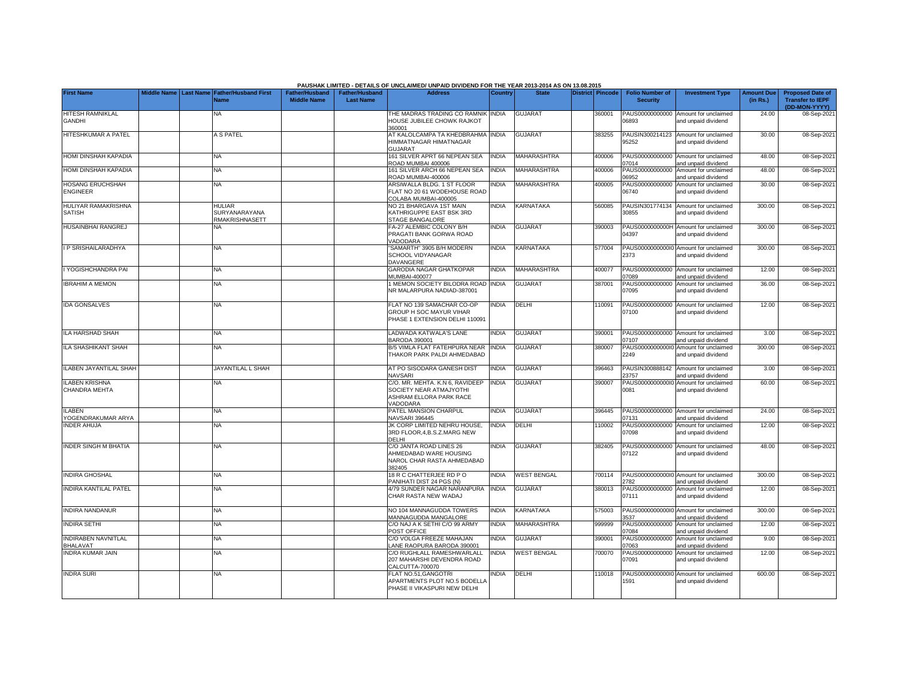|                                               |  |                                                               |                                             |                                           | PAUSHAK LIMITED - DETAILS OF UNCLAIMED/ UNPAID DIVIDEND FOR THE YEAR 2013-2014 AS ON 13.08.2015          |                |                    |                         |                                           |                                                             |                               |                                                                     |
|-----------------------------------------------|--|---------------------------------------------------------------|---------------------------------------------|-------------------------------------------|----------------------------------------------------------------------------------------------------------|----------------|--------------------|-------------------------|-------------------------------------------|-------------------------------------------------------------|-------------------------------|---------------------------------------------------------------------|
| <b>First Name</b>                             |  | Middle Name   Last Name   Father/Husband First<br><b>Name</b> | <b>Father/Husband</b><br><b>Middle Name</b> | <b>Father/Husband</b><br><b>Last Name</b> | <b>Address</b>                                                                                           | <b>Country</b> | <b>State</b>       | <b>District Pincode</b> | <b>Folio Number of</b><br><b>Security</b> | <b>Investment Type</b>                                      | <b>Amount Due</b><br>(in Rs.) | <b>Proposed Date of</b><br><b>Transfer to IEPF</b><br>(DD-MON-YYYY) |
| <b>HITESH RAMNIKLAL</b><br><b>GANDHI</b>      |  | NA                                                            |                                             |                                           | THE MADRAS TRADING CO RAMNIK<br>HOUSE JUBILEE CHOWK RAJKOT<br>360001                                     | <b>INDIA</b>   | <b>GUJARAT</b>     | 360001                  | PAUS00000000000<br>06893                  | Amount for unclaimed<br>and unpaid dividend                 | 24.00                         | 08-Sep-202                                                          |
| HITESHKUMAR A PATEL                           |  | A S PATEL                                                     |                                             |                                           | <b>AT KALOLCAMPA TA KHEDBRAHMA</b><br>HIMMATNAGAR HIMATNAGAR<br>GUJARAT                                  | <b>INDIA</b>   | <b>GUJARAT</b>     | 383255                  | 95252                                     | PAUSIN300214123 Amount for unclaimed<br>and unpaid dividend | 30.00                         | 08-Sep-202                                                          |
| HOMI DINSHAH KAPADIA                          |  | ΝA                                                            |                                             |                                           | 161 SILVER APRT 66 NEPEAN SEA<br><b>ROAD MUMBAI 400006</b>                                               | <b>INDIA</b>   | MAHARASHTRA        | 400006                  | 7014                                      | PAUS00000000000 Amount for unclaimed<br>and unpaid dividend | 48.00                         | 08-Sep-202                                                          |
| HOMI DINSHAH KAPADIA                          |  | <b>NA</b>                                                     |                                             |                                           | 161 SILVER ARCH 66 NEPEAN SEA<br>ROAD MUMBAI-400006                                                      | <b>INDIA</b>   | MAHARASHTRA        | 400006                  | 06952                                     | PAUS00000000000 Amount for unclaimed<br>and unpaid dividend | 48.00                         | 08-Sep-202                                                          |
| <b>HOSANG ERUCHSHAH</b><br><b>ENGINEER</b>    |  | NA                                                            |                                             |                                           | ARSIWALLA BLDG. 1 ST FLOOR<br>FLAT NO 20 61 WODEHOUSE ROAD<br>COLABA MUMBAI-400005                       | <b>NDIA</b>    | <b>MAHARASHTRA</b> | 400005                  | PAUS00000000000<br>06740                  | Amount for unclaimed<br>and unpaid dividend                 | 30.00                         | 08-Sep-202                                                          |
| HULIYAR RAMAKRISHNA<br><b>SATISH</b>          |  | HULIAR<br>SURYANARAYANA<br>RMAKRISHNASETT                     |                                             |                                           | NO 21 BHARGAVA 1ST MAIN<br>KATHRIGUPPE EAST BSK 3RD<br>STAGE BANGALORE                                   | <b>INDIA</b>   | KARNATAKA          | 560085                  | PAUSIN301774134<br>30855                  | Amount for unclaimed<br>and unpaid dividend                 | 300.00                        | 08-Sep-202                                                          |
| HUSAINBHAI RANGREJ                            |  | NΑ                                                            |                                             |                                           | A-27 ALEMBIC COLONY B/H<br>PRAGATI BANK GORWA ROAD<br>VADODARA                                           | <b>INDIA</b>   | <b>GUJARAT</b>     | 390003                  | PAUS0000000000H<br>04397                  | Amount for unclaimed<br>and unpaid dividend                 | 300.00                        | 08-Sep-202                                                          |
| I P SRISHAILARADHYA                           |  | <b>NA</b>                                                     |                                             |                                           | SAMARTH" 3905 B/H MODERN<br><b>SCHOOL VIDYANAGAR</b><br>DAVANGERE                                        | <b>INDIA</b>   | KARNATAKA          | 577004                  | 2373                                      | PAUS00000000000 Amount for unclaimed<br>and unpaid dividend | 300.00                        | 08-Sep-202                                                          |
| I YOGISHCHANDRA PAI                           |  | <b>NA</b>                                                     |                                             |                                           | GARODIA NAGAR GHATKOPAR<br><b>MUMBAI-400077</b>                                                          | <b>NDIA</b>    | MAHARASHTRA        | 400077                  | )7089                                     | PAUS00000000000 Amount for unclaimed<br>and unpaid dividend | 12.00                         | 08-Sep-202                                                          |
| <b>IBRAHIM A MEMON</b>                        |  | <b>NA</b>                                                     |                                             |                                           | MEMON SOCIETY BILODRA ROAD INDIA<br>NR MALARPURA NADIAD-387001                                           |                | <b>GUJARAT</b>     | 387001                  | PAUS00000000000<br>07095                  | Amount for unclaimed<br>and unpaid dividend                 | 36.00                         | 08-Sep-202                                                          |
| <b>IDA GONSALVES</b>                          |  | <b>NA</b>                                                     |                                             |                                           | FLAT NO 139 SAMACHAR CO-OP<br><b>GROUP H SOC MAYUR VIHAR</b><br>PHASE 1 EXTENSION DELHI 110091           | <b>INDIA</b>   | DELHI              | 110091                  | PAUS00000000000<br>07100                  | Amount for unclaimed<br>and unpaid dividend                 | 12.00                         | 08-Sep-202                                                          |
| <b>ILA HARSHAD SHAH</b>                       |  | ΝA                                                            |                                             |                                           | LADWADA KATWALA'S LANE<br>3ARODA 390001                                                                  | <b>INDIA</b>   | <b>GUJARAT</b>     | 390001                  | 07107                                     | PAUS00000000000 Amount for unclaimed<br>and unpaid dividend | 3.00                          | 08-Sep-202                                                          |
| ILA SHASHIKANT SHAH                           |  | ΝA                                                            |                                             |                                           | B/5 VIMLA FLAT FATEHPURA NEAR<br>THAKOR PARK PALDI AHMEDABAD                                             | <b>INDIA</b>   | <b>GUJARA1</b>     | 380007                  | 2249                                      | PAUS00000000000 Amount for unclaimed<br>and unpaid dividend | 300.00                        | 08-Sep-202                                                          |
| ILABEN JAYANTILAL SHAH                        |  | JAYANTILAL L SHAH                                             |                                             |                                           | AT PO SISODARA GANESH DIST<br>NAVSARI                                                                    | <b>INDIA</b>   | <b>GUJARAT</b>     | 396463                  | 23757                                     | PAUSIN300888142 Amount for unclaimed<br>and unpaid dividend | 3.00                          | 08-Sep-202                                                          |
| <b>ILABEN KRISHNA</b><br><b>CHANDRA MEHTA</b> |  | <b>NA</b>                                                     |                                             |                                           | C/O. MR. MEHTA, K.N 6. RAVIDEEP<br>SOCIETY NEAR ATMAJYOTHI<br>ASHRAM ELLORA PARK RACE<br><b>/ADODARA</b> | INDIA          | <b>GUJARAT</b>     | 390007                  | PAUS000000000010<br>0081                  | Amount for unclaimed<br>and unpaid dividend                 | 60.00                         | 08-Sep-202                                                          |
| <b>ILABEN</b><br>YOGENDRAKUMAR ARYA           |  | <b>NA</b>                                                     |                                             |                                           | PATEL MANSION CHARPUL<br><b>JAVSARI 396445</b>                                                           | <b>INDIA</b>   | <b>GUJARAT</b>     | 396445                  | PAUS00000000000<br>07131                  | Amount for unclaimed<br>and unpaid dividend                 | 24.00                         | 08-Sep-202                                                          |
| <b>INDER AHUJA</b>                            |  | NA                                                            |                                             |                                           | JK CORP LIMITED NEHRU HOUSE,<br>3RD FLOOR, 4, B.S.Z.MARG NEW<br><b>DELHI</b>                             | <b>INDIA</b>   | DELHI              | 10002                   | PAUS00000000000<br>07098                  | Amount for unclaimed<br>and unpaid dividend                 | 12.00                         | 08-Sep-202                                                          |
| <b>INDER SINGH M BHATIA</b>                   |  | NA                                                            |                                             |                                           | C/O JANTA ROAD LINES 26<br>AHMEDABAD WARE HOUSING<br>NAROL CHAR RASTA AHMEDABAD<br>382405                | <b>INDIA</b>   | <b>GUJARAT</b>     | 382405                  | 07122                                     | PAUS00000000000 Amount for unclaimed<br>and unpaid dividend | 48.00                         | 08-Sep-202                                                          |
| <b>INDIRA GHOSHAL</b>                         |  | <b>NA</b>                                                     |                                             |                                           | 18 R C CHATTERJEE RD P O<br>PANIHATI DIST 24 PGS (N)                                                     | <b>INDIA</b>   | <b>WEST BENGAL</b> | 700114                  | 2782                                      | PAUS00000000000 Amount for unclaimed<br>and unpaid dividend | 300.00                        | 08-Sep-202                                                          |
| <b>INDIRA KANTILAL PATEL</b>                  |  | NA                                                            |                                             |                                           | 1/79 SUNDER NAGAR NARANPURA<br>CHAR RASTA NEW WADAJ                                                      | <b>INDIA</b>   | <b>GUJARAT</b>     | 380013                  | PAUS00000000000<br>07111                  | Amount for unclaimed<br>and unpaid dividend                 | 12.00                         | 08-Sep-202                                                          |
| <b>INDIRA NANDANUR</b>                        |  | <b>NA</b>                                                     |                                             |                                           | <b>VO 104 MANNAGUDDA TOWERS</b><br><b>MANNAGUDDA MANGALORE</b>                                           | <b>INDIA</b>   | <b>KARNATAKA</b>   | 575003                  | PAUS00000000000<br>1537                   | Amount for unclaimed<br>and unpaid dividend                 | 300.00                        | 08-Sep-202                                                          |
| <b>INDIRA SETHI</b>                           |  | ΝA                                                            |                                             |                                           | C/O NAJ A K SETHI C/O 99 ARMY<br>POST OFFICE                                                             | <b>NDIA</b>    | MAHARASHTRA        | 999999                  | PAUS00000000000<br>07084                  | Amount for unclaimed<br>and unpaid dividend                 | 12.00                         | 08-Sep-202                                                          |
| INDIRABEN NAVNITLAL<br><b>BHALAVAT</b>        |  | ΝA                                                            |                                             |                                           | C/O VOLGA FREEZE MAHAJAN<br>ANE RAOPURA BARODA 390001                                                    | INDIA          | GUJARAT            | 390001                  | PAUS00000000000<br>07063                  | Amount for unclaimed<br>and unpaid dividend                 | 9.00                          | 08-Sep-202                                                          |
| <b>INDRA KUMAR JAIN</b>                       |  | NA                                                            |                                             |                                           | C/O RUGHLALL RAMESHWARLALL<br>207 MAHARSHI DEVENDRA ROAD<br>CALCUTTA-700070                              | INDIA          | <b>WEST BENGAL</b> | 700070                  | PAUS00000000000<br>07091                  | Amount for unclaimed<br>and unpaid dividend                 | 12.00                         | 08-Sep-2021                                                         |
| <b>INDRA SURI</b>                             |  | NA                                                            |                                             |                                           | <b>FLAT NO.51.GANGOTRI</b><br>APARTMENTS PLOT NO.5 BODELLA<br>PHASE II VIKASPURI NEW DELHI               | <b>NDIA</b>    | DELHI              | 10018                   | 1591                                      | PAUS00000000000 Amount for unclaimed<br>and unpaid dividend | 600.00                        | 08-Sep-202                                                          |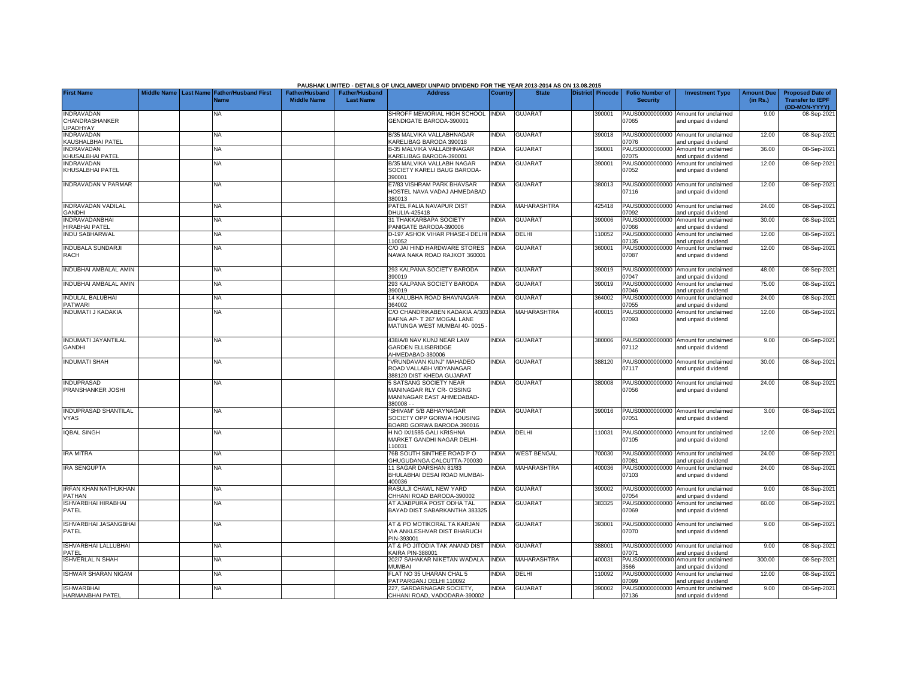|                                                        |                    |                  |                                     |                                             |                                    | PAUSHAK LIMITED - DETAILS OF UNCLAIMED/ UNPAID DIVIDEND FOR THE YEAR 2013-2014 AS ON 13.08.2015   |              |                    |                  |                                           |                                                             |                               |                                                                     |
|--------------------------------------------------------|--------------------|------------------|-------------------------------------|---------------------------------------------|------------------------------------|---------------------------------------------------------------------------------------------------|--------------|--------------------|------------------|-------------------------------------------|-------------------------------------------------------------|-------------------------------|---------------------------------------------------------------------|
| <b>First Name</b>                                      | <b>Middle Name</b> | <b>Last Name</b> | <b>Father/Husband First</b><br>Name | <b>Father/Husband</b><br><b>Middle Name</b> | Father/Husband<br><b>Last Name</b> | <b>Address</b>                                                                                    | Country      | <b>State</b>       | District Pincode | <b>Folio Number of</b><br><b>Security</b> | <b>Investment Type</b>                                      | <b>Amount Due</b><br>(in Rs.) | <b>Proposed Date of</b><br><b>Transfer to IEPF</b><br>(DD-MON-YYYY) |
| <b>INDRAVADAN</b><br>CHANDRASHANKER<br><b>UPADHYAY</b> |                    |                  | NA                                  |                                             |                                    | SHROFF MEMORIAL HIGH SCHOOL<br>GENDIGATE BARODA-390001                                            | <b>INDIA</b> | <b>GUJARAT</b>     | 390001           | PAUS00000000000<br>07065                  | Amount for unclaimed<br>and unpaid dividend                 | 9.00                          | 08-Sep-2021                                                         |
| <b>INDRAVADAN</b><br><b>KAUSHALBHAI PATEL</b>          |                    |                  | <b>NA</b>                           |                                             |                                    | B/35 MALVIKA VALLABHNAGAR<br><b>CARELIBAG BARODA 390018</b>                                       | <b>INDIA</b> | <b>GUJARAT</b>     | 390018           | PAUS00000000000<br>07076                  | Amount for unclaimed<br>and unpaid dividend                 | 12.00                         | 08-Sep-2021                                                         |
| <b>INDRAVADAN</b><br>KHUSALBHAI PATEL                  |                    |                  | <b>NA</b>                           |                                             |                                    | <b>B-35 MALVIKA VALLABHNAGAR</b><br>(ARELIBAG BARODA-390001                                       | <b>NDIA</b>  | <b>GUJARAT</b>     | 390001           | PAUS00000000000<br>07075                  | Amount for unclaimed<br>and unpaid dividend                 | 36.00                         | 08-Sep-2021                                                         |
| <b>INDRAVADAN</b><br>KHUSALBHAI PATEL                  |                    |                  | NA                                  |                                             |                                    | B/35 MALVIKA VALLABH NAGAR<br>SOCIETY KARELI BAUG BARODA-<br>390001                               | <b>NDIA</b>  | <b>GUJARAT</b>     | 390001           | PAUS00000000000<br>07052                  | Amount for unclaimed<br>and unpaid dividend                 | 12.00                         | 08-Sep-2021                                                         |
| <b>INDRAVADAN V PARMAR</b>                             |                    |                  | NA                                  |                                             |                                    | E7/83 VISHRAM PARK BHAVSAR<br>HOSTEL NAVA VADAJ AHMEDABAD<br>380013                               | INDIA        | <b>GUJARAT</b>     | 380013           | 07116                                     | PAUS00000000000 Amount for unclaimed<br>and unpaid dividend | 12.00                         | 08-Sep-2021                                                         |
| <b>INDRAVADAN VADILAL</b><br><b>GANDHI</b>             |                    |                  | NA                                  |                                             |                                    | PATEL FALIA NAVAPUR DIST<br>DHULIA-425418                                                         | INDIA        | <b>MAHARASHTRA</b> | 425418           | PAUS00000000000<br>07092                  | Amount for unclaimed<br>and unpaid dividend                 | 24.00                         | 08-Sep-2021                                                         |
| <b>INDRAVADANBHAI</b><br><b>HIRABHAI PATEL</b>         |                    |                  | <b>NA</b>                           |                                             |                                    | 31 THAKKARBAPA SOCIETY<br>PANIGATE BARODA-390006                                                  | <b>NDIA</b>  | <b>GUJARAT</b>     | 390006           | PAUS00000000000<br>07066                  | Amount for unclaimed<br>and unpaid dividend                 | 30.00                         | 08-Sep-2021                                                         |
| <b>INDU SABHARWAL</b>                                  |                    |                  | NA                                  |                                             |                                    | D-197 ASHOK VIHAR PHASE-I DELH<br>110052                                                          | <b>INDIA</b> | DELHI              | 110052           | PAUS00000000000<br>07135                  | Amount for unclaimed<br>and unpaid dividend                 | 12.00                         | 08-Sep-2021                                                         |
| <b>INDUBALA SUNDARJI</b><br>RACH                       |                    |                  | <b>NA</b>                           |                                             |                                    | C/O JAI HIND HARDWARE STORES<br>NAWA NAKA ROAD RAJKOT 360001                                      | INDIA        | <b>GUJARAT</b>     | 360001           | PAUS00000000000<br>07087                  | Amount for unclaimed<br>and unpaid dividend                 | 12.00                         | 08-Sep-2021                                                         |
| INDUBHAI AMBALAL AMIN                                  |                    |                  | NA                                  |                                             |                                    | 293 KALPANA SOCIETY BARODA<br>390019                                                              | INDIA        | <b>GUJARAT</b>     | 390019           | PAUS00000000000<br>07047                  | Amount for unclaimed<br>and unpaid dividend                 | 48.00                         | 08-Sep-2021                                                         |
| <b>INDUBHAI AMBALAL AMIN</b>                           |                    |                  | <b>NA</b>                           |                                             |                                    | 293 KALPANA SOCIETY BARODA<br>390019                                                              | <b>NDIA</b>  | <b>GUJARAT</b>     | 390019           | PAUS00000000000<br>07046                  | Amount for unclaimed<br>and unpaid dividend                 | 75.00                         | 08-Sep-2021                                                         |
| <b>INDULAL BALUBHAI</b><br>PATWARI                     |                    |                  | <b>NA</b>                           |                                             |                                    | 14 KALUBHA ROAD BHAVNAGAR-<br>364002                                                              | <b>INDIA</b> | <b>GUJARAT</b>     | 364002           | PAUS00000000000<br>07055                  | Amount for unclaimed<br>and unpaid dividend                 | 24.00                         | 08-Sep-2021                                                         |
| <b>INDUMATI J KADAKIA</b>                              |                    |                  | NA                                  |                                             |                                    | C/O CHANDRIKABEN KADAKIA A/303 INDIA<br>BAFNA AP- T 267 MOGAL LANE<br>MATUNGA WEST MUMBAI 40-0015 |              | MAHARASHTRA        | 400015           | PAUS00000000000<br>07093                  | Amount for unclaimed<br>and unpaid dividend                 | 12.00                         | 08-Sep-2021                                                         |
| <b>INDUMATI JAYANTILAL</b><br><b>GANDHI</b>            |                    |                  | NA.                                 |                                             |                                    | 438/A/8 NAV KUNJ NEAR LAW<br><b>GARDEN ELLISBRIDGE</b><br>AHMEDABAD-380006                        | INDIA        | <b>GUJARAT</b>     | 380006           | PAUS00000000000<br>07112                  | Amount for unclaimed<br>and unpaid dividend                 | 9.00                          | 08-Sep-2021                                                         |
| <b>INDUMATI SHAH</b>                                   |                    |                  | <b>NA</b>                           |                                             |                                    | 'VRUNDAVAN KUNJ" MAHADEO<br>ROAD VALLABH VIDYANAGAR<br>388120 DIST KHEDA GUJARAT                  | INDIA        | <b>GUJARAT</b>     | 388120           | PAUS00000000000<br>07117                  | Amount for unclaimed<br>and unpaid dividend                 | 30.00                         | 08-Sep-2021                                                         |
| <b>INDUPRASAD</b><br>PRANSHANKER JOSHI                 |                    |                  | <b>NA</b>                           |                                             |                                    | 5 SATSANG SOCIETY NEAR<br>MANINAGAR RLY CR-OSSING<br>MANINAGAR EAST AHMEDABAD-<br>- - 80008       | INDIA        | <b>GUJARAT</b>     | 380008           | PAUS00000000000<br>07056                  | Amount for unclaimed<br>and unpaid dividend                 | 24.00                         | 08-Sep-2021                                                         |
| <b>INDUPRASAD SHANTILAL</b><br><b>VYAS</b>             |                    |                  | NA.                                 |                                             |                                    | 'SHIVAM" 5/B ABHAYNAGAR<br>SOCIETY OPP GORWA HOUSING<br>3OARD GORWA BARODA 390016                 | <b>NDIA</b>  | <b>GUJARAT</b>     | 390016           | 07051                                     | PAUS00000000000 Amount for unclaimed<br>and unpaid dividend | 3.00                          | 08-Sep-2021                                                         |
| <b>IQBAL SINGH</b>                                     |                    |                  | ΝA                                  |                                             |                                    | H NO IX/1585 GALI KRISHNA<br>MARKET GANDHI NAGAR DELHI-<br>110031                                 | <b>NDIA</b>  | DELHI              | 110031           | PAUS00000000000<br>07105                  | Amount for unclaimed<br>and unpaid dividend                 | 12.00                         | 08-Sep-2021                                                         |
| <b>IRA MITRA</b>                                       |                    |                  | NA                                  |                                             |                                    | 76B SOUTH SINTHEE ROAD PO<br><b>SHUGUDANGA CALCUTTA-700030</b>                                    | INDIA        | <b>WEST BENGAL</b> | 700030           | PAUS00000000000<br>07081                  | Amount for unclaimed<br>and unpaid dividend                 | 24.00                         | 08-Sep-2021                                                         |
| <b>IRA SENGUPTA</b>                                    |                    |                  | NA.                                 |                                             |                                    | 11 SAGAR DARSHAN 81/83<br>BHULABHAI DESAI ROAD MUMBAI-<br>400036                                  | <b>NDIA</b>  | <b>MAHARASHTRA</b> | 400036           | PAUS00000000000<br>07103                  | Amount for unclaimed<br>and unpaid dividend                 | 24.00                         | 08-Sep-2021                                                         |
| <b>IRFAN KHAN NATHUKHAN</b><br>PATHAN                  |                    |                  | NA                                  |                                             |                                    | RASULJI CHAWL NEW YARD<br>CHHANI ROAD BARODA-390002                                               | INDIA        | <b>GUJARAT</b>     | 390002           | PAUS00000000000<br>07054                  | Amount for unclaimed<br>and unpaid dividend                 | 9.00                          | 08-Sep-2021                                                         |
| ISHVARBHAI HIRABHAI<br>PATEL                           |                    |                  | <b>NA</b>                           |                                             |                                    | AT AJABPURA POST ODHA TAL<br>BAYAD DIST SABARKANTHA 383325                                        | <b>NDIA</b>  | <b>GUJARAT</b>     | 383325           | PAUS00000000000<br>07069                  | Amount for unclaimed<br>and unpaid dividend                 | 60.00                         | 08-Sep-2021                                                         |
| <b>ISHVARBHAI JASANGBHAI</b><br>PATEL                  |                    |                  | <b>NA</b>                           |                                             |                                    | AT & PO MOTIKORAL TA KARJAN<br>VIA ANKLESHVAR DIST BHARUCH<br>PIN-393001                          | <b>NDIA</b>  | <b>GUJARAT</b>     | 393001           | PAUS00000000000<br>07070                  | Amount for unclaimed<br>and unpaid dividend                 | 9.00                          | 08-Sep-2021                                                         |
| <b>ISHVARBHAI LALLUBHAI</b><br>PATEL                   |                    |                  | <b>NA</b>                           |                                             |                                    | AT & PO JITODIA TAK ANAND DIST<br><b>KAIRA PIN-388001</b>                                         | <b>INDIA</b> | <b>GUJARAT</b>     | 388001           | PAUS00000000000<br>07071                  | Amount for unclaimed<br>and unpaid dividend                 | 9.00                          | 08-Sep-2021                                                         |
| <b>ISHVERLAL N SHAH</b>                                |                    |                  | <b>NA</b>                           |                                             |                                    | 202/7 SAHAKAR NIKETAN WADALA<br>MUMBAI                                                            | <b>INDIA</b> | <b>MAHARASHTRA</b> | 400031           | PAUS00000000000<br>3566                   | Amount for unclaimed<br>and unpaid dividend                 | 300.00                        | 08-Sep-2021                                                         |
| ISHWAR SHARAN NIGAM                                    |                    |                  | <b>NA</b>                           |                                             |                                    | FLAT NO 35 UHARAN CHAL 5<br>PATPARGANJ DELHI 110092                                               | <b>INDIA</b> | DELHI              | 110092           | PAUS00000000000<br>)7099                  | Amount for unclaimed<br>and unpaid dividend                 | 12.00                         | 08-Sep-2021                                                         |
| <b>ISHWARBHAI</b><br><b>HARMANBHAI PATEL</b>           |                    |                  | <b>NA</b>                           |                                             |                                    | 227. SARDARNAGAR SOCIETY.<br>CHHANI ROAD, VADODARA-390002                                         | <b>INDIA</b> | <b>GUJARAT</b>     | 390002           | PAUS00000000000<br>07136                  | Amount for unclaimed<br>and unpaid dividend                 | 9.00                          | 08-Sep-2021                                                         |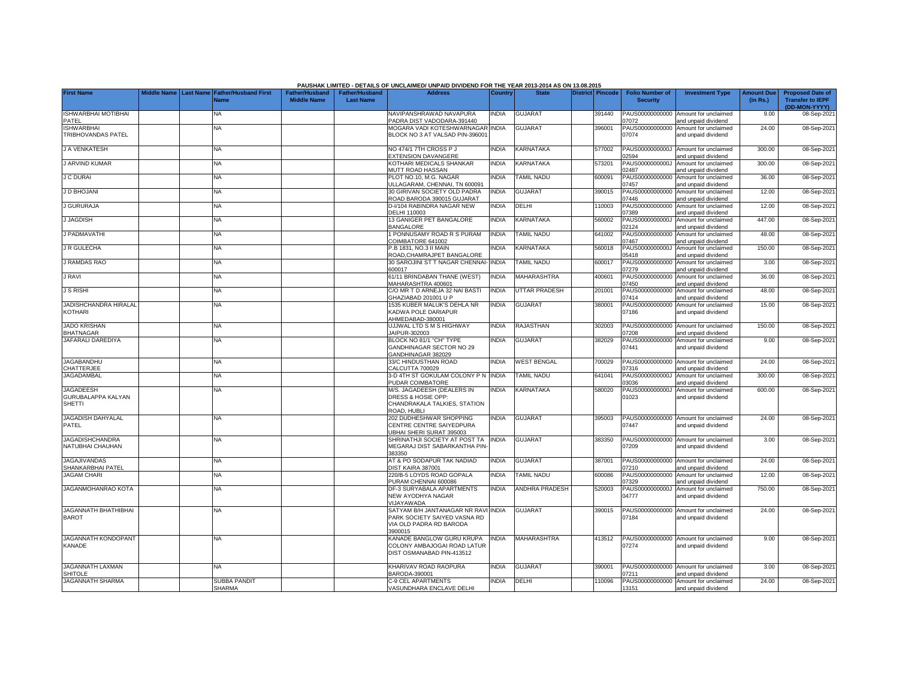|                                                                |  |                                                           |                                             |                                           | PAUSHAN LIMITED - DETAILS OF UNCLAIMED/ UNPAID DIVIDEND FOR THE TEAR 2013-2014 AS ON 13.06.2015    |              |                       |                  |                                           |                                                             |                               |                                                                     |
|----------------------------------------------------------------|--|-----------------------------------------------------------|---------------------------------------------|-------------------------------------------|----------------------------------------------------------------------------------------------------|--------------|-----------------------|------------------|-------------------------------------------|-------------------------------------------------------------|-------------------------------|---------------------------------------------------------------------|
| <b>First Name</b>                                              |  | Middle Name Last Name Father/Husband First<br><b>Name</b> | <b>Father/Husband</b><br><b>Middle Name</b> | <b>Father/Husband</b><br><b>Last Name</b> | <b>Address</b>                                                                                     | Country      | <b>State</b>          | District Pincode | <b>Folio Number of</b><br><b>Security</b> | <b>Investment Type</b>                                      | <b>Amount Due</b><br>(in Rs.) | <b>Proposed Date of</b><br><b>Transfer to IEPF</b><br>(DD-MON-YYYY) |
| <b>ISHWARBHAI MOTIBHAI</b><br>PATEL                            |  | NA                                                        |                                             |                                           | NAVIPANSHRAWAD NAVAPURA<br>PADRA DIST VADODARA-391440                                              | INDIA        | <b>GUJARAT</b>        | 391440           | PAUS00000000000<br>07072                  | Amount for unclaimed<br>and unpaid dividend                 | 9.00                          | 08-Sep-2021                                                         |
| <b>ISHWARBHAI</b><br>TRIBHOVANDAS PATEL                        |  | <b>NA</b>                                                 |                                             |                                           | MOGARA VADI KOTESHWARNAGAR<br>BLOCK NO 3 AT VALSAD PIN-39600                                       | <b>INDIA</b> | <b>GUJARAT</b>        | 396001           | PAUS00000000000<br>07074                  | Amount for unclaimed<br>and unpaid dividend                 | 24.00                         | 08-Sep-2021                                                         |
| <b>J A VENKATESH</b>                                           |  | <b>NA</b>                                                 |                                             |                                           | NO 474/1 7TH CROSS P J<br><b>EXTENSION DAVANGERE</b>                                               | <b>INDIA</b> | <b>KARNATAKA</b>      | 577002           | PAUS0000000000J<br>02594                  | Amount for unclaimed<br>and unpaid dividend                 | 300.00                        | 08-Sep-2021                                                         |
| J ARVIND KUMAR                                                 |  | <b>NA</b>                                                 |                                             |                                           | <b>KOTHARI MEDICALS SHANKAR</b><br><b>MUTT ROAD HASSAN</b>                                         | <b>NDIA</b>  | KARNATAKA             | 573201           | PAUS0000000000J<br>02487                  | Amount for unclaimed<br>and unpaid dividend                 | 300.00                        | 08-Sep-2021                                                         |
| <b>J C DURAI</b>                                               |  | ΝA                                                        |                                             |                                           | PLOT NO.10, M.G. NAGAR<br>JLLAGARAM, CHENNAI, TN 600091                                            | <b>NDIA</b>  | <b>TAMIL NADU</b>     | 600091           | PAUS00000000000<br>07457                  | Amount for unclaimed<br>and unpaid dividend                 | 36.00                         | 08-Sep-2021                                                         |
| J D BHOJANI                                                    |  | NA                                                        |                                             |                                           | 30 GIRIVAN SOCIETY OLD PADRA<br>ROAD BARODA 390015 GUJARAT                                         | <b>INDIA</b> | <b>GUJARAT</b>        | 390015           | PAUS00000000000<br>07446                  | Amount for unclaimed<br>and unpaid dividend                 | 12.00                         | 08-Sep-2021                                                         |
| J GURURAJA                                                     |  | NA                                                        |                                             |                                           | D-I/104 RABINDRA NAGAR NEW<br><b>DELHI 110003</b>                                                  | INDIA        | DELHI                 | 110003           | PAUS00000000000<br>07389                  | Amount for unclaimed<br>and unpaid dividend                 | 12.00                         | 08-Sep-2021                                                         |
| <b>J JAGDISH</b>                                               |  | NA                                                        |                                             |                                           | 13 GANIGER PET BANGALORE<br><b>BANGALORE</b>                                                       | <b>INDIA</b> | <b>KARNATAKA</b>      | 560002           | PAUS0000000000J<br>02124                  | Amount for unclaimed<br>nd unpaid dividend                  | 447.00                        | 08-Sep-2021                                                         |
| J PADMAVATHI                                                   |  | <b>NA</b>                                                 |                                             |                                           | 1 PONNUSAMY ROAD R S PURAM<br>COIMBATORE 641002                                                    | <b>INDIA</b> | <b>TAMIL NADU</b>     | 641002           | PAUS00000000000<br>07467                  | Amount for unclaimed<br>and unpaid dividend                 | 48.00                         | 08-Sep-2021                                                         |
| J R GULECHA                                                    |  | <b>NA</b>                                                 |                                             |                                           | .B 1831, NO.3 II MAIN<br>ROAD, CHAMRAJPET BANGALORE                                                | <b>NDIA</b>  | <b>KARNATAKA</b>      | 560018           | PAUS0000000000J<br>05418                  | Amount for unclaimed<br>and unpaid dividend                 | 150.00                        | 08-Sep-2021                                                         |
| <b>J RAMDAS RAO</b>                                            |  | <b>NA</b>                                                 |                                             |                                           | 30 SAROJINI ST T NAGAR CHENNAI- INDIA<br>600017                                                    |              | <b>TAMIL NADU</b>     | 600017           | PAUS00000000000<br>07279                  | Amount for unclaimed<br>and unpaid dividend                 | 3.00                          | 08-Sep-2021                                                         |
| <b>J RAVI</b>                                                  |  | <b>NA</b>                                                 |                                             |                                           | 61/11 BRINDABAN THANE (WEST)<br>MAHARASHTRA 400601                                                 | INDIA        | <b>MAHARASHTRA</b>    | 400601           | PAUS00000000000<br>07450                  | Amount for unclaimed<br>and unpaid dividend                 | 36.00                         | 08-Sep-2021                                                         |
| <b>J S RISHI</b>                                               |  | NA                                                        |                                             |                                           | C/O MR T D ARNEJA 32 NAI BASTI<br>GHAZIABAD 201001 U P                                             | INDIA        | <b>UTTAR PRADESH</b>  | 201001           | PAUS00000000000<br>07414                  | Amount for unclaimed<br>and unpaid dividend                 | 48.00                         | 08-Sep-2021                                                         |
| <b>JADISHCHANDRA HIRALAL</b><br><b>KOTHARI</b>                 |  | <b>NA</b>                                                 |                                             |                                           | 1535 KUBER MALUK'S DEHLA NR<br>KADWA POLE DARIAPUR<br>AHMEDABAD-380001                             | <b>INDIA</b> | <b>GUJARAT</b>        | 380001           | PAUS00000000000<br>07186                  | Amount for unclaimed<br>and unpaid dividend                 | 15.00                         | 08-Sep-2021                                                         |
| <b>JADO KRISHAN</b><br><b>BHATNAGAR</b>                        |  | NA                                                        |                                             |                                           | UJJWAL LTD S M S HIGHWAY<br>JAIPUR-302003                                                          | <b>INDIA</b> | <b>RAJASTHAN</b>      | 302003           | PAUS00000000000<br>07208                  | Amount for unclaimed<br>and unpaid dividend                 | 150.00                        | 08-Sep-2021                                                         |
| JAFARALI DAREDIYA                                              |  | ΝA                                                        |                                             |                                           | BLOCK NO 81/1 "CH" TYPE<br>GANDHINAGAR SECTOR NO 29<br>GANDHINAGAR 382029                          | <b>INDIA</b> | <b>GUJARAT</b>        | 382029           | PAUS00000000000<br>07441                  | Amount for unclaimed<br>and unpaid dividend                 | 9.00                          | 08-Sep-2021                                                         |
| <b>JAGABANDHU</b><br>CHATTERJEE                                |  | NA                                                        |                                             |                                           | 33/C HINDUSTHAN ROAD<br>CALCUTTA 700029                                                            | INDIA        | <b>WEST BENGAL</b>    | 700029           | PAUS00000000000<br>07316                  | Amount for unclaimed<br>and unpaid dividend                 | 24.00                         | 08-Sep-2021                                                         |
| <b>JAGADAMBAL</b>                                              |  | <b>NA</b>                                                 |                                             |                                           | 3-D 4TH ST GOKULAM COLONY P N<br>PUDAR COIMBATORE                                                  | <b>INDIA</b> | <b>TAMIL NADU</b>     | 641041           | PAUS0000000000J<br>03036                  | Amount for unclaimed<br>nd unpaid dividend                  | 300.00                        | 08-Sep-2021                                                         |
| <b>JAGADEESH</b><br><b>GURUBALAPPA KALYAN</b><br><b>SHETTI</b> |  | NA                                                        |                                             |                                           | M/S. JAGADEESH (DEALERS IN<br>DRESS & HOSIE OPP:<br>CHANDRAKALA TALKIES, STATION<br>ROAD, HUBLI    | <b>INDIA</b> | <b>KARNATAKA</b>      | 580020           | PAUS0000000000J<br>01023                  | Amount for unclaimed<br>and unpaid dividend                 | 600.00                        | 08-Sep-2021                                                         |
| <b>JAGADISH DAHYALAL</b><br>PATEL                              |  | <b>NA</b>                                                 |                                             |                                           | 202 DUDHESHWAR SHOPPING<br>CENTRE CENTRE SAIYEDPURA<br><b>JBHAI SHERI SURAT 395003</b>             | <b>INDIA</b> | <b>GUJARAT</b>        | 395003           | PAUS00000000000<br>07447                  | Amount for unclaimed<br>and unpaid dividend                 | 24.00                         | 08-Sep-2021                                                         |
| <b>JAGADISHCHANDRA</b><br>NATUBHAI CHAUHAN                     |  | ΝA                                                        |                                             |                                           | SHRINATHJI SOCIETY AT POST TA<br>MEGARAJ DIST SABARKANTHA PIN<br>383350                            | <b>INDIA</b> | <b>GUJARAT</b>        | 383350           | PAUS00000000000<br>07209                  | Amount for unclaimed<br>and unpaid dividend                 | 3.00                          | 08-Sep-2021                                                         |
| <b>JAGAJIVANDAS</b><br>SHANKARBHAI PATEL                       |  | <b>NA</b>                                                 |                                             |                                           | AT & PO SODAPUR TAK NADIAD<br>DIST KAIRA 387001                                                    | <b>INDIA</b> | <b>GUJARAT</b>        | 387001           | PAUS00000000000<br>07210                  | Amount for unclaimed<br>and unpaid dividend                 | 24.00                         | 08-Sep-2021                                                         |
| <b>JAGAM CHARI</b>                                             |  | <b>NA</b>                                                 |                                             |                                           | 220/B-5 LOYDS ROAD GOPALA<br>PURAM CHENNAI 600086                                                  | <b>NDIA</b>  | <b>TAMIL NADU</b>     | 600086           | PAUS00000000000<br>07329                  | Amount for unclaimed<br>and unpaid dividend                 | 12.00                         | 08-Sep-2021                                                         |
| <b>JAGANMOHANRAO KOTA</b>                                      |  | NA                                                        |                                             |                                           | DF-3 SURYABALA APARTMENTS<br>NEW AYODHYA NAGAR<br><b>JIJAYAWADA</b>                                | INDIA        | <b>ANDHRA PRADESH</b> | 520003           | PAUS0000000000J<br>04777                  | Amount for unclaimed<br>and unpaid dividend                 | 750.00                        | 08-Sep-2021                                                         |
| <b>JAGANNATH BHATHIBHAI</b><br><b>BAROT</b>                    |  | NA.                                                       |                                             |                                           | SATYAM B/H JANTANAGAR NR RAV<br>PARK SOCIETY SAIYED VASNA RD<br>VIA OLD PADRA RD BARODA<br>3900015 | <b>NDIA</b>  | <b>GUJARAT</b>        | 390015           | PAUS00000000000<br>07184                  | Amount for unclaimed<br>and unpaid dividend                 | 24.00                         | 08-Sep-2021                                                         |
| <b>JAGANNATH KONDOPANT</b><br><b>KANADE</b>                    |  | NA                                                        |                                             |                                           | <b>KANADE BANGLOW GURU KRUPA</b><br>COLONY AMBAJOGAI ROAD LATUR<br>DIST OSMANABAD PIN-413512       | <b>INDIA</b> | <b>MAHARASHTRA</b>    | 413512           | 07274                                     | PAUS00000000000 Amount for unclaimed<br>and unpaid dividend | 9.00                          | 08-Sep-2021                                                         |
| <b>JAGANNATH LAXMAN</b><br><b>SHITOLE</b>                      |  | NA                                                        |                                             |                                           | KHARIVAV ROAD RAOPURA<br>3ARODA-390001                                                             | INDIA        | <b>GUJARAT</b>        | 390001           | PAUS00000000000<br>07211                  | Amount for unclaimed<br>and unpaid dividend                 | 3.00                          | 08-Sep-2021                                                         |
| <b>JAGANNATH SHARMA</b>                                        |  | SUBBA PANDIT<br><b>SHARMA</b>                             |                                             |                                           | <b>C-9 CEL APARTMENTS</b><br>VASUNDHARA ENCLAVE DELHI                                              | <b>INDIA</b> | DELHI                 | 110096           | PAUS00000000000<br>13151                  | Amount for unclaimed<br>and unpaid dividend                 | 24.00                         | 08-Sep-2021                                                         |

## **PAUSHAK LIMITED - DETAILS OF UNCLAIMED/ UNPAID DIVIDEND FOR THE YEAR 2013-2014 AS ON 13.08.2015**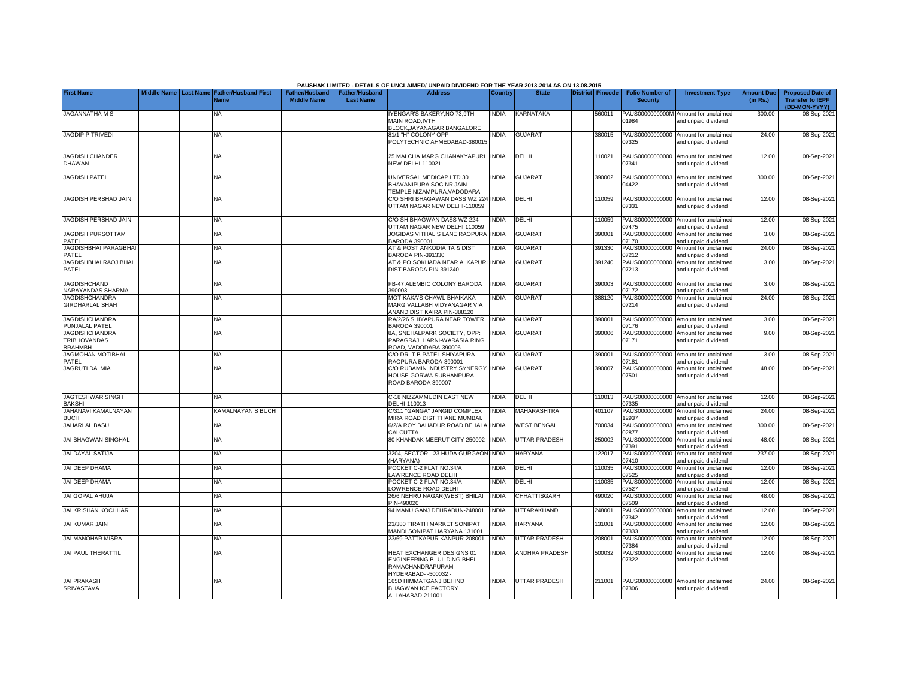|                                                                |             |                  |                                            |                                             |                                           | PAUSHAK LIMITED - DETAILS OF UNCLAIMED/ UNPAID DIVIDEND FOR THE YEAR 2013-2014 AS ON 13.08.2015   |              |                      |                         |                                           |                                                             |                               |                                                    |
|----------------------------------------------------------------|-------------|------------------|--------------------------------------------|---------------------------------------------|-------------------------------------------|---------------------------------------------------------------------------------------------------|--------------|----------------------|-------------------------|-------------------------------------------|-------------------------------------------------------------|-------------------------------|----------------------------------------------------|
| <b>First Name</b>                                              | Middle Name | <b>Last Name</b> | <b>Father/Husband First</b><br><b>Name</b> | <b>Father/Husband</b><br><b>Middle Name</b> | <b>Father/Husband</b><br><b>Last Name</b> | <b>Address</b>                                                                                    | Country      | <b>State</b>         | <b>District Pincode</b> | <b>Folio Number of</b><br><b>Security</b> | <b>Investment Type</b>                                      | <b>Amount Due</b><br>(in Rs.) | <b>Proposed Date of</b><br><b>Transfer to IEPF</b> |
| <b>JAGANNATHA M S</b>                                          |             |                  | NA                                         |                                             |                                           | YENGAR'S BAKERY, NO 73,9TH<br><b>MAIN ROAD.IVTH</b><br><b>BLOCK, JAYANAGAR BANGALORE</b>          | <b>NDIA</b>  | KARNATAKA            | 560011                  | PAUS0000000000M<br>01984                  | Amount for unclaimed<br>and unpaid dividend                 | 300.00                        | (DD-MON-YYYY)<br>08-Sep-2021                       |
| <b>JAGDIP P TRIVEDI</b>                                        |             |                  | <b>NA</b>                                  |                                             |                                           | 81/1 "H" COLONY OPP<br>POLYTECHNIC AHMEDABAD-380015                                               | <b>NDIA</b>  | <b>GUJARAT</b>       | 380015                  | PAUS00000000000<br>07325                  | Amount for unclaimed<br>and unpaid dividend                 | 24.00                         | 08-Sep-2021                                        |
| <b>JAGDISH CHANDER</b><br><b>DHAWAN</b>                        |             |                  | <b>NA</b>                                  |                                             |                                           | 25 MALCHA MARG CHANAKYAPURI INDIA<br><b>NEW DELHI-110021</b>                                      |              | DELHI                | 110021                  | 07341                                     | PAUS00000000000 Amount for unclaimed<br>and unpaid dividend | 12.00                         | 08-Sep-2021                                        |
| <b>JAGDISH PATEL</b>                                           |             |                  | <b>NA</b>                                  |                                             |                                           | UNIVERSAL MEDICAP LTD 30<br>BHAVANIPURA SOC NR JAIN<br>TEMPLE NIZAMPURA.VADODARA                  | INDIA        | <b>GUJARAT</b>       | 390002                  | PAUS0000000000J<br>04422                  | Amount for unclaimed<br>and unpaid dividend                 | 300.00                        | 08-Sep-2021                                        |
| JAGDISH PERSHAD JAIN                                           |             |                  | NA.                                        |                                             |                                           | C/O SHRI BHAGAWAN DASS WZ 224<br>UTTAM NAGAR NEW DELHI-110059                                     | <b>INDIA</b> | DELHI                | 110059                  | PAUS00000000000<br>07331                  | Amount for unclaimed<br>and unpaid dividend                 | 12.00                         | 08-Sep-2021                                        |
| JAGDISH PERSHAD JAIN                                           |             |                  | <b>NA</b>                                  |                                             |                                           | C/O SH BHAGWAN DASS WZ 224<br>JTTAM NAGAR NEW DELHI 110059                                        | <b>NDIA</b>  | DELHI                | 110059                  | PAUS00000000000<br>07475                  | Amount for unclaimed<br>and unpaid dividend                 | 12.00                         | 08-Sep-2021                                        |
| <b>JAGDISH PURSOTTAM</b><br>PATEL                              |             |                  | <b>NA</b>                                  |                                             |                                           | JOGIDAS VITHAL S LANE RAOPURA<br>BARODA 390001                                                    | <b>INDIA</b> | <b>GUJARAT</b>       | 390001                  | PAUS00000000000<br>07170                  | Amount for unclaimed<br>and unpaid dividend                 | 3.00                          | 08-Sep-2021                                        |
| <b>JAGDISHBHAI PARAGBHAI</b><br>PATEL                          |             |                  | <b>NA</b>                                  |                                             |                                           | AT & POST ANKODIA TA & DIST<br><b>BARODA PIN-391330</b>                                           | <b>NDIA</b>  | <b>GUJARAT</b>       | 391330                  | PAUS00000000000<br>07212                  | Amount for unclaimed<br>and unpaid dividend                 | 24.00                         | 08-Sep-2021                                        |
| JAGDISHBHAI RAOJIBHAI<br>PATEL                                 |             |                  | <b>NA</b>                                  |                                             |                                           | AT & PO SOKHADA NEAR ALKAPURI<br>DIST BARODA PIN-391240                                           | <b>INDIA</b> | <b>GUJARAT</b>       | 391240                  | PAUS00000000000<br>07213                  | Amount for unclaimed<br>and unpaid dividend                 | 3.00                          | 08-Sep-2021                                        |
| <b>JAGDISHCHAND</b><br>NARAYANDAS SHARMA                       |             |                  | NA                                         |                                             |                                           | FB-47 ALEMBIC COLONY BARODA<br>390003                                                             | <b>INDIA</b> | <b>GUJARAT</b>       | 390003                  | PAUS00000000000<br>07172                  | Amount for unclaimed<br>and unpaid dividend                 | 3.00                          | 08-Sep-2021                                        |
| <b>JAGDISHCHANDRA</b><br><b>GIRDHARLAL SHAH</b>                |             |                  | NA.                                        |                                             |                                           | MOTIKAKA'S CHAWL BHAIKAKA<br>MARG VALLABH VIDYANAGAR VIA<br>ANAND DIST KAIRA PIN-388120           | <b>NDIA</b>  | <b>GUJARAT</b>       | 388120                  | PAUS00000000000<br>07214                  | Amount for unclaimed<br>and unpaid dividend                 | 24.00                         | 08-Sep-2021                                        |
| <b>JAGDISHCHANDRA</b><br>PUNJALAL PATEL                        |             |                  | NA                                         |                                             |                                           | RA/2/26 SHIYAPURA NEAR TOWER<br>BARODA 390001                                                     | <b>INDIA</b> | <b>GUJARAT</b>       | 390001                  | PAUS00000000000<br>07176                  | Amount for unclaimed<br>and unpaid dividend                 | 3.00                          | 08-Sep-202                                         |
| <b>JAGDISHCHANDRA</b><br><b>TRIBHOVANDAS</b><br><b>BRAHMBH</b> |             |                  | <b>NA</b>                                  |                                             |                                           | 8A, SNEHALPARK SOCIETY, OPP:<br>PARAGRAJ, HARNI-WARASIA RING<br>ROAD, VADODARA-390006             | <b>NDIA</b>  | <b>GUJARAT</b>       | 390006                  | PAUS00000000000<br>07171                  | Amount for unclaimed<br>and unpaid dividend                 | 9.00                          | 08-Sep-2021                                        |
| <b>JAGMOHAN MOTIBHAI</b><br>PATEL                              |             |                  | <b>NA</b>                                  |                                             |                                           | C/O DR. T B PATEL SHIYAPURA<br>RAOPURA BARODA-390001                                              | <b>INDIA</b> | <b>GUJARAT</b>       | 390001                  | PAUS00000000000<br>07181                  | Amount for unclaimed<br>and unpaid dividend                 | 3.00                          | 08-Sep-2021                                        |
| <b>JAGRUTI DALMIA</b>                                          |             |                  | NA                                         |                                             |                                           | <b>C/O RUBAMIN INDUSTRY SYNERGY</b><br>HOUSE GORWA SUBHANPURA<br>ROAD BARODA 390007               | <b>INDIA</b> | <b>GUJARAT</b>       | 390007                  | PAUS00000000000<br>07501                  | Amount for unclaimed<br>and unpaid dividend                 | 48.00                         | 08-Sep-2021                                        |
| JAGTESHWAR SINGH<br><b>BAKSHI</b>                              |             |                  | NA                                         |                                             |                                           | C-18 NIZZAMMUDIN EAST NEW<br>DELHI-110013                                                         | <b>INDIA</b> | DELHI                | 110013                  | PAUS00000000000<br>07335                  | Amount for unclaimed<br>and unpaid dividend                 | 12.00                         | 08-Sep-2021                                        |
| JAHANAVI KAMALNAYAN<br><b>BUCH</b>                             |             |                  | KAMALNAYAN S BUCH                          |                                             |                                           | 2/311 "GANGA" JANGID COMPLEX<br><b>IIRA ROAD DIST THANE MUMBAI</b>                                | INDIA        | <b>MAHARASHTRA</b>   | 401107                  | PAUS00000000000<br>2937                   | Amount for unclaimed<br>and unpaid dividend                 | 24.00                         | 08-Sep-2021                                        |
| <b>JAHARLAL BASU</b>                                           |             |                  | <b>NA</b>                                  |                                             |                                           | 6/2/A ROY BAHADUR ROAD BEHALA<br>CALCUTTA                                                         | <b>INDIA</b> | <b>WEST BENGAL</b>   | 700034                  | PAUS0000000000J<br>02877                  | Amount for unclaimed<br>and unpaid dividend                 | 300.00                        | 08-Sep-2021                                        |
| JAI BHAGWAN SINGHAL                                            |             |                  | <b>NA</b>                                  |                                             |                                           | <b>30 KHANDAK MEERUT CITY-250002</b>                                                              | <b>INDIA</b> | <b>UTTAR PRADESH</b> | 250002                  | PAUS00000000000<br>07391                  | Amount for unclaimed<br>and unpaid dividend                 | 48.00                         | 08-Sep-2021                                        |
| <b>JAI DAYAL SATIJA</b>                                        |             |                  | <b>NA</b>                                  |                                             |                                           | 3204, SECTOR - 23 HUDA GURGAON INDIA<br>HARYANA)                                                  |              | <b>HARYANA</b>       | 122017                  | PAUS00000000000<br>07410                  | Amount for unclaimed<br>and unpaid dividend                 | 237.00                        | 08-Sep-2021                                        |
| JAI DEEP DHAMA                                                 |             |                  | <b>NA</b>                                  |                                             |                                           | POCKET C-2 FLAT NO.34/A<br>AWRENCE ROAD DELHI                                                     | <b>INDIA</b> | DELHI                | 110035                  | PAUS00000000000<br>07525                  | Amount for unclaimed<br>and unpaid dividend                 | 12.00                         | 08-Sep-2021                                        |
| JAI DEEP DHAMA                                                 |             |                  | <b>NA</b>                                  |                                             |                                           | POCKET C-2 FLAT NO.34/A<br>OWRENCE ROAD DELHI                                                     | <b>NDIA</b>  | <b>DELHI</b>         | 110035                  | PAUS00000000000<br>07527                  | Amount for unclaimed<br>and unpaid dividend                 | 12.00                         | 08-Sep-2021                                        |
| <b>JAI GOPAL AHUJA</b>                                         |             |                  | <b>NA</b>                                  |                                             |                                           | 26/6.NEHRU NAGAR(WEST) BHILAI<br>PIN-490020                                                       | <b>INDIA</b> | CHHATTISGARH         | 490020                  | PAUS00000000000<br>07509                  | Amount for unclaimed<br>and unpaid dividend                 | 48.00                         | 08-Sep-2021                                        |
| <b>JAI KRISHAN KOCHHAR</b>                                     |             |                  | NA.                                        |                                             |                                           | 94 MANU GANJ DEHRADUN-248001                                                                      | <b>INDIA</b> | <b>UTTARAKHAND</b>   | 248001                  | PAUS00000000000<br>07342                  | Amount for unclaimed<br>and unpaid dividend                 | 12.00                         | 08-Sep-2021                                        |
| <b>JAI KUMAR JAIN</b>                                          |             |                  | NA                                         |                                             |                                           | 23/380 TIRATH MARKET SONIPAT<br>MANDI SONIPAT HARYANA 131001                                      | <b>NDIA</b>  | <b>HARYANA</b>       | 131001                  | PAUS00000000000<br>07333                  | Amount for unclaimed<br>and unpaid dividend                 | 12.00                         | 08-Sep-2021                                        |
| <b>JAI MANOHAR MISRA</b>                                       |             |                  | NA                                         |                                             |                                           | 23/69 PATTKAPUR KANPUR-208001                                                                     | <b>INDIA</b> | <b>UTTAR PRADESH</b> | 208001                  | PAUS00000000000<br>07384                  | Amount for unclaimed<br>and unpaid dividend                 | 12.00                         | 08-Sep-2021                                        |
| JAI PAUL THERATTIL                                             |             |                  | <b>NA</b>                                  |                                             |                                           | HEAT EXCHANGER DESIGNS 01<br>ENGINEERING B- UILDING BHEL<br>RAMACHANDRAPURAM<br>YDERABAD--500032- | <b>INDIA</b> | ANDHRA PRADESH       | 500032                  | PAUS00000000000<br>07322                  | Amount for unclaimed<br>and unpaid dividend                 | 12.00                         | 08-Sep-2021                                        |
| <b>JAI PRAKASH</b><br><b>SRIVASTAVA</b>                        |             |                  | <b>NA</b>                                  |                                             |                                           | 165D HIMMATGANJ BEHIND<br><b>BHAGWAN ICE FACTORY</b><br>ALLAHABAD-211001                          | <b>INDIA</b> | <b>UTTAR PRADESH</b> | 211001                  | PAUS00000000000<br>07306                  | Amount for unclaimed<br>and unpaid dividend                 | 24.00                         | 08-Sep-2021                                        |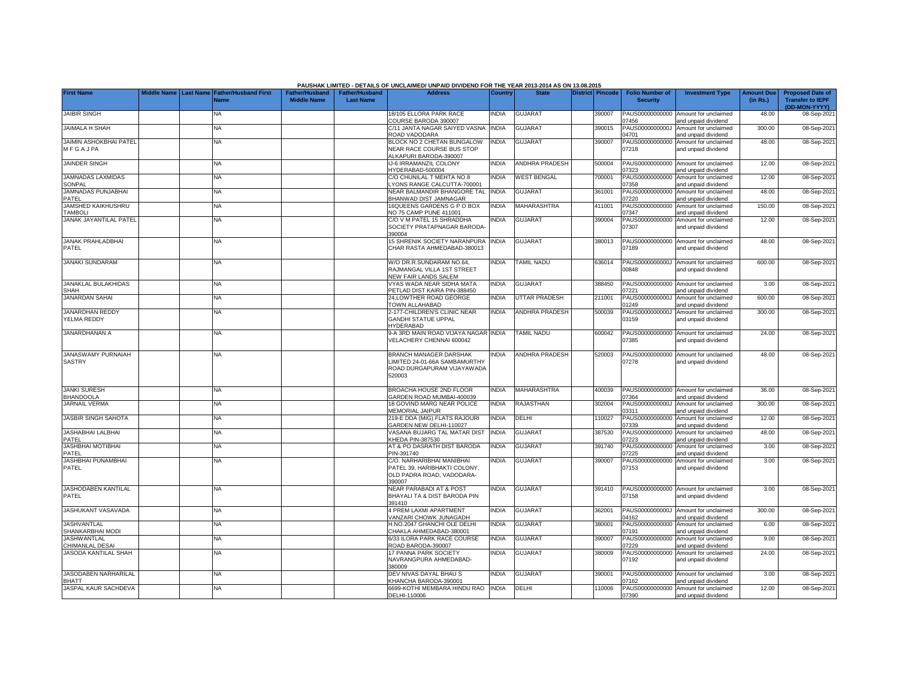| <b>First Name</b>                          |  | Middle Name   Last Name   Father/Husband First<br><b>Name</b> | <b>Father/Husband</b><br><b>Middle Name</b> | <b>Father/Husband</b><br><b>Last Name</b> | <b>Address</b>                                                                                   | <b>Country</b> | <b>State</b>          | <b>District Pincode</b> | <b>Folio Number of</b><br><b>Security</b> | <b>Investment Type</b>                                      | <b>Amount Due</b><br>(in Rs.) | <b>Proposed Date of</b><br><b>Transfer to IEPF</b><br>(DD-MON-YYYY) |
|--------------------------------------------|--|---------------------------------------------------------------|---------------------------------------------|-------------------------------------------|--------------------------------------------------------------------------------------------------|----------------|-----------------------|-------------------------|-------------------------------------------|-------------------------------------------------------------|-------------------------------|---------------------------------------------------------------------|
| <b>JAIBIR SINGH</b>                        |  | ΝA                                                            |                                             |                                           | 18/105 ELLORA PARK RACE<br>COURSE BARODA 390007                                                  | INDIA          | <b>GUJARAT</b>        | 390007                  | PAUS00000000000<br>7456                   | Amount for unclaimed<br>and unpaid dividend                 | 48.00                         | 08-Sep-2021                                                         |
| <b>JAIMALA H SHAH</b>                      |  | <b>NA</b>                                                     |                                             |                                           | C/11 JANTA NAGAR SAIYED VASNA<br>ROAD VADODARA                                                   | <b>INDIA</b>   | <b>GUJARAT</b>        | 390015                  | PAUS0000000000J<br>14701                  | Amount for unclaimed<br>and unpaid dividend                 | 300.00                        | 08-Sep-2021                                                         |
| <b>JAIMIN ASHOKBHAI PATEL</b><br>MFGAJPA   |  | NA                                                            |                                             |                                           | BLOCK NO 2 CHETAN BUNGALOW<br>NEAR RACE COURSE BUS STOP<br>ALKAPURI BARODA-390007                | <b>INDIA</b>   | <b>GUJARAT</b>        | 390007                  | PAUS00000000000<br>07218                  | Amount for unclaimed<br>and unpaid dividend                 | 48.00                         | 08-Sep-2021                                                         |
| <b>JAINDER SINGH</b>                       |  | <b>NA</b>                                                     |                                             |                                           | IJ-6 IRRAMANZIL COLONY<br>HYDERABAD-500004                                                       | <b>INDIA</b>   | <b>ANDHRA PRADESH</b> | 500004                  | 7323                                      | PAUS00000000000 Amount for unclaimed<br>and unpaid dividend | 12.00                         | 08-Sep-2021                                                         |
| <b>JAMNADAS LAXMIDAS</b><br>SONPAL         |  | <b>NA</b>                                                     |                                             |                                           | C/O CHUNILAL T MEHTA NO 8<br>YONS RANGE CALCUTTA-700001                                          | <b>INDIA</b>   | <b>WEST BENGAL</b>    | 700001                  | PAUS00000000000<br>7358                   | Amount for unclaimed<br>and unpaid dividend                 | 12.00                         | 08-Sep-2021                                                         |
| JAMNADAS PUNJABHAI<br>PATEL                |  | <b>NA</b>                                                     |                                             |                                           | NEAR BALMANDIR BHANGORE TAL<br>BHANWAD DIST JAMNAGAR                                             | <b>INDIA</b>   | <b>GUJARAT</b>        | 361001                  | PAUS00000000000<br>7220                   | Amount for unclaimed<br>and unpaid dividend                 | 48.00                         | 08-Sep-2021                                                         |
| JAMSHED KAIKHUSHRU<br><b>TAMBOLI</b>       |  | ΝA                                                            |                                             |                                           | 16QUEENS GARDENS G P O BOX<br>NO 75 CAMP PUNE 411001                                             | <b>INDIA</b>   | MAHARASHTRA           | 411001                  | PAUS00000000000<br>)7347                  | Amount for unclaimed<br>and unpaid dividend                 | 150.00                        | 08-Sep-2021                                                         |
| JANAK JAYANTILAL PATEL                     |  | NA                                                            |                                             |                                           | C/O V M PATEL 15 SHRADDHA<br>SOCIETY PRATAPNAGAR BARODA<br>390004                                | INDIA          | <b>GUJARAT</b>        | 390004                  | PAUS00000000000<br>07307                  | Amount for unclaimed<br>and unpaid dividend                 | 12.00                         | 08-Sep-2021                                                         |
| <b>JANAK PRAHLADBHAI</b><br>PATEL          |  | <b>NA</b>                                                     |                                             |                                           | 15 SHRENIK SOCIETY NARANPURA<br>CHAR RASTA AHMEDABAD-380013                                      | <b>INDIA</b>   | <b>GUJARAT</b>        | 380013                  | 17189                                     | PAUS00000000000 Amount for unclaimed<br>and unpaid dividend | 48.00                         | 08-Sep-2021                                                         |
| <b>JANAKI SUNDARAM</b>                     |  | <b>NA</b>                                                     |                                             |                                           | W/O DR.R.SUNDARAM NO.64.<br>RAJMANGAL VILLA 1ST STREET<br>NEW FAIR LANDS SALEM                   | <b>INDIA</b>   | <b>TAMIL NADU</b>     | 636014                  | PAUS0000000000J<br>0848                   | Amount for unclaimed<br>and unpaid dividend                 | 600.00                        | 08-Sep-2021                                                         |
| <b>JANAKLAL BULAKHIDAS</b><br>SHAH         |  | <b>NA</b>                                                     |                                             |                                           | VYAS WADA NEAR SIDHA MATA<br>PETLAD DIST KAIRA PIN-388450                                        | <b>INDIA</b>   | <b>GUJARAT</b>        | 388450                  | )7221                                     | PAUS00000000000 Amount for unclaimed<br>and unpaid dividend | 3.00                          | 08-Sep-2021                                                         |
| <b>JANARDAN SAHAI</b>                      |  | <b>NA</b>                                                     |                                             |                                           | 24, LOWTHER ROAD GEORGE<br>TOWN ALLAHABAD                                                        | <b>INDIA</b>   | <b>UTTAR PRADESH</b>  | 211001                  | PAUS0000000000J<br>1249                   | Amount for unclaimed<br>and unpaid dividend                 | 600.00                        | 08-Sep-2021                                                         |
| <b>JANARDHAN REDDY</b><br>YELMA REDDY      |  | NA                                                            |                                             |                                           | 2-177-CHILDREN'S CLINIC NEAR<br><b>GANDHI STATUE UPPAL</b><br>HYDERABAD                          | <b>INDIA</b>   | <b>ANDHRA PRADESH</b> | 500039                  | PAUS0000000000J<br>03159                  | Amount for unclaimed<br>and unpaid dividend                 | 300.00                        | 08-Sep-2021                                                         |
| JANARDHANAN A                              |  | NA                                                            |                                             |                                           | 9-A 3RD MAIN ROAD VIJAYA NAGAR INDIA<br>VELACHERY CHENNAI 600042                                 |                | <b>TAMIL NADU</b>     | 600042                  | 07385                                     | PAUS00000000000 Amount for unclaimed<br>and unpaid dividend | 24.00                         | 08-Sep-2021                                                         |
| <b>JANASWAMY PURNAIAH</b><br><b>SASTRY</b> |  | <b>NA</b>                                                     |                                             |                                           | BRANCH MANAGER DARSHAK<br>LIMITED 24-01-66A SAMBAMURTHY<br>ROAD DURGAPURAM VIJAYAWADA<br>520003  | <b>INDIA</b>   | <b>ANDHRA PRADESH</b> | 520003                  | 07278                                     | PAUS00000000000 Amount for unclaimed<br>and unpaid dividend | 48.00                         | 08-Sep-2021                                                         |
| <b>JANKI SURESH</b><br>BHANDOOLA           |  | NA                                                            |                                             |                                           | BROACHA HOUSE 2ND FLOOR<br>GARDEN ROAD MUMBAI-400039                                             | <b>INDIA</b>   | <b>MAHARASHTRA</b>    | 400039                  | 7364                                      | PAUS00000000000 Amount for unclaimed<br>and unpaid dividend | 36.00                         | 08-Sep-2021                                                         |
| <b>JARNAIL VERMA</b>                       |  | <b>NA</b>                                                     |                                             |                                           | 18 GOVIND MARG NEAR POLICE<br>MEMORIAL JAIPUR                                                    | <b>INDIA</b>   | <b>RAJASTHAN</b>      | 302004                  | PAUS0000000000J<br>03311                  | Amount for unclaimed<br>and unpaid dividend                 | 300.00                        | 08-Sep-2021                                                         |
| JASBIR SINGH SAHOTA                        |  | <b>NA</b>                                                     |                                             |                                           | 219-E DDA (MIG) FLATS RAJOURI<br>GARDEN NEW DELHI-110027                                         | <b>INDIA</b>   | DELHI                 | 10027                   | PAUS00000000000<br>7339                   | Amount for unclaimed<br>and unpaid dividend                 | 12.00                         | 08-Sep-2021                                                         |
| JASHABHAI LALBHAI<br>PATEL                 |  | NA                                                            |                                             |                                           | VASANA BUJARG TAL MATAR DIST<br>KHEDA PIN-387530                                                 | <b>INDIA</b>   | <b>GUJARAT</b>        | 387530                  | PAUS00000000000<br>7223                   | Amount for unclaimed<br>and unpaid dividend                 | 48.00                         | 08-Sep-2021                                                         |
| <b>JASHBHAI MOTIBHAI</b><br>PATEL          |  | NA                                                            |                                             |                                           | AT & PO DASRATH DIST BARODA<br>PIN-391740                                                        | <b>INDIA</b>   | <b>GUJARAT</b>        | 391740                  | PAUS00000000000<br>)7225                  | Amount for unclaimed<br>and unpaid dividend                 | 3.00                          | 08-Sep-2021                                                         |
| <b>JASHBHAI PUNAMBHAI</b><br>PATEL         |  | <b>NA</b>                                                     |                                             |                                           | C/O. NARHARIBHAI MANIBHAI<br>PATEL 39, HARIBHAKTI COLONY,<br>OLD PADRA ROAD, VADODARA-<br>390007 | <b>INDIA</b>   | <b>GUJARAT</b>        | 390007                  | PAUS00000000000<br>07153                  | Amount for unclaimed<br>and unpaid dividend                 | 3.00                          | 08-Sep-2021                                                         |
| <b>JASHODABEN KANTILAL</b><br>PATEL        |  | NA                                                            |                                             |                                           | <b>NEAR PARABADI AT &amp; POST</b><br>BHAYALI TA & DIST BARODA PIN<br>391410                     | <b>INDIA</b>   | <b>GUJARAT</b>        | 391410                  | PAUS00000000000<br>07158                  | Amount for unclaimed<br>and unpaid dividend                 | 3.00                          | 08-Sep-2021                                                         |
| JASHUKANT VASAVADA                         |  | <b>NA</b>                                                     |                                             |                                           | <b>4 PREM LAXMI APARTMENT</b><br>VANZARI CHOWK JUNAGADH                                          | <b>INDIA</b>   | <b>GUJARAT</b>        | 362001                  | PAUS0000000000J<br>14162                  | Amount for unclaimed<br>and unpaid dividend                 | 300.00                        | 08-Sep-2021                                                         |
| <b>JASHVANTLAL</b><br>SHANKARBHAI MODI     |  | <b>NA</b>                                                     |                                             |                                           | H.NO.2047 GHANCHI OLE DELHI<br>CHAKLA AHMEDABAD-380001                                           | <b>INDIA</b>   | <b>GUJARAT</b>        | 380001                  | )7191                                     | PAUS00000000000 Amount for unclaimed<br>and unpaid dividend | 6.00                          | 08-Sep-2021                                                         |
| <b>JASHWANTLAL</b><br>CHIMANLAL DESAI      |  | <b>NA</b>                                                     |                                             |                                           | 6/33 ILORA PARK RACE COURSE<br>ROAD BARODA-390007                                                | <b>INDIA</b>   | <b>GUJARAT</b>        | 390007                  | PAUS00000000000<br>7229                   | Amount for unclaimed<br>and unpaid dividend                 | 9.00                          | 08-Sep-2021                                                         |
| JASODA KANTILAL SHAH                       |  | <b>NA</b>                                                     |                                             |                                           | 17 PANNA PARK SOCIETY                                                                            | <b>INDIA</b>   | <b>GUJARAT</b>        | 380009                  |                                           | PAUS00000000000 Amount for unclaimed                        | 24.00                         | 08-Sep-2021                                                         |

NAVRANGPURA AHMEDABAD-

380009

DELHI-110006

A DEV NIVAS DAYAL BHAU S

KHANCHA BARODA-390001<br>A G699-KOTHI MEMBARA HINDU RAO<br>G699-KOTHI MEMBARA HINDU RAO

JASODABEN NARHARILAL

BHATT JASPAL KAUR SACHDEVA NA

NA

## **Fatherment Father/Husband PAUSHAK LIMITED - DETAILS OF UNCLAIMED/ UNPAID DIVIDEND FOR THE YEAR 2013-2014 AS ON 13.08.2015**siche Din

07192

07162

07390

INDIA GUJARAT 390001 PAUS00000000000

INDIA DELHI 110006 PAUS00000000000

and unpaid dividend

Amount for unclaimed and unpaid dividendAmount for unclaimed

and unpaid dividend

3.00 08-Sep-2021

12.00 08-Sep-2021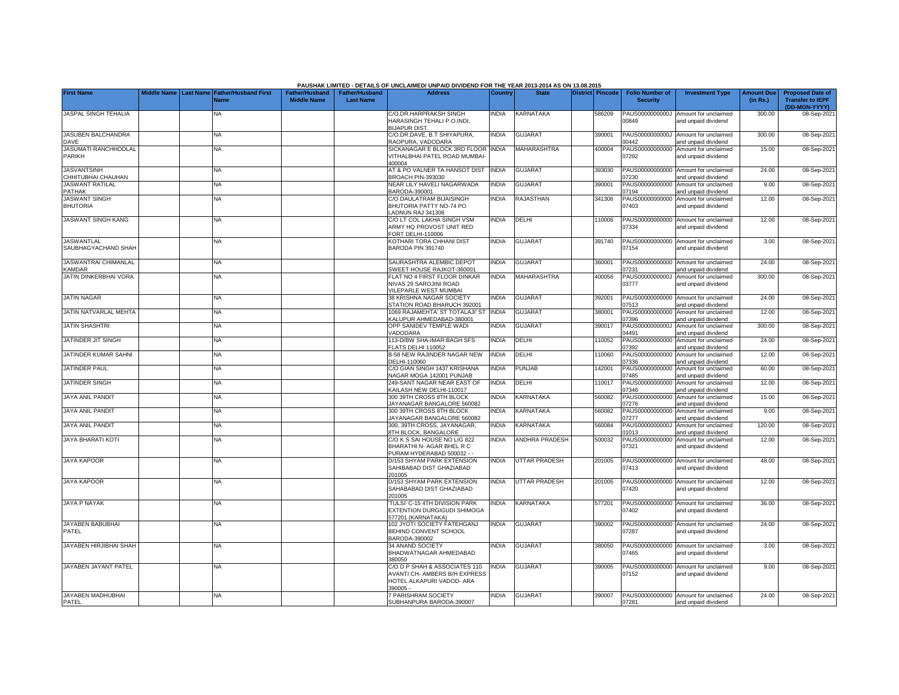|                                              |  |                                                    |                                             |                                           | PAUSHAK LIMITED - DETAILS OF UNCLAIMED/ UNPAID DIVIDEND FOR THE YEAR 2013-2014 AS ON 13.08.2015         |                |                       |                  |                                           |                                                             |                               |                                                                     |
|----------------------------------------------|--|----------------------------------------------------|---------------------------------------------|-------------------------------------------|---------------------------------------------------------------------------------------------------------|----------------|-----------------------|------------------|-------------------------------------------|-------------------------------------------------------------|-------------------------------|---------------------------------------------------------------------|
| <b>First Name</b>                            |  | Middle Name Last Name Father/Husband First<br>Name | <b>Father/Husband</b><br><b>Middle Name</b> | <b>Father/Husband</b><br><b>Last Name</b> | <b>Address</b>                                                                                          | <b>Country</b> | <b>State</b>          | District Pincode | <b>Folio Number of</b><br><b>Security</b> | <b>Investment Type</b>                                      | <b>Amount Due</b><br>(in Rs.) | <b>Proposed Date of</b><br><b>Transfer to IEPF</b><br>(DD-MON-YYYY) |
| JASPAL SINGH TEHALIA                         |  | NA                                                 |                                             |                                           | C/O.DR.HARPRAKSH SINGH<br>HARASINGH TEHALI P.O.INDI.<br><b>BIJAPUR DIST</b>                             | <b>INDIA</b>   | KARNATAKA             | 586209           | PAUS0000000000J<br>00849                  | Amount for unclaimed<br>and unpaid dividend                 | 300.00                        | 08-Sep-202                                                          |
| <b>JASUBEN BALCHANDRA</b><br><b>DAVE</b>     |  | NA                                                 |                                             |                                           | ./O.DR.DAVE. B.T SHIYAPURA.<br>AOPURA, VADODARA                                                         | <b>INDIA</b>   | <b>GUJARAT</b>        | 390001           | PAUS0000000000J<br>0442                   | Amount for unclaimed<br>nd unpaid dividend                  | 300.00                        | 08-Sep-202                                                          |
| <b>JASUMATI RANCHHODLAL</b><br>PARIKH        |  | <b>NA</b>                                          |                                             |                                           | SICKANAGAR E BLOCK 3RD FLOOR<br><b>/ITHALBHAI PATEL ROAD MUMBAI-</b><br>100004                          | <b>INDIA</b>   | MAHARASHTRA           | 400004           | PAUS00000000000<br>07292                  | Amount for unclaimed<br>and unpaid dividend                 | 15.00                         | 08-Sep-2021                                                         |
| <b>JASVANTSINH</b><br>CHHITUBHAI CHAUHAN     |  | <b>NA</b>                                          |                                             |                                           | AT & PO VALNER TA HANSOT DIST<br><b>BROACH PIN-393030</b>                                               | <b>INDIA</b>   | <b>GUJARAT</b>        | 393030           | PAUS00000000000<br>7230                   | Amount for unclaimed<br>and unpaid dividend                 | 24.00                         | 08-Sep-202                                                          |
| <b>JASWANT RATILAL</b><br><b>PATHAK</b>      |  | ΝA                                                 |                                             |                                           | VEAR LILY HAVELI NAGARWADA<br>3ARODA-390001                                                             | <b>INDIA</b>   | <b>GUJARAT</b>        | 390001           | PAUS00000000000<br>17194                  | Amount for unclaimed<br>and unpaid dividend                 | 9.00                          | 08-Sep-202                                                          |
| <b>JASWANT SINGH</b><br><b>BHUTORIA</b>      |  | NA                                                 |                                             |                                           | C/O DAULATRAM BIJAISINGH<br>BHUTORIA PATTY NO-74 PO<br>LADNUN RAJ 341306                                | <b>NDIA</b>    | RAJASTHAN             | 341306           | PAUS00000000000<br>07403                  | Amount for unclaimed<br>and unpaid dividend                 | 12.00                         | 08-Sep-202                                                          |
| <b>JASWANT SINGH KANG</b>                    |  | NA                                                 |                                             |                                           | C/O LT COL LAKHA SINGH VSM<br>ARMY HQ PROVOST UNIT RED<br>FORT DELHI-110006                             | <b>NDIA</b>    | DELHI                 | 10006            | PAUS00000000000<br>07334                  | Amount for unclaimed<br>and unpaid dividend                 | 12.00                         | 08-Sep-202                                                          |
| <b>JASWANTLAL</b><br>SAUBHAGYACHAND SHAH     |  | NA                                                 |                                             |                                           | KOTHARI TORA CHHANI DIST<br>BARODA PIN 391740                                                           | <b>INDIA</b>   | <b>GUJARAT</b>        | 391740           | 07154                                     | PAUS00000000000 Amount for unclaimed<br>and unpaid dividend | 3.00                          | 08-Sep-202                                                          |
| <b>JASWANTRAI CHIMANLAL</b><br><b>KAMDAR</b> |  | NA                                                 |                                             |                                           | SAURASHTRA ALEMBIC DEPOT<br>SWEET HOUSE RAJKOT-360001                                                   | INDIA          | <b>GUJARAT</b>        | 360001           | 07231                                     | PAUS00000000000 Amount for unclaimed<br>and unpaid dividend | 24.00                         | 08-Sep-202                                                          |
| JATIN DINKERBHAI VORA                        |  | ΝA                                                 |                                             |                                           | FLAT NO 4 FIRST FLOOR DINKAR<br>NIVAS 29 SAROJINI ROAD<br>VILEPARLE WEST MUMBAI                         | INDIA          | <b>MAHARASHTRA</b>    | 400056           | PAUS0000000000J<br>03777                  | Amount for unclaimed<br>and unpaid dividend                 | 300.00                        | 08-Sep-202                                                          |
| <b>JATIN NAGAR</b>                           |  | ΝA                                                 |                                             |                                           | 38 KRISHNA NAGAR SOCIETY<br>STATION ROAD BHARUCH 392001                                                 | <b>INDIA</b>   | <b>GUJARAT</b>        | 392001           | 07513                                     | PAUS00000000000 Amount for unclaimed<br>and unpaid dividend | 24.00                         | 08-Sep-202                                                          |
| JATIN NATVARLAL MEHTA                        |  | ΝA                                                 |                                             |                                           | 1069 RAJAMEHTA' ST TOTALAJI' ST<br><b>KALUPUR AHMEDABAD-380001</b>                                      | <b>INDIA</b>   | <b>GUJARAT</b>        | 380001           | PAUS00000000000<br>07396                  | Amount for unclaimed<br>and unpaid dividend                 | 12.00                         | 08-Sep-202                                                          |
| <b>JATIN SHASHTRI</b>                        |  | NA                                                 |                                             |                                           | OPP SANIDEV TEMPLE WADI<br><b>/ADODARA</b>                                                              | INDIA          | <b>GUJARAT</b>        | 390017           | PAUS0000000000J<br>14491                  | Amount for unclaimed<br>and unpaid dividend                 | 300.00                        | 08-Sep-202                                                          |
| JATINDER JIT SINGH                           |  | ΝA                                                 |                                             |                                           | 113-D/BW SHA-IMAR BAGH SFS<br><b>ELATS DELHI 110052</b>                                                 | <b>NDIA</b>    | DELHI                 | 110052           | PAUS00000000000<br>07392                  | Amount for unclaimed<br>and unpaid dividend                 | 24.00                         | 08-Sep-202                                                          |
| JATINDER KUMAR SAHNI                         |  | ΝA                                                 |                                             |                                           | B-58 NEW RAJINDER NAGAR NEW<br>DELHI-110060                                                             | INDIA          | DELHI                 | 110060           | PAUS00000000000<br>7336                   | Amount for unclaimed<br>and unpaid dividend                 | 12.00                         | 08-Sep-202                                                          |
| JATINDER PAUL                                |  | ΝA                                                 |                                             |                                           | C/O GIAN SINGH 1437 KRISHANA<br>NAGAR MOGA 142001 PUNJAB                                                | <b>INDIA</b>   | PUNJAB                | 142001           | PAUS00000000000<br>7485                   | Amount for unclaimed<br>and unpaid dividend                 | 60.00                         | 08-Sep-202                                                          |
| <b>JATINDER SINGH</b>                        |  | NA                                                 |                                             |                                           | 249-SANT NAGAR NEAR EAST OF<br><b>KAILASH NEW DELHI-110017</b>                                          | <b>INDIA</b>   | DELHI                 | 10017            | PAUS00000000000<br>7346                   | Amount for unclaimed<br>and unpaid dividend                 | 12.00                         | 08-Sep-202                                                          |
| <b>JAYA ANIL PANDIT</b>                      |  | NA.                                                |                                             |                                           | 300 39TH CROSS 8TH BLOCK<br>JAYANAGAR BANGALORE 560082                                                  | <b>INDIA</b>   | KARNATAKA             | 560082           | PAUS00000000000<br>07276                  | Amount for unclaimed<br>and unpaid dividend                 | 15.00                         | 08-Sep-202                                                          |
| JAYA ANIL PANDIT                             |  | ΝA                                                 |                                             |                                           | 300 39TH CROSS 8TH BLOCK<br>JAYANAGAR BANGALORE 560082                                                  | <b>NDIA</b>    | KARNATAKA             | 560082           | PAUS00000000000<br>)7277                  | Amount for unclaimed<br>and unpaid dividend                 | 9.00                          | 08-Sep-202                                                          |
| JAYA ANIL PANDIT                             |  | ΝA                                                 |                                             |                                           | 300, 39TH CROSS, JAYANAGAR,<br><b>3TH BLOCK, BANGALORE</b>                                              | <b>INDIA</b>   | KARNATAKA             | 560084           | PAUS0000000000J<br>01013                  | Amount for unclaimed<br>and unpaid dividend                 | 120.00                        | 08-Sep-202                                                          |
| <b>JAYA BHARATI KOTI</b>                     |  | NA                                                 |                                             |                                           | C/O K S SAI HOUSE NO LIG 822<br>BHARATHI N- AGAR BHEL R C<br>PURAM HYDERABAD 500032 - -                 | <b>INDIA</b>   | <b>ANDHRA PRADESH</b> | 500032           | PAUS00000000000<br>07321                  | Amount for unclaimed<br>and unpaid dividend                 | 12.00                         | 08-Sep-2021                                                         |
| <b>JAYA KAPOOR</b>                           |  | <b>NA</b>                                          |                                             |                                           | 0/153 SHYAM PARK EXTENSION<br>SAHIBABAD DIST GHAZIABAD<br>201005                                        | <b>NDIA</b>    | <b>UTTAR PRADESH</b>  | 201005           | PAUS00000000000<br>07413                  | Amount for unclaimed<br>and unpaid dividend                 | 48.00                         | 08-Sep-2021                                                         |
| <b>JAYA KAPOOR</b>                           |  | <b>NA</b>                                          |                                             |                                           | D/153 SHYAM PARK EXTENSION<br>SAHABABAD DIST GHAZIABAD<br>201005                                        | <b>INDIA</b>   | UTTAR PRADESH         | 201005           | PAUS00000000000<br>07420                  | Amount for unclaimed<br>and unpaid dividend                 | 12.00                         | 08-Sep-2021                                                         |
| <b>JAYA P NAYAK</b>                          |  | <b>NA</b>                                          |                                             |                                           | TULSI' C-15 4TH DIVISION PARK<br><b>EXTENTION DURGIGUDI SHIMOGA</b><br>577201 (KARNATAKA)               | <b>NDIA</b>    | <b>KARNATAKA</b>      | 577201           | PAUS00000000000<br>07402                  | Amount for unclaimed<br>and unpaid dividend                 | 36.00                         | 08-Sep-202                                                          |
| JAYABEN BABUBHAI<br>PATEL                    |  | <b>NA</b>                                          |                                             |                                           | 102 JYOTI SOCIETY FATEHGANJ<br>BEHIND CONVENT SCHOOL<br>BARODA-390002                                   | <b>NDIA</b>    | <b>GUJARAT</b>        | 390002           | PAUS00000000000<br>07287                  | Amount for unclaimed<br>and unpaid dividend                 | 24.00                         | 08-Sep-2021                                                         |
| <b>JAYABEN HIRJIBHAI SHAH</b>                |  | <b>NA</b>                                          |                                             |                                           | 34 ANAND SOCIETY<br>BHADWATNAGAR AHMEDABAD<br>380050                                                    | <b>NDIA</b>    | <b>GUJARAT</b>        | 380050           | PAUS00000000000<br>07465                  | Amount for unclaimed<br>and unpaid dividend                 | 3.00                          | 08-Sep-202                                                          |
| JAYABEN JAYANT PATEL                         |  | <b>NA</b>                                          |                                             |                                           | C/O D P SHAH & ASSOCIATES 110<br>AVANTI CH- AMBERS B/H EXPRESS<br>HOTEL ALKAPURI VADOD- ARA<br>390005 - | INDIA          | <b>GUJARAT</b>        | 390005           | 07152                                     | PAUS00000000000 Amount for unclaimed<br>and unpaid dividend | 9.00                          | 08-Sep-202                                                          |
| JAYABEN MADHUBHAI<br>PATEL                   |  | <b>NA</b>                                          |                                             |                                           | <b>PARISHRAM SOCIETY</b><br>SUBHANPURA BARODA-390007                                                    | INDIA          | <b>GUJARAT</b>        | 390007           | 07281                                     | PAUS00000000000 Amount for unclaimed<br>and unpaid dividend | 24.00                         | 08-Sep-2021                                                         |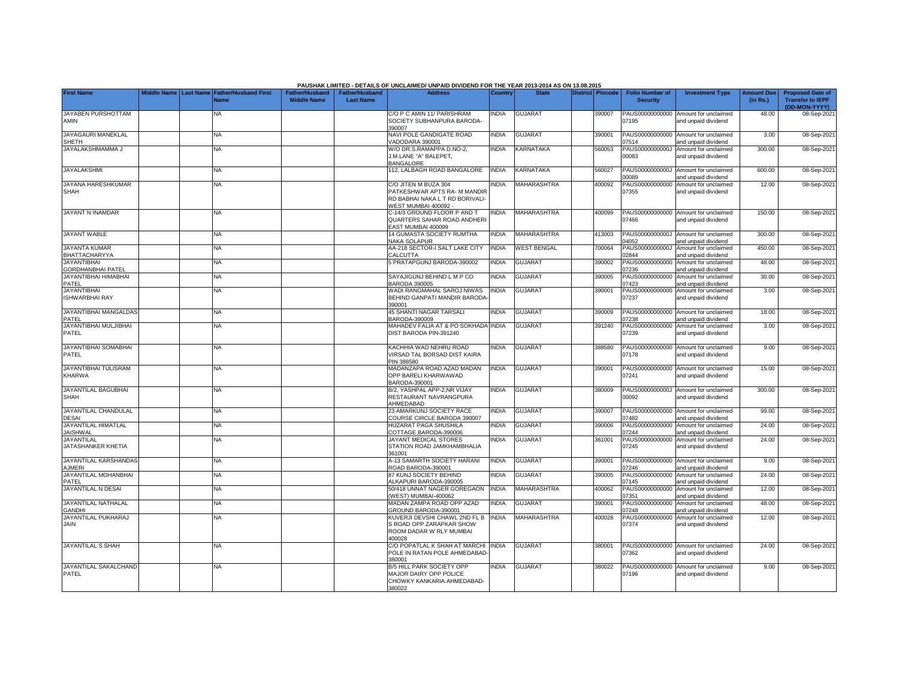|                                                |                       |                                            |                                             |                                           | PAUSHAK LIMITED - DETAILS OF UNCLAIMED/ UNPAID DIVIDEND FOR THE YEAR 2013-2014 AS ON 13.08.2015               |                |                    |                  |                                           |                                                             |                               |                                                                     |
|------------------------------------------------|-----------------------|--------------------------------------------|---------------------------------------------|-------------------------------------------|---------------------------------------------------------------------------------------------------------------|----------------|--------------------|------------------|-------------------------------------------|-------------------------------------------------------------|-------------------------------|---------------------------------------------------------------------|
| <b>First Name</b>                              | Middle Name Last Name | <b>Father/Husband First</b><br><b>Name</b> | <b>Father/Husband</b><br><b>Middle Name</b> | <b>Father/Husband</b><br><b>Last Name</b> | <b>Address</b>                                                                                                | <b>Country</b> | <b>State</b>       | District Pincode | <b>Folio Number of</b><br><b>Security</b> | <b>Investment Type</b>                                      | <b>Amount Due</b><br>(in Rs.) | <b>Proposed Date of</b><br><b>Transfer to IEPF</b><br>(DD-MON-YYYY) |
| JAYABEN PURSHOTTAM<br><b>AMIN</b>              |                       | NA                                         |                                             |                                           | C/O P C AMIN 11/ PARISHRAM<br>SOCIETY SUBHANPURA BARODA-<br>390007                                            | INDIA          | <b>GUJARAT</b>     | 390007           | 07195                                     | PAUS00000000000 Amount for unclaimed<br>and unpaid dividend | 48.00                         | 08-Sep-2021                                                         |
| JAYAGAURI MANEKLAL<br><b>SHETH</b>             |                       | NA                                         |                                             |                                           | NAVI POLE GANDIGATE ROAD<br><b>/ADODARA 390001</b>                                                            | <b>INDIA</b>   | <b>GUJARAT</b>     | 390001           | PAUS00000000000<br>07514                  | Amount for unclaimed<br>and unpaid dividend                 | 3.00                          | 08-Sep-202                                                          |
| JAYALAKSHMAMMA J                               |                       | NA                                         |                                             |                                           | W/O DR.S.RAMAPPA D.NO-2,<br>J.M.LANE "A" BALEPET.<br><b>BANGALORE</b>                                         | INDIA          | KARNATAKA          | 560053           | PAUS0000000000J<br>00083                  | Amount for unclaimed<br>and unpaid dividend                 | 300.00                        | 08-Sep-202                                                          |
| <b>JAYALAKSHMI</b>                             |                       | <b>NA</b>                                  |                                             |                                           | 12, LALBAGH ROAD BANGALORE                                                                                    | <b>INDIA</b>   | <b>KARNATAKA</b>   | 560027           | PAUS0000000000J<br>00089                  | Amount for unclaimed<br>and unpaid dividend                 | 600.00                        | 08-Sep-202                                                          |
| JAYANA HARESHKUMAR<br><b>SHAH</b>              |                       | <b>NA</b>                                  |                                             |                                           | C/O JITEN M BUZA 304<br>PATKESHWAR APTS RA- M MANDIF<br>RD BABHAI NAKA L T RD BORIVALI-<br>VEST MUMBAI 400092 | INDIA          | MAHARASHTRA        | 400092           | PAUS00000000000<br>)7355                  | Amount for unclaimed<br>and unpaid dividend                 | 12.00                         | 08-Sep-2021                                                         |
| <b>JAYANT N INAMDAR</b>                        |                       | ΝA                                         |                                             |                                           | C-14/3 GROUND FLOOR P AND T<br>QUARTERS SAHAR ROAD ANDHERI<br>EAST MUMBAI 400099                              | <b>NDIA</b>    | MAHARASHTRA        | 400099           | 07466                                     | PAUS00000000000 Amount for unclaimed<br>and unpaid dividend | 150.00                        | 08-Sep-202                                                          |
| <b>JAYANT WABLE</b>                            |                       | <b>NA</b>                                  |                                             |                                           | 14 GUMASTA SOCIETY RUMTHA<br><b>NAKA SOLAPUR</b>                                                              | <b>INDIA</b>   | <b>MAHARASHTRA</b> | 413003           | 14052                                     | PAUS0000000000J Amount for unclaimed<br>and unpaid dividend | 300.00                        | 08-Sep-202                                                          |
| <b>JAYANTA KUMAR</b><br>BHATTACHARYYA          |                       | NA.                                        |                                             |                                           | <b>AA-218 SECTOR-I SALT LAKE CITY</b><br>CALCUTTA                                                             | <b>INDIA</b>   | <b>WEST BENGAL</b> | 700064           | PAUS0000000000J<br>02844                  | Amount for unclaimed<br>and unpaid dividend                 | 450.00                        | 08-Sep-202                                                          |
| <b>JAYANTIBHAI</b><br><b>GORDHANBHAI PATEL</b> |                       | <b>NA</b>                                  |                                             |                                           | PRATAPGUNJ BARODA-390002                                                                                      | <b>INDIA</b>   | <b>GUJARAT</b>     | 390002           | 07236                                     | PAUS00000000000 Amount for unclaimed<br>and unpaid dividend | 48.00                         | 08-Sep-202                                                          |
| JAYANTIBHAI HIMABHAI<br>PATEL                  |                       | <b>NA</b>                                  |                                             |                                           | SAYAJIGUNJ BEHIND L M P CO<br>3ARODA 390005                                                                   | <b>NDIA</b>    | <b>GUJARAT</b>     | 390005           | PAUS00000000000<br>07423                  | Amount for unclaimed<br>and unpaid dividend                 | 30.00                         | 08-Sep-202                                                          |
| <b>JAYANTIBHAI</b><br><b>ISHWARBHAI RAY</b>    |                       | NA                                         |                                             |                                           | <b>NADI RANGMAHAL SAROJ NIWAS</b><br>BEHIND GANPATI MANDIR BARODA<br>390001                                   | <b>INDIA</b>   | <b>GUJARAT</b>     | 390001           | PAUS00000000000<br>07237                  | Amount for unclaimed<br>and unpaid dividend                 | 3.00                          | 08-Sep-202                                                          |
| <b>JAYANTIBHAI MANGALDAS</b><br>PATEL          |                       | <b>NA</b>                                  |                                             |                                           | <b>45 SHANTI NAGAR TARSALI</b><br>3ARODA-390009                                                               | <b>INDIA</b>   | <b>GUJARAT</b>     | 390009           | 17238                                     | PAUS00000000000 Amount for unclaimed<br>and unpaid dividend | 18.00                         | 08-Sep-202                                                          |
| JAYANTIBHAI MULJIBHAI<br>PATEL                 |                       | <b>NA</b>                                  |                                             |                                           | MAHADEV FALIA AT & PO SOKHADA INDIA<br>DIST BARODA PIN-391240                                                 |                | <b>GUJARAT</b>     | 391240           | PAUS00000000000<br>07239                  | Amount for unclaimed<br>and unpaid dividend                 | 3.00                          | 08-Sep-202                                                          |
| JAYANTIBHAI SOMABHAI<br>PATEL                  |                       | ΝA                                         |                                             |                                           | KACHHIA WAD NEHRU ROAD<br>VIRSAD TAL BORSAD DIST KAIRA<br>PIN 388580                                          | INDIA          | <b>GUJARAT</b>     | 388580           | 07178                                     | PAUS00000000000 Amount for unclaimed<br>and unpaid dividend | 9.00                          | 08-Sep-202                                                          |
| <b>JAYANTIBHAI TULISRAM</b><br><b>KHARWA</b>   |                       | NΑ                                         |                                             |                                           | MADANZAPA ROAD AZAD MADAN<br>OPP BARELI KHARWAWAD<br>3ARODA-390001                                            | <b>NDIA</b>    | <b>GUJARAT</b>     | 390001           | PAUS00000000000<br>07241                  | Amount for unclaimed<br>and unpaid dividend                 | 15.00                         | 08-Sep-202                                                          |
| <b>JAYANTILAL BAGUBHAI</b><br>SHAH             |                       | <b>NA</b>                                  |                                             |                                           | 3/2. YASHPAL APP-2.NR VIJAY<br>RESTAURANT NAVRANGPURA<br>AHMEDABAD                                            | <b>INDIA</b>   | <b>GUJARAT</b>     | 380009           | 00092                                     | PAUS0000000000J Amount for unclaimed<br>and unpaid dividend | 300.00                        | 08-Sep-202                                                          |
| JAYANTILAL CHANDULAL<br><b>DESAI</b>           |                       | <b>NA</b>                                  |                                             |                                           | 23 AMARKUNJ SOCIETY RACE<br>COURSE CIRCLE BARODA 390007                                                       | INDIA          | <b>GUJARAT</b>     | 390007           | 07482                                     | PAUS00000000000 Amount for unclaimed<br>and unpaid dividend | 99.00                         | 08-Sep-202                                                          |
| JAYANTILAL HIMATLAL<br><b>JAISHWAL</b>         |                       | NA                                         |                                             |                                           | HUZARAT PAGA SHUSHILA<br>COTTAGE BARODA-390006                                                                | <b>INDIA</b>   | <b>GUJARAT</b>     | 390006           | PAUS00000000000<br>07244                  | Amount for unclaimed<br>and unpaid dividend                 | 24.00                         | 08-Sep-202                                                          |
| <b>JAYANTILAL</b><br>JATASHANKER KHETIA        |                       | ΝA                                         |                                             |                                           | JAYANT MEDICAL STORES<br>STATION ROAD JAMKHAMBHALIA<br>361001                                                 | <b>NDIA</b>    | <b>GUJARAT</b>     | 361001           | PAUS00000000000<br>07245                  | Amount for unclaimed<br>and unpaid dividend                 | 24.00                         | 08-Sep-202                                                          |
| <b>JAYANTILAL KARSHANDAS</b><br><b>AJMERI</b>  |                       | <b>NA</b>                                  |                                             |                                           | 4-13 SAMARTH SOCIETY HARANI<br>ROAD BARODA-390001                                                             | <b>INDIA</b>   | <b>GUJARAT</b>     | 390001           | 07246                                     | PAUS00000000000 Amount for unclaimed<br>and unpaid dividend | 9.00                          | 08-Sep-202                                                          |
| JAYANTILAL MOHANBHAI<br>PATEL                  |                       | <b>NA</b>                                  |                                             |                                           | 37 KUNJ SOCIETY BEHIND<br>ALKAPURI BARODA-390005                                                              | <b>INDIA</b>   | <b>GUJARAT</b>     | 390005           | PAUS00000000000<br>07145                  | Amount for unclaimed<br>and unpaid dividend                 | 24.00                         | 08-Sep-202                                                          |
| JAYANTILAL N DESAI                             |                       | <b>NA</b>                                  |                                             |                                           | 50/418 UNNAT NAGER GOREGAON<br>WEST) MUMBAI-400062                                                            | <b>INDIA</b>   | MAHARASHTRA        | 400062           | PAUS00000000000<br>07351                  | Amount for unclaimed<br>nd unpaid dividend                  | 12.00                         | 08-Sep-202                                                          |
| JAYANTILAL NATHALAL<br><b>GANDHI</b>           |                       | <b>NA</b>                                  |                                             |                                           | <b>MADAN ZAMPA ROAD OPP AZAD</b><br>GROUND BARODA-390001                                                      | <b>INDIA</b>   | <b>GUJARAT</b>     | 390001           | PAUS00000000000<br>07248                  | Amount for unclaimed<br>and unpaid dividend                 | 48.00                         | 08-Sep-202                                                          |
| <b>JAYANTILAL PUKHARAJ</b><br>JAIN             |                       | NA                                         |                                             |                                           | <b>KUVERJI DEVSHI CHAWL 2ND FL B</b><br>S ROAD OPP ZARAPKAR SHOW<br>ROOM DADAR W RLY MUMBAI<br>400028         | INDIA          | MAHARASHTRA        | 400028           | PAUS00000000000<br>07374                  | Amount for unclaimed<br>and unpaid dividend                 | 12.00                         | 08-Sep-202                                                          |
| <b>JAYANTILAL S SHAH</b>                       |                       | <b>NA</b>                                  |                                             |                                           | C/O POPATLAL K SHAH AT MARCHI<br>POLE IN RATAN POLE AHMEDABAD<br>380001                                       | <b>INDIA</b>   | <b>GUJARAT</b>     | 380001           | 07362                                     | PAUS00000000000 Amount for unclaimed<br>and unpaid dividend | 24.00                         | 08-Sep-202                                                          |
| JAYANTILAL SAKALCHAND<br>PATEL                 |                       | <b>NA</b>                                  |                                             |                                           | B/5 HILL PARK SOCIETY OPP<br>MAJOR DAIRY OPP POLICE<br>CHOWKY KANKARIA AHMEDABAD-<br>380022                   | <b>INDIA</b>   | <b>GUJARAT</b>     | 380022           | 07196                                     | PAUS00000000000 Amount for unclaimed<br>and unpaid dividend | 9.00                          | 08-Sep-202                                                          |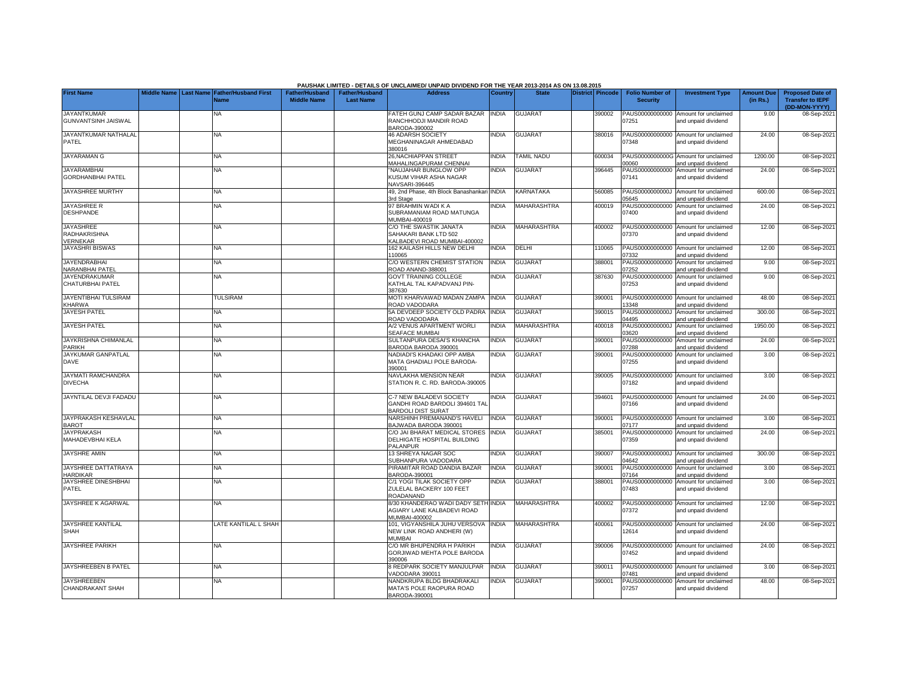|                                                     |             |                  |                             |                       |                       | PAUSHAK LIMITED - DETAILS OF UNCLAIMED/ UNPAID DIVIDEND FOR THE YEAR 2013-2014 AS ON 13.08.2015 |                |                   |                  |                          |                                                             |                   |                                          |
|-----------------------------------------------------|-------------|------------------|-----------------------------|-----------------------|-----------------------|-------------------------------------------------------------------------------------------------|----------------|-------------------|------------------|--------------------------|-------------------------------------------------------------|-------------------|------------------------------------------|
| <b>First Name</b>                                   | Middle Name | <b>Last Name</b> | <b>Father/Husband First</b> | <b>Father/Hushand</b> | <b>Father/Husband</b> | <b>Address</b>                                                                                  | <b>Country</b> | <b>State</b>      | District Pincode | <b>Folio Number of</b>   | <b>Investment Type</b>                                      | <b>Amount Due</b> | <b>Proposed Date of</b>                  |
|                                                     |             |                  | <b>Name</b>                 | <b>Middle Name</b>    | <b>Last Name</b>      |                                                                                                 |                |                   |                  | <b>Security</b>          |                                                             | (in Rs.)          | <b>Transfer to IEPF</b><br>(DD-MON-YYYY) |
| <b>JAYANTKUMAR</b><br><b>GUNVANTSINH JAISWAL</b>    |             |                  | NA                          |                       |                       | FATEH GUNJ CAMP SADAR BAZAR<br>RANCHHODJI MANDIR ROAD<br>BARODA-390002                          | <b>INDIA</b>   | <b>GUJARAT</b>    | 390002           | PAUS00000000000<br>07251 | Amount for unclaimed<br>and unpaid dividend                 | 9.00              | 08-Sep-202                               |
| JAYANTKUMAR NATHALAL<br>PATEL                       |             |                  | NA.                         |                       |                       | 46 ADARSH SOCIETY<br>MEGHANINAGAR AHMEDABAD                                                     | <b>INDIA</b>   | <b>GUJARAT</b>    | 380016           | 07348                    | PAUS00000000000 Amount for unclaimed<br>and unpaid dividend | 24.00             | 08-Sep-202                               |
| <b>JAYARAMAN G</b>                                  |             |                  | <b>NA</b>                   |                       |                       | 380016<br>26, NACHIAPPAN STREET<br><b>MAHALINGAPURAM CHENNAI</b>                                | <b>INDIA</b>   | <b>TAMIL NADU</b> | 600034           | 00000                    | PAUS0000000000G Amount for unclaimed<br>and unpaid dividend | 1200.00           | 08-Sep-202                               |
| <b>JAYARAMBHAI</b>                                  |             |                  | <b>NA</b>                   |                       |                       | "NAUJAHAR BUNGLOW OPP                                                                           | <b>INDIA</b>   | <b>GUJARAT</b>    | 396445           | PAUS00000000000          | Amount for unclaimed                                        | 24.00             | 08-Sep-2021                              |
| <b>GORDHANBHAI PATEL</b>                            |             |                  |                             |                       |                       | KUSUM VIHAR ASHA NAGAR<br><b>NAVSARI-396445</b>                                                 |                |                   |                  | 07141                    | and unpaid dividend                                         |                   |                                          |
| <b>JAYASHREE MURTHY</b>                             |             |                  | <b>NA</b>                   |                       |                       | 49, 2nd Phase, 4th Block Banashankari INDIA<br>3rd Stage                                        |                | KARNATAKA         | 560085           | 15645                    | PAUS0000000000J Amount for unclaimed<br>and unpaid dividend | 600.00            | 08-Sep-202                               |
| JAYASHREE R<br><b>DESHPANDE</b>                     |             |                  | <b>NA</b>                   |                       |                       | 97 BRAHMIN WADI K A<br>SUBRAMANIAM ROAD MATUNGA<br>MUMBAI-400019                                | INDIA          | MAHARASHTRA       | 400019           | PAUS00000000000<br>07400 | Amount for unclaimed<br>and unpaid dividend                 | 24.00             | 08-Sep-2021                              |
| <b>JAYASHREE</b><br>RADHAKRISHNA<br><b>VERNEKAR</b> |             |                  | <b>NA</b>                   |                       |                       | C/O THE SWASTIK JANATA<br>SAHAKARI BANK LTD 502<br>KALBADEVI ROAD MUMBAI-400002                 | <b>INDIA</b>   | MAHARASHTRA       | 400002           | 07370                    | PAUS00000000000 Amount for unclaimed<br>and unpaid dividend | 12.00             | 08-Sep-202                               |
| <b>JAYASHRI BISWAS</b>                              |             |                  | <b>NA</b>                   |                       |                       | 162 KAILASH HILLS NEW DELHI<br>110065                                                           | <b>INDIA</b>   | DELHI             | 110065           | 07332                    | PAUS00000000000 Amount for unclaimed<br>and unpaid dividend | 12.00             | 08-Sep-202                               |
| <b>JAYENDRABHAI</b><br>NARANBHAI PATEL              |             |                  | <b>NA</b>                   |                       |                       | C/O WESTERN CHEMIST STATION<br>ROAD ANAND-388001                                                | <b>INDIA</b>   | <b>GUJARAT</b>    | 388001           | PAUS00000000000<br>)7252 | Amount for unclaimed<br>and unpaid dividend                 | 9.00              | 08-Sep-202                               |
| <b>JAYENDRAKUMAR</b><br><b>CHATURBHAI PATEL</b>     |             |                  | NA.                         |                       |                       | <b>GOVT TRAINING COLLEGE</b><br>KATHLAL TAL KAPADVANJ PIN-<br>387630                            | <b>NDIA</b>    | <b>GUJARAT</b>    | 387630           | PAUS00000000000<br>07253 | Amount for unclaimed<br>and unpaid dividend                 | 9.00              | 08-Sep-202                               |
| <b>JAYENTIBHAI TULSIRAM</b><br><b>KHARWA</b>        |             |                  | <b>TULSIRAM</b>             |                       |                       | MOTI KHARVAWAD MADAN ZAMPA<br>ROAD VADODARA                                                     | <b>INDIA</b>   | <b>GUJARAT</b>    | 390001           | PAUS00000000000<br>3348  | Amount for unclaimed<br>and unpaid dividend                 | 48.00             | 08-Sep-202                               |
| <b>JAYESH PATEL</b>                                 |             |                  | <b>NA</b>                   |                       |                       | 5A DEVDEEP SOCIETY OLD PADRA<br>ROAD VADODARA                                                   | <b>NDIA</b>    | <b>GUJARAT</b>    | 390015           | PAUS0000000000J<br>14495 | Amount for unclaimed<br>and unpaid dividend                 | 300.00            | 08-Sep-202                               |
| <b>JAYESH PATEL</b>                                 |             |                  | <b>NA</b>                   |                       |                       | A/2 VENUS APARTMENT WORLI<br>SEAFACE MUMBAI                                                     | <b>INDIA</b>   | MAHARASHTRA       | 400018           | PAUS0000000000J<br>03620 | Amount for unclaimed<br>and unpaid dividend                 | 1950.00           | 08-Sep-202                               |
| JAYKRISHNA CHIMANLAL<br>PARIKH                      |             |                  | <b>NA</b>                   |                       |                       | SULTANPURA DESAI'S KHANCHA<br>BARODA BARODA 390001                                              | <b>INDIA</b>   | <b>GUJARAT</b>    | 390001           | PAUS00000000000<br>07288 | Amount for unclaimed<br>and unpaid dividend                 | 24.00             | 08-Sep-202                               |
| JAYKUMAR GANPATLAL<br><b>DAVE</b>                   |             |                  | <b>NA</b>                   |                       |                       | NADIADI'S KHADAKI OPP AMBA<br>MATA GHADIALI POLE BARODA-<br>390001                              | <b>INDIA</b>   | <b>GUJARAT</b>    | 390001           | PAUS00000000000<br>07255 | Amount for unclaimed<br>and unpaid dividend                 | 3.00              | 08-Sep-202                               |
| <b>JAYMATI RAMCHANDRA</b><br><b>DIVECHA</b>         |             |                  | <b>NA</b>                   |                       |                       | NAVLAKHA MENSION NEAR<br>STATION R. C. RD. BARODA-390005                                        | <b>NDIA</b>    | <b>GUJARAT</b>    | 390005           | PAUS00000000000<br>07182 | Amount for unclaimed<br>and unpaid dividend                 | 3.00              | 08-Sep-202                               |
| JAYNTILAL DEVJI FADADU                              |             |                  | <b>NA</b>                   |                       |                       | C-7 NEW BALADEVI SOCIETY<br>GANDHI ROAD BARDOLI 394601 TAI<br><b>BARDOLI DIST SURAT</b>         | <b>INDIA</b>   | <b>GUJARAT</b>    | 394601           | PAUS00000000000<br>07166 | Amount for unclaimed<br>and unpaid dividend                 | 24.00             | 08-Sep-202                               |
| JAYPRAKASH KESHAVLAL<br><b>BAROT</b>                |             |                  | <b>NA</b>                   |                       |                       | NARSHINH PREMANAND'S HAVELI<br>BAJWADA BARODA 390001                                            | <b>INDIA</b>   | <b>GUJARAT</b>    | 390001           | 07177                    | PAUS00000000000 Amount for unclaimed<br>and unpaid dividend | 3.00              | 08-Sep-202                               |
| <b>JAYPRAKASH</b><br>MAHADEVBHAI KELA               |             |                  | <b>NA</b>                   |                       |                       | C/O JAI BHARAT MEDICAL STORES INDIA<br>DELHIGATE HOSPITAL BUILDING<br><b>PALANPUR</b>           |                | <b>GUJARAT</b>    | 385001           | PAUS00000000000<br>)7359 | Amount for unclaimed<br>and unpaid dividend                 | 24.00             | 08-Sep-202                               |
| <b>JAYSHRE AMIN</b>                                 |             |                  | <b>NA</b>                   |                       |                       | 13 SHREYA NAGAR SOC<br>SUBHANPURA VADODARA                                                      | <b>INDIA</b>   | <b>GUJARAT</b>    | 390007           | 4642                     | PAUS0000000000J Amount for unclaimed<br>and unpaid dividend | 300.00            | 08-Sep-202                               |
| JAYSHREE DATTATRAYA<br><b>HARDIKAR</b>              |             |                  | NA                          |                       |                       | PIRAMITAR ROAD DANDIA BAZAR<br>8ARODA-390001                                                    | <b>INDIA</b>   | <b>GUJARAT</b>    | 390001           | PAUS00000000000<br>07164 | Amount for unclaimed<br>and unpaid dividend                 | 3.00              | 08-Sep-202                               |
| JAYSHREE DINESHBHAI<br>PATEL                        |             |                  | <b>NA</b>                   |                       |                       | C/1 YOGI TILAK SOCIETY OPP<br>ZULELAL BACKERY 100 FEET<br>ROADANAND                             | <b>INDIA</b>   | <b>GUJARAT</b>    | 388001           | PAUS00000000000<br>07483 | Amount for unclaimed<br>and unpaid dividend                 | 3.00              | 08-Sep-202                               |
| JAYSHREE K AGARWAL                                  |             |                  | <b>NA</b>                   |                       |                       | 3/30 KHANDERAO WADI DADY SETH INDIA<br>AGIARY LANE KALBADEVI ROAD<br>MUMBAI-400002              |                | MAHARASHTRA       | 400002           | PAUS00000000000<br>07372 | Amount for unclaimed<br>and unpaid dividend                 | 12.00             | 08-Sep-202                               |
| JAYSHREE KANTILAL<br><b>SHAH</b>                    |             |                  | LATE KANTILAL L SHAH        |                       |                       | 101, VIGYANSHILA JUHU VERSOVA<br>NEW LINK ROAD ANDHERI (W)<br>MUMBAI                            | <b>INDIA</b>   | MAHARASHTRA       | 400061           | 12614                    | PAUS00000000000 Amount for unclaimed<br>and unpaid dividend | 24.00             | 08-Sep-202                               |
| JAYSHREE PARIKH                                     |             |                  | <b>NA</b>                   |                       |                       | C/O MR BHUPENDRA H PARIKH<br>GORJIWAD MEHTA POLE BARODA<br>390006                               | INDIA          | <b>GUJARAT</b>    | 390006           | 07452                    | PAUS00000000000 Amount for unclaimed<br>and unpaid dividend | 24.00             | 08-Sep-202                               |
| JAYSHREEBEN B PATEL                                 |             |                  | NA                          |                       |                       | <b>B REDPARK SOCIETY MANJULPAR</b><br>ADODARA 390011                                            | <b>INDIA</b>   | <b>GUJARAT</b>    | 390011           | PAUS00000000000<br>7481  | Amount for unclaimed<br>and unpaid dividend                 | 3.00              | 08-Sep-202                               |
| <b>JAYSHREEBEN</b><br>CHANDRAKANT SHAH              |             |                  | <b>NA</b>                   |                       |                       | NANDKRUPA BLDG BHADRAKALI<br>MATA'S POLE RAOPURA ROAD<br>BARODA-390001                          | <b>INDIA</b>   | GUJARAT           | 390001           | PAUS00000000000<br>07257 | Amount for unclaimed<br>and unpaid dividend                 | 48.00             | 08-Sep-202                               |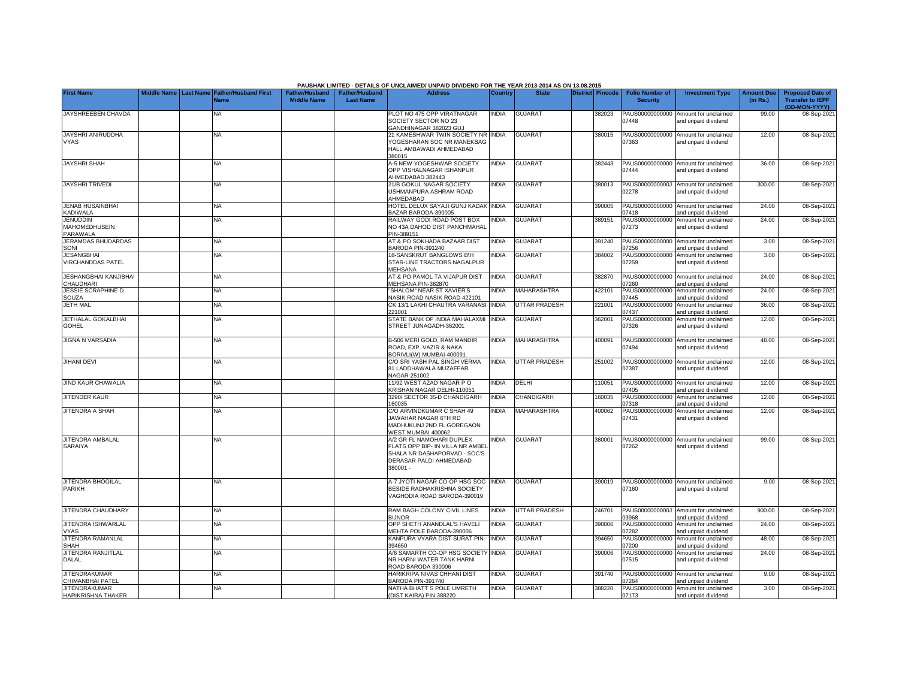|                                                     |                       |                                            |                                             |                                           | PAUSHAK LIMITED - DETAILS OF UNCLAIMED/ UNPAID DIVIDEND FOR THE YEAR 2013-2014 AS ON 13.08.2015                                      |                |                      |                         |                                           |                                                             |                               |                                                                     |
|-----------------------------------------------------|-----------------------|--------------------------------------------|---------------------------------------------|-------------------------------------------|--------------------------------------------------------------------------------------------------------------------------------------|----------------|----------------------|-------------------------|-------------------------------------------|-------------------------------------------------------------|-------------------------------|---------------------------------------------------------------------|
| <b>First Name</b>                                   | Middle Name Last Name | <b>Father/Husband First</b><br><b>Name</b> | <b>Father/Husband</b><br><b>Middle Name</b> | <b>Father/Husband</b><br><b>Last Name</b> | <b>Address</b>                                                                                                                       | <b>Country</b> | <b>State</b>         | <b>District</b> Pincode | <b>Folio Number of</b><br><b>Security</b> | <b>Investment Type</b>                                      | <b>Amount Due</b><br>(in Rs.) | <b>Proposed Date of</b><br><b>Transfer to IEPF</b><br>(DD-MON-YYYY) |
| JAYSHREEBEN CHAVDA                                  |                       | NA                                         |                                             |                                           | PLOT NO 475 OPP VIRATNAGAR<br>SOCIETY SECTOR NO 23<br>GANDHINAGAR 382023 GUJ                                                         | <b>INDIA</b>   | <b>GUJARAT</b>       | 382023                  | PAUS00000000000<br>07448                  | Amount for unclaimed<br>and unpaid dividend                 | 99.00                         | 08-Sep-2021                                                         |
| JAYSHRI ANIRUDDHA<br><b>VYAS</b>                    |                       | NA                                         |                                             |                                           | 21 KAMESHWAR TWIN SOCIETY NR INDIA<br>YOGESHARAN SOC NR MANEKBAG<br>HALL AMBAWADI AHMEDABAD<br>380015                                |                | <b>GUJARAT</b>       | 380015                  | 07363                                     | PAUS00000000000 Amount for unclaimed<br>and unpaid dividend | 12.00                         | 08-Sep-2021                                                         |
| <b>JAYSHRI SHAH</b>                                 |                       | ΝA                                         |                                             |                                           | <b>A-5 NEW YOGESHWAR SOCIETY</b><br>OPP VISHALNAGAR ISHANPUR<br>AHMEDABAD 382443                                                     | <b>INDIA</b>   | <b>GUJARAT</b>       | 382443                  | 07444                                     | PAUS00000000000 Amount for unclaimed<br>and unpaid dividend | 36.00                         | 08-Sep-2021                                                         |
| <b>JAYSHRI TRIVEDI</b>                              |                       | <b>NA</b>                                  |                                             |                                           | 21/B GOKUL NAGAR SOCIETY<br>USHMANPURA ASHRAM ROAD<br>AHMEDABAD                                                                      | <b>INDIA</b>   | <b>GUJARAT</b>       | 380013                  | 02278                                     | PAUS0000000000J Amount for unclaimed<br>and unpaid dividend | 300.00                        | 08-Sep-2021                                                         |
| <b>JENAB HUSAINBHAI</b><br>KADIWALA                 |                       | NA                                         |                                             |                                           | HOTEL DELUX SAYAJI GUNJ KADAK INDIA<br>BAZAR BARODA-390005                                                                           |                | <b>GUJARAT</b>       | 390005                  | 07418                                     | PAUS00000000000 Amount for unclaimed<br>and unpaid dividend | 24.00                         | 08-Sep-2021                                                         |
| <b>JENUDDIN</b><br><b>MAHOMEDHUSEIN</b><br>PARAWALA |                       | NA                                         |                                             |                                           | RAILWAY GODI ROAD POST BOX<br>NO 43A DAHOD DIST PANCHMAHAL<br>PIN-389151                                                             | <b>NDIA</b>    | <b>GUJARAT</b>       | 389151                  | PAUS00000000000<br>07273                  | Amount for unclaimed<br>and unpaid dividend                 | 24.00                         | 08-Sep-2021                                                         |
| <b>JERAMDAS BHUDARDAS</b><br>SONI                   |                       | NA                                         |                                             |                                           | AT & PO SOKHADA BAZAAR DIST<br>BARODA PIN-391240                                                                                     | <b>INDIA</b>   | <b>GUJARAT</b>       | 391240                  | 07256                                     | PAUS00000000000 Amount for unclaimed<br>and unpaid dividend | 3.00                          | 08-Sep-2021                                                         |
| <b>JESANGBHAI</b><br>VIRCHANDDAS PATEL              |                       | <b>NA</b>                                  |                                             |                                           | 18-SANSKRUT BANGLOWS B\H<br>STAR-LINE TRACTORS NAGALPUR<br><b>MEHSANA</b>                                                            | <b>NDIA</b>    | <b>GUJARAT</b>       | 384002                  | PAUS00000000000<br>07259                  | Amount for unclaimed<br>and unpaid dividend                 | 3.00                          | 08-Sep-2021                                                         |
| <b>JESHANGBHAI KANJIBHAI</b><br>CHAUDHARI           |                       | <b>NA</b>                                  |                                             |                                           | AT & PO PAMOL TA VIJAPUR DIST<br>MEHSANA PIN-382870                                                                                  | <b>INDIA</b>   | <b>GUJARAT</b>       | 382870                  | 07260                                     | PAUS00000000000 Amount for unclaimed<br>and unpaid dividend | 24.00                         | 08-Sep-2021                                                         |
| <b>JESSIE SCRAPHINE D</b><br>SOUZA                  |                       | <b>NA</b>                                  |                                             |                                           | 'SHALOM" NEAR ST XAVIER'S<br>NASIK ROAD NASIK ROAD 422101                                                                            | <b>NDIA</b>    | MAHARASHTRA          | 422101                  | PAUS00000000000<br>07445                  | Amount for unclaimed<br>and unpaid dividend                 | 24.00                         | 08-Sep-2021                                                         |
| <b>JETH MAL</b>                                     |                       | <b>NA</b>                                  |                                             |                                           | CK 13/1 LAKHI CHAUTRA VARANASI INDIA<br>221001                                                                                       |                | <b>UTTAR PRADESH</b> | 221001                  | PAUS00000000000<br>07437                  | Amount for unclaimed<br>and unpaid dividend                 | 36.00                         | 08-Sep-2021                                                         |
| JETHALAL GOKALBHAI<br><b>GOHEL</b>                  |                       | NA                                         |                                             |                                           | STATE BANK OF INDIA MAHALAXMI<br>STREET JUNAGADH-362001                                                                              | INDIA          | GUJARAT              | 362001                  | PAUS00000000000<br>07326                  | Amount for unclaimed<br>and unpaid dividend                 | 12.00                         | 08-Sep-2021                                                         |
| <b>JIGNA N VARSADIA</b>                             |                       | <b>NA</b>                                  |                                             |                                           | B-506 MERI GOLD, RAM MANDIR<br>ROAD, EXP. VAZIR & NAKA<br>BORIVLI(W) MUMBAI-400091                                                   | <b>INDIA</b>   | <b>MAHARASHTRA</b>   | 400091                  | 07494                                     | PAUS00000000000 Amount for unclaimed<br>and unpaid dividend | 48.00                         | 08-Sep-2021                                                         |
| <b>JIHANI DEVI</b>                                  |                       | NA                                         |                                             |                                           | C/O SRI YASH PAL SINGH VERMA<br>81 LADDHAWALA MUZAFFAR<br>NAGAR-251002                                                               | <b>INDIA</b>   | UTTAR PRADESH        | 251002                  | 07387                                     | PAUS00000000000 Amount for unclaimed<br>and unpaid dividend | 12.00                         | 08-Sep-2021                                                         |
| <b>JIND KAUR CHAWALIA</b>                           |                       | <b>NA</b>                                  |                                             |                                           | 11/92 WEST AZAD NAGAR P O<br>KRISHAN NAGAR DELHI-110051                                                                              | <b>INDIA</b>   | DELHI                | 110051                  | 07405                                     | PAUS00000000000 Amount for unclaimed<br>and unpaid dividend | 12.00                         | 08-Sep-2021                                                         |
| JITENDER KAUR                                       |                       | NA                                         |                                             |                                           | 3290/ SECTOR 35-D CHANDIGARH<br>160035                                                                                               | <b>INDIA</b>   | CHANDIGARH           | 160035                  | PAUS00000000000<br>07318                  | Amount for unclaimed<br>and unpaid dividend                 | 12.00                         | 08-Sep-2021                                                         |
| JITENDRA A SHAH                                     |                       | NA                                         |                                             |                                           | C/O ARVINDKUMAR C SHAH 49<br>JAWAHAR NAGAR 6TH RD<br>MADHUKUNJ 2ND FL GOREGAON<br>WEST MUMBAI 400062                                 | <b>INDIA</b>   | MAHARASHTRA          | 400062                  | PAUS00000000000<br>07431                  | Amount for unclaimed<br>and unpaid dividend                 | 12.00                         | 08-Sep-2021                                                         |
| JITENDRA AMBALAL<br>SARAIYA                         |                       | <b>NA</b>                                  |                                             |                                           | A/2 GR FL NAMOHARI DUPLEX<br>FLATS OPP BIP- IN VILLA NR AMBEI<br>SHALA NR DASHAPORVAD - SOC'S<br>DERASAR PALDI AHMEDABAD<br>380001 - | INDIA          | <b>GUJARAT</b>       | 380001                  | 07262                                     | PAUS00000000000 Amount for unclaimed<br>and unpaid dividend | 99.00                         | 08-Sep-2021                                                         |
| <b>JITENDRA BHOGILAL</b><br>PARIKH                  |                       | <b>NA</b>                                  |                                             |                                           | A-7 JYOTI NAGAR CO-OP HSG SOC<br>BESIDE RADHAKRISHNA SOCIETY<br>VAGHODIA ROAD BARODA-390019                                          | <b>INDIA</b>   | <b>GUJARAT</b>       | 390019                  | 07160                                     | PAUS00000000000 Amount for unclaimed<br>and unpaid dividend | 9.00                          | 08-Sep-2021                                                         |
| JITENDRA CHAUDHARY                                  |                       | NA                                         |                                             |                                           | RAM BAGH COLONY CIVIL LINES<br><b>BIJNOR</b>                                                                                         | <b>INDIA</b>   | <b>UTTAR PRADESH</b> | 246701                  | PAUS0000000000J<br>03968                  | Amount for unclaimed<br>and unpaid dividend                 | 900.00                        | 08-Sep-2021                                                         |
| JITENDRA ISHWARLAL<br><b>VYAS</b>                   |                       | ΝA                                         |                                             |                                           | OPP SHETH ANANDLAL'S HAVELI<br>MEHTA POLE BARODA-390006                                                                              | INDIA          | <b>GUJARAT</b>       | 390006                  | PAUS00000000000<br>07282                  | Amount for unclaimed<br>and unpaid dividend                 | 24.00                         | 08-Sep-2021                                                         |
| JITENDRA RAMANLAL<br><b>SHAH</b>                    |                       | NA                                         |                                             |                                           | KANPURA VYARA DIST SURAT PIN- INDIA<br>394650                                                                                        |                | <b>GUJARAT</b>       | 394650                  | PAUS00000000000<br>07200                  | Amount for unclaimed<br>and unpaid dividend                 | 48.00                         | 08-Sep-2021                                                         |
| JITENDRA RANJITLAL<br><b>DALAL</b>                  |                       | <b>NA</b>                                  |                                             |                                           | A/6 SAMARTH CO-OP HSG SOCIETY INDIA<br>NR HARNI WATER TANK HARNI<br>ROAD BARODA 390006                                               |                | <b>GUJARAT</b>       | 390006                  | PAUS00000000000<br>07515                  | Amount for unclaimed<br>and unpaid dividend                 | 24.00                         | 08-Sep-2021                                                         |
| <b>JITENDRAKUMAR</b><br>CHIMANBHAI PATEL            |                       | <b>NA</b>                                  |                                             |                                           | HARIKRIPA NIVAS CHHANI DIST<br>BARODA PIN-391740                                                                                     | <b>INDIA</b>   | <b>GUJARAT</b>       | 391740                  | 07264                                     | PAUS00000000000 Amount for unclaimed<br>and unpaid dividend | 9.00                          | 08-Sep-2021                                                         |
| <b>JITENDRAKUMAR</b><br>HARIKRISHNA THAKER          |                       | <b>NA</b>                                  |                                             |                                           | NATHA BHATT S POLE UMRETH<br>(DIST KAIRA) PIN 388220                                                                                 | <b>INDIA</b>   | <b>GUJARAT</b>       | 388220                  | 07173                                     | PAUS00000000000 Amount for unclaimed<br>and unpaid dividend | 3.00                          | 08-Sep-2021                                                         |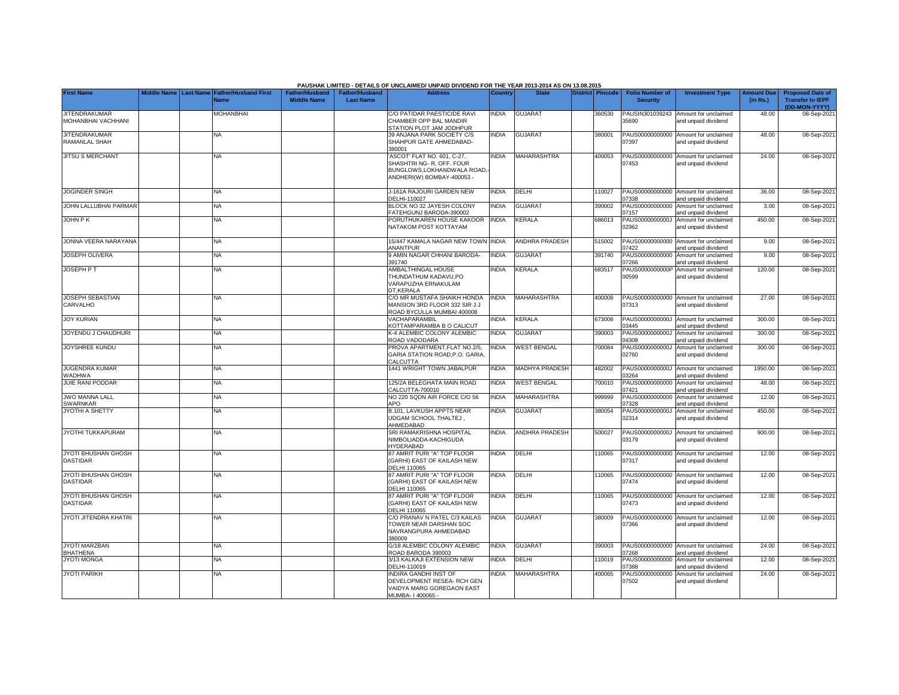|                                            |             |                  |                                     |                                      |                                           | PAUSHAK LIMITED - DETAILS OF UNCLAIMED/ UNPAID DIVIDEND FOR THE YEAR 2013-2014 AS ON 13.08.2015                      |              |                       |                  |                                           |                                                             |                               |                                                                     |
|--------------------------------------------|-------------|------------------|-------------------------------------|--------------------------------------|-------------------------------------------|----------------------------------------------------------------------------------------------------------------------|--------------|-----------------------|------------------|-------------------------------------------|-------------------------------------------------------------|-------------------------------|---------------------------------------------------------------------|
| <b>First Name</b>                          | Middle Name | <b>Last Name</b> | <b>Father/Husband First</b><br>Name | Father/Husband<br><b>Middle Name</b> | <b>Father/Husband</b><br><b>Last Name</b> | <b>Address</b>                                                                                                       | Country      | <b>State</b>          | District Pincode | <b>Folio Number of</b><br><b>Security</b> | <b>Investment Type</b>                                      | <b>Amount Due</b><br>(in Rs.) | <b>Proposed Date of</b><br><b>Transfer to IEPF</b><br>(DD-MON-YYYY) |
| <b>JITENDRAKUMAR</b><br>MOHANBHAI VACHHANI |             |                  | <b>MOHANBHAI</b>                    |                                      |                                           | C/O PATIDAR PAESTICIDE RAVI<br>CHAMBER OPP BAL MANDIR<br>STATION PLOT JAM JODHPUR                                    | <b>NDIA</b>  | <b>GUJARAT</b>        | 360530           | 35690                                     | PAUSIN301039243 Amount for unclaimed<br>and unpaid dividend | 48.00                         | 08-Sep-202                                                          |
| <b>JITENDRAKUMAR</b><br>RAMANLAL SHAH      |             |                  | <b>NA</b>                           |                                      |                                           | 39 ANJANA PARK SOCIETY C/S<br>SHAHPUR GATE AHMEDABAD-<br>380001                                                      | <b>INDIA</b> | <b>GUJARAT</b>        | 380001           | 07397                                     | PAUS00000000000 Amount for unclaimed<br>and unpaid dividend | 48.00                         | 08-Sep-202                                                          |
| <b>JITSU S MERCHANT</b>                    |             |                  | ΝA                                  |                                      |                                           | ASCOT' FLAT NO. 601, C-27,<br>SHASHTRI NG- R, OFF. FOUR<br>BUNGLOWS, LOKHANDWALA ROAD,<br>ANDHERI(W) BOMBAY-400053 - | <b>NDIA</b>  | MAHARASHTRA           | 400053           | PAUS00000000000<br>07453                  | Amount for unclaimed<br>and unpaid dividend                 | 24.00                         | 08-Sep-202                                                          |
| <b>JOGINDER SINGH</b>                      |             |                  | <b>NA</b>                           |                                      |                                           | J-161A RAJOURI GARDEN NEW<br>DELHI-110027                                                                            | <b>INDIA</b> | DELHI                 | 110027           | )7338                                     | PAUS00000000000 Amount for unclaimed<br>and unpaid dividend | 36.00                         | 08-Sep-202                                                          |
| JOHN LALLUBHAI PARMAR                      |             |                  | NA                                  |                                      |                                           | BLOCK NO 32 JAYESH COLONY<br>FATEHGUNJ BARODA-390002                                                                 | <b>INDIA</b> | <b>GUJARAT</b>        | 390002           | PAUS00000000000<br>)7157                  | Amount for unclaimed<br>and unpaid dividend                 | 3.00                          | 08-Sep-202                                                          |
| <b>JOHN PK</b>                             |             |                  | <b>NA</b>                           |                                      |                                           | PORUTHUKAREN HOUSE KAKOOR<br>NATAKOM POST KOTTAYAM                                                                   | <b>INDIA</b> | KERALA                | 686013           | PAUS0000000000J<br>)2962                  | Amount for unclaimed<br>and unpaid dividend                 | 450.00                        | 08-Sep-202                                                          |
| JONNA VEERA NARAYANA                       |             |                  | <b>NA</b>                           |                                      |                                           | 15/447 KAMALA NAGAR NEW TOWN INDIA<br>ANANTPUR                                                                       |              | <b>ANDHRA PRADESH</b> | 515002           | 7422                                      | PAUS00000000000 Amount for unclaimed<br>and unpaid dividend | 9.00                          | 08-Sep-202                                                          |
| <b>JOSEPH OLIVERA</b>                      |             |                  | <b>NA</b>                           |                                      |                                           | 9 AMIN NAGAR CHHANI BARODA-<br>391740                                                                                | INDIA        | GUJARAT               | 391740           | PAUS00000000000<br>7266                   | Amount for unclaimed<br>and unpaid dividend                 | 9.00                          | 08-Sep-202                                                          |
| <b>JOSEPH PT</b>                           |             |                  | ΝA                                  |                                      |                                           | AMBALTHINGAL HOUSE<br>THUNDATHUM KADAVU,PO<br>VARAPUZHA ERNAKULAM<br>DT.KERALA                                       | <b>NDIA</b>  | KERALA                | 683517           | PAUS0000000000P<br>00599                  | Amount for unclaimed<br>and unpaid dividend                 | 120.00                        | 08-Sep-202                                                          |
| <b>JOSEPH SEBASTIAN</b><br>CARVALHO        |             |                  | <b>NA</b>                           |                                      |                                           | C/O MR MUSTAFA SHAIKH HONDA<br>MANSION 3RD FLOOR 332 SIR JJ<br>ROAD BYCULLA MUMBAI 400008                            | <b>NDIA</b>  | <b>MAHARASHTRA</b>    | 400008           | 07313                                     | PAUS00000000000 Amount for unclaimed<br>and unpaid dividend | 27.00                         | 08-Sep-202                                                          |
| <b>JOY KURIAN</b>                          |             |                  | <b>NA</b>                           |                                      |                                           | VACHAPARAMBIL<br>KOTTAMPARAMBA B O CALICUT                                                                           | <b>NDIA</b>  | <b>KERALA</b>         | 673008           | 03445                                     | PAUS0000000000J Amount for unclaimed<br>and unpaid dividend | 300.00                        | 08-Sep-202                                                          |
| JOYENDU J CHAUDHURI                        |             |                  | NA                                  |                                      |                                           | K-4 ALEMBIC COLONY ALEMBIC<br>ROAD VADODARA                                                                          | <b>NDIA</b>  | <b>GUJARAT</b>        | 390003           | PAUS0000000000J<br>14308                  | Amount for unclaimed<br>and unpaid dividend                 | 300.00                        | 08-Sep-202                                                          |
| <b>JOYSHREE KUNDU</b>                      |             |                  | <b>NA</b>                           |                                      |                                           | PROVA APARTMENT, FLAT NO.2/5,<br>GARIA STATION ROAD.P.O. GARIA<br>CALCUTTA                                           | <b>NDIA</b>  | <b>WEST BENGAL</b>    | 700084           | 02760                                     | PAUS0000000000J Amount for unclaimed<br>and unpaid dividend | 300.00                        | 08-Sep-2021                                                         |
| <b>JUGENDRA KUMAR</b><br>WADHWA            |             |                  | NA                                  |                                      |                                           | 1441 WRIGHT TOWN JABALPUR                                                                                            | <b>NDIA</b>  | MADHYA PRADESH        | 482002           | 03264                                     | PAUS0000000000J Amount for unclaimed<br>and unpaid dividend | 1950.00                       | 08-Sep-202                                                          |
| JUIE RANI PODDAR                           |             |                  | <b>NA</b>                           |                                      |                                           | 125/2A BELEGHATA MAIN ROAD<br>CALCUTTA-700010                                                                        | <b>INDIA</b> | <b>WEST BENGAL</b>    | 700010           | PAUS00000000000<br>)7421                  | Amount for unclaimed<br>and unpaid dividend                 | 48.00                         | 08-Sep-202                                                          |
| <b>JWO MANNA LALL</b><br>SWARNKAR          |             |                  | <b>NA</b>                           |                                      |                                           | NO 220 SQDN AIR FORCE C/O 56<br>APO                                                                                  | <b>INDIA</b> | MAHARASHTRA           | 999999           | PAUS00000000000<br>7328                   | Amount for unclaimed<br>and unpaid dividend                 | 12.00                         | 08-Sep-202                                                          |
| <b>JYOTHI A SHETTY</b>                     |             |                  | <b>NA</b>                           |                                      |                                           | <b>B.101. LAVKUSH APPTS NEAR</b><br><b>UDGAM SCHOOL THALTEJ.</b><br>AHMEDABAD                                        | <b>INDIA</b> | <b>GUJARAT</b>        | 380054           | PAUS0000000000J<br>02314                  | Amount for unclaimed<br>and unpaid dividend                 | 450.00                        | 08-Sep-202                                                          |
| JYOTHI TUKKAPURAM                          |             |                  | NA                                  |                                      |                                           | SRI RAMAKRISHNA HOSPITAL<br>NIMBOLIADDA-KACHIGUDA<br>HYDERABAD                                                       | <b>INDIA</b> | ANDHRA PRADESH        | 500027           | PAUS0000000000J<br>03179                  | Amount for unclaimed<br>and unpaid dividend                 | 900.00                        | 08-Sep-202                                                          |
| JYOTI BHUSHAN GHOSH<br><b>DASTIDAR</b>     |             |                  | <b>NA</b>                           |                                      |                                           | <b>37 AMRIT PURI "A" TOP FLOOR</b><br><b>GARHI) EAST OF KAILASH NEW</b><br><b>DELHI 110065</b>                       | <b>NDIA</b>  | DELHI                 | 110065           | )7317                                     | PAUS00000000000 Amount for unclaimed<br>and unpaid dividend | 12.00                         | 08-Sep-2021                                                         |
| <b>JYOTI BHUSHAN GHOSH</b><br>DASTIDAR     |             |                  | <b>NA</b>                           |                                      |                                           | <b>87 AMRIT PURI "A" TOP FLOOR</b><br>(GARHI) EAST OF KAILASH NEW<br><b>DELHI 110065</b>                             | <b>NDIA</b>  | DELHI                 | 110065           | 07474                                     | PAUS00000000000 Amount for unclaimed<br>and unpaid dividend | 12.00                         | 08-Sep-202                                                          |
| JYOTI BHUSHAN GHOSH<br><b>DASTIDAR</b>     |             |                  | NA                                  |                                      |                                           | 87 AMRIT PURI "A" TOP FLOOR<br>(GARHI) EAST OF KAILASH NEW<br>DELHI 110065                                           | <b>NDIA</b>  | DELHI                 | 10065            | 07473                                     | PAUS00000000000 Amount for unclaimed<br>and unpaid dividend | 12.00                         | 08-Sep-2021                                                         |
| <b>JYOTI JITENDRA KHATRI</b>               |             |                  | <b>NA</b>                           |                                      |                                           | C/O PRANAV N PATEL C/3 KAILAS<br>TOWER NEAR DARSHAN SOC<br>NAVRANGPURA AHMEDABAD<br>380009                           | <b>INDIA</b> | <b>GUJARAT</b>        | 380009           | 07366                                     | PAUS00000000000 Amount for unclaimed<br>and unpaid dividend | 12.00                         | 08-Sep-202                                                          |
| <b>JYOTI MARZBAN</b><br><b>BHATHENA</b>    |             |                  | NA                                  |                                      |                                           | G/18 ALEMBIC COLONY ALEMBIC<br>ROAD BARODA 390003                                                                    | <b>NDIA</b>  | <b>GUJARAT</b>        | 390003           | )7268                                     | PAUS00000000000 Amount for unclaimed<br>and unpaid dividend | 24.00                         | 08-Sep-202                                                          |
| <b>JYOTI MONGA</b>                         |             |                  | <b>NA</b>                           |                                      |                                           | 3/13 KALKAJI EXTENSION NEW<br>DELHI-110019                                                                           | <b>NDIA</b>  | DELHI                 | 110019           | PAUS00000000000<br>7388                   | Amount for unclaimed<br>and unpaid dividend                 | 12.00                         | 08-Sep-202                                                          |
| <b>JYOTI PARIKH</b>                        |             |                  | <b>NA</b>                           |                                      |                                           | INDIRA GANDHI INST OF<br>DEVELOPMENT RESEA- RCH GEN<br>VAIDYA MARG GOREGAON EAST<br>MUMBA-1400065-                   | <b>NDIA</b>  | MAHARASHTRA           | 400065           | PAUS00000000000<br>07502                  | Amount for unclaimed<br>and unpaid dividend                 | 24.00                         | 08-Sep-202                                                          |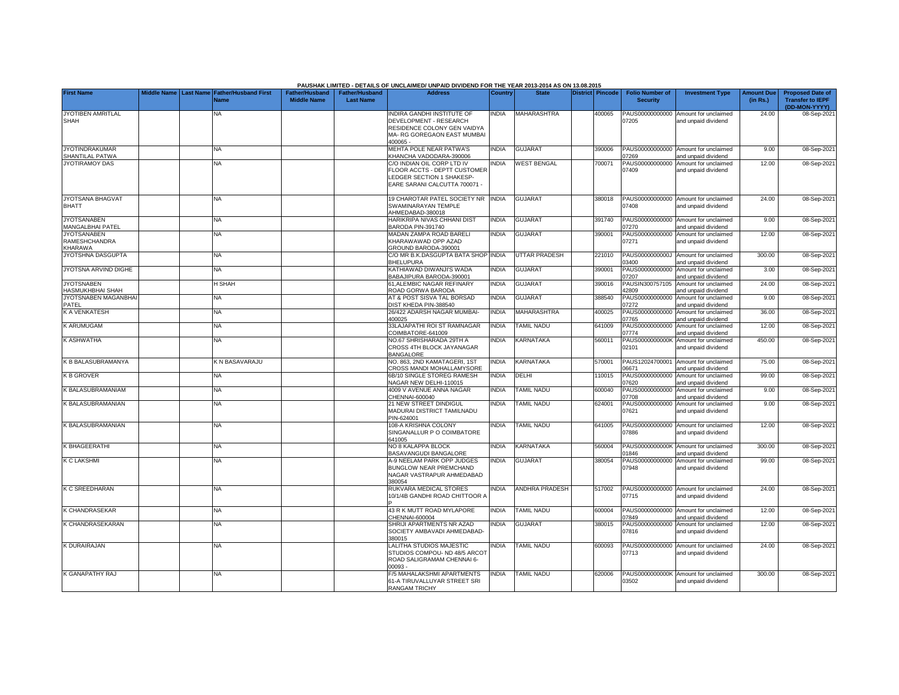|                                                       |  |                                                               |                                             |                                           | PAUSHAK LIMITED - DETAILS OF UNCLAIMED/ UNPAID DIVIDEND FOR THE YEAR 2013-2014 AS ON 13.08.2015                              |                |                          |                  |                                           |                                                             |                               |                                                                     |
|-------------------------------------------------------|--|---------------------------------------------------------------|---------------------------------------------|-------------------------------------------|------------------------------------------------------------------------------------------------------------------------------|----------------|--------------------------|------------------|-------------------------------------------|-------------------------------------------------------------|-------------------------------|---------------------------------------------------------------------|
| <b>First Name</b>                                     |  | Middle Name   Last Name   Father/Husband First<br><b>Name</b> | <b>Father/Husband</b><br><b>Middle Name</b> | <b>Father/Husband</b><br><b>Last Name</b> | <b>Address</b>                                                                                                               | <b>Country</b> | <b>State</b>             | District Pincode | <b>Folio Number of</b><br><b>Security</b> | <b>Investment Type</b>                                      | <b>Amount Due</b><br>(in Rs.) | <b>Proposed Date of</b><br><b>Transfer to IEPF</b><br>(DD-MON-YYYY) |
| JYOTIBEN AMRITLAL<br><b>SHAH</b>                      |  | <b>NA</b>                                                     |                                             |                                           | INDIRA GANDHI INSTITUTE OF<br>DEVELOPMENT - RESEARCH<br>RESIDENCE COLONY GEN VAIDYA<br>MA- RG GOREGAON EAST MUMBAI<br>400065 | INDIA          | MAHARASHTRA              | 400065           | 07205                                     | PAUS00000000000 Amount for unclaimed<br>and unpaid dividend | 24.00                         | 08-Sep-2021                                                         |
| <b>JYOTINDRAKUMAR</b><br>SHANTILAL PATWA              |  | NA                                                            |                                             |                                           | MEHTA POLE NEAR PATWA'S<br>KHANCHA VADODARA-390006                                                                           | <b>INDIA</b>   | <b>GUJARAT</b>           | 390006           | 07269                                     | PAUS00000000000 Amount for unclaimed<br>and unpaid dividend | 9.00                          | 08-Sep-202                                                          |
| <b>JYOTIRAMOY DAS</b>                                 |  | <b>NA</b>                                                     |                                             |                                           | C/O INDIAN OIL CORP LTD IV<br>FLOOR ACCTS - DEPTT CUSTOMER<br>LEDGER SECTION 1 SHAKESP-<br>EARE SARANI CALCUTTA 700071 -     | INDIA          | <b>WEST BENGAL</b>       | 700071           | PAUS00000000000<br>07409                  | Amount for unclaimed<br>and unpaid dividend                 | 12.00                         | 08-Sep-202                                                          |
| <b>JYOTSANA BHAGVAT</b><br><b>BHATT</b>               |  | <b>NA</b>                                                     |                                             |                                           | 19 CHAROTAR PATEL SOCIETY NR<br>SWAMINARAYAN TEMPLE<br>AHMEDABAD-380018                                                      | <b>INDIA</b>   | <b>GUJARAT</b>           | 380018           | 07408                                     | PAUS00000000000 Amount for unclaimed<br>and unpaid dividend | 24.00                         | 08-Sep-202                                                          |
| <b>JYOTSANABEN</b><br><b>MANGALBHAI PATEL</b>         |  | ΝA                                                            |                                             |                                           | HARIKRIPA NIVAS CHHANI DIST<br>3ARODA PIN-391740                                                                             | <b>INDIA</b>   | <b>GUJARAT</b>           | 391740           | )7270                                     | PAUS00000000000 Amount for unclaimed<br>and unpaid dividend | 9.00                          | 08-Sep-202                                                          |
| <b>JYOTSANABEN</b><br><b>RAMESHCHANDRA</b><br>KHARAWA |  | ΝA                                                            |                                             |                                           | MADAN ZAMPA ROAD BARELI<br>KHARAWAWAD OPP AZAD<br>GROUND BARODA-390001                                                       | INDIA          | <b>GUJARAT</b>           | 390001           | 07271                                     | PAUS00000000000 Amount for unclaimed<br>and unpaid dividend | 12.00                         | 08-Sep-202                                                          |
| JYOTSHNA DASGUPTA                                     |  | NA                                                            |                                             |                                           | C/O MR B.K.DASGUPTA BATA SHOP INDIA<br><b>BHELUPURA</b>                                                                      |                | <b>UTTAR PRADESH</b>     | 221010           | PAUS0000000000J<br>03400                  | Amount for unclaimed<br>and unpaid dividend                 | 300.00                        | 08-Sep-202                                                          |
| JYOTSNA ARVIND DIGHE                                  |  | NA.                                                           |                                             |                                           | <b>KATHIAWAD DIWANJI'S WADA</b><br>BABAJIPURA BARODA-390001                                                                  | <b>INDIA</b>   | <b>GUJARAT</b>           | 390001           | 07207                                     | PAUS00000000000 Amount for unclaimed<br>and unpaid dividend | 3.00                          | 08-Sep-2021                                                         |
| <b>JYOTSNABEN</b><br>HASMUKHBHAI SHAH                 |  | H SHAH                                                        |                                             |                                           | 61.ALEMBIC NAGAR REFINARY<br>ROAD GORWA BARODA                                                                               | INDIA          | <b>GUJARAT</b>           | 390016           | PAUSIN300757105<br>12809                  | Amount for unclaimed<br>and unpaid dividend                 | 24.00                         | 08-Sep-202                                                          |
| JYOTSNABEN MAGANBHAI<br>PATEL                         |  | ΝA                                                            |                                             |                                           | AT & POST SISVA TAL BORSAD<br><b>JIST KHEDA PIN-388540</b>                                                                   | <b>INDIA</b>   | <b>GUJARAT</b>           | 388540           | PAUS00000000000<br>)7272                  | Amount for unclaimed<br>and unpaid dividend                 | 9.00                          | 08-Sep-202                                                          |
| <b>K A VENKATESH</b>                                  |  | ΝA                                                            |                                             |                                           | 26/422 ADARSH NAGAR MUMBAI-<br>100025                                                                                        | INDIA          | MAHARASHTRA              | 400025           | PAUS00000000000<br>07765                  | Amount for unclaimed<br>and unpaid dividend                 | 36.00                         | 08-Sep-202                                                          |
| K ARUMUGAM                                            |  | <b>NA</b>                                                     |                                             |                                           | 33LAJAPATHI ROI ST RAMNAGAR<br>COIMBATORE-641009                                                                             | <b>INDIA</b>   | <b><i>FAMIL NADU</i></b> | 641009           | PAUS00000000000<br>07774                  | Amount for unclaimed<br>and unpaid dividend                 | 12.00                         | 08-Sep-202                                                          |
| <b>K ASHWATHA</b>                                     |  | <b>NA</b>                                                     |                                             |                                           | NO.67 SHRISHARADA 29TH A<br>CROSS 4TH BLOCK JAYANAGAR<br><b>BANGALORE</b>                                                    | <b>INDIA</b>   | KARNATAKA                | 560011           | <b>PAUS0000000000K</b><br>02101           | Amount for unclaimed<br>and unpaid dividend                 | 450.00                        | 08-Sep-2021                                                         |
| K B BALASUBRAMANYA                                    |  | K N BASAVARAJU                                                |                                             |                                           | <b>VO. 863. 2ND KAMATAGERI. 1ST</b><br>CROSS MANDI MOHALLAMYSORE                                                             | <b>NDIA</b>    | <b>KARNATAKA</b>         | 570001           | PAUS12024700001<br>06671                  | Amount for unclaimed<br>and unpaid dividend                 | 75.00                         | 08-Sep-202                                                          |
| <b>K B GROVER</b>                                     |  | NA                                                            |                                             |                                           | 6B/10 SINGLE STOREG RAMESH<br>NAGAR NEW DELHI-110015                                                                         | <b>NDIA</b>    | DELHI                    | 110015           | PAUS00000000000<br>07620                  | Amount for unclaimed<br>and unpaid dividend                 | 99.00                         | 08-Sep-202                                                          |
| K BALASUBRAMANIAM                                     |  | ΝA                                                            |                                             |                                           | 4009 V AVENUE ANNA NAGAR<br>CHENNAI-600040                                                                                   | INDIA          | <b>TAMIL NADU</b>        | 600040           | PAUS00000000000<br>07708                  | Amount for unclaimed<br>and unpaid dividend                 | 9.00                          | 08-Sep-202                                                          |
| K BALASUBRAMANIAN                                     |  | NA                                                            |                                             |                                           | 21 NEW STREET DINDIGUL<br>MADURAI DISTRICT TAMILNADU<br>PIN-624001                                                           | <b>NDIA</b>    | AMIL NADU                | 624001           | PAUS00000000000<br>07621                  | Amount for unclaimed<br>and unpaid dividend                 | 9.00                          | 08-Sep-2021                                                         |
| <b>K BALASUBRAMANIAN</b>                              |  | <b>NA</b>                                                     |                                             |                                           | 108-A KRISHNA COLONY<br>SINGANALLUR P O COIMBATORE<br>341005                                                                 | <b>INDIA</b>   | <b>TAMIL NADU</b>        | 641005           | 07886                                     | PAUS00000000000 Amount for unclaimed<br>and unpaid dividend | 12.00                         | 08-Sep-202                                                          |
| K BHAGEERATHI                                         |  | <b>NA</b>                                                     |                                             |                                           | NO 8 KALAPPA BLOCK<br>BASAVANGUDI BANGALORE                                                                                  | INDIA          | KARNATAKA                | 560004           | 01846                                     | PAUS0000000000K Amount for unclaimed<br>and unpaid dividend | 300.00                        | 08-Sep-202                                                          |
| <b>K C LAKSHMI</b>                                    |  | NA                                                            |                                             |                                           | A-9 NEELAM PARK OPP JUDGES<br>BUNGLOW NEAR PREMCHAND<br>NAGAR VASTRAPUR AHMEDABAD<br>380054                                  | <b>INDIA</b>   | <b>GUJARAT</b>           | 380054           | PAUS00000000000<br>07948                  | Amount for unclaimed<br>and unpaid dividend                 | 99.00                         | 08-Sep-202                                                          |
| <b>K C SREEDHARAN</b>                                 |  | NA                                                            |                                             |                                           | <b>RUKVARA MEDICAL STORES</b><br>10/1/4B GANDHI ROAD CHITTOOR A                                                              | <b>NDIA</b>    | <b>ANDHRA PRADESH</b>    | 517002           | PAUS00000000000<br>07715                  | Amount for unclaimed<br>and unpaid dividend                 | 24.00                         | 08-Sep-202                                                          |
| <b>K CHANDRASEKAR</b>                                 |  | <b>NA</b>                                                     |                                             |                                           | 43 R K MUTT ROAD MYLAPORE<br>CHENNAI-600004                                                                                  | <b>INDIA</b>   | <b>TAMIL NADU</b>        | 600004           | 7849                                      | PAUS00000000000 Amount for unclaimed<br>and unpaid dividend | 12.00                         | 08-Sep-202                                                          |
| K CHANDRASEKARAN                                      |  | <b>NA</b>                                                     |                                             |                                           | SHRIJI APARTMENTS NR AZAD<br>SOCIETY AMBAVADI AHMEDABAD-<br>380015                                                           | <b>NDIA</b>    | <b>GUJARAT</b>           | 380015           | PAUS00000000000<br>07816                  | Amount for unclaimed<br>and unpaid dividend                 | 12.00                         | 08-Sep-2021                                                         |
| <b>K DURAIRAJAN</b>                                   |  | NΑ                                                            |                                             |                                           | ALITHA STUDIOS MAJESTIC<br>STUDIOS COMPOU- ND 48/5 ARCOT<br>ROAD SALIGRAMAM CHENNAI 6-<br>00093                              | <b>NDIA</b>    | <b>TAMIL NADU</b>        | 600093           | 07713                                     | PAUS00000000000 Amount for unclaimed<br>and unpaid dividend | 24.00                         | 08-Sep-202                                                          |
| K GANAPATHY RAJ                                       |  | NA                                                            |                                             |                                           | -/5 MAHALAKSHMI APARTMENTS<br>61-A TIRUVALLUYAR STREET SRI<br><b>RANGAM TRICHY</b>                                           | <b>NDIA</b>    | <b>TAMIL NADU</b>        | 620006           | 03502                                     | PAUS0000000000K Amount for unclaimed<br>and unpaid dividend | 300.00                        | 08-Sep-2021                                                         |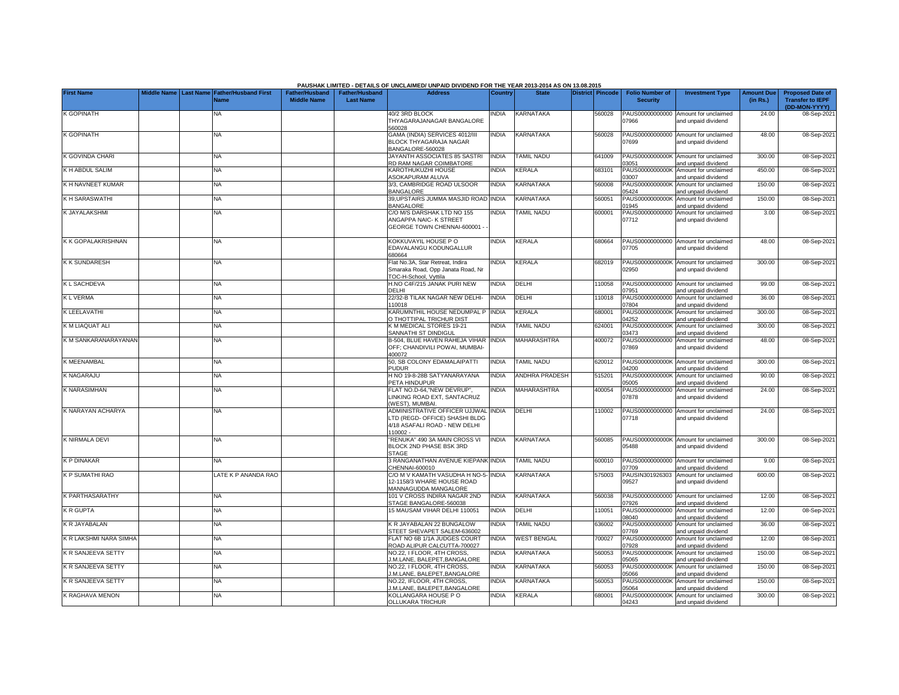|                        |  |                                                               |                                             |                                           | PAUSHAK LIMITED - DETAILS OF UNCLAIMED/ UNPAID DIVIDEND FOR THE YEAR 2013-2014 AS ON 13.08.2015                    |              |                          |                  |        |                                           |                                                             |                               |                                                                     |
|------------------------|--|---------------------------------------------------------------|---------------------------------------------|-------------------------------------------|--------------------------------------------------------------------------------------------------------------------|--------------|--------------------------|------------------|--------|-------------------------------------------|-------------------------------------------------------------|-------------------------------|---------------------------------------------------------------------|
| <b>First Name</b>      |  | Middle Name   Last Name   Father/Husband First<br><b>Vame</b> | <b>Father/Husband</b><br><b>Middle Name</b> | <b>Father/Husband</b><br><b>Last Name</b> | <b>Address</b>                                                                                                     | Country      | <b>State</b>             | District Pincode |        | <b>Folio Number of</b><br><b>Security</b> | <b>Investment Type</b>                                      | <b>Amount Due</b><br>(in Rs.) | <b>Proposed Date of</b><br><b>Transfer to IEPF</b><br>(DD-MON-YYYY) |
| K GOPINATH             |  | <b>NA</b>                                                     |                                             |                                           | 40/2 3RD BLOCK<br>THYAGARAJANAGAR BANGALORE<br>560028                                                              | INDIA        | KARNATAKA                |                  | 560028 | PAUS00000000000<br>07966                  | Amount for unclaimed<br>and unpaid dividend                 | 24.00                         | 08-Sep-2021                                                         |
| K GOPINATH             |  | <b>NA</b>                                                     |                                             |                                           | <b>GAMA (INDIA) SERVICES 4012/III</b><br>BLOCK THYAGARAJA NAGAR<br>BANGALORE-560028                                | <b>INDIA</b> | KARNATAKA                |                  | 560028 | PAUS00000000000<br>07699                  | Amount for unclaimed<br>and unpaid dividend                 | 48.00                         | 08-Sep-2021                                                         |
| K GOVINDA CHARI        |  | <b>NA</b>                                                     |                                             |                                           | JAYANTH ASSOCIATES 85 SASTRI<br>RD RAM NAGAR COIMBATORE                                                            | <b>INDIA</b> | <b>TAMIL NADU</b>        |                  | 641009 | PAUS0000000000K<br>03051                  | Amount for unclaimed<br>nd unpaid dividend                  | 300.00                        | 08-Sep-2021                                                         |
| K H ABDUL SALIM        |  | <b>NA</b>                                                     |                                             |                                           | <b>KAROTHUKUZHI HOUSE</b><br>ASOKAPURAM ALUVA                                                                      | <b>INDIA</b> | KERALA                   |                  | 683101 | PAUS0000000000K<br>03007                  | Amount for unclaimed<br>and unpaid dividend                 | 450.00                        | 08-Sep-2021                                                         |
| K H NAVNEET KUMAR      |  | <b>NA</b>                                                     |                                             |                                           | 3/3, CAMBRIDGE ROAD ULSOOR<br><b>BANGALORE</b>                                                                     | <b>INDIA</b> | KARNATAKA                |                  | 560008 | PAUS0000000000K<br>05424                  | Amount for unclaimed<br>nd unpaid dividend                  | 150.00                        | 08-Sep-2021                                                         |
| K H SARASWATHI         |  | NΑ                                                            |                                             |                                           | <b>99, UPSTAIRS JUMMA MASJID ROAD INDIA</b><br><b>BANGALORE</b>                                                    |              | KARNATAKA                |                  | 560051 | PAUS0000000000K<br>01945                  | Amount for unclaimed<br>and unpaid dividend                 | 150.00                        | 08-Sep-2021                                                         |
| K JAYALAKSHMI          |  | NΑ                                                            |                                             |                                           | C/O M/S DARSHAK LTD NO 155<br><b>INGAPPA NAIC- K STREET</b><br>GEORGE TOWN CHENNAI-600001 -                        | <b>INDIA</b> | <b>TAMIL NADU</b>        |                  | 600001 | PAUS00000000000<br>07712                  | Amount for unclaimed<br>and unpaid dividend                 | 3.00                          | 08-Sep-2021                                                         |
| K K GOPALAKRISHNAN     |  | NA                                                            |                                             |                                           | <b>KOKKUVAYIL HOUSE P O</b><br>EDAVALANGU KODUNGALLUR<br>80664                                                     | <b>INDIA</b> | KERALA                   |                  | 680664 | PAUS00000000000<br>07705                  | Amount for unclaimed<br>and unpaid dividend                 | 48.00                         | 08-Sep-2021                                                         |
| <b>KK SUNDARESH</b>    |  | NA                                                            |                                             |                                           | Flat No.3A, Star Retreat, Indira<br>Smaraka Road, Opp Janata Road, Nr<br>OC-H-School, Vyttila                      | <b>NDIA</b>  | KERALA                   |                  | 682019 | PAUS0000000000K<br>02950                  | Amount for unclaimed<br>and unpaid dividend                 | 300.00                        | 08-Sep-2021                                                         |
| <b>KL SACHDEVA</b>     |  | ΝA                                                            |                                             |                                           | H.NO C4F/215 JANAK PURI NEW<br>DELHI                                                                               | <b>NDIA</b>  | DELHI                    |                  | 10058  | PAUS00000000000<br>)7951                  | Amount for unclaimed<br>and unpaid dividend                 | 99.00                         | 08-Sep-2021                                                         |
| <b>KLVERMA</b>         |  | ΝA                                                            |                                             |                                           | 22/32-B TILAK NAGAR NEW DELHI-<br>110018                                                                           | <b>INDIA</b> | DELHI                    |                  | 110018 | PAUS00000000000<br>07804                  | Amount for unclaimed<br>and unpaid dividend                 | 36.00                         | 08-Sep-2021                                                         |
| K LEELAVATHI           |  | ΝA                                                            |                                             |                                           | KARUMNTHIL HOUSE NEDUMPAL P<br><b>D THOTTIPAL TRICHUR DIST</b>                                                     | INDIA        | KERALA                   |                  | 680001 | PAUS0000000000K<br>14252                  | Amount for unclaimed<br>and unpaid dividend                 | 300.00                        | 08-Sep-2021                                                         |
| K M LIAQUAT ALI        |  | <b>NA</b>                                                     |                                             |                                           | <b>KM MEDICAL STORES 19-21</b><br>SANNATHI ST DINDIGUL                                                             | <b>INDIA</b> | TAMIL NADU               |                  | 624001 | PAUS0000000000K<br>03473                  | Amount for unclaimed<br>and unpaid dividend                 | 300.00                        | 08-Sep-2021                                                         |
| K M SANKARANARAYANAN   |  | NA                                                            |                                             |                                           | 3-504, BLUE HAVEN RAHEJA VIHAR<br>OFF; CHANDIVILI POWAI, MUMBAI-<br>100072                                         | INDIA        | MAHARASHTRA              |                  | 400072 | PAUS00000000000<br>07869                  | Amount for unclaimed<br>and unpaid dividend                 | 48.00                         | 08-Sep-2021                                                         |
| K MEENAMBAL            |  | <b>NA</b>                                                     |                                             |                                           | 50, SB COLONY EDAMALAIPATTI<br>PUDUR                                                                               | <b>INDIA</b> | <b>TAMIL NADU</b>        |                  | 620012 | PAUS0000000000K<br>04200                  | Amount for unclaimed<br>and unpaid dividend                 | 300.00                        | 08-Sep-2021                                                         |
| K NAGARAJU             |  | <b>NA</b>                                                     |                                             |                                           | H NO 19-8-28B SATYANARAYANA<br><b>PETA HINDUPUR</b>                                                                | <b>INDIA</b> | ANDHRA PRADESH           |                  | 515201 | PAUS0000000000K<br>05005                  | Amount for unclaimed<br>and unpaid dividend                 | 90.00                         | 08-Sep-2021                                                         |
| <b>K NARASIMHAN</b>    |  | <b>NA</b>                                                     |                                             |                                           | FLAT NO.D-64,"NEW DEVRUP",<br>INKING ROAD EXT, SANTACRUZ<br>WEST), MUMBAI.                                         | <b>NDIA</b>  | MAHARASHTRA              |                  | 400054 | PAUS00000000000<br>07878                  | Amount for unclaimed<br>and unpaid dividend                 | 24.00                         | 08-Sep-2021                                                         |
| K NARAYAN ACHARYA      |  | <b>NA</b>                                                     |                                             |                                           | ADMINISTRATIVE OFFICER UJJWAL INDIA<br>TD (REGD- OFFICE) SHASHI BLDG<br>1/18 ASAFALI ROAD - NEW DELHI<br>$10002 -$ |              | DELHI                    |                  | 110002 | 07718                                     | PAUS00000000000 Amount for unclaimed<br>and unpaid dividend | 24.00                         | 08-Sep-2021                                                         |
| K NIRMALA DEVI         |  | <b>NA</b>                                                     |                                             |                                           | RENUKA" 490 3A MAIN CROSS VI<br>BLOCK 2ND PHASE BSK 3RD<br>STAGE                                                   | <b>INDIA</b> | KARNATAKA                |                  | 560085 | 05488                                     | PAUS0000000000K Amount for unclaimed<br>and unpaid dividend | 300.00                        | 08-Sep-2021                                                         |
| K P DINAKAR            |  | <b>NA</b>                                                     |                                             |                                           | <b>BRANGANATHAN AVENUE KIEPANK INDIA</b><br>CHENNAI-600010                                                         |              | <b><i>FAMIL NADU</i></b> |                  | 600010 | PAUS00000000000<br>07709                  | Amount for unclaimed<br>and unpaid dividend                 | 9.00                          | 08-Sep-2021                                                         |
| K P SUMATHI RAO        |  | LATE K P ANANDA RAO                                           |                                             |                                           | C/O M V KAMATH VASUDHA H NO-5-<br>12-1158/3 WHARE HOUSE ROAD<br><b>MANNAGUDDA MANGALORE</b>                        | <b>INDIA</b> | <b>KARNATAKA</b>         |                  | 575003 | PAUSIN301926303<br>09527                  | Amount for unclaimed<br>and unpaid dividend                 | 600.00                        | 08-Sep-2021                                                         |
| K PARTHASARATHY        |  | NA                                                            |                                             |                                           | 101 V CROSS INDIRA NAGAR 2ND<br>STAGE BANGALORE-560038                                                             | <b>INDIA</b> | KARNATAKA                |                  | 560038 | PAUS00000000000<br>07926                  | Amount for unclaimed<br>and unpaid dividend                 | 12.00                         | 08-Sep-2021                                                         |
| <b>KR GUPTA</b>        |  | NA                                                            |                                             |                                           | 5 MAUSAM VIHAR DELHI 110051                                                                                        | <b>NDIA</b>  | DELHI                    |                  | 10051  | PAUS00000000000<br>08040                  | Amount for unclaimed<br>and unpaid dividend                 | 12.00                         | 08-Sep-2021                                                         |
| K R JAYABALAN          |  | NA                                                            |                                             |                                           | <b>KR JAYABALAN 22 BUNGALOW</b><br>STEET SHEVAPET SALEM-636002                                                     | <b>NDIA</b>  | TAMIL NADU               |                  | 636002 | PAUS00000000000<br>07769                  | Amount for unclaimed<br>and unpaid dividend                 | 36.00                         | 08-Sep-2021                                                         |
| K R LAKSHMI NARA SIMHA |  | ΝA                                                            |                                             |                                           | FLAT NO 6B 1/1A JUDGES COURT<br>ROAD ALIPUR CALCUTTA-700027                                                        | INDIA        | <b>WEST BENGAL</b>       |                  | 700027 | PAUS00000000000<br>07928                  | Amount for unclaimed<br>and unpaid dividend                 | 12.00                         | 08-Sep-2021                                                         |
| K R SANJEEVA SETTY     |  | NA                                                            |                                             |                                           | VO.22, I FLOOR, 4TH CROSS,<br>J.M.LANE, BALEPET, BANGALORE                                                         | <b>NDIA</b>  | KARNATAKA                |                  | 560053 | PAUS0000000000K<br>05065                  | Amount for unclaimed<br>and unpaid dividend                 | 150.00                        | 08-Sep-2021                                                         |
| K R SANJEEVA SETTY     |  | NA                                                            |                                             |                                           | NO.22, I FLOOR, 4TH CROSS,<br>J.M.LANE, BALEPET, BANGALORE                                                         | <b>NDIA</b>  | KARNATAKA                |                  | 560053 | PAUS0000000000K<br>05066                  | Amount for unclaimed<br>and unpaid dividend                 | 150.00                        | 08-Sep-2021                                                         |
| K R SANJEEVA SETTY     |  | <b>NA</b>                                                     |                                             |                                           | NO.22, IFLOOR, 4TH CROSS.<br>J.M.LANE, BALEPET, BANGALORE                                                          | <b>INDIA</b> | KARNATAKA                |                  | 560053 | PAUS0000000000K<br>05064                  | Amount for unclaimed<br>and unpaid dividend                 | 150.00                        | 08-Sep-2021                                                         |
| K RAGHAVA MENON        |  | <b>NA</b>                                                     |                                             |                                           | KOLLANGARA HOUSE P O<br>OLLUKARA TRICHUR                                                                           | INDIA        | KERALA                   |                  | 680001 | PAUS0000000000K<br>04243                  | Amount for unclaimed<br>and unpaid dividend                 | 300.00                        | 08-Sep-2021                                                         |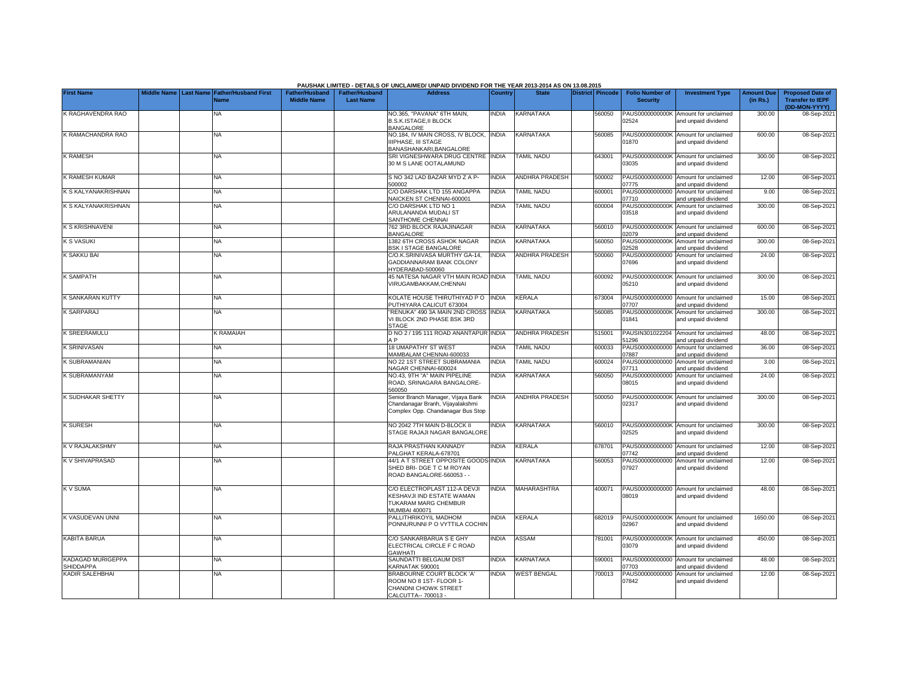|                                |  |                                                               |                                             |                                           | PAUSHAK LIMITED - DETAILS OF UNCLAIMED/ UNPAID DIVIDEND FOR THE YEAR 2013-2014 AS ON 13.08.2015             |              |                       |                         |                                           |                                                             |                               |                                                    |
|--------------------------------|--|---------------------------------------------------------------|---------------------------------------------|-------------------------------------------|-------------------------------------------------------------------------------------------------------------|--------------|-----------------------|-------------------------|-------------------------------------------|-------------------------------------------------------------|-------------------------------|----------------------------------------------------|
| <b>First Name</b>              |  | Middle Name   Last Name   Father/Husband First<br><b>Name</b> | <b>Father/Husband</b><br><b>Middle Name</b> | <b>Father/Husband</b><br><b>Last Name</b> | <b>Address</b>                                                                                              | Country      | <b>State</b>          | <b>District</b> Pincode | <b>Folio Number of</b><br><b>Security</b> | <b>Investment Type</b>                                      | <b>Amount Due</b><br>(in Rs.) | <b>Proposed Date of</b><br><b>Transfer to IEPF</b> |
| K RAGHAVENDRA RAO              |  | NA                                                            |                                             |                                           | NO.365, "PAVANA" 6TH MAIN,<br><b>B.S.K.ISTAGE,II BLOCK</b><br><b>BANGALORE</b>                              | <b>INDIA</b> | KARNATAKA             | 560050                  | PAUS0000000000K<br>02524                  | Amount for unclaimed<br>and unpaid dividend                 | 300.00                        | (DD-MON-YYYY)<br>08-Sep-2021                       |
| K RAMACHANDRA RAO              |  | NA                                                            |                                             |                                           | NO.184, IV MAIN CROSS, IV BLOCK, INDIA<br>IIIPHASE. III STAGE<br>3ANASHANKARI, BANGALORE                    |              | <b>KARNATAKA</b>      | 560085                  | PAUS0000000000K<br>01870                  | Amount for unclaimed<br>and unpaid dividend                 | 600.00                        | 08-Sep-2021                                        |
| <b>K RAMESH</b>                |  | <b>NA</b>                                                     |                                             |                                           | SRI VIGNESHWARA DRUG CENTRE INDIA<br>30 M S LANE OOTALAMUND                                                 |              | TAMIL NADU            | 643001                  | PAUS0000000000K<br>03035                  | Amount for unclaimed<br>and unpaid dividend                 | 300.00                        | 08-Sep-2021                                        |
| K RAMESH KUMAR                 |  | <b>NA</b>                                                     |                                             |                                           | S NO 342 LAD BAZAR MYD Z A P-<br>500002                                                                     | <b>INDIA</b> | <b>ANDHRA PRADESH</b> | 500002                  | 07775                                     | PAUS00000000000 Amount for unclaimed<br>and unpaid dividend | 12.00                         | 08-Sep-2021                                        |
| K S KALYANAKRISHNAN            |  | <b>NA</b>                                                     |                                             |                                           | C/O DARSHAK LTD 155 ANGAPPA<br>VAICKEN ST CHENNAI-600001                                                    | <b>INDIA</b> | <b>TAMIL NADU</b>     | 600001                  | PAUS00000000000<br>07710                  | Amount for unclaimed<br>and unpaid dividend                 | 9.00                          | 08-Sep-2021                                        |
| K S KALYANAKRISHNAN            |  | <b>NA</b>                                                     |                                             |                                           | C/O DARSHAK LTD NO 1<br>ARULANANDA MUDALI ST<br>SANTHOME CHENNAI                                            | <b>INDIA</b> | <b>TAMIL NADU</b>     | 600004                  | PAUS0000000000K<br>03518                  | Amount for unclaimed<br>and unpaid dividend                 | 300.00                        | 08-Sep-2021                                        |
| K S KRISHNAVENI                |  | <b>NA</b>                                                     |                                             |                                           | 762 3RD BLOCK RAJAJINAGAR<br>BANGALORE                                                                      | <b>INDIA</b> | KARNATAKA             | 560010                  | PAUS0000000000K<br>02079                  | Amount for unclaimed<br>and unpaid dividend                 | 600.00                        | 08-Sep-2021                                        |
| <b>K S VASUKI</b>              |  | <b>NA</b>                                                     |                                             |                                           | 1382 6TH CROSS ASHOK NAGAR<br><b>BSK I STAGE BANGALORE</b>                                                  | <b>INDIA</b> | KARNATAKA             | 560050                  | PAUS0000000000K<br>02528                  | Amount for unclaimed<br>and unpaid dividend                 | 300.00                        | 08-Sep-2021                                        |
| K SAKKU BAI                    |  | <b>NA</b>                                                     |                                             |                                           | C/O.K.SRINIVASA MURTHY GA-14.<br>GADDIANNARAM BANK COLONY<br>1YDERABAD-500060                               | <b>INDIA</b> | ANDHRA PRADESH        | 500060                  | PAUS00000000000<br>07696                  | Amount for unclaimed<br>and unpaid dividend                 | 24.00                         | 08-Sep-2021                                        |
| <b>K SAMPATH</b>               |  | NA                                                            |                                             |                                           | 45 NATESA NAGAR VTH MAIN ROAD INDIA<br>/IRUGAMBAKKAM,CHENNAI                                                |              | <b>TAMIL NADU</b>     | 600092                  | PAUS0000000000K<br>05210                  | Amount for unclaimed<br>and unpaid dividend                 | 300.00                        | 08-Sep-2021                                        |
| K SANKARAN KUTTY               |  | <b>NA</b>                                                     |                                             |                                           | KOLATE HOUSE THIRUTHIYAD PO INDIA<br>PUTHIYARA CALICUT 673004                                               |              | KERALA                | 673004                  | 07707                                     | PAUS00000000000 Amount for unclaimed<br>and unpaid dividend | 15.00                         | 08-Sep-2021                                        |
| <b>K SARPARAJ</b>              |  | <b>NA</b>                                                     |                                             |                                           | RENUKA" 490 3A MAIN 2ND CROSS INDIA<br>/I BLOCK 2ND PHASE BSK 3RD<br><b>STAGE</b>                           |              | KARNATAKA             | 560085                  | PAUS0000000000K<br>01841                  | Amount for unclaimed<br>and unpaid dividend                 | 300.00                        | 08-Sep-2021                                        |
| <b>K SREERAMULU</b>            |  | <b>K RAMAIAH</b>                                              |                                             |                                           | D NO 2 / 195 111 ROAD ANANTAPUR INDIA<br>A <sub>P</sub>                                                     |              | <b>ANDHRA PRADESH</b> | 515001                  | PAUSIN301022204<br>51296                  | Amount for unclaimed<br>and unpaid dividend                 | 48.00                         | 08-Sep-2021                                        |
| <b>K SRINIVASAN</b>            |  | <b>NA</b>                                                     |                                             |                                           | <b>18 UMAPATHY ST WEST</b><br>MAMBALAM CHENNAI-600033                                                       | <b>INDIA</b> | <b>TAMIL NADU</b>     | 600033                  | PAUS00000000000<br>07887                  | Amount for unclaimed<br>and unpaid dividend                 | 36.00                         | 08-Sep-2021                                        |
| K SUBRAMANIAN                  |  | NA                                                            |                                             |                                           | NO 22 1ST STREET SUBRAMANIA<br>NAGAR CHENNAI-600024                                                         | <b>INDIA</b> | TAMIL NADU            | 600024                  | PAUS00000000000<br>07711                  | Amount for unclaimed<br>and unpaid dividend                 | 3.00                          | 08-Sep-2021                                        |
| K SUBRAMANYAM                  |  | <b>NA</b>                                                     |                                             |                                           | NO.43, 9TH "A" MAIN PIPELINE<br>ROAD, SRINAGARA BANGALORE-<br>560050                                        | INDIA        | <b>KARNATAKA</b>      | 560050                  | PAUS00000000000<br>08015                  | Amount for unclaimed<br>and unpaid dividend                 | 24.00                         | 08-Sep-2021                                        |
| <b>K SUDHAKAR SHETTY</b>       |  | <b>NA</b>                                                     |                                             |                                           | Senior Branch Manager, Vijaya Bank<br>Chandanagar Branh, Vijavalakshmi<br>Complex Opp. Chandanagar Bus Stop | INDIA        | <b>ANDHRA PRADESH</b> | 500050                  | 02317                                     | PAUS0000000000K Amount for unclaimed<br>and unpaid dividend | 300.00                        | 08-Sep-2021                                        |
| <b>K SURESH</b>                |  | <b>NA</b>                                                     |                                             |                                           | NO 2042 7TH MAIN D-BLOCK II<br>STAGE RAJAJI NAGAR BANGALORE                                                 | <b>INDIA</b> | <b>KARNATAKA</b>      | 560010                  | 02525                                     | PAUS0000000000K Amount for unclaimed<br>and unpaid dividend | 300.00                        | 08-Sep-2021                                        |
| K V RAJALAKSHMY                |  | NA                                                            |                                             |                                           | RAJA PRASTHAN KANNADY<br>PALGHAT KERALA-678701                                                              | <b>INDIA</b> | KERALA                | 678701                  | PAUS00000000000<br>07742                  | Amount for unclaimed<br>and unpaid dividend                 | 12.00                         | 08-Sep-2021                                        |
| K V SHIVAPRASAD                |  | NA                                                            |                                             |                                           | 14/1 A T STREET OPPOSITE GOODS INDIA<br>SHED BRI-DGE T C M ROYAN<br>ROAD BANGALORE-560053 - -               |              | KARNATAKA             | 560053                  | PAUS00000000000<br>07927                  | Amount for unclaimed<br>and unpaid dividend                 | 12.00                         | 08-Sep-2021                                        |
| K V SUMA                       |  | <b>NA</b>                                                     |                                             |                                           | C/O ELECTROPLAST 112-A DEVJI<br><b>KESHAVJI IND ESTATE WAMAN</b><br>TUKARAM MARG CHEMBUR<br>MUMBAI 400071   | INDIA        | <b>MAHARASHTRA</b>    | 400071                  | 08019                                     | PAUS00000000000 Amount for unclaimed<br>and unpaid dividend | 48.00                         | 08-Sep-2021                                        |
| K VASUDEVAN UNNI               |  | NA                                                            |                                             |                                           | <b>PALLITHRIKOYIL MADHOM</b><br>PONNURUNNI P O VYTTILA COCHIN                                               | <b>NDIA</b>  | KERALA                | 682019                  | PAUS0000000000K<br>02967                  | Amount for unclaimed<br>and unpaid dividend                 | 1650.00                       | 08-Sep-2021                                        |
| <b>KABITA BARUA</b>            |  | <b>NA</b>                                                     |                                             |                                           | C/O SANKARBARUA S E GHY<br>ELECTRICAL CIRCLE F C ROAD<br>GAWHATI                                            | <b>INDIA</b> | ASSAM                 | 781001                  | PAUS0000000000K<br>03079                  | Amount for unclaimed<br>and unpaid dividend                 | 450.00                        | 08-Sep-2021                                        |
| KADAGAD MURIGEPPA<br>SHIDDAPPA |  | <b>NA</b>                                                     |                                             |                                           | SAUNDATTI BELGAUM DIST<br><b>KARNATAK 590001</b>                                                            | <b>INDIA</b> | KARNATAKA             | 590001                  | PAUS00000000000<br>07703                  | Amount for unclaimed<br>and unpaid dividend                 | 48.00                         | 08-Sep-2021                                        |
| <b>KADIR SALEHBHAI</b>         |  | <b>NA</b>                                                     |                                             |                                           | <b>BRABOURNE COURT BLOCK 'A'</b><br>ROOM NO 8 1ST- FLOOR 1-<br>CHANDNI CHOWK STREET<br>CALCUTTA-- 700013 -  | <b>INDIA</b> | <b>WEST BENGAL</b>    | 700013                  | PAUS00000000000<br>07842                  | Amount for unclaimed<br>and unpaid dividend                 | 12.00                         | 08-Sep-2021                                        |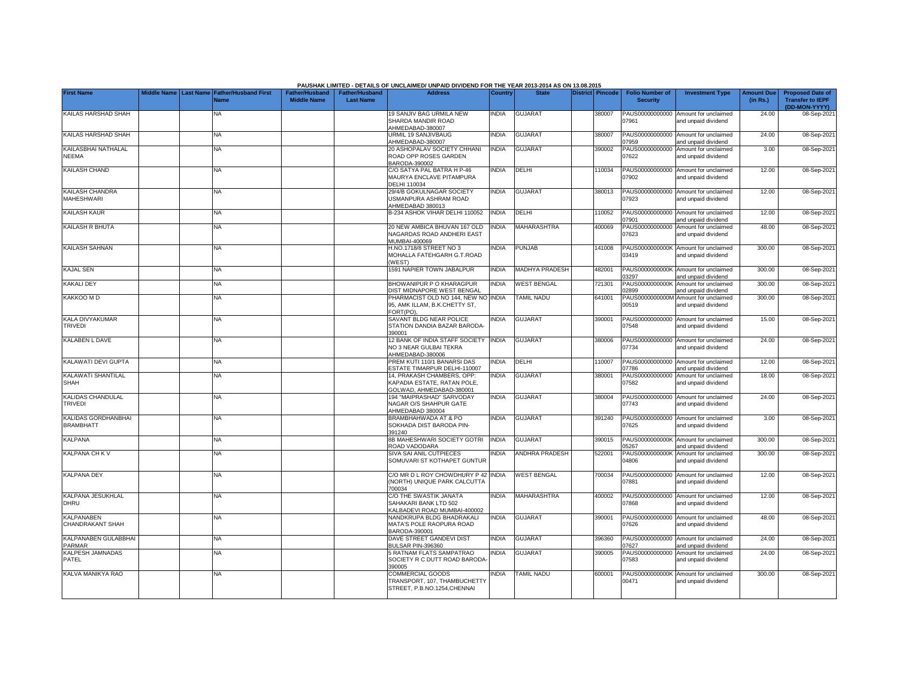|                                         |                    |                                                      |                                             |                                           | PAUSHAK LIMITED - DETAILS OF UNCLAIMED/ UNPAID DIVIDEND FOR THE YEAR 2013-2014 AS ON 13.08.2015 |              |                       |                         |                                           |                                                             |                               |                                                                     |
|-----------------------------------------|--------------------|------------------------------------------------------|---------------------------------------------|-------------------------------------------|-------------------------------------------------------------------------------------------------|--------------|-----------------------|-------------------------|-------------------------------------------|-------------------------------------------------------------|-------------------------------|---------------------------------------------------------------------|
| <b>First Name</b>                       | <b>Middle Name</b> | <b>Last Name Father/Husband First</b><br><b>Name</b> | <b>Father/Husband</b><br><b>Middle Name</b> | <b>Father/Husband</b><br><b>Last Name</b> | <b>Address</b>                                                                                  | Country      | <b>State</b>          | <b>District Pincode</b> | <b>Folio Number of</b><br><b>Security</b> | <b>Investment Type</b>                                      | <b>Amount Due</b><br>(in Rs.) | <b>Proposed Date of</b><br><b>Transfer to IEPF</b><br>(DD-MON-YYYY) |
| KAILAS HARSHAD SHAH                     |                    | NA                                                   |                                             |                                           | 19 SANJIV BAG URMILA NEW<br>SHARDA MANDIR ROAD<br>AHMEDABAD-380007                              | <b>INDIA</b> | <b>GUJARAT</b>        | 380007                  | 07961                                     | PAUS00000000000 Amount for unclaimed<br>and unpaid dividend | 24.00                         | 08-Sep-202                                                          |
| KAILAS HARSHAD SHAH                     |                    | NA                                                   |                                             |                                           | URMIL 19 SANJIVBAUG<br>AHMEDABAD-380007                                                         | <b>INDIA</b> | <b>GUJARAT</b>        | 380007                  | )7959                                     | PAUS00000000000 Amount for unclaimed<br>and unpaid dividend | 24.00                         | 08-Sep-202                                                          |
| KAILASBHAI NATHALAL<br><b>NEEMA</b>     |                    | <b>NA</b>                                            |                                             |                                           | 20 ASHOPALAV SOCIETY CHHANI<br>ROAD OPP ROSES GARDEN<br>BARODA-390002                           | INDIA        | <b>GUJARAT</b>        | 390002                  | 07622                                     | PAUS00000000000 Amount for unclaimed<br>and unpaid dividend | 3.00                          | 08-Sep-2021                                                         |
| KAILASH CHAND                           |                    | <b>NA</b>                                            |                                             |                                           | C/O SATYA PAL BATRA H P-46<br>MAURYA ENCLAVE PITAMPURA<br>DELHI 110034                          | INDIA        | DELHI                 | 110034                  | 07902                                     | PAUS00000000000 Amount for unclaimed<br>and unpaid dividend | 12.00                         | 08-Sep-2021                                                         |
| KAILASH CHANDRA<br><b>MAHESHWARI</b>    |                    | NA                                                   |                                             |                                           | 29/4/B GOKULNAGAR SOCIETY<br>USMANPURA ASHRAM ROAD<br>AHMEDABAD 380013                          | <b>INDIA</b> | GUJARAT               | 380013                  | 07923                                     | PAUS00000000000 Amount for unclaimed<br>and unpaid dividend | 12.00                         | 08-Sep-202                                                          |
| KAILASH KAUR                            |                    | NA                                                   |                                             |                                           | B-234 ASHOK VIHAR DELHI 110052                                                                  | <b>INDIA</b> | <b>DELHI</b>          | 110052                  | PAUS00000000000<br>7901                   | Amount for unclaimed<br>and unpaid dividend                 | 12.00                         | 08-Sep-202                                                          |
| KAILASH R BHUTA                         |                    | <b>NA</b>                                            |                                             |                                           | 20 NEW AMBICA BHUVAN 167 OLD<br>NAGARDAS ROAD ANDHERI EAST<br>MUMBAI-400069                     | <b>INDIA</b> | MAHARASHTRA           | 400069                  | PAUS00000000000<br>07623                  | Amount for unclaimed<br>and unpaid dividend                 | 48.00                         | 08-Sep-202                                                          |
| KAILASH SAHNAN                          |                    | NA                                                   |                                             |                                           | H.NO.1718/8 STREET NO 3<br>MOHALLA FATEHGARH G.T.ROAD<br>(WEST)                                 | <b>INDIA</b> | <b>PUNJAB</b>         | 41008                   | 03419                                     | PAUS0000000000K Amount for unclaimed<br>and unpaid dividend | 300.00                        | 08-Sep-202                                                          |
| <b>KAJAL SEN</b>                        |                    | <b>NA</b>                                            |                                             |                                           | 1591 NAPIER TOWN JABALPUR                                                                       | INDIA        | MADHYA PRADESH        | 482001                  | 3297                                      | PAUS0000000000K Amount for unclaimed<br>and unpaid dividend | 300.00                        | 08-Sep-202                                                          |
| <b>KAKALI DEY</b>                       |                    | NA                                                   |                                             |                                           | BHOWANIPUR P O KHARAGPUR<br>DIST MIDNAPORE WEST BENGAL                                          | <b>INDIA</b> | <b>WEST BENGAL</b>    | 721301                  | PAUS0000000000K<br>)2899                  | Amount for unclaimed<br>and unpaid dividend                 | 300.00                        | 08-Sep-202                                                          |
| KAKKOO M D                              |                    | NA                                                   |                                             |                                           | PHARMACIST OLD NO 144, NEW NO INDIA<br>95, AMK ILLAM, B.K.CHETTY ST,<br>FORT(PO).               |              | TAMIL NADU            | 641001                  | PAUS0000000000M<br>00519                  | Amount for unclaimed<br>and unpaid dividend                 | 300.00                        | 08-Sep-202                                                          |
| KALA DIVYAKUMAR<br><b>TRIVEDI</b>       |                    | NA                                                   |                                             |                                           | SAVANT BLDG NEAR POLICE<br>STATION DANDIA BAZAR BARODA-<br>390001                               | <b>INDIA</b> | <b>GUJARAT</b>        | 390001                  | 07548                                     | PAUS00000000000 Amount for unclaimed<br>and unpaid dividend | 15.00                         | 08-Sep-202                                                          |
| KALABEN L DAVE                          |                    | NA                                                   |                                             |                                           | 12 BANK OF INDIA STAFF SOCIETY<br>NO 3 NEAR GULBAI TEKRA<br>AHMEDABAD-380006                    | <b>INDIA</b> | <b>GUJARAT</b>        | 380006                  | 07734                                     | PAUS00000000000 Amount for unclaimed<br>and unpaid dividend | 24.00                         | 08-Sep-202                                                          |
| KALAWATI DEVI GUPTA                     |                    | NA                                                   |                                             |                                           | PREM KUTI 110/1 BANARSI DAS<br>ESTATE TIMARPUR DELHI-110007                                     | <b>INDIA</b> | DELHI                 | 10007                   | )7786                                     | PAUS00000000000 Amount for unclaimed<br>and unpaid dividend | 12.00                         | 08-Sep-202                                                          |
| KALAWATI SHANTILAL<br><b>SHAH</b>       |                    | NA                                                   |                                             |                                           | 14. PRAKASH CHAMBERS, OPP:<br>KAPADIA ESTATE. RATAN POLE.<br>GOLWAD, AHMEDABAD-380001           | <b>INDIA</b> | <b>GUJARAT</b>        | 380001                  | PAUS00000000000<br>07582                  | Amount for unclaimed<br>and unpaid dividend                 | 18.00                         | 08-Sep-202                                                          |
| KALIDAS CHANDULAL<br><b>TRIVEDI</b>     |                    | NA                                                   |                                             |                                           | 194 "MAIPRASHAD" SARVODAY<br>NAGAR O/S SHAHPUR GATE<br>AHMEDABAD 380004                         | <b>INDIA</b> | <b>GUJARAT</b>        | 380004                  | PAUS00000000000<br>07743                  | Amount for unclaimed<br>and unpaid dividend                 | 24.00                         | 08-Sep-202                                                          |
| KALIDAS GORDHANBHAI<br><b>BRAMBHATT</b> |                    | ΝA                                                   |                                             |                                           | BRAMBHAHWADA AT & PO<br>SOKHADA DIST BARODA PIN-<br>391240                                      | <b>INDIA</b> | <b>GUJARAT</b>        | 391240                  | 07625                                     | PAUS00000000000 Amount for unclaimed<br>and unpaid dividend | 3.00                          | 08-Sep-202                                                          |
| KALPANA                                 |                    | <b>NA</b>                                            |                                             |                                           | 8B MAHESHWARI SOCIETY GOTRI<br>ROAD VADODARA                                                    | <b>INDIA</b> | <b>GUJARAT</b>        | 390015                  | 5267                                      | PAUS0000000000K Amount for unclaimed<br>and unpaid dividend | 300.00                        | 08-Sep-202                                                          |
| <b>KALPANA CH K V</b>                   |                    | NA                                                   |                                             |                                           | SIVA SAI ANIL CUTPIECES<br>SOMUVARI ST KOTHAPET GUNTUR                                          | <b>INDIA</b> | <b>ANDHRA PRADESH</b> | 522001                  | PAUS0000000000K<br>04806                  | Amount for unclaimed<br>and unpaid dividend                 | 300.00                        | 08-Sep-202                                                          |
| <b>KALPANA DEY</b>                      |                    | NA                                                   |                                             |                                           | C/O MR D L ROY CHOWDHURY P 42 INDIA<br>(NORTH) UNIQUE PARK CALCUTTA<br>700034                   |              | <b>WEST BENGAL</b>    | 700034                  | 07881                                     | PAUS00000000000 Amount for unclaimed<br>and unpaid dividend | 12.00                         | 08-Sep-202                                                          |
| KALPANA JESUKHLAL<br>DHRU               |                    | NA                                                   |                                             |                                           | C/O THE SWASTIK JANATA<br>SAHAKARI BANK LTD 502<br>KALBADEVI ROAD MUMBAI-400002                 | INDIA        | <b>MAHARASHTRA</b>    | 400002                  | 07868                                     | PAUS00000000000 Amount for unclaimed<br>and unpaid dividend | 12.00                         | 08-Sep-202                                                          |
| KALPANABEN<br>CHANDRAKANT SHAH          |                    | NA                                                   |                                             |                                           | NANDKRUPA BLDG BHADRAKALI<br>MATA'S POLE RAOPURA ROAD<br>BARODA-390001                          | <b>INDIA</b> | <b>GUJARAT</b>        | 390001                  | 07626                                     | PAUS00000000000 Amount for unclaimed<br>and unpaid dividend | 48.00                         | 08-Sep-2021                                                         |
| KALPANABEN GULABBHAI<br>PARMAR          |                    | <b>NA</b>                                            |                                             |                                           | DAVE STREET GANDEVI DIST<br>BULSAR PIN-396360                                                   | <b>INDIA</b> | <b>GUJARAT</b>        | 396360                  | 7627                                      | PAUS00000000000 Amount for unclaimed<br>and unpaid dividend | 24.00                         | 08-Sep-202                                                          |
| <b>KALPESH JAMNADAS</b><br>PATEL        |                    | <b>NA</b>                                            |                                             |                                           | <b>5 RATNAM FLATS SAMPATRAO</b><br>SOCIETY R C DUTT ROAD BARODA<br>390005                       | <b>INDIA</b> | <b>GUJARAT</b>        | 390005                  | 07583                                     | PAUS00000000000 Amount for unclaimed<br>and unpaid dividend | 24.00                         | 08-Sep-202                                                          |
| KALVA MANIKYA RAO                       |                    | NA.                                                  |                                             |                                           | COMMERCIAL GOODS<br>TRANSPORT, 107, THAMBUCHETTY<br>STREET, P.B.NO.1254,CHENNAI                 | <b>NDIA</b>  | <b>TAMIL NADU</b>     | 600001                  | PAUS0000000000K<br>00471                  | Amount for unclaimed<br>and unpaid dividend                 | 300.00                        | 08-Sep-2021                                                         |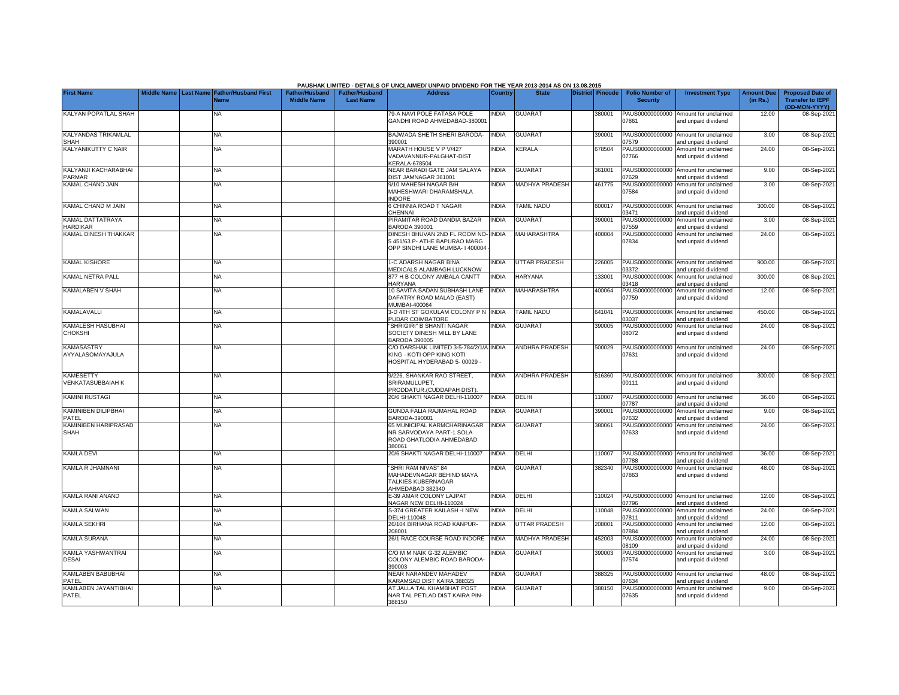|                                              |             |                  |                                     |                                             |                                           | PAUSHAK LIMITED - DETAILS OF UNCLAIMED/ UNPAID DIVIDEND FOR THE YEAR 2013-2014 AS ON 13.08.2015      |                |                       |                  |                                           |                                                             |                               |                                                                     |
|----------------------------------------------|-------------|------------------|-------------------------------------|---------------------------------------------|-------------------------------------------|------------------------------------------------------------------------------------------------------|----------------|-----------------------|------------------|-------------------------------------------|-------------------------------------------------------------|-------------------------------|---------------------------------------------------------------------|
| <b>First Name</b>                            | Middle Name | <b>Last Name</b> | <b>Father/Husband First</b><br>Name | <b>Father/Husband</b><br><b>Middle Name</b> | <b>Father/Husband</b><br><b>Last Name</b> | <b>Address</b>                                                                                       | <b>Country</b> | <b>State</b>          | District Pincode | <b>Folio Number of</b><br><b>Security</b> | <b>Investment Type</b>                                      | <b>Amount Due</b><br>(in Rs.) | <b>Proposed Date of</b><br><b>Transfer to IEPF</b><br>(DD-MON-YYYY) |
| KALYAN POPATLAL SHAH                         |             |                  | <b>NA</b>                           |                                             |                                           | 79-A NAVI POLE FATASA POLE<br>GANDHI ROAD AHMEDABAD-380001                                           | <b>NDIA</b>    | <b>GUJARAT</b>        | 380001           | PAUS00000000000<br>07861                  | Amount for unclaimed<br>and unpaid dividend                 | 12.00                         | 08-Sep-202                                                          |
| <b>KALYANDAS TRIKAMLAL</b><br>SHAH           |             |                  | <b>NA</b>                           |                                             |                                           | BAJWADA SHETH SHERI BARODA-<br>390001                                                                | <b>INDIA</b>   | <b>GUJARAT</b>        | 390001           | 07579                                     | PAUS00000000000 Amount for unclaimed<br>and unpaid dividend | 3.00                          | 08-Sep-202                                                          |
| KALYANIKUTTY C NAIR                          |             |                  | <b>NA</b>                           |                                             |                                           | MARATH HOUSE V P V/427<br>VADAVANNUR-PALGHAT-DIST<br>KERALA-678504                                   | <b>INDIA</b>   | KERALA                | 678504           | 07766                                     | PAUS00000000000 Amount for unclaimed<br>and unpaid dividend | 24.00                         | 08-Sep-2021                                                         |
| KALYANJI KACHARABHAI<br><b>PARMAR</b>        |             |                  | <b>NA</b>                           |                                             |                                           | NEAR BARADI GATE JAM SALAYA<br>DIST JAMNAGAR 361001                                                  | <b>INDIA</b>   | <b>GUJARAT</b>        | 361001           | 07629                                     | PAUS00000000000 Amount for unclaimed<br>and unpaid dividend | 9.00                          | 08-Sep-202                                                          |
| KAMAL CHAND JAIN                             |             |                  | NA.                                 |                                             |                                           | 9/10 MAHESH NAGAR B/H<br>MAHESHWARI DHARAMSHALA<br><b>NDORE</b>                                      | <b>NDIA</b>    | <b>MADHYA PRADESH</b> | 461775           | PAUS00000000000<br>07584                  | Amount for unclaimed<br>and unpaid dividend                 | 3.00                          | 08-Sep-202                                                          |
| KAMAL CHAND M JAIN                           |             |                  | <b>NA</b>                           |                                             |                                           | <b>S CHINNIA ROAD T NAGAR</b><br><b>HENNAI</b>                                                       | INDIA          | TAMIL NADU            | 600017           | PAUS0000000000K<br>03471                  | Amount for unclaimed<br>and unpaid dividend                 | 300.00                        | 08-Sep-202                                                          |
| KAMAL DATTATRAYA<br><b>HARDIKAR</b>          |             |                  | <b>NA</b>                           |                                             |                                           | PIRAMITAR ROAD DANDIA BAZAR<br>BARODA 390001                                                         | <b>INDIA</b>   | <b>GUJARAT</b>        | 390001           | PAUS00000000000<br>07559                  | Amount for unclaimed<br>and unpaid dividend                 | 3.00                          | 08-Sep-202                                                          |
| KAMAL DINESH THAKKAR                         |             |                  | NA                                  |                                             |                                           | DINESH BHUVAN 2ND FL ROOM NO-<br>5 451/63 P- ATHE BAPURAO MARG<br>OPP SINDHI LANE MUMBA- I 400004    | NDIA           | MAHARASHTRA           | 400004           | PAUS00000000000<br>07834                  | Amount for unclaimed<br>and unpaid dividend                 | 24.00                         | 08-Sep-202                                                          |
| <b>KAMAL KISHORE</b>                         |             |                  | <b>NA</b>                           |                                             |                                           | 1-C ADARSH NAGAR BINA<br>MEDICALS ALAMBAGH LUCKNOW                                                   | <b>INDIA</b>   | <b>UTTAR PRADESH</b>  | 226005           | 03372                                     | PAUS0000000000K Amount for unclaimed<br>and unpaid dividend | 900.00                        | 08-Sep-202                                                          |
| KAMAL NETRA PALL                             |             |                  | <b>NA</b>                           |                                             |                                           | 877 H B COLONY AMBALA CANTT<br><b>HARYANA</b>                                                        | <b>INDIA</b>   | <b>HARYANA</b>        | 133001           | PAUS0000000000K<br>03418                  | Amount for unclaimed<br>and unpaid dividend                 | 300.00                        | 08-Sep-202                                                          |
| KAMALABEN V SHAH                             |             |                  | NA                                  |                                             |                                           | 10 SAVITA SADAN SUBHASH LANE<br>DAFATRY ROAD MALAD (EAST)<br>MUMBAI-400064                           | <b>INDIA</b>   | MAHARASHTRA           | 400064           | PAUS00000000000<br>07759                  | Amount for unclaimed<br>and unpaid dividend                 | 12.00                         | 08-Sep-202                                                          |
| <b>KAMALAVALLI</b>                           |             |                  | <b>NA</b>                           |                                             |                                           | 3-D 4TH ST GOKULAM COLONY P N<br>PUDAR COIMBATORE                                                    | <b>INDIA</b>   | <b>TAMIL NADU</b>     | 641041           | 3037                                      | PAUS0000000000K Amount for unclaimed<br>and unpaid dividend | 450.00                        | 08-Sep-202                                                          |
| KAMALESH HASUBHAI<br>CHOKSHI                 |             |                  | <b>NA</b>                           |                                             |                                           | 'SHRIGIRI" B SHANTI NAGAR<br>SOCIETY DINESH MILL BY LANE<br><b>BARODA 390005</b>                     | <b>INDIA</b>   | GUJARAT               | 390005           | PAUS00000000000<br>08072                  | Amount for unclaimed<br>and unpaid dividend                 | 24.00                         | 08-Sep-202                                                          |
| <b>KAMASASTRY</b><br>AYYALASOMAYAJULA        |             |                  | <b>NA</b>                           |                                             |                                           | C/O DARSHAK LIMITED 3-5-784/2/1/A INDIA<br>KING - KOTI OPP KING KOTI<br>HOSPITAL HYDERABAD 5-00029 - |                | ANDHRA PRADESH        | 500029           | PAUS00000000000<br>07631                  | Amount for unclaimed<br>and unpaid dividend                 | 24.00                         | 08-Sep-202                                                          |
| <b>KAMESETTY</b><br><b>VENKATASUBBAIAH K</b> |             |                  | <b>NA</b>                           |                                             |                                           | 9/226, SHANKAR RAO STREET,<br>SRIRAMULUPET,<br>PRODDATUR.(CUDDAPAH DIST)                             | <b>INDIA</b>   | <b>ANDHRA PRADESH</b> | 516360           | 0111                                      | PAUS0000000000K Amount for unclaimed<br>and unpaid dividend | 300.00                        | 08-Sep-202                                                          |
| <b>KAMINI RUSTAGI</b>                        |             |                  | <b>NA</b>                           |                                             |                                           | 20/6 SHAKTI NAGAR DELHI-110007                                                                       | <b>INDIA</b>   | DELHI                 | 110007           | 7787                                      | PAUS00000000000 Amount for unclaimed<br>and unpaid dividend | 36.00                         | 08-Sep-202                                                          |
| <b>KAMINIBEN DILIPBHAI</b><br>PATEL          |             |                  | NA                                  |                                             |                                           | GUNDA FALIA RAJMAHAL ROAD<br>8ARODA-390001                                                           | <b>INDIA</b>   | <b>GUJARAT</b>        | 390001           | PAUS00000000000<br>7632                   | Amount for unclaimed<br>and unpaid dividend                 | 9.00                          | 08-Sep-202                                                          |
| <b>KAMINIBEN HARIPRASAD</b><br>SHAH          |             |                  | NA                                  |                                             |                                           | 65 MUNICIPAL KARMCHARINAGAR<br>NR SARVODAYA PART-1 SOLA<br>ROAD GHATLODIA AHMEDABAD<br>380061        | <b>INDIA</b>   | <b>GUJARAT</b>        | 380061           | PAUS00000000000<br>07633                  | Amount for unclaimed<br>and unpaid dividend                 | 24.00                         | 08-Sep-202                                                          |
| <b>KAMLA DEVI</b>                            |             |                  | <b>NA</b>                           |                                             |                                           | 20/6 SHAKTI NAGAR DELHI-110007                                                                       | <b>INDIA</b>   | DELHI                 | 10007            | PAUS00000000000<br>07788                  | Amount for unclaimed<br>and unpaid dividend                 | 36.00                         | 08-Sep-202                                                          |
| KAMLA R JHAMNANI                             |             |                  | NA                                  |                                             |                                           | 'SHRI RAM NIVAS" 84<br>MAHADEVNAGAR BEHIND MAYA<br>TALKIES KUBERNAGAR<br>AHMEDABAD 382340            | <b>NDIA</b>    | GUJARAT               | 382340           | PAUS00000000000<br>07863                  | Amount for unclaimed<br>and unpaid dividend                 | 48.00                         | 08-Sep-202                                                          |
| KAMLA RANI ANAND                             |             |                  | NA                                  |                                             |                                           | E-39 AMAR COLONY LAJPAT<br>NAGAR NEW DELHI-110024                                                    | <b>INDIA</b>   | DELHI                 | 110024           | 07796                                     | PAUS00000000000 Amount for unclaimed<br>and unpaid dividend | 12.00                         | 08-Sep-202                                                          |
| <b>KAMLA SALWAN</b>                          |             |                  | <b>NA</b>                           |                                             |                                           | S-374 GREATER KAILASH -I NEW<br>DELHI-110048                                                         | <b>INDIA</b>   | DELHI                 | 110048           | PAUS00000000000<br>07811                  | Amount for unclaimed<br>and unpaid dividend                 | 24.00                         | 08-Sep-202                                                          |
| <b>KAMLA SEKHRI</b>                          |             |                  | <b>NA</b>                           |                                             |                                           | 26/104 BIRHANA ROAD KANPUR-<br>208001                                                                | <b>INDIA</b>   | UTTAR PRADESH         | 208001           | PAUS00000000000<br>07884                  | Amount for unclaimed<br>and unpaid dividend                 | 12.00                         | 08-Sep-202                                                          |
| <b>KAMLA SURANA</b>                          |             |                  | <b>NA</b>                           |                                             |                                           | 26/1 RACE COURSE ROAD INDORE                                                                         | <b>INDIA</b>   | <b>MADHYA PRADESH</b> | 452003           | PAUS00000000000<br>08109                  | Amount for unclaimed<br>and unpaid dividend                 | 24.00                         | 08-Sep-202                                                          |
| KAMLA YASHWANTRAI<br><b>DESAI</b>            |             |                  | <b>NA</b>                           |                                             |                                           | C/O M M NAIK G-32 ALEMBIC<br>COLONY ALEMBIC ROAD BARODA<br>390003                                    | <b>NDIA</b>    | <b>GUJARAT</b>        | 390003           | PAUS00000000000<br>07574                  | Amount for unclaimed<br>and unpaid dividend                 | 3.00                          | 08-Sep-202                                                          |
| KAMLABEN BABUBHAI<br>PATEL                   |             |                  | <b>NA</b>                           |                                             |                                           | NEAR NARANDEV MAHADEV<br>KARAMSAD DIST KAIRA 388325                                                  | <b>INDIA</b>   | <b>GUJARAT</b>        | 388325           | 07634                                     | PAUS00000000000 Amount for unclaimed<br>and unpaid dividend | 48.00                         | 08-Sep-202                                                          |
| KAMLABEN JAYANTIBHAI<br>PATEL                |             |                  | NA                                  |                                             |                                           | AT JALLA TAL KHAMBHAT POST<br>NAR TAL PETLAD DIST KAIRA PIN-<br>388150                               | INDIA          | GUJARAT               | 388150           | 07635                                     | PAUS00000000000 Amount for unclaimed<br>and unpaid dividend | 9.00                          | 08-Sep-2021                                                         |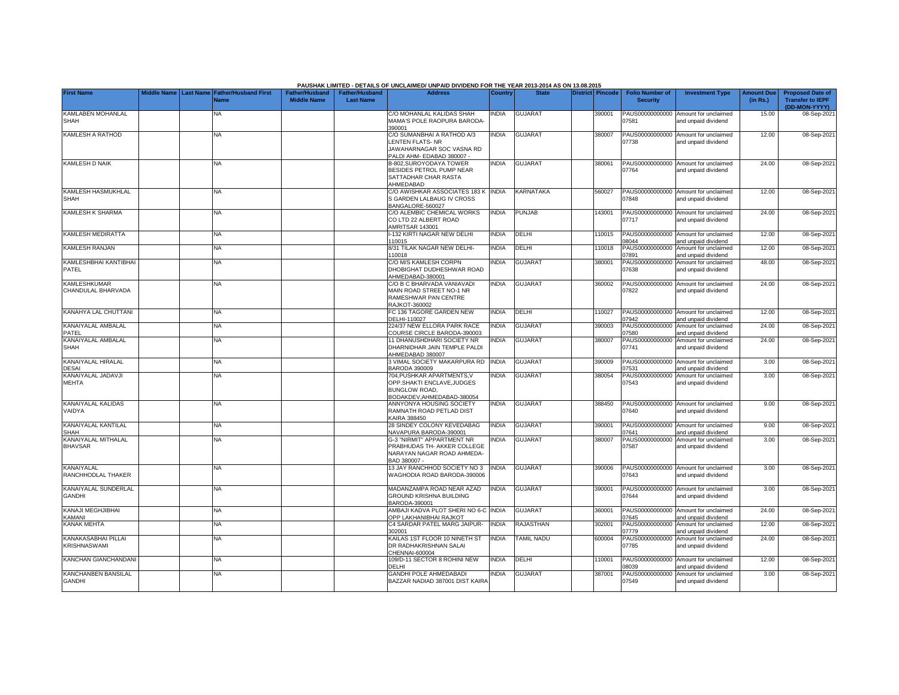|                                             |                         |                             |                       |                  | PAUSHAK LIMITED - DETAILS OF UNCLAIMED/ UNPAID DIVIDEND FOR THE YEAR 2013-2014 AS ON 13.08.2015                |              |                   |                         |                          |                                                             |                   |                                          |
|---------------------------------------------|-------------------------|-----------------------------|-----------------------|------------------|----------------------------------------------------------------------------------------------------------------|--------------|-------------------|-------------------------|--------------------------|-------------------------------------------------------------|-------------------|------------------------------------------|
| <b>First Name</b>                           | Middle Name   Last Name | <b>Father/Husband First</b> | <b>Father/Husband</b> | Father/Husband   | <b>Address</b>                                                                                                 | Country      | <b>State</b>      | <b>District Pincode</b> | <b>Folio Number of</b>   | <b>Investment Type</b>                                      | <b>Amount Due</b> | <b>Proposed Date of</b>                  |
|                                             |                         | <b>Name</b>                 | <b>Middle Name</b>    | <b>Last Name</b> |                                                                                                                |              |                   |                         | <b>Security</b>          |                                                             | (in Rs.)          | <b>Transfer to IEPF</b><br>(DD-MON-YYYY) |
| KAMLABEN MOHANLAL<br>SHAH                   |                         | NA                          |                       |                  | C/O MOHANLAL KALIDAS SHAH<br>MAMA'S POLE RAOPURA BARODA-<br>390001                                             | INDIA        | <b>GUJARAT</b>    | 390001                  | 07581                    | PAUS00000000000 Amount for unclaimed<br>and unpaid dividend | 15.00             | 08-Sep-202                               |
| <b>KAMLESH A RATHOD</b>                     |                         | NA                          |                       |                  | C/O SUMANBHAI A RATHOD A/3                                                                                     | <b>INDIA</b> | <b>GUJARAT</b>    | 380007                  |                          | PAUS00000000000 Amount for unclaimed                        | 12.00             | 08-Sep-2021                              |
|                                             |                         |                             |                       |                  | <b>ENTEN FLATS-NR</b><br>JAWAHARNAGAR SOC VASNA RD                                                             |              |                   |                         | 07738                    | and unpaid dividend                                         |                   |                                          |
| <b>KAMLESH D NAIK</b>                       |                         | NA                          |                       |                  | PALDI AHM- EDABAD 380007 -<br>B-802.SUROYODAYA TOWER                                                           | <b>INDIA</b> | <b>GUJARAT</b>    | 380061                  |                          | PAUS00000000000 Amount for unclaimed                        | 24.00             | 08-Sep-2021                              |
|                                             |                         |                             |                       |                  | BESIDES PETROL PUMP NEAR<br>SATTADHAR CHAR RASTA<br>AHMEDABAD                                                  |              |                   |                         | 07764                    | and unpaid dividend                                         |                   |                                          |
| <b>KAMLESH HASMUKHLAL</b><br><b>SHAH</b>    |                         | NA                          |                       |                  | C/O AWISHKAR ASSOCIATES 183 K<br>S GARDEN LALBAUG IV CROSS<br>BANGALORE-560027                                 | <b>INDIA</b> | KARNATAKA         | 560027                  | 07848                    | PAUS00000000000 Amount for unclaimed<br>and unpaid dividend | 12.00             | 08-Sep-202                               |
| <b>KAMLESH K SHARMA</b>                     |                         | NA                          |                       |                  | C/O ALEMBIC CHEMICAL WORKS<br>CO LTD 22 ALBERT ROAD<br>AMRITSAR 143001                                         | <b>INDIA</b> | <b>PUNJAB</b>     | 143001                  | 07717                    | PAUS00000000000 Amount for unclaimed<br>and unpaid dividend | 24.00             | 08-Sep-202                               |
| KAMLESH MEDIRATTA                           |                         | NA                          |                       |                  | -132 KIRTI NAGAR NEW DELHI<br>110015                                                                           | <b>NDIA</b>  | DELHI             | 110015                  | 08044                    | PAUS00000000000 Amount for unclaimed<br>and unpaid dividend | 12.00             | 08-Sep-202                               |
| KAMLESH RANJAN                              |                         | NA                          |                       |                  | 8/31 TILAK NAGAR NEW DELHI-                                                                                    | <b>INDIA</b> | DELHI             | 110018                  | PAUS00000000000          | Amount for unclaimed                                        | 12.00             | 08-Sep-202                               |
| KAMLESHBHAI KANTIBHAI                       |                         | NA.                         |                       |                  | 110018<br>C/O M/S KAMLESH CORPN                                                                                | <b>NDIA</b>  | <b>GUJARAT</b>    | 380001                  | 07891<br>PAUS00000000000 | and unpaid dividend<br>Amount for unclaimed                 | 48.00             | 08-Sep-202                               |
| PATEL                                       |                         |                             |                       |                  | <b>DHOBIGHAT DUDHESHWAR ROAD</b><br>AHMEDABAD-380001                                                           |              |                   |                         | 07638                    | and unpaid dividend                                         |                   |                                          |
| <b>KAMLESHKUMAR</b><br>CHANDULAL BHARVADA   |                         | NА                          |                       |                  | C/O B C BHARVADA VANIAVADI<br>MAIN ROAD STREET NO-1 NR<br>RAMESHWAR PAN CENTRE<br><b>RAJKOT-360002</b>         | <b>NDIA</b>  | <b>GUJARAT</b>    | 360002                  | 07822                    | PAUS00000000000 Amount for unclaimed<br>and unpaid dividend | 24.00             | 08-Sep-202                               |
| KANAHYA LAL CHUTTANI                        |                         | NA                          |                       |                  | FC 136 TAGORE GARDEN NEW<br>DELHI-110027                                                                       | <b>INDIA</b> | DELHI             | 110027                  | 07942                    | PAUS00000000000 Amount for unclaimed<br>and unpaid dividend | 12.00             | 08-Sep-202                               |
| KANAIYALAL AMBALAL<br>PATEL                 |                         | <b>NA</b>                   |                       |                  | 224/37 NEW ELLORA PARK RACE<br>COURSE CIRCLE BARODA-390003                                                     | <b>NDIA</b>  | <b>GUJARAT</b>    | 390003                  | PAUS00000000000<br>07580 | Amount for unclaimed<br>and unpaid dividend                 | 24.00             | 08-Sep-202                               |
| KANAIYALAL AMBALAL<br><b>SHAH</b>           |                         | NA                          |                       |                  | 11 DHANUSHDHARI SOCIETY NR<br>DHARNIDHAR JAIN TEMPLE PALDI<br>AHMEDABAD 380007                                 | ndia         | <b>GUJARAT</b>    | 380007                  | PAUS00000000000<br>07741 | Amount for unclaimed<br>and unpaid dividend                 | 24.00             | 08-Sep-202                               |
| KANAIYALAL HIRALAL<br><b>DESAI</b>          |                         | NA.                         |                       |                  | 3 VIMAL SOCIETY MAKARPURA RD<br>3ARODA 390009                                                                  | <b>INDIA</b> | <b>GUJARAT</b>    | 390009                  | 07531                    | PAUS00000000000 Amount for unclaimed<br>and unpaid dividend | 3.00              | 08-Sep-202                               |
| KANAIYALAL JADAVJI<br><b>MEHTA</b>          |                         | NA.                         |                       |                  | 704. PUSHKAR APARTMENTS. V<br>OPP.SHAKTI ENCLAVE, JUDGES<br><b>BUNGLOW ROAD,</b><br>BODAKDEV, AHMEDABAD-380054 | <b>NDIA</b>  | <b>GUJARAT</b>    | 380054                  | 07543                    | PAUS00000000000 Amount for unclaimed<br>and unpaid dividend | 3.00              | 08-Sep-202                               |
| KANAIYALAL KALIDAS<br>VAIDYA                |                         | <b>NA</b>                   |                       |                  | ANNYONYA HOUSING SOCIETY<br>RAMNATH ROAD PETLAD DIST<br>KAIRA 388450                                           | <b>INDIA</b> | <b>GUJARAT</b>    | 388450                  | 07640                    | PAUS00000000000 Amount for unclaimed<br>and unpaid dividend | 9.00              | 08-Sep-202                               |
| KANAIYALAL KANTILAL<br>SHAH                 |                         | <b>NA</b>                   |                       |                  | 28 SINDEY COLONY KEVEDABAG<br>VAVAPURA BARODA-390001                                                           | <b>INDIA</b> | <b>GUJARAT</b>    | 390001                  | 07641                    | PAUS00000000000 Amount for unclaimed<br>and unpaid dividend | 9.00              | 08-Sep-202                               |
| KANAIYALAL MITHALAL<br><b>BHAVSAR</b>       |                         | NA.                         |                       |                  | <b>G-3 "NIRMIT" APPARTMENT NR</b><br>PRABHUDAS TH- AKKER COLLEGE<br>NARAYAN NAGAR ROAD AHMEDA-<br>BAD 380007 - | <b>NDIA</b>  | <b>GUJARAT</b>    | 380007                  | PAUS00000000000<br>07587 | Amount for unclaimed<br>and unpaid dividend                 | 3.00              | 08-Sep-202                               |
| KANAIYALAL<br>RANCHHODLAL THAKER            |                         | NA                          |                       |                  | 13 JAY RANCHHOD SOCIETY NO 3<br>WAGHODIA ROAD BARODA-390006                                                    | INDIA        | <b>GUJARAT</b>    | 390006                  | 07643                    | PAUS00000000000 Amount for unclaimed<br>and unpaid dividend | 3.00              | 08-Sep-202                               |
| KANAIYALAL SUNDERLAL<br><b>GANDHI</b>       |                         | NA                          |                       |                  | MADANZAMPA ROAD NEAR AZAD<br>GROUND KRISHNA BUILDING<br>BARODA-390001                                          | <b>NDIA</b>  | <b>GUJARAT</b>    | 390001                  | 07644                    | PAUS00000000000 Amount for unclaimed<br>and unpaid dividend | 3.00              | 08-Sep-202                               |
| KANAJI MEGHJIBHAI<br><b>CAMANI</b>          |                         | NA.                         |                       |                  | AMBAJI KADVA PLOT SHERI NO 6-C INDIA<br><b>OPP LAKHANIBHAI RAJKOT</b>                                          |              | <b>GUJARAT</b>    | 360001                  | 07645                    | PAUS00000000000 Amount for unclaimed<br>and unpaid dividend | 24.00             | 08-Sep-202                               |
| <b>KANAK MEHTA</b>                          |                         | <b>NA</b>                   |                       |                  | C4 SARDAR PATEL MARG JAIPUR-<br>302001                                                                         | <b>INDIA</b> | <b>RAJASTHAN</b>  | 302001                  | PAUS00000000000<br>07779 | Amount for unclaimed<br>and unpaid dividend                 | 12.00             | 08-Sep-202                               |
| KANAKASABHAI PILLAI<br><b>KRISHNASWAMI</b>  |                         | NA.                         |                       |                  | KAILAS 1ST FLOOR 10 NINETH ST<br>DR RADHAKRISHNAN SALAI<br>CHENNAI-600004                                      | INDIA        | <b>TAMIL NADU</b> | 600004                  | PAUS00000000000<br>07785 | Amount for unclaimed<br>and unpaid dividend                 | 24.00             | 08-Sep-2021                              |
| <b>KANCHAN GIANCHANDANI</b>                 |                         | <b>NA</b>                   |                       |                  | 109/D-11 SECTOR 8 ROHINI NEW<br>DELHI                                                                          | <b>NDIA</b>  | <b>DELHI</b>      | 110001                  | 08039                    | PAUS00000000000 Amount for unclaimed<br>and unpaid dividend | 12.00             | 08-Sep-202                               |
| <b>KANCHANBEN BANSILAL</b><br><b>GANDHI</b> |                         | NA                          |                       |                  | <b>GANDHI POLE AHMEDABADI</b><br>BAZZAR NADIAD 387001 DIST KAIRA                                               | <b>NDIA</b>  | <b>GUJARAT</b>    | 387001                  | 07549                    | PAUS00000000000 Amount for unclaimed<br>and unpaid dividend | 3.00              | 08-Sep-202                               |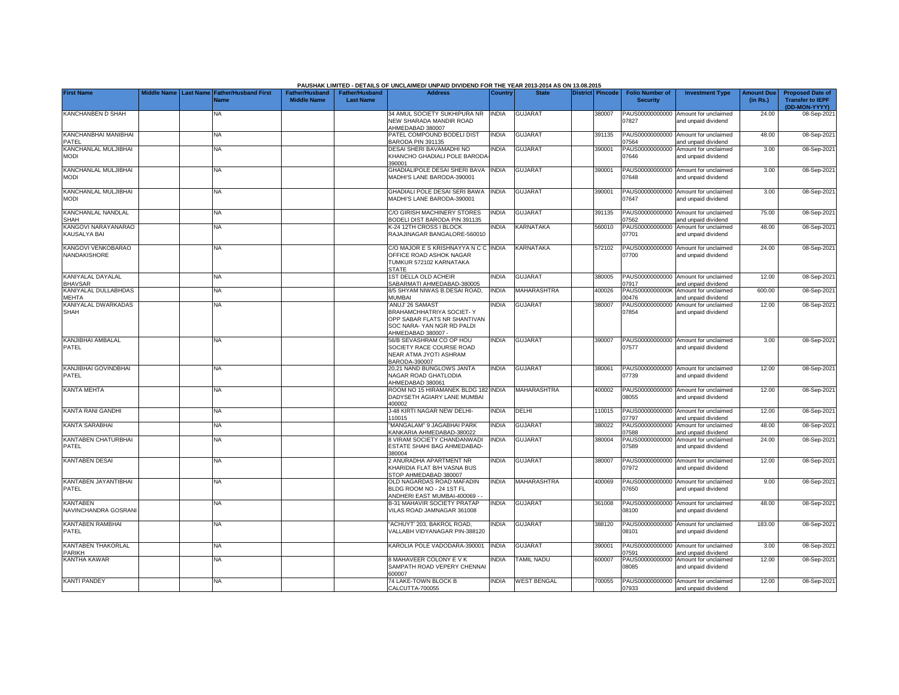|                                            |  |                                                |                       |                       | PAUSHAK LIMITED - DETAILS OF UNCLAIMED/ UNPAID DIVIDEND FOR THE YEAR 2013-2014 AS ON 13.08.2015                                |              |                    |                  |                          |                                                             |                   |                                          |
|--------------------------------------------|--|------------------------------------------------|-----------------------|-----------------------|--------------------------------------------------------------------------------------------------------------------------------|--------------|--------------------|------------------|--------------------------|-------------------------------------------------------------|-------------------|------------------------------------------|
| <b>First Name</b>                          |  | Middle Name   Last Name   Father/Husband First | <b>Father/Husband</b> | <b>Father/Husband</b> | <b>Address</b>                                                                                                                 | Country      | <b>State</b>       | District Pincode | <b>Folio Number of</b>   | <b>Investment Type</b>                                      | <b>Amount Due</b> | <b>Proposed Date of</b>                  |
|                                            |  | Name                                           | <b>Middle Name</b>    | <b>Last Name</b>      |                                                                                                                                |              |                    |                  | <b>Security</b>          |                                                             | (in Rs.)          | <b>Transfer to IEPF</b><br>(DD-MON-YYYY) |
| KANCHANBEN D SHAH                          |  | ΝA                                             |                       |                       | 34 AMUL SOCIETY SUKHIPURA NR<br>NEW SHARADA MANDIR ROAD<br>AHMEDABAD 380007                                                    | <b>INDIA</b> | <b>GUJARAT</b>     | 380007           | PAUS00000000000<br>07827 | Amount for unclaimed<br>and unpaid dividend                 | 24.00             | 08-Sep-202                               |
| KANCHANBHAI MANIBHAI<br>PATEL              |  | NA                                             |                       |                       | PATEL COMPOUND BODELI DIST<br><b>BARODA PIN 391135</b>                                                                         | <b>INDIA</b> | <b>GUJARAT</b>     | 391135           | 07564                    | PAUS00000000000 Amount for unclaimed<br>and unpaid dividend | 48.00             | 08-Sep-202                               |
| KANCHANLAL MULJIBHAI<br><b>MODI</b>        |  | NA                                             |                       |                       | DESAI SHERI BAVAMADHI NO<br>KHANCHO GHADIALI POLE BARODA<br>390001                                                             | <b>NDIA</b>  | <b>GUJARAT</b>     | 390001           | PAUS00000000000<br>07646 | Amount for unclaimed<br>and unpaid dividend                 | 3.00              | 08-Sep-2021                              |
| KANCHANLAL MULJIBHAI<br><b>MODI</b>        |  | <b>NA</b>                                      |                       |                       | GHADIALIPOLE DESAI SHERI BAVA<br>MADHI'S LANE BARODA-390001                                                                    | <b>INDIA</b> | <b>GUJARAT</b>     | 390001           | 07648                    | PAUS00000000000 Amount for unclaimed<br>and unpaid dividend | 3.00              | 08-Sep-202                               |
| KANCHANLAL MULJIBHAI<br><b>MODI</b>        |  | NA                                             |                       |                       | SHADIALI POLE DESAI SERI BAWA<br>MADHI'S LANE BARODA-390001                                                                    | <b>INDIA</b> | <b>GUJARAT</b>     | 390001           | 07647                    | PAUS00000000000 Amount for unclaimed<br>and unpaid dividend | 3.00              | 08-Sep-202                               |
| KANCHANLAL NANDLAL<br><b>SHAH</b>          |  | NA                                             |                       |                       | C/O GIRISH MACHINERY STORES<br>3ODELI DIST BARODA PIN 391135                                                                   | <b>INDIA</b> | <b>GUJARAT</b>     | 391135           | PAUS00000000000<br>07562 | Amount for unclaimed<br>and unpaid dividend                 | 75.00             | 08-Sep-202                               |
| KANGOVI NARAYANARAO<br><b>KAUSALYA BAI</b> |  | <b>NA</b>                                      |                       |                       | <b>&lt;-24 12TH CROSS I BLOCK</b><br>RAJAJINAGAR BANGALORE-560010                                                              | INDIA        | KARNATAKA          | 560010           | PAUS00000000000<br>07701 | Amount for unclaimed<br>and unpaid dividend                 | 48.00             | 08-Sep-202                               |
| KANGOVI VENKOBARAO<br>NANDAKISHORE         |  | NΑ                                             |                       |                       | C/O MAJOR E S KRISHNAYYA N C C INDIA<br>OFFICE ROAD ASHOK NAGAR<br>TUMKUR 572102 KARNATAKA<br><b>STATE</b>                     |              | KARNATAKA          | 572102           | 07700                    | PAUS00000000000 Amount for unclaimed<br>and unpaid dividend | 24.00             | 08-Sep-202                               |
| KANIYALAL DAYALAL<br><b>BHAVSAR</b>        |  | <b>NA</b>                                      |                       |                       | 1ST DELLA OLD ACHEIR<br>SABARMATI AHMEDABAD-380005                                                                             | <b>INDIA</b> | <b>GUJARAT</b>     | 380005           | 07917                    | PAUS00000000000 Amount for unclaimed<br>and unpaid dividend | 12.00             | 08-Sep-202                               |
| KANIYALAL DULLABHDAS<br><b>MEHTA</b>       |  | <b>NA</b>                                      |                       |                       | 3/5 SHYAM NIWAS B.DESAI ROAD,<br><b>MUMBAI</b>                                                                                 | <b>INDIA</b> | MAHARASHTRA        | 400026           | PAUS0000000000K<br>0476  | Amount for unclaimed<br>nd unpaid dividend                  | 600.00            | 08-Sep-202                               |
| KANIYALAL DWARKADAS<br><b>SHAH</b>         |  | <b>NA</b>                                      |                       |                       | ANUJ' 26 SAMAST<br>BRAHAMCHHATRIYA SOCIET- Y<br>OPP SABAR FLATS NR SHANTIVAN<br>SOC NARA- YAN NGR RD PALDI<br>AHMEDABAD 380007 | <b>NDIA</b>  | <b>GUJARAT</b>     | 380007           | PAUS00000000000<br>07854 | Amount for unclaimed<br>and unpaid dividend                 | 12.00             | 08-Sep-202                               |
| KANJIBHAI AMBALAL<br>PATEL                 |  | <b>NA</b>                                      |                       |                       | 56/B SEVASHRAM CO OP HOU<br>SOCIETY RACE COURSE ROAD<br>NEAR ATMA JYOTI ASHRAM<br>BARODA-390007                                | INDIA        | <b>GUJARAT</b>     | 390007           | 07577                    | PAUS00000000000 Amount for unclaimed<br>and unpaid dividend | 3.00              | 08-Sep-202                               |
| <b>KANJIBHAI GOVINDBHAI</b><br>PATEL       |  | <b>NA</b>                                      |                       |                       | 20,21 NAND BUNGLOWS JANTA<br>NAGAR ROAD GHATLODIA<br>AHMEDABAD 380061                                                          | INDIA        | <b>GUJARAT</b>     | 380061           | PAUS00000000000<br>07739 | Amount for unclaimed<br>and unpaid dividend                 | 12.00             | 08-Sep-2021                              |
| <b>KANTA MEHTA</b>                         |  | <b>NA</b>                                      |                       |                       | ROOM NO 15 HIRAMANEK BLDG 182 INDIA<br>DADYSETH AGIARY LANE MUMBAI<br>100002                                                   |              | MAHARASHTRA        | 400002           | 08055                    | PAUS00000000000 Amount for unclaimed<br>and unpaid dividend | 12.00             | 08-Sep-2021                              |
| <b>KANTA RANI GANDHI</b>                   |  | <b>NA</b>                                      |                       |                       | <b>J-48 KIRTI NAGAR NEW DELHI-</b><br>10015                                                                                    | <b>NDIA</b>  | DELHI              | 10015            | 17797                    | PAUS00000000000 Amount for unclaimed<br>and unpaid dividend | 12.00             | 08-Sep-202                               |
| <b>KANTA SARABHAI</b>                      |  | <b>NA</b>                                      |                       |                       | MANGALAM" 9 JAGABHAI PARK<br><b>KANKARIA AHMEDABAD-380022</b>                                                                  | <b>INDIA</b> | <b>GUJARAT</b>     | 380022           | PAUS00000000000<br>07588 | Amount for unclaimed<br>and unpaid dividend                 | 48.00             | 08-Sep-202                               |
| KANTABEN CHATURBHAI<br>PATEL               |  | ΝA                                             |                       |                       | 3 VIRAM SOCIETY CHANDANWADI<br>ESTATE SHAHI BAG AHMEDABAD-<br>380004                                                           | <b>INDIA</b> | <b>GUJARAT</b>     | 380004           | PAUS00000000000<br>07589 | Amount for unclaimed<br>and unpaid dividend                 | 24.00             | 08-Sep-202                               |
| <b>KANTABEN DESAI</b>                      |  | <b>NA</b>                                      |                       |                       | <b>ANURADHA APARTMENT NR</b><br><b>KHARIDIA FLAT B/H VASNA BUS</b><br>STOP AHMEDABAD 380007                                    | <b>INDIA</b> | <b>GUJARAT</b>     | 380007           | 07972                    | PAUS00000000000 Amount for unclaimed<br>and unpaid dividend | 12.00             | 08-Sep-202                               |
| KANTABEN JAYANTIBHAI<br>PATEL              |  | ΝA                                             |                       |                       | OLD NAGARDAS ROAD MAFADIN<br>BLDG ROOM NO - 24 1ST FL<br>ANDHERI EAST MUMBAI-400069 -                                          | <b>INDIA</b> | MAHARASHTRA        | 400069           | PAUS00000000000<br>07650 | Amount for unclaimed<br>and unpaid dividend                 | 9.00              | 08-Sep-202                               |
| <b>KANTABEN</b><br>NAVINCHANDRA GOSRANI    |  | <b>NA</b>                                      |                       |                       | 3-31 MAHAVIR SOCIETY PRATAP<br>VILAS ROAD JAMNAGAR 361008                                                                      | INDIA        | <b>GUJARAT</b>     | 361008           | 08100                    | PAUS00000000000 Amount for unclaimed<br>and unpaid dividend | 48.00             | 08-Sep-202                               |
| <b>KANTABEN RAMBHAI</b><br>PATEL           |  | <b>NA</b>                                      |                       |                       | ACHUYT' 203, BAKROL ROAD,<br><b>VALLABH VIDYANAGAR PIN-388120</b>                                                              | <b>NDIA</b>  | <b>GUJARAT</b>     | 388120           | 08101                    | PAUS00000000000 Amount for unclaimed<br>and unpaid dividend | 183.00            | 08-Sep-202                               |
| KANTABEN THAKORLAL<br><b>PARIKH</b>        |  | ΝA                                             |                       |                       | <b>KAROLIA POLE VADODARA-390001</b>                                                                                            | <b>INDIA</b> | <b>GUJARAT</b>     | 390001           | PAUS00000000000<br>07591 | Amount for unclaimed<br>and unpaid dividend                 | 3.00              | 08-Sep-202                               |
| KANTHA KAWAR                               |  | ΝA                                             |                       |                       | <b>B MAHAVEER COLONY E V K</b><br>SAMPATH ROAD VEPERY CHENNAI<br>500007                                                        | <b>NDIA</b>  | <b>TAMIL NADU</b>  | 600007           | PAUS00000000000<br>08085 | Amount for unclaimed<br>and unpaid dividend                 | 12.00             | 08-Sep-202                               |
| <b>KANTI PANDEY</b>                        |  | <b>NA</b>                                      |                       |                       | <b>74 LAKE-TOWN BLOCK B</b><br>CALCUTTA-700055                                                                                 | <b>INDIA</b> | <b>WEST BENGAL</b> | 700055           | PAUS00000000000<br>07933 | Amount for unclaimed<br>and unpaid dividend                 | 12.00             | 08-Sep-202                               |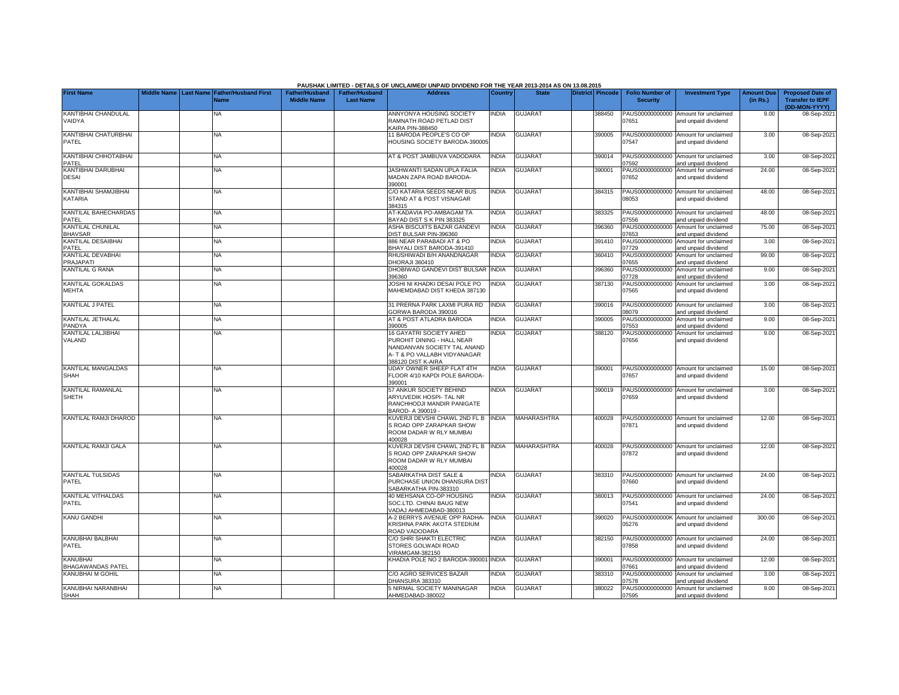|                                             |                    |                  |                                     |                                             |                                           | PAUSHAK LIMITED - DETAILS OF UNCLAIMED/ UNPAID DIVIDEND FOR THE YEAR 2013-2014 AS ON 13.08.2015                                                   |                |                    |                  |        |                                           |                                                             |                               |                                                                     |
|---------------------------------------------|--------------------|------------------|-------------------------------------|---------------------------------------------|-------------------------------------------|---------------------------------------------------------------------------------------------------------------------------------------------------|----------------|--------------------|------------------|--------|-------------------------------------------|-------------------------------------------------------------|-------------------------------|---------------------------------------------------------------------|
| <b>First Name</b>                           | <b>Middle Name</b> | <b>Last Name</b> | <b>Father/Husband First</b><br>Name | <b>Father/Husband</b><br><b>Middle Name</b> | <b>Father/Husband</b><br><b>Last Name</b> | <b>Address</b>                                                                                                                                    | <b>Country</b> | <b>State</b>       | District Pincode |        | <b>Folio Number of</b><br><b>Security</b> | <b>Investment Type</b>                                      | <b>Amount Due</b><br>(in Rs.) | <b>Proposed Date of</b><br><b>Transfer to IEPF</b><br>(DD-MON-YYYY) |
| KANTIBHAI CHANDULAL<br>VAIDYA               |                    |                  | NA                                  |                                             |                                           | ANNYONYA HOUSING SOCIETY<br>RAMNATH ROAD PETLAD DIST<br>KAIRA PIN-388450                                                                          | <b>INDIA</b>   | <b>GUJARAT</b>     |                  | 388450 | PAUS00000000000<br>07651                  | Amount for unclaimed<br>and unpaid dividend                 | 9.00                          | 08-Sep-202                                                          |
| KANTIBHAI CHATURBHAI<br><b>PATEL</b>        |                    |                  | <b>NA</b>                           |                                             |                                           | 11 BARODA PEOPLE'S CO OP<br>HOUSING SOCIETY BARODA-39000                                                                                          | <b>INDIA</b>   | <b>GUJARAT</b>     |                  | 390005 | 07547                                     | PAUS00000000000 Amount for unclaimed<br>and unpaid dividend | 3.00                          | 08-Sep-202                                                          |
| KANTIBHAI CHHOTABHAI<br>PATEL               |                    |                  | <b>NA</b>                           |                                             |                                           | AT & POST JAMBUVA VADODARA                                                                                                                        | <b>NDIA</b>    | <b>GUJARAT</b>     |                  | 390014 | 7592                                      | PAUS00000000000 Amount for unclaimed<br>and unpaid dividend | 3.00                          | 08-Sep-202                                                          |
| KANTIBHAI DARUBHAI<br><b>DESAI</b>          |                    |                  | <b>NA</b>                           |                                             |                                           | JASHWANTI SADAN UPLA FALIA<br>MADAN ZAPA ROAD BARODA-<br>390001                                                                                   | <b>NDIA</b>    | <b>GUJARAT</b>     |                  | 390001 | PAUS00000000000<br>07652                  | Amount for unclaimed<br>and unpaid dividend                 | 24.00                         | 08-Sep-202                                                          |
| KANTIBHAI SHAMJIBHAI<br>KATARIA             |                    |                  | <b>NA</b>                           |                                             |                                           | C/O KATARIA SEEDS NEAR BUS<br>STAND AT & POST VISNAGAR<br>384315                                                                                  | <b>INDIA</b>   | <b>GUJARAT</b>     |                  | 384315 | 08053                                     | PAUS00000000000 Amount for unclaimed<br>and unpaid dividend | 48.00                         | 08-Sep-202                                                          |
| KANTILAL BAHECHARDAS<br>PATFL               |                    |                  | <b>NA</b>                           |                                             |                                           | AT-KADAVIA PO-AMBAGAM TA<br>BAYAD DIST S K PIN 383325                                                                                             | <b>INDIA</b>   | <b>GUJARAT</b>     |                  | 383325 | 07556                                     | PAUS00000000000 Amount for unclaimed<br>and unpaid dividend | 48.00                         | 08-Sep-202                                                          |
| KANTILAL CHUNILAL<br><b>BHAVSAR</b>         |                    |                  | <b>NA</b>                           |                                             |                                           | ASHA BISCUITS BAZAR GANDEVI<br>DIST BULSAR PIN-396360                                                                                             | <b>INDIA</b>   | GUJARAT            |                  | 396360 | PAUS00000000000<br>07653                  | Amount for unclaimed<br>and unpaid dividend                 | 75.00                         | 08-Sep-202                                                          |
| KANTILAL DESAIBHAI<br>PATEL                 |                    |                  | <b>NA</b>                           |                                             |                                           | 886 NEAR PARABADI AT & PO<br>BHAYALI DIST BARODA-391410                                                                                           | <b>INDIA</b>   | <b>GUJARAT</b>     |                  | 391410 | PAUS00000000000<br>07729                  | Amount for unclaimed<br>and unpaid dividend                 | 3.00                          | 08-Sep-202                                                          |
| KANTILAL DEVABHAI<br>PRAJAPATI              |                    |                  | <b>NA</b>                           |                                             |                                           | RHUSHIWADI B/H ANANDNAGAR<br>DHORAJI 360410                                                                                                       | <b>INDIA</b>   | <b>GUJARAT</b>     |                  | 360410 | PAUS00000000000<br>7655                   | Amount for unclaimed<br>and unpaid dividend                 | 99.00                         | 08-Sep-202                                                          |
| KANTILAL G RANA                             |                    |                  | NA                                  |                                             |                                           | DHOBIWAD GANDEVI DIST BULSAR INDIA<br>083698                                                                                                      |                | <b>GUJARAT</b>     |                  | 396360 | PAUS00000000000<br>07728                  | Amount for unclaimed<br>and unpaid dividend                 | 9.00                          | 08-Sep-202                                                          |
| <b>KANTILAL GOKALDAS</b><br><b>MEHTA</b>    |                    |                  | <b>NA</b>                           |                                             |                                           | JOSHI NI KHADKI DESAI POLE PO<br>MAHEMDABAD DIST KHEDA 387130                                                                                     | NDIA           | <b>GUJARAT</b>     |                  | 387130 | PAUS00000000000<br>07565                  | Amount for unclaimed<br>and unpaid dividend                 | 3.00                          | 08-Sep-202                                                          |
| KANTILAL J PATEL                            |                    |                  | <b>NA</b>                           |                                             |                                           | 31 PRERNA PARK LAXMI PURA RD<br>GORWA BARODA 390016                                                                                               | <b>INDIA</b>   | GUJARAT            |                  | 390016 | PAUS00000000000<br>08079                  | Amount for unclaimed<br>and unpaid dividend                 | 3.00                          | 08-Sep-202                                                          |
| KANTILAL JETHALAL<br>PANDYA                 |                    |                  | <b>NA</b>                           |                                             |                                           | AT & POST ATLADRA BARODA<br>390005                                                                                                                | <b>INDIA</b>   | <b>GUJARAT</b>     |                  | 390005 | PAUS00000000000<br>07553                  | Amount for unclaimed<br>and unpaid dividend                 | 9.00                          | 08-Sep-202                                                          |
| KANTILAL LALJIBHAI<br>VALAND                |                    |                  | <b>NA</b>                           |                                             |                                           | <b>16 GAYATRI SOCIETY AHED</b><br>PUROHIT DINING - HALL NEAR<br>NANDANVAN SOCIETY TAL ANAND<br>A- T & PO VALLABH VIDYANAGAR<br>388120 DIST K-AIRA | <b>INDIA</b>   | <b>GUJARAT</b>     |                  | 388120 | PAUS00000000000<br>07656                  | Amount for unclaimed<br>and unpaid dividend                 | 9.00                          | 08-Sep-202                                                          |
| <b>KANTILAL MANGALDAS</b><br>SHAH           |                    |                  | <b>NA</b>                           |                                             |                                           | UDAY OWNER SHEEP FLAT 4TH<br>FLOOR 4/10 KAPDI POLE BARODA-<br>390001                                                                              | <b>NDIA</b>    | <b>GUJARAT</b>     |                  | 390001 | 07657                                     | PAUS00000000000 Amount for unclaimed<br>and unpaid dividend | 15.00                         | 08-Sep-202                                                          |
| <b>KANTILAL RAMANLAL</b><br><b>SHETH</b>    |                    |                  | <b>NA</b>                           |                                             |                                           | 57 ANKUR SOCIETY BEHIND<br>ARYUVEDIK HOSPI- TAL NR<br>RANCHHODJI MANDIR PANIGATE<br>3AROD- A 390019 -                                             | <b>INDIA</b>   | <b>GUJARAT</b>     |                  | 390019 | 07659                                     | PAUS00000000000 Amount for unclaimed<br>and unpaid dividend | 3.00                          | 08-Sep-202                                                          |
| KANTILAL RAMJI DHAROD                       |                    |                  | NA                                  |                                             |                                           | KUVERJI DEVSHI CHAWL 2ND FL B<br>S ROAD OPP ZARAPKAR SHOW<br>ROOM DADAR W RLY MUMBAI<br>400028                                                    | INDIA          | MAHARASHTRA        |                  | 400028 | PAUS00000000000<br>07871                  | Amount for unclaimed<br>and unpaid dividend                 | 12.00                         | 08-Sep-202                                                          |
| <b>KANTILAL RAMJI GALA</b>                  |                    |                  | <b>NA</b>                           |                                             |                                           | KUVERJI DEVSHI CHAWL 2ND FL B INDIA<br>S ROAD OPP ZARAPKAR SHOW<br>ROOM DADAR W RLY MUMBAI<br>400028                                              |                | <b>MAHARASHTRA</b> |                  | 400028 | 07872                                     | PAUS00000000000 Amount for unclaimed<br>and unpaid dividend | 12.00                         | 08-Sep-202                                                          |
| <b>KANTILAL TULSIDAS</b><br>PATEL           |                    |                  | <b>NA</b>                           |                                             |                                           | SABARKATHA DIST SALE &<br>PURCHASE UNION DHANSURA DIST<br>SABARKATHA PIN-383310                                                                   | <b>INDIA</b>   | <b>GUJARAT</b>     |                  | 383310 | PAUS00000000000<br>07660                  | Amount for unclaimed<br>and unpaid dividend                 | 24.00                         | 08-Sep-202                                                          |
| KANTILAL VITHALDAS<br>PATEL                 |                    |                  | <b>NA</b>                           |                                             |                                           | 40 MEHSANA CO-OP HOUSING<br>SOC.LTD. CHINAI BAUG NEW<br>VADAJ AHMEDABAD-380013                                                                    | <b>INDIA</b>   | <b>GUJARAT</b>     |                  | 380013 | 7541                                      | PAUS00000000000 Amount for unclaimed<br>and unpaid dividend | 24.00                         | 08-Sep-202                                                          |
| <b>KANU GANDHI</b>                          |                    |                  | <b>NA</b>                           |                                             |                                           | A-2 BERRYS AVENUE OPP RADHA-<br>KRISHNA PARK AKOTA STEDIUM<br>ROAD VADODARA                                                                       | <b>INDIA</b>   | <b>GUJARAT</b>     |                  | 390020 | 5276                                      | PAUS0000000000K Amount for unclaimed<br>and unpaid dividend | 300.00                        | 08-Sep-202                                                          |
| KANUBHAI BALBHAI<br>PATEL                   |                    |                  | ΝA                                  |                                             |                                           | C/O SHRI SHAKTI ELECTRIC<br>STORES GOLWADI ROAD<br>VIRAMGAM-382150                                                                                | <b>NDIA</b>    | <b>GUJARAT</b>     |                  | 382150 | PAUS00000000000<br>07858                  | Amount for unclaimed<br>and unpaid dividend                 | 24.00                         | 08-Sep-202                                                          |
| <b>KANUBHAI</b><br><b>BHAGAWANDAS PATEL</b> |                    |                  | <b>NA</b>                           |                                             |                                           | KHADIA POLE NO 2 BARODA-390001 INDIA                                                                                                              |                | <b>GUJARAT</b>     |                  | 390001 | )7661                                     | PAUS00000000000 Amount for unclaimed<br>and unpaid dividend | 12.00                         | 08-Sep-202                                                          |
| KANUBHAI M GOHIL                            |                    |                  | <b>NA</b>                           |                                             |                                           | C/O AGRO SERVICES BAZAR<br>DHANSURA 383310                                                                                                        | <b>INDIA</b>   | <b>GUJARAT</b>     |                  | 383310 | PAUS00000000000<br>07578                  | Amount for unclaimed<br>and unpaid dividend                 | 3.00                          | 08-Sep-202                                                          |
| KANUBHAI NARANBHAI<br><b>SHAH</b>           |                    |                  | <b>NA</b>                           |                                             |                                           | 5 NIRMAL SOCIETY MANINAGAR<br>AHMEDABAD-380022                                                                                                    | <b>INDIA</b>   | <b>GUJARAT</b>     |                  | 380022 | PAUS00000000000<br>07595                  | Amount for unclaimed<br>and unpaid dividend                 | 9.00                          | 08-Sep-202                                                          |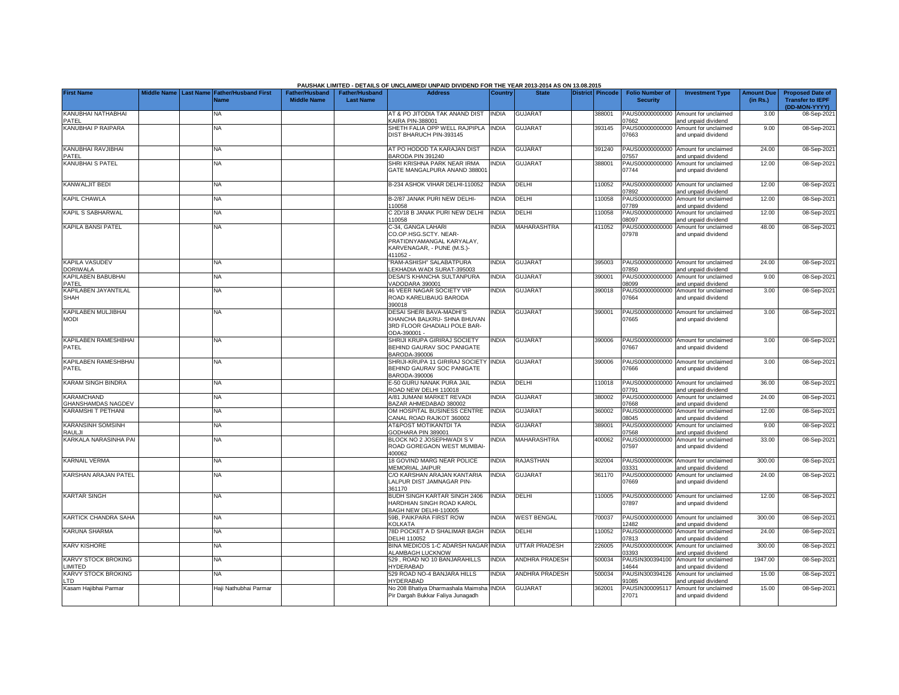|                                                |                    |                  |                                     |                                             |                                           | PAUSHAK LIMITED - DETAILS OF UNCLAIMED/ UNPAID DIVIDEND FOR THE YEAR 2013-2014 AS ON 13.08.2015                    |                |                       |                  |                                           |                                                             |                               |                                                                     |
|------------------------------------------------|--------------------|------------------|-------------------------------------|---------------------------------------------|-------------------------------------------|--------------------------------------------------------------------------------------------------------------------|----------------|-----------------------|------------------|-------------------------------------------|-------------------------------------------------------------|-------------------------------|---------------------------------------------------------------------|
| <b>First Name</b>                              | <b>Middle Name</b> | <b>Last Name</b> | <b>Father/Husband First</b><br>Jame | <b>Father/Husband</b><br><b>Middle Name</b> | <b>Father/Husband</b><br><b>Last Name</b> | <b>Address</b>                                                                                                     | <b>Country</b> | <b>State</b>          | District Pincode | <b>Folio Number of</b><br><b>Security</b> | <b>Investment Type</b>                                      | <b>Amount Due</b><br>(in Rs.) | <b>Proposed Date of</b><br><b>Transfer to IEPF</b><br>(DD-MON-YYYY) |
| KANUBHAI NATHABHAI<br>PATEL                    |                    |                  | NA.                                 |                                             |                                           | AT & PO JITODIA TAK ANAND DIST<br><b>CAIRA PIN-388001</b>                                                          | <b>INDIA</b>   | GUJARA <sub>1</sub>   | 388001           | PAUS00000000000<br>7662                   | Amount for unclaimed<br>and unpaid dividend                 | 3.00                          | 08-Sep-202                                                          |
| KANUBHAI P RAIPARA                             |                    |                  | <b>NA</b>                           |                                             |                                           | SHETH FALIA OPP WELL RAJPIPLA<br>DIST BHARUCH PIN-393145                                                           | <b>INDIA</b>   | <b>GUJARAT</b>        | 393145           | PAUS00000000000<br>07663                  | Amount for unclaimed<br>and unpaid dividend                 | 9.00                          | 08-Sep-2021                                                         |
| KANUBHAI RAVJIBHAI<br>PATEL                    |                    |                  | <b>NA</b>                           |                                             |                                           | AT PO HODOD TA KARAJAN DIST<br><b>BARODA PIN 391240</b>                                                            | <b>INDIA</b>   | <b>GUJARAT</b>        | 391240           | PAUS00000000000<br>7557                   | Amount for unclaimed<br>and unpaid dividend                 | 24.00                         | 08-Sep-2021                                                         |
| <b>KANUBHAI S PATEL</b>                        |                    |                  | NA                                  |                                             |                                           | SHRI KRISHNA PARK NEAR IRMA<br>GATE MANGALPURA ANAND 388001                                                        | <b>NDIA</b>    | <b>GUJARAT</b>        | 388001           | PAUS00000000000<br>07744                  | Amount for unclaimed<br>and unpaid dividend                 | 12.00                         | 08-Sep-2021                                                         |
| <b>KANWALJIT BEDI</b>                          |                    |                  | NA                                  |                                             |                                           | B-234 ASHOK VIHAR DELHI-110052                                                                                     | <b>INDIA</b>   | DELHI                 | 110052           | PAUS00000000000<br>7892                   | Amount for unclaimed<br>and unpaid dividend                 | 12.00                         | 08-Sep-2021                                                         |
| <b>KAPIL CHAWLA</b>                            |                    |                  | NA                                  |                                             |                                           | <b>B-2/87 JANAK PURI NEW DELHI-</b><br>10058                                                                       | <b>NDIA</b>    | DELHI                 | 110058           | PAUS00000000000<br>7789                   | Amount for unclaimed<br>and unpaid dividend                 | 12.00                         | 08-Sep-2021                                                         |
| KAPIL S SABHARWAL                              |                    |                  | NA                                  |                                             |                                           | C 2D/18 B JANAK PURI NEW DELHI<br>110058                                                                           | <b>NDIA</b>    | DELHI                 | 10058            | PAUS00000000000<br>8097                   | Amount for unclaimed<br>and unpaid dividend                 | 12.00                         | 08-Sep-2021                                                         |
| KAPILA BANSI PATEL                             |                    |                  | NA                                  |                                             |                                           | C-34, GANGA LAHARI<br>CO.OP.HSG.SCTY. NEAR-<br>PRATIDNYAMANGAL KARYALAY,<br>KARVENAGAR, - PUNE (M.S.)-<br>411052 - | <b>NDIA</b>    | MAHARASHTRA           | 411052           | PAUS00000000000<br>07978                  | Amount for unclaimed<br>and unpaid dividend                 | 48.00                         | 08-Sep-2021                                                         |
| <b>KAPILA VASUDEV</b><br><b>DORIWALA</b>       |                    |                  | NA                                  |                                             |                                           | 'RAM-ASHISH" SALABATPURA<br>LEKHADIA WADI SURAT-395003                                                             | <b>NDIA</b>    | <b>GUJARAT</b>        | 395003           | )7850                                     | PAUS00000000000 Amount for unclaimed<br>and unpaid dividend | 24.00                         | 08-Sep-2021                                                         |
| KAPILABEN BABUBHAI<br>PATEL                    |                    |                  | NA                                  |                                             |                                           | DESAI'S KHANCHA SULTANPURA<br>VADODARA 390001                                                                      | <b>NDIA</b>    | <b>GUJARAT</b>        | 390001           | 08099                                     | PAUS00000000000 Amount for unclaimed<br>and unpaid dividend | 9.00                          | 08-Sep-2021                                                         |
| KAPILABEN JAYANTILAL<br><b>SHAH</b>            |                    |                  | NA                                  |                                             |                                           | <b>46 VEER NAGAR SOCIETY VIP</b><br>ROAD KARELIBAUG BARODA<br>390018                                               | INDIA          | <b>GUJARAT</b>        | 390018           | 07664                                     | PAUS00000000000 Amount for unclaimed<br>and unpaid dividend | 3.00                          | 08-Sep-2021                                                         |
| KAPILABEN MULJIBHAI<br><b>MODI</b>             |                    |                  | <b>NA</b>                           |                                             |                                           | DESAI SHERI BAVA-MADHI'S<br>KHANCHA BALKRU- SHNA BHUVAN<br>3RD FLOOR GHADIALI POLE BAR-<br>ODA-390001 -            | <b>NDIA</b>    | <b>GUJARAT</b>        | 390001           | 07665                                     | PAUS00000000000 Amount for unclaimed<br>and unpaid dividend | 3.00                          | 08-Sep-2021                                                         |
| KAPILABEN RAMESHBHAI<br>PATEL                  |                    |                  | NA.                                 |                                             |                                           | SHRIJI KRUPA GIRIRAJ SOCIETY<br>BEHIND GAURAV SOC PANIGATE<br>BARODA-390006                                        | <b>NDIA</b>    | <b>GUJARAT</b>        | 390006           | 07667                                     | PAUS00000000000 Amount for unclaimed<br>and unpaid dividend | 3.00                          | 08-Sep-2021                                                         |
| KAPILABEN RAMESHBHAI<br>PATEL                  |                    |                  | NA                                  |                                             |                                           | SHRIJI-KRUPA 11 GIRIRAJ SOCIETY<br>BEHIND GAURAV SOC PANIGATE<br>BARODA-390006                                     | <b>INDIA</b>   | <b>GUJARAT</b>        | 390006           | 07666                                     | PAUS00000000000 Amount for unclaimed<br>and unpaid dividend | 3.00                          | 08-Sep-2021                                                         |
| <b>KARAM SINGH BINDRA</b>                      |                    |                  | NA                                  |                                             |                                           | E-50 GURU NANAK PURA JAIL<br>ROAD NEW DELHI 110018                                                                 | <b>NDIA</b>    | DELHI                 | 10018            | 7791                                      | PAUS00000000000 Amount for unclaimed<br>and unpaid dividend | 36.00                         | 08-Sep-202                                                          |
| <b>KARAMCHAND</b><br><b>GHANSHAMDAS NAGDEV</b> |                    |                  | <b>NA</b>                           |                                             |                                           | A/81 JUMANI MARKET REVADI<br>BAZAR AHMEDABAD 380002                                                                | <b>NDIA</b>    | <b>GUJARAT</b>        | 380002           | 7668                                      | PAUS00000000000 Amount for unclaimed<br>and unpaid dividend | 24.00                         | 08-Sep-202                                                          |
| KARAMSHI T PETHANI                             |                    |                  | NA                                  |                                             |                                           | OM HOSPITAL BUSINESS CENTRE<br>CANAL ROAD RAJKOT 360002                                                            | <b>INDIA</b>   | <b>GUJARAT</b>        | 360002           | 08045                                     | PAUS00000000000 Amount for unclaimed<br>and unpaid dividend | 12.00                         | 08-Sep-202                                                          |
| <b>KARANSINH SOMSINH</b><br>RAULJI             |                    |                  | NA                                  |                                             |                                           | AT&POST MOTIKANTDI TA<br>GODHARA PIN 389001                                                                        | <b>NDIA</b>    | <b>GUJARAT</b>        | 389001           | 7568                                      | PAUS00000000000 Amount for unclaimed<br>and unpaid dividend | 9.00                          | 08-Sep-2021                                                         |
| KARKALA NARASINHA PAI                          |                    |                  | NA.                                 |                                             |                                           | BLOCK NO 2 JOSEPHWADI S V<br>ROAD GOREGAON WEST MUMBAI-<br>400062                                                  | <b>NDIA</b>    | MAHARASHTRA           | 400062           | PAUS00000000000<br>07597                  | Amount for unclaimed<br>and unpaid dividend                 | 33.00                         | 08-Sep-2021                                                         |
| <b>KARNAIL VERMA</b>                           |                    |                  | NA.                                 |                                             |                                           | <b>18 GOVIND MARG NEAR POLICE</b><br><b>MEMORIAL JAIPUR</b>                                                        | <b>NDIA</b>    | RAJASTHAN             | 302004           | PAUS0000000000K<br>03331                  | Amount for unclaimed<br>and unpaid dividend                 | 300.00                        | 08-Sep-2021                                                         |
| <b>KARSHAN ARAJAN PATEL</b>                    |                    |                  | NA.                                 |                                             |                                           | C/O KARSHAN ARAJAN KANTARIA<br>LALPUR DIST JAMNAGAR PIN-<br>361170                                                 | <b>NDIA</b>    | <b>GUJARAT</b>        | 361170           | PAUS00000000000<br>07669                  | Amount for unclaimed<br>and unpaid dividend                 | 24.00                         | 08-Sep-2021                                                         |
| <b>KARTAR SINGH</b>                            |                    |                  | <b>NA</b>                           |                                             |                                           | BUDH SINGH KARTAR SINGH 2406<br>HARDHIAN SINGH ROAD KAROL<br>BAGH NEW DELHI-110005                                 | <b>INDIA</b>   | DELHI                 | 110005           | 07897                                     | PAUS00000000000 Amount for unclaimed<br>and unpaid dividend | 12.00                         | 08-Sep-2021                                                         |
| <b>KARTICK CHANDRA SAHA</b>                    |                    |                  | NA                                  |                                             |                                           | 59B, PAIKPARA FIRST ROW<br>KOLKATA                                                                                 | <b>NDIA</b>    | <b>WEST BENGAL</b>    | 700037           | 2482                                      | PAUS00000000000 Amount for unclaimed<br>and unpaid dividend | 300.00                        | 08-Sep-2021                                                         |
| <b>KARUNA SHARMA</b>                           |                    |                  | NA                                  |                                             |                                           | 78D POCKET A D SHALIMAR BAGH<br><b>DELHI 110052</b>                                                                | INDIA          | DELHI                 | 110052           | 7813                                      | PAUS00000000000 Amount for unclaimed<br>and unpaid dividend | 24.00                         | 08-Sep-2021                                                         |
| <b>KARV KISHORE</b>                            |                    |                  | <b>NA</b>                           |                                             |                                           | BINA MEDICOS 1-C ADARSH NAGAR<br>ALAMBAGH LUCKNOW                                                                  | <b>INDIA</b>   | <b>UTTAR PRADESH</b>  | 226005           | 03393                                     | PAUS0000000000K Amount for unclaimed<br>and unpaid dividend | 300.00                        | 08-Sep-2021                                                         |
| <b>KARVY STOCK BROKING</b><br>LIMITED          |                    |                  | <b>NA</b>                           |                                             |                                           | 529, ROAD NO 10 BANJARAHILLS<br>HYDERABAD                                                                          | <b>NDIA</b>    | <b>ANDHRA PRADESH</b> | 500034           | 14644                                     | PAUSIN300394100 Amount for unclaimed<br>and unpaid dividend | 1947.00                       | 08-Sep-2021                                                         |
| <b>KARVY STOCK BROKING</b><br>LTD              |                    |                  | <b>NA</b>                           |                                             |                                           | 529 ROAD NO-4 BANJARA HILLS<br>HYDERABAD                                                                           | <b>NDIA</b>    | <b>ANDHRA PRADESH</b> | 500034           | 91085                                     | PAUSIN300394126 Amount for unclaimed<br>and unpaid dividend | 15.00                         | 08-Sep-2021                                                         |
| Kasam Hajibhai Parmar                          |                    |                  | Haji Nathubhai Parmar               |                                             |                                           | No 208 Bhatiya Dharmashala Maimsha INDIA<br>Pir Dargah Bukkar Faliya Junagadh                                      |                | <b>GUJARAT</b>        | 362001           | 27071                                     | PAUSIN300095117 Amount for unclaimed<br>and unpaid dividend | 15.00                         | 08-Sep-2021                                                         |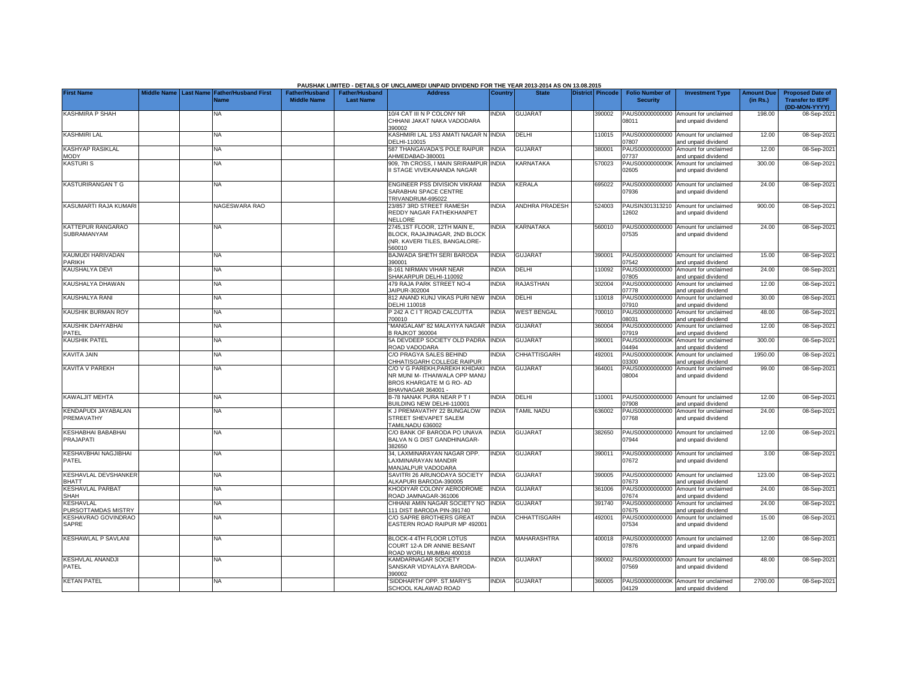|                                             |  |                                            |                       |                       | PAUSHAK LIMITED - DETAILS OF UNCLAIMED/ UNPAID DIVIDEND FOR THE YEAR 2013-2014 AS ON 13.08.2015                   |                |                          |                  |                          |                                                             |                   |                                          |
|---------------------------------------------|--|--------------------------------------------|-----------------------|-----------------------|-------------------------------------------------------------------------------------------------------------------|----------------|--------------------------|------------------|--------------------------|-------------------------------------------------------------|-------------------|------------------------------------------|
| <b>First Name</b>                           |  | Middle Name Last Name Father/Husband First | <b>Father/Husband</b> | <b>Father/Husband</b> | <b>Address</b>                                                                                                    | <b>Country</b> | <b>State</b>             | District Pincode | <b>Folio Number of</b>   | <b>Investment Type</b>                                      | <b>Amount Due</b> | <b>Proposed Date of</b>                  |
|                                             |  | Name                                       | <b>Middle Name</b>    | <b>Last Name</b>      |                                                                                                                   |                |                          |                  | <b>Security</b>          |                                                             | (in Rs.)          | <b>Transfer to IEPF</b><br>(DD-MON-YYYY) |
| <b>KASHMIRA P SHAH</b>                      |  | ΝA                                         |                       |                       | 10/4 CAT III N P COLONY NR<br>CHHANI JAKAT NAKA VADODARA<br>390002                                                | <b>NDIA</b>    | <b>GUJARAT</b>           | 390002           | 08011                    | PAUS00000000000 Amount for unclaimed<br>and unpaid dividend | 198.00            | 08-Sep-202                               |
| <b>KASHMIRI LAL</b>                         |  | <b>NA</b>                                  |                       |                       | KASHMIRI LAL 1/53 AMATI NAGAR NINDIA<br>DELHI-110015                                                              |                | DELHI                    | 10015            | 7807                     | PAUS00000000000 Amount for unclaimed<br>and unpaid dividend | 12.00             | 08-Sep-202                               |
| KASHYAP RASIKLAL<br><b>MODY</b>             |  | <b>NA</b>                                  |                       |                       | 587 THANGAVADA'S POLE RAIPUR<br>AHMEDABAD-380001                                                                  | <b>INDIA</b>   | <b>GUJARAT</b>           | 380001           | PAUS00000000000<br>07737 | Amount for unclaimed<br>and unpaid dividend                 | 12.00             | 08-Sep-202                               |
| <b>KASTURIS</b>                             |  | ΝA                                         |                       |                       | 909, 7th CROSS, I MAIN SRIRAMPUR INDIA<br>I STAGE VIVEKANANDA NAGAR                                               |                | KARNATAKA                | 570023           | 02605                    | PAUS0000000000K Amount for unclaimed<br>and unpaid dividend | 300.00            | 08-Sep-2021                              |
| <b>KASTURIRANGAN T G</b>                    |  | NA                                         |                       |                       | ENGINEER PSS DIVISION VIKRAM<br>SARABHAI SPACE CENTRE<br>TRIVANDRUM-695022                                        | <b>INDIA</b>   | KERALA                   | 695022           | 07936                    | PAUS00000000000 Amount for unclaimed<br>and unpaid dividend | 24.00             | 08-Sep-202                               |
| KASUMARTI RAJA KUMAR                        |  | NAGESWARA RAO                              |                       |                       | 23/857 3RD STREET RAMESH<br>REDDY NAGAR FATHEKHANPET<br>NELLORE                                                   | <b>NDIA</b>    | ANDHRA PRADESH           | 524003           | PAUSIN301313210<br>12602 | Amount for unclaimed<br>and unpaid dividend                 | 900.00            | 08-Sep-202                               |
| KATTEPUR RANGARAO<br>SUBRAMANYAM            |  | ΝA                                         |                       |                       | 2745,1ST FLOOR, 12TH MAIN E,<br>BLOCK, RAJAJINAGAR, 2ND BLOCK<br>(NR. KAVERI TILES, BANGALORE-<br>560010          | <b>INDIA</b>   | KARNATAKA                | 560010           | 07535                    | PAUS00000000000 Amount for unclaimed<br>and unpaid dividend | 24.00             | 08-Sep-202                               |
| KAUMUDI HARIVADAN<br>PARIKH                 |  | <b>NA</b>                                  |                       |                       | BAJWADA SHETH SERI BARODA<br>390001                                                                               | <b>INDIA</b>   | <b>GUJARAT</b>           | 390001           | PAUS00000000000<br>07542 | Amount for unclaimed<br>and unpaid dividend                 | 15.00             | 08-Sep-202                               |
| <b>KAUSHALYA DEVI</b>                       |  | NA                                         |                       |                       | B-161 NIRMAN VIHAR NEAR<br>SHAKARPUR DELHI-110092                                                                 | <b>INDIA</b>   | DELHI                    | 110092           | PAUS00000000000<br>)7805 | Amount for unclaimed<br>and unpaid dividend                 | 24.00             | 08-Sep-202                               |
| KAUSHALYA DHAWAN                            |  | ΝA                                         |                       |                       | <b>179 RAJA PARK STREET NO-4</b><br>JAIPUR-302004                                                                 | INDIA          | RAJASTHAN                | 302004           | PAUS00000000000<br>7778  | Amount for unclaimed<br>nd unpaid dividend                  | 12.00             | 08-Sep-202                               |
| KAUSHALYA RANI                              |  | <b>NA</b>                                  |                       |                       | <b>312 ANAND KUNJ VIKAS PURI NEW</b><br><b>DELHI 110018</b>                                                       | <b>INDIA</b>   | DELHI                    | 10018            | PAUS00000000000<br>7910  | Amount for unclaimed<br>nd unpaid dividend                  | 30.00             | 08-Sep-202                               |
| <b>KAUSHIK BURMAN ROY</b>                   |  | <b>NA</b>                                  |                       |                       | 242 A C I T ROAD CALCUTTA<br>700010                                                                               | <b>INDIA</b>   | <b>WEST BENGAL</b>       | 700010           | PAUS00000000000<br>08031 | Amount for unclaimed<br>and unpaid dividend                 | 48.00             | 08-Sep-202                               |
| <b>KAUSHIK DAHYABHAI</b><br>PATEL           |  | <b>NA</b>                                  |                       |                       | MANGALAM" 82 MALAYIYA NAGAR<br><b>B RAJKOT 360004</b>                                                             | <b>INDIA</b>   | <b>GUJARAT</b>           | 360004           | PAUS00000000000<br>07919 | Amount for unclaimed<br>and unpaid dividend                 | 12.00             | 08-Sep-202                               |
| <b>KAUSHIK PATEL</b>                        |  | ΝA                                         |                       |                       | 5A DEVDEEP SOCIETY OLD PADRA<br>ROAD VADODARA                                                                     | <b>INDIA</b>   | <b>GUJARAT</b>           | 390001           | PAUS0000000000K<br>14494 | Amount for unclaimed<br>and unpaid dividend                 | 300.00            | 08-Sep-202                               |
| <b>KAVITA JAIN</b>                          |  | <b>NA</b>                                  |                       |                       | C/O PRAGYA SALES BEHIND<br>CHHATISGARH COLLEGE RAIPUR                                                             | <b>NDIA</b>    | CHHATTISGARH             | 492001           | PAUS0000000000K<br>3300  | Amount for unclaimed<br>and unpaid dividend                 | 1950.00           | 08-Sep-202                               |
| KAVITA V PAREKH                             |  | NA                                         |                       |                       | C/O V G PAREKH, PAREKH KHIDAKI<br>NR MUNI M- ITHAIWALA OPP MANU<br>BROS KHARGATE M G RO- AD<br>BHAVNAGAR 364001 - | <b>INDIA</b>   | <b>GUJARAT</b>           | 364001           | PAUS00000000000<br>08004 | Amount for unclaimed<br>and unpaid dividend                 | 99.00             | 08-Sep-2021                              |
| <b>KAWALJIT MEHTA</b>                       |  | NA                                         |                       |                       | 3-78 NANAK PURA NEAR P T I<br><b>BUILDING NEW DELHI-110001</b>                                                    | <b>NDIA</b>    | DELHI                    | 110001           | 07908                    | PAUS00000000000 Amount for unclaimed<br>and unpaid dividend | 12.00             | 08-Sep-202                               |
| KENDAPUDI JAYABALAN<br>PREMAVATHY           |  | <b>NA</b>                                  |                       |                       | <b>(J PREMAVATHY 22 BUNGALOW</b><br>STREET SHEVAPET SALEM<br>FAMILNADU 636002                                     | <b>INDIA</b>   | <b><i>FAMIL NADU</i></b> | 636002           | PAUS00000000000<br>07768 | Amount for unclaimed<br>and unpaid dividend                 | 24.00             | 08-Sep-202                               |
| <b>KESHABHAI BABABHAI</b><br>PRAJAPATI      |  | ΝA                                         |                       |                       | C/O BANK OF BARODA PO UNAVA<br>BALVA N G DIST GANDHINAGAR-<br>382650                                              | INDIA          | <b>GUJARAT</b>           | 382650           | 07944                    | PAUS00000000000 Amount for unclaimed<br>and unpaid dividend | 12.00             | 08-Sep-202                               |
| <b>KESHAVBHAI NAGJIBHAI</b><br>PATEL        |  | <b>NA</b>                                  |                       |                       | 34. LAXMINARAYAN NAGAR OPP.<br>LAXMINARAYAN MANDIR<br><b>MANJALPUR VADODARA</b>                                   | <b>INDIA</b>   | <b>GUJARAT</b>           | 390011           | 17672                    | PAUS00000000000 Amount for unclaimed<br>and unpaid dividend | 3.00              | 08-Sep-202                               |
| <b>KESHAVLAL DEVSHANKER</b><br><b>BHATT</b> |  | NA                                         |                       |                       | SAVITRI 26 ARUNODAYA SOCIETY<br>ALKAPURI BARODA-390005                                                            | <b>INDIA</b>   | <b>GUJARAT</b>           | 390005           | PAUS00000000000<br>07673 | Amount for unclaimed<br>and unpaid dividend                 | 123.00            | 08-Sep-202                               |
| <b>KESHAVLAL PARBAT</b><br><b>SHAH</b>      |  | <b>NA</b>                                  |                       |                       | KHODIYAR COLONY AERODROME<br>ROAD JAMNAGAR-361006                                                                 | <b>INDIA</b>   | <b>GUJARAT</b>           | 361006           | PAUS00000000000<br>07674 | Amount for unclaimed<br>nd unpaid dividend                  | 24.00             | 08-Sep-202                               |
| <b>KESHAVLAL</b><br>PURSOTTAMDAS MISTRY     |  | <b>NA</b>                                  |                       |                       | CHHANI AMIN NAGAR SOCIETY NO<br>11 DIST BARODA PIN-391740                                                         | <b>INDIA</b>   | <b>GUJARAT</b>           | 391740           | PAUS00000000000<br>07675 | Amount for unclaimed<br>and unpaid dividend                 | 24.00             | 08-Sep-202                               |
| <b>KESHAVRAO GOVINDRAO</b><br>SAPRE         |  | <b>NA</b>                                  |                       |                       | <b>CO SAPRE BROTHERS GREAT</b><br>EASTERN ROAD RAIPUR MP 492001                                                   | <b>NDIA</b>    | CHHATTISGARH             | 492001           | PAUS00000000000<br>07534 | Amount for unclaimed<br>and unpaid dividend                 | 15.00             | 08-Sep-202                               |
| <b>KESHAWLAL P SAVLANI</b>                  |  | ΝA                                         |                       |                       | BLOCK-4 4TH FLOOR LOTUS<br>COURT 12-A DR ANNIE BESANT<br>ROAD WORLI MUMBAI 400018                                 | <b>NDIA</b>    | MAHARASHTRA              | 400018           | 07876                    | PAUS00000000000 Amount for unclaimed<br>and unpaid dividend | 12.00             | 08-Sep-2021                              |
| <b>KESHVLAL ANANDJI</b><br>PATEL            |  | <b>NA</b>                                  |                       |                       | <b>KAMDARNAGAR SOCIETY</b><br>SANSKAR VIDYALAYA BARODA-<br>390002                                                 | <b>INDIA</b>   | <b>GUJARAT</b>           | 390002           | 07569                    | PAUS00000000000 Amount for unclaimed<br>and unpaid dividend | 48.00             | 08-Sep-202                               |
| <b>KETAN PATEL</b>                          |  | <b>NA</b>                                  |                       |                       | SIDDHARTH' OPP, ST.MARY'S<br>SCHOOL KALAWAD ROAD                                                                  | <b>INDIA</b>   | <b>GUJARAT</b>           | 360005           | 04129                    | PAUS0000000000K Amount for unclaimed<br>and unpaid dividend | 2700.00           | 08-Sep-2021                              |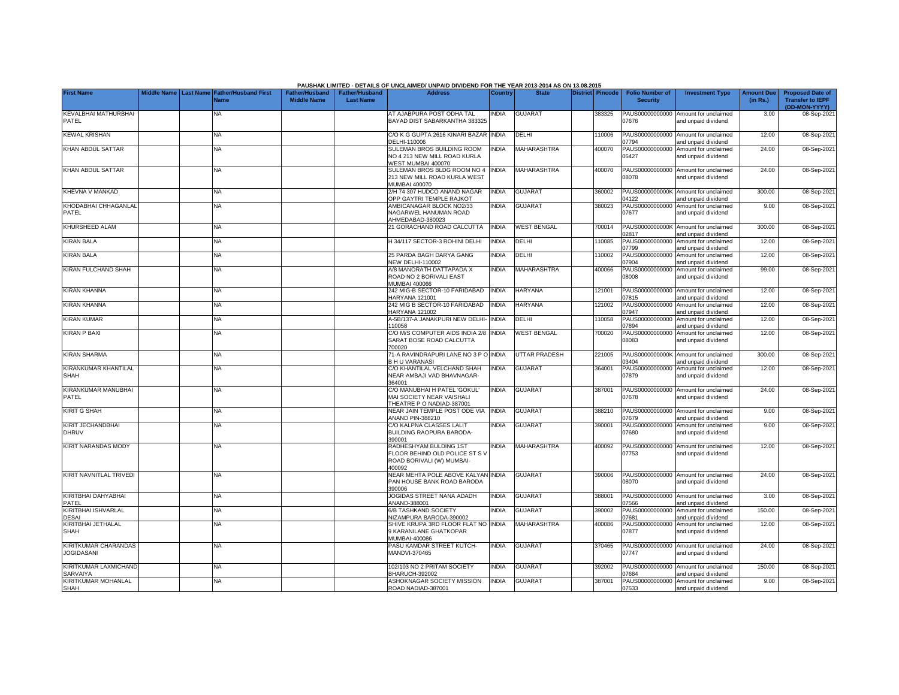|                                                  |  |                                                |                       |                       | PAUSHAK LIMITED - DETAILS OF UNCLAIMED/ UNPAID DIVIDEND FOR THE YEAR 2013-2014 AS ON 13.08.2015 |                |                      |                         |                          |                                                             |                   |                                          |
|--------------------------------------------------|--|------------------------------------------------|-----------------------|-----------------------|-------------------------------------------------------------------------------------------------|----------------|----------------------|-------------------------|--------------------------|-------------------------------------------------------------|-------------------|------------------------------------------|
| <b>First Name</b>                                |  | Middle Name   Last Name   Father/Husband First | <b>Father/Husband</b> | <b>Father/Husband</b> | <b>Address</b>                                                                                  | <b>Country</b> | <b>State</b>         | <b>District Pincode</b> | <b>Folio Number of</b>   | <b>Investment Type</b>                                      | <b>Amount Due</b> | <b>Proposed Date of</b>                  |
|                                                  |  | Name                                           | <b>Middle Name</b>    | <b>Last Name</b>      |                                                                                                 |                |                      |                         | <b>Security</b>          |                                                             | (in Rs.)          | <b>Transfer to IEPF</b><br>(DD-MON-YYYY) |
| KEVALBHAI MATHURBHAI                             |  | ΝA                                             |                       |                       | AT AJABPURA POST ODHA TAL                                                                       | NDIA           | <b>GUJARAT</b>       | 383325                  | PAUS00000000000          | Amount for unclaimed                                        | 3.00              | 08-Sep-202                               |
| PATEL                                            |  |                                                |                       |                       | BAYAD DIST SABARKANTHA 383325                                                                   |                |                      |                         | 07676                    | and unpaid dividend                                         |                   |                                          |
| <b>KEWAL KRISHAN</b>                             |  | <b>NA</b>                                      |                       |                       | C/O K G GUPTA 2616 KINARI BAZAR INDIA                                                           |                | DELHI                | 10006                   |                          | PAUS00000000000 Amount for unclaimed                        | 12.00             | 08-Sep-202                               |
|                                                  |  |                                                |                       |                       | DELHI-110006                                                                                    |                |                      |                         | 7794                     | and unpaid dividend                                         |                   |                                          |
| KHAN ABDUL SATTAR                                |  | <b>NA</b>                                      |                       |                       | SULEMAN BROS BUILDING ROOM                                                                      | <b>NDIA</b>    | <b>MAHARASHTRA</b>   | 400070                  | PAUS00000000000          | Amount for unclaimed                                        | 24.00             | 08-Sep-2021                              |
|                                                  |  |                                                |                       |                       | NO 4 213 NEW MILL ROAD KURLA                                                                    |                |                      |                         | 05427                    | and unpaid dividend                                         |                   |                                          |
| KHAN ABDUL SATTAR                                |  | ΝA                                             |                       |                       | WEST MUMBAI 400070<br>SULEMAN BROS BLDG ROOM NO 4                                               | <b>INDIA</b>   | MAHARASHTRA          | 400070                  |                          | PAUS00000000000 Amount for unclaimed                        | 24.00             | 08-Sep-2021                              |
|                                                  |  |                                                |                       |                       | 213 NEW MILL ROAD KURLA WEST                                                                    |                |                      |                         | 08078                    | and unpaid dividend                                         |                   |                                          |
|                                                  |  |                                                |                       |                       | <b>MUMBAI 400070</b>                                                                            |                |                      |                         |                          |                                                             |                   |                                          |
| KHEVNA V MANKAD                                  |  | <b>NA</b>                                      |                       |                       | 2/H 74 307 HUDCO ANAND NAGAR<br><b>OPP GAYTRI TEMPLE RAJKOT</b>                                 | <b>INDIA</b>   | <b>GUJARAT</b>       | 360002                  | 04122                    | PAUS0000000000K Amount for unclaimed<br>and unpaid dividend | 300.00            | 08-Sep-202                               |
| KHODABHAI CHHAGANLAL                             |  | NΑ                                             |                       |                       | AMBICANAGAR BLOCK NO2/33                                                                        | <b>INDIA</b>   | <b>GUJARAT</b>       | 380023                  | PAUS00000000000          | Amount for unclaimed                                        | 9.00              | 08-Sep-202                               |
| PATEL                                            |  |                                                |                       |                       | NAGARWEL HANUMAN ROAD                                                                           |                |                      |                         | 07677                    | and unpaid dividend                                         |                   |                                          |
| KHURSHEED ALAM                                   |  | NA                                             |                       |                       | AHMEDABAD-380023<br>21 GORACHAND ROAD CALCUTTA                                                  | <b>INDIA</b>   | <b>WEST BENGAL</b>   | 700014                  |                          | PAUS0000000000K Amount for unclaimed                        | 300.00            | 08-Sep-202                               |
|                                                  |  |                                                |                       |                       |                                                                                                 |                |                      |                         | 02817                    | and unpaid dividend                                         |                   |                                          |
| <b>KIRAN BALA</b>                                |  | <b>NA</b>                                      |                       |                       | H 34/117 SECTOR-3 ROHINI DELHI                                                                  | INDIA          | DELHI                | 110085                  | PAUS00000000000          | Amount for unclaimed                                        | 12.00             | 08-Sep-202                               |
| <b>KIRAN BALA</b>                                |  | ΝA                                             |                       |                       | 25 PARDA BAGH DARYA GANG                                                                        | <b>INDIA</b>   | DELHI                | 110002                  | 07799<br>PAUS00000000000 | and unpaid dividend<br>Amount for unclaimed                 | 12.00             | 08-Sep-202                               |
|                                                  |  |                                                |                       |                       | <b>VEW DELHI-110002</b>                                                                         |                |                      |                         | 07904                    | and unpaid dividend                                         |                   |                                          |
| KIRAN FULCHAND SHAH                              |  | <b>NA</b>                                      |                       |                       | A/8 MANORATH DATTAPADA X                                                                        | INDIA          | MAHARASHTRA          | 400066                  | PAUS00000000000          | Amount for unclaimed                                        | 99.00             | 08-Sep-202                               |
|                                                  |  |                                                |                       |                       | ROAD NO 2 BORIVALI EAST<br><b>MUMBAI 400066</b>                                                 |                |                      |                         | 8008                     | and unpaid dividend                                         |                   |                                          |
| <b>KIRAN KHANNA</b>                              |  | <b>NA</b>                                      |                       |                       | 242 MIG-B SECTOR-10 FARIDABAD                                                                   | <b>INDIA</b>   | <b>HARYANA</b>       | 121001                  |                          | PAUS00000000000 Amount for unclaimed                        | 12.00             | 08-Sep-202                               |
|                                                  |  |                                                |                       |                       | <b>HARYANA 121001</b>                                                                           |                |                      |                         | 07815                    | and unpaid dividend                                         |                   |                                          |
| <b>KIRAN KHANNA</b>                              |  | NA                                             |                       |                       | 242 MIG B SECTOR-10 FARIDABAD                                                                   | <b>INDIA</b>   | HARYANA              | 121002                  | PAUS00000000000<br>)7947 | Amount for unclaimed                                        | 12.00             | 08-Sep-202                               |
| <b>KIRAN KUMAR</b>                               |  | ΝA                                             |                       |                       | <b>HARYANA 121002</b><br>4-5B/137-A JANAKPURI NEW DELHI-                                        | <b>INDIA</b>   | DELHI                | 110058                  | PAUS00000000000          | and unpaid dividend<br>Amount for unclaimed                 | 12.00             | 08-Sep-202                               |
|                                                  |  |                                                |                       |                       | 110058                                                                                          |                |                      |                         | 07894                    | and unpaid dividend                                         |                   |                                          |
| <b>KIRAN P BAXI</b>                              |  | ΝA                                             |                       |                       | C/O M/S COMPUTER AIDS INDIA 2/8 INDIA                                                           |                | <b>WEST BENGAL</b>   | 700020                  | PAUS00000000000          | Amount for unclaimed                                        | 12.00             | 08-Sep-2021                              |
|                                                  |  |                                                |                       |                       | SARAT BOSE ROAD CALCUTTA<br>700020                                                              |                |                      |                         | 08083                    | and unpaid dividend                                         |                   |                                          |
| <b>KIRAN SHARMA</b>                              |  | <b>NA</b>                                      |                       |                       | 1-A RAVINDRAPURI LANE NO 3 P O INDIA                                                            |                | <b>UTTAR PRADESH</b> | 221005                  | PAUS0000000000K          | Amount for unclaimed                                        | 300.00            | 08-Sep-202                               |
|                                                  |  |                                                |                       |                       | <b>BHU VARANASI</b>                                                                             |                |                      |                         | 03404                    | and unpaid dividend                                         |                   |                                          |
| KIRANKUMAR KHANTILAL<br><b>SHAH</b>              |  | NA                                             |                       |                       | C/O KHANTILAL VELCHAND SHAH<br>NEAR AMBAJI VAD BHAVNAGAR-                                       | INDIA          | <b>GUJARAT</b>       | 364001                  | PAUS00000000000<br>07879 | Amount for unclaimed<br>and unpaid dividend                 | 12.00             | 08-Sep-2021                              |
|                                                  |  |                                                |                       |                       | 364001                                                                                          |                |                      |                         |                          |                                                             |                   |                                          |
| KIRANKUMAR MANUBHAI                              |  | ΝA                                             |                       |                       | C/O MANUBHAI H PATEL 'GOKUL'                                                                    | <b>INDIA</b>   | <b>GUJARAT</b>       | 387001                  |                          | PAUS00000000000 Amount for unclaimed                        | 24.00             | 08-Sep-202                               |
| PATEL                                            |  |                                                |                       |                       | MAI SOCIETY NEAR VAISHALI<br>THEATRE P O NADIAD-387001                                          |                |                      |                         | 07678                    | and unpaid dividend                                         |                   |                                          |
| <b>KIRIT G SHAH</b>                              |  | NA                                             |                       |                       | NEAR JAIN TEMPLE POST ODE VIA                                                                   | <b>INDIA</b>   | <b>GUJARAT</b>       | 388210                  | PAUS00000000000          | Amount for unclaimed                                        | 9.00              | 08-Sep-202                               |
|                                                  |  |                                                |                       |                       | ANAND PIN-388210                                                                                |                |                      |                         | )7679                    | and unpaid dividend                                         |                   |                                          |
| KIRIT JECHANDBHAI<br><b>DHRUV</b>                |  | ΝA                                             |                       |                       | C/O KALPNA CLASSES LALIT<br>BUILDING RAOPURA BARODA-                                            | <b>INDIA</b>   | <b>GUJARAT</b>       | 390001                  | PAUS00000000000<br>07680 | Amount for unclaimed<br>and unpaid dividend                 | 9.00              | 08-Sep-202                               |
|                                                  |  |                                                |                       |                       | 390001                                                                                          |                |                      |                         |                          |                                                             |                   |                                          |
| <b>KIRIT NARANDAS MODY</b>                       |  | NA                                             |                       |                       | RADHESHYAM BULDING 1ST                                                                          | <b>INDIA</b>   | MAHARASHTRA          | 400092                  |                          | PAUS00000000000 Amount for unclaimed                        | 12.00             | 08-Sep-202                               |
|                                                  |  |                                                |                       |                       | FLOOR BEHIND OLD POLICE ST S V<br>ROAD BORIVALI (W) MUMBAI-                                     |                |                      |                         | 07753                    | and unpaid dividend                                         |                   |                                          |
|                                                  |  |                                                |                       |                       | 400092                                                                                          |                |                      |                         |                          |                                                             |                   |                                          |
| KIRIT NAVNITLAL TRIVEDI                          |  | <b>NA</b>                                      |                       |                       | NEAR MEHTA POLE ABOVE KALYAN INDIA                                                              |                | <b>GUJARAT</b>       | 390006                  |                          | PAUS00000000000 Amount for unclaimed                        | 24.00             | 08-Sep-202                               |
|                                                  |  |                                                |                       |                       | PAN HOUSE BANK ROAD BARODA<br>390006                                                            |                |                      |                         | 08070                    | and unpaid dividend                                         |                   |                                          |
| KIRITBHAI DAHYABHAI                              |  | <b>NA</b>                                      |                       |                       | JOGIDAS STREET NANA ADADH                                                                       | <b>INDIA</b>   | <b>GUJARAT</b>       | 388001                  |                          | PAUS00000000000 Amount for unclaimed                        | 3.00              | 08-Sep-202                               |
| PATEL                                            |  |                                                |                       |                       | ANAND-388001                                                                                    |                |                      |                         | 7566                     | and unpaid dividend                                         |                   |                                          |
| KIRITBHAI ISHVARLAL                              |  | <b>NA</b>                                      |                       |                       | 6/B TASHKAND SOCIETY<br>VIZAMPURA BARODA-390002                                                 | <b>INDIA</b>   | <b>GUJARAT</b>       | 390002                  | PAUS00000000000          | Amount for unclaimed                                        | 150.00            | 08-Sep-202                               |
| <b>DESAI</b><br>KIRITBHAI JETHALAL               |  | NA                                             |                       |                       | SHIVE KRUPA 3RD FLOOR FLAT NO INDIA                                                             |                | MAHARASHTRA          | 400086                  | 07681<br>PAUS00000000000 | and unpaid dividend<br>Amount for unclaimed                 | 12.00             | 08-Sep-202                               |
| <b>SHAH</b>                                      |  |                                                |                       |                       | 9 KARANILANE GHATKOPAR                                                                          |                |                      |                         | 07877                    | and unpaid dividend                                         |                   |                                          |
|                                                  |  |                                                |                       |                       | <b>MUMBAI-400086</b>                                                                            |                |                      |                         |                          |                                                             |                   |                                          |
| <b>KIRITKUMAR CHARANDAS</b><br><b>JOGIDASANI</b> |  | ΝA                                             |                       |                       | PASU KAMDAR STREET KUTCH-<br>MANDVI-370465                                                      | INDIA          | <b>GUJARAT</b>       | 370465                  | 07747                    | PAUS00000000000 Amount for unclaimed<br>and unpaid dividend | 24.00             | 08-Sep-202                               |
|                                                  |  |                                                |                       |                       |                                                                                                 |                |                      |                         |                          |                                                             |                   |                                          |
| KIRITKUMAR LAXMICHAND                            |  | <b>NA</b>                                      |                       |                       | 102/103 NO 2 PRITAM SOCIETY                                                                     | <b>INDIA</b>   | <b>GUJARAT</b>       | 392002                  | PAUS00000000000          | Amount for unclaimed                                        | 150.00            | 08-Sep-202                               |
| SARVAIYA<br>KIRITKUMAR MOHANLAL                  |  | <b>NA</b>                                      |                       |                       | <b>BHARUCH-392002</b><br>ASHOKNAGAR SOCIETY MISSION                                             | <b>INDIA</b>   | <b>GUJARAT</b>       | 387001                  | 07684                    | and unpaid dividend<br>PAUS00000000000 Amount for unclaimed | 9.00              | 08-Sep-2021                              |
| SHAH                                             |  |                                                |                       |                       | ROAD NADIAD-387001                                                                              |                |                      |                         | 07533                    | and unpaid dividend                                         |                   |                                          |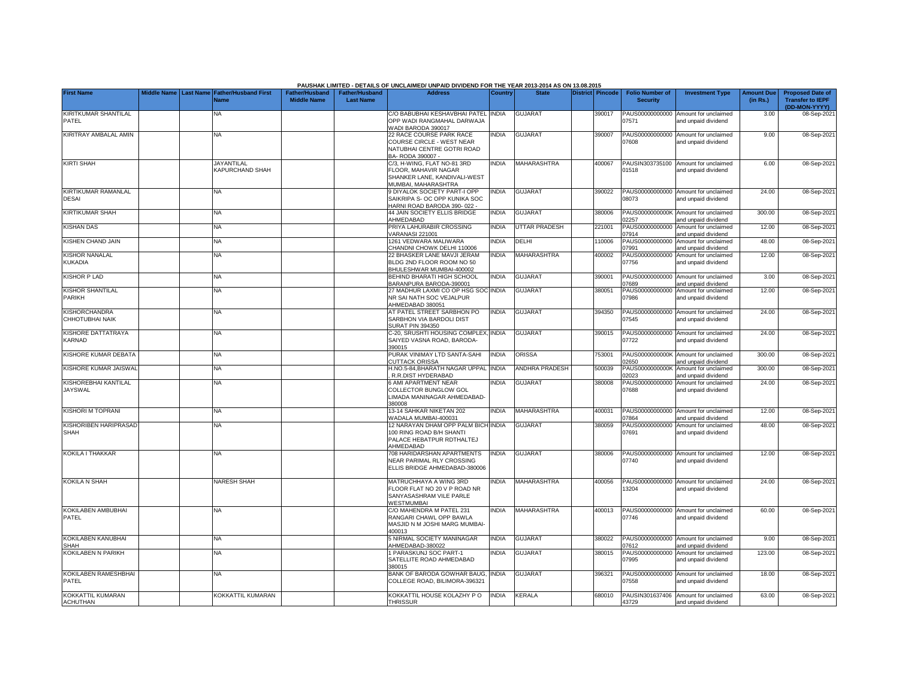|                                         |  |                                                    |                                             |                                           | PAUSHAK LIMITED - DETAILS OF UNCLAIMED/ UNPAID DIVIDEND FOR THE YEAR 2013-2014 AS ON 13.08.2015                          |                |                      |                  |                                           |                                                             |                               |                                                                     |
|-----------------------------------------|--|----------------------------------------------------|---------------------------------------------|-------------------------------------------|--------------------------------------------------------------------------------------------------------------------------|----------------|----------------------|------------------|-------------------------------------------|-------------------------------------------------------------|-------------------------------|---------------------------------------------------------------------|
| <b>First Name</b>                       |  | Middle Name Last Name Father/Husband First<br>Name | <b>Father/Husband</b><br><b>Middle Name</b> | <b>Father/Husband</b><br><b>Last Name</b> | <b>Address</b>                                                                                                           | <b>Country</b> | <b>State</b>         | District Pincode | <b>Folio Number of</b><br><b>Security</b> | <b>Investment Type</b>                                      | <b>Amount Due</b><br>(in Rs.) | <b>Proposed Date of</b><br><b>Transfer to IEPF</b><br>(DD-MON-YYYY) |
| KIRITKUMAR SHANTILAL<br>PATEL           |  | NA                                                 |                                             |                                           | C/O BABUBHAI KESHAVBHAI PATEL<br>OPP WADI RANGMAHAL DARWAJA<br>VADI BARODA 390017                                        | <b>INDIA</b>   | <b>GUJARAT</b>       | 390017           | PAUS00000000000<br>07571                  | Amount for unclaimed<br>and unpaid dividend                 | 3.00                          | 08-Sep-202                                                          |
| KIRITRAY AMBALAL AMIN                   |  | <b>NA</b>                                          |                                             |                                           | 22 RACE COURSE PARK RACE<br>COURSE CIRCLE - WEST NEAR<br>NATUBHAI CENTRE GOTRI ROAD<br>3A- RODA 390007 -                 | INDIA          | <b>GUJARAT</b>       | 390007           | 07608                                     | PAUS00000000000 Amount for unclaimed<br>and unpaid dividend | 9.00                          | 08-Sep-202                                                          |
| <b>KIRTI SHAH</b>                       |  | <b>JAYANTILAL</b><br>KAPURCHAND SHAH               |                                             |                                           | C/3. H-WING. FLAT NO-81 3RD<br><b>ELOOR, MAHAVIR NAGAR</b><br>SHANKER LANE, KANDIVALI-WEST<br><b>IUMBAI, MAHARASHTRA</b> | <b>INDIA</b>   | <b>MAHARASHTRA</b>   | 400067           | PAUSIN303735100<br>01518                  | Amount for unclaimed<br>and unpaid dividend                 | 6.00                          | 08-Sep-202                                                          |
| KIRTIKUMAR RAMANLAL<br><b>DESAI</b>     |  | <b>NA</b>                                          |                                             |                                           | <b>DIYALOK SOCIETY PART-I OPP</b><br>SAIKRIPA S- OC OPP KUNIKA SOC<br>HARNI ROAD BARODA 390-022                          | <b>NDIA</b>    | <b>GUJARAT</b>       | 390022           | 08073                                     | PAUS00000000000 Amount for unclaimed<br>and unpaid dividend | 24.00                         | 08-Sep-202                                                          |
| <b>KIRTIKUMAR SHAH</b>                  |  | <b>NA</b>                                          |                                             |                                           | <b>44 JAIN SOCIETY ELLIS BRIDGE</b><br>AHMEDABAD                                                                         | <b>NDIA</b>    | <b>GUJARAT</b>       | 380006           | PAUS0000000000K<br>2257                   | Amount for unclaimed<br>and unpaid dividend                 | 300.00                        | 08-Sep-202                                                          |
| <b>KISHAN DAS</b>                       |  | NA                                                 |                                             |                                           | PRIYA LAHURABIR CROSSING<br><b>/ARANASI 221001</b>                                                                       | <b>INDIA</b>   | <b>UTTAR PRADESH</b> | 221001           | PAUS00000000000<br>07914                  | Amount for unclaimed<br>and unpaid dividend                 | 12.00                         | 08-Sep-202                                                          |
| KISHEN CHAND JAIN                       |  | ΝA                                                 |                                             |                                           | 1261 VEDWARA MALIWARA<br>CHANDNI CHOWK DELHI 110006                                                                      | <b>NDIA</b>    | DELHI                | 10006            | PAUS00000000000<br>07991                  | Amount for unclaimed<br>and unpaid dividend                 | 48.00                         | 08-Sep-202                                                          |
| <b>KISHOR NANALAL</b><br><b>KUKADIA</b> |  | NA                                                 |                                             |                                           | 22 BHASKER LANE MAVJI JERAM<br>BLDG 2ND FLOOR ROOM NO 50<br>BHULESHWAR MUMBAI-400002                                     | <b>NDIA</b>    | MAHARASHTRA          | 400002           | PAUS00000000000<br>07756                  | Amount for unclaimed<br>and unpaid dividend                 | 12.00                         | 08-Sep-202                                                          |
| <b>KISHOR P LAD</b>                     |  | <b>NA</b>                                          |                                             |                                           | BEHIND BHARATI HIGH SCHOOL<br>3ARANPURA BARODA-390001                                                                    | <b>INDIA</b>   | <b>GUJARAT</b>       | 390001           | PAUS00000000000<br>07689                  | Amount for unclaimed<br>and unpaid dividend                 | 3.00                          | 08-Sep-202                                                          |
| <b>KISHOR SHANTILAL</b><br>PARIKH       |  | NA                                                 |                                             |                                           | 27 MADHUR LAXMI CO OP HSG SOC INDIA<br>NR SAI NATH SOC VEJALPUR<br>AHMEDABAD 380051                                      |                | <b>GUJARAT</b>       | 380051           | PAUS00000000000<br>07986                  | Amount for unclaimed<br>and unpaid dividend                 | 12.00                         | 08-Sep-202                                                          |
| <b>KISHORCHANDRA</b><br>CHHOTUBHAI NAIK |  | ΝA                                                 |                                             |                                           | <b>AT PATEL STREET SARBHON PO</b><br>SARBHON VIA BARDOLI DIST<br><b>SURAT PIN 394350</b>                                 | <b>INDIA</b>   | <b>GUJARAT</b>       | 394350           | 07545                                     | PAUS00000000000 Amount for unclaimed<br>and unpaid dividend | 24.00                         | 08-Sep-202                                                          |
| KISHORE DATTATRAYA<br>KARNAD            |  | ΝA                                                 |                                             |                                           | C-20, SRUSHTI HOUSING COMPLEX<br>SAIYED VASNA ROAD, BARODA-<br>390015                                                    | <b>INDIA</b>   | <b>GUJARAT</b>       | 390015           | 07722                                     | PAUS00000000000 Amount for unclaimed<br>and unpaid dividend | 24.00                         | 08-Sep-202                                                          |
| KISHORE KUMAR DEBATA                    |  | ΝA                                                 |                                             |                                           | PURAK VINIMAY LTD SANTA-SAHI<br><b>CUTTACK ORISSA</b>                                                                    | <b>INDIA</b>   | <b>ORISSA</b>        | 753001           | 2650                                      | PAUS0000000000K Amount for unclaimed<br>and unpaid dividend | 300.00                        | 08-Sep-202                                                          |
| KISHORE KUMAR JAISWAL                   |  | ΝA                                                 |                                             |                                           | H.NO.5-84, BHARATH NAGAR UPPAL INDIA<br>R.R.DIST HYDERABAD                                                               |                | ANDHRA PRADESH       | 500039           | PAUS0000000000K<br>2023                   | Amount for unclaimed<br>and unpaid dividend                 | 300.00                        | 08-Sep-202                                                          |
| KISHOREBHAI KANTILAL<br><b>JAYSWAL</b>  |  | ΝA                                                 |                                             |                                           | <b>SAMI APARTMENT NEAR</b><br>COLLECTOR BUNGLOW GOL<br>LIMADA MANINAGAR AHMEDABAD-<br>380008                             | INDIA          | <b>GUJARAT</b>       | 380008           | PAUS00000000000<br>07688                  | Amount for unclaimed<br>and unpaid dividend                 | 24.00                         | 08-Sep-202                                                          |
| <b>KISHORI M TOPRANI</b>                |  | ΝA                                                 |                                             |                                           | 13-14 SAHKAR NIKETAN 202<br>VADALA MUMBAI-400031                                                                         | <b>INDIA</b>   | MAHARASHTRA          | 400031           | 7864                                      | PAUS00000000000 Amount for unclaimed<br>and unpaid dividend | 12.00                         | 08-Sep-202                                                          |
| KISHORIBEN HARIPRASAD<br><b>SHAH</b>    |  | <b>NA</b>                                          |                                             |                                           | 12 NARAYAN DHAM OPP PALM BICH INDIA<br>100 RING ROAD B/H SHANTI<br>PALACE HEBATPUR RDTHALTEJ<br>AHMEDABAD                |                | <b>GUJARAT</b>       | 380059           | 07691                                     | PAUS00000000000 Amount for unclaimed<br>and unpaid dividend | 48.00                         | 08-Sep-202                                                          |
| KOKILA I THAKKAR                        |  | ΝA                                                 |                                             |                                           | 708 HARIDARSHAN APARTMENTS<br><b>NEAR PARIMAL RLY CROSSING</b><br>ELLIS BRIDGE AHMEDABAD-380006                          | <b>INDIA</b>   | <b>GUJARAT</b>       | 380006           | 07740                                     | PAUS00000000000 Amount for unclaimed<br>and unpaid dividend | 12.00                         | 08-Sep-202                                                          |
| <b>KOKILA N SHAH</b>                    |  | <b>NARESH SHAH</b>                                 |                                             |                                           | MATRUCHHAYA A WING 3RD<br>FLOOR FLAT NO 20 V P ROAD NR<br>SANYASASHRAM VILE PARLE<br>WESTMUMBAL                          | <b>INDIA</b>   | MAHARASHTRA          | 400056           | 13204                                     | PAUS00000000000 Amount for unclaimed<br>and unpaid dividend | 24.00                         | 08-Sep-202                                                          |
| <b>KOKILABEN AMBUBHAI</b><br>PATEL      |  | <b>NA</b>                                          |                                             |                                           | C/O MAHENDRA M PATEL 231<br>RANGARI CHAWL OPP BAWLA<br>MASJID N M JOSHI MARG MUMBAI-<br>400013                           | <b>INDIA</b>   | <b>MAHARASHTRA</b>   | 400013           | 07746                                     | PAUS00000000000 Amount for unclaimed<br>and unpaid dividend | 60.00                         | 08-Sep-202                                                          |
| KOKILABEN KANUBHAI<br><b>SHAH</b>       |  | <b>NA</b>                                          |                                             |                                           | 5 NIRMAL SOCIETY MANINAGAR<br>AHMEDABAD-380022                                                                           | <b>NDIA</b>    | <b>GUJARAT</b>       | 380022           | PAUS00000000000<br>07612                  | Amount for unclaimed<br>and unpaid dividend                 | 9.00                          | 08-Sep-202                                                          |
| <b>KOKILABEN N PARIKH</b>               |  | <b>NA</b>                                          |                                             |                                           | PARASKUNJ SOC PART-1<br>SATELLITE ROAD AHMEDABAD<br>380015                                                               | <b>NDIA</b>    | <b>GUJARAT</b>       | 380015           | PAUS00000000000<br>07995                  | Amount for unclaimed<br>and unpaid dividend                 | 123.00                        | 08-Sep-2021                                                         |
| KOKILABEN RAMESHBHAI<br>PATEL           |  | NA.                                                |                                             |                                           | BANK OF BARODA GOWHAR BAUG,<br>COLLEGE ROAD, BILIMORA-396321                                                             | <b>NDIA</b>    | <b>GUJARAT</b>       | 396321           | PAUS00000000000<br>07558                  | Amount for unclaimed<br>and unpaid dividend                 | 18.00                         | 08-Sep-202                                                          |
| KOKKATTIL KUMARAN<br><b>ACHUTHAN</b>    |  | KOKKATTIL KUMARAN                                  |                                             |                                           | KOKKATTIL HOUSE KOLAZHY P O<br><b>THRISSUR</b>                                                                           | <b>INDIA</b>   | <b>KERALA</b>        | 680010           | 43729                                     | PAUSIN301637406 Amount for unclaimed<br>and unpaid dividend | 63.00                         | 08-Sep-2021                                                         |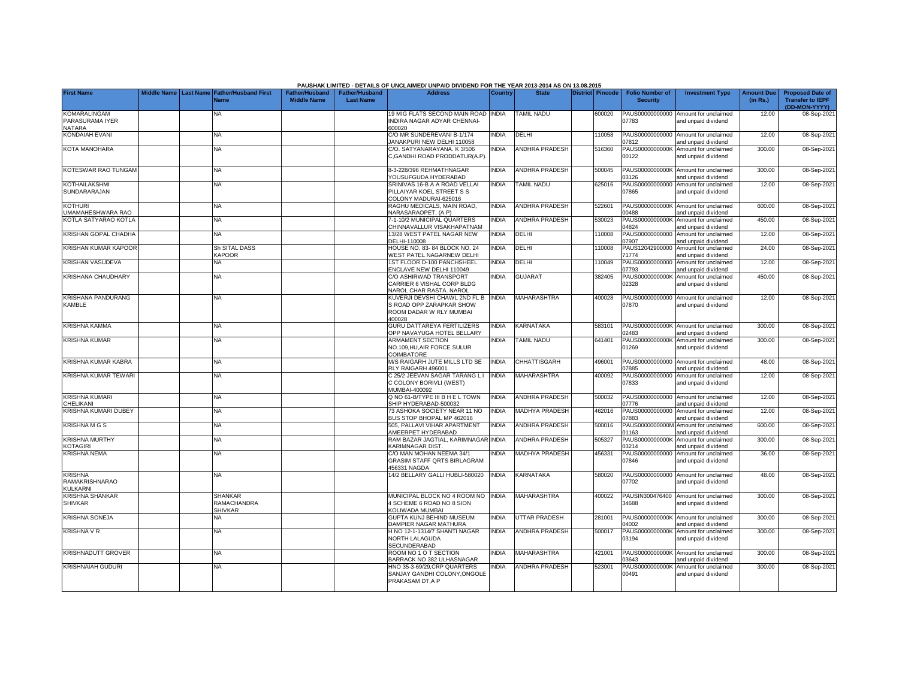|                                                            |                       |                                                 |                       |                       | PAUSHAK LIMITED - DETAILS OF UNCLAIMED/ UNPAID DIVIDEND FOR THE YEAR 2013-2014 AS ON 13.08.2015       |                |                          |                  |                          |                                                             |                   |                                          |
|------------------------------------------------------------|-----------------------|-------------------------------------------------|-----------------------|-----------------------|-------------------------------------------------------------------------------------------------------|----------------|--------------------------|------------------|--------------------------|-------------------------------------------------------------|-------------------|------------------------------------------|
| <b>First Name</b>                                          | Middle Name Last Name | <b>Father/Husband First</b>                     | <b>Father/Husband</b> | <b>Father/Husband</b> | <b>Address</b>                                                                                        | <b>Country</b> | <b>State</b>             | District Pincode | <b>Folio Number of</b>   | <b>Investment Type</b>                                      | <b>Amount Due</b> | <b>Proposed Date of</b>                  |
|                                                            |                       | Name                                            | <b>Middle Name</b>    | <b>Last Name</b>      |                                                                                                       |                |                          |                  | <b>Security</b>          |                                                             | (in Rs.)          | <b>Transfer to IEPF</b><br>(DD-MON-YYYY) |
| <b>KOMARALINGAM</b><br>PARASURAMA IYER                     |                       | ΝA                                              |                       |                       | 19 MIG FLATS SECOND MAIN ROAD INDIA<br>INDIRA NAGAR ADYAR CHENNAI-                                    |                | <b>TAMIL NADU</b>        | 600020           | 07783                    | PAUS00000000000 Amount for unclaimed<br>and unpaid dividend | 12.00             | 08-Sep-202                               |
| <b>NATARA</b><br><b>KONDAIAH EVANI</b>                     |                       | <b>NA</b>                                       |                       |                       | 600020<br>C/O MR SUNDEREVANI B-1/174                                                                  | <b>INDIA</b>   | DELHI                    | 10058            |                          | PAUS00000000000 Amount for unclaimed                        | 12.00             | 08-Sep-202                               |
| KOTA MANOHARA                                              |                       | <b>NA</b>                                       |                       |                       | <b>JANAKPURI NEW DELHI 110058</b><br>C/O. SATYANARAYANA. K 3/506                                      | <b>NDIA</b>    | <b>ANDHRA PRADESH</b>    | 516360           | 17812<br>PAUS0000000000K | hnebivib bironu bne<br>Amount for unclaimed                 | 300.00            | 08-Sep-202                               |
|                                                            |                       |                                                 |                       |                       | C, GANDHI ROAD PRODDATUR(A.P).                                                                        |                |                          |                  | 00122                    | and unpaid dividend                                         |                   |                                          |
| KOTESWAR RAO TUNGAM                                        |                       | <b>NA</b>                                       |                       |                       | 3-3-228/396 REHMATHNAGAR<br>YOUSUFGUDA HYDERABAD                                                      | <b>INDIA</b>   | <b>ANDHRA PRADESH</b>    | 500045           | 03126                    | PAUS0000000000K Amount for unclaimed<br>and unpaid dividend | 300.00            | 08-Sep-202                               |
| <b>KOTHAILAKSHMI</b><br>SUNDARARAJAN                       |                       | <b>NA</b>                                       |                       |                       | SRINIVAS 16-B A A ROAD VELLAI<br>PILLAIYAR KOEL STREET S S<br>COLONY MADURAI-625016                   | <b>INDIA</b>   | <b>TAMIL NADU</b>        | 625016           | PAUS00000000000<br>07865 | Amount for unclaimed<br>and unpaid dividend                 | 12.00             | 08-Sep-202                               |
| <b>KOTHURI</b><br>UMAMAHESHWARA RAO                        |                       | NA                                              |                       |                       | RAGHU MEDICALS, MAIN ROAD,<br><b>NARASARAOPET, (A.P)</b>                                              | <b>INDIA</b>   | <b>ANDHRA PRADESH</b>    | 522601           | PAUS0000000000K<br>00488 | Amount for unclaimed<br>and unpaid dividend                 | 600.00            | 08-Sep-202                               |
| KOTLA SATYARAO KOTLA                                       |                       | <b>NA</b>                                       |                       |                       | 7-1-10/2 MUNICIPAL QUARTERS<br>CHINNAVALLUR VISAKHAPATNAM                                             | <b>INDIA</b>   | <b>ANDHRA PRADESH</b>    | 530023           | PAUS0000000000K<br>04824 | Amount for unclaimed<br>and unpaid dividend                 | 450.00            | 08-Sep-202                               |
| <b>KRISHAN GOPAL CHADHA</b>                                |                       | <b>NA</b>                                       |                       |                       | 13/28 WEST PATEL NAGAR NEW<br><b>DELHI-110008</b>                                                     | <b>INDIA</b>   | DELHI                    | 110008           | PAUS00000000000<br>17907 | Amount for unclaimed<br>hnebivib bironu bne                 | 12.00             | 08-Sep-202                               |
| <b>KRISHAN KUMAR KAPOOR</b>                                |                       | Sh SITAL DASS<br>KAPOOR                         |                       |                       | HOUSE NO. 83-84 BLOCK NO. 24<br>VEST PATEL NAGARNEW DELHI                                             | <b>NDIA</b>    | DELHI                    | 110008           | PAUS12042900000<br>71774 | Amount for unclaimed<br>and unpaid dividend                 | 24.00             | 08-Sep-202                               |
| KRISHAN VASUDEVA                                           |                       | NA                                              |                       |                       | IST FLOOR D-100 PANCHSHEEL<br>ENCLAVE NEW DELHI 110049                                                | <b>INDIA</b>   | DELHI                    | 110049           | PAUS00000000000<br>07793 | Amount for unclaimed<br>and unpaid dividend                 | 12.00             | 08-Sep-202                               |
| <b>KRISHANA CHAUDHARY</b>                                  |                       | <b>NA</b>                                       |                       |                       | C/O ASHIRWAD TRANSPORT<br>CARRIER 6 VISHAL CORP BLDG<br><b>VAROL CHAR RASTA, NAROL</b>                | INDIA          | <b>GUJARAT</b>           | 382405           | PAUS0000000000K<br>02328 | Amount for unclaimed<br>and unpaid dividend                 | 450.00            | 08-Sep-202                               |
| <b>KRISHANA PANDURANG</b><br><b>KAMBLE</b>                 |                       | <b>NA</b>                                       |                       |                       | <b>KUVERJI DEVSHI CHAWL 2ND FL B</b><br>S ROAD OPP ZARAPKAR SHOW<br>ROOM DADAR W RLY MUMBAI<br>400028 | <b>INDIA</b>   | <b>MAHARASHTRA</b>       | 400028           | 07870                    | PAUS00000000000 Amount for unclaimed<br>and unpaid dividend | 12.00             | 08-Sep-202                               |
| <b>KRISHNA KAMMA</b>                                       |                       | <b>NA</b>                                       |                       |                       | GURU DATTAREYA FERTILIZERS<br>OPP NAVAYUGA HOTEL BELLARY                                              | <b>INDIA</b>   | KARNATAKA                | 583101           | 02483                    | PAUS0000000000K Amount for unclaimed<br>and unpaid dividend | 300.00            | 08-Sep-202                               |
| <b>KRISHNA KUMAR</b>                                       |                       | <b>NA</b>                                       |                       |                       | <b>ARMAMENT SECTION</b><br>NO.109, HU, AIR FORCE SULUR<br>COIMBATORE                                  | <b>NDIA</b>    | <b><i>FAMIL NADU</i></b> | 641401           | PAUS0000000000K<br>01269 | Amount for unclaimed<br>and unpaid dividend                 | 300.00            | 08-Sep-2021                              |
| KRISHNA KUMAR KABRA                                        |                       | <b>NA</b>                                       |                       |                       | <b>M/S RAIGARH JUTE MILLS LTD SE</b><br>RLY RAIGARH 496001                                            | <b>INDIA</b>   | CHHATTISGARH             | 496001           | 07885                    | PAUS00000000000 Amount for unclaimed<br>and unpaid dividend | 48.00             | 08-Sep-202                               |
| <b>KRISHNA KUMAR TEWARI</b>                                |                       | <b>NA</b>                                       |                       |                       | 25/2 JEEVAN SAGAR TARANG LI INDIA<br>C COLONY BORIVLI (WEST)<br><b>MUMBAI-400092</b>                  |                | <b>MAHARASHTRA</b>       | 400092           | 07833                    | PAUS00000000000 Amount for unclaimed<br>and unpaid dividend | 12.00             | 08-Sep-2021                              |
| <b>KRISHNA KUMARI</b><br>CHELIKANI                         |                       | <b>NA</b>                                       |                       |                       | Q NO 61-B/TYPE III B H E L TOWN<br>SHIP HYDERABAD-500032                                              | <b>INDIA</b>   | ANDHRA PRADESH           | 500032           | PAUS00000000000<br>7776  | Amount for unclaimed<br>and unpaid dividend                 | 12.00             | 08-Sep-202                               |
| KRISHNA KUMARI DUBEY                                       |                       | <b>NA</b>                                       |                       |                       | 73 ASHOKA SOCIETY NEAR 11 NO<br><b>BUS STOP BHOPAL MP 462016</b>                                      | <b>INDIA</b>   | <b>MADHYA PRADESH</b>    | 462016           | PAUS00000000000<br>07883 | Amount for unclaimed<br>and unpaid dividend                 | 12.00             | 08-Sep-202                               |
| <b>KRISHNAMGS</b>                                          |                       | ΝA                                              |                       |                       | 505, PALLAVI VIHAR APARTMENT<br>AMEERPET HYDERABAD                                                    | <b>INDIA</b>   | <b>ANDHRA PRADESH</b>    | 500016           | 01163                    | PAUS0000000000M Amount for unclaimed<br>and unpaid dividend | 600.00            | 08-Sep-202                               |
| <b>KRISHNA MURTHY</b><br><b>KOTAGIRI</b>                   |                       | <b>NA</b>                                       |                       |                       | RAM BAZAR JAGTIAL, KARIMNAGAR INDIA<br><b>(ARIMNAGAR DIST)</b>                                        |                | <b>ANDHRA PRADESH</b>    | 505327           | PAUS0000000000K<br>03214 | Amount for unclaimed<br>and unpaid dividend                 | 300.00            | 08-Sep-202                               |
| <b>KRISHNA NEMA</b>                                        |                       | <b>NA</b>                                       |                       |                       | C/O MAN MOHAN NEEMA 34/1<br>GRASIM STAFF QRTS BIRLAGRAM<br>456331 NAGDA                               | <b>INDIA</b>   | <b>MADHYA PRADESH</b>    | 456331           | PAUS00000000000<br>07846 | Amount for unclaimed<br>and unpaid dividend                 | 36.00             | 08-Sep-202                               |
| <b>KRISHNA</b><br><b>RAMAKRISHNARAO</b><br><b>KULKARNI</b> |                       | <b>NA</b>                                       |                       |                       | 14/2 BELLARY GALLI HUBLI-580020                                                                       | <b>INDIA</b>   | KARNATAKA                | 580020           | 07702                    | PAUS00000000000 Amount for unclaimed<br>and unpaid dividend | 48.00             | 08-Sep-202                               |
| <b>KRISHNA SHANKAR</b><br><b>SHIVKAR</b>                   |                       | <b>SHANKAR</b><br><b>RAMACHANDRA</b><br>SHIVKAR |                       |                       | MUNICIPAL BLOCK NO 4 ROOM NO INDIA<br><b>1 SCHEME 6 ROAD NO 8 SION</b><br><b>KOLIWADA MUMBAI</b>      |                | MAHARASHTRA              | 400022           | 34688                    | PAUSIN300476400 Amount for unclaimed<br>and unpaid dividend | 300.00            | 08-Sep-202                               |
| <b>KRISHNA SONEJA</b>                                      |                       | NA                                              |                       |                       | GUPTA KUNJ BEHIND MUSEUM<br>DAMPIER NAGAR MATHURA                                                     | INDIA          | UTTAR PRADESH            | 281001           | 04002                    | PAUS0000000000K Amount for unclaimed<br>and unpaid dividend | 300.00            | 08-Sep-202                               |
| <b>KRISHNA V R</b>                                         |                       | NΑ                                              |                       |                       | H NO 12-1-1314/7 SHANTI NAGAR<br>NORTH LALAGUDA<br>SECUNDERABAD                                       | INDIA          | <b>ANDHRA PRADESH</b>    | 500017           | PAUS0000000000K<br>03194 | Amount for unclaimed<br>and unpaid dividend                 | 300.00            | 08-Sep-2021                              |
| <b>KRISHNADUTT GROVER</b>                                  |                       | <b>NA</b>                                       |                       |                       | ROOM NO 1 O T SECTION<br>BARRACK NO 382 ULHASNAGAR                                                    | <b>NDIA</b>    | <b>MAHARASHTRA</b>       | 421001           | PAUS0000000000K<br>03643 | Amount for unclaimed<br>and unpaid dividend                 | 300.00            | 08-Sep-202                               |
| <b>KRISHNAIAH GUDURI</b>                                   |                       | <b>NA</b>                                       |                       |                       | HNO 35-3-69/29, CRP QUARTERS<br>SANJAY GANDHI COLONY, ONGOLE<br>PRAKASAM DT.A P                       | <b>NDIA</b>    | ANDHRA PRADESH           | 523001           | PAUS0000000000K<br>00491 | Amount for unclaimed<br>and unpaid dividend                 | 300.00            | 08-Sep-202                               |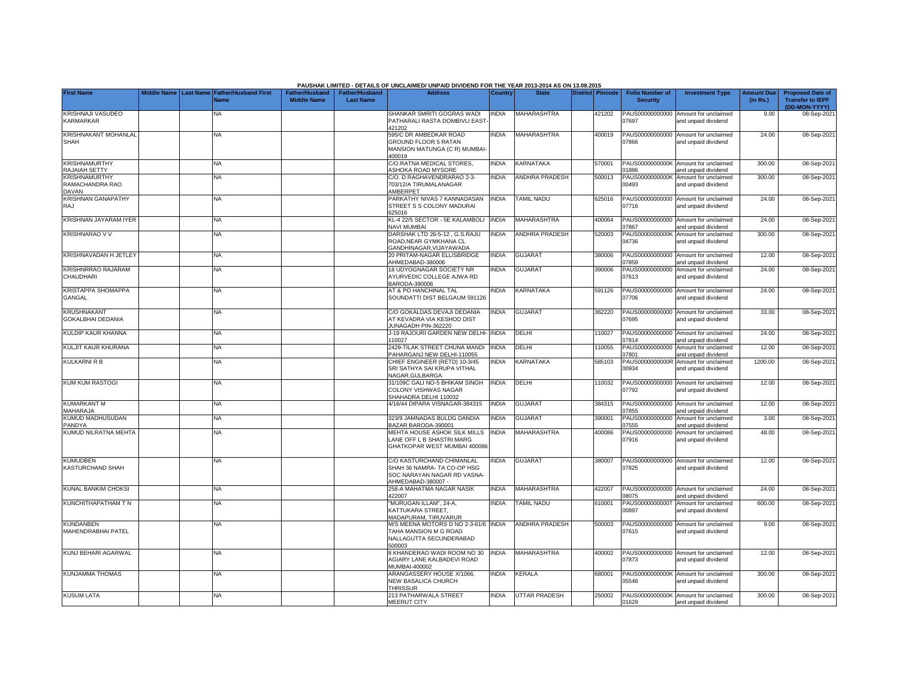|                                                         |                    |                                               |                                             |                                           | PAUSHAK LIMITED - DETAILS OF UNCLAIMED/ UNPAID DIVIDEND FOR THE YEAR 2013-2014 AS ON 13.08.2015               |                |                       |                  |                                           |                                                             |                               |                                                                     |
|---------------------------------------------------------|--------------------|-----------------------------------------------|---------------------------------------------|-------------------------------------------|---------------------------------------------------------------------------------------------------------------|----------------|-----------------------|------------------|-------------------------------------------|-------------------------------------------------------------|-------------------------------|---------------------------------------------------------------------|
| <b>First Name</b>                                       | <b>Middle Name</b> | <b>Last Name Father/Husband First</b><br>Jame | <b>Father/Husband</b><br><b>Middle Name</b> | <b>Father/Husband</b><br><b>Last Name</b> | <b>Address</b>                                                                                                | <b>Country</b> | <b>State</b>          | District Pincode | <b>Folio Number of</b><br><b>Security</b> | <b>Investment Type</b>                                      | <b>Amount Due</b><br>(in Rs.) | <b>Proposed Date of</b><br><b>Transfer to IEPF</b><br>(DD-MON-YYYY) |
| <b>KRISHNAJI VASUDEO</b><br><b>KARMARKAR</b>            |                    | NA.                                           |                                             |                                           | SHANKAR SMRITI GOGRAS WADI<br>PATHARALI RASTA DOMBIVLI EAST<br>121202                                         | <b>NDIA</b>    | MAHARASHTRA           | 421202           | PAUS00000000000<br>)7697                  | Amount for unclaimed<br>and unpaid dividend                 | 9.00                          | 08-Sep-202                                                          |
| <b>KRISHNAKANT MOHANLAL</b><br>SHAH                     |                    | NA                                            |                                             |                                           | 595/C DR AMBEDKAR ROAD<br><b>GROUND FLOOR 5 RATAN</b><br>MANSION MATUNGA (C R) MUMBAI-<br>400019              | <b>INDIA</b>   | MAHARASHTRA           | 400019           | 07866                                     | PAUS00000000000 Amount for unclaimed<br>and unpaid dividend | 24.00                         | 08-Sep-2021                                                         |
| <b>KRISHNAMURTHY</b><br><b>RAJAIAH SETTY</b>            |                    | <b>NA</b>                                     |                                             |                                           | C/O.RATNA MEDICAL STORES.<br><b>ASHOKA ROAD MYSORE</b>                                                        | <b>NDIA</b>    | KARNATAKA             | 570001           | PAUS0000000000K<br>01886                  | Amount for unclaimed<br>and unpaid dividend                 | 300.00                        | 08-Sep-202                                                          |
| <b>KRISHNAMURTHY</b><br>RAMACHANDRA RAO<br><b>DAVAN</b> |                    | <b>NA</b>                                     |                                             |                                           | C/O. D RAGHAVENDRARAO 2-3-<br>703/12/A TIRUMALANAGAR<br><b>AMBERPET</b>                                       | <b>NDIA</b>    | <b>ANDHRA PRADESH</b> | 500013           | PAUS0000000000K<br>00493                  | Amount for unclaimed<br>and unpaid dividend                 | 300.00                        | 08-Sep-2021                                                         |
| <b>KRISHNAN GANAPATHY</b><br><b>RAJ</b>                 |                    | <b>NA</b>                                     |                                             |                                           | PARKATHY NIVAS 7 KANNADASAN<br>STREET S S COLONY MADURAI<br>625016                                            | <b>NDIA</b>    | <b>TAMIL NADU</b>     | 625016           | PAUS00000000000<br>07716                  | Amount for unclaimed<br>and unpaid dividend                 | 24.00                         | 08-Sep-202                                                          |
| <b>KRISHNAN JAYARAM IYER</b>                            |                    | <b>NA</b>                                     |                                             |                                           | KL-4 22/5 SECTOR - 5E KALAMBOLI<br>NAVI MUMBAI                                                                | <b>INDIA</b>   | MAHARASHTRA           | 400064           | PAUS00000000000<br>07867                  | Amount for unclaimed<br>and unpaid dividend                 | 24.00                         | 08-Sep-202                                                          |
| <b>KRISHNARAO V V</b>                                   |                    | <b>NA</b>                                     |                                             |                                           | DARSHAK LTD 26-5-12, G.S.RAJU<br>ROAD, NEAR GYMKHANA CL<br>GANDHINAGAR, VIJAYAWADA                            | <b>NDIA</b>    | <b>ANDHRA PRADESH</b> | 520003           | PAUS0000000000K<br>04736                  | Amount for unclaimed<br>and unpaid dividend                 | 300.00                        | 08-Sep-202                                                          |
| KRISHNAVADAN H JETLEY                                   |                    | NA.                                           |                                             |                                           | 20 PRITAM-NAGAR ELLISBRIDGE<br>AHMEDABAD-380006                                                               | <b>INDIA</b>   | <b>GUJARAT</b>        | 380006           | PAUS00000000000<br>)7859                  | Amount for unclaimed<br>and unpaid dividend                 | 12.00                         | 08-Sep-202                                                          |
| <b>KRISHNRRAO RAJARAM</b><br>CHAUDHARI                  |                    | <b>NA</b>                                     |                                             |                                           | 18 UDYOGNAGAR SOCIETY NR<br>AYURVEDIC COLLEGE AJWA RD<br>BARODA-390006                                        | <b>NDIA</b>    | <b>GUJARAT</b>        | 390006           | PAUS00000000000<br>07613                  | Amount for unclaimed<br>and unpaid dividend                 | 24.00                         | 08-Sep-202                                                          |
| <b>KRISTAPPA SHOMAPPA</b><br>GANGAL                     |                    | NA                                            |                                             |                                           | AT & PO HANCHINAL TAL<br>SOUNDATTI DIST BELGAUM 591126                                                        | <b>NDIA</b>    | KARNATAKA             | 591126           | 07706                                     | PAUS00000000000 Amount for unclaimed<br>and unpaid dividend | 24.00                         | 08-Sep-202                                                          |
| <b>KRUSHNAKANT</b><br><b>GOKALBHAI DEDANIA</b>          |                    | <b>NA</b>                                     |                                             |                                           | C/O GOKALDAS DEVAJI DEDANIA<br>AT KEVADRA VIA KESHOD DIST<br>JUNAGADH PIN-362220                              | <b>INDIA</b>   | <b>GUJARAT</b>        | 362220           | 07695                                     | PAUS00000000000 Amount for unclaimed<br>and unpaid dividend | 33.00                         | 08-Sep-202                                                          |
| KULDIP KAUR KHANNA                                      |                    | <b>NA</b>                                     |                                             |                                           | J-19 RAJOURI GARDEN NEW DELHI- INDIA<br>110027                                                                |                | DELHI                 | 110027           | 07814                                     | PAUS00000000000 Amount for unclaimed<br>and unpaid dividend | 24.00                         | 08-Sep-202                                                          |
| KULJIT KAUR KHURANA                                     |                    | <b>NA</b>                                     |                                             |                                           | 2429-TILAK STREET CHUNA MANDI<br>PAHARGANJ NEW DELHI-110055                                                   | <b>INDIA</b>   | DELHI                 | 110055           | PAUS00000000000<br>07801                  | Amount for unclaimed<br>and unpaid dividend                 | 12.00                         | 08-Sep-202                                                          |
| <b>KULKARNI R B</b>                                     |                    | <b>NA</b>                                     |                                             |                                           | CHIEF ENGINEER (RETD) 10-3/45<br>SRI SATHYA SAI KRUPA VITHAL<br>NAGAR, GULBARGA                               | <b>NDIA</b>    | KARNATAKA             | 585103           | PAUS0000000000R<br>00934                  | Amount for unclaimed<br>and unpaid dividend                 | 1200.00                       | 08-Sep-202                                                          |
| <b>KUM KUM RASTOGI</b>                                  |                    | NA                                            |                                             |                                           | 31/109C GALI NO-5 BHIKAM SINGH<br>COLONY VISHWAS NAGAR<br>SHAHADRA DELHI 110032                               | <b>INDIA</b>   | DELHI                 | 110032           | 07792                                     | PAUS00000000000 Amount for unclaimed<br>and unpaid dividend | 12.00                         | 08-Sep-202                                                          |
| <b>KUMARKANT M</b><br>MAHARAJA                          |                    | <b>NA</b>                                     |                                             |                                           | 4/16/44 DIPARA VISNAGAR-384315                                                                                | <b>INDIA</b>   | GUJARAT               | 384315           | )7855                                     | PAUS00000000000 Amount for unclaimed<br>and unpaid dividend | 12.00                         | 08-Sep-202                                                          |
| KUMUD MADHUSUDAN<br>PANDYA                              |                    | <b>NA</b>                                     |                                             |                                           | 323/9 JAMNADAS BULDG DANDIA<br>BAZAR BARODA-390001                                                            | <b>INDIA</b>   | <b>GUJARAT</b>        | 390001           | PAUS00000000000<br>)7555                  | Amount for unclaimed<br>and unpaid dividend                 | 3.00                          | 08-Sep-202                                                          |
| KUMUD NILRATNA MEHTA                                    |                    | NA.                                           |                                             |                                           | MEHTA HOUSE ASHOK SILK MILLS<br>LANE OFF L B SHASTRI MARG<br>GHATKOPAR WEST MUMBAI 400086                     | <b>INDIA</b>   | <b>MAHARASHTRA</b>    | 400086           | PAUS00000000000<br>07916                  | Amount for unclaimed<br>and unpaid dividend                 | 48.00                         | 08-Sep-202                                                          |
| <b>KUMUDBEN</b><br><b>KASTURCHAND SHAH</b>              |                    | <b>NA</b>                                     |                                             |                                           | C/O KASTURCHAND CHIMANLAL<br>SHAH 36 NAMRA- TA CO-OP HSG<br>SOC NARAYAN NAGAR RD VASNA-<br>AHMEDABAD-380007 - | <b>INDIA</b>   | <b>GUJARAT</b>        | 380007           | PAUS00000000000<br>07825                  | Amount for unclaimed<br>and unpaid dividend                 | 12.00                         | 08-Sep-2021                                                         |
| KUNAL BANKIM CHOKSI                                     |                    | <b>NA</b>                                     |                                             |                                           | 258-A MAHATMA NAGAR NASIK<br>422007                                                                           | <b>NDIA</b>    | MAHARASHTRA           | 422007           | PAUS00000000000<br>8075                   | Amount for unclaimed<br>and unpaid dividend                 | 24.00                         | 08-Sep-202                                                          |
| KUNCHITHAPATHAM T N                                     |                    | <b>NA</b>                                     |                                             |                                           | "MURUGAN ILLAM", 24-A,<br>KATTUKARA STREET.<br>MADAPURAM, TIRUVARUR                                           | <b>INDIA</b>   | <b>TAMIL NADU</b>     | 610001           | PAUS0000000000T<br>00897                  | Amount for unclaimed<br>and unpaid dividend                 | 600.00                        | 08-Sep-2021                                                         |
| <b>KUNDANBEN</b><br>MAHENDRABHAI PATEL                  |                    | <b>NA</b>                                     |                                             |                                           | M/S MEENA MOTORS D NO 2-3-61/6 INDIA<br>TAHA MANSION M G ROAD<br>NALLAGUTTA SECUNDERABAD<br>500003            |                | <b>ANDHRA PRADESH</b> | 500003           | PAUS00000000000<br>07615                  | Amount for unclaimed<br>and unpaid dividend                 | 9.00                          | 08-Sep-2021                                                         |
| KUNJ BEHARI AGARWAL                                     |                    | <b>NA</b>                                     |                                             |                                           | 8 KHANDERAO WADI ROOM NO 30<br>AGIARY LANE KALBADEVI ROAD<br>MUMBAI-400002                                    | <b>INDIA</b>   | <b>MAHARASHTRA</b>    | 400002           | 07873                                     | PAUS00000000000 Amount for unclaimed<br>and unpaid dividend | 12.00                         | 08-Sep-202                                                          |
| <b>KUNJAMMA THOMAS</b>                                  |                    | <b>NA</b>                                     |                                             |                                           | ARANGASSERY HOUSE X/1066,<br><b>NEW BASALICA CHURCH</b><br><b>THRISSUR</b>                                    | <b>NDIA</b>    | KERALA                | 680001           | 05546                                     | PAUS0000000000K Amount for unclaimed<br>and unpaid dividend | 300.00                        | 08-Sep-202                                                          |
| <b>KUSUM LATA</b>                                       |                    | <b>NA</b>                                     |                                             |                                           | 213 PATHARWALA STREET<br><b>MEERUT CITY</b>                                                                   | <b>INDIA</b>   | <b>UTTAR PRADESH</b>  | 250002           | 01629                                     | PAUS0000000000K Amount for unclaimed<br>and unpaid dividend | 300.00                        | 08-Sep-2021                                                         |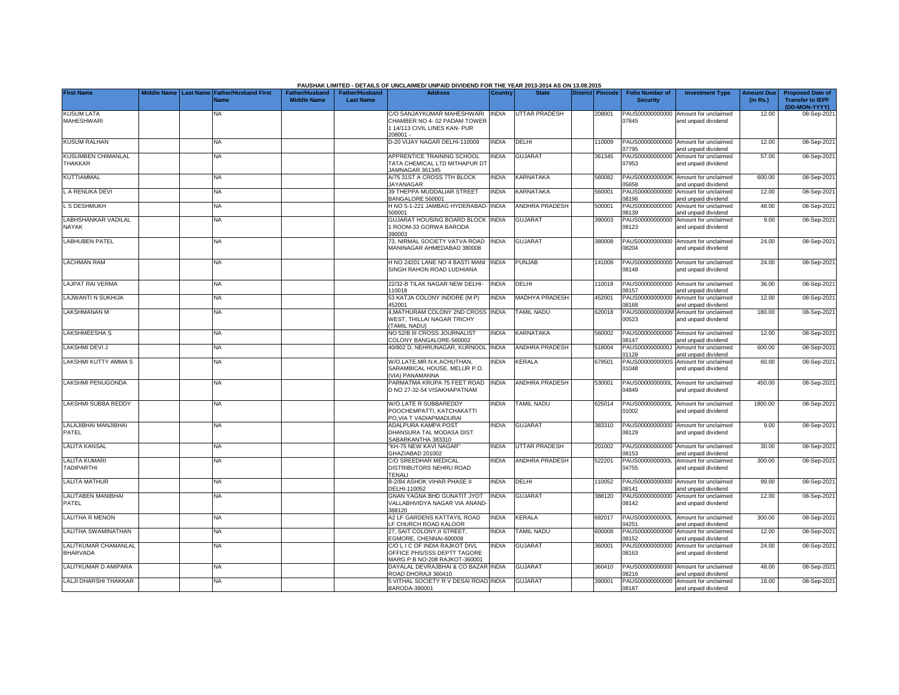|                                           |                    |                  |                             |                       |                       | PAUSHAK LIMITED - DETAILS OF UNCLAIMED/ UNPAID DIVIDEND FOR THE YEAR 2013-2014 AS ON 13.08.2015 |              |                       |                  |                          |                                                             |                   |                                          |
|-------------------------------------------|--------------------|------------------|-----------------------------|-----------------------|-----------------------|-------------------------------------------------------------------------------------------------|--------------|-----------------------|------------------|--------------------------|-------------------------------------------------------------|-------------------|------------------------------------------|
| <b>First Name</b>                         | <b>Middle Name</b> | <b>Last Name</b> | <b>Father/Husband First</b> | <b>Father/Husband</b> | <b>Father/Husband</b> | <b>Address</b>                                                                                  | Country      | <b>State</b>          | District Pincode | <b>Folio Number of</b>   | <b>Investment Type</b>                                      | <b>Amount Due</b> | <b>Proposed Date of</b>                  |
|                                           |                    |                  | Name                        | <b>Middle Name</b>    | <b>Last Name</b>      |                                                                                                 |              |                       |                  | <b>Security</b>          |                                                             | (in Rs.)          | <b>Transfer to IEPF</b><br>(DD-MON-YYYY) |
| <b>KUSUM LATA</b>                         |                    |                  | NA                          |                       |                       | C/O SANJAYKUMAR MAHESHWARI                                                                      | <b>INDIA</b> | UTTAR PRADESH         | 208001           |                          | PAUS00000000000 Amount for unclaimed                        | 12.00             | 08-Sep-202                               |
| <b>MAHESHWARI</b>                         |                    |                  |                             |                       |                       | CHAMBER NO 4-02 PADAM TOWER                                                                     |              |                       |                  | 07845                    | and unpaid dividend                                         |                   |                                          |
|                                           |                    |                  |                             |                       |                       | 114/113 CIVIL LINES KAN- PUR<br>208001-                                                         |              |                       |                  |                          |                                                             |                   |                                          |
| <b>KUSUM RALHAN</b>                       |                    |                  | <b>NA</b>                   |                       |                       | D-20 VIJAY NAGAR DELHI-110009                                                                   | <b>INDIA</b> | DELHI                 | 110009           |                          | PAUS00000000000 Amount for unclaimed                        | 12.00             | 08-Sep-202                               |
|                                           |                    |                  |                             |                       |                       |                                                                                                 |              |                       |                  | 07795                    | and unpaid dividend                                         |                   |                                          |
| <b>KUSUMBEN CHIMANLAL</b><br>THAKKAR      |                    |                  | <b>NA</b>                   |                       |                       | APPRENTICE TRAINING SCHOOL<br>TATA CHEMICAL LTD MITHAPUR DT                                     | <b>NDIA</b>  | <b>GUJARAT</b>        | 361345           | PAUS00000000000<br>07953 | Amount for unclaimed<br>and unpaid dividend                 | 57.00             | 08-Sep-2021                              |
|                                           |                    |                  |                             |                       |                       | JAMNAGAR 361345                                                                                 |              |                       |                  |                          |                                                             |                   |                                          |
| <b>KUTTIAMMAL</b>                         |                    |                  | <b>NA</b>                   |                       |                       | A/75 31ST A CROSS 7TH BLOCK                                                                     | INDIA        | KARNATAKA             | 560082           |                          | PAUS0000000000K Amount for unclaimed                        | 600.00            | 08-Sep-202                               |
| L A RENUKA DEVI                           |                    |                  | <b>NA</b>                   |                       |                       | <b>JAYANAGAR</b><br>39 THEPPA MUDDALIAR STREET                                                  | <b>INDIA</b> | KARNATAKA             | 560001           | 5658                     | and unpaid dividend<br>PAUS00000000000 Amount for unclaimed | 12.00             | 08-Sep-202                               |
|                                           |                    |                  |                             |                       |                       | BANGALORE 560001                                                                                |              |                       |                  | 08196                    | and unpaid dividend                                         |                   |                                          |
| L S DESHMUKH                              |                    |                  | <b>NA</b>                   |                       |                       | H NO 5-1-221 JAMBAG HYDERABAD-<br>500001                                                        | <b>INDIA</b> | ANDHRA PRADESH        | 500001           | PAUS00000000000<br>08139 | Amount for unclaimed                                        | 48.00             | 08-Sep-202                               |
| <b>LABHSHANKAR VADILAL</b>                |                    |                  | <b>NA</b>                   |                       |                       | GUJARAT HOUSING BOARD BLOCK INDIA                                                               |              | <b>GUJARAT</b>        | 390003           | PAUS00000000000          | and unpaid dividend<br>Amount for unclaimed                 | 9.00              | 08-Sep-202                               |
| NAYAK                                     |                    |                  |                             |                       |                       | 1 ROOM-33 GORWA BARODA                                                                          |              |                       |                  | 08123                    | and unpaid dividend                                         |                   |                                          |
|                                           |                    |                  |                             |                       |                       | 390003                                                                                          |              |                       |                  |                          |                                                             |                   |                                          |
| <b>LABHUBEN PATEL</b>                     |                    |                  | <b>NA</b>                   |                       |                       | 73, NIRMAL SOCIETY VATVA ROAD<br>MANINAGAR AHMEDABAD 380008                                     | <b>INDIA</b> | <b>GUJARAT</b>        | 380008           | 08204                    | PAUS00000000000 Amount for unclaimed<br>and unpaid dividend | 24.00             | 08-Sep-202                               |
|                                           |                    |                  |                             |                       |                       |                                                                                                 |              |                       |                  |                          |                                                             |                   |                                          |
| <b>LACHMAN RAM</b>                        |                    |                  | <b>NA</b>                   |                       |                       | H NO 24201 LANE NO 4 BASTI MANI                                                                 | <b>INDIA</b> | <b>PUNJAB</b>         | 141008           |                          | PAUS00000000000 Amount for unclaimed                        | 24.00             | 08-Sep-202                               |
|                                           |                    |                  |                             |                       |                       | SINGH RAHON ROAD LUDHIANA                                                                       |              |                       |                  | 08148                    | and unpaid dividend                                         |                   |                                          |
| <b>LAJPAT RAI VERMA</b>                   |                    |                  | <b>NA</b>                   |                       |                       | 22/32-B TILAK NAGAR NEW DELHI-                                                                  | <b>INDIA</b> | DELHI                 | 110018           |                          | PAUS00000000000 Amount for unclaimed                        | 36.00             | 08-Sep-202                               |
|                                           |                    |                  |                             |                       |                       | 110018                                                                                          |              |                       |                  | 8157                     | and unpaid dividend                                         |                   |                                          |
| LAJWANTI N SUKHIJA                        |                    |                  | <b>NA</b>                   |                       |                       | 53 KATJA COLONY INDORE (M P)<br>452001                                                          | <b>INDIA</b> | <b>MADHYA PRADESH</b> | 452001           | PAUS00000000000<br>08168 | Amount for unclaimed<br>and unpaid dividend                 | 12.00             | 08-Sep-202                               |
| <b>LAKSHMANAN M</b>                       |                    |                  | <b>NA</b>                   |                       |                       | 4, MATHURAM COLONY 2ND CROSS                                                                    | <b>INDIA</b> | <b>TAMIL NADU</b>     | 620018           | PAUS0000000000M          | Amount for unclaimed                                        | 180.00            | 08-Sep-202                               |
|                                           |                    |                  |                             |                       |                       | WEST, THILLAI NAGAR TRICHY                                                                      |              |                       |                  | 00523                    | and unpaid dividend                                         |                   |                                          |
| <b>LAKSHMEESHA S</b>                      |                    |                  | <b>NA</b>                   |                       |                       | <b>TAMIL NADU)</b><br>NO 52/B III CROSS JOURNALIST                                              | <b>INDIA</b> | KARNATAKA             | 560002           |                          | PAUS00000000000 Amount for unclaimed                        | 12.00             | 08-Sep-202                               |
|                                           |                    |                  |                             |                       |                       | COLONY BANGALORE-560002                                                                         |              |                       |                  | 08147                    | and unpaid dividend                                         |                   |                                          |
| <b>LAKSHMI DEVI J</b>                     |                    |                  | <b>NA</b>                   |                       |                       | 40/802 D, NEHRUNAGAR, KURNOOL INDIA                                                             |              | <b>ANDHRA PRADESH</b> | 518004           | PAUS0000000000J          | Amount for unclaimed                                        | 600.00            | 08-Sep-202                               |
| <b>LAKSHMI KUTTY AMMA S</b>               |                    |                  | <b>NA</b>                   |                       |                       | W/O.LATE.MR.N.K.ACHUTHAN.                                                                       | <b>NDIA</b>  | KERALA                | 679501           | 01128<br>PAUS0000000000S | and unpaid dividend<br>Amount for unclaimed                 | 60.00             | 08-Sep-202                               |
|                                           |                    |                  |                             |                       |                       | SARAMBICAL HOUSE, MELUR P.O.                                                                    |              |                       |                  | 01048                    | and unpaid dividend                                         |                   |                                          |
|                                           |                    |                  |                             |                       |                       | (VIA) PANAMANNA                                                                                 |              |                       |                  |                          |                                                             |                   |                                          |
| LAKSHMI PENUGONDA                         |                    |                  | <b>NA</b>                   |                       |                       | PARMATMA KRUPA 75 FEET ROAD<br>D NO 27-32-54 VISAKHAPATNAM                                      | <b>INDIA</b> | <b>ANDHRA PRADESH</b> | 530001           | 04849                    | PAUS0000000000L Amount for unclaimed<br>and unpaid dividend | 450.00            | 08-Sep-202                               |
|                                           |                    |                  |                             |                       |                       |                                                                                                 |              |                       |                  |                          |                                                             |                   |                                          |
| LAKSHMI SUBBA REDDY                       |                    |                  | <b>NA</b>                   |                       |                       | W/O.LATE R SUBBAREDDY<br>POOCHEMPATTI, KATCHAKATTI                                              | <b>NDIA</b>  | TAMIL NADU            | 625014           | PAUS0000000000L<br>01002 | Amount for unclaimed                                        | 1800.00           | 08-Sep-202                               |
|                                           |                    |                  |                             |                       |                       | PO, VIA T VADIAPMADURAI                                                                         |              |                       |                  |                          | and unpaid dividend                                         |                   |                                          |
| LALAJIBHAI MANJIBHAI                      |                    |                  | NA                          |                       |                       | ADALPURA KAMPA POST                                                                             | <b>INDIA</b> | <b>GUJARAT</b>        | 383310           |                          | PAUS00000000000 Amount for unclaimed                        | 9.00              | 08-Sep-202                               |
| PATEL                                     |                    |                  |                             |                       |                       | DHANSURA TAL MODASA DIST<br>SABARKANTHA 383310                                                  |              |                       |                  | 08129                    | and unpaid dividend                                         |                   |                                          |
| <b>LALITA KANSAL</b>                      |                    |                  | <b>NA</b>                   |                       |                       | "KH-75 NEW KAVI NAGAR"                                                                          | <b>INDIA</b> | UTTAR PRADESH         | 201002           |                          | PAUS00000000000 Amount for unclaimed                        | 30.00             | 08-Sep-202                               |
|                                           |                    |                  |                             |                       |                       | GHAZIABAD 201002                                                                                |              |                       |                  | 08153                    | and unpaid dividend                                         |                   |                                          |
| <b>LALITA KUMARI</b><br><b>TADIPARTHI</b> |                    |                  | <b>NA</b>                   |                       |                       | C/O SREEDHAR MEDICAL<br>DISTRIBUTORS NEHRU ROAD                                                 | <b>INDIA</b> | <b>ANDHRA PRADESH</b> | 522201           | PAUS0000000000L<br>04755 | Amount for unclaimed<br>and unpaid dividend                 | 300.00            | 08-Sep-202                               |
|                                           |                    |                  |                             |                       |                       | <b>TENALI</b>                                                                                   |              |                       |                  |                          |                                                             |                   |                                          |
| <b>LALITA MATHUR</b>                      |                    |                  | <b>NA</b>                   |                       |                       | B-2/84 ASHOK VIHAR PHASE II                                                                     | <b>INDIA</b> | DELHI                 | 110052           |                          | PAUS00000000000 Amount for unclaimed                        | 99.00             | 08-Sep-202                               |
| <b>LALITABEN MANIBHAI</b>                 |                    |                  | <b>NA</b>                   |                       |                       | DELHI-110052<br><b>GNAN YAGNA BHD GUNATIT JYOT</b>                                              | <b>INDIA</b> | <b>GUJARAT</b>        | 388120           | 08141<br>PAUS00000000000 | and unpaid dividend<br>Amount for unclaimed                 | 12.00             | 08-Sep-202                               |
| PATEL                                     |                    |                  |                             |                       |                       | VALLABHVIDYA NAGAR VIA ANAND-                                                                   |              |                       |                  | 08142                    | and unpaid dividend                                         |                   |                                          |
|                                           |                    |                  |                             |                       |                       | 388120                                                                                          |              |                       |                  |                          |                                                             |                   |                                          |
| LALITHA R MENON                           |                    |                  | NA                          |                       |                       | A2 LF GARDENS KATTAYIL ROAD<br>LF CHURCH ROAD KALOOR                                            | <b>INDIA</b> | KERALA                | 682017           | PAUS0000000000L<br>14251 | Amount for unclaimed<br>and unpaid dividend                 | 300.00            | 08-Sep-202                               |
| LALITHA SWAMINATHAN                       |                    |                  | <b>NA</b>                   |                       |                       | 27, SAIT COLONY, II STREET,                                                                     | <b>INDIA</b> | <b>TAMIL NADU</b>     | 600008           |                          | PAUS00000000000 Amount for unclaimed                        | 12.00             | 08-Sep-202                               |
|                                           |                    |                  |                             |                       |                       | EGMORE, CHENNAI-600008                                                                          |              |                       |                  | 08152                    | and unpaid dividend                                         |                   |                                          |
| LALITKUMAR CHAMANLAL<br><b>BHARVADA</b>   |                    |                  | <b>NA</b>                   |                       |                       | C/O L I C OF INDIA RAJKOT DIVL<br>OFFICE PHS/SSS DEPTT TAGORE                                   | <b>INDIA</b> | <b>GUJARAT</b>        | 360001           | PAUS00000000000<br>08163 | Amount for unclaimed<br>and unpaid dividend                 | 24.00             | 08-Sep-2021                              |
|                                           |                    |                  |                             |                       |                       | MARG P B NO-208 RAJKOT-360001                                                                   |              |                       |                  |                          |                                                             |                   |                                          |
| LALITKUMAR D AMIPARA                      |                    |                  | <b>NA</b>                   |                       |                       | DAYALAL DEVRAJBHAI & CO BAZAR INDIA                                                             |              | <b>GUJARAT</b>        | 360410           |                          | PAUS00000000000 Amount for unclaimed                        | 48.00             | 08-Sep-202                               |
| <b>LALJI DHARSHI THAKKAR</b>              |                    |                  | <b>NA</b>                   |                       |                       | ROAD DHORAJI 360410<br>5 VITHAL SOCIETY R V DESAI ROAD INDIA                                    |              | GUJARAT               | 390001           | 08216                    | and unpaid dividend<br>PAUS00000000000 Amount for unclaimed | 18.00             | 08-Sep-2021                              |
|                                           |                    |                  |                             |                       |                       | BARODA-390001                                                                                   |              |                       |                  | 08187                    | and unpaid dividend                                         |                   |                                          |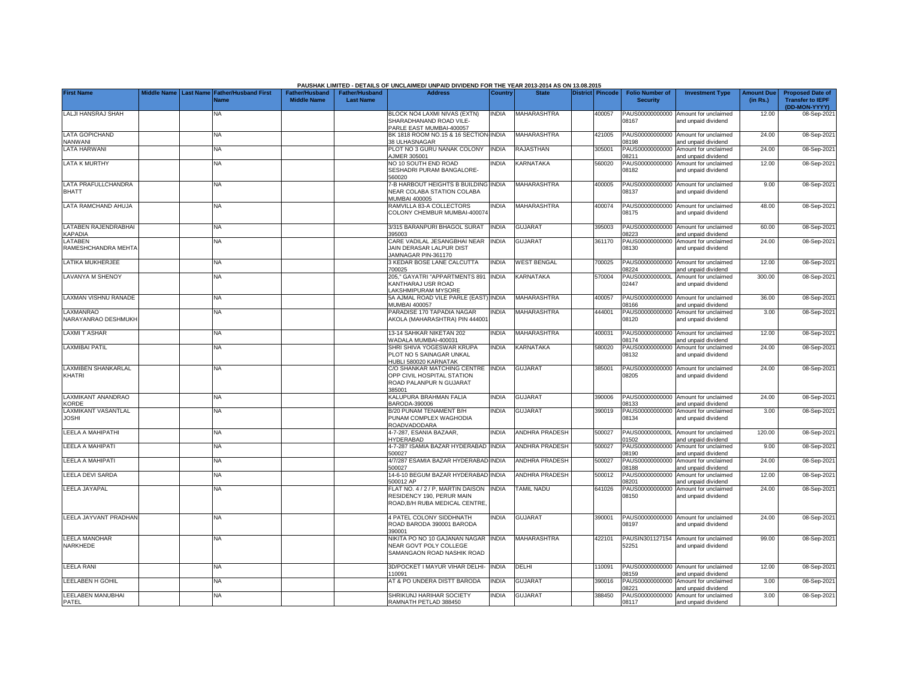|                                         |  |                                                    |                                             |                                           | PAUSHAK LIMITED - DETAILS OF UNCLAIMED/ UNPAID DIVIDEND FOR THE YEAR 2013-2014 AS ON 13.08.2015      |                |                       |                  |                                           |                                                             |                               |                                                                     |
|-----------------------------------------|--|----------------------------------------------------|---------------------------------------------|-------------------------------------------|------------------------------------------------------------------------------------------------------|----------------|-----------------------|------------------|-------------------------------------------|-------------------------------------------------------------|-------------------------------|---------------------------------------------------------------------|
| <b>First Name</b>                       |  | Middle Name Last Name Father/Husband First<br>Name | <b>Father/Husband</b><br><b>Middle Name</b> | <b>Father/Husband</b><br><b>Last Name</b> | <b>Address</b>                                                                                       | <b>Country</b> | <b>State</b>          | District Pincode | <b>Folio Number of</b><br><b>Security</b> | <b>Investment Type</b>                                      | <b>Amount Due</b><br>(in Rs.) | <b>Proposed Date of</b><br><b>Transfer to IEPF</b><br>(DD-MON-YYYY) |
| LALJI HANSRAJ SHAH                      |  | NA                                                 |                                             |                                           | <b>BLOCK NO4 LAXMI NIVAS (EXTN)</b><br>SHARADHANAND ROAD VILE-<br>PARLE EAST MUMBAI-400057           | INDIA          | MAHARASHTRA           | 400057           | PAUS00000000000<br>08167                  | Amount for unclaimed<br>and unpaid dividend                 | 12.00                         | 08-Sep-202                                                          |
| <b>LATA GOPICHAND</b><br><b>NANWANI</b> |  | <b>NA</b>                                          |                                             |                                           | BK 1818 ROOM NO.15 & 16 SECTION INDIA<br><b>38 ULHASNAGAR</b>                                        |                | <b>MAHARASHTRA</b>    | 421005           | PAUS00000000000<br>8198                   | Amount for unclaimed<br>nd unpaid dividend                  | 24.00                         | 08-Sep-202                                                          |
| <b>LATA HARWANI</b>                     |  | <b>NA</b>                                          |                                             |                                           | PLOT NO 3 GURU NANAK COLONY<br><b>JMER 305001</b>                                                    | <b>INDIA</b>   | RAJASTHAN             | 305001           | PAUS00000000000<br>08211                  | Amount for unclaimed<br>and unpaid dividend                 | 24.00                         | 08-Sep-202                                                          |
| <b>LATA K MURTHY</b>                    |  | NA                                                 |                                             |                                           | NO 10 SOUTH END ROAD<br>SESHADRI PURAM BANGALORE-<br>560020                                          | <b>NDIA</b>    | <b>KARNATAKA</b>      | 560020           | PAUS00000000000<br>08182                  | Amount for unclaimed<br>and unpaid dividend                 | 12.00                         | 08-Sep-2021                                                         |
| LATA PRAFULLCHANDRA<br><b>BHATT</b>     |  | NA                                                 |                                             |                                           | -B HARBOUT HEIGHTS B BUILDING INDIA<br>NEAR COLABA STATION COLABA<br><b>JUMBAI 400005</b>            |                | <b>MAHARASHTRA</b>    | 400005           | PAUS00000000000<br>08137                  | Amount for unclaimed<br>and unpaid dividend                 | 9.00                          | 08-Sep-202                                                          |
| LATA RAMCHAND AHUJA                     |  | NA                                                 |                                             |                                           | RAMVILLA 83-A COLLECTORS<br>COLONY CHEMBUR MUMBAI-40007                                              | <b>NDIA</b>    | MAHARASHTRA           | 400074           | PAUS00000000000<br>08175                  | Amount for unclaimed<br>and unpaid dividend                 | 48.00                         | 08-Sep-202                                                          |
| LATABEN RAJENDRABHAI<br><b>KAPADIA</b>  |  | NA                                                 |                                             |                                           | 3/315 BARANPURI BHAGOL SURAT<br>395003                                                               | <b>INDIA</b>   | <b>GUJARAT</b>        | 395003           | PAUS00000000000<br>8223                   | Amount for unclaimed<br>and unpaid dividend                 | 60.00                         | 08-Sep-202                                                          |
| <b>LATABEN</b><br>RAMESHCHANDRA MEHTA   |  | NA                                                 |                                             |                                           | CARE VADILAL JESANGBHAI NEAR<br>JAIN DERASAR LALPUR DIST<br>JAMNAGAR PIN-361170                      | <b>INDIA</b>   | <b>GUJARAT</b>        | 361170           | PAUS00000000000<br>08130                  | Amount for unclaimed<br>and unpaid dividend                 | 24.00                         | 08-Sep-202                                                          |
| LATIKA MUKHERJEE                        |  | NA                                                 |                                             |                                           | <b>B KEDAR BOSE LANE CALCUTTA</b><br>700025                                                          | <b>INDIA</b>   | <b>WEST BENGAL</b>    | 700025           | 8224                                      | PAUS00000000000 Amount for unclaimed<br>and unpaid dividend | 12.00                         | 08-Sep-202                                                          |
| <b>LAVANYA M SHENOY</b>                 |  | NA                                                 |                                             |                                           | 205," GAYATRI "APPARTMENTS 891<br>KANTHARAJ USR ROAD<br>AKSHMIPURAM MYSORE                           | <b>INDIA</b>   | KARNATAKA             | 570004           | PAUS0000000000L<br>02447                  | Amount for unclaimed<br>and unpaid dividend                 | 300.00                        | 08-Sep-202                                                          |
| LAXMAN VISHNU RANADE                    |  | ΝA                                                 |                                             |                                           | 5A AJMAL ROAD VILE PARLE (EAST) INDIA<br>MUMBAI 400057                                               |                | MAHARASHTRA           | 400057           | 08166                                     | PAUS00000000000 Amount for unclaimed<br>and unpaid dividend | 36.00                         | 08-Sep-202                                                          |
| LAXMANRAO<br>NARAYANRAO DESHMUKH        |  | NA                                                 |                                             |                                           | PARADISE 170 TAPADIA NAGAR<br>AKOLA (MAHARASHTRA) PIN 444001                                         | INDIA          | <b>MAHARASHTRA</b>    | 444001           | PAUS00000000000<br>08120                  | Amount for unclaimed<br>and unpaid dividend                 | 3.00                          | 08-Sep-202                                                          |
| <b>LAXMI T ASHAR</b>                    |  | NA                                                 |                                             |                                           | 13-14 SAHKAR NIKETAN 202<br>VADALA MUMBAI-400031                                                     | <b>INDIA</b>   | MAHARASHTRA           | 400031           | 08174                                     | PAUS00000000000 Amount for unclaimed<br>and unpaid dividend | 12.00                         | 08-Sep-202                                                          |
| <b>LAXMIBAI PATIL</b>                   |  | ΝA                                                 |                                             |                                           | SHRI SHIVA YOGESWAR KRUPA<br>PLOT NO 5 SAINAGAR UNKAL<br>HUBLI 580020 KARNATAK                       | INDIA          | KARNATAKA             | 580020           | PAUS00000000000<br>08132                  | Amount for unclaimed<br>and unpaid dividend                 | 24.00                         | 08-Sep-2021                                                         |
| LAXMIBEN SHANKARLAL<br><b>KHATRI</b>    |  | NΑ                                                 |                                             |                                           | C/O SHANKAR MATCHING CENTRE INDIA<br>OPP CIVIL HOSPITAL STATION<br>ROAD PALANPUR N GUJARAT<br>385001 |                | <b>GUJARAT</b>        | 385001           | 08205                                     | PAUS00000000000 Amount for unclaimed<br>and unpaid dividend | 24.00                         | 08-Sep-2021                                                         |
| LAXMIKANT ANANDRAO<br>KORDE             |  | ΝA                                                 |                                             |                                           | KALUPURA BRAHMAN FALIA<br>3ARODA-390006                                                              | <b>INDIA</b>   | <b>GUJARAT</b>        | 390006           | 8133                                      | PAUS00000000000 Amount for unclaimed<br>and unpaid dividend | 24.00                         | 08-Sep-202                                                          |
| LAXMIKANT VASANTLAL<br><b>JOSHI</b>     |  | NA                                                 |                                             |                                           | 3/20 PUNAM TENAMENT B/H<br>PUNAM COMPLEX WAGHODIA<br>ROADVADODARA                                    | INDIA          | <b>GUJARAT</b>        | 390019           | 08134                                     | PAUS00000000000 Amount for unclaimed<br>and unpaid dividend | 3.00                          | 08-Sep-2021                                                         |
| LEELA A MAHIPATHI                       |  | NA                                                 |                                             |                                           | 4-7-287, ESANIA BAZAAR,<br><b>IYDERABAD</b>                                                          | <b>INDIA</b>   | <b>ANDHRA PRADESH</b> | 500027           | 1502                                      | PAUS0000000000L Amount for unclaimed<br>and unpaid dividend | 120.00                        | 08-Sep-202                                                          |
| LEELA A MAHIPATI                        |  | ΝA                                                 |                                             |                                           | 4-7-287 ISAMIA BAZAR HYDERABAD INDIA<br>500027                                                       |                | ANDHRA PRADESH        | 500027           | PAUS00000000000<br>08190                  | Amount for unclaimed<br>and unpaid dividend                 | 9.00                          | 08-Sep-202                                                          |
| <b>LEELA A MAHIPATI</b>                 |  | <b>NA</b>                                          |                                             |                                           | 4/7/287 ESAMIA BAZAR HYDERABAD INDIA<br>500027                                                       |                | <b>ANDHRA PRADESH</b> | 500027           | PAUS00000000000<br>8188                   | Amount for unclaimed<br>and unpaid dividend                 | 24.00                         | 08-Sep-202                                                          |
| <b>LEELA DEVI SARDA</b>                 |  | <b>NA</b>                                          |                                             |                                           | 14-6-10 BEGUM BAZAR HYDERABAD<br>500012 AP                                                           | <b>INDIA</b>   | <b>ANDHRA PRADESH</b> | 500012           | PAUS00000000000<br>8201                   | Amount for unclaimed<br>and unpaid dividend                 | 12.00                         | 08-Sep-202                                                          |
| <b>LEELA JAYAPAL</b>                    |  | NA                                                 |                                             |                                           | FLAT NO. 4 / 2 / P. MARTIN DAISON<br>RESIDENCY 190, PERUR MAIN<br>ROAD.B/H RUBA MEDICAL CENTRE       | <b>INDIA</b>   | <b>TAMIL NADU</b>     | 641026           | PAUS00000000000<br>08150                  | Amount for unclaimed<br>and unpaid dividend                 | 24.00                         | 08-Sep-202                                                          |
| LEELA JAYVANT PRADHAN                   |  | NA                                                 |                                             |                                           | <b>I PATEL COLONY SIDDHNATH</b><br>ROAD BARODA 390001 BARODA<br>390001                               | <b>NDIA</b>    | <b>GUJARAT</b>        | 390001           | PAUS00000000000<br>08197                  | Amount for unclaimed<br>and unpaid dividend                 | 24.00                         | 08-Sep-202                                                          |
| <b>LEELA MANOHAR</b><br>NARKHEDE        |  | NA                                                 |                                             |                                           | NIKITA PO NO 10 GAJANAN NAGAR<br>NEAR GOVT POLY COLLEGE<br>SAMANGAON ROAD NASHIK ROAD                | <b>INDIA</b>   | <b>MAHARASHTRA</b>    | 422101           | PAUSIN301127154<br>52251                  | Amount for unclaimed<br>and unpaid dividend                 | 99.00                         | 08-Sep-2021                                                         |
| <b>LEELA RANI</b>                       |  | NA                                                 |                                             |                                           | 3D/POCKET I MAYUR VIHAR DELHI-<br>10091                                                              | <b>INDIA</b>   | DELHI                 | 110091           | 8159                                      | PAUS00000000000 Amount for unclaimed<br>and unpaid dividend | 12.00                         | 08-Sep-202                                                          |
| <b>LEELABEN H GOHIL</b>                 |  | NA                                                 |                                             |                                           | AT & PO UNDERA DISTT BARODA                                                                          | <b>NDIA</b>    | GUJARAT               | 390016           | PAUS00000000000<br>08221                  | Amount for unclaimed<br>and unpaid dividend                 | 3.00                          | 08-Sep-202                                                          |
| LEELABEN MANUBHAI<br>PATEL              |  | <b>NA</b>                                          |                                             |                                           | SHRIKUNJ HARIHAR SOCIETY<br>RAMNATH PETLAD 388450                                                    | INDIA          | <b>GUJARAT</b>        | 388450           | 08117                                     | PAUS00000000000 Amount for unclaimed<br>and unpaid dividend | 3.00                          | 08-Sep-2021                                                         |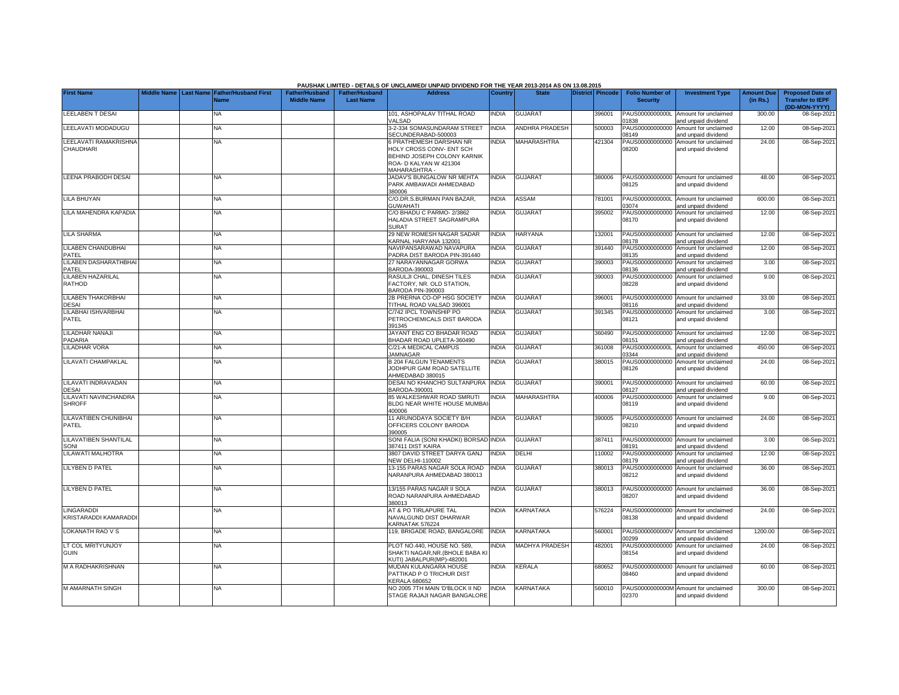|                                            |             |           |                                            |                                      |                                           | PAUSHAK LIMITED - DETAILS OF UNCLAIMED/ UNPAID DIVIDEND FOR THE YEAR 2013-2014 AS ON 13.08.2015                                      |              |                       |                  |                                           |                                                             |                               |                                                                     |
|--------------------------------------------|-------------|-----------|--------------------------------------------|--------------------------------------|-------------------------------------------|--------------------------------------------------------------------------------------------------------------------------------------|--------------|-----------------------|------------------|-------------------------------------------|-------------------------------------------------------------|-------------------------------|---------------------------------------------------------------------|
| <b>First Name</b>                          | Middle Name | Last Name | <b>Father/Husband First</b><br><b>Name</b> | Father/Husband<br><b>Middle Name</b> | <b>Father/Husband</b><br><b>Last Name</b> | <b>Address</b>                                                                                                                       | Country      | <b>State</b>          | District Pincode | <b>Folio Number of</b><br><b>Security</b> | <b>Investment Type</b>                                      | <b>Amount Due</b><br>(in Rs.) | <b>Proposed Date of</b><br><b>Transfer to IEPF</b><br>(DD-MON-YYYY) |
| <b>LEELABEN T DESAI</b>                    |             | <b>NA</b> |                                            |                                      |                                           | 101, ASHOPALAV TITHAL ROAD<br>VALSAD                                                                                                 | <b>INDIA</b> | <b>GUJARAT</b>        | 396001           | PAUS0000000000L<br>01838                  | Amount for unclaimed<br>and unpaid dividend                 | 300.00                        | 08-Sep-2021                                                         |
| LEELAVATI MODADUGU                         |             | <b>NA</b> |                                            |                                      |                                           | 3-2-334 SOMASUNDARAM STREET<br>SECUNDERABAD-500003                                                                                   | <b>INDIA</b> | <b>ANDHRA PRADESH</b> | 500003           | PAUS00000000000<br>08149                  | Amount for unclaimed<br>and unpaid dividend                 | 12.00                         | 08-Sep-2021                                                         |
| LEELAVATI RAMAKRISHNA<br><b>CHAUDHARI</b>  |             | NA        |                                            |                                      |                                           | <b>6 PRATHEMESH DARSHAN NR</b><br>HOLY CROSS CONV- ENT SCH<br>BEHIND JOSEPH COLONY KARNIK<br>ROA- D KALYAN W 421304<br>MAHARASHTRA - | <b>INDIA</b> | <b>MAHARASHTRA</b>    | 421304           | PAUS00000000000<br>08200                  | Amount for unclaimed<br>and unpaid dividend                 | 24.00                         | 08-Sep-2021                                                         |
| <b>LEENA PRABODH DESAI</b>                 |             | NA        |                                            |                                      |                                           | JADAV'S BUNGALOW NR MEHTA<br>PARK AMBAWADI AHMEDABAD<br>380006                                                                       | <b>INDIA</b> | <b>GUJARAT</b>        | 380006           | 08125                                     | PAUS00000000000 Amount for unclaimed<br>and unpaid dividend | 48.00                         | 08-Sep-2021                                                         |
| <b>LILA BHUYAN</b>                         |             | <b>NA</b> |                                            |                                      |                                           | C/O.DR.S.BURMAN PAN BAZAR,<br><b>GUWAHATI</b>                                                                                        | <b>NDIA</b>  | ASSAM                 | 781001           | PAUS0000000000L<br>03074                  | Amount for unclaimed<br>and unpaid dividend                 | 600.00                        | 08-Sep-2021                                                         |
| LILA MAHENDRA KAPADIA                      |             | NA        |                                            |                                      |                                           | C/O BHADU C PARMO-2/3862<br>HALADIA STREET SAGRAMPURA<br>SURAT                                                                       | <b>NDIA</b>  | <b>GUJARAT</b>        | 395002           | PAUS00000000000<br>08170                  | Amount for unclaimed<br>and unpaid dividend                 | 12.00                         | 08-Sep-2021                                                         |
| <b>LILA SHARMA</b>                         |             | NA        |                                            |                                      |                                           | 29 NEW ROMESH NAGAR SADAR<br>KARNAL HARYANA 132001                                                                                   | INDIA        | <b>HARYANA</b>        | 132001           | PAUS00000000000<br>08178                  | Amount for unclaimed<br>and unpaid dividend                 | 12.00                         | 08-Sep-2021                                                         |
| LILABEN CHANDUBHAI<br>PATEL                |             | ΝA        |                                            |                                      |                                           | NAVIPANSARAWAD NAVAPURA<br>PADRA DIST BARODA PIN-391440                                                                              | <b>INDIA</b> | <b>GUJARAT</b>        | 391440           | PAUS00000000000<br>08135                  | Amount for unclaimed<br>and unpaid dividend                 | 12.00                         | 08-Sep-2021                                                         |
| LILABEN DASHARATHBHAI<br>PATEL             |             | <b>NA</b> |                                            |                                      |                                           | 27 NARAYANNAGAR GORWA<br>BARODA-390003                                                                                               | <b>INDIA</b> | <b>GUJARAT</b>        | 390003           | PAUS00000000000<br>08136                  | Amount for unclaimed<br>and unpaid dividend                 | 3.00                          | 08-Sep-2021                                                         |
| <b>LILABEN HAZARILAL</b><br><b>RATHOD</b>  |             | <b>NA</b> |                                            |                                      |                                           | RASULJI CHAL, DINESH TILES<br>FACTORY, NR. OLD STATION.<br><b>BARODA PIN-390003</b>                                                  | <b>INDIA</b> | <b>GUJARAT</b>        | 390003           | PAUS00000000000<br>08228                  | Amount for unclaimed<br>and unpaid dividend                 | 9.00                          | 08-Sep-2021                                                         |
| <b>LILABEN THAKORBHAI</b><br><b>DESAI</b>  |             | <b>NA</b> |                                            |                                      |                                           | 2B PRERNA CO-OP HSG SOCIETY<br>TITHAL ROAD VALSAD 396001                                                                             | <b>NDIA</b>  | <b>GUJARAT</b>        | 396001           | PAUS00000000000<br>08116                  | Amount for unclaimed<br>and unpaid dividend                 | 33.00                         | 08-Sep-2021                                                         |
| LILABHAI ISHVARBHAI<br>PATEL               |             | <b>NA</b> |                                            |                                      |                                           | C/742 IPCL TOWNSHIP PO<br>PETROCHEMICALS DIST BARODA<br>391345                                                                       | <b>NDIA</b>  | <b>GUJARAT</b>        | 391345           | PAUS00000000000<br>08121                  | Amount for unclaimed<br>and unpaid dividend                 | 3.00                          | 08-Sep-2021                                                         |
| LILADHAR NANAJI<br>PADARIA                 |             | <b>NA</b> |                                            |                                      |                                           | JAYANT ENG CO BHADAR ROAD<br>BHADAR ROAD UPLETA-360490                                                                               | <b>INDIA</b> | <b>GUJARAT</b>        | 360490           | PAUS00000000000<br>08151                  | Amount for unclaimed<br>and unpaid dividend                 | 12.00                         | 08-Sep-2021                                                         |
| <b>LILADHAR VORA</b>                       |             | NA        |                                            |                                      |                                           | C/21-A MEDICAL CAMPUS<br><b>JAMNAGAR</b>                                                                                             | <b>INDIA</b> | <b>GUJARAT</b>        | 361008           | PAUS0000000000L<br>03344                  | Amount for unclaimed<br>nd unpaid dividend                  | 450.00                        | 08-Sep-2021                                                         |
| <b>LILAVATI CHAMPAKLAL</b>                 |             | <b>NA</b> |                                            |                                      |                                           | <b>B 204 FALGUN TENAMENTS</b><br>JODHPUR GAM ROAD SATELLITE<br>AHMEDABAD 380015                                                      | <b>NDIA</b>  | <b>GUJARAT</b>        | 380015           | PAUS00000000000<br>08126                  | Amount for unclaimed<br>and unpaid dividend                 | 24.00                         | 08-Sep-2021                                                         |
| LILAVATI INDRAVADAN<br><b>DESAI</b>        |             | NA        |                                            |                                      |                                           | DESAI NO KHANCHO SULTANPURA<br>BARODA-390001                                                                                         | <b>INDIA</b> | <b>GUJARAT</b>        | 390001           | PAUS00000000000<br>08127                  | Amount for unclaimed<br>and unpaid dividend                 | 60.00                         | 08-Sep-2021                                                         |
| LILAVATI NAVINCHANDRA<br><b>SHROFF</b>     |             | NA        |                                            |                                      |                                           | 85 WALKESHWAR ROAD SMRUTI<br>BLDG NEAR WHITE HOUSE MUMBA<br>400006                                                                   | <b>NDIA</b>  | <b>MAHARASHTRA</b>    | 400006           | PAUS00000000000<br>08119                  | Amount for unclaimed<br>and unpaid dividend                 | 9.00                          | 08-Sep-2021                                                         |
| LILAVATIBEN CHUNIBHAI<br>PATEL             |             | NΑ        |                                            |                                      |                                           | 11 ARUNODAYA SOCIETY B/H<br>OFFICERS COLONY BARODA<br>390005                                                                         | <b>NDIA</b>  | <b>GUJARAT</b>        | 390005           | PAUS00000000000<br>08210                  | Amount for unclaimed<br>and unpaid dividend                 | 24.00                         | 08-Sep-2021                                                         |
| LILAVATIBEN SHANTILAL<br>SONI              |             | <b>NA</b> |                                            |                                      |                                           | SONI FALIA (SONI KHADKI) BORSAD INDIA<br>387411 DIST KAIRA                                                                           |              | <b>GUJARAT</b>        | 387411           | 08191                                     | PAUS00000000000 Amount for unclaimed<br>and unpaid dividend | 3.00                          | 08-Sep-2021                                                         |
| LILAWATI MALHOTRA                          |             | <b>NA</b> |                                            |                                      |                                           | 3807 DAVID STREET DARYA GANJ<br><b>NEW DELHI-110002</b>                                                                              | <b>INDIA</b> | DELHI                 | 110002           | PAUS00000000000<br>08179                  | Amount for unclaimed<br>and unpaid dividend                 | 12.00                         | 08-Sep-2021                                                         |
| <b>LILYBEN D PATEL</b>                     |             | NA        |                                            |                                      |                                           | 13-155 PARAS NAGAR SOLA ROAD<br>NARANPURA AHMEDABAD 380013                                                                           | <b>NDIA</b>  | <b>GUJARAT</b>        | 380013           | PAUS00000000000<br>08212                  | Amount for unclaimed<br>and unpaid dividend                 | 36.00                         | 08-Sep-2021                                                         |
| <b>LILYBEN D PATEL</b>                     |             | <b>NA</b> |                                            |                                      |                                           | 13/155 PARAS NAGAR II SOLA<br>ROAD NARANPURA AHMEDABAD<br>380013                                                                     | NDIA         | <b>GUJARAT</b>        | 380013           | PAUS00000000000<br>08207                  | Amount for unclaimed<br>and unpaid dividend                 | 36.00                         | 08-Sep-2021                                                         |
| <b>LINGARADDI</b><br>KRISTARADDI KAMARADDI |             | <b>NA</b> |                                            |                                      |                                           | AT & PO TIRLAPURE TAL<br>NAVALGUND DIST DHARWAR<br>KARNATAK 576224                                                                   | <b>INDIA</b> | <b>KARNATAKA</b>      | 576224           | PAUS00000000000<br>08138                  | Amount for unclaimed<br>and unpaid dividend                 | 24.00                         | 08-Sep-2021                                                         |
| LOKANATH RAO V S                           |             | NA        |                                            |                                      |                                           | 119, BRIGADE ROAD, BANGALORE                                                                                                         | <b>INDIA</b> | KARNATAKA             | 560001           | PAUS0000000000V<br>00299                  | Amount for unclaimed<br>and unpaid dividend                 | 1200.00                       | 08-Sep-2021                                                         |
| LT COL MRITYUNJOY<br><b>GUIN</b>           |             | NA        |                                            |                                      |                                           | PLOT NO.440, HOUSE NO. 589,<br>SHAKTI NAGAR, NR. (BHOLE BABA KI<br>KUTI) JABALPUR(MP)-482001                                         | <b>NDIA</b>  | <b>MADHYA PRADESH</b> | 482001           | PAUS00000000000<br>08154                  | Amount for unclaimed<br>and unpaid dividend                 | 24.00                         | 08-Sep-2021                                                         |
| M A RADHAKRISHNAN                          |             | <b>NA</b> |                                            |                                      |                                           | MUDAN KULANGARA HOUSE<br>PATTIKAD P O TRICHUR DIST<br><b>KERALA 680652</b>                                                           | INDIA        | KERALA                | 680652           | 08460                                     | PAUS00000000000 Amount for unclaimed<br>and unpaid dividend | 60.00                         | 08-Sep-2021                                                         |
| M AMARNATH SINGH                           |             | <b>NA</b> |                                            |                                      |                                           | NO 2005 7TH MAIN 'D'BLOCK II ND<br>STAGE RAJAJI NAGAR BANGALORE                                                                      | <b>INDIA</b> | <b>KARNATAKA</b>      | 560010           | 02370                                     | PAUS0000000000M Amount for unclaimed<br>and unpaid dividend | 300.00                        | 08-Sep-2021                                                         |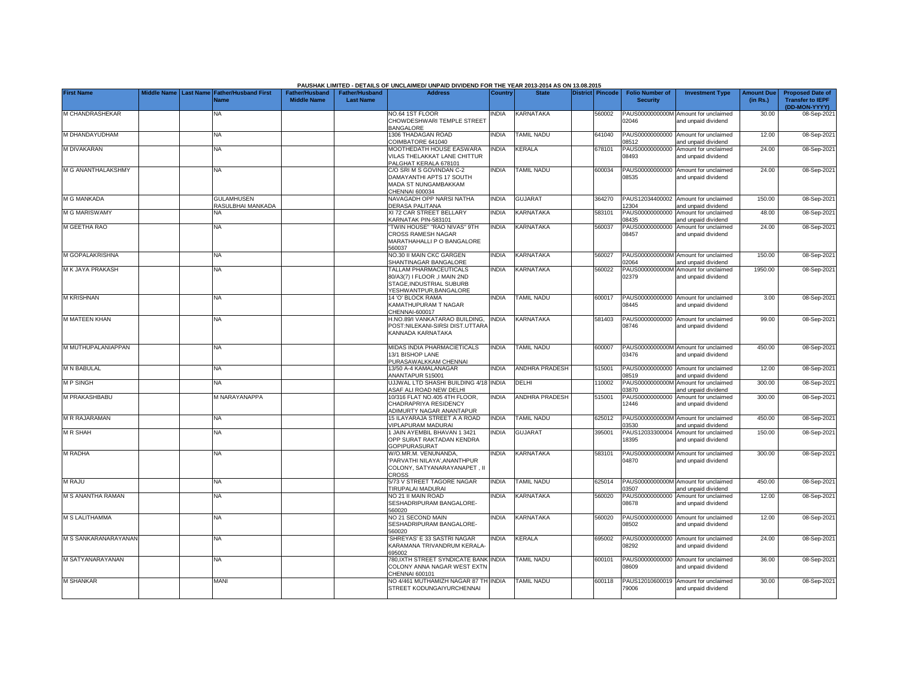|                      |             |                                                      |                                             |                                           | PAUSHAK LIMITED - DETAILS OF UNCLAIMED/ UNPAID DIVIDEND FOR THE YEAR 2013-2014 AS ON 13.08.2015             |                |                       |                         |                                           |                                                             |                               |                                                                     |
|----------------------|-------------|------------------------------------------------------|---------------------------------------------|-------------------------------------------|-------------------------------------------------------------------------------------------------------------|----------------|-----------------------|-------------------------|-------------------------------------------|-------------------------------------------------------------|-------------------------------|---------------------------------------------------------------------|
| <b>First Name</b>    | Middle Name | <b>Last Name Father/Husband First</b><br><b>Name</b> | <b>Father/Husband</b><br><b>Middle Name</b> | <b>Father/Husband</b><br><b>Last Name</b> | <b>Address</b>                                                                                              | <b>Country</b> | <b>State</b>          | <b>District Pincode</b> | <b>Folio Number of</b><br><b>Security</b> | <b>Investment Type</b>                                      | <b>Amount Due</b><br>(in Rs.) | <b>Proposed Date of</b><br><b>Transfer to IEPF</b><br>(DD-MON-YYYY) |
| M CHANDRASHEKAR      |             | NA                                                   |                                             |                                           | NO.64 1ST FLOOR<br>CHOWDESHWARI TEMPLE STREET<br>BANGALORE                                                  | <b>NDIA</b>    | KARNATAKA             | 560002                  | PAUS0000000000M<br>02046                  | Amount for unclaimed<br>and unpaid dividend                 | 30.00                         | 08-Sep-2021                                                         |
| M DHANDAYUDHAM       |             | NA                                                   |                                             |                                           | 1306 THADAGAN ROAD<br>COIMBATORE 641040                                                                     | <b>INDIA</b>   | <b>TAMIL NADU</b>     | 641040                  | PAUS00000000000<br>08512                  | Amount for unclaimed<br>and unpaid dividend                 | 12.00                         | 08-Sep-2021                                                         |
| <b>M DIVAKARAN</b>   |             | <b>NA</b>                                            |                                             |                                           | MOOTHEDATH HOUSE EASWARA<br>VILAS THELAKKAT LANE CHITTUR<br>PALGHAT KERALA 678101                           | INDIA          | KERALA                | 678101                  | PAUS00000000000<br>08493                  | Amount for unclaimed<br>and unpaid dividend                 | 24.00                         | 08-Sep-2021                                                         |
| M G ANANTHALAKSHMY   |             | <b>NA</b>                                            |                                             |                                           | C/O SRI M S GOVINDAN C-2<br>DAMAYANTHI APTS 17 SOUTH<br>MADA ST NUNGAMBAKKAM<br>CHENNAI 600034              | <b>INDIA</b>   | <b>TAMIL NADU</b>     | 600034                  | 08535                                     | PAUS00000000000 Amount for unclaimed<br>and unpaid dividend | 24.00                         | 08-Sep-2021                                                         |
| M G MANKADA          |             | <b>GULAMHUSEN</b><br>RASULBHAI MANKADA               |                                             |                                           | NAVAGADH OPP NARSI NATHA<br>DERASA PALITANA                                                                 | <b>INDIA</b>   | <b>GUJARAT</b>        | 364270                  | 2304                                      | PAUS12034400002 Amount for unclaimed<br>and unpaid dividend | 150.00                        | 08-Sep-2021                                                         |
| <b>M G MARISWAMY</b> |             | NA                                                   |                                             |                                           | XI 72 CAR STREET BELLARY<br>KARNATAK PIN-583101                                                             | <b>INDIA</b>   | KARNATAKA             | 583101                  | PAUS00000000000<br>08435                  | Amount for unclaimed<br>and unpaid dividend                 | 48.00                         | 08-Sep-2021                                                         |
| M GEETHA RAO         |             | <b>NA</b>                                            |                                             |                                           | "TWIN HOUSE" "RAO NIVAS" 9TH<br>CROSS RAMESH NAGAR<br>MARATHAHALLI P O BANGALORE<br>560037                  | <b>INDIA</b>   | KARNATAKA             | 560037                  | PAUS00000000000<br>08457                  | Amount for unclaimed<br>and unpaid dividend                 | 24.00                         | 08-Sep-2021                                                         |
| M GOPALAKRISHNA      |             | <b>NA</b>                                            |                                             |                                           | NO.30 II MAIN CKC GARGEN<br>SHANTINAGAR BANGALORE                                                           | <b>INDIA</b>   | KARNATAKA             | 560027                  | 2064                                      | PAUS0000000000M Amount for unclaimed<br>and unpaid dividend | 150.00                        | 08-Sep-2021                                                         |
| M K JAYA PRAKASH     |             | <b>NA</b>                                            |                                             |                                           | TALLAM PHARMACEUTICALS<br>80/A3(7) I FLOOR , I MAIN 2ND<br>STAGE.INDUSTRIAL SUBURB<br>/ESHWANTPUR.BANGALORE | <b>INDIA</b>   | <b>KARNATAKA</b>      | 560022                  | 02379                                     | PAUS0000000000M Amount for unclaimed<br>and unpaid dividend | 1950.00                       | 08-Sep-202                                                          |
| <b>M KRISHNAN</b>    |             | NA                                                   |                                             |                                           | 14 'O' BLOCK RAMA<br>KAMATHUPURAM T NAGAR<br>CHENNAI-600017                                                 | <b>INDIA</b>   | <b>TAMIL NADU</b>     | 600017                  | 08445                                     | PAUS00000000000 Amount for unclaimed<br>and unpaid dividend | 3.00                          | 08-Sep-2021                                                         |
| M MATEEN KHAN        |             | NA                                                   |                                             |                                           | H.NO.89/I VANKATARAO BUILDING,<br>POST:NILEKANI-SIRSI DIST.UTTARA<br>KANNADA KARNATAKA                      | INDIA          | KARNATAKA             | 581403                  | PAUS00000000000<br>08746                  | Amount for unclaimed<br>and unpaid dividend                 | 99.00                         | 08-Sep-202                                                          |
| M MUTHUPALANIAPPAN   |             | NA                                                   |                                             |                                           | MIDAS INDIA PHARMACIETICALS<br>13/1 BISHOP LANE<br>PURASAWALKKAM CHENNAI                                    | <b>INDIA</b>   | <b>TAMIL NADU</b>     | 600007                  | 03476                                     | PAUS0000000000M Amount for unclaimed<br>and unpaid dividend | 450.00                        | 08-Sep-202                                                          |
| <b>M N BABULAL</b>   |             | <b>NA</b>                                            |                                             |                                           | 13/50 A-4 KAMALANAGAR<br>ANANTAPUR 515001                                                                   | <b>INDIA</b>   | <b>ANDHRA PRADESH</b> | 515001                  | 08519                                     | PAUS00000000000 Amount for unclaimed<br>and unpaid dividend | 12.00                         | 08-Sep-202                                                          |
| <b>MPSINGH</b>       |             | <b>NA</b>                                            |                                             |                                           | UJJWAL LTD SHASHI BUILDING 4/18 INDIA<br>ASAF ALI ROAD NEW DELHI                                            |                | DELHI                 | 110002                  | PAUS0000000000M<br>03870                  | Amount for unclaimed<br>and unpaid dividend                 | 300.00                        | 08-Sep-202                                                          |
| M PRAKASHBABU        |             | M NARAYANAPPA                                        |                                             |                                           | 10/316 FLAT NO.405 4TH FLOOR,<br>CHADRAPRIYA RESIDENCY<br>ADIMURTY NAGAR ANANTAPUR                          | <b>INDIA</b>   | <b>ANDHRA PRADESH</b> | 515001                  | PAUS00000000000<br>12446                  | Amount for unclaimed<br>and unpaid dividend                 | 300.00                        | 08-Sep-2021                                                         |
| <b>M R RAJARAMAN</b> |             | NA                                                   |                                             |                                           | 15 ILAYARAJA STREET A A ROAD<br>VIPLAPURAM MADURAI                                                          | <b>INDIA</b>   | <b>TAMIL NADU</b>     | 625012                  | 03530                                     | PAUS0000000000M Amount for unclaimed<br>and unpaid dividend | 450.00                        | 08-Sep-2021                                                         |
| <b>MR SHAH</b>       |             | NA                                                   |                                             |                                           | 1 JAIN AYEMBIL BHAVAN 1 3421<br>OPP SURAT RAKTADAN KENDRA<br>GOPIPURASURAT                                  | <b>INDIA</b>   | <b>GUJARAT</b>        | 395001                  | PAUS12033300004<br>18395                  | Amount for unclaimed<br>and unpaid dividend                 | 150.00                        | 08-Sep-202                                                          |
| <b>M RADHA</b>       |             | <b>NA</b>                                            |                                             |                                           | W/O.MR.M. VENUNANDA.<br>'PARVATHI NILAYA', ANANTHPUR<br>COLONY, SATYANARAYANAPET, II<br>CROSS               | <b>INDIA</b>   | <b>KARNATAKA</b>      | 583101                  | 14870                                     | PAUS0000000000M Amount for unclaimed<br>and unpaid dividend | 300.00                        | 08-Sep-202                                                          |
| M RAJU               |             | <b>NA</b>                                            |                                             |                                           | 5/73 V STREET TAGORE NAGAR<br>TIRUPALAI MADURAI                                                             | <b>INDIA</b>   | <b>TAMIL NADU</b>     | 625014                  | 3507                                      | PAUS0000000000M Amount for unclaimed<br>and unpaid dividend | 450.00                        | 08-Sep-2021                                                         |
| M S ANANTHA RAMAN    |             | <b>NA</b>                                            |                                             |                                           | NO 21 II MAIN ROAD<br>SESHADRIPURAM BANGALORE-<br>560020                                                    | <b>INDIA</b>   | KARNATAKA             | 560020                  | PAUS00000000000<br>08678                  | Amount for unclaimed<br>and unpaid dividend                 | 12.00                         | 08-Sep-2021                                                         |
| M S LALITHAMMA       |             | NΑ                                                   |                                             |                                           | NO 21 SECOND MAIN<br>SESHADRIPURAM BANGALORE-<br>560020                                                     | <b>INDIA</b>   | <b>KARNATAKA</b>      | 560020                  | PAUS00000000000<br>08502                  | Amount for unclaimed<br>and unpaid dividend                 | 12.00                         | 08-Sep-2021                                                         |
| M S SANKARANARAYANAN |             | <b>NA</b>                                            |                                             |                                           | SHREYAS' E 33 SASTRI NAGAR<br>KARAMANA TRIVANDRUM KERALA-<br>695002                                         | NDIA           | <b>KERALA</b>         | 695002                  | 08292                                     | PAUS00000000000 Amount for unclaimed<br>and unpaid dividend | 24.00                         | 08-Sep-2021                                                         |
| M SATYANARAYANAN     |             | <b>NA</b>                                            |                                             |                                           | 780, IXTH STREET SYNDICATE BANK INDIA<br>COLONY ANNA NAGAR WEST EXTN<br>CHENNAL 600101                      |                | <b>TAMIL NADU</b>     | 600101                  | 08609                                     | PAUS00000000000 Amount for unclaimed<br>and unpaid dividend | 36.00                         | 08-Sep-2021                                                         |
| <b>M SHANKAR</b>     |             | MANI                                                 |                                             |                                           | NO 4/461 MUTHAMIZH NAGAR 87 TH INDIA<br>STREET KODUNGAIYURCHENNAI                                           |                | <b>TAMIL NADU</b>     | 600118                  | PAUS12010600019<br>79006                  | Amount for unclaimed<br>and unpaid dividend                 | 30.00                         | 08-Sep-2021                                                         |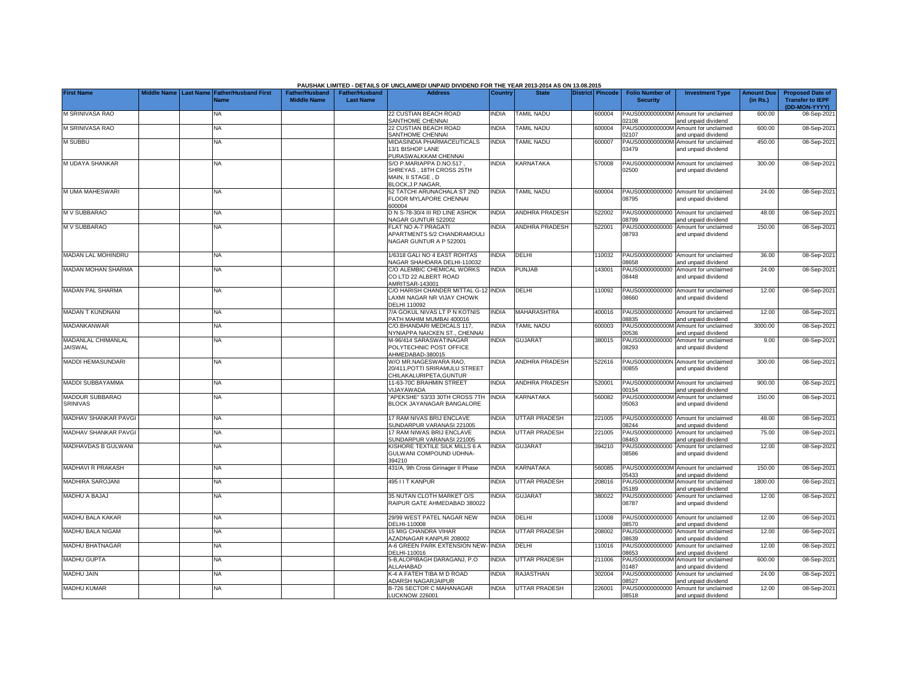|                                      |                    |                                                      |                                      |                                           | PAUSHAK LIMITED - DETAILS OF UNCLAIMED/ UNPAID DIVIDEND FOR THE YEAR 2013-2014 AS ON 13.08.2015      |              |                       |                         |                                           |                                                             |                               |                                                                     |
|--------------------------------------|--------------------|------------------------------------------------------|--------------------------------------|-------------------------------------------|------------------------------------------------------------------------------------------------------|--------------|-----------------------|-------------------------|-------------------------------------------|-------------------------------------------------------------|-------------------------------|---------------------------------------------------------------------|
| <b>First Name</b>                    | <b>Middle Name</b> | <b>Last Name Father/Husband First</b><br><b>Name</b> | Father/Husband<br><b>Middle Name</b> | <b>Father/Husband</b><br><b>Last Name</b> | <b>Address</b>                                                                                       | Country      | <b>State</b>          | <b>District Pincode</b> | <b>Folio Number of</b><br><b>Security</b> | <b>Investment Type</b>                                      | <b>Amount Due</b><br>(in Rs.) | <b>Proposed Date of</b><br><b>Transfer to IEPF</b><br>(DD-MON-YYYY) |
| M SRINIVASA RAO                      |                    | NA                                                   |                                      |                                           | 22 CUSTIAN BEACH ROAD<br>SANTHOME CHENNAI                                                            | <b>INDIA</b> | TAMIL NADU            | 600004                  | PAUS0000000000M<br>02108                  | Amount for unclaimed<br>and unpaid dividend                 | 600.00                        | 08-Sep-2021                                                         |
| M SRINIVASA RAO                      |                    | <b>NA</b>                                            |                                      |                                           | 22 CUSTIAN BEACH ROAD<br>SANTHOME CHENNAI                                                            | <b>INDIA</b> | <b>TAMIL NADU</b>     | 600004                  | PAUS0000000000M<br>02107                  | Amount for unclaimed<br>and unpaid dividend                 | 600.00                        | 08-Sep-2021                                                         |
| <b>M SUBBU</b>                       |                    | <b>NA</b>                                            |                                      |                                           | <b>MIDASINDIA PHARMACEUTICALS</b><br>13/1 BISHOP LANE<br>PURASWALKKAM CHENNAI                        | <b>INDIA</b> | <b>TAMIL NADU</b>     | 600007                  | 03479                                     | PAUS0000000000M Amount for unclaimed<br>and unpaid dividend | 450.00                        | 08-Sep-2021                                                         |
| M UDAYA SHANKAR                      |                    | NA                                                   |                                      |                                           | S/O P.MARIAPPA D.NO.517.<br>SHREYAS, 18TH CROSS 25TH<br>MAIN, II STAGE, D<br><b>BLOCK, J.P.NAGAR</b> | <b>NDIA</b>  | KARNATAKA             | 570008                  | PAUS0000000000M<br>02500                  | Amount for unclaimed<br>and unpaid dividend                 | 300.00                        | 08-Sep-2021                                                         |
| M UMA MAHESWARI                      |                    | <b>NA</b>                                            |                                      |                                           | 52 TATCHI ARUNACHALA ST 2ND<br><b>ELOOR MYLAPORE CHENNAL</b><br>300004                               | <b>INDIA</b> | <b>TAMIL NADU</b>     | 600004                  | 08795                                     | PAUS00000000000 Amount for unclaimed<br>and unpaid dividend | 24.00                         | 08-Sep-2021                                                         |
| M V SUBBARAO                         |                    | NA                                                   |                                      |                                           | D N S-78-30/4 III RD LINE ASHOK<br><b>JAGAR GUNTUR 522002</b>                                        | <b>INDIA</b> | ANDHRA PRADESH        | 522002                  | PAUS00000000000<br>08799                  | Amount for unclaimed<br>and unpaid dividend                 | 48.00                         | 08-Sep-2021                                                         |
| M V SUBBARAO                         |                    | <b>NA</b>                                            |                                      |                                           | FLAT NO A-7 PRAGATI<br>APARTMENTS 5/2 CHANDRAMOULI<br>NAGAR GUNTUR A P 522001                        | <b>INDIA</b> | ANDHRA PRADESH        | 522001                  | PAUS00000000000<br>08793                  | Amount for unclaimed<br>and unpaid dividend                 | 150.00                        | 08-Sep-2021                                                         |
| MADAN LAL MOHINDRU                   |                    | <b>NA</b>                                            |                                      |                                           | 1/6318 GALI NO 4 EAST ROHTAS<br>VAGAR SHAHDARA DELHI-110032                                          | <b>INDIA</b> | DELHI                 | 110032                  | PAUS00000000000<br>08658                  | Amount for unclaimed<br>and unpaid dividend                 | 36.00                         | 08-Sep-2021                                                         |
| <b>MADAN MOHAN SHARMA</b>            |                    | <b>NA</b>                                            |                                      |                                           | C/O ALEMBIC CHEMICAL WORKS<br>CO LTD 22 ALBERT ROAD<br>AMRITSAR-143001                               | <b>INDIA</b> | <b>PUNJAB</b>         | 143001                  | PAUS00000000000<br>08448                  | Amount for unclaimed<br>and unpaid dividend                 | 24.00                         | 08-Sep-2021                                                         |
| <b>MADAN PAL SHARMA</b>              |                    | NA                                                   |                                      |                                           | C/O HARISH CHANDER MITTAL G-12 INDIA<br>LAXMI NAGAR NR VIJAY CHOWK<br><b>DELHI 110092</b>            |              | DELHI                 | 10092                   | PAUS00000000000<br>08660                  | Amount for unclaimed<br>and unpaid dividend                 | 12.00                         | 08-Sep-2021                                                         |
| MADAN T KUNDNANI                     |                    | <b>NA</b>                                            |                                      |                                           | 7/A GOKUL NIVAS LT P N KOTNIS<br>PATH MAHIM MUMBAI 400016                                            | <b>INDIA</b> | MAHARASHTRA           | 400016                  | 08835                                     | PAUS00000000000 Amount for unclaimed<br>and unpaid dividend | 12.00                         | 08-Sep-2021                                                         |
| <b>MADANKANWAR</b>                   |                    | <b>NA</b>                                            |                                      |                                           | C/O.BHANDARI MEDICALS 117.<br><b>VYNIAPPA NAICKEN ST., CHENNAI</b>                                   | <b>INDIA</b> | <b>TAMIL NADU</b>     | 600003                  | PAUS0000000000M<br>00536                  | Amount for unclaimed<br>and unpaid dividend                 | 3000.00                       | 08-Sep-2021                                                         |
| MADANLAL CHIMANLAL<br><b>JAISWAL</b> |                    | NA                                                   |                                      |                                           | <b>M-96/414 SARASWATINAGAR</b><br>POLYTECHNIC POST OFFICE<br>AHMEDABAD-380015                        | INDIA        | <b>GUJARAT</b>        | 380015                  | PAUS00000000000<br>08293                  | Amount for unclaimed<br>and unpaid dividend                 | 9.00                          | 08-Sep-2021                                                         |
| MADDI HEMASUNDARI                    |                    | <b>NA</b>                                            |                                      |                                           | W/O MR.NAGESWARA RAO,<br>20/411, POTTI SRIRAMULU STREET<br>CHILAKALURIPETA.GUNTUR                    | <b>INDIA</b> | <b>ANDHRA PRADESH</b> | 522616                  | 00855                                     | PAUS0000000000N Amount for unclaimed<br>and unpaid dividend | 300.00                        | 08-Sep-2021                                                         |
| MADDI SUBBAYAMMA                     |                    | NA                                                   |                                      |                                           | 11-63-70C BRAHMIN STREET<br><b>JIJAYAWADA</b>                                                        | <b>NDIA</b>  | ANDHRA PRADESH        | 520001                  | 00154                                     | PAUS0000000000M Amount for unclaimed<br>and unpaid dividend | 900.00                        | 08-Sep-2021                                                         |
| MADDUR SUBBARAO<br>SRINIVAS          |                    | NA                                                   |                                      |                                           | APEKSHE" 53/33 30TH CROSS 7TH<br>BLOCK JAYANAGAR BANGALORE                                           | <b>INDIA</b> | KARNATAKA             | 560082                  | PAUS0000000000M<br>05063                  | Amount for unclaimed<br>and unpaid dividend                 | 150.00                        | 08-Sep-2021                                                         |
| MADHAV SHANKAR PAVGI                 |                    | <b>NA</b>                                            |                                      |                                           | 17 RAM NIVAS BRIJ ENCLAVE<br>SUNDARPUR VARANASI 221005                                               | <b>INDIA</b> | UTTAR PRADESH         | 221005                  | PAUS00000000000<br>08244                  | Amount for unclaimed<br>and unpaid dividend                 | 48.00                         | 08-Sep-2021                                                         |
| MADHAV SHANKAR PAVGI                 |                    | <b>NA</b>                                            |                                      |                                           | 17 RAM NIWAS BRIJ ENCLAVE<br><b>SUNDARPUR VARANASI 221005</b>                                        | <b>INDIA</b> | UTTAR PRADESH         | 221005                  | PAUS00000000000<br>08463                  | Amount for unclaimed<br>and unpaid dividend                 | 75.00                         | 08-Sep-2021                                                         |
| MADHAVDAS B GULWANI                  |                    | <b>NA</b>                                            |                                      |                                           | <b>KISHORE TEXTILE SILK MILLS 6 A</b><br>GULWANI COMPOUND UDHNA-<br>394210                           | <b>INDIA</b> | <b>GUJARAT</b>        | 394210                  | PAUS00000000000<br>08586                  | Amount for unclaimed<br>and unpaid dividend                 | 12.00                         | 08-Sep-2021                                                         |
| MADHAVI R PRAKASH                    |                    | NA                                                   |                                      |                                           | 431/A, 9th Cross Girinager II Phase                                                                  | india        | KARNATAKA             | 560085                  | PAUS0000000000M<br>05433                  | Amount for unclaimed<br>and unpaid dividend                 | 150.00                        | 08-Sep-2021                                                         |
| MADHIRA SAROJANI                     |                    | <b>NA</b>                                            |                                      |                                           | 495 I I T KANPUR                                                                                     | <b>INDIA</b> | UTTAR PRADESH         | 208016                  | PAUS0000000000M<br>05189                  | Amount for unclaimed<br>and unpaid dividend                 | 1800.00                       | 08-Sep-2021                                                         |
| MADHU A BAJAJ                        |                    | <b>NA</b>                                            |                                      |                                           | 35 NUTAN CLOTH MARKET O/S<br>RAIPUR GATE AHMEDABAD 380022                                            | <b>NDIA</b>  | <b>GUJARAT</b>        | 380022                  | PAUS00000000000<br>08787                  | Amount for unclaimed<br>and unpaid dividend                 | 12.00                         | 08-Sep-2021                                                         |
| MADHU BALA KAKAR                     |                    | ΝA                                                   |                                      |                                           | 29/99 WEST PATEL NAGAR NEW<br>DELHI-110008                                                           | <b>NDIA</b>  | DELHI                 | 110008                  | PAUS00000000000<br>08570                  | Amount for unclaimed<br>and unpaid dividend                 | 12.00                         | 08-Sep-2021                                                         |
| MADHU BALA NIGAM                     |                    | NA                                                   |                                      |                                           | 15 MIG CHANDRA VIHAR<br><b>AZADNAGAR KANPUR 208002</b>                                               | INDIA        | UTTAR PRADESH         | 208002                  | PAUS00000000000<br>08639                  | Amount for unclaimed<br>and unpaid dividend                 | 12.00                         | 08-Sep-2021                                                         |
| MADHU BHATNAGAR                      |                    | <b>NA</b>                                            |                                      |                                           | 4-6 GREEN PARK EXTENSION NEW-INDIA<br>DELHI-110016                                                   |              | DELHI                 | 110016                  | PAUS00000000000<br>08653                  | Amount for unclaimed<br>and unpaid dividend                 | 12.00                         | 08-Sep-2021                                                         |
| MADHU GUPTA                          |                    | <b>NA</b>                                            |                                      |                                           | 5-B, ALOPIBAGH DARAGANJ, P.O<br>ALLAHABAD                                                            | INDIA        | UTTAR PRADESH         | 211006                  | PAUS0000000000M<br>01487                  | Amount for unclaimed<br>and unpaid dividend                 | 600.00                        | 08-Sep-2021                                                         |
| <b>MADHU JAIN</b>                    |                    | NA                                                   |                                      |                                           | <b>&lt;-4 A FATEH TIBA M D ROAD</b><br>ADARSH NAGARJAIPUR                                            | <b>NDIA</b>  | RAJASTHAN             | 302004                  | PAUS00000000000<br>08527                  | Amount for unclaimed<br>and unpaid dividend                 | 24.00                         | 08-Sep-2021                                                         |
| <b>MADHU KUMAR</b>                   |                    | NA.                                                  |                                      |                                           | <b>B-726 SECTOR C MAHANAGAR</b><br><b>LUCKNOW 226001</b>                                             | INDIA        | <b>UTTAR PRADESH</b>  | 226001                  | PAUS00000000000<br>08518                  | Amount for unclaimed<br>and unpaid dividend                 | 12.00                         | 08-Sep-2021                                                         |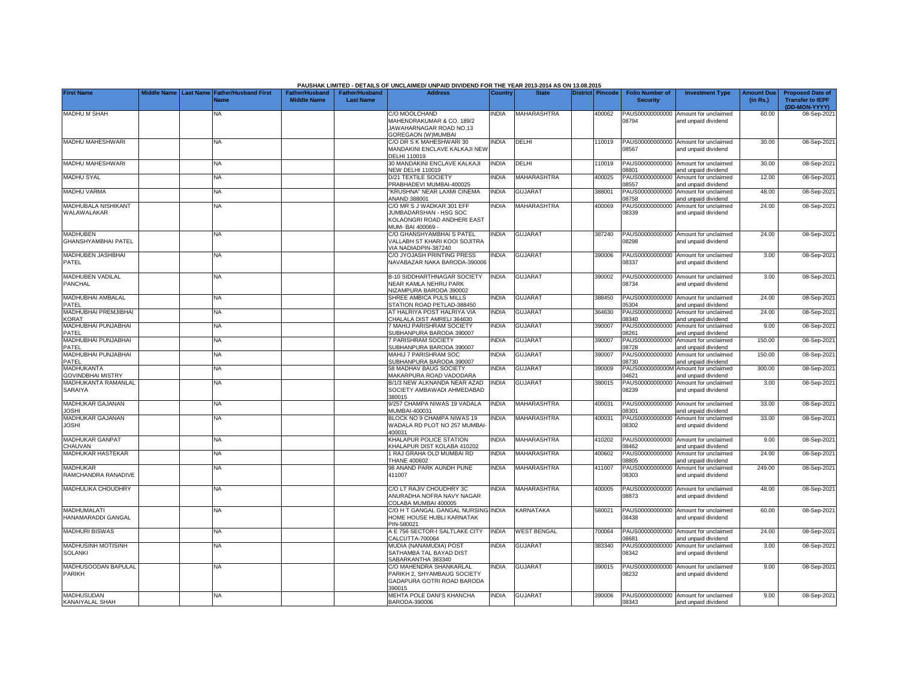|                                               |                    |                                               |                                             |                                           | PAUSHAK LIMITED - DETAILS OF UNCLAIMED/ UNPAID DIVIDEND FOR THE YEAR 2013-2014 AS ON 13.08.2015         |                |                    |                         |        |                                           |                                                             |                               |                                                                     |
|-----------------------------------------------|--------------------|-----------------------------------------------|---------------------------------------------|-------------------------------------------|---------------------------------------------------------------------------------------------------------|----------------|--------------------|-------------------------|--------|-------------------------------------------|-------------------------------------------------------------|-------------------------------|---------------------------------------------------------------------|
| <b>First Name</b>                             | <b>Middle Name</b> | <b>Last Name Father/Husband First</b><br>Vame | <b>Father/Husband</b><br><b>Middle Name</b> | <b>Father/Husband</b><br><b>Last Name</b> | <b>Address</b>                                                                                          | <b>Country</b> | <b>State</b>       | <b>District Pincode</b> |        | <b>Folio Number of</b><br><b>Security</b> | <b>Investment Type</b>                                      | <b>Amount Due</b><br>(in Rs.) | <b>Proposed Date of</b><br><b>Transfer to IEPF</b><br>(DD-MON-YYYY) |
| <b>MADHU M SHAH</b>                           |                    | NA.                                           |                                             |                                           | C/O MOOLCHAND<br>MAHENDRAKUMAR & CO. 189/2<br>JAWAHARNAGAR ROAD NO.13<br>GOREGAON (W)MUMBAI             | <b>NDIA</b>    | MAHARASHTRA        |                         | 400062 | PAUS00000000000<br>08794                  | Amount for unclaimed<br>and unpaid dividend                 | 60.00                         | 08-Sep-2021                                                         |
| MADHU MAHESHWARI                              |                    | NA                                            |                                             |                                           | C/O DR S K MAHESHWARI 30<br>MANDAKINI ENCLAVE KALKAJI NEW<br><b>DELHI 110019</b>                        | <b>NDIA</b>    | DELHI              |                         | 110019 | PAUS00000000000<br>08567                  | Amount for unclaimed<br>and unpaid dividend                 | 30.00                         | 08-Sep-2021                                                         |
| MADHU MAHESHWARI                              |                    | NA                                            |                                             |                                           | 30 MANDAKINI ENCLAVE KALKAJI<br><b>NEW DELHI 110019</b>                                                 | <b>INDIA</b>   | DELHI              |                         | 110019 | PAUS00000000000<br>18801                  | Amount for unclaimed<br>and unpaid dividend                 | 30.00                         | 08-Sep-2021                                                         |
| <b>MADHU SYAL</b>                             |                    | NA.                                           |                                             |                                           | D/21 TEXTILE SOCIETY<br>PRABHADEVI MUMBAI-400025                                                        | <b>NDIA</b>    | <b>MAHARASHTRA</b> |                         | 400025 | PAUS00000000000<br>08557                  | Amount for unclaimed<br>and unpaid dividend                 | 12.00                         | 08-Sep-2021                                                         |
| <b>MADHU VARMA</b>                            |                    | NA.                                           |                                             |                                           | KRUSHNA" NEAR LAXMI CINEMA<br>ANAND 388001                                                              | <b>NDIA</b>    | <b>GUJARAT</b>     |                         | 388001 | PAUS00000000000<br>08758                  | Amount for unclaimed<br>and unpaid dividend                 | 48.00                         | 08-Sep-2021                                                         |
| MADHUBALA NISHIKANT<br>WALAWALAKAR            |                    | ΝA                                            |                                             |                                           | C/O MR S J WADKAR 301 EFF<br>JUMBADARSHAN - HSG SOC<br>KOLAONGRI ROAD ANDHERI EAST<br>MUM- BAI 400069 - | INDIA          | MAHARASHTRA        |                         | 400069 | PAUS00000000000<br>08339                  | Amount for unclaimed<br>and unpaid dividend                 | 24.00                         | 08-Sep-2021                                                         |
| <b>MADHUBEN</b><br><b>GHANSHYAMBHAI PATEL</b> |                    | NA                                            |                                             |                                           | C/O GHANSHYAMBHAI S PATEL<br>VALLABH ST KHARI KOOI SOJITRA<br>VIA NADIADPIN-387240                      | <b>NDIA</b>    | <b>GUJARAT</b>     |                         | 387240 | 08298                                     | PAUS00000000000 Amount for unclaimed<br>and unpaid dividend | 24.00                         | 08-Sep-2021                                                         |
| MADHUBEN JASHBHAI<br>PATEL                    |                    | NA                                            |                                             |                                           | C/O JYOJASH PRINTING PRESS<br>NAVABAZAR NAKA BARODA-390006                                              | <b>NDIA</b>    | <b>GUJARAT</b>     |                         | 390006 | 08337                                     | PAUS00000000000 Amount for unclaimed<br>and unpaid dividend | 3.00                          | 08-Sep-2021                                                         |
| MADHUBEN VADILAL<br>PANCHAL                   |                    | <b>NA</b>                                     |                                             |                                           | <b>B-10 SIDDHARTHNAGAR SOCIETY</b><br>NEAR KAMLA NEHRU PARK<br>NIZAMPURA BARODA 390002                  | <b>INDIA</b>   | <b>GUJARAT</b>     |                         | 390002 | 08734                                     | PAUS00000000000 Amount for unclaimed<br>and unpaid dividend | 3.00                          | 08-Sep-2021                                                         |
| MADHUBHAI AMBALAL<br>PATEL                    |                    | <b>NA</b>                                     |                                             |                                           | SHREE AMBICA PULS MILLS<br>STATION ROAD PETLAD-388450                                                   | <b>INDIA</b>   | <b>GUJARAT</b>     |                         | 388450 | PAUS00000000000<br>05304                  | Amount for unclaimed<br>and unpaid dividend                 | 24.00                         | 08-Sep-2021                                                         |
| MADHUBHAI PREMJIBHAI<br><b>KORAT</b>          |                    | <b>NA</b>                                     |                                             |                                           | AT HALRIYA POST HALRIYA VIA<br>HALALA DIST AMRELI 364630                                                | <b>INDIA</b>   | <b>GUJARAT</b>     |                         | 364630 | PAUS00000000000<br>08340                  | Amount for unclaimed<br>and unpaid dividend                 | 24.00                         | 08-Sep-2021                                                         |
| MADHUBHAI PUNJABHAI<br>PATEL                  |                    | <b>NA</b>                                     |                                             |                                           | <b>MAHIJ PARISHRAM SOCIETY</b><br><b>SUBHANPURA BARODA 390007</b>                                       | <b>NDIA</b>    | <b>GUJARAT</b>     |                         | 390007 | PAUS00000000000<br>08261                  | Amount for unclaimed<br>and unpaid dividend                 | 9.00                          | 08-Sep-2021                                                         |
| <b>MADHUBHAI PUNJABHAI</b><br>PATEL           |                    | NA.                                           |                                             |                                           | <b>PARISHRAM SOCIETY</b><br>SUBHANPURA BARODA 390007                                                    | <b>NDIA</b>    | <b>GUJARAT</b>     |                         | 390007 | PAUS00000000000<br>08728                  | Amount for unclaimed<br>and unpaid dividend                 | 150.00                        | 08-Sep-2021                                                         |
| <b>MADHUBHAI PUNJABHAI</b><br>PATEL           |                    | NA.                                           |                                             |                                           | MAHIJ 7 PARISHRAM SOC<br>SUBHANPURA BARODA 390007                                                       | <b>NDIA</b>    | <b>GUJARAT</b>     |                         | 390007 | PAUS00000000000<br>08730                  | Amount for unclaimed<br>and unpaid dividend                 | 150.00                        | 08-Sep-2021                                                         |
| <b>MADHUKANTA</b><br><b>GOVINDBHAI MISTRY</b> |                    | NA.                                           |                                             |                                           | 58 MADHAV BAUG SOCIETY<br>MAKARPURA ROAD VADODARA                                                       | <b>NDIA</b>    | <b>GUJARAT</b>     |                         | 390009 | PAUS0000000000M<br>04621                  | Amount for unclaimed<br>and unpaid dividend                 | 300.00                        | 08-Sep-2021                                                         |
| MADHUKANTA RAMANLAL<br>SARAIYA                |                    | NA                                            |                                             |                                           | B/1/3 NEW ALKNANDA NEAR AZAD<br>SOCIETY AMBAWADI AHMEDABAD<br>380015                                    | <b>NDIA</b>    | <b>GUJARAT</b>     |                         | 380015 | PAUS00000000000<br>08239                  | Amount for unclaimed<br>and unpaid dividend                 | 3.00                          | 08-Sep-2021                                                         |
| MADHUKAR GAJANAN<br><b>IHZOL</b>              |                    | <b>NA</b>                                     |                                             |                                           | 9/257 CHAMPA NIWAS 19 VADALA<br>MUMBAI-400031                                                           | <b>NDIA</b>    | <b>MAHARASHTRA</b> |                         | 400031 | PAUS00000000000<br>08301                  | Amount for unclaimed<br>and unpaid dividend                 | 33.00                         | 08-Sep-2021                                                         |
| MADHUKAR GAJANAN<br><b>IHZOL</b>              |                    | <b>NA</b>                                     |                                             |                                           | BLOCK NO 9 CHAMPA NIWAS 19<br>WADALA RD PLOT NO 257 MUMBAI<br>400031                                    | <b>NDIA</b>    | MAHARASHTRA        |                         | 400031 | PAUS00000000000<br>08302                  | Amount for unclaimed<br>and unpaid dividend                 | 33.00                         | 08-Sep-2021                                                         |
| MADHUKAR GANPAT<br>CHAUVAN                    |                    | <b>NA</b>                                     |                                             |                                           | KHALAPUR POLICE STATION<br>(HALAPUR DIST KOLABA 410202                                                  | <b>INDIA</b>   | <b>MAHARASHTRA</b> |                         | 410202 | PAUS00000000000<br>08462                  | Amount for unclaimed<br>and unpaid dividend                 | 9.00                          | 08-Sep-2021                                                         |
| MADHUKAR HASTEKAR                             |                    | <b>NA</b>                                     |                                             |                                           | 1 RAJ GRAHA OLD MUMBAI RD<br><b>THANE 400602</b>                                                        | INDIA          | <b>MAHARASHTRA</b> |                         | 400602 | PAUS00000000000<br>08805                  | Amount for unclaimed<br>and unpaid dividend                 | 24.00                         | 08-Sep-2021                                                         |
| <b>MADHUKAR</b><br>RAMCHANDRA RANADIVE        |                    | <b>NA</b>                                     |                                             |                                           | 98 ANAND PARK AUNDH PUNE<br>411007                                                                      | <b>INDIA</b>   | <b>MAHARASHTRA</b> |                         | 411007 | PAUS00000000000<br>08303                  | Amount for unclaimed<br>and unpaid dividend                 | 249.00                        | 08-Sep-2021                                                         |
| MADHULIKA CHOUDHRY                            |                    | <b>NA</b>                                     |                                             |                                           | C/O LT RAJIV CHOUDHRY 3C<br>ANURADHA NOFRA NAVY NAGAR<br>COLABA MUMBAI 400005                           | <b>NDIA</b>    | <b>MAHARASHTRA</b> |                         | 400005 | PAUS00000000000<br>08873                  | Amount for unclaimed<br>and unpaid dividend                 | 48.00                         | 08-Sep-2021                                                         |
| MADHUMALATI<br>HANAMARADDI GANGAL             |                    | <b>NA</b>                                     |                                             |                                           | C/O H T GANGAL GANGAL NURSING INDIA<br>HOME HOUSE HUBLI KARNATAK<br>PIN-580021                          |                | <b>KARNATAKA</b>   |                         | 580021 | 08438                                     | PAUS00000000000 Amount for unclaimed<br>and unpaid dividend | 60.00                         | 08-Sep-2021                                                         |
| <b>MADHURI BISWAS</b>                         |                    | <b>NA</b>                                     |                                             |                                           | A E 756 SECTOR-I SALTLAKE CITY<br>CALCUTTA-700064                                                       | <b>INDIA</b>   | <b>WEST BENGAL</b> |                         | 700064 | PAUS00000000000<br>08681                  | Amount for unclaimed<br>and unpaid dividend                 | 24.00                         | 08-Sep-2021                                                         |
| MADHUSINH MOTISINH<br><b>SOLANKI</b>          |                    | <b>NA</b>                                     |                                             |                                           | MUDIA (NANAMUDIA) POST<br>SATHAMBA TAL BAYAD DIST<br>SABARKANTHA 383340                                 | INDIA          | <b>GUJARAT</b>     |                         | 383340 | PAUS00000000000<br>08342                  | Amount for unclaimed<br>and unpaid dividend                 | 3.00                          | 08-Sep-2021                                                         |
| MADHUSOODAN BAPULAL<br><b>PARIKH</b>          |                    | <b>NA</b>                                     |                                             |                                           | C/O MAHENDRA SHANKARLAL<br>ARIKH 2. SHYAMBAUG SOCIETY<br>GADAPURA GOTRI ROAD BARODA<br>390015           | <b>NDIA</b>    | <b>GUJARAT</b>     |                         | 390015 | PAUS00000000000<br>08232                  | Amount for unclaimed<br>and unpaid dividend                 | 9.00                          | 08-Sep-2021                                                         |
| <b>MADHUSUDAN</b><br>KANAIYALAL SHAH          |                    | NA.                                           |                                             |                                           | MEHTA POLE DANI'S KHANCHA<br>BARODA-390006                                                              | <b>NDIA</b>    | <b>GUJARAT</b>     |                         | 390006 | 08343                                     | PAUS00000000000 Amount for unclaimed<br>and unpaid dividend | 9.00                          | 08-Sep-2021                                                         |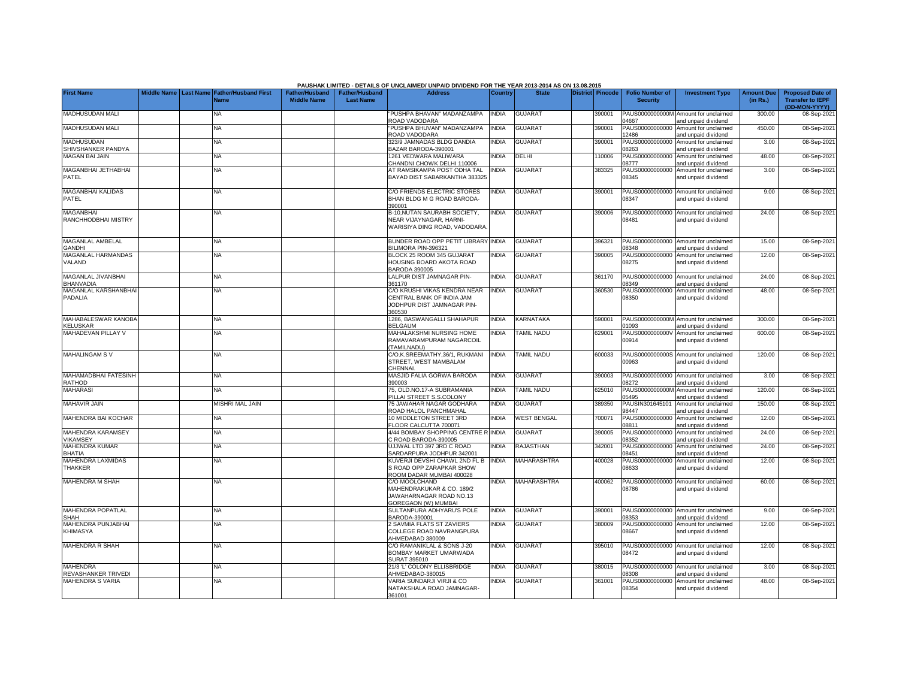|                                             |                    |                                                         |                                             |                                           | PAUSHAK LIMITED - DETAILS OF UNCLAIMED/ UNPAID DIVIDEND FOR THE YEAR 2013-2014 AS ON 13.08.2015   |                |                    |                         |        |                                           |                                                             |                               |                                                                     |
|---------------------------------------------|--------------------|---------------------------------------------------------|---------------------------------------------|-------------------------------------------|---------------------------------------------------------------------------------------------------|----------------|--------------------|-------------------------|--------|-------------------------------------------|-------------------------------------------------------------|-------------------------------|---------------------------------------------------------------------|
| <b>First Name</b>                           | <b>Middle Name</b> | <b>Father/Husband First</b><br><b>Last Name</b><br>Name | <b>Father/Husband</b><br><b>Middle Name</b> | <b>Father/Husband</b><br><b>Last Name</b> | <b>Address</b>                                                                                    | <b>Country</b> | <b>State</b>       | <b>District Pincode</b> |        | <b>Folio Number of</b><br><b>Security</b> | <b>Investment Type</b>                                      | <b>Amount Due</b><br>(in Rs.) | <b>Proposed Date of</b><br><b>Transfer to IEPF</b><br>(DD-MON-YYYY) |
| MADHUSUDAN MALI                             |                    | NA                                                      |                                             |                                           | PUSHPA BHAVAN" MADANZAMPA<br>ROAD VADODARA                                                        | <b>INDIA</b>   | <b>GUJARAT</b>     |                         | 390001 | PAUS0000000000M<br>04667                  | Amount for unclaimed<br>and unpaid dividend                 | 300.00                        | 08-Sep-2021                                                         |
| <b>MADHUSUDAN MALI</b>                      |                    | <b>NA</b>                                               |                                             |                                           | "PUSHPA BHUVAN" MADANZAMPA<br>ROAD VADODARA                                                       | <b>INDIA</b>   | <b>GUJARAT</b>     |                         | 390001 | 12486                                     | PAUS00000000000 Amount for unclaimed<br>and unpaid dividend | 450.00                        | 08-Sep-2021                                                         |
| <b>MADHUSUDAN</b><br>SHIVSHANKER PANDYA     |                    | <b>NA</b>                                               |                                             |                                           | 323/9 JAMNADAS BLDG DANDIA<br>BAZAR BARODA-390001                                                 | <b>INDIA</b>   | <b>GUJARAT</b>     |                         | 390001 | PAUS00000000000<br>8263                   | Amount for unclaimed<br>and unpaid dividend                 | 3.00                          | 08-Sep-2021                                                         |
| <b>MAGAN BAI JAIN</b>                       |                    | NA                                                      |                                             |                                           | 1261 VEDWARA MALIWARA<br>CHANDNI CHOWK DELHI 110006                                               | <b>INDIA</b>   | <b>DELHI</b>       |                         | 110006 | AUS00000000000<br>08777                   | Amount for unclaimed<br>and unpaid dividend                 | 48.00                         | 08-Sep-2021                                                         |
| MAGANBHAI JETHABHAI<br>PATEL                |                    | NA                                                      |                                             |                                           | AT RAMSIKAMPA POST ODHA TAL<br>BAYAD DIST SABARKANTHA 383325                                      | INDIA          | <b>GUJARAT</b>     |                         | 383325 | PAUS00000000000<br>08345                  | Amount for unclaimed<br>and unpaid dividend                 | 3.00                          | 08-Sep-2021                                                         |
| MAGANBHAI KALIDAS<br>PATEL                  |                    | <b>NA</b>                                               |                                             |                                           | C/O FRIENDS ELECTRIC STORES<br>BHAN BLDG M G ROAD BARODA-<br>390001                               | INDIA          | <b>GUJARAT</b>     |                         | 390001 | 08347                                     | PAUS00000000000 Amount for unclaimed<br>and unpaid dividend | 9.00                          | 08-Sep-2021                                                         |
| <b>MAGANBHAI</b><br>RANCHHODBHAI MISTRY     |                    | NA                                                      |                                             |                                           | 3-10, NUTAN SAURABH SOCIETY,<br>NEAR VIJAYNAGAR, HARNI-<br>WARISIYA DING ROAD, VADODARA           | <b>INDIA</b>   | <b>GUJARAT</b>     |                         | 390006 | PAUS00000000000<br>08481                  | Amount for unclaimed<br>and unpaid dividend                 | 24.00                         | 08-Sep-2021                                                         |
| MAGANLAL AMBELAL<br><b>GANDHI</b>           |                    | <b>NA</b>                                               |                                             |                                           | BUNDER ROAD OPP PETIT LIBRARY INDIA<br><b>BILIMORA PIN-396321</b>                                 |                | <b>GUJARAT</b>     |                         | 396321 | 8348                                      | PAUS00000000000 Amount for unclaimed<br>and unpaid dividend | 15.00                         | 08-Sep-2021                                                         |
| MAGANLAL HARMANDAS<br>VALAND                |                    | NA                                                      |                                             |                                           | BLOCK 25 ROOM 345 GUJARAT<br><b>HOUSING BOARD AKOTA ROAD</b><br>3ARODA 390005                     | <b>INDIA</b>   | <b>GUJARAT</b>     |                         | 390005 | PAUS00000000000<br>08275                  | Amount for unclaimed<br>and unpaid dividend                 | 12.00                         | 08-Sep-2021                                                         |
| MAGANLAL JIVANBHAI<br><b>BHANVADIA</b>      |                    | <b>NA</b>                                               |                                             |                                           | <b>ALPUR DIST JAMNAGAR PIN-</b><br>361170                                                         | <b>INDIA</b>   | <b>GUJARAT</b>     |                         | 361170 | PAUS00000000000<br>8349                   | Amount for unclaimed<br>and unpaid dividend                 | 24.00                         | 08-Sep-2021                                                         |
| MAGANLAL KARSHANBHAI<br>PADALIA             |                    | NA                                                      |                                             |                                           | C/O KRUSHI VIKAS KENDRA NEAR<br>CENTRAL BANK OF INDIA JAM<br>JODHPUR DIST JAMNAGAR PIN-<br>360530 | <b>INDIA</b>   | <b>GUJARAT</b>     |                         | 360530 | PAUS00000000000<br>08350                  | Amount for unclaimed<br>and unpaid dividend                 | 48.00                         | 08-Sep-2021                                                         |
| MAHABALESWAR KANOBA<br>KELUSKAR             |                    | NA                                                      |                                             |                                           | 1286, BASWANGALLI SHAHAPUR<br><b>BELGAUM</b>                                                      | <b>INDIA</b>   | <b>KARNATAKA</b>   |                         | 590001 | PAUS0000000000M<br>1093                   | Amount for unclaimed<br>and unpaid dividend                 | 300.00                        | 08-Sep-2021                                                         |
| MAHADEVAN PILLAY V                          |                    | <b>NA</b>                                               |                                             |                                           | MAHALAKSHMI NURSING HOME<br>RAMAVARAMPURAM NAGARCOIL<br>(TAMILNADU)                               | INDIA          | TAMIL NADU         |                         | 629001 | PAUS0000000000V<br>00914                  | Amount for unclaimed<br>and unpaid dividend                 | 600.00                        | 08-Sep-2021                                                         |
| <b>MAHALINGAM SV</b>                        |                    | <b>NA</b>                                               |                                             |                                           | C/O.K.SREEMATHY,36/1, RUKMANI<br>STREET. WEST MAMBALAM<br><b>CHENNAL</b>                          | <b>INDIA</b>   | <b>TAMIL NADU</b>  |                         | 600033 | PAUS0000000000S<br>00963                  | Amount for unclaimed<br>and unpaid dividend                 | 120.00                        | 08-Sep-2021                                                         |
| <b>MAHAMADBHAI FATESINH</b><br>RATHOD       |                    | <b>NA</b>                                               |                                             |                                           | MASJID FALIA GORWA BARODA<br>390003                                                               | <b>INDIA</b>   | <b>GUJARAT</b>     |                         | 390003 | PAUS00000000000<br>08272                  | Amount for unclaimed<br>and unpaid dividend                 | 3.00                          | 08-Sep-2021                                                         |
| <b>MAHARASI</b>                             |                    | NA                                                      |                                             |                                           | 75, OLD.NO.17-A SUBRAMANIA<br>PILLAI STREET S.S.COLONY                                            | INDIA          | <b>TAMIL NADU</b>  |                         | 625010 | PAUS0000000000M<br>05495                  | Amount for unclaimed<br>and unpaid dividend                 | 120.00                        | 08-Sep-2021                                                         |
| MAHAVIR JAIN                                |                    | <b>MISHRI MAL JAIN</b>                                  |                                             |                                           | 75 JAWAHAR NAGAR GODHARA<br>ROAD HALOL PANCHMAHAL                                                 | <b>INDIA</b>   | <b>GUJARAT</b>     |                         | 389350 | PAUSIN301645101<br>98447                  | Amount for unclaimed<br>and unpaid dividend                 | 150.00                        | 08-Sep-2021                                                         |
| <b>MAHENDRA BAI KOCHAR</b>                  |                    | <b>NA</b>                                               |                                             |                                           | 10 MIDDLETON STREET 3RD<br>FLOOR CALCUTTA 700071                                                  | <b>INDIA</b>   | <b>WEST BENGAL</b> |                         | 700071 | AUS00000000000<br>08811                   | Amount for unclaimed<br>and unpaid dividend                 | 12.00                         | 08-Sep-2021                                                         |
| <b>MAHENDRA KARAMSEY</b><br><b>/IKAMSEY</b> |                    | NA                                                      |                                             |                                           | 4/44 BOMBAY SHOPPING CENTRE RUNDIA<br>ROAD BARODA-390005                                          |                | <b>GUJARAT</b>     |                         | 390005 | AUS00000000000<br>8352                    | Amount for unclaimed<br>and unpaid dividend                 | 24.00                         | 08-Sep-2021                                                         |
| MAHENDRA KUMAR<br>BHATIA                    |                    | <b>NA</b>                                               |                                             |                                           | UJJWAL LTD 397 3RD C ROAD<br>SARDARPURA JODHPUR 342001                                            | INDIA          | <b>RAJASTHAN</b>   |                         | 342001 | PAUS00000000000<br>08451                  | Amount for unclaimed<br>and unpaid dividend                 | 24.00                         | 08-Sep-2021                                                         |
| MAHENDRA LAXMIDAS<br>THAKKER                |                    | <b>NA</b>                                               |                                             |                                           | (UVERJI DEVSHI CHAWL 2ND FL B<br>S ROAD OPP ZARAPKAR SHOW<br>ROOM DADAR MUMBAI 400028             | <b>INDIA</b>   | <b>MAHARASHTRA</b> |                         | 400028 | PAUS00000000000<br>08633                  | Amount for unclaimed<br>and unpaid dividend                 | 12.00                         | 08-Sep-2021                                                         |
| <b>MAHENDRA M SHAH</b>                      |                    | <b>NA</b>                                               |                                             |                                           | C/O MOOLCHAND<br>MAHENDRAKUKAR & CO. 189/2<br>JAWAHARNAGAR ROAD NO.13<br>GOREGAON (W) MUMBAI      | <b>INDIA</b>   | <b>MAHARASHTRA</b> |                         | 400062 | PAUS00000000000<br>08786                  | Amount for unclaimed<br>and unpaid dividend                 | 60.00                         | 08-Sep-2021                                                         |
| MAHENDRA POPATLAL<br><b>SHAH</b>            |                    | <b>NA</b>                                               |                                             |                                           | SULTANPURA ADHYARU'S POLE<br>BARODA-390001                                                        | <b>INDIA</b>   | <b>GUJARAT</b>     |                         | 390001 | 8353                                      | PAUS00000000000 Amount for unclaimed<br>and unpaid dividend | 9.00                          | 08-Sep-2021                                                         |
| MAHENDRA PUNJABHAI<br><b>KHIMASYA</b>       |                    | <b>NA</b>                                               |                                             |                                           | 2 SAVMIA FLATS ST ZAVIERS<br>COLLEGE ROAD NAVRANGPURA<br>AHMEDABAD 380009                         | INDIA          | <b>GUJARAT</b>     |                         | 380009 | 08667                                     | PAUS00000000000 Amount for unclaimed<br>and unpaid dividend | 12.00                         | 08-Sep-2021                                                         |
| MAHENDRA R SHAH                             |                    | NA.                                                     |                                             |                                           | C/O RAMANIKLAL & SONS J-20<br>BOMBAY MARKET UMARWADA<br><b>SURAT 395010</b>                       | INDIA          | <b>GUJARAT</b>     |                         | 395010 | PAUS00000000000<br>08472                  | Amount for unclaimed<br>and unpaid dividend                 | 12.00                         | 08-Sep-2021                                                         |
| <b>MAHENDRA</b><br>REVASHANKER TRIVEDI      |                    | <b>NA</b>                                               |                                             |                                           | 21/3 'L' COLONY ELLISBRIDGE<br>AHMEDABAD-380015                                                   | INDIA          | <b>GUJARAT</b>     |                         | 380015 | 8308                                      | PAUS00000000000 Amount for unclaimed<br>and unpaid dividend | 3.00                          | 08-Sep-2021                                                         |
| <b>MAHENDRA S VARIA</b>                     |                    | <b>NA</b>                                               |                                             |                                           | VARIA SUNDARJI VIRJI & CO<br>NATAKSHALA ROAD JAMNAGAR-<br>361001                                  | <b>INDIA</b>   | <b>GUJARAT</b>     |                         | 361001 | PAUS00000000000<br>08354                  | Amount for unclaimed<br>and unpaid dividend                 | 48.00                         | 08-Sep-2021                                                         |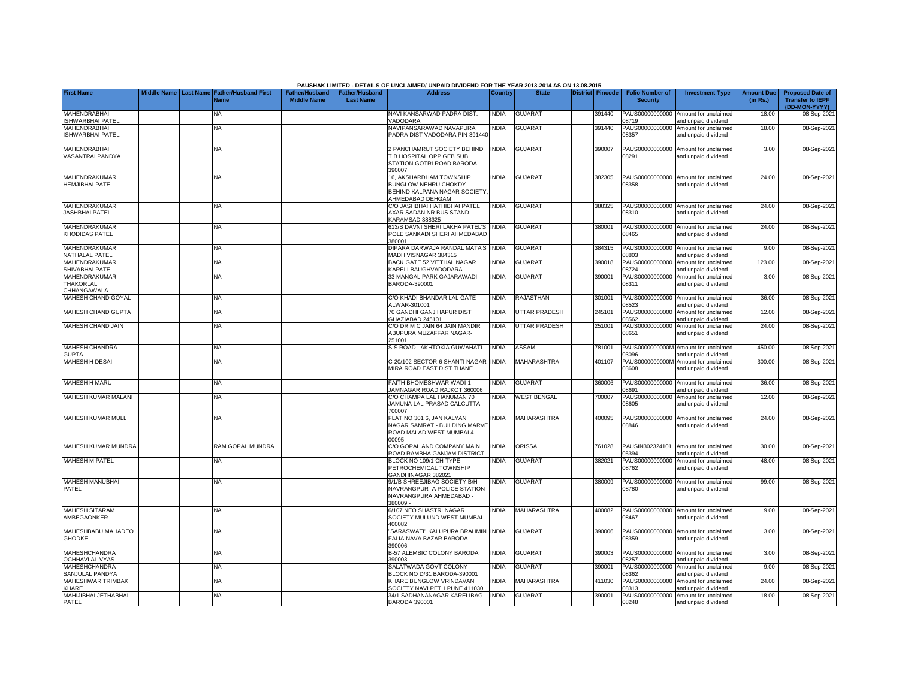|                                                                  |             |                  |                                     |                                             |                                    | PAUSHAK LIMITED - DETAILS OF UNCLAIMED/ UNPAID DIVIDEND FOR THE YEAR 2013-2014 AS ON 13.08.2015            |                |                      |                         |        |                                           |                                                                    |                               |                                                                     |
|------------------------------------------------------------------|-------------|------------------|-------------------------------------|---------------------------------------------|------------------------------------|------------------------------------------------------------------------------------------------------------|----------------|----------------------|-------------------------|--------|-------------------------------------------|--------------------------------------------------------------------|-------------------------------|---------------------------------------------------------------------|
| <b>First Name</b>                                                | Middle Name | <b>Last Name</b> | <b>Father/Husband First</b><br>Name | <b>Father/Husband</b><br><b>Middle Name</b> | Father/Husband<br><b>Last Name</b> | <b>Address</b>                                                                                             | <b>Country</b> | <b>State</b>         | <b>District Pincode</b> |        | <b>Folio Number of</b><br><b>Security</b> | <b>Investment Type</b>                                             | <b>Amount Due</b><br>(in Rs.) | <b>Proposed Date of</b><br><b>Transfer to IEPF</b><br>(DD-MON-YYYY) |
| <b>MAHENDRABHAI</b><br><b>ISHWARBHAI PATEL</b>                   |             |                  | NA                                  |                                             |                                    | NAVI KANSARWAD PADRA DIST.<br><b>ADODARA</b>                                                               | <b>INDIA</b>   | <b>GUJARAT</b>       |                         | 391440 | PAUS00000000000<br>08719                  | Amount for unclaimed<br>and unpaid dividend                        | 18.00                         | 08-Sep-2021                                                         |
| MAHENDRABHAI<br>ISHWARBHAI PATEL                                 |             |                  | <b>NA</b>                           |                                             |                                    | NAVIPANSARAWAD NAVAPURA<br>PADRA DIST VADODARA PIN-391440                                                  | <b>INDIA</b>   | <b>GUJARAT</b>       |                         | 391440 | PAUS00000000000<br>08357                  | Amount for unclaimed<br>and unpaid dividend                        | 18.00                         | 08-Sep-2021                                                         |
| <b>MAHENDRABHAI</b><br>VASANTRAI PANDYA                          |             |                  | NA                                  |                                             |                                    | 2 PANCHAMRUT SOCIETY BEHIND<br><b>B HOSPITAL OPP GEB SUB</b><br>STATION GOTRI ROAD BARODA<br>390007        | <b>INDIA</b>   | <b>GUJARAT</b>       |                         | 390007 | PAUS00000000000<br>08291                  | Amount for unclaimed<br>and unpaid dividend                        | 3.00                          | 08-Sep-2021                                                         |
| MAHENDRAKUMAR<br><b>HEMJIBHAI PATEL</b>                          |             |                  | NΑ                                  |                                             |                                    | 16, AKSHARDHAM TOWNSHIP<br><b>BUNGLOW NEHRU CHOKDY</b><br>BEHIND KALPANA NAGAR SOCIETY<br>AHMEDABAD DEHGAM | <b>INDIA</b>   | <b>GUJARAT</b>       |                         | 382305 | 08358                                     | PAUS00000000000 Amount for unclaimed<br>and unpaid dividend        | 24.00                         | 08-Sep-2021                                                         |
| MAHENDRAKUMAR<br><b>JASHBHAI PATEL</b>                           |             |                  | NA                                  |                                             |                                    | C/O JASHBHAI HATHIBHAI PATEL<br>AXAR SADAN NR BUS STAND<br>KARAMSAD 388325                                 | INDIA          | <b>GUJARAT</b>       |                         | 388325 | 08310                                     | PAUS00000000000 Amount for unclaimed<br>and unpaid dividend        | 24.00                         | 08-Sep-2021                                                         |
| MAHENDRAKUMAR<br>KHODIDAS PATEL                                  |             |                  | NA                                  |                                             |                                    | 613/B DAVNI SHERI LAKHA PATEL'S<br>POLE SANKADI SHERI AHMEDABAD<br>380001                                  | <b>INDIA</b>   | <b>GUJARAT</b>       |                         | 380001 | PAUS00000000000<br>08465                  | Amount for unclaimed<br>and unpaid dividend                        | 24.00                         | 08-Sep-2021                                                         |
| MAHENDRAKUMAR<br>NATHALAL PATEL                                  |             |                  | NA                                  |                                             |                                    | DIPARA DARWAJA RANDAL MATA'S<br>MADH VISNAGAR 384315                                                       | <b>INDIA</b>   | <b>GUJARAT</b>       |                         | 384315 | PAUS00000000000<br>08803                  | Amount for unclaimed<br>and unpaid dividend                        | 9.00                          | 08-Sep-2021                                                         |
| MAHENDRAKUMAR                                                    |             |                  | NA                                  |                                             |                                    | BACK GATE 52 VITTHAL NAGAR                                                                                 | <b>INDIA</b>   | <b>GUJARAT</b>       |                         | 390018 | PAUS00000000000                           | Amount for unclaimed                                               | 123.00                        | 08-Sep-2021                                                         |
| SHIVABHAI PATEL<br>MAHENDRAKUMAR                                 |             |                  | NA                                  |                                             |                                    | KARELI BAUGHVADODARA<br>33 MANGAL PARK GAJARAWADI                                                          | <b>INDIA</b>   | <b>GUJARAT</b>       |                         | 390001 | 08724<br>PAUS00000000000                  | and unpaid dividend<br>Amount for unclaimed                        | 3.00                          | 08-Sep-2021                                                         |
| <b>THAKORLAL</b><br>CHHANGAWALA                                  |             |                  |                                     |                                             |                                    | BARODA-390001                                                                                              |                |                      |                         |        | 08311                                     | and unpaid dividend                                                |                               |                                                                     |
| MAHESH CHAND GOYAL                                               |             |                  | NA                                  |                                             |                                    | C/O KHADI BHANDAR LAL GATE<br>ALWAR-301001                                                                 | <b>INDIA</b>   | RAJASTHAN            |                         | 301001 | PAUS00000000000<br>08523                  | Amount for unclaimed<br>and unpaid dividend                        | 36.00                         | 08-Sep-2021                                                         |
| <b>MAHESH CHAND GUPTA</b>                                        |             |                  | NA                                  |                                             |                                    | <b>70 GANDHI GANJ HAPUR DIST</b><br><b>GHAZIABAD 245101</b>                                                | <b>INDIA</b>   | <b>UTTAR PRADESH</b> |                         | 245101 | PAUS00000000000<br>8562                   | Amount for unclaimed<br>and unpaid dividend                        | 12.00                         | 08-Sep-2021                                                         |
| MAHESH CHAND JAIN                                                |             |                  | <b>NA</b>                           |                                             |                                    | C/O DR M C JAIN 64 JAIN MANDIR<br>ABUPURA MUZAFFAR NAGAR-<br>251001                                        | <b>INDIA</b>   | UTTAR PRADESH        |                         | 251001 | PAUS00000000000<br>08651                  | Amount for unclaimed<br>and unpaid dividend                        | 24.00                         | 08-Sep-2021                                                         |
| <b>MAHESH CHANDRA</b><br><b>GUPTA</b>                            |             |                  | NA                                  |                                             |                                    | S S ROAD LAKHTOKIA GUWAHATI                                                                                | <b>INDIA</b>   | ASSAM                |                         | 781001 | PAUS0000000000M<br>03096                  | Amount for unclaimed<br>and unpaid dividend                        | 450.00                        | 08-Sep-2021                                                         |
| MAHESH H DESAI                                                   |             |                  | NA                                  |                                             |                                    | C-20/102 SECTOR-6 SHANTI NAGAR INDIA<br>MIRA ROAD EAST DIST THANE                                          |                | <b>MAHARASHTRA</b>   |                         | 401107 | PAUS0000000000M<br>03608                  | Amount for unclaimed<br>and unpaid dividend                        | 300.00                        | 08-Sep-2021                                                         |
| MAHESH H MARU                                                    |             |                  | NA                                  |                                             |                                    | <b>FAITH BHOMESHWAR WADI-1</b><br>AMNAGAR ROAD RAJKOT 360006                                               | <b>INDIA</b>   | <b>GUJARAT</b>       |                         | 360006 | PAUS00000000000<br>08691                  | Amount for unclaimed<br>and unpaid dividend                        | 36.00                         | 08-Sep-2021                                                         |
| MAHESH KUMAR MALANI                                              |             |                  | <b>NA</b>                           |                                             |                                    | C/O CHAMPA LAL HANUMAN 70<br>JAMUNA LAL PRASAD CALCUTTA-<br>700007                                         | INDIA          | <b>WEST BENGAL</b>   |                         | 700007 | PAUS00000000000<br>08605                  | Amount for unclaimed<br>and unpaid dividend                        | 12.00                         | 08-Sep-2021                                                         |
| MAHESH KUMAR MULL                                                |             |                  | NA                                  |                                             |                                    | FLAT NO 301 6. JAN KALYAN<br>NAGAR SAMRAT - BUILDING MARVE<br>ROAD MALAD WEST MUMBAI 4-<br>10095           | INDIA          | <b>MAHARASHTRA</b>   |                         | 400095 | PAUS00000000000<br>08846                  | Amount for unclaimed<br>and unpaid dividend                        | 24.00                         | 08-Sep-2021                                                         |
| MAHESH KUMAR MUNDRA                                              |             |                  | RAM GOPAL MUNDRA                    |                                             |                                    | C/O GOPAL AND COMPANY MAIN<br><b>ROAD RAMBHA GANJAM DISTRICT</b>                                           | <b>INDIA</b>   | <b>ORISSA</b>        |                         | 761028 | PAUSIN302324101<br>15394                  | Amount for unclaimed<br>and unpaid dividend                        | 30.00                         | 08-Sep-2021                                                         |
| <b>MAHESH M PATEL</b>                                            |             |                  | NA                                  |                                             |                                    | BLOCK NO 109/1 CH-TYPE<br>PETROCHEMICAL TOWNSHIP<br>GANDHINAGAR 382021                                     | <b>INDIA</b>   | <b>GUJARAT</b>       |                         | 382021 | PAUS00000000000<br>08762                  | Amount for unclaimed<br>and unpaid dividend                        | 48.00                         | 08-Sep-2021                                                         |
| MAHESH MANUBHAI<br>PATEL                                         |             |                  | NA                                  |                                             |                                    | 9/1/B SHREEJIBAG SOCIETY B/H<br>NAVRANGPUR- A POLICE STATION<br>NAVRANGPURA AHMEDABAD -<br>380009-         | <b>INDIA</b>   | <b>GUJARAT</b>       |                         | 380009 | PAUS00000000000<br>08780                  | Amount for unclaimed<br>and unpaid dividend                        | 99.00                         | 08-Sep-2021                                                         |
| <b>MAHESH SITARAM</b><br>AMBEGAONKER                             |             |                  | NA                                  |                                             |                                    | 6/107 NEO SHASTRI NAGAR<br>SOCIETY MULUND WEST MUMBAI-<br>400082                                           | <b>INDIA</b>   | <b>MAHARASHTRA</b>   |                         | 400082 | 08467                                     | PAUS00000000000 Amount for unclaimed<br>and unpaid dividend        | 9.00                          | 08-Sep-2021                                                         |
| MAHESHBABU MAHADEO<br><b>GHODKE</b>                              |             |                  | NA                                  |                                             |                                    | 'SARASWATI" KALUPURA BRAHMIN<br>FALIA NAVA BAZAR BARODA-<br>390006                                         | <b>INDIA</b>   | <b>GUJARAT</b>       |                         | 390006 | PAUS00000000000<br>08359                  | Amount for unclaimed<br>and unpaid dividend                        | 3.00                          | 08-Sep-2021                                                         |
| <b>MAHESHCHANDRA</b>                                             |             |                  | NA                                  |                                             |                                    | B-57 ALEMBIC COLONY BARODA<br>390003                                                                       | INDIA          | <b>GUJARAT</b>       |                         | 390003 | PAUS00000000000<br>8257                   | Amount for unclaimed                                               | 3.00                          | 08-Sep-2021                                                         |
| <b>OCHHAVLAL VYAS</b><br><b>MAHESHCHANDRA</b><br>SANJULAL PANDYA |             |                  | NA                                  |                                             |                                    | SALATWADA GOVT COLONY<br>BLOCK NO D/31 BARODA-390001                                                       | <b>INDIA</b>   | <b>GUJARAT</b>       |                         | 390001 | PAUS00000000000<br>8362                   | and unpaid dividend<br>Amount for unclaimed<br>and unpaid dividend | 9.00                          | 08-Sep-2021                                                         |
| MAHESHWAR TRIMBAK<br>KHARE                                       |             |                  | <b>NA</b>                           |                                             |                                    | KHARE BUNGLOW VRINDAVAN<br>SOCIETY NAVI PETH PUNE 411030                                                   | <b>INDIA</b>   | <b>MAHARASHTRA</b>   |                         | 411030 | PAUS00000000000<br>08313                  | Amount for unclaimed<br>and unpaid dividend                        | 24.00                         | 08-Sep-2021                                                         |
| MAHIJIBHAI JETHABHAI<br>PATEL                                    |             |                  | NA                                  |                                             |                                    | 34/1 SADHANANAGAR KARELIBAG<br>BARODA 390001                                                               | <b>INDIA</b>   | <b>GUJARAT</b>       |                         | 390001 | 08248                                     | PAUS00000000000 Amount for unclaimed<br>and unpaid dividend        | 18.00                         | 08-Sep-2021                                                         |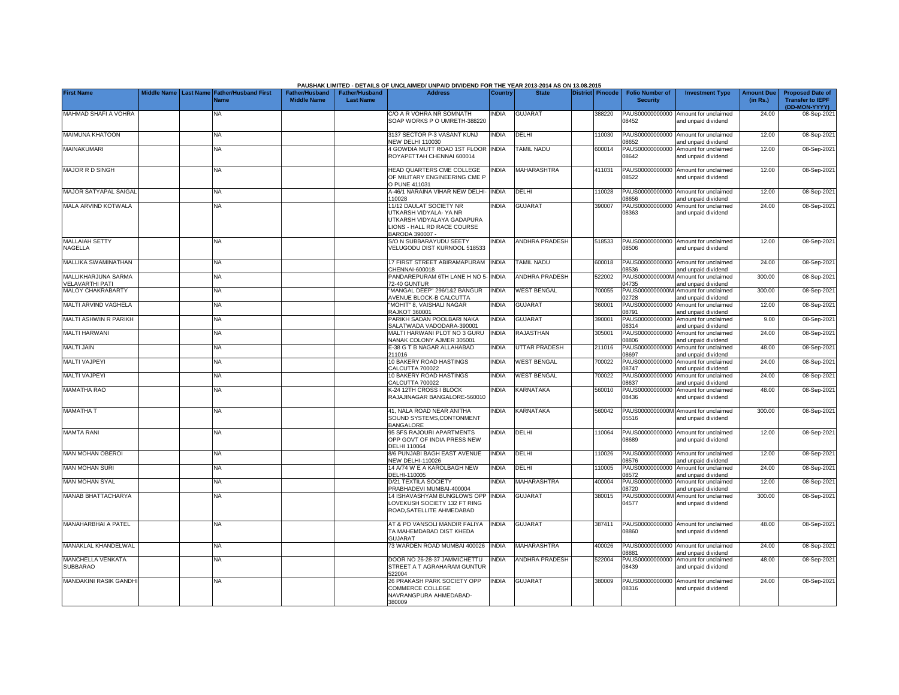|                                               |                                 |                                            |                                             |                                           | PAUSHAK LIMITED - DETAILS OF UNCLAIMED/ UNPAID DIVIDEND FOR THE YEAR 2013-2014 AS ON 13.08.2015                                   |              |                       |                  |                                           |                                                             |                               |                                                                     |
|-----------------------------------------------|---------------------------------|--------------------------------------------|---------------------------------------------|-------------------------------------------|-----------------------------------------------------------------------------------------------------------------------------------|--------------|-----------------------|------------------|-------------------------------------------|-------------------------------------------------------------|-------------------------------|---------------------------------------------------------------------|
| <b>First Name</b>                             | Middle Name<br><b>Last Name</b> | <b>Father/Husband First</b><br><b>Name</b> | <b>Father/Husband</b><br><b>Middle Name</b> | <b>Father/Husband</b><br><b>Last Name</b> | <b>Address</b>                                                                                                                    | Country      | <b>State</b>          | District Pincode | <b>Folio Number of</b><br><b>Security</b> | <b>Investment Type</b>                                      | <b>Amount Due</b><br>(in Rs.) | <b>Proposed Date of</b><br><b>Transfer to IEPF</b><br>(DD-MON-YYYY) |
| MAHMAD SHAFI A VOHRA                          |                                 | NA.                                        |                                             |                                           | C/O A R VOHRA NR SOMNATH<br>SOAP WORKS P O UMRETH-388220                                                                          | <b>NDIA</b>  | <b>GUJARAT</b>        | 388220           | PAUS00000000000<br>08452                  | Amount for unclaimed<br>and unpaid dividend                 | 24.00                         | 08-Sep-2021                                                         |
| <b>MAIMUNA KHATOON</b>                        |                                 | <b>NA</b>                                  |                                             |                                           | 3137 SECTOR P-3 VASANT KUNJ<br><b>NEW DELHI 110030</b>                                                                            | <b>INDIA</b> | DELHI                 | 110030           | 08652                                     | PAUS00000000000 Amount for unclaimed<br>and unpaid dividend | 12.00                         | 08-Sep-2021                                                         |
| MAINAKUMARI                                   |                                 | <b>NA</b>                                  |                                             |                                           | 4 GOWDIA MUTT ROAD 1ST FLOOR<br>ROYAPETTAH CHENNAI 600014                                                                         | <b>INDIA</b> | <b>TAMIL NADU</b>     | 600014           | 08642                                     | PAUS00000000000 Amount for unclaimed<br>and unpaid dividend | 12.00                         | 08-Sep-2021                                                         |
| <b>MAJOR R D SINGH</b>                        |                                 | <b>NA</b>                                  |                                             |                                           | HEAD QUARTERS CME COLLEGE<br>OF MILITARY ENGINEERING CME P<br>O PUNE 411031                                                       | <b>NDIA</b>  | <b>MAHARASHTRA</b>    | 411031           | 08522                                     | PAUS00000000000 Amount for unclaimed<br>and unpaid dividend | 12.00                         | 08-Sep-2021                                                         |
| <b>MAJOR SATYAPAL SAIGAL</b>                  |                                 | <b>NA</b>                                  |                                             |                                           | 4-46/1 NARAINA VIHAR NEW DELHI-<br>10028                                                                                          | <b>INDIA</b> | DELHI                 | 110028           | 8656                                      | PAUS00000000000 Amount for unclaimed<br>and unpaid dividend | 12.00                         | 08-Sep-202                                                          |
| <b>MALA ARVIND KOTWALA</b>                    |                                 | <b>NA</b>                                  |                                             |                                           | 11/12 DAULAT SOCIETY NR<br>UTKARSH VIDYALA- YA NR<br>UTKARSH VIDYALAYA GADAPURA<br>LIONS - HALL RD RACE COURSE<br>BARODA 390007 - | <b>NDIA</b>  | <b>GUJARAT</b>        | 390007           | PAUS00000000000<br>08363                  | Amount for unclaimed<br>and unpaid dividend                 | 24.00                         | 08-Sep-202                                                          |
| <b>MALLAIAH SETTY</b><br>NAGELLA              |                                 | NA                                         |                                             |                                           | S/O N SUBBARAYUDU SEETY<br>VELUGODU DIST KURNOOL 518533                                                                           | <b>NDIA</b>  | <b>ANDHRA PRADESH</b> | 518533           | 08506                                     | PAUS00000000000 Amount for unclaimed<br>and unpaid dividend | 12.00                         | 08-Sep-202                                                          |
| MALLIKA SWAMINATHAN                           |                                 | <b>NA</b>                                  |                                             |                                           | 17 FIRST STREET ABIRAMAPURAM<br>CHENNAI-600018                                                                                    | <b>INDIA</b> | <b>TAMIL NADU</b>     | 600018           | 8536                                      | PAUS00000000000 Amount for unclaimed<br>and unpaid dividend | 24.00                         | 08-Sep-202                                                          |
| MALLIKHARJUNA SARMA<br><b>VELAVARTHI PATI</b> |                                 | <b>NA</b>                                  |                                             |                                           | PANDAREPURAM 6TH LANE H NO 5-<br>72-40 GUNTUR                                                                                     | INDIA        | ANDHRA PRADESH        | 522002           | PAUS0000000000M<br>4735                   | Amount for unclaimed<br>and unpaid dividend                 | 300.00                        | 08-Sep-202                                                          |
| <b>MALOY CHAKRABARTY</b>                      |                                 | NA                                         |                                             |                                           | "MANGAL DEEP" 296/1&2 BANGUR<br><b>AVENUE BLOCK-B CALCUTTA</b>                                                                    | <b>INDIA</b> | <b>WEST BENGAL</b>    | 700055           | PAUS0000000000M<br>2728                   | Amount for unclaimed<br>and unpaid dividend                 | 300.00                        | 08-Sep-202                                                          |
| MALTI ARVIND VAGHELA                          |                                 | <b>NA</b>                                  |                                             |                                           | 'MOHIT" 8. VAISHALI NAGAR<br><b>RAJKOT 360001</b>                                                                                 | <b>INDIA</b> | <b>GUJARAT</b>        | 360001           | PAUS00000000000<br>08791                  | Amount for unclaimed<br>and unpaid dividend                 | 12.00                         | 08-Sep-2021                                                         |
| MALTI ASHWIN R PARIKH                         |                                 | <b>NA</b>                                  |                                             |                                           | PARIKH SADAN POOLBARI NAKA<br>SALATWADA VADODARA-390001                                                                           | <b>INDIA</b> | <b>GUJARAT</b>        | 390001           | PAUS00000000000<br>08314                  | Amount for unclaimed<br>and unpaid dividend                 | 9.00                          | 08-Sep-2021                                                         |
| MALTI HARWANI                                 |                                 | NA                                         |                                             |                                           | MALTI HARWANI PLOT NO 3 GURU<br>NANAK COLONY AJMER 305001                                                                         | <b>INDIA</b> | RAJASTHAN             | 305001           | PAUS00000000000<br>08806                  | Amount for unclaimed<br>and unpaid dividend                 | 24.00                         | 08-Sep-2021                                                         |
| <b>MALTI JAIN</b>                             |                                 | <b>NA</b>                                  |                                             |                                           | E-38 G T B NAGAR ALLAHABAD<br>211016                                                                                              | <b>INDIA</b> | <b>UTTAR PRADESH</b>  | 211016           | PAUS00000000000<br>8697                   | Amount for unclaimed<br>and unpaid dividend                 | 48.00                         | 08-Sep-2021                                                         |
| <b>MALTI VAJPEYI</b>                          |                                 | <b>NA</b>                                  |                                             |                                           | 10 BAKERY ROAD HASTINGS<br>CALCUTTA 700022                                                                                        | INDIA        | <b>WEST BENGAL</b>    | 700022           | PAUS00000000000<br>8747                   | Amount for unclaimed<br>nd unpaid dividend                  | 24.00                         | 08-Sep-202                                                          |
| <b>MALTI VAJPEYI</b>                          |                                 | NA                                         |                                             |                                           | 10 BAKERY ROAD HASTINGS<br>CALCUTTA 700022                                                                                        | <b>INDIA</b> | <b>WEST BENGAL</b>    | 700022           | PAUS00000000000<br>8637                   | Amount for unclaimed<br>and unpaid dividend                 | 24.00                         | 08-Sep-2021                                                         |
| <b>MAMATHA RAO</b>                            |                                 | <b>NA</b>                                  |                                             |                                           | <b>K-24 12TH CROSS I BLOCK</b><br>RAJAJINAGAR BANGALORE-560010                                                                    | <b>NDIA</b>  | KARNATAKA             | 560010           | PAUS00000000000<br>08436                  | Amount for unclaimed<br>and unpaid dividend                 | 48.00                         | 08-Sep-2021                                                         |
| <b>MAMATHAT</b>                               |                                 | NA                                         |                                             |                                           | 41, NALA ROAD NEAR ANITHA<br>SOUND SYSTEMS, CONTONMENT<br>BANGALORE                                                               | <b>NDIA</b>  | KARNATAKA             | 560042           | 05516                                     | PAUS0000000000M Amount for unclaimed<br>and unpaid dividend | 300.00                        | 08-Sep-2021                                                         |
| <b>MAMTA RANI</b>                             |                                 | ΝA                                         |                                             |                                           | 95 SFS RAJOURI APARTMENTS<br>OPP GOVT OF INDIA PRESS NEW<br>DELHI 110064                                                          | <b>NDIA</b>  | DELHI                 | 10064            | 98689                                     | PAUS00000000000 Amount for unclaimed<br>and unpaid dividend | 12.00                         | 08-Sep-2021                                                         |
| <b>MAN MOHAN OBEROI</b>                       |                                 | NA                                         |                                             |                                           | 8/6 PUNJABI BAGH EAST AVENUE<br><b>NEW DELHI-110026</b>                                                                           | INDIA        | DELHI                 | 110026           | 8576                                      | PAUS00000000000 Amount for unclaimed<br>and unpaid dividend | 12.00                         | 08-Sep-2021                                                         |
| <b>MAN MOHAN SURI</b>                         |                                 | <b>NA</b>                                  |                                             |                                           | 14 A/74 W E A KAROLBAGH NEW<br>DELHI-110005                                                                                       | <b>INDIA</b> | DELHI                 | 110005           | 8572                                      | PAUS00000000000 Amount for unclaimed<br>and unpaid dividend | 24.00                         | 08-Sep-2021                                                         |
| <b>MAN MOHAN SYAL</b>                         |                                 | <b>NA</b>                                  |                                             |                                           | D/21 TEXTILA SOCIETY<br>PRABHADEVI MUMBAI-400004                                                                                  | <b>NDIA</b>  | MAHARASHTRA           | 400004           | 08720                                     | PAUS00000000000 Amount for unclaimed<br>and unpaid dividend | 12.00                         | 08-Sep-2021                                                         |
| MANAB BHATTACHARYA                            |                                 | NA.                                        |                                             |                                           | 14 ISHAVASHYAM BUNGLOWS OPP<br>LOVEKUSH SOCIETY 132 FT RING<br>ROAD, SATELLITE AHMEDABAD                                          | <b>INDIA</b> | <b>GUJARAT</b>        | 380015           | 04577                                     | PAUS0000000000M Amount for unclaimed<br>and unpaid dividend | 300.00                        | 08-Sep-2021                                                         |
| <b>MANAHARBHAI A PATEL</b>                    |                                 | NA                                         |                                             |                                           | AT & PO VANSOLI MANDIR FALIYA<br>TA MAHEMDABAD DIST KHEDA<br>GUJARAT                                                              | <b>NDIA</b>  | <b>GUJARAT</b>        | 387411           | 08860                                     | PAUS00000000000 Amount for unclaimed<br>and unpaid dividend | 48.00                         | 08-Sep-2021                                                         |
| MANAKLAL KHANDELWAL                           |                                 | NA                                         |                                             |                                           | 73 WARDEN ROAD MUMBAI 400026                                                                                                      | <b>INDIA</b> | MAHARASHTRA           | 400026           | 08881                                     | PAUS00000000000 Amount for unclaimed<br>and unpaid dividend | 24.00                         | 08-Sep-2021                                                         |
| MANCHELLA VENKATA<br><b>SUBBARAO</b>          |                                 | <b>NA</b>                                  |                                             |                                           | DOOR NO 26-28-37 JAMMICHETTU<br>STREET A T AGRAHARAM GUNTUR<br>522004                                                             | <b>NDIA</b>  | <b>ANDHRA PRADESH</b> | 522004           | 08439                                     | PAUS00000000000 Amount for unclaimed<br>and unpaid dividend | 48.00                         | 08-Sep-2021                                                         |
| <b>MANDAKINI RASIK GANDH</b>                  |                                 | <b>NA</b>                                  |                                             |                                           | 26 PRAKASH PARK SOCIETY OPP<br>COMMERCE COLLEGE<br>NAVRANGPURA AHMEDABAD-<br>380009                                               | <b>INDIA</b> | <b>GUJARAT</b>        | 380009           | 08316                                     | PAUS00000000000 Amount for unclaimed<br>and unpaid dividend | 24.00                         | 08-Sep-202                                                          |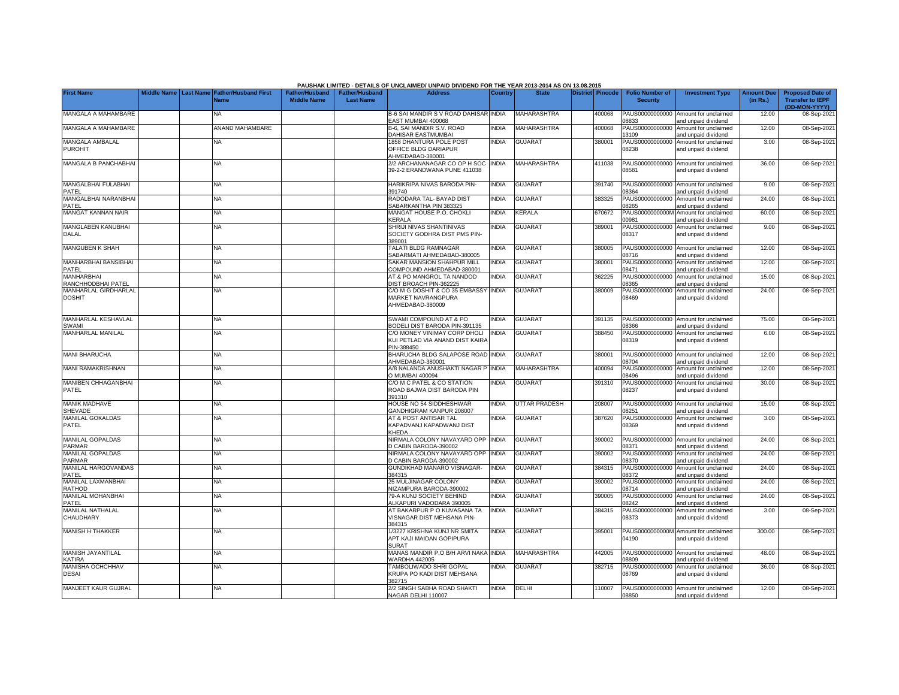|                                          |  |                                                               |                                      |                                    | PAUSHAK LIMITED - DETAILS OF UNCLAIMED/ UNPAID DIVIDEND FOR THE YEAR 2013-2014 AS ON 13.08.2015 |                |                      |                         |                                           |                                                             |                               |                                                                     |
|------------------------------------------|--|---------------------------------------------------------------|--------------------------------------|------------------------------------|-------------------------------------------------------------------------------------------------|----------------|----------------------|-------------------------|-------------------------------------------|-------------------------------------------------------------|-------------------------------|---------------------------------------------------------------------|
| <b>First Name</b>                        |  | Middle Name   Last Name   Father/Husband First<br><b>Name</b> | Father/Husband<br><b>Middle Name</b> | Father/Husband<br><b>Last Name</b> | <b>Address</b>                                                                                  | <b>Country</b> | <b>State</b>         | <b>District Pincode</b> | <b>Folio Number of</b><br><b>Security</b> | <b>Investment Type</b>                                      | <b>Amount Due</b><br>(in Rs.) | <b>Proposed Date of</b><br><b>Transfer to IEPF</b><br>(DD-MON-YYYY) |
| MANGALA A MAHAMBARE                      |  | NA.                                                           |                                      |                                    | B-6 SAI MANDIR S V ROAD DAHISAR INDIA<br>EAST MUMBAI 400068                                     |                | <b>MAHARASHTRA</b>   | 400068                  | PAUS00000000000<br>08833                  | Amount for unclaimed<br>and unpaid dividend                 | 12.00                         | 08-Sep-2021                                                         |
| MANGALA A MAHAMBARE                      |  | ANAND MAHAMBARE                                               |                                      |                                    | B-6, SAI MANDIR S.V. ROAD<br>DAHISAR EASTMUMBAI                                                 | <b>INDIA</b>   | <b>MAHARASHTRA</b>   | 400068                  | PAUS00000000000<br>13109                  | Amount for unclaimed<br>and unpaid dividend                 | 12.00                         | 08-Sep-2021                                                         |
| MANGALA AMBALAL<br><b>PUROHIT</b>        |  | NA                                                            |                                      |                                    | 1858 DHANTURA POLE POST<br>OFFICE BLDG DARIAPUR<br>AHMEDABAD-380001                             | <b>INDIA</b>   | <b>GUJARAT</b>       | 380001                  | PAUS00000000000<br>08238                  | Amount for unclaimed<br>and unpaid dividend                 | 3.00                          | 08-Sep-2021                                                         |
| <b>MANGALA B PANCHABHAI</b>              |  | NA                                                            |                                      |                                    | 2/2 ARCHANANAGAR CO OP H SOC<br>39-2-2 ERANDWANA PUNE 411038                                    | <b>INDIA</b>   | <b>MAHARASHTRA</b>   | 411038                  | PAUS00000000000<br>08581                  | Amount for unclaimed<br>and unpaid dividend                 | 36.00                         | 08-Sep-2021                                                         |
| MANGALBHAI FULABHAI<br>PATEL             |  | NA                                                            |                                      |                                    | HARIKRIPA NIVAS BARODA PIN-<br>391740                                                           | INDIA          | <b>GUJARAT</b>       | 391740                  | 08364                                     | PAUS00000000000 Amount for unclaimed<br>and unpaid dividend | 9.00                          | 08-Sep-2021                                                         |
| <b>MANGALBHAI NARANBHAI</b><br>PATFL     |  | NA                                                            |                                      |                                    | RADODARA TAL- BAYAD DIST<br>SABARKANTHA PIN 383325                                              | <b>INDIA</b>   | <b>GUJARAT</b>       | 383325                  | PAUS00000000000<br>08265                  | Amount for unclaimed<br>and unpaid dividend                 | 24.00                         | 08-Sep-2021                                                         |
| MANGAT KANNAN NAIR                       |  | NA                                                            |                                      |                                    | MANGAT HOUSE P.O. CHOKLI<br><b>CERALA</b>                                                       | <b>INDIA</b>   | KERALA               | 670672                  | PAUS0000000000M<br>00981                  | Amount for unclaimed<br>and unpaid dividend                 | 60.00                         | 08-Sep-2021                                                         |
| MANGLABEN KANUBHAI<br>DALAL              |  | NA                                                            |                                      |                                    | SHRIJI NIVAS SHANTINIVAS<br>SOCIETY GODHRA DIST PMS PIN-<br>389001                              | INDIA          | <b>GUJARAT</b>       | 389001                  | PAUS00000000000<br>08317                  | Amount for unclaimed<br>and unpaid dividend                 | 9.00                          | 08-Sep-2021                                                         |
| MANGUBEN K SHAH                          |  | NA                                                            |                                      |                                    | TALATI BLDG RAMNAGAR<br>SABARMATI AHMEDABAD-380005                                              | <b>INDIA</b>   | <b>GUJARAT</b>       | 380005                  | PAUS00000000000<br>18716                  | Amount for unclaimed<br>and unpaid dividend                 | 12.00                         | 08-Sep-2021                                                         |
| <b>MANHARBHAI BANSIBHAI</b><br>PATEL     |  | NA                                                            |                                      |                                    | SAKAR MANSION SHAHPUR MILL<br>COMPOUND AHMEDABAD-380001                                         | <b>INDIA</b>   | <b>GUJARAT</b>       | 380001                  | PAUS00000000000<br>08471                  | Amount for unclaimed<br>and unpaid dividend                 | 12.00                         | 08-Sep-2021                                                         |
| <b>MANHARBHAI</b><br>RANCHHODBHAI PATEL  |  | NA                                                            |                                      |                                    | AT & PO MANGROL TA NANDOD<br>DIST BROACH PIN-362225                                             | <b>INDIA</b>   | <b>GUJARAT</b>       | 362225                  | PAUS00000000000<br>08365                  | Amount for unclaimed<br>and unpaid dividend                 | 15.00                         | 08-Sep-2021                                                         |
| MANHARLAL GIRDHARLAL<br><b>DOSHIT</b>    |  | NA                                                            |                                      |                                    | C/O M G DOSHIT & CO 35 EMBASSY INDIA<br>MARKET NAVRANGPURA<br>AHMEDABAD-380009                  |                | <b>GUJARAT</b>       | 380009                  | PAUS00000000000<br>08469                  | Amount for unclaimed<br>and unpaid dividend                 | 24.00                         | 08-Sep-2021                                                         |
| MANHARLAL KESHAVLAL<br>SWAMI             |  | NA                                                            |                                      |                                    | SWAMI COMPOUND AT & PO<br><b>BODELI DIST BARODA PIN-391135</b>                                  | <b>INDIA</b>   | <b>GUJARAT</b>       | 391135                  | 08366                                     | PAUS00000000000 Amount for unclaimed<br>and unpaid dividend | 75.00                         | 08-Sep-2021                                                         |
| MANHARLAL MANILAL                        |  | NA                                                            |                                      |                                    | C/O MONEY VINIMAY CORP DHOLI<br>KUI PETLAD VIA ANAND DIST KAIRA<br>PIN-388450                   | <b>INDIA</b>   | <b>GUJARAT</b>       | 388450                  | PAUS00000000000<br>08319                  | Amount for unclaimed<br>and unpaid dividend                 | 6.00                          | 08-Sep-2021                                                         |
| <b>MANI BHARUCHA</b>                     |  | <b>NA</b>                                                     |                                      |                                    | BHARUCHA BLDG SALAPOSE ROAD INDIA<br>AHMEDABAD-380001                                           |                | <b>GUJARAT</b>       | 380001                  | PAUS00000000000<br>08704                  | Amount for unclaimed<br>and unpaid dividend                 | 12.00                         | 08-Sep-2021                                                         |
| MANI RAMAKRISHNAN                        |  | NA                                                            |                                      |                                    | A/8 NALANDA ANUSHAKTI NAGAR P<br>D MUMBAI 400094                                                | <b>INDIA</b>   | <b>MAHARASHTRA</b>   | 400094                  | PAUS00000000000<br>08496                  | Amount for unclaimed<br>and unpaid dividend                 | 12.00                         | 08-Sep-2021                                                         |
| MANIBEN CHHAGANBHAI<br>PATEL             |  | NA                                                            |                                      |                                    | C/O M C PATEL & CO STATION<br>ROAD BAJWA DIST BARODA PIN<br>391310                              | <b>INDIA</b>   | <b>GUJARAT</b>       | 391310                  | PAUS00000000000<br>08237                  | Amount for unclaimed<br>and unpaid dividend                 | 30.00                         | 08-Sep-2021                                                         |
| <b>MANIK MADHAVE</b><br>SHEVADE          |  | NA                                                            |                                      |                                    | HOUSE NO 54 SIDDHESHWAR<br><b>GANDHIGRAM KANPUR 208007</b>                                      | <b>INDIA</b>   | <b>UTTAR PRADESH</b> | 208007                  | PAUS00000000000<br>08251                  | Amount for unclaimed<br>and unpaid dividend                 | 15.00                         | 08-Sep-2021                                                         |
| MANILAL GOKALDAS<br>PATEL                |  | NA                                                            |                                      |                                    | AT & POST ANTISAR TAL<br>KAPADVANJ KAPADWANJ DIST<br>KHEDA                                      | <b>INDIA</b>   | <b>GUJARAT</b>       | 387620                  | PAUS00000000000<br>08369                  | Amount for unclaimed<br>and unpaid dividend                 | 3.00                          | 08-Sep-2021                                                         |
| MANILAL GOPALDAS<br><b>PARMAR</b>        |  | NA                                                            |                                      |                                    | NIRMALA COLONY NAVAYARD OPP INDIA<br>D CABIN BARODA-390002                                      |                | <b>GUJARAT</b>       | 390002                  | PAUS00000000000<br>08371                  | Amount for unclaimed<br>and unpaid dividend                 | 24.00                         | 08-Sep-2021                                                         |
| <b>MANILAL GOPALDAS</b><br><b>PARMAR</b> |  | NA.                                                           |                                      |                                    | NIRMALA COLONY NAVAYARD OPP<br>D CABIN BARODA-390002                                            | <b>INDIA</b>   | <b>GUJARAT</b>       | 390002                  | PAUS00000000000<br>08370                  | Amount for unclaimed<br>and unpaid dividend                 | 24.00                         | 08-Sep-2021                                                         |
| MANILAL HARGOVANDAS<br>PATEL             |  | NA                                                            |                                      |                                    | GUNDIKHAD MANARO VISNAGAR-<br>384315                                                            | <b>INDIA</b>   | <b>GUJARAT</b>       | 384315                  | PAUS00000000000<br>8372                   | Amount for unclaimed<br>nd unpaid dividend                  | 24.00                         | 08-Sep-2021                                                         |
| MANILAL LAXMANBHAI<br><b>RATHOD</b>      |  | <b>NA</b>                                                     |                                      |                                    | 25 MULJINAGAR COLONY<br>NIZAMPURA BARODA-390002                                                 | <b>INDIA</b>   | <b>GUJARAT</b>       | 390002                  | PAUS00000000000<br>08714                  | Amount for unclaimed<br>and unpaid dividend                 | 24.00                         | 08-Sep-2021                                                         |
| <b>MANILAL MOHANBHAI</b><br>PATEL        |  | NA                                                            |                                      |                                    | 79-A KUNJ SOCIETY BEHIND<br>ALKAPURI VADODARA 390005                                            | <b>INDIA</b>   | <b>GUJARAT</b>       | 390005                  | PAUS00000000000<br>08242                  | Amount for unclaimed<br>and unpaid dividend                 | 24.00                         | 08-Sep-2021                                                         |
| MANILAL NATHALAL<br>CHAUDHARY            |  | NA                                                            |                                      |                                    | AT BAKARPUR P O KUVASANA TA<br>VISNAGAR DIST MEHSANA PIN-<br>384315                             | INDIA          | <b>GUJARAT</b>       | 384315                  | PAUS00000000000<br>08373                  | Amount for unclaimed<br>and unpaid dividend                 | 3.00                          | 08-Sep-2021                                                         |
| <b>MANISH H THAKKER</b>                  |  | <b>NA</b>                                                     |                                      |                                    | 1/3227 KRISHNA KUNJ NR SMITA<br>APT KAJI MAIDAN GOPIPURA<br>SURAT                               | <b>INDIA</b>   | <b>GUJARAT</b>       | 395001                  | 04190                                     | PAUS0000000000M Amount for unclaimed<br>and unpaid dividend | 300.00                        | 08-Sep-2021                                                         |
| MANISH JAYANTILAL<br><b>KATIRA</b>       |  | NA.                                                           |                                      |                                    | MANAS MANDIR P.O B/H ARVI NAKA INDIA<br>VARDHA 442005                                           |                | <b>MAHARASHTRA</b>   | 442005                  | PAUS00000000000<br>08809                  | Amount for unclaimed<br>and unpaid dividend                 | 48.00                         | 08-Sep-2021                                                         |
| MANISHA OCHCHHAV<br><b>DESAI</b>         |  | NA                                                            |                                      |                                    | TAMBOLIWADO SHRI GOPAL<br>KRUPA PO KADI DIST MEHSANA<br>382715                                  | <b>INDIA</b>   | <b>GUJARAT</b>       | 382715                  | PAUS00000000000<br>08769                  | Amount for unclaimed<br>and unpaid dividend                 | 36.00                         | 08-Sep-2021                                                         |
| MANJEET KAUR GUJRAL                      |  | <b>NA</b>                                                     |                                      |                                    | 2/2 SINGH SABHA ROAD SHAKTI<br>NAGAR DELHI 110007                                               | <b>INDIA</b>   | <b>DELHI</b>         | 110007                  | 08850                                     | PAUS00000000000 Amount for unclaimed<br>and unpaid dividend | 12.00                         | 08-Sep-2021                                                         |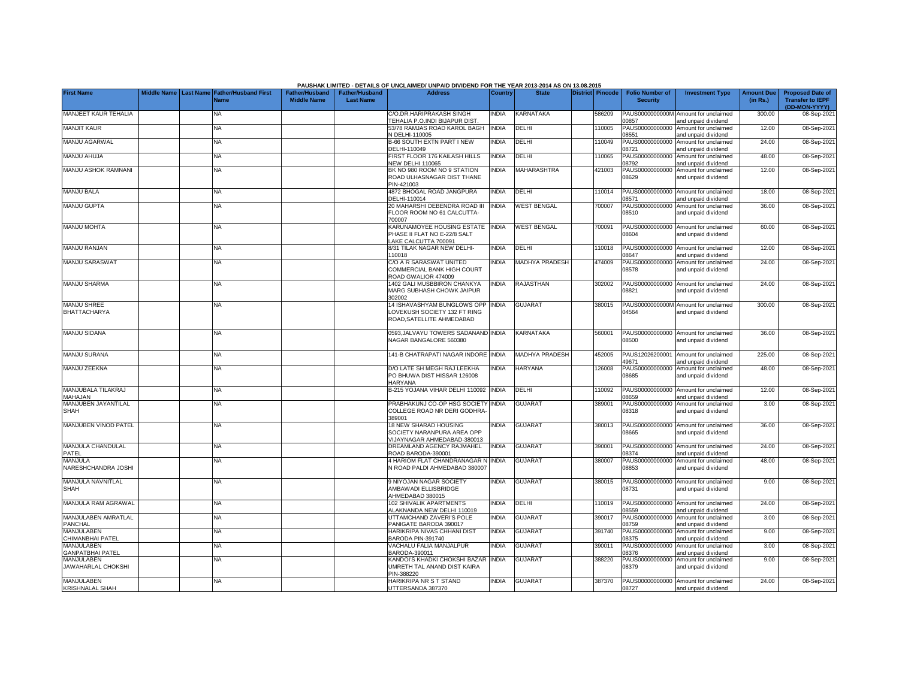|                                       |                       |                                            |                                             |                                           | PAUSHAK LIMITED - DETAILS OF UNCLAIMED/ UNPAID DIVIDEND FOR THE YEAR 2013-2014 AS ON 13.08.2015 |              |                       |                  |                                           |                                                                    |                               |                                                                     |
|---------------------------------------|-----------------------|--------------------------------------------|---------------------------------------------|-------------------------------------------|-------------------------------------------------------------------------------------------------|--------------|-----------------------|------------------|-------------------------------------------|--------------------------------------------------------------------|-------------------------------|---------------------------------------------------------------------|
| <b>First Name</b>                     | Middle Name Last Name | <b>Father/Husband First</b><br><b>Name</b> | <b>Father/Husband</b><br><b>Middle Name</b> | <b>Father/Husband</b><br><b>Last Name</b> | <b>Address</b>                                                                                  | Country      | <b>State</b>          | District Pincode | <b>Folio Number of</b><br><b>Security</b> | <b>Investment Type</b>                                             | <b>Amount Due</b><br>(in Rs.) | <b>Proposed Date of</b><br><b>Transfer to IEPF</b><br>(DD-MON-YYYY) |
| MANJEET KAUR TEHALIA                  |                       | <b>NA</b>                                  |                                             |                                           | C/O.DR.HARIPRAKASH SINGH<br>TEHALIA P.O.INDI BIJAPUR DIST                                       | <b>INDIA</b> | <b>KARNATAKA</b>      | 586209           | 00857                                     | PAUS0000000000M Amount for unclaimed<br>and unpaid dividend        | 300.00                        | 08-Sep-2021                                                         |
| <b>MANJIT KAUR</b>                    |                       | <b>NA</b>                                  |                                             |                                           | 53/78 RAMJAS ROAD KAROL BAGH<br>N DELHI-110005                                                  | <b>INDIA</b> | DELHI                 | 110005           | PAUS00000000000<br>08551                  | Amount for unclaimed<br>and unpaid dividend                        | 12.00                         | 08-Sep-2021                                                         |
| MANJU AGARWAL                         |                       | NA                                         |                                             |                                           | B-66 SOUTH EXTN PART I NEW                                                                      | <b>INDIA</b> | DELHI                 | 110049           | PAUS00000000000                           | Amount for unclaimed                                               | 24.00                         | 08-Sep-2021                                                         |
| MANJU AHUJA                           |                       | <b>NA</b>                                  |                                             |                                           | DELHI-110049<br>FIRST FLOOR 176 KAILASH HILLS<br><b>VEW DELHI 110065</b>                        | <b>INDIA</b> | DELHI                 | 110065           | 08721<br>PAUS00000000000<br>08792         | and unpaid dividend<br>Amount for unclaimed<br>and unpaid dividend | 48.00                         | 08-Sep-2021                                                         |
| MANJU ASHOK RAMNANI                   |                       | NA                                         |                                             |                                           | BK NO 980 ROOM NO 9 STATION<br>ROAD ULHASNAGAR DIST THANE                                       | <b>NDIA</b>  | <b>MAHARASHTRA</b>    | 421003           | PAUS00000000000<br>08629                  | Amount for unclaimed<br>and unpaid dividend                        | 12.00                         | 08-Sep-2021                                                         |
| <b>MANJU BALA</b>                     |                       | <b>NA</b>                                  |                                             |                                           | PIN-421003<br>4872 BHOGAL ROAD JANGPURA                                                         | <b>INDIA</b> | DELHI                 | 110014           | PAUS00000000000                           | Amount for unclaimed                                               | 18.00                         | 08-Sep-2021                                                         |
| <b>MANJU GUPTA</b>                    |                       | <b>NA</b>                                  |                                             |                                           | DELHI-110014<br>20 MAHARSHI DEBENDRA ROAD III<br>FLOOR ROOM NO 61 CALCUTTA-<br>700007           | <b>INDIA</b> | <b>WEST BENGAL</b>    | 700007           | 08571<br>PAUS00000000000<br>08510         | nd unpaid dividend<br>Amount for unclaimed<br>and unpaid dividend  | 36.00                         | 08-Sep-2021                                                         |
| <b>MANJU MOHTA</b>                    |                       | NA                                         |                                             |                                           | KARUNAMOYEE HOUSING ESTATE<br>PHASE II FLAT NO E-22/8 SALT<br>AKE CALCUTTA 700091               | <b>INDIA</b> | <b>WEST BENGAL</b>    | 700091           | PAUS00000000000<br>08604                  | Amount for unclaimed<br>and unpaid dividend                        | 60.00                         | 08-Sep-2021                                                         |
| <b>MANJU RANJAN</b>                   |                       | <b>NA</b>                                  |                                             |                                           | 8/31 TILAK NAGAR NEW DELHI-<br>110018                                                           | <b>INDIA</b> | DELHI                 | 110018           | 08647                                     | PAUS00000000000 Amount for unclaimed<br>and unpaid dividend        | 12.00                         | 08-Sep-2021                                                         |
| MANJU SARASWAT                        |                       | NA                                         |                                             |                                           | C/O A R SARASWAT UNITED<br>COMMERCIAL BANK HIGH COURT<br>ROAD GWALIOR 474009                    | <b>NDIA</b>  | <b>MADHYA PRADESH</b> | 474009           | PAUS00000000000<br>08578                  | Amount for unclaimed<br>and unpaid dividend                        | 24.00                         | 08-Sep-2021                                                         |
| MANJU SHARMA                          |                       | NΑ                                         |                                             |                                           | 1402 GALI MUSBBIRON CHANKYA<br>MARG SUBHASH CHOWK JAIPUR<br>302002                              | <b>NDIA</b>  | <b>RAJASTHAN</b>      | 302002           | PAUS00000000000<br>08821                  | Amount for unclaimed<br>and unpaid dividend                        | 24.00                         | 08-Sep-2021                                                         |
| MANJU SHREE<br><b>BHATTACHARYA</b>    |                       | <b>NA</b>                                  |                                             |                                           | 14 ISHAVASHYAM BUNGLOWS OPP<br>LOVEKUSH SOCIETY 132 FT RING<br>ROAD.SATELLITE AHMEDABAD         | <b>INDIA</b> | <b>GUJARAT</b>        | 380015           | 04564                                     | PAUS0000000000M Amount for unclaimed<br>and unpaid dividend        | 300.00                        | 08-Sep-2021                                                         |
| <b>MANJU SIDANA</b>                   |                       | <b>NA</b>                                  |                                             |                                           | 0593, JALVAYU TOWERS SADANAND INDIA<br>NAGAR BANGALORE 560380                                   |              | <b>KARNATAKA</b>      | 560001           | PAUS00000000000<br>08500                  | Amount for unclaimed<br>and unpaid dividend                        | 36.00                         | 08-Sep-2021                                                         |
| <b>MANJU SURANA</b>                   |                       | <b>NA</b>                                  |                                             |                                           | 141-B CHATRAPATI NAGAR INDORE INDIA                                                             |              | <b>MADHYA PRADESH</b> | 452005           | PAUS12026200001<br>19671                  | Amount for unclaimed<br>nd unpaid dividend                         | 225.00                        | 08-Sep-2021                                                         |
| MANJU ZEEKNA                          |                       | NΑ                                         |                                             |                                           | D/O LATE SH MEGH RAJ LEEKHA<br>PO BHUWA DIST HISSAR 126008<br>HARYANA                           | <b>NDIA</b>  | <b>HARYANA</b>        | 126008           | PAUS00000000000<br>08685                  | Amount for unclaimed<br>and unpaid dividend                        | 48.00                         | 08-Sep-2021                                                         |
| MANJUBALA TILAKRAJ<br>MAHAJAN         |                       | NA                                         |                                             |                                           | B-215 YOJANA VIHAR DELHI 110092                                                                 | <b>INDIA</b> | DELHI                 | 110092           | PAUS00000000000<br>08659                  | Amount for unclaimed<br>and unpaid dividend                        | 12.00                         | 08-Sep-2021                                                         |
| MANJUBEN JAYANTILAL<br>SHAH           |                       | <b>NA</b>                                  |                                             |                                           | PRABHAKUNJ CO-OP HSG SOCIETY<br>COLLEGE ROAD NR DERI GODHRA<br>389001                           | <b>INDIA</b> | <b>GUJARAT</b>        | 389001           | PAUS00000000000<br>08318                  | Amount for unclaimed<br>and unpaid dividend                        | 3.00                          | 08-Sep-2021                                                         |
| MANJUBEN VINOD PATEL                  |                       | NA                                         |                                             |                                           | 18 NEW SHARAD HOUSING<br>SOCIETY NARANPURA AREA OPP<br>VIJAYNAGAR AHMEDABAD-380013              | <b>NDIA</b>  | <b>GUJARAT</b>        | 380013           | PAUS00000000000<br>08665                  | Amount for unclaimed<br>and unpaid dividend                        | 36.00                         | 08-Sep-2021                                                         |
| MANJULA CHANDULAL<br>PATEL            |                       | <b>NA</b>                                  |                                             |                                           | DREAMLAND AGENCY RAJMAHEL<br>ROAD BARODA-390001                                                 | <b>INDIA</b> | <b>GUJARAT</b>        | 390001           | 08374                                     | PAUS00000000000 Amount for unclaimed<br>and unpaid dividend        | 24.00                         | 08-Sep-2021                                                         |
| <b>MANJULA</b><br>NARESHCHANDRA JOSHI |                       | NA                                         |                                             |                                           | 4 HARIOM FLAT CHANDRANAGAR N<br>N ROAD PALDI AHMEDABAD 380007                                   | <b>NDIA</b>  | <b>GUJARAT</b>        | 380007           | PAUS00000000000<br>08853                  | Amount for unclaimed<br>and unpaid dividend                        | 48.00                         | 08-Sep-2021                                                         |
| MANJULA NAVNITLAL<br><b>SHAH</b>      |                       | <b>NA</b>                                  |                                             |                                           | 9 NIYOJAN NAGAR SOCIETY<br>AMBAWADI ELLISBRIDGE<br>AHMEDABAD 380015                             | <b>INDIA</b> | <b>GUJARAT</b>        | 380015           | PAUS00000000000<br>08731                  | Amount for unclaimed<br>and unpaid dividend                        | 9.00                          | 08-Sep-2021                                                         |
| MANJULA RAM AGRAWAL                   |                       | <b>NA</b>                                  |                                             |                                           | 102 SHIVALIK APARTMENTS<br>ALAKNANDA NEW DELHI 110019                                           | <b>INDIA</b> | DELHI                 | 110019           | PAUS00000000000<br>08559                  | Amount for unclaimed<br>nd unpaid dividend                         | 24.00                         | 08-Sep-2021                                                         |
| MANJULABEN AMRATLAL<br>PANCHAL        |                       | <b>NA</b>                                  |                                             |                                           | UTTAMCHAND ZAVERI'S POLE<br>PANIGATE BARODA 390017                                              | <b>INDIA</b> | <b>GUJARAT</b>        | 390017           | PAUS00000000000<br>08759                  | Amount for unclaimed<br>and unpaid dividend                        | 3.00                          | 08-Sep-2021                                                         |
| MANJULABEN<br>CHIMANBHAI PATEL        |                       | <b>NA</b>                                  |                                             |                                           | HARIKRIPA NIVAS CHHANI DIST<br>BARODA PIN-391740                                                | <b>INDIA</b> | <b>GUJARAT</b>        | 391740           | PAUS00000000000<br>08375                  | Amount for unclaimed<br>and unpaid dividend                        | 9.00                          | 08-Sep-2021                                                         |
| MANJULABEN<br><b>GANPATBHAI PATEL</b> |                       | NA                                         |                                             |                                           | VACHALU FALIA MANJALPUR<br>BARODA-390011                                                        | <b>NDIA</b>  | <b>GUJARAT</b>        | 390011           | PAUS00000000000<br>08376                  | Amount for unclaimed<br>and unpaid dividend                        | 3.00                          | 08-Sep-2021                                                         |
| MANJULABEN<br>JAWAHARLAL CHOKSHI      |                       | <b>NA</b>                                  |                                             |                                           | KANDOI'S KHADKI CHOKSHI BAZAR<br>UMRETH TAL ANAND DIST KAIRA<br>PIN-388220                      | <b>INDIA</b> | <b>GUJARAT</b>        | 388220           | PAUS00000000000<br>08379                  | Amount for unclaimed<br>and unpaid dividend                        | 9.00                          | 08-Sep-2021                                                         |
| <b>MANJULABEN</b><br>KRISHNALAL SHAH  |                       | NA                                         |                                             |                                           | HARIKRIPA NR S T STAND<br>UTTERSANDA 387370                                                     | <b>INDIA</b> | <b>GUJARAT</b>        | 387370           | PAUS00000000000<br>08727                  | Amount for unclaimed<br>and unpaid dividend                        | 24.00                         | 08-Sep-2021                                                         |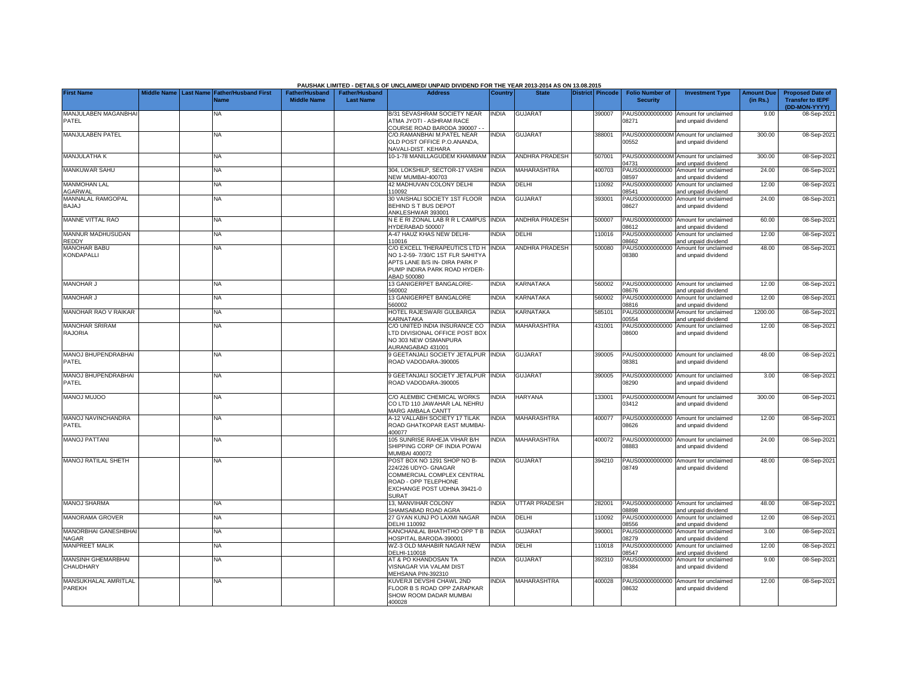|                                             |             |                                               |                                             |                                           | PAUSHAK LIMITED - DETAILS OF UNCLAIMED/ UNPAID DIVIDEND FOR THE YEAR 2013-2014 AS ON 13.08.2015                                                          |                |                       |                         |                                           |                                                             |                               |                                                                     |
|---------------------------------------------|-------------|-----------------------------------------------|---------------------------------------------|-------------------------------------------|----------------------------------------------------------------------------------------------------------------------------------------------------------|----------------|-----------------------|-------------------------|-------------------------------------------|-------------------------------------------------------------|-------------------------------|---------------------------------------------------------------------|
| <b>First Name</b>                           | Middle Name | <b>Last Name Father/Husband First</b><br>Name | <b>Father/Husband</b><br><b>Middle Name</b> | <b>Father/Husband</b><br><b>Last Name</b> | <b>Address</b>                                                                                                                                           | <b>Country</b> | <b>State</b>          | <b>District Pincode</b> | <b>Folio Number of</b><br><b>Security</b> | <b>Investment Type</b>                                      | <b>Amount Due</b><br>(in Rs.) | <b>Proposed Date of</b><br><b>Transfer to IEPF</b><br>(DD-MON-YYYY) |
| MANJULABEN MAGANBHA<br>PATEL                |             | <b>NA</b>                                     |                                             |                                           | <b>B/31 SEVASHRAM SOCIETY NEAR</b><br><b>ATMA JYOTI - ASHRAM RACE</b><br>COURSE ROAD BARODA 390007 -                                                     | INDIA          | <b>GUJARAT</b>        | 390007                  | PAUS00000000000<br>08271                  | Amount for unclaimed<br>and unpaid dividend                 | 9.00                          | 08-Sep-202                                                          |
| <b>MANJULABEN PATEL</b>                     |             | NA                                            |                                             |                                           | C/O.RAMANBHAI M.PATEL NEAR<br>OLD POST OFFICE P.O.ANANDA.<br><b>VAVALI-DIST. KEHARA</b>                                                                  | <b>NDIA</b>    | <b>GUJARAT</b>        | 388001                  | 00552                                     | PAUS0000000000M Amount for unclaimed<br>and unpaid dividend | 300.00                        | 08-Sep-2021                                                         |
| <b>MANJULATHA K</b>                         |             | <b>NA</b>                                     |                                             |                                           | 10-1-78 MANILLAGUDEM KHAMMAM                                                                                                                             | <b>INDIA</b>   | <b>ANDHRA PRADESH</b> | 507001                  | 4731                                      | PAUS0000000000M Amount for unclaimed<br>and unpaid dividend | 300.00                        | 08-Sep-202                                                          |
| <b>MANKUWAR SAHU</b>                        |             | <b>NA</b>                                     |                                             |                                           | 304. LOKSHILP, SECTOR-17 VASHI<br>NEW MUMBAI-400703                                                                                                      | <b>INDIA</b>   | <b>MAHARASHTRA</b>    | 400703                  | PAUS00000000000<br>8597                   | Amount for unclaimed<br>and unpaid dividend                 | 24.00                         | 08-Sep-202                                                          |
| <b>MANMOHAN LAL</b><br>AGARWAL              |             | NA                                            |                                             |                                           | <b>42 MADHUVAN COLONY DELHI</b><br>110092                                                                                                                | <b>NDIA</b>    | DELHI                 | 110092                  | PAUS00000000000<br>08541                  | Amount for unclaimed<br>and unpaid dividend                 | 12.00                         | 08-Sep-202                                                          |
| MANNALAL RAMGOPAL<br>BAJAJ                  |             | <b>NA</b>                                     |                                             |                                           | 30 VAISHALI SOCIETY 1ST FLOOR<br>BEHIND S T BUS DEPOT<br>ANKLESHWAR 393001                                                                               | <b>INDIA</b>   | GUJARA <sub>1</sub>   | 393001                  | PAUS00000000000<br>08627                  | Amount for unclaimed<br>and unpaid dividend                 | 24.00                         | 08-Sep-202                                                          |
| <b>MANNE VITTAL RAO</b>                     |             | NA                                            |                                             |                                           | NEE RIZONAL LABRR L CAMPUS INDIA<br>HYDERABAD 500007                                                                                                     |                | ANDHRA PRADESH        | 500007                  | 8612                                      | PAUS00000000000 Amount for unclaimed<br>and unpaid dividend | 60.00                         | 08-Sep-202                                                          |
| <b>MANNUR MADHUSUDAN</b><br><b>REDDY</b>    |             | NA                                            |                                             |                                           | 4-47 HAUZ KHAS NEW DELHI-<br>110016                                                                                                                      | <b>INDIA</b>   | DELHI                 | 110016                  | 8662                                      | PAUS00000000000 Amount for unclaimed<br>and unpaid dividend | 12.00                         | 08-Sep-202                                                          |
| <b>MANOHAR BABU</b><br>KONDAPALLI           |             | NA                                            |                                             |                                           | C/O EXCELL THERAPEUTICS LTD H<br>NO 1-2-59- 7/30/C 1ST FLR SAHITYA<br>APTS LANE B/S IN- DIRA PARK P<br>PUMP INDIRA PARK ROAD HYDER-<br>ABAD 500080       | <b>NDIA</b>    | ANDHRA PRADESH        | 500080                  | 08380                                     | PAUS00000000000 Amount for unclaimed<br>and unpaid dividend | 48.00                         | 08-Sep-202                                                          |
| <b>MANOHAR J</b>                            |             | <b>NA</b>                                     |                                             |                                           | 13 GANIGERPET BANGALORE-<br>560002                                                                                                                       | <b>INDIA</b>   | KARNATAKA             | 560002                  | 8676                                      | PAUS00000000000 Amount for unclaimed<br>and unpaid dividend | 12.00                         | 08-Sep-202                                                          |
| <b>MANOHAR J</b>                            |             | <b>NA</b>                                     |                                             |                                           | 13 GANIGERPET BANGALORE<br>560002                                                                                                                        | <b>INDIA</b>   | KARNATAKA             | 560002                  | 8816                                      | PAUS00000000000 Amount for unclaimed<br>and unpaid dividend | 12.00                         | 08-Sep-202                                                          |
| MANOHAR RAO V RAIKAR                        |             | <b>NA</b>                                     |                                             |                                           | HOTEL RAJESWARI GULBARGA<br>KARNATAKA                                                                                                                    | <b>NDIA</b>    | KARNATAKA             | 585101                  | 0554                                      | PAUS0000000000M Amount for unclaimed<br>and unpaid dividend | 1200.00                       | 08-Sep-202                                                          |
| <b>MANOHAR SRIRAM</b><br><b>RAJORIA</b>     |             | <b>NA</b>                                     |                                             |                                           | C/O UNITED INDIA INSURANCE CO<br>LTD DIVISIONAL OFFICE POST BOX<br>NO 303 NEW OSMANPURA<br>AURANGABAD 431001                                             | <b>NDIA</b>    | MAHARASHTRA           | 431001                  | PAUS00000000000<br>08600                  | Amount for unclaimed<br>and unpaid dividend                 | 12.00                         | 08-Sep-202                                                          |
| <b>MANOJ BHUPENDRABHAI</b><br>PATEL         |             | <b>NA</b>                                     |                                             |                                           | <b>GEETANJALI SOCIETY JETALPUR</b><br>ROAD VADODARA-390005                                                                                               | INDIA          | <b>GUJARAT</b>        | 390005                  | 08381                                     | PAUS00000000000 Amount for unclaimed<br>and unpaid dividend | 48.00                         | 08-Sep-202                                                          |
| <b>MANOJ BHUPENDRABHAI</b><br>PATEL         |             | <b>NA</b>                                     |                                             |                                           | <b>9 GEETANJALI SOCIETY JETALPUR</b><br>ROAD VADODARA-390005                                                                                             | <b>NDIA</b>    | <b>GUJARAT</b>        | 390005                  | PAUS00000000000<br>08290                  | Amount for unclaimed<br>and unpaid dividend                 | 3.00                          | 08-Sep-202                                                          |
| MANOJ MUJOO                                 |             | <b>NA</b>                                     |                                             |                                           | C/O ALEMBIC CHEMICAL WORKS<br>CO LTD 110 JAWAHAR LAL NEHRU<br>MARG AMBALA CANTT                                                                          | <b>NDIA</b>    | <b>HARYANA</b>        | 133001                  | 03412                                     | PAUS0000000000M Amount for unclaimed<br>and unpaid dividend | 300.00                        | 08-Sep-202                                                          |
| MANOJ NAVINCHANDRA<br>PATEL                 |             | <b>NA</b>                                     |                                             |                                           | <b>A-12 VALLABH SOCIETY 17 TILAK</b><br>ROAD GHATKOPAR EAST MUMBAI<br>400077                                                                             | <b>NDIA</b>    | <b>MAHARASHTRA</b>    | 400077                  | 08626                                     | PAUS00000000000 Amount for unclaimed<br>and unpaid dividend | 12.00                         | 08-Sep-202                                                          |
| <b>MANOJ PATTANI</b>                        |             | <b>NA</b>                                     |                                             |                                           | 105 SUNRISE RAHEJA VIHAR B/H<br>SHIPPING CORP OF INDIA POWAI<br><b>MUMBAI 400072</b>                                                                     | <b>NDIA</b>    | <b>MAHARASHTRA</b>    | 400072                  | 8883                                      | PAUS00000000000 Amount for unclaimed<br>and unpaid dividend | 24.00                         | 08-Sep-2021                                                         |
| <b>MANOJ RATILAL SHETH</b>                  |             | <b>NA</b>                                     |                                             |                                           | POST BOX NO 1291 SHOP NO B-<br>224/226 UDYO- GNAGAR<br>COMMERCIAL COMPLEX CENTRAL<br>ROAD - OPP TELEPHONE<br>EXCHANGE POST UDHNA 39421-0<br><b>SURAT</b> | <b>NDIA</b>    | <b>GUJARAT</b>        | 394210                  | 08749                                     | PAUS00000000000 Amount for unclaimed<br>and unpaid dividend | 48.00                         | 08-Sep-202                                                          |
| <b>MANOJ SHARMA</b>                         |             | <b>NA</b>                                     |                                             |                                           | 13. MANVIHAR COLONY<br>SHAMSABAD ROAD AGRA                                                                                                               | <b>NDIA</b>    | <b>UTTAR PRADESH</b>  | 282001                  | 08898                                     | PAUS00000000000 Amount for unclaimed<br>and unpaid dividend | 48.00                         | 08-Sep-202                                                          |
| <b>MANORAMA GROVER</b>                      |             | <b>NA</b>                                     |                                             |                                           | 27 GYAN KUNJ PO LAXMI NAGAR<br><b>DELHI 110092</b>                                                                                                       | <b>INDIA</b>   | DELHI                 | 10092                   | PAUS00000000000<br>08556                  | Amount for unclaimed<br>and unpaid dividend                 | 12.00                         | 08-Sep-202                                                          |
| <b>MANORBHAI GANESHBHAI</b><br><b>NAGAR</b> |             | <b>NA</b>                                     |                                             |                                           | <b>KANCHANLAL BHATHTHO OPP T B</b><br><b>OSPITAL BARODA-390001</b>                                                                                       | <b>INDIA</b>   | <b>GUJARAT</b>        | 390001                  | PAUS00000000000<br>08279                  | Amount for unclaimed<br>and unpaid dividend                 | 3.00                          | 08-Sep-202                                                          |
| <b>MANPREET MALIK</b>                       |             | <b>NA</b>                                     |                                             |                                           | WZ-3 OLD MAHABIR NAGAR NEW<br>DELHI-110018                                                                                                               | <b>INDIA</b>   | DELHI                 | 10018                   | PAUS00000000000<br>08547                  | Amount for unclaimed<br>and unpaid dividend                 | 12.00                         | 08-Sep-202                                                          |
| <b>MANSINH GHEMARBHAI</b><br>CHAUDHARY      |             | <b>NA</b>                                     |                                             |                                           | AT & PO KHANDOSAN TA<br>VISNAGAR VIA VALAM DIST<br>MEHSANA PIN-392310                                                                                    | <b>NDIA</b>    | <b>GUJARAT</b>        | 392310                  | PAUS00000000000<br>08384                  | Amount for unclaimed<br>and unpaid dividend                 | 9.00                          | 08-Sep-202                                                          |
| MANSUKHALAL AMRITLAL<br><b>PAREKH</b>       |             | <b>NA</b>                                     |                                             |                                           | KUVERJI DEVSHI CHAWL 2ND<br>FLOOR B S ROAD OPP ZARAPKAR<br>SHOW ROOM DADAR MUMBAI<br>400028                                                              | <b>NDIA</b>    | MAHARASHTRA           | 400028                  | PAUS00000000000<br>8632                   | Amount for unclaimed<br>and unpaid dividend                 | 12.00                         | 08-Sep-202                                                          |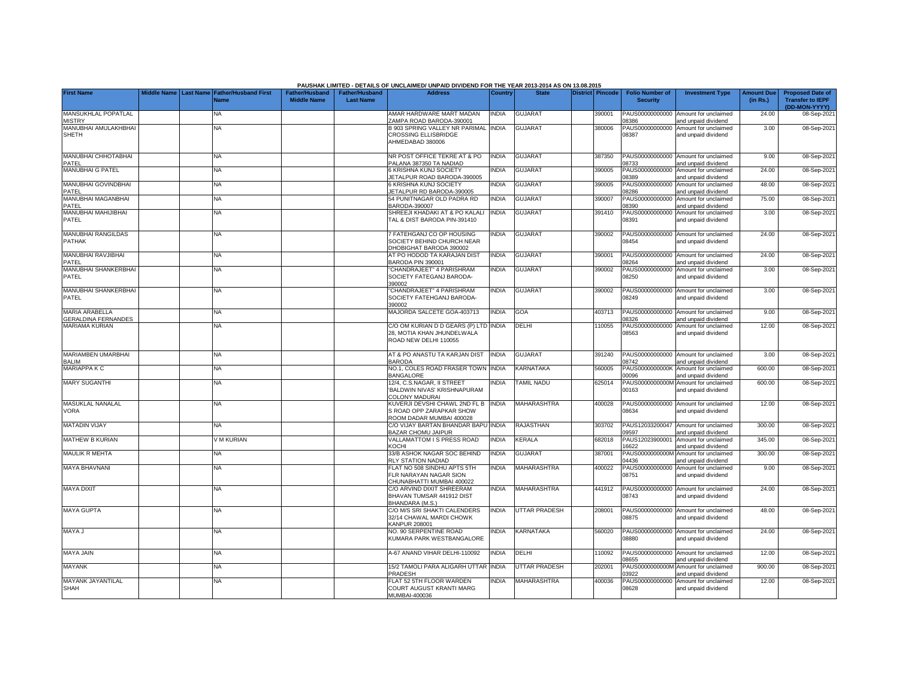|                                                     |                    |                  |                                            |                                      |                                           | PAUSHAK LIMITED - DETAILS OF UNCLAIMED/ UNPAID DIVIDEND FOR THE YEAR 2013-2014 AS ON 13.08.2015 |                |                      |                         |        |                                           |                                                             |                               |                                                                     |
|-----------------------------------------------------|--------------------|------------------|--------------------------------------------|--------------------------------------|-------------------------------------------|-------------------------------------------------------------------------------------------------|----------------|----------------------|-------------------------|--------|-------------------------------------------|-------------------------------------------------------------|-------------------------------|---------------------------------------------------------------------|
| <b>First Name</b>                                   | <b>Middle Name</b> | <b>Last Name</b> | <b>Father/Husband First</b><br><b>Name</b> | Father/Husband<br><b>Middle Name</b> | <b>Father/Husband</b><br><b>Last Name</b> | <b>Address</b>                                                                                  | <b>Country</b> | <b>State</b>         | <b>District Pincode</b> |        | <b>Folio Number of</b><br><b>Security</b> | <b>Investment Type</b>                                      | <b>Amount Due</b><br>(in Rs.) | <b>Proposed Date of</b><br><b>Transfer to IEPF</b><br>(DD-MON-YYYY) |
| MANSUKHLAL POPATLAL<br><b>MISTRY</b>                |                    |                  | NA.                                        |                                      |                                           | AMAR HARDWARE MART MADAN<br>ZAMPA ROAD BARODA-390001                                            | <b>INDIA</b>   | <b>GUJARAT</b>       |                         | 390001 | 8386                                      | PAUS00000000000 Amount for unclaimed<br>and unpaid dividend | 24.00                         | 08-Sep-2021                                                         |
| MANUBHAI AMULAKHBHA<br>SHETH                        |                    |                  | <b>NA</b>                                  |                                      |                                           | <b>B 903 SPRING VALLEY NR PARIMAL INDIA</b><br>CROSSING ELLISBRIDGE<br>AHMEDABAD 380006         |                | <b>GUJARAT</b>       |                         | 380006 | PAUS00000000000<br>08387                  | Amount for unclaimed<br>and unpaid dividend                 | 3.00                          | 08-Sep-2021                                                         |
| MANUBHAI CHHOTABHAI<br>PATEL                        |                    |                  | <b>NA</b>                                  |                                      |                                           | NR POST OFFICE TEKRE AT & PO<br>PALANA 387350 TA NADIAD                                         | <b>INDIA</b>   | <b>GUJARAT</b>       |                         | 387350 | 8733                                      | PAUS00000000000 Amount for unclaimed<br>and unpaid dividend | 9.00                          | 08-Sep-2021                                                         |
| MANUBHAI G PATEL                                    |                    |                  | NA                                         |                                      |                                           | 6 KRISHNA KUNJ SOCIETY<br>JETALPUR ROAD BARODA-390005                                           | <b>INDIA</b>   | <b>GUJARAT</b>       |                         | 390005 | 8389                                      | PAUS00000000000 Amount for unclaimed<br>and unpaid dividend | 24.00                         | 08-Sep-2021                                                         |
| MANUBHAI GOVINDBHAI<br>PATEL                        |                    |                  | NA.                                        |                                      |                                           | <b>S KRISHNA KUNJ SOCIETY</b><br>JETALPUR RD BARODA-390005                                      | <b>INDIA</b>   | <b>GUJARAT</b>       |                         | 390005 | PAUS00000000000<br>08286                  | Amount for unclaimed<br>and unpaid dividend                 | 48.00                         | 08-Sep-2021                                                         |
| MANUBHAI MAGANBHAI<br>PATEL                         |                    |                  | <b>NA</b>                                  |                                      |                                           | 54 PUNITNAGAR OLD PADRA RD<br>BARODA-390007                                                     | <b>INDIA</b>   | <b>GUJARAT</b>       |                         | 390007 | PAUS00000000000<br>8390                   | Amount for unclaimed<br>and unpaid dividend                 | 75.00                         | 08-Sep-2021                                                         |
| MANUBHAI MAHIJIBHAI<br>PATEL                        |                    |                  | <b>NA</b>                                  |                                      |                                           | SHREEJI KHADAKI AT & PO KALALI<br>TAL & DIST BARODA PIN-391410                                  | <b>INDIA</b>   | <b>GUJARAT</b>       |                         | 391410 | PAUS00000000000<br>8391                   | Amount for unclaimed<br>and unpaid dividend                 | 3.00                          | 08-Sep-2021                                                         |
| MANUBHAI RANGILDAS<br>PATHAK                        |                    |                  | NA                                         |                                      |                                           | 7 FATEHGANJ CO OP HOUSING<br>SOCIETY BEHIND CHURCH NEAR<br>DHOBIGHAT BARODA 390002              | <b>INDIA</b>   | <b>GUJARAT</b>       |                         | 390002 | 08454                                     | PAUS00000000000 Amount for unclaimed<br>and unpaid dividend | 24.00                         | 08-Sep-2021                                                         |
| <b>MANUBHAI RAVJIBHAI</b><br>PATEL                  |                    |                  | NA                                         |                                      |                                           | AT PO HODOD TA KARAJAN DIST<br>BARODA PIN 390001                                                | <b>INDIA</b>   | <b>GUJARAT</b>       |                         | 390001 | 8264                                      | PAUS00000000000 Amount for unclaimed<br>and unpaid dividend | 24.00                         | 08-Sep-2021                                                         |
| MANUBHAI SHANKERBHAI<br>PATEL                       |                    |                  | NA                                         |                                      |                                           | CHANDRAJEET" 4 PARISHRAM<br>SOCIETY FATEGANJ BARODA-<br>390002                                  | <b>INDIA</b>   | <b>GUJARAT</b>       |                         | 390002 | 08250                                     | PAUS00000000000 Amount for unclaimed<br>and unpaid dividend | 3.00                          | 08-Sep-2021                                                         |
| <b>MANUBHAI SHANKERBHAI</b><br>PATEL                |                    |                  | <b>NA</b>                                  |                                      |                                           | CHANDRAJEET" 4 PARISHRAM<br>SOCIETY FATEHGANJ BARODA-<br>390002                                 | <b>INDIA</b>   | <b>GUJARAT</b>       |                         | 390002 | 08249                                     | PAUS00000000000 Amount for unclaimed<br>and unpaid dividend | 3.00                          | 08-Sep-2021                                                         |
| <b>MARIA ARABELLA</b><br><b>GERALDINA FERNANDES</b> |                    |                  | NA.                                        |                                      |                                           | MAJORDA SALCETE GOA-403713                                                                      | <b>INDIA</b>   | GOA                  |                         | 403713 | 8326                                      | PAUS00000000000 Amount for unclaimed<br>and unpaid dividend | 9.00                          | 08-Sep-2021                                                         |
| MARIAMA KURIAN                                      |                    |                  | <b>NA</b>                                  |                                      |                                           | C/O OM KURIAN D D GEARS (P) LTD INDIA<br>28. MOTIA KHAN JHUNDELWALA<br>ROAD NEW DELHI 110055    |                | DELHI                |                         | 110055 | 08563                                     | PAUS00000000000 Amount for unclaimed<br>and unpaid dividend | 12.00                         | 08-Sep-2021                                                         |
| MARIAMBEN UMARBHAI<br><b>BALIM</b>                  |                    |                  | <b>NA</b>                                  |                                      |                                           | AT & PO ANASTU TA KARJAN DIST<br><b>BARODA</b>                                                  | <b>INDIA</b>   | <b>GUJARAT</b>       |                         | 391240 | 8742                                      | PAUS00000000000 Amount for unclaimed<br>and unpaid dividend | 3.00                          | 08-Sep-2021                                                         |
| <b>MARIAPPA K C</b>                                 |                    |                  | NA.                                        |                                      |                                           | NO.1. COLES ROAD FRASER TOWN INDIA<br><b>BANGALORE</b>                                          |                | KARNATAKA            |                         | 560005 | 30000                                     | PAUS0000000000K Amount for unclaimed<br>and unpaid dividend | 600.00                        | 08-Sep-2021                                                         |
| <b>MARY SUGANTHI</b>                                |                    |                  | <b>NA</b>                                  |                                      |                                           | 12/4, C.S.NAGAR, II STREET<br>'BALDWIN NIVAS' KRISHNAPURAM<br><b>COLONY MADURAI</b>             | INDIA          | <b>TAMIL NADU</b>    |                         | 625014 | 00163                                     | PAUS0000000000M Amount for unclaimed<br>and unpaid dividend | 600.00                        | 08-Sep-2021                                                         |
| MASUKLAL NANALAL<br><b>VORA</b>                     |                    |                  | <b>NA</b>                                  |                                      |                                           | KUVERJI DEVSHI CHAWL 2ND FL B<br>S ROAD OPP ZARAPKAR SHOW<br>ROOM DADAR MUMBAL 400028           | <b>INDIA</b>   | <b>MAHARASHTRA</b>   |                         | 400028 | 08634                                     | PAUS00000000000 Amount for unclaimed<br>and unpaid dividend | 12.00                         | 08-Sep-2021                                                         |
| <b>MATADIN VIJAY</b>                                |                    |                  | NA.                                        |                                      |                                           | C/O VIJAY BARTAN BHANDAR BAPU INDIA<br>BAZAR CHOMU JAIPUR                                       |                | <b>RAJASTHAN</b>     |                         | 303702 | PAUS12033200047<br>09597                  | Amount for unclaimed<br>and unpaid dividend                 | 300.00                        | 08-Sep-2021                                                         |
| <b>MATHEW B KURIAN</b>                              |                    |                  | V M KURIAN                                 |                                      |                                           | VALLAMATTOM I S PRESS ROAD<br>KOCHI                                                             | <b>INDIA</b>   | <b>KERALA</b>        |                         | 682018 | PAUS12023900001<br>6622                   | Amount for unclaimed<br>and unpaid dividend                 | 345.00                        | 08-Sep-2021                                                         |
| <b>MAULIK R MEHTA</b>                               |                    |                  | <b>NA</b>                                  |                                      |                                           | 33/B ASHOK NAGAR SOC BEHIND<br><b>RLY STATION NADIAD</b>                                        | <b>INDIA</b>   | <b>GUJARAT</b>       |                         | 387001 | 4436                                      | PAUS0000000000M Amount for unclaimed<br>and unpaid dividend | 300.00                        | 08-Sep-2021                                                         |
| <b>MAYA BHAVNANI</b>                                |                    |                  | <b>NA</b>                                  |                                      |                                           | FLAT NO 508 SINDHU APTS 5TH<br>FLR NARAYAN NAGAR SION<br>CHUNABHATTI MUMBAI 400022              | <b>INDIA</b>   | <b>MAHARASHTRA</b>   |                         | 400022 | 08751                                     | PAUS00000000000 Amount for unclaimed<br>and unpaid dividend | 9.00                          | 08-Sep-2021                                                         |
| <b>MAYA DIXIT</b>                                   |                    |                  | NA                                         |                                      |                                           | C/O ARVIND DIXIT SHREERAM<br>BHAVAN TUMSAR 441912 DIST<br>BHANDARA (M.S.)                       | <b>INDIA</b>   | <b>MAHARASHTRA</b>   |                         | 441912 | 08743                                     | PAUS00000000000 Amount for unclaimed<br>and unpaid dividend | 24.00                         | 08-Sep-2021                                                         |
| <b>MAYA GUPTA</b>                                   |                    |                  | <b>NA</b>                                  |                                      |                                           | C/O M/S SRI SHAKTI CALENDERS<br>32/14 CHAWAL MARDI CHOWK<br>KANPUR 208001                       | <b>INDIA</b>   | <b>UTTAR PRADESH</b> |                         | 208001 | 08875                                     | PAUS00000000000 Amount for unclaimed<br>and unpaid dividend | 48.00                         | 08-Sep-2021                                                         |
| MAYA J                                              |                    |                  | NA.                                        |                                      |                                           | NO. 90 SERPENTINE ROAD<br>KUMARA PARK WESTBANGALORE                                             | <b>INDIA</b>   | <b>KARNATAKA</b>     |                         | 560020 | 08880                                     | PAUS00000000000 Amount for unclaimed<br>and unpaid dividend | 24.00                         | 08-Sep-2021                                                         |
| MAYA JAIN                                           |                    |                  | NA                                         |                                      |                                           | A-67 ANAND VIHAR DELHI-110092                                                                   | <b>INDIA</b>   | DELHI                |                         | 110092 | 8655                                      | PAUS00000000000 Amount for unclaimed<br>and unpaid dividend | 12.00                         | 08-Sep-2021                                                         |
| <b>MAYANK</b>                                       |                    |                  | NA                                         |                                      |                                           | 15/2 TAMOLI PARA ALIGARH UTTAR INDIA<br>PRADESH                                                 |                | <b>UTTAR PRADESH</b> |                         | 202001 | 3922                                      | AUS0000000000M Amount for unclaimed<br>and unpaid dividend  | 900.00                        | 08-Sep-2021                                                         |
| <b>MAYANK JAYANTILAL</b><br><b>SHAH</b>             |                    |                  | <b>NA</b>                                  |                                      |                                           | FLAT 52 5TH FLOOR WARDEN<br>COURT AUGUST KRANTI MARG<br>MUMBAI-400036                           | <b>INDIA</b>   | <b>MAHARASHTRA</b>   |                         | 400036 | 08628                                     | PAUS00000000000 Amount for unclaimed<br>and unpaid dividend | 12.00                         | 08-Sep-2021                                                         |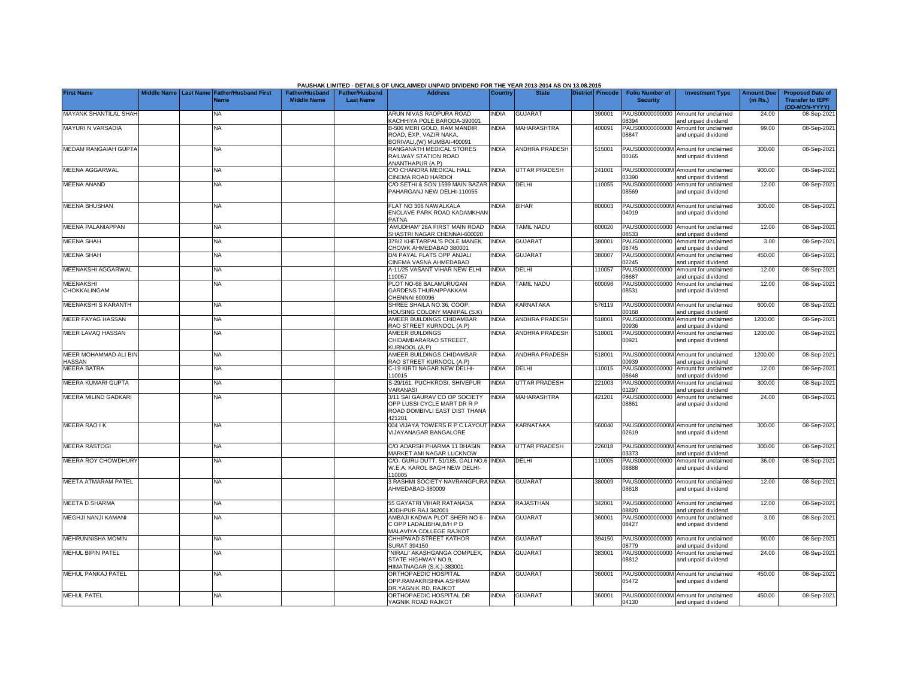|                                  |  |                                                    |                                             |                                           | PAUSHAK LIMITED - DETAILS OF UNCLAIMED/ UNPAID DIVIDEND FOR THE YEAR 2013-2014 AS ON 13.08.2015         |                |                       |                         |                                           |                                                             |                               |                                                                     |
|----------------------------------|--|----------------------------------------------------|---------------------------------------------|-------------------------------------------|---------------------------------------------------------------------------------------------------------|----------------|-----------------------|-------------------------|-------------------------------------------|-------------------------------------------------------------|-------------------------------|---------------------------------------------------------------------|
| <b>First Name</b>                |  | Middle Name Last Name Father/Husband First<br>Name | <b>Father/Husband</b><br><b>Middle Name</b> | <b>Father/Husband</b><br><b>Last Name</b> | <b>Address</b>                                                                                          | <b>Country</b> | <b>State</b>          | <b>District Pincode</b> | <b>Folio Number of</b><br><b>Security</b> | <b>Investment Type</b>                                      | <b>Amount Due</b><br>(in Rs.) | <b>Proposed Date of</b><br><b>Transfer to IEPF</b><br>(DD-MON-YYYY) |
| MAYANK SHANTILAL SHAF            |  | <b>NA</b>                                          |                                             |                                           | ARUN NIVAS RAOPURA ROAD<br><b>KACHHIYA POLE BARODA-390001</b>                                           | <b>NDIA</b>    | GUJARAT               | 390001                  | PAUS00000000000<br>8394                   | Amount for unclaimed<br>and unpaid dividend                 | 24.00                         | 08-Sep-202                                                          |
| MAYURI N VARSADIA                |  | NA                                                 |                                             |                                           | 3-506 MERI GOLD, RAM MANDIR<br>ROAD. EXP. VAZIR NAKA.<br>BORIVALI, (W) MUMBAI-400091                    | <b>INDIA</b>   | MAHARASHTRA           | 400091                  | PAUS00000000000<br>08847                  | Amount for unclaimed<br>and unpaid dividend                 | 99.00                         | 08-Sep-202                                                          |
| <b>MEDAM RANGAIAH GUPTA</b>      |  | <b>NA</b>                                          |                                             |                                           | RANGANATH MEDICAL STORES<br>RAILWAY STATION ROAD<br>ANANTHAPUR (A.P)                                    | <b>INDIA</b>   | <b>ANDHRA PRADESH</b> | 515001                  | 00165                                     | PAUS0000000000M Amount for unclaimed<br>and unpaid dividend | 300.00                        | 08-Sep-202                                                          |
| <b>MEENA AGGARWAL</b>            |  | NA                                                 |                                             |                                           | C/O CHANDRA MEDICAL HALL<br>CINEMA ROAD HARDOI                                                          | <b>NDIA</b>    | <b>UTTAR PRADESH</b>  | 241001                  | 3390                                      | PAUS0000000000M Amount for unclaimed<br>and unpaid dividend | 900.00                        | 08-Sep-202                                                          |
| <b>MEENA ANAND</b>               |  | NA                                                 |                                             |                                           | C/O SETHI & SON 1599 MAIN BAZAR<br>PAHARGANJ NEW DELHI-110055                                           | <b>INDIA</b>   | DELHI                 | 110055                  | PAUS00000000000<br>08569                  | Amount for unclaimed<br>and unpaid dividend                 | 12.00                         | 08-Sep-202                                                          |
| <b>MEENA BHUSHAN</b>             |  | NA                                                 |                                             |                                           | FLAT NO 306 NAWALKALA<br>ENCLAVE PARK ROAD KADAMKHAN<br>PATNA                                           | <b>NDIA</b>    | <b>BIHAR</b>          | 800003                  | 04019                                     | PAUS0000000000M Amount for unclaimed<br>and unpaid dividend | 300.00                        | 08-Sep-202                                                          |
| MEENA PALANIAPPAN                |  | <b>NA</b>                                          |                                             |                                           | AMUDHAM' 28A FIRST MAIN ROAD<br>SHASTRI NAGAR CHENNAI-600020                                            | <b>NDIA</b>    | TAMIL NADU            | 600020                  | PAUS00000000000<br>08533                  | Amount for unclaimed<br>and unpaid dividend                 | 12.00                         | 08-Sep-202                                                          |
| <b>MEENA SHAH</b>                |  | NA                                                 |                                             |                                           | 379/2 KHETARPAL'S POLE MANEK<br>CHOWK AHMEDABAD 380001                                                  | <b>INDIA</b>   | <b>GUJARAT</b>        | 380001                  | PAUS00000000000<br>08745                  | Amount for unclaimed<br>and unpaid dividend                 | 3.00                          | 08-Sep-202                                                          |
| MEENA SHAH                       |  | NA                                                 |                                             |                                           | D/4 PAYAL FLATS OPP ANJALI<br>CINEMA VASNA AHMEDABAD                                                    | <b>INDIA</b>   | <b>GUJARAT</b>        | 380007                  | PAUS0000000000M<br>)2245                  | Amount for unclaimed<br>and unpaid dividend                 | 450.00                        | 08-Sep-202                                                          |
| MEENAKSHI AGGARWAL               |  | ΝA                                                 |                                             |                                           | 4-11/25 VASANT VIHAR NEW ELHI<br>110057                                                                 | <b>INDIA</b>   | DELHI                 | 110057                  | PAUS00000000000<br>08687                  | Amount for unclaimed<br>and unpaid dividend                 | 12.00                         | 08-Sep-202                                                          |
| <b>MEENAKSHI</b><br>CHOKKALINGAM |  | <b>NA</b>                                          |                                             |                                           | PLOT NO-68 BALAMURUGAN<br>GARDENS THURAIPPAKKAM<br>CHENNAI 600096                                       | <b>INDIA</b>   | <b>TAMIL NADU</b>     | 600096                  | 08531                                     | PAUS00000000000 Amount for unclaimed<br>and unpaid dividend | 12.00                         | 08-Sep-2021                                                         |
| MEENAKSHI S KARANTH              |  | <b>NA</b>                                          |                                             |                                           | SHREE SHAILA NO.36, COOP.<br>HOUSING COLONY MANIPAL (S.K)                                               | <b>NDIA</b>    | KARNATAKA             | 576119                  | 0168                                      | PAUS0000000000M Amount for unclaimed<br>and unpaid dividend | 600.00                        | 08-Sep-202                                                          |
| MEER FAYAG HASSAN                |  | <b>NA</b>                                          |                                             |                                           | AMEER BUILDINGS CHIDAMBAR<br>RAO STREET KURNOOL (A.P)                                                   | <b>NDIA</b>    | <b>ANDHRA PRADESH</b> | 518001                  | 0936                                      | PAUS0000000000M Amount for unclaimed<br>and unpaid dividend | 1200.00                       | 08-Sep-202                                                          |
| MEER LAVAQ HASSAN                |  | <b>NA</b>                                          |                                             |                                           | AMEER BUILDINGS<br>CHIDAMBARARAO STREEET,<br>KURNOOL (A.P)                                              | <b>INDIA</b>   | <b>ANDHRA PRADESH</b> | 518001                  | 00921                                     | PAUS0000000000M Amount for unclaimed<br>and unpaid dividend | 1200.00                       | 08-Sep-2021                                                         |
| MEER MOHAMMAD ALI BIN<br>HASSAN  |  | <b>NA</b>                                          |                                             |                                           | AMEER BUILDINGS CHIDAMBAR<br>RAO STREET KURNOOL (A.P)                                                   | <b>INDIA</b>   | ANDHRA PRADESH        | 518001                  | 0939                                      | PAUS0000000000M Amount for unclaimed<br>and unpaid dividend | 1200.00                       | 08-Sep-202                                                          |
| <b>MEERA BATRA</b>               |  | <b>NA</b>                                          |                                             |                                           | C-19 KIRTI NAGAR NEW DELHI-<br>110015                                                                   | <b>INDIA</b>   | DELHI                 | 110015                  | 8648                                      | PAUS00000000000 Amount for unclaimed<br>and unpaid dividend | 12.00                         | 08-Sep-202                                                          |
| MEERA KUMARI GUPTA               |  | <b>NA</b>                                          |                                             |                                           | S-29/161, PUCHKROSI, SHIVEPUR<br><b>/ARANASI</b>                                                        | <b>INDIA</b>   | <b>UTTAR PRADESH</b>  | 221003                  | 1297                                      | PAUS0000000000M Amount for unclaimed<br>and unpaid dividend | 300.00                        | 08-Sep-202                                                          |
| <b>MEERA MILIND GADKARI</b>      |  | <b>NA</b>                                          |                                             |                                           | 3/11 SAI GAURAV CO OP SOCIETY<br>OPP LUSSI CYCLE MART DR R P<br>ROAD DOMBIVLI EAST DIST THANA<br>121201 | <b>NDIA</b>    | <b>MAHARASHTRA</b>    | 421201                  | PAUS00000000000<br>08861                  | Amount for unclaimed<br>and unpaid dividend                 | 24.00                         | 08-Sep-202                                                          |
| <b>MEERA RAO IK</b>              |  | <b>NA</b>                                          |                                             |                                           | 004 VIJAYA TOWERS R P C LAYOUT INDIA<br><b>VIJAYANAGAR BANGALORE</b>                                    |                | KARNATAKA             | 560040                  | 02619                                     | PAUS0000000000M Amount for unclaimed<br>and unpaid dividend | 300.00                        | 08-Sep-202                                                          |
| <b>MEERA RASTOGI</b>             |  | <b>NA</b>                                          |                                             |                                           | C/O ADARSH PHARMA 11 BHASIN<br><b>MARKET AMI NAGAR LUCKNOW</b>                                          | <b>NDIA</b>    | <b>UTTAR PRADESH</b>  | 226018                  | 3373                                      | PAUS0000000000M Amount for unclaimed<br>and unpaid dividend | 300.00                        | 08-Sep-202                                                          |
| <b>MEERA ROY CHOWDHURY</b>       |  | <b>NA</b>                                          |                                             |                                           | C/O. GURU DUTT, 51/185, GALI NO.6<br>W.E.A. KAROL BAGH NEW DELHI-<br>110005                             | <b>INDIA</b>   | DELHI                 | 10005                   | PAUS00000000000<br>88880                  | Amount for unclaimed<br>and unpaid dividend                 | 36.00                         | 08-Sep-2021                                                         |
| MEETA ATMARAM PATEL              |  | <b>NA</b>                                          |                                             |                                           | 3 RASHMI SOCIETY NAVRANGPURA INDIA<br>AHMEDABAD-380009                                                  |                | GUJARAT               | 380009                  | PAUS00000000000<br>08618                  | Amount for unclaimed<br>and unpaid dividend                 | 12.00                         | 08-Sep-2021                                                         |
| MEETA D SHARMA                   |  | <b>NA</b>                                          |                                             |                                           | 55 GAYATRI VIHAR RATANADA<br>JODHPUR RAJ 342001                                                         | <b>NDIA</b>    | <b>RAJASTHAN</b>      | 342001                  | PAUS00000000000<br>08820                  | Amount for unclaimed<br>and unpaid dividend                 | 12.00                         | 08-Sep-202                                                          |
| MEGHJI NANJI KAMANI              |  | NA                                                 |                                             |                                           | AMBAJI KADWA PLOT SHERI NO 6 -<br>C OPP LADALIBHAI.B/H P D<br>MALAVIYA COLLEGE RAJKOT                   | INDIA          | <b>GUJARAT</b>        | 360001                  | PAUS00000000000<br>08427                  | Amount for unclaimed<br>and unpaid dividend                 | 3.00                          | 08-Sep-202                                                          |
| MEHRUNNISHA MOMIN                |  | <b>NA</b>                                          |                                             |                                           | CHHIPWAD STREET KATHOR<br>SURAT 394150                                                                  | <b>INDIA</b>   | <b>GUJARAT</b>        | 394150                  | 08779                                     | PAUS00000000000 Amount for unclaimed<br>and unpaid dividend | 90.00                         | 08-Sep-202                                                          |
| <b>MEHUL BIPIN PATEL</b>         |  | ΝA                                                 |                                             |                                           | 'NIRALI' AKASHGANGA COMPLEX,<br>STATE HIGHWAY NO.9,<br>HIMATNAGAR (S.K.)-383001                         | <b>INDIA</b>   | <b>GUJARAT</b>        | 383001                  | 08812                                     | PAUS00000000000 Amount for unclaimed<br>and unpaid dividend | 24.00                         | 08-Sep-202                                                          |
| <b>MEHUL PANKAJ PATEL</b>        |  | ΝA                                                 |                                             |                                           | ORTHOPAEDIC HOSPITAL<br>OPP.RAMAKRISHNA ASHRAM<br>DR.YAGNIK RD, RAJKOT                                  | <b>NDIA</b>    | <b>GUJARAT</b>        | 360001                  | 05472                                     | PAUS0000000000M Amount for unclaimed<br>and unpaid dividend | 450.00                        | 08-Sep-202                                                          |
| <b>MEHUL PATEL</b>               |  | <b>NA</b>                                          |                                             |                                           | ORTHOPAEDIC HOSPITAL DR<br>YAGNIK ROAD RAJKOT                                                           | <b>NDIA</b>    | <b>GUJARAT</b>        | 360001                  | 04130                                     | PAUS0000000000M Amount for unclaimed<br>and unpaid dividend | 450.00                        | 08-Sep-2021                                                         |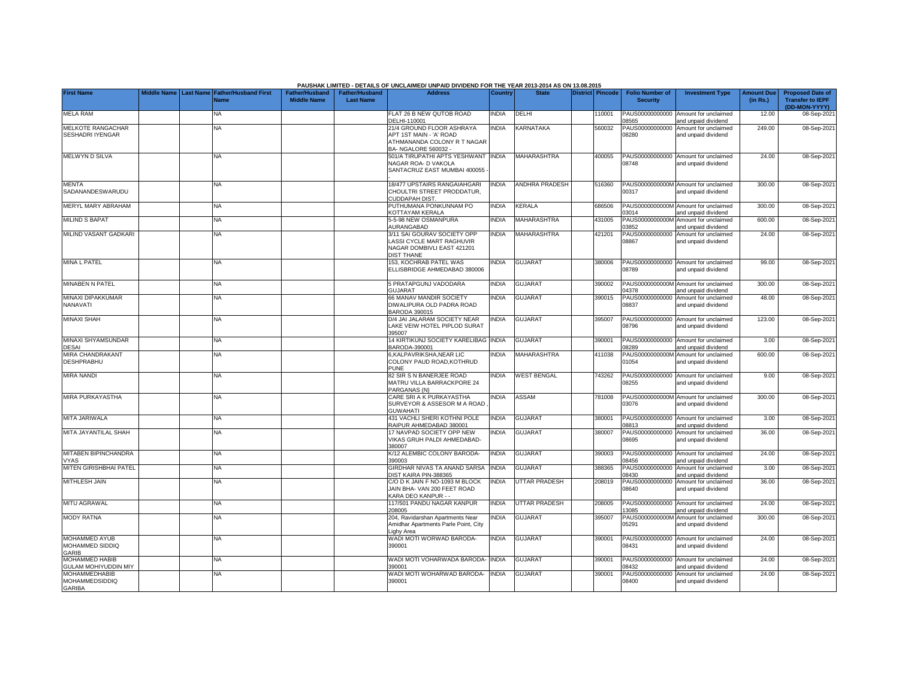|                                                         |  |                                                           |                                      |                                           | PAUSHAK LIMITED - DETAILS OF UNCLAIMED/ UNPAID DIVIDEND FOR THE YEAR 2013-2014 AS ON 13.08.2015             |              |                      |                  |                                           |                                                             |                               |                                                                     |
|---------------------------------------------------------|--|-----------------------------------------------------------|--------------------------------------|-------------------------------------------|-------------------------------------------------------------------------------------------------------------|--------------|----------------------|------------------|-------------------------------------------|-------------------------------------------------------------|-------------------------------|---------------------------------------------------------------------|
| <b>First Name</b>                                       |  | Middle Name Last Name Father/Husband First<br><b>Name</b> | Father/Husband<br><b>Middle Name</b> | <b>Father/Husband</b><br><b>Last Name</b> | <b>Address</b>                                                                                              | Country      | <b>State</b>         | District Pincode | <b>Folio Number of</b><br><b>Security</b> | <b>Investment Type</b>                                      | <b>Amount Due</b><br>(in Rs.) | <b>Proposed Date of</b><br><b>Transfer to IEPF</b><br>(DD-MON-YYYY) |
| <b>MELA RAM</b>                                         |  | NA                                                        |                                      |                                           | FLAT 26 B NEW QUTOB ROAD<br>DELHI-110001                                                                    | <b>NDIA</b>  | DELHI                | 110001           | 08565                                     | PAUS00000000000 Amount for unclaimed<br>and unpaid dividend | 12.00                         | 08-Sep-202                                                          |
| MELKOTE RANGACHAR<br>SESHADRI IYENGAR                   |  | <b>NA</b>                                                 |                                      |                                           | 21/4 GROUND FLOOR ASHRAYA<br>APT 1ST MAIN - 'A' ROAD<br>ATHMANANDA COLONY R T NAGAR<br>BA- NGALORE 560032 - | <b>NDIA</b>  | KARNATAKA            | 560032           | PAUS00000000000<br>08280                  | Amount for unclaimed<br>and unpaid dividend                 | 249.00                        | 08-Sep-202                                                          |
| <b>MELWYND SILVA</b>                                    |  | <b>NA</b>                                                 |                                      |                                           | 501/A TIRUPATHI APTS YESHWANT<br>NAGAR ROA- D VAKOLA<br>SANTACRUZ EAST MUMBAI 400055                        | <b>INDIA</b> | MAHARASHTRA          | 400055           | 08748                                     | PAUS00000000000 Amount for unclaimed<br>and unpaid dividend | 24.00                         | 08-Sep-202                                                          |
| <b>MENTA</b><br>SADANANDESWARUDU                        |  | <b>NA</b>                                                 |                                      |                                           | 18/477 UPSTAIRS RANGAIAHGARI<br>CHOULTRI STREET PRODDATUR,<br><b>CUDDAPAH DIST</b>                          | <b>INDIA</b> | ANDHRA PRADESH       | 516360           | 00317                                     | PAUS0000000000M Amount for unclaimed<br>and unpaid dividend | 300.00                        | 08-Sep-202                                                          |
| MERYL MARY ABRAHAM                                      |  | ΝA                                                        |                                      |                                           | PUTHUMANA PONKUNNAM PO<br>KOTTAYAM KERALA                                                                   | <b>NDIA</b>  | KERALA               | 686506           | 03014                                     | PAUS0000000000M Amount for unclaimed<br>and unpaid dividend | 300.00                        | 08-Sep-202                                                          |
| <b>MILIND S BAPAT</b>                                   |  | <b>NA</b>                                                 |                                      |                                           | 5-5-98 NEW OSMANPURA<br>AURANGABAD                                                                          | <b>NDIA</b>  | MAHARASHTRA          | 431005           | 3852                                      | PAUS0000000000M Amount for unclaimed<br>and unpaid dividend | 600.00                        | 08-Sep-202                                                          |
| MILIND VASANT GADKARI                                   |  | <b>NA</b>                                                 |                                      |                                           | 3/11 SAI GOURAV SOCIETY OPP<br>LASSI CYCLE MART RAGHUVIR<br>NAGAR DOMBIVLI EAST 421201<br><b>DIST THANE</b> | <b>NDIA</b>  | <b>MAHARASHTRA</b>   | 421201           | PAUS00000000000<br>08867                  | Amount for unclaimed<br>and unpaid dividend                 | 24.00                         | 08-Sep-202                                                          |
| <b>MINA L PATEL</b>                                     |  | <b>NA</b>                                                 |                                      |                                           | 153, KOCHRAB PATEL WAS<br>ELLISBRIDGE AHMEDABAD 380006                                                      | <b>NDIA</b>  | <b>GUJARAT</b>       | 380006           | 08789                                     | PAUS00000000000 Amount for unclaimed<br>and unpaid dividend | 99.00                         | 08-Sep-202                                                          |
| <b>MINABEN N PATEL</b>                                  |  | <b>NA</b>                                                 |                                      |                                           | 5 PRATAPGUNJ VADODARA<br><b>GUJARAT</b>                                                                     | <b>NDIA</b>  | <b>GUJARAT</b>       | 390002           | 14378                                     | PAUS0000000000M Amount for unclaimed<br>and unpaid dividend | 300.00                        | 08-Sep-202                                                          |
| MINAXI DIPAKKUMAR<br>NANAVATI                           |  | <b>NA</b>                                                 |                                      |                                           | 66 MANAV MANDIR SOCIETY<br>DIWALIPURA OLD PADRA ROAD<br>BARODA 390015                                       | <b>INDIA</b> | <b>GUJARAT</b>       | 390015           | 08837                                     | PAUS00000000000 Amount for unclaimed<br>and unpaid dividend | 48.00                         | 08-Sep-202                                                          |
| <b>MINAXI SHAH</b>                                      |  | NA                                                        |                                      |                                           | D/4 JAI JALARAM SOCIETY NEAR<br>LAKE VEIW HOTEL PIPLOD SURAT<br>395007                                      | <b>NDIA</b>  | <b>GUJARAT</b>       | 395007           | 08796                                     | PAUS00000000000 Amount for unclaimed<br>and unpaid dividend | 123.00                        | 08-Sep-202                                                          |
| <b>MINAXI SHYAMSUNDAR</b><br><b>DESAI</b>               |  | <b>NA</b>                                                 |                                      |                                           | 14 KIRTIKUNJ SOCIETY KARELIBAG INDIA<br>BARODA-390001                                                       |              | <b>GUJARAT</b>       | 390001           | 8289                                      | PAUS00000000000 Amount for unclaimed<br>nd unpaid dividend  | 3.00                          | 08-Sep-2021                                                         |
| MIRA CHANDRAKANT<br><b>DESHPRABHU</b>                   |  | <b>NA</b>                                                 |                                      |                                           | <b>6,KALPAVRIKSHA,NEAR LIC</b><br>COLONY PAUD ROAD, KOTHRUD<br><b>PUNE</b>                                  | <b>NDIA</b>  | <b>MAHARASHTRA</b>   | 411038           | PAUS0000000000M<br>01054                  | Amount for unclaimed<br>and unpaid dividend                 | 600.00                        | 08-Sep-2021                                                         |
| <b>MIRA NANDI</b>                                       |  | <b>NA</b>                                                 |                                      |                                           | <b>82 SIR S N BANERJEE ROAD</b><br>MATRU VILLA BARRACKPORE 24<br>PARGANAS (N)                               | <b>NDIA</b>  | <b>WEST BENGAL</b>   | 743262           | 08255                                     | PAUS00000000000 Amount for unclaimed<br>and unpaid dividend | 9.00                          | 08-Sep-2021                                                         |
| MIRA PURKAYASTHA                                        |  | <b>NA</b>                                                 |                                      |                                           | CARE SRI A K PURKAYASTHA<br>SURVEYOR & ASSESOR M A ROAD<br><b>GUWAHATI</b>                                  | NDIA         | <b>ASSAM</b>         | 781008           | 03076                                     | PAUS0000000000M Amount for unclaimed<br>and unpaid dividend | 300.00                        | 08-Sep-202                                                          |
| MITA JARIWALA                                           |  | <b>NA</b>                                                 |                                      |                                           | <b>431 VACHLI SHERI KOTHNI POLE</b><br>RAIPUR AHMEDABAD 380001                                              | <b>NDIA</b>  | <b>GUJARAT</b>       | 380001           | 08813                                     | PAUS00000000000 Amount for unclaimed<br>and unpaid dividend | 3.00                          | 08-Sep-202                                                          |
| MITA JAYANTILAL SHAH                                    |  | NA                                                        |                                      |                                           | 17 NAVPAD SOCIETY OPP NEW<br>VIKAS GRUH PALDI AHMEDABAD-<br>380007                                          | <b>NDIA</b>  | GUJARAT              | 380007           | 08695                                     | PAUS00000000000 Amount for unclaimed<br>and unpaid dividend | 36.00                         | 08-Sep-202                                                          |
| MITABEN BIPINCHANDRA<br><b>VYAS</b>                     |  | <b>NA</b>                                                 |                                      |                                           | K/12 ALEMBIC COLONY BARODA-<br>390003                                                                       | <b>NDIA</b>  | <b>GUJARAT</b>       | 390003           | 08456                                     | PAUS00000000000 Amount for unclaimed<br>and unpaid dividend | 24.00                         | 08-Sep-202                                                          |
| MITEN GIRISHBHAI PATEL                                  |  | <b>NA</b>                                                 |                                      |                                           | GIRDHAR NIVAS TA ANAND SARSA<br>DIST KAIRA PIN-388365                                                       | INDIA        | GUJARAT              | 388365           | PAUS00000000000<br>08430                  | Amount for unclaimed<br>and unpaid dividend                 | 3.00                          | 08-Sep-202                                                          |
| <b>MITHLESH JAIN</b>                                    |  | <b>NA</b>                                                 |                                      |                                           | C/O D K JAIN F NO-1093 M BLOCK<br>JAIN BHA- VAN 200 FEET ROAD<br><b>KARA DEO KANPUR - -</b>                 | <b>INDIA</b> | <b>UTTAR PRADESH</b> | 208019           | PAUS00000000000<br>08640                  | Amount for unclaimed<br>and unpaid dividend                 | 36.00                         | 08-Sep-202                                                          |
| <b>MITU AGRAWAL</b>                                     |  | <b>NA</b>                                                 |                                      |                                           | 117/501 PANDU NAGAR KANPUR<br>208005                                                                        | <b>NDIA</b>  | UTTAR PRADESH        | 208005           | PAUS00000000000<br>3085                   | Amount for unclaimed<br>and unpaid dividend                 | 24.00                         | 08-Sep-202                                                          |
| <b>MODY RATNA</b>                                       |  | NA                                                        |                                      |                                           | 204, Ravidarshan Apartments Near<br>Amidhar Apartments Parle Point, City<br>ighy Area                       | <b>NDIA</b>  | <b>GUJARAT</b>       | 395007           | 05291                                     | PAUS0000000000M Amount for unclaimed<br>and unpaid dividend | 300.00                        | 08-Sep-2021                                                         |
| <b>MOHAMMED AYUB</b><br>MOHAMMED SIDDIQ<br>GARIB        |  | <b>NA</b>                                                 |                                      |                                           | WADI MOTI WORWAD BARODA-<br>390001                                                                          | <b>NDIA</b>  | <b>GUJARAT</b>       | 390001           | 08431                                     | PAUS00000000000 Amount for unclaimed<br>and unpaid dividend | 24.00                         | 08-Sep-2021                                                         |
| <b>MOHAMMED HABIB</b><br><b>GULAM MOHIYUDDIN MIY</b>    |  | <b>NA</b>                                                 |                                      |                                           | WADI MOTI VOHARWADA BARODA-<br>390001                                                                       | <b>INDIA</b> | <b>GUJARAT</b>       | 390001           | 08432                                     | PAUS00000000000 Amount for unclaimed<br>and unpaid dividend | 24.00                         | 08-Sep-202                                                          |
| <b>MOHAMMEDHABIB</b><br>MOHAMMEDSIDDIQ<br><b>GARIBA</b> |  | <b>NA</b>                                                 |                                      |                                           | <b>NADI MOTI WOHARWAD BARODA-</b><br>390001                                                                 | <b>INDIA</b> | <b>GUJARAT</b>       | 390001           | PAUS00000000000<br>08400                  | Amount for unclaimed<br>and unpaid dividend                 | 24.00                         | 08-Sep-202                                                          |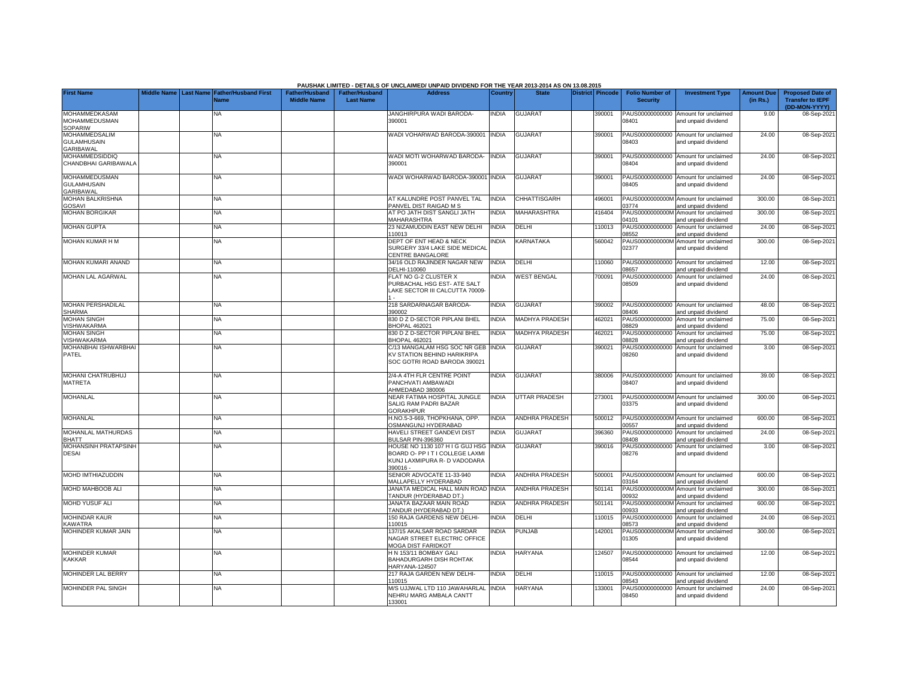|                                                                |  |                                                    |                                             |                                           | PAUSHAK LIMITED - DETAILS OF UNCLAIMED/ UNPAID DIVIDEND FOR THE YEAR 2013-2014 AS ON 13.08.2015               |                |                       |                  |                                           |                                                             |                               |                                                                     |
|----------------------------------------------------------------|--|----------------------------------------------------|---------------------------------------------|-------------------------------------------|---------------------------------------------------------------------------------------------------------------|----------------|-----------------------|------------------|-------------------------------------------|-------------------------------------------------------------|-------------------------------|---------------------------------------------------------------------|
| <b>First Name</b>                                              |  | Middle Name Last Name Father/Husband First<br>Name | <b>Father/Husband</b><br><b>Middle Name</b> | <b>Father/Husband</b><br><b>Last Name</b> | <b>Address</b>                                                                                                | <b>Country</b> | <b>State</b>          | District Pincode | <b>Folio Number of</b><br><b>Security</b> | <b>Investment Type</b>                                      | <b>Amount Due</b><br>(in Rs.) | <b>Proposed Date of</b><br><b>Transfer to IEPF</b><br>(DD-MON-YYYY) |
| <b>MOHAMMEDKASAM</b><br><b>MOHAMMEDUSMAN</b><br>SOPARIW        |  | NA                                                 |                                             |                                           | JANGHIRPURA WADI BARODA-<br>390001                                                                            | INDIA          | <b>GUJARAT</b>        | 390001           | PAUS00000000000<br>08401                  | Amount for unclaimed<br>and unpaid dividend                 | 9.00                          | 08-Sep-202                                                          |
| <b>MOHAMMEDSALIM</b><br><b>GULAMHUSAIN</b><br><b>GARIBAWAL</b> |  | <b>NA</b>                                          |                                             |                                           | VADI VOHARWAD BARODA-390001                                                                                   | <b>INDIA</b>   | <b>GUJARAT</b>        | 390001           | 08403                                     | PAUS00000000000 Amount for unclaimed<br>and unpaid dividend | 24.00                         | 08-Sep-2021                                                         |
| <b>MOHAMMEDSIDDIQ</b><br>CHANDBHAI GARIBAWALA                  |  | NA                                                 |                                             |                                           | <b>NADI MOTI WOHARWAD BARODA-</b><br>390001                                                                   | <b>INDIA</b>   | <b>GUJARAT</b>        | 390001           | 08404                                     | PAUS00000000000 Amount for unclaimed<br>and unpaid dividend | 24.00                         | 08-Sep-202                                                          |
| <b>MOHAMMEDUSMAN</b><br><b>GULAMHUSAIN</b><br><b>GARIBAWAL</b> |  | NA                                                 |                                             |                                           | <b>WADI WOHARWAD BARODA-390001 INDIA</b>                                                                      |                | <b>GUJARAT</b>        | 390001           | 08405                                     | PAUS00000000000 Amount for unclaimed<br>and unpaid dividend | 24.00                         | 08-Sep-202                                                          |
| MOHAN BALKRISHNA<br>GOSAVI                                     |  | ΝA                                                 |                                             |                                           | AT KALUNDRE POST PANVEL TAL<br>PANVEL DIST RAIGAD M S                                                         | <b>INDIA</b>   | CHHATTISGARH          | 496001           | 3774                                      | PAUS0000000000M Amount for unclaimed<br>and unpaid dividend | 300.00                        | 08-Sep-202                                                          |
| <b>MOHAN BORGIKAR</b>                                          |  | NA                                                 |                                             |                                           | AT PO JATH DIST SANGLI JATH<br>MAHARASHTRA                                                                    | <b>INDIA</b>   | <b>MAHARASHTRA</b>    | 416404           | PAUS0000000000M<br>04101                  | Amount for unclaimed<br>and unpaid dividend                 | 300.00                        | 08-Sep-202                                                          |
| <b>MOHAN GUPTA</b>                                             |  | NA                                                 |                                             |                                           | 23 NIZAMUDDIN EAST NEW DELHI<br>110013                                                                        | <b>INDIA</b>   | DELHI                 | 110013           | PAUS00000000000<br>08552                  | Amount for unclaimed<br>and unpaid dividend                 | 24.00                         | 08-Sep-202                                                          |
| <b>MOHAN KUMAR H M</b>                                         |  | ΝA                                                 |                                             |                                           | DEPT OF ENT HEAD & NECK<br>SURGERY 33/4 LAKE SIDE MEDICAL<br>CENTRE BANGALORE                                 | <b>NDIA</b>    | KARNATAKA             | 560042           | PAUS0000000000M<br>02377                  | Amount for unclaimed<br>and unpaid dividend                 | 300.00                        | 08-Sep-202                                                          |
| MOHAN KUMARI ANAND                                             |  | NA                                                 |                                             |                                           | 34/16 OLD RAJINDER NAGAR NEW<br>DELHI-110060                                                                  | <b>INDIA</b>   | DELHI                 | 110060           | 08657                                     | PAUS00000000000 Amount for unclaimed<br>and unpaid dividend | 12.00                         | 08-Sep-202                                                          |
| MOHAN LAL AGARWAL                                              |  | ΝA                                                 |                                             |                                           | FLAT NO G-2 CLUSTER X<br>PURBACHAL HSG EST- ATE SALT<br>LAKE SECTOR III CALCUTTA 70009-                       | <b>NDIA</b>    | <b>WEST BENGAL</b>    | 700091           | PAUS00000000000<br>08509                  | Amount for unclaimed<br>and unpaid dividend                 | 24.00                         | 08-Sep-202                                                          |
| <b>MOHAN PERSHADILAL</b><br><b>SHARMA</b>                      |  | <b>NA</b>                                          |                                             |                                           | 218 SARDARNAGAR BARODA-<br>390002                                                                             | <b>INDIA</b>   | <b>GUJARAT</b>        | 390002           | 08406                                     | PAUS00000000000 Amount for unclaimed<br>and unpaid dividend | 48.00                         | 08-Sep-202                                                          |
| <b>MOHAN SINGH</b><br>VISHWAKARMA                              |  | <b>NA</b>                                          |                                             |                                           | 330 D Z D-SECTOR PIPLANI BHEL<br><b>BHOPAL 462021</b>                                                         | INDIA          | <b>MADHYA PRADESH</b> | 462021           | PAUS00000000000<br>08829                  | Amount for unclaimed<br>and unpaid dividend                 | 75.00                         | 08-Sep-202                                                          |
| <b>MOHAN SINGH</b><br>VISHWAKARMA                              |  | <b>NA</b>                                          |                                             |                                           | 330 D Z D-SECTOR PIPLANI BHEL<br><b>BHOPAL 462021</b>                                                         | <b>INDIA</b>   | <b>MADHYA PRADESH</b> | 462021           | PAUS00000000000<br>8828                   | Amount for unclaimed<br>and unpaid dividend                 | 75.00                         | 08-Sep-202                                                          |
| MOHANBHAI ISHWARBHAI<br>PATEL                                  |  | ΝA                                                 |                                             |                                           | C/13 MANGALAM HSG SOC NR GEB INDIA<br>KV STATION BEHIND HARIKRIPA<br>SOC GOTRI ROAD BARODA 390021             |                | <b>GUJARAT</b>        | 390021           | 08260                                     | PAUS00000000000 Amount for unclaimed<br>and unpaid dividend | 3.00                          | 08-Sep-2021                                                         |
| MOHANI CHATRUBHUJ<br><b>MATRETA</b>                            |  | <b>NA</b>                                          |                                             |                                           | 2/4-A 4TH FLR CENTRE POINT<br>PANCHVATI AMBAWADI<br>AHMEDABAD 380006                                          | <b>INDIA</b>   | <b>GUJARAT</b>        | 380006           | 08407                                     | PAUS00000000000 Amount for unclaimed<br>and unpaid dividend | 39.00                         | 08-Sep-202                                                          |
| <b>MOHANLAL</b>                                                |  | <b>NA</b>                                          |                                             |                                           | NEAR FATIMA HOSPITAL JUNGLE<br>SALIG RAM PADRI BAZAR<br><b>GORAKHPUR</b>                                      | <b>INDIA</b>   | <b>UTTAR PRADESH</b>  | 273001           | 03375                                     | PAUS0000000000M Amount for unclaimed<br>and unpaid dividend | 300.00                        | 08-Sep-202                                                          |
| <b>MOHANLAL</b>                                                |  | <b>NA</b>                                          |                                             |                                           | H.NO.5-3-669, THOPKHANA, OPP.<br><b>OSMANGUNJ HYDERABAD</b>                                                   | <b>INDIA</b>   | <b>ANDHRA PRADESH</b> | 500012           | 0557                                      | PAUS0000000000M Amount for unclaimed<br>and unpaid dividend | 600.00                        | 08-Sep-202                                                          |
| MOHANLAL MATHURDAS<br><b>BHATT</b>                             |  | <b>NA</b>                                          |                                             |                                           | HAVELI STREET GANDEVI DIST<br><b>BULSAR PIN-396360</b>                                                        | <b>INDIA</b>   | <b>GUJARAT</b>        | 396360           | PAUS00000000000<br>8408                   | Amount for unclaimed<br>and unpaid dividend                 | 24.00                         | 08-Sep-202                                                          |
| <b>MOHANSINH PRATAPSINH</b><br><b>DESAI</b>                    |  | <b>NA</b>                                          |                                             |                                           | HOUSE NO 1130 107 H I G GUJ HSG<br>BOARD O- PP IT I COLLEGE LAXMI<br>KUNJ LAXMIPURA R- D VADODARA<br>390016 - | <b>NDIA</b>    | <b>GUJARAT</b>        | 390016           | PAUS00000000000<br>08276                  | Amount for unclaimed<br>and unpaid dividend                 | 3.00                          | 08-Sep-202                                                          |
| <b>MOHD IMTHIAZUDDIN</b>                                       |  | <b>NA</b>                                          |                                             |                                           | SENIOR ADVOCATE 11-33-940<br><b>MALLAPELLY HYDERABAD</b>                                                      | <b>NDIA</b>    | <b>ANDHRA PRADESH</b> | 500001           | 3164                                      | PAUS0000000000M Amount for unclaimed<br>and unpaid dividend | 600.00                        | 08-Sep-202                                                          |
| MOHD MAHBOOB ALI                                               |  | <b>NA</b>                                          |                                             |                                           | JANATA MEDICAL HALL MAIN ROAD INDIA<br><b>TANDUR (HYDERABAD DT.)</b>                                          |                | ANDHRA PRADESH        | 501141           | PAUS0000000000M<br>10932                  | Amount for unclaimed<br>and unpaid dividend                 | 300.00                        | 08-Sep-202                                                          |
| MOHD YUSUF ALI                                                 |  | <b>NA</b>                                          |                                             |                                           | JANATA BAZAAR MAIN ROAD<br><b>TANDUR (HYDERABAD DT.)</b>                                                      | <b>INDIA</b>   | <b>ANDHRA PRADESH</b> | 501141           | PAUS0000000000M<br>00933                  | Amount for unclaimed<br>and unpaid dividend                 | 600.00                        | 08-Sep-202                                                          |
| <b>MOHINDAR KAUR</b><br><b>KAWATRA</b>                         |  | NA                                                 |                                             |                                           | 150 RAJA GARDENS NEW DELHI-<br>110015                                                                         | INDIA          | DELHI                 | 10015            | PAUS00000000000<br>08573                  | Amount for unclaimed<br>and unpaid dividend                 | 24.00                         | 08-Sep-202                                                          |
| MOHINDER KUMAR JAIN                                            |  | NA                                                 |                                             |                                           | 137/15 AKALSAR ROAD SARDAR<br>NAGAR STREET ELECTRIC OFFICE<br>MOGA DIST FARIDKOT                              | <b>NDIA</b>    | PUNJAB                | 142001           | 01305                                     | PAUS0000000000M Amount for unclaimed<br>and unpaid dividend | 300.00                        | 08-Sep-202                                                          |
| <b>MOHINDER KUMAR</b><br><b>KAKKAR</b>                         |  | ΝA                                                 |                                             |                                           | H N 153/11 BOMBAY GALI<br>BAHADURGARH DISH ROHTAK<br>HARYANA-124507                                           | INDIA          | <b>HARYANA</b>        | 124507           | 08544                                     | PAUS00000000000 Amount for unclaimed<br>and unpaid dividend | 12.00                         | 08-Sep-202                                                          |
| <b>MOHINDER LAL BERRY</b>                                      |  | <b>NA</b>                                          |                                             |                                           | 217 RAJA GARDEN NEW DELHI-<br>110015                                                                          | <b>NDIA</b>    | DELHI                 | 10015            | 08543                                     | PAUS00000000000 Amount for unclaimed<br>and unpaid dividend | 12.00                         | 08-Sep-202                                                          |
| <b>MOHINDER PAL SINGH</b>                                      |  | <b>NA</b>                                          |                                             |                                           | M/S UJJWAL LTD 110 JAWAHARLAL<br>NEHRU MARG AMBALA CANTT<br>133001                                            | <b>INDIA</b>   | <b>HARYANA</b>        | 133001           | 08450                                     | PAUS00000000000 Amount for unclaimed<br>and unpaid dividend | 24.00                         | 08-Sep-202                                                          |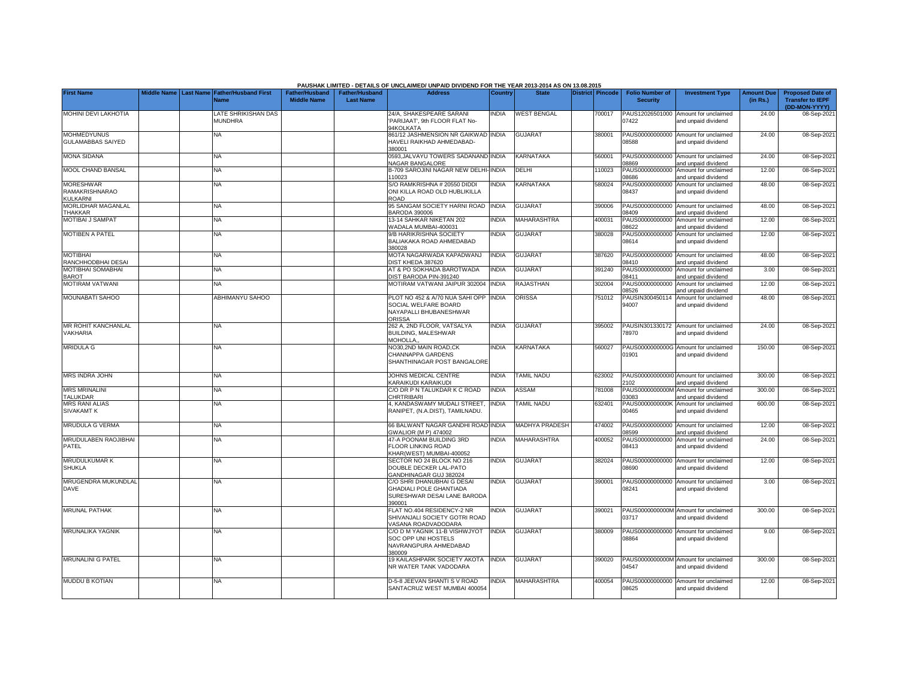|                                                              |  |                                                           |                                             |                                           | PAUSHAK LIMITED - DETAILS OF UNCLAIMED/ UNPAID DIVIDEND FOR THE YEAR 2013-2014 AS ON 13.08.2015             |                |                          |                         |                                           |                                                             |                               |                                                                     |
|--------------------------------------------------------------|--|-----------------------------------------------------------|---------------------------------------------|-------------------------------------------|-------------------------------------------------------------------------------------------------------------|----------------|--------------------------|-------------------------|-------------------------------------------|-------------------------------------------------------------|-------------------------------|---------------------------------------------------------------------|
| <b>First Name</b>                                            |  | Middle Name Last Name Father/Husband First<br><b>Name</b> | <b>Father/Husband</b><br><b>Middle Name</b> | <b>Father/Husband</b><br><b>Last Name</b> | <b>Address</b>                                                                                              | <b>Country</b> | <b>State</b>             | <b>District Pincode</b> | <b>Folio Number of</b><br><b>Security</b> | <b>Investment Type</b>                                      | <b>Amount Due</b><br>(in Rs.) | <b>Proposed Date of</b><br><b>Transfer to IEPF</b><br>(DD-MON-YYYY) |
| <b>MOHINI DEVI LAKHOTIA</b>                                  |  | <b>ATE SHRIKISHAN DAS</b><br><b>MUNDHRA</b>               |                                             |                                           | 24/A. SHAKESPEARE SARANI<br>PARIJAAT', 9th FLOOR FLAT No-<br><b>HKOLKATA</b>                                | <b>INDIA</b>   | <b>WEST BENGAL</b>       | 700017                  | PAUS12026501000<br>07422                  | Amount for unclaimed<br>and unpaid dividend                 | 24.00                         | 08-Sep-202                                                          |
| <b>MOHMEDYUNUS</b><br><b>GULAMABBAS SAIYED</b>               |  | ΝA                                                        |                                             |                                           | 861/12 JASHMENSION NR GAIKWAD INDIA<br>HAVELI RAIKHAD AHMEDABAD-<br>380001                                  |                | <b>GUJARAT</b>           | 380001                  | 08588                                     | PAUS00000000000 Amount for unclaimed<br>and unpaid dividend | 24.00                         | 08-Sep-202                                                          |
| <b>MONA SIDANA</b>                                           |  | ΝA                                                        |                                             |                                           | 0593, JALVAYU TOWERS SADANAND INDIA<br><b>VAGAR BANGALORE</b>                                               |                | KARNATAKA                | 560001                  | 8869                                      | PAUS00000000000 Amount for unclaimed<br>and unpaid dividend | 24.00                         | 08-Sep-202                                                          |
| MOOL CHAND BANSAL                                            |  | <b>NA</b>                                                 |                                             |                                           | 3-709 SAROJINI NAGAR NEW DELHI-INDIA<br>110023                                                              |                | DELHI                    | 110023                  | 8686                                      | PAUS00000000000 Amount for unclaimed<br>and unpaid dividend | 12.00                         | 08-Sep-202                                                          |
| <b>MORESHWAR</b><br><b>RAMAKRISHNARAO</b><br><b>KULKARNI</b> |  | NA                                                        |                                             |                                           | S/O RAMKRISHNA # 20550 DIDDI<br>ONI KILLA ROAD OLD HUBLIKILLA<br>ROAD                                       | <b>NDIA</b>    | <b>KARNATAKA</b>         | 580024                  | PAUS00000000000<br>08437                  | Amount for unclaimed<br>and unpaid dividend                 | 48.00                         | 08-Sep-2021                                                         |
| MORLIDHAR MAGANLAL<br><b>THAKKAR</b>                         |  | <b>NA</b>                                                 |                                             |                                           | <b>95 SANGAM SOCIETY HARNI ROAD</b><br><b>BARODA 390006</b>                                                 | <b>INDIA</b>   | <b>GUJARAT</b>           | 390006                  | PAUS00000000000<br>08409                  | Amount for unclaimed<br>and unpaid dividend                 | 48.00                         | 08-Sep-202                                                          |
| <b>MOTIBAI J SAMPAT</b>                                      |  | NA                                                        |                                             |                                           | 13-14 SAHKAR NIKETAN 202<br>WADALA MUMBAI-400031                                                            | <b>NDIA</b>    | MAHARASHTRA              | 400031                  | PAUS00000000000<br>08622                  | Amount for unclaimed<br>and unpaid dividend                 | 12.00                         | 08-Sep-202                                                          |
| <b>MOTIBEN A PATEL</b>                                       |  | <b>NA</b>                                                 |                                             |                                           | 9/B HARIKRISHNA SOCIETY<br>BALIAKAKA ROAD AHMEDABAD<br>380028                                               | <b>INDIA</b>   | <b>GUJARAT</b>           | 380028                  | 08614                                     | PAUS00000000000 Amount for unclaimed<br>and unpaid dividend | 12.00                         | 08-Sep-202                                                          |
| <b>MOTIBHAI</b><br>RANCHHODBHAI DESAI                        |  | <b>NA</b>                                                 |                                             |                                           | MOTA NAGARWADA KAPADWANJ<br><b>DIST KHEDA 387620</b>                                                        | INDIA          | <b>GUJARAT</b>           | 387620                  | 08410                                     | PAUS00000000000 Amount for unclaimed<br>and unpaid dividend | 48.00                         | 08-Sep-202                                                          |
| MOTIBHAI SOMABHAI<br><b>BAROT</b>                            |  | <b>NA</b>                                                 |                                             |                                           | <b>AT &amp; PO SOKHADA BAROTWADA</b><br><b>DIST BARODA PIN-391240</b>                                       | <b>NDIA</b>    | <b>GUJARAT</b>           | 391240                  | 08411                                     | PAUS00000000000 Amount for unclaimed<br>and unpaid dividend | 3.00                          | 08-Sep-202                                                          |
| <b>MOTIRAM VATWANI</b>                                       |  | <b>NA</b>                                                 |                                             |                                           | MOTIRAM VATWANI JAIPUR 302004                                                                               | <b>INDIA</b>   | RAJASTHAN                | 302004                  | PAUS00000000000<br>08526                  | Amount for unclaimed<br>and unpaid dividend                 | 12.00                         | 08-Sep-202                                                          |
| MOUNABATI SAHOO                                              |  | ABHIMANYU SAHOO                                           |                                             |                                           | PLOT NO 452 & A/70 NUA SAHI OPP<br>SOCIAL WELFARE BOARD<br>NAYAPALLI BHUBANESHWAR<br>ORISSA                 | <b>INDIA</b>   | ORISSA                   | 751012                  | PAUSIN300450114<br>94007                  | Amount for unclaimed<br>and unpaid dividend                 | 48.00                         | 08-Sep-202                                                          |
| MR ROHIT KANCHANLAL<br>VAKHARIA                              |  | NA                                                        |                                             |                                           | 262 A, 2ND FLOOR, VATSALYA<br>BUILDING, MALESHWAR<br><b>MOHOLLA</b>                                         | <b>INDIA</b>   | <b>GUJARAT</b>           | 395002                  | 78970                                     | PAUSIN301330172 Amount for unclaimed<br>and unpaid dividend | 24.00                         | 08-Sep-202                                                          |
| <b>MRIDULA G</b>                                             |  | NA                                                        |                                             |                                           | NO30,2ND MAIN ROAD,CK<br>CHANNAPPA GARDENS<br>SHANTHINAGAR POST BANGALORE                                   | <b>INDIA</b>   | KARNATAKA                | 560027                  | 01901                                     | PAUS0000000000G Amount for unclaimed<br>and unpaid dividend | 150.00                        | 08-Sep-202                                                          |
| <b>MRS INDRA JOHN</b>                                        |  | <b>NA</b>                                                 |                                             |                                           | JOHNS MEDICAL CENTRE<br><b>ARAIKUDI KARAIKUDI</b>                                                           | <b>INDIA</b>   | <b>TAMIL NADU</b>        | 623002                  | 2102                                      | PAUS00000000000 Amount for unclaimed<br>and unpaid dividend | 300.00                        | 08-Sep-202                                                          |
| <b>MRS MRINALINI</b><br>TALUKDAR                             |  | <b>NA</b>                                                 |                                             |                                           | C/O DR P N TALUKDAR K C ROAD<br><b>HRTRIBARI</b>                                                            | <b>INDIA</b>   | ASSAM                    | 781008                  | PAUS0000000000M<br>13083                  | Amount for unclaimed<br>and unpaid dividend                 | 300.00                        | 08-Sep-202                                                          |
| <b>MRS RANI ALIAS</b><br><b>SIVAKAMT K</b>                   |  | <b>NA</b>                                                 |                                             |                                           | , KANDASWAMY MUDALI STREET<br>RANIPET, (N.A.DIST), TAMILNADU.                                               | <b>INDIA</b>   | <b><i>FAMIL NADU</i></b> | 632401                  | PAUS0000000000K<br>00465                  | Amount for unclaimed<br>and unpaid dividend                 | 600.00                        | 08-Sep-202                                                          |
| <b>MRUDULA G VERMA</b>                                       |  | <b>NA</b>                                                 |                                             |                                           | 66 BALWANT NAGAR GANDHI ROAD INDIA<br><b>GWALIOR (M P) 474002</b>                                           |                | <b>MADHYA PRADESH</b>    | 474002                  | PAUS00000000000<br>08599                  | Amount for unclaimed<br>and unpaid dividend                 | 12.00                         | 08-Sep-202                                                          |
| MRUDULABEN RAOJIBHAI<br>PATEL                                |  | NA                                                        |                                             |                                           | 17-A POONAM BUILDING 3RD<br><b>FLOOR LINKING ROAD</b><br><b>KHAR(WEST) MUMBAI-400052</b>                    | INDIA          | MAHARASHTRA              | 400052                  | PAUS00000000000<br>08413                  | Amount for unclaimed<br>and unpaid dividend                 | 24.00                         | 08-Sep-202                                                          |
| <b>MRUDULKUMAR K</b><br><b>SHUKLA</b>                        |  | NΑ                                                        |                                             |                                           | SECTOR NO 24 BLOCK NO 216<br>DOUBLE DECKER LAL-PATO<br><b>GANDHINAGAR GUJ 382024</b>                        | <b>INDIA</b>   | <b>GUJARAT</b>           | 382024                  | 8690                                      | PAUS00000000000 Amount for unclaimed<br>and unpaid dividend | 12.00                         | 08-Sep-202                                                          |
| <b>MRUGENDRA MUKUNDLAL</b><br><b>DAVE</b>                    |  | <b>NA</b>                                                 |                                             |                                           | <b>CO SHRI DHANUBHAI G DESAI</b><br><b>GHADIALI POLE GHANTIADA</b><br>SURESHWAR DESAI LANE BARODA<br>390001 | <b>INDIA</b>   | <b>GUJARAT</b>           | 390001                  | PAUS00000000000<br>08241                  | Amount for unclaimed<br>and unpaid dividend                 | 3.00                          | 08-Sep-202                                                          |
| <b>MRUNAL PATHAK</b>                                         |  | NΑ                                                        |                                             |                                           | <b>ELAT NO.404 RESIDENCY-2 NR</b><br>SHIVANJALI SOCIETY GOTRI ROAD<br><b>/ASANA ROADVADODARA</b>            | <b>NDIA</b>    | <b>GUJARAT</b>           | 390021                  | 03717                                     | PAUS0000000000M Amount for unclaimed<br>and unpaid dividend | 300.00                        | 08-Sep-202                                                          |
| <b>MRUNALIKA YAGNIK</b>                                      |  | ΝA                                                        |                                             |                                           | C/O D M YAGNIK 11-B VISHWJYOT<br>SOC OPP UNI HOSTELS<br>NAVRANGPURA AHMEDABAD<br>380009                     | <b>INDIA</b>   | <b>GUJARAT</b>           | 380009                  | 08864                                     | PAUS00000000000 Amount for unclaimed<br>and unpaid dividend | 9.00                          | 08-Sep-202                                                          |
| <b>MRUNALINI G PATEL</b>                                     |  | NΑ                                                        |                                             |                                           | 19 KAILASHPARK SOCIETY AKOTA<br>NR WATER TANK VADODARA                                                      | <b>INDIA</b>   | <b>GUJARAT</b>           | 390020                  | 04547                                     | PAUS0000000000M Amount for unclaimed<br>and unpaid dividend | 300.00                        | 08-Sep-202                                                          |
| <b>MUDDU B KOTIAN</b>                                        |  | <b>NA</b>                                                 |                                             |                                           | D-5-8 JEEVAN SHANTI S V ROAD<br>SANTACRUZ WEST MUMBAI 400054                                                | <b>NDIA</b>    | MAHARASHTRA              | 400054                  | PAUS00000000000<br>08625                  | Amount for unclaimed<br>and unpaid dividend                 | 12.00                         | 08-Sep-202                                                          |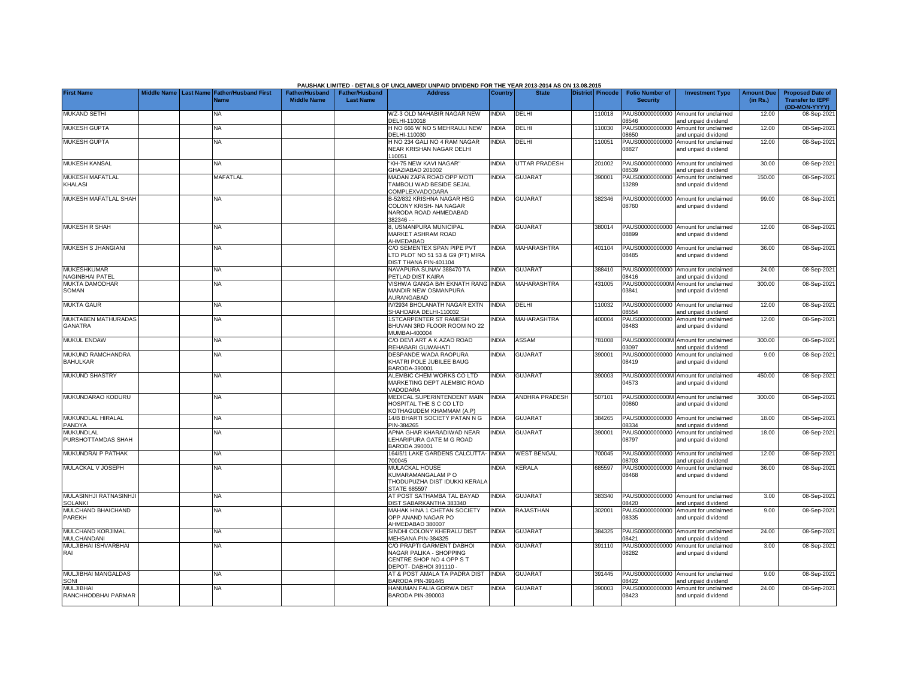|                                              |                    |                                                      |                                             |                                           | PAUSHAK LIMITED - DETAILS OF UNCLAIMED/ UNPAID DIVIDEND FOR THE YEAR 2013-2014 AS ON 13.08.2015            |                |                       |                  |                                           |                                                             |                               |                                                                     |
|----------------------------------------------|--------------------|------------------------------------------------------|---------------------------------------------|-------------------------------------------|------------------------------------------------------------------------------------------------------------|----------------|-----------------------|------------------|-------------------------------------------|-------------------------------------------------------------|-------------------------------|---------------------------------------------------------------------|
| <b>First Name</b>                            | <b>Middle Name</b> | <b>Last Name Father/Husband First</b><br><b>Name</b> | <b>Father/Husband</b><br><b>Middle Name</b> | <b>Father/Husband</b><br><b>Last Name</b> | <b>Address</b>                                                                                             | <b>Country</b> | <b>State</b>          | District Pincode | <b>Folio Number of</b><br><b>Security</b> | <b>Investment Type</b>                                      | <b>Amount Due</b><br>(in Rs.) | <b>Proposed Date of</b><br><b>Transfer to IEPF</b><br>(DD-MON-YYYY) |
| <b>MUKAND SETHI</b>                          |                    | NA                                                   |                                             |                                           | WZ-3 OLD MAHABIR NAGAR NEW<br>DELHI-110018                                                                 | INDIA          | DELHI                 | 110018           | PAUS00000000000<br>08546                  | Amount for unclaimed<br>and unpaid dividend                 | 12.00                         | 08-Sep-2021                                                         |
| MUKESH GUPTA                                 |                    | <b>NA</b>                                            |                                             |                                           | H NO 666 W NO 5 MEHRAULI NEW<br>DELHI-110030                                                               | <b>INDIA</b>   | DELHI                 | 110030           | PAUS00000000000<br>08650                  | Amount for unclaimed<br>and unpaid dividend                 | 12.00                         | 08-Sep-2021                                                         |
| <b>MUKESH GUPTA</b>                          |                    | NA                                                   |                                             |                                           | H NO 234 GALI NO 4 RAM NAGAR<br>NEAR KRISHAN NAGAR DELHI<br>10051                                          | <b>NDIA</b>    | DELHI                 | 10051            | PAUS00000000000<br>08827                  | Amount for unclaimed<br>and unpaid dividend                 | 12.00                         | 08-Sep-2021                                                         |
| <b>MUKESH KANSAL</b>                         |                    | NA                                                   |                                             |                                           | KH-75 NEW KAVI NAGAR'<br>GHAZIABAD 201002                                                                  | <b>INDIA</b>   | UTTAR PRADESH         | 201002           | PAUS00000000000<br>08539                  | Amount for unclaimed<br>and unpaid dividend                 | 30.00                         | 08-Sep-2021                                                         |
| MUKESH MAFATLAL<br>KHALASI                   |                    | MAFATLAL                                             |                                             |                                           | <b>MADAN ZAPA ROAD OPP MOTI</b><br><b>FAMBOLI WAD BESIDE SEJAL</b><br>COMPLEXVADODARA                      | INDIA          | <b>GUJARAT</b>        | 390001           | PAUS00000000000<br>13289                  | Amount for unclaimed<br>and unpaid dividend                 | 150.00                        | 08-Sep-2021                                                         |
| MUKESH MAFATLAL SHAH                         |                    | NA                                                   |                                             |                                           | B-52/832 KRISHNA NAGAR HSG<br>COLONY KRISH- NA NAGAR<br>NARODA ROAD AHMEDABAD<br>382346 - -                | INDIA          | <b>GUJARAT</b>        | 382346           | PAUS00000000000<br>08760                  | Amount for unclaimed<br>and unpaid dividend                 | 99.00                         | 08-Sep-2021                                                         |
| <b>MUKESH R SHAH</b>                         |                    | <b>NA</b>                                            |                                             |                                           | , USMANPURA MUNICIPAL<br><b>MARKET ASHRAM ROAD</b><br>AHMEDABAD                                            | INDIA          | <b>GUJARAT</b>        | 380014           | 08899                                     | PAUS00000000000 Amount for unclaimed<br>and unpaid dividend | 12.00                         | 08-Sep-2021                                                         |
| MUKESH S JHANGIANI                           |                    | <b>NA</b>                                            |                                             |                                           | C/O SEMENTEX SPAN PIPE PVT<br>TD PLOT NO 51 53 & G9 (PT) MIRA<br><b>DIST THANA PIN-401104</b>              | INDIA          | <b>MAHARASHTRA</b>    | 401104           | 08485                                     | PAUS00000000000 Amount for unclaimed<br>and unpaid dividend | 36.00                         | 08-Sep-2021                                                         |
| <b>MUKESHKUMAR</b><br><b>NAGINBHAI PATEL</b> |                    | NA                                                   |                                             |                                           | NAVAPURA SUNAV 388470 TA<br>PETLAD DIST KAIRA                                                              | <b>INDIA</b>   | <b>GUJARAT</b>        | 388410           | 08416                                     | PAUS00000000000 Amount for unclaimed<br>and unpaid dividend | 24.00                         | 08-Sep-2021                                                         |
| MUKTA DAMODHAR<br>SOMAN                      |                    | <b>NA</b>                                            |                                             |                                           | /ISHWA GANGA B/H EKNATH RANG INDIA<br>MANDIR NEW OSMANPURA<br><b>AURANGABAD</b>                            |                | MAHARASHTRA           | 431005           | PAUS0000000000M<br>03841                  | Amount for unclaimed<br>and unpaid dividend                 | 300.00                        | 08-Sep-2021                                                         |
| <b>MUKTA GAUR</b>                            |                    | <b>NA</b>                                            |                                             |                                           | V/2934 BHOLANATH NAGAR EXTN<br>SHAHDARA DELHI-110032                                                       | <b>INDIA</b>   | DELHI                 | 10032            | PAUS00000000000<br>08554                  | Amount for unclaimed<br>and unpaid dividend                 | 12.00                         | 08-Sep-2021                                                         |
| <b>MUKTABEN MATHURADAS</b><br>GANATRA        |                    | NA                                                   |                                             |                                           | <b>ISTCARPENTER ST RAMESH</b><br>BHUVAN 3RD FLOOR ROOM NO 22<br>MUMBAI-400004                              | NDIA           | MAHARASHTRA           | 400004           | PAUS00000000000<br>08483                  | Amount for unclaimed<br>and unpaid dividend                 | 12.00                         | 08-Sep-2021                                                         |
| MUKUL ENDAW                                  |                    | NA                                                   |                                             |                                           | C/O DEVI ART A K AZAD ROAD<br>REHABARI GUWAHATI                                                            | INDIA          | ASSAM                 | 781008           | PAUS0000000000M<br>03097                  | Amount for unclaimed<br>and unpaid dividend                 | 300.00                        | 08-Sep-2021                                                         |
| MUKUND RAMCHANDRA<br><b>BAHULKAR</b>         |                    | NA                                                   |                                             |                                           | DESPANDE WADA RAOPURA<br>KHATRI POLE JUBILEE BAUG<br>BARODA-390001                                         | INDIA          | <b>GUJARAT</b>        | 390001           | PAUS00000000000<br>08419                  | Amount for unclaimed<br>and unpaid dividend                 | 9.00                          | 08-Sep-2021                                                         |
| <b>MUKUND SHASTRY</b>                        |                    | NA                                                   |                                             |                                           | ALEMBIC CHEM WORKS CO LTD<br>MARKETING DEPT ALEMBIC ROAD<br>VADODARA                                       | <b>NDIA</b>    | <b>GUJARAT</b>        | 390003           | 04573                                     | PAUS0000000000M Amount for unclaimed<br>and unpaid dividend | 450.00                        | 08-Sep-2021                                                         |
| MUKUNDARAO KODURU                            |                    | <b>NA</b>                                            |                                             |                                           | MEDICAL SUPERINTENDENT MAIN<br>HOSPITAL THE S C CO LTD<br>KOTHAGUDEM KHAMMAM (A.P)                         | <b>INDIA</b>   | <b>ANDHRA PRADESH</b> | 507101           | 00860                                     | PAUS0000000000M Amount for unclaimed<br>and unpaid dividend | 300.00                        | 08-Sep-2021                                                         |
| MUKUNDLAL HIRALAL<br>PANDYA                  |                    | <b>NA</b>                                            |                                             |                                           | 14/B BHARTI SOCIETY PATAN N G<br>PIN-384265                                                                | <b>INDIA</b>   | <b>GUJARAT</b>        | 384265           | PAUS00000000000<br>08334                  | Amount for unclaimed<br>and unpaid dividend                 | 18.00                         | 08-Sep-2021                                                         |
| MUKUNDLAL<br>PURSHOTTAMDAS SHAH              |                    | <b>NA</b>                                            |                                             |                                           | APNA GHAR KHARADIWAD NEAR<br>LEHARIPURA GATE M G ROAD<br>3ARODA 390001                                     | INDIA          | <b>GUJARAT</b>        | 390001           | PAUS00000000000<br>08797                  | Amount for unclaimed<br>and unpaid dividend                 | 18.00                         | 08-Sep-2021                                                         |
| MUKUNDRAI P PATHAK                           |                    | <b>NA</b>                                            |                                             |                                           | 164/5/1 LAKE GARDENS CALCUTTA- INDIA<br>700045                                                             |                | <b>WEST BENGAL</b>    | 700045           | 08703                                     | PAUS00000000000 Amount for unclaimed<br>and unpaid dividend | 12.00                         | 08-Sep-2021                                                         |
| MULACKAL V JOSEPH                            |                    | <b>NA</b>                                            |                                             |                                           | <b>MULACKAL HOUSE</b><br><b>KUMARAMANGALAM P O</b><br>THODUPUZHA DIST IDUKKI KERALA<br><b>STATE 685597</b> | <b>INDIA</b>   | KERALA                | 685597           | PAUS00000000000<br>08468                  | Amount for unclaimed<br>and unpaid dividend                 | 36.00                         | 08-Sep-2021                                                         |
| MULASINHJI RATNASINHJI<br><b>SOLANKI</b>     |                    | NA                                                   |                                             |                                           | AT POST SATHAMBA TAL BAYAD<br><b>DIST SABARKANTHA 383340</b>                                               | <b>NDIA</b>    | <b>GUJARAT</b>        | 383340           | PAUS00000000000<br>08420                  | Amount for unclaimed<br>and unpaid dividend                 | 3.00                          | 08-Sep-2021                                                         |
| MULCHAND BHAICHAND<br>PAREKH                 |                    | NA                                                   |                                             |                                           | <b>MAHAK HINA 1 CHETAN SOCIETY</b><br>OPP ANAND NAGAR PO<br>AHMEDABAD 380007                               | <b>NDIA</b>    | RAJASTHAN             | 302001           | PAUS00000000000<br>08335                  | Amount for unclaimed<br>and unpaid dividend                 | 9.00                          | 08-Sep-2021                                                         |
| MULCHAND KORJIMAL<br>MULCHANDANI             |                    | ΝA                                                   |                                             |                                           | SINDHI COLONY KHERALU DIST<br>MEHSANA PIN-384325                                                           | <b>NDIA</b>    | GUJARAT               | 384325           | PAUS00000000000<br>08421                  | Amount for unclaimed<br>and unpaid dividend                 | 24.00                         | 08-Sep-2021                                                         |
| MULJIBHAI ISHVARBHAI<br>RAI                  |                    | NΑ                                                   |                                             |                                           | C/O PRAPTI GARMENT DABHOI<br>NAGAR PALIKA - SHOPPING<br>CENTRE SHOP NO 4 OPP S T<br>- DEPOT- DABHOI 391110 | <b>NDIA</b>    | <b>GUJARA1</b>        | 391110           | PAUS00000000000<br>08282                  | Amount for unclaimed<br>and unpaid dividend                 | 3.00                          | 08-Sep-2021                                                         |
| MULJIBHAI MANGALDAS<br>SONI                  |                    | <b>NA</b>                                            |                                             |                                           | AT & POST AMALA TA PADRA DIST<br>BARODA PIN-391445                                                         | <b>INDIA</b>   | <b>GUJARAT</b>        | 391445           | 08422                                     | PAUS00000000000 Amount for unclaimed<br>and unpaid dividend | 9.00                          | 08-Sep-2021                                                         |
| MULJIBHAI<br>RANCHHODBHAI PARMAR             |                    | <b>NA</b>                                            |                                             |                                           | HANUMAN FALIA GORWA DIST<br>BARODA PIN-390003                                                              | <b>INDIA</b>   | <b>GUJARAT</b>        | 390003           | PAUS00000000000<br>08423                  | Amount for unclaimed<br>and unpaid dividend                 | 24.00                         | 08-Sep-2021                                                         |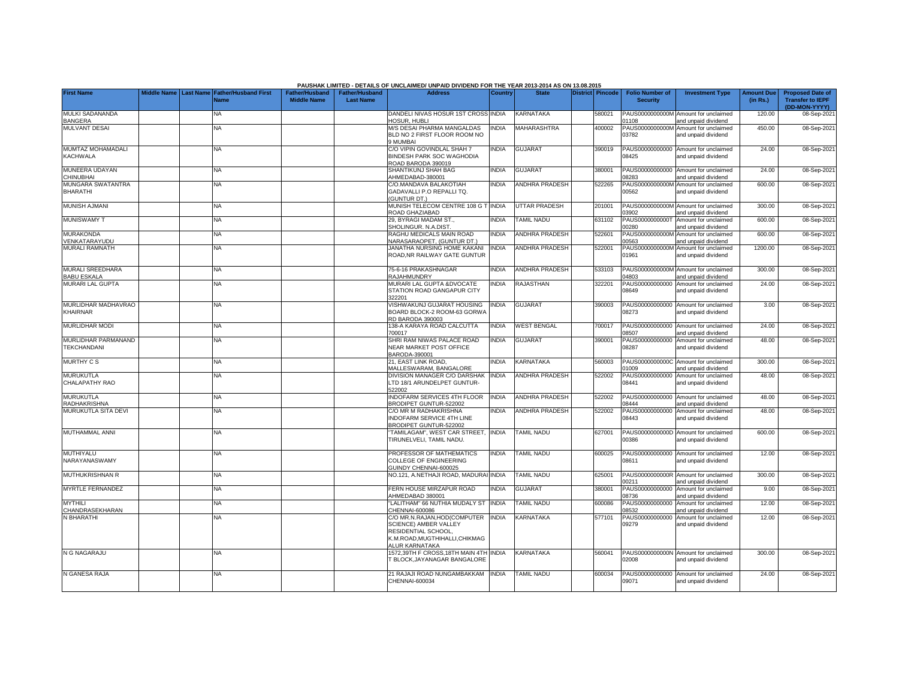|                                               |                       |                                            |                                             |                                    | PAUSHAK LIMITED - DETAILS OF UNCLAIMED/ UNPAID DIVIDEND FOR THE YEAR 2013-2014 AS ON 13.08.2015                                      |              |                       |                         |                                           |                                                             |                               |                                                                     |
|-----------------------------------------------|-----------------------|--------------------------------------------|---------------------------------------------|------------------------------------|--------------------------------------------------------------------------------------------------------------------------------------|--------------|-----------------------|-------------------------|-------------------------------------------|-------------------------------------------------------------|-------------------------------|---------------------------------------------------------------------|
| <b>First Name</b>                             | Middle Name Last Name | <b>Father/Husband First</b><br><b>Name</b> | <b>Father/Husband</b><br><b>Middle Name</b> | Father/Husband<br><b>Last Name</b> | <b>Address</b>                                                                                                                       | Country      | <b>State</b>          | <b>District</b> Pincode | <b>Folio Number of</b><br><b>Security</b> | <b>Investment Type</b>                                      | <b>Amount Due</b><br>(in Rs.) | <b>Proposed Date of</b><br><b>Transfer to IEPF</b><br>(DD-MON-YYYY) |
| MULKI SADANANDA<br><b>BANGERA</b>             |                       | NA                                         |                                             |                                    | DANDELI NIVAS HOSUR 1ST CROSS INDIA<br><b>OSUR, HUBLI</b>                                                                            |              | <b>KARNATAKA</b>      | 580021                  | 1108                                      | PAUS0000000000M Amount for unclaimed<br>and unpaid dividend | 120.00                        | 08-Sep-2021                                                         |
| <b>MULVANT DESAI</b>                          |                       | <b>NA</b>                                  |                                             |                                    | M/S DESAI PHARMA MANGALDAS<br>BLD NO 2 FIRST FLOOR ROOM NO<br>9 MUMBAI                                                               | <b>NDIA</b>  | <b>MAHARASHTRA</b>    | 400002                  | PAUS0000000000M<br>03782                  | Amount for unclaimed<br>and unpaid dividend                 | 450.00                        | 08-Sep-2021                                                         |
| MUMTAZ MOHAMADALI<br><b>KACHWALA</b>          |                       | <b>NA</b>                                  |                                             |                                    | C/O VIPIN GOVINDLAL SHAH 7<br><b>BINDESH PARK SOC WAGHODIA</b><br>ROAD BARODA 390019                                                 | <b>INDIA</b> | <b>GUJARAT</b>        | 390019                  | 08425                                     | PAUS00000000000 Amount for unclaimed<br>and unpaid dividend | 24.00                         | 08-Sep-2021                                                         |
| MUNEERA UDAYAN<br>CHINUBHAI                   |                       | NA.                                        |                                             |                                    | SHANTIKUNJ SHAH BAG<br>AHMEDABAD-380001                                                                                              | <b>INDIA</b> | <b>GUJARAT</b>        | 380001                  | PAUS00000000000<br>08283                  | Amount for unclaimed<br>and unpaid dividend                 | 24.00                         | 08-Sep-2021                                                         |
| MUNGARA SWATANTRA<br><b>BHARATHI</b>          |                       | <b>NA</b>                                  |                                             |                                    | C/O.MANDAVA BALAKOTIAH<br>GADAVALLI P.O REPALLI TQ.<br><b>GUNTUR DT.)</b>                                                            | <b>INDIA</b> | <b>ANDHRA PRADESH</b> | 522265                  | PAUS0000000000M<br>00562                  | Amount for unclaimed<br>and unpaid dividend                 | 600.00                        | 08-Sep-2021                                                         |
| MUNISH AJMANI                                 |                       | NA                                         |                                             |                                    | MUNISH TELECOM CENTRE 108 G T INDIA<br>ROAD GHAZIABAD                                                                                |              | UTTAR PRADESH         | 201001                  | PAUS0000000000M<br>3902                   | Amount for unclaimed<br>and unpaid dividend                 | 300.00                        | 08-Sep-2021                                                         |
| <b>MUNISWAMY T</b>                            |                       | <b>NA</b>                                  |                                             |                                    | 29, BYRAGI MADAM ST.,<br>SHOLINGUR, N.A.DIST.                                                                                        | <b>INDIA</b> | <b>TAMIL NADU</b>     | 631102                  | PAUS0000000000T<br>0280                   | Amount for unclaimed<br>and unpaid dividend                 | 600.00                        | 08-Sep-2021                                                         |
| <b>MURAKONDA</b><br>VENKATARAYUDU             |                       | NA                                         |                                             |                                    | RAGHU MEDICALS MAIN ROAD<br>VARASARAOPET, (GUNTUR DT.)                                                                               | <b>INDIA</b> | <b>ANDHRA PRADESH</b> | 522601                  | PAUS0000000000M<br>0563                   | Amount for unclaimed<br>and unpaid dividend                 | 600.00                        | 08-Sep-2021                                                         |
| <b>MURALI RAMNATH</b>                         |                       | NA.                                        |                                             |                                    | JANATHA NURSING HOME KAKANI<br>ROAD, NR RAILWAY GATE GUNTUR                                                                          | INDIA        | <b>ANDHRA PRADESH</b> | 522001                  | PAUS0000000000M<br>01961                  | Amount for unclaimed<br>and unpaid dividend                 | 1200.00                       | 08-Sep-2021                                                         |
| <b>MURALI SREEDHARA</b><br><b>BABU ESKALA</b> |                       | <b>NA</b>                                  |                                             |                                    | 75-6-16 PRAKASHNAGAR<br><b>RAJAHMUNDRY</b>                                                                                           | INDIA        | <b>ANDHRA PRADESH</b> | 533103                  | 14803                                     | PAUS0000000000M Amount for unclaimed<br>and unpaid dividend | 300.00                        | 08-Sep-2021                                                         |
| <b>MURARI LAL GUPTA</b>                       |                       | NA.                                        |                                             |                                    | MURARI LAL GUPTA &DVOCATE<br>STATION ROAD GANGAPUR CITY<br>322201                                                                    | <b>NDIA</b>  | <b>RAJASTHAN</b>      | 322201                  | PAUS00000000000<br>08649                  | Amount for unclaimed<br>and unpaid dividend                 | 24.00                         | 08-Sep-2021                                                         |
| MURLIDHAR MADHAVRAO<br>KHAIRNAR               |                       | <b>NA</b>                                  |                                             |                                    | <b>/ISHWAKUNJ GUJARAT HOUSING</b><br>BOARD BLOCK-2 ROOM-63 GORWA<br>RD BARODA 390003                                                 | <b>INDIA</b> | <b>GUJARAT</b>        | 390003                  | 08273                                     | PAUS00000000000 Amount for unclaimed<br>and unpaid dividend | 3.00                          | 08-Sep-2021                                                         |
| <b>MURLIDHAR MODI</b>                         |                       | <b>NA</b>                                  |                                             |                                    | 138-A KARAYA ROAD CALCUTTA<br>700017                                                                                                 | <b>INDIA</b> | <b>WEST BENGAL</b>    | 700017                  | PAUS00000000000<br>8507                   | Amount for unclaimed<br>and unpaid dividend                 | 24.00                         | 08-Sep-2021                                                         |
| MURLIDHAR PARMANAND<br><b>TEKCHANDANI</b>     |                       | <b>NA</b>                                  |                                             |                                    | SHRI RAM NIWAS PALACE ROAD<br><b>NEAR MARKET POST OFFICE</b><br>BARODA-390001                                                        | <b>INDIA</b> | <b>GUJARAT</b>        | 390001                  | PAUS00000000000<br>08287                  | Amount for unclaimed<br>and unpaid dividend                 | 48.00                         | 08-Sep-2021                                                         |
| <b>MURTHY C S</b>                             |                       | <b>NA</b>                                  |                                             |                                    | 21, EAST LINK ROAD,<br>MALLESWARAM, BANGALORE                                                                                        | <b>INDIA</b> | <b>KARNATAKA</b>      | 560003                  | PAUS0000000000C<br>1009                   | Amount for unclaimed<br>and unpaid dividend                 | 300.00                        | 08-Sep-2021                                                         |
| <b>MURUKUTLA</b><br>CHALAPATHY RAO            |                       | <b>NA</b>                                  |                                             |                                    | DIVISION MANAGER C/O DARSHAK<br>LTD 18/1 ARUNDELPET GUNTUR-<br>522002                                                                | <b>INDIA</b> | ANDHRA PRADESH        | 522002                  | 08441                                     | PAUS00000000000 Amount for unclaimed<br>and unpaid dividend | 48.00                         | 08-Sep-2021                                                         |
| <b>MURUKUTLA</b><br><b>RADHAKRISHNA</b>       |                       | NA                                         |                                             |                                    | INDOFARM SERVICES 4TH FLOOR<br><b>BRODIPET GUNTUR-522002</b>                                                                         | <b>INDIA</b> | <b>ANDHRA PRADESH</b> | 522002                  | PAUS00000000000<br>08444                  | Amount for unclaimed<br>and unpaid dividend                 | 48.00                         | 08-Sep-2021                                                         |
| MURUKUTLA SITA DEVI                           |                       | <b>NA</b>                                  |                                             |                                    | C/O MR M RADHAKRISHNA<br><b>INDOFARM SERVICE 4TH LINE</b><br>BRODIPET GUNTUR-522002                                                  | INDIA        | ANDHRA PRADESH        | 522002                  | 08443                                     | PAUS00000000000 Amount for unclaimed<br>and unpaid dividend | 48.00                         | 08-Sep-2021                                                         |
| MUTHAMMAL ANNI                                |                       | NA                                         |                                             |                                    | TAMILAGAM", WEST CAR STREET,<br>TIRUNELVELI, TAMIL NADU.                                                                             | <b>INDIA</b> | <b>TAMIL NADU</b>     | 627001                  | 0386                                      | PAUS0000000000D Amount for unclaimed<br>and unpaid dividend | 600.00                        | 08-Sep-2021                                                         |
| MUTHIYALU<br>NARAYANASWAMY                    |                       | <b>NA</b>                                  |                                             |                                    | PROFESSOR OF MATHEMATICS<br>COLLEGE OF ENGINEERING<br><b>GUINDY CHENNAI-600025</b>                                                   | <b>INDIA</b> | <b>TAMIL NADU</b>     | 600025                  | 08611                                     | PAUS00000000000 Amount for unclaimed<br>and unpaid dividend | 12.00                         | 08-Sep-2021                                                         |
| MUTHUKRISHNAN R                               |                       | <b>NA</b>                                  |                                             |                                    | NO.121, A.NETHAJI ROAD, MADURAI INDIA                                                                                                |              | <b>TAMIL NADU</b>     | 625001                  | PAUS0000000000R<br>0211                   | Amount for unclaimed<br>and unpaid dividend                 | 300.00                        | 08-Sep-2021                                                         |
| <b>MYRTLE FERNANDEZ</b>                       |                       | <b>NA</b>                                  |                                             |                                    | <b>ERN HOUSE MIRZAPUR ROAD</b><br>HMEDABAD 380001                                                                                    | <b>INDIA</b> | <b>GUJARAT</b>        | 380001                  | PAUS00000000000<br>8736                   | Amount for unclaimed<br>and unpaid dividend                 | 9.00                          | 08-Sep-2021                                                         |
| <b>MYTHILI</b><br>CHANDRASEKHARAN             |                       | <b>NA</b>                                  |                                             |                                    | "LALITHAM" 66 NUTHIA MUDALY ST<br>CHENNAI-600086                                                                                     | <b>INDIA</b> | TAMIL NADU            | 600086                  | PAUS00000000000<br>8532                   | Amount for unclaimed<br>and unpaid dividend                 | 12.00                         | 08-Sep-2021                                                         |
| N BHARATHI                                    |                       | NA                                         |                                             |                                    | C/O MR.N.RAJAN,HOD(COMPUTER<br>SCIENCE) AMBER VALLEY<br><b>RESIDENTIAL SCHOOL.</b><br>K.M.ROAD.MUGTHIHALLI.CHIKMAG<br>ALUR KARNATAKA | <b>INDIA</b> | <b>KARNATAKA</b>      | 577101                  | PAUS00000000000<br>09279                  | Amount for unclaimed<br>and unpaid dividend                 | 12.00                         | 08-Sep-2021                                                         |
| N G NAGARAJU                                  |                       | NA                                         |                                             |                                    | 1572,39TH F CROSS,18TH MAIN 4TH INDIA<br><b>BLOCK, JAYANAGAR BANGALORE</b>                                                           |              | <b>KARNATAKA</b>      | 560041                  | 02008                                     | PAUS0000000000N Amount for unclaimed<br>and unpaid dividend | 300.00                        | 08-Sep-2021                                                         |
| N GANESA RAJA                                 |                       | NA.                                        |                                             |                                    | 21 RAJAJI ROAD NUNGAMBAKKAM<br>CHENNAI-600034                                                                                        | <b>INDIA</b> | <b>TAMIL NADU</b>     | 600034                  | 09071                                     | PAUS00000000000 Amount for unclaimed<br>and unpaid dividend | 24.00                         | 08-Sep-2021                                                         |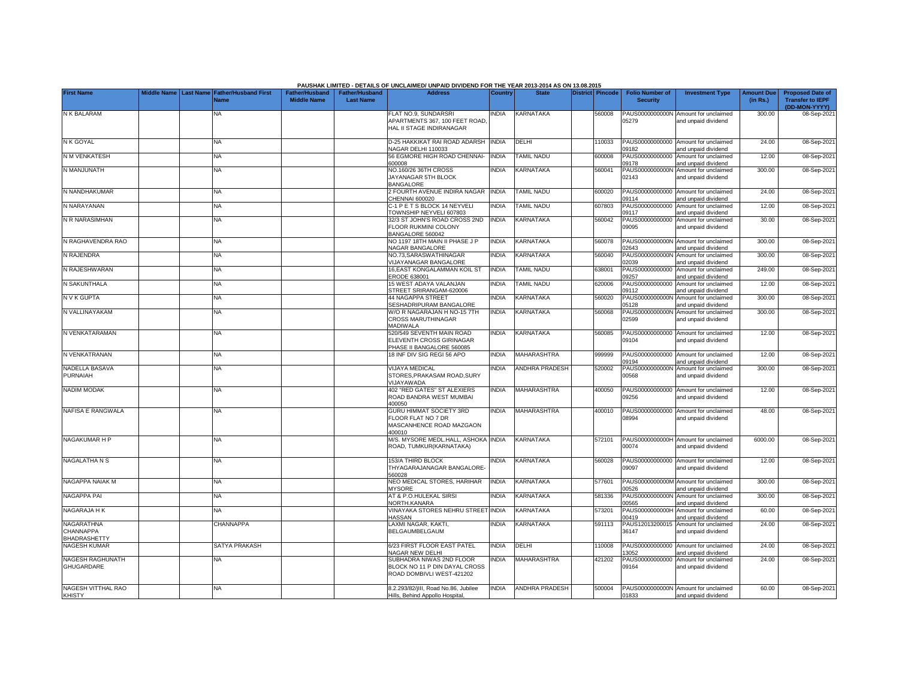|                                   |  |                                            |                       |                       | PAUSHAK LIMITED - DETAILS OF UNCLAIMED/ UNPAID DIVIDEND FOR THE YEAR 2013-2014 AS ON 13.08.2015 |                |                       |                  |                          |                                                             |                   |                                          |
|-----------------------------------|--|--------------------------------------------|-----------------------|-----------------------|-------------------------------------------------------------------------------------------------|----------------|-----------------------|------------------|--------------------------|-------------------------------------------------------------|-------------------|------------------------------------------|
| <b>First Name</b>                 |  | Middle Name Last Name Father/Husband First | <b>Father/Husband</b> | <b>Father/Husband</b> | <b>Address</b>                                                                                  | <b>Country</b> | <b>State</b>          | District Pincode | <b>Folio Number of</b>   | <b>Investment Type</b>                                      | <b>Amount Due</b> | <b>Proposed Date of</b>                  |
|                                   |  | <b>Name</b>                                | <b>Middle Name</b>    | <b>Last Name</b>      |                                                                                                 |                |                       |                  | <b>Security</b>          |                                                             | (in Rs.)          | <b>Transfer to IEPF</b><br>(DD-MON-YYYY) |
| N K BALARAM                       |  | ΝA                                         |                       |                       | FLAT NO.9, SUNDARSRI                                                                            | <b>NDIA</b>    | <b>KARNATAKA</b>      | 560008           |                          | PAUS0000000000N Amount for unclaimed                        | 300.00            | 08-Sep-2021                              |
|                                   |  |                                            |                       |                       | APARTMENTS 367, 100 FEET ROAD                                                                   |                |                       |                  | 05279                    | and unpaid dividend                                         |                   |                                          |
|                                   |  |                                            |                       |                       | HAL II STAGE INDIRANAGAR                                                                        |                |                       |                  |                          |                                                             |                   |                                          |
| N K GOYAL                         |  | <b>NA</b>                                  |                       |                       | D-25 HAKKIKAT RAI ROAD ADARSH INDIA                                                             |                | DELHI                 | 110033           |                          | PAUS00000000000 Amount for unclaimed                        | 24.00             | 08-Sep-2021                              |
|                                   |  |                                            |                       |                       | VAGAR DELHI 110033                                                                              |                |                       |                  | 09182                    | and unpaid dividend                                         |                   |                                          |
| N M VENKATESH                     |  | <b>NA</b>                                  |                       |                       | 56 EGMORE HIGH ROAD CHENNAI-<br>800008                                                          | <b>INDIA</b>   | <b>TAMIL NADU</b>     | 600008           | 09178                    | PAUS00000000000 Amount for unclaimed<br>and unpaid dividend | 12.00             | 08-Sep-2021                              |
| N MANJUNATH                       |  | NA                                         |                       |                       | NO.160/26 36TH CROSS                                                                            | <b>INDIA</b>   | KARNATAKA             | 560041           |                          | PAUS0000000000N Amount for unclaimed                        | 300.00            | 08-Sep-2021                              |
|                                   |  |                                            |                       |                       | JAYANAGAR 5TH BLOCK<br><b>BANGALORE</b>                                                         |                |                       |                  | 02143                    | and unpaid dividend                                         |                   |                                          |
| N NANDHAKUMAR                     |  | <b>NA</b>                                  |                       |                       | <b>EQURTH AVENUE INDIRA NAGAR</b>                                                               | <b>INDIA</b>   | <b>TAMIL NADU</b>     | 600020           |                          | PAUS00000000000 Amount for unclaimed                        | 24.00             | 08-Sep-2021                              |
|                                   |  |                                            |                       |                       | CHENNAI 600020                                                                                  |                |                       |                  | 09114                    | and unpaid dividend                                         |                   |                                          |
| N NARAYANAN                       |  | <b>NA</b>                                  |                       |                       | C-1 P E T S BLOCK 14 NEYVELI<br>TOWNSHIP NEYVELI 607803                                         | <b>INDIA</b>   | <b>TAMIL NADU</b>     | 607803           | 09117                    | PAUS00000000000 Amount for unclaimed<br>and unpaid dividend | 12.00             | 08-Sep-2021                              |
| N R NARASIMHAN                    |  | ΝA                                         |                       |                       | 32/3 ST JOHN'S ROAD CROSS 2ND                                                                   | <b>INDIA</b>   | <b>KARNATAKA</b>      | 560042           |                          | PAUS00000000000 Amount for unclaimed                        | 30.00             | 08-Sep-2021                              |
|                                   |  |                                            |                       |                       | FLOOR RUKMINI COLONY                                                                            |                |                       |                  | 09095                    | and unpaid dividend                                         |                   |                                          |
| N RAGHAVENDRA RAO                 |  | <b>NA</b>                                  |                       |                       | BANGALORE 560042<br>NO 1197 18TH MAIN II PHASE J P                                              | INDIA          | KARNATAKA             | 560078           |                          | PAUS0000000000N Amount for unclaimed                        | 300.00            | 08-Sep-2021                              |
|                                   |  |                                            |                       |                       | NAGAR BANGALORE                                                                                 |                |                       |                  | 02643                    | and unpaid dividend                                         |                   |                                          |
| N RAJENDRA                        |  | <b>NA</b>                                  |                       |                       | NO.73.SARASWATHINAGAR                                                                           | <b>INDIA</b>   | <b>KARNATAKA</b>      | 560040           |                          | PAUS0000000000N Amount for unclaimed                        | 300.00            | 08-Sep-2021                              |
| N RAJESHWARAN                     |  | <b>NA</b>                                  |                       |                       | /IJAYANAGAR BANGALORE<br><b>16,EAST KONGALAMMAN KOIL ST</b>                                     | <b>INDIA</b>   | <b>TAMIL NADU</b>     | 638001           | 02039<br>PAUS00000000000 | and unpaid dividend<br>Amount for unclaimed                 | 249.00            | 08-Sep-2021                              |
|                                   |  |                                            |                       |                       | ERODE 638001                                                                                    |                |                       |                  | 09257                    | and unpaid dividend                                         |                   |                                          |
| N SAKUNTHALA                      |  | NA                                         |                       |                       | 15 WEST ADAYA VALANJAN                                                                          | INDIA          | <b>TAMIL NADU</b>     | 620006           | PAUS00000000000          | Amount for unclaimed                                        | 12.00             | 08-Sep-2021                              |
| <b>NVKGUPTA</b>                   |  | NA                                         |                       |                       | STREET SRIRANGAM-620006<br><b>14 NAGAPPA STREET</b>                                             | <b>INDIA</b>   | KARNATAKA             | 560020           | 09112<br>PAUS0000000000N | and unpaid dividend<br>Amount for unclaimed                 | 300.00            | 08-Sep-2021                              |
|                                   |  |                                            |                       |                       | SESHADRIPURAM BANGALORE                                                                         |                |                       |                  | 05128                    | and unpaid dividend                                         |                   |                                          |
| N VALLINAYAKAM                    |  | NA                                         |                       |                       | W/O R NAGARAJAN H NO-15 7TH                                                                     | INDIA          | KARNATAKA             | 560068           |                          | PAUS0000000000N Amount for unclaimed                        | 300.00            | 08-Sep-2021                              |
|                                   |  |                                            |                       |                       | CROSS MARUTHINAGAR<br><b>MADIWALA</b>                                                           |                |                       |                  | 02599                    | and unpaid dividend                                         |                   |                                          |
| N VENKATARAMAN                    |  | NA                                         |                       |                       | 520/549 SEVENTH MAIN ROAD                                                                       | INDIA          | KARNATAKA             | 560085           |                          | PAUS00000000000 Amount for unclaimed                        | 12.00             | 08-Sep-2021                              |
|                                   |  |                                            |                       |                       | <b>ELEVENTH CROSS GIRINAGAR</b><br>PHASE II BANGALORE 560085                                    |                |                       |                  | 09104                    | and unpaid dividend                                         |                   |                                          |
| N VENKATRANAN                     |  | <b>NA</b>                                  |                       |                       | 18 INF DIV SIG REGI 56 APO                                                                      | INDIA          | MAHARASHTRA           | 999999           |                          | PAUS00000000000 Amount for unclaimed                        | 12.00             | 08-Sep-2021                              |
|                                   |  |                                            |                       |                       |                                                                                                 |                |                       |                  | 09194                    | and unpaid dividend                                         |                   |                                          |
| <b>NADELLA BASAVA</b><br>PURNAIAH |  | <b>NA</b>                                  |                       |                       | <b>JIJAYA MEDICAL</b><br>STORES, PRAKASAM ROAD, SURY                                            | <b>INDIA</b>   | <b>ANDHRA PRADESH</b> | 520002           | PAUS0000000000N<br>00568 | Amount for unclaimed<br>and unpaid dividend                 | 300.00            | 08-Sep-2021                              |
|                                   |  |                                            |                       |                       | <b>JIJAYAWADA</b>                                                                               |                |                       |                  |                          |                                                             |                   |                                          |
| <b>NADIM MODAK</b>                |  | NA                                         |                       |                       | 402 "RED GATES" ST ALEXIERS                                                                     | <b>INDIA</b>   | MAHARASHTRA           | 400050           |                          | PAUS00000000000 Amount for unclaimed                        | 12.00             | 08-Sep-2021                              |
|                                   |  |                                            |                       |                       | ROAD BANDRA WEST MUMBAI<br>100050                                                               |                |                       |                  | 09256                    | and unpaid dividend                                         |                   |                                          |
| NAFISA E RANGWALA                 |  | <b>NA</b>                                  |                       |                       | <b>GURU HIMMAT SOCIETY 3RD</b>                                                                  | <b>INDIA</b>   | MAHARASHTRA           | 400010           |                          | PAUS00000000000 Amount for unclaimed                        | 48.00             | 08-Sep-2021                              |
|                                   |  |                                            |                       |                       | FLOOR FLAT NO 7 DR                                                                              |                |                       |                  | 08994                    | and unpaid dividend                                         |                   |                                          |
|                                   |  |                                            |                       |                       | MASCANHENCE ROAD MAZGAON<br>400010                                                              |                |                       |                  |                          |                                                             |                   |                                          |
| NAGAKUMAR H P                     |  | NA                                         |                       |                       | M/S. MYSORE MEDL.HALL, ASHOKA INDIA                                                             |                | <b>KARNATAKA</b>      | 572101           |                          | PAUS0000000000H Amount for unclaimed                        | 6000.00           | 08-Sep-2021                              |
|                                   |  |                                            |                       |                       | ROAD, TUMKUR(KARNATAKA)                                                                         |                |                       |                  | 00074                    | and unpaid dividend                                         |                   |                                          |
| <b>NAGALATHA N S</b>              |  | NA                                         |                       |                       | 153/A THIRD BLOCK                                                                               | <b>NDIA</b>    | KARNATAKA             | 560028           |                          | PAUS00000000000 Amount for unclaimed                        | 12.00             | 08-Sep-2021                              |
|                                   |  |                                            |                       |                       | THYAGARAJANAGAR BANGALORE-                                                                      |                |                       |                  | 09097                    | and unpaid dividend                                         |                   |                                          |
| NAGAPPA NAIAK M                   |  | <b>NA</b>                                  |                       |                       | 560028<br>NEO MEDICAL STORES, HARIHAR                                                           | <b>INDIA</b>   | <b>KARNATAKA</b>      | 577601           |                          | PAUS0000000000M Amount for unclaimed                        | 300.00            | 08-Sep-2021                              |
|                                   |  |                                            |                       |                       | <b>MYSORE</b>                                                                                   |                |                       |                  | 00526                    | and unpaid dividend                                         |                   |                                          |
| NAGAPPA PAI                       |  | <b>NA</b>                                  |                       |                       | AT & P.O.HULEKAL SIRSI                                                                          | INDIA          | KARNATAKA             | 581336           |                          | PAUS0000000000N Amount for unclaimed                        | 300.00            | 08-Sep-2021                              |
| NAGARAJA H K                      |  | NA                                         |                       |                       | <b>VORTH, KANARA</b><br><b>/INAYAKA STORES NEHRU STREET INDIA</b>                               |                | KARNATAKA             | 573201           | 00565                    | and unpaid dividend<br>PAUS0000000000H Amount for unclaimed | 60.00             | 08-Sep-2021                              |
|                                   |  |                                            |                       |                       | HASSAN                                                                                          |                |                       |                  | 00419                    | and unpaid dividend                                         |                   |                                          |
| NAGARATHNA                        |  | <b>CHANNAPPA</b>                           |                       |                       | AXMI NAGAR, KAKTI,                                                                              | <b>INDIA</b>   | KARNATAKA             | 591113           | PAUS12013200015          | Amount for unclaimed                                        | 24.00             | 08-Sep-2021                              |
| CHANNAPPA<br>BHADRASHETTY         |  |                                            |                       |                       | BELGAUMBELGAUM                                                                                  |                |                       |                  | 36147                    | and unpaid dividend                                         |                   |                                          |
| <b>NAGESH KUMAR</b>               |  | SATYA PRAKASH                              |                       |                       | 6/23 FIRST FLOOR EAST PATEL                                                                     | <b>INDIA</b>   | DELHI                 | 10008            |                          | PAUS00000000000 Amount for unclaimed                        | 24.00             | 08-Sep-2021                              |
|                                   |  |                                            |                       |                       | <b>VAGAR NEW DELHI</b>                                                                          |                |                       |                  | 13052                    | and unpaid dividend                                         |                   |                                          |
| NAGESH RAGHUNATH<br>GHUGARDARE    |  | NA                                         |                       |                       | SUBHADRA NIWAS 2ND FLOOR<br>BLOCK NO 11 P DIN DAYAL CROSS                                       | <b>NDIA</b>    | MAHARASHTRA           | 421202           | 09164                    | PAUS00000000000 Amount for unclaimed<br>and unpaid dividend | 24.00             | 08-Sep-2021                              |
|                                   |  |                                            |                       |                       | ROAD DOMBIVLI WEST-421202                                                                       |                |                       |                  |                          |                                                             |                   |                                          |
| NAGESH VITTHAL RAO                |  | <b>NA</b>                                  |                       |                       | 3.2.293/82/jlll, Road No.86, Jubilee                                                            | <b>INDIA</b>   | <b>ANDHRA PRADESH</b> | 500004           |                          | PAUS0000000000N Amount for unclaimed                        | 60.00             | 08-Sep-2021                              |
| <b>KHISTY</b>                     |  |                                            |                       |                       | Hills, Behind Appollo Hospital                                                                  |                |                       |                  | 01833                    | and unpaid dividend                                         |                   |                                          |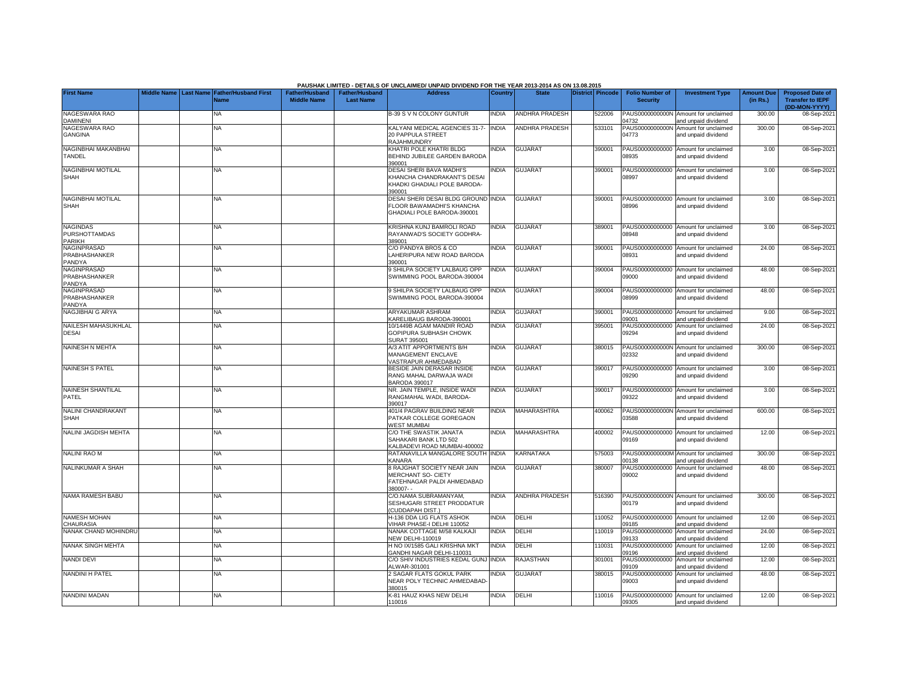|                                                          |                    |           |                                            |                                             |                                           | PAUSHAK LIMITED - DETAILS OF UNCLAIMED/ UNPAID DIVIDEND FOR THE YEAR 2013-2014 AS ON 13.08.2015        |              |                       |                  |        |                                           |                                                             |                               |                                                                     |
|----------------------------------------------------------|--------------------|-----------|--------------------------------------------|---------------------------------------------|-------------------------------------------|--------------------------------------------------------------------------------------------------------|--------------|-----------------------|------------------|--------|-------------------------------------------|-------------------------------------------------------------|-------------------------------|---------------------------------------------------------------------|
| <b>First Name</b>                                        | <b>Middle Name</b> | Last Name | <b>Father/Husband First</b><br><b>Name</b> | <b>Father/Husband</b><br><b>Middle Name</b> | <b>Father/Husband</b><br><b>Last Name</b> | <b>Address</b>                                                                                         | Country      | <b>State</b>          | District Pincode |        | <b>Folio Number of</b><br><b>Security</b> | <b>Investment Type</b>                                      | <b>Amount Due</b><br>(in Rs.) | <b>Proposed Date of</b><br><b>Transfer to IEPF</b><br>(DD-MON-YYYY) |
| NAGESWARA RAO<br><b>DAMINENI</b>                         |                    |           | NA.                                        |                                             |                                           | 3-39 S V N COLONY GUNTUR                                                                               | <b>NDIA</b>  | <b>ANDHRA PRADESH</b> |                  | 522006 | PAUS0000000000N<br>04732                  | Amount for unclaimed<br>and unpaid dividend                 | 300.00                        | 08-Sep-202                                                          |
| NAGESWARA RAO<br><b>GANGINA</b>                          |                    |           | <b>NA</b>                                  |                                             |                                           | KALYANI MEDICAL AGENCIES 31-7-<br>20 PAPPULA STREET<br>RAJAHMUNDRY                                     | <b>INDIA</b> | <b>ANDHRA PRADESH</b> |                  | 533101 | PAUS0000000000N<br>04773                  | Amount for unclaimed<br>and unpaid dividend                 | 300.00                        | 08-Sep-202                                                          |
| NAGINBHAI MAKANBHAI<br>TANDEL                            |                    |           | <b>NA</b>                                  |                                             |                                           | KHATRI POLE KHATRI BLDG<br>BEHIND JUBILEE GARDEN BARODA<br>390001                                      | <b>INDIA</b> | <b>GUJARAT</b>        |                  | 390001 | 08935                                     | PAUS00000000000 Amount for unclaimed<br>and unpaid dividend | 3.00                          | 08-Sep-2021                                                         |
| NAGINBHAI MOTILAL<br><b>SHAH</b>                         |                    |           | <b>NA</b>                                  |                                             |                                           | DESAI SHERI BAVA MADHI'S<br>KHANCHA CHANDRAKANT'S DESAI<br>KHADKI GHADIALI POLE BARODA-<br>390001      | <b>NDIA</b>  | <b>GUJARAT</b>        |                  | 390001 | 08997                                     | PAUS00000000000 Amount for unclaimed<br>and unpaid dividend | 3.00                          | 08-Sep-202                                                          |
| <b>NAGINBHAI MOTILAL</b><br><b>SHAH</b>                  |                    |           | NA                                         |                                             |                                           | DESAI SHERI DESAI BLDG GROUND INDIA<br><b>ELOOR BAWAMADHI'S KHANCHA</b><br>GHADIALI POLE BARODA-390001 |              | <b>GUJARAT</b>        |                  | 390001 | 08996                                     | PAUS00000000000 Amount for unclaimed<br>and unpaid dividend | 3.00                          | 08-Sep-202                                                          |
| <b>NAGINDAS</b><br><b>PURSHOTTAMDAS</b><br><b>PARIKH</b> |                    |           | <b>NA</b>                                  |                                             |                                           | KRISHNA KUNJ BAMROLI ROAD<br>RAYANWAD'S SOCIETY GODHRA-<br>389001                                      | <b>NDIA</b>  | GUJARAT               |                  | 389001 | PAUS00000000000<br>08948                  | Amount for unclaimed<br>and unpaid dividend                 | 3.00                          | 08-Sep-202                                                          |
| <b>NAGINPRASAD</b><br>PRABHASHANKER<br>PANDYA            |                    |           | NA                                         |                                             |                                           | C/O PANDYA BROS & CO<br>LAHERIPURA NEW ROAD BARODA<br>390001                                           | <b>NDIA</b>  | GUJARAT               |                  | 390001 | PAUS00000000000<br>08931                  | Amount for unclaimed<br>and unpaid dividend                 | 24.00                         | 08-Sep-202                                                          |
| <b>NAGINPRASAD</b><br>PRABHASHANKER<br>PANDYA            |                    |           | ΝA                                         |                                             |                                           | <b>SHILPA SOCIETY LALBAUG OPP</b><br>SWIMMING POOL BARODA-390004                                       | NDIA         | <b>GUJARAT</b>        |                  | 390004 | 0000                                      | PAUS00000000000 Amount for unclaimed<br>and unpaid dividend | 48.00                         | 08-Sep-202                                                          |
| <b>NAGINPRASAD</b><br>PRABHASHANKER<br>PANDYA            |                    |           | ΝA                                         |                                             |                                           | <b>SHILPA SOCIETY LALBAUG OPP</b><br>SWIMMING POOL BARODA-390004                                       | <b>NDIA</b>  | <b>GUJARAT</b>        |                  | 390004 | 08999                                     | PAUS00000000000 Amount for unclaimed<br>and unpaid dividend | 48.00                         | 08-Sep-202                                                          |
| NAGJIBHAI G ARYA                                         |                    |           | <b>NA</b>                                  |                                             |                                           | ARYAKUMAR ASHRAM<br>ARELIBAUG BARODA-390001                                                            | <b>INDIA</b> | <b>GUJARAT</b>        |                  | 390001 | 9001                                      | PAUS00000000000 Amount for unclaimed<br>and unpaid dividend | 9.00                          | 08-Sep-202                                                          |
| NAILESH MAHASUKHLAL<br><b>DESAI</b>                      |                    |           | <b>NA</b>                                  |                                             |                                           | 0/1449B AGAM MANDIR ROAD<br>GOPIPURA SUBHASH CHOWK<br>SURAT 395001                                     | <b>INDIA</b> | <b>GUJARAT</b>        |                  | 395001 | PAUS00000000000<br>09294                  | Amount for unclaimed<br>and unpaid dividend                 | 24.00                         | 08-Sep-202                                                          |
| <b>NAINESH N MEHTA</b>                                   |                    |           | NA                                         |                                             |                                           | <b>V3 ATIT APPORTMENTS B/H</b><br>MANAGEMENT ENCLAVE<br><b>/ASTRAPUR AHMEDABAD</b>                     | <b>INDIA</b> | <b>GUJARAT</b>        |                  | 380015 | PAUS0000000000N<br>02332                  | Amount for unclaimed<br>and unpaid dividend                 | 300.00                        | 08-Sep-202                                                          |
| <b>NAINESH S PATEL</b>                                   |                    |           | <b>NA</b>                                  |                                             |                                           | BESIDE JAIN DERASAR INSIDE<br>RANG MAHAL DARWAJA WADI<br>3ARODA 390017                                 | <b>INDIA</b> | <b>GUJARAT</b>        |                  | 390017 | 09290                                     | PAUS00000000000 Amount for unclaimed<br>and unpaid dividend | 3.00                          | 08-Sep-202                                                          |
| <b>NAINESH SHANTILAL</b><br>PATEL                        |                    |           | <b>NA</b>                                  |                                             |                                           | NR. JAIN TEMPLE, INSIDE WADI<br>RANGMAHAL WADI, BARODA-<br>390017                                      | <b>INDIA</b> | <b>GUJARAT</b>        |                  | 390017 | 9322                                      | PAUS00000000000 Amount for unclaimed<br>and unpaid dividend | 3.00                          | 08-Sep-2021                                                         |
| NALINI CHANDRAKANT<br><b>SHAH</b>                        |                    |           | NA                                         |                                             |                                           | 101/4 PAGRAV BUILDING NEAR<br>PATKAR COLLEGE GOREGAON<br><b>NEST MUMBAI</b>                            | INDIA        | MAHARASHTRA           |                  | 400062 | 03588                                     | PAUS0000000000N Amount for unclaimed<br>and unpaid dividend | 600.00                        | 08-Sep-202                                                          |
| NALINI JAGDISH MEHTA                                     |                    |           | <b>NA</b>                                  |                                             |                                           | C/O THE SWASTIK JANATA<br>SAHAKARI BANK LTD 502<br><b>CALBADEVI ROAD MUMBAI-400002</b>                 | <b>INDIA</b> | <b>MAHARASHTRA</b>    |                  | 400002 | 09169                                     | PAUS00000000000 Amount for unclaimed<br>and unpaid dividend | 12.00                         | 08-Sep-202                                                          |
| <b>NALINI RAO M</b>                                      |                    |           | <b>NA</b>                                  |                                             |                                           | RATANAVILLA MANGALORE SOUTH<br><b>CANARA</b>                                                           | <b>INDIA</b> | <b>KARNATAKA</b>      |                  | 575003 | 0138                                      | PAUS0000000000M Amount for unclaimed<br>nd unpaid dividend  | 300.00                        | 08-Sep-202                                                          |
| NALINKUMAR A SHAH                                        |                    |           | <b>NA</b>                                  |                                             |                                           | <b>RAJGHAT SOCIETY NEAR JAIN</b><br>MERCHANT SO- CIETY<br>FATEHNAGAR PALDI AHMEDABAD<br>380007--       | <b>NDIA</b>  | GUJARAT               |                  | 380007 | PAUS00000000000<br>09002                  | Amount for unclaimed<br>and unpaid dividend                 | 48.00                         | 08-Sep-202                                                          |
| NAMA RAMESH BABU                                         |                    |           | NA                                         |                                             |                                           | C/O.NAMA SUBRAMANYAM,<br>SESHUGARI STREET PRODDATUR<br>CUDDAPAH DIST.)                                 | <b>NDIA</b>  | <b>ANDHRA PRADESH</b> |                  | 516390 | 00179                                     | PAUS0000000000N Amount for unclaimed<br>and unpaid dividend | 300.00                        | 08-Sep-202                                                          |
| <b>NAMESH MOHAN</b><br><b>CHAURASIA</b>                  |                    |           | NA                                         |                                             |                                           | 1-136 DDA LIG FLATS ASHOK<br>/IHAR PHASE-I DELHI 110052                                                | <b>INDIA</b> | DELHI                 |                  | 110052 | 9185                                      | PAUS00000000000 Amount for unclaimed<br>and unpaid dividend | 12.00                         | 08-Sep-202                                                          |
| NANAK CHAND MOHINDRU                                     |                    |           | <b>NA</b>                                  |                                             |                                           | NANAK COTTAGE M/58 KALKAJI<br><b>NEW DELHI-110019</b>                                                  | <b>INDIA</b> | DELHI                 |                  | 110019 | PAUS00000000000<br>09133                  | Amount for unclaimed<br>and unpaid dividend                 | 24.00                         | 08-Sep-202                                                          |
| NANAK SINGH MEHTA                                        |                    |           | <b>NA</b>                                  |                                             |                                           | <b>H NO IX/1585 GALI KRISHNA MKT</b><br><b>GANDHI NAGAR DELHI-110031</b>                               | <b>INDIA</b> | DELHI                 |                  | 10031  | PAUS00000000000<br>09196                  | Amount for unclaimed<br>and unpaid dividend                 | 12.00                         | 08-Sep-202                                                          |
| <b>NANDI DEVI</b>                                        |                    |           | NA                                         |                                             |                                           | C/O SHIV INDUSTRIES KEDAL GUNJ<br>ALWAR-301001                                                         | <b>INDIA</b> | RAJASTHAN             |                  | 301001 | PAUS00000000000<br>09109                  | Amount for unclaimed<br>and unpaid dividend                 | 12.00                         | 08-Sep-202                                                          |
| <b>NANDINI H PATEL</b>                                   |                    |           | <b>NA</b>                                  |                                             |                                           | SAGAR FLATS GOKUL PARK<br>NEAR POLY TECHNIC AHMEDABAD<br>380015                                        | <b>NDIA</b>  | <b>GUJARAT</b>        |                  | 380015 | PAUS00000000000<br>09003                  | Amount for unclaimed<br>and unpaid dividend                 | 48.00                         | 08-Sep-202                                                          |
| NANDINI MADAN                                            |                    |           | <b>NA</b>                                  |                                             |                                           | <b>&lt;-81 HAUZ KHAS NEW DELHI</b><br>110016                                                           | <b>INDIA</b> | DELHI                 |                  | 10016  | 09305                                     | PAUS00000000000 Amount for unclaimed<br>and unpaid dividend | 12.00                         | 08-Sep-2021                                                         |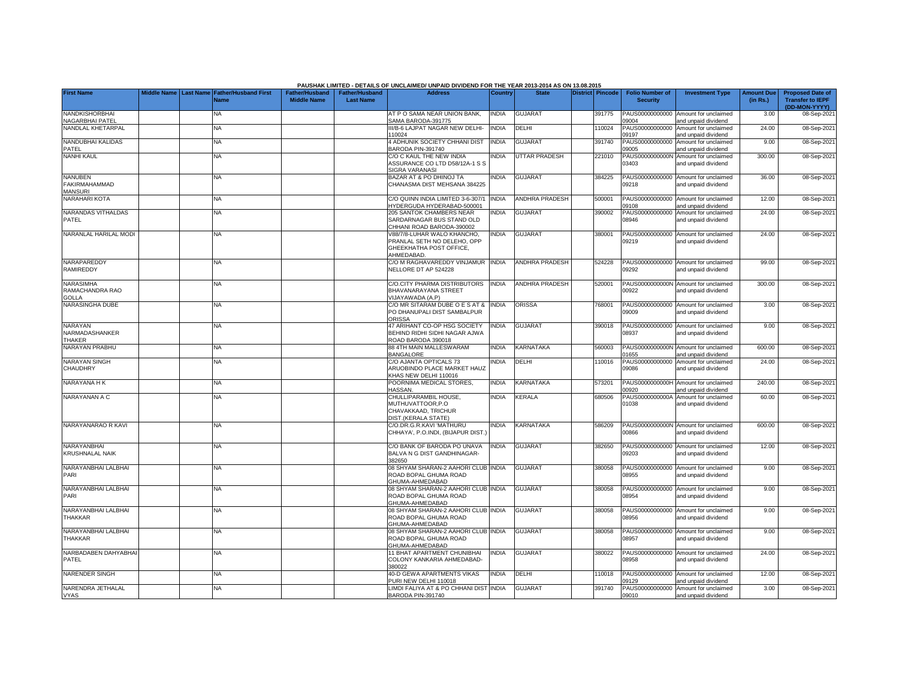|                                                          |                       |                             |                       |                       | PAUSHAK LIMITED - DETAILS OF UNCLAIMED/ UNPAID DIVIDEND FOR THE YEAR 2013-2014 AS ON 13.08.2015     |              |                       |                         |                          |                                                             |                   |                                          |
|----------------------------------------------------------|-----------------------|-----------------------------|-----------------------|-----------------------|-----------------------------------------------------------------------------------------------------|--------------|-----------------------|-------------------------|--------------------------|-------------------------------------------------------------|-------------------|------------------------------------------|
| <b>First Name</b>                                        | Middle Name Last Name | <b>Father/Husband First</b> | <b>Father/Husband</b> | <b>Father/Husband</b> | <b>Address</b>                                                                                      | Country      | <b>State</b>          | <b>District Pincode</b> | <b>Folio Number of</b>   | <b>Investment Type</b>                                      | <b>Amount Due</b> | <b>Proposed Date of</b>                  |
|                                                          |                       | <b>Name</b>                 | <b>Middle Name</b>    | <b>Last Name</b>      |                                                                                                     |              |                       |                         | <b>Security</b>          |                                                             | (in Rs.)          | <b>Transfer to IEPF</b><br>(DD-MON-YYYY) |
| <b>NANDKISHORBHAI</b><br>NAGARBHAI PATEL                 |                       | NA                          |                       |                       | AT P O SAMA NEAR UNION BANK.<br>SAMA BARODA-391775                                                  | <b>INDIA</b> | <b>GUJARAT</b>        | 391775                  | PAUS00000000000<br>09004 | Amount for unclaimed<br>and unpaid dividend                 | 3.00              | 08-Sep-2021                              |
| NANDLAL KHETARPAL                                        |                       | NA                          |                       |                       | II/B-6 LAJPAT NAGAR NEW DELHI-<br>110024                                                            | <b>INDIA</b> | DELHI                 | 110024                  | PAUS00000000000<br>09197 | Amount for unclaimed<br>and unpaid dividend                 | 24.00             | 08-Sep-2021                              |
| <b>NANDUBHAI KALIDAS</b><br>PATEL                        |                       | NA                          |                       |                       | 4 ADHUNIK SOCIETY CHHANI DIST<br>3ARODA PIN-391740                                                  | <b>INDIA</b> | <b>GUJARAT</b>        | 391740                  | PAUS00000000000<br>09005 | Amount for unclaimed<br>and unpaid dividend                 | 9.00              | 08-Sep-2021                              |
| <b>NANHI KAUL</b>                                        |                       | <b>NA</b>                   |                       |                       | C/O C KAUL THE NEW INDIA<br>ASSURANCE CO LTD D58/12A-1 S S<br>SIGRA VARANASI                        | <b>INDIA</b> | <b>UTTAR PRADESH</b>  | 221010                  | PAUS0000000000N<br>03403 | Amount for unclaimed<br>and unpaid dividend                 | 300.00            | 08-Sep-2021                              |
| <b>NANUBEN</b><br><b>FAKIRMAHAMMAD</b><br><b>MANSURI</b> |                       | NA.                         |                       |                       | BAZAR AT & PO DHINOJ TA<br>CHANASMA DIST MEHSANA 384225                                             | <b>NDIA</b>  | <b>GUJARAT</b>        | 384225                  | PAUS00000000000<br>09218 | Amount for unclaimed<br>and unpaid dividend                 | 36.00             | 08-Sep-2021                              |
| <b>NARAHARI KOTA</b>                                     |                       | NA                          |                       |                       | C/O QUINN INDIA LIMITED 3-6-307/1<br>IYDERGUDA HYDERABAD-500001                                     | <b>INDIA</b> | <b>ANDHRA PRADESH</b> | 500001                  | PAUS00000000000<br>09108 | Amount for unclaimed<br>and unpaid dividend                 | 12.00             | 08-Sep-2021                              |
| NARANDAS VITHALDAS<br>PATEL                              |                       | NA                          |                       |                       | 205 SANTOK CHAMBERS NEAR<br>SARDARNAGAR BUS STAND OLD<br>CHHANI ROAD BARODA-390002                  | <b>NDIA</b>  | <b>GUJARAT</b>        | 390002                  | PAUS00000000000<br>08946 | Amount for unclaimed<br>and unpaid dividend                 | 24.00             | 08-Sep-2021                              |
| NARANLAL HARILAL MODI                                    |                       | <b>NA</b>                   |                       |                       | V88/7/8-LUHAR WALO KHANCHO,<br>PRANLAL SETH NO DELEHO, OPP<br>GHEEKHATHA POST OFFICE,<br>AHMEDABAD. | INDIA        | <b>GUJARAT</b>        | 380001                  | PAUS00000000000<br>09219 | Amount for unclaimed<br>and unpaid dividend                 | 24.00             | 08-Sep-2021                              |
| NARAPAREDDY<br><b>RAMIREDDY</b>                          |                       | <b>NA</b>                   |                       |                       | C/O M RAGHAVAREDDY VINJAMUR<br>NELLORE DT AP 524228                                                 | <b>INDIA</b> | <b>ANDHRA PRADESH</b> | 524228                  | 09292                    | PAUS00000000000 Amount for unclaimed<br>and unpaid dividend | 99.00             | 08-Sep-2021                              |
| <b>NARASIMHA</b><br>RAMACHANDRA RAO<br><b>GOLLA</b>      |                       | NA                          |                       |                       | CO.CITY PHARMA DISTRIBUTORS<br>BHAVANARAYANA STREET<br>(IJAYAWADA (A.P)                             | <b>INDIA</b> | <b>ANDHRA PRADESH</b> | 520001                  | 00922                    | PAUS0000000000N Amount for unclaimed<br>and unpaid dividend | 300.00            | 08-Sep-2021                              |
| NARASINGHA DUBE                                          |                       | NA                          |                       |                       | C/O MR SITARAM DUBE O E S AT &<br>PO DHANUPALI DIST SAMBALPUR<br>ORISSA                             | <b>INDIA</b> | ORISSA                | 768001                  | PAUS00000000000<br>09009 | Amount for unclaimed<br>and unpaid dividend                 | 3.00              | 08-Sep-2021                              |
| NARAYAN<br>NARMADASHANKER<br><b>THAKER</b>               |                       | NΑ                          |                       |                       | 47 ARIHANT CO-OP HSG SOCIETY<br>BEHIND RIDHI SIDHI NAGAR AJWA<br>ROAD BARODA 390018                 | <b>NDIA</b>  | <b>GUJARAT</b>        | 390018                  | PAUS00000000000<br>08937 | Amount for unclaimed<br>and unpaid dividend                 | 9.00              | 08-Sep-2021                              |
| NARAYAN PRABHU                                           |                       | <b>NA</b>                   |                       |                       | 88 4TH MAIN MALLESWARAM<br><b>BANGALORE</b>                                                         | <b>INDIA</b> | <b>KARNATAKA</b>      | 560003                  | 01655                    | PAUS0000000000N Amount for unclaimed<br>and unpaid dividend | 600.00            | 08-Sep-2021                              |
| <b>NARAYAN SINGH</b><br>CHAUDHRY                         |                       | NA.                         |                       |                       | C/O AJANTA OPTICALS 73<br>ARUOBINDO PLACE MARKET HAUZ<br>KHAS NEW DELHI 110016                      | <b>NDIA</b>  | DELHI                 | 110016                  | PAUS00000000000<br>09086 | Amount for unclaimed<br>and unpaid dividend                 | 24.00             | 08-Sep-2021                              |
| NARAYANA H K                                             |                       | <b>NA</b>                   |                       |                       | POORNIMA MEDICAL STORES,<br><b>HASSAN.</b>                                                          | INDIA        | <b>KARNATAKA</b>      | 573201                  | PAUS0000000000H<br>00920 | Amount for unclaimed<br>and unpaid dividend                 | 240.00            | 08-Sep-2021                              |
| NARAYANAN A C                                            |                       | NA.                         |                       |                       | CHULLIPARAMBIL HOUSE,<br>MUTHUVATTOOR, P.O<br>CHAVAKKAAD, TRICHUR<br>DIST.(KERALA STATE)            | INDIA        | KERALA                | 680506                  | PAUS0000000000A<br>01038 | Amount for unclaimed<br>and unpaid dividend                 | 60.00             | 08-Sep-2021                              |
| NARAYANARAO R KAVI                                       |                       | <b>NA</b>                   |                       |                       | C/O.DR.G.R.KAVI 'MATHURU<br>CHHAYA', P.O.INDI, (BIJAPUR DIST.                                       | INDIA        | <b>KARNATAKA</b>      | 586209                  | PAUS0000000000N<br>00866 | Amount for unclaimed<br>and unpaid dividend                 | 600.00            | 08-Sep-2021                              |
| NARAYANBHAI<br><b>KRUSHNALAL NAIK</b>                    |                       | <b>NA</b>                   |                       |                       | C/O BANK OF BARODA PO UNAVA<br>BALVA N G DIST GANDHINAGAR-<br>382650                                | <b>INDIA</b> | <b>GUJARAT</b>        | 382650                  | PAUS00000000000<br>09203 | Amount for unclaimed<br>and unpaid dividend                 | 12.00             | 08-Sep-2021                              |
| NARAYANBHAI LALBHAI<br>PARI                              |                       | NA.                         |                       |                       | 08 SHYAM SHARAN-2 AAHORI CLUB INDIA<br>ROAD BOPAL GHUMA ROAD<br><b>GHUMA-AHMEDABAD</b>              |              | <b>GUJARAT</b>        | 380058                  | 08955                    | PAUS00000000000 Amount for unclaimed<br>and unpaid dividend | 9.00              | 08-Sep-2021                              |
| NARAYANBHAI LALBHAI<br>PARI                              |                       | NA                          |                       |                       | 08 SHYAM SHARAN-2 AAHORI CLUB INDIA<br>ROAD BOPAL GHUMA ROAD<br><b>GHUMA-AHMEDABAD</b>              |              | <b>GUJARAT</b>        | 380058                  | PAUS00000000000<br>08954 | Amount for unclaimed<br>and unpaid dividend                 | 9.00              | 08-Sep-2021                              |
| NARAYANBHAI LALBHAI<br>THAKKAR                           |                       | NA                          |                       |                       | 08 SHYAM SHARAN-2 AAHORI CLUB INDIA<br>ROAD BOPAL GHUMA ROAD<br>GHUMA-AHMEDABAD                     |              | <b>GUJARAT</b>        | 380058                  | PAUS00000000000<br>08956 | Amount for unclaimed<br>and unpaid dividend                 | 9.00              | 08-Sep-2021                              |
| NARAYANBHAI LALBHAI<br><b>THAKKAR</b>                    |                       | <b>NA</b>                   |                       |                       | 08 SHYAM SHARAN-2 AAHORI CLUB INDIA<br>ROAD BOPAL GHUMA ROAD<br>GHUMA-AHMEDABAD                     |              | <b>GUJARAT</b>        | 380058                  | PAUS00000000000<br>08957 | Amount for unclaimed<br>and unpaid dividend                 | 9.00              | 08-Sep-2021                              |
| NARBADABEN DAHYABHA<br>PATEL                             |                       | NA                          |                       |                       | 11 BHAT APARTMENT CHUNIBHAI<br>COLONY KANKARIA AHMEDABAD-<br>380022                                 | <b>INDIA</b> | <b>GUJARAT</b>        | 380022                  | PAUS00000000000<br>08958 | Amount for unclaimed<br>and unpaid dividend                 | 24.00             | 08-Sep-2021                              |
| <b>NARENDER SINGH</b>                                    |                       | NA                          |                       |                       | <b>40-D GEWA APARTMENTS VIKAS</b><br>PURI NEW DELHI 110018                                          | <b>INDIA</b> | DELHI                 | 10018                   | PAUS00000000000<br>09129 | Amount for unclaimed<br>and unpaid dividend                 | 12.00             | 08-Sep-2021                              |
| NARENDRA JETHALAL<br><b>VYAS</b>                         |                       | NA                          |                       |                       | IMDI FALIYA AT & PO CHHANI DIST INDIA<br>BARODA PIN-391740                                          |              | <b>GUJARAT</b>        | 391740                  | PAUS00000000000<br>09010 | Amount for unclaimed<br>and unpaid dividend                 | 3.00              | 08-Sep-2021                              |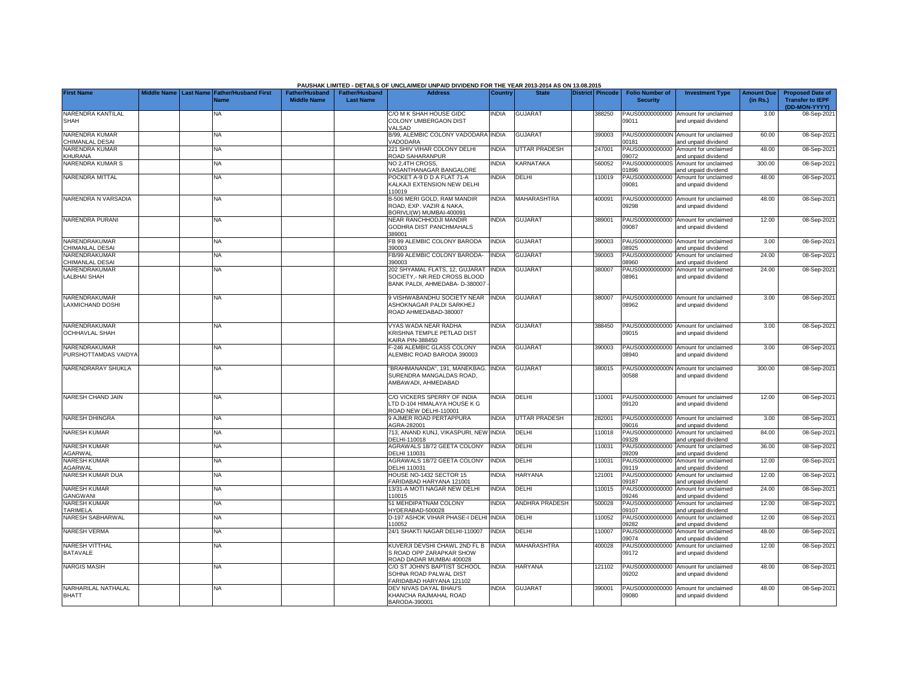|                                          |                    |           |                                            |                                             |                                           | PAUSHAK LIMITED - DETAILS OF UNCLAIMED/ UNPAID DIVIDEND FOR THE YEAR 2013-2014 AS ON 13.08.2015   |                |                      |                  |                                           |                                                             |                               |                                                                     |
|------------------------------------------|--------------------|-----------|--------------------------------------------|---------------------------------------------|-------------------------------------------|---------------------------------------------------------------------------------------------------|----------------|----------------------|------------------|-------------------------------------------|-------------------------------------------------------------|-------------------------------|---------------------------------------------------------------------|
| <b>First Name</b>                        | <b>Middle Name</b> | Last Name | <b>Father/Husband First</b><br><b>Name</b> | <b>Father/Husband</b><br><b>Middle Name</b> | <b>Father/Husband</b><br><b>Last Name</b> | <b>Address</b>                                                                                    | <b>Country</b> | <b>State</b>         | District Pincode | <b>Folio Number of</b><br><b>Security</b> | <b>Investment Type</b>                                      | <b>Amount Due</b><br>(in Rs.) | <b>Proposed Date of</b><br><b>Transfer to IEPF</b><br>(DD-MON-YYYY) |
| NARENDRA KANTILAL<br><b>SHAH</b>         |                    |           | NA                                         |                                             |                                           | C/O M K SHAH HOUSE GIDC<br>COLONY UMBERGAON DIST<br><b>/ALSAD</b>                                 | <b>INDIA</b>   | <b>GUJARAT</b>       | 388250           | PAUS00000000000<br>09011                  | Amount for unclaimed<br>and unpaid dividend                 | 3.00                          | 08-Sep-2021                                                         |
| NARENDRA KUMAR<br>CHIMANLAL DESAI        |                    |           | <b>NA</b>                                  |                                             |                                           | B/99, ALEMBIC COLONY VADODARA INDIA<br><b>/ADODARA</b>                                            |                | <b>GUJARAT</b>       | 390003           | PAUS0000000000N<br>00181                  | Amount for unclaimed<br>and unpaid dividend                 | 60.00                         | 08-Sep-202                                                          |
| <b>NARENDRA KUMAR</b><br>KHURANA         |                    |           | <b>NA</b>                                  |                                             |                                           | 221 SHIV VIHAR COLONY DELHI<br>ROAD SAHARANPUR                                                    | <b>INDIA</b>   | <b>UTTAR PRADESH</b> | 247001           | 09072                                     | PAUS00000000000 Amount for unclaimed<br>and unpaid dividend | 48.00                         | 08-Sep-2021                                                         |
| NARENDRA KUMAR S                         |                    |           | <b>NA</b>                                  |                                             |                                           | NO 2,4TH CROSS,<br><b>/ASANTHANAGAR BANGALORE</b>                                                 | INDIA          | KARNATAKA            | 560052           | PAUS0000000000S<br>01896                  | Amount for unclaimed<br>and unpaid dividend                 | 300.00                        | 08-Sep-202                                                          |
| NARENDRA MITTAL                          |                    |           | ΝA                                         |                                             |                                           | POCKET A-9 D D A FLAT 71-A<br>KALKAJI EXTENSION NEW DELHI<br>110019                               | <b>NDIA</b>    | DELHI                | 110019           | PAUS00000000000<br>09081                  | Amount for unclaimed<br>and unpaid dividend                 | 48.00                         | 08-Sep-202                                                          |
| NARENDRA N VARSADIA                      |                    |           | NA                                         |                                             |                                           | 3-506 MERI GOLD, RAM MANDIR<br>ROAD, EXP, VAZIR & NAKA.<br>3ORIVLI(W) MUMBAI-400091               | <b>INDIA</b>   | <b>MAHARASHTRA</b>   | 400091           | 09298                                     | PAUS00000000000 Amount for unclaimed<br>and unpaid dividend | 48.00                         | 08-Sep-202                                                          |
| NARENDRA PURANI                          |                    |           | NA                                         |                                             |                                           | <b>VEAR RANCHHODJI MANDIR</b><br>GODHRA DIST PANCHMAHALS<br>389001                                | <b>INDIA</b>   | <b>GUJARAT</b>       | 389001           | 09087                                     | PAUS00000000000 Amount for unclaimed<br>and unpaid dividend | 12.00                         | 08-Sep-202                                                          |
| NARENDRAKUMAR<br>CHIMANLAL DESAI         |                    |           | <b>NA</b>                                  |                                             |                                           | FB 99 ALEMBIC COLONY BARODA<br>390003                                                             | INDIA          | <b>GUJARAT</b>       | 390003           | PAUS00000000000<br>08925                  | Amount for unclaimed<br>and unpaid dividend                 | 3.00                          | 08-Sep-202                                                          |
| NARENDRAKUMAR<br>CHIMANLAL DESAI         |                    |           | ΝA                                         |                                             |                                           | FB/99 ALEMBIC COLONY BARODA-<br>390003                                                            | <b>INDIA</b>   | <b>GUJARAT</b>       | 390003           | PAUS00000000000<br>08960                  | Amount for unclaimed<br>and unpaid dividend                 | 24.00                         | 08-Sep-202                                                          |
| NARENDRAKUMAR<br>LALBHAI SHAH            |                    |           | ΝA                                         |                                             |                                           | 202 SHYAMAL FLATS, 12, GUJARAT<br>SOCIETY, - NR.RED CROSS BLOOD<br>BANK PALDI, AHMEDABA- D-380007 | <b>INDIA</b>   | <b>GUJARAT</b>       | 380007           | PAUS00000000000<br>08961                  | Amount for unclaimed<br>and unpaid dividend                 | 24.00                         | 08-Sep-202                                                          |
| NARENDRAKUMAR<br><b>LAXMICHAND DOSHI</b> |                    |           | ΝA                                         |                                             |                                           | 9 VISHWABANDHU SOCIETY NEAR<br><b>ASHOKNAGAR PALDI SARKHEJ</b><br>ROAD AHMEDABAD-380007           | <b>INDIA</b>   | <b>GUJARAT</b>       | 380007           | 08962                                     | PAUS00000000000 Amount for unclaimed<br>and unpaid dividend | 3.00                          | 08-Sep-202                                                          |
| NARENDRAKUMAR<br><b>OCHHAVLAL SHAH</b>   |                    |           | <b>NA</b>                                  |                                             |                                           | <b>/YAS WADA NEAR RADHA</b><br><b>KRISHNA TEMPLE PETLAD DIST</b><br>AIRA PIN-388450               | <b>INDIA</b>   | <b>GUJARAT</b>       | 388450           | PAUS00000000000<br>19015                  | Amount for unclaimed<br>and unpaid dividend                 | 3.00                          | 08-Sep-202                                                          |
| NARENDRAKUMAR<br>PURSHOTTAMDAS VAIDYA    |                    |           | NA                                         |                                             |                                           | -246 ALEMBIC GLASS COLONY<br>ALEMBIC ROAD BARODA 390003                                           | <b>INDIA</b>   | <b>GUJARAT</b>       | 390003           | PAUS00000000000<br>08940                  | Amount for unclaimed<br>and unpaid dividend                 | 3.00                          | 08-Sep-202                                                          |
| NARENDRARAY SHUKLA                       |                    |           | <b>NA</b>                                  |                                             |                                           | "BRAHMANANDA", 191, MANEKBAG.<br>SURENDRA MANGALDAS ROAD,<br>AMBAWADI, AHMEDABAD                  | <b>INDIA</b>   | <b>GUJARAT</b>       | 380015           | 0588                                      | PAUS0000000000N Amount for unclaimed<br>and unpaid dividend | 300.00                        | 08-Sep-202                                                          |
| NARESH CHAND JAIN                        |                    |           | <b>NA</b>                                  |                                             |                                           | C/O VICKERS SPERRY OF INDIA<br>TD D-104 HIMALAYA HOUSE K G<br>ROAD NEW DELHI-110001               | INDIA          | DELHI                | 110001           | 09120                                     | PAUS00000000000 Amount for unclaimed<br>and unpaid dividend | 12.00                         | 08-Sep-202                                                          |
| NARESH DHINGRA                           |                    |           | <b>NA</b>                                  |                                             |                                           | <b>AJMER ROAD PERTAPPURA</b><br>GRA-282001                                                        | <b>INDIA</b>   | <b>UTTAR PRADESH</b> | 282001           | 9016                                      | PAUS00000000000 Amount for unclaimed<br>nd unpaid dividend  | 3.00                          | 08-Sep-202                                                          |
| <b>NARESH KUMAR</b>                      |                    |           | <b>NA</b>                                  |                                             |                                           | 13, ANAND KUNJ, VIKASPURI, NEW INDIA<br>ELHI-110018                                               |                | DELHI                | 110018           | PAUS00000000000<br>9328                   | Amount for unclaimed<br>and unpaid dividend                 | 84.00                         | 08-Sep-202                                                          |
| <b>NARESH KUMAR</b><br>AGARWAL           |                    |           | <b>NA</b>                                  |                                             |                                           | <b>AGRAWALS 18/72 GEETA COLONY</b><br><b>DELHI 110031</b>                                         | <b>INDIA</b>   | DELHI                | 10031            | PAUS00000000000<br>09209                  | Amount for unclaimed<br>and unpaid dividend                 | 36.00                         | 08-Sep-2021                                                         |
| <b>NARESH KUMAR</b><br><b>AGARWAL</b>    |                    |           | ΝA                                         |                                             |                                           | <b>AGRAWALS 18/72 GEETA COLONY</b><br>DELHI 110031                                                | <b>INDIA</b>   | DELHI                | 10031            | PAUS00000000000<br>09119                  | Amount for unclaimed<br>and unpaid dividend                 | 12.00                         | 08-Sep-202                                                          |
| NARESH KUMAR DUA                         |                    |           | ΝA                                         |                                             |                                           | HOUSE NO-1432 SECTOR 15<br>ARIDABAD HARYANA 121001                                                | <b>INDIA</b>   | <b>HARYANA</b>       | 121001           | PAUS00000000000<br>09187                  | Amount for unclaimed<br>and unpaid dividend                 | 12.00                         | 08-Sep-202                                                          |
| <b>NARESH KUMAR</b><br><b>GANGWANI</b>   |                    |           | NA                                         |                                             |                                           | 13/31-A MOTI NAGAR NEW DELHI<br>110015                                                            | INDIA          | DELHI                | 110015           | PAUS00000000000<br>09246                  | Amount for unclaimed<br>and unpaid dividend                 | 24.00                         | 08-Sep-202                                                          |
| <b>NARESH KUMAR</b><br>TARIMELA          |                    |           | NA                                         |                                             |                                           | 51 MEHDIPATNAM COLONY<br>1YDERABAD-500028                                                         | INDIA          | ANDHRA PRADESH       | 500028           | PAUS00000000000<br>09107                  | Amount for unclaimed<br>and unpaid dividend                 | 12.00                         | 08-Sep-202                                                          |
| NARESH SABHARWAL                         |                    |           | NA                                         |                                             |                                           | 0-197 ASHOK VIHAR PHASE-I DELHI<br>110052                                                         | <b>INDIA</b>   | DELHI                | 110052           | PAUS00000000000<br>9282                   | Amount for unclaimed<br>and unpaid dividend                 | 12.00                         | 08-Sep-202                                                          |
| <b>NARESH VERMA</b>                      |                    |           | NA                                         |                                             |                                           | 24/1 SHAKTI NAGAR DELHI-110007                                                                    | <b>INDIA</b>   | DELHI                | 110007           | PAUS00000000000<br>9074                   | Amount for unclaimed<br>and unpaid dividend                 | 48.00                         | 08-Sep-202                                                          |
| <b>NARESH VITTHAL</b><br><b>BATAVALE</b> |                    |           | NA                                         |                                             |                                           | <b>KUVERJI DEVSHI CHAWL 2ND FL B</b><br>S ROAD OPP ZARAPKAR SHOW<br>ROAD DADAR MUMBAI 400028      | <b>INDIA</b>   | <b>MAHARASHTRA</b>   | 400028           | PAUS00000000000<br>09172                  | Amount for unclaimed<br>and unpaid dividend                 | 12.00                         | 08-Sep-202                                                          |
| <b>NARGIS MASIH</b>                      |                    |           | NA                                         |                                             |                                           | C/O ST JOHN'S BAPTIST SCHOOL<br>SOHNA ROAD PALWAL DIST<br><b>FARIDABAD HARYANA 121102</b>         | <b>INDIA</b>   | <b>HARYANA</b>       | 121102           | PAUS00000000000<br>09202                  | Amount for unclaimed<br>and unpaid dividend                 | 48.00                         | 08-Sep-2021                                                         |
| NARHARILAL NATHALAL<br><b>BHATT</b>      |                    |           | NA                                         |                                             |                                           | DEV NIVAS DAYAL BHAU'S<br>KHANCHA RAJMAHAL ROAD<br>BARODA-390001                                  | <b>INDIA</b>   | <b>GUJARAT</b>       | 390001           | PAUS00000000000<br>08090                  | Amount for unclaimed<br>and unpaid dividend                 | 48.00                         | 08-Sep-202                                                          |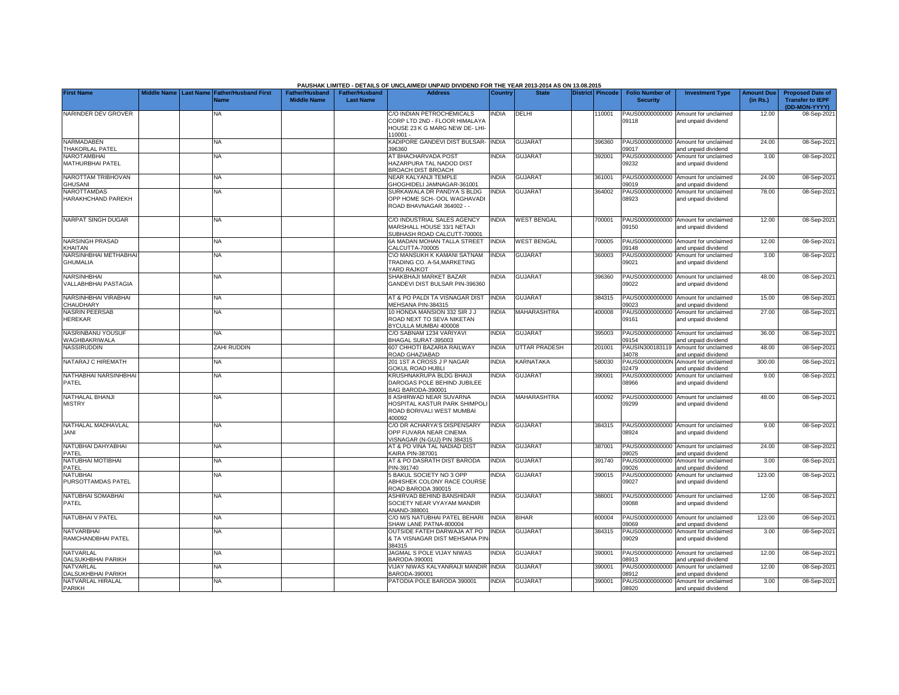|                                          |                    |                  |                                            |                                             |                                           | PAUSHAK LIMITED - DETAILS OF UNCLAIMED/ UNPAID DIVIDEND FOR THE YEAR 2013-2014 AS ON 13.08.2015          |              |                    |                  |                                           |                                                             |                               |                                                                     |
|------------------------------------------|--------------------|------------------|--------------------------------------------|---------------------------------------------|-------------------------------------------|----------------------------------------------------------------------------------------------------------|--------------|--------------------|------------------|-------------------------------------------|-------------------------------------------------------------|-------------------------------|---------------------------------------------------------------------|
| <b>First Name</b>                        | <b>Middle Name</b> | <b>Last Name</b> | <b>Father/Husband First</b><br><b>Name</b> | <b>Father/Husband</b><br><b>Middle Name</b> | <b>Father/Husband</b><br><b>Last Name</b> | <b>Address</b>                                                                                           | Country      | <b>State</b>       | District Pincode | <b>Folio Number of</b><br><b>Security</b> | <b>Investment Type</b>                                      | <b>Amount Due</b><br>(in Rs.) | <b>Proposed Date of</b><br><b>Transfer to IEPF</b><br>(DD-MON-YYYY) |
| NARINDER DEV GROVER                      |                    |                  | <b>NA</b>                                  |                                             |                                           | C/O INDIAN PETROCHEMICALS<br>CORP LTD 2ND - FLOOR HIMALAYA<br>HOUSE 23 K G MARG NEW DE- LHI-<br>110001 - | <b>NDIA</b>  | DELHI              | 10001            | PAUS00000000000<br>09118                  | Amount for unclaimed<br>and unpaid dividend                 | 12.00                         | 08-Sep-2021                                                         |
| NARMADABEN<br><b>THAKORLAL PATEL</b>     |                    |                  | <b>NA</b>                                  |                                             |                                           | KADIPORE GANDEVI DIST BULSAR-<br>396360                                                                  | <b>INDIA</b> | <b>GUJARAT</b>     | 396360           | 09017                                     | PAUS00000000000 Amount for unclaimed<br>and unpaid dividend | 24.00                         | 08-Sep-202                                                          |
| <b>NAROTAMBHAI</b><br>MATHURBHAI PATEL   |                    |                  | <b>NA</b>                                  |                                             |                                           | AT BHACHARVADA POST<br>HAZARPURA TAL NADOD DIST<br>BROACH DIST BROACH                                    | <b>INDIA</b> | <b>GUJARAT</b>     | 392001           | PAUS00000000000<br>09232                  | Amount for unclaimed<br>and unpaid dividend                 | 3.00                          | 08-Sep-202                                                          |
| NAROTTAM TRIBHOVAN<br><b>GHUSANI</b>     |                    |                  | <b>NA</b>                                  |                                             |                                           | NEAR KALYANJI TEMPLE<br>GHOGHIDELL JAMNAGAR-361001                                                       | <b>INDIA</b> | <b>GUJARAT</b>     | 361001           | 19019                                     | PAUS00000000000 Amount for unclaimed<br>and unpaid dividend | 24.00                         | 08-Sep-202                                                          |
| <b>NAROTTAMDAS</b><br>HARAKHCHAND PAREKH |                    |                  | NA                                         |                                             |                                           | SURKAWALA DR PANDYA S BLDG<br>OPP HOME SCH- OOL WAGHAVADI<br>ROAD BHAVNAGAR 364002 - -                   | <b>NDIA</b>  | <b>GUJARAT</b>     | 364002           | PAUS00000000000<br>08923                  | Amount for unclaimed<br>and unpaid dividend                 | 78.00                         | 08-Sep-202                                                          |
| <b>NARPAT SINGH DUGAR</b>                |                    |                  | <b>NA</b>                                  |                                             |                                           | C/O INDUSTRIAL SALES AGENCY<br>MARSHALL HOUSE 33/1 NETAJI<br>SUBHASH ROAD CALCUTT-700001                 | <b>INDIA</b> | <b>WEST BENGAL</b> | 700001           | 09150                                     | PAUS00000000000 Amount for unclaimed<br>and unpaid dividend | 12.00                         | 08-Sep-202                                                          |
| NARSINGH PRASAD<br>KHAITAN               |                    |                  | NA                                         |                                             |                                           | 6A MADAN MOHAN TALLA STREET<br><b>CALCUTTA-700005</b>                                                    | <b>INDIA</b> | <b>WEST BENGAL</b> | 700005           | 09148                                     | PAUS00000000000 Amount for unclaimed<br>and unpaid dividend | 12.00                         | 08-Sep-202                                                          |
| NARSINHBHAI METHABHA<br><b>GHUMALIA</b>  |                    |                  | <b>NA</b>                                  |                                             |                                           | C\O MANSUKH K KAMANI SATNAM<br>TRADING CO. A-54.MARKETING<br>YARD RAJKOT                                 | <b>INDIA</b> | <b>GUJARAT</b>     | 360003           | PAUS00000000000<br>09021                  | Amount for unclaimed<br>and unpaid dividend                 | 3.00                          | 08-Sep-202                                                          |
| NARSINHBHAI<br>VALLABHBHAI PASTAGIA      |                    |                  | <b>NA</b>                                  |                                             |                                           | SHAKBHAJI MARKET BAZAR<br>GANDEVI DIST BULSAR PIN-396360                                                 | <b>NDIA</b>  | <b>GUJARAT</b>     | 396360           | PAUS00000000000<br>09022                  | Amount for unclaimed<br>and unpaid dividend                 | 48.00                         | 08-Sep-202                                                          |
| <b>NARSINHBHAI VIRABHAI</b><br>CHAUDHARY |                    |                  | <b>NA</b>                                  |                                             |                                           | AT & PO PALDI TA VISNAGAR DIST<br><b>MEHSANA PIN-384315</b>                                              | <b>INDIA</b> | <b>GUJARAT</b>     | 384315           | 9023                                      | PAUS00000000000 Amount for unclaimed<br>and unpaid dividend | 15.00                         | 08-Sep-202                                                          |
| <b>NASRIN PEERSAB</b><br><b>HEREKAR</b>  |                    |                  | <b>NA</b>                                  |                                             |                                           | 10 HONDA MANSION 332 SIR J J<br>ROAD NEXT TO SEVA NIKETAN<br>BYCULLA MUMBAI 400008                       | <b>NDIA</b>  | MAHARASHTRA        | 400008           | 09161                                     | PAUS00000000000 Amount for unclaimed<br>and unpaid dividend | 27.00                         | 08-Sep-202                                                          |
| NASRINBANU YOUSUF<br>WAGHBAKRIWALA       |                    |                  | <b>NA</b>                                  |                                             |                                           | C/O SABNAM 1234 VARIYAVI<br>BHAGAL SURAT-395003                                                          | <b>INDIA</b> | <b>GUJARAT</b>     | 395003           | 09154                                     | PAUS00000000000 Amount for unclaimed<br>and unpaid dividend | 36.00                         | 08-Sep-202                                                          |
| <b>NASSIRUDDIN</b>                       |                    |                  | <b>ZAHI RUDDIN</b>                         |                                             |                                           | 607 CHHOTI BAZARIA RAILWAY<br>ROAD GHAZIABAD                                                             | <b>INDIA</b> | UTTAR PRADESH      | 201001           | PAUSIN300183119<br>34078                  | Amount for unclaimed<br>and unpaid dividend                 | 48.00                         | 08-Sep-202                                                          |
| NATARAJ C HIREMATH                       |                    |                  | <b>NA</b>                                  |                                             |                                           | 201 1ST A CROSS J P NAGAR<br>GOKUL ROAD HUBLI                                                            | <b>INDIA</b> | KARNATAKA          | 580030           | PAUS0000000000N<br>02479                  | Amount for unclaimed<br>and unpaid dividend                 | 300.00                        | 08-Sep-202                                                          |
| NATHABHAI NARSINHBHAI<br>PATEL           |                    |                  | <b>NA</b>                                  |                                             |                                           | KRUSHNAKRUPA BLDG BHAIJI<br>DAROGAS POLE BEHIND JUBILEE<br><b>3AG BARODA-390001</b>                      | <b>INDIA</b> | <b>GUJARAT</b>     | 390001           | PAUS00000000000<br>38966                  | Amount for unclaimed<br>and unpaid dividend                 | 9.00                          | 08-Sep-202                                                          |
| <b>NATHALAL BHANJI</b><br><b>MISTRY</b>  |                    |                  | <b>NA</b>                                  |                                             |                                           | <b>B ASHIRWAD NEAR SUVARNA</b><br>HOSPITAL KASTUR PARK SHIMPOLI<br>ROAD BORIVALI WEST MUMBAI<br>100092   | <b>NDIA</b>  | <b>MAHARASHTRA</b> | 400092           | PAUS00000000000<br>09299                  | Amount for unclaimed<br>and unpaid dividend                 | 48.00                         | 08-Sep-202                                                          |
| NATHALAL MADHAVLAL<br>JANI               |                    |                  | <b>NA</b>                                  |                                             |                                           | C/O DR ACHARYA'S DISPENSARY<br>OPP FUVARA NEAR CINEMA<br>VISNAGAR (N-GUJ) PIN 384315                     | <b>INDIA</b> | <b>GUJARAT</b>     | 384315           | 08924                                     | PAUS00000000000 Amount for unclaimed<br>and unpaid dividend | 9.00                          | 08-Sep-2021                                                         |
| NATUBHAI DAHYABHAI<br>PATEL              |                    |                  | <b>NA</b>                                  |                                             |                                           | AT & PO VINA TAL NADIAD DIST<br>KAIRA PIN-387001                                                         | <b>INDIA</b> | <b>GUJARAT</b>     | 387001           | 09025                                     | PAUS00000000000 Amount for unclaimed<br>and unpaid dividend | 24.00                         | 08-Sep-202                                                          |
| NATUBHAI MOTIBHAI<br>PATEL               |                    |                  | <b>NA</b>                                  |                                             |                                           | AT & PO DASRATH DIST BARODA<br>PIN-391740                                                                | <b>NDIA</b>  | <b>GUJARAT</b>     | 391740           | PAUS00000000000<br>09026                  | Amount for unclaimed<br>and unpaid dividend                 | 3.00                          | 08-Sep-202                                                          |
| <b>NATUBHAI</b><br>PURSOTTAMDAS PATEL    |                    |                  | ΝA                                         |                                             |                                           | 5 BAKUL SOCIETY NO 3 OPP<br>ABHISHEK COLONY RACE COURSE<br>ROAD BARODA 390015                            | <b>NDIA</b>  | <b>GUJARAT</b>     | 390015           | PAUS00000000000<br>09027                  | Amount for unclaimed<br>and unpaid dividend                 | 123.00                        | 08-Sep-202                                                          |
| <b>NATUBHAI SOMABHAI</b><br>PATEL        |                    |                  | <b>NA</b>                                  |                                             |                                           | ASHIRVAD BEHIND BANSHIDAR<br>SOCIETY NEAR VYAYAM MANDIR<br>ANAND-388001                                  | <b>INDIA</b> | <b>GUJARAT</b>     | 388001           | 39088                                     | PAUS00000000000 Amount for unclaimed<br>and unpaid dividend | 12.00                         | 08-Sep-202                                                          |
| NATUBHAI V PATEL                         |                    |                  | <b>NA</b>                                  |                                             |                                           | C/O M/S NATUBHAI PATEL BEHARI<br>SHAW LANE PATNA-800004                                                  | <b>INDIA</b> | <b>BIHAR</b>       | 800004           | 09069                                     | PAUS00000000000 Amount for unclaimed<br>and unpaid dividend | 123.00                        | 08-Sep-202                                                          |
| <b>NATVARBHAI</b><br>RAMCHANDBHAI PATEL  |                    |                  | <b>NA</b>                                  |                                             |                                           | OUTSIDE FATEH DARWAJA AT PO<br>& TA VISNAGAR DIST MEHSANA PIN<br>384315                                  | <b>INDIA</b> | <b>GUJARAT</b>     | 384315           | PAUS00000000000<br>09029                  | Amount for unclaimed<br>and unpaid dividend                 | 3.00                          | 08-Sep-2021                                                         |
| <b>NATVARLAL</b><br>DALSUKHBHAI PARIKH   |                    |                  | NA                                         |                                             |                                           | JAGMAL S POLE VIJAY NIWAS<br>BARODA-390001                                                               | <b>NDIA</b>  | <b>GUJARAT</b>     | 390001           | PAUS00000000000<br>8913                   | Amount for unclaimed<br>and unpaid dividend                 | 12.00                         | 08-Sep-202                                                          |
| NATVARLAL<br>DALSUKHBHAI PARIKH          |                    |                  | NA                                         |                                             |                                           | VIJAY NIWAS KALYANRAIJI MANDIR INDIA<br>BARODA-390001                                                    |              | <b>GUJARAT</b>     | 390001           | PAUS00000000000<br>8912                   | Amount for unclaimed<br>and unpaid dividend                 | 12.00                         | 08-Sep-202                                                          |
| NATVARLAL HIRALAL<br>PARIKH              |                    |                  | <b>NA</b>                                  |                                             |                                           | PATODIA POLE BARODA 390001                                                                               | <b>INDIA</b> | <b>GUJARAT</b>     | 390001           | PAUS00000000000<br>08920                  | Amount for unclaimed<br>and unpaid dividend                 | 3.00                          | 08-Sep-2021                                                         |

## **PAUSHAK LIMITED - DETAILS OF UNCLAIMED/ UNPAID DIVIDEND FOR THE YEAR 2013-2014 AS ON 13.08.2015**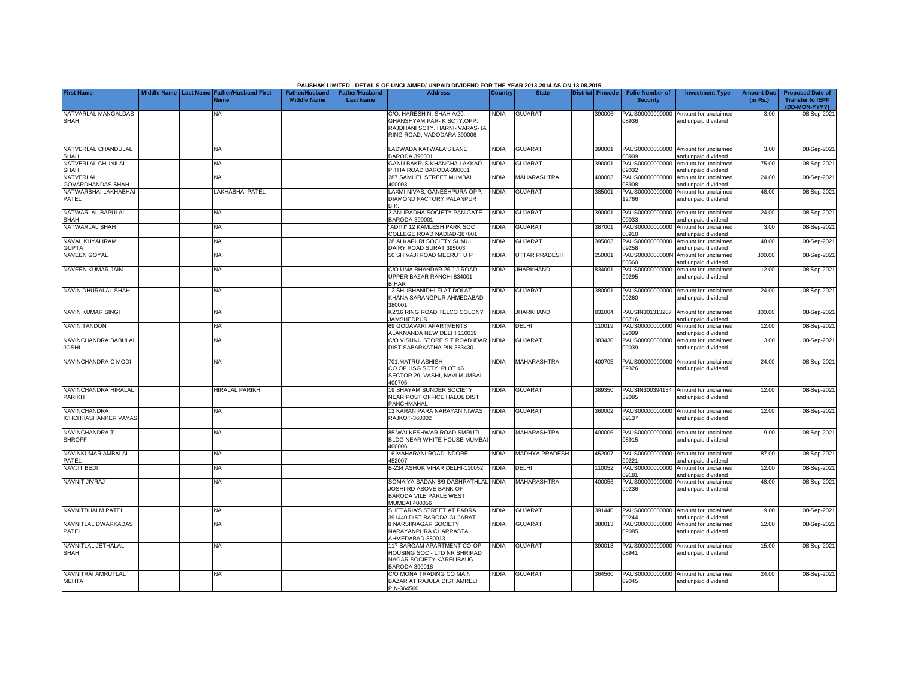|                                              |  |                                                           |                                             |                                           | PAUSHAK LIMITED - DETAILS OF UNCLAIMED/ UNPAID DIVIDEND FOR THE YEAR 2013-2014 AS ON 13.08.2015                            |              |                       |                         |                                           |                                                             |                               |                                                                     |
|----------------------------------------------|--|-----------------------------------------------------------|---------------------------------------------|-------------------------------------------|----------------------------------------------------------------------------------------------------------------------------|--------------|-----------------------|-------------------------|-------------------------------------------|-------------------------------------------------------------|-------------------------------|---------------------------------------------------------------------|
| <b>First Name</b>                            |  | Middle Name Last Name Father/Husband First<br><b>Name</b> | <b>Father/Husband</b><br><b>Middle Name</b> | <b>Father/Husband</b><br><b>Last Name</b> | <b>Address</b>                                                                                                             | Country      | <b>State</b>          | <b>District Pincode</b> | <b>Folio Number of</b><br><b>Security</b> | <b>Investment Type</b>                                      | <b>Amount Due</b><br>(in Rs.) | <b>Proposed Date of</b><br><b>Transfer to IEPF</b><br>(DD-MON-YYYY) |
| NATVARLAL MANGALDAS<br><b>SHAH</b>           |  | NA                                                        |                                             |                                           | C/O. HARESH N. SHAH A/20,<br>GHANSHYAM PAR- K SCTY.OPP:<br>RAJDHANI SCTY, HARNI- VARAS- IA<br>RING ROAD, VADODARA 390006 - | INDIA        | <b>GUJARAT</b>        | 390006                  | PAUS00000000000<br>08936                  | Amount for unclaimed<br>and unpaid dividend                 | 3.00                          | 08-Sep-2021                                                         |
| NATVERLAL CHANDULAL<br><b>SHAH</b>           |  | <b>NA</b>                                                 |                                             |                                           | LADWADA KATWALA'S LANE<br>BARODA 390001                                                                                    | <b>INDIA</b> | <b>GUJARAT</b>        | 390001                  | PAUS00000000000<br>08909                  | Amount for unclaimed<br>and unpaid dividend                 | 3.00                          | 08-Sep-2021                                                         |
| NATVERLAL CHUNILAL<br><b>SHAH</b>            |  | NA                                                        |                                             |                                           | <b>GANU BAKRI'S KHANCHA LAKKAD</b><br>PITHA ROAD BARODA-390001                                                             | <b>INDIA</b> | <b>GUJARAT</b>        | 390001                  | PAUS00000000000<br>09032                  | Amount for unclaimed<br>and unpaid dividend                 | 75.00                         | 08-Sep-2021                                                         |
| <b>NATVERLAL</b><br><b>GOVARDHANDAS SHAH</b> |  | NΑ                                                        |                                             |                                           | 287 SAMUEL STREET MUMBAI<br>400003                                                                                         | <b>INDIA</b> | MAHARASHTRA           | 400003                  | PAUS00000000000<br>08908                  | Amount for unclaimed<br>and unpaid dividend                 | 24.00                         | 08-Sep-2021                                                         |
| NATWARBHAI LAKHABHAI<br>PATEL                |  | LAKHABHAI PATEL                                           |                                             |                                           | AXMI NIVAS, GANESHPURA OPP.<br>DIAMOND FACTORY PALANPUR<br>B.K.                                                            | <b>INDIA</b> | <b>GUJARAT</b>        | 385001                  | PAUS00000000000<br>12766                  | Amount for unclaimed<br>and unpaid dividend                 | 48.00                         | 08-Sep-2021                                                         |
| NATWARLAL BAPULAL<br><b>SHAH</b>             |  | NA                                                        |                                             |                                           | 2 ANURADHA SOCIETY PANIGATE<br>BARODA-390001                                                                               | <b>INDIA</b> | <b>GUJARAT</b>        | 390001                  | PAUS00000000000<br>09033                  | Amount for unclaimed<br>and unpaid dividend                 | 24.00                         | 08-Sep-2021                                                         |
| NATWARLAL SHAH                               |  | <b>NA</b>                                                 |                                             |                                           | "ADITI" 12 KAMLESH PARK SOC<br>COLLEGE ROAD NADIAD-387001                                                                  | <b>INDIA</b> | <b>GUJARAT</b>        | 387001                  | PAUS00000000000<br>08910                  | Amount for unclaimed<br>and unpaid dividend                 | 3.00                          | 08-Sep-2021                                                         |
| NAVAL KHYALIRAM<br><b>GUPTA</b>              |  | NA                                                        |                                             |                                           | 28 ALKAPURI SOCIETY SUMUL<br>DAIRY ROAD SURAT 395003                                                                       | <b>INDIA</b> | <b>GUJARAT</b>        | 395003                  | PAUS00000000000<br>09258                  | Amount for unclaimed<br>and unpaid dividend                 | 48.00                         | 08-Sep-2021                                                         |
| NAVEEN GOYAL                                 |  | NA                                                        |                                             |                                           | 50 SHIVAJI ROAD MEERUT U P                                                                                                 | <b>INDIA</b> | <b>UTTAR PRADESH</b>  | 250001                  | PAUS0000000000N<br>03560                  | Amount for unclaimed<br>and unpaid dividend                 | 300.00                        | 08-Sep-2021                                                         |
| NAVEEN KUMAR JAIN                            |  | NA                                                        |                                             |                                           | C/O UMA BHANDAR 26 J J ROAD<br>JPPER BAZAR RANCHI 834001<br>RIHAR                                                          | <b>INDIA</b> | <b>JHARKHAND</b>      | 834001                  | PAUS00000000000<br>09295                  | Amount for unclaimed<br>and unpaid dividend                 | 12.00                         | 08-Sep-2021                                                         |
| NAVIN DHURALAL SHAH                          |  | NA                                                        |                                             |                                           | 12 SHUBHANIDHI FLAT DOLAT<br>KHANA SARANGPUR AHMEDABAD<br>380001                                                           | INDIA        | <b>GUJARAT</b>        | 380001                  | 09260                                     | PAUS00000000000 Amount for unclaimed<br>and unpaid dividend | 24.00                         | 08-Sep-2021                                                         |
| NAVIN KUMAR SINGH                            |  | NA                                                        |                                             |                                           | K2/16 RING ROAD TELCO COLONY<br><b>JAMSHEDPUR</b>                                                                          | <b>INDIA</b> | <b>JHARKHAND</b>      | 831004                  | PAUSIN301313207<br>03716                  | Amount for unclaimed<br>and unpaid dividend                 | 300.00                        | 08-Sep-2021                                                         |
| <b>NAVIN TANDON</b>                          |  | <b>NA</b>                                                 |                                             |                                           | 69 GODAVARI APARTMENTS<br>ALAKNANDA NEW DELHI 110019                                                                       | <b>INDIA</b> | DELHI                 | 110019                  | PAUS00000000000<br>09099                  | Amount for unclaimed<br>and unpaid dividend                 | 12.00                         | 08-Sep-2021                                                         |
| NAVINCHANDRA BABULAL<br><b>JOSHI</b>         |  | <b>NA</b>                                                 |                                             |                                           | C/O VISHNU STORE S T ROAD IDAR INDIA<br>DIST SABARKATHA PIN-383430                                                         |              | <b>GUJARAT</b>        | 383430                  | PAUS00000000000<br>09039                  | Amount for unclaimed<br>and unpaid dividend                 | 3.00                          | 08-Sep-2021                                                         |
| NAVINCHANDRA C MODI                          |  | NA                                                        |                                             |                                           | 701.MATRU ASHISH<br>CO.OP.HSG.SCTY, PLOT 46<br>SECTOR 29, VASHI, NAVI MUMBAI-<br>400705                                    | <b>INDIA</b> | <b>MAHARASHTRA</b>    | 400705                  | PAUS00000000000<br>09326                  | Amount for unclaimed<br>and unpaid dividend                 | 24.00                         | 08-Sep-2021                                                         |
| NAVINCHANDRA HIRALAL<br>PARIKH               |  | <b>HIRALAL PARIKH</b>                                     |                                             |                                           | 19 SHAYAM SUNDER SOCIETY<br>NEAR POST OFFICE HALOL DIST<br>PANCHMAHAL                                                      | <b>INDIA</b> | <b>GUJARAT</b>        | 389350                  | PAUSIN300394134<br>32085                  | Amount for unclaimed<br>and unpaid dividend                 | 12.00                         | 08-Sep-2021                                                         |
| NAVINCHANDRA<br><b>ICHCHHASHANKER VAYAS</b>  |  | NA                                                        |                                             |                                           | 13 KARAN PARA NARAYAN NIWAS<br><b>RAJKOT-360002</b>                                                                        | <b>INDIA</b> | <b>GUJARAT</b>        | 360002                  | PAUS00000000000<br>09137                  | Amount for unclaimed<br>and unpaid dividend                 | 12.00                         | 08-Sep-2021                                                         |
| NAVINCHANDRA T<br><b>SHROFF</b>              |  | NA                                                        |                                             |                                           | 85 WALKESHWAR ROAD SMRUTI<br>BLDG NEAR WHITE HOUSE MUMBA<br>400006                                                         | <b>INDIA</b> | <b>MAHARASHTRA</b>    | 400006                  | 08915                                     | PAUS00000000000 Amount for unclaimed<br>and unpaid dividend | 9.00                          | 08-Sep-2021                                                         |
| NAVINKUMAR AMBALAL<br>PATEL                  |  | NA                                                        |                                             |                                           | 16 MAHARANI ROAD INDORE<br>452007                                                                                          | <b>INDIA</b> | <b>MADHYA PRADESH</b> | 452007                  | PAUS00000000000<br>09221                  | Amount for unclaimed<br>and unpaid dividend                 | 87.00                         | 08-Sep-2021                                                         |
| <b>NAVJIT BEDI</b>                           |  | NA                                                        |                                             |                                           | B-234 ASHOK VIHAR DELHI-110052                                                                                             | <b>INDIA</b> | <b>DELHI</b>          | 110052                  | PAUS00000000000<br>09181                  | Amount for unclaimed<br>and unpaid dividend                 | 12.00                         | 08-Sep-2021                                                         |
| NAVNIT JIVRAJ                                |  | NA                                                        |                                             |                                           | SOMAIYA SADAN 8/9 DASHRATHLAL INDIA<br>JOSHI RD ABOVE BANK OF<br>BARODA VILE PARLE WEST<br><b>MUMBAI 400056</b>            |              | <b>MAHARASHTRA</b>    | 400056                  | PAUS00000000000<br>09236                  | Amount for unclaimed<br>and unpaid dividend                 | 48.00                         | 08-Sep-2021                                                         |
| NAVNITBHAI M PATEL                           |  | NA                                                        |                                             |                                           | SHETARIA'S STREET AT PADRA<br>391440 DIST BARODA GUJARAT                                                                   | INDIA        | <b>GUJARAT</b>        | 391440                  | PAUS00000000000<br>09244                  | Amount for unclaimed<br>and unpaid dividend                 | 9.00                          | 08-Sep-2021                                                         |
| NAVNITLAL DWARKADAS<br>PATEL                 |  | NA                                                        |                                             |                                           | 8 NARSIINAGAR SOCIETY<br>NARAYANPURA CHARRASTA<br>AHMEDABAD-380013                                                         | INDIA        | <b>GUJARAT</b>        | 380013                  | PAUS00000000000<br>09085                  | Amount for unclaimed<br>and unpaid dividend                 | 12.00                         | 08-Sep-2021                                                         |
| NAVNITLAL JETHALAL<br>SHAH                   |  | NA                                                        |                                             |                                           | 117 SARGAM APARTMENT CO-OP<br>HOUSING SOC - LTD NR SHRIPAD<br>NAGAR SOCIETY KARELIBAUG-<br>BARODA 390018 -                 | <b>INDIA</b> | <b>GUJARAT</b>        | 390018                  | PAUS00000000000<br>08941                  | Amount for unclaimed<br>and unpaid dividend                 | 15.00                         | 08-Sep-2021                                                         |
| NAVNITRAI AMRUTLAL<br><b>MEHTA</b>           |  | NA                                                        |                                             |                                           | C/O MONA TRADING CO MAIN<br>BAZAR AT RAJULA DIST AMRELI<br>PIN-364560                                                      | <b>INDIA</b> | <b>GUJARAT</b>        | 364560                  | 09045                                     | PAUS00000000000 Amount for unclaimed<br>and unpaid dividend | 24.00                         | 08-Sep-2021                                                         |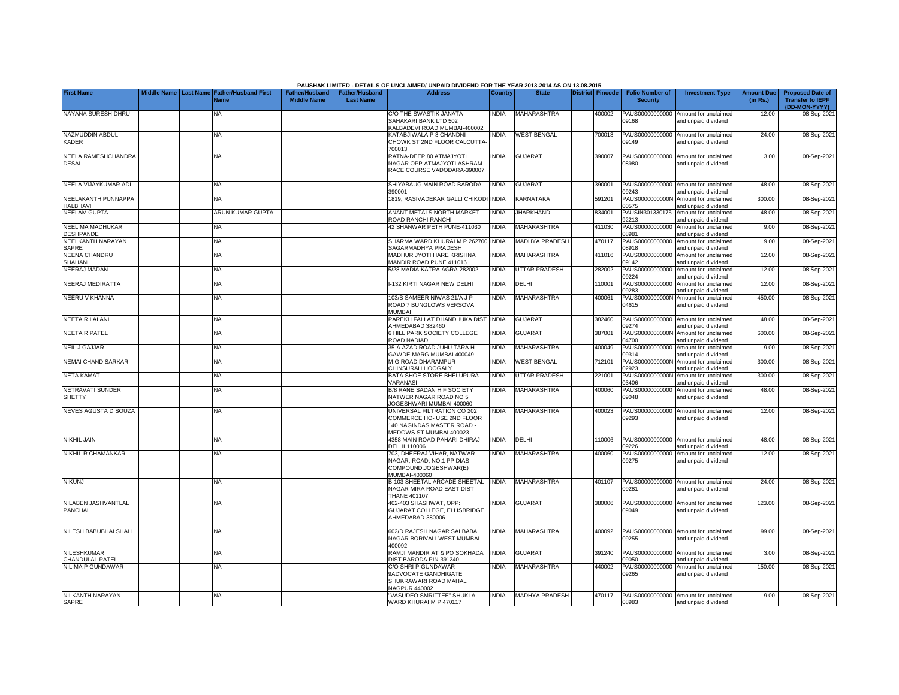|                                        |  |                                                    |                                             |                                           | PAUSHAK LIMITED - DETAILS OF UNCLAIMED/ UNPAID DIVIDEND FOR THE YEAR 2013-2014 AS ON 13.08.2015                      |                |                       |                  |                                           |                                                             |                               |                                                                     |
|----------------------------------------|--|----------------------------------------------------|---------------------------------------------|-------------------------------------------|----------------------------------------------------------------------------------------------------------------------|----------------|-----------------------|------------------|-------------------------------------------|-------------------------------------------------------------|-------------------------------|---------------------------------------------------------------------|
| <b>First Name</b>                      |  | Middle Name Last Name Father/Husband First<br>Name | <b>Father/Husband</b><br><b>Middle Name</b> | <b>Father/Husband</b><br><b>Last Name</b> | <b>Address</b>                                                                                                       | <b>Country</b> | <b>State</b>          | District Pincode | <b>Folio Number of</b><br><b>Security</b> | <b>Investment Type</b>                                      | <b>Amount Due</b><br>(in Rs.) | <b>Proposed Date of</b><br><b>Transfer to IEPF</b><br>(DD-MON-YYYY) |
| NAYANA SURESH DHRU                     |  | NA                                                 |                                             |                                           | C/O THE SWASTIK JANATA<br>SAHAKARI BANK LTD 502<br>ALBADEVI ROAD MUMBAI-400002                                       | <b>NDIA</b>    | MAHARASHTRA           | 400002           | PAUS00000000000<br>09168                  | Amount for unclaimed<br>and unpaid dividend                 | 12.00                         | 08-Sep-202                                                          |
| NAZMUDDIN ABDUL<br>KADER               |  | NA                                                 |                                             |                                           | <b>(ATABJIWALA P 3 CHANDNI</b><br>CHOWK ST 2ND FLOOR CALCUTTA<br>00013                                               | <b>NDIA</b>    | <b>WEST BENGAL</b>    | 700013           | 09149                                     | PAUS00000000000 Amount for unclaimed<br>and unpaid dividend | 24.00                         | 08-Sep-2021                                                         |
| NEELA RAMESHCHANDRA<br><b>DESAI</b>    |  | NA                                                 |                                             |                                           | RATNA-DEEP 80 ATMAJYOTI<br>NAGAR OPP ATMAJYOTI ASHRAM<br>RACE COURSE VADODARA-390007                                 | <b>NDIA</b>    | <b>GUJARAT</b>        | 390007           | 08980                                     | PAUS00000000000 Amount for unclaimed<br>and unpaid dividend | 3.00                          | 08-Sep-202                                                          |
| NEELA VIJAYKUMAR ADI                   |  | ΝA                                                 |                                             |                                           | SHIYABAUG MAIN ROAD BARODA<br>390001                                                                                 | <b>INDIA</b>   | <b>GUJARAT</b>        | 390001           | PAUS00000000000<br>9243                   | Amount for unclaimed<br>and unpaid dividend                 | 48.00                         | 08-Sep-202                                                          |
| NEELAKANTH PUNNAPPA<br><b>HALBHAVI</b> |  | NA                                                 |                                             |                                           | 1819, RASIVADEKAR GALLI CHIKODI INDIA                                                                                |                | <b>KARNATAKA</b>      | 591201           | PAUS0000000000N<br>0575                   | Amount for unclaimed<br>and unpaid dividend                 | 300.00                        | 08-Sep-202                                                          |
| <b>NEELAM GUPTA</b>                    |  | ARUN KUMAR GUPTA                                   |                                             |                                           | <b>ANANT METALS NORTH MARKET</b><br>ROAD RANCHI RANCHI                                                               | <b>INDIA</b>   | <b>JHARKHAND</b>      | 834001           | PAUSIN301330175<br>32213                  | Amount for unclaimed<br>and unpaid dividend                 | 48.00                         | 08-Sep-202                                                          |
| NEELIMA MADHUKAR<br><b>DESHPANDE</b>   |  | NA                                                 |                                             |                                           | 12 SHANWAR PETH PUNE-411030                                                                                          | <b>INDIA</b>   | <b>MAHARASHTRA</b>    | 411030           | PAUS00000000000<br>8981                   | Amount for unclaimed<br>and unpaid dividend                 | 9.00                          | 08-Sep-202                                                          |
| NEELKANTH NARAYAN<br>SAPRE             |  | ΝA                                                 |                                             |                                           | SHARMA WARD KHURAI M P 262700<br>SAGARMADHYA PRADESH                                                                 | <b>INDIA</b>   | MADHYA PRADESH        | 470117           | PAUS00000000000<br>8918                   | Amount for unclaimed<br>and unpaid dividend                 | 9.00                          | 08-Sep-202                                                          |
| <b>NEENA CHANDRU</b><br>SHAHANI        |  | ΝA                                                 |                                             |                                           | MADHUR JYOTI HARE KRISHNA<br>MANDIR ROAD PUNE 411016                                                                 | <b>INDIA</b>   | MAHARASHTRA           | 411016           | PAUS00000000000<br>09142                  | Amount for unclaimed<br>and unpaid dividend                 | 12.00                         | 08-Sep-202                                                          |
| <b>NEERAJ MADAN</b>                    |  | ΝA                                                 |                                             |                                           | 5/28 MADIA KATRA AGRA-282002                                                                                         | <b>INDIA</b>   | UTTAR PRADESH         | 282002           | PAUS00000000000<br>09224                  | Amount for unclaimed<br>and unpaid dividend                 | 12.00                         | 08-Sep-202                                                          |
| <b>NEERAJ MEDIRATTA</b>                |  | NA                                                 |                                             |                                           | -132 KIRTI NAGAR NEW DELHI                                                                                           | INDIA          | DELHI                 | 110001           | PAUS00000000000<br>09283                  | Amount for unclaimed<br>and unpaid dividend                 | 12.00                         | 08-Sep-202                                                          |
| NEERU V KHANNA                         |  | ΝA                                                 |                                             |                                           | 103/B SAMEER NIWAS 21/A J P<br>ROAD 7 BUNGLOWS VERSOVA<br>MI IMRAI                                                   | <b>NDIA</b>    | MAHARASHTRA           | 400061           | PAUS0000000000N<br>04615                  | Amount for unclaimed<br>and unpaid dividend                 | 450.00                        | 08-Sep-202                                                          |
| <b>NEETA R LALANI</b>                  |  | ΝA                                                 |                                             |                                           | PAREKH FALI AT DHANDHUKA DIST INDIA<br>AHMEDABAD 382460                                                              |                | <b>GUJARAT</b>        | 382460           | 09274                                     | PAUS00000000000 Amount for unclaimed<br>and unpaid dividend | 48.00                         | 08-Sep-202                                                          |
| <b>NEETA R PATEL</b>                   |  | NA                                                 |                                             |                                           | <b>HILL PARK SOCIETY COLLEGE</b><br><b>ROAD NADIAD</b>                                                               | INDIA          | <b>GUJARAT</b>        | 387001           | 04700                                     | PAUS0000000000N Amount for unclaimed<br>and unpaid dividend | 600.00                        | 08-Sep-202                                                          |
| <b>NEIL J GAJJAR</b>                   |  | NA                                                 |                                             |                                           | 35-A AZAD ROAD JUHU TARA H<br>GAWDE MARG MUMBAI 400049                                                               | <b>NDIA</b>    | MAHARASHTRA           | 400049           | PAUS00000000000<br>09314                  | Amount for unclaimed<br>and unpaid dividend                 | 9.00                          | 08-Sep-202                                                          |
| NEMAI CHAND SARKAR                     |  | ΝA                                                 |                                             |                                           | M G ROAD DHARAMPUR<br>CHINSURAH HOOGALY                                                                              | <b>INDIA</b>   | <b>WEST BENGAL</b>    | 712101           | 02923                                     | PAUS0000000000N Amount for unclaimed<br>and unpaid dividend | 300.00                        | 08-Sep-202                                                          |
| <b>NETA KAMAT</b>                      |  | <b>NA</b>                                          |                                             |                                           | BATA SHOE STORE BHELUPURA<br><b>/ARANASI</b>                                                                         | INDIA          | UTTAR PRADESH         | 221001           | 03406                                     | PAUS0000000000N Amount for unclaimed<br>and unpaid dividend | 300.00                        | 08-Sep-202                                                          |
| NETRAVATI SUNDER<br><b>SHETTY</b>      |  | <b>NA</b>                                          |                                             |                                           | B/8 RANE SADAN H F SOCIETY<br>NATWER NAGAR ROAD NO 5<br>JOGESHWARI MUMBAI-400060                                     | <b>INDIA</b>   | <b>MAHARASHTRA</b>    | 400060           | 09048                                     | PAUS00000000000 Amount for unclaimed<br>and unpaid dividend | 48.00                         | 08-Sep-2021                                                         |
| NEVES AGUSTA D SOUZA                   |  | <b>NA</b>                                          |                                             |                                           | UNIVERSAL FILTRATION CO 202<br>COMMERCE HO- USE 2ND FLOOR<br>140 NAGINDAS MASTER ROAD -<br>MEDOWS ST MUMBAI 400023 - | <b>INDIA</b>   | MAHARASHTRA           | 400023           | 09293                                     | PAUS00000000000 Amount for unclaimed<br>and unpaid dividend | 12.00                         | 08-Sep-202                                                          |
| <b>NIKHIL JAIN</b>                     |  | <b>NA</b>                                          |                                             |                                           | 4358 MAIN ROAD PAHARI DHIRAJ<br>DELHI 110006                                                                         | <b>INDIA</b>   | DELHI                 | 10006            | 9226                                      | PAUS00000000000 Amount for unclaimed<br>and unpaid dividend | 48.00                         | 08-Sep-202                                                          |
| NIKHIL R CHAMANKAR                     |  | NA                                                 |                                             |                                           | 703, DHEERAJ VIHAR, NATWAR<br>NAGAR, ROAD, NO.1 PP DIAS<br>COMPOUND, JOGESHWAR(E)<br>MUMBAI-400060                   | <b>INDIA</b>   | MAHARASHTRA           | 400060           | PAUS00000000000<br>09275                  | Amount for unclaimed<br>and unpaid dividend                 | 12.00                         | 08-Sep-202                                                          |
| <b>NIKUNJ</b>                          |  | <b>NA</b>                                          |                                             |                                           | B-103 SHEETAL ARCADE SHEETAL<br>NAGAR MIRA ROAD EAST DIST<br><b>THANE 401107</b>                                     | <b>INDIA</b>   | <b>MAHARASHTRA</b>    | 401107           | 09281                                     | PAUS00000000000 Amount for unclaimed<br>and unpaid dividend | 24.00                         | 08-Sep-202                                                          |
| NILABEN JASHVANTLAL<br>PANCHAL         |  | <b>NA</b>                                          |                                             |                                           | 102-403 SHASHWAT, OPP:<br>GUJARAT COLLEGE, ELLISBRIDGE,<br>AHMEDABAD-380006                                          | <b>NDIA</b>    | GUJARAT               | 380006           | PAUS00000000000<br>09049                  | Amount for unclaimed<br>and unpaid dividend                 | 123.00                        | 08-Sep-2021                                                         |
| <b>NILESH BABUBHAI SHAH</b>            |  | NA                                                 |                                             |                                           | 602/D RAJESH NAGAR SAI BABA<br>NAGAR BORIVALI WEST MUMBAI<br>400092                                                  | <b>NDIA</b>    | <b>MAHARASHTRA</b>    | 400092           | PAUS00000000000<br>09255                  | Amount for unclaimed<br>and unpaid dividend                 | 99.00                         | 08-Sep-202                                                          |
| <b>NILESHKUMAR</b><br>CHANDULAL PATEL  |  | <b>NA</b>                                          |                                             |                                           | RAMJI MANDIR AT & PO SOKHADA<br>DIST BARODA PIN-391240                                                               | <b>INDIA</b>   | <b>GUJARAT</b>        | 391240           | PAUS00000000000<br>9050                   | Amount for unclaimed<br>and unpaid dividend                 | 3.00                          | 08-Sep-202                                                          |
| NILIMA P GUNDAWAR                      |  | NA                                                 |                                             |                                           | C/O SHRI P GUNDAWAR<br>9ADVOCATE GANDHIGATE<br>SHUKRAWARI ROAD MAHAL                                                 | <b>NDIA</b>    | MAHARASHTRA           | 440002           | PAUS00000000000<br>09265                  | Amount for unclaimed<br>and unpaid dividend                 | 150.00                        | 08-Sep-2021                                                         |
| NILKANTH NARAYAN                       |  | <b>NA</b>                                          |                                             |                                           | <b>VAGPUR 440002</b><br>"VASUDEO SMRITTEE" SHUKLA                                                                    | <b>INDIA</b>   | <b>MADHYA PRADESH</b> | 470117           |                                           | PAUS00000000000 Amount for unclaimed                        | 9.00                          | 08-Sep-2021                                                         |
| SAPRE                                  |  |                                                    |                                             |                                           | WARD KHURAI M P 470117                                                                                               |                |                       |                  | 18983                                     | and unpaid dividend                                         |                               |                                                                     |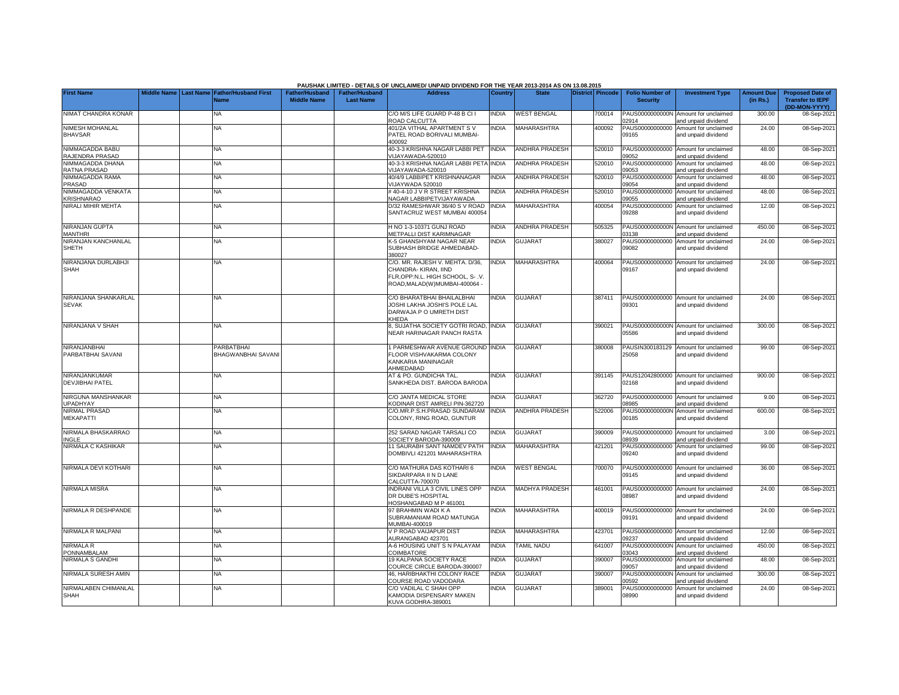|                                          |  |                                                    |                                             |                                           | PAUSHAK LIMITED - DETAILS OF UNCLAIMED/ UNPAID DIVIDEND FOR THE YEAR 2013-2014 AS ON 13.08.2015                                |                |                       |                  |                                           |                                                             |                               |                                                                     |
|------------------------------------------|--|----------------------------------------------------|---------------------------------------------|-------------------------------------------|--------------------------------------------------------------------------------------------------------------------------------|----------------|-----------------------|------------------|-------------------------------------------|-------------------------------------------------------------|-------------------------------|---------------------------------------------------------------------|
| <b>First Name</b>                        |  | Middle Name Last Name Father/Husband First<br>Name | <b>Father/Husband</b><br><b>Middle Name</b> | <b>Father/Husband</b><br><b>Last Name</b> | <b>Address</b>                                                                                                                 | <b>Country</b> | <b>State</b>          | District Pincode | <b>Folio Number of</b><br><b>Security</b> | <b>Investment Type</b>                                      | <b>Amount Due</b><br>(in Rs.) | <b>Proposed Date of</b><br><b>Transfer to IEPF</b><br>(DD-MON-YYYY) |
| NIMAT CHANDRA KONAR                      |  | NA                                                 |                                             |                                           | C/O M/S LIFE GUARD P-48 B CI I<br><b>ROAD CALCUTTA</b>                                                                         | <b>INDIA</b>   | <b>WEST BENGAL</b>    | 700014           | PAUS0000000000N<br>2914                   | Amount for unclaimed<br>and unpaid dividend                 | 300.00                        | 08-Sep-202                                                          |
| <b>NIMESH MOHANLAL</b><br><b>BHAVSAR</b> |  | <b>NA</b>                                          |                                             |                                           | 101/2A VITHAL APARTMENT S V<br>PATEL ROAD BORIVALI MUMBAI-<br>100092                                                           | <b>INDIA</b>   | MAHARASHTRA           | 400092           | PAUS00000000000<br>09165                  | Amount for unclaimed<br>and unpaid dividend                 | 24.00                         | 08-Sep-2021                                                         |
| NIMMAGADDA BABU<br>RAJENDRA PRASAD       |  | NA                                                 |                                             |                                           | 40-3-3 KRISHNA NAGAR LABBI PET<br>/IJAYAWADA-520010                                                                            | <b>INDIA</b>   | <b>ANDHRA PRADESH</b> | 520010           | PAUS00000000000<br>9052                   | Amount for unclaimed<br>and unpaid dividend                 | 48.00                         | 08-Sep-202                                                          |
| NIMMAGADDA DHANA<br><b>RATNA PRASAD</b>  |  | NA                                                 |                                             |                                           | 10-3-3 KRISHNA NAGAR LABBI PETA<br>/IJAYAWADA-520010                                                                           | <b>INDIA</b>   | ANDHRA PRADESH        | 520010           | PAUS00000000000<br>9053                   | Amount for unclaimed<br>and unpaid dividend                 | 48.00                         | 08-Sep-202                                                          |
| NIMMAGADDA RAMA<br>PRASAD                |  | ΝA                                                 |                                             |                                           | 10/4/9 LABBIPET KRISHNANAGAR<br>/IJAYWADA 520010                                                                               | <b>INDIA</b>   | ANDHRA PRADESH        | 520010           | PAUS00000000000<br>09054                  | Amount for unclaimed<br>and unpaid dividend                 | 48.00                         | 08-Sep-202                                                          |
| NIMMAGADDA VENKATA<br><b>KRISHNARAO</b>  |  | NА                                                 |                                             |                                           | #40-4-10 J V R STREET KRISHNA<br>NAGAR LABBIPETVIJAYAWADA                                                                      | <b>NDIA</b>    | ANDHRA PRADESH        | 520010           | PAUS00000000000<br>09055                  | Amount for unclaimed<br>and unpaid dividend                 | 48.00                         | 08-Sep-202                                                          |
| NIRALI MIHIR MEHTA                       |  | ΝA                                                 |                                             |                                           | D/32 RAMESHWAR 36/40 S V ROAD<br>SANTACRUZ WEST MUMBAI 400054                                                                  | INDIA          | MAHARASHTRA           | 400054           | PAUS00000000000<br>09288                  | Amount for unclaimed<br>and unpaid dividend                 | 12.00                         | 08-Sep-2021                                                         |
| NIRANJAN GUPTA<br><b>MANTHRI</b>         |  | <b>NA</b>                                          |                                             |                                           | H NO 1-3-10371 GUNJ ROAD<br><b>METPALLI DIST KARIMNAGAR</b>                                                                    | <b>INDIA</b>   | <b>ANDHRA PRADESH</b> | 505325           | 03138                                     | PAUS0000000000N Amount for unclaimed<br>and unpaid dividend | 450.00                        | 08-Sep-202                                                          |
| NIRANJAN KANCHANLAL<br>SHETH             |  | NA                                                 |                                             |                                           | <b>&lt;-5 GHANSHYAM NAGAR NEAR</b><br>SUBHASH BRIDGE AHMEDABAD-<br>380027                                                      | <b>INDIA</b>   | <b>GUJARAT</b>        | 380027           | 09082                                     | PAUS00000000000 Amount for unclaimed<br>and unpaid dividend | 24.00                         | 08-Sep-2021                                                         |
| NIRANJANA DURLABHJI<br><b>SHAH</b>       |  | NA                                                 |                                             |                                           | C/O. MR. RAJESH V. MEHTA. D/36,<br>CHANDRA-KIRAN, IIND<br>FLR, OPP: N.L. HIGH SCHOOL, S- .V.<br>ROAD, MALAD(W) MUMBAI-400064 - | INDIA          | MAHARASHTRA           | 400064           | 09167                                     | PAUS00000000000 Amount for unclaimed<br>and unpaid dividend | 24.00                         | 08-Sep-202                                                          |
| NIRANJANA SHANKARLAL<br><b>SEVAK</b>     |  | NΑ                                                 |                                             |                                           | C/O BHARATBHAI BHAILALBHAI<br>JOSHI LAKHA JOSHI'S POLE LAL<br>DARWAJA P O UMRETH DIST<br><b>CHEDA</b>                          | <b>INDIA</b>   | <b>GUJARAT</b>        | 387411           | 09301                                     | PAUS00000000000 Amount for unclaimed<br>and unpaid dividend | 24.00                         | 08-Sep-202                                                          |
| NIRANJANA V SHAH                         |  | <b>NA</b>                                          |                                             |                                           | , SUJATHA SOCIETY GOTRI ROAD,<br>NEAR HARINAGAR PANCH RASTA                                                                    | <b>INDIA</b>   | <b>GUJARAT</b>        | 390021           | 05586                                     | PAUS0000000000N Amount for unclaimed<br>and unpaid dividend | 300.00                        | 08-Sep-202                                                          |
| NIRANJANBHAI<br>PARBATBHAI SAVANI        |  | <b>PARBATBHAI</b><br><b>BHAGWANBHAI SAVAN</b>      |                                             |                                           | PARMESHWAR AVENUE GROUND INDIA<br>FLOOR VISHVAKARMA COLONY<br>KANKARIA MANINAGAR<br>AHMEDABAD                                  |                | <b>GUJARAT</b>        | 380008           | PAUSIN300183129<br>25058                  | Amount for unclaimed<br>and unpaid dividend                 | 99.00                         | 08-Sep-202                                                          |
| NIRANJANKUMAR<br>DEVJIBHAI PATEL         |  | NA                                                 |                                             |                                           | AT & PO. GUNDICHA TAL.<br>SANKHEDA DIST. BARODA BARODA                                                                         | <b>NDIA</b>    | <b>GUJARAT</b>        | 391145           | PAUS12042800000<br>02168                  | Amount for unclaimed<br>and unpaid dividend                 | 900.00                        | 08-Sep-202                                                          |
| NIRGUNA MANSHANKAR<br><b>UPADHYAY</b>    |  | <b>NA</b>                                          |                                             |                                           | C/O JANTA MEDICAL STORE<br><b>KODINAR DIST AMRELI PIN-362720</b>                                                               | INDIA          | <b>GUJARAT</b>        | 362720           | 08985                                     | PAUS00000000000 Amount for unclaimed<br>and unpaid dividend | 9.00                          | 08-Sep-202                                                          |
| <b>NIRMAL PRASAD</b><br><b>MEKAPATTI</b> |  | NA                                                 |                                             |                                           | C/O.MR.P.S.H.PRASAD SUNDARAM<br>COLONY, RING ROAD, GUNTUR                                                                      | <b>INDIA</b>   | ANDHRA PRADESH        | 522006           | PAUS0000000000N<br>00185                  | Amount for unclaimed<br>and unpaid dividend                 | 600.00                        | 08-Sep-2021                                                         |
| NIRMALA BHASKARRAO<br>INGLE              |  | <b>NA</b>                                          |                                             |                                           | 252 SARAD NAGAR TARSALI CO<br>SOCIETY BARODA-390009                                                                            | <b>INDIA</b>   | <b>GUJARAT</b>        | 390009           | 08939                                     | PAUS00000000000 Amount for unclaimed<br>and unpaid dividend | 3.00                          | 08-Sep-202                                                          |
| NIRMALA C KASHIKAR                       |  | <b>NA</b>                                          |                                             |                                           | 11 SAURABH SANT NAMDEV PATH<br>DOMBIVLI 421201 MAHARASHTRA                                                                     | <b>INDIA</b>   | MAHARASHTRA           | 421201           | 09240                                     | PAUS00000000000 Amount for unclaimed<br>and unpaid dividend | 99.00                         | 08-Sep-202                                                          |
| NIRMALA DEVI KOTHARI                     |  | NA                                                 |                                             |                                           | C/O MATHURA DAS KOTHARI 6<br>SIKDARPARA II N D LANE<br>CALCUTTA-700070                                                         | INDIA          | <b>WEST BENGAL</b>    | 700070           | 09145                                     | PAUS00000000000 Amount for unclaimed<br>and unpaid dividend | 36.00                         | 08-Sep-202                                                          |
| <b>NIRMALA MISRA</b>                     |  | <b>NA</b>                                          |                                             |                                           | INDRANI VILLA 3 CIVIL LINES OPP<br>DR DUBE'S HOSPITAL<br><b>OSHANGABAD M P 461001</b>                                          | <b>INDIA</b>   | <b>MADHYA PRADESH</b> | 461001           | 08987                                     | PAUS00000000000 Amount for unclaimed<br>and unpaid dividend | 24.00                         | 08-Sep-202                                                          |
| NIRMALA R DESHPANDE                      |  | <b>NA</b>                                          |                                             |                                           | 97 BRAHMIN WADI K A<br>SUBRAMANIAM ROAD MATUNGA<br>MUMBAI-400019                                                               | <b>NDIA</b>    | MAHARASHTRA           | 400019           | 09191                                     | PAUS00000000000 Amount for unclaimed<br>and unpaid dividend | 24.00                         | 08-Sep-202                                                          |
| NIRMALA R MALPANI                        |  | <b>NA</b>                                          |                                             |                                           | / P ROAD VAIJAPUR DIST<br><b>IURANGABAD 423701</b>                                                                             | <b>NDIA</b>    | <b>MAHARASHTRA</b>    | 423701           | 09237                                     | PAUS00000000000 Amount for unclaimed<br>and unpaid dividend | 12.00                         | 08-Sep-202                                                          |
| <b>NIRMALA R</b><br>PONNAMBALAM          |  | <b>NA</b>                                          |                                             |                                           | 4-6 HOUSING UNIT S N PALAYAM<br>COIMBATORE                                                                                     | <b>INDIA</b>   | <b>TAMIL NADU</b>     | 641007           | 03043                                     | PAUS0000000000N Amount for unclaimed<br>and unpaid dividend | 450.00                        | 08-Sep-202                                                          |
| <b>NIRMALA S GANDHI</b>                  |  | <b>NA</b>                                          |                                             |                                           | 19 KALPANA SOCIETY RACE<br>COURCE CIRCLE BARODA-390007                                                                         | <b>NDIA</b>    | <b>GUJARAT</b>        | 390007           | PAUS00000000000<br>09057                  | Amount for unclaimed<br>and unpaid dividend                 | 48.00                         | 08-Sep-202                                                          |
| NIRMALA SURESH AMIN                      |  | <b>NA</b>                                          |                                             |                                           | <b>46. HARIBHAKTHI COLONY RACE</b><br>COURSE ROAD VADODARA                                                                     | <b>INDIA</b>   | <b>GUJARAT</b>        | 390007           | PAUS0000000000N<br>0592                   | Amount for unclaimed<br>and unpaid dividend                 | 300.00                        | 08-Sep-202                                                          |
| NIRMALABEN CHIMANLAL<br><b>SHAH</b>      |  | NA                                                 |                                             |                                           | C/O VADILAL C SHAH OPP<br>KAMODIA DISPENSARY MAKEN<br>KUVA GODHRA-389001                                                       | <b>INDIA</b>   | <b>GUJARAT</b>        | 389001           | PAUS00000000000<br>08990                  | Amount for unclaimed<br>and unpaid dividend                 | 24.00                         | 08-Sep-202                                                          |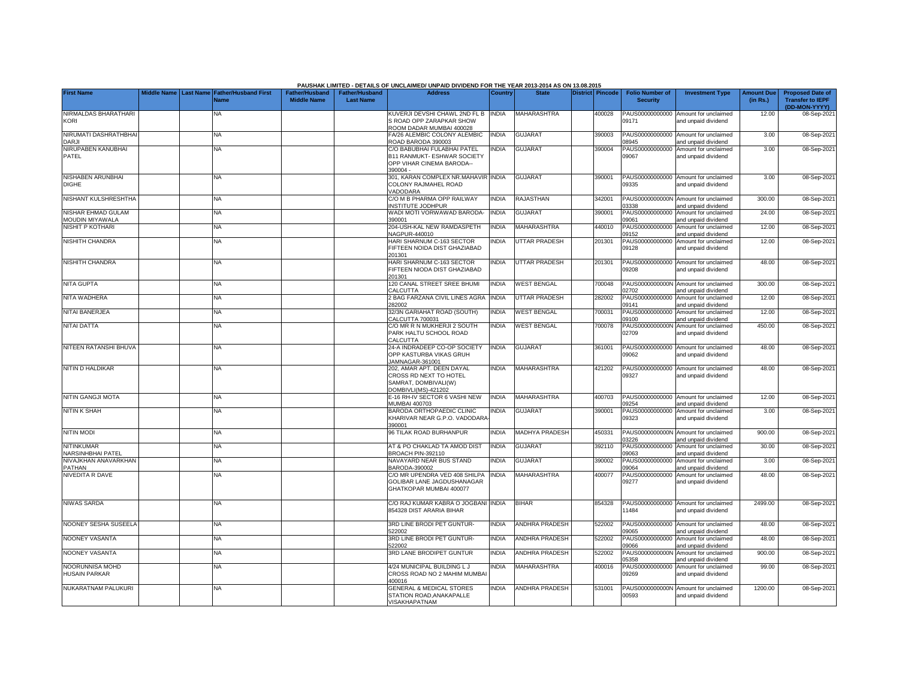|                                               |  |                                                    |                                             |                                           | PAUSHAK LIMITED - DETAILS OF UNCLAIMED/ UNPAID DIVIDEND FOR THE YEAR 2013-2014 AS ON 13.08.2015                        |                |                       |                  |                                           |                                                             |                               |                                                                     |
|-----------------------------------------------|--|----------------------------------------------------|---------------------------------------------|-------------------------------------------|------------------------------------------------------------------------------------------------------------------------|----------------|-----------------------|------------------|-------------------------------------------|-------------------------------------------------------------|-------------------------------|---------------------------------------------------------------------|
| <b>First Name</b>                             |  | Middle Name Last Name Father/Husband First<br>Name | <b>Father/Husband</b><br><b>Middle Name</b> | <b>Father/Husband</b><br><b>Last Name</b> | <b>Address</b>                                                                                                         | <b>Country</b> | <b>State</b>          | District Pincode | <b>Folio Number of</b><br><b>Security</b> | <b>Investment Type</b>                                      | <b>Amount Due</b><br>(in Rs.) | <b>Proposed Date of</b><br><b>Transfer to IEPF</b><br>(DD-MON-YYYY) |
| NIRMALDAS BHARATHARI<br><b>KORI</b>           |  | NA                                                 |                                             |                                           | <b>KUVERJI DEVSHI CHAWL 2ND FL B</b><br>S ROAD OPP ZARAPKAR SHOW<br>ROOM DADAR MUMBAI 400028                           | <b>INDIA</b>   | MAHARASHTRA           | 400028           | PAUS00000000000<br>09171                  | Amount for unclaimed<br>and unpaid dividend                 | 12.00                         | 08-Sep-202                                                          |
| NIRUMATI DASHRATHBHAI<br><b>DARJI</b>         |  | <b>NA</b>                                          |                                             |                                           | A/26 ALEMBIC COLONY ALEMBIC<br>ROAD BARODA 390003                                                                      | <b>INDIA</b>   | <b>GUJARAT</b>        | 390003           | 8945                                      | PAUS00000000000 Amount for unclaimed<br>nd unpaid dividend  | 3.00                          | 08-Sep-202                                                          |
| NIRUPABEN KANUBHAI<br>PATEL                   |  | <b>NA</b>                                          |                                             |                                           | <b>CO BABUBHAI FULABHAI PATEL</b><br><b>B11 RANMUKT- ESHWAR SOCIETY</b><br><b>OPP VIHAR CINEMA BARODA--</b><br>390004- | <b>NDIA</b>    | <b>GUJARAT</b>        | 390004           | PAUS00000000000<br>09067                  | Amount for unclaimed<br>and unpaid dividend                 | 3.00                          | 08-Sep-202                                                          |
| NISHABEN ARUNBHAI<br><b>DIGHE</b>             |  | <b>NA</b>                                          |                                             |                                           | 301, KARAN COMPLEX NR.MAHAVIR INDIA<br>COLONY RAJMAHEL ROAD<br><b>/ADODARA</b>                                         |                | <b>GUJARAT</b>        | 390001           | 09335                                     | PAUS00000000000 Amount for unclaimed<br>and unpaid dividend | 3.00                          | 08-Sep-202                                                          |
| NISHANT KULSHRESHTHA                          |  | NA                                                 |                                             |                                           | C/O M B PHARMA OPP RAILWAY<br>NSTITUTE JODHPUR                                                                         | <b>INDIA</b>   | RAJASTHAN             | 342001           | PAUS0000000000N<br>3338                   | Amount for unclaimed<br>and unpaid dividend                 | 300.00                        | 08-Sep-202                                                          |
| NISHAR EHMAD GULAM<br>MOUDIN MIYAWALA         |  | <b>NA</b>                                          |                                             |                                           | <b>NADI MOTI VORWAWAD BARODA-</b><br>390001                                                                            | <b>INDIA</b>   | <b>GUJARAT</b>        | 390001           | PAUS00000000000<br>9061                   | Amount for unclaimed<br>and unpaid dividend                 | 24.00                         | 08-Sep-202                                                          |
| <b>NISHIT P KOTHARI</b>                       |  | NA                                                 |                                             |                                           | 204-USH-KAL NEW RAMDASPETH<br><b>VAGPUR-440010</b>                                                                     | <b>INDIA</b>   | MAHARASHTRA           | 440010           | PAUS00000000000<br>09152                  | Amount for unclaimed<br>and unpaid dividend                 | 12.00                         | 08-Sep-202                                                          |
| <b>NISHITH CHANDRA</b>                        |  | NA                                                 |                                             |                                           | HARI SHARNUM C-163 SECTOR<br><b>IFTEEN NOIDA DIST GHAZIABAD</b><br>201301                                              | <b>NDIA</b>    | UTTAR PRADESH         | 201301           | PAUS00000000000<br>09128                  | Amount for unclaimed<br>and unpaid dividend                 | 12.00                         | 08-Sep-202                                                          |
| <b>NISHITH CHANDRA</b>                        |  | ΝA                                                 |                                             |                                           | HARI SHARNUM C-163 SECTOR<br><b>IFTEEN NIODA DIST GHAZIABAD</b><br>201301                                              | <b>NDIA</b>    | <b>UTTAR PRADESH</b>  | 201301           | 09208                                     | PAUS00000000000 Amount for unclaimed<br>and unpaid dividend | 48.00                         | 08-Sep-202                                                          |
| <b>NITA GUPTA</b>                             |  | NA                                                 |                                             |                                           | 120 CANAL STREET SREE BHUMI<br>CALCUTTA                                                                                | INDIA          | <b>WEST BENGAL</b>    | 700048           | 02702                                     | PAUS0000000000N Amount for unclaimed<br>and unpaid dividend | 300.00                        | 08-Sep-202                                                          |
| NITA WADHERA                                  |  | NA                                                 |                                             |                                           | 2 BAG FARZANA CIVIL LINES AGRA<br>282002                                                                               | <b>INDIA</b>   | UTTAR PRADESH         | 282002           | PAUS00000000000<br>09141                  | Amount for unclaimed<br>and unpaid dividend                 | 12.00                         | 08-Sep-202                                                          |
| NITAI BANERJEA                                |  | NA                                                 |                                             |                                           | 32/3N GARIAHAT ROAD (SOUTH)<br>CALCUTTA 700031                                                                         | <b>INDIA</b>   | <b>WEST BENGAL</b>    | 700031           | PAUS00000000000<br>09100                  | Amount for unclaimed<br>and unpaid dividend                 | 12.00                         | 08-Sep-2021                                                         |
| NITAI DATTA                                   |  | NA                                                 |                                             |                                           | C/O MR R N MUKHERJI 2 SOUTH<br>PARK HALTU SCHOOL ROAD<br>CALCUTTA                                                      | <b>INDIA</b>   | <b>WEST BENGAL</b>    | 700078           | 02709                                     | PAUS0000000000N Amount for unclaimed<br>and unpaid dividend | 450.00                        | 08-Sep-2021                                                         |
| NITEEN RATANSHI BHUVA                         |  | ΝA                                                 |                                             |                                           | 24-A INDRADEEP CO-OP SOCIETY<br>OPP KASTURBA VIKAS GRUH<br>JAMNAGAR-361001                                             | <b>INDIA</b>   | <b>GUJARAT</b>        | 361001           | 09062                                     | PAUS00000000000 Amount for unclaimed<br>and unpaid dividend | 48.00                         | 08-Sep-202                                                          |
| NITIN D HALDIKAR                              |  | NΑ                                                 |                                             |                                           | 202, AMAR APT. DEEN DAYAL<br>CROSS RD NEXT TO HOTEL<br>SAMRAT, DOMBIVALI(W)<br><b>DOMBIVLI(MS)-421202</b>              | <b>INDIA</b>   | <b>MAHARASHTRA</b>    | 421202           | 09327                                     | PAUS00000000000 Amount for unclaimed<br>and unpaid dividend | 48.00                         | 08-Sep-2021                                                         |
| <b>NITIN GANGJI MOTA</b>                      |  | NA                                                 |                                             |                                           | E-16 RH-IV SECTOR 6 VASHI NEW<br><b>JUMBAI 400703</b>                                                                  | <b>INDIA</b>   | MAHARASHTRA           | 400703           | 9254                                      | PAUS00000000000 Amount for unclaimed<br>and unpaid dividend | 12.00                         | 08-Sep-202                                                          |
| <b>NITIN K SHAH</b>                           |  | <b>NA</b>                                          |                                             |                                           | BARODA ORTHOPAEDIC CLINIC<br>KHARIVAR NEAR G.P.O. VADODARA<br>390001                                                   | INDIA          | <b>GUJARAT</b>        | 390001           | 09323                                     | PAUS00000000000 Amount for unclaimed<br>and unpaid dividend | 3.00                          | 08-Sep-2021                                                         |
| <b>NITIN MODI</b>                             |  | NA                                                 |                                             |                                           | <b>96 TILAK ROAD BURHANPUR</b>                                                                                         | <b>INDIA</b>   | <b>MADHYA PRADESH</b> | 450331           | 3226                                      | PAUS0000000000N Amount for unclaimed<br>and unpaid dividend | 900.00                        | 08-Sep-202                                                          |
| <b>NITINKUMAR</b><br><b>NARSINHBHAI PATEL</b> |  | ΝA                                                 |                                             |                                           | AT & PO CHAKLAD TA AMOD DIST<br>BROACH PIN-392110                                                                      | INDIA          | <b>GUJARAT</b>        | 392110           | 09063                                     | PAUS00000000000 Amount for unclaimed<br>and unpaid dividend | 30.00                         | 08-Sep-202                                                          |
| NIVAJKHAN ANAVARKHAN<br>PATHAN                |  | NA                                                 |                                             |                                           | NAVAYARD NEAR BUS STAND<br>3ARODA-390002                                                                               | <b>NDIA</b>    | <b>GUJARAT</b>        | 390002           | PAUS00000000000<br>9064                   | Amount for unclaimed<br>and unpaid dividend                 | 3.00                          | 08-Sep-202                                                          |
| <b>NIVEDITA R DAVE</b>                        |  | NA                                                 |                                             |                                           | C/O MR UPENDRA VED 408 SHILPA<br>GOLIBAR LANE JAGDUSHANAGAR<br>GHATKOPAR MUMBAI 400077                                 | <b>INDIA</b>   | <b>MAHARASHTRA</b>    | 400077           | PAUS00000000000<br>09277                  | Amount for unclaimed<br>and unpaid dividend                 | 48.00                         | 08-Sep-202                                                          |
| <b>NIWAS SARDA</b>                            |  | <b>NA</b>                                          |                                             |                                           | C/O RAJ KUMAR KABRA O JOGBANI INDIA<br>354328 DIST ARARIA BIHAR                                                        |                | <b>BIHAR</b>          | 854328           | PAUS00000000000<br>11484                  | Amount for unclaimed<br>and unpaid dividend                 | 2499.00                       | 08-Sep-202                                                          |
| NOONEY SESHA SUSEELA                          |  | <b>NA</b>                                          |                                             |                                           | 3RD LINE BRODI PET GUNTUR-<br>22002                                                                                    | <b>INDIA</b>   | <b>ANDHRA PRADESH</b> | 522002           | PAUS00000000000<br>9065                   | Amount for unclaimed<br>and unpaid dividend                 | 48.00                         | 08-Sep-202                                                          |
| NOONEY VASANTA                                |  | NA                                                 |                                             |                                           | <b>BRD LINE BRODI PET GUNTUR-</b><br>22002                                                                             | <b>INDIA</b>   | <b>ANDHRA PRADESH</b> | 522002           | PAUS00000000000<br>9066                   | Amount for unclaimed<br>and unpaid dividend                 | 48.00                         | 08-Sep-202                                                          |
| NOONEY VASANTA                                |  | NA                                                 |                                             |                                           | <b>BRD LANE BRODIPET GUNTUR</b>                                                                                        | <b>INDIA</b>   | <b>ANDHRA PRADESH</b> | 522002           | PAUS0000000000N<br>5358                   | Amount for unclaimed<br>and unpaid dividend                 | 900.00                        | 08-Sep-202                                                          |
| NOORUNNISA MOHD<br><b>HUSAIN PARKAR</b>       |  | NA                                                 |                                             |                                           | 4/24 MUNICIPAL BUILDING L J<br>CROSS ROAD NO 2 MAHIM MUMBA<br>100016                                                   | <b>NDIA</b>    | MAHARASHTRA           | 400016           | PAUS00000000000<br>09269                  | Amount for unclaimed<br>and unpaid dividend                 | 99.00                         | 08-Sep-2021                                                         |
| NUKARATNAM PALUKURI                           |  | NA                                                 |                                             |                                           | <b>GENERAL &amp; MEDICAL STORES</b><br>STATION ROAD, ANAKAPALLE<br>VISAKHAPATNAM                                       | <b>INDIA</b>   | <b>ANDHRA PRADESH</b> | 531001           | PAUS0000000000N<br>00593                  | Amount for unclaimed<br>and unpaid dividend                 | 1200.00                       | 08-Sep-2021                                                         |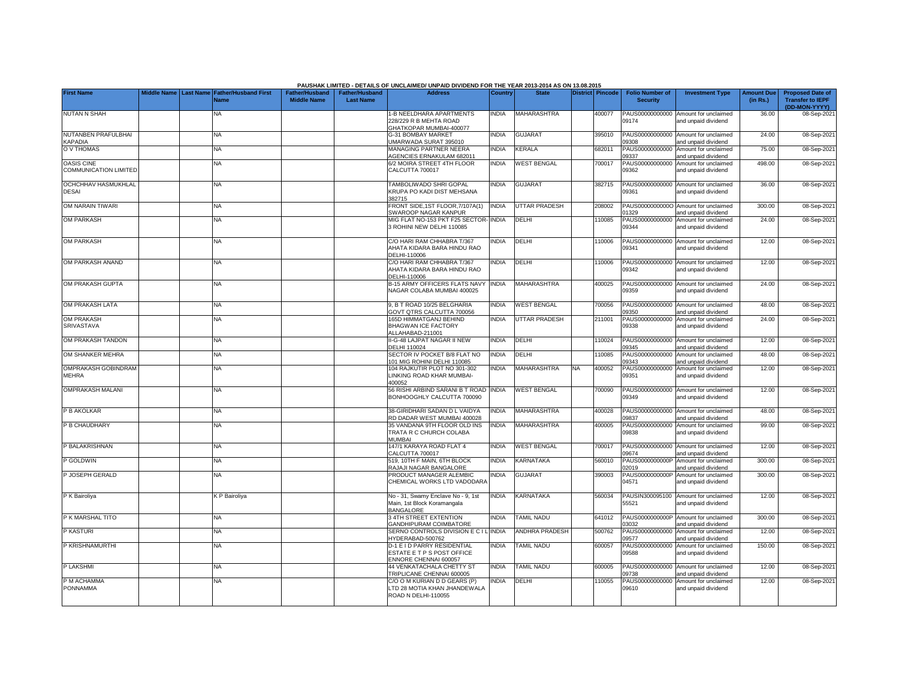|                                                   |                    |           |                                                                                                                                                                                                                                                                                                                                            |                                             |                                           | PAUSHAK LIMITED - DETAILS OF UNCLAIMED/ UNPAID DIVIDEND FOR THE YEAR 2013-2014 AS ON 13.08.2015 |              |                          |    |                  |                                           |                                                             |                               |                                                                     |
|---------------------------------------------------|--------------------|-----------|--------------------------------------------------------------------------------------------------------------------------------------------------------------------------------------------------------------------------------------------------------------------------------------------------------------------------------------------|---------------------------------------------|-------------------------------------------|-------------------------------------------------------------------------------------------------|--------------|--------------------------|----|------------------|-------------------------------------------|-------------------------------------------------------------|-------------------------------|---------------------------------------------------------------------|
| <b>First Name</b>                                 | <b>Middle Name</b> | Last Name | <b>Father/Husband First</b><br><b>Name</b>                                                                                                                                                                                                                                                                                                 | <b>Father/Husband</b><br><b>Middle Name</b> | <b>Father/Husband</b><br><b>Last Name</b> | <b>Address</b>                                                                                  | Country      | <b>State</b>             |    | District Pincode | <b>Folio Number of</b><br><b>Security</b> | <b>Investment Type</b>                                      | <b>Amount Due</b><br>(in Rs.) | <b>Proposed Date of</b><br><b>Transfer to IEPF</b><br>(DD-MON-YYYY) |
| <b>NUTAN N SHAH</b>                               |                    |           | NA                                                                                                                                                                                                                                                                                                                                         |                                             |                                           | 1-B NEELDHARA APARTMENTS<br>228/229 R B MEHTA ROAD<br>GHATKOPAR MUMBAI-400077                   | <b>INDIA</b> | <b>MAHARASHTRA</b>       |    | 400077           | PAUS00000000000<br>09174                  | Amount for unclaimed<br>and unpaid dividend                 | 36.00                         | 08-Sep-2021                                                         |
| NUTANBEN PRAFULBHAI<br><b>KAPADIA</b>             |                    |           | <b>NA</b>                                                                                                                                                                                                                                                                                                                                  |                                             |                                           | G-31 BOMBAY MARKET<br>JMARWADA SURAT 395010                                                     | <b>INDIA</b> | <b>GUJARAT</b>           |    | 395010           | 09308                                     | PAUS00000000000 Amount for unclaimed<br>and unpaid dividend | 24.00                         | 08-Sep-202                                                          |
| O V THOMAS                                        |                    |           | <b>NA</b>                                                                                                                                                                                                                                                                                                                                  |                                             |                                           | <b>MANAGING PARTNER NEERA</b><br><b>AGENCIES ERNAKULAM 682011</b>                               | <b>INDIA</b> | KERALA                   |    | 682011           | PAUS00000000000<br>09337                  | Amount for unclaimed<br>and unpaid dividend                 | 75.00                         | 08-Sep-202                                                          |
| <b>OASIS CINE</b><br><b>COMMUNICATION LIMITED</b> |                    |           | NA                                                                                                                                                                                                                                                                                                                                         |                                             |                                           | 3/2 MOIRA STREET 4TH FLOOR<br>CALCUTTA 700017                                                   | <b>INDIA</b> | <b>WEST BENGAL</b>       |    | 700017           | PAUS00000000000<br>09362                  | Amount for unclaimed<br>and unpaid dividend                 | 498.00                        | 08-Sep-202                                                          |
| <b>OCHCHHAV HASMUKHLAL</b><br><b>DESAI</b>        |                    |           | NA                                                                                                                                                                                                                                                                                                                                         |                                             |                                           | <b>TAMBOLIWADO SHRI GOPAL</b><br>KRUPA PO KADI DIST MEHSANA<br>382715                           | INDIA        | <b>GUJARAT</b>           |    | 382715           | 09361                                     | PAUS00000000000 Amount for unclaimed<br>and unpaid dividend | 36.00                         | 08-Sep-202                                                          |
| OM NARAIN TIWARI                                  |                    |           | NA                                                                                                                                                                                                                                                                                                                                         |                                             |                                           | FRONT SIDE, 1ST FLOOR, 7/107A(1)<br>SWAROOP NAGAR KANPUR                                        | INDIA        | <b>UTTAR PRADESH</b>     |    | 208002           | 1329                                      | PAUS00000000000 Amount for unclaimed<br>and unpaid dividend | 300.00                        | 08-Sep-202                                                          |
| <b>OM PARKASH</b>                                 |                    |           | NA                                                                                                                                                                                                                                                                                                                                         |                                             |                                           | MIG FLAT NO-153 PKT F25 SECTOR-<br><b>B ROHINI NEW DELHI 110085</b>                             | <b>INDIA</b> | DELHI                    |    | 10085            | PAUS00000000000<br>09344                  | Amount for unclaimed<br>and unpaid dividend                 | 24.00                         | 08-Sep-202                                                          |
| <b>OM PARKASH</b>                                 |                    |           | <b>NA</b>                                                                                                                                                                                                                                                                                                                                  |                                             |                                           | C/O HARI RAM CHHABRA T/367<br>AHATA KIDARA BARA HINDU RAO<br>DELHI-110006                       | <b>INDIA</b> | DELHI                    |    | 110006           | 09341                                     | PAUS00000000000 Amount for unclaimed<br>and unpaid dividend | 12.00                         | 08-Sep-202                                                          |
| OM PARKASH ANAND                                  |                    |           | NA                                                                                                                                                                                                                                                                                                                                         |                                             |                                           | C/O HARI RAM CHHABRA T/367<br>AHATA KIDARA BARA HINDU RAO<br>DELHI-110006                       | <b>INDIA</b> | DELHI                    |    | 110006           | 09342                                     | PAUS00000000000 Amount for unclaimed<br>and unpaid dividend | 12.00                         | 08-Sep-202                                                          |
| OM PRAKASH GUPTA                                  |                    |           | <b>NA</b>                                                                                                                                                                                                                                                                                                                                  |                                             |                                           | 3-15 ARMY OFFICERS FLATS NAVY<br>NAGAR COLABA MUMBAI 400025                                     | <b>INDIA</b> | MAHARASHTRA              |    | 400025           | PAUS00000000000<br>09359                  | Amount for unclaimed<br>and unpaid dividend                 | 24.00                         | 08-Sep-202                                                          |
| OM PRAKASH LATA                                   |                    |           | <b>NA</b>                                                                                                                                                                                                                                                                                                                                  |                                             |                                           | 9, B T ROAD 10/25 BELGHARIA<br>GOVT QTRS CALCUTTA 700056                                        | <b>INDIA</b> | <b>WEST BENGAL</b>       |    | 700056           | PAUS00000000000<br>09350                  | Amount for unclaimed<br>and unpaid dividend                 | 48.00                         | 08-Sep-202                                                          |
| <b>OM PRAKASH</b><br><b>SRIVASTAVA</b>            |                    |           | <b>NA</b>                                                                                                                                                                                                                                                                                                                                  |                                             |                                           | 165D HIMMATGANJ BEHIND<br>BHAGWAN ICE FACTORY<br>ALLAHABAD-211001                               | <b>INDIA</b> | <b>UTTAR PRADESH</b>     |    | 211001           | PAUS00000000000<br>09338                  | Amount for unclaimed<br>and unpaid dividend                 | 24.00                         | 08-Sep-202                                                          |
| OM PRAKASH TANDON                                 |                    |           | <b>NA</b>                                                                                                                                                                                                                                                                                                                                  |                                             |                                           | -G-48 LAJPAT NAGAR II NEW<br><b>DELHI 110024</b>                                                | <b>INDIA</b> | DELHI                    |    | 110024           | 09345                                     | PAUS00000000000 Amount for unclaimed<br>and unpaid dividend | 12.00                         | 08-Sep-202                                                          |
| OM SHANKER MEHRA                                  |                    |           | <b>NA</b>                                                                                                                                                                                                                                                                                                                                  |                                             |                                           | SECTOR IV POCKET B/8 FLAT NO<br>101 MIG ROHINI DELHI 110085                                     | <b>INDIA</b> | DELHI                    |    | 110085           | PAUS00000000000<br>9343                   | Amount for unclaimed<br>nd unpaid dividend                  | 48.00                         | 08-Sep-202                                                          |
| OMPRAKASH GOBINDRAM<br><b>MEHRA</b>               |                    |           | <b>NA</b>                                                                                                                                                                                                                                                                                                                                  |                                             |                                           | 104 RAJKUTIR PLOT NO 301-302<br>LINKING ROAD KHAR MUMBAI-<br>100052                             | INDIA        | MAHARASHTRA              | NA | 400052           | PAUS00000000000<br>09351                  | Amount for unclaimed<br>and unpaid dividend                 | 12.00                         | 08-Sep-202                                                          |
| <b>OMPRAKASH MALANI</b>                           |                    |           | <b>NA</b>                                                                                                                                                                                                                                                                                                                                  |                                             |                                           | 56 RISHI ARBIND SARANI B T ROAD INDIA<br>BONHOOGHLY CALCUTTA 700090                             |              | <b>WEST BENGAL</b>       |    | 700090           | 09349                                     | PAUS00000000000 Amount for unclaimed<br>and unpaid dividend | 12.00                         | 08-Sep-202                                                          |
| P B AKOLKAR                                       |                    |           | ΝA                                                                                                                                                                                                                                                                                                                                         |                                             |                                           | 38-GIRIDHARI SADAN D L VAIDYA<br>RD DADAR WEST MUMBAI 400028                                    | <b>NDIA</b>  | MAHARASHTRA              |    | 400028           | PAUS00000000000<br>9837                   | Amount for unclaimed<br>and unpaid dividend                 | 48.00                         | 08-Sep-202                                                          |
| P B CHAUDHARY                                     |                    |           | NA                                                                                                                                                                                                                                                                                                                                         |                                             |                                           | 35 VANDANA 9TH FLOOR OLD INS<br>TRATA R C CHURCH COLABA<br>MUMBAI                               | <b>NDIA</b>  | MAHARASHTRA              |    | 400005           | PAUS00000000000<br>09838                  | Amount for unclaimed<br>and unpaid dividend                 | 99.00                         | 08-Sep-202                                                          |
| P BALAKRISHNAN                                    |                    |           | NA                                                                                                                                                                                                                                                                                                                                         |                                             |                                           | 147/1 KARAYA ROAD FLAT 4<br>CALCUTTA 700017                                                     | <b>INDIA</b> | <b>WEST BENGAL</b>       |    | 700017           | 09674                                     | PAUS00000000000 Amount for unclaimed<br>and unpaid dividend | 12.00                         | 08-Sep-202                                                          |
| P GOLDWIN                                         |                    |           | <b>NA</b>                                                                                                                                                                                                                                                                                                                                  |                                             |                                           | 519. 10TH F MAIN, 6TH BLOCK<br>RAJAJI NAGAR BANGALORE                                           | <b>INDIA</b> | KARNATAKA                |    | 560010           | PAUS0000000000P<br>02019                  | Amount for unclaimed<br>and unpaid dividend                 | 300.00                        | 08-Sep-202                                                          |
| P JOSEPH GERALD                                   |                    |           | <b>NA</b>                                                                                                                                                                                                                                                                                                                                  |                                             |                                           | PRODUCT MANAGER ALEMBIC<br>CHEMICAL WORKS LTD VADODARA                                          | <b>NDIA</b>  | <b>GUJARAT</b>           |    | 390003           | PAUS0000000000P<br>04571                  | Amount for unclaimed<br>and unpaid dividend                 | 300.00                        | 08-Sep-202                                                          |
| P K Bairoliya                                     |                    |           | <p bairoliya<="" td=""><td></td><td></td><td>No - 31, Swamy Enclave No - 9, 1st<br/>Main, 1st Block Koramangala<br/><b>BANGALORE</b></td><td><b>NDIA</b></td><td><b>KARNATAKA</b></td><td></td><td>560034</td><td>PAUSIN300095100<br/>55521</td><td>Amount for unclaimed<br/>and unpaid dividend</td><td>12.00</td><td>08-Sep-202</td></p> |                                             |                                           | No - 31, Swamy Enclave No - 9, 1st<br>Main, 1st Block Koramangala<br><b>BANGALORE</b>           | <b>NDIA</b>  | <b>KARNATAKA</b>         |    | 560034           | PAUSIN300095100<br>55521                  | Amount for unclaimed<br>and unpaid dividend                 | 12.00                         | 08-Sep-202                                                          |
| P K MARSHAL TITO                                  |                    |           | <b>NA</b>                                                                                                                                                                                                                                                                                                                                  |                                             |                                           | 3 4TH STREET EXTENTION<br>GANDHIPURAM COIMBATORE                                                | <b>INDIA</b> | <b>TAMIL NADU</b>        |    | 641012           | 03032                                     | PAUS0000000000P Amount for unclaimed<br>and unpaid dividend | 300.00                        | 08-Sep-202                                                          |
| P KASTURI                                         |                    |           | ΝA                                                                                                                                                                                                                                                                                                                                         |                                             |                                           | SERNO CONTROLS DIVISION E C I L INDIA<br>HYDERABAD-500762                                       |              | <b>ANDHRA PRADESH</b>    |    | 500762           | 09577                                     | PAUS00000000000 Amount for unclaimed<br>and unpaid dividend | 12.00                         | 08-Sep-202                                                          |
| P KRISHNAMURTHI                                   |                    |           | ΝA                                                                                                                                                                                                                                                                                                                                         |                                             |                                           | D-1 E I D PARRY RESIDENTIAL<br><b>ESTATE E T P S POST OFFICE</b><br>ENNORE CHENNAI 600057       | INDIA        | <b><i>FAMIL NADU</i></b> |    | 600057           | 09588                                     | PAUS00000000000 Amount for unclaimed<br>and unpaid dividend | 150.00                        | 08-Sep-202                                                          |
| P LAKSHMI                                         |                    |           | NA                                                                                                                                                                                                                                                                                                                                         |                                             |                                           | <b>44 VENKATACHALA CHETTY ST</b><br><b>TRIPLICANE CHENNAI 600005</b>                            | INDIA        | <b>TAMIL NADU</b>        |    | 600005           | 9738                                      | PAUS00000000000 Amount for unclaimed<br>and unpaid dividend | 12.00                         | 08-Sep-202                                                          |
| P M ACHAMMA<br><b>PONNAMMA</b>                    |                    |           | <b>NA</b>                                                                                                                                                                                                                                                                                                                                  |                                             |                                           | C/O O M KURIAN D D GEARS (P)<br>TD 28 MOTIA KHAN JHANDEWALA<br>ROAD N DELHI-110055              | <b>NDIA</b>  | DELHI                    |    | 10055            | PAUS00000000000<br>09610                  | Amount for unclaimed<br>and unpaid dividend                 | 12.00                         | 08-Sep-202                                                          |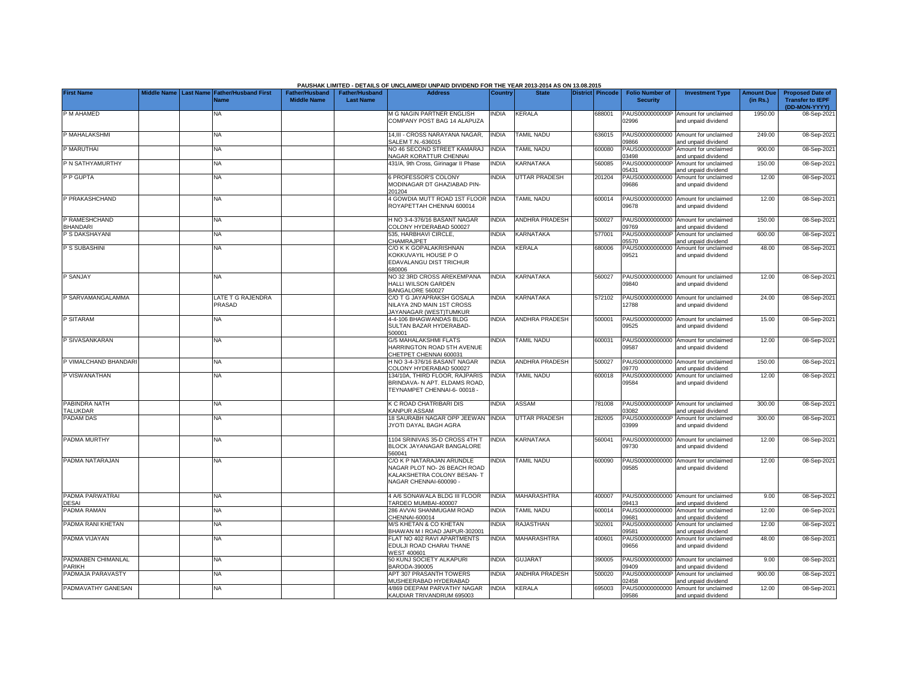| Middle Name Last Name Father/Husband First<br><b>Father/Husband</b><br><b>Father/Husband</b><br><b>Address</b><br><b>Folio Number of</b><br><b>Amount Due</b><br><b>Proposed Date of</b><br><b>Country</b><br><b>State</b><br>District Pincode<br><b>Investment Type</b><br><b>Middle Name</b><br><b>Last Name</b><br>(in Rs.)<br><b>Transfer to IEPF</b><br><b>Security</b><br><b>Name</b><br>(DD-MON-YYYY)<br>NA<br><b>M G NAGIN PARTNER ENGLISH</b><br><b>NDIA</b><br>KERALA<br>688001<br>PAUS0000000000P<br>Amount for unclaimed<br>1950.00<br>08-Sep-202<br>COMPANY POST BAG 14 ALAPUZA<br>02996<br>and unpaid dividend<br>P MAHALAKSHMI<br>14,III - CROSS NARAYANA NAGAR,<br><b>INDIA</b><br><b>TAMIL NADU</b><br>PAUS00000000000<br>249.00<br>636015<br>Amount for unclaimed<br>08-Sep-202<br>NA<br>SALEM T.N.-636015<br>9866<br>and unpaid dividend<br>P MARUTHAI<br><b>INDIA</b><br><b>TAMIL NADU</b><br>PAUS0000000000P<br>NA<br>NO 46 SECOND STREET KAMARAJ<br>600080<br>Amount for unclaimed<br>900.00<br>08-Sep-202<br>NAGAR KORATTUR CHENNAI<br>03498<br>and unpaid dividend<br>KARNATAKA<br>P N SATHYAMURTHY<br>ΝA<br>431/A, 9th Cross, Girinagar II Phase<br>INDIA<br>560085<br>PAUS0000000000P<br>Amount for unclaimed<br>150.00<br>08-Sep-202<br>05431<br>and unpaid dividend<br>P P GUPTA<br><b>PROFESSOR'S COLONY</b><br><b>INDIA</b><br><b>UTTAR PRADESH</b><br>201204<br>PAUS00000000000<br>Amount for unclaimed<br>12.00<br>08-Sep-202<br>NΑ<br>MODINAGAR DT GHAZIABAD PIN-<br>09686<br>and unpaid dividend<br>201204<br><b>INDIA</b><br><b>TAMIL NADU</b><br>NA<br><b>4 GOWDIA MUTT ROAD 1ST FLOOR</b><br>600014<br>PAUS00000000000 Amount for unclaimed<br>12.00<br>08-Sep-2021<br>ROYAPETTAH CHENNAI 600014<br>09678<br>and unpaid dividend<br>P RAMESHCHAND<br>H NO 3-4-376/16 BASANT NAGAR<br>INDIA<br>ANDHRA PRADESH<br>500027<br>PAUS00000000000<br>150.00<br>08-Sep-202<br>NA<br>Amount for unclaimed<br>BHANDARI<br>COLONY HYDERABAD 500027<br>09769<br>and unpaid dividend<br>KARNATAKA<br>PAUS0000000000P<br>P S DAKSHAYANI<br>NA.<br>535, HARBHAVI CIRCLE,<br><b>INDIA</b><br>577001<br>600.00<br>08-Sep-202<br>Amount for unclaimed<br>CHAMRAJPET<br>05570<br>and unpaid dividend<br>P S SUBASHINI<br>C/O K K GOPALAKRISHNAN<br><b>INDIA</b><br>KERALA<br>680006<br>PAUS00000000000 Amount for unclaimed<br>48.00<br>08-Sep-202<br><b>NA</b><br>09521<br>KOKKUVAYIL HOUSE P O<br>and unpaid dividend<br>EDAVALANGU DIST TRICHUR<br>680006<br>NO 32 3RD CROSS AREKEMPANA<br><b>INDIA</b><br>KARNATAKA<br>560027<br>PAUS00000000000 Amount for unclaimed<br>12.00<br>08-Sep-202<br>ΝA<br>HALLI WILSON GARDEN<br>09840<br>and unpaid dividend<br>BANGALORE 560027<br>P SARVAMANGALAMMA<br>INDIA<br><b>KARNATAKA</b><br>PAUS00000000000 Amount for unclaimed<br>LATE T G RAJENDRA<br>C/O T G JAYAPRAKSH GOSALA<br>572102<br>24.00<br>08-Sep-202<br>PRASAD<br>12788<br>NILAYA 2ND MAIN 1ST CROSS<br>and unpaid dividend<br>JAYANAGAR (WEST)TUMKUR<br>P SITARAM<br>INDIA<br>ANDHRA PRADESH<br>500001<br>PAUS00000000000<br>NA<br>1-4-106 BHAGWANDAS BLDG<br>15.00<br>08-Sep-202<br>Amount for unclaimed<br>09525<br>SULTAN BAZAR HYDERABAD-<br>and unpaid dividend<br>500001<br>P SIVASANKARAN<br><b>NDIA</b><br><b>TAMIL NADU</b><br><b>G/5 MAHALAKSHMI FLATS</b><br>600031<br>PAUS00000000000 Amount for unclaimed<br>12.00<br>NA<br>08-Sep-202<br>09587<br>HARRINGTON ROAD 5TH AVENUE<br>and unpaid dividend<br>CHETPET CHENNAI 600031<br>ANDHRA PRADESH<br><b>NA</b><br>H NO 3-4-376/16 BASANT NAGAR<br><b>INDIA</b><br>500027<br>PAUS00000000000 Amount for unclaimed<br>150.00<br>08-Sep-202<br>COLONY HYDERABAD 500027<br>09770<br>and unpaid dividend<br>P VISWANATHAN<br>134/10A. THIRD FLOOR. RAJPARIS<br><b>INDIA</b><br><b>TAMIL NADU</b><br>600018<br>PAUS00000000000<br>12.00<br>08-Sep-202<br><b>NA</b><br>Amount for unclaimed<br>BRINDAVA- N APT. ELDAMS ROAD.<br>09584<br>and unpaid dividend<br>TEYNAMPET CHENNAI-6-00018 -<br>PABINDRA NATH<br><b>NA</b><br><b>C ROAD CHATRIBARI DIS</b><br><b>INDIA</b><br>ASSAM<br>781008<br>PAUS0000000000P<br>300.00<br>08-Sep-202<br>Amount for unclaimed<br><b>CANPUR ASSAM</b><br>03082<br>and unpaid dividend<br><b>PADAM DAS</b><br><b>UTTAR PRADESH</b><br>18 SAURABH NAGAR OPP JEEWAN<br><b>INDIA</b><br>282005<br>PAUS0000000000P<br>300.00<br>NA<br>Amount for unclaimed<br>08-Sep-202<br>JYOTI DAYAL BAGH AGRA<br>03999<br>and unpaid dividend<br>1104 SRINIVAS 35-D CROSS 4TH T<br><b>INDIA</b><br>KARNATAKA<br>560041<br>PAUS00000000000 Amount for unclaimed<br>12.00<br>08-Sep-202<br>NA<br>BLOCK JAYANAGAR BANGALORE<br>09730<br>and unpaid dividend<br>560041<br>PADMA NATARAJAN<br>C/O K P NATARAJAN ARUNDLE<br>NDIA<br><b>TAMIL NADU</b><br>600090<br>PAUS00000000000 Amount for unclaimed<br>12.00<br>08-Sep-202<br><b>NA</b><br>NAGAR PLOT NO- 26 BEACH ROAD<br>09585<br>and unpaid dividend<br>KALAKSHETRA COLONY BESAN-T<br>NAGAR CHENNAI-600090<br>MAHARASHTRA<br><b>NA</b><br>4 A/6 SONAWALA BLDG III FLOOR<br><b>INDIA</b><br>400007<br>PAUS00000000000 Amount for unclaimed<br>9.00<br>08-Sep-202<br><b>DESAI</b><br>TARDEO MUMBAI-400007<br>09413<br>and unpaid dividend<br>PADMA RAMAN<br>NA<br>286 AVVAI SHANMUGAM ROAD<br><b>NDIA</b><br><b>TAMIL NADU</b><br>PAUS00000000000<br>12.00<br>08-Sep-202<br>600014<br>Amount for unclaimed<br>CHENNAI-600014<br>9681<br>and unpaid dividend<br><b>NDIA</b><br>RAJASTHAN<br>12.00<br>ΝA<br><b>M/S KHETAN &amp; CO KHETAN</b><br>302001<br>PAUS00000000000<br>08-Sep-202<br>Amount for unclaimed<br>BHAWAN M I ROAD JAIPUR-302001<br>09581<br>and unpaid dividend<br>PADMA VIJAYAN<br>FLAT NO 402 RAVI APARTMENTS<br><b>NDIA</b><br><b>MAHARASHTRA</b><br>PAUS00000000000 Amount for unclaimed<br>48.00<br>NA<br>400601<br>08-Sep-2021<br>EDULJI ROAD CHARAI THANE<br>09656<br>and unpaid dividend<br>VEST 400601<br>PADMABEN CHIMANLAL<br>50 KUNJ SOCIETY ALKAPURI<br><b>INDIA</b><br><b>GUJARAT</b><br>390005<br>PAUS00000000000 Amount for unclaimed<br>9.00<br>08-Sep-202<br>NA<br>BARODA-390005<br>9409<br>and unpaid dividend<br>APT 307 PRASANTH TOWERS<br><b>INDIA</b><br><b>ANDHRA PRADESH</b><br>500020<br>PAUS0000000000P<br>900.00<br>08-Sep-202<br><b>NA</b><br>Amount for unclaimed<br><b>MUSHEERABAD HYDERABAD</b><br>2458<br>and unpaid dividend<br>PADMAVATHY GANESAN<br>4/869 DEEPAM PARVATHY NAGAR<br><b>INDIA</b><br><b>KERALA</b><br><b>NA</b><br>695003<br>PAUS00000000000 Amount for unclaimed<br>12.00<br>08-Sep-202<br>KAUDIAR TRIVANDRUM 695003<br>09586<br>and unpaid dividend |                       |  |  | PAUSHAK LIMITED - DETAILS OF UNCLAIMED/ UNPAID DIVIDEND FOR THE YEAR 2013-2014 AS ON 13.08.2015 |  |  |  |  |
|-------------------------------------------------------------------------------------------------------------------------------------------------------------------------------------------------------------------------------------------------------------------------------------------------------------------------------------------------------------------------------------------------------------------------------------------------------------------------------------------------------------------------------------------------------------------------------------------------------------------------------------------------------------------------------------------------------------------------------------------------------------------------------------------------------------------------------------------------------------------------------------------------------------------------------------------------------------------------------------------------------------------------------------------------------------------------------------------------------------------------------------------------------------------------------------------------------------------------------------------------------------------------------------------------------------------------------------------------------------------------------------------------------------------------------------------------------------------------------------------------------------------------------------------------------------------------------------------------------------------------------------------------------------------------------------------------------------------------------------------------------------------------------------------------------------------------------------------------------------------------------------------------------------------------------------------------------------------------------------------------------------------------------------------------------------------------------------------------------------------------------------------------------------------------------------------------------------------------------------------------------------------------------------------------------------------------------------------------------------------------------------------------------------------------------------------------------------------------------------------------------------------------------------------------------------------------------------------------------------------------------------------------------------------------------------------------------------------------------------------------------------------------------------------------------------------------------------------------------------------------------------------------------------------------------------------------------------------------------------------------------------------------------------------------------------------------------------------------------------------------------------------------------------------------------------------------------------------------------------------------------------------------------------------------------------------------------------------------------------------------------------------------------------------------------------------------------------------------------------------------------------------------------------------------------------------------------------------------------------------------------------------------------------------------------------------------------------------------------------------------------------------------------------------------------------------------------------------------------------------------------------------------------------------------------------------------------------------------------------------------------------------------------------------------------------------------------------------------------------------------------------------------------------------------------------------------------------------------------------------------------------------------------------------------------------------------------------------------------------------------------------------------------------------------------------------------------------------------------------------------------------------------------------------------------------------------------------------------------------------------------------------------------------------------------------------------------------------------------------------------------------------------------------------------------------------------------------------------------------------------------------------------------------------------------------------------------------------------------------------------------------------------------------------------------------------------------------------------------------------------------------------------------------------------------------------------------------------------------------------------------------------------------------------------------------------------------------------------------------------------------------------------------------------------------------------------------------------------------------------------------------------------------------------------------------------------------------------------------------------------------------------------------------------------------------------------------------------------------------------------------------------------------------------------------------------------------------------------------------------------------------------------------------------------------------------------------------------------------------------------------------------------------------------------------------------------------------------------------------------------------------------------------------------------------------------------------------------------------------------------------------------------------------------------------------------------------------------------------------------------------------------------------------------------------------------------------------------------------------------------------------------------------------------------------------------------|-----------------------|--|--|-------------------------------------------------------------------------------------------------|--|--|--|--|
|                                                                                                                                                                                                                                                                                                                                                                                                                                                                                                                                                                                                                                                                                                                                                                                                                                                                                                                                                                                                                                                                                                                                                                                                                                                                                                                                                                                                                                                                                                                                                                                                                                                                                                                                                                                                                                                                                                                                                                                                                                                                                                                                                                                                                                                                                                                                                                                                                                                                                                                                                                                                                                                                                                                                                                                                                                                                                                                                                                                                                                                                                                                                                                                                                                                                                                                                                                                                                                                                                                                                                                                                                                                                                                                                                                                                                                                                                                                                                                                                                                                                                                                                                                                                                                                                                                                                                                                                                                                                                                                                                                                                                                                                                                                                                                                                                                                                                                                                                                                                                                                                                                                                                                                                                                                                                                                                                                                                                                                                                                                                                                                                                                                                                                                                                                                                                                                                                                                                                                                                                                                                                                                                                                                                                                                                                                                                                                                                                                                                                                                                                                         | <b>First Name</b>     |  |  |                                                                                                 |  |  |  |  |
|                                                                                                                                                                                                                                                                                                                                                                                                                                                                                                                                                                                                                                                                                                                                                                                                                                                                                                                                                                                                                                                                                                                                                                                                                                                                                                                                                                                                                                                                                                                                                                                                                                                                                                                                                                                                                                                                                                                                                                                                                                                                                                                                                                                                                                                                                                                                                                                                                                                                                                                                                                                                                                                                                                                                                                                                                                                                                                                                                                                                                                                                                                                                                                                                                                                                                                                                                                                                                                                                                                                                                                                                                                                                                                                                                                                                                                                                                                                                                                                                                                                                                                                                                                                                                                                                                                                                                                                                                                                                                                                                                                                                                                                                                                                                                                                                                                                                                                                                                                                                                                                                                                                                                                                                                                                                                                                                                                                                                                                                                                                                                                                                                                                                                                                                                                                                                                                                                                                                                                                                                                                                                                                                                                                                                                                                                                                                                                                                                                                                                                                                                                         |                       |  |  |                                                                                                 |  |  |  |  |
|                                                                                                                                                                                                                                                                                                                                                                                                                                                                                                                                                                                                                                                                                                                                                                                                                                                                                                                                                                                                                                                                                                                                                                                                                                                                                                                                                                                                                                                                                                                                                                                                                                                                                                                                                                                                                                                                                                                                                                                                                                                                                                                                                                                                                                                                                                                                                                                                                                                                                                                                                                                                                                                                                                                                                                                                                                                                                                                                                                                                                                                                                                                                                                                                                                                                                                                                                                                                                                                                                                                                                                                                                                                                                                                                                                                                                                                                                                                                                                                                                                                                                                                                                                                                                                                                                                                                                                                                                                                                                                                                                                                                                                                                                                                                                                                                                                                                                                                                                                                                                                                                                                                                                                                                                                                                                                                                                                                                                                                                                                                                                                                                                                                                                                                                                                                                                                                                                                                                                                                                                                                                                                                                                                                                                                                                                                                                                                                                                                                                                                                                                                         | P M AHAMED            |  |  |                                                                                                 |  |  |  |  |
|                                                                                                                                                                                                                                                                                                                                                                                                                                                                                                                                                                                                                                                                                                                                                                                                                                                                                                                                                                                                                                                                                                                                                                                                                                                                                                                                                                                                                                                                                                                                                                                                                                                                                                                                                                                                                                                                                                                                                                                                                                                                                                                                                                                                                                                                                                                                                                                                                                                                                                                                                                                                                                                                                                                                                                                                                                                                                                                                                                                                                                                                                                                                                                                                                                                                                                                                                                                                                                                                                                                                                                                                                                                                                                                                                                                                                                                                                                                                                                                                                                                                                                                                                                                                                                                                                                                                                                                                                                                                                                                                                                                                                                                                                                                                                                                                                                                                                                                                                                                                                                                                                                                                                                                                                                                                                                                                                                                                                                                                                                                                                                                                                                                                                                                                                                                                                                                                                                                                                                                                                                                                                                                                                                                                                                                                                                                                                                                                                                                                                                                                                                         |                       |  |  |                                                                                                 |  |  |  |  |
|                                                                                                                                                                                                                                                                                                                                                                                                                                                                                                                                                                                                                                                                                                                                                                                                                                                                                                                                                                                                                                                                                                                                                                                                                                                                                                                                                                                                                                                                                                                                                                                                                                                                                                                                                                                                                                                                                                                                                                                                                                                                                                                                                                                                                                                                                                                                                                                                                                                                                                                                                                                                                                                                                                                                                                                                                                                                                                                                                                                                                                                                                                                                                                                                                                                                                                                                                                                                                                                                                                                                                                                                                                                                                                                                                                                                                                                                                                                                                                                                                                                                                                                                                                                                                                                                                                                                                                                                                                                                                                                                                                                                                                                                                                                                                                                                                                                                                                                                                                                                                                                                                                                                                                                                                                                                                                                                                                                                                                                                                                                                                                                                                                                                                                                                                                                                                                                                                                                                                                                                                                                                                                                                                                                                                                                                                                                                                                                                                                                                                                                                                                         |                       |  |  |                                                                                                 |  |  |  |  |
|                                                                                                                                                                                                                                                                                                                                                                                                                                                                                                                                                                                                                                                                                                                                                                                                                                                                                                                                                                                                                                                                                                                                                                                                                                                                                                                                                                                                                                                                                                                                                                                                                                                                                                                                                                                                                                                                                                                                                                                                                                                                                                                                                                                                                                                                                                                                                                                                                                                                                                                                                                                                                                                                                                                                                                                                                                                                                                                                                                                                                                                                                                                                                                                                                                                                                                                                                                                                                                                                                                                                                                                                                                                                                                                                                                                                                                                                                                                                                                                                                                                                                                                                                                                                                                                                                                                                                                                                                                                                                                                                                                                                                                                                                                                                                                                                                                                                                                                                                                                                                                                                                                                                                                                                                                                                                                                                                                                                                                                                                                                                                                                                                                                                                                                                                                                                                                                                                                                                                                                                                                                                                                                                                                                                                                                                                                                                                                                                                                                                                                                                                                         |                       |  |  |                                                                                                 |  |  |  |  |
|                                                                                                                                                                                                                                                                                                                                                                                                                                                                                                                                                                                                                                                                                                                                                                                                                                                                                                                                                                                                                                                                                                                                                                                                                                                                                                                                                                                                                                                                                                                                                                                                                                                                                                                                                                                                                                                                                                                                                                                                                                                                                                                                                                                                                                                                                                                                                                                                                                                                                                                                                                                                                                                                                                                                                                                                                                                                                                                                                                                                                                                                                                                                                                                                                                                                                                                                                                                                                                                                                                                                                                                                                                                                                                                                                                                                                                                                                                                                                                                                                                                                                                                                                                                                                                                                                                                                                                                                                                                                                                                                                                                                                                                                                                                                                                                                                                                                                                                                                                                                                                                                                                                                                                                                                                                                                                                                                                                                                                                                                                                                                                                                                                                                                                                                                                                                                                                                                                                                                                                                                                                                                                                                                                                                                                                                                                                                                                                                                                                                                                                                                                         |                       |  |  |                                                                                                 |  |  |  |  |
|                                                                                                                                                                                                                                                                                                                                                                                                                                                                                                                                                                                                                                                                                                                                                                                                                                                                                                                                                                                                                                                                                                                                                                                                                                                                                                                                                                                                                                                                                                                                                                                                                                                                                                                                                                                                                                                                                                                                                                                                                                                                                                                                                                                                                                                                                                                                                                                                                                                                                                                                                                                                                                                                                                                                                                                                                                                                                                                                                                                                                                                                                                                                                                                                                                                                                                                                                                                                                                                                                                                                                                                                                                                                                                                                                                                                                                                                                                                                                                                                                                                                                                                                                                                                                                                                                                                                                                                                                                                                                                                                                                                                                                                                                                                                                                                                                                                                                                                                                                                                                                                                                                                                                                                                                                                                                                                                                                                                                                                                                                                                                                                                                                                                                                                                                                                                                                                                                                                                                                                                                                                                                                                                                                                                                                                                                                                                                                                                                                                                                                                                                                         |                       |  |  |                                                                                                 |  |  |  |  |
|                                                                                                                                                                                                                                                                                                                                                                                                                                                                                                                                                                                                                                                                                                                                                                                                                                                                                                                                                                                                                                                                                                                                                                                                                                                                                                                                                                                                                                                                                                                                                                                                                                                                                                                                                                                                                                                                                                                                                                                                                                                                                                                                                                                                                                                                                                                                                                                                                                                                                                                                                                                                                                                                                                                                                                                                                                                                                                                                                                                                                                                                                                                                                                                                                                                                                                                                                                                                                                                                                                                                                                                                                                                                                                                                                                                                                                                                                                                                                                                                                                                                                                                                                                                                                                                                                                                                                                                                                                                                                                                                                                                                                                                                                                                                                                                                                                                                                                                                                                                                                                                                                                                                                                                                                                                                                                                                                                                                                                                                                                                                                                                                                                                                                                                                                                                                                                                                                                                                                                                                                                                                                                                                                                                                                                                                                                                                                                                                                                                                                                                                                                         |                       |  |  |                                                                                                 |  |  |  |  |
|                                                                                                                                                                                                                                                                                                                                                                                                                                                                                                                                                                                                                                                                                                                                                                                                                                                                                                                                                                                                                                                                                                                                                                                                                                                                                                                                                                                                                                                                                                                                                                                                                                                                                                                                                                                                                                                                                                                                                                                                                                                                                                                                                                                                                                                                                                                                                                                                                                                                                                                                                                                                                                                                                                                                                                                                                                                                                                                                                                                                                                                                                                                                                                                                                                                                                                                                                                                                                                                                                                                                                                                                                                                                                                                                                                                                                                                                                                                                                                                                                                                                                                                                                                                                                                                                                                                                                                                                                                                                                                                                                                                                                                                                                                                                                                                                                                                                                                                                                                                                                                                                                                                                                                                                                                                                                                                                                                                                                                                                                                                                                                                                                                                                                                                                                                                                                                                                                                                                                                                                                                                                                                                                                                                                                                                                                                                                                                                                                                                                                                                                                                         |                       |  |  |                                                                                                 |  |  |  |  |
|                                                                                                                                                                                                                                                                                                                                                                                                                                                                                                                                                                                                                                                                                                                                                                                                                                                                                                                                                                                                                                                                                                                                                                                                                                                                                                                                                                                                                                                                                                                                                                                                                                                                                                                                                                                                                                                                                                                                                                                                                                                                                                                                                                                                                                                                                                                                                                                                                                                                                                                                                                                                                                                                                                                                                                                                                                                                                                                                                                                                                                                                                                                                                                                                                                                                                                                                                                                                                                                                                                                                                                                                                                                                                                                                                                                                                                                                                                                                                                                                                                                                                                                                                                                                                                                                                                                                                                                                                                                                                                                                                                                                                                                                                                                                                                                                                                                                                                                                                                                                                                                                                                                                                                                                                                                                                                                                                                                                                                                                                                                                                                                                                                                                                                                                                                                                                                                                                                                                                                                                                                                                                                                                                                                                                                                                                                                                                                                                                                                                                                                                                                         | P PRAKASHCHAND        |  |  |                                                                                                 |  |  |  |  |
|                                                                                                                                                                                                                                                                                                                                                                                                                                                                                                                                                                                                                                                                                                                                                                                                                                                                                                                                                                                                                                                                                                                                                                                                                                                                                                                                                                                                                                                                                                                                                                                                                                                                                                                                                                                                                                                                                                                                                                                                                                                                                                                                                                                                                                                                                                                                                                                                                                                                                                                                                                                                                                                                                                                                                                                                                                                                                                                                                                                                                                                                                                                                                                                                                                                                                                                                                                                                                                                                                                                                                                                                                                                                                                                                                                                                                                                                                                                                                                                                                                                                                                                                                                                                                                                                                                                                                                                                                                                                                                                                                                                                                                                                                                                                                                                                                                                                                                                                                                                                                                                                                                                                                                                                                                                                                                                                                                                                                                                                                                                                                                                                                                                                                                                                                                                                                                                                                                                                                                                                                                                                                                                                                                                                                                                                                                                                                                                                                                                                                                                                                                         |                       |  |  |                                                                                                 |  |  |  |  |
|                                                                                                                                                                                                                                                                                                                                                                                                                                                                                                                                                                                                                                                                                                                                                                                                                                                                                                                                                                                                                                                                                                                                                                                                                                                                                                                                                                                                                                                                                                                                                                                                                                                                                                                                                                                                                                                                                                                                                                                                                                                                                                                                                                                                                                                                                                                                                                                                                                                                                                                                                                                                                                                                                                                                                                                                                                                                                                                                                                                                                                                                                                                                                                                                                                                                                                                                                                                                                                                                                                                                                                                                                                                                                                                                                                                                                                                                                                                                                                                                                                                                                                                                                                                                                                                                                                                                                                                                                                                                                                                                                                                                                                                                                                                                                                                                                                                                                                                                                                                                                                                                                                                                                                                                                                                                                                                                                                                                                                                                                                                                                                                                                                                                                                                                                                                                                                                                                                                                                                                                                                                                                                                                                                                                                                                                                                                                                                                                                                                                                                                                                                         |                       |  |  |                                                                                                 |  |  |  |  |
|                                                                                                                                                                                                                                                                                                                                                                                                                                                                                                                                                                                                                                                                                                                                                                                                                                                                                                                                                                                                                                                                                                                                                                                                                                                                                                                                                                                                                                                                                                                                                                                                                                                                                                                                                                                                                                                                                                                                                                                                                                                                                                                                                                                                                                                                                                                                                                                                                                                                                                                                                                                                                                                                                                                                                                                                                                                                                                                                                                                                                                                                                                                                                                                                                                                                                                                                                                                                                                                                                                                                                                                                                                                                                                                                                                                                                                                                                                                                                                                                                                                                                                                                                                                                                                                                                                                                                                                                                                                                                                                                                                                                                                                                                                                                                                                                                                                                                                                                                                                                                                                                                                                                                                                                                                                                                                                                                                                                                                                                                                                                                                                                                                                                                                                                                                                                                                                                                                                                                                                                                                                                                                                                                                                                                                                                                                                                                                                                                                                                                                                                                                         |                       |  |  |                                                                                                 |  |  |  |  |
|                                                                                                                                                                                                                                                                                                                                                                                                                                                                                                                                                                                                                                                                                                                                                                                                                                                                                                                                                                                                                                                                                                                                                                                                                                                                                                                                                                                                                                                                                                                                                                                                                                                                                                                                                                                                                                                                                                                                                                                                                                                                                                                                                                                                                                                                                                                                                                                                                                                                                                                                                                                                                                                                                                                                                                                                                                                                                                                                                                                                                                                                                                                                                                                                                                                                                                                                                                                                                                                                                                                                                                                                                                                                                                                                                                                                                                                                                                                                                                                                                                                                                                                                                                                                                                                                                                                                                                                                                                                                                                                                                                                                                                                                                                                                                                                                                                                                                                                                                                                                                                                                                                                                                                                                                                                                                                                                                                                                                                                                                                                                                                                                                                                                                                                                                                                                                                                                                                                                                                                                                                                                                                                                                                                                                                                                                                                                                                                                                                                                                                                                                                         |                       |  |  |                                                                                                 |  |  |  |  |
|                                                                                                                                                                                                                                                                                                                                                                                                                                                                                                                                                                                                                                                                                                                                                                                                                                                                                                                                                                                                                                                                                                                                                                                                                                                                                                                                                                                                                                                                                                                                                                                                                                                                                                                                                                                                                                                                                                                                                                                                                                                                                                                                                                                                                                                                                                                                                                                                                                                                                                                                                                                                                                                                                                                                                                                                                                                                                                                                                                                                                                                                                                                                                                                                                                                                                                                                                                                                                                                                                                                                                                                                                                                                                                                                                                                                                                                                                                                                                                                                                                                                                                                                                                                                                                                                                                                                                                                                                                                                                                                                                                                                                                                                                                                                                                                                                                                                                                                                                                                                                                                                                                                                                                                                                                                                                                                                                                                                                                                                                                                                                                                                                                                                                                                                                                                                                                                                                                                                                                                                                                                                                                                                                                                                                                                                                                                                                                                                                                                                                                                                                                         |                       |  |  |                                                                                                 |  |  |  |  |
|                                                                                                                                                                                                                                                                                                                                                                                                                                                                                                                                                                                                                                                                                                                                                                                                                                                                                                                                                                                                                                                                                                                                                                                                                                                                                                                                                                                                                                                                                                                                                                                                                                                                                                                                                                                                                                                                                                                                                                                                                                                                                                                                                                                                                                                                                                                                                                                                                                                                                                                                                                                                                                                                                                                                                                                                                                                                                                                                                                                                                                                                                                                                                                                                                                                                                                                                                                                                                                                                                                                                                                                                                                                                                                                                                                                                                                                                                                                                                                                                                                                                                                                                                                                                                                                                                                                                                                                                                                                                                                                                                                                                                                                                                                                                                                                                                                                                                                                                                                                                                                                                                                                                                                                                                                                                                                                                                                                                                                                                                                                                                                                                                                                                                                                                                                                                                                                                                                                                                                                                                                                                                                                                                                                                                                                                                                                                                                                                                                                                                                                                                                         |                       |  |  |                                                                                                 |  |  |  |  |
|                                                                                                                                                                                                                                                                                                                                                                                                                                                                                                                                                                                                                                                                                                                                                                                                                                                                                                                                                                                                                                                                                                                                                                                                                                                                                                                                                                                                                                                                                                                                                                                                                                                                                                                                                                                                                                                                                                                                                                                                                                                                                                                                                                                                                                                                                                                                                                                                                                                                                                                                                                                                                                                                                                                                                                                                                                                                                                                                                                                                                                                                                                                                                                                                                                                                                                                                                                                                                                                                                                                                                                                                                                                                                                                                                                                                                                                                                                                                                                                                                                                                                                                                                                                                                                                                                                                                                                                                                                                                                                                                                                                                                                                                                                                                                                                                                                                                                                                                                                                                                                                                                                                                                                                                                                                                                                                                                                                                                                                                                                                                                                                                                                                                                                                                                                                                                                                                                                                                                                                                                                                                                                                                                                                                                                                                                                                                                                                                                                                                                                                                                                         |                       |  |  |                                                                                                 |  |  |  |  |
|                                                                                                                                                                                                                                                                                                                                                                                                                                                                                                                                                                                                                                                                                                                                                                                                                                                                                                                                                                                                                                                                                                                                                                                                                                                                                                                                                                                                                                                                                                                                                                                                                                                                                                                                                                                                                                                                                                                                                                                                                                                                                                                                                                                                                                                                                                                                                                                                                                                                                                                                                                                                                                                                                                                                                                                                                                                                                                                                                                                                                                                                                                                                                                                                                                                                                                                                                                                                                                                                                                                                                                                                                                                                                                                                                                                                                                                                                                                                                                                                                                                                                                                                                                                                                                                                                                                                                                                                                                                                                                                                                                                                                                                                                                                                                                                                                                                                                                                                                                                                                                                                                                                                                                                                                                                                                                                                                                                                                                                                                                                                                                                                                                                                                                                                                                                                                                                                                                                                                                                                                                                                                                                                                                                                                                                                                                                                                                                                                                                                                                                                                                         | P SANJAY              |  |  |                                                                                                 |  |  |  |  |
|                                                                                                                                                                                                                                                                                                                                                                                                                                                                                                                                                                                                                                                                                                                                                                                                                                                                                                                                                                                                                                                                                                                                                                                                                                                                                                                                                                                                                                                                                                                                                                                                                                                                                                                                                                                                                                                                                                                                                                                                                                                                                                                                                                                                                                                                                                                                                                                                                                                                                                                                                                                                                                                                                                                                                                                                                                                                                                                                                                                                                                                                                                                                                                                                                                                                                                                                                                                                                                                                                                                                                                                                                                                                                                                                                                                                                                                                                                                                                                                                                                                                                                                                                                                                                                                                                                                                                                                                                                                                                                                                                                                                                                                                                                                                                                                                                                                                                                                                                                                                                                                                                                                                                                                                                                                                                                                                                                                                                                                                                                                                                                                                                                                                                                                                                                                                                                                                                                                                                                                                                                                                                                                                                                                                                                                                                                                                                                                                                                                                                                                                                                         |                       |  |  |                                                                                                 |  |  |  |  |
|                                                                                                                                                                                                                                                                                                                                                                                                                                                                                                                                                                                                                                                                                                                                                                                                                                                                                                                                                                                                                                                                                                                                                                                                                                                                                                                                                                                                                                                                                                                                                                                                                                                                                                                                                                                                                                                                                                                                                                                                                                                                                                                                                                                                                                                                                                                                                                                                                                                                                                                                                                                                                                                                                                                                                                                                                                                                                                                                                                                                                                                                                                                                                                                                                                                                                                                                                                                                                                                                                                                                                                                                                                                                                                                                                                                                                                                                                                                                                                                                                                                                                                                                                                                                                                                                                                                                                                                                                                                                                                                                                                                                                                                                                                                                                                                                                                                                                                                                                                                                                                                                                                                                                                                                                                                                                                                                                                                                                                                                                                                                                                                                                                                                                                                                                                                                                                                                                                                                                                                                                                                                                                                                                                                                                                                                                                                                                                                                                                                                                                                                                                         |                       |  |  |                                                                                                 |  |  |  |  |
|                                                                                                                                                                                                                                                                                                                                                                                                                                                                                                                                                                                                                                                                                                                                                                                                                                                                                                                                                                                                                                                                                                                                                                                                                                                                                                                                                                                                                                                                                                                                                                                                                                                                                                                                                                                                                                                                                                                                                                                                                                                                                                                                                                                                                                                                                                                                                                                                                                                                                                                                                                                                                                                                                                                                                                                                                                                                                                                                                                                                                                                                                                                                                                                                                                                                                                                                                                                                                                                                                                                                                                                                                                                                                                                                                                                                                                                                                                                                                                                                                                                                                                                                                                                                                                                                                                                                                                                                                                                                                                                                                                                                                                                                                                                                                                                                                                                                                                                                                                                                                                                                                                                                                                                                                                                                                                                                                                                                                                                                                                                                                                                                                                                                                                                                                                                                                                                                                                                                                                                                                                                                                                                                                                                                                                                                                                                                                                                                                                                                                                                                                                         |                       |  |  |                                                                                                 |  |  |  |  |
|                                                                                                                                                                                                                                                                                                                                                                                                                                                                                                                                                                                                                                                                                                                                                                                                                                                                                                                                                                                                                                                                                                                                                                                                                                                                                                                                                                                                                                                                                                                                                                                                                                                                                                                                                                                                                                                                                                                                                                                                                                                                                                                                                                                                                                                                                                                                                                                                                                                                                                                                                                                                                                                                                                                                                                                                                                                                                                                                                                                                                                                                                                                                                                                                                                                                                                                                                                                                                                                                                                                                                                                                                                                                                                                                                                                                                                                                                                                                                                                                                                                                                                                                                                                                                                                                                                                                                                                                                                                                                                                                                                                                                                                                                                                                                                                                                                                                                                                                                                                                                                                                                                                                                                                                                                                                                                                                                                                                                                                                                                                                                                                                                                                                                                                                                                                                                                                                                                                                                                                                                                                                                                                                                                                                                                                                                                                                                                                                                                                                                                                                                                         |                       |  |  |                                                                                                 |  |  |  |  |
|                                                                                                                                                                                                                                                                                                                                                                                                                                                                                                                                                                                                                                                                                                                                                                                                                                                                                                                                                                                                                                                                                                                                                                                                                                                                                                                                                                                                                                                                                                                                                                                                                                                                                                                                                                                                                                                                                                                                                                                                                                                                                                                                                                                                                                                                                                                                                                                                                                                                                                                                                                                                                                                                                                                                                                                                                                                                                                                                                                                                                                                                                                                                                                                                                                                                                                                                                                                                                                                                                                                                                                                                                                                                                                                                                                                                                                                                                                                                                                                                                                                                                                                                                                                                                                                                                                                                                                                                                                                                                                                                                                                                                                                                                                                                                                                                                                                                                                                                                                                                                                                                                                                                                                                                                                                                                                                                                                                                                                                                                                                                                                                                                                                                                                                                                                                                                                                                                                                                                                                                                                                                                                                                                                                                                                                                                                                                                                                                                                                                                                                                                                         |                       |  |  |                                                                                                 |  |  |  |  |
|                                                                                                                                                                                                                                                                                                                                                                                                                                                                                                                                                                                                                                                                                                                                                                                                                                                                                                                                                                                                                                                                                                                                                                                                                                                                                                                                                                                                                                                                                                                                                                                                                                                                                                                                                                                                                                                                                                                                                                                                                                                                                                                                                                                                                                                                                                                                                                                                                                                                                                                                                                                                                                                                                                                                                                                                                                                                                                                                                                                                                                                                                                                                                                                                                                                                                                                                                                                                                                                                                                                                                                                                                                                                                                                                                                                                                                                                                                                                                                                                                                                                                                                                                                                                                                                                                                                                                                                                                                                                                                                                                                                                                                                                                                                                                                                                                                                                                                                                                                                                                                                                                                                                                                                                                                                                                                                                                                                                                                                                                                                                                                                                                                                                                                                                                                                                                                                                                                                                                                                                                                                                                                                                                                                                                                                                                                                                                                                                                                                                                                                                                                         |                       |  |  |                                                                                                 |  |  |  |  |
|                                                                                                                                                                                                                                                                                                                                                                                                                                                                                                                                                                                                                                                                                                                                                                                                                                                                                                                                                                                                                                                                                                                                                                                                                                                                                                                                                                                                                                                                                                                                                                                                                                                                                                                                                                                                                                                                                                                                                                                                                                                                                                                                                                                                                                                                                                                                                                                                                                                                                                                                                                                                                                                                                                                                                                                                                                                                                                                                                                                                                                                                                                                                                                                                                                                                                                                                                                                                                                                                                                                                                                                                                                                                                                                                                                                                                                                                                                                                                                                                                                                                                                                                                                                                                                                                                                                                                                                                                                                                                                                                                                                                                                                                                                                                                                                                                                                                                                                                                                                                                                                                                                                                                                                                                                                                                                                                                                                                                                                                                                                                                                                                                                                                                                                                                                                                                                                                                                                                                                                                                                                                                                                                                                                                                                                                                                                                                                                                                                                                                                                                                                         |                       |  |  |                                                                                                 |  |  |  |  |
|                                                                                                                                                                                                                                                                                                                                                                                                                                                                                                                                                                                                                                                                                                                                                                                                                                                                                                                                                                                                                                                                                                                                                                                                                                                                                                                                                                                                                                                                                                                                                                                                                                                                                                                                                                                                                                                                                                                                                                                                                                                                                                                                                                                                                                                                                                                                                                                                                                                                                                                                                                                                                                                                                                                                                                                                                                                                                                                                                                                                                                                                                                                                                                                                                                                                                                                                                                                                                                                                                                                                                                                                                                                                                                                                                                                                                                                                                                                                                                                                                                                                                                                                                                                                                                                                                                                                                                                                                                                                                                                                                                                                                                                                                                                                                                                                                                                                                                                                                                                                                                                                                                                                                                                                                                                                                                                                                                                                                                                                                                                                                                                                                                                                                                                                                                                                                                                                                                                                                                                                                                                                                                                                                                                                                                                                                                                                                                                                                                                                                                                                                                         |                       |  |  |                                                                                                 |  |  |  |  |
|                                                                                                                                                                                                                                                                                                                                                                                                                                                                                                                                                                                                                                                                                                                                                                                                                                                                                                                                                                                                                                                                                                                                                                                                                                                                                                                                                                                                                                                                                                                                                                                                                                                                                                                                                                                                                                                                                                                                                                                                                                                                                                                                                                                                                                                                                                                                                                                                                                                                                                                                                                                                                                                                                                                                                                                                                                                                                                                                                                                                                                                                                                                                                                                                                                                                                                                                                                                                                                                                                                                                                                                                                                                                                                                                                                                                                                                                                                                                                                                                                                                                                                                                                                                                                                                                                                                                                                                                                                                                                                                                                                                                                                                                                                                                                                                                                                                                                                                                                                                                                                                                                                                                                                                                                                                                                                                                                                                                                                                                                                                                                                                                                                                                                                                                                                                                                                                                                                                                                                                                                                                                                                                                                                                                                                                                                                                                                                                                                                                                                                                                                                         | P VIMALCHAND BHANDARI |  |  |                                                                                                 |  |  |  |  |
|                                                                                                                                                                                                                                                                                                                                                                                                                                                                                                                                                                                                                                                                                                                                                                                                                                                                                                                                                                                                                                                                                                                                                                                                                                                                                                                                                                                                                                                                                                                                                                                                                                                                                                                                                                                                                                                                                                                                                                                                                                                                                                                                                                                                                                                                                                                                                                                                                                                                                                                                                                                                                                                                                                                                                                                                                                                                                                                                                                                                                                                                                                                                                                                                                                                                                                                                                                                                                                                                                                                                                                                                                                                                                                                                                                                                                                                                                                                                                                                                                                                                                                                                                                                                                                                                                                                                                                                                                                                                                                                                                                                                                                                                                                                                                                                                                                                                                                                                                                                                                                                                                                                                                                                                                                                                                                                                                                                                                                                                                                                                                                                                                                                                                                                                                                                                                                                                                                                                                                                                                                                                                                                                                                                                                                                                                                                                                                                                                                                                                                                                                                         |                       |  |  |                                                                                                 |  |  |  |  |
|                                                                                                                                                                                                                                                                                                                                                                                                                                                                                                                                                                                                                                                                                                                                                                                                                                                                                                                                                                                                                                                                                                                                                                                                                                                                                                                                                                                                                                                                                                                                                                                                                                                                                                                                                                                                                                                                                                                                                                                                                                                                                                                                                                                                                                                                                                                                                                                                                                                                                                                                                                                                                                                                                                                                                                                                                                                                                                                                                                                                                                                                                                                                                                                                                                                                                                                                                                                                                                                                                                                                                                                                                                                                                                                                                                                                                                                                                                                                                                                                                                                                                                                                                                                                                                                                                                                                                                                                                                                                                                                                                                                                                                                                                                                                                                                                                                                                                                                                                                                                                                                                                                                                                                                                                                                                                                                                                                                                                                                                                                                                                                                                                                                                                                                                                                                                                                                                                                                                                                                                                                                                                                                                                                                                                                                                                                                                                                                                                                                                                                                                                                         |                       |  |  |                                                                                                 |  |  |  |  |
|                                                                                                                                                                                                                                                                                                                                                                                                                                                                                                                                                                                                                                                                                                                                                                                                                                                                                                                                                                                                                                                                                                                                                                                                                                                                                                                                                                                                                                                                                                                                                                                                                                                                                                                                                                                                                                                                                                                                                                                                                                                                                                                                                                                                                                                                                                                                                                                                                                                                                                                                                                                                                                                                                                                                                                                                                                                                                                                                                                                                                                                                                                                                                                                                                                                                                                                                                                                                                                                                                                                                                                                                                                                                                                                                                                                                                                                                                                                                                                                                                                                                                                                                                                                                                                                                                                                                                                                                                                                                                                                                                                                                                                                                                                                                                                                                                                                                                                                                                                                                                                                                                                                                                                                                                                                                                                                                                                                                                                                                                                                                                                                                                                                                                                                                                                                                                                                                                                                                                                                                                                                                                                                                                                                                                                                                                                                                                                                                                                                                                                                                                                         |                       |  |  |                                                                                                 |  |  |  |  |
|                                                                                                                                                                                                                                                                                                                                                                                                                                                                                                                                                                                                                                                                                                                                                                                                                                                                                                                                                                                                                                                                                                                                                                                                                                                                                                                                                                                                                                                                                                                                                                                                                                                                                                                                                                                                                                                                                                                                                                                                                                                                                                                                                                                                                                                                                                                                                                                                                                                                                                                                                                                                                                                                                                                                                                                                                                                                                                                                                                                                                                                                                                                                                                                                                                                                                                                                                                                                                                                                                                                                                                                                                                                                                                                                                                                                                                                                                                                                                                                                                                                                                                                                                                                                                                                                                                                                                                                                                                                                                                                                                                                                                                                                                                                                                                                                                                                                                                                                                                                                                                                                                                                                                                                                                                                                                                                                                                                                                                                                                                                                                                                                                                                                                                                                                                                                                                                                                                                                                                                                                                                                                                                                                                                                                                                                                                                                                                                                                                                                                                                                                                         |                       |  |  |                                                                                                 |  |  |  |  |
|                                                                                                                                                                                                                                                                                                                                                                                                                                                                                                                                                                                                                                                                                                                                                                                                                                                                                                                                                                                                                                                                                                                                                                                                                                                                                                                                                                                                                                                                                                                                                                                                                                                                                                                                                                                                                                                                                                                                                                                                                                                                                                                                                                                                                                                                                                                                                                                                                                                                                                                                                                                                                                                                                                                                                                                                                                                                                                                                                                                                                                                                                                                                                                                                                                                                                                                                                                                                                                                                                                                                                                                                                                                                                                                                                                                                                                                                                                                                                                                                                                                                                                                                                                                                                                                                                                                                                                                                                                                                                                                                                                                                                                                                                                                                                                                                                                                                                                                                                                                                                                                                                                                                                                                                                                                                                                                                                                                                                                                                                                                                                                                                                                                                                                                                                                                                                                                                                                                                                                                                                                                                                                                                                                                                                                                                                                                                                                                                                                                                                                                                                                         | <b>TALUKDAR</b>       |  |  |                                                                                                 |  |  |  |  |
|                                                                                                                                                                                                                                                                                                                                                                                                                                                                                                                                                                                                                                                                                                                                                                                                                                                                                                                                                                                                                                                                                                                                                                                                                                                                                                                                                                                                                                                                                                                                                                                                                                                                                                                                                                                                                                                                                                                                                                                                                                                                                                                                                                                                                                                                                                                                                                                                                                                                                                                                                                                                                                                                                                                                                                                                                                                                                                                                                                                                                                                                                                                                                                                                                                                                                                                                                                                                                                                                                                                                                                                                                                                                                                                                                                                                                                                                                                                                                                                                                                                                                                                                                                                                                                                                                                                                                                                                                                                                                                                                                                                                                                                                                                                                                                                                                                                                                                                                                                                                                                                                                                                                                                                                                                                                                                                                                                                                                                                                                                                                                                                                                                                                                                                                                                                                                                                                                                                                                                                                                                                                                                                                                                                                                                                                                                                                                                                                                                                                                                                                                                         |                       |  |  |                                                                                                 |  |  |  |  |
|                                                                                                                                                                                                                                                                                                                                                                                                                                                                                                                                                                                                                                                                                                                                                                                                                                                                                                                                                                                                                                                                                                                                                                                                                                                                                                                                                                                                                                                                                                                                                                                                                                                                                                                                                                                                                                                                                                                                                                                                                                                                                                                                                                                                                                                                                                                                                                                                                                                                                                                                                                                                                                                                                                                                                                                                                                                                                                                                                                                                                                                                                                                                                                                                                                                                                                                                                                                                                                                                                                                                                                                                                                                                                                                                                                                                                                                                                                                                                                                                                                                                                                                                                                                                                                                                                                                                                                                                                                                                                                                                                                                                                                                                                                                                                                                                                                                                                                                                                                                                                                                                                                                                                                                                                                                                                                                                                                                                                                                                                                                                                                                                                                                                                                                                                                                                                                                                                                                                                                                                                                                                                                                                                                                                                                                                                                                                                                                                                                                                                                                                                                         |                       |  |  |                                                                                                 |  |  |  |  |
|                                                                                                                                                                                                                                                                                                                                                                                                                                                                                                                                                                                                                                                                                                                                                                                                                                                                                                                                                                                                                                                                                                                                                                                                                                                                                                                                                                                                                                                                                                                                                                                                                                                                                                                                                                                                                                                                                                                                                                                                                                                                                                                                                                                                                                                                                                                                                                                                                                                                                                                                                                                                                                                                                                                                                                                                                                                                                                                                                                                                                                                                                                                                                                                                                                                                                                                                                                                                                                                                                                                                                                                                                                                                                                                                                                                                                                                                                                                                                                                                                                                                                                                                                                                                                                                                                                                                                                                                                                                                                                                                                                                                                                                                                                                                                                                                                                                                                                                                                                                                                                                                                                                                                                                                                                                                                                                                                                                                                                                                                                                                                                                                                                                                                                                                                                                                                                                                                                                                                                                                                                                                                                                                                                                                                                                                                                                                                                                                                                                                                                                                                                         | <b>PADMA MURTHY</b>   |  |  |                                                                                                 |  |  |  |  |
|                                                                                                                                                                                                                                                                                                                                                                                                                                                                                                                                                                                                                                                                                                                                                                                                                                                                                                                                                                                                                                                                                                                                                                                                                                                                                                                                                                                                                                                                                                                                                                                                                                                                                                                                                                                                                                                                                                                                                                                                                                                                                                                                                                                                                                                                                                                                                                                                                                                                                                                                                                                                                                                                                                                                                                                                                                                                                                                                                                                                                                                                                                                                                                                                                                                                                                                                                                                                                                                                                                                                                                                                                                                                                                                                                                                                                                                                                                                                                                                                                                                                                                                                                                                                                                                                                                                                                                                                                                                                                                                                                                                                                                                                                                                                                                                                                                                                                                                                                                                                                                                                                                                                                                                                                                                                                                                                                                                                                                                                                                                                                                                                                                                                                                                                                                                                                                                                                                                                                                                                                                                                                                                                                                                                                                                                                                                                                                                                                                                                                                                                                                         |                       |  |  |                                                                                                 |  |  |  |  |
|                                                                                                                                                                                                                                                                                                                                                                                                                                                                                                                                                                                                                                                                                                                                                                                                                                                                                                                                                                                                                                                                                                                                                                                                                                                                                                                                                                                                                                                                                                                                                                                                                                                                                                                                                                                                                                                                                                                                                                                                                                                                                                                                                                                                                                                                                                                                                                                                                                                                                                                                                                                                                                                                                                                                                                                                                                                                                                                                                                                                                                                                                                                                                                                                                                                                                                                                                                                                                                                                                                                                                                                                                                                                                                                                                                                                                                                                                                                                                                                                                                                                                                                                                                                                                                                                                                                                                                                                                                                                                                                                                                                                                                                                                                                                                                                                                                                                                                                                                                                                                                                                                                                                                                                                                                                                                                                                                                                                                                                                                                                                                                                                                                                                                                                                                                                                                                                                                                                                                                                                                                                                                                                                                                                                                                                                                                                                                                                                                                                                                                                                                                         |                       |  |  |                                                                                                 |  |  |  |  |
|                                                                                                                                                                                                                                                                                                                                                                                                                                                                                                                                                                                                                                                                                                                                                                                                                                                                                                                                                                                                                                                                                                                                                                                                                                                                                                                                                                                                                                                                                                                                                                                                                                                                                                                                                                                                                                                                                                                                                                                                                                                                                                                                                                                                                                                                                                                                                                                                                                                                                                                                                                                                                                                                                                                                                                                                                                                                                                                                                                                                                                                                                                                                                                                                                                                                                                                                                                                                                                                                                                                                                                                                                                                                                                                                                                                                                                                                                                                                                                                                                                                                                                                                                                                                                                                                                                                                                                                                                                                                                                                                                                                                                                                                                                                                                                                                                                                                                                                                                                                                                                                                                                                                                                                                                                                                                                                                                                                                                                                                                                                                                                                                                                                                                                                                                                                                                                                                                                                                                                                                                                                                                                                                                                                                                                                                                                                                                                                                                                                                                                                                                                         |                       |  |  |                                                                                                 |  |  |  |  |
|                                                                                                                                                                                                                                                                                                                                                                                                                                                                                                                                                                                                                                                                                                                                                                                                                                                                                                                                                                                                                                                                                                                                                                                                                                                                                                                                                                                                                                                                                                                                                                                                                                                                                                                                                                                                                                                                                                                                                                                                                                                                                                                                                                                                                                                                                                                                                                                                                                                                                                                                                                                                                                                                                                                                                                                                                                                                                                                                                                                                                                                                                                                                                                                                                                                                                                                                                                                                                                                                                                                                                                                                                                                                                                                                                                                                                                                                                                                                                                                                                                                                                                                                                                                                                                                                                                                                                                                                                                                                                                                                                                                                                                                                                                                                                                                                                                                                                                                                                                                                                                                                                                                                                                                                                                                                                                                                                                                                                                                                                                                                                                                                                                                                                                                                                                                                                                                                                                                                                                                                                                                                                                                                                                                                                                                                                                                                                                                                                                                                                                                                                                         |                       |  |  |                                                                                                 |  |  |  |  |
|                                                                                                                                                                                                                                                                                                                                                                                                                                                                                                                                                                                                                                                                                                                                                                                                                                                                                                                                                                                                                                                                                                                                                                                                                                                                                                                                                                                                                                                                                                                                                                                                                                                                                                                                                                                                                                                                                                                                                                                                                                                                                                                                                                                                                                                                                                                                                                                                                                                                                                                                                                                                                                                                                                                                                                                                                                                                                                                                                                                                                                                                                                                                                                                                                                                                                                                                                                                                                                                                                                                                                                                                                                                                                                                                                                                                                                                                                                                                                                                                                                                                                                                                                                                                                                                                                                                                                                                                                                                                                                                                                                                                                                                                                                                                                                                                                                                                                                                                                                                                                                                                                                                                                                                                                                                                                                                                                                                                                                                                                                                                                                                                                                                                                                                                                                                                                                                                                                                                                                                                                                                                                                                                                                                                                                                                                                                                                                                                                                                                                                                                                                         |                       |  |  |                                                                                                 |  |  |  |  |
|                                                                                                                                                                                                                                                                                                                                                                                                                                                                                                                                                                                                                                                                                                                                                                                                                                                                                                                                                                                                                                                                                                                                                                                                                                                                                                                                                                                                                                                                                                                                                                                                                                                                                                                                                                                                                                                                                                                                                                                                                                                                                                                                                                                                                                                                                                                                                                                                                                                                                                                                                                                                                                                                                                                                                                                                                                                                                                                                                                                                                                                                                                                                                                                                                                                                                                                                                                                                                                                                                                                                                                                                                                                                                                                                                                                                                                                                                                                                                                                                                                                                                                                                                                                                                                                                                                                                                                                                                                                                                                                                                                                                                                                                                                                                                                                                                                                                                                                                                                                                                                                                                                                                                                                                                                                                                                                                                                                                                                                                                                                                                                                                                                                                                                                                                                                                                                                                                                                                                                                                                                                                                                                                                                                                                                                                                                                                                                                                                                                                                                                                                                         | PADMA PARWATRAI       |  |  |                                                                                                 |  |  |  |  |
|                                                                                                                                                                                                                                                                                                                                                                                                                                                                                                                                                                                                                                                                                                                                                                                                                                                                                                                                                                                                                                                                                                                                                                                                                                                                                                                                                                                                                                                                                                                                                                                                                                                                                                                                                                                                                                                                                                                                                                                                                                                                                                                                                                                                                                                                                                                                                                                                                                                                                                                                                                                                                                                                                                                                                                                                                                                                                                                                                                                                                                                                                                                                                                                                                                                                                                                                                                                                                                                                                                                                                                                                                                                                                                                                                                                                                                                                                                                                                                                                                                                                                                                                                                                                                                                                                                                                                                                                                                                                                                                                                                                                                                                                                                                                                                                                                                                                                                                                                                                                                                                                                                                                                                                                                                                                                                                                                                                                                                                                                                                                                                                                                                                                                                                                                                                                                                                                                                                                                                                                                                                                                                                                                                                                                                                                                                                                                                                                                                                                                                                                                                         |                       |  |  |                                                                                                 |  |  |  |  |
|                                                                                                                                                                                                                                                                                                                                                                                                                                                                                                                                                                                                                                                                                                                                                                                                                                                                                                                                                                                                                                                                                                                                                                                                                                                                                                                                                                                                                                                                                                                                                                                                                                                                                                                                                                                                                                                                                                                                                                                                                                                                                                                                                                                                                                                                                                                                                                                                                                                                                                                                                                                                                                                                                                                                                                                                                                                                                                                                                                                                                                                                                                                                                                                                                                                                                                                                                                                                                                                                                                                                                                                                                                                                                                                                                                                                                                                                                                                                                                                                                                                                                                                                                                                                                                                                                                                                                                                                                                                                                                                                                                                                                                                                                                                                                                                                                                                                                                                                                                                                                                                                                                                                                                                                                                                                                                                                                                                                                                                                                                                                                                                                                                                                                                                                                                                                                                                                                                                                                                                                                                                                                                                                                                                                                                                                                                                                                                                                                                                                                                                                                                         |                       |  |  |                                                                                                 |  |  |  |  |
|                                                                                                                                                                                                                                                                                                                                                                                                                                                                                                                                                                                                                                                                                                                                                                                                                                                                                                                                                                                                                                                                                                                                                                                                                                                                                                                                                                                                                                                                                                                                                                                                                                                                                                                                                                                                                                                                                                                                                                                                                                                                                                                                                                                                                                                                                                                                                                                                                                                                                                                                                                                                                                                                                                                                                                                                                                                                                                                                                                                                                                                                                                                                                                                                                                                                                                                                                                                                                                                                                                                                                                                                                                                                                                                                                                                                                                                                                                                                                                                                                                                                                                                                                                                                                                                                                                                                                                                                                                                                                                                                                                                                                                                                                                                                                                                                                                                                                                                                                                                                                                                                                                                                                                                                                                                                                                                                                                                                                                                                                                                                                                                                                                                                                                                                                                                                                                                                                                                                                                                                                                                                                                                                                                                                                                                                                                                                                                                                                                                                                                                                                                         | PADMA RANI KHETAN     |  |  |                                                                                                 |  |  |  |  |
|                                                                                                                                                                                                                                                                                                                                                                                                                                                                                                                                                                                                                                                                                                                                                                                                                                                                                                                                                                                                                                                                                                                                                                                                                                                                                                                                                                                                                                                                                                                                                                                                                                                                                                                                                                                                                                                                                                                                                                                                                                                                                                                                                                                                                                                                                                                                                                                                                                                                                                                                                                                                                                                                                                                                                                                                                                                                                                                                                                                                                                                                                                                                                                                                                                                                                                                                                                                                                                                                                                                                                                                                                                                                                                                                                                                                                                                                                                                                                                                                                                                                                                                                                                                                                                                                                                                                                                                                                                                                                                                                                                                                                                                                                                                                                                                                                                                                                                                                                                                                                                                                                                                                                                                                                                                                                                                                                                                                                                                                                                                                                                                                                                                                                                                                                                                                                                                                                                                                                                                                                                                                                                                                                                                                                                                                                                                                                                                                                                                                                                                                                                         |                       |  |  |                                                                                                 |  |  |  |  |
|                                                                                                                                                                                                                                                                                                                                                                                                                                                                                                                                                                                                                                                                                                                                                                                                                                                                                                                                                                                                                                                                                                                                                                                                                                                                                                                                                                                                                                                                                                                                                                                                                                                                                                                                                                                                                                                                                                                                                                                                                                                                                                                                                                                                                                                                                                                                                                                                                                                                                                                                                                                                                                                                                                                                                                                                                                                                                                                                                                                                                                                                                                                                                                                                                                                                                                                                                                                                                                                                                                                                                                                                                                                                                                                                                                                                                                                                                                                                                                                                                                                                                                                                                                                                                                                                                                                                                                                                                                                                                                                                                                                                                                                                                                                                                                                                                                                                                                                                                                                                                                                                                                                                                                                                                                                                                                                                                                                                                                                                                                                                                                                                                                                                                                                                                                                                                                                                                                                                                                                                                                                                                                                                                                                                                                                                                                                                                                                                                                                                                                                                                                         |                       |  |  |                                                                                                 |  |  |  |  |
|                                                                                                                                                                                                                                                                                                                                                                                                                                                                                                                                                                                                                                                                                                                                                                                                                                                                                                                                                                                                                                                                                                                                                                                                                                                                                                                                                                                                                                                                                                                                                                                                                                                                                                                                                                                                                                                                                                                                                                                                                                                                                                                                                                                                                                                                                                                                                                                                                                                                                                                                                                                                                                                                                                                                                                                                                                                                                                                                                                                                                                                                                                                                                                                                                                                                                                                                                                                                                                                                                                                                                                                                                                                                                                                                                                                                                                                                                                                                                                                                                                                                                                                                                                                                                                                                                                                                                                                                                                                                                                                                                                                                                                                                                                                                                                                                                                                                                                                                                                                                                                                                                                                                                                                                                                                                                                                                                                                                                                                                                                                                                                                                                                                                                                                                                                                                                                                                                                                                                                                                                                                                                                                                                                                                                                                                                                                                                                                                                                                                                                                                                                         |                       |  |  |                                                                                                 |  |  |  |  |
|                                                                                                                                                                                                                                                                                                                                                                                                                                                                                                                                                                                                                                                                                                                                                                                                                                                                                                                                                                                                                                                                                                                                                                                                                                                                                                                                                                                                                                                                                                                                                                                                                                                                                                                                                                                                                                                                                                                                                                                                                                                                                                                                                                                                                                                                                                                                                                                                                                                                                                                                                                                                                                                                                                                                                                                                                                                                                                                                                                                                                                                                                                                                                                                                                                                                                                                                                                                                                                                                                                                                                                                                                                                                                                                                                                                                                                                                                                                                                                                                                                                                                                                                                                                                                                                                                                                                                                                                                                                                                                                                                                                                                                                                                                                                                                                                                                                                                                                                                                                                                                                                                                                                                                                                                                                                                                                                                                                                                                                                                                                                                                                                                                                                                                                                                                                                                                                                                                                                                                                                                                                                                                                                                                                                                                                                                                                                                                                                                                                                                                                                                                         | <b>PARIKH</b>         |  |  |                                                                                                 |  |  |  |  |
|                                                                                                                                                                                                                                                                                                                                                                                                                                                                                                                                                                                                                                                                                                                                                                                                                                                                                                                                                                                                                                                                                                                                                                                                                                                                                                                                                                                                                                                                                                                                                                                                                                                                                                                                                                                                                                                                                                                                                                                                                                                                                                                                                                                                                                                                                                                                                                                                                                                                                                                                                                                                                                                                                                                                                                                                                                                                                                                                                                                                                                                                                                                                                                                                                                                                                                                                                                                                                                                                                                                                                                                                                                                                                                                                                                                                                                                                                                                                                                                                                                                                                                                                                                                                                                                                                                                                                                                                                                                                                                                                                                                                                                                                                                                                                                                                                                                                                                                                                                                                                                                                                                                                                                                                                                                                                                                                                                                                                                                                                                                                                                                                                                                                                                                                                                                                                                                                                                                                                                                                                                                                                                                                                                                                                                                                                                                                                                                                                                                                                                                                                                         | PADMAJA PARAVASTY     |  |  |                                                                                                 |  |  |  |  |
|                                                                                                                                                                                                                                                                                                                                                                                                                                                                                                                                                                                                                                                                                                                                                                                                                                                                                                                                                                                                                                                                                                                                                                                                                                                                                                                                                                                                                                                                                                                                                                                                                                                                                                                                                                                                                                                                                                                                                                                                                                                                                                                                                                                                                                                                                                                                                                                                                                                                                                                                                                                                                                                                                                                                                                                                                                                                                                                                                                                                                                                                                                                                                                                                                                                                                                                                                                                                                                                                                                                                                                                                                                                                                                                                                                                                                                                                                                                                                                                                                                                                                                                                                                                                                                                                                                                                                                                                                                                                                                                                                                                                                                                                                                                                                                                                                                                                                                                                                                                                                                                                                                                                                                                                                                                                                                                                                                                                                                                                                                                                                                                                                                                                                                                                                                                                                                                                                                                                                                                                                                                                                                                                                                                                                                                                                                                                                                                                                                                                                                                                                                         |                       |  |  |                                                                                                 |  |  |  |  |
|                                                                                                                                                                                                                                                                                                                                                                                                                                                                                                                                                                                                                                                                                                                                                                                                                                                                                                                                                                                                                                                                                                                                                                                                                                                                                                                                                                                                                                                                                                                                                                                                                                                                                                                                                                                                                                                                                                                                                                                                                                                                                                                                                                                                                                                                                                                                                                                                                                                                                                                                                                                                                                                                                                                                                                                                                                                                                                                                                                                                                                                                                                                                                                                                                                                                                                                                                                                                                                                                                                                                                                                                                                                                                                                                                                                                                                                                                                                                                                                                                                                                                                                                                                                                                                                                                                                                                                                                                                                                                                                                                                                                                                                                                                                                                                                                                                                                                                                                                                                                                                                                                                                                                                                                                                                                                                                                                                                                                                                                                                                                                                                                                                                                                                                                                                                                                                                                                                                                                                                                                                                                                                                                                                                                                                                                                                                                                                                                                                                                                                                                                                         |                       |  |  |                                                                                                 |  |  |  |  |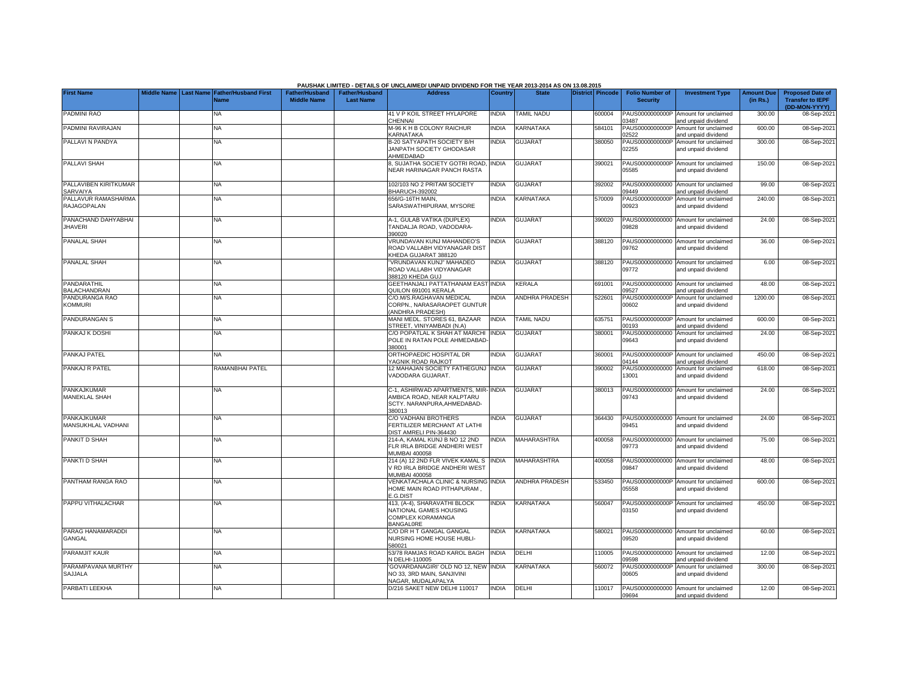|                                          |  |                                                               |                                             |                                           | PAUSHAK LIMITED - DETAILS OF UNCLAIMED/ UNPAID DIVIDEND FOR THE YEAR 2013-2014 AS ON 13.08.2015             |                |                       |                         |                                           |                                                             |                               |                                                    |
|------------------------------------------|--|---------------------------------------------------------------|---------------------------------------------|-------------------------------------------|-------------------------------------------------------------------------------------------------------------|----------------|-----------------------|-------------------------|-------------------------------------------|-------------------------------------------------------------|-------------------------------|----------------------------------------------------|
| <b>First Name</b>                        |  | Middle Name   Last Name   Father/Husband First<br><b>Name</b> | <b>Father/Husband</b><br><b>Middle Name</b> | <b>Father/Husband</b><br><b>Last Name</b> | <b>Address</b>                                                                                              | <b>Country</b> | <b>State</b>          | <b>District</b> Pincode | <b>Folio Number of</b><br><b>Security</b> | <b>Investment Type</b>                                      | <b>Amount Due</b><br>(in Rs.) | <b>Proposed Date of</b><br><b>Transfer to IEPF</b> |
| PADMINI RAO                              |  | NA                                                            |                                             |                                           | 41 V P KOIL STREET HYLAPORE<br>CHENNAI                                                                      | <b>INDIA</b>   | <b>TAMIL NADU</b>     | 600004                  | PAUS0000000000P<br>03487                  | Amount for unclaimed<br>and unpaid dividend                 | 300.00                        | (DD-MON-YYYY)<br>08-Sep-2021                       |
| PADMINI RAVIRAJAN                        |  | <b>NA</b>                                                     |                                             |                                           | M-96 K H B COLONY RAICHUR<br>KARNATAKA                                                                      | <b>INDIA</b>   | KARNATAKA             | 584101                  | PAUS0000000000P<br>02522                  | Amount for unclaimed<br>and unpaid dividend                 | 600.00                        | 08-Sep-2021                                        |
| PALLAVI N PANDYA                         |  | <b>NA</b>                                                     |                                             |                                           | B-20 SATYAPATH SOCIETY B/H<br>JANPATH SOCIETY GHODASAR<br>AHMEDABAD                                         | <b>INDIA</b>   | <b>GUJARAT</b>        | 380050                  | PAUS0000000000P<br>02255                  | Amount for unclaimed<br>and unpaid dividend                 | 300.00                        | 08-Sep-2021                                        |
| PALLAVI SHAH                             |  | ΝA                                                            |                                             |                                           | 3, SUJATHA SOCIETY GOTRI ROAD,<br>NEAR HARINAGAR PANCH RASTA                                                | <b>INDIA</b>   | <b>GUJARAT</b>        | 390021                  | 05585                                     | PAUS0000000000P Amount for unclaimed<br>and unpaid dividend | 150.00                        | 08-Sep-2021                                        |
| PALLAVIBEN KIRITKUMAR<br>SARVAIYA        |  | NA                                                            |                                             |                                           | 102/103 NO 2 PRITAM SOCIETY<br><b>BHARUCH-392002</b>                                                        | <b>INDIA</b>   | <b>GUJARAT</b>        | 392002                  | 09449                                     | PAUS00000000000 Amount for unclaimed<br>and unpaid dividend | 99.00                         | 08-Sep-2021                                        |
| PALLAVUR RAMASHARMA<br>RAJAGOPALAN       |  | NA                                                            |                                             |                                           | 656/G-16TH MAIN.<br>SARASWATHIPURAM, MYSORE                                                                 | <b>NDIA</b>    | KARNATAKA             | 570009                  | PAUS0000000000P<br>00923                  | Amount for unclaimed<br>and unpaid dividend                 | 240.00                        | 08-Sep-2021                                        |
| PANACHAND DAHYABHAI<br><b>JHAVERI</b>    |  | <b>NA</b>                                                     |                                             |                                           | A-1, GULAB VATIKA (DUPLEX)<br>TANDALJA ROAD, VADODARA-<br>390020                                            | <b>INDIA</b>   | <b>GUJARAT</b>        | 390020                  | 09828                                     | PAUS00000000000 Amount for unclaimed<br>and unpaid dividend | 24.00                         | 08-Sep-2021                                        |
| PANALAL SHAH                             |  | <b>NA</b>                                                     |                                             |                                           | VRUNDAVAN KUNJ MAHANDEO'S<br>ROAD VALLABH VIDYANAGAR DIST<br>KHEDA GUJARAT 388120                           | <b>INDIA</b>   | <b>GUJARAT</b>        | 388120                  | 09762                                     | PAUS00000000000 Amount for unclaimed<br>and unpaid dividend | 36.00                         | 08-Sep-2021                                        |
| PANALAL SHAH                             |  | <b>NA</b>                                                     |                                             |                                           | 'VRUNDAVAN KUNJ" MAHADEO<br>ROAD VALLABH VIDYANAGAR<br>388120 KHEDA GUJ                                     | <b>INDIA</b>   | <b>GUJARAT</b>        | 388120                  | 09772                                     | PAUS00000000000 Amount for unclaimed<br>and unpaid dividend | 6.00                          | 08-Sep-2021                                        |
| PANDARATHIL<br><b>BALACHANDRAN</b>       |  | <b>NA</b>                                                     |                                             |                                           | GEETHANJALI PATTATHANAM EAST INDIA<br>QUILON 691001 KERALA                                                  |                | KERALA                | 691001                  | 09527                                     | PAUS00000000000 Amount for unclaimed<br>and unpaid dividend | 48.00                         | 08-Sep-2021                                        |
| PANDURANGA RAO<br><b>KOMMURI</b>         |  | NA                                                            |                                             |                                           | C/O.M/S.RAGHAVAN MEDICAL<br>CORPN., NARASARAOPET GUNTUR<br>(ANDHRA PRADESH)                                 | NDIA           | ANDHRA PRADESH        | 522601                  | PAUS0000000000P<br>00602                  | Amount for unclaimed<br>and unpaid dividend                 | 1200.00                       | 08-Sep-2021                                        |
| <b>PANDURANGAN S</b>                     |  | <b>NA</b>                                                     |                                             |                                           | MANI MEDL. STORES 61, BAZAAR<br>STREET, VINIYAMBADI (N.A)                                                   | <b>NDIA</b>    | TAMIL NADU            | 635751                  | PAUS0000000000P<br>00193                  | Amount for unclaimed<br>and unpaid dividend                 | 600.00                        | 08-Sep-2021                                        |
| PANKAJ K DOSHI                           |  | NA                                                            |                                             |                                           | C/O POPATLAL K SHAH AT MARCHI<br>POLE IN RATAN POLE AHMEDABAD-<br>380001                                    | <b>INDIA</b>   | <b>GUJARAT</b>        | 380001                  | PAUS00000000000<br>09643                  | Amount for unclaimed<br>and unpaid dividend                 | 24.00                         | 08-Sep-2021                                        |
| PANKAJ PATEL                             |  | ΝA                                                            |                                             |                                           | ORTHOPAEDIC HOSPITAL DR<br>YAGNIK ROAD RAJKOT                                                               | <b>INDIA</b>   | <b>GUJARAT</b>        | 360001                  | 04144                                     | PAUS0000000000P Amount for unclaimed<br>and unpaid dividend | 450.00                        | 08-Sep-2021                                        |
| PANKAJ R PATEL                           |  | RAMANBHAI PATEL                                               |                                             |                                           | 12 MAHAJAN SOCIETY FATHEGUNJ INDIA<br>VADODARA GUJARAT.                                                     |                | <b>GUJARAT</b>        | 390002                  | PAUS00000000000<br>13001                  | Amount for unclaimed<br>and unpaid dividend                 | 618.00                        | 08-Sep-2021                                        |
| <b>PANKAJKUMAR</b><br>MANEKLAL SHAH      |  | NA                                                            |                                             |                                           | C-1, ASHIRWAD APARTMENTS, MIR- INDIA<br>AMBICA ROAD, NEAR KALPTARU<br>SCTY. NARANPURA, AHMEDABAD-<br>380013 |                | <b>GUJARAT</b>        | 380013                  | PAUS00000000000<br>09743                  | Amount for unclaimed<br>and unpaid dividend                 | 24.00                         | 08-Sep-2021                                        |
| <b>PANKAJKUMAR</b><br>MANSUKHLAL VADHANI |  | <b>NA</b>                                                     |                                             |                                           | C/O VADHANI BROTHERS<br>FERTILIZER MERCHANT AT LATHI<br>DIST AMRELI PIN-364430                              | INDIA          | <b>GUJARAT</b>        | 364430                  | 09451                                     | PAUS00000000000 Amount for unclaimed<br>and unpaid dividend | 24.00                         | 08-Sep-2021                                        |
| PANKIT D SHAH                            |  | <b>NA</b>                                                     |                                             |                                           | 214-A, KAMAL KUNJ B NO 12 2ND<br>FLR IRLA BRIDGE ANDHERI WEST<br>MUMBAI 400058                              | INDIA          | MAHARASHTRA           | 400058                  | 09773                                     | PAUS00000000000 Amount for unclaimed<br>and unpaid dividend | 75.00                         | 08-Sep-2021                                        |
| PANKTI D SHAH                            |  | <b>NA</b>                                                     |                                             |                                           | 214 (A) 12 2ND FLR VIVEK KAMAL S<br>V RD IRLA BRIDGE ANDHERI WEST<br><b>JUMBAI 400058</b>                   | <b>INDIA</b>   | <b>MAHARASHTRA</b>    | 400058                  | 09847                                     | PAUS00000000000 Amount for unclaimed<br>and unpaid dividend | 48.00                         | 08-Sep-2021                                        |
| PANTHAM RANGA RAO                        |  | <b>NA</b>                                                     |                                             |                                           | VENKATACHALA CLINIC & NURSING INDIA<br>HOME MAIN ROAD PITHAPURAM.<br>E.G.DIST                               |                | <b>ANDHRA PRADESH</b> | 533450                  | 05558                                     | PAUS0000000000P Amount for unclaimed<br>and unpaid dividend | 600.00                        | 08-Sep-2021                                        |
| PAPPU VITHALACHAR                        |  | NΑ                                                            |                                             |                                           | 413, (A-4), SHARAVATHI BLOCK<br>NATIONAL GAMES HOUSING<br>COMPLEX KORAMANGA<br><b>BANGALORE</b>             | <b>INDIA</b>   | KARNATAKA             | 560047                  | 03150                                     | PAUS0000000000P Amount for unclaimed<br>and unpaid dividend | 450.00                        | 08-Sep-2021                                        |
| PARAG HANAMARADDI<br><b>GANGAL</b>       |  | <b>NA</b>                                                     |                                             |                                           | C/O DR H T GANGAL GANGAL<br>NURSING HOME HOUSE HUBLI-<br>580021                                             | <b>INDIA</b>   | KARNATAKA             | 580021                  | 09520                                     | PAUS00000000000 Amount for unclaimed<br>and unpaid dividend | 60.00                         | 08-Sep-2021                                        |
| <b>PARAMJIT KAUR</b>                     |  | NA                                                            |                                             |                                           | 53/78 RAMJAS ROAD KAROL BAGH<br>N DELHI-110005                                                              | <b>INDIA</b>   | DELHI                 | 110005                  | 09598                                     | PAUS00000000000 Amount for unclaimed<br>and unpaid dividend | 12.00                         | 08-Sep-2021                                        |
| PARAMPAVANA MURTHY<br><b>SAJJALA</b>     |  | NA.                                                           |                                             |                                           | GOVARDANAGIRI' OLD NO 12, NEW INDIA<br>NO 33, 3RD MAIN, SANJIVINI<br>NAGAR, MUDALAPALYA                     |                | KARNATAKA             | 560072                  | PAUS0000000000P<br>00605                  | Amount for unclaimed<br>and unpaid dividend                 | 300.00                        | 08-Sep-2021                                        |
| PARBATI LEEKHA                           |  | NA                                                            |                                             |                                           | D/216 SAKET NEW DELHI 110017                                                                                | <b>INDIA</b>   | DELHI                 | 110017                  | 09694                                     | PAUS00000000000 Amount for unclaimed<br>and unpaid dividend | 12.00                         | 08-Sep-2021                                        |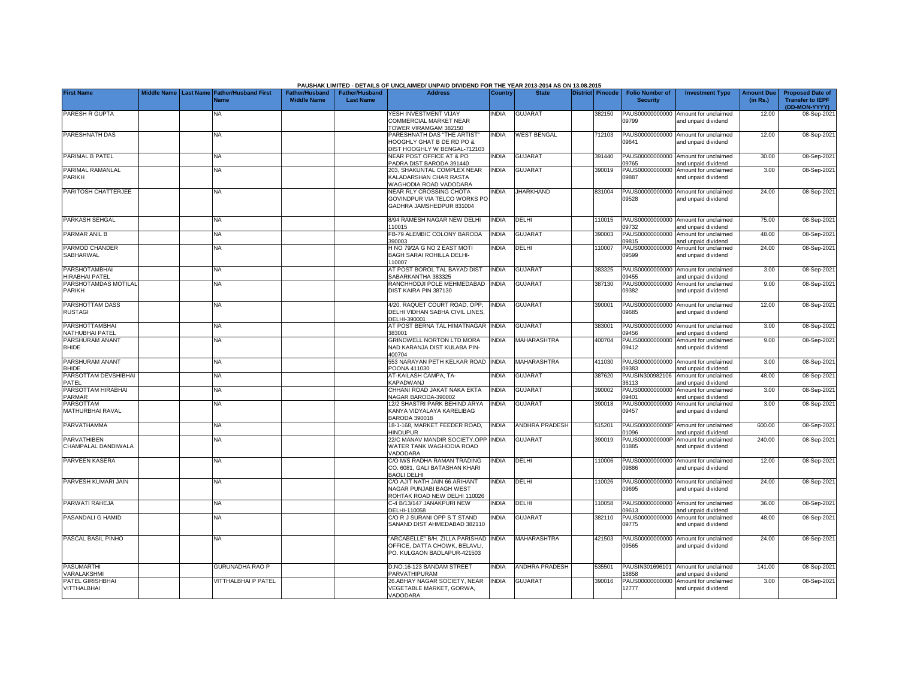|                                           |  |                                                    |                                             |                                           | PAUSHAK LIMITED - DETAILS OF UNCLAIMED/ UNPAID DIVIDEND FOR THE YEAR 2013-2014 AS ON 13.08.2015 |                |                       |                  |                                           |                                                             |                               |                                                                     |
|-------------------------------------------|--|----------------------------------------------------|---------------------------------------------|-------------------------------------------|-------------------------------------------------------------------------------------------------|----------------|-----------------------|------------------|-------------------------------------------|-------------------------------------------------------------|-------------------------------|---------------------------------------------------------------------|
| <b>First Name</b>                         |  | Middle Name Last Name Father/Husband First<br>Name | <b>Father/Husband</b><br><b>Middle Name</b> | <b>Father/Husband</b><br><b>Last Name</b> | <b>Address</b>                                                                                  | <b>Country</b> | <b>State</b>          | District Pincode | <b>Folio Number of</b><br><b>Security</b> | <b>Investment Type</b>                                      | <b>Amount Due</b><br>(in Rs.) | <b>Proposed Date of</b><br><b>Transfer to IEPF</b><br>(DD-MON-YYYY) |
| PARESH R GUPTA                            |  | <b>NA</b>                                          |                                             |                                           | YESH INVESTMENT VIJAY<br><b>COMMERCIAL MARKET NEAR</b><br>TOWER VIRAMGAM 382150                 | <b>INDIA</b>   | <b>GUJARAT</b>        | 382150           | 09799                                     | PAUS00000000000 Amount for unclaimed<br>and unpaid dividend | 12.00                         | 08-Sep-2021                                                         |
| PARESHNATH DAS                            |  | NA                                                 |                                             |                                           | PARESHNATH DAS "THE ARTIST"<br>HOOGHLY GHAT B DE RD PO &<br>DIST HOOGHLY W BENGAL-712103        | <b>INDIA</b>   | <b>WEST BENGAL</b>    | 712103           | 09641                                     | PAUS00000000000 Amount for unclaimed<br>and unpaid dividend | 12.00                         | 08-Sep-2021                                                         |
| PARIMAL B PATEL                           |  | NA                                                 |                                             |                                           | NEAR POST OFFICE AT & PO<br>PADRA DIST BARODA 391440                                            | <b>INDIA</b>   | <b>GUJARAT</b>        | 391440           | 09765                                     | PAUS00000000000 Amount for unclaimed<br>and unpaid dividend | 30.00                         | 08-Sep-2021                                                         |
| PARIMAL RAMANLAL<br>PARIKH                |  | NA                                                 |                                             |                                           | 203, SHAKUNTAL COMPLEX NEAR<br>KALADARSHAN CHAR RASTA<br>WAGHODIA ROAD VADODARA                 | <b>INDIA</b>   | GUJARAT               | 390019           | PAUS00000000000<br>09887                  | Amount for unclaimed<br>and unpaid dividend                 | 3.00                          | 08-Sep-2021                                                         |
| PARITOSH CHATTERJEE                       |  | NA                                                 |                                             |                                           | NEAR RLY CROSSING CHOTA<br>GOVINDPUR VIA TELCO WORKS PO<br>GADHRA JAMSHEDPUR 831004             | <b>INDIA</b>   | <b>JHARKHAND</b>      | 831004           | 09528                                     | PAUS00000000000 Amount for unclaimed<br>and unpaid dividend | 24.00                         | 08-Sep-2021                                                         |
| PARKASH SEHGAL                            |  | NA                                                 |                                             |                                           | 8/94 RAMESH NAGAR NEW DELHI<br>110015                                                           | <b>INDIA</b>   | DELHI                 | 110015           | 09732                                     | PAUS00000000000 Amount for unclaimed<br>and unpaid dividend | 75.00                         | 08-Sep-2021                                                         |
| PARMAR ANIL B                             |  | <b>NA</b>                                          |                                             |                                           | FB-79 ALEMBIC COLONY BARODA<br>390003                                                           | <b>INDIA</b>   | <b>GUJARAT</b>        | 390003           | PAUS00000000000<br>09815                  | Amount for unclaimed<br>and unpaid dividend                 | 48.00                         | 08-Sep-2021                                                         |
| PARMOD CHANDER<br>SABHARWAL               |  | NA                                                 |                                             |                                           | H NO 79/2A G NO 2 EAST MOTI<br>BAGH SARAI ROHILLA DELHI-<br>110007                              | <b>INDIA</b>   | DELHI                 | 110007           | PAUS00000000000<br>09599                  | Amount for unclaimed<br>and unpaid dividend                 | 24.00                         | 08-Sep-2021                                                         |
| PARSHOTAMBHAI<br>HIRABHAI PATEL           |  | NA                                                 |                                             |                                           | AT POST BOROL TAL BAYAD DIST<br>SABARKANTHA 383325                                              | <b>INDIA</b>   | <b>GUJARAT</b>        | 383325           | PAUS00000000000<br>09455                  | Amount for unclaimed<br>and unpaid dividend                 | 3.00                          | 08-Sep-2021                                                         |
| PARSHOTAMDAS MOTILAL<br>PARIKH            |  | <b>NA</b>                                          |                                             |                                           | RANCHHODJI POLE MEHMEDABAD INDIA<br>DIST KAIRA PIN 387130                                       |                | <b>GUJARAT</b>        | 387130           | PAUS00000000000<br>09382                  | Amount for unclaimed<br>and unpaid dividend                 | 9.00                          | 08-Sep-2021                                                         |
| PARSHOTTAM DASS<br><b>RUSTAGI</b>         |  | <b>NA</b>                                          |                                             |                                           | 4/20, RAQUET COURT ROAD, OPP;<br>DELHI VIDHAN SABHA CIVIL LINES,<br>DELHI-390001                | <b>INDIA</b>   | <b>GUJARAT</b>        | 390001           | 09685                                     | PAUS00000000000 Amount for unclaimed<br>and unpaid dividend | 12.00                         | 08-Sep-2021                                                         |
| <b>PARSHOTTAMBHAI</b><br>NATHUBHAI PATEL  |  | <b>NA</b>                                          |                                             |                                           | AT POST BERNA TAL HIMATNAGAR<br>383001                                                          | <b>INDIA</b>   | <b>GUJARAT</b>        | 383001           | PAUS00000000000<br>09456                  | Amount for unclaimed<br>and unpaid dividend                 | 3.00                          | 08-Sep-2021                                                         |
| PARSHURAM ANANT<br><b>BHIDE</b>           |  | <b>NA</b>                                          |                                             |                                           | GRINDWELL NORTON LTD MORA<br>NAD KARANJA DIST KULABA PIN-<br>400704                             | <b>INDIA</b>   | MAHARASHTRA           | 400704           | PAUS00000000000<br>09412                  | Amount for unclaimed<br>and unpaid dividend                 | 9.00                          | 08-Sep-2021                                                         |
| PARSHURAM ANANT<br><b>BHIDE</b>           |  | NA                                                 |                                             |                                           | 553 NARAYAN PETH KELKAR ROAD<br>POONA 411030                                                    | <b>INDIA</b>   | MAHARASHTRA           | 411030           | 09383                                     | PAUS00000000000 Amount for unclaimed<br>and unpaid dividend | 3.00                          | 08-Sep-2021                                                         |
| PARSOTTAM DEVSHIBHAI<br>PATEL             |  | NA                                                 |                                             |                                           | AT-KAILASH CAMPA, TA-<br>KAPADWANJ                                                              | <b>NDIA</b>    | <b>GUJARAT</b>        | 387620           | PAUSIN300982106<br>36113                  | Amount for unclaimed<br>and unpaid dividend                 | 48.00                         | 08-Sep-2021                                                         |
| PARSOTTAM HIRABHAI<br>PARMAR              |  | NA                                                 |                                             |                                           | CHHANI ROAD JAKAT NAKA EKTA<br>NAGAR BARODA-390002                                              | <b>INDIA</b>   | <b>GUJARAT</b>        | 390002           | PAUS00000000000<br>09401                  | Amount for unclaimed<br>and unpaid dividend                 | 3.00                          | 08-Sep-2021                                                         |
| PARSOTTAM<br>MATHURBHAI RAVAL             |  | <b>NA</b>                                          |                                             |                                           | 12/2 SHASTRI PARK BEHIND ARYA<br>KANYA VIDYALAYA KARELIBAG<br><b>BARODA 390018</b>              | <b>INDIA</b>   | <b>GUJARAT</b>        | 390018           | PAUS00000000000<br>09457                  | Amount for unclaimed<br>and unpaid dividend                 | 3.00                          | 08-Sep-2021                                                         |
| PARVATHAMMA                               |  | <b>NA</b>                                          |                                             |                                           | 18-1-168. MARKET FEEDER ROAD.<br><b>HINDUPUR</b>                                                | <b>INDIA</b>   | ANDHRA PRADESH        | 515201           | 01096                                     | PAUS0000000000P Amount for unclaimed<br>and unpaid dividend | 600.00                        | 08-Sep-2021                                                         |
| <b>PARVATHIBEN</b><br>CHAMPALAL DANDIWALA |  | NA                                                 |                                             |                                           | 22/C MANAV MANDIR SOCIETY, OPP<br>WATER TANK WAGHODIA ROAD<br>VADODARA                          | <b>INDIA</b>   | <b>GUJARAT</b>        | 390019           | PAUS0000000000P<br>01885                  | Amount for unclaimed<br>and unpaid dividend                 | 240.00                        | 08-Sep-2021                                                         |
| <b>PARVEEN KASERA</b>                     |  | <b>NA</b>                                          |                                             |                                           | C/O M/S RADHA RAMAN TRADING<br>CO. 6081, GALI BATASHAN KHARI<br><b>BAOLI DELHI</b>              | <b>INDIA</b>   | DELHI                 | 110006           | 09886                                     | PAUS00000000000 Amount for unclaimed<br>and unpaid dividend | 12.00                         | 08-Sep-2021                                                         |
| PARVESH KUMARI JAIN                       |  | <b>NA</b>                                          |                                             |                                           | C/O AJIT NATH JAIN 66 ARIHANT<br>NAGAR PUNJABI BAGH WEST<br>ROHTAK ROAD NEW DELHI 110026        | <b>INDIA</b>   | DELHI                 | 110026           | 09695                                     | PAUS00000000000 Amount for unclaimed<br>and unpaid dividend | 24.00                         | 08-Sep-2021                                                         |
| PARWATI RAHEJA                            |  | <b>NA</b>                                          |                                             |                                           | C-4 B/13/147 JANAKPURI NEW<br>DELHI-110058                                                      | <b>INDIA</b>   | DELHI                 | 110058           | PAUS00000000000<br>09613                  | Amount for unclaimed<br>and unpaid dividend                 | 36.00                         | 08-Sep-2021                                                         |
| PASANDALI G HAMID                         |  | <b>NA</b>                                          |                                             |                                           | C/O R J SURANI OPP S T STAND<br>SANAND DIST AHMEDABAD 382110                                    | INDIA          | <b>GUJARAT</b>        | 382110           | PAUS00000000000<br>09775                  | Amount for unclaimed<br>and unpaid dividend                 | 48.00                         | 08-Sep-2021                                                         |
| PASCAL BASIL PINHO                        |  | NA.                                                |                                             |                                           | 'ARCABELLE" B/H. ZILLA PARISHAD<br>OFFICE, DATTA CHOWK, BELAVLI,<br>PO. KULGAON BADLAPUR-421503 | <b>INDIA</b>   | <b>MAHARASHTRA</b>    | 421503           | 09565                                     | PAUS00000000000 Amount for unclaimed<br>and unpaid dividend | 24.00                         | 08-Sep-2021                                                         |
| <b>PASUMARTHI</b><br>VARALAKSHMI          |  | GURUNADHA RAO P                                    |                                             |                                           | D.NO.16-123 BANDAM STREET<br>PARVATHIPURAM                                                      | <b>NDIA</b>    | <b>ANDHRA PRADESH</b> | 535501           | PAUSIN301696101<br>8858                   | Amount for unclaimed<br>and unpaid dividend                 | 141.00                        | 08-Sep-2021                                                         |
| PATEL GIRISHBHAI<br>VITTHALBHAI           |  | <b>/ITTHALBHAI P PATEL</b>                         |                                             |                                           | 26.ABHAY NAGAR SOCIETY, NEAR<br>VEGETABLE MARKET, GORWA,<br>VADODARA.                           | <b>INDIA</b>   | GUJARA1               | 390016           | PAUS00000000000<br>12777                  | Amount for unclaimed<br>and unpaid dividend                 | 3.00                          | 08-Sep-2021                                                         |

**PAUSHAK LIMITED - DETAILS OF UNCLAIMED/ UNPAID DIVIDEND FOR THE YEAR 2013-2014 AS ON 13.08.2015**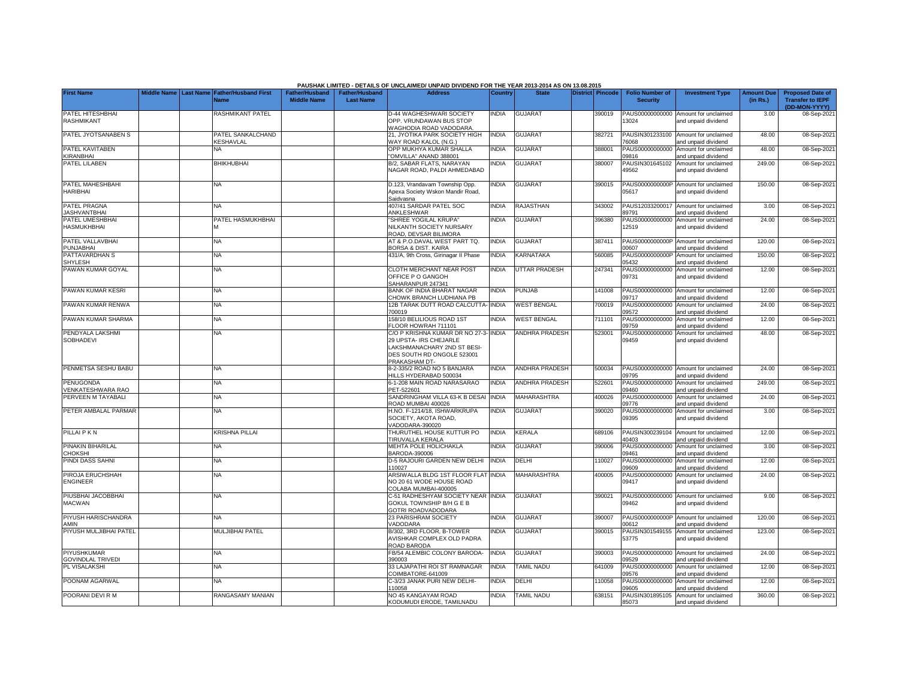|                                            |                    |                                               |                                             |                                           | PAUSHAK LIMITED - DETAILS OF UNCLAIMED/ UNPAID DIVIDEND FOR THE YEAR 2013-2014 AS ON 13.08.2015                                               |                |                       |                         |                                           |                                                             |                               |                                                                     |
|--------------------------------------------|--------------------|-----------------------------------------------|---------------------------------------------|-------------------------------------------|-----------------------------------------------------------------------------------------------------------------------------------------------|----------------|-----------------------|-------------------------|-------------------------------------------|-------------------------------------------------------------|-------------------------------|---------------------------------------------------------------------|
| <b>First Name</b>                          | <b>Middle Name</b> | <b>Last Name Father/Husband First</b><br>Jame | <b>Father/Husband</b><br><b>Middle Name</b> | <b>Father/Husband</b><br><b>Last Name</b> | <b>Address</b>                                                                                                                                | <b>Country</b> | <b>State</b>          | <b>District Pincode</b> | <b>Folio Number of</b><br><b>Security</b> | <b>Investment Type</b>                                      | <b>Amount Due</b><br>(in Rs.) | <b>Proposed Date of</b><br><b>Transfer to IEPF</b><br>(DD-MON-YYYY) |
| PATEL HITESHBHAI<br><b>RASHMIKANT</b>      |                    | RASHMIKANT PATEL                              |                                             |                                           | D-44 WAGHESHWARI SOCIETY<br>OPP. VRUNDAWAN BUS STOP<br>WAGHODIA ROAD VADODARA                                                                 | INDIA          | <b>GUJARAT</b>        | 390019                  | PAUS00000000000<br>13024                  | Amount for unclaimed<br>and unpaid dividend                 | 3.00                          | 08-Sep-202                                                          |
| PATEL JYOTSANABEN S                        |                    | PATEL SANKALCHAND<br>KESHAVLAL                |                                             |                                           | 21. JYOTIKA PARK SOCIETY HIGH<br><b>NAY ROAD KALOL (N.G.)</b>                                                                                 | <b>INDIA</b>   | <b>GUJARAT</b>        | 382721                  | PAUSIN301233100<br>76068                  | Amount for unclaimed<br>and unpaid dividend                 | 48.00                         | 08-Sep-202                                                          |
| PATEL KAVITABEN<br><b>KIRANBHAI</b>        |                    | <b>NA</b>                                     |                                             |                                           | OPP MUKHYA KUMAR SHALLA<br>'OMVILLA" ANAND 388001                                                                                             | <b>INDIA</b>   | GUJARAT               | 388001                  | PAUS00000000000<br>09816                  | Amount for unclaimed<br>and unpaid dividend                 | 48.00                         | 08-Sep-202                                                          |
| PATEL LILABEN                              |                    | <b>BHIKHUBHAI</b>                             |                                             |                                           | B/2, SABAR FLATS, NARAYAN<br>NAGAR ROAD, PALDI AHMEDABAD                                                                                      | NDIA           | <b>GUJARAT</b>        | 380007                  | PAUSIN301645102<br>19562                  | Amount for unclaimed<br>and unpaid dividend                 | 249.00                        | 08-Sep-2021                                                         |
| PATEL MAHESHBAHI<br><b>HARIBHAI</b>        |                    | <b>NA</b>                                     |                                             |                                           | D.123, Vrandavam Township Opp.<br>Apexa Society Wskon Mandir Road,<br>Saidvasna                                                               | NDIA           | <b>GUJARAT</b>        | 390015                  | 05617                                     | PAUS0000000000P Amount for unclaimed<br>and unpaid dividend | 150.00                        | 08-Sep-202                                                          |
| <b>PATEL PRAGNA</b><br><b>JASHVANTBHAI</b> |                    | <b>NA</b>                                     |                                             |                                           | 407/41 SARDAR PATEL SOC<br>ANKLESHWAR                                                                                                         | <b>INDIA</b>   | RAJASTHAN             | 343002                  | PAUS12033200017<br>9791                   | Amount for unclaimed<br>and unpaid dividend                 | 3.00                          | 08-Sep-202                                                          |
| PATEL UMESHBHAI<br><b>HASMUKHBHAI</b>      |                    | PATEL HASMUKHBHAI<br>M                        |                                             |                                           | 'SHREE YOGILAL KRUPA"<br>NILKANTH SOCIETY NURSARY<br>ROAD, DEVSAR BILIMORA                                                                    | <b>NDIA</b>    | <b>GUJARAT</b>        | 396380                  | PAUS00000000000<br>12519                  | Amount for unclaimed<br>and unpaid dividend                 | 24.00                         | 08-Sep-2021                                                         |
| PATEL VALLAVBHAI<br>PUNJABHAI              |                    | <b>NA</b>                                     |                                             |                                           | AT & P.O.DAVAL WEST PART TQ.<br>BORSA & DIST. KAIRA                                                                                           | <b>INDIA</b>   | <b>GUJARAT</b>        | 387411                  | PAUS0000000000P<br>0607                   | Amount for unclaimed<br>and unpaid dividend                 | 120.00                        | 08-Sep-202                                                          |
| PATTAVARDHAN S<br><b>SHYLESH</b>           |                    | <b>NA</b>                                     |                                             |                                           | 431/A, 9th Cross, Girinagar II Phase                                                                                                          | <b>INDIA</b>   | KARNATAKA             | 560085                  | PAUS0000000000P<br>5432                   | Amount for unclaimed<br>and unpaid dividend                 | 150.00                        | 08-Sep-202                                                          |
| PAWAN KUMAR GOYAL                          |                    | <b>NA</b>                                     |                                             |                                           | CLOTH MERCHANT NEAR POST<br>OFFICE P O GANGOH<br>SAHARANPUR 247341                                                                            | <b>INDIA</b>   | UTTAR PRADESH         | 247341                  | PAUS00000000000<br>09731                  | Amount for unclaimed<br>and unpaid dividend                 | 12.00                         | 08-Sep-202                                                          |
| PAWAN KUMAR KESRI                          |                    | <b>NA</b>                                     |                                             |                                           | <b>BANK OF INDIA BHARAT NAGAR</b><br><b>CHOWK BRANCH LUDHIANA PB</b>                                                                          | <b>NDIA</b>    | <b>PUNJAB</b>         | 141008                  | PAUS00000000000<br>9717                   | Amount for unclaimed<br>and unpaid dividend                 | 12.00                         | 08-Sep-202                                                          |
| PAWAN KUMAR RENWA                          |                    | <b>NA</b>                                     |                                             |                                           | 12B TARAK DUTT ROAD CALCUTTA-<br>700019                                                                                                       | <b>INDIA</b>   | <b>WEST BENGAL</b>    | 700019                  | PAUS00000000000<br>09572                  | Amount for unclaimed<br>and unpaid dividend                 | 24.00                         | 08-Sep-202                                                          |
| PAWAN KUMAR SHARMA                         |                    | <b>NA</b>                                     |                                             |                                           | 158/10 BELILIOUS ROAD 1ST<br>FLOOR HOWRAH 711101                                                                                              | <b>INDIA</b>   | <b>WEST BENGAL</b>    | 711101                  | PAUS00000000000<br>09759                  | Amount for unclaimed<br>and unpaid dividend                 | 12.00                         | 08-Sep-202                                                          |
| PENDYALA LAKSHMI<br><b>SOBHADEVI</b>       |                    | NA                                            |                                             |                                           | C/O P KRISHNA KUMAR DR NO 27-3- INDIA<br>29 UPSTA- IRS CHEJARLE<br>LAKSHMANACHARY 2ND ST BESI-<br>DES SOUTH RD ONGOLE 523001<br>PRAKASHAM DT- |                | <b>ANDHRA PRADESH</b> | 523001                  | PAUS00000000000<br>09459                  | Amount for unclaimed<br>and unpaid dividend                 | 48.00                         | 08-Sep-202                                                          |
| PENMETSA SESHU BABU                        |                    | <b>NA</b>                                     |                                             |                                           | 8-2-335/2 ROAD NO 5 BANJARA<br>HILLS HYDERABAD 500034                                                                                         | <b>NDIA</b>    | <b>ANDHRA PRADESH</b> | 500034                  | PAUS00000000000<br>09795                  | Amount for unclaimed<br>and unpaid dividend                 | 24.00                         | 08-Sep-202                                                          |
| PENUGONDA<br>VENKATESHWARA RAO             |                    | NA                                            |                                             |                                           | 6-1-208 MAIN ROAD NARASARAO<br>PET-522601                                                                                                     | <b>INDIA</b>   | ANDHRA PRADESH        | 522601                  | PAUS00000000000<br>09460                  | Amount for unclaimed<br>and unpaid dividend                 | 249.00                        | 08-Sep-202                                                          |
| PERVEEN M TAYABALI                         |                    | NA                                            |                                             |                                           | SANDRINGHAM VILLA 63-K B DESAI<br>ROAD MUMBAI 400026                                                                                          | <b>INDIA</b>   | MAHARASHTRA           | 400026                  | PAUS00000000000<br>09776                  | Amount for unclaimed<br>and unpaid dividend                 | 24.00                         | 08-Sep-202                                                          |
| PETER AMBALAL PARMAR                       |                    | NA.                                           |                                             |                                           | H.NO. F-1214/18, ISHWARKRUPA<br>SOCIETY, AKOTA ROAD,<br>VADODARA-390020                                                                       | <b>INDIA</b>   | <b>GUJARAT</b>        | 390020                  | PAUS00000000000<br>09395                  | Amount for unclaimed<br>and unpaid dividend                 | 3.00                          | 08-Sep-202                                                          |
| PILLAI P K N                               |                    | <b>KRISHNA PILLAI</b>                         |                                             |                                           | THURUTHEL HOUSE KUTTUR PO<br><b>TIRUVALLA KERALA</b>                                                                                          | INDIA          | KERALA                | 689106                  | 10403                                     | PAUSIN300239104 Amount for unclaimed<br>and unpaid dividend | 12.00                         | 08-Sep-202                                                          |
| PINAKIN BIHARILAL<br>CHOKSHI               |                    | NA                                            |                                             |                                           | MEHTA POLE HOLICHAKLA<br>BARODA-390006                                                                                                        | <b>NDIA</b>    | <b>GUJARAT</b>        | 390006                  | PAUS00000000000<br>09461                  | Amount for unclaimed<br>and unpaid dividend                 | 3.00                          | 08-Sep-202                                                          |
| PINDI DASS SAHNI                           |                    | <b>NA</b>                                     |                                             |                                           | D-5 RAJOURI GARDEN NEW DELHI<br>110027                                                                                                        | <b>INDIA</b>   | DELHI                 | 110027                  | PAUS00000000000<br>09609                  | Amount for unclaimed<br>and unpaid dividend                 | 12.00                         | 08-Sep-202                                                          |
| PIROJA ERUCHSHAH<br><b>ENGINEER</b>        |                    | <b>NA</b>                                     |                                             |                                           | ARSIWALLA BLDG 1ST FLOOR FLAT INDIA<br>NO 20 61 WODE HOUSE ROAD<br>COLABA MUMBAI-400005                                                       |                | MAHARASHTRA           | 400005                  | PAUS00000000000<br>09417                  | Amount for unclaimed<br>and unpaid dividend                 | 24.00                         | 08-Sep-2021                                                         |
| PIUSBHAI JACOBBHAI<br><b>MACWAN</b>        |                    | <b>NA</b>                                     |                                             |                                           | C-51 RADHESHYAM SOCIETY NEAR INDIA<br>GOKUL TOWNSHIP B/H G E B<br>GOTRI ROADVADODARA                                                          |                | <b>GUJARAT</b>        | 390021                  | 09462                                     | PAUS00000000000 Amount for unclaimed<br>and unpaid dividend | 9.00                          | 08-Sep-2021                                                         |
| PIYUSH HARISCHANDRA<br>AMIN                |                    | NA.                                           |                                             |                                           | 23 PARISHRAM SOCIETY<br>VADODARA                                                                                                              | <b>INDIA</b>   | <b>GUJARAT</b>        | 390007                  | 00612                                     | PAUS0000000000P Amount for unclaimed<br>and unpaid dividend | 120.00                        | 08-Sep-202                                                          |
| PIYUSH MULJIBHAI PATEL                     |                    | MULJIBHAI PATEL                               |                                             |                                           | B/302, 3RD FLOOR, B-TOWER<br>AVISHKAR COMPLEX OLD PADRA<br>ROAD BARODA                                                                        | INDIA          | <b>GUJARAT</b>        | 390015                  | 53775                                     | PAUSIN301549155 Amount for unclaimed<br>and unpaid dividend | 123.00                        | 08-Sep-2021                                                         |
| PIYUSHKUMAR<br><b>GOVINDLAL TRIVEDI</b>    |                    | <b>NA</b>                                     |                                             |                                           | FB/54 ALEMBIC COLONY BARODA-<br>390003                                                                                                        | <b>INDIA</b>   | <b>GUJARAT</b>        | 390003                  | 09529                                     | PAUS00000000000 Amount for unclaimed<br>and unpaid dividend | 24.00                         | 08-Sep-202                                                          |
| PL VISALAKSHI                              |                    | <b>NA</b>                                     |                                             |                                           | 33 LAJAPATHI ROI ST RAMNAGAR<br>COIMBATORE-641009                                                                                             | <b>INDIA</b>   | <b>TAMIL NADU</b>     | 641009                  | PAUS00000000000<br>09576                  | Amount for unclaimed<br>and unpaid dividend                 | 12.00                         | 08-Sep-202                                                          |
| POONAM AGARWAL                             |                    | <b>NA</b>                                     |                                             |                                           | C-3/23 JANAK PURI NEW DELHI-<br>110058                                                                                                        | <b>INDIA</b>   | DELHI                 | 110058                  | PAUS00000000000<br>09605                  | Amount for unclaimed<br>and unpaid dividend                 | 12.00                         | 08-Sep-202                                                          |
| POORANI DEVI R M                           |                    | RANGASAMY MANIAN                              |                                             |                                           | NO 45 KANGAYAM ROAD<br>KODUMUDI ERODE, TAMILNADU                                                                                              | <b>INDIA</b>   | <b>TAMIL NADU</b>     | 638151                  | 85073                                     | PAUSIN301895105 Amount for unclaimed<br>and unpaid dividend | 360.00                        | 08-Sep-202                                                          |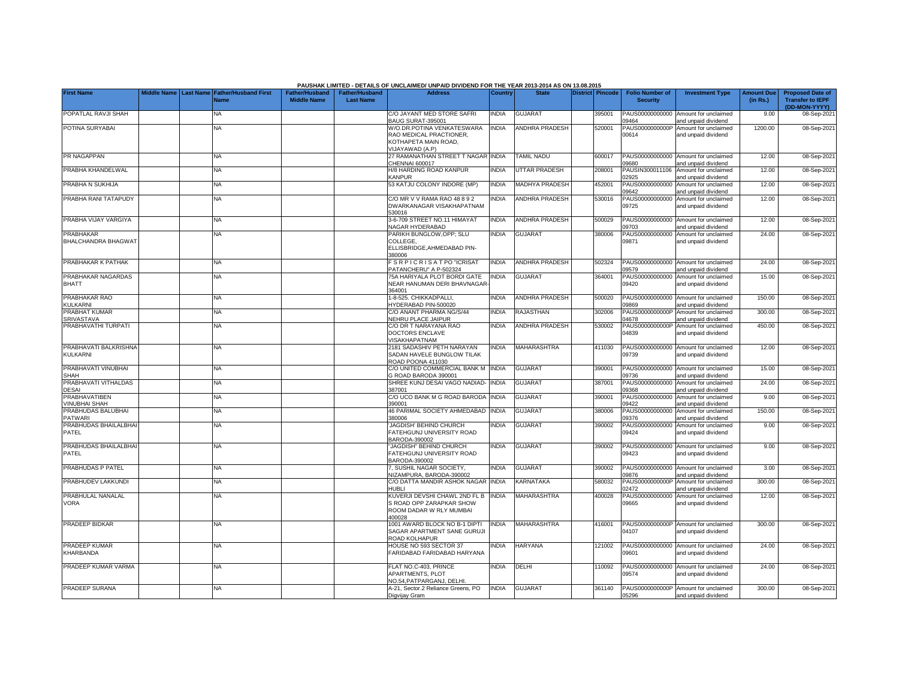|                                              |             |                  |                                            |                                             |                                           | PAUSHAK LIMITED - DETAILS OF UNCLAIMED/ UNPAID DIVIDEND FOR THE YEAR 2013-2014 AS ON 13.08.2015  |              |                       |                  |                                           |                                                             |                               |                                                                     |
|----------------------------------------------|-------------|------------------|--------------------------------------------|---------------------------------------------|-------------------------------------------|--------------------------------------------------------------------------------------------------|--------------|-----------------------|------------------|-------------------------------------------|-------------------------------------------------------------|-------------------------------|---------------------------------------------------------------------|
| <b>First Name</b>                            | Middle Name | <b>Last Name</b> | <b>Father/Husband First</b><br><b>Name</b> | <b>Father/Husband</b><br><b>Middle Name</b> | <b>Father/Husband</b><br><b>Last Name</b> | <b>Address</b>                                                                                   | Country      | <b>State</b>          | District Pincode | <b>Folio Number of</b><br><b>Security</b> | <b>Investment Type</b>                                      | <b>Amount Due</b><br>(in Rs.) | <b>Proposed Date of</b><br><b>Transfer to IEPF</b><br>(DD-MON-YYYY) |
| POPATLAL RAVJI SHAH                          |             |                  | NA                                         |                                             |                                           | C/O JAYANT MED STORE SAFRI<br>BAUG SURAT-395001                                                  | <b>INDIA</b> | <b>GUJARAT</b>        | 395001           | PAUS00000000000<br>09464                  | Amount for unclaimed<br>and unpaid dividend                 | 9.00                          | 08-Sep-2021                                                         |
| POTINA SURYABAI                              |             |                  | <b>NA</b>                                  |                                             |                                           | W/O.DR.POTINA VENKATESWARA<br>RAO MEDICAL PRACTIONER,<br>KOTHAPETA MAIN ROAD.<br>VIJAYAWAD (A.P) | <b>INDIA</b> | ANDHRA PRADESH        | 520001           | PAUS0000000000P<br>00614                  | Amount for unclaimed<br>and unpaid dividend                 | 1200.00                       | 08-Sep-2021                                                         |
| PR NAGAPPAN                                  |             |                  | <b>NA</b>                                  |                                             |                                           | 27 RAMANATHAN STREET T NAGAR INDIA<br>CHENNAI 600017                                             |              | <b>TAMIL NADU</b>     | 600017           | PAUS00000000000<br>09680                  | Amount for unclaimed<br>and unpaid dividend                 | 12.00                         | 08-Sep-2021                                                         |
| PRABHA KHANDELWAL                            |             |                  | NA                                         |                                             |                                           | H/8 HARDING ROAD KANPUR<br>KANPUR                                                                | <b>INDIA</b> | <b>UTTAR PRADESH</b>  | 208001           | PAUSIN300011106<br>02925                  | Amount for unclaimed<br>and unpaid dividend                 | 12.00                         | 08-Sep-202                                                          |
| PRABHA N SUKHIJA                             |             |                  | NA                                         |                                             |                                           | 53 KATJU COLONY INDORE (MP)                                                                      | <b>INDIA</b> | <b>MADHYA PRADESH</b> | 452001           | PAUS00000000000<br>09642                  | Amount for unclaimed<br>and unpaid dividend                 | 12.00                         | 08-Sep-2021                                                         |
| PRABHA RANI TATAPUDY                         |             |                  | <b>NA</b>                                  |                                             |                                           | C/O MR V V RAMA RAO 48 8 9 2<br>DWARKANAGAR VISAKHAPATNAM<br>530016                              | <b>NDIA</b>  | <b>ANDHRA PRADESH</b> | 530016           | PAUS00000000000<br>09725                  | Amount for unclaimed<br>and unpaid dividend                 | 12.00                         | 08-Sep-2021                                                         |
| PRABHA VIJAY VARGIYA                         |             |                  | NA                                         |                                             |                                           | 3-6-709 STREET NO.11 HIMAYAT<br>NAGAR HYDERABAD                                                  | <b>INDIA</b> | <b>ANDHRA PRADESH</b> | 500029           | PAUS00000000000<br>09703                  | Amount for unclaimed<br>and unpaid dividend                 | 12.00                         | 08-Sep-2021                                                         |
| <b>PRABHAKAR</b><br>BHALCHANDRA BHAGWAT      |             |                  | <b>NA</b>                                  |                                             |                                           | PARIKH BUNGLOW, OPP; SLU<br>COLLEGE,<br>ELLISBRIDGE, AHMEDABAD PIN-<br>380006                    | <b>INDIA</b> | <b>GUJARAT</b>        | 380006           | PAUS00000000000<br>09871                  | Amount for unclaimed<br>and unpaid dividend                 | 24.00                         | 08-Sep-2021                                                         |
| PRABHAKAR K PATHAK                           |             |                  | <b>NA</b>                                  |                                             |                                           | <b>SRPICRISATPO "ICRISAT"</b><br>PATANCHERU" A P-502324                                          | <b>INDIA</b> | <b>ANDHRA PRADESH</b> | 502324           | PAUS00000000000<br>09579                  | Amount for unclaimed<br>nd unpaid dividend                  | 24.00                         | 08-Sep-2021                                                         |
| PRABHAKAR NAGARDAS<br><b>BHATT</b>           |             |                  | NΑ                                         |                                             |                                           | 75A HARIYALA PLOT BORDI GATE<br>NEAR HANUMAN DERI BHAVNAGAR<br>364001                            | <b>NDIA</b>  | <b>GUJARAT</b>        | 364001           | PAUS00000000000<br>09420                  | Amount for unclaimed<br>and unpaid dividend                 | 15.00                         | 08-Sep-2021                                                         |
| PRABHAKAR RAO<br>KULKARNI                    |             |                  | <b>NA</b>                                  |                                             |                                           | 1-8-525. CHIKKADPALLI,<br>HYDERABAD PIN-500020                                                   | <b>INDIA</b> | <b>ANDHRA PRADESH</b> | 500020           | 09869                                     | PAUS00000000000 Amount for unclaimed<br>and unpaid dividend | 150.00                        | 08-Sep-2021                                                         |
| PRABHAT KUMAR<br><b>SRIVASTAVA</b>           |             |                  | <b>NA</b>                                  |                                             |                                           | C/O ANANT PHARMA NG/S/44<br>NEHRU PLACE JAIPUR                                                   | <b>INDIA</b> | <b>RAJASTHAN</b>      | 302006           | PAUS0000000000P<br>04678                  | Amount for unclaimed<br>and unpaid dividend                 | 300.00                        | 08-Sep-2021                                                         |
| PRABHAVATHI TURPATI                          |             |                  | <b>NA</b>                                  |                                             |                                           | C/O DR T NARAYANA RAO<br>DOCTORS ENCLAVE<br>VISAKHAPATNAM                                        | <b>INDIA</b> | <b>ANDHRA PRADESH</b> | 530002           | PAUS0000000000P<br>04839                  | Amount for unclaimed<br>and unpaid dividend                 | 450.00                        | 08-Sep-2021                                                         |
| PRABHAVATI BALKRISHNA<br>KULKARNI            |             |                  | NA                                         |                                             |                                           | 2181 SADASHIV PETH NARAYAN<br>SADAN HAVELE BUNGLOW TILAK<br>ROAD POONA 411030                    | <b>NDIA</b>  | <b>MAHARASHTRA</b>    | 411030           | PAUS00000000000<br>09739                  | Amount for unclaimed<br>and unpaid dividend                 | 12.00                         | 08-Sep-2021                                                         |
| PRABHAVATI VINUBHAI<br><b>SHAH</b>           |             |                  | NA                                         |                                             |                                           | C/O UNITED COMMERCIAL BANK M<br>G ROAD BARODA 390001                                             | <b>INDIA</b> | <b>GUJARAT</b>        | 390001           | PAUS00000000000<br>09736                  | Amount for unclaimed<br>and unpaid dividend                 | 15.00                         | 08-Sep-2021                                                         |
| PRABHAVATI VITHALDAS<br><b>DESAI</b>         |             |                  | NA                                         |                                             |                                           | SHREE KUNJ DESAI VAGO NADIAD-<br>387001                                                          | <b>INDIA</b> | <b>GUJARAT</b>        | 387001           | PAUS00000000000<br>09368                  | Amount for unclaimed<br>and unpaid dividend                 | 24.00                         | 08-Sep-2021                                                         |
| <b>PRABHAVATIBEN</b><br><b>VINUBHAI SHAH</b> |             |                  | NΑ                                         |                                             |                                           | C/O UCO BANK M G ROAD BARODA<br>390001                                                           | <b>NDIA</b>  | <b>GUJARAT</b>        | 390001           | PAUS00000000000<br>09422                  | Amount for unclaimed<br>and unpaid dividend                 | 9.00                          | 08-Sep-2021                                                         |
| PRABHUDAS BALUBHAI<br><b>PATWARI</b>         |             |                  | NA                                         |                                             |                                           | <b>46 PARIMAL SOCIETY AHMEDABAD</b><br>380006                                                    | INDIA        | <b>GUJARAT</b>        | 380006           | PAUS00000000000<br>09376                  | Amount for unclaimed<br>and unpaid dividend                 | 150.00                        | 08-Sep-2021                                                         |
| PRABHUDAS BHAILALBHA<br>PATEL                |             |                  | NA                                         |                                             |                                           | JAGDISH' BEHIND CHURCH<br>FATEHGUNJ UNIVERSITY ROAD<br>BARODA-390002                             | <b>INDIA</b> | <b>GUJARAT</b>        | 390002           | PAUS00000000000<br>09424                  | Amount for unclaimed<br>and unpaid dividend                 | 9.00                          | 08-Sep-2021                                                         |
| PRABHUDAS BHAILALBHA<br>PATEL                |             |                  | <b>NA</b>                                  |                                             |                                           | 'JAGDISH" BEHIND CHURCH<br>FATEHGUNJ UNIVERSITY ROAD<br>BARODA-390002                            | <b>INDIA</b> | <b>GUJARAT</b>        | 390002           | PAUS00000000000<br>09423                  | Amount for unclaimed<br>and unpaid dividend                 | 9.00                          | 08-Sep-2021                                                         |
| PRABHUDAS P PATEL                            |             |                  | <b>NA</b>                                  |                                             |                                           | , SUSHIL NAGAR SOCIETY,<br><b>IIZAMPURA, BARODA-390002</b>                                       | <b>INDIA</b> | <b>GUJARAT</b>        | 390002           | PAUS00000000000<br>09876                  | Amount for unclaimed<br>nd unpaid dividend                  | 3.00                          | 08-Sep-2021                                                         |
| PRABHUDEV LAKKUNDI                           |             |                  | <b>NA</b>                                  |                                             |                                           | C/O DATTA MANDIR ASHOK NAGAR INDIA<br>41 IRI I                                                   |              | <b>KARNATAKA</b>      | 580032           | PAUS0000000000P<br>02472                  | Amount for unclaimed<br>and unpaid dividend                 | 300.00                        | 08-Sep-2021                                                         |
| PRABHULAL NANALAL<br>VORA                    |             |                  | <b>NA</b>                                  |                                             |                                           | KUVERJI DEVSHI CHAWL 2ND FL B<br>S ROAD OPP ZARAPKAR SHOW<br>ROOM DADAR W RLY MUMBAI<br>400028   | <b>INDIA</b> | <b>MAHARASHTRA</b>    | 400028           | PAUS00000000000<br>09665                  | Amount for unclaimed<br>and unpaid dividend                 | 12.00                         | 08-Sep-2021                                                         |
| PRADEEP BIDKAR                               |             |                  | ΝA                                         |                                             |                                           | 1001 AWARD BLOCK NO B-1 DIPTI<br>SAGAR APARTMENT SANE GURUJI<br>ROAD KOLHAPUR                    | <b>NDIA</b>  | <b>MAHARASHTRA</b>    | 416001           | PAUS0000000000P<br>04107                  | Amount for unclaimed<br>and unpaid dividend                 | 300.00                        | 08-Sep-2021                                                         |
| PRADEEP KUMAR<br>KHARBANDA                   |             |                  | <b>NA</b>                                  |                                             |                                           | HOUSE NO 593 SECTOR 37<br>FARIDABAD FARIDABAD HARYANA                                            | <b>NDIA</b>  | <b>HARYANA</b>        | 121002           | 09601                                     | PAUS00000000000 Amount for unclaimed<br>and unpaid dividend | 24.00                         | 08-Sep-2021                                                         |
| PRADEEP KUMAR VARMA                          |             |                  | NA                                         |                                             |                                           | FLAT NO.C-403, PRINCE<br><b>APARTMENTS, PLOT</b><br>NO.54, PATPARGANJ, DELHI                     | <b>NDIA</b>  | DELHI                 | 10092            | PAUS00000000000<br>09574                  | Amount for unclaimed<br>and unpaid dividend                 | 24.00                         | 08-Sep-2021                                                         |
| PRADEEP SURANA                               |             |                  | <b>NA</b>                                  |                                             |                                           | A-21, Sector.2 Reliance Greens, PO<br>Digvijay Gram                                              | <b>INDIA</b> | <b>GUJARAT</b>        | 361140           | 05296                                     | PAUS0000000000P Amount for unclaimed<br>and unpaid dividend | 300.00                        | 08-Sep-2021                                                         |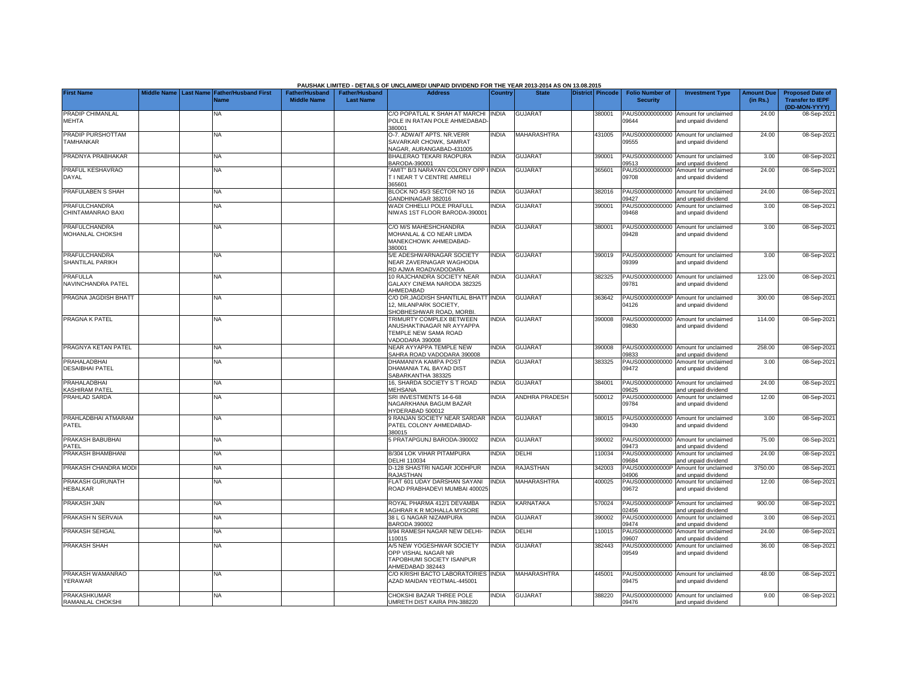|                                          |                    |                  |                                            |                                             |                                           | PAUSHAK LIMITED - DETAILS OF UNCLAIMED/ UNPAID DIVIDEND FOR THE YEAR 2013-2014 AS ON 13.08.2015   |                |                       |                  |                                           |                                                             |                               |                                                                     |
|------------------------------------------|--------------------|------------------|--------------------------------------------|---------------------------------------------|-------------------------------------------|---------------------------------------------------------------------------------------------------|----------------|-----------------------|------------------|-------------------------------------------|-------------------------------------------------------------|-------------------------------|---------------------------------------------------------------------|
| <b>First Name</b>                        | <b>Middle Name</b> | <b>Last Name</b> | <b>Father/Husband First</b><br><b>Name</b> | <b>Father/Husband</b><br><b>Middle Name</b> | <b>Father/Husband</b><br><b>Last Name</b> | <b>Address</b>                                                                                    | <b>Country</b> | <b>State</b>          | District Pincode | <b>Folio Number of</b><br><b>Security</b> | <b>Investment Type</b>                                      | <b>Amount Due</b><br>(in Rs.) | <b>Proposed Date of</b><br><b>Transfer to IEPF</b><br>(DD-MON-YYYY) |
| PRADIP CHIMANLAL<br><b>MEHTA</b>         |                    |                  | <b>NA</b>                                  |                                             |                                           | C/O POPATLAL K SHAH AT MARCHI<br>POLE IN RATAN POLE AHMEDABAD<br>380001                           | <b>INDIA</b>   | <b>GUJARAT</b>        | 380001           | PAUS00000000000<br>09644                  | Amount for unclaimed<br>and unpaid dividend                 | 24.00                         | 08-Sep-2021                                                         |
| PRADIP PURSHOTTAM<br><b>TAMHANKAR</b>    |                    |                  | <b>NA</b>                                  |                                             |                                           | O-7. ADWAIT APTS. NR.VERR<br>SAVARKAR CHOWK, SAMRAT<br>NAGAR, AURANGABAD-431005                   | <b>INDIA</b>   | MAHARASHTRA           | 431005           | 09555                                     | PAUS00000000000 Amount for unclaimed<br>and unpaid dividend | 24.00                         | 08-Sep-202                                                          |
| PRADNYA PRABHAKAR                        |                    |                  | <b>NA</b>                                  |                                             |                                           | BHALERAO TEKARI RAOPURA<br>BARODA-390001                                                          | <b>INDIA</b>   | <b>GUJARAT</b>        | 390001           | 09513                                     | PAUS00000000000 Amount for unclaimed<br>and unpaid dividend | 3.00                          | 08-Sep-202                                                          |
| PRAFUL KESHAVRAO<br>DAYAL                |                    |                  | <b>NA</b>                                  |                                             |                                           | 'AMIT" B/3 NARAYAN COLONY OPP I INDIA<br>T I NEAR T V CENTRE AMRELI<br>365601                     |                | <b>GUJARAT</b>        | 365601           | 09708                                     | PAUS00000000000 Amount for unclaimed<br>and unpaid dividend | 24.00                         | 08-Sep-202                                                          |
| PRAFULABEN S SHAH                        |                    |                  | <b>NA</b>                                  |                                             |                                           | BLOCK NO 45/3 SECTOR NO 16<br>GANDHINAGAR 382016                                                  | <b>INDIA</b>   | <b>GUJARAT</b>        | 382016           | 09427                                     | PAUS00000000000 Amount for unclaimed<br>and unpaid dividend | 24.00                         | 08-Sep-202                                                          |
| PRAFULCHANDRA<br>CHINTAMANRAO BAXI       |                    |                  | NA                                         |                                             |                                           | WADI CHHELLI POLE PRAFULL<br>NIWAS 1ST FLOOR BARODA-390001                                        | <b>NDIA</b>    | <b>GUJARAT</b>        | 390001           | PAUS00000000000<br>09468                  | Amount for unclaimed<br>and unpaid dividend                 | 3.00                          | 08-Sep-202                                                          |
| PRAFULCHANDRA<br>MOHANLAL CHOKSHI        |                    |                  | <b>NA</b>                                  |                                             |                                           | C/O M/S MAHESHCHANDRA<br>MOHANLAL & CO NEAR LIMDA<br>MANEKCHOWK AHMEDABAD-<br>380001              | <b>INDIA</b>   | <b>GUJARAT</b>        | 380001           | PAUS00000000000<br>09428                  | Amount for unclaimed<br>and unpaid dividend                 | 3.00                          | 08-Sep-202                                                          |
| <b>PRAFULCHANDRA</b><br>SHANTILAL PARIKH |                    |                  | NA                                         |                                             |                                           | 5/E ADESHWARNAGAR SOCIETY<br>NEAR ZAVERNAGAR WAGHODIA<br>RD AJWA ROADVADODARA                     | <b>INDIA</b>   | <b>GUJARAT</b>        | 390019           | 09399                                     | PAUS00000000000 Amount for unclaimed<br>and unpaid dividend | 3.00                          | 08-Sep-202                                                          |
| <b>PRAFULLA</b><br>NAVINCHANDRA PATEL    |                    |                  | <b>NA</b>                                  |                                             |                                           | 10 RAJCHANDRA SOCIETY NEAR<br>GALAXY CINEMA NARODA 382325<br>AHMEDABAD                            | <b>INDIA</b>   | <b>GUJARAT</b>        | 382325           | 09781                                     | PAUS00000000000 Amount for unclaimed<br>and unpaid dividend | 123.00                        | 08-Sep-202                                                          |
| PRAGNA JAGDISH BHAT                      |                    |                  | NA                                         |                                             |                                           | C/O DR.JAGDISH SHANTILAL BHATT INDIA<br>12, MILANPARK SOCIETY,<br>SHOBHESHWAR ROAD, MORBI.        |                | <b>GUJARAT</b>        | 363642           | 14126                                     | PAUS0000000000P Amount for unclaimed<br>and unpaid dividend | 300.00                        | 08-Sep-202                                                          |
| PRAGNA K PATEL                           |                    |                  | <b>NA</b>                                  |                                             |                                           | TRIMURTY COMPLEX BETWEEN<br>ANUSHAKTINAGAR NR AYYAPPA<br>TEMPLE NEW SAMA ROAD<br>VADODARA 390008  | <b>INDIA</b>   | <b>GUJARAT</b>        | 390008           | PAUS00000000000<br>09830                  | Amount for unclaimed<br>and unpaid dividend                 | 114.00                        | 08-Sep-202                                                          |
| PRAGNYA KETAN PATEL                      |                    |                  | <b>NA</b>                                  |                                             |                                           | NEAR AYYAPPA TEMPLE NEW<br>SAHRA ROAD VADODARA 390008                                             | <b>INDIA</b>   | <b>GUJARAT</b>        | 390008           | 09833                                     | PAUS00000000000 Amount for unclaimed<br>and unpaid dividend | 258.00                        | 08-Sep-202                                                          |
| PRAHALADBHAI<br><b>DESAIBHAI PATEL</b>   |                    |                  | <b>NA</b>                                  |                                             |                                           | DHAMANIYA KAMPA POST<br>DHAMANIA TAL BAYAD DIST<br>SABARKANTHA 383325                             | INDIA          | <b>GUJARAT</b>        | 383325           | PAUS00000000000<br>09472                  | Amount for unclaimed<br>and unpaid dividend                 | 3.00                          | 08-Sep-202                                                          |
| PRAHALADBHAI<br>KASHIRAM PATEL           |                    |                  | <b>NA</b>                                  |                                             |                                           | 16, SHARDA SOCIETY S T ROAD<br>MEHSANA                                                            | <b>INDIA</b>   | <b>GUJARAT</b>        | 384001           | 9625                                      | PAUS00000000000 Amount for unclaimed<br>and unpaid dividend | 24.00                         | 08-Sep-202                                                          |
| <b>PRAHLAD SARDA</b>                     |                    |                  | <b>NA</b>                                  |                                             |                                           | SRI INVESTMENTS 14-6-68<br>NAGARKHANA BAGUM BAZAR<br>HYDERABAD 500012                             | <b>INDIA</b>   | <b>ANDHRA PRADESH</b> | 500012           | PAUS00000000000<br>09784                  | Amount for unclaimed<br>and unpaid dividend                 | 12.00                         | 08-Sep-202                                                          |
| PRAHLADBHAI ATMARAM<br><b>PATEL</b>      |                    |                  | NA                                         |                                             |                                           | 9 RANJAN SOCIETY NEAR SARDAR<br>PATEL COLONY AHMEDABAD-<br>380015                                 | <b>INDIA</b>   | <b>GUJARAT</b>        | 380015           | 09430                                     | PAUS00000000000 Amount for unclaimed<br>and unpaid dividend | 3.00                          | 08-Sep-202                                                          |
| PRAKASH BABUBHAI<br>PATFL                |                    |                  | <b>NA</b>                                  |                                             |                                           | 5 PRATAPGUNJ BARODA-390002                                                                        | <b>INDIA</b>   | GUJARAT               | 390002           | PAUS00000000000<br>09473                  | Amount for unclaimed<br>and unpaid dividend                 | 75.00                         | 08-Sep-202                                                          |
| PRAKASH BHAMBHANI                        |                    |                  | <b>NA</b>                                  |                                             |                                           | B/304 LOK VIHAR PITAMPURA<br><b>DELHI 110034</b>                                                  | <b>INDIA</b>   | DELHI                 | 10034            | PAUS00000000000<br>09684                  | Amount for unclaimed<br>and unpaid dividend                 | 24.00                         | 08-Sep-202                                                          |
| PRAKASH CHANDRA MODI                     |                    |                  | NA                                         |                                             |                                           | D-128 SHASTRI NAGAR JODHPUR<br>RAJASTHAN                                                          | <b>INDIA</b>   | RAJASTHAN             | 342003           | PAUS0000000000P<br>04906                  | Amount for unclaimed<br>and unpaid dividend                 | 3750.00                       | 08-Sep-202                                                          |
| PRAKASH GURUNATH<br><b>HEBALKAR</b>      |                    |                  | <b>NA</b>                                  |                                             |                                           | FLAT 601 UDAY DARSHAN SAYANI<br>ROAD PRABHADEVI MUMBAI 400025                                     | <b>INDIA</b>   | MAHARASHTRA           | 400025           | PAUS00000000000<br>09672                  | Amount for unclaimed<br>and unpaid dividend                 | 12.00                         | 08-Sep-2021                                                         |
| PRAKASH JAIN                             |                    |                  | <b>NA</b>                                  |                                             |                                           | ROYAL PHARMA 412/1 DEVAMBA<br>AGHRAR K R MOHALLA MYSORE                                           | <b>INDIA</b>   | KARNATAKA             | 570024           | 02456                                     | PAUS0000000000P Amount for unclaimed<br>and unpaid dividend | 900.00                        | 08-Sep-202                                                          |
| PRAKASH N SERVAIA                        |                    |                  | <b>NA</b>                                  |                                             |                                           | 38 L G NAGAR NIZAMPURA<br><b>BARODA 390002</b>                                                    | <b>NDIA</b>    | <b>GUJARAT</b>        | 390002           | PAUS00000000000<br>09474                  | Amount for unclaimed<br>and unpaid dividend                 | 3.00                          | 08-Sep-202                                                          |
| PRAKASH SEHGAL                           |                    |                  | <b>NA</b>                                  |                                             |                                           | 8/94 RAMESH NAGAR NEW DELHI-<br>110015                                                            | <b>INDIA</b>   | DELHI                 | 10015            | PAUS00000000000<br>9607                   | Amount for unclaimed<br>and unpaid dividend                 | 24.00                         | 08-Sep-202                                                          |
| PRAKASH SHAH                             |                    |                  | <b>NA</b>                                  |                                             |                                           | A/5 NEW YOGESHWAR SOCIETY<br>OPP VISHAL NAGAR NR<br>TAPOBHUMI SOCIETY ISANPUR<br>AHMEDABAD 382443 | <b>NDIA</b>    | <b>GUJARAT</b>        | 382443           | PAUS00000000000<br>09549                  | Amount for unclaimed<br>and unpaid dividend                 | 36.00                         | 08-Sep-2021                                                         |
| PRAKASH WAMANRAO<br>YERAWAR              |                    |                  | <b>NA</b>                                  |                                             |                                           | C/O KRISHI BACTO LABORATORIES INDIA<br>AZAD MAIDAN YEOTMAL-445001                                 |                | <b>MAHARASHTRA</b>    | 445001           | 09475                                     | PAUS00000000000 Amount for unclaimed<br>and unpaid dividend | 48.00                         | 08-Sep-202                                                          |
| PRAKASHKUMAR<br>RAMANLAL CHOKSHI         |                    |                  | <b>NA</b>                                  |                                             |                                           | CHOKSHI BAZAR THREE POLE<br>UMRETH DIST KAIRA PIN-388220                                          | <b>INDIA</b>   | <b>GUJARAT</b>        | 388220           | 09476                                     | PAUS00000000000 Amount for unclaimed<br>and unpaid dividend | 9.00                          | 08-Sep-2021                                                         |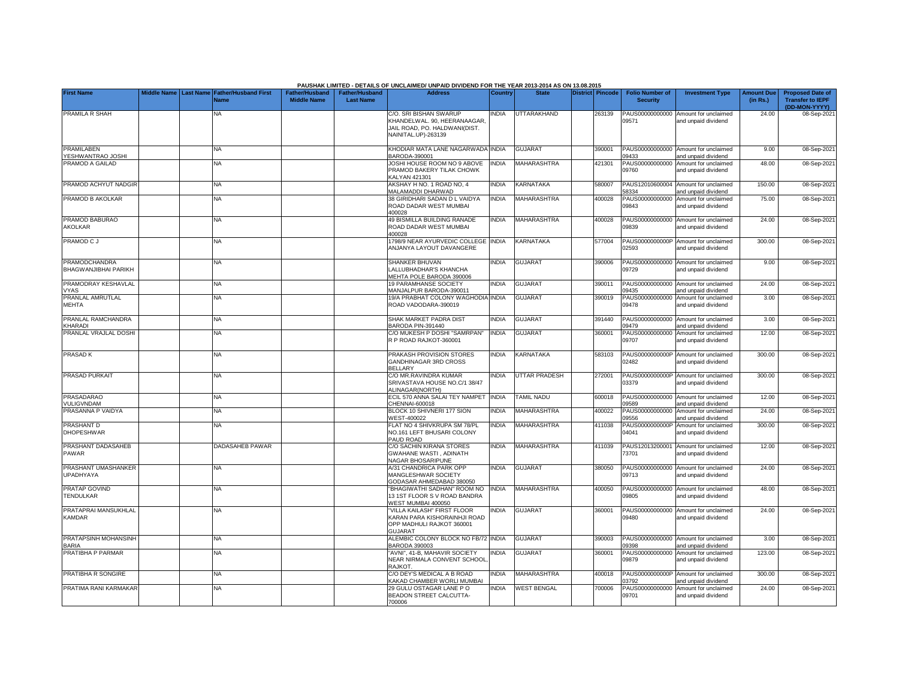|                                              |                    |                  |                                     |                                             |                                           | PAUSHAK LIMITED - DETAILS OF UNCLAIMED/ UNPAID DIVIDEND FOR THE YEAR 2013-2014 AS ON 13.08.2015                |                |                      |                  |                                           |                                                             |                               |                                                                     |
|----------------------------------------------|--------------------|------------------|-------------------------------------|---------------------------------------------|-------------------------------------------|----------------------------------------------------------------------------------------------------------------|----------------|----------------------|------------------|-------------------------------------------|-------------------------------------------------------------|-------------------------------|---------------------------------------------------------------------|
| <b>First Name</b>                            | <b>Middle Name</b> | <b>Last Name</b> | <b>Father/Husband First</b><br>Jame | <b>Father/Husband</b><br><b>Middle Name</b> | <b>Father/Husband</b><br><b>Last Name</b> | <b>Address</b>                                                                                                 | <b>Country</b> | <b>State</b>         | District Pincode | <b>Folio Number of</b><br><b>Security</b> | <b>Investment Type</b>                                      | <b>Amount Due</b><br>(in Rs.) | <b>Proposed Date of</b><br><b>Transfer to IEPF</b><br>(DD-MON-YYYY) |
| PRAMILA R SHAH                               |                    |                  | NA.                                 |                                             |                                           | C/O. SRI BISHAN SWARUP<br>KHANDELWAL. 90, HEERANAAGAR,<br>JAIL ROAD, PO, HALDWANI(DIST,<br>NAINITAL.UP)-263139 | <b>NDIA</b>    | UTTARAKHAND          | 263139           | PAUS00000000000<br>09571                  | Amount for unclaimed<br>and unpaid dividend                 | 24.00                         | 08-Sep-202                                                          |
| <b>PRAMILABEN</b><br>YESHWANTRAO JOSHI       |                    |                  | <b>NA</b>                           |                                             |                                           | KHODIAR MATA LANE NAGARWADA INDIA<br>3ARODA-390001                                                             |                | <b>GUJARAT</b>       | 390001           | PAUS00000000000<br>09433                  | Amount for unclaimed<br>and unpaid dividend                 | 9.00                          | 08-Sep-202                                                          |
| PRAMOD A GAILAD                              |                    |                  | <b>NA</b>                           |                                             |                                           | JOSHI HOUSE ROOM NO 9 ABOVE<br>PRAMOD BAKERY TILAK CHOWK<br><b>KALYAN 421301</b>                               | <b>NDIA</b>    | <b>MAHARASHTRA</b>   | 421301           | PAUS00000000000<br>09760                  | Amount for unclaimed<br>and unpaid dividend                 | 48.00                         | 08-Sep-202                                                          |
| PRAMOD ACHYUT NADGIR                         |                    |                  | <b>NA</b>                           |                                             |                                           | AKSHAY H NO. 1 ROAD NO, 4<br><b>MALAMADDI DHARWAD</b>                                                          | <b>INDIA</b>   | KARNATAKA            | 580007           | PAUS12010600004<br>58334                  | Amount for unclaimed<br>and unpaid dividend                 | 150.00                        | 08-Sep-202                                                          |
| PRAMOD B AKOLKAR                             |                    |                  | <b>NA</b>                           |                                             |                                           | 38 GIRIDHARI SADAN D L VAIDYA<br>ROAD DADAR WEST MUMBAI<br>400028                                              | <b>NDIA</b>    | <b>MAHARASHTRA</b>   | 400028           | PAUS00000000000<br>09843                  | Amount for unclaimed<br>and unpaid dividend                 | 75.00                         | 08-Sep-202                                                          |
| PRAMOD BABURAO<br>AKOLKAR                    |                    |                  | NA.                                 |                                             |                                           | <b>49 BISMILLA BUILDING RANADE</b><br>ROAD DADAR WEST MUMBAI<br>400028                                         | <b>INDIA</b>   | MAHARASHTRA          | 400028           | 09839                                     | PAUS00000000000 Amount for unclaimed<br>and unpaid dividend | 24.00                         | 08-Sep-202                                                          |
| PRAMOD C J                                   |                    |                  | NA                                  |                                             |                                           | 1798/9 NEAR AYURVEDIC COLLEGE INDIA<br>ANJANYA LAYOUT DAVANGERE                                                |                | KARNATAKA            | 577004           | 02593                                     | PAUS0000000000P Amount for unclaimed<br>and unpaid dividend | 300.00                        | 08-Sep-202                                                          |
| PRAMODCHANDRA<br><b>BHAGWANJIBHAI PARIKH</b> |                    |                  | <b>NA</b>                           |                                             |                                           | SHANKER BHUVAN<br>LALLUBHADHAR'S KHANCHA<br>MEHTA POLE BARODA 390006                                           | <b>INDIA</b>   | <b>GUJARAT</b>       | 390006           | 09729                                     | PAUS00000000000 Amount for unclaimed<br>and unpaid dividend | 9.00                          | 08-Sep-2021                                                         |
| PRAMODRAY KESHAVLAL<br><b>VYAS</b>           |                    |                  | <b>NA</b>                           |                                             |                                           | 19 PARAMHANSE SOCIETY<br>MANJALPUR BARODA-390011                                                               | <b>INDIA</b>   | <b>GUJARAT</b>       | 390011           | 09435                                     | PAUS00000000000 Amount for unclaimed<br>and unpaid dividend | 24.00                         | 08-Sep-202                                                          |
| PRANLAL AMRUTLAL<br>MEHTA                    |                    |                  | <b>NA</b>                           |                                             |                                           | 19/A PRABHAT COLONY WAGHODIA INDIA<br>ROAD VADODARA-390019                                                     |                | <b>GUJARAT</b>       | 390019           | 09478                                     | PAUS00000000000 Amount for unclaimed<br>and unpaid dividend | 3.00                          | 08-Sep-2021                                                         |
| PRANLAL RAMCHANDRA<br>KHARADI                |                    |                  | <b>NA</b>                           |                                             |                                           | SHAK MARKET PADRA DIST<br>BARODA PIN-391440                                                                    | <b>INDIA</b>   | <b>GUJARAT</b>       | 391440           | 09479                                     | PAUS00000000000 Amount for unclaimed<br>and unpaid dividend | 3.00                          | 08-Sep-202                                                          |
| PRANLAL VRAJLAL DOSHI                        |                    |                  | <b>NA</b>                           |                                             |                                           | C/O MUKESH P DOSHI "SAMRPAN"<br>R P ROAD RAJKOT-360001                                                         | <b>INDIA</b>   | <b>GUJARAT</b>       | 360001           | PAUS00000000000<br>09707                  | Amount for unclaimed<br>and unpaid dividend                 | 12.00                         | 08-Sep-2021                                                         |
| <b>PRASAD K</b>                              |                    |                  | <b>NA</b>                           |                                             |                                           | PRAKASH PROVISION STORES<br>GANDHINAGAR 3RD CROSS<br><b>BELLARY</b>                                            | <b>INDIA</b>   | KARNATAKA            | 583103           | 02482                                     | PAUS0000000000P Amount for unclaimed<br>and unpaid dividend | 300.00                        | 08-Sep-202                                                          |
| <b>PRASAD PURKAIT</b>                        |                    |                  | NA                                  |                                             |                                           | C/O MR.RAVINDRA KUMAR<br>SRIVASTAVA HOUSE NO.C/1 38/47<br>ALINAGAR(NORTH)                                      | <b>NDIA</b>    | <b>UTTAR PRADESH</b> | 272001           | 03379                                     | PAUS0000000000P Amount for unclaimed<br>and unpaid dividend | 300.00                        | 08-Sep-202                                                          |
| PRASADARAO<br>VULIGVNDAM                     |                    |                  | <b>NA</b>                           |                                             |                                           | ECIL 570 ANNA SALAI TEY NAMPET<br>CHENNAI-600018                                                               | <b>INDIA</b>   | TAMIL NADU           | 600018           | 9589                                      | PAUS00000000000 Amount for unclaimed<br>and unpaid dividend | 12.00                         | 08-Sep-202                                                          |
| PRASANNA P VAIDYA                            |                    |                  | NA                                  |                                             |                                           | BLOCK 10 SHIVNERI 177 SION<br>WEST-400022                                                                      | INDIA          | MAHARASHTRA          | 400022           | PAUS00000000000<br>9556                   | Amount for unclaimed<br>and unpaid dividend                 | 24.00                         | 08-Sep-202                                                          |
| PRASHANT D<br><b>DHOPESHWAR</b>              |                    |                  | NA                                  |                                             |                                           | FLAT NO 4 SHIVKRUPA SM 78/PL<br>NO.161 LEFT BHUSARI COLONY<br>PAUD ROAD                                        | INDIA          | <b>MAHARASHTRA</b>   | 411038           | PAUS0000000000P<br>04041                  | Amount for unclaimed<br>and unpaid dividend                 | 300.00                        | 08-Sep-202                                                          |
| PRASHANT DADASAHEB<br>PAWAR                  |                    |                  | DADASAHEB PAWAR                     |                                             |                                           | C/O SACHIN KIRANA STORES<br><b>GWAHANE WASTI, ADINATH</b><br>NAGAR BHOSARIPUNE                                 | <b>NDIA</b>    | MAHARASHTRA          | 411039           | PAUS12013200001<br>73701                  | Amount for unclaimed<br>and unpaid dividend                 | 12.00                         | 08-Sep-202                                                          |
| PRASHANT UMASHANKER<br><b>UPADHYAYA</b>      |                    |                  | <b>NA</b>                           |                                             |                                           | A/31 CHANDRICA PARK OPP<br>MANGLESHWAR SOCIETY<br>GODASAR AHMEDABAD 380050                                     | <b>INDIA</b>   | <b>GUJARAT</b>       | 380050           | PAUS00000000000<br>09713                  | Amount for unclaimed<br>and unpaid dividend                 | 24.00                         | 08-Sep-202                                                          |
| PRATAP GOVIND<br><b>TENDULKAR</b>            |                    |                  | <b>NA</b>                           |                                             |                                           | "BHAGIWATHI SADHAN" ROOM NO<br>13 1ST FLOOR S V ROAD BANDRA<br>WEST MUMBAI 400050                              | <b>INDIA</b>   | MAHARASHTRA          | 400050           | 09805                                     | PAUS00000000000 Amount for unclaimed<br>and unpaid dividend | 48.00                         | 08-Sep-202                                                          |
| PRATAPRAI MANSUKHLAL<br><b>KAMDAR</b>        |                    |                  | <b>NA</b>                           |                                             |                                           | "VILLA KAILASH" FIRST FLOOR<br>KARAN PARA KISHORAINHJI ROAD<br>OPP MADHULI RAJKOT 360001<br><b>GUJARAT</b>     | <b>INDIA</b>   | <b>GUJARAT</b>       | 360001           | 09480                                     | PAUS00000000000 Amount for unclaimed<br>and unpaid dividend | 24.00                         | 08-Sep-202                                                          |
| PRATAPSINH MOHANSINH<br><b>BARIA</b>         |                    |                  | <b>NA</b>                           |                                             |                                           | ALEMBIC COLONY BLOCK NO FB/72 INDIA<br><b>BARODA 390003</b>                                                    |                | <b>GUJARAT</b>       | 390003           | 09398                                     | PAUS00000000000 Amount for unclaimed<br>and unpaid dividend | 3.00                          | 08-Sep-202                                                          |
| PRATIBHA P PARMAR                            |                    |                  | <b>NA</b>                           |                                             |                                           | 'AVNI", 41-B, MAHAVIR SOCIETY<br>NEAR NIRMALA CONVENT SCHOOL<br>RAJKOT.                                        | <b>INDIA</b>   | <b>GUJARAT</b>       | 360001           | 09879                                     | PAUS00000000000 Amount for unclaimed<br>and unpaid dividend | 123.00                        | 08-Sep-202                                                          |
| PRATIBHA R SONGIRE                           |                    |                  | <b>NA</b>                           |                                             |                                           | C/O DEY'S MEDICAL A B ROAD<br>(AKAD CHAMBER WORLI MUMBAI                                                       | <b>INDIA</b>   | MAHARASHTRA          | 400018           | 3792                                      | PAUS0000000000P Amount for unclaimed<br>and unpaid dividend | 300.00                        | 08-Sep-202                                                          |
| PRATIMA RANI KARMAKAF                        |                    |                  | <b>NA</b>                           |                                             |                                           | 29 GULU OSTAGAR LANE P O<br>BEADON STREET CALCUTTA-<br>700006                                                  | INDIA          | <b>WEST BENGAL</b>   | 700006           | 09701                                     | PAUS00000000000 Amount for unclaimed<br>and unpaid dividend | 24.00                         | 08-Sep-202                                                          |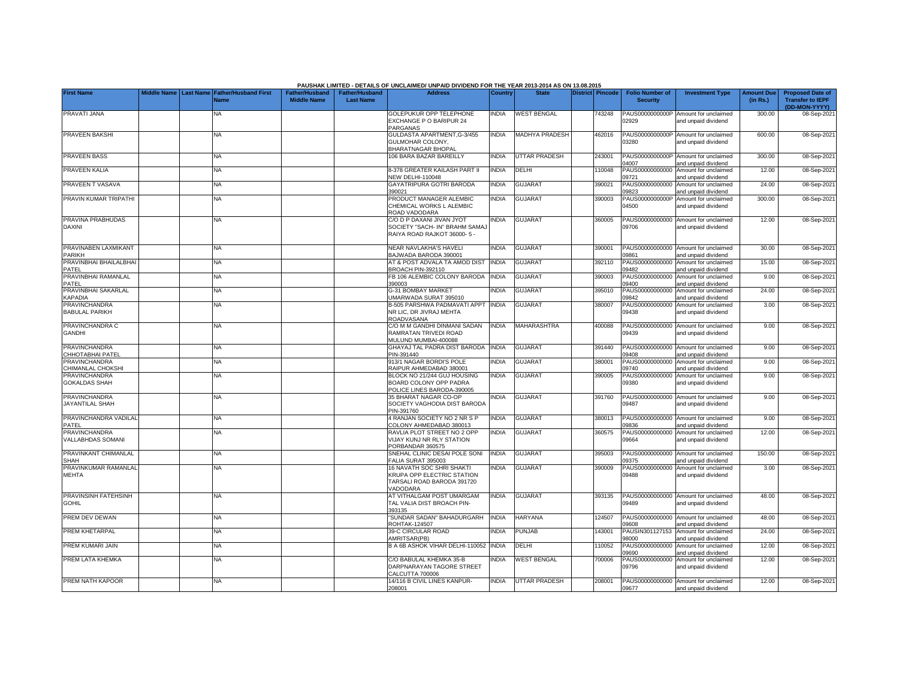|                                                |  |                                                           |                                             |                                           | PAUSHAK LIMITED - DETAILS OF UNCLAIMED/ UNPAID DIVIDEND FOR THE YEAR 2013-2014 AS ON 13.08.2015   |                |                       |                  |                                           |                                                             |                               |                                                                     |
|------------------------------------------------|--|-----------------------------------------------------------|---------------------------------------------|-------------------------------------------|---------------------------------------------------------------------------------------------------|----------------|-----------------------|------------------|-------------------------------------------|-------------------------------------------------------------|-------------------------------|---------------------------------------------------------------------|
| <b>First Name</b>                              |  | Middle Name Last Name Father/Husband First<br><b>Name</b> | <b>Father/Husband</b><br><b>Middle Name</b> | <b>Father/Husband</b><br><b>Last Name</b> | <b>Address</b>                                                                                    | <b>Country</b> | <b>State</b>          | District Pincode | <b>Folio Number of</b><br><b>Security</b> | <b>Investment Type</b>                                      | <b>Amount Due</b><br>(in Rs.) | <b>Proposed Date of</b><br><b>Transfer to IEPF</b><br>(DD-MON-YYYY) |
| PRAVATI JANA                                   |  | NA                                                        |                                             |                                           | <b>GOLEPUKUR OPP TELEPHONE</b><br><b>EXCHANGE P O BARIPUR 24</b><br>PARGANAS                      | <b>NDIA</b>    | <b>WEST BENGAL</b>    | 743248           | 02929                                     | PAUS0000000000P Amount for unclaimed<br>and unpaid dividend | 300.00                        | 08-Sep-202                                                          |
| <b>PRAVEEN BAKSHI</b>                          |  | <b>NA</b>                                                 |                                             |                                           | GULDASTA APARTMENT, G-3/455<br>GULMOHAR COLONY,<br><b>BHARATNAGAR BHOPAI</b>                      | <b>INDIA</b>   | <b>MADHYA PRADESH</b> | 462016           | PAUS0000000000P<br>03280                  | Amount for unclaimed<br>and unpaid dividend                 | 600.00                        | 08-Sep-202                                                          |
| <b>PRAVEEN BASS</b>                            |  | <b>NA</b>                                                 |                                             |                                           | 106 BARA BAZAR BAREILLY                                                                           | <b>NDIA</b>    | <b>UTTAR PRADESH</b>  | 243001           | 04007                                     | PAUS0000000000P Amount for unclaimed<br>and unpaid dividend | 300.00                        | 08-Sep-202                                                          |
| PRAVEEN KALIA                                  |  | NA                                                        |                                             |                                           | 3-378 GREATER KAILASH PART II<br><b>JEW DELHI-110048</b>                                          | INDIA          | DELHI                 | 110048           | PAUS00000000000<br>09721                  | Amount for unclaimed<br>and unpaid dividend                 | 12.00                         | 08-Sep-202                                                          |
| PRAVEEN T VASAVA                               |  | ΝA                                                        |                                             |                                           | GAYATRIPURA GOTRI BARODA<br>390021                                                                | INDIA          | <b>GUJARAT</b>        | 390021           | PAUS00000000000<br>09823                  | Amount for unclaimed<br>and unpaid dividend                 | 24.00                         | 08-Sep-202                                                          |
| PRAVIN KUMAR TRIPATHI                          |  | ΝA                                                        |                                             |                                           | PRODUCT MANAGER ALEMBIC<br>CHEMICAL WORKS L ALEMBIC<br>ROAD VADODARA                              | <b>INDIA</b>   | <b>GUJARAT</b>        | 390003           | PAUS0000000000F<br>04500                  | Amount for unclaimed<br>and unpaid dividend                 | 300.00                        | 08-Sep-202                                                          |
| PRAVINA PRABHUDAS<br><b>DAXINI</b>             |  | <b>NA</b>                                                 |                                             |                                           | C/O D P DAXANI JIVAN JYOT<br>SOCIETY "SACH- IN" BRAHM SAMA,<br>RAIYA ROAD RAJKOT 36000-5 -        | <b>INDIA</b>   | <b>GUJARAT</b>        | 360005           | 09706                                     | PAUS00000000000 Amount for unclaimed<br>and unpaid dividend | 12.00                         | 08-Sep-202                                                          |
| PRAVINABEN LAXMIKANT<br>PARIKH                 |  | NA                                                        |                                             |                                           | NEAR NAVLAKHA'S HAVELI<br>BAJWADA BARODA 390001                                                   | <b>INDIA</b>   | <b>GUJARAT</b>        | 390001           | 09861                                     | PAUS00000000000 Amount for unclaimed<br>and unpaid dividend | 30.00                         | 08-Sep-202                                                          |
| PRAVINBHAI BHAILALBHAI<br>PATEL                |  | ΝA                                                        |                                             |                                           | AT & POST ADVALA TA AMOD DIST<br>BROACH PIN-392110                                                | <b>INDIA</b>   | <b>GUJARAT</b>        | 392110           | 09482                                     | PAUS00000000000 Amount for unclaimed<br>and unpaid dividend | 15.00                         | 08-Sep-202                                                          |
| PRAVINBHAI RAMANLAL<br>PATEL                   |  | <b>NA</b>                                                 |                                             |                                           | FB 106 ALEMBIC COLONY BARODA<br>390003                                                            | <b>INDIA</b>   | <b>GUJARAT</b>        | 390003           | PAUS00000000000<br>09400                  | Amount for unclaimed<br>and unpaid dividend                 | 9.00                          | 08-Sep-202                                                          |
| PRAVINBHAI SAKARLAL<br><b>KAPADIA</b>          |  | <b>NA</b>                                                 |                                             |                                           | 3-31 BOMBAY MARKET<br>JMARWADA SURAT 395010                                                       | <b>NDIA</b>    | <b>GUJARAT</b>        | 395010           | PAUS00000000000<br>09842                  | Amount for unclaimed<br>and unpaid dividend                 | 24.00                         | 08-Sep-202                                                          |
| PRAVINCHANDRA<br><b>BABULAL PARIKH</b>         |  | <b>NA</b>                                                 |                                             |                                           | B-505 PARSHWA PADMAVATI APPT INDIA<br>NR LIC, DR JIVRAJ MEHTA<br>ROADVASANA                       |                | <b>GUJARAT</b>        | 380007           | 09438                                     | PAUS00000000000 Amount for unclaimed<br>and unpaid dividend | 3.00                          | 08-Sep-202                                                          |
| PRAVINCHANDRA C<br><b>GANDHI</b>               |  | <b>NA</b>                                                 |                                             |                                           | C/O M M GANDHI DINMANI SADAN<br>RAMRATAN TRIVEDI ROAD<br><b>MULUND MUMBAI-400088</b>              | <b>INDIA</b>   | MAHARASHTRA           | 400088           | PAUS00000000000<br>09439                  | Amount for unclaimed<br>and unpaid dividend                 | 9.00                          | 08-Sep-202                                                          |
| <b>PRAVINCHANDRA</b><br>CHHOTABHAI PATEL       |  | <b>NA</b>                                                 |                                             |                                           | GHAYAJ TAL PADRA DIST BARODA<br>PIN-391440                                                        | <b>INDIA</b>   | <b>GUJARAT</b>        | 391440           | 09408                                     | PAUS00000000000 Amount for unclaimed<br>and unpaid dividend | 9.00                          | 08-Sep-202                                                          |
| <b>PRAVINCHANDRA</b><br>CHIMANLAL CHOKSHI      |  | <b>NA</b>                                                 |                                             |                                           | <b>913/1 NAGAR BORDI'S POLE</b><br>RAIPUR AHMEDABAD 380001                                        | <b>INDIA</b>   | <b>GUJARAT</b>        | 380001           | PAUS00000000000<br>09740                  | Amount for unclaimed<br>and unpaid dividend                 | 9.00                          | 08-Sep-202                                                          |
| <b>PRAVINCHANDRA</b><br><b>GOKALDAS SHAH</b>   |  | <b>NA</b>                                                 |                                             |                                           | BLOCK NO 21/244 GUJ HOUSING<br>BOARD COLONY OPP PADRA<br>POLICE LINES BARODA-390005               | <b>INDIA</b>   | <b>GUJARAT</b>        | 390005           | PAUS00000000000<br>09380                  | Amount for unclaimed<br>and unpaid dividend                 | 9.00                          | 08-Sep-202                                                          |
| <b>PRAVINCHANDRA</b><br><b>JAYANTILAL SHAH</b> |  | <b>NA</b>                                                 |                                             |                                           | 35 BHARAT NAGAR CO-OP<br>SOCIETY VAGHODIA DIST BARODA<br>PIN-391760                               | <b>NDIA</b>    | <b>GUJARAT</b>        | 391760           | 09487                                     | PAUS00000000000 Amount for unclaimed<br>and unpaid dividend | 9.00                          | 08-Sep-202                                                          |
| PRAVINCHANDRA VADILAL<br>PATEL                 |  | ΝA                                                        |                                             |                                           | 4 RANJAN SOCIETY NO 2 NR S P<br>COLONY AHMEDABAD 380013                                           | <b>INDIA</b>   | <b>GUJARAT</b>        | 380013           | 09836                                     | PAUS00000000000 Amount for unclaimed<br>and unpaid dividend | 9.00                          | 08-Sep-202                                                          |
| <b>PRAVINCHANDRA</b><br>VALLABHDAS SOMANI      |  | NA                                                        |                                             |                                           | RAVLIA PLOT STREET NO 2 OPP<br><b>/IJAY KUNJ NR RLY STATION</b><br>PORBANDAR 360575               | INDIA          | <b>GUJARAT</b>        | 360575           | 09664                                     | PAUS00000000000 Amount for unclaimed<br>and unpaid dividend | 12.00                         | 08-Sep-2021                                                         |
| PRAVINKANT CHIMANLAL<br><b>SHAH</b>            |  | NA                                                        |                                             |                                           | SNEHAL CLINIC DESAI POLE SONI<br>FALIA SURAT 395003                                               | <b>NDIA</b>    | <b>GUJARAT</b>        | 395003           | PAUS00000000000<br>09375                  | Amount for unclaimed<br>and unpaid dividend                 | 150.00                        | 08-Sep-202                                                          |
| PRAVINKUMAR RAMANLAL<br><b>MEHTA</b>           |  | NA                                                        |                                             |                                           | 16 NAVATH SOC SHRI SHAKTI<br>KRUPA OPP ELECTRIC STATION<br>TARSALI ROAD BARODA 391720<br>/ADODARA | <b>INDIA</b>   | <b>GUJARAT</b>        | 390009           | 09488                                     | PAUS00000000000 Amount for unclaimed<br>and unpaid dividend | 3.00                          | 08-Sep-2021                                                         |
| PRAVINSINH FATEHSINH<br><b>GOHIL</b>           |  | ΝA                                                        |                                             |                                           | AT VITHALGAM POST UMARGAM<br>TAL VALIA DIST BROACH PIN-<br>393135                                 | <b>NDIA</b>    | <b>GUJARA1</b>        | 393135           | PAUS00000000000<br>09489                  | Amount for unclaimed<br>and unpaid dividend                 | 48.00                         | 08-Sep-202                                                          |
| PREM DEV DEWAN                                 |  | <b>NA</b>                                                 |                                             |                                           | SUNDAR SADAN" BAHADURGARH<br><b>ROHTAK-124507</b>                                                 | <b>INDIA</b>   | <b>HARYANA</b>        | 124507           | 09608                                     | PAUS00000000000 Amount for unclaimed<br>and unpaid dividend | 48.00                         | 08-Sep-202                                                          |
| PREM KHETARPAL                                 |  | <b>NA</b>                                                 |                                             |                                           | <b>39-C CIRCULAR ROAD</b><br>AMRITSAR(PB)                                                         | <b>INDIA</b>   | <b>PUNJAB</b>         | 143001           | PAUSIN301127153<br>98000                  | Amount for unclaimed<br>and unpaid dividend                 | 24.00                         | 08-Sep-202                                                          |
| PREM KUMARI JAIN                               |  | <b>NA</b>                                                 |                                             |                                           | B A 6B ASHOK VIHAR DELHI-110052                                                                   | <b>INDIA</b>   | DELHI                 | 110052           | PAUS00000000000<br>9690                   | Amount for unclaimed<br>nd unpaid dividend                  | 12.00                         | 08-Sep-202                                                          |
| PREM LATA KHEMKA                               |  | <b>NA</b>                                                 |                                             |                                           | CO BABULAL KHEMKA 35-B<br>DARPNARAYAN TAGORE STREET<br>CALCUTTA 700006                            | <b>NDIA</b>    | <b>WEST BENGAL</b>    | 700006           | PAUS00000000000<br>09796                  | Amount for unclaimed<br>and unpaid dividend                 | 12.00                         | 08-Sep-202                                                          |
| PREM NATH KAPOOR                               |  | ΝA                                                        |                                             |                                           | 14/116 B CIVIL LINES KANPUR-<br>208001                                                            | <b>INDIA</b>   | <b>UTTAR PRADESH</b>  | 208001           | 09677                                     | PAUS00000000000 Amount for unclaimed<br>and unpaid dividend | 12.00                         | 08-Sep-2021                                                         |

**PAUSHAK LIMITED - DETAILS OF UNCLAIMED/ UNPAID DIVIDEND FOR THE YEAR 2013-2014 AS ON 13.08.2015**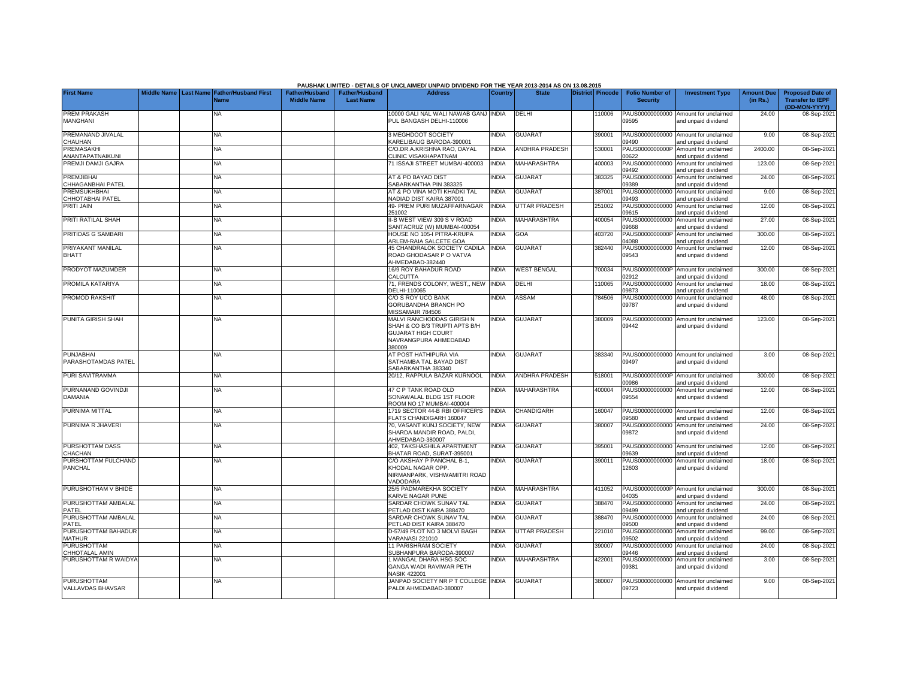|                                               |                    |                  |                             |                       |                       | PAUSHAK LIMITED - DETAILS OF UNCLAIMED/ UNPAID DIVIDEND FOR THE YEAR 2013-2014 AS ON 13.08.2015 |                |                       |                         |                          |                                                             |                   |                             |
|-----------------------------------------------|--------------------|------------------|-----------------------------|-----------------------|-----------------------|-------------------------------------------------------------------------------------------------|----------------|-----------------------|-------------------------|--------------------------|-------------------------------------------------------------|-------------------|-----------------------------|
| <b>First Name</b>                             | <b>Middle Name</b> | <b>Last Name</b> | <b>Father/Husband First</b> | <b>Father/Husband</b> | <b>Father/Husband</b> | <b>Address</b>                                                                                  | <b>Country</b> | <b>State</b>          | <b>District Pincode</b> | <b>Folio Number of</b>   | <b>Investment Type</b>                                      | <b>Amount Due</b> | <b>Proposed Date of</b>     |
|                                               |                    |                  | <b>Name</b>                 | <b>Middle Name</b>    | <b>Last Name</b>      |                                                                                                 |                |                       |                         | <b>Security</b>          |                                                             | (in Rs.)          | <b>Transfer to IEPF</b>     |
| <b>PREM PRAKASH</b>                           |                    |                  | NA                          |                       |                       | 10000 GALI NAL WALI NAWAB GANJ INDIA                                                            |                | DELHI                 | 10006                   | PAUS00000000000          | Amount for unclaimed                                        | 24.00             | (DD-MON-YYYY)<br>08-Sep-202 |
| MANGHANI                                      |                    |                  |                             |                       |                       | PUL BANGASH DELHI-110006                                                                        |                |                       |                         | 09595                    | and unpaid dividend                                         |                   |                             |
|                                               |                    |                  |                             |                       |                       |                                                                                                 |                |                       |                         |                          |                                                             |                   |                             |
| PREMANAND JIVALAL                             |                    |                  | NA.                         |                       |                       | 3 MEGHDOOT SOCIETY                                                                              | <b>INDIA</b>   | <b>GUJARAT</b>        | 390001                  |                          | PAUS00000000000 Amount for unclaimed                        | 9.00              | 08-Sep-202                  |
| CHAUHAN<br>PREMASAKHI                         |                    |                  | <b>NA</b>                   |                       |                       | <b>KARELIBAUG BARODA-390001</b><br>C/O.DR.A.KRISHNA RAO. DAYAL                                  | <b>INDIA</b>   | <b>ANDHRA PRADESH</b> | 530001                  | 09490<br>PAUS0000000000P | and unpaid dividend<br>Amount for unclaimed                 | 2400.00           | 08-Sep-202                  |
| ANANTAPATNAIKUNI                              |                    |                  |                             |                       |                       | <b>CLINIC VISAKHAPATNAM</b>                                                                     |                |                       |                         | 00622                    | and unpaid dividend                                         |                   |                             |
| PREMJI DAMJI GAJRA                            |                    |                  | NA                          |                       |                       | 71 ISSAJI STREET MUMBAI-400003                                                                  | <b>INDIA</b>   | MAHARASHTRA           | 400003                  | PAUS00000000000          | Amount for unclaimed                                        | 123.00            | 08-Sep-202                  |
|                                               |                    |                  |                             |                       |                       |                                                                                                 |                |                       |                         | 09492                    | and unpaid dividend                                         |                   |                             |
| <b>PREMJIBHAI</b><br><b>CHHAGANBHAI PATEL</b> |                    |                  | <b>NA</b>                   |                       |                       | AT & PO BAYAD DIST<br>SABARKANTHA PIN 383325                                                    | <b>INDIA</b>   | <b>GUJARAT</b>        | 383325                  | PAUS00000000000<br>09389 | Amount for unclaimed<br>and unpaid dividend                 | 24.00             | 08-Sep-202                  |
| <b>PREMSUKHBHAI</b>                           |                    |                  | NA                          |                       |                       | AT & PO VINA MOTI KHADKI TAL                                                                    | <b>INDIA</b>   | <b>GUJARAT</b>        | 387001                  | PAUS00000000000          | Amount for unclaimed                                        | 9.00              | 08-Sep-202                  |
| CHHOTABHAI PATEL                              |                    |                  |                             |                       |                       | NADIAD DIST KAIRA 387001                                                                        |                |                       |                         | 09493                    | and unpaid dividend                                         |                   |                             |
| <b>PRITI JAIN</b>                             |                    |                  | <b>NA</b>                   |                       |                       | 49- PREM PURI MUZAFFARNAGAR                                                                     | <b>INDIA</b>   | <b>UTTAR PRADESH</b>  | 251002                  | PAUS00000000000          | Amount for unclaimed                                        | 12.00             | 08-Sep-202                  |
| <b>PRITI RATILAL SHAH</b>                     |                    |                  | <b>NA</b>                   |                       |                       | 251002<br>II-B WEST VIEW 309 S V ROAD                                                           | <b>INDIA</b>   | MAHARASHTRA           | 400054                  | 09615                    | and unpaid dividend<br>PAUS00000000000 Amount for unclaimed | 27.00             | 08-Sep-202                  |
|                                               |                    |                  |                             |                       |                       | SANTACRUZ (W) MUMBAI-400054                                                                     |                |                       |                         | 09668                    | and unpaid dividend                                         |                   |                             |
| PRITIDAS G SAMBARI                            |                    |                  | <b>NA</b>                   |                       |                       | HOUSE NO 105-I PITRA-KRUPA                                                                      | <b>INDIA</b>   | GOA                   | 403720                  |                          | PAUS0000000000P Amount for unclaimed                        | 300.00            | 08-Sep-202                  |
|                                               |                    |                  |                             |                       |                       | ARLEM-RAIA SALCETE GOA                                                                          |                |                       |                         | 04088                    | and unpaid dividend                                         |                   |                             |
| PRIYAKANT MANILAL                             |                    |                  | <b>NA</b>                   |                       |                       | 45 CHANDRALOK SOCIETY CADILA                                                                    | <b>INDIA</b>   | <b>GUJARAT</b>        | 382440                  | 09543                    | PAUS00000000000 Amount for unclaimed                        | 12.00             | 08-Sep-2021                 |
| <b>BHATT</b>                                  |                    |                  |                             |                       |                       | ROAD GHODASAR P O VATVA<br>AHMEDABAD-382440                                                     |                |                       |                         |                          | and unpaid dividend                                         |                   |                             |
| PRODYOT MAZUMDER                              |                    |                  | <b>NA</b>                   |                       |                       | 16/9 ROY BAHADUR ROAD                                                                           | <b>INDIA</b>   | <b>WEST BENGAL</b>    | 700034                  |                          | PAUS0000000000P Amount for unclaimed                        | 300.00            | 08-Sep-202                  |
|                                               |                    |                  |                             |                       |                       | CALCUTTA                                                                                        |                |                       |                         | 02912                    | and unpaid dividend                                         |                   |                             |
| PROMILA KATARIYA                              |                    |                  | <b>NA</b>                   |                       |                       | 71. FRENDS COLONY, WEST., NEW                                                                   | <b>INDIA</b>   | DELHI                 | 110065                  | PAUS00000000000          | Amount for unclaimed                                        | 18.00             | 08-Sep-202                  |
| <b>PROMOD RAKSHIT</b>                         |                    |                  | NA                          |                       |                       | DELHI-110065<br>C/O S ROY UCO BANK                                                              | <b>NDIA</b>    | <b>ASSAM</b>          | 784506                  | 09873<br>PAUS00000000000 | and unpaid dividend<br>Amount for unclaimed                 | 48.00             | 08-Sep-202                  |
|                                               |                    |                  |                             |                       |                       | GORUBANDHA BRANCH PO                                                                            |                |                       |                         | 09787                    | and unpaid dividend                                         |                   |                             |
|                                               |                    |                  |                             |                       |                       | MISSAMAIR 784506                                                                                |                |                       |                         |                          |                                                             |                   |                             |
| PUNITA GIRISH SHAH                            |                    |                  | <b>NA</b>                   |                       |                       | MALVI RANCHODDAS GIRISH N                                                                       | <b>NDIA</b>    | <b>GUJARA1</b>        | 380009                  |                          | PAUS00000000000 Amount for unclaimed                        | 123.00            | 08-Sep-202                  |
|                                               |                    |                  |                             |                       |                       | SHAH & CO B/3 TRUPTI APTS B/H                                                                   |                |                       |                         | 09442                    | and unpaid dividend                                         |                   |                             |
|                                               |                    |                  |                             |                       |                       | <b>GUJARAT HIGH COURT</b><br>NAVRANGPURA AHMEDABAD                                              |                |                       |                         |                          |                                                             |                   |                             |
|                                               |                    |                  |                             |                       |                       | 380009                                                                                          |                |                       |                         |                          |                                                             |                   |                             |
| <b>PUNJABHAI</b>                              |                    |                  | <b>NA</b>                   |                       |                       | AT POST HATHIPURA VIA                                                                           | <b>INDIA</b>   | <b>GUJARAT</b>        | 383340                  |                          | PAUS00000000000 Amount for unclaimed                        | 3.00              | 08-Sep-202                  |
| PARASHOTAMDAS PATEL                           |                    |                  |                             |                       |                       | SATHAMBA TAL BAYAD DIST                                                                         |                |                       |                         | 09497                    | and unpaid dividend                                         |                   |                             |
| <b>PURI SAVITRAMMA</b>                        |                    |                  | <b>NA</b>                   |                       |                       | SABARKANTHA 383340<br>20/12, RAPPULA BAZAR KURNOOL                                              | <b>INDIA</b>   | <b>ANDHRA PRADESH</b> | 518001                  |                          | PAUS0000000000P Amount for unclaimed                        | 300.00            | 08-Sep-202                  |
|                                               |                    |                  |                             |                       |                       |                                                                                                 |                |                       |                         | 38800                    | and unpaid dividend                                         |                   |                             |
| PURNANAND GOVINDJI                            |                    |                  | <b>NA</b>                   |                       |                       | 47 C P TANK ROAD OLD                                                                            | <b>INDIA</b>   | MAHARASHTRA           | 400004                  | PAUS00000000000          | Amount for unclaimed                                        | 12.00             | 08-Sep-202                  |
| DAMANIA                                       |                    |                  |                             |                       |                       | SONAWALAL BLDG 1ST FLOOR                                                                        |                |                       |                         | 09554                    | and unpaid dividend                                         |                   |                             |
| PURNIMA MITTAL                                |                    |                  | NA                          |                       |                       | ROOM NO 17 MUMBAI-400004<br>1719 SECTOR 44-B RBI OFFICER'S                                      | <b>INDIA</b>   | CHANDIGARH            | 160047                  | PAUS00000000000          | Amount for unclaimed                                        | 12.00             | 08-Sep-202                  |
|                                               |                    |                  |                             |                       |                       | FLATS CHANDIGARH 160047                                                                         |                |                       |                         | 09580                    | and unpaid dividend                                         |                   |                             |
| PURNIMA R JHAVERI                             |                    |                  | <b>NA</b>                   |                       |                       | 70, VASANT KUNJ SOCIETY, NEW                                                                    | <b>INDIA</b>   | <b>GUJARAT</b>        | 380007                  | PAUS00000000000          | Amount for unclaimed                                        | 24.00             | 08-Sep-202                  |
|                                               |                    |                  |                             |                       |                       | SHARDA MANDIR ROAD, PALDI,                                                                      |                |                       |                         | 09872                    | and unpaid dividend                                         |                   |                             |
|                                               |                    |                  |                             |                       |                       | AHMEDABAD-380007                                                                                |                |                       | 395001                  |                          | PAUS00000000000 Amount for unclaimed                        | 12.00             |                             |
| PURSHOTTAM DASS<br><b>HACHAN</b>              |                    |                  | <b>NA</b>                   |                       |                       | 402. TAKSHASHILA APARTMENT<br>BHATAR ROAD, SURAT-395001                                         | <b>INDIA</b>   | <b>GUJARAT</b>        |                         | 9639                     | and unpaid dividend                                         |                   | 08-Sep-202                  |
| PURSHOTTAM FULCHAND                           |                    |                  | <b>NA</b>                   |                       |                       | C/O AKSHAY P PANCHAL B-1.                                                                       | <b>INDIA</b>   | <b>GUJARAT</b>        | 390011                  | PAUS00000000000          | Amount for unclaimed                                        | 18.00             | 08-Sep-202                  |
| PANCHAL                                       |                    |                  |                             |                       |                       | <b>KHODAL NAGAR OPP.</b>                                                                        |                |                       |                         | 12603                    | and unpaid dividend                                         |                   |                             |
|                                               |                    |                  |                             |                       |                       | NIRMANPARK, VISHWAMITRI ROAD                                                                    |                |                       |                         |                          |                                                             |                   |                             |
| PURUSHOTHAM V BHIDE                           |                    |                  | <b>NA</b>                   |                       |                       | <b>/ADODARA</b><br>25/5 PADMAREKHA SOCIETY                                                      | <b>INDIA</b>   | <b>MAHARASHTRA</b>    | 411052                  |                          | PAUS0000000000P Amount for unclaimed                        | 300.00            |                             |
|                                               |                    |                  |                             |                       |                       | <b>KARVE NAGAR PUNE</b>                                                                         |                |                       |                         | 4035                     | and unpaid dividend                                         |                   | 08-Sep-202                  |
| PURUSHOTTAM AMBALAL                           |                    |                  | <b>NA</b>                   |                       |                       | SARDAR CHOWK SUNAV TAL                                                                          | <b>INDIA</b>   | <b>GUJARAT</b>        | 388470                  | PAUS00000000000          | Amount for unclaimed                                        | 24.00             | 08-Sep-202                  |
| PATFI                                         |                    |                  |                             |                       |                       | PETLAD DIST KAIRA 388470                                                                        |                |                       |                         | 09499                    | and unpaid dividend                                         |                   |                             |
| PURUSHOTTAM AMBALAL                           |                    |                  | <b>NA</b>                   |                       |                       | SARDAR CHOWK SUNAV TAL                                                                          | <b>INDIA</b>   | <b>GUJARAT</b>        | 388470                  | PAUS00000000000          | Amount for unclaimed                                        | 24.00             | 08-Sep-202                  |
| PATEL<br>PURUSHOTTAM BAHADUR                  |                    |                  | <b>NA</b>                   |                       |                       | PETLAD DIST KAIRA 388470<br>D-57/49 PLOT NO 3 MOLVI BAGH                                        | <b>INDIA</b>   | <b>UTTAR PRADESH</b>  | 221010                  | 09500<br>PAUS00000000000 | and unpaid dividend<br>Amount for unclaimed                 | 99.00             | 08-Sep-202                  |
| <b>MATHUR</b>                                 |                    |                  |                             |                       |                       | VARANASI 221010                                                                                 |                |                       |                         | 09502                    | and unpaid dividend                                         |                   |                             |
| PURUSHOTTAM                                   |                    |                  | <b>NA</b>                   |                       |                       | 11 PARISHRAM SOCIETY                                                                            | <b>INDIA</b>   | <b>GUJARAT</b>        | 390007                  | PAUS00000000000          | Amount for unclaimed                                        | 24.00             | 08-Sep-202                  |
| CHHOTALAL AMIN                                |                    |                  |                             |                       |                       | SUBHANPURA BARODA-390007                                                                        |                |                       |                         | 09446                    | and unpaid dividend                                         |                   |                             |
| PURUSHOTTAM R WAIDYA                          |                    |                  | <b>NA</b>                   |                       |                       | MANGAL DHARA HSG SOC<br><b>GANGA WADI RAVIWAR PETH</b>                                          | <b>INDIA</b>   | MAHARASHTRA           | 422001                  | PAUS00000000000          | Amount for unclaimed                                        | 3.00              | 08-Sep-202                  |
|                                               |                    |                  |                             |                       |                       | <b>NASIK 422001</b>                                                                             |                |                       |                         | 09381                    | and unpaid dividend                                         |                   |                             |
| <b>PURUSHOTTAM</b>                            |                    |                  | <b>NA</b>                   |                       |                       | JANPAD SOCIETY NR P T COLLEGE INDIA                                                             |                | <b>GUJARAT</b>        | 380007                  | PAUS00000000000          | Amount for unclaimed                                        | 9.00              | 08-Sep-202                  |
| VALLAVDAS BHAVSAR                             |                    |                  |                             |                       |                       | PALDI AHMEDABAD-380007                                                                          |                |                       |                         | 09723                    | and unpaid dividend                                         |                   |                             |
|                                               |                    |                  |                             |                       |                       |                                                                                                 |                |                       |                         |                          |                                                             |                   |                             |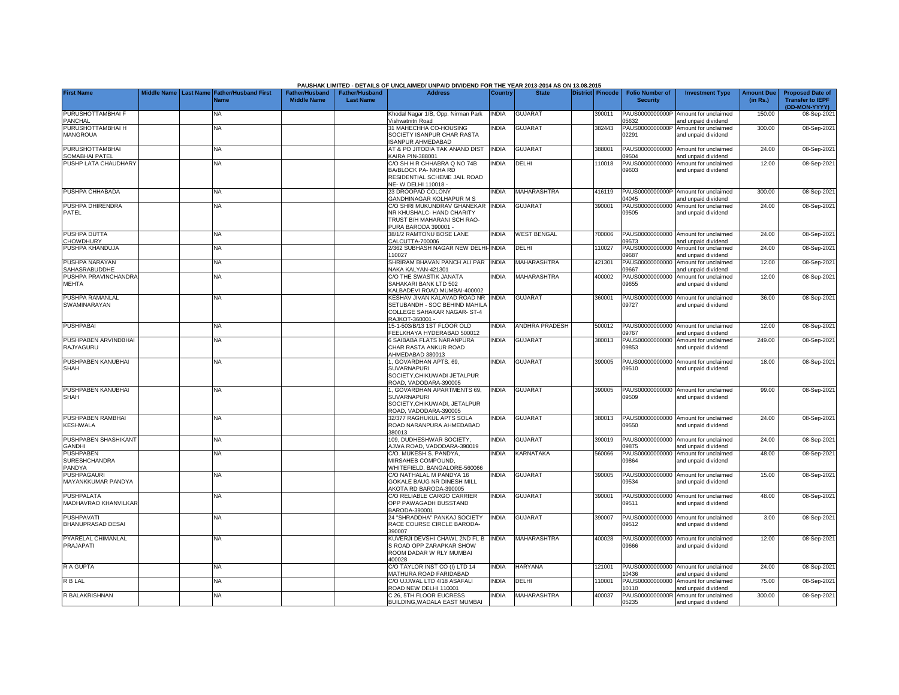|                                               |             |                  |                                     |                                             |                                           | PAUSHAK LIMITED - DETAILS OF UNCLAIMED/ UNPAID DIVIDEND FOR THE YEAR 2013-2014 AS ON 13.08.2015                        |              |                       |                         |                                           |                                                             |                               |                                                                     |
|-----------------------------------------------|-------------|------------------|-------------------------------------|---------------------------------------------|-------------------------------------------|------------------------------------------------------------------------------------------------------------------------|--------------|-----------------------|-------------------------|-------------------------------------------|-------------------------------------------------------------|-------------------------------|---------------------------------------------------------------------|
| <b>First Name</b>                             | Middle Name | <b>Last Name</b> | <b>Father/Husband First</b><br>Name | <b>Father/Husband</b><br><b>Middle Name</b> | <b>Father/Husband</b><br><b>Last Name</b> | <b>Address</b>                                                                                                         | Country      | <b>State</b>          | <b>District Pincode</b> | <b>Folio Number of</b><br><b>Security</b> | <b>Investment Type</b>                                      | <b>Amount Due</b><br>(in Rs.) | <b>Proposed Date of</b><br><b>Transfer to IEPF</b><br>(DD-MON-YYYY) |
| PURUSHOTTAMBHAI F<br>PANCHAL                  |             |                  | NA.                                 |                                             |                                           | Khodal Nagar 1/B, Opp. Nirman Park<br>/ishwatnitri Road                                                                | <b>INDIA</b> | <b>GUJARAT</b>        | 390011                  | PAUS0000000000P<br>05632                  | Amount for unclaimed<br>and unpaid dividend                 | 150.00                        | 08-Sep-2021                                                         |
| PURUSHOTTAMBHAI H<br><b>MANGROUA</b>          |             |                  | <b>NA</b>                           |                                             |                                           | 31 MAHECHHA CO-HOUSING<br>SOCIETY ISANPUR CHAR RASTA<br><b>ISANPUR AHMEDABAD</b>                                       | <b>INDIA</b> | <b>GUJARAT</b>        | 382443                  | PAUS0000000000P<br>02291                  | Amount for unclaimed<br>and unpaid dividend                 | 300.00                        | 08-Sep-2021                                                         |
| <b>PURUSHOTTAMBHAI</b><br>SOMABHAI PATEL      |             |                  | <b>NA</b>                           |                                             |                                           | AT & PO JITODIA TAK ANAND DIST<br><b>KAIRA PIN-388001</b>                                                              | <b>INDIA</b> | <b>GUJARAT</b>        | 388001                  | PAUS00000000000<br>09504                  | Amount for unclaimed<br>and unpaid dividend                 | 24.00                         | 08-Sep-2021                                                         |
| PUSHP LATA CHAUDHARY                          |             |                  | <b>NA</b>                           |                                             |                                           | C/O SH H R CHHABRA Q NO 74B<br>BA/BLOCK PA-NKHA RD<br>RESIDENTIAL SCHEME JAIL ROAD<br>NE- W DELHI 110018 -             | <b>INDIA</b> | DELHI                 | 110018                  | PAUS00000000000<br>09603                  | Amount for unclaimed<br>and unpaid dividend                 | 12.00                         | 08-Sep-2021                                                         |
| PUSHPA CHHABADA                               |             |                  | <b>NA</b>                           |                                             |                                           | 23 DROOPAD COLONY<br><b>GANDHINAGAR KOLHAPUR M S</b>                                                                   | <b>NDIA</b>  | <b>MAHARASHTRA</b>    | 416119                  | 04045                                     | PAUS0000000000P Amount for unclaimed<br>and unpaid dividend | 300.00                        | 08-Sep-2021                                                         |
| PUSHPA DHIRENDRA<br>PATEL                     |             |                  | NA                                  |                                             |                                           | C/O SHRI MUKUNDRAV GHANEKAR<br>NR KHUSHALC- HAND CHARITY<br>TRUST B/H MAHARANI SCH RAO-<br>PURA BARODA 390001 -        | <b>INDIA</b> | <b>GUJARAT</b>        | 390001                  | PAUS00000000000<br>09505                  | Amount for unclaimed<br>and unpaid dividend                 | 24.00                         | 08-Sep-2021                                                         |
| PUSHPA DUTTA<br><b>CHOWDHURY</b>              |             |                  | NA                                  |                                             |                                           | 38/1/2 RAMTONU BOSE LANE<br>CALCUTTA-700006                                                                            | <b>NDIA</b>  | <b>WEST BENGAL</b>    | 700006                  | PAUS00000000000<br>09573                  | Amount for unclaimed<br>and unpaid dividend                 | 24.00                         | 08-Sep-2021                                                         |
| PUSHPA KHANDUJA                               |             |                  | NA                                  |                                             |                                           | 2/362 SUBHASH NAGAR NEW DELHI-INDIA<br>110027                                                                          |              | DELHI                 | 110027                  | PAUS00000000000<br>09687                  | Amount for unclaimed<br>and unpaid dividend                 | 24.00                         | 08-Sep-2021                                                         |
| PUSHPA NARAYAN<br>SAHASRABUDDHE               |             |                  | <b>NA</b>                           |                                             |                                           | SHRIRAM BHAVAN PANCH ALI PAR<br>NAKA KALYAN-421301                                                                     | <b>INDIA</b> | <b>MAHARASHTRA</b>    | 421301                  | PAUS00000000000<br>09667                  | Amount for unclaimed<br>and unpaid dividend                 | 12.00                         | 08-Sep-2021                                                         |
| PUSHPA PRAVINCHANDRA<br><b>MEHTA</b>          |             |                  | NA                                  |                                             |                                           | C/O THE SWASTIK JANATA<br>SAHAKARI BANK LTD 502<br><b>KALBADEVI ROAD MUMBAI-400002</b>                                 | <b>INDIA</b> | <b>MAHARASHTRA</b>    | 400002                  | PAUS00000000000<br>09655                  | Amount for unclaimed<br>and unpaid dividend                 | 12.00                         | 08-Sep-2021                                                         |
| PUSHPA RAMANLAL<br>SWAMINARAYAN               |             |                  | NA.                                 |                                             |                                           | <b>KESHAV JIVAN KALAVAD ROAD NR</b><br>SETUBANDH - SOC BEHIND MAHILA<br>COLLEGE SAHAKAR NAGAR- ST-4<br>RAJKOT-360001 - | <b>INDIA</b> | <b>GUJARAT</b>        | 360001                  | PAUS00000000000<br>09727                  | Amount for unclaimed<br>and unpaid dividend                 | 36.00                         | 08-Sep-2021                                                         |
| <b>PUSHPABAI</b>                              |             |                  | <b>NA</b>                           |                                             |                                           | 15-1-503/B/13 1ST FLOOR OLD<br>FEELKHAYA HYDERABAD 500012                                                              | <b>NDIA</b>  | <b>ANDHRA PRADESH</b> | 500012                  | PAUS00000000000<br>09767                  | Amount for unclaimed<br>and unpaid dividend                 | 12.00                         | 08-Sep-2021                                                         |
| PUSHPABEN ARVINDBHAI<br>RAJYAGURU             |             |                  | <b>NA</b>                           |                                             |                                           | 6 SAIBABA FLATS NARANPURA<br>CHAR RASTA ANKUR ROAD<br>AHMEDABAD 380013                                                 | <b>INDIA</b> | <b>GUJARAT</b>        | 380013                  | PAUS00000000000<br>09853                  | Amount for unclaimed<br>and unpaid dividend                 | 249.00                        | 08-Sep-2021                                                         |
| PUSHPABEN KANUBHAI<br>SHAH                    |             |                  | <b>NA</b>                           |                                             |                                           | , GOVARDHAN APTS. 69,<br><b>SUVARNAPURI</b><br>SOCIETY, CHIKUWADI JETALPUR<br>ROAD, VADODARA-390005                    | <b>INDIA</b> | <b>GUJARAT</b>        | 390005                  | PAUS00000000000<br>09510                  | Amount for unclaimed<br>and unpaid dividend                 | 18.00                         | 08-Sep-2021                                                         |
| PUSHPABEN KANUBHAI<br>SHAH                    |             |                  | <b>NA</b>                           |                                             |                                           | 1, GOVARDHAN APARTMENTS 69,<br><b>SUVARNAPURI</b><br>SOCIETY.CHIKUWADI, JETALPUR<br>ROAD, VADODARA-390005              | <b>INDIA</b> | <b>GUJARAT</b>        | 390005                  | PAUS00000000000<br>09509                  | Amount for unclaimed<br>and unpaid dividend                 | 99.00                         | 08-Sep-2021                                                         |
| PUSHPABEN RAMBHAI<br><b>KESHWALA</b>          |             |                  | NA                                  |                                             |                                           | 32/377 RAGHUKUL APTS SOLA<br>ROAD NARANPURA AHMEDABAD<br>380013                                                        | <b>NDIA</b>  | <b>GUJARAT</b>        | 380013                  | PAUS00000000000<br>09550                  | Amount for unclaimed<br>and unpaid dividend                 | 24.00                         | 08-Sep-2021                                                         |
| PUSHPABEN SHASHIKANT<br><b>GANDHI</b>         |             |                  | NA                                  |                                             |                                           | 109, DUDHESHWAR SOCIETY,<br>AJWA ROAD, VADODARA-390019                                                                 | <b>NDIA</b>  | <b>GUJARAT</b>        | 390019                  | PAUS00000000000<br>09875                  | Amount for unclaimed<br>and unpaid dividend                 | 24.00                         | 08-Sep-2021                                                         |
| <b>PUSHPABEN</b><br>SURESHCHANDRA<br>PANDYA   |             |                  | <b>NA</b>                           |                                             |                                           | C/O. MUKESH S. PANDYA.<br>MIRSAHEB COMPOUND,<br>WHITEFIELD, BANGALORE-560066                                           | <b>NDIA</b>  | <b>KARNATAKA</b>      | 560066                  | PAUS00000000000<br>09864                  | Amount for unclaimed<br>and unpaid dividend                 | 48.00                         | 08-Sep-2021                                                         |
| PUSHPAGAURI<br>MAYANKKUMAR PANDYA             |             |                  | <b>NA</b>                           |                                             |                                           | C/O NATHALAL M PANDYA 16<br>GOKALE BAUG NR DINESH MILL<br>AKOTA RD BARODA-390005                                       | <b>NDIA</b>  | <b>GUJARAT</b>        | 390005                  | PAUS00000000000<br>09534                  | Amount for unclaimed<br>and unpaid dividend                 | 15.00                         | 08-Sep-2021                                                         |
| <b>PUSHPALATA</b><br>MADHAVRAO KHANVILKAR     |             |                  | ΝA                                  |                                             |                                           | C/O RELIABLE CARGO CARRIER<br>OPP PAWAGADH BUSSTAND<br>BARODA-390001                                                   | INDIA        | <b>GUJARAT</b>        | 390001                  | 09511                                     | PAUS00000000000 Amount for unclaimed<br>and unpaid dividend | 48.00                         | 08-Sep-2021                                                         |
| <b>PUSHPAVATI</b><br><b>BHANUPRASAD DESAI</b> |             |                  | NA                                  |                                             |                                           | 24 "SHRADDHA" PANKAJ SOCIETY<br>RACE COURSE CIRCLE BARODA-<br>390007                                                   | <b>NDIA</b>  | <b>GUJARAT</b>        | 390007                  | PAUS00000000000<br>09512                  | Amount for unclaimed<br>and unpaid dividend                 | 3.00                          | 08-Sep-2021                                                         |
| PYARELAL CHIMANLAL<br><b>PRAJAPATI</b>        |             |                  | <b>NA</b>                           |                                             |                                           | <b>KUVERJI DEVSHI CHAWL 2ND FL B</b><br>S ROAD OPP ZARAPKAR SHOW<br>ROOM DADAR W RLY MUMBAI<br>400028                  | <b>INDIA</b> | <b>MAHARASHTRA</b>    | 400028                  | PAUS00000000000<br>09666                  | Amount for unclaimed<br>and unpaid dividend                 | 12.00                         | 08-Sep-2021                                                         |
| R A GUPTA                                     |             |                  | NA                                  |                                             |                                           | C/O TAYLOR INST CO (I) LTD 14<br>MATHURA ROAD FARIDABAD                                                                | <b>INDIA</b> | <b>HARYANA</b>        | 121001                  | PAUS00000000000<br>10436                  | Amount for unclaimed<br>and unpaid dividend                 | 24.00                         | 08-Sep-2021                                                         |
| R B LAL                                       |             |                  | <b>NA</b>                           |                                             |                                           | C/O UJJWAL LTD 4/18 ASAFALI<br>ROAD NEW DELHI 110001                                                                   | <b>INDIA</b> | DELHI                 | 110001                  | PAUS00000000000<br>10110                  | Amount for unclaimed<br>and unpaid dividend                 | 75.00                         | 08-Sep-2021                                                         |
| R BALAKRISHNAN                                |             |                  | <b>NA</b>                           |                                             |                                           | 26, 5TH FLOOR EUCRESS<br><b>BUILDING, WADALA EAST MUMBAI</b>                                                           | <b>INDIA</b> | <b>MAHARASHTRA</b>    | 400037                  | 05235                                     | PAUS0000000000R Amount for unclaimed<br>and unpaid dividend | 300.00                        | 08-Sep-2021                                                         |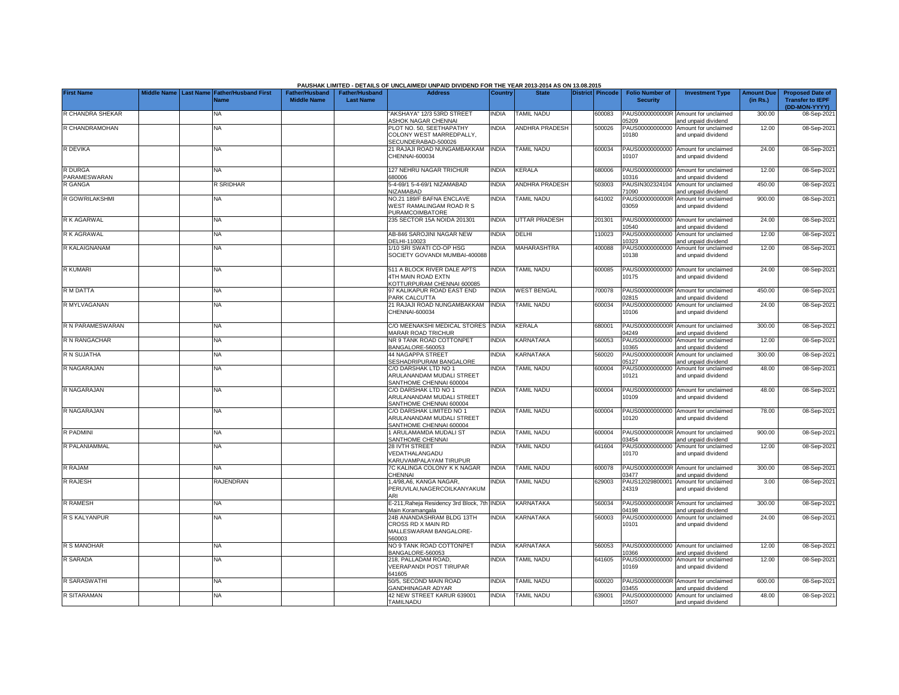|                         |                    |                                               |                                             |                                           | PAUSHAK LIMITED - DETAILS OF UNCLAIMED/ UNPAID DIVIDEND FOR THE YEAR 2013-2014 AS ON 13.08.2015 |                |                       |                  |                                           |                                                             |                               |                                                                     |
|-------------------------|--------------------|-----------------------------------------------|---------------------------------------------|-------------------------------------------|-------------------------------------------------------------------------------------------------|----------------|-----------------------|------------------|-------------------------------------------|-------------------------------------------------------------|-------------------------------|---------------------------------------------------------------------|
| <b>First Name</b>       | <b>Middle Name</b> | <b>Last Name Father/Husband First</b><br>Name | <b>Father/Husband</b><br><b>Middle Name</b> | <b>Father/Husband</b><br><b>Last Name</b> | <b>Address</b>                                                                                  | <b>Country</b> | <b>State</b>          | District Pincode | <b>Folio Number of</b><br><b>Security</b> | <b>Investment Type</b>                                      | <b>Amount Due</b><br>(in Rs.) | <b>Proposed Date of</b><br><b>Transfer to IEPF</b><br>(DD-MON-YYYY) |
| R CHANDRA SHEKAR        |                    | NA                                            |                                             |                                           | AKSHAYA" 12/3 53RD STREET<br><b>ASHOK NAGAR CHENNAI</b>                                         | <b>NDIA</b>    | <b>TAMIL NADU</b>     | 600083           | PAUS0000000000R<br>5209                   | Amount for unclaimed<br>and unpaid dividend                 | 300.00                        | 08-Sep-2021                                                         |
| R CHANDRAMOHAN          |                    | <b>NA</b>                                     |                                             |                                           | PLOT NO. 50, SEETHAPATHY<br>COLONY WEST MARREDPALLY.<br>SECUNDERABAD-500026                     | <b>NDIA</b>    | ANDHRA PRADESH        | 500026           | PAUS00000000000<br>10180                  | Amount for unclaimed<br>and unpaid dividend                 | 12.00                         | 08-Sep-2021                                                         |
| R DEVIKA                |                    | <b>NA</b>                                     |                                             |                                           | 21 RAJAJI ROAD NUNGAMBAKKAM<br>CHENNAI-600034                                                   | <b>INDIA</b>   | TAMIL NADU            | 600034           | 10107                                     | PAUS00000000000 Amount for unclaimed<br>and unpaid dividend | 24.00                         | 08-Sep-2021                                                         |
| R DURGA<br>PARAMESWARAN |                    | ΝA                                            |                                             |                                           | 127 NEHRU NAGAR TRICHUR<br>380006                                                               | INDIA          | KERALA                | 680006           | 10316                                     | PAUS00000000000 Amount for unclaimed<br>and unpaid dividend | 12.00                         | 08-Sep-2021                                                         |
| R GANGA                 |                    | <b>R</b> SRIDHAR                              |                                             |                                           | 5-4-69/1 5-4-69/1 NIZAMABAD<br><b>NIZAMABAD</b>                                                 | <b>NDIA</b>    | <b>ANDHRA PRADESH</b> | 503003           | PAUSIN302324104<br>71090                  | Amount for unclaimed<br>and unpaid dividend                 | 450.00                        | 08-Sep-2021                                                         |
| R GOWRILAKSHMI          |                    | NA                                            |                                             |                                           | NO.21 189/F BAFNA ENCLAVE<br>WEST RAMALINGAM ROAD R S<br><b>PURAMCOIMBATORE</b>                 | <b>NDIA</b>    | <b>TAMIL NADU</b>     | 641002           | PAUS0000000000R<br>03059                  | Amount for unclaimed<br>and unpaid dividend                 | 900.00                        | 08-Sep-2021                                                         |
| R K AGARWAL             |                    | ΝA                                            |                                             |                                           | 235 SECTOR 15A NOIDA 201301                                                                     | <b>NDIA</b>    | <b>UTTAR PRADESH</b>  | 201301           | PAUS00000000000<br>0540                   | Amount for unclaimed<br>and unpaid dividend                 | 24.00                         | 08-Sep-2021                                                         |
| R K AGRAWAL             |                    | ΝA                                            |                                             |                                           | <b>AB-846 SAROJINI NAGAR NEW</b><br><b>JELHI-110023</b>                                         | <b>NDIA</b>    | DELHI                 | 10023            | PAUS00000000000<br>10323                  | Amount for unclaimed<br>and unpaid dividend                 | 12.00                         | 08-Sep-2021                                                         |
| R KALAIGNANAM           |                    | NA                                            |                                             |                                           | 1/10 SRI SWATI CO-OP HSG<br>SOCIETY GOVANDI MUMBAI-400088                                       | <b>NDIA</b>    | <b>MAHARASHTRA</b>    | 400088           | PAUS00000000000<br>10138                  | Amount for unclaimed<br>and unpaid dividend                 | 12.00                         | 08-Sep-2021                                                         |
| <b>R KUMARI</b>         |                    | NA                                            |                                             |                                           | 511 A BLOCK RIVER DALE APTS<br>4TH MAIN ROAD EXTN<br>KOTTURPURAM CHENNAI 600085                 | <b>NDIA</b>    | <b>TAMIL NADU</b>     | 600085           | 10175                                     | PAUS00000000000 Amount for unclaimed<br>and unpaid dividend | 24.00                         | 08-Sep-2021                                                         |
| R M DATTA               |                    | NA                                            |                                             |                                           | 97 KALIKAPUR ROAD EAST END<br>PARK CALCUTTA                                                     | <b>NDIA</b>    | <b>WEST BENGAL</b>    | 700078           | PAUS0000000000R<br>02815                  | Amount for unclaimed<br>and unpaid dividend                 | 450.00                        | 08-Sep-2021                                                         |
| R MYLVAGANAN            |                    | NA                                            |                                             |                                           | 21 RAJAJI ROAD NUNGAMBAKKAM<br>CHENNAI-600034                                                   | <b>INDIA</b>   | TAMIL NADU            | 600034           | PAUS00000000000<br>10106                  | Amount for unclaimed<br>and unpaid dividend                 | 24.00                         | 08-Sep-2021                                                         |
| R N PARAMESWARAN        |                    | <b>NA</b>                                     |                                             |                                           | C/O MEENAKSHI MEDICAL STORES INDIA<br>MARAR ROAD TRICHUR                                        |                | <b>KERALA</b>         | 680001           | 04249                                     | PAUS0000000000R Amount for unclaimed<br>and unpaid dividend | 300.00                        | 08-Sep-2021                                                         |
| R N RANGACHAR           |                    | NA                                            |                                             |                                           | NR 9 TANK ROAD COTTONPET<br>BANGALORE-560053                                                    | <b>INDIA</b>   | KARNATAKA             | 560053           | 10365                                     | PAUS00000000000 Amount for unclaimed<br>and unpaid dividend | 12.00                         | 08-Sep-2021                                                         |
| R N SUJATHA             |                    | NA                                            |                                             |                                           | 44 NAGAPPA STREET<br>SESHADRIPURAM BANGALORE                                                    | <b>NDIA</b>    | KARNATAKA             | 560020           | 05127                                     | PAUS0000000000R Amount for unclaimed<br>and unpaid dividend | 300.00                        | 08-Sep-2021                                                         |
| R NAGARAJAN             |                    | NA                                            |                                             |                                           | C/O DARSHAK LTD NO 1<br>ARULANANDAM MUDALI STREET<br>SANTHOME CHENNAI 600004                    | <b>NDIA</b>    | <b>TAMIL NADU</b>     | 600004           | 10121                                     | PAUS00000000000 Amount for unclaimed<br>and unpaid dividend | 48.00                         | 08-Sep-2021                                                         |
| R NAGARAJAN             |                    | <b>NA</b>                                     |                                             |                                           | C/O DARSHAK LTD NO 1<br>ARULANANDAM MUDALI STREET<br>SANTHOME CHENNAI 600004                    | <b>NDIA</b>    | <b>TAMIL NADU</b>     | 600004           | 10109                                     | PAUS00000000000 Amount for unclaimed<br>and unpaid dividend | 48.00                         | 08-Sep-2021                                                         |
| R NAGARAJAN             |                    | <b>NA</b>                                     |                                             |                                           | C/O DARSHAK LIMITED NO 1<br>ARULANANDAM MUDALI STREET<br>SANTHOME CHENNAI 600004                | <b>NDIA</b>    | <b>TAMIL NADU</b>     | 600004           | 10120                                     | PAUS00000000000 Amount for unclaimed<br>and unpaid dividend | 78.00                         | 08-Sep-2021                                                         |
| R PADMINI               |                    | <b>NA</b>                                     |                                             |                                           | 1 ARULAMAMDA MUDALI ST<br>SANTHOME CHENNAI                                                      | <b>INDIA</b>   | <b>TAMIL NADU</b>     | 600004           | 03454                                     | PAUS0000000000R Amount for unclaimed<br>and unpaid dividend | 900.00                        | 08-Sep-2021                                                         |
| R PALANIAMMAL           |                    | <b>NA</b>                                     |                                             |                                           | 28 IVTH STREET<br>VEDATHALANGADU<br><b>KARUVAMPALAYAM TIRUPUR</b>                               | INDIA          | TAMIL NADU            | 641604           | 10170                                     | PAUS00000000000 Amount for unclaimed<br>and unpaid dividend | 12.00                         | 08-Sep-2021                                                         |
| R RAJAM                 |                    | NA                                            |                                             |                                           | 7C KALINGA COLONY K K NAGAR<br>CHENNAI                                                          | <b>INDIA</b>   | <b>TAMIL NADU</b>     | 600078           | 03477                                     | PAUS0000000000R Amount for unclaimed<br>and unpaid dividend | 300.00                        | 08-Sep-2021                                                         |
| R RAJESH                |                    | <b>RAJENDRAN</b>                              |                                             |                                           | 1,4/98,A6, KANGA NAGAR,<br>PERUVILAI.NAGERCOILKANYAKUM<br>ARI                                   | <b>NDIA</b>    | <b>TAMIL NADU</b>     | 629003           | PAUS12029800001<br>24319                  | Amount for unclaimed<br>and unpaid dividend                 | 3.00                          | 08-Sep-2021                                                         |
| <b>R RAMESH</b>         |                    | <b>NA</b>                                     |                                             |                                           | E-211, Raheja Residency 3rd Block, 7th<br>Vlain Koramangala                                     | <b>INDIA</b>   | <b>KARNATAKA</b>      | 560034           | 04198                                     | PAUS0000000000R Amount for unclaimed<br>and unpaid dividend | 300.00                        | 08-Sep-2021                                                         |
| R S KALYANPUR           |                    | NA                                            |                                             |                                           | 24B ANANDASHRAM BLDG 13TH<br>CROSS RD X MAIN RD<br>MALLESWARAM BANGALORE-                       | <b>NDIA</b>    | KARNATAKA             | 560003           | PAUS00000000000<br>10101                  | Amount for unclaimed<br>and unpaid dividend                 | 24.00                         | 08-Sep-2021                                                         |
| R S MANOHAR             |                    | <b>NA</b>                                     |                                             |                                           | 560003<br>NO 9 TANK ROAD COTTONPET<br>BANGALORE-560053                                          | <b>NDIA</b>    | KARNATAKA             | 560053           | 10366                                     | PAUS00000000000 Amount for unclaimed<br>and unpaid dividend | 12.00                         | 08-Sep-2021                                                         |
| R SARADA                |                    | NA.                                           |                                             |                                           | 218, PALLADAM ROAD,<br>VEERAPANDI POST TIRUPAR<br>641605                                        | <b>NDIA</b>    | <b>TAMIL NADU</b>     | 641605           | PAUS00000000000<br>10169                  | Amount for unclaimed<br>and unpaid dividend                 | 12.00                         | 08-Sep-2021                                                         |
| R SARASWATHI            |                    | NA                                            |                                             |                                           | 50/5, SECOND MAIN ROAD<br><b>GANDHINAGAR ADYAR</b>                                              | <b>NDIA</b>    | <b>TAMIL NADU</b>     | 600020           | PAUS0000000000R<br>03455                  | Amount for unclaimed<br>and unpaid dividend                 | 600.00                        | 08-Sep-2021                                                         |
| R SITARAMAN             |                    | NA                                            |                                             |                                           | 42 NEW STREET KARUR 639001<br><b>TAMILNADU</b>                                                  | INDIA          | <b>TAMIL NADU</b>     | 639001           | 10507                                     | PAUS00000000000 Amount for unclaimed<br>and unpaid dividend | 48.00                         | 08-Sep-2021                                                         |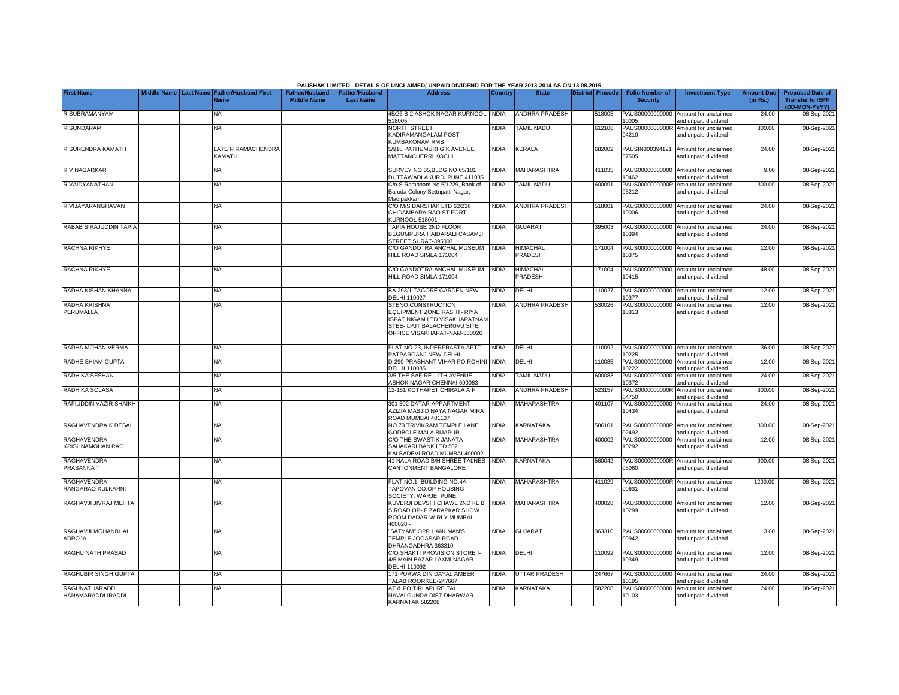|                                        |             |           |                                            |                                             |                                           | PAUSHAK LIMITED - DETAILS OF UNCLAIMED/ UNPAID DIVIDEND FOR THE YEAR 2013-2014 AS ON 13.08.2015                                                                       |              |                            |                  |                                           |                                                             |                               |                                                                     |
|----------------------------------------|-------------|-----------|--------------------------------------------|---------------------------------------------|-------------------------------------------|-----------------------------------------------------------------------------------------------------------------------------------------------------------------------|--------------|----------------------------|------------------|-------------------------------------------|-------------------------------------------------------------|-------------------------------|---------------------------------------------------------------------|
| <b>First Name</b>                      | Middle Name | Last Name | <b>Father/Husband First</b><br><b>Name</b> | <b>Father/Husband</b><br><b>Middle Name</b> | <b>Father/Husband</b><br><b>Last Name</b> | <b>Address</b>                                                                                                                                                        | Country      | <b>State</b>               | District Pincode | <b>Folio Number of</b><br><b>Security</b> | <b>Investment Type</b>                                      | <b>Amount Due</b><br>(in Rs.) | <b>Proposed Date of</b><br><b>Transfer to IEPF</b><br>(DD-MON-YYYY) |
| R SUBRAMANYAM                          |             |           | <b>NA</b>                                  |                                             |                                           | 45/26 B-2 ASHOK NAGAR KURNOOL<br>18005                                                                                                                                | <b>INDIA</b> | <b>ANDHRA PRADESH</b>      | 518005           | PAUS00000000000<br>10005                  | Amount for unclaimed<br>and unpaid dividend                 | 24.00                         | 08-Sep-2021                                                         |
| R SUNDARAM                             |             |           | NA                                         |                                             |                                           | <b>NORTH STREET</b><br>KADIRAMANGALAM POST<br>KUMBAKONAM RMS                                                                                                          | <b>INDIA</b> | <b>TAMIL NADU</b>          | 612106           | PAUS0000000000R<br>04210                  | Amount for unclaimed<br>and unpaid dividend                 | 300.00                        | 08-Sep-2021                                                         |
| R SURENDRA KAMATH                      |             |           | LATE N RAMACHENDRA<br><b>KAMATH</b>        |                                             |                                           | 5/918 PATHUMURI G K AVENUE<br>MATTANCHERRI KOCHI                                                                                                                      | <b>INDIA</b> | KERALA                     | 682002           | 57505                                     | PAUSIN300394121 Amount for unclaimed<br>and unpaid dividend | 24.00                         | 08-Sep-2021                                                         |
| R V NAGARKAR                           |             |           | <b>NA</b>                                  |                                             |                                           | SURVEY NO 35, BLDG NO 65/181<br>DUTTAWADI AKURDI PUNE 411035                                                                                                          | <b>NDIA</b>  | <b>MAHARASHTRA</b>         | 411035           | 10462                                     | PAUS00000000000 Amount for unclaimed<br>and unpaid dividend | 9.00                          | 08-Sep-2021                                                         |
| R VAIDYANATHAN                         |             |           | <b>NA</b>                                  |                                             |                                           | C/o.S.Ramanam No.5/1229. Bank of<br>Baroda Colony Settnpatti Nagar,<br>Madipakkam                                                                                     | <b>INDIA</b> | <b>TAMIL NADU</b>          | 600091           | 05212                                     | PAUS0000000000R Amount for unclaimed<br>and unpaid dividend | 300.00                        | 08-Sep-2021                                                         |
| R VIJAYARANGHAVAN                      |             |           | NA                                         |                                             |                                           | C/O M/S DARSHAK LTD 62/236<br>CHIDAMBARA RAO ST FORT<br>URNOOL-518001                                                                                                 | <b>NDIA</b>  | ANDHRA PRADESH             | 518001           | 10006                                     | PAUS00000000000 Amount for unclaimed<br>and unpaid dividend | 24.00                         | 08-Sep-2021                                                         |
| RABAB SIRAJUDDIN TAPIA                 |             |           | NA                                         |                                             |                                           | <b>TAPIA HOUSE 2ND FLOOR</b><br>BEGUMPURA HAIDARALI CASAMJI<br>STREET SURAT-395003                                                                                    | <b>NDIA</b>  | GUJARAT                    | 395003           | PAUS00000000000<br>10394                  | Amount for unclaimed<br>and unpaid dividend                 | 24.00                         | 08-Sep-2021                                                         |
| <b>RACHNA RIKHYE</b>                   |             |           | ΝA                                         |                                             |                                           | C/O GANDOTRA ANCHAL MUSEUM<br>HILL ROAD SIMLA 171004                                                                                                                  | <b>INDIA</b> | <b>HIMACHAL</b><br>PRADESH | 171004           | 10375                                     | PAUS00000000000 Amount for unclaimed<br>and unpaid dividend | 12.00                         | 08-Sep-2021                                                         |
| RACHNA RIKHYE                          |             |           | <b>NA</b>                                  |                                             |                                           | C/O GANDOTRA ANCHAL MUSEUM<br>HILL ROAD SIMLA 171004                                                                                                                  | <b>INDIA</b> | <b>HIMACHAL</b><br>PRADESH | 171004           | 10415                                     | PAUS00000000000 Amount for unclaimed<br>and unpaid dividend | 48.00                         | 08-Sep-2021                                                         |
| RADHA KISHAN KHANNA                    |             |           | NA                                         |                                             |                                           | BA 293/1 TAGORE GARDEN NEW<br><b>DELHI 110027</b>                                                                                                                     | <b>INDIA</b> | DELHI                      | 110027           | 10377                                     | PAUS00000000000 Amount for unclaimed<br>and unpaid dividend | 12.00                         | 08-Sep-2021                                                         |
| RADHA KRISHNA<br>PERUMALLA             |             |           | <b>NA</b>                                  |                                             |                                           | <b>STENO CONSTRUCTION</b><br><b>EQUIPMENT ZONE RASHT- RIYA</b><br><b>ISPAT NIGAM LTD VISAKHAPATNAM</b><br>STEE- LPJT BALACHERUVU SITE<br>OFFICE VISAKHAPAT-NAM-530026 | <b>INDIA</b> | <b>ANDHRA PRADESH</b>      | 530026           | PAUS00000000000<br>10313                  | Amount for unclaimed<br>and unpaid dividend                 | 12.00                         | 08-Sep-2021                                                         |
| RADHA MOHAN VERMA                      |             |           | ΝA                                         |                                             |                                           | FLAT NO-23, INDERPRASTA APTT.<br>PATPARGANJ NEW DELHI                                                                                                                 | INDIA        | DELHI                      | 110092           | 10225                                     | PAUS00000000000 Amount for unclaimed<br>and unpaid dividend | 36.00                         | 08-Sep-2021                                                         |
| RADHE SHIAM GUPTA                      |             |           | <b>NA</b>                                  |                                             |                                           | 0-290 PRASHANT VIHAR PO ROHINI INDIA<br><b>DELHI 110085</b>                                                                                                           |              | DELHI                      | 110085           | PAUS00000000000<br>10222                  | Amount for unclaimed<br>and unpaid dividend                 | 12.00                         | 08-Sep-2021                                                         |
| RADHIKA SESHAN                         |             |           | <b>NA</b>                                  |                                             |                                           | 3/5 THE SAFIRE 11TH AVENUE<br><b>ASHOK NAGAR CHENNAI 600083</b>                                                                                                       | INDIA        | <b>TAMIL NADU</b>          | 600083           | PAUS00000000000<br>10372                  | Amount for unclaimed<br>and unpaid dividend                 | 24.00                         | 08-Sep-2021                                                         |
| RADHIKA SOLASA                         |             |           | <b>NA</b>                                  |                                             |                                           | 12-151 KOTHAPET CHIRALA A P                                                                                                                                           | INDIA        | ANDHRA PRADESH             | 523157           | PAUS0000000000R<br>14750                  | Amount for unclaimed<br>and unpaid dividend                 | 300.00                        | 08-Sep-2021                                                         |
| RAFIUDDIN VAZIR SHAIKH                 |             |           | <b>NA</b>                                  |                                             |                                           | <b>801 302 DATAR APPARTMENT</b><br>AZIZIA MASJID NAYA NAGAR MIRA<br><b>ROAD MUMBAI.401107</b>                                                                         | <b>NDIA</b>  | MAHARASHTRA                | 401107           | PAUS00000000000<br>10434                  | Amount for unclaimed<br>and unpaid dividend                 | 24.00                         | 08-Sep-2021                                                         |
| RAGHAVENDRA K DESAI                    |             |           | <b>NA</b>                                  |                                             |                                           | <b>NO 73 TRIVIKRAM TEMPLE LANE</b><br><b>GODBOLE MALA BIJAPUR</b>                                                                                                     | <b>INDIA</b> | KARNATAKA                  | 586101           | 12492                                     | PAUS0000000000R Amount for unclaimed<br>and unpaid dividend | 300.00                        | 08-Sep-2021                                                         |
| <b>RAGHAVENDRA</b><br>KRISHNAMOHAN RAO |             |           | NA                                         |                                             |                                           | C/O THE SWASTIK JANATA<br>SAHAKARI BANK LTD 502<br><b>CALBADEVI ROAD MUMBAI-400002</b>                                                                                | <b>NDIA</b>  | <b>MAHARASHTRA</b>         | 400002           | PAUS00000000000<br>10292                  | Amount for unclaimed<br>and unpaid dividend                 | 12.00                         | 08-Sep-2021                                                         |
| <b>RAGHAVENDRA</b><br>PRASANNA T       |             |           | NA                                         |                                             |                                           | 41 NALA ROAD B/H SHREE TALNES<br>CANTONMENT BANGALORE                                                                                                                 | <b>INDIA</b> | KARNATAKA                  | 560042           | 05060                                     | PAUS0000000000R Amount for unclaimed<br>and unpaid dividend | 900.00                        | 08-Sep-2021                                                         |
| RAGHAVENDRA<br>RANGARAO KULKARNI       |             |           | <b>NA</b>                                  |                                             |                                           | FLAT NO.1, BUILDING NO.4A,<br><b>TAPOVAN CO.OP HOUSING</b><br>SOCIETY, WARJE, PUNE.                                                                                   | <b>INDIA</b> | MAHARASHTRA                | 411029           | 00631                                     | PAUS0000000000R Amount for unclaimed<br>and unpaid dividend | 1200.00                       | 08-Sep-2021                                                         |
| RAGHAVJI JIVRAJ MEHTA                  |             |           | <b>NA</b>                                  |                                             |                                           | <b>KUVERJI DEVSHI CHAWL 2ND FL B</b><br>S ROAD OP- P ZARAPKAR SHOW<br>ROOM DADAR W RLY MUMBAI- -<br>400028.                                                           | <b>INDIA</b> | MAHARASHTRA                | 400028           | 10299                                     | PAUS00000000000 Amount for unclaimed<br>and unpaid dividend | 12.00                         | 08-Sep-2021                                                         |
| RAGHAVJI MOHANBHAI<br>ADROJA           |             |           | <b>NA</b>                                  |                                             |                                           | 'SATYAM" OPP HANUMAN'S<br>TEMPLE JOGASAR ROAD<br>DHRANGADHRA 363310                                                                                                   | <b>INDIA</b> | <b>GUJARAT</b>             | 363310           | 09942                                     | PAUS00000000000 Amount for unclaimed<br>and unpaid dividend | 3.00                          | 08-Sep-2021                                                         |
| RAGHU NATH PRASAD                      |             |           | NA.                                        |                                             |                                           | C/O SHAKTI PROVISION STORE I-<br>4/5 MAIN BAZAR LAXMI NAGAR<br>DELHI-110092                                                                                           | INDIA        | DELHI                      | 10092            | 10349                                     | PAUS00000000000 Amount for unclaimed<br>and unpaid dividend | 12.00                         | 08-Sep-2021                                                         |
| RAGHUBIR SINGH GUPTA                   |             |           | <b>NA</b>                                  |                                             |                                           | 171 PURWA DIN DAYAL AMBER<br><b>TALAB ROORKEE-247667</b>                                                                                                              | <b>INDIA</b> | <b>UTTAR PRADESH</b>       | 247667           | 10195                                     | PAUS00000000000 Amount for unclaimed<br>and unpaid dividend | 24.00                         | 08-Sep-2021                                                         |
| RAGUNATHARADDI<br>HANAMARADDI IRADDI   |             |           | ΝA                                         |                                             |                                           | <b>AT &amp; PO TIRLAPURE TAL</b><br>NAVALGUNDA DIST DHARWAR<br>KARNATAK 582208                                                                                        | <b>INDIA</b> | KARNATAKA                  | 582208           | 10103                                     | PAUS00000000000 Amount for unclaimed<br>and unpaid dividend | 24.00                         | 08-Sep-2021                                                         |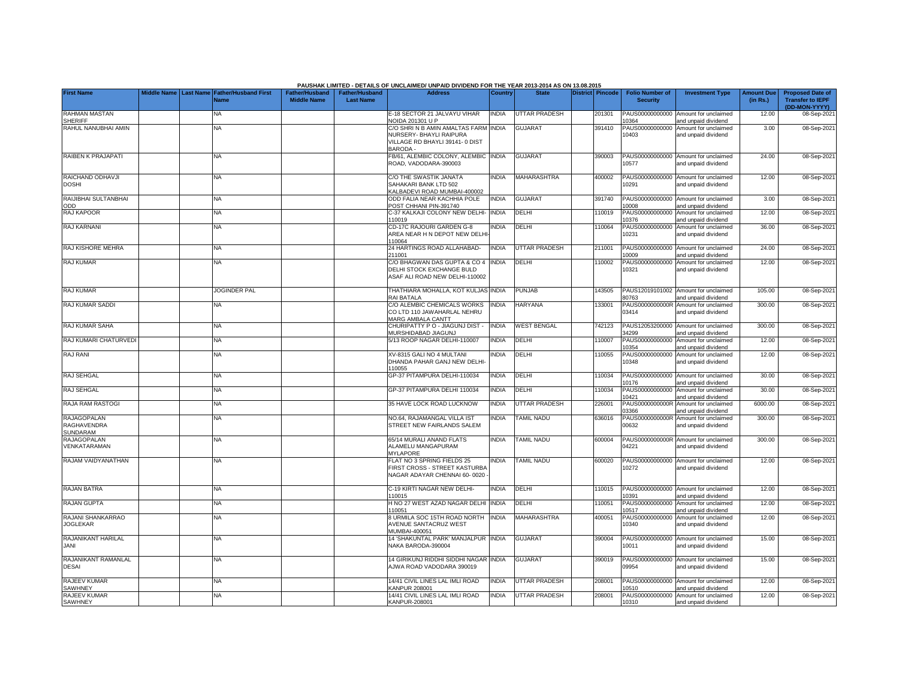| <b>First Name</b>                             |  | Middle Name Last Name Father/Husband First<br><b>Name</b> | ו האווטרש<br><b>Father/Husband</b><br><b>Middle Name</b> | <b>Father/Husband</b><br><b>Last Name</b> | <b>Address</b>                                                                                                      | Country      | <b>State</b>         | 19.99.ZU I<br>District Pincode | <b>Folio Number of</b><br><b>Security</b> | <b>Investment Type</b>                                      | <b>Amount Due</b><br>(in Rs.) | <b>Proposed Date of</b><br><b>Transfer to IEPF</b><br>(DD-MON-YYYY) |
|-----------------------------------------------|--|-----------------------------------------------------------|----------------------------------------------------------|-------------------------------------------|---------------------------------------------------------------------------------------------------------------------|--------------|----------------------|--------------------------------|-------------------------------------------|-------------------------------------------------------------|-------------------------------|---------------------------------------------------------------------|
| RAHMAN MASTAN<br>SHERIFF                      |  | NA                                                        |                                                          |                                           | E-18 SECTOR 21 JALVAYU VIHAR<br><b>NOIDA 201301 U P</b>                                                             | <b>INDIA</b> | UTTAR PRADESH        | 201301                         | PAUS00000000000<br>0364                   | Amount for unclaimed<br>nd unpaid dividend                  | 12.00                         | 08-Sep-2021                                                         |
| RAHUL NANUBHAI AMIN                           |  | NA.                                                       |                                                          |                                           | C/O SHRI N B AMIN AMALTAS FARM INDIA<br>NURSERY- BHAYLI RAIPURA<br>VILLAGE RD BHAYLI 39141-0 DIST<br><b>BARODA-</b> |              | <b>GUJARAT</b>       | 391410                         | PAUS00000000000<br>10403                  | Amount for unclaimed<br>and unpaid dividend                 | 3.00                          | 08-Sep-2021                                                         |
| RAIBEN K PRAJAPATI                            |  | NA                                                        |                                                          |                                           | B/61, ALEMBIC COLONY, ALEMBIC INDIA<br>ROAD, VADODARA-390003                                                        |              | <b>GUJARAT</b>       | 390003                         | PAUS00000000000<br>10577                  | Amount for unclaimed<br>and unpaid dividend                 | 24.00                         | 08-Sep-2021                                                         |
| RAICHAND ODHAVJI<br>DOSHI                     |  | NA                                                        |                                                          |                                           | C/O THE SWASTIK JANATA<br>SAHAKARI BANK LTD 502<br>KALBADEVI ROAD MUMBAI-400002                                     | <b>INDIA</b> | <b>MAHARASHTRA</b>   | 400002                         | PAUS00000000000<br>10291                  | Amount for unclaimed<br>and unpaid dividend                 | 12.00                         | 08-Sep-2021                                                         |
| RAIJIBHAI SULTANBHAI<br>ODD                   |  | NA                                                        |                                                          |                                           | ODD FALIA NEAR KACHHIA POLE<br>POST CHHANI PIN-391740                                                               | <b>INDIA</b> | <b>GUJARAT</b>       | 391740                         | PAUS00000000000<br>0008                   | Amount for unclaimed<br>nd unpaid dividend                  | 3.00                          | 08-Sep-2021                                                         |
| RAJ KAPOOR                                    |  | NA                                                        |                                                          |                                           | C-37 KALKAJI COLONY NEW DELHI- INDIA<br>110019                                                                      |              | DELHI                | 110019                         | PAUS00000000000<br>10376                  | Amount for unclaimed<br>and unpaid dividend                 | 12.00                         | 08-Sep-2021                                                         |
| <b>RAJ KARNANI</b>                            |  | NA                                                        |                                                          |                                           | CD-17C RAJOURI GARDEN G-8<br>AREA NEAR H N DEPOT NEW DELH<br>110064                                                 | <b>NDIA</b>  | <b>DELHI</b>         | 110064                         | PAUS00000000000<br>10231                  | Amount for unclaimed<br>and unpaid dividend                 | 36.00                         | 08-Sep-2021                                                         |
| RAJ KISHORE MEHRA                             |  | NA                                                        |                                                          |                                           | 24 HARTINGS ROAD ALLAHABAD-<br>211001                                                                               | <b>INDIA</b> | <b>UTTAR PRADESH</b> | 211001                         | PAUS00000000000<br>0009                   | Amount for unclaimed<br>and unpaid dividend                 | 24.00                         | 08-Sep-2021                                                         |
| <b>RAJ KUMAR</b>                              |  | NA                                                        |                                                          |                                           | C/O BHAGWAN DAS GUPTA & CO 4 INDIA<br>DELHI STOCK EXCHANGE BULD<br>ASAF ALI ROAD NEW DELHI-110002                   |              | <b>DELHI</b>         | 110002                         | PAUS00000000000<br>10321                  | Amount for unclaimed<br>and unpaid dividend                 | 12.00                         | 08-Sep-2021                                                         |
| RAJ KUMAR                                     |  | <b>JOGINDER PAL</b>                                       |                                                          |                                           | THATHIARA MOHALLA, KOT KULJAS INDIA<br>RAI BATALA                                                                   |              | <b>PUNJAB</b>        | 143505                         | 80763                                     | PAUS12019101002 Amount for unclaimed<br>and unpaid dividend | 105.00                        | 08-Sep-2021                                                         |
| RAJ KUMAR SADDI                               |  | NA.                                                       |                                                          |                                           | C/O ALEMBIC CHEMICALS WORKS<br>CO LTD 110 JAWAHARLAL NEHRU<br>MARG AMBALA CANTT                                     | <b>INDIA</b> | HARYANA              | 133001                         | PAUS0000000000R<br>03414                  | Amount for unclaimed<br>and unpaid dividend                 | 300.00                        | 08-Sep-2021                                                         |
| RAJ KUMAR SAHA                                |  | NA.                                                       |                                                          |                                           | CHURIPATTY P O - JIAGUNJ DIST -<br>MURSHIDABAD JIAGUNJ                                                              | <b>INDIA</b> | <b>WEST BENGAL</b>   | 742123                         | PAUS12053200000<br>34299                  | Amount for unclaimed<br>and unpaid dividend                 | 300.00                        | 08-Sep-2021                                                         |
| RAJ KUMARI CHATURVEDI                         |  | NA.                                                       |                                                          |                                           | 5/13 ROOP NAGAR DELHI-110007                                                                                        | <b>INDIA</b> | DELHI                | 110007                         | PAUS00000000000<br>10354                  | Amount for unclaimed<br>and unpaid dividend                 | 12.00                         | 08-Sep-2021                                                         |
| RAJ RANI                                      |  | NA                                                        |                                                          |                                           | XV-8315 GALI NO 4 MULTANI<br>DHANDA PAHAR GANJ NEW DELHI<br>110055                                                  | india        | DELHI                | 110055                         | PAUS00000000000<br>10348                  | Amount for unclaimed<br>and unpaid dividend                 | 12.00                         | 08-Sep-2021                                                         |
| RAJ SEHGAL                                    |  | NA                                                        |                                                          |                                           | GP-37 PITAMPURA DELHI-110034                                                                                        | INDIA        | DELHI                | 110034                         | PAUS00000000000<br>10176                  | Amount for unclaimed<br>and unpaid dividend                 | 30.00                         | 08-Sep-2021                                                         |
| RAJ SEHGAL                                    |  | NA                                                        |                                                          |                                           | GP-37 PITAMPURA DELHI 110034                                                                                        | <b>INDIA</b> | DELHI                | 110034                         | PAUS00000000000<br>10421                  | Amount for unclaimed<br>and unpaid dividend                 | 30.00                         | 08-Sep-2021                                                         |
| RAJA RAM RASTOGI                              |  | NA                                                        |                                                          |                                           | 35 HAVE LOCK ROAD LUCKNOW                                                                                           | <b>INDIA</b> | <b>UTTAR PRADESH</b> | 226001                         | PAUS0000000000R<br>03366                  | Amount for unclaimed<br>and unpaid dividend                 | 6000.00                       | 08-Sep-2021                                                         |
| RAJAGOPALAN<br>RAGHAVENDRA<br><b>SUNDARAM</b> |  | NA                                                        |                                                          |                                           | NO.64, RAJAMANGAL VILLA IST<br>STREET NEW FAIRLANDS SALEM                                                           | INDIA        | <b>TAMIL NADU</b>    | 636016                         | PAUS0000000000R<br>00632                  | Amount for unclaimed<br>and unpaid dividend                 | 300.00                        | 08-Sep-2021                                                         |
| RAJAGOPALAN<br>VENKATARAMAN                   |  | NA.                                                       |                                                          |                                           | 65/14 MURALI ANAND FLATS<br>ALAMELU MANGAPURAM<br><b>MYLAPORE</b>                                                   | <b>INDIA</b> | <b>TAMIL NADU</b>    | 600004                         | 04221                                     | PAUS0000000000R Amount for unclaimed<br>and unpaid dividend | 300.00                        | 08-Sep-2021                                                         |
| RAJAM VAIDYANATHAN                            |  | <b>NA</b>                                                 |                                                          |                                           | FLAT NO 3 SPRING FIELDS 25<br>FIRST CROSS - STREET KASTURBA<br>NAGAR ADAYAR CHENNAI 60-0020                         | INDIA        | <b>TAMIL NADU</b>    | 600020                         | PAUS00000000000<br>10272                  | Amount for unclaimed<br>and unpaid dividend                 | 12.00                         | 08-Sep-2021                                                         |
| RAJAN BATRA                                   |  | <b>NA</b>                                                 |                                                          |                                           | C-19 KIRTI NAGAR NEW DELHI-<br>110015                                                                               | <b>INDIA</b> | DELHI                | 110015                         | PAUS00000000000<br>10391                  | Amount for unclaimed<br>and unpaid dividend                 | 12.00                         | 08-Sep-2021                                                         |
| RAJAN GUPTA                                   |  | NA                                                        |                                                          |                                           | H NO 27 WEST AZAD NAGAR DELHI<br>110051                                                                             | <b>INDIA</b> | DELHI                | 110051                         | PAUS00000000000<br>10517                  | Amount for unclaimed<br>nd unpaid dividend                  | 12.00                         | 08-Sep-2021                                                         |
| RAJANI SHANKARRAO<br><b>JOGLEKAR</b>          |  | NA                                                        |                                                          |                                           | 8 URMILA SOC 15TH ROAD NORTH<br>AVENUE SANTACRUZ WEST<br>MUMBAI-400051                                              | <b>INDIA</b> | <b>MAHARASHTRA</b>   | 400051                         | PAUS00000000000<br>10340                  | Amount for unclaimed<br>and unpaid dividend                 | 12.00                         | 08-Sep-2021                                                         |
| RAJANIKANT HARILAL<br>JANI                    |  | NA.                                                       |                                                          |                                           | 14 'SHAKUNTAL PARK' MANJALPUR INDIA<br>NAKA BARODA-390004                                                           |              | <b>GUJARAT</b>       | 390004                         | 10011                                     | PAUS00000000000 Amount for unclaimed<br>and unpaid dividend | 15.00                         | 08-Sep-2021                                                         |
| RAJANIKANT RAMANLAL<br><b>DESAI</b>           |  | NA.                                                       |                                                          |                                           | 14 GIRIKUNJ RIDDHI SIDDHI NAGAR INDIA<br>AJWA ROAD VADODARA 390019                                                  |              | <b>GUJARAT</b>       | 390019                         | PAUS00000000000<br>09954                  | Amount for unclaimed<br>and unpaid dividend                 | 15.00                         | 08-Sep-2021                                                         |
| RAJEEV KUMAR<br>SAWHNEY                       |  | NA                                                        |                                                          |                                           | 14/41 CIVIL LINES LAL IMLI ROAD<br>KANPUR 208001                                                                    | <b>INDIA</b> | <b>UTTAR PRADESH</b> | 208001                         | PAUS00000000000<br>10510                  | Amount for unclaimed<br>and unpaid dividend                 | 12.00                         | 08-Sep-2021                                                         |
| RAJEEV KUMAR<br>SAWHNEY                       |  | NA                                                        |                                                          |                                           | 14/41 CIVIL LINES LAL IMLI ROAD<br>KANPUR-208001                                                                    | <b>INDIA</b> | <b>UTTAR PRADESH</b> | 208001                         | PAUS00000000000<br>10310                  | Amount for unclaimed<br>and unpaid dividend                 | 12.00                         | 08-Sep-2021                                                         |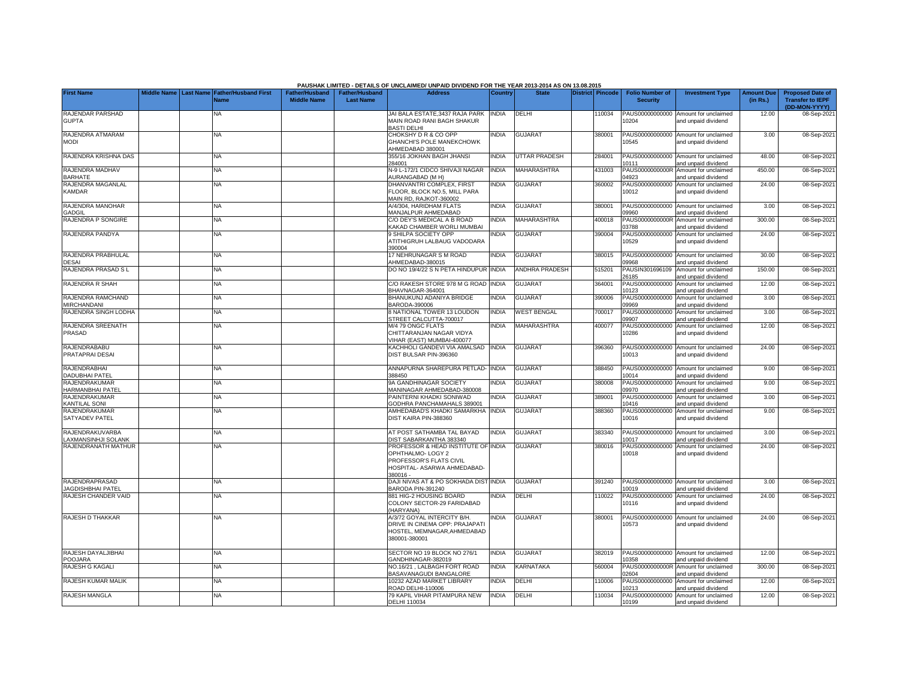|                                                 |  |                                                               |                                             |                                           | PAUSHAK LIMITED - DETAILS OF UNCLAIMED/ UNPAID DIVIDEND FOR THE YEAR 2013-2014 AS ON 13.08.2015                              |                |                    |                         |        |                                           |                                                             |                               |                                                                     |
|-------------------------------------------------|--|---------------------------------------------------------------|---------------------------------------------|-------------------------------------------|------------------------------------------------------------------------------------------------------------------------------|----------------|--------------------|-------------------------|--------|-------------------------------------------|-------------------------------------------------------------|-------------------------------|---------------------------------------------------------------------|
| <b>First Name</b>                               |  | Middle Name   Last Name   Father/Husband First<br><b>Name</b> | <b>Father/Husband</b><br><b>Middle Name</b> | <b>Father/Husband</b><br><b>Last Name</b> | <b>Address</b>                                                                                                               | <b>Country</b> | <b>State</b>       | <b>District Pincode</b> |        | <b>Folio Number of</b><br><b>Security</b> | <b>Investment Type</b>                                      | <b>Amount Due</b><br>(in Rs.) | <b>Proposed Date of</b><br><b>Transfer to IEPF</b><br>(DD-MON-YYYY) |
| <b>RAJENDAR PARSHAD</b><br><b>GUPTA</b>         |  | NA                                                            |                                             |                                           | JAI BALA ESTATE.3437 RAJA PARK<br>MAIN ROAD RANI BAGH SHAKUR<br><b>BASTI DELHI</b>                                           | <b>INDIA</b>   | DELHI              |                         | 110034 | PAUS00000000000<br>0204                   | Amount for unclaimed<br>and unpaid dividend                 | 12.00                         | 08-Sep-2021                                                         |
| RAJENDRA ATMARAM<br><b>MODI</b>                 |  | NA                                                            |                                             |                                           | CHOKSHY D R & CO OPP<br>GHANCHI'S POLE MANEKCHOWK<br>AHMEDABAD 380001                                                        | <b>NDIA</b>    | <b>GUJARAT</b>     |                         | 380001 | 0545                                      | PAUS00000000000 Amount for unclaimed<br>and unpaid dividend | 3.00                          | 08-Sep-2021                                                         |
| RAJENDRA KRISHNA DAS                            |  | NA                                                            |                                             |                                           | 355/16 JOKHAN BAGH JHANSI<br>284001                                                                                          | <b>INDIA</b>   | UTTAR PRADESH      |                         | 284001 | PAUS00000000000<br>0111                   | Amount for unclaimed<br>and unpaid dividend                 | 48.00                         | 08-Sep-2021                                                         |
| RAJENDRA MADHAV<br><b>BARHATE</b>               |  | NA                                                            |                                             |                                           | N-9 L-172/1 CIDCO SHIVAJI NAGAR<br><b>AURANGABAD (M H)</b>                                                                   | <b>INDIA</b>   | <b>MAHARASHTRA</b> |                         | 431003 | PAUS0000000000R<br>14923                  | Amount for unclaimed<br>and unpaid dividend                 | 450.00                        | 08-Sep-2021                                                         |
| RAJENDRA MAGANLAL<br><b>KAMDAR</b>              |  | NA                                                            |                                             |                                           | DHANVANTRI COMPLEX, FIRST<br>FLOOR. BLOCK NO.5. MILL PARA<br>MAIN RD, RAJKOT-360002                                          | <b>NDIA</b>    | <b>GUJARAT</b>     |                         | 360002 | PAUS00000000000<br>10012                  | Amount for unclaimed<br>and unpaid dividend                 | 24.00                         | 08-Sep-2021                                                         |
| RAJENDRA MANOHAR<br><b>GADGIL</b>               |  | NA                                                            |                                             |                                           | A/4/304, HARIDHAM FLATS<br>MANJALPUR AHMEDABAD                                                                               | <b>INDIA</b>   | <b>GUJARAT</b>     |                         | 380001 | PAUS00000000000<br>09960                  | Amount for unclaimed<br>and unpaid dividend                 | 3.00                          | 08-Sep-2021                                                         |
| RAJENDRA P SONGIRE                              |  | NA                                                            |                                             |                                           | C/O DEY'S MEDICAL A B ROAD<br>KAKAD CHAMBER WORLI MUMBAI                                                                     | NDIA           | <b>MAHARASHTRA</b> |                         | 400018 | PAUS0000000000R<br>03788                  | Amount for unclaimed<br>and unpaid dividend                 | 300.00                        | 08-Sep-2021                                                         |
| RAJENDRA PANDYA                                 |  | NA                                                            |                                             |                                           | <b>9 SHILPA SOCIETY OPP</b><br>ATITHIGRUH LALBAUG VADODARA<br>390004                                                         | NDIA           | <b>GUJARAT</b>     |                         | 390004 | PAUS00000000000<br>10529                  | Amount for unclaimed<br>and unpaid dividend                 | 24.00                         | 08-Sep-2021                                                         |
| RAJENDRA PRABHULAL<br><b>DESAI</b>              |  | NA                                                            |                                             |                                           | 17 NEHRUNAGAR S M ROAD<br>AHMEDABAD-380015                                                                                   | <b>INDIA</b>   | <b>GUJARAT</b>     |                         | 380015 | PAUS00000000000<br>09968                  | Amount for unclaimed<br>and unpaid dividend                 | 30.00                         | 08-Sep-2021                                                         |
| RAJENDRA PRASAD S L                             |  | ΝA                                                            |                                             |                                           | DO NO 19/4/22 S N PETA HINDUPUR INDIA                                                                                        |                | ANDHRA PRADESH     |                         | 515201 | PAUSIN301696109<br>26185                  | Amount for unclaimed<br>and unpaid dividend                 | 150.00                        | 08-Sep-2021                                                         |
| RAJENDRA R SHAH                                 |  | NA                                                            |                                             |                                           | C/O RAKESH STORE 978 M G ROAD INDIA<br>BHAVNAGAR-364001                                                                      |                | <b>GUJARAT</b>     |                         | 364001 | PAUS00000000000<br>10123                  | Amount for unclaimed<br>and unpaid dividend                 | 12.00                         | 08-Sep-2021                                                         |
| RAJENDRA RAMCHAND<br><b>MIRCHANDANI</b>         |  | NA                                                            |                                             |                                           | BHANUKUNJ ADANIYA BRIDGE<br>BARODA-390006                                                                                    | <b>INDIA</b>   | <b>GUJARAT</b>     |                         | 390006 | PAUS00000000000<br>09969                  | Amount for unclaimed<br>and unpaid dividend                 | 3.00                          | 08-Sep-2021                                                         |
| RAJENDRA SINGH LODHA                            |  | NA                                                            |                                             |                                           | 8 NATIONAL TOWER 13 LOUDON<br>STREET CALCUTTA-700017                                                                         | <b>INDIA</b>   | <b>WEST BENGAL</b> |                         | 700017 | PAUS00000000000<br>09907                  | Amount for unclaimed<br>and unpaid dividend                 | 3.00                          | 08-Sep-2021                                                         |
| RAJENDRA SREENATH<br>PRASAD                     |  | <b>NA</b>                                                     |                                             |                                           | M/4 79 ONGC FLATS<br>CHITTARANJAN NAGAR VIDYA<br>VIHAR (EAST) MUMBAI-400077                                                  | <b>INDIA</b>   | MAHARASHTRA        |                         | 400077 | PAUS00000000000<br>10286                  | Amount for unclaimed<br>and unpaid dividend                 | 12.00                         | 08-Sep-2021                                                         |
| RAJENDRABABU<br>PRATAPRAI DESAI                 |  | NA                                                            |                                             |                                           | KACHHOLI GANDEVI VIA AMALSAD INDIA<br>DIST BULSAR PIN-396360                                                                 |                | <b>GUJARAT</b>     |                         | 396360 | 10013                                     | PAUS00000000000 Amount for unclaimed<br>and unpaid dividend | 24.00                         | 08-Sep-2021                                                         |
| <b>RAJENDRABHAI</b><br><b>DADUBHAI PATEL</b>    |  | <b>NA</b>                                                     |                                             |                                           | ANNAPURNA SHAREPURA PETLAD- INDIA<br>388450                                                                                  |                | <b>GUJARAT</b>     |                         | 388450 | 10014                                     | PAUS00000000000 Amount for unclaimed<br>and unpaid dividend | 9.00                          | 08-Sep-2021                                                         |
| <b>RAJENDRAKUMAR</b><br><b>HARMANBHAI PATEL</b> |  | <b>NA</b>                                                     |                                             |                                           | 9A GANDHINAGAR SOCIETY<br>MANINAGAR AHMEDABAD-380008                                                                         | <b>NDIA</b>    | <b>GUJARAT</b>     |                         | 380008 | PAUS00000000000<br>09970                  | Amount for unclaimed<br>and unpaid dividend                 | 9.00                          | 08-Sep-2021                                                         |
| <b>RAJENDRAKUMAR</b><br><b>KANTILAL SONI</b>    |  | <b>NA</b>                                                     |                                             |                                           | PAINTERNI KHADKI SONIWAD<br>GODHRA PANCHAMAHALS 389001                                                                       | <b>NDIA</b>    | <b>GUJARAT</b>     |                         | 389001 | PAUS00000000000<br>0416                   | Amount for unclaimed<br>and unpaid dividend                 | 3.00                          | 08-Sep-2021                                                         |
| RAJENDRAKUMAR<br>SATYADEV PATEL                 |  | NA                                                            |                                             |                                           | AMHEDABAD'S KHADKI SAMARKHA<br>DIST KAIRA PIN-388360                                                                         | <b>INDIA</b>   | <b>GUJARAT</b>     |                         | 388360 | PAUS00000000000<br>10016                  | Amount for unclaimed<br>and unpaid dividend                 | 9.00                          | 08-Sep-2021                                                         |
| RAJENDRAKUVARBA<br>LAXMANSINHJI SOLANK          |  | <b>NA</b>                                                     |                                             |                                           | AT POST SATHAMBA TAL BAYAD<br><b>DIST SABARKANTHA 383340</b>                                                                 | <b>INDIA</b>   | <b>GUJARAT</b>     |                         | 383340 | 0017                                      | PAUS00000000000 Amount for unclaimed<br>and unpaid dividend | 3.00                          | 08-Sep-2021                                                         |
| RAJENDRANATH MATHUR                             |  | NA                                                            |                                             |                                           | PROFESSOR & HEAD INSTITUTE OF INDIA<br>OPHTHALMO-LOGY 2<br>PROFESSOR'S FLATS CIVIL<br>HOSPITAL- ASARWA AHMEDABAD-<br>380016- |                | <b>GUJARAT</b>     |                         | 380016 | PAUS00000000000<br>10018                  | Amount for unclaimed<br>and unpaid dividend                 | 24.00                         | 08-Sep-2021                                                         |
| RAJENDRAPRASAD<br><b>JAGDISHBHAI PATEL</b>      |  | <b>NA</b>                                                     |                                             |                                           | DAJI NIVAS AT & PO SOKHADA DIST INDIA<br>BARODA PIN-391240                                                                   |                | <b>GUJARAT</b>     |                         | 391240 | PAUS00000000000<br>0019                   | Amount for unclaimed<br>and unpaid dividend                 | 3.00                          | 08-Sep-2021                                                         |
| RAJESH CHANDER VAID                             |  | NA                                                            |                                             |                                           | 881 HIG-2 HOUSING BOARD<br>COLONY SECTOR-29 FARIDABAD<br>(HARYANA)                                                           | <b>NDIA</b>    | DELHI              |                         | 10022  | PAUS00000000000<br>10116                  | Amount for unclaimed<br>and unpaid dividend                 | 24.00                         | 08-Sep-2021                                                         |
| RAJESH D THAKKAR                                |  | NΑ                                                            |                                             |                                           | A/3/72 GOYAL INTERCITY B/H.<br>DRIVE IN CINEMA OPP: PRAJAPATI<br>HOSTEL, MEMNAGAR, AHMEDABAD<br>380001-380001                | <b>NDIA</b>    | <b>GUJARAT</b>     |                         | 380001 | PAUS00000000000<br>10573                  | Amount for unclaimed<br>and unpaid dividend                 | 24.00                         | 08-Sep-2021                                                         |
| RAJESH DAYALJIBHAI<br><b>POOJARA</b>            |  | <b>NA</b>                                                     |                                             |                                           | SECTOR NO 19 BLOCK NO 276/1<br>GANDHINAGAR-382019                                                                            | <b>INDIA</b>   | <b>GUJARAT</b>     |                         | 382019 | PAUS00000000000<br>0358                   | Amount for unclaimed<br>and unpaid dividend                 | 12.00                         | 08-Sep-2021                                                         |
| RAJESH G KAGALI                                 |  | <b>NA</b>                                                     |                                             |                                           | NO.16/21, LALBAGH FORT ROAD<br>BASAVANAGUDI BANGALORE                                                                        | <b>INDIA</b>   | KARNATAKA          |                         | 560004 | PAUS0000000000R<br>02604                  | Amount for unclaimed<br>and unpaid dividend                 | 300.00                        | 08-Sep-2021                                                         |
| RAJESH KUMAR MALIK                              |  | NA                                                            |                                             |                                           | 10232 AZAD MARKET LIBRARY<br>ROAD DELHI-110006                                                                               | <b>INDIA</b>   | DELHI              |                         | 110006 | PAUS00000000000<br>10213                  | Amount for unclaimed<br>and unpaid dividend                 | 12.00                         | 08-Sep-2021                                                         |
| RAJESH MANGLA                                   |  | NA                                                            |                                             |                                           | 79 KAPIL VIHAR PITAMPURA NEW<br>DELHI 110034                                                                                 | <b>INDIA</b>   | DELHI              |                         | 110034 | PAUS00000000000<br>10199                  | Amount for unclaimed<br>and unpaid dividend                 | 12.00                         | 08-Sep-2021                                                         |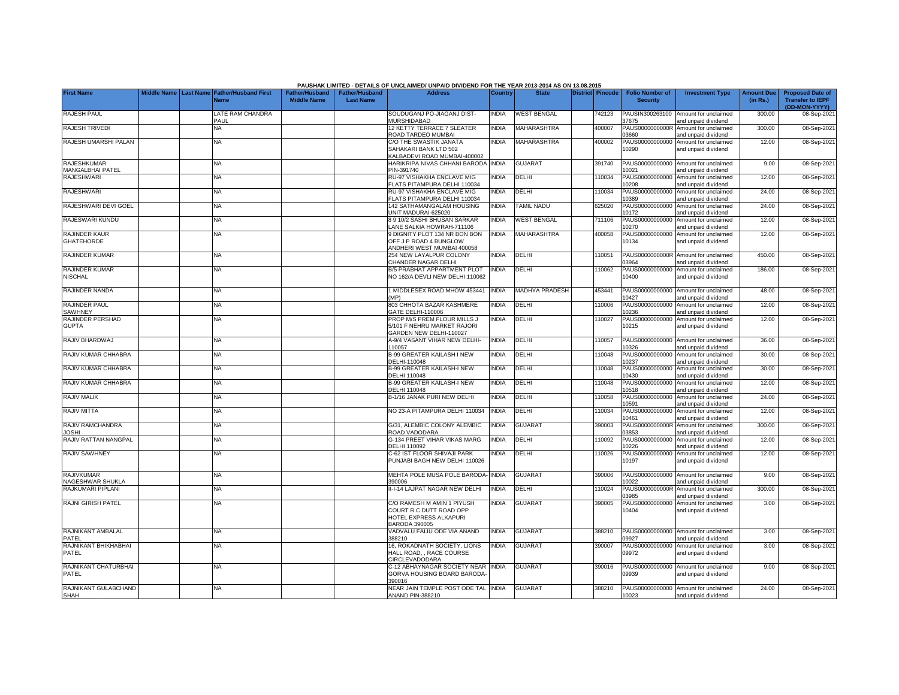|                                           |                       |                                            |                                             |                                           | PAUSHAK LIMITED - DETAILS OF UNCLAIMED/ UNPAID DIVIDEND FOR THE YEAR 2013-2014 AS ON 13.08.2015         |                |                       |                         |                                           |                                                             |                               |                                                                     |
|-------------------------------------------|-----------------------|--------------------------------------------|---------------------------------------------|-------------------------------------------|---------------------------------------------------------------------------------------------------------|----------------|-----------------------|-------------------------|-------------------------------------------|-------------------------------------------------------------|-------------------------------|---------------------------------------------------------------------|
| <b>First Name</b>                         | Middle Name Last Name | <b>Father/Husband First</b><br><b>Name</b> | <b>Father/Husband</b><br><b>Middle Name</b> | <b>Father/Husband</b><br><b>Last Name</b> | <b>Address</b>                                                                                          | <b>Country</b> | <b>State</b>          | <b>District Pincode</b> | <b>Folio Number of</b><br><b>Security</b> | <b>Investment Type</b>                                      | <b>Amount Due</b><br>(in Rs.) | <b>Proposed Date of</b><br><b>Transfer to IEPF</b><br>(DD-MON-YYYY) |
| <b>RAJESH PAUL</b>                        |                       | LATE RAM CHANDRA<br>PAUL                   |                                             |                                           | SOUDUGANJ PO-JIAGANJ DIST-<br><b>MURSHIDABAD</b>                                                        | <b>INDIA</b>   | <b>WEST BENGAL</b>    | 742123                  | PAUSIN300263100<br>37675                  | Amount for unclaimed<br>and unpaid dividend                 | 300.00                        | 08-Sep-2021                                                         |
| <b>RAJESH TRIVEDI</b>                     |                       | <b>NA</b>                                  |                                             |                                           | 12 KETTY TERRACE 7 SLEATER<br>ROAD TARDEO MUMBAI                                                        | <b>INDIA</b>   | <b>MAHARASHTRA</b>    | 400007                  | PAUS0000000000R<br>03660                  | Amount for unclaimed<br>and unpaid dividend                 | 300.00                        | 08-Sep-2021                                                         |
| RAJESH UMARSHI PALAN                      |                       | <b>NA</b>                                  |                                             |                                           | C/O THE SWASTIK JANATA<br>SAHAKARI BANK LTD 502<br><b>KALBADEVI ROAD MUMBAI-400002</b>                  | <b>INDIA</b>   | <b>MAHARASHTRA</b>    | 400002                  | PAUS00000000000<br>10290                  | Amount for unclaimed<br>and unpaid dividend                 | 12.00                         | 08-Sep-2021                                                         |
| <b>RAJESHKUMAR</b><br>MANGALBHAI PATEL    |                       | <b>NA</b>                                  |                                             |                                           | HARIKRIPA NIVAS CHHANI BARODA<br>PIN-391740                                                             | <b>INDIA</b>   | <b>GUJARAT</b>        | 391740                  | PAUS00000000000<br>0021                   | Amount for unclaimed<br>and unpaid dividend                 | 9.00                          | 08-Sep-2021                                                         |
| <b>RAJESHWARI</b>                         |                       | <b>NA</b>                                  |                                             |                                           | RU-97 VISHAKHA ENCLAVE MIG<br><b>ELATS PITAMPURA DELHI 110034</b>                                       | INDIA          | <b>DELHI</b>          | 110034                  | PAUS00000000000<br>0208                   | Amount for unclaimed<br>and unpaid dividend                 | 12.00                         | 08-Sep-2021                                                         |
| <b>RAJESHWARI</b>                         |                       | <b>NA</b>                                  |                                             |                                           | RU-97 VISHAKHA ENCLAVE MIG<br>FLATS PITAMPURA DELHI 110034                                              | INDIA          | DELHI                 | 110034                  | PAUS00000000000<br>0389                   | Amount for unclaimed<br>and unpaid dividend                 | 24.00                         | 08-Sep-2021                                                         |
| RAJESHWARI DEVI GOEL                      |                       | NA                                         |                                             |                                           | 142 SATHAMANGALAM HOUSING<br>JNIT MADURAI-625020                                                        | <b>INDIA</b>   | <b>TAMIL NADU</b>     | 625020                  | AUS00000000000<br>0172                    | Amount for unclaimed<br>and unpaid dividend                 | 24.00                         | 08-Sep-2021                                                         |
| RAJESWARI KUNDU                           |                       | <b>NA</b>                                  |                                             |                                           | 8 9 10/2 SASHI BHUSAN SARKAR<br>ANE SALKIA HOWRAH-711106                                                | <b>INDIA</b>   | <b>WEST BENGAL</b>    | 711106                  | PAUS00000000000<br>0270                   | Amount for unclaimed<br>and unpaid dividend                 | 12.00                         | 08-Sep-2021                                                         |
| <b>RAJINDER KAUR</b><br><b>GHATEHORDE</b> |                       | <b>NA</b>                                  |                                             |                                           | 9 DIGNITY PLOT 134 NR BON BON<br><b>OFF J P ROAD 4 BUNGLOW</b><br>ANDHERI WEST MUMBAI 400058            | <b>INDIA</b>   | <b>MAHARASHTRA</b>    | 400058                  | PAUS00000000000<br>10134                  | Amount for unclaimed<br>and unpaid dividend                 | 12.00                         | 08-Sep-2021                                                         |
| <b>RAJINDER KUMAR</b>                     |                       | <b>NA</b>                                  |                                             |                                           | 254 NEW LAYALPUR COLONY<br><b>HANDER NAGAR DELHI</b>                                                    | <b>INDIA</b>   | <b>DELHI</b>          | 110051                  | 3964                                      | PAUS0000000000R Amount for unclaimed<br>and unpaid dividend | 450.00                        | 08-Sep-2021                                                         |
| RAJINDER KUMAR<br><b>NISCHAL</b>          |                       | NA                                         |                                             |                                           | B/5 PRABHAT APPARTMENT PLOT<br>NO 162/A DEVLI NEW DELHI 110062                                          | <b>INDIA</b>   | DELHI                 | 110062                  | PAUS00000000000<br>10400                  | Amount for unclaimed<br>and unpaid dividend                 | 186.00                        | 08-Sep-2021                                                         |
| RAJINDER NANDA                            |                       | NA                                         |                                             |                                           | MIDDLESEX ROAD MHOW 453441<br>MP)                                                                       | <b>INDIA</b>   | <b>MADHYA PRADESH</b> | 453441                  | PAUS00000000000<br>0427                   | Amount for unclaimed<br>and unpaid dividend                 | 48.00                         | 08-Sep-2021                                                         |
| <b>RAJINDER PAUL</b><br>SAWHNEY           |                       | <b>NA</b>                                  |                                             |                                           | 803 CHHOTA BAZAR KASHMERE<br>GATE DELHI-110006                                                          | <b>INDIA</b>   | <b>DELHI</b>          | 110006                  | 0236                                      | PAUS00000000000 Amount for unclaimed<br>and unpaid dividend | 12.00                         | 08-Sep-2021                                                         |
| RAJINDER PERSHAD<br><b>GUPTA</b>          |                       | NA.                                        |                                             |                                           | PROP M/S PREM FLOUR MILLS J<br>5/101 F NEHRU MARKET RAJORI<br>GARDEN NEW DELHI-110027                   | INDIA          | <b>DELHI</b>          | 110027                  | PAUS00000000000<br>10215                  | Amount for unclaimed<br>and unpaid dividend                 | 12.00                         | 08-Sep-2021                                                         |
| RAJIV BHARDWAJ                            |                       | NA                                         |                                             |                                           | A-9/4 VASANT VIHAR NEW DELHI-<br>110057                                                                 | <b>INDIA</b>   | <b>DELHI</b>          | 110057                  | 0326                                      | PAUS00000000000 Amount for unclaimed<br>and unpaid dividend | 36.00                         | 08-Sep-2021                                                         |
| RAJIV KUMAR CHHABRA                       |                       | <b>NA</b>                                  |                                             |                                           | <b>B-99 GREATER KAILASH I NEW</b><br>DELHI-110048                                                       | INDIA          | <b>DELHI</b>          | 110048                  | 0237                                      | PAUS00000000000 Amount for unclaimed<br>and unpaid dividend | 30.00                         | 08-Sep-2021                                                         |
| RAJIV KUMAR CHHABRA                       |                       | <b>NA</b>                                  |                                             |                                           | <b>B-99 GREATER KAILASH-I NEW</b><br><b>DELHI 110048</b>                                                | INDIA          | DELHI                 | 110048                  | PAUS00000000000<br>10430                  | Amount for unclaimed<br>and unpaid dividend                 | 30.00                         | 08-Sep-2021                                                         |
| RAJIV KUMAR CHHABRA                       |                       | NA                                         |                                             |                                           | <b>B-99 GREATER KAILASH-I NEW</b><br><b>DELHI 110048</b>                                                | <b>INDIA</b>   | DELHI                 | 110048                  | PAUS00000000000<br>0518                   | Amount for unclaimed<br>and unpaid dividend                 | 12.00                         | 08-Sep-2021                                                         |
| RAJIV MALIK                               |                       | <b>NA</b>                                  |                                             |                                           | B-1/16 JANAK PURI NEW DELHI                                                                             | <b>INDIA</b>   | <b>DELHI</b>          | 110058                  | PAUS00000000000<br>0591                   | Amount for unclaimed<br>and unpaid dividend                 | 24.00                         | 08-Sep-2021                                                         |
| <b>RAJIV MITTA</b>                        |                       | <b>NA</b>                                  |                                             |                                           | NO 23-A PITAMPURA DELHI 110034                                                                          | <b>INDIA</b>   | <b>DELHI</b>          | 110034                  | PAUS00000000000<br>0461                   | Amount for unclaimed<br>and unpaid dividend                 | 12.00                         | 08-Sep-2021                                                         |
| RAJIV RAMCHANDRA<br><b>JOSHI</b>          |                       | <b>NA</b>                                  |                                             |                                           | G/31, ALEMBIC COLONY ALEMBIC<br>ROAD VADODARA                                                           | INDIA          | <b>GUJARAT</b>        | 390003                  | PAUS0000000000R<br>3853                   | Amount for unclaimed<br>and unpaid dividend                 | 300.00                        | 08-Sep-2021                                                         |
| RAJIV RATTAN NANGPAL                      |                       | NA.                                        |                                             |                                           | 3-134 PREET VIHAR VIKAS MARG<br><b>DELHI 110092</b>                                                     | <b>INDIA</b>   | <b>DELHI</b>          | 110092                  | AUS00000000000<br>0226                    | Amount for unclaimed<br>and unpaid dividend                 | 12.00                         | 08-Sep-2021                                                         |
| RAJIV SAWHNEY                             |                       | <b>NA</b>                                  |                                             |                                           | -62 IST FLOOR SHIVAJI PARK<br>PUNJABI BAGH NEW DELHI 110026                                             | INDIA          | <b>DELHI</b>          | 110026                  | PAUS00000000000<br>10197                  | Amount for unclaimed<br>and unpaid dividend                 | 12.00                         | 08-Sep-2021                                                         |
| <b>RAJIVKUMAR</b><br>NAGESHWAR SHUKLA     |                       | <b>NA</b>                                  |                                             |                                           | MEHTA POLE MUSA POLE BARODA-<br>390006                                                                  | <b>INDIA</b>   | <b>GUJARAT</b>        | 390006                  | 0022                                      | PAUS00000000000 Amount for unclaimed<br>and unpaid dividend | 9.00                          | 08-Sep-2021                                                         |
| RAJKUMARI PIPLANI                         |                       | <b>NA</b>                                  |                                             |                                           | I-I-14 LAJPAT NAGAR NEW DELHI                                                                           | <b>INDIA</b>   | DELHI                 | 110024                  | PAUS0000000000R<br>3985                   | Amount for unclaimed<br>and unpaid dividend                 | 300.00                        | 08-Sep-2021                                                         |
| <b>RAJNI GIRISH PATEL</b>                 |                       | <b>NA</b>                                  |                                             |                                           | C/O RAMESH M AMIN 1 PIYUSH<br>COURT R C DUTT ROAD OPP<br>HOTEL EXPRESS ALKAPURI<br><b>BARODA 390005</b> | INDIA          | <b>GUJARAT</b>        | 390005                  | PAUS00000000000<br>10404                  | Amount for unclaimed<br>and unpaid dividend                 | 3.00                          | 08-Sep-2021                                                         |
| RAJNIKANT AMBALAL<br>PATEL                |                       | <b>NA</b>                                  |                                             |                                           | VADVALU FALIU ODE VIA ANAND<br>388210                                                                   | <b>INDIA</b>   | <b>GUJARAT</b>        | 388210                  | 9927                                      | PAUS00000000000 Amount for unclaimed<br>and unpaid dividend | 3.00                          | 08-Sep-2021                                                         |
| RAJNIKANT BHIKHABHAI<br>PATEL             |                       | NA                                         |                                             |                                           | 16. ROKADNATH SOCIETY, LIONS<br>HALL ROAD, , RACE COURSE<br>CIRCLEVADODARA                              | <b>INDIA</b>   | <b>GUJARAT</b>        | 390007                  | PAUS00000000000<br>09972                  | Amount for unclaimed<br>and unpaid dividend                 | 3.00                          | 08-Sep-2021                                                         |
| RAJNIKANT CHATURBHAI<br>PATEL             |                       | NA.                                        |                                             |                                           | C-12 ABHAYNAGAR SOCIETY NEAR<br>GORVA HOUSING BOARD BARODA<br>390016                                    | <b>INDIA</b>   | <b>GUJARAT</b>        | 390016                  | PAUS00000000000<br>09939                  | Amount for unclaimed<br>and unpaid dividend                 | 9.00                          | 08-Sep-2021                                                         |
| RAJNIKANT GULABCHAND<br><b>SHAH</b>       |                       | <b>NA</b>                                  |                                             |                                           | NEAR JAIN TEMPLE POST ODE TAL INDIA<br><b>ANAND PIN-388210</b>                                          |                | <b>GUJARAT</b>        | 388210                  | 10023                                     | PAUS00000000000 Amount for unclaimed<br>and unpaid dividend | 24.00                         | 08-Sep-2021                                                         |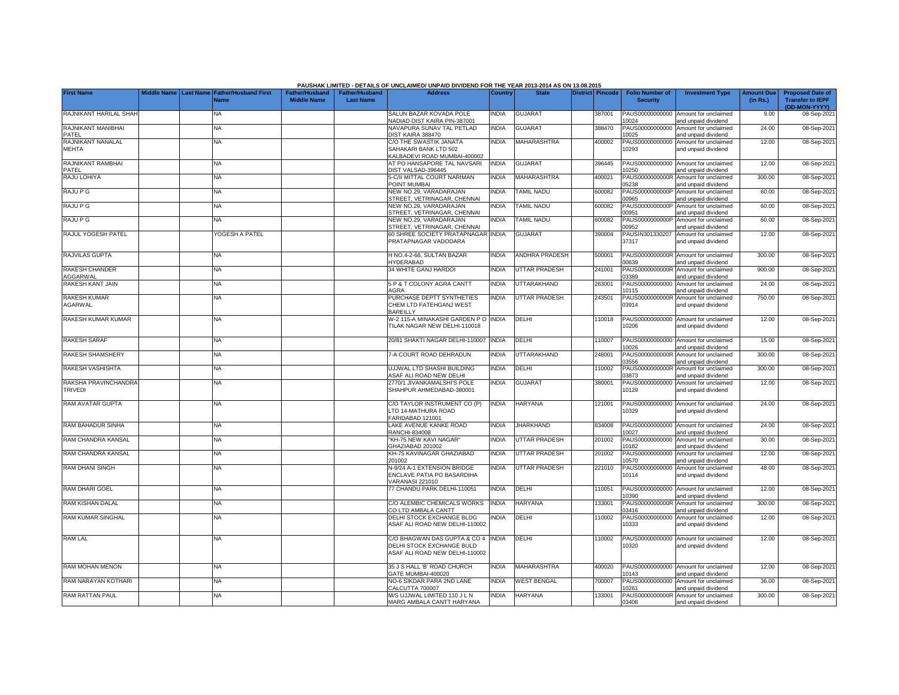|                                        |                       |                                            |                                             |                                           | PAUSHAK LIMITED - DETAILS OF UNCLAIMED/ UNPAID DIVIDEND FOR THE YEAR 2013-2014 AS ON 13.08.2015   |                |                      |                         |        |                                           |                                                             |                               |                                                                     |
|----------------------------------------|-----------------------|--------------------------------------------|---------------------------------------------|-------------------------------------------|---------------------------------------------------------------------------------------------------|----------------|----------------------|-------------------------|--------|-------------------------------------------|-------------------------------------------------------------|-------------------------------|---------------------------------------------------------------------|
| <b>First Name</b>                      | Middle Name Last Name | <b>Father/Husband First</b><br><b>Name</b> | <b>Father/Husband</b><br><b>Middle Name</b> | <b>Father/Husband</b><br><b>Last Name</b> | <b>Address</b>                                                                                    | <b>Country</b> | <b>State</b>         | <b>District Pincode</b> |        | <b>Folio Number of</b><br><b>Security</b> | <b>Investment Type</b>                                      | <b>Amount Due</b><br>(in Rs.) | <b>Proposed Date of</b><br><b>Transfer to IEPF</b><br>(DD-MON-YYYY) |
| RAJNIKANT HARILAL SHAH                 |                       | NA.                                        |                                             |                                           | SALUN BAZAR KOVADA POLE<br>VADIAD DIST KAIRA PIN-387001                                           | <b>INDIA</b>   | <b>GUJARAT</b>       |                         | 387001 | PAUS00000000000<br>0024                   | Amount for unclaimed<br>and unpaid dividend                 | 9.00                          | 08-Sep-2021                                                         |
| RAJNIKANT MANIBHAI<br>PATEL            |                       | NA                                         |                                             |                                           | NAVAPURA SUNAV TAL PETLAD<br>DIST KAIRA 388470                                                    | <b>INDIA</b>   | <b>GUJARAT</b>       |                         | 388470 | PAUS00000000000<br>10025                  | Amount for unclaimed<br>and unpaid dividend                 | 24.00                         | 08-Sep-2021                                                         |
| RAJNIKANT NANALAL<br>MEHTA             |                       | NA                                         |                                             |                                           | C/O THE SWASTIK JANATA<br>SAHAKARI BANK LTD 502<br>KALBADEVI ROAD MUMBAI-400002                   | <b>INDIA</b>   | <b>MAHARASHTRA</b>   |                         | 400002 | 10293                                     | PAUS00000000000 Amount for unclaimed<br>and unpaid dividend | 12.00                         | 08-Sep-2021                                                         |
| RAJNIKANT RAMBHAI<br>PATEL             |                       | ΝA                                         |                                             |                                           | AT PO HANSAPORE TAL NAVSARI<br>DIST VALSAD-396445                                                 | <b>INDIA</b>   | <b>GUJARAT</b>       |                         | 396445 | 0250                                      | PAUS00000000000 Amount for unclaimed<br>and unpaid dividend | 12.00                         | 08-Sep-2021                                                         |
| RAJU LOHIYA                            |                       | NA.                                        |                                             |                                           | 5-C/II MITTAL COURT NARIMAN<br><b>POINT MUMBAI</b>                                                | <b>INDIA</b>   | <b>MAHARASHTRA</b>   |                         | 400021 | 5238                                      | PAUS0000000000R Amount for unclaimed<br>and unpaid dividend | 300.00                        | 08-Sep-2021                                                         |
| <b>RAJU P G</b>                        |                       | <b>NA</b>                                  |                                             |                                           | NEW NO.29. VARADARAJAN<br>STREET, VETRINAGAR, CHENNAI                                             | <b>INDIA</b>   | <b>TAMIL NADU</b>    |                         | 600082 | 00965                                     | PAUS0000000000P Amount for unclaimed<br>and unpaid dividend | 60.00                         | 08-Sep-2021                                                         |
| <b>RAJU P G</b>                        |                       | NA                                         |                                             |                                           | NEW NO.29. VARADARAJAN<br>STREET, VETRINAGAR, CHENNAI                                             | INDIA          | <b>TAMIL NADU</b>    |                         | 600082 | PAUS0000000000P<br>0951                   | Amount for unclaimed<br>and unpaid dividend                 | 60.00                         | 08-Sep-2021                                                         |
| RAJU P G                               |                       | NА                                         |                                             |                                           | NEW NO.29, VARADARAJAN<br>STREET, VETRINAGAR, CHENNAI                                             | INDIA          | <b>TAMIL NADU</b>    |                         | 600082 | PAUS0000000000P<br>0952                   | Amount for unclaimed<br>and unpaid dividend                 | 60.00                         | 08-Sep-2021                                                         |
| RAJUL YOGESH PATEL                     |                       | YOGESH A PATEL                             |                                             |                                           | 60 SHREE SOCIETY PRATAPNAGAR<br>PRATAPNAGAR VADODARA                                              | <b>INDIA</b>   | <b>GUJARAT</b>       |                         | 390004 | PAUSIN301330207<br>37317                  | Amount for unclaimed<br>and unpaid dividend                 | 12.00                         | 08-Sep-2021                                                         |
| RAJVILAS GUPTA                         |                       | NA                                         |                                             |                                           | H NO.4-2-66, SULTAN BAZAR<br><b>IYDERABAD</b>                                                     | <b>INDIA</b>   | ANDHRA PRADESH       |                         | 500001 | 0639                                      | PAUS0000000000R Amount for unclaimed<br>and unpaid dividend | 300.00                        | 08-Sep-2021                                                         |
| RAKESH CHANDER<br>AGGARWAL             |                       | ΝA                                         |                                             |                                           | 34 WHITE GANJ HARDOI                                                                              | <b>INDIA</b>   | <b>UTTAR PRADESH</b> |                         | 241001 | PAUS0000000000R<br>3389                   | Amount for unclaimed<br>and unpaid dividend                 | 900.00                        | 08-Sep-2021                                                         |
| RAKESH KANT JAIN                       |                       | NA                                         |                                             |                                           | 5 P & T COLONY AGRA CANTT<br><b>AGRA</b>                                                          | <b>INDIA</b>   | UTTARAKHAND          |                         | 263001 | AUS00000000000<br>0115                    | Amount for unclaimed<br>and unpaid dividend                 | 24.00                         | 08-Sep-2021                                                         |
| <b>RAKESH KUMAR</b><br>AGARWAL         |                       | NA                                         |                                             |                                           | PURCHASE DEPTT SYNTHETIES<br>CHEM LTD FATEHGANJ WEST<br><b>BAREILLY</b>                           | <b>INDIA</b>   | <b>UTTAR PRADESH</b> |                         | 243501 | PAUS0000000000R<br>03914                  | Amount for unclaimed<br>and unpaid dividend                 | 750.00                        | 08-Sep-2021                                                         |
| RAKESH KUMAR KUMAR                     |                       | ΝA                                         |                                             |                                           | N-2 115-A MINAKASHI GARDEN PO INDIA<br>TILAK NAGAR NEW DELHI-110018                               |                | <b>DELHI</b>         |                         | 110018 | PAUS00000000000<br>10206                  | Amount for unclaimed<br>and unpaid dividend                 | 12.00                         | 08-Sep-2021                                                         |
| <b>RAKESH SARAF</b>                    |                       | <b>NA</b>                                  |                                             |                                           | 20/81 SHAKTI NAGAR DELHI-110007                                                                   | <b>INDIA</b>   | <b>DELHI</b>         |                         | 110007 | 10026                                     | PAUS00000000000 Amount for unclaimed<br>and unpaid dividend | 15.00                         | 08-Sep-2021                                                         |
| RAKESH SHAMSHERY                       |                       | <b>NA</b>                                  |                                             |                                           | -A COURT ROAD DEHRADUN                                                                            | <b>INDIA</b>   | <b>UTTARAKHAND</b>   |                         | 248001 | PAUS0000000000R<br>3556                   | Amount for unclaimed<br>nd unpaid dividend                  | 300.00                        | 08-Sep-2021                                                         |
| RAKESH VASHISHTA                       |                       | <b>NA</b>                                  |                                             |                                           | UJJWAL LTD SHASHI BUILDING<br>ASAF ALI ROAD NEW DELHI                                             | <b>INDIA</b>   | <b>DELHI</b>         |                         | 110002 | PAUS0000000000R<br>3873                   | Amount for unclaimed<br>nd unpaid dividend                  | 300.00                        | 08-Sep-2021                                                         |
| RAKSHA PRAVINCHANDRA<br><b>TRIVEDI</b> |                       | <b>NA</b>                                  |                                             |                                           | 2770/1 JIVANKAMALSHI'S POLE<br>SHAHPUR AHMEDABAD-380001                                           | <b>INDIA</b>   | <b>GUJARAT</b>       |                         | 380001 | PAUS00000000000<br>10129                  | Amount for unclaimed<br>and unpaid dividend                 | 12.00                         | 08-Sep-2021                                                         |
| RAM AVATAR GUPTA                       |                       | <b>NA</b>                                  |                                             |                                           | C/O TAYLOR INSTRUMENT CO (P)<br>TD 14-MATHURA ROAD<br>ARIDABAD 121001                             | <b>INDIA</b>   | <b>HARYANA</b>       |                         | 21001  | 10329                                     | PAUS00000000000 Amount for unclaimed<br>and unpaid dividend | 24.00                         | 08-Sep-2021                                                         |
| <b>RAM BAHADUR SINHA</b>               |                       | NA.                                        |                                             |                                           | AKE AVENUE KANKE ROAD<br>RANCHI-834008                                                            | <b>INDIA</b>   | <b>JHARKHAND</b>     |                         | 334008 | 0027                                      | PAUS00000000000 Amount for unclaimed<br>and unpaid dividend | 24.00                         | 08-Sep-2021                                                         |
| RAM CHANDRA KANSAL                     |                       | NA                                         |                                             |                                           | "KH-75 NEW KAVI NAGAR"<br>GHAZIABAD 201002                                                        | <b>INDIA</b>   | <b>UTTAR PRADESH</b> |                         | 201002 | PAUS00000000000<br>0182                   | Amount for unclaimed<br>and unpaid dividend                 | 30.00                         | 08-Sep-2021                                                         |
| RAM CHANDRA KANSAL                     |                       | NA                                         |                                             |                                           | KH-75 KAVINAGAR GHAZIABAD<br>201002                                                               | <b>INDIA</b>   | UTTAR PRADESH        |                         | 201002 | PAUS00000000000<br>0570                   | Amount for unclaimed<br>and unpaid dividend                 | 12.00                         | 08-Sep-2021                                                         |
| RAM DHANI SINGH                        |                       | ΝA                                         |                                             |                                           | N-9/24 A-1 EXTENSION BRIDGE<br>ENCLAVE PATIA PO BASARDIHA<br><b>/ARANASI 221010</b>               | <b>INDIA</b>   | <b>UTTAR PRADESH</b> |                         | 221010 | PAUS00000000000<br>10114                  | Amount for unclaimed<br>and unpaid dividend                 | 48.00                         | 08-Sep-2021                                                         |
| RAM DHARI GOEL                         |                       | NA                                         |                                             |                                           | 77 CHANDU PARK DELHI-110051                                                                       | <b>INDIA</b>   | DELHI                |                         | 110051 | PAUS00000000000<br>0390                   | Amount for unclaimed<br>and unpaid dividend                 | 12.00                         | 08-Sep-2021                                                         |
| RAM KISHAN DALAL                       |                       | <b>NA</b>                                  |                                             |                                           | C/O ALEMBIC CHEMICALS WORKS<br>CO LTD AMBALA CANTT                                                | <b>INDIA</b>   | <b>HARYANA</b>       |                         | 133001 | PAUS0000000000R<br>3416                   | Amount for unclaimed<br>and unpaid dividend                 | 300.00                        | 08-Sep-2021                                                         |
| <b>RAM KUMAR SINGHAL</b>               |                       | NA                                         |                                             |                                           | DELHI STOCK EXCHANGE BLDG<br>ASAF ALI ROAD NEW DELHI-110002                                       | <b>INDIA</b>   | DELHI                |                         | 110002 | PAUS00000000000<br>10333                  | Amount for unclaimed<br>and unpaid dividend                 | 12.00                         | 08-Sep-2021                                                         |
| <b>RAM LAL</b>                         |                       | <b>NA</b>                                  |                                             |                                           | C/O BHAGWAN DAS GUPTA & CO 4 INDIA<br>DELHI STOCK EXCHANGE BULD<br>ASAF ALI ROAD NEW DELHI-110002 |                | DELHI                |                         | 110002 | 10320                                     | PAUS00000000000 Amount for unclaimed<br>and unpaid dividend | 12.00                         | 08-Sep-2021                                                         |
| RAM MOHAN MENON                        |                       | NA                                         |                                             |                                           | 35 J S HALL 'B' ROAD CHURCH<br>GATE MUMBAI-400020                                                 | INDIA          | <b>MAHARASHTRA</b>   |                         | 400020 | 0143                                      | PAUS00000000000 Amount for unclaimed<br>and unpaid dividend | 12.00                         | 08-Sep-2021                                                         |
| RAM NARAYAN KOTHARI                    |                       | <b>NA</b>                                  |                                             |                                           | NO-6 SIKDAR PARA 2ND LANE<br>CALCUTTA 700007                                                      | <b>INDIA</b>   | <b>WEST BENGAL</b>   |                         | 700007 | PAUS00000000000<br>0261                   | Amount for unclaimed<br>and unpaid dividend                 | 36.00                         | 08-Sep-2021                                                         |
| <b>RAM RATTAN PAUL</b>                 |                       | <b>NA</b>                                  |                                             |                                           | M/S UJJWAL LIMITED 110 J L N<br>MARG AMBALA CANTT HARYANA                                         | INDIA          | <b>HARYANA</b>       |                         | 33001  | 03408                                     | PAUS0000000000R Amount for unclaimed<br>and unpaid dividend | 300.00                        | 08-Sep-2021                                                         |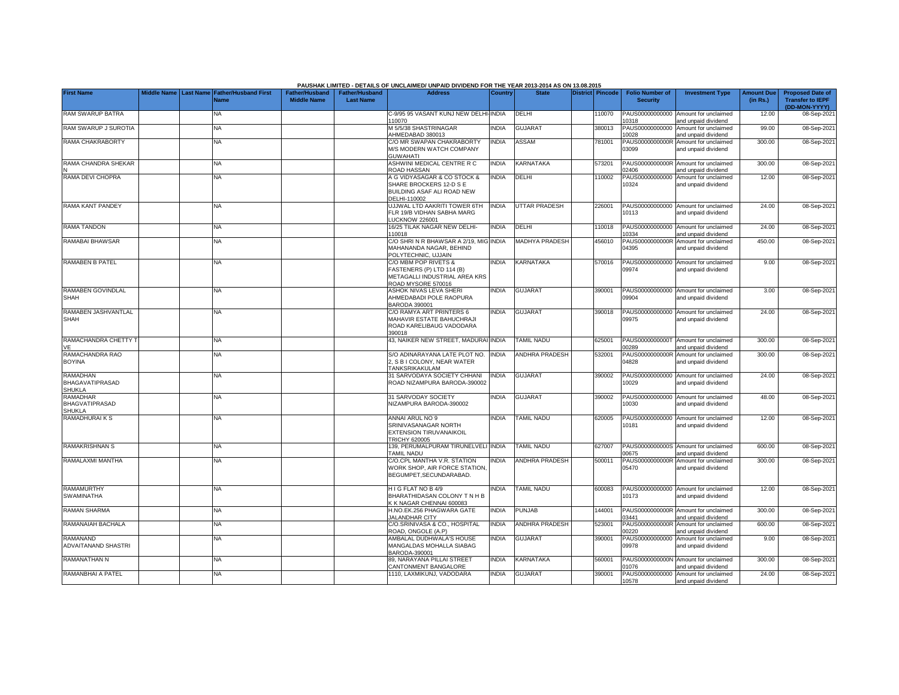|                                                            |  |                                                           |                                             |                                           | <b>PAUSHAK LIMITED - DETAILS OF UNCLAIMED/ UNPAID DIVIDEND FOR THE YEAR 2013-2014 AS ON 13.08.2015</b>   |                |                       |                         |        |                                           |                                                             |                               |                                                                     |
|------------------------------------------------------------|--|-----------------------------------------------------------|---------------------------------------------|-------------------------------------------|----------------------------------------------------------------------------------------------------------|----------------|-----------------------|-------------------------|--------|-------------------------------------------|-------------------------------------------------------------|-------------------------------|---------------------------------------------------------------------|
| <b>First Name</b>                                          |  | Middle Name Last Name Father/Husband First<br><b>Name</b> | <b>Father/Husband</b><br><b>Middle Name</b> | <b>Father/Husband</b><br><b>Last Name</b> | <b>Address</b>                                                                                           | <b>Country</b> | <b>State</b>          | <b>District Pincode</b> |        | <b>Folio Number of</b><br><b>Security</b> | <b>Investment Type</b>                                      | <b>Amount Due</b><br>(in Rs.) | <b>Proposed Date of</b><br><b>Transfer to IEPF</b><br>(DD-MON-YYYY) |
| RAM SWARUP BATRA                                           |  | <b>NA</b>                                                 |                                             |                                           | C-9/95 95 VASANT KUNJ NEW DELHI-<br>10070                                                                | <b>INDIA</b>   | DELHI                 |                         | 10070  | PAUS00000000000<br>10318                  | Amount for unclaimed<br>and unpaid dividend                 | 12.00                         | 08-Sep-2021                                                         |
| RAM SWARUP J SUROTIA                                       |  | <b>NA</b>                                                 |                                             |                                           | M 5/5/38 SHASTRINAGAR<br>AHMEDABAD 380013                                                                | <b>INDIA</b>   | <b>GUJARAT</b>        |                         | 380013 | PAUS00000000000<br>10028                  | Amount for unclaimed<br>and unpaid dividend                 | 99.00                         | 08-Sep-2021                                                         |
| RAMA CHAKRABORTY                                           |  | NA                                                        |                                             |                                           | C/O MR SWAPAN CHAKRABORTY<br>M/S MODERN WATCH COMPANY<br><b>GUWAHATI</b>                                 | <b>INDIA</b>   | ASSAM                 |                         | 781001 | PAUS0000000000R<br>03099                  | Amount for unclaimed<br>and unpaid dividend                 | 300.00                        | 08-Sep-2021                                                         |
| RAMA CHANDRA SHEKAR                                        |  | <b>NA</b>                                                 |                                             |                                           | ASHWINI MEDICAL CENTRE R C<br><b>ROAD HASSAN</b>                                                         | <b>INDIA</b>   | KARNATAKA             |                         | 573201 | 02406                                     | PAUS0000000000R Amount for unclaimed<br>nd unpaid dividend  | 300.00                        | 08-Sep-2021                                                         |
| RAMA DEVI CHOPRA                                           |  | NA                                                        |                                             |                                           | A G VIDYASAGAR & CO STOCK &<br>SHARE BROCKERS 12-D S E<br>BUILDING ASAF ALI ROAD NEW<br>DELHI-110002     | <b>NDIA</b>    | DELHI                 |                         | 110002 | PAUS00000000000<br>10324                  | Amount for unclaimed<br>and unpaid dividend                 | 12.00                         | 08-Sep-2021                                                         |
| <b>RAMA KANT PANDEY</b>                                    |  | NA                                                        |                                             |                                           | UJJWAL LTD AAKRITI TOWER 6TH<br>FLR 19/B VIDHAN SABHA MARG<br><b>UCKNOW 226001</b>                       | INDIA          | <b>UTTAR PRADESH</b>  |                         | 226001 | PAUS00000000000<br>10113                  | Amount for unclaimed<br>and unpaid dividend                 | 24.00                         | 08-Sep-2021                                                         |
| <b>RAMA TANDON</b>                                         |  | <b>NA</b>                                                 |                                             |                                           | 16/25 TILAK NAGAR NEW DELHI-<br>110018                                                                   | <b>INDIA</b>   | <b>DELHI</b>          |                         | 110018 | PAUS00000000000<br>10334                  | Amount for unclaimed<br>and unpaid dividend                 | 24.00                         | 08-Sep-2021                                                         |
| RAMABAI BHAWSAR                                            |  | NA                                                        |                                             |                                           | C/O SHRI N R BHAWSAR A 2/19, MIG INDIA<br>MAHANANDA NAGAR, BEHIND<br>POLYTECHNIC, UJJAIN                 |                | <b>MADHYA PRADESH</b> |                         | 456010 | PAUS0000000000R<br>04395                  | Amount for unclaimed<br>and unpaid dividend                 | 450.00                        | 08-Sep-2021                                                         |
| <b>RAMABEN B PATEL</b>                                     |  | <b>NA</b>                                                 |                                             |                                           | C/O MBM POP RIVETS &<br>FASTENERS (P) LTD 114 (B)<br>METAGALLI INDUSTRIAL AREA KRS<br>ROAD MYSORE 570016 | INDIA          | <b>KARNATAKA</b>      |                         | 570016 | PAUS00000000000<br>09974                  | Amount for unclaimed<br>and unpaid dividend                 | 9.00                          | 08-Sep-2021                                                         |
| RAMABEN GOVINDLAL<br><b>SHAH</b>                           |  | NA                                                        |                                             |                                           | ASHOK NIVAS LEVA SHERI<br>AHMEDABADI POLE RAOPURA<br>BARODA 390001                                       | <b>INDIA</b>   | <b>GUJARAT</b>        |                         | 390001 | PAUS00000000000<br>09904                  | Amount for unclaimed<br>and unpaid dividend                 | 3.00                          | 08-Sep-2021                                                         |
| RAMABEN JASHVANTLAL<br><b>SHAH</b>                         |  | ΝA                                                        |                                             |                                           | C/O RAMYA ART PRINTERS 6<br>MAHAVIR ESTATE BAHUCHRAJI<br>ROAD KARELIBAUG VADODARA<br>390018              | <b>NDIA</b>    | <b>GUJARAT</b>        |                         | 390018 | PAUS00000000000<br>09975                  | Amount for unclaimed<br>and unpaid dividend                 | 24.00                         | 08-Sep-2021                                                         |
| RAMACHANDRA CHETTY T<br>VE                                 |  | NA                                                        |                                             |                                           | 43, NAIKER NEW STREET, MADURAI INDIA                                                                     |                | <b>TAMIL NADU</b>     |                         | 625001 | 00289                                     | PAUS0000000000T Amount for unclaimed<br>and unpaid dividend | 300.00                        | 08-Sep-2021                                                         |
| RAMACHANDRA RAO<br><b>BOYINA</b>                           |  | <b>NA</b>                                                 |                                             |                                           | S/O ADINARAYANA LATE PLOT NO.<br>2, S B I COLONY, NEAR WATER<br>TANKSRIKAKULAM                           | <b>INDIA</b>   | <b>ANDHRA PRADESH</b> |                         | 532001 | 04828                                     | PAUS0000000000R Amount for unclaimed<br>and unpaid dividend | 300.00                        | 08-Sep-2021                                                         |
| <b>RAMADHAN</b><br><b>BHAGAVATIPRASAD</b><br><b>SHUKLA</b> |  | <b>NA</b>                                                 |                                             |                                           | 31 SARVODAYA SOCIETY CHHANI<br>ROAD NIZAMPURA BARODA-390002                                              | INDIA          | <b>GUJARAT</b>        |                         | 390002 | PAUS00000000000<br>10029                  | Amount for unclaimed<br>and unpaid dividend                 | 24.00                         | 08-Sep-2021                                                         |
| <b>RAMADHAR</b><br><b>BHAGVATIPRASAD</b><br><b>SHUKLA</b>  |  | <b>NA</b>                                                 |                                             |                                           | 31 SARVODAY SOCIETY<br>NIZAMPURA BARODA-390002                                                           | INDIA          | <b>GUJARAT</b>        |                         | 390002 | PAUS00000000000<br>10030                  | Amount for unclaimed<br>and unpaid dividend                 | 48.00                         | 08-Sep-2021                                                         |
| RAMADHURAI K S                                             |  | <b>NA</b>                                                 |                                             |                                           | ANNAI ARUL NO 9<br>SRINIVASANAGAR NORTH<br>EXTENSION TIRUVANAIKOIL<br>TRICHY 620005                      | <b>NDIA</b>    | <b>TAMIL NADU</b>     |                         | 620005 | 10181                                     | PAUS00000000000 Amount for unclaimed<br>and unpaid dividend | 12.00                         | 08-Sep-2021                                                         |
| <b>RAMAKRISHNAN S</b>                                      |  | <b>NA</b>                                                 |                                             |                                           | 139. PERUMALPURAM TIRUNELVELI INDIA<br>TAMIL NADU                                                        |                | <b>TAMIL NADU</b>     |                         | 327007 | 00675                                     | PAUS0000000000S Amount for unclaimed<br>and unpaid dividend | 600.00                        | 08-Sep-2021                                                         |
| RAMALAXMI MANTHA                                           |  | NA                                                        |                                             |                                           | C/O.CPL MANTHA V.R. STATION<br>WORK SHOP, AIR FORCE STATION<br>BEGUMPET, SECUNDARABAD.                   | INDIA          | <b>ANDHRA PRADESH</b> |                         | 500011 | PAUS0000000000R<br>05470                  | Amount for unclaimed<br>and unpaid dividend                 | 300.00                        | 08-Sep-2021                                                         |
| <b>RAMAMURTHY</b><br>SWAMINATHA                            |  | NA                                                        |                                             |                                           | H I G FLAT NO B 4/9<br>BHARATHIDASAN COLONY T N H B<br>K K NAGAR CHENNAI 600083                          | <b>NDIA</b>    | <b>TAMIL NADU</b>     |                         | 600083 | PAUS00000000000<br>10173                  | Amount for unclaimed<br>and unpaid dividend                 | 12.00                         | 08-Sep-2021                                                         |
| <b>RAMAN SHARMA</b>                                        |  | NA                                                        |                                             |                                           | H.NO.EK.256 PHAGWARA GATE<br><b>JALANDHAR CITY</b>                                                       | INDIA          | <b>PUNJAB</b>         |                         | 144001 | 03441                                     | PAUS0000000000R Amount for unclaimed<br>and unpaid dividend | 300.00                        | 08-Sep-2021                                                         |
| RAMANAIAH BACHALA                                          |  | NA                                                        |                                             |                                           | C/O.SRINIVASA & CO., HOSPITAL<br><b>ROAD, ONGOLE (A.P)</b>                                               | <b>INDIA</b>   | <b>ANDHRA PRADESH</b> |                         | 523001 | PAUS0000000000R<br>00220                  | Amount for unclaimed<br>nd unpaid dividend                  | 600.00                        | 08-Sep-2021                                                         |
| <b>RAMANAND</b><br>ADVAITANAND SHASTRI                     |  | NA                                                        |                                             |                                           | AMBALAL DUDHWALA'S HOUSE<br>MANGALDAS MOHALLA SIABAG<br>BARODA-390001                                    | <b>NDIA</b>    | <b>GUJARAT</b>        |                         | 390001 | PAUS00000000000<br>09978                  | Amount for unclaimed<br>and unpaid dividend                 | 9.00                          | 08-Sep-2021                                                         |
| RAMANATHAN N                                               |  | NA.                                                       |                                             |                                           | 89. NARAYANA PILLAI STREET<br>CANTONMENT BANGALORE                                                       | <b>INDIA</b>   | KARNATAKA             |                         | 560001 | 01076                                     | PAUS0000000000N Amount for unclaimed<br>and unpaid dividend | 300.00                        | 08-Sep-2021                                                         |
| RAMANBHAI A PATEL                                          |  | NA                                                        |                                             |                                           | 1110, LAXMIKUNJ, VADODARA                                                                                | <b>NDIA</b>    | <b>GUJARAT</b>        |                         | 390001 | PAUS00000000000<br>10578                  | Amount for unclaimed<br>and unpaid dividend                 | 24.00                         | 08-Sep-2021                                                         |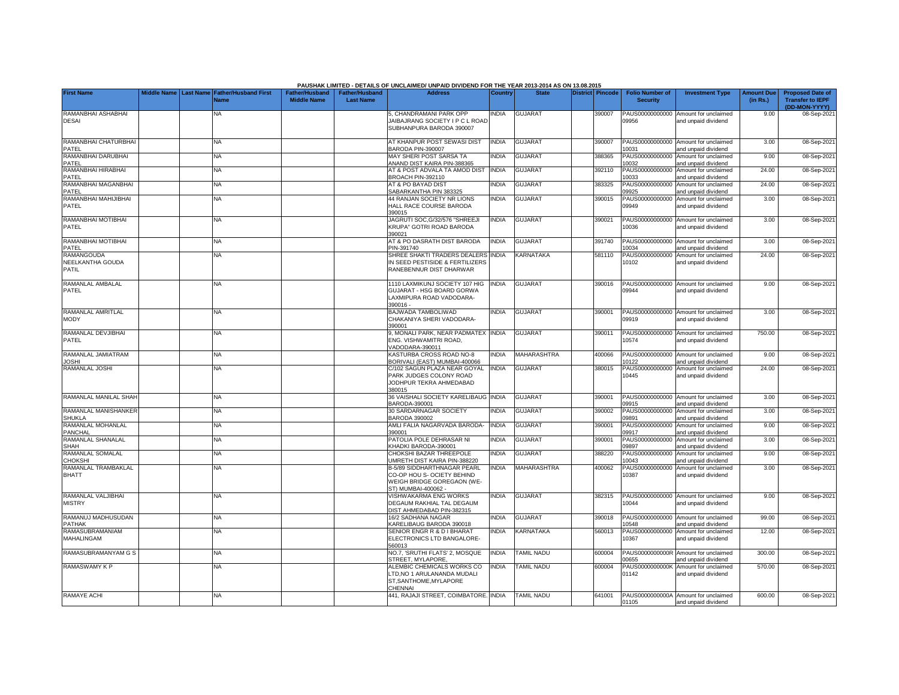|                                         |                    |                                                                |                                             |                                           | PAUSHAK LIMITED - DETAILS OF UNCLAIMED/ UNPAID DIVIDEND FOR THE YEAR 2013-2014 AS ON 13.08.2015                                                                                                                                                        |                |                    |                         |                                           |                                                             |                               |                                                                     |
|-----------------------------------------|--------------------|----------------------------------------------------------------|---------------------------------------------|-------------------------------------------|--------------------------------------------------------------------------------------------------------------------------------------------------------------------------------------------------------------------------------------------------------|----------------|--------------------|-------------------------|-------------------------------------------|-------------------------------------------------------------|-------------------------------|---------------------------------------------------------------------|
| <b>First Name</b>                       | <b>Middle Name</b> | <b>Father/Husband First</b><br><b>Last Name</b><br><b>Name</b> | <b>Father/Husband</b><br><b>Middle Name</b> | <b>Father/Husband</b><br><b>Last Name</b> | <b>Address</b>                                                                                                                                                                                                                                         | <b>Country</b> | <b>State</b>       | <b>District Pincode</b> | <b>Folio Number of</b><br><b>Security</b> | <b>Investment Type</b>                                      | <b>Amount Due</b><br>(in Rs.) | <b>Proposed Date of</b><br><b>Transfer to IEPF</b><br>(DD-MON-YYYY) |
| RAMANBHAI ASHABHAI<br><b>DESAI</b>      |                    | NA.                                                            |                                             |                                           | 5. CHANDRAMANI PARK OPP<br>JAIBAJRANG SOCIETY I P C L ROAD<br>SUBHANPURA BARODA 390007                                                                                                                                                                 | <b>INDIA</b>   | <b>GUJARAT</b>     | 390007                  | PAUS00000000000<br>09956                  | Amount for unclaimed<br>and unpaid dividend                 | 9.00                          | 08-Sep-2021                                                         |
| RAMANBHAI CHATURBHAI<br>PATEL           |                    | NA                                                             |                                             |                                           | AT KHANPUR POST SEWASI DIST<br>BARODA PIN-390007                                                                                                                                                                                                       | <b>INDIA</b>   | <b>GUJARAT</b>     | 390007                  | PAUS00000000000<br>10031                  | Amount for unclaimed<br>and unpaid dividend                 | 3.00                          | 08-Sep-2021                                                         |
| RAMANBHAI DARUBHAI<br>PATEL             |                    | <b>NA</b>                                                      |                                             |                                           | MAY SHERI POST SARSA TA<br>ANAND DIST KAIRA PIN-388365                                                                                                                                                                                                 | INDIA          | <b>GUJARAT</b>     | 388365                  | PAUS00000000000<br>10032                  | Amount for unclaimed<br>and unpaid dividend                 | 9.00                          | 08-Sep-2021                                                         |
| RAMANBHAI HIRABHAI<br>PATEL             |                    | <b>NA</b>                                                      |                                             |                                           | AT & POST ADVALA TA AMOD DIST<br><b>BROACH PIN-392110</b>                                                                                                                                                                                              | <b>INDIA</b>   | <b>GUJARAT</b>     | 392110                  | PAUS00000000000<br>10033                  | Amount for unclaimed<br>and unpaid dividend                 | 24.00                         | 08-Sep-2021                                                         |
| RAMANBHAI MAGANBHAI<br>PATEL            |                    | NA                                                             |                                             |                                           | AT & PO BAYAD DIST<br>SABARKANTHA PIN 383325                                                                                                                                                                                                           | <b>NDIA</b>    | <b>GUJARAT</b>     | 383325                  | PAUS00000000000<br>09925                  | Amount for unclaimed<br>and unpaid dividend                 | 24.00                         | 08-Sep-2021                                                         |
| RAMANBHAI MAHIJIBHAI<br>PATEL           |                    | NA                                                             |                                             |                                           | <b>44 RANJAN SOCIETY NR LIONS</b><br>HALL RACE COURSE BARODA<br>390015                                                                                                                                                                                 | <b>NDIA</b>    | <b>GUJARAT</b>     | 390015                  | PAUS00000000000<br>09949                  | Amount for unclaimed<br>and unpaid dividend                 | 3.00                          | 08-Sep-2021                                                         |
| RAMANBHAI MOTIBHAI<br>PATEL             |                    | NA                                                             |                                             |                                           | JAGRUTI SOC, G/32/576 "SHREEJI<br>KRUPA" GOTRI ROAD BARODA<br>390021                                                                                                                                                                                   | <b>NDIA</b>    | <b>GUJARAT</b>     | 390021                  | PAUS00000000000<br>10036                  | Amount for unclaimed<br>and unpaid dividend                 | 3.00                          | 08-Sep-2021                                                         |
| RAMANBHAI MOTIBHAI<br>PATEL             |                    | NA                                                             |                                             |                                           | AT & PO DASRATH DIST BARODA<br>PIN-391740                                                                                                                                                                                                              | <b>INDIA</b>   | <b>GUJARAT</b>     | 391740                  | PAUS00000000000<br>10034                  | Amount for unclaimed<br>and unpaid dividend                 | 3.00                          | 08-Sep-2021                                                         |
| RAMANGOUDA<br>NEELKANTHA GOUDA<br>PATIL |                    | NA                                                             |                                             |                                           | SHREE SHAKTI TRADERS DEALERS INDIA<br>IN SEED PESTISIDE & FERTILIZERS<br>RANEBENNUR DIST DHARWAR                                                                                                                                                       |                | KARNATAKA          | 581110                  | PAUS00000000000<br>10102                  | Amount for unclaimed<br>and unpaid dividend                 | 24.00                         | 08-Sep-2021                                                         |
| RAMANLAL AMBALAL<br>PATEL               |                    | NA                                                             |                                             |                                           | 1110 LAXMIKUNJ SOCIETY 107 HIG<br>GUJARAT - HSG BOARD GORWA<br>LAXMIPURA ROAD VADODARA-<br>390016-                                                                                                                                                     | INDIA          | <b>GUJARAT</b>     | 390016                  | PAUS00000000000<br>09944                  | Amount for unclaimed<br>and unpaid dividend                 | 9.00                          | 08-Sep-2021                                                         |
| RAMANLAL AMRITLAL<br>MODY               |                    | NA.                                                            |                                             |                                           | BAJWADA TAMBOLIWAD<br>CHAKANIYA SHERI VADODARA-<br>390001                                                                                                                                                                                              | <b>NDIA</b>    | <b>GUJARAT</b>     | 390001                  | PAUS00000000000<br>09919                  | Amount for unclaimed<br>and unpaid dividend                 | 3.00                          | 08-Sep-2021                                                         |
| RAMANLAL DEVJIBHAI<br>PATEL             |                    | NA                                                             |                                             |                                           | 9, MONALI PARK, NEAR PADMATEX<br>ENG. VISHWAMITRI ROAD,<br>/ADODARA-390011                                                                                                                                                                             | <b>INDIA</b>   | <b>GUJARAT</b>     | 390011                  | PAUS00000000000<br>10574                  | Amount for unclaimed<br>and unpaid dividend                 | 750.00                        | 08-Sep-2021                                                         |
| RAMANLAL JAMIATRAM<br><b>JOSHI</b>      |                    | <b>NA</b>                                                      |                                             |                                           | KASTURBA CROSS ROAD NO-8<br><b>3ORIVALI (EAST) MUMBAI-400066</b>                                                                                                                                                                                       | <b>INDIA</b>   | <b>MAHARASHTRA</b> | 400066                  | PAUS00000000000<br>10122                  | Amount for unclaimed<br>nd unpaid dividend                  | 9.00                          | 08-Sep-2021                                                         |
| RAMANLAL JOSHI                          |                    | <b>NA</b>                                                      |                                             |                                           | C/102 SAGUN PLAZA NEAR GOYAL<br>PARK JUDGES COLONY ROAD<br>JODHPUR TEKRA AHMEDABAD<br>380015                                                                                                                                                           | <b>INDIA</b>   | <b>GUJARAT</b>     | 380015                  | PAUS00000000000<br>10445                  | Amount for unclaimed<br>and unpaid dividend                 | 24.00                         | 08-Sep-2021                                                         |
| RAMANLAL MANILAL SHAH                   |                    | <b>NA</b>                                                      |                                             |                                           | 36 VAISHALI SOCIETY KARELIBAUG INDIA<br>8ARODA-390001                                                                                                                                                                                                  |                | <b>GUJARAT</b>     | 390001                  | PAUS00000000000<br>09915                  | Amount for unclaimed<br>and unpaid dividend                 | 3.00                          | 08-Sep-2021                                                         |
| RAMANLAL MANISHANKER<br><b>SHUKLA</b>   |                    | NA                                                             |                                             |                                           | 30 SARDARNAGAR SOCIETY<br>BARODA 390002                                                                                                                                                                                                                | <b>NDIA</b>    | <b>GUJARAT</b>     | 390002                  | PAUS00000000000<br>09891                  | Amount for unclaimed<br>nd unpaid dividend                  | 3.00                          | 08-Sep-2021                                                         |
| RAMANLAL MOHANLAL<br>PANCHAL            |                    | NA                                                             |                                             |                                           | AMLI FALIA NAGARVADA BARODA-<br>390001                                                                                                                                                                                                                 | <b>INDIA</b>   | <b>GUJARAT</b>     | 390001                  | PAUS00000000000<br>09917                  | Amount for unclaimed<br>and unpaid dividend                 | 9.00                          | 08-Sep-2021                                                         |
| RAMANLAL SHANALAL<br>SHAH               |                    | NA                                                             |                                             |                                           | PATOLIA POLE DEHRASAR NI<br><hadki baroda-390001<="" td=""><td><b>INDIA</b></td><td><b>GUJARAT</b></td><td>390001</td><td>PAUS00000000000<br/>09897</td><td>Amount for unclaimed<br/>and unpaid dividend</td><td>3.00</td><td>08-Sep-2021</td></hadki> | <b>INDIA</b>   | <b>GUJARAT</b>     | 390001                  | PAUS00000000000<br>09897                  | Amount for unclaimed<br>and unpaid dividend                 | 3.00                          | 08-Sep-2021                                                         |
| RAMANLAL SOMALAL<br><b>CHOKSHI</b>      |                    | ΝA                                                             |                                             |                                           | CHOKSHI BAZAR THREEPOLE<br><b>JMRETH DIST KAIRA PIN-388220</b>                                                                                                                                                                                         | INDIA          | <b>GUJARAT</b>     | 388220                  | PAUS00000000000<br>10043                  | Amount for unclaimed<br>and unpaid dividend                 | 9.00                          | 08-Sep-2021                                                         |
| RAMANLAL TRAMBAKLAL<br><b>BHATT</b>     |                    | ΝA                                                             |                                             |                                           | B-5/89 SIDDHARTHNAGAR PEARL<br>CO-OP HOU S- OCIETY BEHIND<br>WEIGH BRIDGE GOREGAON (WE-<br>ST) MUMBAI-400062 -                                                                                                                                         | <b>INDIA</b>   | <b>MAHARASHTRA</b> | 400062                  | PAUS00000000000<br>10387                  | Amount for unclaimed<br>and unpaid dividend                 | 3.00                          | 08-Sep-2021                                                         |
| RAMANLAL VALJIBHAI<br><b>MISTRY</b>     |                    | NA                                                             |                                             |                                           | VISHWAKARMA ENG WORKS<br>DEGAUM RAKHIAL TAL DEGAUM<br>DIST AHMEDABAD PIN-382315                                                                                                                                                                        | <b>INDIA</b>   | <b>GUJARAT</b>     | 382315                  | PAUS00000000000<br>10044                  | Amount for unclaimed<br>and unpaid dividend                 | 9.00                          | 08-Sep-2021                                                         |
| RAMANUJ MADHUSUDAN<br>PATHAK            |                    | NA                                                             |                                             |                                           | 16/2 SADHANA NAGAR<br><b>KARELIBAUG BARODA 390018</b>                                                                                                                                                                                                  | <b>NDIA</b>    | GUJARAT            | 390018                  | PAUS00000000000<br>10548                  | Amount for unclaimed<br>and unpaid dividend                 | 99.00                         | 08-Sep-2021                                                         |
| RAMASUBRAMANIAM<br>MAHALINGAM           |                    | NA                                                             |                                             |                                           | SENIOR ENGR R & D I BHARAT<br>ELECTRONICS LTD BANGALORE-<br>560013                                                                                                                                                                                     | INDIA          | KARNATAKA          | 560013                  | PAUS00000000000<br>10367                  | Amount for unclaimed<br>and unpaid dividend                 | 12.00                         | 08-Sep-2021                                                         |
| RAMASUBRAMANYAM G S                     |                    | NA                                                             |                                             |                                           | NO.7, 'SRUTHI FLATS' 2, MOSQUE<br>STREET, MYLAPORE                                                                                                                                                                                                     | <b>INDIA</b>   | <b>TAMIL NADU</b>  | 600004                  | PAUS0000000000R<br>00655                  | Amount for unclaimed<br>and unpaid dividend                 | 300.00                        | 08-Sep-2021                                                         |
| RAMASWAMY K P                           |                    | NA                                                             |                                             |                                           | ALEMBIC CHEMICALS WORKS CO<br>TD, NO 1 ARULANANDA MUDALI<br>ST, SANTHOME, MYLAPORE<br><b>HENNAI</b>                                                                                                                                                    | <b>INDIA</b>   | <b>TAMIL NADU</b>  | 600004                  | PAUS0000000000K<br>01142                  | Amount for unclaimed<br>and unpaid dividend                 | 570.00                        | 08-Sep-2021                                                         |
| RAMAYE ACHI                             |                    | NA                                                             |                                             |                                           | 441, RAJAJI STREET, COIMBATORE. INDIA                                                                                                                                                                                                                  |                | <b>TAMIL NADU</b>  | 641001                  | 01105                                     | PAUS0000000000A Amount for unclaimed<br>and unpaid dividend | 600.00                        | 08-Sep-2021                                                         |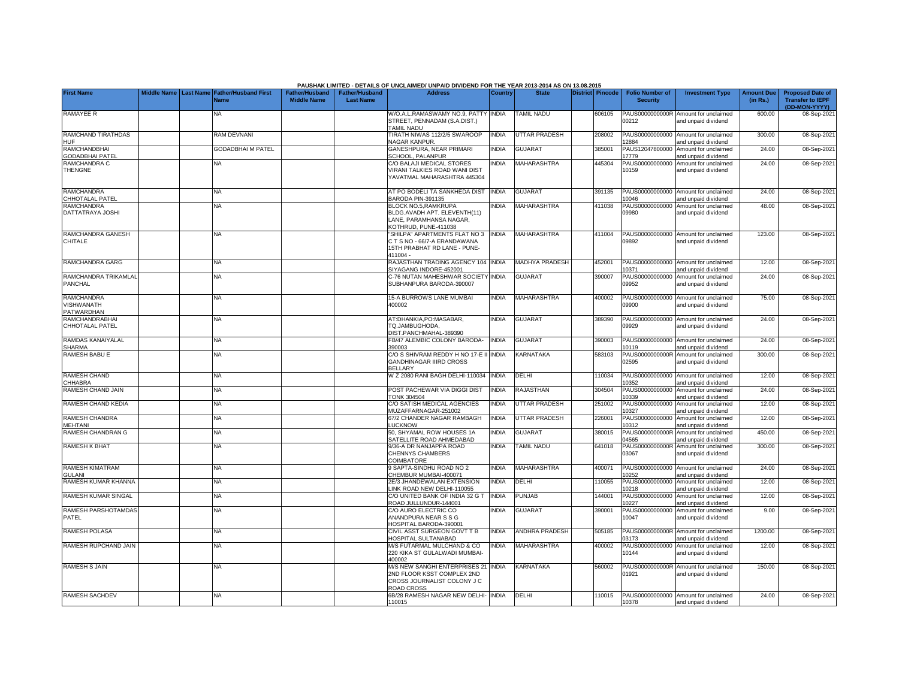|                                               |                    |                                               |                                             |                                           | PAUSHAK LIMITED - DETAILS OF UNCLAIMED/ UNPAID DIVIDEND FOR THE YEAR 2013-2014 AS ON 13.08.2015                       |                |                       |                         |                                           |                                                             |                               |                                                                     |
|-----------------------------------------------|--------------------|-----------------------------------------------|---------------------------------------------|-------------------------------------------|-----------------------------------------------------------------------------------------------------------------------|----------------|-----------------------|-------------------------|-------------------------------------------|-------------------------------------------------------------|-------------------------------|---------------------------------------------------------------------|
| <b>First Name</b>                             | <b>Middle Name</b> | <b>Last Name Father/Husband First</b><br>Jame | <b>Father/Husband</b><br><b>Middle Name</b> | <b>Father/Husband</b><br><b>Last Name</b> | <b>Address</b>                                                                                                        | <b>Country</b> | <b>State</b>          | <b>District Pincode</b> | <b>Folio Number of</b><br><b>Security</b> | <b>Investment Type</b>                                      | <b>Amount Due</b><br>(in Rs.) | <b>Proposed Date of</b><br><b>Transfer to IEPF</b><br>(DD-MON-YYYY) |
| <b>RAMAYEE R</b>                              |                    | NA                                            |                                             |                                           | W/O.A.L.RAMASWAMY NO.9, PATTY INDIA<br>STREET, PENNADAM (S.A.DIST.)<br><b>TAMIL NADU</b>                              |                | <b>TAMIL NADU</b>     | 606105                  | PAUS0000000000R<br>00212                  | Amount for unclaimed<br>and unpaid dividend                 | 600.00                        | 08-Sep-202                                                          |
| <b>RAMCHAND TIRATHDAS</b><br><b>HUF</b>       |                    | <b>RAM DEVNANI</b>                            |                                             |                                           | TIRATH NIWAS 112/2/5 SWAROOP<br>NAGAR KANPUR.                                                                         | <b>INDIA</b>   | <b>UTTAR PRADESH</b>  | 208002                  | 2884                                      | PAUS00000000000 Amount for unclaimed<br>and unpaid dividend | 300.00                        | 08-Sep-2021                                                         |
| <b>RAMCHANDBHAI</b><br><b>GODADBHAI PATEL</b> |                    | <b>GODADBHAI M PATEL</b>                      |                                             |                                           | <b>GANESHPURA, NEAR PRIMARI</b><br><b>SCHOOL, PALANPUR</b>                                                            | <b>NDIA</b>    | <b>GUJARAT</b>        | 385001                  | PAUS12047800000<br>17779                  | Amount for unclaimed<br>and unpaid dividend                 | 24.00                         | 08-Sep-2021                                                         |
| RAMCHANDRA C<br><b>THENGNE</b>                |                    | NA                                            |                                             |                                           | C/O BALAJI MEDICAL STORES<br><b>VIRANI TALKIES ROAD WANI DIST</b><br>YAVATMAL MAHARASHTRA 445304                      | <b>NDIA</b>    | MAHARASHTRA           | 445304                  | PAUS00000000000<br>10159                  | Amount for unclaimed<br>and unpaid dividend                 | 24.00                         | 08-Sep-2021                                                         |
| <b>RAMCHANDRA</b><br>CHHOTALAL PATEL          |                    | <b>NA</b>                                     |                                             |                                           | AT PO BODELI TA SANKHEDA DIST<br>3ARODA PIN-391135                                                                    | <b>INDIA</b>   | <b>GUJARAT</b>        | 391135                  | 0046                                      | PAUS00000000000 Amount for unclaimed<br>and unpaid dividend | 24.00                         | 08-Sep-2021                                                         |
| <b>RAMCHANDRA</b><br>DATTATRAYA JOSHI         |                    | NA                                            |                                             |                                           | <b>BLOCK NO.5.RAMKRUPA</b><br>BLDG.AVADH APT. ELEVENTH(11)<br>LANE, PARAMHANSA NAGAR.<br>KOTHRUD, PUNE-411038         | <b>NDIA</b>    | <b>MAHARASHTRA</b>    | 411038                  | PAUS00000000000<br>09980                  | Amount for unclaimed<br>and unpaid dividend                 | 48.00                         | 08-Sep-2021                                                         |
| RAMCHANDRA GANESH<br>CHITALE                  |                    | NA                                            |                                             |                                           | 'SHILPA" APARTMENTS FLAT NO 3<br>CTS NO - 66/7-A ERANDAWANA<br>15TH PRABHAT RD LANE - PUNE-<br>411004-                | <b>INDIA</b>   | MAHARASHTRA           | 411004                  | 09892                                     | PAUS00000000000 Amount for unclaimed<br>and unpaid dividend | 123.00                        | 08-Sep-2021                                                         |
| RAMCHANDRA GARG                               |                    | <b>NA</b>                                     |                                             |                                           | RAJASTHAN TRADING AGENCY 104<br>SIYAGANG INDORE-452001                                                                | <b>INDIA</b>   | <b>MADHYA PRADESH</b> | 452001                  | 0371                                      | PAUS00000000000 Amount for unclaimed<br>and unpaid dividend | 12.00                         | 08-Sep-2021                                                         |
| RAMCHANDRA TRIKAMLAL<br>PANCHAL               |                    | NA                                            |                                             |                                           | C-76 NUTAN MAHESHWAR SOCIETY INDIA<br>SUBHANPURA BARODA-390007                                                        |                | <b>GUJARAT</b>        | 390007                  | PAUS00000000000<br>09952                  | Amount for unclaimed<br>and unpaid dividend                 | 24.00                         | 08-Sep-2021                                                         |
| <b>RAMCHANDRA</b><br>VISHWANATH<br>PATWARDHAN |                    | NA                                            |                                             |                                           | 15-A BURROWS LANE MUMBAI<br>400002                                                                                    | <b>NDIA</b>    | MAHARASHTRA           | 400002                  | 09900                                     | PAUS00000000000 Amount for unclaimed<br>and unpaid dividend | 75.00                         | 08-Sep-2021                                                         |
| <b>RAMCHANDRABHAI</b><br>CHHOTALAL PATEL      |                    | ΝA                                            |                                             |                                           | AT:DHANKIA, PO:MASABAR,<br>TQ.JAMBUGHODA,<br>DIST.PANCHMAHAL-389390                                                   | <b>NDIA</b>    | <b>GUJARAT</b>        | 389390                  | 09929                                     | PAUS00000000000 Amount for unclaimed<br>and unpaid dividend | 24.00                         | 08-Sep-2021                                                         |
| RAMDAS KANAIYALAL<br><b>SHARMA</b>            |                    | NA                                            |                                             |                                           | FB/47 ALEMBIC COLONY BARODA-<br>390003                                                                                | <b>INDIA</b>   | <b>GUJARAT</b>        | 390003                  | 0119                                      | PAUS00000000000 Amount for unclaimed<br>and unpaid dividend | 24.00                         | 08-Sep-2021                                                         |
| <b>RAMESH BABU E</b>                          |                    | NA                                            |                                             |                                           | C/O S SHIVRAM REDDY H NO 17-E II INDIA<br><b>GANDHINAGAR IIIRD CROSS</b><br>BELLARY                                   |                | KARNATAKA             | 583103                  | PAUS0000000000R<br>02595                  | Amount for unclaimed<br>and unpaid dividend                 | 300.00                        | 08-Sep-2021                                                         |
| <b>RAMESH CHAND</b><br>CHHABRA                |                    | <b>NA</b>                                     |                                             |                                           | W Z 2080 RANI BAGH DELHI-110034                                                                                       | <b>INDIA</b>   | DELHI                 | 110034                  | PAUS00000000000<br>0352                   | Amount for unclaimed<br>and unpaid dividend                 | 12.00                         | 08-Sep-2021                                                         |
| RAMESH CHAND JAIN                             |                    | <b>NA</b>                                     |                                             |                                           | POST PACHEWAR VIA DIGGI DIST<br><b>TONK 304504</b>                                                                    | <b>NDIA</b>    | RAJASTHAN             | 304504                  | PAUS00000000000<br>0339                   | Amount for unclaimed<br>and unpaid dividend                 | 24.00                         | 08-Sep-2021                                                         |
| RAMESH CHAND KEDIA                            |                    | <b>NA</b>                                     |                                             |                                           | C/O SATISH MEDICAL AGENCIES<br>MUZAFFARNAGAR-251002                                                                   | <b>NDIA</b>    | UTTAR PRADESH         | 251002                  | PAUS00000000000<br>10327                  | Amount for unclaimed<br>and unpaid dividend                 | 12.00                         | 08-Sep-2021                                                         |
| RAMESH CHANDRA<br><b>MEHTANI</b>              |                    | NA                                            |                                             |                                           | 67/2 CHANDER NAGAR RAMBAGH<br><b>UCKNOW</b>                                                                           | INDIA          | <b>UTTAR PRADESH</b>  | 226001                  | PAUS00000000000<br>10312                  | Amount for unclaimed<br>and unpaid dividend                 | 12.00                         | 08-Sep-202                                                          |
| RAMESH CHANDRAN G                             |                    | NA                                            |                                             |                                           | 50, SHYAMAL ROW HOUSES 1A<br>SATELLITE ROAD AHMEDABAD                                                                 | <b>NDIA</b>    | <b>GUJARAT</b>        | 380015                  | PAUS0000000000R<br>14565                  | Amount for unclaimed<br>and unpaid dividend                 | 450.00                        | 08-Sep-2021                                                         |
| <b>RAMESH K BHAT</b>                          |                    | ΝA                                            |                                             |                                           | 9/36-A DR NANJAPPA ROAD<br>CHENNYS CHAMBERS<br>COIMBATORE                                                             | <b>NDIA</b>    | <b>TAMIL NADU</b>     | 641018                  | 03067                                     | PAUS0000000000R Amount for unclaimed<br>and unpaid dividend | 300.00                        | 08-Sep-2021                                                         |
| <b>RAMESH KIMATRAM</b><br><b>GULANI</b>       |                    | NA                                            |                                             |                                           | <b>SAPTA-SINDHU ROAD NO 2</b><br>CHEMBUR MUMBAI-400071                                                                | <b>NDIA</b>    | MAHARASHTRA           | 400071                  | 0252                                      | PAUS00000000000 Amount for unclaimed<br>and unpaid dividend | 24.00                         | 08-Sep-2021                                                         |
| RAMESH KUMAR KHANNA                           |                    | <b>NA</b>                                     |                                             |                                           | 2E/3 JHANDEWALAN EXTENSION<br>LINK ROAD NEW DELHI-110055                                                              | <b>INDIA</b>   | <b>DELHI</b>          | 110055                  | 10218                                     | PAUS00000000000 Amount for unclaimed<br>and unpaid dividend | 12.00                         | 08-Sep-2021                                                         |
| RAMESH KUMAR SINGAL                           |                    | <b>NA</b>                                     |                                             |                                           | C/O UNITED BANK OF INDIA 32 G T<br>ROAD JULLUNDUR-144001                                                              | <b>INDIA</b>   | <b>PUNJAB</b>         | 144001                  | 0227                                      | PAUS00000000000 Amount for unclaimed<br>and unpaid dividend | 12.00                         | 08-Sep-202                                                          |
| RAMESH PARSHOTAMDAS<br>PATEL                  |                    | <b>NA</b>                                     |                                             |                                           | C/O AURO ELECTRIC CO<br>ANANDPURA NEAR S S G<br>HOSPITAL BARODA-390001                                                | <b>INDIA</b>   | <b>GUJARAT</b>        | 390001                  | 10047                                     | PAUS00000000000 Amount for unclaimed<br>and unpaid dividend | 9.00                          | 08-Sep-2021                                                         |
| <b>RAMESH POLASA</b>                          |                    | <b>NA</b>                                     |                                             |                                           | CIVIL ASST SURGEON GOVT T B<br>HOSPITAL SULTANABAD                                                                    | <b>INDIA</b>   | <b>ANDHRA PRADESH</b> | 505185                  | 3173                                      | PAUS0000000000R Amount for unclaimed<br>and unpaid dividend | 1200.00                       | 08-Sep-202                                                          |
| RAMESH RUPCHAND JAIN                          |                    | <b>NA</b>                                     |                                             |                                           | M/S FUTARMAL MULCHAND & CO<br>220 KIKA ST GULALWADI MUMBAI-<br>400002                                                 | <b>NDIA</b>    | <b>MAHARASHTRA</b>    | 400002                  | 10144                                     | PAUS00000000000 Amount for unclaimed<br>and unpaid dividend | 12.00                         | 08-Sep-2021                                                         |
| <b>RAMESH S JAIN</b>                          |                    | <b>NA</b>                                     |                                             |                                           | M/S NEW SANGHI ENTERPRISES 21 INDIA<br>2ND FLOOR KSST COMPLEX 2ND<br>CROSS JOURNALIST COLONY J C<br><b>ROAD CROSS</b> |                | <b>KARNATAKA</b>      | 560002                  | 01921                                     | PAUS0000000000R Amount for unclaimed<br>and unpaid dividend | 150.00                        | 08-Sep-2021                                                         |
| <b>RAMESH SACHDEV</b>                         |                    | <b>NA</b>                                     |                                             |                                           | 6B/28 RAMESH NAGAR NEW DELHI-<br>110015                                                                               | <b>INDIA</b>   | <b>DELHI</b>          | 110015                  | 10378                                     | PAUS00000000000 Amount for unclaimed<br>and unpaid dividend | 24.00                         | 08-Sep-2021                                                         |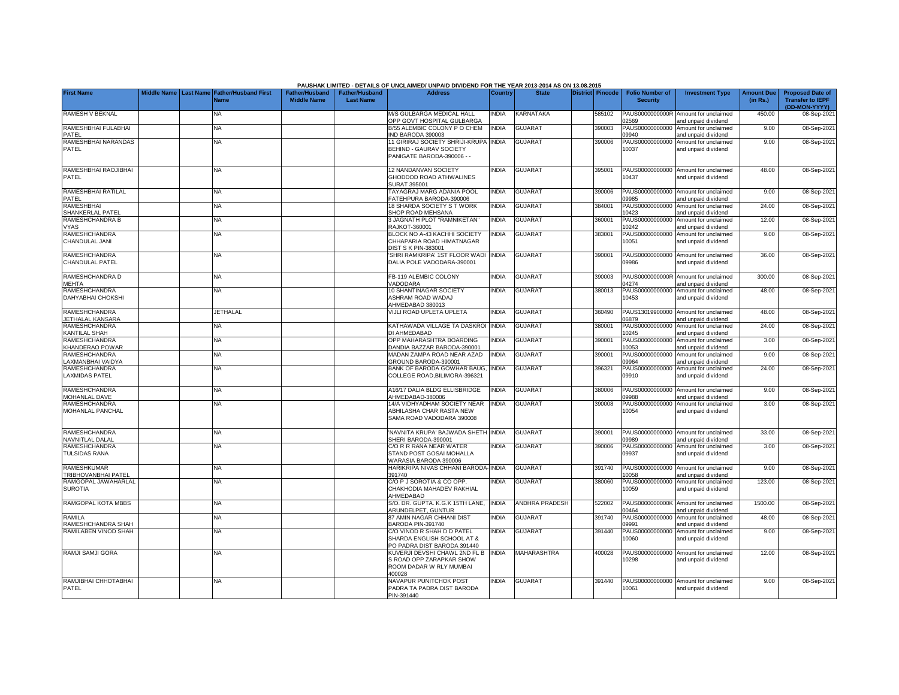|                                               | <b>Name</b> | Middle Name | <b>Last Name</b> |                                                                                                       |              |                       |        | <b>Security</b>          |                                                             | (in Rs.) | <b>Transfer to IEPF</b><br>(DD-MON-YYYY) |
|-----------------------------------------------|-------------|-------------|------------------|-------------------------------------------------------------------------------------------------------|--------------|-----------------------|--------|--------------------------|-------------------------------------------------------------|----------|------------------------------------------|
| RAMESH V BEKNAL                               | <b>NA</b>   |             |                  | M/S GULBARGA MEDICAL HALL<br>OPP GOVT HOSPITAL GULBARGA                                               | <b>NDIA</b>  | <b>KARNATAKA</b>      | 585102 | PAUS0000000000R<br>2569  | Amount for unclaimed<br>and unpaid dividend                 | 450.00   | 08-Sep-2021                              |
| RAMESHBHAI FULABHAI<br>PATEL                  | <b>NA</b>   |             |                  | B/55 ALEMBIC COLONY P O CHEM<br>IND BARODA 390003                                                     | <b>INDIA</b> | <b>GUJARAT</b>        | 390003 | PAUS00000000000<br>9940  | Amount for unclaimed<br>and unpaid dividend                 | 9.00     | 08-Sep-2021                              |
| RAMESHBHAI NARANDAS<br>PATEL                  | <b>NA</b>   |             |                  | 11 GIRIRAJ SOCIETY SHRIJI-KRUPA INDIA<br><b>BEHIND - GAURAV SOCIETY</b><br>PANIGATE BARODA-390006 - - |              | <b>GUJARAT</b>        | 390006 | PAUS00000000000<br>10037 | Amount for unclaimed<br>and unpaid dividend                 | 9.00     | 08-Sep-2021                              |
| RAMESHBHAI RAOJIBHAI<br>PATEL                 | <b>NA</b>   |             |                  | <b>12 NANDANVAN SOCIETY</b><br>GHODDOD ROAD ATHWALINES<br>SURAT 395001                                | INDIA        | <b>GUJARAT</b>        | 395001 | 10437                    | PAUS00000000000 Amount for unclaimed<br>and unpaid dividend | 48.00    | 08-Sep-2021                              |
| RAMESHBHAI RATILAL<br>PATEL                   | <b>NA</b>   |             |                  | TAYAGRAJ MARG ADANIA POOL<br>FATEHPURA BARODA-390006                                                  | INDIA        | <b>GUJARAT</b>        | 390006 | PAUS00000000000<br>9985  | Amount for unclaimed<br>and unpaid dividend                 | 9.00     | 08-Sep-2021                              |
| RAMESHBHAI<br><b>SHANKERLAL PATEL</b>         | <b>NA</b>   |             |                  | <b>18 SHARDA SOCIETY S T WORK</b><br>SHOP ROAD MEHSANA                                                | <b>INDIA</b> | <b>GUJARAT</b>        | 384001 | PAUS00000000000<br>10423 | Amount for unclaimed<br>and unpaid dividend                 | 24.00    | 08-Sep-2021                              |
| RAMESHCHANDRA B<br><b>VYAS</b>                | <b>NA</b>   |             |                  | 3 JAGNATH PLOT "RAMNIKETAN"<br>RAJKOT-360001                                                          | INDIA        | <b>GUJARAT</b>        | 360001 | PAUS00000000000<br>0242  | Amount for unclaimed<br>and unpaid dividend                 | 12.00    | 08-Sep-2021                              |
| RAMESHCHANDRA<br>CHANDULAL JANI               | <b>NA</b>   |             |                  | BLOCK NO A-43 KACHHI SOCIETY<br>CHHAPARIA ROAD HIMATNAGAR<br><b>DIST S K PIN-383001</b>               | INDIA        | <b>GUJARAT</b>        | 383001 | PAUS00000000000<br>10051 | Amount for unclaimed<br>and unpaid dividend                 | 9.00     | 08-Sep-2021                              |
| RAMESHCHANDRA<br>CHANDULAL PATEL              | <b>NA</b>   |             |                  | 'SHRI RAMKRIPA' 1ST FLOOR WADI<br>DALIA POLE VADODARA-390001                                          | <b>INDIA</b> | <b>GUJARAT</b>        | 390001 | PAUS00000000000<br>09986 | Amount for unclaimed<br>and unpaid dividend                 | 36.00    | 08-Sep-2021                              |
| RAMESHCHANDRA D<br>MEHTA                      | <b>NA</b>   |             |                  | FB-119 ALEMBIC COLONY<br>VADODARA                                                                     | <b>INDIA</b> | <b>GUJARAT</b>        | 390003 | 4274                     | PAUS0000000000R Amount for unclaimed<br>and unpaid dividend | 300.00   | 08-Sep-2021                              |
| RAMESHCHANDRA<br>DAHYABHAI CHOKSHI            | <b>NA</b>   |             |                  | 10 SHANTINAGAR SOCIETY<br>ASHRAM ROAD WADAJ<br>AHMEDABAD 380013                                       | <b>NDIA</b>  | <b>GUJARAT</b>        | 380013 | PAUS00000000000<br>10453 | Amount for unclaimed<br>and unpaid dividend                 | 48.00    | 08-Sep-2021                              |
| <b>RAMESHCHANDRA</b><br>JETHALAL KANSARA      | JETHALAL    |             |                  | VIJLI ROAD UPLETA UPLETA                                                                              | <b>INDIA</b> | <b>GUJARAT</b>        | 360490 | 6879                     | PAUS13019900000 Amount for unclaimed<br>and unpaid dividend | 48.00    | 08-Sep-2021                              |
| RAMESHCHANDRA<br>KANTILAL SHAH                | <b>NA</b>   |             |                  | KATHAWADA VILLAGE TA DASKROI<br>DI AHMEDABAD                                                          | <b>INDIA</b> | <b>GUJARAT</b>        | 380001 | PAUS00000000000<br>0245  | Amount for unclaimed<br>and unpaid dividend                 | 24.00    | 08-Sep-2021                              |
| RAMESHCHANDRA<br>KHANDERAO POWAR              | <b>NA</b>   |             |                  | OPP MAHARASHTRA BOARDING<br>DANDIA BAZZAR BARODA-390001                                               | <b>NDIA</b>  | <b>GUJARAT</b>        | 390001 | PAUS00000000000<br>0053  | Amount for unclaimed<br>and unpaid dividend                 | 3.00     | 08-Sep-2021                              |
| <b>RAMESHCHANDRA</b><br>LAXMANBHAI VAIDYA     | <b>NA</b>   |             |                  | MADAN ZAMPA ROAD NEAR AZAD<br>GROUND BARODA-390001                                                    | <b>INDIA</b> | <b>GUJARAT</b>        | 390001 | PAUS00000000000<br>09964 | Amount for unclaimed<br>and unpaid dividend                 | 9.00     | 08-Sep-2021                              |
| <b>RAMESHCHANDRA</b><br><b>LAXMIDAS PATEL</b> | <b>NA</b>   |             |                  | BANK OF BARODA GOWHAR BAUG<br>COLLEGE ROAD, BILIMORA-396321                                           | <b>INDIA</b> | <b>GUJARAT</b>        | 396321 | PAUS00000000000<br>09910 | Amount for unclaimed<br>and unpaid dividend                 | 24.00    | 08-Sep-2021                              |
| RAMESHCHANDRA<br>MOHANLAL DAVE                | <b>NA</b>   |             |                  | A16/17 DALIA BLDG ELLISBRIDGE<br>AHMEDABAD-380006                                                     | INDIA        | <b>GUJARAT</b>        | 380006 | PAUS00000000000<br>9988  | Amount for unclaimed<br>and unpaid dividend                 | 9.00     | 08-Sep-2021                              |
| RAMESHCHANDRA<br>MOHANLAL PANCHAL             | <b>NA</b>   |             |                  | 14/A VIDHYADHAM SOCIETY NEAR<br>ABHILASHA CHAR RASTA NEW<br>SAMA ROAD VADODARA 390008                 | <b>INDIA</b> | <b>GUJARAT</b>        | 390008 | PAUS00000000000<br>10054 | Amount for unclaimed<br>and unpaid dividend                 | 3.00     | 08-Sep-2021                              |
| RAMESHCHANDRA<br>NAVNITLAL DALAL              | NA          |             |                  | 'NAVNITA KRUPA' BAJWADA SHETH INDIA<br>SHERI BARODA-390001                                            |              | <b>GUJARAT</b>        | 390001 | 9989                     | PAUS00000000000 Amount for unclaimed<br>and unpaid dividend | 33.00    | 08-Sep-2021                              |
| <b>RAMESHCHANDRA</b><br><b>TULSIDAS RANA</b>  | <b>NA</b>   |             |                  | C/O R R RANA NEAR WATER<br>STAND POST GOSAI MOHALLA<br>WARASIA BARODA 390006                          | <b>INDIA</b> | <b>GUJARAT</b>        | 390006 | PAUS00000000000<br>09937 | Amount for unclaimed<br>and unpaid dividend                 | 3.00     | 08-Sep-2021                              |
| RAMESHKUMAR<br>TRIBHOVANBHAI PATEL            | <b>NA</b>   |             |                  | HARIKRIPA NIVAS CHHANI BARODA-INDIA<br>391740                                                         |              | <b>GUJARAT</b>        | 391740 | PAUS00000000000<br>0058  | Amount for unclaimed<br>and unpaid dividend                 | 9.00     | 08-Sep-2021                              |
| RAMGOPAL JAWAHARLAL<br><b>SUROTIA</b>         | <b>NA</b>   |             |                  | C/O P J SOROTIA & CO OPP.<br>CHAKHODIA MAHADEV RAKHIAL<br>AHMEDABAD                                   | <b>NDIA</b>  | <b>GUJARAT</b>        | 380060 | PAUS00000000000<br>10059 | Amount for unclaimed<br>and unpaid dividend                 | 123.00   | 08-Sep-2021                              |
| RAMGOPAL KOTA MBBS                            | <b>NA</b>   |             |                  | S/O. DR. GUPTA. K.G.K 15TH LANE,<br>ARUNDELPET, GUNTUR                                                | <b>INDIA</b> | <b>ANDHRA PRADESH</b> | 522002 | PAUS0000000000K<br>0464  | Amount for unclaimed<br>and unpaid dividend                 | 1500.00  | 08-Sep-2021                              |
| <b>RAMILA</b><br>RAMESHCHANDRA SHAH           | <b>NA</b>   |             |                  | 87 AMIN NAGAR CHHANI DIST<br>BARODA PIN-391740                                                        | <b>INDIA</b> | <b>GUJARAT</b>        | 391740 | PAUS00000000000<br>9991  | Amount for unclaimed<br>and unpaid dividend                 | 48.00    | 08-Sep-2021                              |
| RAMILABEN VINOD SHAH                          | <b>NA</b>   |             |                  | C/O VINOD R SHAH D D PATEL<br>SHARDA ENGLISH SCHOOL AT &                                              | <b>INDIA</b> | <b>GUJARAT</b>        | 391440 | PAUS00000000000<br>10060 | Amount for unclaimed<br>and unpaid dividend                 | 9.00     | 08-Sep-2021                              |

PO PADRA DIST BARODA 391440

S ROAD OPP ZARAPKAR SHOW ROOM DADAR W RLY MUMBAI

PADRA TA PADRA DIST BARODA

400028

PIN-391440

A NA NA KUVERJI DEVSHI CHAWL 2ND FL B

A<br>NAVAPUR PUNITCHOK POST

## **PAUSHAK LIMITED - DETAILS OF UNCLAIMED/ UNPAID DIVIDEND FOR THE YEAR 2013-2014 AS ON 13.08.2015**

**Address Country State District Pincode Folio Number of** 

INDIA MAHARASHTRA 400028 PAUS00000000000Amount for unclaimed 10298

INDIA GUJARAT | 391440 PAUS00000000000 Amount for unclaimed 10061

and unpaid dividend

and unpaid dividend

and unpaid dividend

12.00 08-Sep-2021

9.00 08-Sep-2021

**Investment Type Amount Due Proposed Date of** 

**First Name Middle Name Last Name Father/Husband First Father/Husband Father/Husband** 

NA

RAMJI SAMJI GORA

**PATEL** 

RAMJIBHAI CHHOTABHAI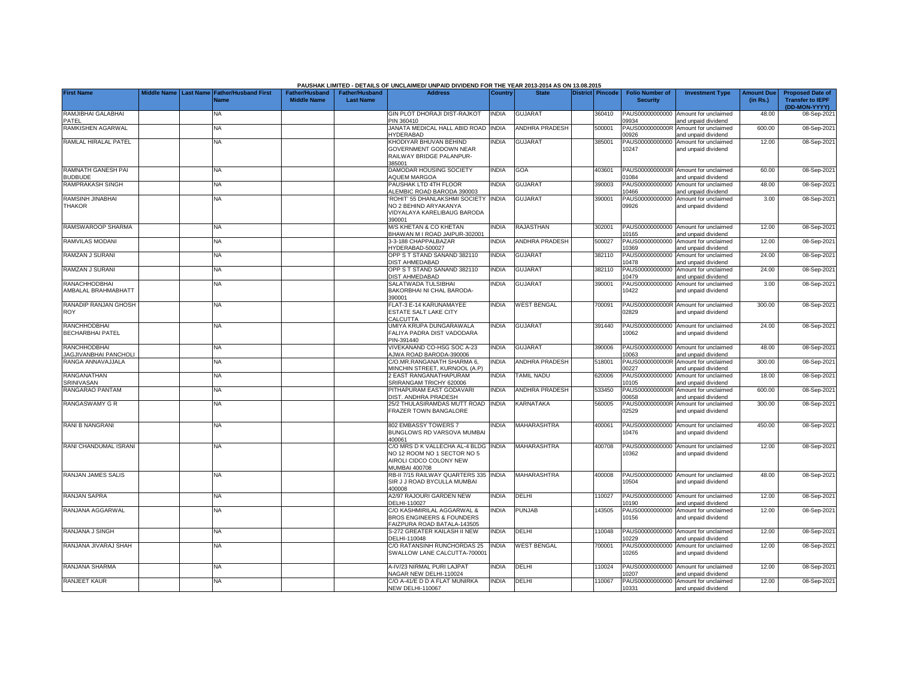|                                                     |  |                                                           |                                             |                                           | PAUSHAK LIMITED - DETAILS OF UNCLAIMED/ UNPAID DIVIDEND FOR THE YEAR 2013-2014 AS ON 13.08.2015           |                |                       |                         |                                           |                                                             |                               |                                                                     |
|-----------------------------------------------------|--|-----------------------------------------------------------|---------------------------------------------|-------------------------------------------|-----------------------------------------------------------------------------------------------------------|----------------|-----------------------|-------------------------|-------------------------------------------|-------------------------------------------------------------|-------------------------------|---------------------------------------------------------------------|
| <b>First Name</b>                                   |  | Middle Name Last Name Father/Husband First<br><b>Name</b> | <b>Father/Husband</b><br><b>Middle Name</b> | <b>Father/Husband</b><br><b>Last Name</b> | <b>Address</b>                                                                                            | <b>Country</b> | <b>State</b>          | <b>District Pincode</b> | <b>Folio Number of</b><br><b>Security</b> | <b>Investment Type</b>                                      | <b>Amount Due</b><br>(in Rs.) | <b>Proposed Date of</b><br><b>Transfer to IEPF</b><br>(DD-MON-YYYY) |
| RAMJIBHAI GALABHAI<br>PATEI                         |  | <b>NA</b>                                                 |                                             |                                           | GIN PLOT DHORAJI DIST-RAJKOT<br>PIN 360410                                                                | <b>INDIA</b>   | <b>GUJARAT</b>        | 360410                  | PAUS00000000000<br>9934                   | Amount for unclaimed<br>and unpaid dividend                 | 48.00                         | 08-Sep-2021                                                         |
| RAMKISHEN AGARWAL                                   |  | <b>NA</b>                                                 |                                             |                                           | JANATA MEDICAL HALL ABID ROAD<br>HYDERABAD                                                                | <b>INDIA</b>   | <b>ANDHRA PRADESH</b> | 500001                  | PAUS0000000000R<br>0926                   | Amount for unclaimed<br>and unpaid dividend                 | 600.00                        | 08-Sep-2021                                                         |
| RAMLAL HIRALAL PATEL                                |  | <b>NA</b>                                                 |                                             |                                           | KHODIYAR BHUVAN BEHIND<br><b>GOVERNMENT GODOWN NEAR</b><br>RAILWAY BRIDGE PALANPUR-<br>385001             | <b>INDIA</b>   | <b>GUJARAT</b>        | 385001                  | PAUS00000000000<br>10247                  | Amount for unclaimed<br>and unpaid dividend                 | 12.00                         | 08-Sep-2021                                                         |
| RAMNATH GANESH PAI<br><b>BUDBUDE</b>                |  | NA                                                        |                                             |                                           | DAMODAR HOUSING SOCIETY<br><b>AQUEM MARGOA</b>                                                            | <b>INDIA</b>   | GOA                   | 403601                  | PAUS0000000000R<br>1084                   | Amount for unclaimed<br>and unpaid dividend                 | 60.00                         | 08-Sep-2021                                                         |
| RAMPRAKASH SINGH                                    |  | <b>NA</b>                                                 |                                             |                                           | PAUSHAK LTD 4TH FLOOR<br>ALEMBIC ROAD BARODA 390003                                                       | <b>INDIA</b>   | <b>GUJARAT</b>        | 390003                  | PAUS00000000000<br>0466                   | Amount for unclaimed<br>nd unpaid dividend                  | 48.00                         | 08-Sep-2021                                                         |
| RAMSINH JINABHAI<br>THAKOR                          |  | <b>NA</b>                                                 |                                             |                                           | ROHIT' 55 DHANLAKSHMI SOCIETY<br>NO 2 BEHIND ARYAKANYA<br>VIDYALAYA KARELIBAUG BARODA<br>390001           | <b>INDIA</b>   | <b>GUJARAT</b>        | 390001                  | PAUS00000000000<br>09926                  | Amount for unclaimed<br>and unpaid dividend                 | 3.00                          | 08-Sep-2021                                                         |
| RAMSWAROOP SHARMA                                   |  | <b>NA</b>                                                 |                                             |                                           | M/S KHETAN & CO KHETAN<br>BHAWAN M I ROAD JAIPUR-302001                                                   | <b>INDIA</b>   | <b>RAJASTHAN</b>      | 302001                  | 0165                                      | PAUS00000000000 Amount for unclaimed<br>and unpaid dividend | 12.00                         | 08-Sep-2021                                                         |
| RAMVILAS MODANI                                     |  | <b>NA</b>                                                 |                                             |                                           | 3-3-188 CHAPPALBAZAR<br>HYDERABAD-500027                                                                  | INDIA          | <b>ANDHRA PRADESH</b> | 500027                  | PAUS00000000000<br>0369                   | Amount for unclaimed<br>and unpaid dividend                 | 12.00                         | 08-Sep-2021                                                         |
| RAMZAN J SURANI                                     |  | ΝA                                                        |                                             |                                           | OPP S T STAND SANAND 382110<br>DIST AHMEDABAD                                                             | INDIA          | <b>GUJARAT</b>        | 382110                  | PAUS00000000000<br>0478                   | Amount for unclaimed<br>and unpaid dividend                 | 24.00                         | 08-Sep-2021                                                         |
| RAMZAN J SURANI                                     |  | <b>NA</b>                                                 |                                             |                                           | OPP S T STAND SANAND 382110<br><b>DIST AHMEDABAD</b>                                                      | INDIA          | <b>GUJARAT</b>        | 382110                  | PAUS00000000000<br>0479                   | Amount for unclaimed<br>and unpaid dividend                 | 24.00                         | 08-Sep-2021                                                         |
| RANACHHODBHAI<br>AMBALAL BRAHMABHATT                |  | ΝA                                                        |                                             |                                           | SALATWADA TULSIBHAI<br>BAKORBHAI NI CHAL BARODA-<br>390001                                                | <b>NDIA</b>    | <b>GUJARAT</b>        | 390001                  | PAUS00000000000<br>10422                  | Amount for unclaimed<br>and unpaid dividend                 | 3.00                          | 08-Sep-2021                                                         |
| RANADIP RANJAN GHOSH<br>ROY                         |  | <b>NA</b>                                                 |                                             |                                           | FLAT-3 E-14 KARUNAMAYEE<br><b>ESTATE SALT LAKE CITY</b><br>CALCUTTA                                       | <b>INDIA</b>   | <b>WEST BENGAL</b>    | 700091                  | PAUS0000000000R<br>02829                  | Amount for unclaimed<br>and unpaid dividend                 | 300.00                        | 08-Sep-2021                                                         |
| RANCHHODBHAI<br><b>BECHARBHAI PATEL</b>             |  | <b>NA</b>                                                 |                                             |                                           | UMIYA KRUPA DUNGARAWALA<br>FALIYA PADRA DIST VADODARA<br>PIN-391440                                       | <b>INDIA</b>   | <b>GUJARAT</b>        | 391440                  | PAUS00000000000<br>0062                   | Amount for unclaimed<br>and unpaid dividend                 | 24.00                         | 08-Sep-2021                                                         |
| <b>RANCHHODBHAI</b><br><b>JAGJIVANBHAI PANCHOLI</b> |  | <b>NA</b>                                                 |                                             |                                           | VIVEKANAND CO-HSG SOC A-23<br><b>AJWA ROAD BARODA-390006</b>                                              | <b>INDIA</b>   | <b>GUJARAT</b>        | 390006                  | 0063                                      | PAUS00000000000 Amount for unclaimed<br>and unpaid dividend | 48.00                         | 08-Sep-2021                                                         |
| RANGA ANNAVAJJALA                                   |  | ΝA                                                        |                                             |                                           | C/O.MR.RANGANATH SHARMA 6.<br>MINCHIN STREET, KURNOOL (A.P)                                               | <b>NDIA</b>    | <b>ANDHRA PRADESH</b> | 518001                  | PAUS0000000000R<br>0227                   | Amount for unclaimed<br>and unpaid dividend                 | 300.00                        | 08-Sep-2021                                                         |
| RANGANATHAN<br>SRINIVASAN                           |  | NA                                                        |                                             |                                           | 2 EAST RANGANATHAPURAM<br>SRIRANGAM TRICHY 620006                                                         | <b>INDIA</b>   | <b>TAMIL NADU</b>     | 620006                  | PAUS00000000000<br>0105                   | Amount for unclaimed<br>and unpaid dividend                 | 18.00                         | 08-Sep-2021                                                         |
| RANGARAO PANTAM                                     |  | <b>NA</b>                                                 |                                             |                                           | PITHAPURAM EAST GODAVARI<br>DIST. ANDHRA PRADESH                                                          | <b>INDIA</b>   | <b>ANDHRA PRADESH</b> | 533450                  | PAUS0000000000R<br>0658                   | Amount for unclaimed<br>and unpaid dividend                 | 600.00                        | 08-Sep-2021                                                         |
| RANGASWAMY G R                                      |  | <b>NA</b>                                                 |                                             |                                           | 25/2 THULASIRAMDAS MUTT ROAD<br>FRAZER TOWN BANGALORE                                                     | <b>INDIA</b>   | KARNATAKA             | 560005                  | PAUS0000000000R<br>02529                  | Amount for unclaimed<br>and unpaid dividend                 | 300.00                        | 08-Sep-2021                                                         |
| RANI B NANGRANI                                     |  | <b>NA</b>                                                 |                                             |                                           | 802 EMBASSY TOWERS 7<br>BUNGLOWS RD VARSOVA MUMBA<br>400061                                               | <b>NDIA</b>    | <b>MAHARASHTRA</b>    | 400061                  | 10476                                     | PAUS00000000000 Amount for unclaimed<br>and unpaid dividend | 450.00                        | 08-Sep-2021                                                         |
| RANI CHANDUMAL ISRANI                               |  | NA                                                        |                                             |                                           | C/O MRS D K VALLECHA AL-4 BLDG<br>NO 12 ROOM NO 1 SECTOR NO 5<br>AIROLI CIDCO COLONY NEW<br>MUMBAI 400708 | <b>INDIA</b>   | <b>MAHARASHTRA</b>    | 400708                  | 10362                                     | PAUS00000000000 Amount for unclaimed<br>and unpaid dividend | 12.00                         | 08-Sep-2021                                                         |
| RANJAN JAMES SALIS                                  |  | <b>NA</b>                                                 |                                             |                                           | RB-II 7/15 RAILWAY QUARTERS 335<br>SIR J J ROAD BYCULLA MUMBAI<br>400008                                  | <b>INDIA</b>   | <b>MAHARASHTRA</b>    | 400008                  | PAUS00000000000<br>0504                   | Amount for unclaimed<br>and unpaid dividend                 | 48.00                         | 08-Sep-2021                                                         |
| RANJAN SAPRA                                        |  | <b>NA</b>                                                 |                                             |                                           | A2/97 RAJOURI GARDEN NEW<br>DELHI-110027                                                                  | <b>INDIA</b>   | <b>DELHI</b>          | 110027                  | 0190                                      | PAUS00000000000 Amount for unclaimed<br>nd unpaid dividend  | 12.00                         | 08-Sep-2021                                                         |
| RANJANA AGGARWAL                                    |  | <b>NA</b>                                                 |                                             |                                           | C/O KASHMIRILAL AGGARWAL &<br><b>BROS ENGINEERS &amp; FOUNDERS</b><br>AIZPURA ROAD BATALA-143505          | INDIA          | <b>PUNJAB</b>         | 143505                  | PAUS00000000000<br>10156                  | Amount for unclaimed<br>and unpaid dividend                 | 12.00                         | 08-Sep-2021                                                         |
| RANJANA J SINGH                                     |  | <b>NA</b>                                                 |                                             |                                           | S-272 GREATER KAILASH II NEW<br>DELHI-110048                                                              | <b>NDIA</b>    | DELHI                 | 10048                   | PAUS00000000000<br>0229                   | Amount for unclaimed<br>and unpaid dividend                 | 12.00                         | 08-Sep-2021                                                         |
| RANJANA JIVARAJ SHAH                                |  | <b>NA</b>                                                 |                                             |                                           | C/O RATANSINH RUNCHORDAS 25<br>SWALLOW LANE CALCUTTA-700001                                               | <b>INDIA</b>   | <b>WEST BENGAL</b>    | 700001                  | PAUS00000000000<br>10265                  | Amount for unclaimed<br>and unpaid dividend                 | 12.00                         | 08-Sep-2021                                                         |
| RANJANA SHARMA                                      |  | NA                                                        |                                             |                                           | A-IV/23 NIRMAL PURI LAJPAT<br>NAGAR NEW DELHI-110024                                                      | <b>NDIA</b>    | DELHI                 | 110024                  | PAUS00000000000<br>0207                   | Amount for unclaimed<br>and unpaid dividend                 | 12.00                         | 08-Sep-2021                                                         |
| <b>RANJEET KAUR</b>                                 |  | <b>NA</b>                                                 |                                             |                                           | C/O A-41/E D D A FLAT MUNIRKA<br>NEW DELHI-110067                                                         | <b>INDIA</b>   | DELHI                 | 110067                  | 10331                                     | PAUS00000000000 Amount for unclaimed<br>and unpaid dividend | 12.00                         | 08-Sep-2021                                                         |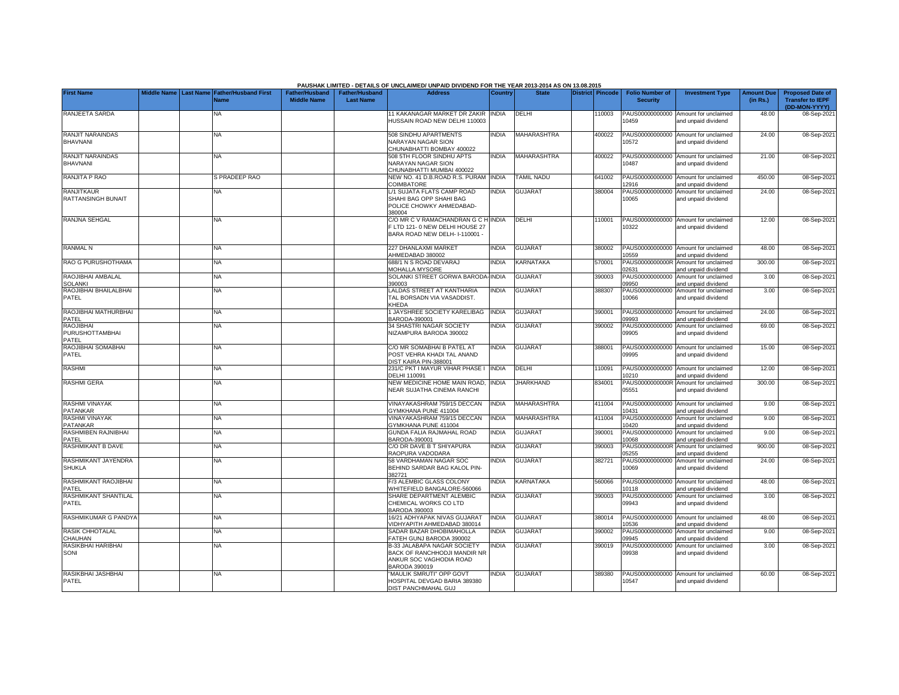|                                            |                    |                  |                             |                       |                       | PAUSHAK LIMITED - DETAILS OF UNCLAIMED/ UNPAID DIVIDEND FOR THE YEAR 2013-2014 AS ON 13.08.2015 |              |                    |                  |                          |                                                             |                   |                                          |
|--------------------------------------------|--------------------|------------------|-----------------------------|-----------------------|-----------------------|-------------------------------------------------------------------------------------------------|--------------|--------------------|------------------|--------------------------|-------------------------------------------------------------|-------------------|------------------------------------------|
| <b>First Name</b>                          | <b>Middle Name</b> | <b>Last Name</b> | <b>Father/Husband First</b> | <b>Father/Husband</b> | <b>Father/Husband</b> | <b>Address</b>                                                                                  | Country      | <b>State</b>       | District Pincode | <b>Folio Number of</b>   | <b>Investment Type</b>                                      | <b>Amount Due</b> | <b>Proposed Date of</b>                  |
|                                            |                    |                  | Name                        | <b>Middle Name</b>    | <b>Last Name</b>      |                                                                                                 |              |                    |                  | <b>Security</b>          |                                                             | (in Rs.)          | <b>Transfer to IEPF</b><br>(DD-MON-YYYY) |
| RANJEETA SARDA                             |                    |                  | NA                          |                       |                       | 11 KAKANAGAR MARKET DR ZAKIR<br>HUSSAIN ROAD NEW DELHI 110003                                   | <b>INDIA</b> | DELHI              | 110003           | 10459                    | PAUS00000000000 Amount for unclaimed<br>and unpaid dividend | 48.00             | 08-Sep-202                               |
|                                            |                    |                  |                             |                       |                       |                                                                                                 |              |                    |                  |                          |                                                             |                   |                                          |
| <b>RANJIT NARAINDAS</b><br><b>BHAVNANI</b> |                    |                  | <b>NA</b>                   |                       |                       | 508 SINDHU APARTMENTS<br>NARAYAN NAGAR SION                                                     | <b>INDIA</b> | <b>MAHARASHTRA</b> | 400022           | 10572                    | PAUS00000000000 Amount for unclaimed                        | 24.00             | 08-Sep-2021                              |
|                                            |                    |                  |                             |                       |                       | CHUNABHATTI BOMBAY 400022                                                                       |              |                    |                  |                          | and unpaid dividend                                         |                   |                                          |
| <b>RANJIT NARAINDAS</b>                    |                    |                  | <b>NA</b>                   |                       |                       | 508 5TH FLOOR SINDHU APTS                                                                       | <b>INDIA</b> | <b>MAHARASHTRA</b> | 400022           |                          | PAUS00000000000 Amount for unclaimed                        | 21.00             | 08-Sep-2021                              |
| BHAVNANI                                   |                    |                  |                             |                       |                       | <b>NARAYAN NAGAR SION</b><br>CHUNABHATTI MUMBAI 400022                                          |              |                    |                  | 10487                    | and unpaid dividend                                         |                   |                                          |
| RANJITA P RAO                              |                    |                  | S PRADEEP RAO               |                       |                       | NEW NO. 41 D.B.ROAD R.S. PURAM                                                                  | <b>INDIA</b> | <b>TAMIL NADU</b>  | 641002           |                          | PAUS00000000000 Amount for unclaimed                        | 450.00            | 08-Sep-202                               |
| <b>RANJITKAUR</b>                          |                    |                  | <b>NA</b>                   |                       |                       | COIMBATORE<br>L/1 SUJATA FLATS CAMP ROAD                                                        | INDIA        | <b>GUJARAT</b>     | 380004           | 12916                    | and unpaid dividend<br>PAUS00000000000 Amount for unclaimed | 24.00             | 08-Sep-202                               |
| RATTANSINGH BUNAIT                         |                    |                  |                             |                       |                       | SHAHI BAG OPP SHAHI BAG                                                                         |              |                    |                  | 10065                    | and unpaid dividend                                         |                   |                                          |
|                                            |                    |                  |                             |                       |                       | POLICE CHOWKY AHMEDABAD-<br>380004                                                              |              |                    |                  |                          |                                                             |                   |                                          |
| RANJNA SEHGAL                              |                    |                  | <b>NA</b>                   |                       |                       | C/O MR C V RAMACHANDRAN G C H INDIA                                                             |              | DELHI              | 110001           |                          | PAUS00000000000 Amount for unclaimed                        | 12.00             | 08-Sep-202                               |
|                                            |                    |                  |                             |                       |                       | LTD 121-0 NEW DELHI HOUSE 27<br>BARA ROAD NEW DELH- I-110001 -                                  |              |                    |                  | 10322                    | and unpaid dividend                                         |                   |                                          |
|                                            |                    |                  |                             |                       |                       |                                                                                                 |              |                    |                  |                          |                                                             |                   |                                          |
| <b>RANMAL N</b>                            |                    |                  | <b>NA</b>                   |                       |                       | 227 DHANLAXMI MARKET<br>AHMEDABAD 380002                                                        | <b>INDIA</b> | <b>GUJARAT</b>     | 380002           |                          | PAUS00000000000 Amount for unclaimed                        | 48.00             | 08-Sep-202                               |
| RAO G PURUSHOTHAMA                         |                    |                  | <b>NA</b>                   |                       |                       | 688/1 N S ROAD DEVARAJ                                                                          | <b>INDIA</b> | KARNATAKA          | 570001           | 10559                    | and unpaid dividend<br>PAUS0000000000R Amount for unclaimed | 300.00            | 08-Sep-202                               |
|                                            |                    |                  |                             |                       |                       | <b>MOHALLA MYSORE</b>                                                                           |              |                    |                  | 2631                     | and unpaid dividend                                         |                   |                                          |
| RAOJIBHAI AMBALAL<br><b>SOLANKI</b>        |                    |                  | <b>NA</b>                   |                       |                       | SOLANKI STREET GORWA BARODA-INDIA<br>390003                                                     |              | <b>GUJARAT</b>     | 390003           | PAUS00000000000<br>9950  | Amount for unclaimed<br>and unpaid dividend                 | 3.00              | 08-Sep-202                               |
| RAOJIBHAI BHAILALBHAI                      |                    |                  | NA                          |                       |                       | <b>ALDAS STREET AT KANTHARIA</b>                                                                | INDIA        | <b>GUJARAT</b>     | 388307           | PAUS00000000000          | Amount for unclaimed                                        | 3.00              | 08-Sep-202                               |
| PATEL                                      |                    |                  |                             |                       |                       | TAL BORSADN VIA VASADDIST.<br>KHEDA                                                             |              |                    |                  | 10066                    | and unpaid dividend                                         |                   |                                          |
| RAOJIBHAI MATHURBHAI                       |                    |                  | NA                          |                       |                       | I JAYSHREE SOCIETY KARELIBAG                                                                    | <b>INDIA</b> | <b>GUJARAT</b>     | 390001           |                          | PAUS00000000000 Amount for unclaimed                        | 24.00             | 08-Sep-202                               |
| PATEL<br><b>RAOJIBHAI</b>                  |                    |                  | <b>NA</b>                   |                       |                       | BARODA-390001<br>34 SHASTRI NAGAR SOCIETY                                                       | <b>INDIA</b> | <b>GUJARAT</b>     | 390002           | 09993<br>PAUS00000000000 | and unpaid dividend<br>Amount for unclaimed                 | 69.00             | 08-Sep-2021                              |
| <b>PURUSHOTTAMBHAI</b>                     |                    |                  |                             |                       |                       | NIZAMPURA BARODA 390002                                                                         |              |                    |                  | )9905                    | and unpaid dividend                                         |                   |                                          |
| PATEL<br>RAOJIBHAI SOMABHAI                |                    |                  | <b>NA</b>                   |                       |                       | C/O MR SOMABHAI B PATEL AT                                                                      | <b>INDIA</b> |                    | 388001           |                          |                                                             |                   |                                          |
| PATEL                                      |                    |                  |                             |                       |                       | POST VEHRA KHADI TAL ANAND                                                                      |              | <b>GUJARAT</b>     |                  | PAUS00000000000<br>09995 | Amount for unclaimed<br>and unpaid dividend                 | 15.00             | 08-Sep-2021                              |
|                                            |                    |                  |                             |                       |                       | DIST KAIRA PIN-388001                                                                           |              |                    |                  |                          |                                                             |                   |                                          |
| <b>RASHMI</b>                              |                    |                  | <b>NA</b>                   |                       |                       | 231/C PKT I MAYUR VIHAR PHASE I INDIA<br>DELHI 110091                                           |              | <b>DELHI</b>       | 110091           | 10210                    | PAUS00000000000 Amount for unclaimed<br>and unpaid dividend | 12.00             | 08-Sep-202                               |
| <b>RASHMI GERA</b>                         |                    |                  | <b>NA</b>                   |                       |                       | NEW MEDICINE HOME MAIN ROAD.                                                                    | <b>INDIA</b> | <b>JHARKHAND</b>   | 834001           |                          | PAUS0000000000R Amount for unclaimed                        | 300.00            | 08-Sep-202                               |
|                                            |                    |                  |                             |                       |                       | <b>NEAR SUJATHA CINEMA RANCHI</b>                                                               |              |                    |                  | 05551                    | and unpaid dividend                                         |                   |                                          |
| <b>RASHMI VINAYAK</b>                      |                    |                  | <b>NA</b>                   |                       |                       | VINAYAKASHRAM 759/15 DECCAN                                                                     | <b>INDIA</b> | MAHARASHTRA        | 411004           | PAUS00000000000          | Amount for unclaimed                                        | 9.00              | 08-Sep-202                               |
| PATANKAR<br><b>RASHMI VINAYAK</b>          |                    |                  | <b>NA</b>                   |                       |                       | GYMKHANA PUNE 411004<br>VINAYAKASHRAM 759/15 DECCAN                                             | <b>INDIA</b> | MAHARASHTRA        | 411004           | 10431<br>PAUS00000000000 | and unpaid dividend<br>Amount for unclaimed                 | 9.00              | 08-Sep-202                               |
| <b>PATANKAR</b>                            |                    |                  |                             |                       |                       | GYMKHANA PUNE 411004                                                                            |              |                    |                  | 10420                    | and unpaid dividend                                         |                   |                                          |
| RASHMIBEN RAJNIBHAI<br>PATEL               |                    |                  | <b>NA</b>                   |                       |                       | GUNDA FALIA RAJMAHAL ROAD<br>3ARODA-390001                                                      | <b>INDIA</b> | <b>GUJARAT</b>     | 390001           | PAUS00000000000<br>10068 | Amount for unclaimed<br>and unpaid dividend                 | 9.00              | 08-Sep-202                               |
| RASHMIKANT B DAVE                          |                    |                  | <b>NA</b>                   |                       |                       | C/O DR DAVE B T SHIYAPURA                                                                       | <b>INDIA</b> | <b>GUJARAT</b>     | 390003           | PAUS0000000000R          | Amount for unclaimed                                        | 900.00            | 08-Sep-202                               |
| RASHMIKANT JAYENDRA                        |                    |                  | <b>NA</b>                   |                       |                       | RAOPURA VADODARA<br>58 VARDHAMAN NAGAR SOC                                                      |              | <b>GUJARAT</b>     |                  | 05255                    | and unpaid dividend                                         |                   |                                          |
| <b>SHUKLA</b>                              |                    |                  |                             |                       |                       | BEHIND SARDAR BAG KALOL PIN-                                                                    | <b>INDIA</b> |                    | 382721           | PAUS00000000000<br>10069 | Amount for unclaimed<br>and unpaid dividend                 | 24.00             | 08-Sep-202                               |
|                                            |                    |                  |                             |                       |                       | 382721                                                                                          |              |                    |                  |                          |                                                             |                   |                                          |
| RASHMIKANT RAOJIBHAI<br>PATEL              |                    |                  | <b>NA</b>                   |                       |                       | 73 ALEMBIC GLASS COLONY<br>WHITEFIELD BANGALORE-560066                                          | <b>NDIA</b>  | KARNATAKA          | 560066           | PAUS00000000000<br>10118 | Amount for unclaimed<br>and unpaid dividend                 | 48.00             | 08-Sep-202                               |
| RASHMIKANT SHANTILAL                       |                    |                  | NA                          |                       |                       | SHARE DEPARTMENT ALEMBIC                                                                        | <b>NDIA</b>  | <b>GUJARAT</b>     | 390003           | PAUS00000000000          | Amount for unclaimed                                        | 3.00              | 08-Sep-202                               |
| PATEL                                      |                    |                  |                             |                       |                       | CHEMICAL WORKS CO LTD<br><b>BARODA 390003</b>                                                   |              |                    |                  | 09943                    | and unpaid dividend                                         |                   |                                          |
| RASHMIKUMAR G PANDYA                       |                    |                  | <b>NA</b>                   |                       |                       | 16/21 ADHYAPAK NIVAS GUJARAT                                                                    | <b>INDIA</b> | <b>GUJARAT</b>     | 380014           |                          | PAUS00000000000 Amount for unclaimed                        | 48.00             | 08-Sep-202                               |
| <b>RASIK CHHOTALAL</b>                     |                    |                  | <b>NA</b>                   |                       |                       | VIDHYAPITH AHMEDABAD 380014<br>SADAR BAZAR DHOBIMAHOLLA                                         | <b>INDIA</b> | <b>GUJARAT</b>     | 390002           | 10536<br>PAUS00000000000 | and unpaid dividend<br>Amount for unclaimed                 | 9.00              | 08-Sep-202                               |
| CHAUHAN                                    |                    |                  |                             |                       |                       | FATEH GUNJ BARODA 390002                                                                        |              |                    |                  | 19945                    | and unpaid dividend                                         |                   |                                          |
| RASIKBHAI HARIBHAI<br>SONI                 |                    |                  | <b>NA</b>                   |                       |                       | B-33 JALABAPA NAGAR SOCIETY<br>BACK OF RANCHHODJI MANDIR NR                                     | <b>NDIA</b>  | <b>GUJARAT</b>     | 390019           | PAUS00000000000<br>09938 | Amount for unclaimed<br>and unpaid dividend                 | 3.00              | 08-Sep-2021                              |
|                                            |                    |                  |                             |                       |                       | ANKUR SOC VAGHODIA ROAD                                                                         |              |                    |                  |                          |                                                             |                   |                                          |
| RASIKBHAI JASHBHAI                         |                    |                  | <b>NA</b>                   |                       |                       | <b>BARODA 390019</b><br>'MAULIK SMRUTI" OPP GOVT                                                | <b>INDIA</b> | <b>GUJARAT</b>     | 389380           |                          | PAUS00000000000 Amount for unclaimed                        | 60.00             |                                          |
| <b>PATEL</b>                               |                    |                  |                             |                       |                       | HOSPITAL DEVGAD BARIA 389380                                                                    |              |                    |                  | 10547                    | and unpaid dividend                                         |                   | 08-Sep-202                               |
|                                            |                    |                  |                             |                       |                       | <b>DIST PANCHMAHAL GUJ</b>                                                                      |              |                    |                  |                          |                                                             |                   |                                          |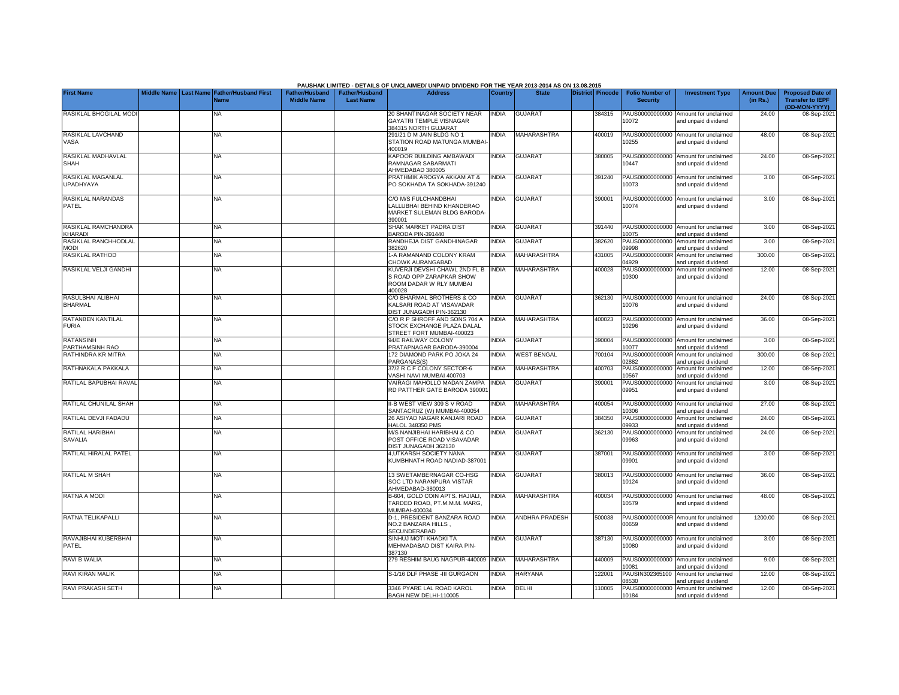|                                       |             |                  |                                     |                                             |                                           | PAUSHAK LIMITED - DETAILS OF UNCLAIMED/ UNPAID DIVIDEND FOR THE YEAR 2013-2014 AS ON 13.08.2015 |                |                       |                  |                                           |                                                             |                               |                                                                     |
|---------------------------------------|-------------|------------------|-------------------------------------|---------------------------------------------|-------------------------------------------|-------------------------------------------------------------------------------------------------|----------------|-----------------------|------------------|-------------------------------------------|-------------------------------------------------------------|-------------------------------|---------------------------------------------------------------------|
| <b>First Name</b>                     | Middle Name | <b>Last Name</b> | <b>Father/Husband First</b><br>Name | <b>Father/Husband</b><br><b>Middle Name</b> | <b>Father/Husband</b><br><b>Last Name</b> | <b>Address</b>                                                                                  | <b>Country</b> | <b>State</b>          | District Pincode | <b>Folio Number of</b><br><b>Security</b> | <b>Investment Type</b>                                      | <b>Amount Due</b><br>(in Rs.) | <b>Proposed Date of</b><br><b>Transfer to IEPF</b><br>(DD-MON-YYYY) |
| RASIKLAL BHOGILAL MOD                 |             | NA               |                                     |                                             |                                           | 20 SHANTINAGAR SOCIETY NEAR<br>GAYATRI TEMPLE VISNAGAR<br>384315 NORTH GUJARAT                  | <b>INDIA</b>   | <b>GUJARAT</b>        | 384315           | PAUS00000000000<br>10072                  | Amount for unclaimed<br>and unpaid dividend                 | 24.00                         | 08-Sep-202                                                          |
| RASIKLAL LAVCHAND<br>VASA             |             | <b>NA</b>        |                                     |                                             |                                           | 291/21 D M JAIN BLDG NO 1<br>STATION ROAD MATUNGA MUMBAI<br>100019                              | INDIA          | MAHARASHTRA           | 400019           | 10255                                     | PAUS00000000000 Amount for unclaimed<br>and unpaid dividend | 48.00                         | 08-Sep-202                                                          |
| RASIKLAL MADHAVLAL<br>SHAH            |             | NA               |                                     |                                             |                                           | KAPOOR BUILDING AMBAWADI<br>RAMNAGAR SABARMATI<br>AHMEDABAD 380005                              | india          | <b>GUJARAT</b>        | 380005           | 10447                                     | PAUS00000000000 Amount for unclaimed<br>and unpaid dividend | 24.00                         | 08-Sep-202                                                          |
| RASIKLAL MAGANLAL<br><b>UPADHYAYA</b> |             | NA               |                                     |                                             |                                           | PRATHMIK AROGYA AKKAM AT &<br>PO SOKHADA TA SOKHADA-391240                                      | <b>NDIA</b>    | <b>GUJARAT</b>        | 391240           | 10073                                     | PAUS00000000000 Amount for unclaimed<br>and unpaid dividend | 3.00                          | 08-Sep-202                                                          |
| RASIKLAL NARANDAS<br>PATEL            |             | NA               |                                     |                                             |                                           | C/O M/S FULCHANDBHAI<br>ALLUBHAI BEHIND KHANDERAO<br>MARKET SULEMAN BLDG BARODA<br>390001       | <b>INDIA</b>   | <b>GUJARA1</b>        | 390001           | 10074                                     | PAUS00000000000 Amount for unclaimed<br>and unpaid dividend | 3.00                          | 08-Sep-202                                                          |
| RASIKLAL RAMCHANDRA<br>KHARADI        |             | <b>NA</b>        |                                     |                                             |                                           | SHAK MARKET PADRA DIST<br>BARODA PIN-391440                                                     | <b>INDIA</b>   | <b>GUJARAT</b>        | 391440           | PAUS00000000000<br>10075                  | Amount for unclaimed<br>and unpaid dividend                 | 3.00                          | 08-Sep-202                                                          |
| RASIKLAL RANCHHODLAL<br><b>MODI</b>   |             | <b>NA</b>        |                                     |                                             |                                           | RANDHEJA DIST GANDHINAGAR<br>382620                                                             | <b>INDIA</b>   | <b>GUJARAT</b>        | 382620           | PAUS00000000000<br>09998                  | Amount for unclaimed<br>and unpaid dividend                 | 3.00                          | 08-Sep-202                                                          |
| RASIKLAL RATHOD                       |             | <b>NA</b>        |                                     |                                             |                                           | 1-A RAMANAND COLONY KRAM<br><b>CHOWK AURANGABAD</b>                                             | <b>INDIA</b>   | MAHARASHTRA           | 431005           | PAUS0000000000R<br>4929                   | Amount for unclaimed<br>and unpaid dividend                 | 300.00                        | 08-Sep-202                                                          |
| RASIKLAL VELJI GANDHI                 |             | <b>NA</b>        |                                     |                                             |                                           | KUVERJI DEVSHI CHAWL 2ND FL B<br>S ROAD OPP ZARAPKAR SHOW<br>ROOM DADAR W RLY MUMBAI<br>400028  | <b>INDIA</b>   | MAHARASHTRA           | 400028           | PAUS00000000000<br>10300                  | Amount for unclaimed<br>and unpaid dividend                 | 12.00                         | 08-Sep-202                                                          |
| RASULBHAI ALIBHAI<br><b>BHARMAL</b>   |             | <b>NA</b>        |                                     |                                             |                                           | C/O BHARMAL BROTHERS & CO<br>KALSARI ROAD AT VISAVADAR<br>DIST JUNAGADH PIN-362130              | <b>NDIA</b>    | <b>GUJARAT</b>        | 362130           | 10076                                     | PAUS00000000000 Amount for unclaimed<br>and unpaid dividend | 24.00                         | 08-Sep-202                                                          |
| RATANBEN KANTILAL<br><b>FURIA</b>     |             | <b>NA</b>        |                                     |                                             |                                           | C/O R P SHROFF AND SONS 704 A<br>STOCK EXCHANGE PLAZA DALAL<br>STREET FORT MUMBAI-400023        | <b>INDIA</b>   | MAHARASHTRA           | 400023           | 10296                                     | PAUS00000000000 Amount for unclaimed<br>and unpaid dividend | 36.00                         | 08-Sep-202                                                          |
| <b>RATANSINH</b><br>PARTHAMSINH RAO   |             | <b>NA</b>        |                                     |                                             |                                           | 94/E RAILWAY COLONY<br>PRATAPNAGAR BARODA-390004                                                | <b>NDIA</b>    | <b>GUJARAT</b>        | 390004           | PAUS00000000000<br>10077                  | Amount for unclaimed<br>and unpaid dividend                 | 3.00                          | 08-Sep-202                                                          |
| RATHINDRA KR MITRA                    |             | <b>NA</b>        |                                     |                                             |                                           | 172 DIAMOND PARK PO JOKA 24<br>PARGANAS(S)                                                      | <b>INDIA</b>   | <b>WEST BENGAL</b>    | 700104           | PAUS0000000000R<br>02882                  | Amount for unclaimed<br>and unpaid dividend                 | 300.00                        | 08-Sep-202                                                          |
| RATHNAKALA PAKKALA                    |             | <b>NA</b>        |                                     |                                             |                                           | 37/2 R C F COLONY SECTOR-6<br>VASHI NAVI MUMBAI 400703                                          | <b>INDIA</b>   | MAHARASHTRA           | 400703           | PAUS00000000000<br>10567                  | Amount for unclaimed<br>and unpaid dividend                 | 12.00                         | 08-Sep-202                                                          |
| RATILAL BAPUBHAI RAVAL                |             | <b>NA</b>        |                                     |                                             |                                           | VAIRAGI MAHOLLO MADAN ZAMPA<br>RD PATTHER GATE BARODA 39000                                     | <b>INDIA</b>   | <b>GUJARAT</b>        | 390001           | PAUS00000000000<br>09951                  | Amount for unclaimed<br>and unpaid dividend                 | 3.00                          | 08-Sep-202                                                          |
| RATILAL CHUNILAL SHAH                 |             | <b>NA</b>        |                                     |                                             |                                           | II-B WEST VIEW 309 S V ROAD<br>SANTACRUZ (W) MUMBAI-400054                                      | <b>NDIA</b>    | MAHARASHTRA           | 400054           | PAUS00000000000<br>10306                  | Amount for unclaimed<br>and unpaid dividend                 | 27.00                         | 08-Sep-202                                                          |
| RATILAL DEVJI FADADU                  |             | <b>NA</b>        |                                     |                                             |                                           | 26 ASIYAD NAGAR KANJARI ROAD<br><b>HALOL 348350 PMS</b>                                         | <b>NDIA</b>    | GUJARAT               | 384350           | PAUS00000000000<br>09933                  | Amount for unclaimed<br>and unpaid dividend                 | 24.00                         | 08-Sep-202                                                          |
| RATILAL HARIBHAI<br>SAVALIA           |             | NA               |                                     |                                             |                                           | M/S NANJIBHAI HARIBHAI & CO<br>POST OFFICE ROAD VISAVADAR<br>DIST JUNAGADH 362130               | <b>NDIA</b>    | <b>GUJARAT</b>        | 362130           | PAUS00000000000<br>09963                  | Amount for unclaimed<br>and unpaid dividend                 | 24.00                         | 08-Sep-202                                                          |
| RATILAL HIRALAL PATEL                 |             | NA               |                                     |                                             |                                           | 4, UTKARSH SOCIETY NANA<br>KUMBHNATH ROAD NADIAD-387001                                         | <b>INDIA</b>   | <b>GUJARAT</b>        | 387001           | 09901                                     | PAUS00000000000 Amount for unclaimed<br>and unpaid dividend | 3.00                          | 08-Sep-202                                                          |
| RATILAL M SHAH                        |             | <b>NA</b>        |                                     |                                             |                                           | 13 SWETAMBERNAGAR CO-HSG<br>SOC LTD NARANPURA VISTAR<br>AHMEDABAD-380013                        | <b>NDIA</b>    | <b>GUJARAT</b>        | 380013           | 10124                                     | PAUS00000000000 Amount for unclaimed<br>and unpaid dividend | 36.00                         | 08-Sep-202                                                          |
| RATNA A MODI                          |             | <b>NA</b>        |                                     |                                             |                                           | B-604, GOLD COIN APTS. HAJIALI,<br>TARDEO ROAD, PT.M.M.M. MARG,<br>MUMBAI-400034                | <b>INDIA</b>   | MAHARASHTRA           | 400034           | 10579                                     | PAUS00000000000 Amount for unclaimed<br>and unpaid dividend | 48.00                         | 08-Sep-202                                                          |
| <b>RATNA TELIKAPALLI</b>              |             | <b>NA</b>        |                                     |                                             |                                           | D-1. PRESIDENT BANZARA ROAD<br>NO.2 BANZARA HILLS,<br>SECUNDERABAD                              | <b>INDIA</b>   | <b>ANDHRA PRADESH</b> | 500038           | 0659                                      | PAUS0000000000R Amount for unclaimed<br>and unpaid dividend | 1200.00                       | 08-Sep-202                                                          |
| RAVAJIBHAI KUBERBHAI<br>PATEL         |             | NA               |                                     |                                             |                                           | SINHUJ MOTI KHADKI TA<br>MEHMADABAD DIST KAIRA PIN-<br>387130                                   | <b>NDIA</b>    | <b>GUJARAT</b>        | 387130           | PAUS00000000000<br>10080                  | Amount for unclaimed<br>and unpaid dividend                 | 3.00                          | 08-Sep-202                                                          |
| RAVI B WALIA                          |             | <b>NA</b>        |                                     |                                             |                                           | 279 RESHIM BAUG NAGPUR-440009                                                                   | <b>INDIA</b>   | MAHARASHTRA           | 440009           | 10081                                     | PAUS00000000000 Amount for unclaimed<br>and unpaid dividend | 9.00                          | 08-Sep-202                                                          |
| RAVI KIRAN MALIK                      |             | <b>NA</b>        |                                     |                                             |                                           | S-1/16 DLF PHASE -III GURGAON                                                                   | <b>INDIA</b>   | HARYANA               | 122001           | PAUSIN302365100<br>8530                   | Amount for unclaimed<br>and unpaid dividend                 | 12.00                         | 08-Sep-202                                                          |
| <b>RAVI PRAKASH SETH</b>              |             | <b>NA</b>        |                                     |                                             |                                           | 3346 PYARE LAL ROAD KAROL<br>BAGH NEW DELHI-110005                                              | <b>INDIA</b>   | <b>DELHI</b>          | 110005           | PAUS00000000000<br>10184                  | Amount for unclaimed<br>and unpaid dividend                 | 12.00                         | 08-Sep-202                                                          |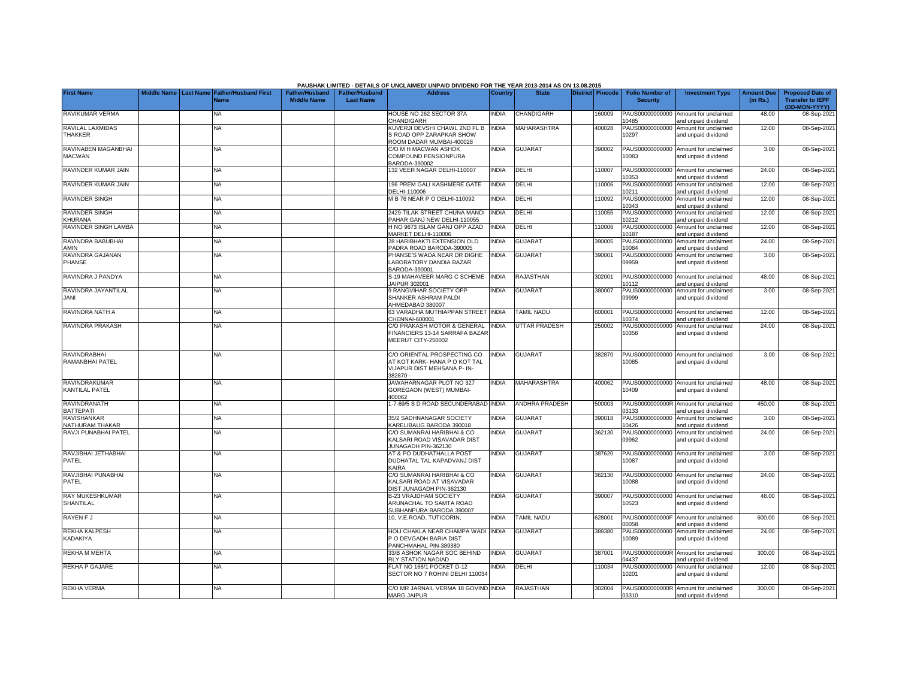|                                               |  |                                                        |                                             |                                           | PAUSHAK LIMITED - DETAILS OF UNCLAIMED/ UNPAID DIVIDEND FOR THE YEAR 2013-2014 AS ON 13.08.2015         |              |                       |                  |                                           |                                                             |                               |                                                    |
|-----------------------------------------------|--|--------------------------------------------------------|---------------------------------------------|-------------------------------------------|---------------------------------------------------------------------------------------------------------|--------------|-----------------------|------------------|-------------------------------------------|-------------------------------------------------------------|-------------------------------|----------------------------------------------------|
| <b>First Name</b>                             |  | Middle Name   Last Name   Father/Husband First<br>Name | <b>Father/Husband</b><br><b>Middle Name</b> | <b>Father/Husband</b><br><b>Last Name</b> | <b>Address</b>                                                                                          | Country      | <b>State</b>          | District Pincode | <b>Folio Number of</b><br><b>Security</b> | <b>Investment Type</b>                                      | <b>Amount Due</b><br>(in Rs.) | <b>Proposed Date of</b><br><b>Transfer to IEPF</b> |
| RAVIKUMAR VERMA                               |  | NA                                                     |                                             |                                           | HOUSE NO 262 SECTOR 37A<br><b>HANDIGARH</b>                                                             | <b>INDIA</b> | CHANDIGARH            | 160009           | PAUS00000000000<br>0485                   | Amount for unclaimed<br>and unpaid dividend                 | 48.00                         | (DD-MON-YYYY)<br>08-Sep-202                        |
| RAVILAL LAXMIDAS<br>THAKKER                   |  | <b>NA</b>                                              |                                             |                                           | <b>KUVERJI DEVSHI CHAWL 2ND FL B</b><br>S ROAD OPP ZARAPKAR SHOW<br>ROOM DADAR MUMBAI-400028            | <b>INDIA</b> | <b>MAHARASHTRA</b>    | 400028           | PAUS00000000000<br>10297                  | Amount for unclaimed<br>and unpaid dividend                 | 12.00                         | 08-Sep-2021                                        |
| RAVINABEN MAGANBHAI<br><b>MACWAN</b>          |  | <b>NA</b>                                              |                                             |                                           | C/O M H MACWAN ASHOK<br>COMPOUND PENSIONPURA<br>3ARODA-390002                                           | <b>INDIA</b> | <b>GUJARAT</b>        | 390002           | 10083                                     | PAUS00000000000 Amount for unclaimed<br>and unpaid dividend | 3.00                          | 08-Sep-202                                         |
| RAVINDER KUMAR JAIN                           |  | NA                                                     |                                             |                                           | 132 VEER NAGAR DELHI-110007                                                                             | INDIA        | DELHI                 | 110007           | 10353                                     | PAUS00000000000 Amount for unclaimed<br>and unpaid dividend | 24.00                         | 08-Sep-202                                         |
| RAVINDER KUMAR JAIN                           |  | <b>NA</b>                                              |                                             |                                           | 196 PREM GALI KASHMERE GATE<br>DELHI-110006                                                             | <b>INDIA</b> | DELHI                 | 10006            | PAUS00000000000<br>10211                  | Amount for unclaimed<br>and unpaid dividend                 | 12.00                         | 08-Sep-202                                         |
| <b>RAVINDER SINGH</b>                         |  | <b>NA</b>                                              |                                             |                                           | <b>M B 76 NEAR P O DELHI-110092</b>                                                                     | <b>INDIA</b> | DELHI                 | 110092           | PAUS00000000000<br>10343                  | Amount for unclaimed<br>and unpaid dividend                 | 12.00                         | 08-Sep-202                                         |
| <b>RAVINDER SINGH</b><br><b>KHURANA</b>       |  | <b>NA</b>                                              |                                             |                                           | 2429-TILAK STREET CHUNA MANDI<br>PAHAR GANJ NEW DELHI-110055                                            | <b>INDIA</b> | DELHI                 | 10055            | PAUS00000000000<br>10212                  | Amount for unclaimed<br>and unpaid dividend                 | 12.00                         | 08-Sep-202                                         |
| RAVINDER SINGH LAMBA                          |  | NA                                                     |                                             |                                           | H NO 9673 ISLAM GANJ OPP AZAD<br>MARKET DELHI-110006                                                    | <b>INDIA</b> | DELHI                 | 110006           | PAUS00000000000<br>10187                  | Amount for unclaimed<br>and unpaid dividend                 | 12.00                         | 08-Sep-202                                         |
| RAVINDRA BABUBHAI<br>AMIN                     |  | NA.                                                    |                                             |                                           | 28 HARIBHAKTI EXTENSION OLD<br>PADRA ROAD BARODA-390005                                                 | <b>INDIA</b> | <b>GUJARAT</b>        | 390005           | 10084                                     | PAUS00000000000 Amount for unclaimed<br>and unpaid dividend | 24.00                         | 08-Sep-202                                         |
| RAVINDRA GAJANAN<br>PHANSE                    |  | <b>NA</b>                                              |                                             |                                           | PHANSE'S WADA NEAR DR DIGHE<br>ABORATORY DANDIA BAZAR<br>BARODA-390001                                  | <b>INDIA</b> | <b>GUJARAT</b>        | 390001           | 09959                                     | PAUS00000000000 Amount for unclaimed<br>and unpaid dividend | 3.00                          | 08-Sep-202                                         |
| RAVINDRA J PANDYA                             |  | <b>NA</b>                                              |                                             |                                           | <b>S-19 MAHAVEER MARG C SCHEME</b><br><b>IAIPUR 302001</b>                                              | <b>INDIA</b> | RAJASTHAN             | 302001           | 10112                                     | PAUS00000000000 Amount for unclaimed<br>and unpaid dividend | 48.00                         | 08-Sep-202                                         |
| RAVINDRA JAYANTILAL<br><b>JANI</b>            |  | NA                                                     |                                             |                                           | <b>RANGVIHAR SOCIETY OPP</b><br>SHANKER ASHRAM PALDI<br>AHMEDABAD 380007                                | INDIA        | <b>GUJARAT</b>        | 380007           | 09999                                     | PAUS00000000000 Amount for unclaimed<br>and unpaid dividend | 3.00                          | 08-Sep-202                                         |
| RAVINDRA NATH A                               |  | <b>NA</b>                                              |                                             |                                           | 63 VARADHA MUTHIAPPAN STREET INDIA<br>CHENNAI-600001                                                    |              | <b>TAMIL NADU</b>     | 600001           | 10374                                     | PAUS00000000000 Amount for unclaimed<br>and unpaid dividend | 12.00                         | 08-Sep-202                                         |
| RAVINDRA PRAKASH                              |  | <b>NA</b>                                              |                                             |                                           | C/O PRAKASH MOTOR & GENERAL<br>FINANCIERS 13-14 SARRAFA BAZAF<br>MEERUT CITY-250002                     | <b>INDIA</b> | UTTAR PRADESH         | 250002           | PAUS00000000000<br>10356                  | Amount for unclaimed<br>and unpaid dividend                 | 24.00                         | 08-Sep-202                                         |
| <b>RAVINDRABHAI</b><br>RAMANBHAI PATEL        |  | ΝA                                                     |                                             |                                           | C/O ORIENTAL PROSPECTING CO<br>AT KOT KARK- HANA P O KOT TAL<br>VIJAPUR DIST MEHSANA P- IN-<br>382870 - | <b>INDIA</b> | <b>GUJARAT</b>        | 382870           | 10085                                     | PAUS00000000000 Amount for unclaimed<br>and unpaid dividend | 3.00                          | 08-Sep-202                                         |
| <b>RAVINDRAKUMAR</b><br><b>KANTILAL PATEL</b> |  | ΝA                                                     |                                             |                                           | JAWAHARNAGAR PLOT NO 327<br>GOREGAON (WEST) MUMBAI-<br>100062                                           | INDIA        | MAHARASHTRA           | 400062           | 10409                                     | PAUS00000000000 Amount for unclaimed<br>and unpaid dividend | 48.00                         | 08-Sep-202                                         |
| RAVINDRANATH<br><b>BATTEPATI</b>              |  | <b>NA</b>                                              |                                             |                                           | 1-7-69/5 S D ROAD SECUNDERABAD INDIA                                                                    |              | <b>ANDHRA PRADESH</b> | 500003           | 03133                                     | PAUS0000000000R Amount for unclaimed<br>and unpaid dividend | 450.00                        | 08-Sep-202                                         |
| <b>RAVISHANKAR</b><br><b>NATHURAM THAKAR</b>  |  | NA                                                     |                                             |                                           | 35/2 SADHNANAGAR SOCIETY<br><b>KARELIBAUG BARODA 390018</b>                                             | INDIA        | <b>GUJARAT</b>        | 390018           | PAUS00000000000<br>10426                  | Amount for unclaimed<br>and unpaid dividend                 | 3.00                          | 08-Sep-202                                         |
| RAVJI PUNABHAI PATEL                          |  | NA                                                     |                                             |                                           | C/O SUMANRAI HARIBHAI & CO<br>KALSARI ROAD VISAVADAR DIST<br><b>IUNAGADH PIN-362130</b>                 | <b>INDIA</b> | <b>GUJARAT</b>        | 362130           | PAUS00000000000<br>09962                  | Amount for unclaimed<br>and unpaid dividend                 | 24.00                         | 08-Sep-202                                         |
| RAVJIBHAI JETHABHAI<br>PATEL                  |  | NA                                                     |                                             |                                           | AT & PO DUDHATHALLA POST<br>DUDHATAL TAL KAPADVANJ DIST<br><b><i>CAIRA</i></b>                          | INDIA        | <b>GUJARAT</b>        | 387620           | PAUS00000000000<br>10087                  | Amount for unclaimed<br>and unpaid dividend                 | 3.00                          | 08-Sep-202                                         |
| RAVJIBHAI PUNABHAI<br>PATEL                   |  | NA                                                     |                                             |                                           | C/O SUMANRAI HARIBHAI & CO<br>KALSARI ROAD AT VISAVADAR<br>DIST JUNAGADH PIN-362130                     | INDIA        | <b>GUJARAT</b>        | 362130           | 10088                                     | PAUS00000000000 Amount for unclaimed<br>and unpaid dividend | 24.00                         | 08-Sep-202                                         |
| <b>RAY MUKESHKUMAR</b><br><b>SHANTILAL</b>    |  | ΝA                                                     |                                             |                                           | 3-23 VRAJDHAM SOCIETY<br>ARUNACHAL TO SAMTA ROAD<br>SUBHANPURA BARODA 390007                            | INDIA        | <b>GUJARAT</b>        | 390007           | 10523                                     | PAUS00000000000 Amount for unclaimed<br>and unpaid dividend | 48.00                         | 08-Sep-202                                         |
| <b>RAYEN FJ</b>                               |  | <b>NA</b>                                              |                                             |                                           | 10. V.E.ROAD, TUTICORIN.                                                                                | <b>INDIA</b> | <b>TAMIL NADU</b>     | 628001           | 00058                                     | PAUS0000000000F Amount for unclaimed<br>and unpaid dividend | 600.00                        | 08-Sep-202                                         |
| <b>REKHA KALPESH</b><br>KADAKIYA              |  | <b>NA</b>                                              |                                             |                                           | HOLI CHAKLA NEAR CHAMPA WADI INDIA<br>O DEVGADH BARIA DIST<br>ANCHMAHAL PIN-389380                      |              | <b>GUJARAT</b>        | 389380           | PAUS00000000000<br>10089                  | Amount for unclaimed<br>and unpaid dividend                 | 24.00                         | 08-Sep-202                                         |
| <b>REKHA M MEHTA</b>                          |  | <b>NA</b>                                              |                                             |                                           | 33/B ASHOK NAGAR SOC BEHIND<br><b>RLY STATION NADIAD</b>                                                | <b>INDIA</b> | <b>GUJARAT</b>        | 387001           | PAUS0000000000R<br>04437                  | Amount for unclaimed<br>and unpaid dividend                 | 300.00                        | 08-Sep-202                                         |
| <b>REKHA P GAJARE</b>                         |  | NA                                                     |                                             |                                           | <b>ELAT NO 166/1 POCKET D-12</b><br>SECTOR NO 7 ROHINI DELHI 110034                                     | NDIA         | DELHI                 | 110034           | PAUS00000000000<br>10201                  | Amount for unclaimed<br>and unpaid dividend                 | 12.00                         | 08-Sep-202                                         |
| <b>REKHA VERMA</b>                            |  | ΝA                                                     |                                             |                                           | C/O MR JARNAIL VERMA 18 GOVIND INDIA<br><b>MARG JAIPUR</b>                                              |              | RAJASTHAN             | 302004           | 03310                                     | PAUS0000000000R Amount for unclaimed<br>and unpaid dividend | 300.00                        | 08-Sep-2021                                        |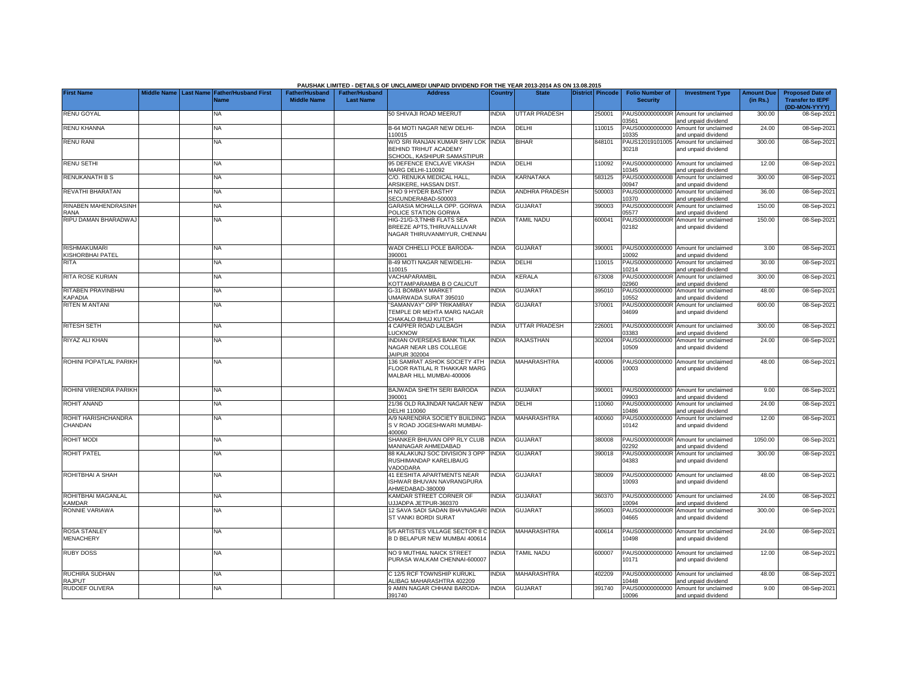|                                         |             |                  |                                            |                                             |                                           | PAUSHAK LIMITED - DETAILS OF UNCLAIMED/ UNPAID DIVIDEND FOR THE YEAR 2013-2014 AS ON 13.08.2015 |              |                       |                  |                                           |                                                             |                               |                                                                     |
|-----------------------------------------|-------------|------------------|--------------------------------------------|---------------------------------------------|-------------------------------------------|-------------------------------------------------------------------------------------------------|--------------|-----------------------|------------------|-------------------------------------------|-------------------------------------------------------------|-------------------------------|---------------------------------------------------------------------|
| <b>First Name</b>                       | Middle Name | <b>Last Name</b> | <b>Father/Husband First</b><br><b>Name</b> | <b>Father/Husband</b><br><b>Middle Name</b> | <b>Father/Husband</b><br><b>Last Name</b> | <b>Address</b>                                                                                  | Country      | <b>State</b>          | District Pincode | <b>Folio Number of</b><br><b>Security</b> | <b>Investment Type</b>                                      | <b>Amount Due</b><br>(in Rs.) | <b>Proposed Date of</b><br><b>Transfer to IEPF</b><br>(DD-MON-YYYY) |
| <b>RENU GOYAL</b>                       |             |                  | NA                                         |                                             |                                           | 50 SHIVAJI ROAD MEERUT                                                                          | <b>INDIA</b> | <b>UTTAR PRADESH</b>  | 250001           | PAUS0000000000R<br>03561                  | Amount for unclaimed<br>and unpaid dividend                 | 300.00                        | 08-Sep-2021                                                         |
| <b>RENU KHANNA</b>                      |             |                  | <b>NA</b>                                  |                                             |                                           | B-64 MOTI NAGAR NEW DELHI-<br>110015                                                            | <b>INDIA</b> | DELHI                 | 110015           | PAUS00000000000<br>10335                  | Amount for unclaimed<br>and unpaid dividend                 | 24.00                         | 08-Sep-2021                                                         |
| <b>RENU RANI</b>                        |             |                  | <b>NA</b>                                  |                                             |                                           | W/O SRI RANJAN KUMAR SHIV LOK INDIA<br>BEHIND TRIHUT ACADEMY<br>SCHOOL, KASHIPUR SAMASTIPUR     |              | <b>BIHAR</b>          | 848101           | PAUS12019101005<br>30218                  | Amount for unclaimed<br>and unpaid dividend                 | 300.00                        | 08-Sep-2021                                                         |
| <b>RENU SETHI</b>                       |             |                  | NA                                         |                                             |                                           | 95 DEFENCE ENCLAVE VIKASH<br><b>MARG DELHI-110092</b>                                           | <b>INDIA</b> | DELHI                 | 110092           | PAUS00000000000<br>0345                   | Amount for unclaimed<br>and unpaid dividend                 | 12.00                         | 08-Sep-2021                                                         |
| <b>RENUKANATH B S</b>                   |             |                  | NA                                         |                                             |                                           | C/O. RENUKA MEDICAL HALL,<br>ARSIKERE, HASSAN DIST                                              | <b>INDIA</b> | KARNATAKA             | 583125           | PAUS0000000000B<br>00947                  | Amount for unclaimed<br>and unpaid dividend                 | 300.00                        | 08-Sep-202                                                          |
| <b>REVATHI BHARATAN</b>                 |             |                  | ΝA                                         |                                             |                                           | H NO 9 HYDER BASTHY<br>SECUNDERABAD-500003                                                      | <b>INDIA</b> | <b>ANDHRA PRADESH</b> | 500003           | PAUS00000000000<br>10370                  | Amount for unclaimed<br>and unpaid dividend                 | 36.00                         | 08-Sep-2021                                                         |
| <b>RINABEN MAHENDRASINH</b><br>RANA     |             |                  | NA                                         |                                             |                                           | GARASIA MOHALLA OPP. GORWA<br>POLICE STATION GORWA                                              | <b>INDIA</b> | <b>GUJARAT</b>        | 390003           | PAUS0000000000R<br>05577                  | Amount for unclaimed<br>and unpaid dividend                 | 150.00                        | 08-Sep-2021                                                         |
| RIPU DAMAN BHARADWA.                    |             |                  | <b>NA</b>                                  |                                             |                                           | HIG-21/G-3, TNHB FLATS SEA<br>BREEZE APTS, THIRUVALLUVAR<br>NAGAR THIRUVANMIYUR, CHENNAI        | <b>NDIA</b>  | <b>TAMIL NADU</b>     | 600041           | PAUS0000000000R<br>02182                  | Amount for unclaimed<br>and unpaid dividend                 | 150.00                        | 08-Sep-2021                                                         |
| <b>RISHMAKUMARI</b><br>KISHORBHAI PATEL |             |                  | NA                                         |                                             |                                           | WADI CHHELLI POLE BARODA-<br>390001                                                             | <b>INDIA</b> | <b>GUJARAT</b>        | 390001           | PAUS00000000000<br>10092                  | Amount for unclaimed<br>and unpaid dividend                 | 3.00                          | 08-Sep-2021                                                         |
| <b>RITA</b>                             |             |                  | <b>NA</b>                                  |                                             |                                           | <b>B-49 MOTI NAGAR NEWDELHI-</b><br>10015                                                       | <b>INDIA</b> | DELHI                 | 110015           | PAUS00000000000<br>10214                  | Amount for unclaimed<br>nd unpaid dividend                  | 30.00                         | 08-Sep-2021                                                         |
| <b>RITA ROSE KURIAN</b>                 |             |                  | <b>NA</b>                                  |                                             |                                           | VACHAPARAMBIL<br><b>KOTTAMPARAMBA B O CALICUT</b>                                               | <b>INDIA</b> | <b>KERALA</b>         | 673008           | PAUS0000000000R<br>02960                  | Amount for unclaimed<br>and unpaid dividend                 | 300.00                        | 08-Sep-2021                                                         |
| RITABEN PRAVINBHAI<br><b>KAPADIA</b>    |             |                  | <b>NA</b>                                  |                                             |                                           | <b>G-31 BOMBAY MARKET</b><br>JMARWADA SURAT 395010                                              | <b>NDIA</b>  | <b>GUJARAT</b>        | 395010           | PAUS00000000000<br>0552                   | Amount for unclaimed<br>and unpaid dividend                 | 48.00                         | 08-Sep-2021                                                         |
| <b>RITEN M ANTANI</b>                   |             |                  | <b>NA</b>                                  |                                             |                                           | 'SAMANVAY" OPP TRIKAMRAY<br>TEMPLE DR MEHTA MARG NAGAR<br>CHAKALO BHUJ KUTCH                    | <b>NDIA</b>  | <b>GUJARAT</b>        | 370001           | PAUS0000000000R<br>04699                  | Amount for unclaimed<br>and unpaid dividend                 | 600.00                        | 08-Sep-2021                                                         |
| <b>RITESH SETH</b>                      |             |                  | <b>NA</b>                                  |                                             |                                           | 4 CAPPER ROAD LALBAGH<br><b>LUCKNOW</b>                                                         | <b>INDIA</b> | <b>UTTAR PRADESH</b>  | 226001           | 03383                                     | PAUS0000000000R Amount for unclaimed<br>and unpaid dividend | 300.00                        | 08-Sep-2021                                                         |
| <b>RIYAZ ALI KHAN</b>                   |             |                  | <b>NA</b>                                  |                                             |                                           | <b>NDIAN OVERSEAS BANK TILAK</b><br>NAGAR NEAR LBS COLLEGE<br>JAIPUR 302004                     | <b>INDIA</b> | <b>RAJASTHAN</b>      | 302004           | PAUS00000000000<br>10509                  | Amount for unclaimed<br>and unpaid dividend                 | 24.00                         | 08-Sep-2021                                                         |
| ROHINI POPATLAL PARIKH                  |             |                  | NA                                         |                                             |                                           | 136 SAMRAT ASHOK SOCIETY 4TH<br>FLOOR RATILAL R THAKKAR MARG<br>MALBAR HILL MUMBAI-400006       | <b>INDIA</b> | <b>MAHARASHTRA</b>    | 400006           | PAUS00000000000<br>10003                  | Amount for unclaimed<br>and unpaid dividend                 | 48.00                         | 08-Sep-2021                                                         |
| ROHINI VIRENDRA PARIKH                  |             |                  | <b>NA</b>                                  |                                             |                                           | BAJWADA SHETH SERI BARODA<br>390001                                                             | <b>INDIA</b> | <b>GUJARAT</b>        | 390001           | PAUS00000000000<br>09903                  | Amount for unclaimed<br>and unpaid dividend                 | 9.00                          | 08-Sep-2021                                                         |
| ROHIT ANAND                             |             |                  | <b>NA</b>                                  |                                             |                                           | 21/36 OLD RAJINDAR NAGAR NEW<br><b>DELHI 110060</b>                                             | <b>INDIA</b> | DELHI                 | 110060           | PAUS00000000000<br>10486                  | Amount for unclaimed<br>and unpaid dividend                 | 24.00                         | 08-Sep-2021                                                         |
| ROHIT HARISHCHANDRA<br>CHANDAN          |             |                  | NA                                         |                                             |                                           | A/9 NARENDRA SOCIETY BUILDING<br>S V ROAD JOGESHWARI MUMBAI-<br>400060                          | <b>INDIA</b> | MAHARASHTRA           | 400060           | PAUS00000000000<br>10142                  | Amount for unclaimed<br>and unpaid dividend                 | 12.00                         | 08-Sep-2021                                                         |
| <b>ROHIT MODI</b>                       |             |                  | ΝA                                         |                                             |                                           | SHANKER BHUVAN OPP RLY CLUB<br>MANINAGAR AHMEDABAD                                              | <b>INDIA</b> | <b>GUJARAT</b>        | 380008           | PAUS0000000000R<br>02292                  | Amount for unclaimed<br>and unpaid dividend                 | 1050.00                       | 08-Sep-2021                                                         |
| <b>ROHIT PATEL</b>                      |             |                  | <b>NA</b>                                  |                                             |                                           | 88 KALAKUNJ SOC DIVISION 3 OPP<br>RUSHIMANDAP KARELIBAUG<br>VADODARA                            | <b>INDIA</b> | <b>GUJARAT</b>        | 390018           | PAUS0000000000R<br>04383                  | Amount for unclaimed<br>and unpaid dividend                 | 300.00                        | 08-Sep-2021                                                         |
| ROHITBHAI A SHAH                        |             |                  | <b>NA</b>                                  |                                             |                                           | 41 EESHITA APARTMENTS NEAR<br>ISHWAR BHUVAN NAVRANGPURA<br>AHMEDABAD-380009                     | NDIA         | <b>GUJARAT</b>        | 380009           | 10093                                     | PAUS00000000000 Amount for unclaimed<br>and unpaid dividend | 48.00                         | 08-Sep-2021                                                         |
| ROHITBHAI MAGANLAL<br><b>KAMDAR</b>     |             |                  | <b>NA</b>                                  |                                             |                                           | KAMDAR STREET CORNER OF<br>UJJADPA JETPUR-360370                                                | INDIA        | <b>GUJARAT</b>        | 360370           | PAUS00000000000<br>10094                  | Amount for unclaimed<br>and unpaid dividend                 | 24.00                         | 08-Sep-2021                                                         |
| RONNIE VARIAWA                          |             |                  | <b>NA</b>                                  |                                             |                                           | 12 SAVA SADI SADAN BHAVNAGARI INDIA<br>ST VANKI BORDI SURAT                                     |              | <b>GUJARAT</b>        | 395003           | PAUS0000000000R<br>04665                  | Amount for unclaimed<br>and unpaid dividend                 | 300.00                        | 08-Sep-2021                                                         |
| <b>ROSA STANLEY</b><br><b>MENACHERY</b> |             |                  | NA                                         |                                             |                                           | 5/5 ARTISTES VILLAGE SECTOR 8 C INDIA<br>B D BELAPUR NEW MUMBAI 400614                          |              | <b>MAHARASHTRA</b>    | 400614           | 10498                                     | PAUS00000000000 Amount for unclaimed<br>and unpaid dividend | 24.00                         | 08-Sep-2021                                                         |
| <b>RUBY DOSS</b>                        |             |                  | <b>NA</b>                                  |                                             |                                           | NO 9 MUTHIAL NAICK STREET<br>PURASA WALKAM CHENNAI-600007                                       | <b>NDIA</b>  | <b>TAMIL NADU</b>     | 600007           | 10171                                     | PAUS00000000000 Amount for unclaimed<br>and unpaid dividend | 12.00                         | 08-Sep-2021                                                         |
| RUCHIRA SUDHAN<br>RAJPUT                |             |                  | ΝA                                         |                                             |                                           | C 12/5 RCF TOWNSHIP KURUKL<br>ALIBAG MAHARASHTRA 402209                                         | INDIA        | MAHARASHTRA           | 402209           | PAUS00000000000<br>0448                   | Amount for unclaimed<br>and unpaid dividend                 | 48.00                         | 08-Sep-2021                                                         |
| <b>RUDOEF OLIVERA</b>                   |             |                  | <b>NA</b>                                  |                                             |                                           | 9 AMIN NAGAR CHHANI BARODA-<br>391740                                                           | <b>INDIA</b> | <b>GUJARAT</b>        | 391740           | PAUS00000000000<br>10096                  | Amount for unclaimed<br>and unpaid dividend                 | 9.00                          | 08-Sep-2021                                                         |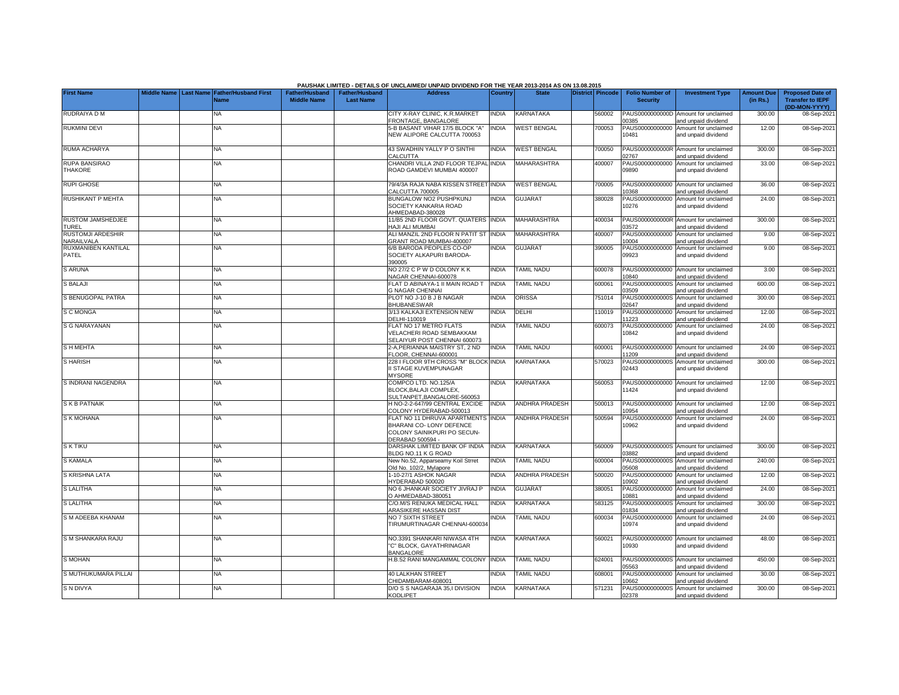|                                          |             |                                                      |                                             |                                           | PAUSHAK LIMITED - DETAILS OF UNCLAIMED/ UNPAID DIVIDEND FOR THE YEAR 2013-2014 AS ON 13.08.2015                   |                |                       |                         |                                           |                                                             |                               |                                                                     |
|------------------------------------------|-------------|------------------------------------------------------|---------------------------------------------|-------------------------------------------|-------------------------------------------------------------------------------------------------------------------|----------------|-----------------------|-------------------------|-------------------------------------------|-------------------------------------------------------------|-------------------------------|---------------------------------------------------------------------|
| <b>First Name</b>                        | Middle Name | <b>Last Name Father/Husband First</b><br><b>Name</b> | <b>Father/Husband</b><br><b>Middle Name</b> | <b>Father/Husband</b><br><b>Last Name</b> | <b>Address</b>                                                                                                    | <b>Country</b> | <b>State</b>          | <b>District Pincode</b> | <b>Folio Number of</b><br><b>Security</b> | <b>Investment Type</b>                                      | <b>Amount Due</b><br>(in Rs.) | <b>Proposed Date of</b><br><b>Transfer to IEPF</b><br>(DD-MON-YYYY) |
| <b>RUDRAIYA D M</b>                      |             | <b>NA</b>                                            |                                             |                                           | CITY X-RAY CLINIC, K.R.MARKET<br>FRONTAGE, BANGALORE                                                              | <b>INDIA</b>   | KARNATAKA             | 560002                  | PAUS0000000000D<br>0385                   | Amount for unclaimed<br>and unpaid dividend                 | 300.00                        | 08-Sep-202                                                          |
| <b>RUKMINI DEVI</b>                      |             | <b>NA</b>                                            |                                             |                                           | 5-B BASANT VIHAR 17/5 BLOCK "A"<br><b>NEW ALIPORE CALCUTTA 700053</b>                                             | <b>INDIA</b>   | <b>WEST BENGAL</b>    | 700053                  | PAUS00000000000<br>10481                  | Amount for unclaimed<br>and unpaid dividend                 | 12.00                         | 08-Sep-2021                                                         |
| RUMA ACHARYA                             |             | <b>NA</b>                                            |                                             |                                           | 43 SWADHIN YALLY P O SINTHI<br>CALCUTTA                                                                           | <b>INDIA</b>   | <b>WEST BENGAL</b>    | 700050                  | 2767                                      | PAUS0000000000R Amount for unclaimed<br>and unpaid dividend | 300.00                        | 08-Sep-202                                                          |
| <b>RUPA BANSIRAO</b><br><b>THAKORE</b>   |             | NA                                                   |                                             |                                           | CHANDRI VILLA 2ND FLOOR TEJPAL INDIA<br>ROAD GAMDEVI MUMBAI 400007                                                |                | MAHARASHTRA           | 400007                  | PAUS00000000000<br>09890                  | Amount for unclaimed<br>and unpaid dividend                 | 33.00                         | 08-Sep-202                                                          |
| <b>RUPI GHOSE</b>                        |             | <b>NA</b>                                            |                                             |                                           | 79/4/3A RAJA NABA KISSEN STREET INDIA<br>CALCUTTA 700005                                                          |                | <b>WEST BENGAL</b>    | 700005                  | PAUS00000000000<br>10368                  | Amount for unclaimed<br>and unpaid dividend                 | 36.00                         | 08-Sep-202                                                          |
| <b>RUSHIKANT P MEHTA</b>                 |             | <b>NA</b>                                            |                                             |                                           | BUNGALOW NO2 PUSHPKUNJ<br>SOCIETY KANKARIA ROAD<br>AHMEDABAD-380028                                               | <b>NDIA</b>    | <b>GUJARAT</b>        | 380028                  | PAUS00000000000<br>10276                  | Amount for unclaimed<br>and unpaid dividend                 | 24.00                         | 08-Sep-2021                                                         |
| <b>RUSTOM JAMSHEDJEE</b><br><b>TUREL</b> |             | <b>NA</b>                                            |                                             |                                           | 11/B5 2ND FLOOR GOVT. QUATERS<br>HAJI ALI MUMBAI                                                                  | <b>INDIA</b>   | MAHARASHTRA           | 400034                  | 3572                                      | PAUS0000000000R Amount for unclaimed<br>and unpaid dividend | 300.00                        | 08-Sep-202                                                          |
| <b>RUSTOMJI ARDESHIR</b><br>NARAILVALA   |             | <b>NA</b>                                            |                                             |                                           | ALI MANZIL 2ND FLOOR N PATIT ST INDIA<br>GRANT ROAD MUMBAI-400007                                                 |                | <b>MAHARASHTRA</b>    | 400007                  | 10004                                     | PAUS00000000000 Amount for unclaimed<br>and unpaid dividend | 9.00                          | 08-Sep-202                                                          |
| RUXMANIBEN KANTILAL<br>PATEL             |             | <b>NA</b>                                            |                                             |                                           | 6/B BARODA PEOPLES CO-OP<br>SOCIETY ALKAPURI BARODA-<br>390005                                                    | <b>NDIA</b>    | <b>GUJARAT</b>        | 390005                  | 09923                                     | PAUS00000000000 Amount for unclaimed<br>and unpaid dividend | 9.00                          | 08-Sep-2021                                                         |
| <b>S ARUNA</b>                           |             | <b>NA</b>                                            |                                             |                                           | NO 27/2 C P W D COLONY K K<br>NAGAR CHENNAI-600078                                                                | <b>NDIA</b>    | <b>TAMIL NADU</b>     | 600078                  | 10840                                     | PAUS00000000000 Amount for unclaimed<br>and unpaid dividend | 3.00                          | 08-Sep-202                                                          |
| <b>S BALAJI</b>                          |             | <b>NA</b>                                            |                                             |                                           | FLAT D ABINAYA-1 II MAIN ROAD T<br><b>3 NAGAR CHENNAI</b>                                                         | INDIA          | <b>TAMIL NADU</b>     | 600061                  | PAUS0000000000S<br>3509                   | Amount for unclaimed<br>and unpaid dividend                 | 600.00                        | 08-Sep-202                                                          |
| S BENUGOPAL PATRA                        |             | <b>NA</b>                                            |                                             |                                           | PLOT NO J-10 B J B NAGAR<br><b>BHUBANESWAR</b>                                                                    | <b>NDIA</b>    | ORISSA                | 751014                  | PAUS0000000000S<br>2647                   | Amount for unclaimed<br>and unpaid dividend                 | 300.00                        | 08-Sep-202                                                          |
| S C MONGA                                |             | <b>NA</b>                                            |                                             |                                           | 3/13 KALKAJI EXTENSION NEW<br>DELHI-110019                                                                        | <b>NDIA</b>    | DELHI                 | 110019                  | PAUS00000000000<br>1223                   | Amount for unclaimed<br>and unpaid dividend                 | 12.00                         | 08-Sep-202                                                          |
| <b>S G NARAYANAN</b>                     |             | <b>NA</b>                                            |                                             |                                           | FLAT NO 17 METRO FLATS<br>VELACHERI ROAD SEMBAKKAM<br>SELAIYUR POST CHENNAI 600073                                | <b>INDIA</b>   | <b>TAMIL NADU</b>     | 600073                  | PAUS00000000000<br>10842                  | Amount for unclaimed<br>and unpaid dividend                 | 24.00                         | 08-Sep-202                                                          |
| <b>SHMEHTA</b>                           |             | <b>NA</b>                                            |                                             |                                           | 2-A,PERIANNA MAISTRY ST, 2 ND<br>FLOOR, CHENNAI-600001                                                            | INDIA          | <b>TAMIL NADU</b>     | 600001                  | 1209                                      | PAUS00000000000 Amount for unclaimed<br>and unpaid dividend | 24.00                         | 08-Sep-202                                                          |
| <b>SHARISH</b>                           |             | <b>NA</b>                                            |                                             |                                           | 228 I FLOOR 9TH CROSS "M" BLOCK INDIA<br>II STAGE KUVEMPUNAGAR<br><b>MYSORE</b>                                   |                | KARNATAKA             | 570023                  | PAUS0000000000S<br>02443                  | Amount for unclaimed<br>and unpaid dividend                 | 300.00                        | 08-Sep-202                                                          |
| S INDRANI NAGENDRA                       |             | <b>NA</b>                                            |                                             |                                           | COMPCO LTD, NO.125/A<br>BLOCK, BALAJI COMPLEX,<br>SULTANPET, BANGALORE-560053                                     | <b>NDIA</b>    | KARNATAKA             | 560053                  | PAUS00000000000<br>11424                  | Amount for unclaimed<br>and unpaid dividend                 | 12.00                         | 08-Sep-202                                                          |
| <b>SKB PATNAIK</b>                       |             | <b>NA</b>                                            |                                             |                                           | H NO-2-2-647/99 CENTRAL EXCIDE<br>COLONY HYDERABAD-500013                                                         | <b>INDIA</b>   | <b>ANDHRA PRADESH</b> | 500013                  | PAUS00000000000<br>10954                  | Amount for unclaimed<br>and unpaid dividend                 | 12.00                         | 08-Sep-202                                                          |
| S K MOHANA                               |             | NA                                                   |                                             |                                           | FLAT NO 11 DHRUVA APARTMENTS INDIA<br>BHARANI CO- LONY DEFENCE<br>COLONY SAINIKPURI PO SECUN-<br>DERABAD 500594 - |                | ANDHRA PRADESH        | 500594                  | PAUS00000000000<br>10962                  | Amount for unclaimed<br>and unpaid dividend                 | 24.00                         | 08-Sep-202                                                          |
| <b>SK TIKU</b>                           |             | <b>NA</b>                                            |                                             |                                           | DARSHAK LIMITED BANK OF INDIA<br>BLDG NO.11 K G ROAD                                                              | <b>INDIA</b>   | <b>KARNATAKA</b>      | 560009                  | 03882                                     | PAUS0000000000S Amount for unclaimed<br>and unpaid dividend | 300.00                        | 08-Sep-202                                                          |
| <b>S KAMALA</b>                          |             | <b>NA</b>                                            |                                             |                                           | New No.52, Apparseamy Koil Strret<br>Old No. 102/2. Mylapore                                                      | <b>INDIA</b>   | <b>TAMIL NADU</b>     | 600004                  | PAUS0000000000S<br>05608                  | Amount for unclaimed<br>and unpaid dividend                 | 240.00                        | 08-Sep-202                                                          |
| S KRISHNA LATA                           |             | NA                                                   |                                             |                                           | -10-27/1 ASHOK NAGAR<br><b>IYDERABAD 500020</b>                                                                   | <b>NDIA</b>    | ANDHRA PRADESH        | 500020                  | PAUS00000000000<br>0902                   | Amount for unclaimed<br>and unpaid dividend                 | 12.00                         | 08-Sep-202                                                          |
| <b>S LALITHA</b>                         |             | <b>NA</b>                                            |                                             |                                           | NO 6 JHANKAR SOCIETY JIVRAJ P<br>O AHMEDABAD-380051                                                               | <b>INDIA</b>   | <b>GUJARAT</b>        | 380051                  | PAUS00000000000<br>0881                   | Amount for unclaimed<br>and unpaid dividend                 | 24.00                         | 08-Sep-202                                                          |
| <b>S LALITHA</b>                         |             | <b>NA</b>                                            |                                             |                                           | C/O.M/S RENUKA MEDICAL HALL<br>ARASIKERE HASSAN DIST                                                              | <b>NDIA</b>    | KARNATAKA             | 583125                  | PAUS0000000000S<br>1834                   | Amount for unclaimed<br>and unpaid dividend                 | 300.00                        | 08-Sep-202                                                          |
| S M ADEEBA KHANAM                        |             | <b>NA</b>                                            |                                             |                                           | NO 7 SIXTH STREET<br>TIRUMURTINAGAR CHENNAI-600034                                                                | <b>NDIA</b>    | <b>TAMIL NADU</b>     | 600034                  | 10974                                     | PAUS00000000000 Amount for unclaimed<br>and unpaid dividend | 24.00                         | 08-Sep-2021                                                         |
| S M SHANKARA RAJU                        |             | <b>NA</b>                                            |                                             |                                           | NO.3391 SHANKARI NIWASA 4TH<br>'C" BLOCK, GAYATHRINAGAR<br><b>BANGALORE</b>                                       | <b>INDIA</b>   | KARNATAKA             | 560021                  | 10930                                     | PAUS00000000000 Amount for unclaimed<br>and unpaid dividend | 48.00                         | 08-Sep-202                                                          |
| <b>S MOHAN</b>                           |             | <b>NA</b>                                            |                                             |                                           | H.B.52 RANI MANGAMMAL COLONY                                                                                      | <b>INDIA</b>   | <b>TAMIL NADU</b>     | 624001                  | 5563                                      | PAUS0000000000S Amount for unclaimed<br>and unpaid dividend | 450.00                        | 08-Sep-202                                                          |
| S MUTHUKUMARA PILLAI                     |             | <b>NA</b>                                            |                                             |                                           | <b>40 LALKHAN STREET</b><br>CHIDAMBARAM-608001                                                                    | <b>NDIA</b>    | <b>TAMIL NADU</b>     | 608001                  | PAUS00000000000<br>0662                   | Amount for unclaimed<br>and unpaid dividend                 | 30.00                         | 08-Sep-202                                                          |
| S N DIVYA                                |             | <b>NA</b>                                            |                                             |                                           | D/O S S NAGARAJA 35,I DIVISION<br><b>KODLIPET</b>                                                                 | <b>NDIA</b>    | KARNATAKA             | 571231                  | 02378                                     | PAUS0000000000S Amount for unclaimed<br>and unpaid dividend | 300.00                        | 08-Sep-2021                                                         |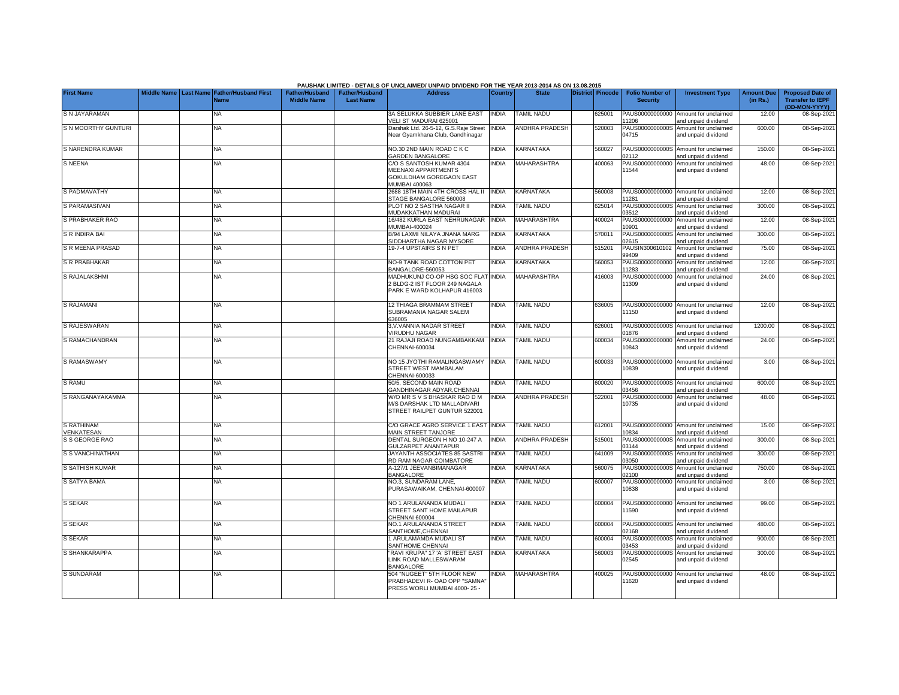|                          |             |                  |                                     |                                      |                                           | PAUSHAK LIMITED - DETAILS OF UNCLAIMED/ UNPAID DIVIDEND FOR THE YEAR 2013-2014 AS ON 13.08.2015 |              |                       |                         |                                           |                                                             |                               |                                                                     |
|--------------------------|-------------|------------------|-------------------------------------|--------------------------------------|-------------------------------------------|-------------------------------------------------------------------------------------------------|--------------|-----------------------|-------------------------|-------------------------------------------|-------------------------------------------------------------|-------------------------------|---------------------------------------------------------------------|
| <b>First Name</b>        | Middle Name | <b>Last Name</b> | <b>Father/Husband First</b><br>Name | Father/Husband<br><b>Middle Name</b> | <b>Father/Husband</b><br><b>Last Name</b> | <b>Address</b>                                                                                  | Country      | <b>State</b>          | <b>District Pincode</b> | <b>Folio Number of</b><br><b>Security</b> | <b>Investment Type</b>                                      | <b>Amount Due</b><br>(in Rs.) | <b>Proposed Date of</b><br><b>Transfer to IEPF</b><br>(DD-MON-YYYY) |
| S N JAYARAMAN            |             |                  | NA                                  |                                      |                                           | 3A SELUKKA SUBBIER LANE EAST<br>VELI ST MADURAI 625001                                          | <b>INDIA</b> | TAMIL NADU            | 625001                  | PAUS00000000000<br>11206                  | Amount for unclaimed<br>and unpaid dividend                 | 12.00                         | 08-Sep-202                                                          |
| S N MOORTHY GUNTURI      |             |                  | <b>NA</b>                           |                                      |                                           | Darshak Ltd. 26-5-12, G.S.Raje Street<br>Near Gyamkhana Club, Gandhinagar                       | <b>INDIA</b> | <b>ANDHRA PRADESH</b> | 520003                  | 04715                                     | PAUS0000000000S Amount for unclaimed<br>and unpaid dividend | 600.00                        | 08-Sep-2021                                                         |
| S NARENDRA KUMAR         |             |                  | NA                                  |                                      |                                           | NO.30 2ND MAIN ROAD C K C<br><b>GARDEN BANGALORE</b>                                            | <b>INDIA</b> | KARNATAKA             | 560027                  | PAUS0000000000S<br>02112                  | Amount for unclaimed<br>and unpaid dividend                 | 150.00                        | 08-Sep-202                                                          |
| <b>S NEENA</b>           |             |                  | ΝA                                  |                                      |                                           | C/O S SANTOSH KUMAR 4304<br>MEENAXI APPARTMENTS<br>GOKULDHAM GOREGAON EAST<br>MUMBAI 400063     | <b>INDIA</b> | MAHARASHTRA           | 400063                  | PAUS00000000000<br>11544                  | Amount for unclaimed<br>and unpaid dividend                 | 48.00                         | 08-Sep-202                                                          |
| S PADMAVATHY             |             |                  | <b>NA</b>                           |                                      |                                           | 2688 18TH MAIN 4TH CROSS HAL II<br>STAGE BANGALORE 560008                                       | <b>INDIA</b> | KARNATAKA             | 560008                  | 1281                                      | PAUS00000000000 Amount for unclaimed<br>and unpaid dividend | 12.00                         | 08-Sep-202                                                          |
| S PARAMASIVAN            |             |                  | NA                                  |                                      |                                           | PLOT NO 2 SASTHA NAGAR II<br>MUDAKKATHAN MADURAI                                                | <b>NDIA</b>  | <b>TAMIL NADU</b>     | 625014                  | PAUS0000000000S<br>03512                  | Amount for unclaimed<br>and unpaid dividend                 | 300.00                        | 08-Sep-202                                                          |
| S PRABHAKER RAO          |             |                  | <b>NA</b>                           |                                      |                                           | 16/482 KURLA EAST NEHRUNAGAR<br>MUMBAI-400024                                                   | <b>INDIA</b> | <b>MAHARASHTRA</b>    | 400024                  | PAUS00000000000<br>10901                  | Amount for unclaimed<br>and unpaid dividend                 | 12.00                         | 08-Sep-202                                                          |
| S R INDIRA BAI           |             |                  | <b>NA</b>                           |                                      |                                           | B/94 LAXMI NILAYA JNANA MARG<br>SIDDHARTHA NAGAR MYSORE                                         | <b>INDIA</b> | KARNATAKA             | 570011                  | PAUS0000000000S<br>2615                   | Amount for unclaimed<br>nd unpaid dividend                  | 300.00                        | 08-Sep-202                                                          |
| S R MEENA PRASAD         |             |                  | <b>NA</b>                           |                                      |                                           | 19-7-4 UPSTAIRS S N PET                                                                         | INDIA        | ANDHRA PRADESH        | 515201                  | PAUSIN300610102<br>99409                  | Amount for unclaimed<br>and unpaid dividend                 | 75.00                         | 08-Sep-202                                                          |
| S R PRABHAKAR            |             |                  | <b>NA</b>                           |                                      |                                           | NO-9 TANK ROAD COTTON PET<br>BANGALORE-560053                                                   | <b>NDIA</b>  | KARNATAKA             | 560053                  | PAUS00000000000<br>1283                   | Amount for unclaimed<br>and unpaid dividend                 | 12.00                         | 08-Sep-202                                                          |
| S RAJALAKSHMI            |             |                  | NA                                  |                                      |                                           | MADHUKUNJ CO-OP HSG SOC FLAT<br>BLDG-2 IST FLOOR 249 NAGALA<br>PARK E WARD KOLHAPUR 416003      | <b>NDIA</b>  | <b>MAHARASHTRA</b>    | 416003                  | PAUS00000000000<br>11309                  | Amount for unclaimed<br>and unpaid dividend                 | 24.00                         | 08-Sep-202                                                          |
| S RAJAMANI               |             |                  | <b>NA</b>                           |                                      |                                           | 12 THIAGA BRAMMAM STREET<br>SUBRAMANIA NAGAR SALEM<br>336005                                    | <b>INDIA</b> | TAMIL NADU            | 636005                  | 11150                                     | PAUS00000000000 Amount for unclaimed<br>and unpaid dividend | 12.00                         | 08-Sep-2021                                                         |
| S RAJESWARAN             |             |                  | <b>NA</b>                           |                                      |                                           | 3, V. VANNIA NADAR STREET<br><b>/IRUDHU NAGAR</b>                                               | <b>NDIA</b>  | <b>TAMIL NADU</b>     | 626001                  | PAUS0000000000S<br>01876                  | Amount for unclaimed<br>and unpaid dividend                 | 1200.00                       | 08-Sep-202                                                          |
| S RAMACHANDRAN           |             |                  | NA                                  |                                      |                                           | 21 RAJAJI ROAD NUNGAMBAKKAM<br>CHENNAI-600034                                                   | <b>INDIA</b> | <b>TAMIL NADU</b>     | 600034                  | 10843                                     | PAUS00000000000 Amount for unclaimed<br>and unpaid dividend | 24.00                         | 08-Sep-2021                                                         |
| S RAMASWAMY              |             |                  | <b>NA</b>                           |                                      |                                           | NO 15 JYOTHI RAMALINGASWAMY<br>STREET WEST MAMBALAM<br>CHENNAI-600033                           | <b>INDIA</b> | <b>TAMIL NADU</b>     | 600033                  | 10839                                     | PAUS00000000000 Amount for unclaimed<br>and unpaid dividend | 3.00                          | 08-Sep-202                                                          |
| S RAMU                   |             |                  | <b>NA</b>                           |                                      |                                           | 50/5, SECOND MAIN ROAD<br>GANDHINAGAR ADYAR, CHENNAI                                            | <b>NDIA</b>  | TAMIL NADU            | 600020                  | PAUS0000000000S<br>3456                   | Amount for unclaimed<br>and unpaid dividend                 | 600.00                        | 08-Sep-202                                                          |
| S RANGANAYAKAMMA         |             |                  | NA                                  |                                      |                                           | W/O MR S V S BHASKAR RAO D M<br>M/S DARSHAK LTD MALLADIVARI<br>STREET RAILPET GUNTUR 522001     | <b>INDIA</b> | <b>ANDHRA PRADESH</b> | 522001                  | PAUS00000000000<br>10735                  | Amount for unclaimed<br>and unpaid dividend                 | 48.00                         | 08-Sep-202                                                          |
| S RATHINAM<br>VENKATESAN |             |                  | <b>NA</b>                           |                                      |                                           | C/O GRACE AGRO SERVICE 1 EAST<br><b>MAIN STREET TANJORE</b>                                     | <b>INDIA</b> | TAMIL NADU            | 612001                  | 10834                                     | PAUS00000000000 Amount for unclaimed<br>and unpaid dividend | 15.00                         | 08-Sep-202                                                          |
| S S GEORGE RAO           |             |                  | <b>NA</b>                           |                                      |                                           | DENTAL SURGEON H NO 10-247 A<br>GULZARPET ANANTAPUR                                             | <b>INDIA</b> | ANDHRA PRADESH        | 515001                  | PAUS0000000000S<br>03144                  | Amount for unclaimed<br>and unpaid dividend                 | 300.00                        | 08-Sep-202                                                          |
| S S VANCHINATHAN         |             |                  | <b>NA</b>                           |                                      |                                           | JAYANTH ASSOCIATES 85 SASTRI<br>RD RAM NAGAR COIMBATORE                                         | <b>INDIA</b> | <b>TAMIL NADU</b>     | 641009                  | PAUS0000000000S<br>3050                   | Amount for unclaimed<br>nd unpaid dividend                  | 300.00                        | 08-Sep-202                                                          |
| S SATHISH KUMAR          |             |                  | <b>NA</b>                           |                                      |                                           | 4-127/1 JEEVANBIMANAGAR<br>BANGALORE                                                            | <b>NDIA</b>  | KARNATAKA             | 560075                  | PAUS0000000000S<br>2100                   | Amount for unclaimed<br>nd unpaid dividend                  | 750.00                        | 08-Sep-202                                                          |
| S SATYA BAMA             |             |                  | <b>NA</b>                           |                                      |                                           | NO.3, SUNDARAM LANE,<br>PURASAWAIKAM, CHENNAI-600007                                            | <b>NDIA</b>  | <b>TAMIL NADU</b>     | 600007                  | PAUS00000000000<br>10838                  | Amount for unclaimed<br>and unpaid dividend                 | 3.00                          | 08-Sep-202                                                          |
| S SEKAR                  |             |                  | <b>NA</b>                           |                                      |                                           | NO 1 ARULANANDA MUDALI<br>STREET SANT HOME MAILAPUR<br>CHENNAI 600004                           | <b>NDIA</b>  | TAMIL NADU            | 600004                  | PAUS00000000000<br>11590                  | Amount for unclaimed<br>and unpaid dividend                 | 99.00                         | 08-Sep-2021                                                         |
| S SEKAR                  |             |                  | <b>NA</b>                           |                                      |                                           | NO.1 ARULANANDA STREET<br>SANTHOME.CHENNAI                                                      | <b>INDIA</b> | <b>TAMIL NADU</b>     | 600004                  | 2168                                      | PAUS0000000000S Amount for unclaimed<br>and unpaid dividend | 480.00                        | 08-Sep-202                                                          |
| <b>S SEKAR</b>           |             |                  | <b>NA</b>                           |                                      |                                           | ARULAMAMDA MUDALI ST<br>SANTHOME CHENNAI                                                        | <b>NDIA</b>  | <b>TAMIL NADU</b>     | 600004                  | PAUS0000000000S<br>3453                   | Amount for unclaimed<br>and unpaid dividend                 | 900.00                        | 08-Sep-202                                                          |
| S SHANKARAPPA            |             |                  | NA.                                 |                                      |                                           | "RAVI KRUPA" 17 'A' STREET EAST<br>LINK ROAD MALLESWARAM<br><b>BANGALORE</b>                    | <b>NDIA</b>  | KARNATAKA             | 560003                  | PAUS0000000000S<br>02545                  | Amount for unclaimed<br>and unpaid dividend                 | 300.00                        | 08-Sep-202                                                          |
| S SUNDARAM               |             |                  | <b>NA</b>                           |                                      |                                           | 504 "NUGEET" 5TH FLOOR NEW<br>PRABHADEVI R- OAD OPP "SAMNA"<br>PRESS WORLI MUMBAI 4000-25 -     | <b>NDIA</b>  | <b>MAHARASHTRA</b>    | 400025                  | 1620                                      | PAUS00000000000 Amount for unclaimed<br>and unpaid dividend | 48.00                         | 08-Sep-202                                                          |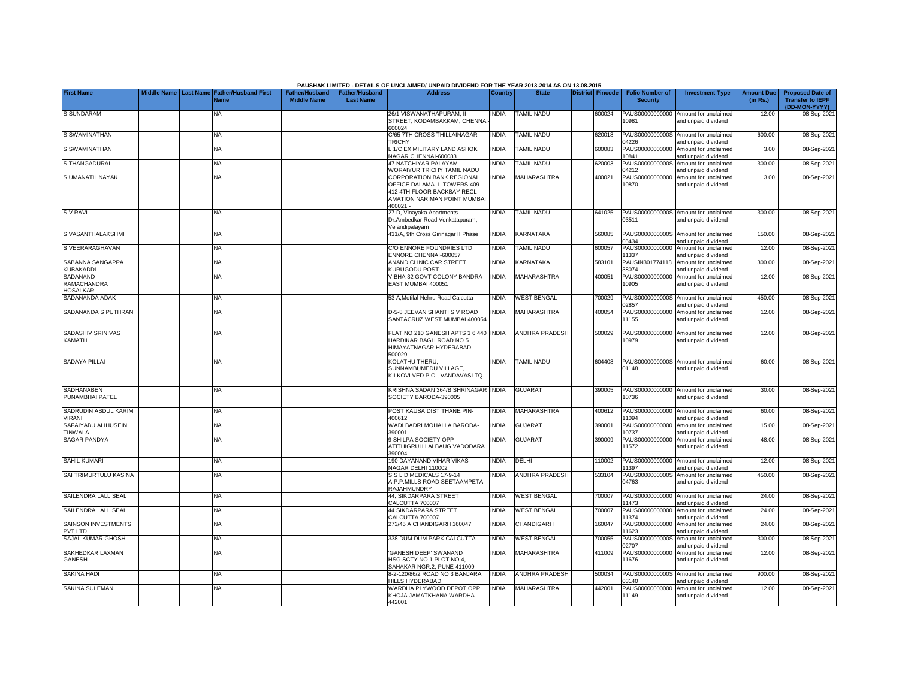|                                            |             |                                                      |                                      |                                           | PAUSHAK LIMITED - DETAILS OF UNCLAIMED/ UNPAID DIVIDEND FOR THE YEAR 2013-2014 AS ON 13.08.2015                                      |              |                       |                         |                                           |                                                             |                               |                                                                     |
|--------------------------------------------|-------------|------------------------------------------------------|--------------------------------------|-------------------------------------------|--------------------------------------------------------------------------------------------------------------------------------------|--------------|-----------------------|-------------------------|-------------------------------------------|-------------------------------------------------------------|-------------------------------|---------------------------------------------------------------------|
| <b>First Name</b>                          | Middle Name | <b>Last Name Father/Husband First</b><br><b>Name</b> | Father/Husband<br><b>Middle Name</b> | <b>Father/Husband</b><br><b>Last Name</b> | <b>Address</b>                                                                                                                       | Country      | <b>State</b>          | <b>District Pincode</b> | <b>Folio Number of</b><br><b>Security</b> | <b>Investment Type</b>                                      | <b>Amount Due</b><br>(in Rs.) | <b>Proposed Date of</b><br><b>Transfer to IEPF</b><br>(DD-MON-YYYY) |
| S SUNDARAM                                 |             | <b>NA</b>                                            |                                      |                                           | 26/1 VISWANATHAPURAM, II<br>STREET, KODAMBAKKAM, CHENNA<br>600024                                                                    | NDIA         | <b>TAMIL NADU</b>     | 600024                  | 10981                                     | PAUS00000000000 Amount for unclaimed<br>and unpaid dividend | 12.00                         | 08-Sep-2021                                                         |
| S SWAMINATHAN                              |             | <b>NA</b>                                            |                                      |                                           | C/65 7TH CROSS THILLAINAGAR<br>TRICHY                                                                                                | <b>INDIA</b> | <b>TAMIL NADU</b>     | 620018                  | 4226                                      | PAUS0000000000S Amount for unclaimed<br>and unpaid dividend | 600.00                        | 08-Sep-202                                                          |
| S SWAMINATHAN                              |             | <b>NA</b>                                            |                                      |                                           | 1/C EX MILITARY LAND ASHOK<br>NAGAR CHENNAI-600083                                                                                   | <b>NDIA</b>  | <b>TAMIL NADU</b>     | 600083                  | PAUS00000000000<br>10841                  | Amount for unclaimed<br>and unpaid dividend                 | 3.00                          | 08-Sep-202                                                          |
| S THANGADURAI                              |             | NA                                                   |                                      |                                           | <b>47 NATCHIYAR PALAYAM</b><br><b>NORAIYUR TRICHY TAMIL NADU</b>                                                                     | <b>NDIA</b>  | <b>TAMIL NADU</b>     | 620003                  | PAUS0000000000S<br>04212                  | Amount for unclaimed<br>and unpaid dividend                 | 300.00                        | 08-Sep-2021                                                         |
| S UMANATH NAYAK                            |             | <b>NA</b>                                            |                                      |                                           | CORPORATION BANK REGIONAL<br>OFFICE DALAMA- L TOWERS 409-<br>412 4TH FLOOR BACKBAY RECL-<br>AMATION NARIMAN POINT MUMBAI<br>400021 - | <b>NDIA</b>  | <b>MAHARASHTRA</b>    | 400021                  | PAUS00000000000<br>10870                  | Amount for unclaimed<br>and unpaid dividend                 | 3.00                          | 08-Sep-2021                                                         |
| <b>SV RAVI</b>                             |             | <b>NA</b>                                            |                                      |                                           | 27 D, Vinayaka Apartments<br>Dr.Ambedkar Road Venkatapuram,<br>/elandipalayam                                                        | <b>NDIA</b>  | <b>TAMIL NADU</b>     | 641025                  | 03511                                     | PAUS0000000000S Amount for unclaimed<br>and unpaid dividend | 300.00                        | 08-Sep-2021                                                         |
| S VASANTHALAKSHMI                          |             | <b>NA</b>                                            |                                      |                                           | 431/A, 9th Cross Girinagar II Phase                                                                                                  | <b>NDIA</b>  | KARNATAKA             | 560085                  | 05434                                     | PAUS0000000000S Amount for unclaimed<br>and unpaid dividend | 150.00                        | 08-Sep-2021                                                         |
| S VEERARAGHAVAN                            |             | <b>NA</b>                                            |                                      |                                           | C/O ENNORE FOUNDRIES LTD<br>ENNORE CHENNAI-600057                                                                                    | <b>NDIA</b>  | <b>TAMIL NADU</b>     | 600057                  | PAUS00000000000<br>1337                   | Amount for unclaimed<br>and unpaid dividend                 | 12.00                         | 08-Sep-202                                                          |
| SABANNA SANGAPPA<br>KUBAKADDI              |             | ΝA                                                   |                                      |                                           | ANAND CLINIC CAR STREET<br><b>KURUGODU POST</b>                                                                                      | <b>NDIA</b>  | KARNATAKA             | 583101                  | PAUSIN301774118<br>38074                  | Amount for unclaimed<br>and unpaid dividend                 | 300.00                        | 08-Sep-202                                                          |
| SADANAND<br>RAMACHANDRA<br><b>HOSALKAR</b> |             | ΝA                                                   |                                      |                                           | <b>/IBHA 32 GOVT COLONY BANDRA</b><br>EAST MUMBAI 400051                                                                             | india        | MAHARASHTRA           | 400051                  | PAUS00000000000<br>10905                  | Amount for unclaimed<br>and unpaid dividend                 | 12.00                         | 08-Sep-202                                                          |
| SADANANDA ADAK                             |             | <b>NA</b>                                            |                                      |                                           | 53 A, Motilal Nehru Road Calcutta                                                                                                    | <b>INDIA</b> | <b>WEST BENGAL</b>    | 700029                  | 2857                                      | PAUS0000000000S Amount for unclaimed<br>and unpaid dividend | 450.00                        | 08-Sep-202                                                          |
| SADANANDA S PUTHRAN                        |             | <b>NA</b>                                            |                                      |                                           | D-5-8 JEEVAN SHANTI S V ROAD<br>SANTACRUZ WEST MUMBAI 400054                                                                         | <b>INDIA</b> | <b>MAHARASHTRA</b>    | 400054                  | PAUS00000000000<br>11155                  | Amount for unclaimed<br>and unpaid dividend                 | 12.00                         | 08-Sep-202                                                          |
| SADASHIV SRINIVAS<br>KAMATH                |             | NA                                                   |                                      |                                           | FLAT NO 210 GANESH APTS 3 6 440 INDIA<br>HARDIKAR BAGH ROAD NO 5<br>HIMAYATNAGAR HYDERABAD<br>500029                                 |              | <b>ANDHRA PRADESH</b> | 500029                  | 10979                                     | PAUS00000000000 Amount for unclaimed<br>and unpaid dividend | 12.00                         | 08-Sep-202                                                          |
| <b>SADAYA PILLAI</b>                       |             | <b>NA</b>                                            |                                      |                                           | KOLATHU THERU,<br>SUNNAMBUMEDU VILLAGE,<br>KILKOVLVED P.O., VANDAVASI TQ.                                                            | <b>NDIA</b>  | <b>TAMIL NADU</b>     | 604408                  | PAUS0000000000S<br>01148                  | Amount for unclaimed<br>and unpaid dividend                 | 60.00                         | 08-Sep-202                                                          |
| SADHANABEN<br>PUNAMBHAI PATEL              |             | <b>NA</b>                                            |                                      |                                           | KRISHNA SADAN 364/B SHRINAGAR INDIA<br>SOCIETY BARODA-390005                                                                         |              | <b>GUJARAT</b>        | 390005                  | 10736                                     | PAUS00000000000 Amount for unclaimed<br>and unpaid dividend | 30.00                         | 08-Sep-202                                                          |
| SADRUDIN ABDUL KARIM<br>VIRANI             |             | <b>NA</b>                                            |                                      |                                           | POST KAUSA DIST THANE PIN-<br>400612                                                                                                 | <b>INDIA</b> | <b>MAHARASHTRA</b>    | 400612                  | 1094                                      | PAUS00000000000 Amount for unclaimed<br>nd unpaid dividend  | 60.00                         | 08-Sep-202                                                          |
| SAFAIYABU ALIHUSEIN<br>TINWALA             |             | <b>NA</b>                                            |                                      |                                           | WADI BADRI MOHALLA BARODA-<br>390001                                                                                                 | <b>INDIA</b> | <b>GUJARAT</b>        | 390001                  | PAUS00000000000<br>0737                   | Amount for unclaimed<br>nd unpaid dividend                  | 15.00                         | 08-Sep-202                                                          |
| SAGAR PANDYA                               |             | <b>NA</b>                                            |                                      |                                           | <b>SHILPA SOCIETY OPP</b><br>ATITHIGRUH LALBAUG VADODARA<br>390004                                                                   | <b>NDIA</b>  | GUJARAT               | 390009                  | PAUS00000000000<br>11572                  | Amount for unclaimed<br>and unpaid dividend                 | 48.00                         | 08-Sep-202                                                          |
| <b>SAHIL KUMARI</b>                        |             | NA                                                   |                                      |                                           | 190 DAYANAND VIHAR VIKAS<br>VAGAR DELHI 110002                                                                                       | <b>NDIA</b>  | DELHI                 | 110002                  | PAUS00000000000<br>1397                   | Amount for unclaimed<br>and unpaid dividend                 | 12.00                         | 08-Sep-202                                                          |
| SAI TRIMURTULU KASINA                      |             | NA                                                   |                                      |                                           | S S L D MEDICALS 17-9-14<br>A.P.P.MILLS ROAD SEETAAMPETA<br>RAJAHMUNDRY                                                              | <b>NDIA</b>  | <b>ANDHRA PRADESH</b> | 533104                  | PAUS0000000000S<br>04763                  | Amount for unclaimed<br>and unpaid dividend                 | 450.00                        | 08-Sep-2021                                                         |
| SAILENDRA LALL SEAL                        |             | NA                                                   |                                      |                                           | 44, SIKDARPARA STREET<br>CALCUTTA 700007                                                                                             | <b>INDIA</b> | <b>WEST BENGAL</b>    | 700007                  | 1473                                      | PAUS00000000000 Amount for unclaimed<br>and unpaid dividend | 24.00                         | 08-Sep-202                                                          |
| SAILENDRA LALL SEAL                        |             | <b>NA</b>                                            |                                      |                                           | <b>44 SIKDARPARA STREET</b><br>CALCUTTA 700007                                                                                       | <b>INDIA</b> | <b>WEST BENGAL</b>    | 700007                  | 1374                                      | PAUS00000000000 Amount for unclaimed<br>and unpaid dividend | 24.00                         | 08-Sep-202                                                          |
| SAINSON INVESTMENTS<br><b>PVT LTD</b>      |             | <b>NA</b>                                            |                                      |                                           | 273/45 A CHANDIGARH 160047                                                                                                           | <b>NDIA</b>  | CHANDIGARH            | 160047                  | 1623                                      | PAUS00000000000 Amount for unclaimed<br>and unpaid dividend | 24.00                         | 08-Sep-2021                                                         |
| SAJAL KUMAR GHOSH                          |             | <b>NA</b>                                            |                                      |                                           | 338 DUM DUM PARK CALCUTTA                                                                                                            | <b>INDIA</b> | <b>WEST BENGAL</b>    | 700055                  | PAUS0000000000S<br>2707                   | Amount for unclaimed<br>and unpaid dividend                 | 300.00                        | 08-Sep-202                                                          |
| SAKHEDKAR LAXMAN<br>GANESH                 |             | <b>NA</b>                                            |                                      |                                           | GANESH DEEP' SWANAND<br>HSG.SCTY NO.1 PLOT NO.4.<br>SAHAKAR NGR.2, PUNE-411009                                                       | <b>INDIA</b> | <b>MAHARASHTRA</b>    | 411009                  | PAUS00000000000<br>11676                  | Amount for unclaimed<br>and unpaid dividend                 | 12.00                         | 08-Sep-2021                                                         |
| <b>SAKINA HADI</b>                         |             | <b>NA</b>                                            |                                      |                                           | 8-2-120/86/2 ROAD NO 3 BANJARA<br>HILLS HYDERABAD                                                                                    | <b>NDIA</b>  | ANDHRA PRADESH        | 500034                  | PAUS0000000000S<br>3140                   | Amount for unclaimed<br>and unpaid dividend                 | 900.00                        | 08-Sep-202                                                          |
| SAKINA SULEMAN                             |             | NA                                                   |                                      |                                           | WARDHA PLYWOOD DEPOT OPP<br>KHOJA JAMATKHANA WARDHA-<br>442001                                                                       | <b>NDIA</b>  | <b>MAHARASHTRA</b>    | 442001                  | PAUS00000000000<br>11149                  | Amount for unclaimed<br>and unpaid dividend                 | 12.00                         | 08-Sep-202                                                          |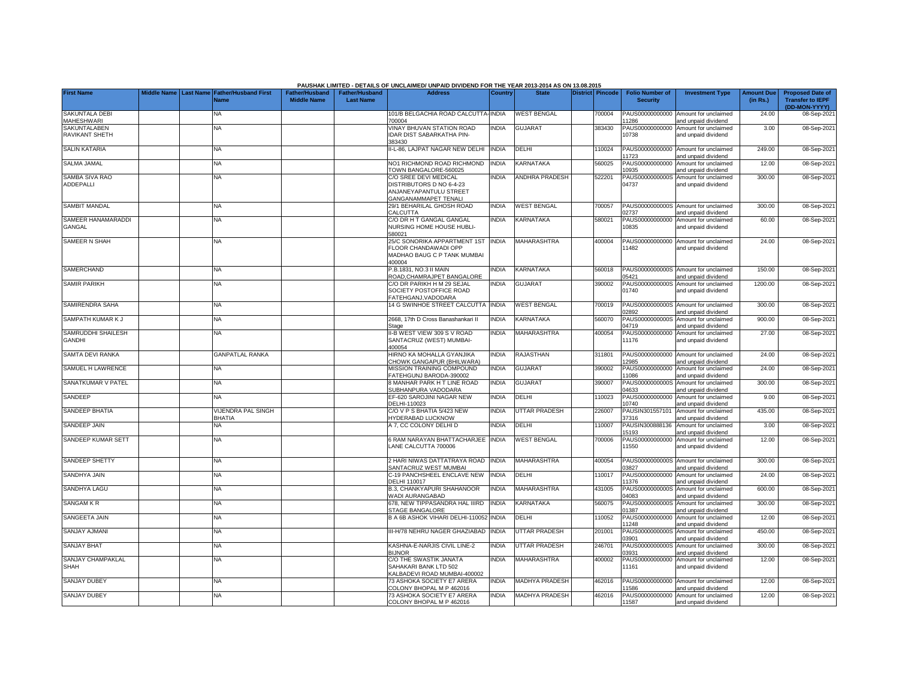|                                            |                       |                                            |                                             |                                           | PAUSHAK LIMITED - DETAILS OF UNCLAIMED/ UNPAID DIVIDEND FOR THE YEAR 2013-2014 AS ON 13.08.2015            |              |                       |                  |                                           |                                                             |                               |                                                                     |
|--------------------------------------------|-----------------------|--------------------------------------------|---------------------------------------------|-------------------------------------------|------------------------------------------------------------------------------------------------------------|--------------|-----------------------|------------------|-------------------------------------------|-------------------------------------------------------------|-------------------------------|---------------------------------------------------------------------|
| <b>First Name</b>                          | Middle Name Last Name | <b>Father/Husband First</b><br>Name        | <b>Father/Husband</b><br><b>Middle Name</b> | <b>Father/Husband</b><br><b>Last Name</b> | <b>Address</b>                                                                                             | Country      | <b>State</b>          | District Pincode | <b>Folio Number of</b><br><b>Security</b> | <b>Investment Type</b>                                      | <b>Amount Due</b><br>(in Rs.) | <b>Proposed Date of</b><br><b>Transfer to IEPF</b><br>(DD-MON-YYYY) |
| <b>SAKUNTALA DEBI</b><br><b>MAHESHWARI</b> |                       | NA                                         |                                             |                                           | 101/B BELGACHIA ROAD CALCUTTA-INDIA<br>700004                                                              |              | <b>WEST BENGAL</b>    | 700004           | PAUS00000000000<br>11286                  | Amount for unclaimed<br>and unpaid dividend                 | 24.00                         | 08-Sep-2021                                                         |
| SAKUNTALABEN<br>RAVIKANT SHETH             |                       | <b>NA</b>                                  |                                             |                                           | <b>VINAY BHUVAN STATION ROAD</b><br>IDAR DIST SABARKATHA PIN-<br>383430                                    | <b>INDIA</b> | <b>GUJARAT</b>        | 383430           | PAUS00000000000<br>10738                  | Amount for unclaimed<br>and unpaid dividend                 | 3.00                          | 08-Sep-2021                                                         |
| <b>SALIN KATARIA</b>                       |                       | <b>NA</b>                                  |                                             |                                           | II-L-86, LAJPAT NAGAR NEW DELHI                                                                            | <b>INDIA</b> | DELHI                 | 110024           | 11723                                     | PAUS00000000000 Amount for unclaimed<br>and unpaid dividend | 249.00                        | 08-Sep-2021                                                         |
| <b>SALMA JAMAL</b>                         |                       | <b>NA</b>                                  |                                             |                                           | NO1 RICHMOND ROAD RICHMOND<br>TOWN BANGALORE-560025                                                        | <b>INDIA</b> | KARNATAKA             | 560025           | PAUS00000000000<br>10935                  | Amount for unclaimed<br>and unpaid dividend                 | 12.00                         | 08-Sep-2021                                                         |
| SAMBA SIVA RAO<br><b>ADDEPALLI</b>         |                       | ΝA                                         |                                             |                                           | C/O SREE DEVI MEDICAL<br>DISTRIBUTORS D NO 6-4-23<br>ANJANEYAPANTULU STREET<br><b>GANGANAMMAPET TENALI</b> | INDIA        | <b>ANDHRA PRADESH</b> | 522201           | PAUS0000000000S<br>04737                  | Amount for unclaimed<br>and unpaid dividend                 | 300.00                        | 08-Sep-2021                                                         |
| <b>SAMBIT MANDAL</b>                       |                       | <b>NA</b>                                  |                                             |                                           | 29/1 BEHARILAL GHOSH ROAD<br>CALCUTTA                                                                      | <b>INDIA</b> | <b>WEST BENGAL</b>    | 700057           | 02737                                     | PAUS0000000000S Amount for unclaimed<br>and unpaid dividend | 300.00                        | 08-Sep-2021                                                         |
| SAMEER HANAMARADDI<br>GANGAL               |                       | NA                                         |                                             |                                           | C/O DR H T GANGAL GANGAL<br>NURSING HOME HOUSE HUBLI-<br>580021                                            | <b>INDIA</b> | KARNATAKA             | 580021           | PAUS00000000000<br>10835                  | Amount for unclaimed<br>and unpaid dividend                 | 60.00                         | 08-Sep-2021                                                         |
| SAMEER N SHAH                              |                       | NA                                         |                                             |                                           | 25/C SONORIKA APPARTMENT 1ST<br>FLOOR CHANDAWADI OPP<br>MADHAO BAUG C P TANK MUMBAI<br>400004              | <b>INDIA</b> | <b>MAHARASHTRA</b>    | 400004           | PAUS00000000000<br>11482                  | Amount for unclaimed<br>and unpaid dividend                 | 24.00                         | 08-Sep-2021                                                         |
| <b>SAMERCHAND</b>                          |                       | <b>NA</b>                                  |                                             |                                           | P.B.1831, NO.3 II MAIN<br>ROAD, CHAMRAJPET BANGALORE                                                       | INDIA        | KARNATAKA             | 560018           | 05421                                     | PAUS0000000000S Amount for unclaimed<br>and unpaid dividend | 150.00                        | 08-Sep-2021                                                         |
| <b>SAMIR PARIKH</b>                        |                       | NA                                         |                                             |                                           | C/O DR PARIKH H M 29 SEJAL<br>SOCIETY POSTOFFICE ROAD<br>FATEHGANJ, VADODARA                               | <b>INDIA</b> | <b>GUJARAT</b>        | 390002           | PAUS0000000000S<br>01740                  | Amount for unclaimed<br>and unpaid dividend                 | 1200.00                       | 08-Sep-2021                                                         |
| SAMIRENDRA SAHA                            |                       | <b>NA</b>                                  |                                             |                                           | 14 G SWINHOE STREET CALCUTTA                                                                               | <b>INDIA</b> | <b>WEST BENGAL</b>    | 700019           | 02892                                     | PAUS0000000000S Amount for unclaimed<br>and unpaid dividend | 300.00                        | 08-Sep-2021                                                         |
| SAMPATH KUMAR K J                          |                       | NA                                         |                                             |                                           | 2668, 17th D Cross Banashankari II<br>Stage                                                                | <b>INDIA</b> | KARNATAKA             | 560070           | PAUS0000000000S<br>04719                  | Amount for unclaimed<br>and unpaid dividend                 | 900.00                        | 08-Sep-2021                                                         |
| SAMRUDDHI SHAILESH<br><b>GANDHI</b>        |                       | NA                                         |                                             |                                           | II-B WEST VIEW 309 S V ROAD<br>SANTACRUZ (WEST) MUMBAI-<br>400054                                          | <b>INDIA</b> | MAHARASHTRA           | 400054           | PAUS00000000000<br>11176                  | Amount for unclaimed<br>and unpaid dividend                 | 27.00                         | 08-Sep-2021                                                         |
| SAMTA DEVI RANKA                           |                       | <b>GANPATLAL RANKA</b>                     |                                             |                                           | HIRNO KA MOHALLA GYANJIKA<br>CHOWK GANGAPUR (BHILWARA)                                                     | <b>INDIA</b> | RAJASTHAN             | 311801           | PAUS00000000000<br>12985                  | Amount for unclaimed<br>and unpaid dividend                 | 24.00                         | 08-Sep-2021                                                         |
| SAMUEL H LAWRENCE                          |                       | <b>NA</b>                                  |                                             |                                           | MISSION TRAINING COMPOUND<br>FATEHGUNJ BARODA-390002                                                       | <b>INDIA</b> | <b>GUJARAT</b>        | 390002           | PAUS00000000000<br>11086                  | Amount for unclaimed<br>and unpaid dividend                 | 24.00                         | 08-Sep-2021                                                         |
| SANATKUMAR V PATEL                         |                       | <b>NA</b>                                  |                                             |                                           | <b>B MANHAR PARK H T LINE ROAD</b><br>SUBHANPURA VADODARA                                                  | <b>INDIA</b> | <b>GUJARAT</b>        | 390007           | PAUS0000000000S<br>04633                  | Amount for unclaimed<br>and unpaid dividend                 | 300.00                        | 08-Sep-2021                                                         |
| SANDEEP                                    |                       | <b>NA</b>                                  |                                             |                                           | EF-620 SAROJINI NAGAR NEW<br>DELHI-110023                                                                  | <b>INDIA</b> | DELHI                 | 110023           | PAUS00000000000<br>10740                  | Amount for unclaimed<br>and unpaid dividend                 | 9.00                          | 08-Sep-2021                                                         |
| SANDEEP BHATIA                             |                       | <b>/IJENDRA PAL SINGH</b><br><b>BHATIA</b> |                                             |                                           | C/O V P S BHATIA 5/423 NEW<br><b>IYDERABAD LUCKNOW</b>                                                     | <b>INDIA</b> | UTTAR PRADESH         | 226007           | PAUSIN301557101<br>37316                  | Amount for unclaimed<br>and unpaid dividend                 | 435.00                        | 08-Sep-2021                                                         |
| SANDEEP JAIN                               |                       | NA                                         |                                             |                                           | A 7, CC COLONY DELHI D                                                                                     | <b>INDIA</b> | DELHI                 | 110007           | PAUSIN300888136<br>15193                  | Amount for unclaimed<br>and unpaid dividend                 | 3.00                          | 08-Sep-2021                                                         |
| <b>SANDEEP KUMAR SETT</b>                  |                       | <b>NA</b>                                  |                                             |                                           | <b>6 RAM NARAYAN BHATTACHARJEE INDIA</b><br>LANE CALCUTTA 700006                                           |              | <b>WEST BENGAL</b>    | 700006           | PAUS00000000000<br>11550                  | Amount for unclaimed<br>and unpaid dividend                 | 12.00                         | 08-Sep-2021                                                         |
| SANDEEP SHETTY                             |                       | <b>NA</b>                                  |                                             |                                           | ! HARI NIWAS DATTATRAYA ROAD<br>SANTACRUZ WEST MUMBAI                                                      | <b>INDIA</b> | MAHARASHTRA           | 400054           | PAUS0000000000S<br>03827                  | Amount for unclaimed<br>and unpaid dividend                 | 300.00                        | 08-Sep-2021                                                         |
| <b>SANDHYA JAIN</b>                        |                       | <b>NA</b>                                  |                                             |                                           | C-19 PANCHSHEEL ENCLAVE NEW<br><b>DELHI 110017</b>                                                         | <b>INDIA</b> | DELHI                 | 110017           | PAUS00000000000<br>11376                  | Amount for unclaimed<br>and unpaid dividend                 | 24.00                         | 08-Sep-2021                                                         |
| SANDHYA LAGU                               |                       | NA                                         |                                             |                                           | B.3, CHANKYAPURI SHAHANOOR<br>WADI AURANGABAD                                                              | <b>INDIA</b> | <b>MAHARASHTRA</b>    | 431005           | PAUS0000000000S<br>04083                  | Amount for unclaimed<br>and unpaid dividend                 | 600.00                        | 08-Sep-2021                                                         |
| <b>SANGAM K R</b>                          |                       | <b>NA</b>                                  |                                             |                                           | 678, NEW TIPPASANDRA HAL IIIRD<br>STAGE BANGALORE                                                          | <b>INDIA</b> | KARNATAKA             | 560075           | PAUS0000000000S<br>01387                  | Amount for unclaimed<br>and unpaid dividend                 | 300.00                        | 08-Sep-2021                                                         |
| SANGEETA JAIN                              |                       | NA                                         |                                             |                                           | B A 6B ASHOK VIHARI DELHI-110052 INDIA                                                                     |              | DELHI                 | 110052           | PAUS00000000000<br>11248                  | Amount for unclaimed<br>and unpaid dividend                 | 12.00                         | 08-Sep-2021                                                         |
| <b>SANJAY AJMANI</b>                       |                       | <b>NA</b>                                  |                                             |                                           | II-H/78 NEHRU NAGER GHAZIABAD                                                                              | <b>INDIA</b> | <b>UTTAR PRADESH</b>  | 201001           | PAUS0000000000S<br>03901                  | Amount for unclaimed<br>and unpaid dividend                 | 450.00                        | 08-Sep-2021                                                         |
| <b>SANJAY BHAT</b>                         |                       | <b>NA</b>                                  |                                             |                                           | KASHNA-E-NARJIS CIVIL LINE-2<br><b>BIJNOR</b>                                                              | <b>INDIA</b> | UTTAR PRADESH         | 246701           | PAUS0000000000S<br>03931                  | Amount for unclaimed<br>and unpaid dividend                 | 300.00                        | 08-Sep-2021                                                         |
| SANJAY CHAMPAKLAL<br><b>SHAH</b>           |                       | <b>NA</b>                                  |                                             |                                           | C/O THE SWASTIK JANATA<br>SAHAKARI BANK LTD 502<br><b>KALBADEVI ROAD MUMBAI-400002</b>                     | <b>INDIA</b> | MAHARASHTRA           | 400002           | PAUS00000000000<br>11161                  | Amount for unclaimed<br>and unpaid dividend                 | 12.00                         | 08-Sep-2021                                                         |
| <b>SANJAY DUBEY</b>                        |                       | <b>NA</b>                                  |                                             |                                           | 73 ASHOKA SOCIETY E7 ARERA<br>COLONY BHOPAL M P 462016                                                     | <b>INDIA</b> | MADHYA PRADESH        | 462016           | PAUS00000000000<br>11586                  | Amount for unclaimed<br>and unpaid dividend                 | 12.00                         | 08-Sep-2021                                                         |
| <b>SANJAY DUBEY</b>                        |                       | <b>NA</b>                                  |                                             |                                           | 73 ASHOKA SOCIETY E7 ARERA<br>COLONY BHOPAL M P 462016                                                     | <b>INDIA</b> | <b>MADHYA PRADESH</b> | 462016           | 11587                                     | PAUS00000000000 Amount for unclaimed<br>and unpaid dividend | 12.00                         | 08-Sep-2021                                                         |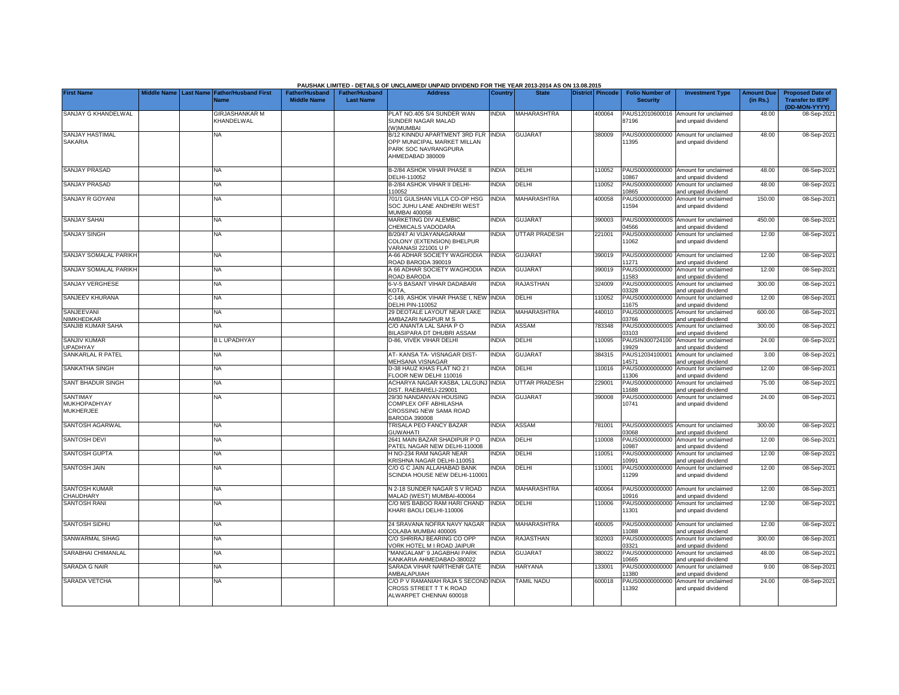|                                                     |                       |           |                                     |                                             |                                           | PAUSHAK LIMITED - DETAILS OF UNCLAIMED/ UNPAID DIVIDEND FOR THE YEAR 2013-2014 AS ON 13.08.2015                |                |                      |                  |        |                                           |                                                             |                               |                                                                     |
|-----------------------------------------------------|-----------------------|-----------|-------------------------------------|---------------------------------------------|-------------------------------------------|----------------------------------------------------------------------------------------------------------------|----------------|----------------------|------------------|--------|-------------------------------------------|-------------------------------------------------------------|-------------------------------|---------------------------------------------------------------------|
| <b>First Name</b>                                   | Middle Name Last Name | Name      | <b>Father/Husband First</b>         | <b>Father/Husband</b><br><b>Middle Name</b> | <b>Father/Husband</b><br><b>Last Name</b> | <b>Address</b>                                                                                                 | <b>Country</b> | <b>State</b>         | District Pincode |        | <b>Folio Number of</b><br><b>Security</b> | <b>Investment Type</b>                                      | <b>Amount Due</b><br>(in Rs.) | <b>Proposed Date of</b><br><b>Transfer to IEPF</b><br>(DD-MON-YYYY) |
| SANJAY G KHANDELWAL                                 |                       |           | <b>GIRJASHANKAR M</b><br>KHANDELWAL |                                             |                                           | PLAT NO.405 S/4 SUNDER WAN<br>SUNDER NAGAR MALAD<br>W)MUMBAI                                                   | <b>INDIA</b>   | <b>MAHARASHTRA</b>   |                  | 400064 | PAUS12010600016<br>87196                  | Amount for unclaimed<br>and unpaid dividend                 | 48.00                         | 08-Sep-2021                                                         |
| <b>SANJAY HASTIMAL</b><br><b>SAKARIA</b>            |                       | NA        |                                     |                                             |                                           | B/12 KINNDU APARTMENT 3RD FLR INDIA<br>OPP MUNICIPAL MARKET MILLAN<br>PARK SOC NAVRANGPURA<br>AHMEDABAD 380009 |                | <b>GUJARAT</b>       |                  | 380009 | 11395                                     | PAUS00000000000 Amount for unclaimed<br>and unpaid dividend | 48.00                         | 08-Sep-2021                                                         |
| <b>SANJAY PRASAD</b>                                |                       | NA        |                                     |                                             |                                           | 3-2/84 ASHOK VIHAR PHASE II<br>DELHI-110052                                                                    | <b>NDIA</b>    | DELHI                |                  | 10052  | 10867                                     | PAUS00000000000 Amount for unclaimed<br>and unpaid dividend | 48.00                         | 08-Sep-202                                                          |
| <b>SANJAY PRASAD</b>                                |                       | NA        |                                     |                                             |                                           | 3-2/84 ASHOK VIHAR II DELHI-<br>10052                                                                          | <b>INDIA</b>   | DELHI                |                  | 10052  | PAUS00000000000<br>10865                  | Amount for unclaimed<br>and unpaid dividend                 | 48.00                         | 08-Sep-202                                                          |
| <b>SANJAY R GOYANI</b>                              |                       | NA        |                                     |                                             |                                           | 701/1 GULSHAN VILLA CO-OP HSG<br>SOC JUHU LANE ANDHERI WEST<br><b>MUMBAI 400058</b>                            | <b>INDIA</b>   | MAHARASHTRA          |                  | 400058 | PAUS00000000000<br>1594                   | Amount for unclaimed<br>and unpaid dividend                 | 150.00                        | 08-Sep-202                                                          |
| <b>SANJAY SAHAI</b>                                 |                       | NA        |                                     |                                             |                                           | MARKETING DIV ALEMBIC<br>CHEMICALS VADODARA                                                                    | <b>INDIA</b>   | <b>GUJARAT</b>       |                  | 390003 | 4566                                      | PAUS0000000000S Amount for unclaimed<br>and unpaid dividend | 450.00                        | 08-Sep-202                                                          |
| <b>SANJAY SINGH</b>                                 |                       | ΝA        |                                     |                                             |                                           | B/20/47 AI VIJAYANAGARAM<br>COLONY (EXTENSION) BHELPUR<br>/ARANASI 221001 U P                                  | <b>INDIA</b>   | UTTAR PRADESH        |                  | 221001 | PAUS00000000000<br>11062                  | Amount for unclaimed<br>and unpaid dividend                 | 12.00                         | 08-Sep-202                                                          |
| SANJAY SOMALAL PARIKH                               |                       | ΝA        |                                     |                                             |                                           | 4-66 ADHAR SOCIETY WAGHODIA<br>ROAD BARODA 390019                                                              | <b>INDIA</b>   | <b>GUJARAT</b>       |                  | 390019 | 1271                                      | PAUS00000000000 Amount for unclaimed<br>and unpaid dividend | 12.00                         | 08-Sep-202                                                          |
| <b>SANJAY SOMALAL PARIKH</b>                        |                       | <b>NA</b> |                                     |                                             |                                           | <b>466 ADHAR SOCIETY WAGHODIA</b><br><b>ROAD BARODA</b>                                                        | <b>INDIA</b>   | <b>GUJARAT</b>       |                  | 390019 | PAUS00000000000<br>11583                  | Amount for unclaimed<br>and unpaid dividend                 | 12.00                         | 08-Sep-202                                                          |
| SANJAY VERGHESE                                     |                       | ΝA        |                                     |                                             |                                           | <b>S-V-5 BASANT VIHAR DADABARI</b><br><b>COTA.</b>                                                             | <b>INDIA</b>   | RAJASTHAN            |                  | 324009 | PAUS0000000000S<br>03328                  | Amount for unclaimed<br>and unpaid dividend                 | 300.00                        | 08-Sep-202                                                          |
| SANJEEV KHURANA                                     |                       | NA        |                                     |                                             |                                           | C-149, ASHOK VIHAR PHASE I, NEW<br><b>DELHI PIN-110052</b>                                                     | <b>INDIA</b>   | DELHI                |                  | 10052  | PAUS00000000000<br>11675                  | Amount for unclaimed<br>and unpaid dividend                 | 12.00                         | 08-Sep-202                                                          |
| SANJEEVANI<br>NIMKHEDKAR                            |                       | <b>NA</b> |                                     |                                             |                                           | 29 DEOTALE LAYOUT NEAR LAKE<br>AMBAZARI NAGPUR M S                                                             | <b>INDIA</b>   | <b>MAHARASHTRA</b>   |                  | 440010 | PAUS0000000000S<br>03766                  | Amount for unclaimed<br>and unpaid dividend                 | 600.00                        | 08-Sep-202                                                          |
| SANJIB KUMAR SAHA                                   |                       | <b>NA</b> |                                     |                                             |                                           | C/O ANANTA LAL SAHA P O<br><b>BILASIPARA DT DHUBRI ASSAM</b>                                                   | INDIA          | ASSAM                |                  | 783348 | PAUS0000000000S<br>03103                  | Amount for unclaimed<br>nd unpaid dividend                  | 300.00                        | 08-Sep-202                                                          |
| <b>SANJIV KUMAR</b><br><b>UPADHYAY</b>              |                       |           | <b>BLUPADHYAY</b>                   |                                             |                                           | <b>D-86. VIVEK VIHAR DELHI</b>                                                                                 | <b>INDIA</b>   | DELHI                |                  | 110095 | PAUSIN300724100<br>19929                  | Amount for unclaimed<br>nd unpaid dividend                  | 24.00                         | 08-Sep-202                                                          |
| <b>SANKARLAL R PATEL</b>                            |                       | <b>NA</b> |                                     |                                             |                                           | AT-KANSA TA-VISNAGAR DIST-<br><b>MEHSANA VISNAGAR</b>                                                          | <b>INDIA</b>   | <b>GUJARAT</b>       |                  | 384315 | PAUS12034100001<br>4571                   | Amount for unclaimed<br>and unpaid dividend                 | 3.00                          | 08-Sep-202                                                          |
| SANKATHA SINGH                                      |                       | <b>NA</b> |                                     |                                             |                                           | 0-38 HAUZ KHAS FLAT NO 2 I<br>FLOOR NEW DELHI 110016                                                           | <b>INDIA</b>   | DELHI                |                  | 10016  | PAUS00000000000<br>1306                   | Amount for unclaimed<br>and unpaid dividend                 | 12.00                         | 08-Sep-202                                                          |
| <b>SANT BHADUR SINGH</b>                            |                       | NA        |                                     |                                             |                                           | ACHARYA NAGAR KASBA, LALGUNJ INDIA<br>DIST. RAEBARELI-229001                                                   |                | <b>UTTAR PRADESH</b> |                  | 229001 | PAUS00000000000<br>1688                   | Amount for unclaimed<br>and unpaid dividend                 | 75.00                         | 08-Sep-202                                                          |
| <b>SANTIMAY</b><br>MUKHOPADHYAY<br><b>MUKHERJEE</b> |                       | NA        |                                     |                                             |                                           | 29/30 NANDANVAN HOUSING<br>COMPLEX OFF ABHILASHA<br>CROSSING NEW SAMA ROAD<br><b>BARODA 390008</b>             | <b>NDIA</b>    | <b>GUJARAT</b>       |                  | 390008 | PAUS00000000000<br>10741                  | Amount for unclaimed<br>and unpaid dividend                 | 24.00                         | 08-Sep-2021                                                         |
| SANTOSH AGARWAL                                     |                       | <b>NA</b> |                                     |                                             |                                           | TRISALA PEO FANCY BAZAR<br><b>GUWAHATI</b>                                                                     | <b>INDIA</b>   | ASSAM                |                  | 781001 | 3068                                      | PAUS0000000000S Amount for unclaimed<br>and unpaid dividend | 300.00                        | 08-Sep-202                                                          |
| <b>SANTOSH DEVI</b>                                 |                       | <b>NA</b> |                                     |                                             |                                           | 2641 MAIN BAZAR SHADIPUR P O<br>PATEL NAGAR NEW DELHI-110008                                                   | <b>NDIA</b>    | DELHI                |                  | 110008 | PAUS00000000000<br>10987                  | Amount for unclaimed<br>and unpaid dividend                 | 12.00                         | 08-Sep-202                                                          |
| <b>SANTOSH GUPTA</b>                                |                       | <b>NA</b> |                                     |                                             |                                           | H NO-234 RAM NAGAR NEAR<br>KRISHNA NAGAR DELHI-110051                                                          | <b>NDIA</b>    | DELHI                |                  | 10051  | PAUS00000000000<br>10991                  | Amount for unclaimed<br>and unpaid dividend                 | 12.00                         | 08-Sep-202                                                          |
| <b>SANTOSH JAIN</b>                                 |                       | NA        |                                     |                                             |                                           | C/O G C JAIN ALLAHABAD BANK<br>SCINDIA HOUSE NEW DELHI-11000                                                   | <b>NDIA</b>    | DELHI                |                  | 110001 | PAUS00000000000<br>11299                  | Amount for unclaimed<br>and unpaid dividend                 | 12.00                         | 08-Sep-2021                                                         |
| <b>SANTOSH KUMAR</b><br>CHAUDHARY                   |                       | <b>NA</b> |                                     |                                             |                                           | N 2-18 SUNDER NAGAR S V ROAD<br>MALAD (WEST) MUMBAI-400064                                                     | <b>INDIA</b>   | <b>MAHARASHTRA</b>   |                  | 400064 | 10916                                     | PAUS00000000000 Amount for unclaimed<br>and unpaid dividend | 12.00                         | 08-Sep-202                                                          |
| <b>SANTOSH RANI</b>                                 |                       | <b>NA</b> |                                     |                                             |                                           | C/O M/S BABOO RAM HARI CHAND<br>KHARI BAOLI DELHI-110006                                                       | <b>INDIA</b>   | DELHI                |                  | 110006 | PAUS00000000000<br>11301                  | Amount for unclaimed<br>and unpaid dividend                 | 12.00                         | 08-Sep-202                                                          |
| SANTOSH SIDHU                                       |                       | <b>NA</b> |                                     |                                             |                                           | 24 SRAVANA NOFRA NAVY NAGAR<br>COLABA MUMBAI 400005                                                            | <b>INDIA</b>   | MAHARASHTRA          |                  | 400005 | 1088                                      | PAUS00000000000 Amount for unclaimed<br>and unpaid dividend | 12.00                         | 08-Sep-202                                                          |
| SANWARMAL SIHAG                                     |                       | <b>NA</b> |                                     |                                             |                                           | C/O SHRIRAJ BEARING CO OPP<br><b>/ORK HOTEL M I ROAD JAIPUR</b>                                                | INDIA          | RAJASTHAN            |                  | 302003 | 3321                                      | PAUS0000000000S Amount for unclaimed<br>and unpaid dividend | 300.00                        | 08-Sep-202                                                          |
| SARABHAI CHIMANLAL                                  |                       | <b>NA</b> |                                     |                                             |                                           | MANGALAM" 9 JAGABHAI PARK<br><b>KANKARIA AHMEDABAD-380022</b>                                                  | INDIA          | <b>GUJARAT</b>       |                  | 380022 | PAUS00000000000<br>10665                  | Amount for unclaimed<br>and unpaid dividend                 | 48.00                         | 08-Sep-202                                                          |
| <b>SARADA G NAIR</b>                                |                       | <b>NA</b> |                                     |                                             |                                           | SARADA VIHAR NARTHENR GATE<br>AMBALAPUIAH                                                                      | <b>INDIA</b>   | <b>HARYANA</b>       |                  | 133001 | PAUS00000000000<br>1380                   | Amount for unclaimed<br>and unpaid dividend                 | 9.00                          | 08-Sep-202                                                          |
| SARADA VETCHA                                       |                       | NA        |                                     |                                             |                                           | C/O P V RAMANIAH RAJA 5 SECOND INDIA<br>CROSS STREET T T K ROAD<br>ALWARPET CHENNAI 600018                     |                | <b>TAMIL NADU</b>    |                  | 600018 | PAUS00000000000<br>1392                   | Amount for unclaimed<br>and unpaid dividend                 | 24.00                         | 08-Sep-202                                                          |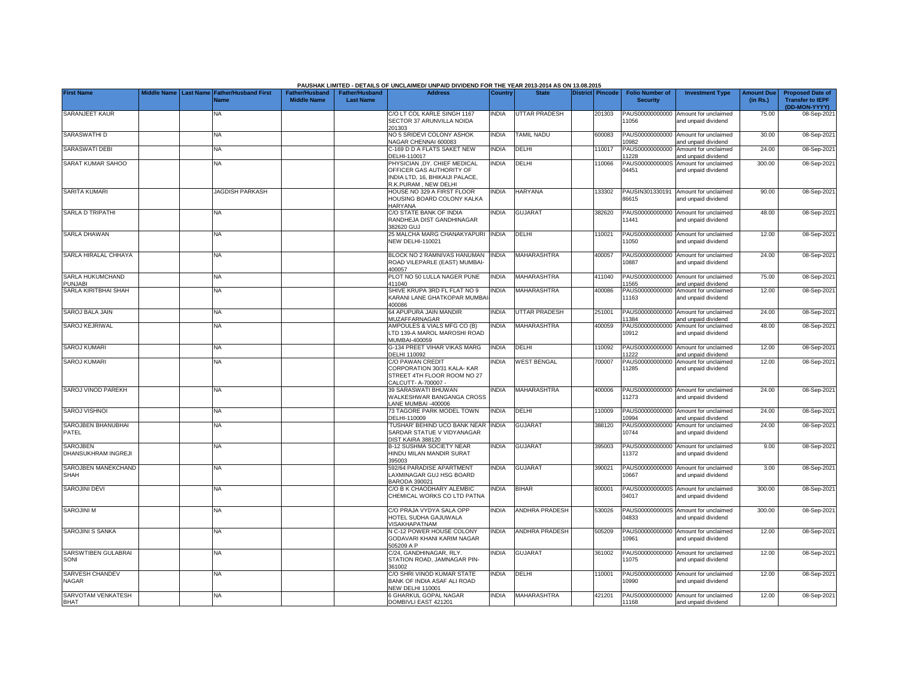|                                        |  |                                                           |                                             |                                           | PAUSHAK LIMITED - DETAILS OF UNCLAIMED/ UNPAID DIVIDEND FOR THE YEAR 2013-2014 AS ON 13.08.2015                     |                |                       |                  |                                           |                                                             |                               |                                                                     |
|----------------------------------------|--|-----------------------------------------------------------|---------------------------------------------|-------------------------------------------|---------------------------------------------------------------------------------------------------------------------|----------------|-----------------------|------------------|-------------------------------------------|-------------------------------------------------------------|-------------------------------|---------------------------------------------------------------------|
| <b>First Name</b>                      |  | Middle Name Last Name Father/Husband First<br><b>Name</b> | <b>Father/Husband</b><br><b>Middle Name</b> | <b>Father/Husband</b><br><b>Last Name</b> | <b>Address</b>                                                                                                      | <b>Country</b> | <b>State</b>          | District Pincode | <b>Folio Number of</b><br><b>Security</b> | <b>Investment Type</b>                                      | <b>Amount Due</b><br>(in Rs.) | <b>Proposed Date of</b><br><b>Transfer to IEPF</b><br>(DD-MON-YYYY) |
| SARANJEET KAUR                         |  | NA                                                        |                                             |                                           | C/O LT COL KARLE SINGH 1167<br>SECTOR 37 ARUNVILLA NOIDA<br>201303                                                  | <b>NDIA</b>    | <b>UTTAR PRADESH</b>  | 201303           | 11056                                     | PAUS00000000000 Amount for unclaimed<br>and unpaid dividend | 75.00                         | 08-Sep-2021                                                         |
| SARASWATHI D                           |  | <b>NA</b>                                                 |                                             |                                           | NO 5 SRIDEVI COLONY ASHOK<br>NAGAR CHENNAI 600083                                                                   | <b>INDIA</b>   | <b>TAMIL NADU</b>     | 600083           | 0982                                      | PAUS00000000000 Amount for unclaimed<br>and unpaid dividend | 30.00                         | 08-Sep-202                                                          |
| SARASWATI DEBI                         |  | <b>NA</b>                                                 |                                             |                                           | C-169 D D A FLATS SAKET NEW<br>DELHI-110017                                                                         | <b>NDIA</b>    | DELHI                 | 110017           | PAUS00000000000<br>1228                   | Amount for unclaimed<br>and unpaid dividend                 | 24.00                         | 08-Sep-202                                                          |
| SARAT KUMAR SAHOO                      |  | <b>NA</b>                                                 |                                             |                                           | PHYSICIAN ,DY. CHIEF MEDICAL<br>OFFICER GAS AUTHORITY OF<br>INDIA LTD, 16, BHIKAIJI PALACE.<br>R.K.PURAM, NEW DELHI | <b>NDIA</b>    | DELHI                 | 10066            | PAUS0000000000S<br>04451                  | Amount for unclaimed<br>and unpaid dividend                 | 300.00                        | 08-Sep-2021                                                         |
| SARITA KUMARI                          |  | <b>JAGDISH PARKASH</b>                                    |                                             |                                           | HOUSE NO 329 A FIRST FLOOR<br>HOUSING BOARD COLONY KALKA<br>HARYANA                                                 | NDIA           | <b>HARYANA</b>        | 133302           | PAUSIN301330191<br>86615                  | Amount for unclaimed<br>and unpaid dividend                 | 90.00                         | 08-Sep-202                                                          |
| SARLA D TRIPATHI                       |  | <b>NA</b>                                                 |                                             |                                           | C/O STATE BANK OF INDIA<br>RANDHEJA DIST GANDHINAGAR<br>882620 GUJ                                                  | <b>NDIA</b>    | <b>GUJARAT</b>        | 382620           | 11441                                     | PAUS00000000000 Amount for unclaimed<br>and unpaid dividend | 48.00                         | 08-Sep-2021                                                         |
| SARLA DHAWAN                           |  | <b>NA</b>                                                 |                                             |                                           | 25 MALCHA MARG CHANAKYAPURI INDIA<br><b>NEW DELHI-110021</b>                                                        |                | <b>DELHI</b>          | 110021           | 11050                                     | PAUS00000000000 Amount for unclaimed<br>and unpaid dividend | 12.00                         | 08-Sep-202                                                          |
| SARLA HIRALAL CHHAYA                   |  | <b>NA</b>                                                 |                                             |                                           | BLOCK NO 2 RAMNIVAS HANUMAN<br>ROAD VILEPARLE (EAST) MUMBAI-<br>100057                                              | <b>INDIA</b>   | <b>MAHARASHTRA</b>    | 400057           | 10887                                     | PAUS00000000000 Amount for unclaimed<br>and unpaid dividend | 24.00                         | 08-Sep-202                                                          |
| SARLA HUKUMCHAND<br><b>PUNJABI</b>     |  | <b>NA</b>                                                 |                                             |                                           | PLOT NO 50 LULLA NAGER PUNE<br>111040                                                                               | <b>NDIA</b>    | <b>MAHARASHTRA</b>    | 411040           | 1565                                      | PAUS00000000000 Amount for unclaimed<br>and unpaid dividend | 75.00                         | 08-Sep-202                                                          |
| SARLA KIRITBHAI SHAH                   |  | ΝA                                                        |                                             |                                           | SHIVE KRUPA 3RD FL FLAT NO 9<br>KARANI LANE GHATKOPAR MUMBA<br>400086                                               | <b>NDIA</b>    | MAHARASHTRA           | 400086           | PAUS00000000000<br>11163                  | Amount for unclaimed<br>and unpaid dividend                 | 12.00                         | 08-Sep-202                                                          |
| <b>SAROJ BALA JAIN</b>                 |  | <b>NA</b>                                                 |                                             |                                           | 64 APUPURA JAIN MANDIR<br><b>MUZAFFARNAGAR</b>                                                                      | <b>NDIA</b>    | UTTAR PRADESH         | 251001           | 11384                                     | PAUS00000000000 Amount for unclaimed<br>and unpaid dividend | 24.00                         | 08-Sep-202                                                          |
| SAROJ KEJRIWAL                         |  | <b>NA</b>                                                 |                                             |                                           | AMPOULES & VIALS MFG CO (B)<br>LTD 139-A MAROL MAROSHI ROAD<br>MUMBAI-400059                                        | <b>INDIA</b>   | MAHARASHTRA           | 400059           | PAUS00000000000<br>10912                  | Amount for unclaimed<br>and unpaid dividend                 | 48.00                         | 08-Sep-202                                                          |
| <b>SAROJ KUMARI</b>                    |  | NA                                                        |                                             |                                           | <b>G-134 PREET VIHAR VIKAS MARG</b><br><b>DELHI 110092</b>                                                          | <b>NDIA</b>    | DELHI                 | 110092           | 1222                                      | PAUS00000000000 Amount for unclaimed<br>and unpaid dividend | 12.00                         | 08-Sep-202                                                          |
| <b>SAROJ KUMARI</b>                    |  | <b>NA</b>                                                 |                                             |                                           | C/O PAWAN CREDIT<br>CORPORATION 30/31 KALA-KAR<br>STREET 4TH FLOOR ROOM NO 27<br>CALCUTT- A-700007                  | NDIA           | <b>WEST BENGAL</b>    | 700007           | PAUS00000000000<br>11285                  | Amount for unclaimed<br>and unpaid dividend                 | 12.00                         | 08-Sep-202                                                          |
| <b>SAROJ VINOD PAREKH</b>              |  | <b>NA</b>                                                 |                                             |                                           | 39 SARASWATI BHUWAN<br>WALKESHWAR BANGANGA CROSS<br>ANE MUMBAI -400006                                              | <b>NDIA</b>    | <b>MAHARASHTRA</b>    | 400006           | 11273                                     | PAUS00000000000 Amount for unclaimed<br>and unpaid dividend | 24.00                         | 08-Sep-202                                                          |
| <b>SAROJ VISHNOI</b>                   |  | <b>NA</b>                                                 |                                             |                                           | 73 TAGORE PARK MODEL TOWN<br>DELHI-110009                                                                           | <b>INDIA</b>   | DELHI                 | 110009           | 0994                                      | PAUS00000000000 Amount for unclaimed<br>and unpaid dividend | 24.00                         | 08-Sep-202                                                          |
| SAROJBEN BHANUBHAI<br>PATEL            |  | <b>NA</b>                                                 |                                             |                                           | TUSHAR' BEHIND UCO BANK NEAR<br>SARDAR STATUE V VIDYANAGAR<br><b>JIST KAIRA 388120</b>                              | <b>INDIA</b>   | <b>GUJARAT</b>        | 388120           | PAUS00000000000<br>10744                  | Amount for unclaimed<br>and unpaid dividend                 | 24.00                         | 08-Sep-202                                                          |
| <b>SAROJBEN</b><br>DHANSUKHRAM INGREJI |  | NA                                                        |                                             |                                           | <b>B-12 SUSHMA SOCIETY NEAR</b><br>HINDU MILAN MANDIR SURAT<br>95003                                                | <b>NDIA</b>    | GUJARAT               | 395003           | 11372                                     | PAUS00000000000 Amount for unclaimed<br>and unpaid dividend | 9.00                          | 08-Sep-202                                                          |
| SAROJBEN MANEKCHAND<br><b>SHAH</b>     |  | NA                                                        |                                             |                                           | 592/64 PARADISE APARTMENT<br>AXMINAGAR GUJ HSG BOARD<br>BARODA 390021                                               | INDIA          | GUJARAT               | 390021           | 10667                                     | PAUS00000000000 Amount for unclaimed<br>and unpaid dividend | 3.00                          | 08-Sep-202                                                          |
| <b>SAROJINI DEVI</b>                   |  | NA                                                        |                                             |                                           | C/O B K CHAODHARY ALEMBIC<br>CHEMICAL WORKS CO LTD PATNA                                                            | <b>NDIA</b>    | <b>BIHAR</b>          | 800001           | PAUS0000000000S<br>04017                  | Amount for unclaimed<br>and unpaid dividend                 | 300.00                        | 08-Sep-202                                                          |
| <b>SAROJINI M</b>                      |  | NA                                                        |                                             |                                           | C/O PRAJA VYDYA SALA OPP<br>HOTEL SUDHA GAJUWALA<br>VISAKHAPATNAM                                                   | <b>INDIA</b>   | <b>ANDHRA PRADESH</b> | 530026           | 04833                                     | PAUS0000000000S Amount for unclaimed<br>and unpaid dividend | 300.00                        | 08-Sep-2021                                                         |
| SAROJINI S SANKA                       |  | <b>NA</b>                                                 |                                             |                                           | N C-12 POWER HOUSE COLONY<br>GODAVARI KHANI KARIM NAGAR<br>505209 A P                                               | <b>NDIA</b>    | <b>ANDHRA PRADESH</b> | 505209           | 10961                                     | PAUS00000000000 Amount for unclaimed<br>and unpaid dividend | 12.00                         | 08-Sep-202                                                          |
| SARSWTIBEN GULABRAI<br>SONI            |  | <b>NA</b>                                                 |                                             |                                           | C/24, GANDHINAGAR, RLY.<br>STATION ROAD, JAMNAGAR PIN-<br>361002                                                    | <b>NDIA</b>    | <b>GUJARAT</b>        | 361002           | 11075                                     | PAUS00000000000 Amount for unclaimed<br>and unpaid dividend | 12.00                         | 08-Sep-2021                                                         |
| SARVESH CHANDEV<br><b>NAGAR</b>        |  | <b>NA</b>                                                 |                                             |                                           | C/O SHRI VINOD KUMAR STATE<br>BANK OF INDIA ASAF ALI ROAD<br><b>NEW DELHI 110001</b>                                | <b>NDIA</b>    | DELHI                 | 110001           | PAUS00000000000<br>10990                  | Amount for unclaimed<br>and unpaid dividend                 | 12.00                         | 08-Sep-202                                                          |
| SARVOTAM VENKATESH<br><b>BHAT</b>      |  | <b>NA</b>                                                 |                                             |                                           | 6 GHARKUL GOPAL NAGAR<br>DOMBIVLI EAST 421201                                                                       | <b>NDIA</b>    | <b>MAHARASHTRA</b>    | 421201           | 11168                                     | PAUS00000000000 Amount for unclaimed<br>and unpaid dividend | 12.00                         | 08-Sep-2021                                                         |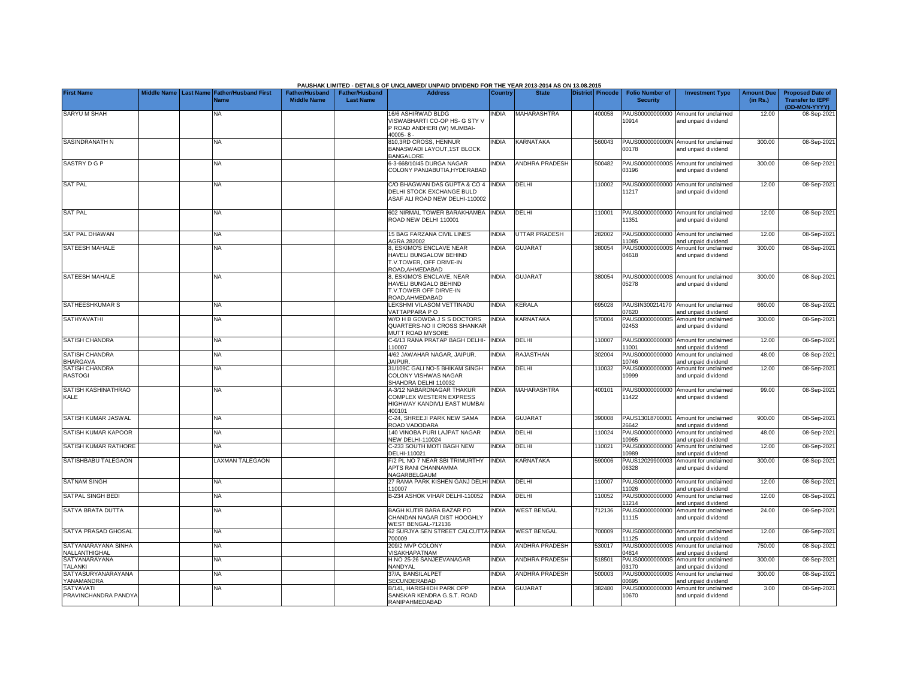|                                      |                    |                                               |                                             |                                           | PAUSHAK LIMITED - DETAILS OF UNCLAIMED/ UNPAID DIVIDEND FOR THE YEAR 2013-2014 AS ON 13.08.2015         |                |                       |                         |                                           |                                                             |                               |                                                                     |
|--------------------------------------|--------------------|-----------------------------------------------|---------------------------------------------|-------------------------------------------|---------------------------------------------------------------------------------------------------------|----------------|-----------------------|-------------------------|-------------------------------------------|-------------------------------------------------------------|-------------------------------|---------------------------------------------------------------------|
| <b>First Name</b>                    | <b>Middle Name</b> | <b>Last Name Father/Husband First</b><br>Name | <b>Father/Husband</b><br><b>Middle Name</b> | <b>Father/Husband</b><br><b>Last Name</b> | <b>Address</b>                                                                                          | <b>Country</b> | <b>State</b>          | <b>District Pincode</b> | <b>Folio Number of</b><br><b>Security</b> | <b>Investment Type</b>                                      | <b>Amount Due</b><br>(in Rs.) | <b>Proposed Date of</b><br><b>Transfer to IEPF</b><br>(DD-MON-YYYY) |
| SARYU M SHAH                         |                    | <b>NA</b>                                     |                                             |                                           | 16/6 ASHIRWAD BLDG<br>VISWABHARTI CO-OP HS- G STY V<br>P ROAD ANDHERI (W) MUMBAI-<br>$10005 - 8 -$      | NDIA           | MAHARASHTRA           | 400058                  | PAUS00000000000<br>10914                  | Amount for unclaimed<br>and unpaid dividend                 | 12.00                         | 08-Sep-202                                                          |
| SASINDRANATH N                       |                    | NA                                            |                                             |                                           | <b>310,3RD CROSS, HENNUR</b><br>BANASWADI LAYOUT,1ST BLOCK<br><b>BANGALORE</b>                          | <b>NDIA</b>    | KARNATAKA             | 560043                  | 00178                                     | PAUS0000000000N Amount for unclaimed<br>and unpaid dividend | 300.00                        | 08-Sep-202                                                          |
| SASTRY D G P                         |                    | <b>NA</b>                                     |                                             |                                           | 5-3-668/10/45 DURGA NAGAR<br>COLONY PANJABUTIA, HYDERABAD                                               | <b>NDIA</b>    | <b>ANDHRA PRADESH</b> | 500482                  | PAUS0000000000S<br>03196                  | Amount for unclaimed<br>and unpaid dividend                 | 300.00                        | 08-Sep-2021                                                         |
| <b>SAT PAL</b>                       |                    | NA                                            |                                             |                                           | C/O BHAGWAN DAS GUPTA & CO 4<br>DELHI STOCK EXCHANGE BULD<br><b>ASAF ALI ROAD NEW DELHI-110002</b>      | <b>INDIA</b>   | DELHI                 | 10002                   | 11217                                     | PAUS00000000000 Amount for unclaimed<br>and unpaid dividend | 12.00                         | 08-Sep-202                                                          |
| <b>SAT PAL</b>                       |                    | <b>NA</b>                                     |                                             |                                           | 602 NIRMAL TOWER BARAKHAMBA<br>ROAD NEW DELHI 110001                                                    | <b>INDIA</b>   | DELHI                 | 110001                  | 11351                                     | PAUS00000000000 Amount for unclaimed<br>and unpaid dividend | 12.00                         | 08-Sep-202                                                          |
| SAT PAL DHAWAN                       |                    | NA                                            |                                             |                                           | <b>15 BAG FARZANA CIVIL LINES</b><br><b>AGRA 282002</b>                                                 | <b>NDIA</b>    | <b>UTTAR PRADESH</b>  | 282002                  | PAUS00000000000<br>1085                   | Amount for unclaimed<br>and unpaid dividend                 | 12.00                         | 08-Sep-202                                                          |
| SATEESH MAHALE                       |                    | NA                                            |                                             |                                           | 3, ESKIMO'S ENCLAVE NEAR<br>HAVELI BUNGALOW BEHIND<br><b>F.V.TOWER, OFF DRIVE-IN</b><br>ROAD, AHMEDABAD | <b>NDIA</b>    | <b>GUJARAT</b>        | 380054                  | PAUS0000000000S<br>04618                  | Amount for unclaimed<br>and unpaid dividend                 | 300.00                        | 08-Sep-202                                                          |
| SATEESH MAHALE                       |                    | NA                                            |                                             |                                           | 3, ESKIMO'S ENCLAVE, NEAR<br>HAVELI BUNGALO BEHIND<br><b>T.V.TOWER OFF DIRVE-IN</b><br>ROAD, AHMEDABAD  | INDIA          | <b>GUJARAT</b>        | 380054                  | 05278                                     | PAUS0000000000S Amount for unclaimed<br>and unpaid dividend | 300.00                        | 08-Sep-202                                                          |
| SATHEESHKUMAR S                      |                    | <b>NA</b>                                     |                                             |                                           | LEKSHMI VILASOM VETTINADU<br>VATTAPPARA P O                                                             | <b>INDIA</b>   | <b>KERALA</b>         | 695028                  | )7620                                     | PAUSIN300214170 Amount for unclaimed<br>and unpaid dividend | 660.00                        | 08-Sep-202                                                          |
| <b>SATHYAVATHI</b>                   |                    | <b>NA</b>                                     |                                             |                                           | W/O H B GOWDA J S S DOCTORS<br>QUARTERS-NO II CROSS SHANKAR<br>MUTT ROAD MYSORE                         | <b>NDIA</b>    | KARNATAKA             | 570004                  | 02453                                     | PAUS0000000000S Amount for unclaimed<br>and unpaid dividend | 300.00                        | 08-Sep-2021                                                         |
| SATISH CHANDRA                       |                    | <b>NA</b>                                     |                                             |                                           | C-6/13 RANA PRATAP BAGH DELHI-<br>110007                                                                | <b>INDIA</b>   | DELHI                 | 110007                  | 1001                                      | PAUS00000000000 Amount for unclaimed<br>and unpaid dividend | 12.00                         | 08-Sep-202                                                          |
| SATISH CHANDRA<br><b>BHARGAVA</b>    |                    | <b>NA</b>                                     |                                             |                                           | 4/62 JAWAHAR NAGAR, JAIPUR.<br><b>JAIPUR.</b>                                                           | <b>INDIA</b>   | RAJASTHAN             | 302004                  | 0746                                      | PAUS00000000000 Amount for unclaimed<br>and unpaid dividend | 48.00                         | 08-Sep-202                                                          |
| SATISH CHANDRA<br><b>RASTOGI</b>     |                    | <b>NA</b>                                     |                                             |                                           | 31/109C GALI NO-5 BHIKAM SINGH<br>COLONY VISHWAS NAGAR<br>SHAHDRA DELHI 110032                          | INDIA          | DELHI                 | 110032                  | 10999                                     | PAUS00000000000 Amount for unclaimed<br>and unpaid dividend | 12.00                         | 08-Sep-202                                                          |
| SATISH KASHINATHRAO<br>KALE          |                    | <b>NA</b>                                     |                                             |                                           | 4-3/12 NABARDNAGAR THAKUR<br>COMPLEX WESTERN EXPRESS<br>HIGHWAY KANDIVLI EAST MUMBAI<br>100101          | <b>INDIA</b>   | <b>MAHARASHTRA</b>    | 400101                  | 11422                                     | PAUS00000000000 Amount for unclaimed<br>and unpaid dividend | 99.00                         | 08-Sep-202                                                          |
| SATISH KUMAR JASWAL                  |                    | <b>NA</b>                                     |                                             |                                           | <b>C-24, SHREEJI PARK NEW SAMA</b><br>ROAD VADODARA                                                     | <b>NDIA</b>    | <b>GUJARAT</b>        | 390008                  | 26642                                     | PAUS13018700001 Amount for unclaimed<br>and unpaid dividend | 900.00                        | 08-Sep-202                                                          |
| SATISH KUMAR KAPOOR                  |                    | <b>NA</b>                                     |                                             |                                           | 140 VINOBA PURI LAJPAT NAGAR<br><b>NEW DELHI-110024</b>                                                 | <b>NDIA</b>    | DELHI                 | 10024                   | PAUS00000000000<br>0965                   | Amount for unclaimed<br>and unpaid dividend                 | 48.00                         | 08-Sep-202                                                          |
| SATISH KUMAR RATHORE                 |                    | <b>NA</b>                                     |                                             |                                           | C-233 SOUTH MOTI BAGH NEW<br>DELHI-110021                                                               | <b>NDIA</b>    | DELHI                 | 110021                  | PAUS00000000000<br>10989                  | Amount for unclaimed<br>and unpaid dividend                 | 12.00                         | 08-Sep-202                                                          |
| SATISHBABU TALEGAON                  |                    | <b>LAXMAN TALEGAON</b>                        |                                             |                                           | -/2 PL NO 7 NEAR SBI TRIMURTHY<br>APTS RANI CHANNAMMA<br>NAGARBELGAUM                                   | <b>NDIA</b>    | KARNATAKA             | 590006                  | PAUS12029900003<br>06328                  | Amount for unclaimed<br>and unpaid dividend                 | 300.00                        | 08-Sep-202                                                          |
| SATNAM SINGH                         |                    | <b>NA</b>                                     |                                             |                                           | 27 RAMA PARK KISHEN GANJ DELHI<br>110007                                                                | <b>INDIA</b>   | DELHI                 | 110007                  | PAUS00000000000<br>1026                   | Amount for unclaimed<br>and unpaid dividend                 | 12.00                         | 08-Sep-202                                                          |
| SATPAL SINGH BEDI                    |                    | <b>NA</b>                                     |                                             |                                           | B-234 ASHOK VIHAR DELHI-110052                                                                          | <b>NDIA</b>    | DELHI                 | 110052                  | PAUS00000000000<br>1214                   | Amount for unclaimed<br>and unpaid dividend                 | 12.00                         | 08-Sep-202                                                          |
| SATYA BRATA DUTTA                    |                    | <b>NA</b>                                     |                                             |                                           | BAGH KUTIR BARA BAZAR PO<br>CHANDAN NAGAR DIST HOOGHLY<br>VEST BENGAL-712136                            | <b>NDIA</b>    | <b>WEST BENGAL</b>    | 712136                  | PAUS00000000000<br>11115                  | Amount for unclaimed<br>and unpaid dividend                 | 24.00                         | 08-Sep-2021                                                         |
| SATYA PRASAD GHOSAL                  |                    | NA                                            |                                             |                                           | 62 SURJYA SEN STREET CALCUTTA-INDIA<br>700009                                                           |                | <b>WEST BENGAL</b>    | 700009                  | 11125                                     | PAUS00000000000 Amount for unclaimed<br>and unpaid dividend | 12.00                         | 08-Sep-202                                                          |
| SATYANARAYANA SINHA<br>NALLANTHIGHAL |                    | <b>NA</b>                                     |                                             |                                           | 209/2 MVP COLONY<br>VISAKHAPATNAM                                                                       | <b>NDIA</b>    | <b>ANDHRA PRADESH</b> | 530017                  | PAUS0000000000S<br>04814                  | Amount for unclaimed<br>and unpaid dividend                 | 750.00                        | 08-Sep-202                                                          |
| SATYANARAYANA<br><b>TALANKI</b>      |                    | <b>NA</b>                                     |                                             |                                           | H NO 25-26 SANJEEVANAGAR<br>NANDYAL                                                                     | <b>NDIA</b>    | <b>ANDHRA PRADESH</b> | 518501                  | 03170                                     | PAUS0000000000S Amount for unclaimed<br>and unpaid dividend | 300.00                        | 08-Sep-202                                                          |
| SATYASURYANARAYANA<br>YANAMANDRA     |                    | <b>NA</b>                                     |                                             |                                           | 37/A, BANSILALPET<br>SECUNDERABAD                                                                       | <b>NDIA</b>    | <b>ANDHRA PRADESH</b> | 500003                  | 0695                                      | PAUS0000000000S Amount for unclaimed<br>and unpaid dividend | 300.00                        | 08-Sep-202                                                          |
| SATYAVATI<br>PRAVINCHANDRA PANDYA    |                    | <b>NA</b>                                     |                                             |                                           | B/141, HARISHIDH PARK OPP<br>SANSKAR KENDRA G.S.T. ROAD<br>RANIPAHMEDABAD                               | <b>INDIA</b>   | <b>GUJARAT</b>        | 382480                  | 10670                                     | PAUS00000000000 Amount for unclaimed<br>and unpaid dividend | 3.00                          | 08-Sep-202                                                          |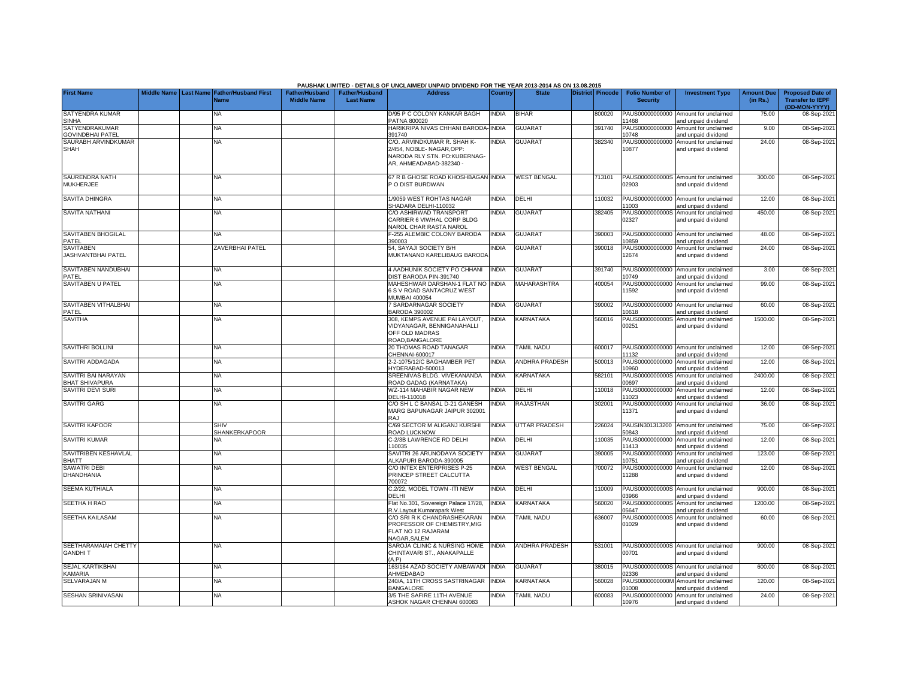|                                              |             |           |                                            |                                      |                                           | PAUSHAK LIMITED - DETAILS OF UNCLAIMED/ UNPAID DIVIDEND FOR THE YEAR 2013-2014 AS ON 13.08.2015                   |              |                       |                  |                                           |                                                             |                               |                                                                     |
|----------------------------------------------|-------------|-----------|--------------------------------------------|--------------------------------------|-------------------------------------------|-------------------------------------------------------------------------------------------------------------------|--------------|-----------------------|------------------|-------------------------------------------|-------------------------------------------------------------|-------------------------------|---------------------------------------------------------------------|
| <b>First Name</b>                            | Middle Name | Last Name | <b>Father/Husband First</b><br><b>Name</b> | Father/Husband<br><b>Middle Name</b> | <b>Father/Husband</b><br><b>Last Name</b> | <b>Address</b>                                                                                                    | Country      | <b>State</b>          | District Pincode | <b>Folio Number of</b><br><b>Security</b> | <b>Investment Type</b>                                      | <b>Amount Due</b><br>(in Rs.) | <b>Proposed Date of</b><br><b>Transfer to IEPF</b><br>(DD-MON-YYYY) |
| SATYENDRA KUMAR<br><b>SINHA</b>              |             |           | <b>NA</b>                                  |                                      |                                           | D/95 P C COLONY KANKAR BAGH<br>PATNA 800020                                                                       | <b>NDIA</b>  | <b>BIHAR</b>          | 800020           | PAUS00000000000<br>1468                   | Amount for unclaimed<br>and unpaid dividend                 | 75.00                         | 08-Sep-202                                                          |
| SATYENDRAKUMAR<br><b>GOVINDBHAI PATEL</b>    |             |           | <b>NA</b>                                  |                                      |                                           | HARIKRIPA NIVAS CHHANI BARODA<br>391740                                                                           | <b>NDIA</b>  | <b>GUJARAT</b>        | 391740           | PAUS00000000000<br>10748                  | Amount for unclaimed<br>and unpaid dividend                 | 9.00                          | 08-Sep-202                                                          |
| SAURABH ARVINDKUMAR<br><b>SHAH</b>           |             |           | NA                                         |                                      |                                           | C/O. ARVINDKUMAR R. SHAH K-<br>2/454, NOBLE-NAGAR, OPP<br>NARODA RLY STN. PO:KUBERNAG-<br>AR, AHMEADABAD-382340 - | INDIA        | <b>GUJARAT</b>        | 382340           | 10877                                     | PAUS00000000000 Amount for unclaimed<br>and unpaid dividend | 24.00                         | 08-Sep-2021                                                         |
| SAURENDRA NATH<br><b>MUKHERJEE</b>           |             |           | <b>NA</b>                                  |                                      |                                           | <b>67 R B GHOSE ROAD KHOSHBAGAN INDIA</b><br>O DIST BURDWAN                                                       |              | <b>WEST BENGAL</b>    | 713101           | 02903                                     | PAUS0000000000S Amount for unclaimed<br>and unpaid dividend | 300.00                        | 08-Sep-202                                                          |
| SAVITA DHINGRA                               |             |           | NA                                         |                                      |                                           | 1/9059 WEST ROHTAS NAGAR<br>HADARA DELHI-110032                                                                   | <b>NDIA</b>  | DELHI                 | 10032            | 1003                                      | PAUS00000000000 Amount for unclaimed<br>and unpaid dividend | 12.00                         | 08-Sep-202                                                          |
| <b>SAVITA NATHANI</b>                        |             |           | <b>NA</b>                                  |                                      |                                           | C/O ASHIRWAD TRANSPORT<br>CARRIER 6 VIWHAL CORP BLDG<br><b>VAROL CHAR RASTA NAROL</b>                             | <b>NDIA</b>  | GUJARAT               | 382405           | PAUS0000000000S<br>02327                  | Amount for unclaimed<br>and unpaid dividend                 | 450.00                        | 08-Sep-202                                                          |
| SAVITABEN BHOGILAL<br>PATEL                  |             |           | <b>NA</b>                                  |                                      |                                           | -255 ALEMBIC COLONY BARODA<br>390003                                                                              | INDIA        | <b>GUJARAT</b>        | 390003           | PAUS00000000000<br>0859                   | Amount for unclaimed<br>and unpaid dividend                 | 48.00                         | 08-Sep-202                                                          |
| <b>SAVITABEN</b><br>JASHVANTBHAI PATEL       |             |           | <b>ZAVERBHAI PATEL</b>                     |                                      |                                           | 54, SAYAJI SOCIETY B/H<br>MUKTANAND KARELIBAUG BARODA                                                             | <b>NDIA</b>  | <b>GUJARAT</b>        | 390018           | PAUS00000000000<br>12674                  | Amount for unclaimed<br>and unpaid dividend                 | 24.00                         | 08-Sep-202                                                          |
| SAVITABEN NANDUBHAI<br>PATEL                 |             |           | <b>NA</b>                                  |                                      |                                           | 4 AADHUNIK SOCIETY PO CHHANI<br>DIST BARODA PIN-391740                                                            | <b>NDIA</b>  | <b>GUJARAT</b>        | 391740           | 10749                                     | PAUS00000000000 Amount for unclaimed<br>and unpaid dividend | 3.00                          | 08-Sep-202                                                          |
| <b>SAVITABEN U PATEL</b>                     |             |           | <b>NA</b>                                  |                                      |                                           | MAHESHWAR DARSHAN-1 FLAT NO<br>6 S V ROAD SANTACRUZ WEST<br><b>MUMBAI 400054</b>                                  | <b>INDIA</b> | MAHARASHTRA           | 400054           | PAUS00000000000<br>11592                  | Amount for unclaimed<br>and unpaid dividend                 | 99.00                         | 08-Sep-202                                                          |
| SAVITABEN VITHALBHAI<br>PATEL                |             |           | <b>NA</b>                                  |                                      |                                           | <b>SARDARNAGAR SOCIETY</b><br><b>BARODA 390002</b>                                                                | <b>INDIA</b> | <b>GUJARAT</b>        | 390002           | PAUS00000000000<br>0618                   | Amount for unclaimed<br>and unpaid dividend                 | 60.00                         | 08-Sep-202                                                          |
| <b>SAVITHA</b>                               |             |           | NA                                         |                                      |                                           | 308, KEMPS AVENUE PAI LAYOUT,<br>VIDYANAGAR, BENNIGANAHALLI<br>OFF OLD MADRAS<br>ROAD, BANGALORE                  | <b>NDIA</b>  | KARNATAKA             | 560016           | PAUS0000000000S<br>00251                  | Amount for unclaimed<br>and unpaid dividend                 | 1500.00                       | 08-Sep-202                                                          |
| <b>SAVITHRI BOLLINI</b>                      |             |           | <b>NA</b>                                  |                                      |                                           | 20 THOMAS ROAD TANAGAR<br>CHENNAI-600017                                                                          | <b>INDIA</b> | <b>TAMIL NADU</b>     | 600017           | 11132                                     | PAUS00000000000 Amount for unclaimed<br>and unpaid dividend | 12.00                         | 08-Sep-202                                                          |
| SAVITRI ADDAGADA                             |             |           | <b>NA</b>                                  |                                      |                                           | 2-2-1075/12/C BAGHAMBER PET<br>HYDERABAD-500013                                                                   | INDIA        | <b>ANDHRA PRADESH</b> | 500013           | PAUS00000000000<br>0960                   | Amount for unclaimed<br>nd unpaid dividend                  | 12.00                         | 08-Sep-202                                                          |
| SAVITRI BAI NARAYAN<br><b>BHAT SHIVAPURA</b> |             |           | NA                                         |                                      |                                           | SREENIVAS BLDG. VIVEKANANDA<br>ROAD GADAG (KARNATAKA)                                                             | <b>INDIA</b> | KARNATAKA             | 582101           | PAUS0000000000S<br>0697                   | Amount for unclaimed<br>nd unpaid dividend                  | 2400.00                       | 08-Sep-202                                                          |
| SAVITRI DEVI SURI                            |             |           | <b>NA</b>                                  |                                      |                                           | WZ-114 MAHABIR NAGAR NEW<br>DELHI-110018                                                                          | <b>INDIA</b> | DELHI                 | 10018            | PAUS00000000000<br>1023                   | Amount for unclaimed<br>and unpaid dividend                 | 12.00                         | 08-Sep-202                                                          |
| <b>SAVITRI GARG</b>                          |             |           | <b>NA</b>                                  |                                      |                                           | C/O SH L C BANSAL D-21 GANESH<br>MARG BAPUNAGAR JAIPUR 302001<br>LAS                                              | <b>NDIA</b>  | RAJASTHAN             | 302001           | PAUS00000000000<br>11371                  | Amount for unclaimed<br>and unpaid dividend                 | 36.00                         | 08-Sep-202                                                          |
| SAVITRI KAPOOR                               |             |           | <b>SHIV</b><br>SHANKERKAPOOR               |                                      |                                           | C/69 SECTOR M ALIGANJ KURSHI<br>ROAD LUCKNOW                                                                      | <b>NDIA</b>  | <b>UTTAR PRADESH</b>  | 226024           | 50843                                     | PAUSIN301313200 Amount for unclaimed<br>and unpaid dividend | 75.00                         | 08-Sep-202                                                          |
| <b>SAVITRI KUMAR</b>                         |             |           | NA                                         |                                      |                                           | C-2/3B LAWRENCE RD DELHI<br>110035                                                                                | <b>INDIA</b> | DELHI                 | 110035           | PAUS00000000000<br>11413                  | Amount for unclaimed<br>and unpaid dividend                 | 12.00                         | 08-Sep-202                                                          |
| SAVITRIBEN KESHAVLAL<br><b>BHATT</b>         |             |           | NA                                         |                                      |                                           | SAVITRI 26 ARUNODAYA SOCIETY<br>ALKAPURI BARODA-390005                                                            | <b>INDIA</b> | <b>GUJARAT</b>        | 390005           | PAUS00000000000<br>0751                   | Amount for unclaimed<br>and unpaid dividend                 | 123.00                        | 08-Sep-202                                                          |
| SAWATRI DEBI<br>DHANDHANIA                   |             |           | <b>NA</b>                                  |                                      |                                           | C/O INTEX ENTERPRISES P-25<br>PRINCEP STREET CALCUTTA<br>700072                                                   | <b>INDIA</b> | <b>WEST BENGAL</b>    | 700072           | 11288                                     | PAUS00000000000 Amount for unclaimed<br>and unpaid dividend | 12.00                         | 08-Sep-2021                                                         |
| <b>SEEMA KUTHIALA</b>                        |             |           | NA                                         |                                      |                                           | C.2/22, MODEL TOWN -ITI NEW<br>DELHI                                                                              | <b>INDIA</b> | DELHI                 | 110009           | 3966                                      | PAUS0000000000S Amount for unclaimed<br>and unpaid dividend | 900.00                        | 08-Sep-202                                                          |
| SEETHA H RAO                                 |             |           | <b>NA</b>                                  |                                      |                                           | Flat No.301, Sovereign Palace 17/28,<br>R.V.Layout Kumarapark West                                                | <b>NDIA</b>  | <b>KARNATAKA</b>      | 560020           | PAUS0000000000S<br>05647                  | Amount for unclaimed<br>and unpaid dividend                 | 1200.00                       | 08-Sep-202                                                          |
| SEETHA KAILASAM                              |             |           | <b>NA</b>                                  |                                      |                                           | C/O SRI R K CHANDRASHEKARAN<br>PROFESSOR OF CHEMISTRY, MIG<br>FLAT NO 12 RAJARAM<br>NAGAR.SALEM                   | <b>NDIA</b>  | <b>TAMIL NADU</b>     | 636007           | PAUS0000000000S<br>01029                  | Amount for unclaimed<br>and unpaid dividend                 | 60.00                         | 08-Sep-2021                                                         |
| SEETHARAMAIAH CHETTY<br><b>GANDHIT</b>       |             |           | NA                                         |                                      |                                           | SAROJA CLINIC & NURSING HOME<br>CHINTAVARI ST., ANAKAPALLE<br>(A.P)                                               | <b>INDIA</b> | ANDHRA PRADESH        | 531001           | 00701                                     | PAUS0000000000S Amount for unclaimed<br>and unpaid dividend | 900.00                        | 08-Sep-2021                                                         |
| SEJAL KARTIKBHAI<br>KAMARIA                  |             |           | <b>NA</b>                                  |                                      |                                           | 163/164 AZAD SOCIETY AMBAWADI INDIA<br>AHMEDABAD                                                                  |              | <b>GUJARAT</b>        | 380015           | )2336                                     | PAUS0000000000S Amount for unclaimed<br>and unpaid dividend | 600.00                        | 08-Sep-2021                                                         |
| SELVARAJAN M                                 |             |           | <b>NA</b>                                  |                                      |                                           | 240/A. 11TH CROSS SASTRINAGAR<br>BANGALORE                                                                        | <b>NDIA</b>  | KARNATAKA             | 560028           | PAUS0000000000M<br>01008                  | Amount for unclaimed<br>and unpaid dividend                 | 120.00                        | 08-Sep-202                                                          |
| <b>SESHAN SRINIVASAN</b>                     |             |           | <b>NA</b>                                  |                                      |                                           | 3/5 THE SAFIRE 11TH AVENUE<br>ASHOK NAGAR CHENNAI 600083                                                          | <b>NDIA</b>  | <b>TAMIL NADU</b>     | 600083           | 10976                                     | PAUS00000000000 Amount for unclaimed<br>and unpaid dividend | 24.00                         | 08-Sep-2021                                                         |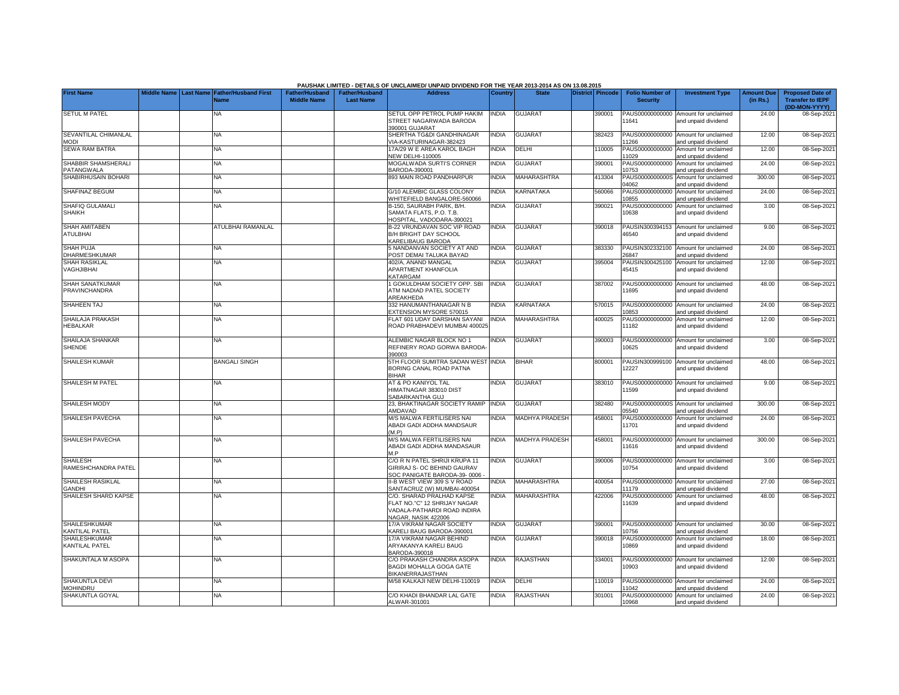|                                               |  |                                                    |                                             |                                           | PAUSHAK LIMITED - DETAILS OF UNCLAIMED/ UNPAID DIVIDEND FOR THE YEAR 2013-2014 AS ON 13.08.2015                 |                |                       |                  |                                           |                                                             |                               |                                                                     |
|-----------------------------------------------|--|----------------------------------------------------|---------------------------------------------|-------------------------------------------|-----------------------------------------------------------------------------------------------------------------|----------------|-----------------------|------------------|-------------------------------------------|-------------------------------------------------------------|-------------------------------|---------------------------------------------------------------------|
| <b>First Name</b>                             |  | Middle Name Last Name Father/Husband First<br>Name | <b>Father/Husband</b><br><b>Middle Name</b> | <b>Father/Husband</b><br><b>Last Name</b> | <b>Address</b>                                                                                                  | <b>Country</b> | <b>State</b>          | District Pincode | <b>Folio Number of</b><br><b>Security</b> | <b>Investment Type</b>                                      | <b>Amount Due</b><br>(in Rs.) | <b>Proposed Date of</b><br><b>Transfer to IEPF</b><br>(DD-MON-YYYY) |
| <b>SETUL M PATEL</b>                          |  | NA                                                 |                                             |                                           | SETUL OPP PETROL PUMP HAKIM<br>STREET NAGARWADA BARODA<br><b>890001 GUJARAT</b>                                 | INDIA          | <b>GUJARAT</b>        | 390001           | PAUS00000000000<br>11641                  | Amount for unclaimed<br>and unpaid dividend                 | 24.00                         | 08-Sep-202                                                          |
| SEVANTILAL CHIMANLAL<br><b>MODI</b>           |  | <b>NA</b>                                          |                                             |                                           | SHERTHA TG&DI GANDHINAGAR<br>IA-KASTURINAGAR-382423                                                             | <b>INDIA</b>   | <b>GUJARAT</b>        | 382423           | PAUS00000000000<br>1266                   | Amount for unclaimed<br>nd unpaid dividend                  | 12.00                         | 08-Sep-202                                                          |
| <b>SEWA RAM BATRA</b>                         |  | <b>NA</b>                                          |                                             |                                           | <b>7A/29 W E AREA KAROL BAGH</b><br><b>JEW DELHI-110005</b>                                                     | <b>INDIA</b>   | DELHI                 | 10005            | PAUS00000000000<br>11029                  | Amount for unclaimed<br>and unpaid dividend                 | 12.00                         | 08-Sep-202                                                          |
| SHABBIR SHAMSHERALI<br>PATANGWALA             |  | <b>NA</b>                                          |                                             |                                           | <b>MOGALWADA SURTI'S CORNER</b><br>3ARODA-390001                                                                | <b>INDIA</b>   | <b>GUJARAT</b>        | 390001           | PAUS00000000000<br>10753                  | Amount for unclaimed<br>and unpaid dividend                 | 24.00                         | 08-Sep-202                                                          |
| SHABIRHUSAIN BOHARI                           |  | NA                                                 |                                             |                                           | 393 MAIN ROAD PANDHARPUR                                                                                        | <b>INDIA</b>   | MAHARASHTRA           | 413304           | PAUS0000000000S<br>4062                   | Amount for unclaimed<br>and unpaid dividend                 | 300.00                        | 08-Sep-202                                                          |
| SHAFINAZ BEGUM                                |  | <b>NA</b>                                          |                                             |                                           | 3/10 ALEMBIC GLASS COLONY<br>VHITEFIELD BANGALORE-560066                                                        | <b>INDIA</b>   | <b>KARNATAKA</b>      | 560066           | PAUS00000000000<br>10855                  | Amount for unclaimed<br>and unpaid dividend                 | 24.00                         | 08-Sep-202                                                          |
| SHAFIQ GULAMALI<br><b>SHAIKH</b>              |  | NA                                                 |                                             |                                           | 3-150, SAURABH PARK, B/H.<br>SAMATA FLATS, P.O. T.B.<br>HOSPITAL, VADODARA-390021                               | <b>NDIA</b>    | <b>GUJARAT</b>        | 390021           | PAUS00000000000<br>10638                  | Amount for unclaimed<br>and unpaid dividend                 | 3.00                          | 08-Sep-202                                                          |
| SHAH AMITABEN<br><b>ATULBHAI</b>              |  | ATULBHAI RAMANLAL                                  |                                             |                                           | B-22 VRUNDAVAN SOC VIP ROAD<br>B/H BRIGHT DAY SCHOOL<br><b>KARELIBAUG BARODA</b>                                | <b>INDIA</b>   | GUJARAT               | 390018           | 46540                                     | PAUSIN300394153 Amount for unclaimed<br>and unpaid dividend | 9.00                          | 08-Sep-202                                                          |
| <b>SHAH PUJA</b><br>DHARMESHKUMAR             |  | <b>NA</b>                                          |                                             |                                           | <b>NANDANVAN SOCIETY AT AND</b><br>POST DEMAI TALUKA BAYAD                                                      | <b>NDIA</b>    | <b>GUJARAT</b>        | 383330           | PAUSIN302332100<br>26847                  | Amount for unclaimed<br>and unpaid dividend                 | 24.00                         | 08-Sep-202                                                          |
| <b>SHAH RASIKLAL</b><br>VAGHJIBHAI            |  | ΝA                                                 |                                             |                                           | 402/A, ANAND MANGAL<br><b>APARTMENT KHANFOLIA</b><br><b>KATARGAM</b>                                            | INDIA          | <b>GUJARAT</b>        | 395004           | PAUSIN300425100<br>45415                  | Amount for unclaimed<br>and unpaid dividend                 | 12.00                         | 08-Sep-202                                                          |
| <b>SHAH SANATKUMAR</b><br>PRAVINCHANDRA       |  | ΝA                                                 |                                             |                                           | GOKULDHAM SOCIETY OPP. SBI<br>ATM NADIAD PATEL SOCIETY<br>AREAKHEDA                                             | INDIA          | <b>GUJARAT</b>        | 387002           | 11695                                     | PAUS00000000000 Amount for unclaimed<br>and unpaid dividend | 48.00                         | 08-Sep-202                                                          |
| SHAHEEN TAJ                                   |  | NA                                                 |                                             |                                           | 332 HANUMANTHANAGAR N B<br>EXTENSION MYSORE 570015                                                              | <b>INDIA</b>   | KARNATAKA             | 570015           | PAUS00000000000<br>10853                  | Amount for unclaimed<br>and unpaid dividend                 | 24.00                         | 08-Sep-202                                                          |
| SHAILAJA PRAKASH<br><b>HEBALKAR</b>           |  | NA                                                 |                                             |                                           | FLAT 601 UDAY DARSHAN SAYANI<br>ROAD PRABHADEVI MUMBAI 400025                                                   | <b>INDIA</b>   | <b>MAHARASHTRA</b>    | 400025           | 11182                                     | PAUS00000000000 Amount for unclaimed<br>and unpaid dividend | 12.00                         | 08-Sep-202                                                          |
| SHAILAJA SHANKAR<br>SHENDE                    |  | ΝA                                                 |                                             |                                           | ALEMBIC NAGAR BLOCK NO 1<br>REFINERY ROAD GORWA BARODA<br>390003                                                | <b>NDIA</b>    | <b>GUJARAT</b>        | 390003           | 10625                                     | PAUS00000000000 Amount for unclaimed<br>and unpaid dividend | 3.00                          | 08-Sep-202                                                          |
| <b>SHAILESH KUMAR</b>                         |  | <b>BANGALI SINGH</b>                               |                                             |                                           | 5TH FLOOR SUMITRA SADAN WEST INDIA<br>BORING CANAL ROAD PATNA<br><b>BIHAR</b>                                   |                | <b>BIHAR</b>          | 800001           | 12227                                     | PAUSIN300999100 Amount for unclaimed<br>and unpaid dividend | 48.00                         | 08-Sep-202                                                          |
| <b>SHAILESH M PATEL</b>                       |  | ΝA                                                 |                                             |                                           | <b>AT &amp; PO KANIYOL TAL</b><br>HIMATNAGAR 383010 DIST<br>SABARKANTHA GUJ                                     | INDIA          | <b>GUJARAT</b>        | 383010           | 11599                                     | PAUS00000000000 Amount for unclaimed<br>and unpaid dividend | 9.00                          | 08-Sep-202                                                          |
| SHAILESH MODY                                 |  | <b>NA</b>                                          |                                             |                                           | 23, BHAKTINAGAR SOCIETY RAMIP<br>AMDAVAD                                                                        | <b>INDIA</b>   | <b>GUJARAT</b>        | 382480           | 05540                                     | PAUS0000000000S Amount for unclaimed<br>and unpaid dividend | 300.00                        | 08-Sep-202                                                          |
| SHAILESH PAVECHA                              |  | ΝA                                                 |                                             |                                           | M/S MALWA FERTILISERS NAI<br>ABADI GADI ADDHA MANDSAUR<br>(M.P)                                                 | <b>INDIA</b>   | <b>MADHYA PRADESH</b> | 458001           | 11701                                     | PAUS00000000000 Amount for unclaimed<br>and unpaid dividend | 24.00                         | 08-Sep-202                                                          |
| <b>SHAILESH PAVECHA</b>                       |  | NA                                                 |                                             |                                           | M/S MALWA FERTILISERS NAI<br>ABADI GADI ADDHA MANDASAUR<br>M.P                                                  | <b>NDIA</b>    | <b>MADHYA PRADESH</b> | 458001           | 11616                                     | PAUS00000000000 Amount for unclaimed<br>and unpaid dividend | 300.00                        | 08-Sep-202                                                          |
| <b>SHAILESH</b><br>RAMESHCHANDRA PATEI        |  | NA                                                 |                                             |                                           | C/O R N PATEL SHRIJI KRUPA 11<br>GIRIRAJ S- OC BEHIND GAURAV<br>SOC PANIGATE BARODA-39-0006                     | <b>NDIA</b>    | <b>GUJARAT</b>        | 390006           | PAUS00000000000<br>10754                  | Amount for unclaimed<br>and unpaid dividend                 | 3.00                          | 08-Sep-202                                                          |
| SHAILESH RASIKLAL<br><b>GANDHI</b>            |  | <b>NA</b>                                          |                                             |                                           | I-B WEST VIEW 309 S V ROAD<br>SANTACRUZ (W) MUMBAI-400054                                                       | <b>NDIA</b>    | <b>MAHARASHTRA</b>    | 400054           | 11179                                     | PAUS00000000000 Amount for unclaimed<br>and unpaid dividend | 27.00                         | 08-Sep-202                                                          |
| SHAILESH SHARD KAPSE                          |  | NA                                                 |                                             |                                           | C/O. SHARAD PRALHAD KAPSE<br>FLAT NO."C" 12 SHRIJAY NAGAR<br>VADALA-PATHARDI ROAD INDIRA<br>NAGAR, NASIK 422006 | <b>NDIA</b>    | MAHARASHTRA           | 422006           | PAUS00000000000<br>11639                  | Amount for unclaimed<br>and unpaid dividend                 | 48.00                         | 08-Sep-2021                                                         |
| <b>SHAILESHKUMAR</b><br><b>KANTILAL PATEL</b> |  | <b>NA</b>                                          |                                             |                                           | 17/A VIKRAM NAGAR SOCIETY<br><b>KARELI BAUG BARODA-390001</b>                                                   | <b>NDIA</b>    | <b>GUJARAT</b>        | 390001           | 10756                                     | PAUS00000000000 Amount for unclaimed<br>and unpaid dividend | 30.00                         | 08-Sep-202                                                          |
| <b>SHAILESHKUMAR</b><br>KANTILAL PATEL        |  | NA                                                 |                                             |                                           | 17/A VIKRAM NAGAR BEHIND<br>ARYAKANYA KARELI BAUG<br>3ARODA-390018                                              | <b>NDIA</b>    | <b>GUJARAT</b>        | 390018           | PAUS00000000000<br>10869                  | Amount for unclaimed<br>and unpaid dividend                 | 18.00                         | 08-Sep-2021                                                         |
| SHAKUNTALA M ASOPA                            |  | NA.                                                |                                             |                                           | C/O PRAKASH CHANDRA ASOPA<br>BAGDI MOHALLA GOGA GATE<br><b>BIKANERRAJASTHAN</b>                                 | <b>NDIA</b>    | RAJASTHAN             | 334001           | PAUS00000000000<br>10903                  | Amount for unclaimed<br>and unpaid dividend                 | 12.00                         | 08-Sep-202                                                          |
| SHAKUNTLA DEVI<br><b>MOHINDRU</b>             |  | <b>NA</b>                                          |                                             |                                           | 0/58 KALKAJI NEW DELHI-110019                                                                                   | <b>NDIA</b>    | DELHI                 | 10019            | PAUS00000000000<br>11042                  | Amount for unclaimed<br>and unpaid dividend                 | 24.00                         | 08-Sep-202                                                          |
| SHAKUNTLA GOYAL                               |  | <b>NA</b>                                          |                                             |                                           | C/O KHADI BHANDAR LAL GATE<br>ALWAR-301001                                                                      | INDIA          | RAJASTHAN             | 301001           | 10968                                     | PAUS00000000000 Amount for unclaimed<br>and unpaid dividend | 24.00                         | 08-Sep-2021                                                         |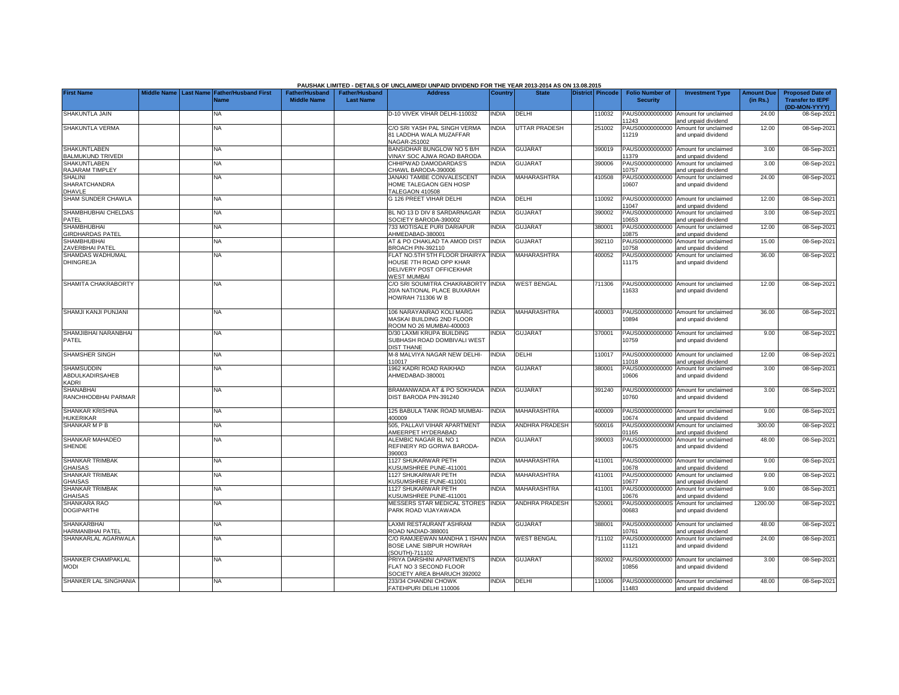|                                                             |  |                                                               |                                             |                                           | PAUSHAK LIMITED - DETAILS OF UNCLAIMED/ UNPAID DIVIDEND FOR THE YEAR 2013-2014 AS ON 13.08.2015                  |              |                       |                         |                                           |                                                             |                               |                                                                     |
|-------------------------------------------------------------|--|---------------------------------------------------------------|---------------------------------------------|-------------------------------------------|------------------------------------------------------------------------------------------------------------------|--------------|-----------------------|-------------------------|-------------------------------------------|-------------------------------------------------------------|-------------------------------|---------------------------------------------------------------------|
| <b>First Name</b>                                           |  | Middle Name   Last Name   Father/Husband First<br><b>Name</b> | <b>Father/Husband</b><br><b>Middle Name</b> | <b>Father/Husband</b><br><b>Last Name</b> | <b>Address</b>                                                                                                   | Country      | <b>State</b>          | <b>District Pincode</b> | <b>Folio Number of</b><br><b>Security</b> | <b>Investment Type</b>                                      | <b>Amount Due</b><br>(in Rs.) | <b>Proposed Date of</b><br><b>Transfer to IEPF</b><br>(DD-MON-YYYY) |
| SHAKUNTLA JAIN                                              |  | <b>NA</b>                                                     |                                             |                                           | D-10 VIVEK VIHAR DELHI-110032                                                                                    | <b>INDIA</b> | DELHI                 | 10032                   | PAUS00000000000<br>11243                  | Amount for unclaimed<br>and unpaid dividend                 | 24.00                         | 08-Sep-202                                                          |
| SHAKUNTLA VERMA                                             |  | <b>NA</b>                                                     |                                             |                                           | C/O SRI YASH PAL SINGH VERMA<br>31 LADDHA WALA MUZAFFAR<br><b>JAGAR-251002</b>                                   | <b>INDIA</b> | <b>UTTAR PRADESH</b>  | 251002                  | PAUS00000000000<br>11219                  | Amount for unclaimed<br>and unpaid dividend                 | 12.00                         | 08-Sep-202                                                          |
| <b>SHAKUNTLABEN</b><br><b>BALMUKUND TRIVEDI</b>             |  | <b>NA</b>                                                     |                                             |                                           | BANSIDHAR BUNGLOW NO 5 B/H<br>VINAY SOC AJWA ROAD BARODA                                                         | <b>INDIA</b> | <b>GUJARAT</b>        | 390019                  | PAUS00000000000<br>11379                  | Amount for unclaimed<br>and unpaid dividend                 | 3.00                          | 08-Sep-202                                                          |
| <b>SHAKUNTLABEN</b><br>RAJARAM TIMPLEY                      |  | ΝA                                                            |                                             |                                           | CHHIPWAD DAMODARDAS'S<br>CHAWL BARODA-390006                                                                     | <b>INDIA</b> | <b>GUJARAT</b>        | 390006                  | PAUS00000000000<br>10757                  | Amount for unclaimed<br>and unpaid dividend                 | 3.00                          | 08-Sep-202                                                          |
| <b>SHALINI</b><br><b>SHARATCHANDRA</b><br><b>DHAVLE</b>     |  | <b>NA</b>                                                     |                                             |                                           | JANAKI TAMBE CONVALESCENT<br>HOME TALEGAON GEN HOSP<br>TALEGAON 410508                                           | INDIA        | <b>MAHARASHTRA</b>    | 410508                  | PAUS00000000000<br>10607                  | Amount for unclaimed<br>and unpaid dividend                 | 24.00                         | 08-Sep-202                                                          |
| SHAM SUNDER CHAWLA                                          |  | NA                                                            |                                             |                                           | <b>3 126 PREET VIHAR DELHI</b>                                                                                   | INDIA        | DELHI                 | 110092                  | 11047                                     | PAUS00000000000 Amount for unclaimed<br>nd unpaid dividend  | 12.00                         | 08-Sep-202                                                          |
| SHAMBHUBHAI CHELDAS<br>PATEL                                |  | <b>NA</b>                                                     |                                             |                                           | <b>BL NO 13 D DIV 8 SARDARNAGAR</b><br>OCIETY BARODA-390002                                                      | <b>INDIA</b> | <b>GUJARAT</b>        | 390002                  | PAUS00000000000<br>10653                  | Amount for unclaimed<br>and unpaid dividend                 | 3.00                          | 08-Sep-202                                                          |
| <b>SHAMBHUBHAI</b><br><b>GIRDHARDAS PATEL</b>               |  | <b>NA</b>                                                     |                                             |                                           | 33 MOTISALE PURI DARIAPUR<br>AHMEDABAD-380001                                                                    | <b>INDIA</b> | <b>GUJARAT</b>        | 380001                  | PAUS00000000000<br>10875                  | Amount for unclaimed<br>and unpaid dividend                 | 12.00                         | 08-Sep-202                                                          |
| <b>SHAMBHUBHAI</b><br>ZAVERBHAI PATEL                       |  | ΝA                                                            |                                             |                                           | AT & PO CHAKLAD TA AMOD DIST<br>BROACH PIN-392110                                                                | <b>INDIA</b> | <b>GUJARAT</b>        | 392110                  | PAUS00000000000<br>10758                  | Amount for unclaimed<br>and unpaid dividend                 | 15.00                         | 08-Sep-202                                                          |
| <b>SHAMDAS WADHUMAL</b><br><b>DHINGREJA</b>                 |  | <b>NA</b>                                                     |                                             |                                           | FLAT NO.5TH 5TH FLOOR DHAIRYA INDIA<br>HOUSE 7TH ROAD OPP KHAR<br>DELIVERY POST OFFICEKHAR<br><b>NEST MUMBAI</b> |              | <b>MAHARASHTRA</b>    | 400052                  | PAUS00000000000<br>11175                  | Amount for unclaimed<br>and unpaid dividend                 | 36.00                         | 08-Sep-202                                                          |
| SHAMITA CHAKRABORTY                                         |  | <b>NA</b>                                                     |                                             |                                           | C/O SRI SOUMITRA CHAKRABORTY INDIA<br>20/A NATIONAL PLACE BUXARAH<br><b>HOWRAH 711306 W B</b>                    |              | <b>WEST BENGAL</b>    | 711306                  | 11633                                     | PAUS00000000000 Amount for unclaimed<br>and unpaid dividend | 12.00                         | 08-Sep-202                                                          |
| SHAMJI KANJI PUNJANI                                        |  | ΝA                                                            |                                             |                                           | 106 NARAYANRAO KOLI MARG<br>MASKAI BUILDING 2ND FLOOR<br>ROOM NO 26 MUMBAI-400003                                | <b>INDIA</b> | MAHARASHTRA           | 400003                  | 10894                                     | PAUS00000000000 Amount for unclaimed<br>and unpaid dividend | 36.00                         | 08-Sep-202                                                          |
| SHAMJIBHAI NARANBHAI<br>PATEL                               |  | NΑ                                                            |                                             |                                           | D/30 LAXMI KRUPA BUILDING<br>SUBHASH ROAD DOMBIVALI WEST<br><b>JIST THANE</b>                                    | <b>NDIA</b>  | <b>GUJARAT</b>        | 370001                  | 10759                                     | PAUS00000000000 Amount for unclaimed<br>and unpaid dividend | 9.00                          | 08-Sep-202                                                          |
| <b>SHAMSHER SINGH</b>                                       |  | <b>NA</b>                                                     |                                             |                                           | 4-8 MALVIYA NAGAR NEW DELHI-<br>110017                                                                           | INDIA        | DELHI                 | 110017                  | 11018                                     | PAUS00000000000 Amount for unclaimed<br>and unpaid dividend | 12.00                         | 08-Sep-202                                                          |
| <b>SHAMSUDDIN</b><br><b>ABDULKADIRSAHEB</b><br><b>KADRI</b> |  | <b>NA</b>                                                     |                                             |                                           | 1962 KADRI ROAD RAIKHAD<br>AHMEDABAD-380001                                                                      | <b>INDIA</b> | <b>GUJARAT</b>        | 380001                  | PAUS00000000000<br>10606                  | Amount for unclaimed<br>and unpaid dividend                 | 3.00                          | 08-Sep-202                                                          |
| <b>SHANABHAI</b><br>RANCHHODBHAI PARMAR                     |  | <b>NA</b>                                                     |                                             |                                           | BRAMANWADA AT & PO SOKHADA<br>DIST BARODA PIN-391240                                                             | <b>INDIA</b> | <b>GUJARAT</b>        | 391240                  | 10760                                     | PAUS00000000000 Amount for unclaimed<br>and unpaid dividend | 3.00                          | 08-Sep-202                                                          |
| <b>SHANKAR KRISHNA</b><br><b>HUKERIKAR</b>                  |  | <b>NA</b>                                                     |                                             |                                           | 125 BABULA TANK ROAD MUMBAI-<br>100009                                                                           | <b>INDIA</b> | MAHARASHTRA           | 400009                  | 10674                                     | PAUS00000000000 Amount for unclaimed<br>and unpaid dividend | 9.00                          | 08-Sep-202                                                          |
| SHANKAR M P B                                               |  | <b>NA</b>                                                     |                                             |                                           | 505, PALLAVI VIHAR APARTMENT<br><b>AMEERPET HYDERABAD</b>                                                        | <b>INDIA</b> | <b>ANDHRA PRADESH</b> | 500016                  | 01165                                     | PAUS0000000000M Amount for unclaimed<br>and unpaid dividend | 300.00                        | 08-Sep-202                                                          |
| SHANKAR MAHADEO<br>SHENDE                                   |  | NA                                                            |                                             |                                           | ALEMBIC NAGAR BL NO 1<br>REFINERY RD GORWA BARODA-<br>390003                                                     | <b>INDIA</b> | <b>GUJARAT</b>        | 390003                  | 10675                                     | PAUS00000000000 Amount for unclaimed<br>and unpaid dividend | 48.00                         | 08-Sep-202                                                          |
| SHANKAR TRIMBAK<br><b>GHAISAS</b>                           |  | NA                                                            |                                             |                                           | 1127 SHUKARWAR PETH<br><b>KUSUMSHREE PUNE-411001</b>                                                             | <b>INDIA</b> | MAHARASHTRA           | 411001                  | 10678                                     | PAUS00000000000 Amount for unclaimed<br>and unpaid dividend | 9.00                          | 08-Sep-202                                                          |
| SHANKAR TRIMBAK<br><b>GHAISAS</b>                           |  | NA                                                            |                                             |                                           | 1127 SHUKARWAR PETH<br><b>KUSUMSHREE PUNE-411001</b>                                                             | <b>INDIA</b> | MAHARASHTRA           | 411001                  | PAUS00000000000<br>10677                  | Amount for unclaimed<br>and unpaid dividend                 | 9.00                          | 08-Sep-202                                                          |
| <b>SHANKAR TRIMBAK</b><br><b>GHAISAS</b>                    |  | <b>NA</b>                                                     |                                             |                                           | 1127 SHUKARWAR PETH<br><b>KUSUMSHREE PUNE-411001</b>                                                             | <b>INDIA</b> | <b>MAHARASHTRA</b>    | 411001                  | PAUS00000000000<br>10676                  | Amount for unclaimed<br>and unpaid dividend                 | 9.00                          | 08-Sep-202                                                          |
| SHANKARA RAO<br><b>DOGIPARTHI</b>                           |  | <b>NA</b>                                                     |                                             |                                           | <b>MESSERS STAR MEDICAL STORES</b><br>PARK ROAD VIJAYAWADA                                                       | <b>INDIA</b> | <b>ANDHRA PRADESH</b> | 520001                  | PAUS0000000000S<br>00683                  | Amount for unclaimed<br>and unpaid dividend                 | 1200.00                       | 08-Sep-202                                                          |
| <b>SHANKARBHAI</b><br>HARMANBHAI PATEL                      |  | NA                                                            |                                             |                                           | LAXMI RESTAURANT ASHRAM<br>ROAD NADIAD-388001                                                                    | <b>INDIA</b> | <b>GUJARAT</b>        | 388001                  | 10761                                     | PAUS00000000000 Amount for unclaimed<br>nd unpaid dividend  | 48.00                         | 08-Sep-202                                                          |
| SHANKARLAL AGARWALA                                         |  | <b>NA</b>                                                     |                                             |                                           | CO RAMJEEWAN MANDHA 1 ISHAN INDIA<br>BOSE LANE SIBPUR HOWRAH<br>SOUTH)-711102                                    |              | <b>WEST BENGAL</b>    | 711102                  | PAUS00000000000<br>11121                  | Amount for unclaimed<br>and unpaid dividend                 | 24.00                         | 08-Sep-202                                                          |
| SHANKER CHAMPAKLAL<br><b>MODI</b>                           |  | ΝA                                                            |                                             |                                           | PRIYA DARSHINI APARTMENTS<br>FLAT NO 3 SECOND FLOOR<br>SOCIETY AREA BHARUCH 392002                               | INDIA        | <b>GUJARAT</b>        | 392002                  | 0856                                      | PAUS00000000000 Amount for unclaimed<br>and unpaid dividend | 3.00                          | 08-Sep-202                                                          |
| SHANKER LAL SINGHANIA                                       |  | <b>NA</b>                                                     |                                             |                                           | 233/34 CHANDNI CHOWK<br>FATEHPURI DELHI 110006                                                                   | <b>INDIA</b> | DELHI                 | 10006                   | 11483                                     | PAUS00000000000 Amount for unclaimed<br>and unpaid dividend | 48.00                         | 08-Sep-2021                                                         |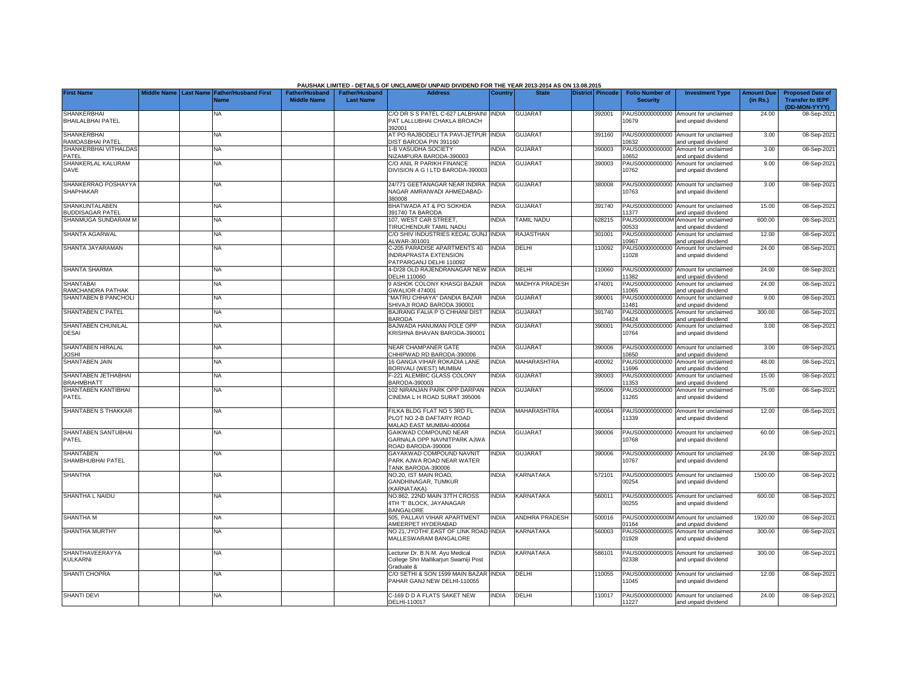|                                                |  |                                                    |                                             |                                           | PAUSHAK LIMITED - DETAILS OF UNCLAIMED/ UNPAID DIVIDEND FOR THE YEAR 2013-2014 AS ON 13.08.2015 |                |                       |                  |                                           |                                                             |                               |                                                                     |
|------------------------------------------------|--|----------------------------------------------------|---------------------------------------------|-------------------------------------------|-------------------------------------------------------------------------------------------------|----------------|-----------------------|------------------|-------------------------------------------|-------------------------------------------------------------|-------------------------------|---------------------------------------------------------------------|
| <b>First Name</b>                              |  | Middle Name Last Name Father/Husband First<br>Name | <b>Father/Husband</b><br><b>Middle Name</b> | <b>Father/Husband</b><br><b>Last Name</b> | <b>Address</b>                                                                                  | <b>Country</b> | <b>State</b>          | District Pincode | <b>Folio Number of</b><br><b>Security</b> | <b>Investment Type</b>                                      | <b>Amount Due</b><br>(in Rs.) | <b>Proposed Date of</b><br><b>Transfer to IEPF</b><br>(DD-MON-YYYY) |
| <b>SHANKERBHAI</b><br><b>BHAILALBHAI PATEL</b> |  | NA                                                 |                                             |                                           | C/O DR S S PATEL C-627 LALBHAINI<br>PAT LALLUBHAI CHAKLA BROACH<br>102001                       | <b>INDIA</b>   | <b>GUJARAT</b>        | 392001           | PAUS00000000000<br>10679                  | Amount for unclaimed<br>and unpaid dividend                 | 24.00                         | 08-Sep-202                                                          |
| <b>SHANKERBHAI</b><br><b>RAMDASBHAI PATEL</b>  |  | <b>NA</b>                                          |                                             |                                           | AT PO RAJBODELI TA PAVI-JETPUR<br>IST BARODA PIN 391160                                         | <b>INDIA</b>   | <b>GUJARAT</b>        | 391160           | PAUS00000000000<br>0632                   | Amount for unclaimed<br>nd unpaid dividend                  | 3.00                          | 08-Sep-202                                                          |
| SHANKERBHAI VITHALDAS<br>PATEL                 |  | <b>NA</b>                                          |                                             |                                           | -B VASUDHA SOCIETY<br><b>IZAMPURA BARODA-390003</b>                                             | <b>INDIA</b>   | <b>GUJARAT</b>        | 390003           | PAUS00000000000<br>10652                  | Amount for unclaimed<br>and unpaid dividend                 | 3.00                          | 08-Sep-202                                                          |
| SHANKERLAL KALURAM<br><b>DAVE</b>              |  | NA                                                 |                                             |                                           | C/O ANIL R PARIKH FINANCE<br>DIVISION A G I LTD BARODA-390003                                   | <b>NDIA</b>    | <b>GUJARAT</b>        | 390003           | PAUS00000000000<br>10762                  | Amount for unclaimed<br>and unpaid dividend                 | 9.00                          | 08-Sep-2021                                                         |
| SHANKERRAO POSHAYYA<br><b>SHAPHAKAR</b>        |  | NA                                                 |                                             |                                           | 24/771 GEETANAGAR NEAR INDIRA<br>NAGAR AMRAIWADI AHMEDABAD-<br>380008                           | <b>NDIA</b>    | <b>GUJARAT</b>        | 380008           | PAUS00000000000<br>10763                  | Amount for unclaimed<br>and unpaid dividend                 | 3.00                          | 08-Sep-202                                                          |
| SHANKUNTALABEN<br><b>BUDDISAGAR PATEL</b>      |  | ΝA                                                 |                                             |                                           | BHATWADA AT & PO SOKHDA<br>391740 TA BARODA                                                     | <b>INDIA</b>   | <b>GUJARAT</b>        | 391740           | PAUS00000000000<br>1377                   | Amount for unclaimed<br>and unpaid dividend                 | 15.00                         | 08-Sep-202                                                          |
| SHANMUGA SUNDARAM M                            |  | NΑ                                                 |                                             |                                           | 107, WEST CAR STREET<br><b><i>TIRUCHENDUR TAMIL NADU</i></b>                                    | <b>NDIA</b>    | <b>TAMIL NADU</b>     | 628215           | PAUS0000000000M<br>0533                   | Amount for unclaimed<br>and unpaid dividend                 | 600.00                        | 08-Sep-202                                                          |
| <b>SHANTA AGARWAL</b>                          |  | ΝA                                                 |                                             |                                           | C/O SHIV INDUSTRIES KEDAL GUNJ<br>ALWAR-301001                                                  | <b>INDIA</b>   | RAJASTHAN             | 301001           | PAUS00000000000<br>10967                  | Amount for unclaimed<br>and unpaid dividend                 | 12.00                         | 08-Sep-202                                                          |
| SHANTA JAYARAMAN                               |  | NA                                                 |                                             |                                           | C-205 PARADISE APARTMENTS 40<br>NDRAPRASTA EXTENSION<br>PATPARGANJ DELHI 110092                 | <b>INDIA</b>   | DELHI                 | 10092            | PAUS00000000000<br>11028                  | Amount for unclaimed<br>and unpaid dividend                 | 24.00                         | 08-Sep-202                                                          |
| <b>SHANTA SHARMA</b>                           |  | NA                                                 |                                             |                                           | 1-D/28 OLD RAJENDRANAGAR NEW<br>DELHI 110060                                                    | <b>INDIA</b>   | DELHI                 | 10060            | PAUS00000000000<br>1382                   | Amount for unclaimed<br>and unpaid dividend                 | 24.00                         | 08-Sep-202                                                          |
| <b>SHANTABAI</b><br>RAMCHANDRA PATHAK          |  | ΝA                                                 |                                             |                                           | <b>ASHOK COLONY KHASGI BAZAR</b><br>3WALIOR 474001                                              | <b>INDIA</b>   | <b>MADHYA PRADESH</b> | 474001           | PAUS00000000000<br>11065                  | Amount for unclaimed<br>and unpaid dividend                 | 24.00                         | 08-Sep-202                                                          |
| SHANTABEN B PANCHOL                            |  | ΝA                                                 |                                             |                                           | 'MATRU CHHAYA" DANDIA BAZAR<br>SHIVAJI ROAD BARODA 390001                                       | <b>INDIA</b>   | <b>GUJARAT</b>        | 390001           | PAUS00000000000<br>1481                   | Amount for unclaimed<br>and unpaid dividend                 | 9.00                          | 08-Sep-202                                                          |
| SHANTABEN C PATEL                              |  | ΝA                                                 |                                             |                                           | BAJRANG FALIA P O CHHANI DIST<br><b>BARODA</b>                                                  | <b>INDIA</b>   | <b>GUJARAT</b>        | 391740           | PAUS0000000000S<br>14424                  | Amount for unclaimed<br>and unpaid dividend                 | 300.00                        | 08-Sep-202                                                          |
| SHANTABEN CHUNILAL<br>DESAI                    |  | NA                                                 |                                             |                                           | BAJWADA HANUMAN POLE OPP<br>KRISHNA BHAVAN BARODA-390001                                        | INDIA          | <b>GUJARAT</b>        | 390001           | PAUS00000000000<br>10764                  | Amount for unclaimed<br>and unpaid dividend                 | 3.00                          | 08-Sep-202                                                          |
| SHANTABEN HIRALAL<br><b>JOSHI</b>              |  | ΝA                                                 |                                             |                                           | NEAR CHAMPANER GATE<br>CHHIPWAD RD BARODA-390006                                                | <b>INDIA</b>   | <b>GUJARAT</b>        | 390006           | 10650                                     | PAUS00000000000 Amount for unclaimed<br>and unpaid dividend | 3.00                          | 08-Sep-202                                                          |
| <b>SHANTABEN JAIN</b>                          |  | ΝA                                                 |                                             |                                           | 16 GANGA VIHAR ROKADIA LANE<br><b>BORIVALI (WEST) MUMBAI</b>                                    | <b>INDIA</b>   | MAHARASHTRA           | 400092           | PAUS00000000000<br>1696                   | Amount for unclaimed<br>and unpaid dividend                 | 48.00                         | 08-Sep-202                                                          |
| SHANTABEN JETHABHAI<br><b>BRAHMBHATT</b>       |  | NA                                                 |                                             |                                           | -221 ALEMBIC GLASS COLONY<br>BARODA-390003                                                      | <b>INDIA</b>   | <b>GUJARAT</b>        | 390003           | PAUS00000000000<br>1353                   | Amount for unclaimed<br>and unpaid dividend                 | 15.00                         | 08-Sep-202                                                          |
| SHANTABEN KANTIBHAI<br>PATEL                   |  | NA                                                 |                                             |                                           | 102 NIRANJAN PARK OPP DARPAN<br>CINEMA L H ROAD SURAT 395006                                    | <b>INDIA</b>   | <b>GUJARAT</b>        | 395006           | PAUS00000000000<br>11265                  | Amount for unclaimed<br>and unpaid dividend                 | 75.00                         | 08-Sep-202                                                          |
| SHANTABEN S THAKKAR                            |  | ΝA                                                 |                                             |                                           | FILKA BLDG FLAT NO 5 3RD FL<br>PLOT NO 2-B DAFTARY ROAD<br><b>MALAD EAST MUMBAI-400064</b>      | <b>INDIA</b>   | MAHARASHTRA           | 400064           | 11339                                     | PAUS00000000000 Amount for unclaimed<br>and unpaid dividend | 12.00                         | 08-Sep-202                                                          |
| SHANTABEN SANTUBHAI<br>PATEL                   |  | <b>NA</b>                                          |                                             |                                           | <b>GAIKWAD COMPOUND NEAR</b><br>GARNALA OPP NAVNITPARK AJWA<br>ROAD BARODA-390006               | <b>NDIA</b>    | <b>GUJARAT</b>        | 390006           | PAUS00000000000<br>10768                  | Amount for unclaimed<br>and unpaid dividend                 | 60.00                         | 08-Sep-202                                                          |
| <b>SHANTABEN</b><br>SHAMBHUBHAI PATEL          |  | NA                                                 |                                             |                                           | <b>GAYAKWAD COMPOUND NAVNIT</b><br>PARK AJWA ROAD NEAR WATER<br>TANK BARODA-390006              | <b>NDIA</b>    | <b>GUJARAT</b>        | 390006           | 10767                                     | PAUS00000000000 Amount for unclaimed<br>and unpaid dividend | 24.00                         | 08-Sep-202                                                          |
| <b>SHANTHA</b>                                 |  | <b>NA</b>                                          |                                             |                                           | NO.20, IST MAIN ROAD,<br>GANDHINAGAR, TUMKUR<br>KARNATAKA)                                      | <b>NDIA</b>    | <b>KARNATAKA</b>      | 572101           | PAUS0000000000S<br>00254                  | Amount for unclaimed<br>and unpaid dividend                 | 1500.00                       | 08-Sep-202                                                          |
| SHANTHA L NAIDU                                |  | <b>NA</b>                                          |                                             |                                           | NO.862, 22ND MAIN 37TH CROSS<br>4TH 'T' BLOCK, JAYANAGAR<br><b>BANGALORE</b>                    | <b>NDIA</b>    | <b>KARNATAKA</b>      | 560011           | PAUS0000000000S<br>00255                  | Amount for unclaimed<br>and unpaid dividend                 | 600.00                        | 08-Sep-202                                                          |
| SHANTHA M                                      |  | NA                                                 |                                             |                                           | 505, PALLAVI VIHAR APARTMENT<br>AMEERPET HYDERABAD                                              | INDIA          | ANDHRA PRADESH        | 500016           | 01164                                     | PAUS0000000000M Amount for unclaimed<br>and unpaid dividend | 1920.00                       | 08-Sep-202                                                          |
| SHANTHA MURTHY                                 |  | NA                                                 |                                             |                                           | NO 21, JYOTHI', EAST OF LINK ROAD INDIA<br>MALLESWARAM BANGALORE                                |                | KARNATAKA             | 560003           | PAUS0000000000S<br>01928                  | Amount for unclaimed<br>and unpaid dividend                 | 300.00                        | 08-Sep-202                                                          |
| SHANTHAVEERAYYA<br><b>KULKARNI</b>             |  | NΑ                                                 |                                             |                                           | ecturer Dr. B.N.M. Ayu Medical<br>College Shri Mallikarjun Swamiji Post<br>Graduate &           | <b>NDIA</b>    | KARNATAKA             | 586101           | 02338                                     | PAUS0000000000S Amount for unclaimed<br>and unpaid dividend | 300.00                        | 08-Sep-202                                                          |
| <b>SHANTI CHOPRA</b>                           |  | <b>NA</b>                                          |                                             |                                           | O SETHI & SON 1599 MAIN BAZAR INDIA<br>PAHAR GANJ NEW DELHI-110055                              |                | DELHI                 | 10055            | 11045                                     | PAUS00000000000 Amount for unclaimed<br>and unpaid dividend | 12.00                         | 08-Sep-202                                                          |
| <b>SHANTI DEVI</b>                             |  | <b>NA</b>                                          |                                             |                                           | -169 D D A FLATS SAKET NEW<br>DELHI-110017                                                      | INDIA          | DELHI                 | 10017            | 11227                                     | PAUS00000000000 Amount for unclaimed<br>and unpaid dividend | 24.00                         | 08-Sep-2021                                                         |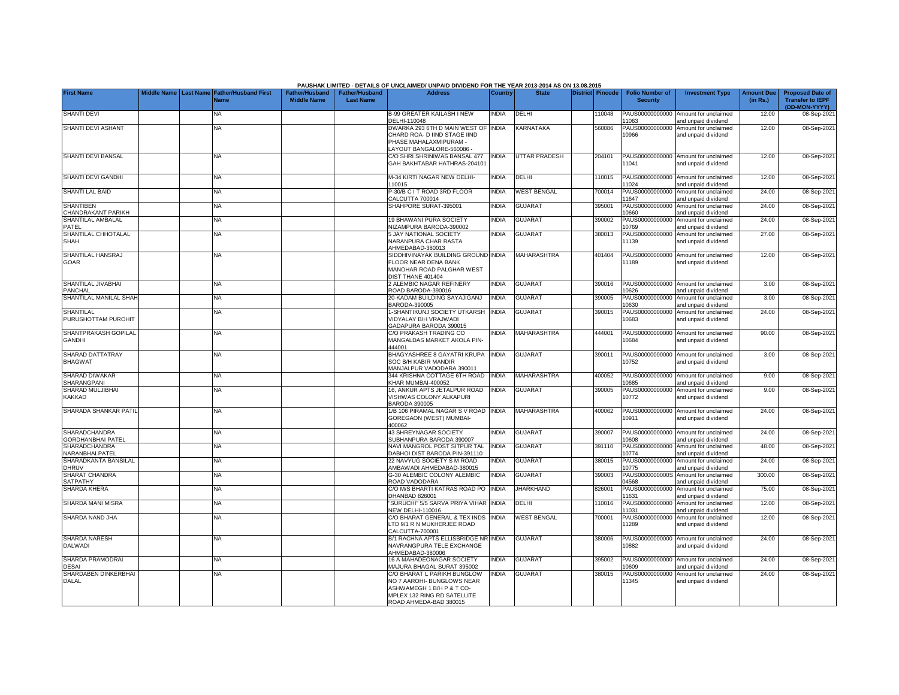|                                           |             |           |                                            |                                             |                                           | PAUSHAK LIMITED - DETAILS OF UNCLAIMED/ UNPAID DIVIDEND FOR THE YEAR 2013-2014 AS ON 13.08.2015                                                 |              |                      |                  |                                           |                                                             |                               |                                                                     |
|-------------------------------------------|-------------|-----------|--------------------------------------------|---------------------------------------------|-------------------------------------------|-------------------------------------------------------------------------------------------------------------------------------------------------|--------------|----------------------|------------------|-------------------------------------------|-------------------------------------------------------------|-------------------------------|---------------------------------------------------------------------|
| <b>First Name</b>                         | Middle Name | Last Name | <b>Father/Husband First</b><br><b>Name</b> | <b>Father/Husband</b><br><b>Middle Name</b> | <b>Father/Husband</b><br><b>Last Name</b> | <b>Address</b>                                                                                                                                  | Country      | <b>State</b>         | District Pincode | <b>Folio Number of</b><br><b>Security</b> | <b>Investment Type</b>                                      | <b>Amount Due</b><br>(in Rs.) | <b>Proposed Date of</b><br><b>Transfer to IEPF</b><br>(DD-MON-YYYY) |
| <b>SHANTI DEVI</b>                        |             |           | <b>NA</b>                                  |                                             |                                           | <b>B-99 GREATER KAILASH I NEW</b><br>DELHI-110048                                                                                               | <b>INDIA</b> | DELHI                | 10048            | PAUS00000000000<br>1063                   | Amount for unclaimed<br>and unpaid dividend                 | 12.00                         | 08-Sep-2021                                                         |
| SHANTI DEVI ASHANT                        |             |           | NA                                         |                                             |                                           | DWARKA 293 6TH D MAIN WEST OF INDIA<br>CHARD ROA- D IIND STAGE IIND<br>PHASE MAHALAXMIPURAM -<br>-AYOUT BANGALORE-560086.                       |              | KARNATAKA            | 560086           | PAUS00000000000<br>10966                  | Amount for unclaimed<br>and unpaid dividend                 | 12.00                         | 08-Sep-2021                                                         |
| SHANTI DEVI BANSAL                        |             |           | <b>NA</b>                                  |                                             |                                           | C/O SHRI SHRINIWAS BANSAL 477<br>GAH BAKHTABAR HATHRAS-20410'                                                                                   | <b>INDIA</b> | <b>UTTAR PRADESH</b> | 204101           | 1041                                      | PAUS00000000000 Amount for unclaimed<br>and unpaid dividend | 12.00                         | 08-Sep-2021                                                         |
| SHANTI DEVI GANDHI                        |             |           | <b>NA</b>                                  |                                             |                                           | M-34 KIRTI NAGAR NEW DELHI-<br>110015                                                                                                           | <b>INDIA</b> | DELHI                | 110015           | 1024                                      | PAUS00000000000 Amount for unclaimed<br>and unpaid dividend | 12.00                         | 08-Sep-2021                                                         |
| SHANTI LAL BAID                           |             |           | NA                                         |                                             |                                           | P-30/B C I T ROAD 3RD FLOOR<br>CALCUTTA 700014                                                                                                  | <b>INDIA</b> | <b>WEST BENGAL</b>   | 700014           | PAUS00000000000<br>1647                   | Amount for unclaimed<br>and unpaid dividend                 | 24.00                         | 08-Sep-2021                                                         |
| <b>SHANTIBEN</b><br>CHANDRAKANT PARIKH    |             |           | ΝA                                         |                                             |                                           | SHAHPORE SURAT-395001                                                                                                                           | <b>INDIA</b> | <b>GUJARAT</b>       | 395001           | PAUS00000000000<br>0660                   | Amount for unclaimed<br>and unpaid dividend                 | 24.00                         | 08-Sep-2021                                                         |
| SHANTILAL AMBALAL<br>PATEL                |             |           | NΑ                                         |                                             |                                           | 19 BHAWANI PURA SOCIETY<br>NIZAMPURA BARODA-390002                                                                                              | <b>INDIA</b> | <b>GUJARAT</b>       | 390002           | PAUS00000000000<br>10769                  | Amount for unclaimed<br>and unpaid dividend                 | 24.00                         | 08-Sep-2021                                                         |
| SHANTILAL CHHOTALAL<br><b>SHAH</b>        |             |           | ΝA                                         |                                             |                                           | 5 JAY NATIONAL SOCIETY<br>NARANPURA CHAR RASTA<br>AHMEDABAD-380013                                                                              | <b>INDIA</b> | <b>GUJARAT</b>       | 380013           | PAUS00000000000<br>11139                  | Amount for unclaimed<br>and unpaid dividend                 | 27.00                         | 08-Sep-2021                                                         |
| SHANTILAL HANSRAJ<br><b>GOAR</b>          |             |           | NA                                         |                                             |                                           | SIDDHIVINAYAK BUILDING GROUND INDIA<br><b>FLOOR NEAR DENA BANK</b><br>MANOHAR ROAD PALGHAR WEST<br>DIST THANE 401404                            |              | <b>MAHARASHTRA</b>   | 401404           | 11189                                     | PAUS00000000000 Amount for unclaimed<br>and unpaid dividend | 12.00                         | 08-Sep-2021                                                         |
| SHANTILAL JIVABHAI<br>PANCHAL             |             |           | <b>NA</b>                                  |                                             |                                           | 2 ALEMBIC NAGAR REFINERY<br>ROAD BARODA-390016                                                                                                  | <b>INDIA</b> | <b>GUJARAT</b>       | 390016           | PAUS00000000000<br>0626                   | Amount for unclaimed<br>and unpaid dividend                 | 3.00                          | 08-Sep-2021                                                         |
| SHANTILAL MANILAL SHAH                    |             |           | NA                                         |                                             |                                           | 20-KADAM BUILDING SAYAJIGANJ<br>BARODA-390005                                                                                                   | <b>INDIA</b> | <b>GUJARAT</b>       | 390005           | PAUS00000000000<br>0630                   | Amount for unclaimed<br>and unpaid dividend                 | 3.00                          | 08-Sep-2021                                                         |
| <b>SHANTILAL</b><br>PURUSHOTTAM PUROHIT   |             |           | NA                                         |                                             |                                           | 1-SHANTIKUNJ SOCIETY UTKARSH<br>VIDYALAY B/H VRAJWADI<br>GADAPURA BARODA 390015                                                                 | <b>INDIA</b> | <b>GUJARAT</b>       | 390015           | PAUS00000000000<br>0683                   | Amount for unclaimed<br>and unpaid dividend                 | 24.00                         | 08-Sep-2021                                                         |
| SHANTPRAKASH GOPILAL<br>GANDHI            |             |           | <b>NA</b>                                  |                                             |                                           | C/O PRAKASH TRADING CO<br>MANGALDAS MARKET AKOLA PIN-<br>444001                                                                                 | <b>INDIA</b> | <b>MAHARASHTRA</b>   | 444001           | PAUS00000000000<br>0684                   | Amount for unclaimed<br>and unpaid dividend                 | 90.00                         | 08-Sep-2021                                                         |
| SHARAD DATTATRAY<br><b>BHAGWAT</b>        |             |           | NA                                         |                                             |                                           | BHAGYASHREE 8 GAYATRI KRUPA<br>SOC B/H KABIR MANDIR<br>MANJALPUR VADODARA 390011                                                                | <b>INDIA</b> | <b>GUJARAT</b>       | 390011           | 10752                                     | PAUS00000000000 Amount for unclaimed<br>and unpaid dividend | 3.00                          | 08-Sep-2021                                                         |
| SHARAD DIWAKAR<br>SHARANGPANI             |             |           | <b>NA</b>                                  |                                             |                                           | 344 KRISHNA COTTAGE 6TH ROAD<br><b>CHAR MUMBAI-400052</b>                                                                                       | <b>INDIA</b> | <b>MAHARASHTRA</b>   | 400052           | 0685                                      | PAUS00000000000 Amount for unclaimed<br>nd unpaid dividend  | 9.00                          | 08-Sep-2021                                                         |
| SHARAD MULJIBHAI<br>KAKKAD                |             |           | NA                                         |                                             |                                           | 16. ANKUR APTS JETALPUR ROAD<br>VISHWAS COLONY ALKAPURI<br><b>BARODA 390005</b>                                                                 | <b>INDIA</b> | <b>GUJARAT</b>       | 390005           | PAUS00000000000<br>10772                  | Amount for unclaimed<br>and unpaid dividend                 | 9.00                          | 08-Sep-2021                                                         |
| SHARADA SHANKAR PATIL                     |             |           | ΝA                                         |                                             |                                           | 1/B 106 PIRAMAL NAGAR S V ROAD<br>GOREGAON (WEST) MUMBAI-<br>400062                                                                             | <b>INDIA</b> | <b>MAHARASHTRA</b>   | 400062           | PAUS00000000000<br>10911                  | Amount for unclaimed<br>and unpaid dividend                 | 24.00                         | 08-Sep-2021                                                         |
| <b>SHARADCHANDRA</b><br>GORDHANBHAI PATEL |             |           | <b>NA</b>                                  |                                             |                                           | 43 SHREYNAGAR SOCIETY<br>SUBHANPURA BARODA 390007                                                                                               | <b>INDIA</b> | <b>GUJARAT</b>       | 390007           | 0608                                      | PAUS00000000000 Amount for unclaimed<br>and unpaid dividend | 24.00                         | 08-Sep-2021                                                         |
| SHARADCHANDRA<br><b>NARANBHAI PATEL</b>   |             |           | <b>NA</b>                                  |                                             |                                           | NAVI MANGROL POST SITPUR TAL<br>DABHOI DIST BARODA PIN-391110                                                                                   | <b>INDIA</b> | <b>GUJARAT</b>       | 391110           | PAUS00000000000<br>10774                  | Amount for unclaimed<br>and unpaid dividend                 | 48.00                         | 08-Sep-2021                                                         |
| SHARADKANTA BANSILAL<br><b>DHRUV</b>      |             |           | <b>NA</b>                                  |                                             |                                           | 22 NAVYUG SOCIETY S M ROAD<br>AMBAWADI AHMEDABAD-380015                                                                                         | <b>NDIA</b>  | <b>GUJARAT</b>       | 380015           | PAUS00000000000<br>10775                  | Amount for unclaimed<br>and unpaid dividend                 | 24.00                         | 08-Sep-2021                                                         |
| SHARAT CHANDRA<br>SATPATHY                |             |           | <b>NA</b>                                  |                                             |                                           | G-30 ALEMBIC COLONY ALEMBIC<br>ROAD VADODARA                                                                                                    | <b>INDIA</b> | <b>GUJARAT</b>       | 390003           | PAUS0000000000S<br>04568                  | Amount for unclaimed<br>and unpaid dividend                 | 300.00                        | 08-Sep-2021                                                         |
| SHARDA KHERA                              |             |           | <b>NA</b>                                  |                                             |                                           | C/O M/S BHARTI KATRAS ROAD PO<br>DHANBAD 826001                                                                                                 | <b>INDIA</b> | <b>JHARKHAND</b>     | 326001           | PAUS00000000000<br>11631                  | Amount for unclaimed<br>and unpaid dividend                 | 75.00                         | 08-Sep-2021                                                         |
| SHARDA MANI MISRA                         |             |           | NA                                         |                                             |                                           | "SURUCHI" 5/5 SARVA PRIYA VIHAR<br><b>NEW DELHI-110016</b>                                                                                      | <b>INDIA</b> | DELHI                | 110016           | PAUS00000000000<br>11031                  | Amount for unclaimed<br>and unpaid dividend                 | 12.00                         | 08-Sep-2021                                                         |
| SHARDA NAND JHA                           |             |           | <b>NA</b>                                  |                                             |                                           | C/O BHARAT GENERAL & TEX INDS<br>LTD 9/1 R N MUKHERJEE ROAD<br>CALCUTTA-700001                                                                  | <b>INDIA</b> | <b>WEST BENGAL</b>   | 700001           | PAUS00000000000<br>11289                  | Amount for unclaimed<br>and unpaid dividend                 | 12.00                         | 08-Sep-2021                                                         |
| SHARDA NARESH<br><b>DALWADI</b>           |             |           | <b>NA</b>                                  |                                             |                                           | B/1 RACHNA APTS ELLISBRIDGE NR INDIA<br>NAVRANGPURA TELE EXCHANGE<br>AHMEDABAD-380006                                                           |              | <b>GUJARAT</b>       | 380006           | 10882                                     | PAUS00000000000 Amount for unclaimed<br>and unpaid dividend | 24.00                         | 08-Sep-2021                                                         |
| SHARDA PRAMODRAI<br><b>DESAI</b>          |             |           | <b>NA</b>                                  |                                             |                                           | 16 A MAHADEONAGAR SOCIETY<br>MAJURA BHAGAL SURAT 395002                                                                                         | <b>NDIA</b>  | <b>GUJARAT</b>       | 395002           | PAUS00000000000<br>0609                   | Amount for unclaimed<br>and unpaid dividend                 | 24.00                         | 08-Sep-2021                                                         |
| SHARDABEN DINKERBHAI<br>DALAL             |             |           | NA                                         |                                             |                                           | C/O BHARAT L PARIKH BUNGLOW<br>NO 7 AAROHI- BUNGLOWS NEAR<br>ASHWAMEGH 1 B/H P & T CO-<br>MPLEX 132 RING RD SATELLITE<br>ROAD AHMEDA-BAD 380015 | <b>NDIA</b>  | <b>GUJARAT</b>       | 380015           | PAUS00000000000<br>11345                  | Amount for unclaimed<br>and unpaid dividend                 | 24.00                         | 08-Sep-2021                                                         |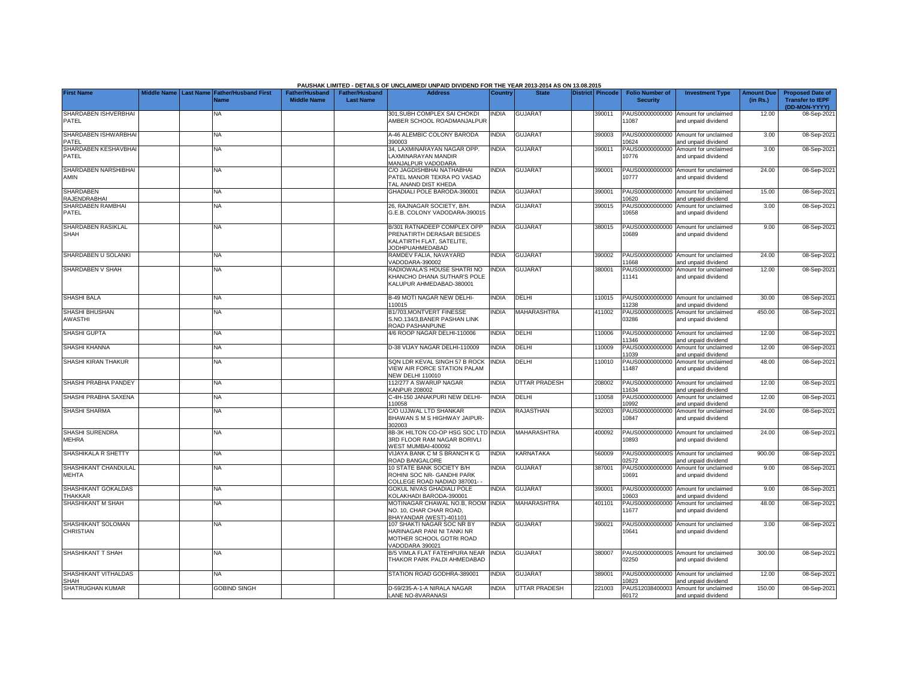|                                         |                    |                  |                                     |                                             |                                           | PAUSHAK LIMITED - DETAILS OF UNCLAIMED/ UNPAID DIVIDEND FOR THE YEAR 2013-2014 AS ON 13.08.2015           |                |                      |                  |                                           |                                                             |                               |                                                                     |
|-----------------------------------------|--------------------|------------------|-------------------------------------|---------------------------------------------|-------------------------------------------|-----------------------------------------------------------------------------------------------------------|----------------|----------------------|------------------|-------------------------------------------|-------------------------------------------------------------|-------------------------------|---------------------------------------------------------------------|
| <b>First Name</b>                       | <b>Middle Name</b> | <b>Last Name</b> | <b>Father/Husband First</b><br>Name | <b>Father/Husband</b><br><b>Middle Name</b> | <b>Father/Husband</b><br><b>Last Name</b> | <b>Address</b>                                                                                            | <b>Country</b> | <b>State</b>         | District Pincode | <b>Folio Number of</b><br><b>Security</b> | <b>Investment Type</b>                                      | <b>Amount Due</b><br>(in Rs.) | <b>Proposed Date of</b><br><b>Transfer to IEPF</b><br>(DD-MON-YYYY) |
| SHARDABEN ISHVERBHAI<br>PATEL           |                    |                  | NA                                  |                                             |                                           | 301, SUBH COMPLEX SAI CHOKDI<br>AMBER SCHOOL ROADMANJALPUR                                                | <b>INDIA</b>   | <b>GUJARAT</b>       | 390011           | PAUS00000000000<br>11087                  | Amount for unclaimed<br>and unpaid dividend                 | 12.00                         | 08-Sep-202                                                          |
| SHARDABEN ISHWARBHA<br>PATEL            |                    |                  | <b>NA</b>                           |                                             |                                           | 4-46 ALEMBIC COLONY BARODA<br>390003                                                                      | <b>INDIA</b>   | <b>GUJARAT</b>       | 390003           | 10624                                     | PAUS00000000000 Amount for unclaimed<br>and unpaid dividend | 3.00                          | 08-Sep-202                                                          |
| SHARDABEN KESHAVBHA<br>PATEL            |                    |                  | <b>NA</b>                           |                                             |                                           | 34, LAXMINARAYAN NAGAR OPP.<br><b>AXMINARAYAN MANDIR</b><br><b>MANJALPUR VADODARA</b>                     | <b>INDIA</b>   | GUJARAT              | 390011           | PAUS00000000000<br>10776                  | Amount for unclaimed<br>and unpaid dividend                 | 3.00                          | 08-Sep-202                                                          |
| SHARDABEN NARSHIBHAI<br>AMIN            |                    |                  | ΝA                                  |                                             |                                           | C/O JAGDISHBHAI NATHABHAI<br>PATEL MANOR TEKRA PO VASAD<br>TAL ANAND DIST KHEDA                           | NDIA           | <b>GUJARAT</b>       | 390001           | PAUS00000000000<br>10777                  | Amount for unclaimed<br>and unpaid dividend                 | 24.00                         | 08-Sep-202                                                          |
| <b>SHARDABEN</b><br><b>RAJENDRABHAI</b> |                    |                  | <b>NA</b>                           |                                             |                                           | GHADIALI POLE BARODA-390001                                                                               | <b>INDIA</b>   | <b>GUJARAT</b>       | 390001           | 10620                                     | PAUS00000000000 Amount for unclaimed<br>and unpaid dividend | 15.00                         | 08-Sep-202                                                          |
| SHARDABEN RAMBHAI<br>PATEL              |                    |                  | NA                                  |                                             |                                           | 26, RAJNAGAR SOCIETY, B/H.<br>G.E.B. COLONY VADODARA-390015                                               | <b>NDIA</b>    | <b>GUJARAT</b>       | 390015           | PAUS00000000000<br>10658                  | Amount for unclaimed<br>and unpaid dividend                 | 3.00                          | 08-Sep-202                                                          |
| SHARDABEN RASIKLAL<br>SHAH              |                    |                  | <b>NA</b>                           |                                             |                                           | B/301 RATNADEEP COMPLEX OPP<br>PRENATIRTH DERASAR BESIDES<br>KALATIRTH FLAT, SATELITE,<br>JODHPUAHMEDABAD | <b>INDIA</b>   | <b>GUJARAT</b>       | 380015           | PAUS00000000000<br>10689                  | Amount for unclaimed<br>and unpaid dividend                 | 9.00                          | 08-Sep-202                                                          |
| SHARDABEN U SOLANKI                     |                    |                  | <b>NA</b>                           |                                             |                                           | RAMDEV FALIA, NAVAYARD<br>/ADODARA-390002                                                                 | <b>INDIA</b>   | <b>GUJARAT</b>       | 390002           | 1668                                      | PAUS00000000000 Amount for unclaimed<br>and unpaid dividend | 24.00                         | 08-Sep-202                                                          |
| <b>SHARDABEN V SHAH</b>                 |                    |                  | <b>NA</b>                           |                                             |                                           | RADIOWALA'S HOUSE SHATRI NO<br>KHANCHO DHANA SUTHAR'S POLE<br>KALUPUR AHMEDABAD-380001                    | <b>INDIA</b>   | <b>GUJARAT</b>       | 380001           | PAUS00000000000<br>11141                  | Amount for unclaimed<br>and unpaid dividend                 | 12.00                         | 08-Sep-202                                                          |
| <b>SHASHI BALA</b>                      |                    |                  | NA                                  |                                             |                                           | B-49 MOTI NAGAR NEW DELHI-<br>110015                                                                      | INDIA          | DELHI                | 110015           | 1238                                      | PAUS00000000000 Amount for unclaimed<br>and unpaid dividend | 30.00                         | 08-Sep-202                                                          |
| SHASHI BHUSHAN<br><b>AWASTHI</b>        |                    |                  | <b>NA</b>                           |                                             |                                           | B1/703, MONTVERT FINESSE<br>S.NO.134/3, BANER PASHAN LINK<br>ROAD PASHANPUNE                              | <b>INDIA</b>   | <b>MAHARASHTRA</b>   | 411002           | 03286                                     | PAUS0000000000S Amount for unclaimed<br>and unpaid dividend | 450.00                        | 08-Sep-2021                                                         |
| SHASHI GUPTA                            |                    |                  | <b>NA</b>                           |                                             |                                           | 4/6 ROOP NAGAR DELHI-110006                                                                               | <b>INDIA</b>   | DELHI                | 10006            | 11346                                     | PAUS00000000000 Amount for unclaimed<br>and unpaid dividend | 12.00                         | 08-Sep-202                                                          |
| SHASHI KHANNA                           |                    |                  | <b>NA</b>                           |                                             |                                           | D-38 VIJAY NAGAR DELHI-110009                                                                             | <b>NDIA</b>    | DELHI                | 110009           | PAUS00000000000<br>11039                  | Amount for unclaimed<br>and unpaid dividend                 | 12.00                         | 08-Sep-202                                                          |
| SHASHI KIRAN THAKUR                     |                    |                  | <b>NA</b>                           |                                             |                                           | SQN LDR KEVAL SINGH 57 B ROCK<br>VIEW AIR FORCE STATION PALAM<br><b>NEW DELHI 110010</b>                  | <b>INDIA</b>   | DELHI                | 110010           | 11487                                     | PAUS00000000000 Amount for unclaimed<br>and unpaid dividend | 48.00                         | 08-Sep-202                                                          |
| SHASHI PRABHA PANDEY                    |                    |                  | <b>NA</b>                           |                                             |                                           | 112/277 A SWARUP NAGAR<br><b>KANPUR 208002</b>                                                            | <b>INDIA</b>   | <b>UTTAR PRADESH</b> | 208002           | 1634                                      | PAUS00000000000 Amount for unclaimed<br>and unpaid dividend | 12.00                         | 08-Sep-202                                                          |
| SHASHI PRABHA SAXENA                    |                    |                  | <b>NA</b>                           |                                             |                                           | -4H-150 JANAKPURI NEW DELHI-<br>10058                                                                     | <b>INDIA</b>   | DELHI                | 110058           | PAUS00000000000<br>10992                  | Amount for unclaimed<br>and unpaid dividend                 | 12.00                         | 08-Sep-202                                                          |
| <b>SHASHI SHARMA</b>                    |                    |                  | <b>NA</b>                           |                                             |                                           | C/O UJJWAL LTD SHANKAR<br>BHAWAN S M S HIGHWAY JAIPUR-<br>302003                                          | <b>NDIA</b>    | RAJASTHAN            | 302003           | PAUS00000000000<br>10847                  | Amount for unclaimed<br>and unpaid dividend                 | 24.00                         | 08-Sep-202                                                          |
| SHASHI SURENDRA<br><b>MEHRA</b>         |                    |                  | <b>NA</b>                           |                                             |                                           | 8B-3K HILTON CO-OP HSG SOC LTD INDIA<br>3RD FLOOR RAM NAGAR BORIVLI<br>WEST MUMBAI-400092                 |                | <b>MAHARASHTRA</b>   | 400092           | 0893                                      | PAUS00000000000 Amount for unclaimed<br>and unpaid dividend | 24.00                         | 08-Sep-202                                                          |
| SHASHIKALA R SHETTY                     |                    |                  | <b>NA</b>                           |                                             |                                           | VIJAYA BANK C M S BRANCH K G<br>ROAD BANGALORE                                                            | <b>INDIA</b>   | KARNATAKA            | 560009           | 12572                                     | PAUS0000000000S Amount for unclaimed<br>and unpaid dividend | 900.00                        | 08-Sep-202                                                          |
| SHASHIKANT CHANDULAL<br><b>MEHTA</b>    |                    |                  | <b>NA</b>                           |                                             |                                           | 10 STATE BANK SOCIETY B/H<br>ROHINI SOC NR- GANDHI PARK<br>COLLEGE ROAD NADIAD 387001-                    | <b>INDIA</b>   | <b>GUJARAT</b>       | 387001           | PAUS00000000000<br>10691                  | Amount for unclaimed<br>and unpaid dividend                 | 9.00                          | 08-Sep-202                                                          |
| SHASHIKANT GOKALDAS<br>THAKKAR          |                    |                  | <b>NA</b>                           |                                             |                                           | GOKUL NIVAS GHADIALI POLE<br>KOLAKHADI BARODA-390001                                                      | <b>INDIA</b>   | <b>GUJARAT</b>       | 390001           | 10603                                     | PAUS00000000000 Amount for unclaimed<br>and unpaid dividend | 9.00                          | 08-Sep-202                                                          |
| SHASHIKANT M SHAH                       |                    |                  | <b>NA</b>                           |                                             |                                           | MOTINAGAR CHAWAL NO.B. ROOM INDIA<br>NO. 10. CHAR CHAR ROAD.<br>BHAYANDAR (WEST)-401101                   |                | MAHARASHTRA          | 401101           | PAUS00000000000<br>11677                  | Amount for unclaimed<br>and unpaid dividend                 | 48.00                         | 08-Sep-202                                                          |
| SHASHIKANT SOLOMAN<br>CHRISTIAN         |                    |                  | <b>NA</b>                           |                                             |                                           | 107 SHAKTI NAGAR SOC NR BY<br>HARINAGAR PANI NI TANKI NR<br>MOTHER SCHOOL GOTRI ROAD<br>VADODARA 390021   | <b>INDIA</b>   | <b>GUJARAT</b>       | 390021           | 10641                                     | PAUS00000000000 Amount for unclaimed<br>and unpaid dividend | 3.00                          | 08-Sep-202                                                          |
| SHASHIKANT T SHAH                       |                    |                  | <b>NA</b>                           |                                             |                                           | B/5 VIMLA FLAT FATEHPURA NEAR<br>THAKOR PARK PALDI AHMEDABAD                                              | <b>INDIA</b>   | <b>GUJARAT</b>       | 380007           | 02250                                     | PAUS0000000000S Amount for unclaimed<br>and unpaid dividend | 300.00                        | 08-Sep-202                                                          |
| SHASHIKANT VITHALDAS<br>SHAH            |                    |                  | NA                                  |                                             |                                           | STATION ROAD GODHRA-389001                                                                                | <b>INDIA</b>   | <b>GUJARAT</b>       | 389001           | 0823                                      | PAUS00000000000 Amount for unclaimed<br>and unpaid dividend | 12.00                         | 08-Sep-202                                                          |
| SHATRUGHAN KUMAR                        |                    |                  | <b>GOBIND SINGH</b>                 |                                             |                                           | D-59/235-A-1-A NIRALA NAGAR<br>LANE NO-8VARANASI                                                          | <b>INDIA</b>   | <b>UTTAR PRADESH</b> | 221003           | PAUS12038400003<br>60172                  | Amount for unclaimed<br>and unpaid dividend                 | 150.00                        | 08-Sep-2021                                                         |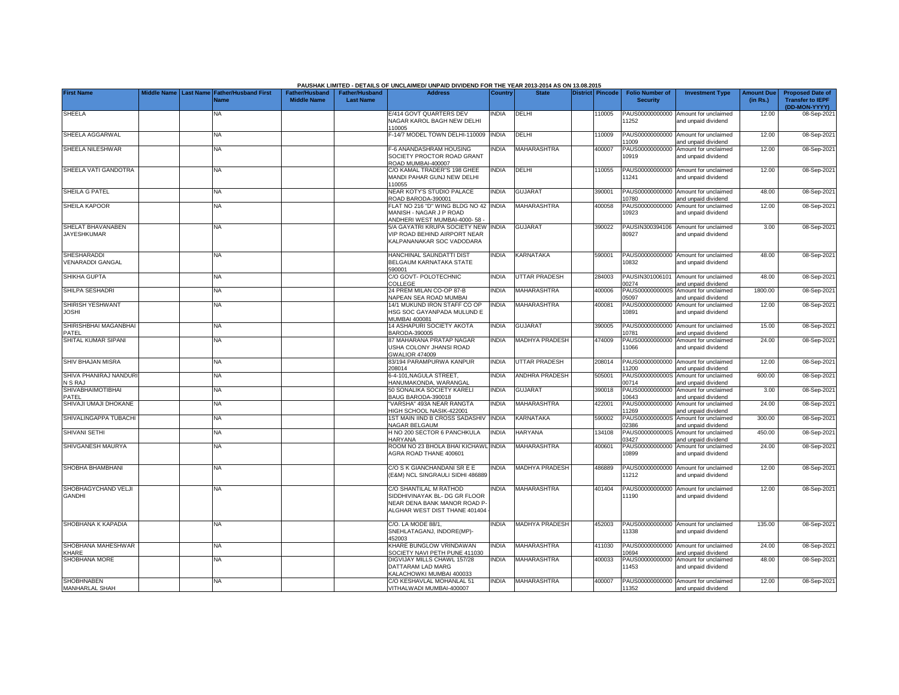|                                               |  |                                            |                       |                       | PAUSHAK LIMITED - DETAILS OF UNCLAIMED/ UNPAID DIVIDEND FOR THE YEAR 2013-2014 AS ON 13.08.2015 |                |                       |                         |                          |                                                             |                   |                              |
|-----------------------------------------------|--|--------------------------------------------|-----------------------|-----------------------|-------------------------------------------------------------------------------------------------|----------------|-----------------------|-------------------------|--------------------------|-------------------------------------------------------------|-------------------|------------------------------|
| <b>First Name</b>                             |  | Middle Name Last Name Father/Husband First | <b>Father/Husband</b> | <b>Father/Husband</b> | <b>Address</b>                                                                                  | <b>Country</b> | <b>State</b>          | <b>District Pincode</b> | <b>Folio Number of</b>   | <b>Investment Type</b>                                      | <b>Amount Due</b> | <b>Proposed Date of</b>      |
|                                               |  | Name                                       | <b>Middle Name</b>    | <b>Last Name</b>      |                                                                                                 |                |                       |                         | <b>Security</b>          |                                                             | (in Rs.)          | <b>Transfer to IEPF</b>      |
| SHEELA                                        |  | ΝA                                         |                       |                       | E/414 GOVT QUARTERS DEV                                                                         | NDIA           | <b>DELHI</b>          | 10005                   |                          | PAUS00000000000 Amount for unclaimed                        | 12.00             | (DD-MON-YYYY)<br>08-Sep-2021 |
|                                               |  |                                            |                       |                       | NAGAR KAROL BAGH NEW DELHI                                                                      |                |                       |                         | 11252                    | and unpaid dividend                                         |                   |                              |
|                                               |  |                                            |                       |                       | 110005                                                                                          |                |                       |                         |                          |                                                             |                   |                              |
| SHEELA AGGARWAL                               |  | <b>NA</b>                                  |                       |                       | -14/7 MODEL TOWN DELHI-110009                                                                   | <b>INDIA</b>   | DELHI                 | 110009                  |                          | PAUS00000000000 Amount for unclaimed                        | 12.00             | 08-Sep-2021                  |
| SHEELA NILESHWAR                              |  | <b>NA</b>                                  |                       |                       | F-6 ANANDASHRAM HOUSING                                                                         | <b>NDIA</b>    | <b>MAHARASHTRA</b>    | 400007                  | 1009<br>PAUS00000000000  | and unpaid dividend<br>Amount for unclaimed                 | 12.00             | 08-Sep-2021                  |
|                                               |  |                                            |                       |                       | SOCIETY PROCTOR ROAD GRANT                                                                      |                |                       |                         | 10919                    | and unpaid dividend                                         |                   |                              |
|                                               |  |                                            |                       |                       | ROAD MUMBAI-400007                                                                              |                |                       |                         |                          |                                                             |                   |                              |
| SHEELA VATI GANDOTRA                          |  | NA                                         |                       |                       | C/O KAMAL TRADER"S 198 GHEE                                                                     | <b>NDIA</b>    | DELHI                 | 110055                  |                          | PAUS00000000000 Amount for unclaimed                        | 12.00             | 08-Sep-2021                  |
|                                               |  |                                            |                       |                       | MANDI PAHAR GUNJ NEW DELHI<br>110055                                                            |                |                       |                         | 11241                    | and unpaid dividend                                         |                   |                              |
| SHEILA G PATEL                                |  | NA                                         |                       |                       | NEAR KOTY'S STUDIO PALACE                                                                       | <b>NDIA</b>    | <b>GUJARAT</b>        | 390001                  |                          | PAUS00000000000 Amount for unclaimed                        | 48.00             | 08-Sep-202                   |
|                                               |  |                                            |                       |                       | ROAD BARODA-390001                                                                              |                |                       |                         | 10780                    | and unpaid dividend                                         |                   |                              |
| <b>SHEILA KAPOOR</b>                          |  | NΑ                                         |                       |                       | FLAT NO 216 "D" WING BLDG NO 42                                                                 | <b>INDIA</b>   | MAHARASHTRA           | 400058                  | PAUS00000000000          | Amount for unclaimed                                        | 12.00             | 08-Sep-202                   |
|                                               |  |                                            |                       |                       | MANISH - NAGAR J P ROAD<br>ANDHERI WEST MUMBAI-4000-58                                          |                |                       |                         | 10923                    | and unpaid dividend                                         |                   |                              |
| SHELAT BHAVANABEN                             |  | <b>NA</b>                                  |                       |                       | 5/A GAYATRI KRUPA SOCIETY NEW                                                                   | <b>INDIA</b>   | <b>GUJARAT</b>        | 390022                  |                          | PAUSIN300394106 Amount for unclaimed                        | 3.00              | 08-Sep-202                   |
| <b>JAYESHKUMAR</b>                            |  |                                            |                       |                       | <b>/IP ROAD BEHIND AIRPORT NEAR</b>                                                             |                |                       |                         | 80927                    | and unpaid dividend                                         |                   |                              |
|                                               |  |                                            |                       |                       | KALPANANAKAR SOC VADODARA                                                                       |                |                       |                         |                          |                                                             |                   |                              |
|                                               |  |                                            |                       |                       |                                                                                                 |                |                       |                         |                          |                                                             |                   |                              |
| <b>SHESHARADDI</b><br><b>VENARADDI GANGAL</b> |  | NA                                         |                       |                       | HANCHINAL SAUNDATTI DIST<br>BELGAUM KARNATAKA STATE                                             | <b>NDIA</b>    | <b>KARNATAKA</b>      | 590001                  | 10832                    | PAUS00000000000 Amount for unclaimed<br>and unpaid dividend | 48.00             | 08-Sep-2021                  |
|                                               |  |                                            |                       |                       | 590001                                                                                          |                |                       |                         |                          |                                                             |                   |                              |
| SHIKHA GUPTA                                  |  | <b>NA</b>                                  |                       |                       | C/O GOVT- POLOTECHNIC                                                                           | <b>INDIA</b>   | <b>UTTAR PRADESH</b>  | 284003                  |                          | PAUSIN301006101 Amount for unclaimed                        | 48.00             | 08-Sep-2021                  |
|                                               |  |                                            |                       |                       | COLLEGE                                                                                         |                |                       |                         | 0274                     | and unpaid dividend                                         |                   |                              |
| SHILPA SESHADRI                               |  | <b>NA</b>                                  |                       |                       | 24 PREM MILAN CO-OP 87-B                                                                        | <b>INDIA</b>   | <b>MAHARASHTRA</b>    | 400006                  | PAUS0000000000S          | Amount for unclaimed                                        | 1800.00           | 08-Sep-2021                  |
| SHIRISH YESHWANT                              |  | NA                                         |                       |                       | <b>JAPEAN SEA ROAD MUMBAI</b><br>14/1 MUKUND IRON STAFF CO OP                                   | <b>NDIA</b>    | MAHARASHTRA           | 400081                  | 05097<br>PAUS00000000000 | and unpaid dividend<br>Amount for unclaimed                 | 12.00             | 08-Sep-2021                  |
| <b>JOSHI</b>                                  |  |                                            |                       |                       | HSG SOC GAYANPADA MULUND E                                                                      |                |                       |                         | 10891                    | and unpaid dividend                                         |                   |                              |
|                                               |  |                                            |                       |                       | MUMBAI 400081                                                                                   |                |                       |                         |                          |                                                             |                   |                              |
| SHIRISHBHAI MAGANBHAI                         |  | <b>NA</b>                                  |                       |                       | 14 ASHAPURI SOCIETY AKOTA                                                                       | INDIA          | <b>GUJARAT</b>        | 390005                  |                          | PAUS00000000000 Amount for unclaimed                        | 15.00             | 08-Sep-2021                  |
| PATEL<br>SHITAL KUMAR SIPANI                  |  | <b>NA</b>                                  |                       |                       | BARODA-390005<br>37 MAHARANA PRATAP NAGAR                                                       | <b>INDIA</b>   | <b>MADHYA PRADESH</b> | 474009                  | 0781                     | and unpaid dividend<br>PAUS00000000000 Amount for unclaimed | 24.00             |                              |
|                                               |  |                                            |                       |                       | <b>JSHA COLONY JHANSI ROAD</b>                                                                  |                |                       |                         | 11066                    | and unpaid dividend                                         |                   | 08-Sep-2021                  |
|                                               |  |                                            |                       |                       | <b>GWALIOR 474009</b>                                                                           |                |                       |                         |                          |                                                             |                   |                              |
| SHIV BHAJAN MISRA                             |  | <b>NA</b>                                  |                       |                       | 83/194 PARAMPURWA KANPUR                                                                        | <b>NDIA</b>    | <b>UTTAR PRADESH</b>  | 208014                  |                          | PAUS00000000000 Amount for unclaimed                        | 12.00             | 08-Sep-2021                  |
|                                               |  |                                            |                       |                       | 208014                                                                                          |                |                       |                         | 11200                    | and unpaid dividend                                         |                   |                              |
| SHIVA PHANIRAJ NANDUR<br>N S RAJ              |  | <b>NA</b>                                  |                       |                       | 6-4-101, NAGULA STREET,<br>HANUMAKONDA, WARANGAI                                                | INDIA          | ANDHRA PRADESH        | 505001                  | 0714                     | PAUS0000000000S Amount for unclaimed<br>and unpaid dividend | 600.00            | 08-Sep-2021                  |
| <b>SHIVABHAIMOTIBHAI</b>                      |  | NA                                         |                       |                       | 50 SONALIKA SOCIETY KARELI                                                                      | <b>NDIA</b>    | <b>GUJARAT</b>        | 390018                  |                          | PAUS00000000000 Amount for unclaimed                        | 3.00              | 08-Sep-202                   |
| PATEL                                         |  |                                            |                       |                       | BAUG BARODA-390018                                                                              |                |                       |                         | 10643                    | and unpaid dividend                                         |                   |                              |
| SHIVAJI UMAJI DHOKANE                         |  | <b>NA</b>                                  |                       |                       | VARSHA" 493A NEAR RANGTA                                                                        | <b>NDIA</b>    | MAHARASHTRA           | 422001                  | PAUS00000000000          | Amount for unclaimed                                        | 24.00             | 08-Sep-2021                  |
| SHIVALINGAPPA TUBACHI                         |  | NA                                         |                       |                       | HIGH SCHOOL NASIK-422001<br>IST MAIN IIND B CROSS SADASHIV                                      | INDIA          | KARNATAKA             | 590002                  | 11269<br>PAUS0000000000S | and unpaid dividend<br>Amount for unclaimed                 | 300.00            | 08-Sep-202                   |
|                                               |  |                                            |                       |                       | NAGAR BELGAUM                                                                                   |                |                       |                         | 02386                    | and unpaid dividend                                         |                   |                              |
| SHIVANI SETHI                                 |  | <b>NA</b>                                  |                       |                       | H NO 200 SECTOR 6 PANCHKULA                                                                     | <b>INDIA</b>   | <b>HARYANA</b>        | 134108                  | PAUS0000000000S          | Amount for unclaimed                                        | 450.00            | 08-Sep-202                   |
|                                               |  |                                            |                       |                       | HARYANA                                                                                         |                |                       |                         | 3427                     | and unpaid dividend                                         |                   |                              |
| SHIVGANESH MAURYA                             |  | <b>NA</b>                                  |                       |                       | ROOM NO 23 BHOLA BHAI KICHAWL<br><b>AGRA ROAD THANE 400601</b>                                  | <b>INDIA</b>   | <b>MAHARASHTRA</b>    | 400601                  | PAUS00000000000<br>10899 | Amount for unclaimed                                        | 24.00             | 08-Sep-202                   |
|                                               |  |                                            |                       |                       |                                                                                                 |                |                       |                         |                          | and unpaid dividend                                         |                   |                              |
| SHOBHA BHAMBHANI                              |  | NA                                         |                       |                       | C/O S K GIANCHANDANI SR E E                                                                     | <b>NDIA</b>    | <b>MADHYA PRADESH</b> | 486889                  |                          | PAUS00000000000 Amount for unclaimed                        | 12.00             | 08-Sep-2021                  |
|                                               |  |                                            |                       |                       | (E&M) NCL SINGRAULI SIDHI 486889                                                                |                |                       |                         | 11212                    | and unpaid dividend                                         |                   |                              |
|                                               |  |                                            |                       |                       |                                                                                                 |                |                       |                         |                          |                                                             |                   |                              |
| SHOBHAGYCHAND VELJI<br><b>GANDHI</b>          |  | <b>NA</b>                                  |                       |                       | C/O SHANTILAL M RATHOD<br>SIDDHIVINAYAK BL- DG GR FLOOR                                         | <b>NDIA</b>    | MAHARASHTRA           | 401404                  | 11190                    | PAUS00000000000 Amount for unclaimed<br>and unpaid dividend | 12.00             | 08-Sep-2021                  |
|                                               |  |                                            |                       |                       | NEAR DENA BANK MANOR ROAD P-                                                                    |                |                       |                         |                          |                                                             |                   |                              |
|                                               |  |                                            |                       |                       | ALGHAR WEST DIST THANE 401404                                                                   |                |                       |                         |                          |                                                             |                   |                              |
|                                               |  |                                            |                       |                       |                                                                                                 |                |                       |                         |                          |                                                             |                   |                              |
| SHOBHANA K KAPADIA                            |  | ΝA                                         |                       |                       | C/O. LA MODE 88/1,                                                                              | <b>NDIA</b>    | MADHYA PRADESH        | 452003                  |                          | PAUS00000000000 Amount for unclaimed                        | 135.00            | 08-Sep-2021                  |
|                                               |  |                                            |                       |                       | SNEHLATAGANJ, INDORE(MP)-<br>152003                                                             |                |                       |                         | 11338                    | and unpaid dividend                                         |                   |                              |
| SHOBHANA MAHESHWAR                            |  | NA                                         |                       |                       | KHARE BUNGLOW VRINDAWAN                                                                         | NDIA           | <b>MAHARASHTRA</b>    | 411030                  |                          | PAUS00000000000 Amount for unclaimed                        | 24.00             | 08-Sep-202                   |
| KHARE                                         |  |                                            |                       |                       | SOCIETY NAVI PETH PUNE 411030                                                                   |                |                       |                         | 0694                     | and unpaid dividend                                         |                   |                              |
| <b>SHOBHANA MORE</b>                          |  | NA                                         |                       |                       | DIGVIJAY MILLS CHAWL 157/28                                                                     | <b>NDIA</b>    | <b>MAHARASHTRA</b>    | 400033                  | PAUS00000000000          | Amount for unclaimed                                        | 48.00             | 08-Sep-2021                  |
|                                               |  |                                            |                       |                       | DATTARAM LAD MARG<br><b>KALACHOWKI MUMBAI 400033</b>                                            |                |                       |                         | 1453                     | and unpaid dividend                                         |                   |                              |
| <b>SHOBHNABEN</b>                             |  | <b>NA</b>                                  |                       |                       | C/O KESHAVLAL MOHANLAL 51                                                                       | <b>INDIA</b>   | <b>MAHARASHTRA</b>    | 400007                  |                          | PAUS00000000000 Amount for unclaimed                        | 12.00             | 08-Sep-2021                  |
| <b>MANHARLAL SHAH</b>                         |  |                                            |                       |                       | VITHALWADI MUMBAI-400007                                                                        |                |                       |                         | 11352                    | and unpaid dividend                                         |                   |                              |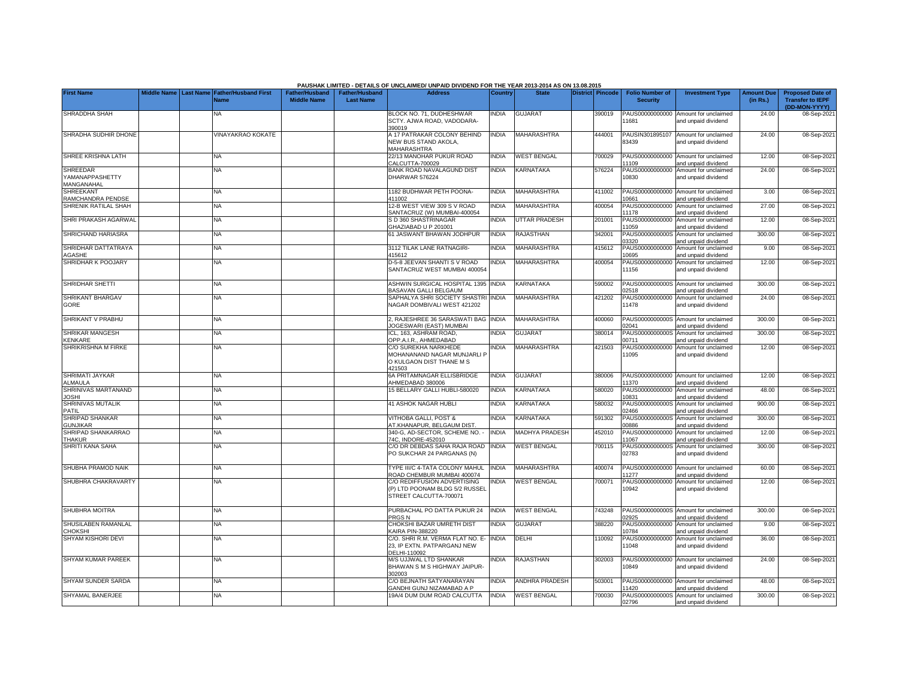|                                                  |                    |                                                      |                                      |                                           | PAUSHAK LIMITED - DETAILS OF UNCLAIMED/ UNPAID DIVIDEND FOR THE YEAR 2013-2014 AS ON 13.08.2015 |                |                       |                  |                                           |                                                             |                               |                                                                     |
|--------------------------------------------------|--------------------|------------------------------------------------------|--------------------------------------|-------------------------------------------|-------------------------------------------------------------------------------------------------|----------------|-----------------------|------------------|-------------------------------------------|-------------------------------------------------------------|-------------------------------|---------------------------------------------------------------------|
| <b>First Name</b>                                | <b>Middle Name</b> | <b>Last Name Father/Husband First</b><br><b>Name</b> | Father/Husband<br><b>Middle Name</b> | <b>Father/Husband</b><br><b>Last Name</b> | <b>Address</b>                                                                                  | <b>Country</b> | <b>State</b>          | District Pincode | <b>Folio Number of</b><br><b>Security</b> | <b>Investment Type</b>                                      | <b>Amount Due</b><br>(in Rs.) | <b>Proposed Date of</b><br><b>Transfer to IEPF</b><br>(DD-MON-YYYY) |
| SHRADDHA SHAH                                    |                    | <b>NA</b>                                            |                                      |                                           | BLOCK NO. 71, DUDHESHWAR<br>SCTY. AJWA ROAD, VADODARA-<br>390019                                | <b>INDIA</b>   | <b>GUJARAT</b>        | 390019           | PAUS00000000000<br>11681                  | Amount for unclaimed<br>and unpaid dividend                 | 24.00                         | 08-Sep-2021                                                         |
| SHRADHA SUDHIR DHONE                             |                    | VINAYAKRAO KOKATE                                    |                                      |                                           | A 17 PATRAKAR COLONY BEHIND<br>NEW BUS STAND AKOLA,<br>MAHARASHTRA                              | <b>INDIA</b>   | MAHARASHTRA           | 444001           | PAUSIN301895107<br>83439                  | Amount for unclaimed<br>and unpaid dividend                 | 24.00                         | 08-Sep-2021                                                         |
| SHREE KRISHNA LATH                               |                    | NA                                                   |                                      |                                           | 22/13 MANOHAR PUKUR ROAD<br>CALCUTTA-700029                                                     | <b>INDIA</b>   | <b>WEST BENGAL</b>    | 700029           | PAUS00000000000<br>11109                  | Amount for unclaimed<br>and unpaid dividend                 | 12.00                         | 08-Sep-2021                                                         |
| <b>SHREEDAR</b><br>YAMANAPPASHETTY<br>MANGANAHAL |                    | <b>NA</b>                                            |                                      |                                           | BANK ROAD NAVALAGUND DIST<br>DHARWAR 576224                                                     | <b>INDIA</b>   | KARNATAKA             | 576224           | PAUS00000000000<br>10830                  | Amount for unclaimed<br>and unpaid dividend                 | 24.00                         | 08-Sep-2021                                                         |
| SHREEKANT<br>RAMCHANDRA PENDSE                   |                    | <b>NA</b>                                            |                                      |                                           | 1182 BUDHWAR PETH POONA-<br>111002                                                              | <b>INDIA</b>   | <b>MAHARASHTRA</b>    | 411002           | 0661                                      | PAUS00000000000 Amount for unclaimed<br>and unpaid dividend | 3.00                          | 08-Sep-2021                                                         |
| SHRENIK RATILAL SHAH                             |                    | NA                                                   |                                      |                                           | 12-B WEST VIEW 309 S V ROAD<br>SANTACRUZ (W) MUMBAI-400054                                      | <b>INDIA</b>   | MAHARASHTRA           | 400054           | PAUS00000000000<br>11178                  | Amount for unclaimed<br>and unpaid dividend                 | 27.00                         | 08-Sep-2021                                                         |
| SHRI PRAKASH AGARWAL                             |                    | ΝA                                                   |                                      |                                           | <b>S D 360 SHASTRINAGAR</b><br>HAZIABAD U P 201001                                              | <b>INDIA</b>   | UTTAR PRADESH         | 201001           | PAUS00000000000<br>1059                   | Amount for unclaimed<br>and unpaid dividend                 | 12.00                         | 08-Sep-2021                                                         |
| SHRICHAND HARIASRA                               |                    | NA                                                   |                                      |                                           | <b>61 JASWANT BHAWAN JODHPUR</b>                                                                | INDIA          | RAJASTHAN             | 342001           | PAUS0000000000S<br>03320                  | Amount for unclaimed<br>and unpaid dividend                 | 300.00                        | 08-Sep-2021                                                         |
| SHRIDHAR DATTATRAYA<br>AGASHE                    |                    | <b>NA</b>                                            |                                      |                                           | <b>3112 TILAK LANE RATNAGIRI-</b><br>115612                                                     | <b>INDIA</b>   | MAHARASHTRA           | 415612           | PAUS00000000000<br>10695                  | Amount for unclaimed<br>and unpaid dividend                 | 9.00                          | 08-Sep-2021                                                         |
| SHRIDHAR K POOJARY                               |                    | <b>NA</b>                                            |                                      |                                           | D-5-8 JEEVAN SHANTI S V ROAD<br>SANTACRUZ WEST MUMBAI 400054                                    | <b>INDIA</b>   | MAHARASHTRA           | 400054           | PAUS00000000000<br>11156                  | Amount for unclaimed<br>and unpaid dividend                 | 12.00                         | 08-Sep-2021                                                         |
| SHRIDHAR SHETTI                                  |                    | <b>NA</b>                                            |                                      |                                           | <b>ASHWIN SURGICAL HOSPITAL 1395</b><br><b>BASAVAN GALLI BELGAUM</b>                            | <b>INDIA</b>   | KARNATAKA             | 590002           | 02518                                     | PAUS0000000000S Amount for unclaimed<br>and unpaid dividend | 300.00                        | 08-Sep-2021                                                         |
| SHRIKANT BHARGAV<br>GORE                         |                    | <b>NA</b>                                            |                                      |                                           | SAPHALYA SHRI SOCIETY SHASTRI INDIA<br>VAGAR DOMBIVALI WEST 421202                              |                | <b>MAHARASHTRA</b>    | 421202           | PAUS00000000000<br>11478                  | Amount for unclaimed<br>and unpaid dividend                 | 24.00                         | 08-Sep-2021                                                         |
| SHRIKANT V PRABHU                                |                    | NA                                                   |                                      |                                           | RAJESHREE 36 SARASWATI BAG<br><b>IOGESWARI (EAST) MUMBAI</b>                                    | <b>INDIA</b>   | MAHARASHTRA           | 400060           | PAUS0000000000S<br>02041                  | Amount for unclaimed<br>and unpaid dividend                 | 300.00                        | 08-Sep-2021                                                         |
| <b>SHRIKAR MANGESH</b><br><b>KENKARE</b>         |                    | <b>NA</b>                                            |                                      |                                           | ICL, 163, ASHRAM ROAD,<br>OPP.A.I.R., AHMEDABAD                                                 | <b>INDIA</b>   | <b>GUJARAT</b>        | 380014           | PAUS0000000000S<br>00711                  | Amount for unclaimed<br>and unpaid dividend                 | 300.00                        | 08-Sep-2021                                                         |
| SHRIKRISHNA M FIRKE                              |                    | NΑ                                                   |                                      |                                           | C/O SUREKHA NARKHEDE<br>MOHANANAND NAGAR MUNJARLI P<br>O KULGAON DIST THANE M S<br>421503       | INDIA          | MAHARASHTRA           | 421503           | PAUS00000000000<br>11095                  | Amount for unclaimed<br>and unpaid dividend                 | 12.00                         | 08-Sep-2021                                                         |
| SHRIMATI JAYKAR<br><b>LMAULA</b>                 |                    | <b>NA</b>                                            |                                      |                                           | <b>SA PRITAMNAGAR ELLISBRIDGE</b><br>AHMEDABAD 380006                                           | <b>INDIA</b>   | <b>GUJARAT</b>        | 380006           | PAUS00000000000<br>11370                  | Amount for unclaimed<br>and unpaid dividend                 | 12.00                         | 08-Sep-2021                                                         |
| SHRINIVAS MARTANAND<br><b>IOSHI</b>              |                    | <b>NA</b>                                            |                                      |                                           | 15 BELLARY GALLI HUBLI-580020                                                                   | INDIA          | KARNATAKA             | 580020           | PAUS00000000000<br>10831                  | Amount for unclaimed<br>and unpaid dividend                 | 48.00                         | 08-Sep-2021                                                         |
| SHRINIVAS MUTALIK<br>PATIL                       |                    | <b>NA</b>                                            |                                      |                                           | <b>11 ASHOK NAGAR HUBLI</b>                                                                     | <b>INDIA</b>   | KARNATAKA             | 580032           | PAUS0000000000S<br>02466                  | Amount for unclaimed<br>and unpaid dividend                 | 900.00                        | 08-Sep-2021                                                         |
| SHRIPAD SHANKAR<br><b>GUNJIKAR</b>               |                    | NA                                                   |                                      |                                           | <b>/ITHOBA GALLI, POST &amp;</b><br>AT.KHANAPUR, BELGAUM DIST.                                  | <b>INDIA</b>   | KARNATAKA             | 591302           | PAUS0000000000S<br>00886                  | Amount for unclaimed<br>and unpaid dividend                 | 300.00                        | 08-Sep-2021                                                         |
| SHRIPAD SHANKARRAO<br><b>THAKUR</b>              |                    | NA                                                   |                                      |                                           | 340-G, AD-SECTOR, SCHEME NO.<br>4C, INDORE-452010                                               | <b>INDIA</b>   | <b>MADHYA PRADESH</b> | 452010           | PAUS00000000000<br>1067                   | Amount for unclaimed<br>and unpaid dividend                 | 12.00                         | 08-Sep-2021                                                         |
| SHRITI KANA SAHA                                 |                    | NA.                                                  |                                      |                                           | C/O DR DEBDAS SAHA RAJA ROAD<br>PO SUKCHAR 24 PARGANAS (N)                                      | <b>INDIA</b>   | <b>WEST BENGAL</b>    | 700115           | PAUS0000000000S<br>02783                  | Amount for unclaimed<br>and unpaid dividend                 | 300.00                        | 08-Sep-2021                                                         |
| SHUBHA PRAMOD NAIK                               |                    | <b>NA</b>                                            |                                      |                                           | TYPE III/C 4-TATA COLONY MAHUL<br>ROAD CHEMBUR MUMBAI 400074                                    | <b>INDIA</b>   | MAHARASHTRA           | 400074           | PAUS00000000000<br>1277                   | Amount for unclaimed<br>and unpaid dividend                 | 60.00                         | 08-Sep-2021                                                         |
| SHUBHRA CHAKRAVARTY                              |                    | <b>NA</b>                                            |                                      |                                           | C/O REDIFFUSION ADVERTISING<br>(P) LTD POONAM BLDG 5/2 RUSSEL<br>STREET CALCUTTA-700071         | INDIA          | <b>WEST BENGAL</b>    | 700071           | PAUS00000000000<br>10942                  | Amount for unclaimed<br>and unpaid dividend                 | 12.00                         | 08-Sep-2021                                                         |
| SHUBHRA MOITRA                                   |                    | NA                                                   |                                      |                                           | PURBACHAL PO DATTA PUKUR 24<br>PRGS N                                                           | <b>INDIA</b>   | <b>WEST BENGAL</b>    | 743248           | )2925                                     | PAUS0000000000S Amount for unclaimed<br>and unpaid dividend | 300.00                        | 08-Sep-2021                                                         |
| SHUSILABEN RAMANLAL<br>CHOKSHI                   |                    | <b>NA</b>                                            |                                      |                                           | CHOKSHI BAZAR UMRETH DIST<br><b>KAIRA PIN-388220</b>                                            | <b>INDIA</b>   | <b>GUJARAT</b>        | 388220           | PAUS00000000000<br>0784                   | Amount for unclaimed<br>and unpaid dividend                 | 9.00                          | 08-Sep-2021                                                         |
| SHYAM KISHORI DEVI                               |                    | <b>NA</b>                                            |                                      |                                           | C/O. SHRI R.M. VERMA FLAT NO. E-<br>23. IP EXTN, PATPARGANJ NEW<br>DELHI-110092                 | <b>INDIA</b>   | DELHI                 | 10092            | PAUS00000000000<br>11048                  | Amount for unclaimed<br>and unpaid dividend                 | 36.00                         | 08-Sep-2021                                                         |
| SHYAM KUMAR PAREEK                               |                    | <b>NA</b>                                            |                                      |                                           | M/S UJJWAL LTD SHANKAR<br>BHAWAN S M S HIGHWAY JAIPUR-<br>302003                                | <b>INDIA</b>   | <b>RAJASTHAN</b>      | 302003           | PAUS00000000000<br>10849                  | Amount for unclaimed<br>and unpaid dividend                 | 24.00                         | 08-Sep-2021                                                         |
| SHYAM SUNDER SARDA                               |                    | <b>NA</b>                                            |                                      |                                           | C/O BEJNATH SATYANARAYAN<br>GANDHI GUNJ NIZAMABAD A P                                           | <b>INDIA</b>   | <b>ANDHRA PRADESH</b> | 503001           | PAUS00000000000<br>11420                  | Amount for unclaimed<br>and unpaid dividend                 | 48.00                         | 08-Sep-2021                                                         |
| SHYAMAL BANERJEE                                 |                    | <b>NA</b>                                            |                                      |                                           | 19A/4 DUM DUM ROAD CALCUTTA                                                                     | <b>INDIA</b>   | <b>WEST BENGAL</b>    | 700030           | PAUS0000000000S<br>02796                  | Amount for unclaimed<br>and unpaid dividend                 | 300.00                        | 08-Sep-2021                                                         |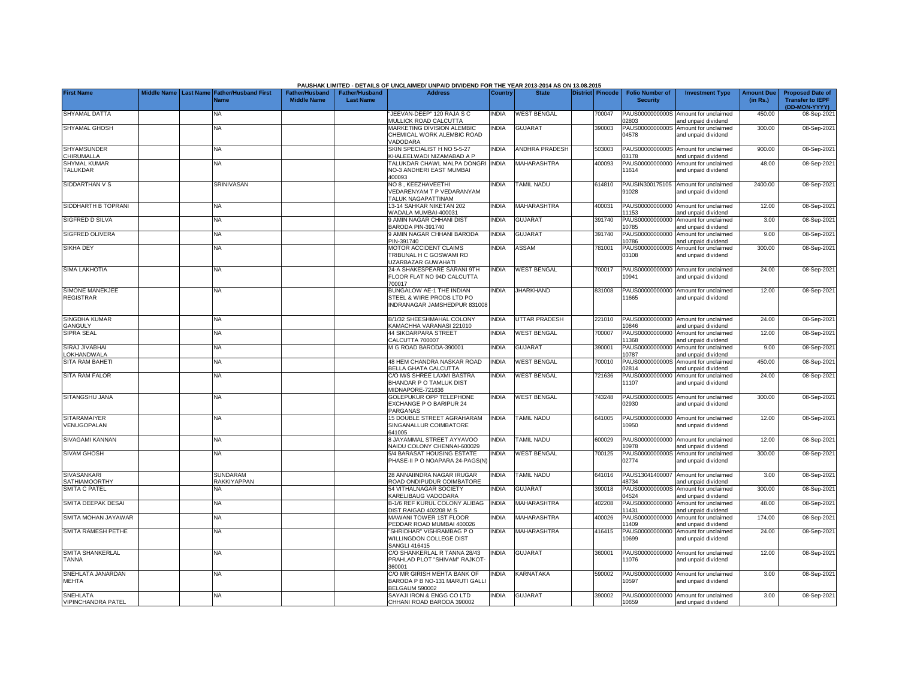|                                            |             |                                               |                                             |                                           | PAUSHAK LIMITED - DETAILS OF UNCLAIMED/ UNPAID DIVIDEND FOR THE YEAR 2013-2014 AS ON 13.08.2015 |                |                       |                  |                                           |                                                             |                               |                                                                     |
|--------------------------------------------|-------------|-----------------------------------------------|---------------------------------------------|-------------------------------------------|-------------------------------------------------------------------------------------------------|----------------|-----------------------|------------------|-------------------------------------------|-------------------------------------------------------------|-------------------------------|---------------------------------------------------------------------|
| <b>First Name</b>                          | Middle Name | <b>Last Name Father/Husband First</b><br>Name | <b>Father/Husband</b><br><b>Middle Name</b> | <b>Father/Husband</b><br><b>Last Name</b> | <b>Address</b>                                                                                  | <b>Country</b> | <b>State</b>          | District Pincode | <b>Folio Number of</b><br><b>Security</b> | <b>Investment Type</b>                                      | <b>Amount Due</b><br>(in Rs.) | <b>Proposed Date of</b><br><b>Transfer to IEPF</b><br>(DD-MON-YYYY) |
| SHYAMAL DATTA                              |             | ΝA                                            |                                             |                                           | JEEVAN-DEEP" 120 RAJA S C<br><b>MULLICK ROAD CALCUTTA</b>                                       | <b>NDIA</b>    | <b>WEST BENGAL</b>    | 700047           | PAUS0000000000S<br>2803                   | Amount for unclaimed<br>and unpaid dividend                 | 450.00                        | 08-Sep-202                                                          |
| SHYAMAL GHOSH                              |             | NA                                            |                                             |                                           | <b>MARKETING DIVISION ALEMBIC</b><br>CHEMICAL WORK ALEMBIC ROAD<br><b>ADODARA</b>               | <b>NDIA</b>    | GUJARAT               | 390003           | PAUS0000000000S<br>04578                  | Amount for unclaimed<br>and unpaid dividend                 | 300.00                        | 08-Sep-202                                                          |
| <b>SHYAMSUNDER</b><br>CHIRUMALLA           |             | <b>NA</b>                                     |                                             |                                           | SKIN SPECIALIST H NO 5-5-27<br><b>KHALEELWADI NIZAMABAD A P</b>                                 | <b>NDIA</b>    | <b>ANDHRA PRADESH</b> | 503003           | PAUS0000000000S<br>3178                   | Amount for unclaimed<br>nd unpaid dividend                  | 900.00                        | 08-Sep-202                                                          |
| SHYMAL KUMAR<br>TALUKDAR                   |             | <b>NA</b>                                     |                                             |                                           | <b>TALUKDAR CHAWL MALPA DONGRI</b><br><b>VO-3 ANDHERI EAST MUMBAI</b><br>100093                 | <b>INDIA</b>   | <b>MAHARASHTRA</b>    | 400093           | PAUS00000000000<br>11614                  | Amount for unclaimed<br>and unpaid dividend                 | 48.00                         | 08-Sep-2021                                                         |
| SIDDARTHAN V S                             |             | <b>SRINIVASAN</b>                             |                                             |                                           | NO 8, KEEZHAVEETHI<br><b>/EDARENYAM T P VEDARANYAM</b><br><b>TALUK NAGAPATTINAM</b>             | <b>NDIA</b>    | <b>TAMIL NADU</b>     | 614810           | PAUSIN300175105<br>91028                  | Amount for unclaimed<br>and unpaid dividend                 | 2400.00                       | 08-Sep-202                                                          |
| SIDDHARTH B TOPRANI                        |             | NA                                            |                                             |                                           | 13-14 SAHKAR NIKETAN 202<br>VADALA MUMBAI-400031                                                | <b>NDIA</b>    | MAHARASHTRA           | 400031           | PAUS00000000000<br>1153                   | Amount for unclaimed<br>and unpaid dividend                 | 12.00                         | 08-Sep-202                                                          |
| SIGFRED D SILVA                            |             | ΝA                                            |                                             |                                           | <b>AMIN NAGAR CHHANI DIST</b><br>BARODA PIN-391740                                              | <b>NDIA</b>    | GUJARAT               | 391740           | PAUS00000000000<br>0785                   | Amount for unclaimed<br>nd unpaid dividend                  | 3.00                          | 08-Sep-202                                                          |
| SIGFRED OLIVERA                            |             | ΝA                                            |                                             |                                           | <b>J AMIN NAGAR CHHANI BARODA</b><br>PIN-391740                                                 | <b>NDIA</b>    | <b>GUJARAT</b>        | 391740           | PAUS00000000000<br>0786                   | Amount for unclaimed<br>and unpaid dividend                 | 9.00                          | 08-Sep-202                                                          |
| <b>SIKHA DEY</b>                           |             | ΝA                                            |                                             |                                           | MOTOR ACCIDENT CLAIMS<br>TRIBUNAL H C GOSWAMI RD<br><b>UZARBAZAR GUWAHATI</b>                   | <b>NDIA</b>    | ASSAM                 | 781001           | PAUS0000000000S<br>03108                  | Amount for unclaimed<br>and unpaid dividend                 | 300.00                        | 08-Sep-202                                                          |
| SIMA LAKHOTIA                              |             | NA                                            |                                             |                                           | 24-A SHAKESPEARE SARANI 9TH<br>FLOOR FLAT NO 94D CALCUTTA<br>700017                             | <b>NDIA</b>    | <b>WEST BENGAL</b>    | 700017           | 10941                                     | PAUS00000000000 Amount for unclaimed<br>and unpaid dividend | 24.00                         | 08-Sep-202                                                          |
| SIMONE MANEKJEE<br><b>REGISTRAR</b>        |             | NA                                            |                                             |                                           | BUNGALOW AE-1 THE INDIAN<br>STEEL & WIRE PRODS LTD PO<br>INDRANAGAR JAMSHEDPUR 831008           | <b>INDIA</b>   | <b>JHARKHAND</b>      | 831008           | 1665                                      | PAUS00000000000 Amount for unclaimed<br>and unpaid dividend | 12.00                         | 08-Sep-202                                                          |
| SINGDHA KUMAR<br>GANGULY                   |             | <b>NA</b>                                     |                                             |                                           | B/1/32 SHEESHMAHAL COLONY<br><b>KAMACHHA VARANASI 221010</b>                                    | <b>INDIA</b>   | UTTAR PRADESH         | 221010           | 10846                                     | PAUS00000000000 Amount for unclaimed<br>and unpaid dividend | 24.00                         | 08-Sep-202                                                          |
| SIPRA SEAL                                 |             | NA                                            |                                             |                                           | <b>44 SIKDARPARA STREET</b><br>CALCUTTA 700007                                                  | INDIA          | <b>WEST BENGAL</b>    | 700007           | 11368                                     | PAUS00000000000 Amount for unclaimed<br>and unpaid dividend | 12.00                         | 08-Sep-202                                                          |
| SIRAJ JIVABHAI<br>LOKHANDWALA              |             | NA                                            |                                             |                                           | M G ROAD BARODA-390001                                                                          | INDIA          | <b>GUJARAT</b>        | 390001           | 10787                                     | PAUS00000000000 Amount for unclaimed<br>and unpaid dividend | 9.00                          | 08-Sep-202                                                          |
| SITA RAM BAHETI                            |             | <b>NA</b>                                     |                                             |                                           | 48 HEM CHANDRA NASKAR ROAD<br>BELLA GHATA CALCUTTA                                              | <b>INDIA</b>   | <b>WEST BENGAL</b>    | 700010           | PAUS0000000000S<br>)2814                  | Amount for unclaimed<br>and unpaid dividend                 | 450.00                        | 08-Sep-202                                                          |
| <b>SITA RAM FALOR</b>                      |             | <b>NA</b>                                     |                                             |                                           | C/O M/S SHREE LAXMI BASTRA<br>BHANDAR P O TAMLUK DIST<br>MIDNAPORE-721636                       | <b>INDIA</b>   | <b>WEST BENGAL</b>    | 721636           | 11107                                     | PAUS00000000000 Amount for unclaimed<br>and unpaid dividend | 24.00                         | 08-Sep-2021                                                         |
| SITANGSHU JANA                             |             | <b>NA</b>                                     |                                             |                                           | <b>GOLEPUKUR OPP TELEPHONE</b><br>EXCHANGE P O BARIPUR 24<br>PARGANAS                           | <b>INDIA</b>   | <b>WEST BENGAL</b>    | 743248           | 02930                                     | PAUS0000000000S Amount for unclaimed<br>and unpaid dividend | 300.00                        | 08-Sep-202                                                          |
| <b>SITARAMAIYER</b><br>VENUGOPALAN         |             | <b>NA</b>                                     |                                             |                                           | 15 DOUBLE STREET AGRAHARAM<br>SINGANALLUR COIMBATORE<br>641005                                  | <b>INDIA</b>   | <b>TAMIL NADU</b>     | 641005           | 10950                                     | PAUS00000000000 Amount for unclaimed<br>and unpaid dividend | 12.00                         | 08-Sep-202                                                          |
| SIVAGAMI KANNAN                            |             | <b>NA</b>                                     |                                             |                                           | <b>B JAYAMMAL STREET AYYAVOO</b><br>NAIDU COLONY CHENNAI-600029                                 | <b>NDIA</b>    | <b>TAMIL NADU</b>     | 600029           | 0978                                      | PAUS00000000000 Amount for unclaimed<br>and unpaid dividend | 12.00                         | 08-Sep-202                                                          |
| <b>SIVAM GHOSH</b>                         |             | NA                                            |                                             |                                           | 5/4 BARASAT HOUSING ESTATE<br>PHASE-II P O NOAPARA 24-PAGS(N                                    | NDIA           | <b>WEST BENGAL</b>    | 700125           | PAUS0000000000S<br>02774                  | Amount for unclaimed<br>and unpaid dividend                 | 300.00                        | 08-Sep-202                                                          |
| <b>SIVASANKARI</b><br><b>SATHIAMOORTHY</b> |             | <b>SUNDARAM</b><br><b>RAKKIYAPPAN</b>         |                                             |                                           | 28 ANNAIINDRA NAGAR IRUGAR<br>ROAD ONDIPUDUR COIMBATORE                                         | <b>NDIA</b>    | <b>TAMIL NADU</b>     | 641016           | PAUS13041400007<br>18734                  | Amount for unclaimed<br>and unpaid dividend                 | 3.00                          | 08-Sep-202                                                          |
| <b>SMITA C PATEL</b>                       |             | <b>NA</b>                                     |                                             |                                           | 54 VITHALNAGAR SOCIETY<br>KARELIBAUG VADODARA                                                   | <b>NDIA</b>    | <b>GUJARAT</b>        | 390018           | 4524                                      | PAUS0000000000S Amount for unclaimed<br>and unpaid dividend | 300.00                        | 08-Sep-202                                                          |
| SMITA DEEPAK DESAI                         |             | <b>NA</b>                                     |                                             |                                           | <b>B-1/6 REF KURUL COLONY ALIBAG</b><br>DIST RAIGAD 402208 M S                                  | <b>NDIA</b>    | MAHARASHTRA           | 402208           | PAUS00000000000<br>1431                   | Amount for unclaimed<br>and unpaid dividend                 | 48.00                         | 08-Sep-202                                                          |
| SMITA MOHAN JAYAWAR                        |             | <b>NA</b>                                     |                                             |                                           | <b>MAWANI TOWER 1ST FLOOR</b><br>PEDDAR ROAD MUMBAI 400026                                      | <b>NDIA</b>    | <b>MAHARASHTRA</b>    | 400026           | PAUS00000000000<br>1409                   | Amount for unclaimed<br>and unpaid dividend                 | 174.00                        | 08-Sep-202                                                          |
| SMITA RAMESH PETHE                         |             | <b>NA</b>                                     |                                             |                                           | 'SHRIDHAR" VISHRAMBAG P O<br>WILLINGDON COLLEGE DIST<br><b>SANGLI 416415</b>                    | <b>NDIA</b>    | MAHARASHTRA           | 416415           | PAUS00000000000<br>10699                  | Amount for unclaimed<br>and unpaid dividend                 | 24.00                         | 08-Sep-202                                                          |
| <b>SMITA SHANKERLAL</b><br><b>TANNA</b>    |             | <b>NA</b>                                     |                                             |                                           | C/O SHANKERLAL R TANNA 28/43<br>PRAHLAD PLOT "SHIVAM" RAJKOT<br>360001                          | NDIA           | <b>GUJARAT</b>        | 360001           | PAUS00000000000<br>11076                  | Amount for unclaimed<br>and unpaid dividend                 | 12.00                         | 08-Sep-2021                                                         |
| SNEHLATA JANARDAN<br>MEHTA                 |             | <b>NA</b>                                     |                                             |                                           | C/O MR GIRISH MEHTA BANK OF<br>BARODA P B NO-131 MARUTI GALLI<br><b>BELGAUM 590002</b>          | NDIA           | KARNATAKA             | 590002           | PAUS00000000000<br>10597                  | Amount for unclaimed<br>and unpaid dividend                 | 3.00                          | 08-Sep-202                                                          |
| <b>SNEHLATA</b><br>VIPINCHANDRA PATEL      |             | NA                                            |                                             |                                           | SAYAJI IRON & ENGG CO LTD<br>CHHANI ROAD BARODA 390002                                          | <b>NDIA</b>    | <b>GUJARAT</b>        | 390002           | 10659                                     | PAUS00000000000 Amount for unclaimed<br>and unpaid dividend | 3.00                          | 08-Sep-2021                                                         |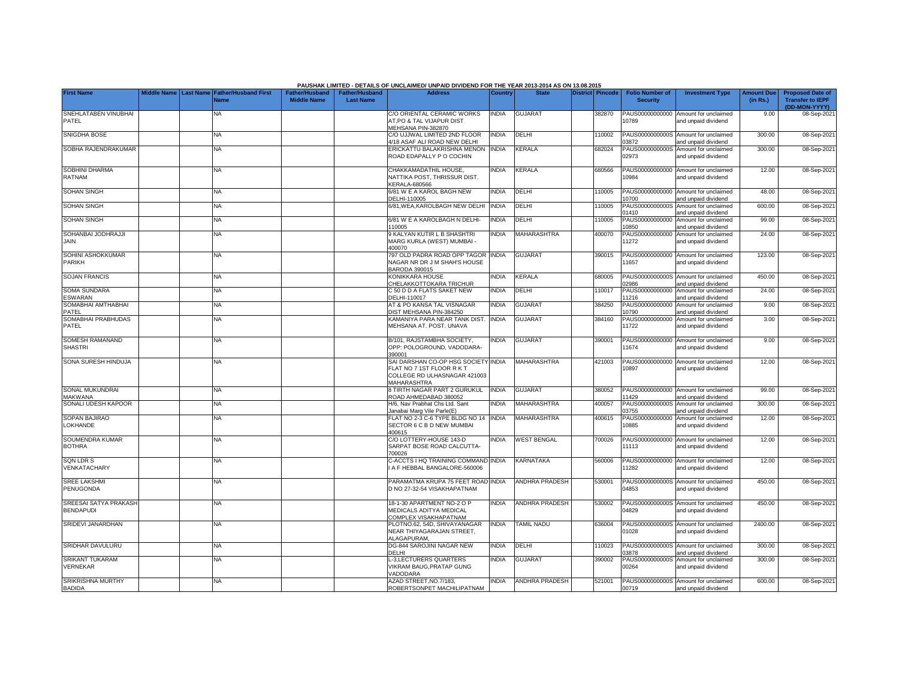|                                                  |             |                                                      |                                             |                                           | PAUSHAK LIMITED - DETAILS OF UNCLAIMED/ UNPAID DIVIDEND FOR THE YEAR 2013-2014 AS ON 13.08.2015                        |              |                       |                         |                                           |                                                             |                               |                                                                     |
|--------------------------------------------------|-------------|------------------------------------------------------|---------------------------------------------|-------------------------------------------|------------------------------------------------------------------------------------------------------------------------|--------------|-----------------------|-------------------------|-------------------------------------------|-------------------------------------------------------------|-------------------------------|---------------------------------------------------------------------|
| <b>First Name</b>                                | Middle Name | <b>Last Name Father/Husband First</b><br><b>Name</b> | <b>Father/Husband</b><br><b>Middle Name</b> | <b>Father/Husband</b><br><b>Last Name</b> | <b>Address</b>                                                                                                         | Country      | <b>State</b>          | <b>District Pincode</b> | <b>Folio Number of</b><br><b>Security</b> | <b>Investment Type</b>                                      | <b>Amount Due</b><br>(in Rs.) | <b>Proposed Date of</b><br><b>Transfer to IEPF</b><br>(DD-MON-YYYY) |
| SNEHLATABEN VINUBHAI<br>PATEL                    |             | <b>NA</b>                                            |                                             |                                           | C/O ORIENTAL CERAMIC WORKS<br>AT,PO & TAL VIJAPUR DIST<br>MEHSANA PIN-382870                                           | <b>NDIA</b>  | <b>GUJARAT</b>        | 382870                  | PAUS00000000000<br>10789                  | Amount for unclaimed<br>and unpaid dividend                 | 9.00                          | 08-Sep-2021                                                         |
| SNIGDHA BOSE                                     |             | <b>NA</b>                                            |                                             |                                           | C/O UJJWAL LIMITED 2ND FLOOR<br>/18 ASAF ALI ROAD NEW DELHI                                                            | <b>INDIA</b> | DELHI                 | 110002                  | 3872                                      | PAUS0000000000S Amount for unclaimed<br>and unpaid dividend | 300.00                        | 08-Sep-202                                                          |
| SOBHA RAJENDRAKUMAR                              |             | <b>NA</b>                                            |                                             |                                           | ERICKATTU BALAKRISHNA MENON<br>ROAD EDAPALLY P O COCHIN                                                                | <b>INDIA</b> | KERALA                | 682024                  | PAUS0000000000S<br>02973                  | Amount for unclaimed<br>and unpaid dividend                 | 300.00                        | 08-Sep-202                                                          |
| SOBHINI DHARMA<br><b>RATNAM</b>                  |             | NA                                                   |                                             |                                           | CHAKKAMADATHIL HOUSE,<br>NATTIKA POST, THRISSUR DIST.<br>KERALA-680566                                                 | <b>INDIA</b> | KERALA                | 680566                  | 0984                                      | PAUS00000000000 Amount for unclaimed<br>and unpaid dividend | 12.00                         | 08-Sep-202                                                          |
| <b>SOHAN SINGH</b>                               |             | <b>NA</b>                                            |                                             |                                           | 6/81 W E A KAROL BAGH NEW<br>DELHI-110005                                                                              | INDIA        | DELHI                 | 110005                  | PAUS00000000000<br>10700                  | Amount for unclaimed<br>and unpaid dividend                 | 48.00                         | 08-Sep-202                                                          |
| <b>SOHAN SINGH</b>                               |             | <b>NA</b>                                            |                                             |                                           | 6/81, WEA, KAROLBAGH NEW DELHI                                                                                         | <b>INDIA</b> | DELHI                 | 110005                  | PAUS0000000000S<br>1410                   | Amount for unclaimed<br>nd unpaid dividend                  | 600.00                        | 08-Sep-202                                                          |
| <b>SOHAN SINGH</b>                               |             | <b>NA</b>                                            |                                             |                                           | 6/81 W E A KAROLBAGH N DELHI-<br>10005                                                                                 | <b>INDIA</b> | DELHI                 | 110005                  | PAUS00000000000<br>0850                   | Amount for unclaimed<br>and unpaid dividend                 | 99.00                         | 08-Sep-202                                                          |
| SOHANBAI JODHRAJJI<br>JAIN                       |             | NA                                                   |                                             |                                           | 9 KALYAN KUTIR L B SHASHTRI<br>MARG KURLA (WEST) MUMBAI -<br>400070                                                    | <b>NDIA</b>  | <b>MAHARASHTRA</b>    | 400070                  | PAUS00000000000<br>11272                  | Amount for unclaimed<br>and unpaid dividend                 | 24.00                         | 08-Sep-202                                                          |
| SOHINI ASHOKKUMAR<br><b>PARIKH</b>               |             | <b>NA</b>                                            |                                             |                                           | 797 OLD PADRA ROAD OPP TAGOR<br>NAGAR NR DR J M SHAH'S HOUSE<br>BARODA 390015                                          | <b>INDIA</b> | <b>GUJARAT</b>        | 390015                  | 11657                                     | PAUS00000000000 Amount for unclaimed<br>and unpaid dividend | 123.00                        | 08-Sep-202                                                          |
| <b>SOJAN FRANCIS</b>                             |             | ΝA                                                   |                                             |                                           | KONIKKARA HOUSE<br>CHELAKKOTTOKARA TRICHUR                                                                             | <b>NDIA</b>  | KERALA                | 680005                  | )2986                                     | PAUS0000000000S Amount for unclaimed<br>and unpaid dividend | 450.00                        | 08-Sep-202                                                          |
| SOMA SUNDARA<br><b>ESWARAN</b>                   |             | <b>NA</b>                                            |                                             |                                           | C 50 D D A FLATS SAKET NEW<br>DELHI-110017                                                                             | <b>NDIA</b>  | DELHI                 | 10017                   | 1216                                      | PAUS00000000000 Amount for unclaimed<br>and unpaid dividend | 24.00                         | 08-Sep-2021                                                         |
| SOMABHAI AMTHABHAI<br>PATFL                      |             | <b>NA</b>                                            |                                             |                                           | AT & PO KANSA TAL VISNAGAR<br>DIST MEHSANA PIN-384250                                                                  | <b>NDIA</b>  | <b>GUJARAT</b>        | 384250                  | PAUS00000000000<br>0790                   | Amount for unclaimed<br>and unpaid dividend                 | 9.00                          | 08-Sep-202                                                          |
| SOMABHAI PRABHUDAS<br>PATEL                      |             | <b>NA</b>                                            |                                             |                                           | KAMANIYA PARA NEAR TANK DIST.<br>MEHSANA AT. POST. UNAVA                                                               | <b>INDIA</b> | <b>GUJARA1</b>        | 384160                  | PAUS00000000000<br>11722                  | Amount for unclaimed<br>and unpaid dividend                 | 3.00                          | 08-Sep-202                                                          |
| SOMESH RAMANAND<br><b>SHASTRI</b>                |             | <b>NA</b>                                            |                                             |                                           | B/101, RAJSTAMBHA SOCIETY,<br>OPP: POLOGROUND, VADODARA-<br>390001                                                     | <b>INDIA</b> | <b>GUJARAT</b>        | 390001                  | 11674                                     | PAUS00000000000 Amount for unclaimed<br>and unpaid dividend | 9.00                          | 08-Sep-202                                                          |
| SONA SURESH HINDUJA                              |             | <b>NA</b>                                            |                                             |                                           | SAI DARSHAN CO-OP HSG SOCIETY INDIA<br>FLAT NO 7 1ST FLOOR R K T<br>COLLEGE RD ULHASNAGAR 421003<br><b>MAHARASHTRA</b> |              | MAHARASHTRA           | 421003                  | 10897                                     | PAUS00000000000 Amount for unclaimed<br>and unpaid dividend | 12.00                         | 08-Sep-202                                                          |
| SONAL MUKUNDRAI<br><b>MAKWANA</b>                |             | <b>NA</b>                                            |                                             |                                           | <b>3 TIRTH NAGAR PART 2 GURUKUL</b><br>ROAD AHMEDABAD 380052                                                           | <b>INDIA</b> | <b>GUJARAT</b>        | 380052                  | 1429                                      | PAUS00000000000 Amount for unclaimed<br>and unpaid dividend | 99.00                         | 08-Sep-202                                                          |
| SONALI UDESH KAPOOR                              |             | <b>NA</b>                                            |                                             |                                           | H/6, Nav Prabhat Chs Ltd. Sant<br>Janabai Marg Vile Parle(E)                                                           | <b>NDIA</b>  | <b>MAHARASHTRA</b>    | 400057                  | PAUS0000000000S<br>3755                   | Amount for unclaimed<br>and unpaid dividend                 | 300.00                        | 08-Sep-202                                                          |
| SOPAN BAJIRAO<br><b>LOKHANDE</b>                 |             | <b>NA</b>                                            |                                             |                                           | FLAT NO 2-3 C-6 TYPE BLDG NO 14<br><b>SECTOR 6 C B D NEW MUMBAI</b><br>400615                                          | <b>INDIA</b> | <b>MAHARASHTRA</b>    | 400615                  | PAUS00000000000<br>10885                  | Amount for unclaimed<br>and unpaid dividend                 | 12.00                         | 08-Sep-202                                                          |
| SOUMENDRA KUMAR<br><b>BOTHRA</b>                 |             | <b>NA</b>                                            |                                             |                                           | C/O LOTTERY-HOUSE 143-D<br>SARPAT BOSE ROAD CALCUTTA-<br>700026                                                        | <b>NDIA</b>  | <b>WEST BENGAL</b>    | 700026                  | 11113                                     | PAUS00000000000 Amount for unclaimed<br>and unpaid dividend | 12.00                         | 08-Sep-202                                                          |
| <b>SQN LDR S</b><br>VENKATACHARY                 |             | <b>NA</b>                                            |                                             |                                           | C-ACCTS I HQ TRAINING COMMAND INDIA<br>A F HEBBAL BANGALORE-560006                                                     |              | KARNATAKA             | 560006                  | 11282                                     | PAUS00000000000 Amount for unclaimed<br>and unpaid dividend | 12.00                         | 08-Sep-202                                                          |
| <b>SREE LAKSHMI</b><br><b>PENUGONDA</b>          |             | <b>NA</b>                                            |                                             |                                           | PARAMATMA KRUPA 75 FEET ROAD INDIA<br>D NO 27-32-54 VISAKHAPATNAM                                                      |              | ANDHRA PRADESH        | 530001                  | PAUS0000000000S<br>04853                  | Amount for unclaimed<br>and unpaid dividend                 | 450.00                        | 08-Sep-202                                                          |
| <b>SREESAI SATYA PRAKASH</b><br><b>BENDAPUDI</b> |             | <b>NA</b>                                            |                                             |                                           | 18-1-30 APARTMENT NO-2 O P<br>MEDICALS ADITYA MEDICAL<br>COMPLEX VISAKHAPATNAM                                         | <b>INDIA</b> | <b>ANDHRA PRADESH</b> | 530002                  | 14829                                     | PAUS0000000000S Amount for unclaimed<br>and unpaid dividend | 450.00                        | 08-Sep-202                                                          |
| SRIDEVI JANARDHAN                                |             | ΝA                                                   |                                             |                                           | PLOTNO.62, 54D, SHIVAYANAGAR<br>NEAR THIYAGARAJAN STREET,<br>ALAGAPURAM.                                               | <b>INDIA</b> | <b>TAMIL NADU</b>     | 636004                  | 01028                                     | PAUS0000000000S Amount for unclaimed<br>and unpaid dividend | 2400.00                       | 08-Sep-202                                                          |
| SRIDHAR DAVULURU                                 |             | <b>NA</b>                                            |                                             |                                           | DG-844 SAROJINI NAGAR NEW<br>DELHI                                                                                     | <b>NDIA</b>  | DELHI                 | 110023                  | 3878                                      | PAUS0000000000S Amount for unclaimed<br>and unpaid dividend | 300.00                        | 08-Sep-202                                                          |
| <b>SRIKANT TUKARAM</b><br><b>VERNEKAR</b>        |             | NA                                                   |                                             |                                           | L-3, LECTURERS QUARTERS<br><b>/IKRAM BAUG, PRATAP GUNG</b><br><b>/ADODARA</b>                                          | INDIA        | <b>GUJARAT</b>        | 390002                  | PAUS0000000000S<br>00264                  | Amount for unclaimed<br>and unpaid dividend                 | 300.00                        | 08-Sep-202                                                          |
| SRIKRISHNA MURTHY<br><b>BADIDA</b>               |             | <b>NA</b>                                            |                                             |                                           | AZAD STREET, NO.7/183,<br>ROBERTSONPET MACHILIPATNAM                                                                   | <b>NDIA</b>  | ANDHRA PRADESH        | 521001                  | 00719                                     | PAUS0000000000S Amount for unclaimed<br>and unpaid dividend | 600.00                        | 08-Sep-2021                                                         |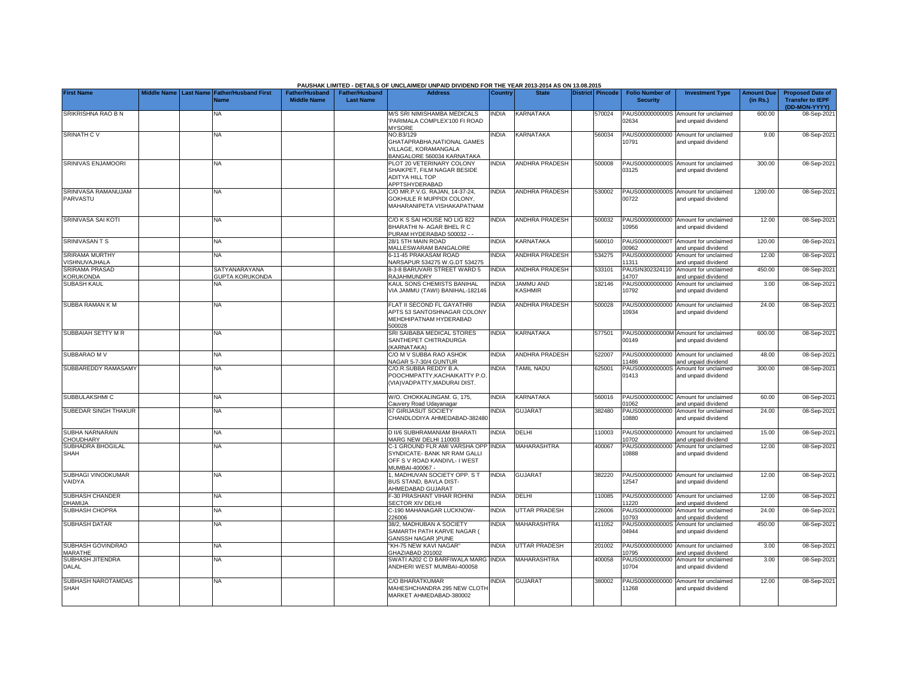|                                           |             |                                                         |                                             |                                           | PAUSHAK LIMITED - DETAILS OF UNCLAIMED/ UNPAID DIVIDEND FOR THE YEAR 2013-2014 AS ON 13.08.2015                        |              |                       |                  |                                           |                                                             |                               |                                                                     |
|-------------------------------------------|-------------|---------------------------------------------------------|---------------------------------------------|-------------------------------------------|------------------------------------------------------------------------------------------------------------------------|--------------|-----------------------|------------------|-------------------------------------------|-------------------------------------------------------------|-------------------------------|---------------------------------------------------------------------|
| <b>First Name</b>                         | Middle Name | <b>Father/Husband First</b><br><b>Last Name</b><br>Name | <b>Father/Husband</b><br><b>Middle Name</b> | <b>Father/Husband</b><br><b>Last Name</b> | <b>Address</b>                                                                                                         | Country      | <b>State</b>          | District Pincode | <b>Folio Number of</b><br><b>Security</b> | <b>Investment Type</b>                                      | <b>Amount Due</b><br>(in Rs.) | <b>Proposed Date of</b><br><b>Transfer to IEPF</b><br>(DD-MON-YYYY) |
| SRIKRISHNA RAO B N                        |             | <b>NA</b>                                               |                                             |                                           | M/S SRI NIMISHAMBA MEDICALS<br>'PARIMALA COMPLEX'100 FI ROAD<br><b>MYSORE</b>                                          | <b>INDIA</b> | KARNATAKA             | 570024           | PAUS0000000000S<br>02634                  | Amount for unclaimed<br>and unpaid dividend                 | 600.00                        | 08-Sep-2021                                                         |
| <b>SRINATH CV</b>                         |             | <b>NA</b>                                               |                                             |                                           | NO.B3/129<br>GHATAPRABHA, NATIONAL GAMES<br>VILLAGE, KORAMANGALA<br>BANGALORE 560034 KARNATAKA                         | <b>INDIA</b> | <b>KARNATAKA</b>      | 560034           | 10791                                     | PAUS00000000000 Amount for unclaimed<br>and unpaid dividend | 9.00                          | 08-Sep-2021                                                         |
| SRINIVAS ENJAMOORI                        |             | NA                                                      |                                             |                                           | PLOT 20 VETERINARY COLONY<br>SHAIKPET, FILM NAGAR BESIDE<br><b>ADITYA HILL TOP</b><br>APPTSHYDERABAD                   | <b>INDIA</b> | <b>ANDHRA PRADESH</b> | 500008           | 03125                                     | PAUS0000000000S Amount for unclaimed<br>and unpaid dividend | 300.00                        | 08-Sep-202                                                          |
| SRINIVASA RAMANUJAM<br>PARVASTU           |             | <b>NA</b>                                               |                                             |                                           | C/O MR.P.V.G. RAJAN, 14-37-24,<br>GOKHULE R MUPPIDI COLONY.<br>MAHARANIPETA VISHAKAPATNAM                              | <b>NDIA</b>  | <b>ANDHRA PRADESH</b> | 530002           | 00722                                     | PAUS0000000000S Amount for unclaimed<br>and unpaid dividend | 1200.00                       | 08-Sep-202                                                          |
| SRINIVASA SAI KOTI                        |             | <b>NA</b>                                               |                                             |                                           | C/O K S SAI HOUSE NO LIG 822<br>BHARATHI N- AGAR BHEL R C<br>PURAM HYDERABAD 500032 - -                                | <b>NDIA</b>  | ANDHRA PRADESH        | 500032           | 10956                                     | PAUS00000000000 Amount for unclaimed<br>and unpaid dividend | 12.00                         | 08-Sep-202                                                          |
| SRINIVASAN T S                            |             | <b>NA</b>                                               |                                             |                                           | 28/1 5TH MAIN ROAD<br>MALLESWARAM BANGALORE                                                                            | <b>INDIA</b> | KARNATAKA             | 560010           | 00962                                     | PAUS0000000000T Amount for unclaimed<br>and unpaid dividend | 120.00                        | 08-Sep-202                                                          |
| <b>SRIRAMA MURTHY</b><br>VISHNUVAJHALA    |             | <b>NA</b>                                               |                                             |                                           | 6-11-45 PRAKASAM ROAD<br>NARSAPUR 534275 W.G.DT 534275                                                                 | <b>INDIA</b> | <b>ANDHRA PRADESH</b> | 534275           | PAUS00000000000<br>11311                  | Amount for unclaimed<br>and unpaid dividend                 | 12.00                         | 08-Sep-202                                                          |
| <b>SRIRAMA PRASAD</b><br><b>KORUKONDA</b> |             | SATYANARAYANA<br><b>GUPTA KORUKONDA</b>                 |                                             |                                           | 8-3-8 BARUVARI STREET WARD 5<br>RAJAHMUNDRY                                                                            | <b>INDIA</b> | <b>ANDHRA PRADESH</b> | 533101           | PAUSIN302324110<br>14707                  | Amount for unclaimed<br>and unpaid dividend                 | 450.00                        | 08-Sep-202                                                          |
| <b>SUBASH KAUL</b>                        |             |                                                         |                                             |                                           | KAUL SONS CHEMISTS BANIHAL<br>VIA JAMMU (TAWI) BANIHAL-182146                                                          | <b>NDIA</b>  | JAMMU AND<br>KASHMIR  | 182146           | PAUS00000000000<br>10792                  | Amount for unclaimed<br>and unpaid dividend                 | 3.00                          | 08-Sep-202                                                          |
| SUBBA RAMAN K M                           |             | <b>NA</b>                                               |                                             |                                           | FLAT II SECOND FL GAYATHRI<br>APTS 53 SANTOSHNAGAR COLONY<br>MEHDHIPATNAM HYDERABAD<br>500028                          | <b>NDIA</b>  | <b>ANDHRA PRADESH</b> | 500028           | PAUS00000000000<br>10934                  | Amount for unclaimed<br>and unpaid dividend                 | 24.00                         | 08-Sep-202                                                          |
| SUBBAIAH SETTY M R                        |             | <b>NA</b>                                               |                                             |                                           | SRI SAIBABA MEDICAL STORES<br>SANTHEPET CHITRADURGA<br>(KARNATAKA)                                                     | <b>INDIA</b> | <b>KARNATAKA</b>      | 577501           | 0149                                      | PAUS0000000000M Amount for unclaimed<br>and unpaid dividend | 600.00                        | 08-Sep-202                                                          |
| SUBBARAO M V                              |             | <b>NA</b>                                               |                                             |                                           | C/O M V SUBBA RAO ASHOK<br>JAGAR 5-7-30/4 GUNTUR                                                                       | <b>INDIA</b> | ANDHRA PRADESH        | 522007           | 1486                                      | PAUS00000000000 Amount for unclaimed<br>and unpaid dividend | 48.00                         | 08-Sep-202                                                          |
| SUBBAREDDY RAMASAMY                       |             | <b>NA</b>                                               |                                             |                                           | C/O.R.SUBBA REDDY B.A.<br>POOCHMPATTY.KACHAIKATTY P.O.<br>(VIA) VADPATTY, MADURAI DIST.                                | <b>INDIA</b> | TAMIL NADU            | 625001           | PAUS0000000000S<br>01413                  | Amount for unclaimed<br>and unpaid dividend                 | 300.00                        | 08-Sep-202                                                          |
| SUBBULAKSHMI C                            |             | <b>NA</b>                                               |                                             |                                           | W/O. CHOKKALINGAM. G, 175,<br>Cauvery Road Udayanagar                                                                  | <b>INDIA</b> | KARNATAKA             | 560016           | 1062                                      | PAUS0000000000C Amount for unclaimed<br>and unpaid dividend | 60.00                         | 08-Sep-202                                                          |
| <b>SUBEDAR SINGH THAKUR</b>               |             | <b>NA</b>                                               |                                             |                                           | 67 GIRIJASUT SOCIETY<br>CHANDLODIYA AHMEDABAD-382480                                                                   | <b>NDIA</b>  | <b>GUJARAT</b>        | 382480           | PAUS00000000000<br>10880                  | Amount for unclaimed<br>and unpaid dividend                 | 24.00                         | 08-Sep-2021                                                         |
| SUBHA NARNARAIN<br>CHOUDHARY              |             | NA                                                      |                                             |                                           | D II/6 SUBHRAMANIAM BHARATI<br>MARG NEW DELHI 110003                                                                   | INDIA        | DELHI                 | 110003           | 10702                                     | PAUS00000000000 Amount for unclaimed<br>and unpaid dividend | 15.00                         | 08-Sep-202                                                          |
| SUBHADRA BHOGILAL<br>SHAH                 |             | <b>NA</b>                                               |                                             |                                           | C-1 GROUND FLR AMI VARSHA OPP INDIA<br>SYNDICATE- BANK NR RAM GALLI<br>OFF S V ROAD KANDIVL- I WEST<br>MUMBAI-400067 - |              | MAHARASHTRA           | 400067           | PAUS00000000000<br>10888                  | Amount for unclaimed<br>and unpaid dividend                 | 12.00                         | 08-Sep-2021                                                         |
| SUBHAGI VINODKUMAR<br>VAIDYA              |             | <b>NA</b>                                               |                                             |                                           | , MADHUVAN SOCIETY OPP. S T<br>BUS STAND, BAVLA DIST-<br>AHMEDABAD GUJARAT                                             | <b>INDIA</b> | <b>GUJARAT</b>        | 382220           | 12547                                     | PAUS00000000000 Amount for unclaimed<br>and unpaid dividend | 12.00                         | 08-Sep-202                                                          |
| SUBHASH CHANDER<br><b>ALIMAH</b>          |             | NA                                                      |                                             |                                           | -30 PRASHANT VIHAR ROHINI<br><b>SECTOR XIV DELHI</b>                                                                   | <b>INDIA</b> | DELHI                 | 10085            | PAUS00000000000<br>1220                   | Amount for unclaimed<br>and unpaid dividend                 | 12.00                         | 08-Sep-202                                                          |
| SUBHASH CHOPRA                            |             | <b>NA</b>                                               |                                             |                                           | C-190 MAHANAGAR LUCKNOW-<br>226006                                                                                     | <b>INDIA</b> | UTTAR PRADESH         | 226006           | PAUS00000000000<br>10793                  | Amount for unclaimed<br>and unpaid dividend                 | 24.00                         | 08-Sep-202                                                          |
| <b>SUBHASH DATAR</b>                      |             | <b>NA</b>                                               |                                             |                                           | 38/2, MADHUBAN A SOCIETY<br>SAMARTH PATH KARVE NAGAR (<br><b>GANSSH NAGAR )PUNE</b>                                    | <b>INDIA</b> | MAHARASHTRA           | 411052           | PAUS0000000000S<br>04944                  | Amount for unclaimed<br>and unpaid dividend                 | 450.00                        | 08-Sep-2021                                                         |
| SUBHASH GOVINDRAO<br>MARATHE              |             | <b>NA</b>                                               |                                             |                                           | "KH-75 NEW KAVI NAGAR"<br>GHAZIABAD 201002                                                                             | <b>INDIA</b> | <b>UTTAR PRADESH</b>  | 201002           | 10795                                     | PAUS00000000000 Amount for unclaimed<br>and unpaid dividend | 3.00                          | 08-Sep-202                                                          |
| <b>SUBHASH JITENDRA</b><br>DALAL          |             | <b>NA</b>                                               |                                             |                                           | SWATI A202 C D BARFIWALA MARG INDIA<br>ANDHERI WEST MUMBAI-400058                                                      |              | <b>MAHARASHTRA</b>    | 400058           | PAUS00000000000<br>10704                  | Amount for unclaimed<br>and unpaid dividend                 | 3.00                          | 08-Sep-202                                                          |
| SUBHASH NAROTAMDAS<br>SHAH                |             | <b>NA</b>                                               |                                             |                                           | C/O BHARATKUMAR<br>MAHESHCHANDRA 295 NEW CLOTH<br>MARKET AHMEDABAD-380002                                              | <b>NDIA</b>  | <b>GUJARAT</b>        | 380002           | PAUS00000000000<br>11268                  | Amount for unclaimed<br>and unpaid dividend                 | 12.00                         | 08-Sep-202                                                          |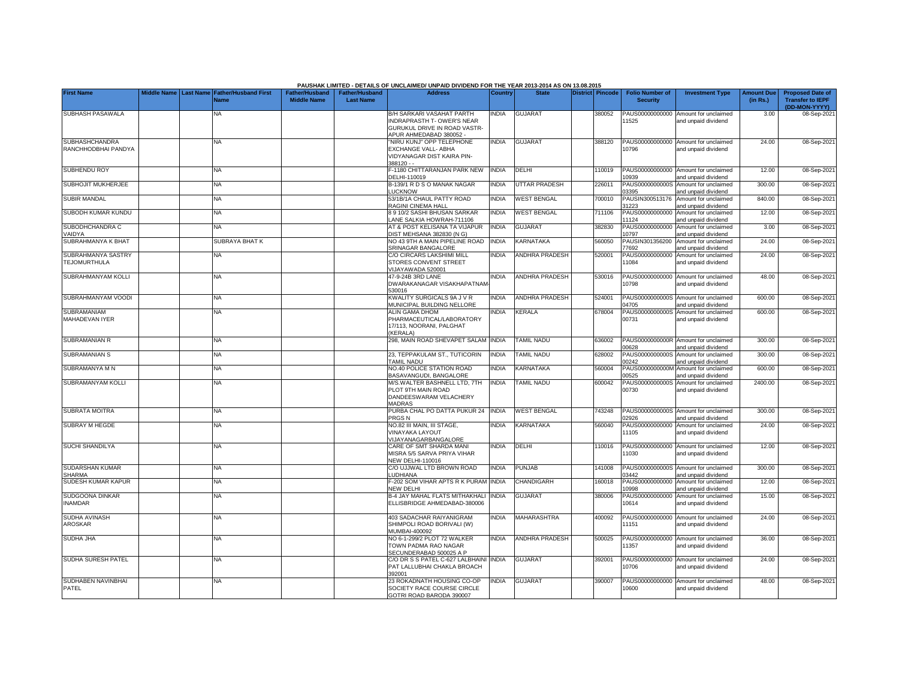|                                              |                       |                                            |                                             |                                           | PAUSHAK LIMITED - DETAILS OF UNCLAIMED/ UNPAID DIVIDEND FOR THE YEAR 2013-2014 AS ON 13.08.2015                          |              |                       |                         |                                           |                                                             |                               |                                                                     |
|----------------------------------------------|-----------------------|--------------------------------------------|---------------------------------------------|-------------------------------------------|--------------------------------------------------------------------------------------------------------------------------|--------------|-----------------------|-------------------------|-------------------------------------------|-------------------------------------------------------------|-------------------------------|---------------------------------------------------------------------|
| <b>First Name</b>                            | Middle Name Last Name | <b>Father/Husband First</b><br><b>Name</b> | <b>Father/Husband</b><br><b>Middle Name</b> | <b>Father/Husband</b><br><b>Last Name</b> | <b>Address</b>                                                                                                           | Country      | <b>State</b>          | <b>District Pincode</b> | <b>Folio Number of</b><br><b>Security</b> | <b>Investment Type</b>                                      | <b>Amount Due</b><br>(in Rs.) | <b>Proposed Date of</b><br><b>Transfer to IEPF</b><br>(DD-MON-YYYY) |
| SUBHASH PASAWALA                             |                       | NA                                         |                                             |                                           | B/H SARKARI VASAHAT PARTH<br><b>NDRAPRASTH T- OWER'S NEAR</b><br>GURUKUL DRIVE IN ROAD VASTR-<br>APUR AHMEDABAD 380052 - | <b>INDIA</b> | <b>GUJARAT</b>        | 380052                  | PAUS00000000000<br>1525                   | Amount for unclaimed<br>and unpaid dividend                 | 3.00                          | 08-Sep-2021                                                         |
| <b>SUBHASHCHANDRA</b><br>RANCHHODBHAI PANDYA |                       | NA                                         |                                             |                                           | "NIRU KUNJ" OPP TELEPHONE<br>EXCHANGE VALL- ABHA<br>VIDYANAGAR DIST KAIRA PIN-<br>388120 - -                             | <b>INDIA</b> | <b>GUJARAT</b>        | 388120                  | PAUS00000000000<br>10796                  | Amount for unclaimed<br>and unpaid dividend                 | 24.00                         | 08-Sep-2021                                                         |
| SUBHENDU ROY                                 |                       | <b>NA</b>                                  |                                             |                                           | F-1180 CHITTARANJAN PARK NEW<br>DELHI-110019                                                                             | <b>INDIA</b> | <b>DELHI</b>          | 110019                  | 10939                                     | PAUS00000000000 Amount for unclaimed<br>and unpaid dividend | 12.00                         | 08-Sep-2021                                                         |
| SUBHOJIT MUKHERJEE                           |                       | <b>NA</b>                                  |                                             |                                           | B-139/1 R D S O MANAK NAGAR<br><b>UCKNOW</b>                                                                             | <b>INDIA</b> | <b>UTTAR PRADESH</b>  | 226011                  | PAUS0000000000S<br>03395                  | Amount for unclaimed<br>and unpaid dividend                 | 300.00                        | 08-Sep-2021                                                         |
| <b>SUBIR MANDAL</b>                          |                       | <b>NA</b>                                  |                                             |                                           | 53/1B/1A CHAUL PATTY ROAD<br>RAGINI CINEMA HALL                                                                          | <b>INDIA</b> | <b>WEST BENGAL</b>    | 700010                  | PAUSIN300513176<br>1223                   | Amount for unclaimed<br>and unpaid dividend                 | 840.00                        | 08-Sep-2021                                                         |
| SUBODH KUMAR KUNDU                           |                       | <b>NA</b>                                  |                                             |                                           | 8 9 10/2 SASHI BHUSAN SARKAR<br>ANE SALKIA HOWRAH-711106                                                                 | <b>INDIA</b> | <b>WEST BENGAL</b>    | 711106                  | PAUS00000000000<br>11124                  | Amount for unclaimed<br>and unpaid dividend                 | 12.00                         | 08-Sep-2021                                                         |
| SUBODHCHANDRA C<br>VAIDYA                    |                       | NA                                         |                                             |                                           | AT & POST KELISANA TA VIJAPUR<br>DIST MEHSANA 382830 (N G)                                                               | <b>INDIA</b> | <b>GUJARAT</b>        | 382830                  | PAUS00000000000<br>10797                  | Amount for unclaimed<br>and unpaid dividend                 | 3.00                          | 08-Sep-2021                                                         |
| SUBRAHMANYA K BHAT                           |                       | SUBRAYA BHAT K                             |                                             |                                           | NO 43 9TH A MAIN PIPELINE ROAD<br>SRINAGAR BANGALORE                                                                     | <b>INDIA</b> | KARNATAKA             | 560050                  | PAUSIN301356200<br>77692                  | Amount for unclaimed<br>and unpaid dividend                 | 24.00                         | 08-Sep-2021                                                         |
| SUBRAHMANYA SASTRY<br><b>TEJOMURTHULA</b>    |                       | <b>NA</b>                                  |                                             |                                           | C/O CIRCARS LAKSHIMI MILL<br><b>STORES CONVENT STREET</b><br>VIJAYAWADA 520001                                           | <b>INDIA</b> | <b>ANDHRA PRADESH</b> | 520001                  | PAUS00000000000<br>11084                  | Amount for unclaimed<br>and unpaid dividend                 | 24.00                         | 08-Sep-2021                                                         |
| SUBRAHMANYAM KOLLI                           |                       | NA                                         |                                             |                                           | 47-9-24B 3RD LANE<br>DWARAKANAGAR VISAKHAPATNAM<br>530016                                                                | <b>INDIA</b> | <b>ANDHRA PRADESH</b> | 530016                  | 10798                                     | PAUS00000000000 Amount for unclaimed<br>and unpaid dividend | 48.00                         | 08-Sep-2021                                                         |
| SUBRAHMANYAM VOODI                           |                       | NA                                         |                                             |                                           | KWALITY SURGICALS 9A J V R<br>MUNICIPAL BUILDING NELLORE                                                                 | <b>INDIA</b> | <b>ANDHRA PRADESH</b> | 524001                  | 04705                                     | PAUS0000000000S Amount for unclaimed<br>and unpaid dividend | 600.00                        | 08-Sep-2021                                                         |
| SUBRAMANIAM<br>MAHADEVAN IYER                |                       | NΑ                                         |                                             |                                           | ALIN GAMA DHOM<br>PHARMACEUTICAL/LABORATORY<br>17/113, NOORANI, PALGHAT<br>(KERALA)                                      | <b>INDIA</b> | <b>KERALA</b>         | 678004                  | PAUS0000000000S<br>00731                  | Amount for unclaimed<br>and unpaid dividend                 | 600.00                        | 08-Sep-202                                                          |
| <b>SUBRAMANIAN R</b>                         |                       | <b>NA</b>                                  |                                             |                                           | 298, MAIN ROAD SHEVAPET SALAM                                                                                            | <b>INDIA</b> | <b>TAMIL NADU</b>     | 636002                  | 00628                                     | PAUS0000000000R Amount for unclaimed<br>and unpaid dividend | 300.00                        | 08-Sep-2021                                                         |
| <b>SUBRAMANIAN S</b>                         |                       | NA                                         |                                             |                                           | 23, TEPPAKULAM ST., TUTICORIN<br>TAMIL NADU                                                                              | <b>INDIA</b> | <b>TAMIL NADU</b>     | 628002                  | PAUS0000000000S<br>00242                  | Amount for unclaimed<br>and unpaid dividend                 | 300.00                        | 08-Sep-202                                                          |
| SUBRAMANYA M N                               |                       | <b>NA</b>                                  |                                             |                                           | NO.40 POLICE STATION ROAD<br>BASAVANGUDI, BANGALORE                                                                      | <b>INDIA</b> | KARNATAKA             | 560004                  | PAUS0000000000M<br>00525                  | Amount for unclaimed<br>and unpaid dividend                 | 600.00                        | 08-Sep-2021                                                         |
| SUBRAMANYAM KOLLI                            |                       | <b>NA</b>                                  |                                             |                                           | M/S.WALTER BASHNELL LTD. 7TH<br>PLOT 9TH MAIN ROAD<br>DANDEESWARAM VELACHERY<br><b>MADRAS</b>                            | <b>INDIA</b> | <b>TAMIL NADU</b>     | 600042                  | PAUS0000000000S<br>00730                  | Amount for unclaimed<br>and unpaid dividend                 | 2400.00                       | 08-Sep-2021                                                         |
| <b>SUBRATA MOITRA</b>                        |                       | <b>NA</b>                                  |                                             |                                           | PURBA CHAL PO DATTA PUKUR 24<br>PRGS <sub>N</sub>                                                                        | <b>INDIA</b> | <b>WEST BENGAL</b>    | 743248                  | 02926                                     | PAUS0000000000S Amount for unclaimed<br>and unpaid dividend | 300.00                        | 08-Sep-2021                                                         |
| <b>SUBRAY M HEGDE</b>                        |                       | <b>NA</b>                                  |                                             |                                           | NO.82 III MAIN, III STAGE,<br>VINAYAKA LAYOUT<br>VIJAYANAGARBANGALORE                                                    | <b>INDIA</b> | <b>KARNATAKA</b>      | 560040                  | PAUS00000000000<br>11105                  | Amount for unclaimed<br>and unpaid dividend                 | 24.00                         | 08-Sep-2021                                                         |
| <b>SUCHI SHANDILYA</b>                       |                       | <b>NA</b>                                  |                                             |                                           | CARE OF SMT SHARDA MANI<br>MISRA 5/5 SARVA PRIYA VIHAR<br><b>NEW DELHI-110016</b>                                        | <b>INDIA</b> | DELHI                 | 110016                  | 1030                                      | PAUS00000000000 Amount for unclaimed<br>and unpaid dividend | 12.00                         | 08-Sep-2021                                                         |
| <b>SUDARSHAN KUMAR</b><br><b>SHARMA</b>      |                       | <b>NA</b>                                  |                                             |                                           | C/O UJJWAL LTD BROWN ROAD<br><b>UDHIANA</b>                                                                              | <b>INDIA</b> | <b>PUNJAB</b>         | 141008                  | 3442                                      | PAUS0000000000S Amount for unclaimed<br>and unpaid dividend | 300.00                        | 08-Sep-2021                                                         |
| SUDESH KUMAR KAPUR                           |                       | <b>NA</b>                                  |                                             |                                           | -202 SOM VIHAR APTS R K PURAM<br>NEW DELHI                                                                               | <b>INDIA</b> | CHANDIGARH            | 160018                  | PAUS00000000000<br>0998                   | Amount for unclaimed<br>and unpaid dividend                 | 12.00                         | 08-Sep-2021                                                         |
| SUDGOONA DINKAR<br><b>INAMDAR</b>            |                       | NA                                         |                                             |                                           | B-4 JAY MAHAL FLATS MITHAKHALI<br>ELLISBRIDGE AHMEDABAD-380006                                                           | <b>NDIA</b>  | <b>GUJARAT</b>        | 380006                  | PAUS00000000000<br>10614                  | Amount for unclaimed<br>and unpaid dividend                 | 15.00                         | 08-Sep-2021                                                         |
| SUDHA AVINASH<br>AROSKAR                     |                       | NA                                         |                                             |                                           | 403 SADACHAR RAIYANIGRAM<br>SHIMPOLI ROAD BORIVALI (W)<br>MUMBAI-400092                                                  | <b>INDIA</b> | <b>MAHARASHTRA</b>    | 400092                  | 11151                                     | PAUS00000000000 Amount for unclaimed<br>and unpaid dividend | 24.00                         | 08-Sep-2021                                                         |
| <b>SUDHA JHA</b>                             |                       | NA                                         |                                             |                                           | NO 6-1-299/2 PLOT 72 WALKER<br>TOWN PADMA RAO NAGAR<br>SECUNDERABAD 500025 A P                                           | <b>INDIA</b> | ANDHRA PRADESH        | 500025                  | 11357                                     | PAUS00000000000 Amount for unclaimed<br>and unpaid dividend | 36.00                         | 08-Sep-2021                                                         |
| SUDHA SURESH PATEL                           |                       | <b>NA</b>                                  |                                             |                                           | C/O DR S S PATEL C-627 LALBHAINI<br>PAT LALLUBHAI CHAKLA BROACH<br>392001                                                | <b>INDIA</b> | <b>GUJARAT</b>        | 392001                  | 10706                                     | PAUS00000000000 Amount for unclaimed<br>and unpaid dividend | 24.00                         | 08-Sep-2021                                                         |
| SUDHABEN NAVINBHAI<br>PATEL                  |                       | <b>NA</b>                                  |                                             |                                           | 23 ROKADNATH HOUSING CO-OP<br>SOCIETY RACE COURSE CIRCLE<br>GOTRI ROAD BARODA 390007                                     | <b>INDIA</b> | <b>GUJARAT</b>        | 390007                  | PAUS00000000000<br>10600                  | Amount for unclaimed<br>and unpaid dividend                 | 48.00                         | 08-Sep-2021                                                         |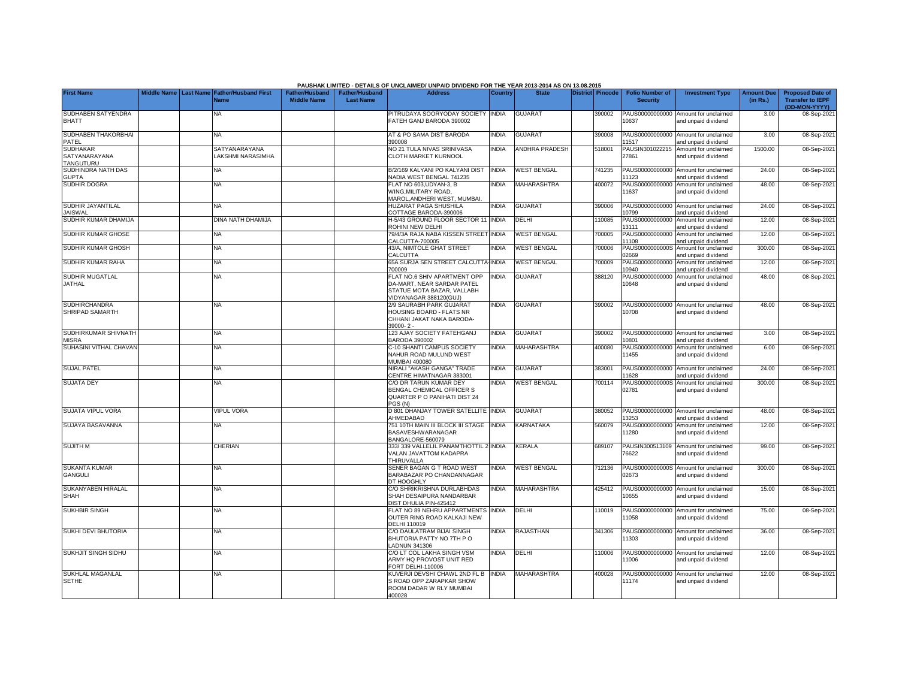|                                         |             |                  |                             |                       |                       | PAUSHAK LIMITED - DETAILS OF UNCLAIMED/ UNPAID DIVIDEND FOR THE YEAR 2013-2014 AS ON 13.08.2015 |                |                       |                  |                          |                                                             |                   |                                          |
|-----------------------------------------|-------------|------------------|-----------------------------|-----------------------|-----------------------|-------------------------------------------------------------------------------------------------|----------------|-----------------------|------------------|--------------------------|-------------------------------------------------------------|-------------------|------------------------------------------|
| <b>First Name</b>                       | Middle Name | <b>Last Name</b> | <b>Father/Husband First</b> | <b>Father/Husband</b> | <b>Father/Husband</b> | <b>Address</b>                                                                                  | <b>Country</b> | <b>State</b>          | District Pincode | <b>Folio Number of</b>   | <b>Investment Type</b>                                      | <b>Amount Due</b> | <b>Proposed Date of</b>                  |
|                                         |             |                  | <b>Name</b>                 | <b>Middle Name</b>    | <b>Last Name</b>      |                                                                                                 |                |                       |                  | <b>Security</b>          |                                                             | (in Rs.)          | <b>Transfer to IEPF</b><br>(DD-MON-YYYY) |
| SUDHABEN SATYENDRA                      |             |                  | NA                          |                       |                       | PITRUDAYA SOORYODAY SOCIETY INDIA                                                               |                | <b>GUJARAT</b>        | 390002           | PAUS00000000000          | Amount for unclaimed                                        | 3.00              | 08-Sep-202                               |
| <b>BHATT</b>                            |             |                  |                             |                       |                       | FATEH GANJ BARODA 390002                                                                        |                |                       |                  | 10637                    | and unpaid dividend                                         |                   |                                          |
| SUDHABEN THAKORBHAI                     |             |                  | NA.                         |                       |                       | AT & PO SAMA DIST BARODA                                                                        | <b>INDIA</b>   | <b>GUJARAT</b>        | 390008           |                          | PAUS00000000000 Amount for unclaimed                        | 3.00              | 08-Sep-202                               |
| PATEL                                   |             |                  |                             |                       |                       | 390008                                                                                          |                |                       |                  | 11517                    | and unpaid dividend                                         |                   |                                          |
| <b>SUDHAKAR</b>                         |             |                  | SATYANARAYANA               |                       |                       | NO 21 TULA NIVAS SRINIVASA                                                                      | <b>INDIA</b>   | <b>ANDHRA PRADESH</b> | 518001           | PAUSIN301022215          | Amount for unclaimed                                        | 1500.00           | 08-Sep-2021                              |
| SATYANARAYANA<br>TANGUTURU              |             |                  | LAKSHMI NARASIMHA           |                       |                       | <b>CLOTH MARKET KURNOOL</b>                                                                     |                |                       |                  | 27861                    | and unpaid dividend                                         |                   |                                          |
| SUDHINDRA NATH DAS                      |             |                  | <b>NA</b>                   |                       |                       | B/2/169 KALYANI PO KALYANI DIST                                                                 | <b>INDIA</b>   | <b>WEST BENGAL</b>    | 741235           |                          | PAUS00000000000 Amount for unclaimed                        | 24.00             | 08-Sep-202                               |
| <b>GUPTA</b>                            |             |                  |                             |                       |                       | NADIA WEST BENGAL 741235                                                                        |                |                       |                  | 11123                    | and unpaid dividend                                         |                   |                                          |
| SUDHIR DOGRA                            |             |                  | <b>NA</b>                   |                       |                       | FLAT NO 603.UDYAN-3. B<br>WING.MILITARY ROAD.                                                   | <b>INDIA</b>   | MAHARASHTRA           | 400072           | PAUS00000000000<br>11637 | Amount for unclaimed<br>and unpaid dividend                 | 48.00             | 08-Sep-2021                              |
|                                         |             |                  |                             |                       |                       | MAROL.ANDHERI WEST, MUMBAI,                                                                     |                |                       |                  |                          |                                                             |                   |                                          |
| SUDHIR JAYANTILAL                       |             |                  | <b>NA</b>                   |                       |                       | HUZARAT PAGA SHUSHILA                                                                           | <b>NDIA</b>    | <b>GUJARAT</b>        | 390006           |                          | PAUS00000000000 Amount for unclaimed                        | 24.00             | 08-Sep-202                               |
| <b>JAISWAL</b><br>SUDHIR KUMAR DHAMIJA  |             |                  | DINA NATH DHAMIJA           |                       |                       | COTTAGE BARODA-390006<br>H-5/43 GROUND FLOOR SECTOR 11 INDIA                                    |                | DELHI                 | 110085           | 10799                    | and unpaid dividend<br>PAUS00000000000 Amount for unclaimed | 12.00             | 08-Sep-202                               |
|                                         |             |                  |                             |                       |                       | ROHINI NEW DELHI                                                                                |                |                       |                  | 13111                    | and unpaid dividend                                         |                   |                                          |
| SUDHIR KUMAR GHOSE                      |             |                  | <b>NA</b>                   |                       |                       | 79/4/3A RAJA NABA KISSEN STREET INDIA                                                           |                | <b>WEST BENGAL</b>    | 700005           |                          | PAUS00000000000 Amount for unclaimed                        | 12.00             | 08-Sep-202                               |
|                                         |             |                  | <b>NA</b>                   |                       |                       | CALCUTTA-700005                                                                                 |                |                       |                  | 11108                    | and unpaid dividend                                         |                   |                                          |
| SUDHIR KUMAR GHOSH                      |             |                  |                             |                       |                       | 43/A, NIMTOLE GHAT STREET<br>CALCUTTA                                                           | <b>INDIA</b>   | <b>WEST BENGAL</b>    | 700006           | 02669                    | PAUS0000000000S Amount for unclaimed<br>and unpaid dividend | 300.00            | 08-Sep-202                               |
| SUDHIR KUMAR RAHA                       |             |                  | <b>NA</b>                   |                       |                       | 65A SURJA SEN STREET CALCUTTA-INDIA                                                             |                | <b>WEST BENGAL</b>    | 700009           | PAUS00000000000          | Amount for unclaimed                                        | 12.00             | 08-Sep-202                               |
|                                         |             |                  |                             |                       |                       | 700009                                                                                          |                |                       |                  | 10940                    | and unpaid dividend                                         |                   |                                          |
| SUDHIR MUGATLAL<br><b>JATHAL</b>        |             |                  | NA.                         |                       |                       | FLAT NO.6 SHIV APARTMENT OPP<br>DA-MART, NEAR SARDAR PATEL                                      | <b>INDIA</b>   | <b>GUJARAT</b>        | 388120           | PAUS00000000000<br>10648 | Amount for unclaimed<br>and unpaid dividend                 | 48.00             | 08-Sep-202                               |
|                                         |             |                  |                             |                       |                       | STATUE MOTA BAZAR, VALLABH                                                                      |                |                       |                  |                          |                                                             |                   |                                          |
|                                         |             |                  |                             |                       |                       | /IDYANAGAR 388120(GUJ)                                                                          |                |                       |                  |                          |                                                             |                   |                                          |
| <b>SUDHIRCHANDRA</b><br>SHRIPAD SAMARTH |             |                  | <b>NA</b>                   |                       |                       | 2/9 SAURABH PARK GUJARAT                                                                        | <b>INDIA</b>   | GUJARAT               | 390002           | PAUS00000000000<br>10708 | Amount for unclaimed                                        | 48.00             | 08-Sep-202                               |
|                                         |             |                  |                             |                       |                       | HOUSING BOARD - FLATS NR<br>CHHANI JAKAT NAKA BARODA-                                           |                |                       |                  |                          | and unpaid dividend                                         |                   |                                          |
|                                         |             |                  |                             |                       |                       | 39000-2-                                                                                        |                |                       |                  |                          |                                                             |                   |                                          |
| SUDHIRKUMAR SHIVNATH                    |             |                  | <b>NA</b>                   |                       |                       | 123 AJAY SOCIETY FATEHGANJ                                                                      | <b>INDIA</b>   | <b>GUJARAT</b>        | 390002           |                          | PAUS00000000000 Amount for unclaimed                        | 3.00              | 08-Sep-202                               |
| <b>MISRA</b><br>SUHASINI VITHAL CHAVAN  |             |                  | <b>NA</b>                   |                       |                       | BARODA 390002<br>C-10 SHANTI CAMPUS SOCIETY                                                     | <b>INDIA</b>   | MAHARASHTRA           | 400080           | 10801<br>PAUS00000000000 | and unpaid dividend<br>Amount for unclaimed                 | 6.00              | 08-Sep-202                               |
|                                         |             |                  |                             |                       |                       | NAHUR ROAD MULUND WEST                                                                          |                |                       |                  | 11455                    | and unpaid dividend                                         |                   |                                          |
|                                         |             |                  |                             |                       |                       | MUMBAI 400080                                                                                   |                |                       |                  |                          |                                                             |                   |                                          |
| <b>SUJAL PATEL</b>                      |             |                  | <b>NA</b>                   |                       |                       | NIRALI "AKASH GANGA" TRADE<br>CENTRE HIMATNAGAR 383001                                          | <b>INDIA</b>   | <b>GUJARAT</b>        | 383001           | 1628                     | PAUS00000000000 Amount for unclaimed<br>and unpaid dividend | 24.00             | 08-Sep-202                               |
| <b>SUJATA DEY</b>                       |             |                  | NA                          |                       |                       | C/O DR TARUN KUMAR DEY                                                                          | <b>INDIA</b>   | <b>WEST BENGAL</b>    | 700114           | PAUS0000000000S          | Amount for unclaimed                                        | 300.00            | 08-Sep-202                               |
|                                         |             |                  |                             |                       |                       | BENGAL CHEMICAL OFFICER S                                                                       |                |                       |                  | 02781                    | and unpaid dividend                                         |                   |                                          |
|                                         |             |                  |                             |                       |                       | QUARTER P O PANIHATI DIST 24<br>PGS (N)                                                         |                |                       |                  |                          |                                                             |                   |                                          |
| <b>SUJATA VIPUL VORA</b>                |             |                  | <b>VIPUL VORA</b>           |                       |                       | D 801 DHANJAY TOWER SATELLITE INDIA                                                             |                | <b>GUJARAT</b>        | 380052           |                          | PAUS00000000000 Amount for unclaimed                        | 48.00             | 08-Sep-202                               |
|                                         |             |                  |                             |                       |                       | AHMEDABAD                                                                                       |                |                       |                  | 3253                     | and unpaid dividend                                         |                   |                                          |
| SUJAYA BASAVANNA                        |             |                  | <b>NA</b>                   |                       |                       | 751 10TH MAIN III BLOCK III STAGE<br><b>BASAVESHWARANAGAR</b>                                   | <b>INDIA</b>   | <b>KARNATAKA</b>      | 560079           | PAUS00000000000<br>1280  | Amount for unclaimed<br>and unpaid dividend                 | 12.00             | 08-Sep-202                               |
|                                         |             |                  |                             |                       |                       | BANGALORE-560079                                                                                |                |                       |                  |                          |                                                             |                   |                                          |
| <b>SUJITH M</b>                         |             |                  | CHERIAN                     |                       |                       | 333/339 VALLELIL PANAMTHOTTIL 2 INDIA                                                           |                | KERALA                | 689107           |                          | PAUSIN300513109 Amount for unclaimed                        | 99.00             | 08-Sep-202                               |
|                                         |             |                  |                             |                       |                       | VALAN JAVATTOM KADAPRA<br>THIRUVALLA                                                            |                |                       |                  | '6622                    | and unpaid dividend                                         |                   |                                          |
| <b>SUKANTA KUMAR</b>                    |             |                  | <b>NA</b>                   |                       |                       | SENER BAGAN G T ROAD WEST                                                                       | <b>NDIA</b>    | <b>WEST BENGAL</b>    | 712136           |                          | PAUS0000000000S Amount for unclaimed                        | 300.00            | 08-Sep-202                               |
| GANGULI                                 |             |                  |                             |                       |                       | BARABAZAR PO CHANDANNAGAR                                                                       |                |                       |                  | 02673                    | and unpaid dividend                                         |                   |                                          |
| SUKANYABEN HIRALAL                      |             |                  | <b>NA</b>                   |                       |                       | <b>DT HOOGHLY</b><br>C/O SHRIKRISHNA DURLABHDAS                                                 |                | <b>MAHARASHTRA</b>    |                  |                          |                                                             |                   |                                          |
| <b>SHAH</b>                             |             |                  |                             |                       |                       | SHAH DESAIPURA NANDARBAR                                                                        | <b>NDIA</b>    |                       | 425412           | 10655                    | PAUS00000000000 Amount for unclaimed<br>and unpaid dividend | 15.00             | 08-Sep-202                               |
|                                         |             |                  |                             |                       |                       | DIST DHULIA PIN-425412                                                                          |                |                       |                  |                          |                                                             |                   |                                          |
| <b>SUKHBIR SINGH</b>                    |             |                  | <b>NA</b>                   |                       |                       | FLAT NO 89 NEHRU APPARTMENTS                                                                    | <b>NDIA</b>    | DELHI                 | 110019           |                          | PAUS00000000000 Amount for unclaimed                        | 75.00             | 08-Sep-202                               |
|                                         |             |                  |                             |                       |                       | OUTER RING ROAD KALKAJI NEW<br>DELHI 110019                                                     |                |                       |                  | 1058                     | and unpaid dividend                                         |                   |                                          |
| <b>SUKHI DEVI BHUTORIA</b>              |             |                  | <b>NA</b>                   |                       |                       | C/O DAULATRAM BIJAI SINGH                                                                       | <b>INDIA</b>   | RAJASTHAN             | 341306           |                          | PAUS00000000000 Amount for unclaimed                        | 36.00             | 08-Sep-2021                              |
|                                         |             |                  |                             |                       |                       | BHUTORIA PATTY NO 7TH PO                                                                        |                |                       |                  | 11303                    | and unpaid dividend                                         |                   |                                          |
| <b>SUKHJIT SINGH SIDHU</b>              |             |                  | NA                          |                       |                       | <b>ADNUN 341306</b><br>C/O LT COL LAKHA SINGH VSM                                               | <b>INDIA</b>   | DELHI                 | 110006           |                          | PAUS00000000000 Amount for unclaimed                        | 12.00             | 08-Sep-202                               |
|                                         |             |                  |                             |                       |                       | ARMY HQ PROVOST UNIT RED                                                                        |                |                       |                  | 1006                     | and unpaid dividend                                         |                   |                                          |
|                                         |             |                  |                             |                       |                       | FORT DELHI-110006                                                                               |                |                       |                  |                          |                                                             |                   |                                          |
| <b>SUKHLAL MAGANLAL</b>                 |             |                  | <b>NA</b>                   |                       |                       | KUVERJI DEVSHI CHAWL 2ND FL B                                                                   | <b>INDIA</b>   | MAHARASHTRA           | 400028           | PAUS00000000000<br>11174 | Amount for unclaimed                                        | 12.00             | 08-Sep-2021                              |
| <b>SETHE</b>                            |             |                  |                             |                       |                       | S ROAD OPP ZARAPKAR SHOW<br>ROOM DADAR W RLY MUMBAI                                             |                |                       |                  |                          | and unpaid dividend                                         |                   |                                          |
|                                         |             |                  |                             |                       |                       | 400028                                                                                          |                |                       |                  |                          |                                                             |                   |                                          |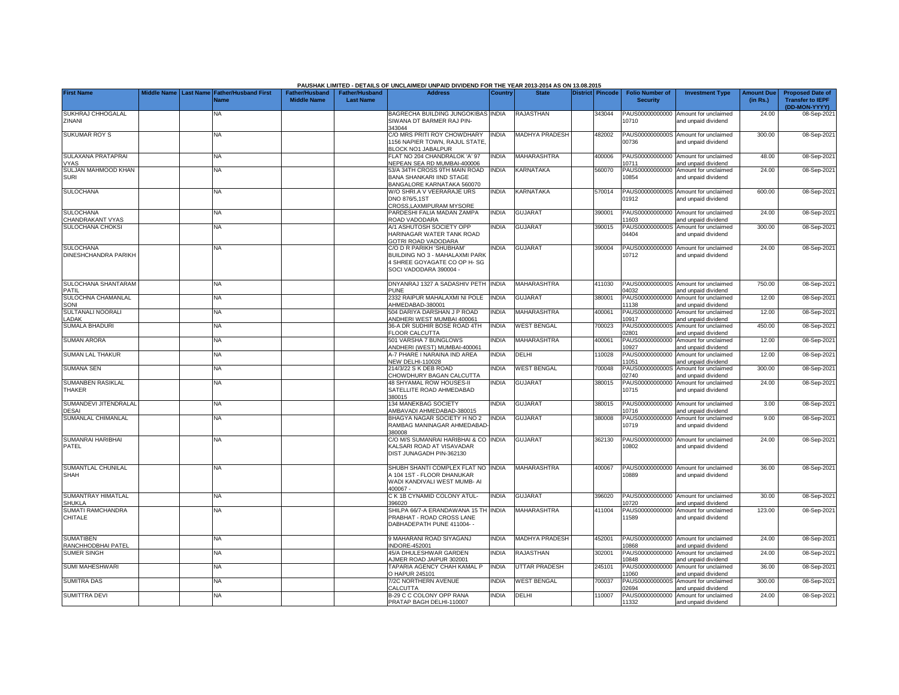|                                            |  |                                                           |                                             |                                           | PAUSHAK LIMITED - DETAILS OF UNCLAIMED/ UNPAID DIVIDEND FOR THE YEAR 2013-2014 AS ON 13.08.2015                     |                |                       |                         |                                           |                                                             |                               |                                                                     |
|--------------------------------------------|--|-----------------------------------------------------------|---------------------------------------------|-------------------------------------------|---------------------------------------------------------------------------------------------------------------------|----------------|-----------------------|-------------------------|-------------------------------------------|-------------------------------------------------------------|-------------------------------|---------------------------------------------------------------------|
| <b>First Name</b>                          |  | Middle Name Last Name Father/Husband First<br><b>Vame</b> | <b>Father/Husband</b><br><b>Middle Name</b> | <b>Father/Husband</b><br><b>Last Name</b> | <b>Address</b>                                                                                                      | <b>Country</b> | <b>State</b>          | <b>District</b> Pincode | <b>Folio Number of</b><br><b>Security</b> | <b>Investment Type</b>                                      | <b>Amount Due</b><br>(in Rs.) | <b>Proposed Date of</b><br><b>Transfer to IEPF</b><br>(DD-MON-YYYY) |
| SUKHRAJ CHHOGALAL<br>ZINANI                |  | NA.                                                       |                                             |                                           | BAGRECHA BUILDING JUNGOKIBAS INDIA<br>SIWANA DT BARMER RAJ PIN-<br>343044                                           |                | <b>RAJASTHAN</b>      | 343044                  | PAUS00000000000<br>10710                  | Amount for unclaimed<br>and unpaid dividend                 | 24.00                         | 08-Sep-2021                                                         |
| <b>SUKUMAR ROY S</b>                       |  | NA                                                        |                                             |                                           | C/O MRS PRITI ROY CHOWDHARY<br>156 NAPIER TOWN, RAJUL STATE.<br><b>BLOCK NO1 JABALPUR</b>                           | <b>INDIA</b>   | <b>MADHYA PRADESH</b> | 482002                  | 00736                                     | PAUS0000000000S Amount for unclaimed<br>and unpaid dividend | 300.00                        | 08-Sep-2021                                                         |
| SULAXANA PRATAPRAI                         |  | NA                                                        |                                             |                                           | FLAT NO 204 CHANDRALOK 'A' 97<br><b>VEPEAN SEA RD MUMBAI-400006</b>                                                 | <b>NDIA</b>    | <b>MAHARASHTRA</b>    | 400006                  | PAUS00000000000<br>10711                  | Amount for unclaimed<br>nd unpaid dividend                  | 48.00                         | 08-Sep-2021                                                         |
| VYAS<br>SULJAN MAHMOOD KHAN<br><b>SURI</b> |  | NA                                                        |                                             |                                           | 53/A 34TH CROSS 9TH MAIN ROAD<br><b>BANA SHANKARI IIND STAGE</b><br>BANGALORE KARNATAKA 560070                      | <b>INDIA</b>   | <b>KARNATAKA</b>      | 560070                  | PAUS00000000000<br>10854                  | Amount for unclaimed<br>and unpaid dividend                 | 24.00                         | 08-Sep-2021                                                         |
| <b>SULOCHANA</b>                           |  | NA.                                                       |                                             |                                           | W/O SHRI.A V VEERARAJE URS<br>DNO 876/5,1ST                                                                         | <b>NDIA</b>    | <b>KARNATAKA</b>      | 570014                  | 01912                                     | PAUS0000000000S Amount for unclaimed<br>and unpaid dividend | 600.00                        | 08-Sep-2021                                                         |
| <b>SULOCHANA</b><br>CHANDRAKANT VYAS       |  | NA                                                        |                                             |                                           | CROSS, LAXMIPURAM MYSORE<br>PARDESHI FALIA MADAN ZAMPA<br>ROAD VADODARA                                             | INDIA          | <b>GUJARAT</b>        | 390001                  | PAUS00000000000<br>11603                  | Amount for unclaimed<br>and unpaid dividend                 | 24.00                         | 08-Sep-2021                                                         |
| SULOCHANA CHOKSI                           |  | NΑ                                                        |                                             |                                           | A/1 ASHUTOSH SOCIETY OPP<br>HARINAGAR WATER TANK ROAD<br><b>GOTRI ROAD VADODARA</b>                                 | <b>NDIA</b>    | <b>GUJARAT</b>        | 390015                  | PAUS0000000000S<br>04404                  | Amount for unclaimed<br>and unpaid dividend                 | 300.00                        | 08-Sep-2021                                                         |
| <b>SULOCHANA</b><br>DINESHCHANDRA PARIKH   |  | NA                                                        |                                             |                                           | C/O D R PARIKH 'SHUBHAM<br>BUILDING NO 3 - MAHALAXMI PARK<br>4 SHREE GOYAGATE CO OP H- SG<br>SOCI VADODARA 390004 - | <b>NDIA</b>    | <b>GUJARAT</b>        | 390004                  | PAUS00000000000<br>10712                  | Amount for unclaimed<br>and unpaid dividend                 | 24.00                         | 08-Sep-2021                                                         |
| SULOCHANA SHANTARAM<br>PATIL               |  | NA                                                        |                                             |                                           | DNYANRAJ 1327 A SADASHIV PETH INDIA<br>PUNE                                                                         |                | MAHARASHTRA           | 411030                  | 04032                                     | PAUS0000000000S Amount for unclaimed<br>and unpaid dividend | 750.00                        | 08-Sep-2021                                                         |
| SULOCHNA CHAMANLAL<br>SONI                 |  | NA                                                        |                                             |                                           | 2332 RAIPUR MAHALAXMI NI POLE<br>AHMEDABAD-380001                                                                   | <b>INDIA</b>   | <b>GUJARAT</b>        | 380001                  | PAUS00000000000<br>11138                  | Amount for unclaimed<br>and unpaid dividend                 | 12.00                         | 08-Sep-2021                                                         |
| SULTANALI NOORALI<br>LADAK                 |  | NA                                                        |                                             |                                           | 504 DARIYA DARSHAN J P ROAD<br>ANDHERI WEST MUMBAI 400061                                                           | INDIA          | MAHARASHTRA           | 400061                  | PAUS00000000000<br>10917                  | Amount for unclaimed<br>and unpaid dividend                 | 12.00                         | 08-Sep-2021                                                         |
| <b>SUMALA BHADURI</b>                      |  | NA.                                                       |                                             |                                           | 36-A DR SUDHIR BOSE ROAD 4TH<br><b>FLOOR CALCUTTA</b>                                                               | <b>INDIA</b>   | <b>WEST BENGAL</b>    | 700023                  | PAUS0000000000S<br>02801                  | Amount for unclaimed<br>and unpaid dividend                 | 450.00                        | 08-Sep-2021                                                         |
| <b>SUMAN ARORA</b>                         |  | NA                                                        |                                             |                                           | 501 VARSHA 7 BUNGLOWS<br>ANDHERI (WEST) MUMBAI-400061                                                               | <b>NDIA</b>    | <b>MAHARASHTRA</b>    | 400061                  | PAUS00000000000<br>10927                  | Amount for unclaimed<br>and unpaid dividend                 | 12.00                         | 08-Sep-2021                                                         |
| <b>SUMAN LAL THAKUR</b>                    |  | NA                                                        |                                             |                                           | A-7 PHARE I NARAINA IND AREA<br><b>NEW DELHI-110028</b>                                                             | <b>INDIA</b>   | <b>DELHI</b>          | 110028                  | PAUS00000000000<br>11051                  | Amount for unclaimed<br>and unpaid dividend                 | 12.00                         | 08-Sep-2021                                                         |
| <b>SUMANA SEN</b>                          |  | NA                                                        |                                             |                                           | 214/3/22 S K DEB ROAD<br>CHOWDHURY BAGAN CALCUTTA                                                                   | <b>INDIA</b>   | <b>WEST BENGAL</b>    | 700048                  | PAUS0000000000S<br>02740                  | Amount for unclaimed<br>and unpaid dividend                 | 300.00                        | 08-Sep-2021                                                         |
| <b>SUMANBEN RASIKLAL</b><br><b>THAKER</b>  |  | NA.                                                       |                                             |                                           | 48 SHYAMAL ROW HOUSES-II<br>SATELLITE ROAD AHMEDABAD<br>380015                                                      | <b>NDIA</b>    | <b>GUJARAT</b>        | 380015                  | PAUS00000000000<br>10715                  | Amount for unclaimed<br>and unpaid dividend                 | 24.00                         | 08-Sep-2021                                                         |
| SUMANDEVI JITENDRALAL<br><b>DESAI</b>      |  | <b>NA</b>                                                 |                                             |                                           | 134 MANEKBAG SOCIETY<br>AMBAVADI AHMEDABAD-380015                                                                   | <b>NDIA</b>    | <b>GUJARAT</b>        | 380015                  | PAUS00000000000<br>10716                  | Amount for unclaimed<br>and unpaid dividend                 | 3.00                          | 08-Sep-2021                                                         |
| SUMANLAL CHIMANLAL                         |  | <b>NA</b>                                                 |                                             |                                           | BHAGYA NAGAR SOCIETY H NO 2<br>RAMBAG MANINAGAR AHMEDABAD<br>380008                                                 | INDIA          | <b>GUJARAT</b>        | 380008                  | PAUS00000000000<br>10719                  | Amount for unclaimed<br>and unpaid dividend                 | 9.00                          | 08-Sep-2021                                                         |
| SUMANRAI HARIBHAI<br>PATEL                 |  | <b>NA</b>                                                 |                                             |                                           | C/O M/S SUMANRAI HARIBHAI & CO INDIA<br>KALSARI ROAD AT VISAVADAR<br>DIST JUNAGADH PIN-362130                       |                | <b>GUJARAT</b>        | 362130                  | PAUS00000000000<br>10802                  | Amount for unclaimed<br>and unpaid dividend                 | 24.00                         | 08-Sep-2021                                                         |
| SUMANTLAL CHUNILAL<br><b>SHAH</b>          |  | <b>NA</b>                                                 |                                             |                                           | SHUBH SHANTI COMPLEX FLAT NO INDIA<br>A 104 1ST - FLOOR DHANUKAR<br>WADI KANDIVALI WEST MUMB- AI<br>400067 -        |                | <b>MAHARASHTRA</b>    | 400067                  | PAUS00000000000<br>10889                  | Amount for unclaimed<br>and unpaid dividend                 | 36.00                         | 08-Sep-2021                                                         |
| SUMANTRAY HIMATLAL<br><b>SHUKLA</b>        |  | NA                                                        |                                             |                                           | C K 1B CYNAMID COLONY ATUL-<br>96020                                                                                | <b>INDIA</b>   | <b>GUJARAT</b>        | 396020                  | PAUS00000000000<br>10720                  | Amount for unclaimed<br>and unpaid dividend                 | 30.00                         | 08-Sep-2021                                                         |
| SUMATI RAMCHANDRA<br>CHITALE               |  | <b>NA</b>                                                 |                                             |                                           | SHILPA 66/7-A ERANDAWANA 15 TH INDIA<br>PRABHAT - ROAD CROSS LANE<br>DABHADEPATH PUNE 411004--                      |                | <b>MAHARASHTRA</b>    | 411004                  | PAUS00000000000<br>11589                  | Amount for unclaimed<br>and unpaid dividend                 | 123.00                        | 08-Sep-2021                                                         |
| <b>SUMATIBEN</b><br>RANCHHODBHAI PATEL     |  | NA                                                        |                                             |                                           | 9 MAHARANI ROAD SIYAGANJ<br>NDORE-452001                                                                            | <b>NDIA</b>    | <b>MADHYA PRADESH</b> | 452001                  | 10868                                     | PAUS00000000000 Amount for unclaimed<br>and unpaid dividend | 24.00                         | 08-Sep-2021                                                         |
| <b>SUMER SINGH</b>                         |  | NA                                                        |                                             |                                           | 45/A DHULESHWAR GARDEN<br><b>AJMER ROAD JAIPUR 302001</b>                                                           | INDIA          | <b>RAJASTHAN</b>      | 302001                  | PAUS00000000000<br>10848                  | Amount for unclaimed<br>and unpaid dividend                 | 24.00                         | 08-Sep-2021                                                         |
| <b>SUMI MAHESHWARI</b>                     |  | NA                                                        |                                             |                                           | TAPARIA AGENCY CHAH KAMAL P<br>O HAPUR 245101                                                                       | <b>INDIA</b>   | UTTAR PRADESH         | 245101                  | PAUS00000000000<br>11060                  | Amount for unclaimed<br>and unpaid dividend                 | 36.00                         | 08-Sep-2021                                                         |
| <b>SUMITRA DAS</b>                         |  | <b>NA</b>                                                 |                                             |                                           | 7/2C NORTHERN AVENUE<br><b>CALCUTTA</b>                                                                             | <b>NDIA</b>    | <b>WEST BENGAL</b>    | 700037                  | PAUS0000000000S<br>02694                  | Amount for unclaimed<br>and unpaid dividend                 | 300.00                        | 08-Sep-2021                                                         |
| <b>SUMITTRA DEVI</b>                       |  | NA.                                                       |                                             |                                           | B-29 C C COLONY OPP RANA<br>PRATAP BAGH DELHI-110007                                                                | <b>INDIA</b>   | DELHI                 | 110007                  | PAUS00000000000<br>11332                  | Amount for unclaimed<br>and unpaid dividend                 | 24.00                         | 08-Sep-2021                                                         |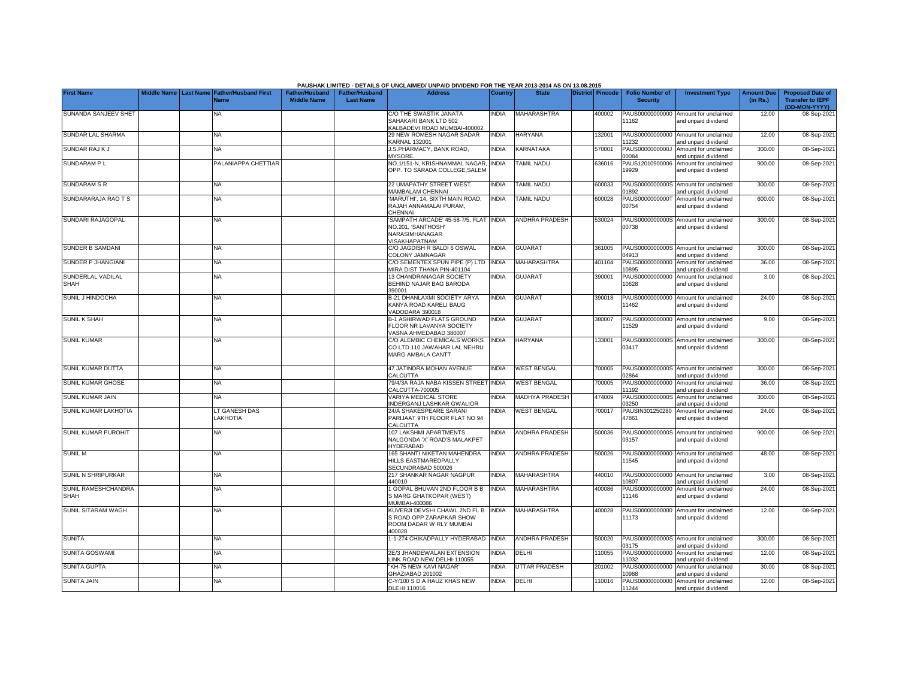|                                           |             |                                                      |                                             |                                           | PAUSHAK LIMITED - DETAILS OF UNCLAIMED/ UNPAID DIVIDEND FOR THE YEAR 2013-2014 AS ON 13.08.2015       |              |                       |                         |                                           |                                                             |                               |                                                                     |
|-------------------------------------------|-------------|------------------------------------------------------|---------------------------------------------|-------------------------------------------|-------------------------------------------------------------------------------------------------------|--------------|-----------------------|-------------------------|-------------------------------------------|-------------------------------------------------------------|-------------------------------|---------------------------------------------------------------------|
| <b>First Name</b>                         | Middle Name | <b>Last Name Father/Husband First</b><br><b>Name</b> | <b>Father/Husband</b><br><b>Middle Name</b> | <b>Father/Husband</b><br><b>Last Name</b> | <b>Address</b>                                                                                        | Country      | <b>State</b>          | <b>District Pincode</b> | <b>Folio Number of</b><br><b>Security</b> | <b>Investment Type</b>                                      | <b>Amount Due</b><br>(in Rs.) | <b>Proposed Date of</b><br><b>Transfer to IEPF</b><br>(DD-MON-YYYY) |
| SUNANDA SANJEEV SHET                      |             | <b>NA</b>                                            |                                             |                                           | C/O THE SWASTIK JANATA<br>SAHAKARI BANK LTD 502<br>KALBADEVI ROAD MUMBAI-400002                       | <b>NDIA</b>  | <b>MAHARASHTRA</b>    | 400002                  | PAUS00000000000<br>11162                  | Amount for unclaimed<br>and unpaid dividend                 | 12.00                         | 08-Sep-2021                                                         |
| SUNDAR LAL SHARMA                         |             | <b>NA</b>                                            |                                             |                                           | 29 NEW ROMESH NAGAR SADAR<br><b>KARNAL 132001</b>                                                     | <b>NDIA</b>  | <b>HARYANA</b>        | 132001                  | 1232                                      | PAUS00000000000 Amount for unclaimed<br>and unpaid dividend | 12.00                         | 08-Sep-202                                                          |
| <b>SUNDAR RAJ KJ</b>                      |             | <b>NA</b>                                            |                                             |                                           | J.S.PHARMACY, BANK ROAD,<br><b>MYSORE</b>                                                             | <b>NDIA</b>  | KARNATAKA             | 570001                  | PAUS0000000000J<br>00084                  | Amount for unclaimed<br>and unpaid dividend                 | 300.00                        | 08-Sep-202                                                          |
| SUNDARAM PL                               |             | PALANIAPPA CHETTIAR                                  |                                             |                                           | NO.1/151-N, KRISHNAMMAL NAGAR,<br>OPP. TO SARADA COLLEGE, SALEM                                       | <b>INDIA</b> | <b>TAMIL NADU</b>     | 636016                  | PAUS12010900006<br>19929                  | Amount for unclaimed<br>and unpaid dividend                 | 900.00                        | 08-Sep-202                                                          |
| <b>SUNDARAM S R</b>                       |             | <b>NA</b>                                            |                                             |                                           | 22 UMAPATHY STREET WEST<br><b>MAMBALAM CHENNAI</b>                                                    | <b>INDIA</b> | <b>TAMIL NADU</b>     | 600033                  | PAUS0000000000S<br>1892                   | Amount for unclaimed<br>and unpaid dividend                 | 300.00                        | 08-Sep-202                                                          |
| SUNDARARAJA RAO T S                       |             | <b>NA</b>                                            |                                             |                                           | MARUTHI', 14, SIXTH MAIN ROAD,<br>RAJAH ANNAMALAI PURAM,<br>CHENNAI                                   | <b>INDIA</b> | TAMIL NADU            | 600028                  | PAUS0000000000T<br>00754                  | Amount for unclaimed<br>and unpaid dividend                 | 600.00                        | 08-Sep-202                                                          |
| SUNDARI RAJAGOPAL                         |             | <b>NA</b>                                            |                                             |                                           | SAMPATH ARCADE' 45-58-7/5, FLAT INDIA<br>NO.201. 'SANTHOSH'<br>NARASIMHANAGAR<br><b>/ISAKHAPATNAM</b> |              | <b>ANDHRA PRADESH</b> | 530024                  | 00738                                     | PAUS0000000000S Amount for unclaimed<br>and unpaid dividend | 300.00                        | 08-Sep-202                                                          |
| SUNDER B SAMDANI                          |             | NA                                                   |                                             |                                           | C/O JAGDISH R BALDI 6 OSWAL<br>COLONY JAMNAGAR                                                        | <b>INDIA</b> | <b>GUJARAT</b>        | 361005                  | 14913                                     | PAUS0000000000S Amount for unclaimed<br>and unpaid dividend | 300.00                        | 08-Sep-202                                                          |
| SUNDER P JHANGIANI                        |             | <b>NA</b>                                            |                                             |                                           | C/O SEMENTEX SPUN PIPE (P) LTD<br>MIRA DIST THANA PIN-401104                                          | <b>INDIA</b> | MAHARASHTRA           | 401104                  | PAUS00000000000<br>10895                  | Amount for unclaimed<br>and unpaid dividend                 | 36.00                         | 08-Sep-202                                                          |
| SUNDERLAL VADILAL<br><b>SHAH</b>          |             | ΝA                                                   |                                             |                                           | 13 CHANDRANAGAR SOCIETY<br>BEHIND NAJAR BAG BARODA<br>390001                                          | <b>NDIA</b>  | <b>GUJARAT</b>        | 390001                  | PAUS00000000000<br>10628                  | Amount for unclaimed<br>and unpaid dividend                 | 3.00                          | 08-Sep-2021                                                         |
| SUNIL J HINDOCHA                          |             | <b>NA</b>                                            |                                             |                                           | <b>B-21 DHANLAXMI SOCIETY ARYA</b><br>KANYA ROAD KARELI BAUG<br><b>/ADODARA 390018</b>                | <b>NDIA</b>  | <b>GUJARAT</b>        | 390018                  | 11462                                     | PAUS00000000000 Amount for unclaimed<br>and unpaid dividend | 24.00                         | 08-Sep-202                                                          |
| <b>SUNIL K SHAH</b>                       |             | <b>NA</b>                                            |                                             |                                           | <b>B-1 ASHIRWAD FLATS GROUND</b><br>FLOOR NR LAVANYA SOCIETY<br>VASNA AHMEDABAD 380007                | <b>NDIA</b>  | <b>GUJARA1</b>        | 380007                  | PAUS00000000000<br>11529                  | Amount for unclaimed<br>and unpaid dividend                 | 9.00                          | 08-Sep-202                                                          |
| <b>SUNIL KUMAR</b>                        |             | <b>NA</b>                                            |                                             |                                           | C/O ALEMBIC CHEMICALS WORKS<br>CO LTD 110 JAWAHAR LAL NEHRU<br>MARG AMBALA CANTT                      | <b>INDIA</b> | <b>HARYANA</b>        | 133001                  | 03417                                     | PAUS0000000000S Amount for unclaimed<br>and unpaid dividend | 300.00                        | 08-Sep-202                                                          |
| SUNIL KUMAR DUTTA                         |             | <b>NA</b>                                            |                                             |                                           | 47 JATINDRA MOHAN AVENUE<br>CALCUTTA                                                                  | <b>INDIA</b> | <b>WEST BENGAL</b>    | 700005                  | 02864                                     | PAUS0000000000S Amount for unclaimed<br>nd unpaid dividend  | 300.00                        | 08-Sep-202                                                          |
| SUNIL KUMAR GHOSE                         |             | <b>NA</b>                                            |                                             |                                           | 79/4/3A RAJA NABA KISSEN STREET INDIA<br>CALCUTTA-700005                                              |              | <b>WEST BENGAL</b>    | 700005                  | PAUS00000000000<br>1192                   | Amount for unclaimed<br>nd unpaid dividend                  | 36.00                         | 08-Sep-202                                                          |
| <b>SUNIL KUMAR JAIN</b>                   |             | ΝA                                                   |                                             |                                           | <b>VARIYA MEDICAL STORE</b><br><b>NDERGANJ LASHKAR GWALIOR</b>                                        | <b>NDIA</b>  | <b>MADHYA PRADESH</b> | 474009                  | PAUS0000000000S<br>3250                   | Amount for unclaimed<br>and unpaid dividend                 | 300.00                        | 08-Sep-202                                                          |
| SUNIL KUMAR LAKHOTIA                      |             | LT GANESH DAS<br>LAKHOTIA                            |                                             |                                           | 24/A SHAKESPEARE SARANI<br>PARIJAAT 9TH FLOOR FLAT NO 94<br>CALCUTTA                                  | <b>NDIA</b>  | <b>WEST BENGAL</b>    | 700017                  | PAUSIN301250280<br>47861                  | Amount for unclaimed<br>and unpaid dividend                 | 24.00                         | 08-Sep-2021                                                         |
| SUNIL KUMAR PUROHIT                       |             | <b>NA</b>                                            |                                             |                                           | 107 LAKSHMI APARTMENTS<br>NALGONDA 'X' ROAD'S MALAKPET<br>HYDERABAD                                   | NDIA         | <b>ANDHRA PRADESH</b> | 500036                  | PAUS0000000000S<br>03157                  | Amount for unclaimed<br>and unpaid dividend                 | 900.00                        | 08-Sep-2021                                                         |
| <b>SUNIL M</b>                            |             | <b>NA</b>                                            |                                             |                                           | 165 SHANTI NIKETAN MAHENDRA<br>HILLS EASTMAREDPALLY<br>SECUNDRABAD 500026                             | <b>NDIA</b>  | <b>ANDHRA PRADESH</b> | 500026                  | 11545                                     | PAUS00000000000 Amount for unclaimed<br>and unpaid dividend | 48.00                         | 08-Sep-202                                                          |
| SUNIL N SHRIPURKAR                        |             | NA                                                   |                                             |                                           | 217 SHANKAR NAGAR NAGPUR<br>440010                                                                    | <b>NDIA</b>  | MAHARASHTRA           | 440010                  | PAUS00000000000<br>0807                   | Amount for unclaimed<br>and unpaid dividend                 | 3.00                          | 08-Sep-202                                                          |
| <b>SUNIL RAMESHCHANDRA</b><br><b>SHAH</b> |             | <b>NA</b>                                            |                                             |                                           | GOPAL BHUVAN 2ND FLOOR B B<br>S MARG GHATKOPAR (WEST)<br>00004-1ABNUM                                 | <b>INDIA</b> | <b>MAHARASHTRA</b>    | 400086                  | PAUS00000000000<br>11146                  | Amount for unclaimed<br>and unpaid dividend                 | 24.00                         | 08-Sep-202                                                          |
| SUNIL SITARAM WAGH                        |             | <b>NA</b>                                            |                                             |                                           | KUVERJI DEVSHI CHAWL 2ND FL B<br>S ROAD OPP ZARAPKAR SHOW<br>ROOM DADAR W RLY MUMBAI<br>400028        | <b>NDIA</b>  | <b>MAHARASHTRA</b>    | 400028                  | PAUS00000000000<br>11173                  | Amount for unclaimed<br>and unpaid dividend                 | 12.00                         | 08-Sep-202                                                          |
| <b>SUNITA</b>                             |             | <b>NA</b>                                            |                                             |                                           | -1-274 CHIKADPALLY HYDERABAD INDIA                                                                    |              | <b>ANDHRA PRADESH</b> | 500020                  | 3175                                      | PAUS0000000000S Amount for unclaimed<br>and unpaid dividend | 300.00                        | 08-Sep-202                                                          |
| SUNITA GOSWAMI                            |             | ΝA                                                   |                                             |                                           | 2E/3 JHANDEWALAN EXTENSION<br>INK ROAD NEW DELHI-110055                                               | <b>NDIA</b>  | DELHI                 | 110055                  | PAUS00000000000<br>1032                   | Amount for unclaimed<br>and unpaid dividend                 | 12.00                         | 08-Sep-202                                                          |
| <b>SUNITA GUPTA</b>                       |             | NA                                                   |                                             |                                           | KH-75 NEW KAVI NAGAR"<br>3HAZIABAD 201002                                                             | INDIA        | <b>UTTAR PRADESH</b>  | 201002                  | PAUS00000000000<br>0988                   | Amount for unclaimed<br>and unpaid dividend                 | 30.00                         | 08-Sep-202                                                          |
| SUNITA JAIN                               |             | <b>NA</b>                                            |                                             |                                           | C-Y/100 S D A HAUZ KHAS NEW<br>DLEHI 110016                                                           | <b>NDIA</b>  | DELHI                 | 110016                  | 11244                                     | PAUS00000000000 Amount for unclaimed<br>and unpaid dividend | 12.00                         | 08-Sep-2021                                                         |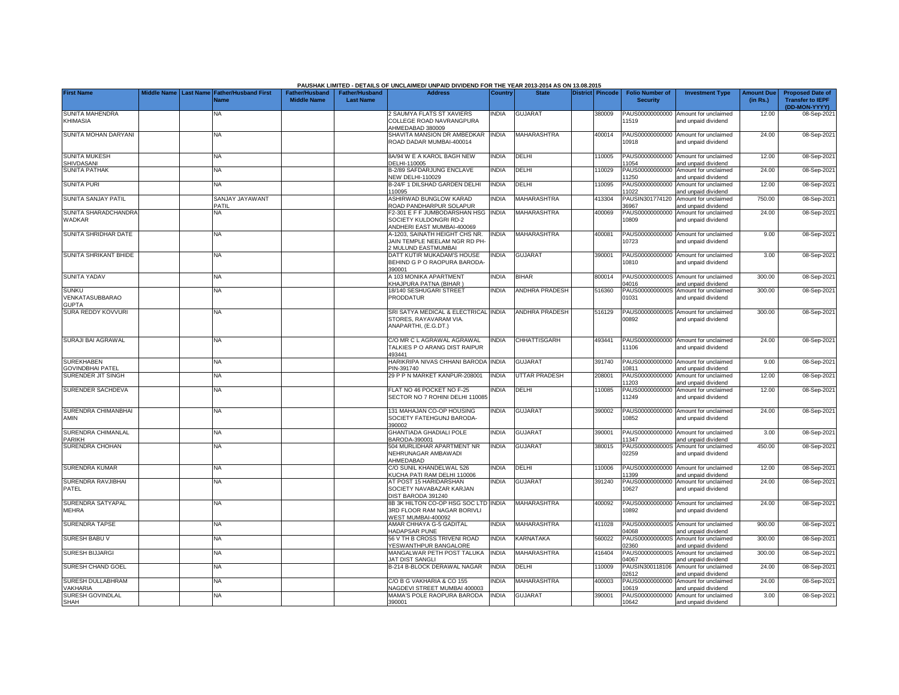|                                                 |  |                                                    |                                             |                                           | PAUSHAK LIMITED - DETAILS OF UNCLAIMED/ UNPAID DIVIDEND FOR THE YEAR 2013-2014 AS ON 13.08.2015         |                |                      |                  |                                           |                                                                    |                               |                                                                     |
|-------------------------------------------------|--|----------------------------------------------------|---------------------------------------------|-------------------------------------------|---------------------------------------------------------------------------------------------------------|----------------|----------------------|------------------|-------------------------------------------|--------------------------------------------------------------------|-------------------------------|---------------------------------------------------------------------|
| <b>First Name</b>                               |  | Middle Name Last Name Father/Husband First<br>Name | <b>Father/Husband</b><br><b>Middle Name</b> | <b>Father/Husband</b><br><b>Last Name</b> | <b>Address</b>                                                                                          | <b>Country</b> | <b>State</b>         | District Pincode | <b>Folio Number of</b><br><b>Security</b> | <b>Investment Type</b>                                             | <b>Amount Due</b><br>(in Rs.) | <b>Proposed Date of</b><br><b>Transfer to IEPF</b><br>(DD-MON-YYYY) |
| <b>SUNITA MAHENDRA</b><br><b>KHIMASIA</b>       |  | <b>NA</b>                                          |                                             |                                           | 2 SAUMYA FLATS ST XAVIERS<br>COLLEGE ROAD NAVRANGPURA<br>HMEDABAD 380009                                | NDIA           | <b>GUJARA1</b>       | 380009           | PAUS00000000000<br>11519                  | Amount for unclaimed<br>and unpaid dividend                        | 12.00                         | 08-Sep-202                                                          |
| SUNITA MOHAN DARYANI                            |  | <b>NA</b>                                          |                                             |                                           | SHAVITA MANSION DR AMBEDKAR<br>ROAD DADAR MUMBAI-400014                                                 | <b>INDIA</b>   | <b>MAHARASHTRA</b>   | 400014           | 10918                                     | PAUS00000000000 Amount for unclaimed<br>and unpaid dividend        | 24.00                         | 08-Sep-202                                                          |
| <b>SUNITA MUKESH</b><br>SHIVDASANI              |  | NA                                                 |                                             |                                           | BA/94 W E A KAROL BAGH NEW<br>DELHI-110005                                                              | <b>NDIA</b>    | DELHI                | 10005            | 1054                                      | PAUS00000000000 Amount for unclaimed<br>and unpaid dividend        | 12.00                         | 08-Sep-202                                                          |
| <b>SUNITA PATHAK</b>                            |  | <b>NA</b>                                          |                                             |                                           | <b>B-2/89 SAFDARJUNG ENCLAVE</b><br><b>VEW DELHI-110029</b>                                             | <b>NDIA</b>    | DELHI                | 110029           | PAUS00000000000<br>1250                   | Amount for unclaimed<br>and unpaid dividend                        | 24.00                         | 08-Sep-202                                                          |
| <b>SUNITA PURI</b>                              |  | <b>NA</b>                                          |                                             |                                           | <b>B-24/F 1 DILSHAD GARDEN DELHI</b><br>10095                                                           | <b>NDIA</b>    | DELHI                | 110095           | PAUS00000000000<br>1022                   | Amount for unclaimed<br>and unpaid dividend                        | 12.00                         | 08-Sep-202                                                          |
| SUNITA SANJAY PATIL                             |  | SANJAY JAYAWANT<br>PATIL                           |                                             |                                           | ASHIRWAD BUNGLOW KARAD<br>ROAD PANDHARPUR SOLAPUR                                                       | <b>NDIA</b>    | MAHARASHTRA          | 413304           | PAUSIN301774120<br>6967                   | Amount for unclaimed<br>and unpaid dividend                        | 750.00                        | 08-Sep-202                                                          |
| SUNITA SHARADCHANDRA<br>WADKAR                  |  | NA                                                 |                                             |                                           | 2-301 E F F JUMBODARSHAN HSG<br>SOCIETY KULDONGRI RD-2<br>ANDHERI EAST MUMBAI-400069                    | <b>INDIA</b>   | <b>MAHARASHTRA</b>   | 400069           | PAUS00000000000<br>10809                  | Amount for unclaimed<br>and unpaid dividend                        | 24.00                         | 08-Sep-202                                                          |
| SUNITA SHRIDHAR DATE                            |  | <b>NA</b>                                          |                                             |                                           | 4-1203, SAINATH HEIGHT CHS NR.<br>JAIN TEMPLE NEELAM NGR RD PH-<br>MULUND EASTMUMBAI                    | <b>NDIA</b>    | <b>MAHARASHTRA</b>   | 400081           | PAUS00000000000<br>10723                  | Amount for unclaimed<br>and unpaid dividend                        | 9.00                          | 08-Sep-202                                                          |
| SUNITA SHRIKANT BHIDE                           |  | ΝA                                                 |                                             |                                           | DATT KUTIR MUKADAM'S HOUSE<br>BEHIND G P O RAOPURA BARODA-<br>390001                                    | <b>NDIA</b>    | <b>GUJARAT</b>       | 390001           | 10810                                     | PAUS00000000000 Amount for unclaimed<br>and unpaid dividend        | 3.00                          | 08-Sep-202                                                          |
| <b>SUNITA YADAV</b>                             |  | NA                                                 |                                             |                                           | A 103 MONIKA APARTMENT<br>KHAJPURA PATNA (BIHAR)                                                        | <b>INDIA</b>   | <b>BIHAR</b>         | 800014           | PAUS0000000000S<br>14016                  | Amount for unclaimed<br>and unpaid dividend                        | 300.00                        | 08-Sep-202                                                          |
| <b>SUNKU</b><br>VENKATASUBBARAO<br><b>GUPTA</b> |  | ΝA                                                 |                                             |                                           | 18/140 SESHUGARI STREET<br>PRODDATUR                                                                    | <b>NDIA</b>    | ANDHRA PRADESH       | 516360           | PAUS0000000000S<br>01031                  | Amount for unclaimed<br>and unpaid dividend                        | 300.00                        | 08-Sep-202                                                          |
| SURA REDDY KOVVURI                              |  | NA                                                 |                                             |                                           | SRI SATYA MEDICAL & ELECTRICAL INDIA<br>STORES, RAYAVARAM VIA.<br>ANAPARTHI, (E.G.DT.)                  |                | ANDHRA PRADESH       | 516129           | 00892                                     | PAUS0000000000S Amount for unclaimed<br>and unpaid dividend        | 300.00                        | 08-Sep-202                                                          |
| SURAJI BAI AGRAWAL                              |  | <b>NA</b>                                          |                                             |                                           | C/O MR C L AGRAWAL AGRAWAL<br><b>TALKIES P O ARANG DIST RAIPUR</b><br>493441                            | <b>NDIA</b>    | CHHATTISGARH         | 493441           | 11106                                     | PAUS00000000000 Amount for unclaimed<br>and unpaid dividend        | 24.00                         | 08-Sep-202                                                          |
| <b>SUREKHABEN</b><br><b>GOVINDBHAI PATEL</b>    |  | <b>NA</b>                                          |                                             |                                           | HARIKRIPA NIVAS CHHANI BARODA<br>PIN-391740                                                             | <b>INDIA</b>   | GUJARAT              | 391740           | 0811                                      | PAUS00000000000 Amount for unclaimed<br>and unpaid dividend        | 9.00                          | 08-Sep-202                                                          |
| SURENDER JIT SINGH                              |  | <b>NA</b>                                          |                                             |                                           | 29 P P N MARKET KANPUR-208001                                                                           | <b>INDIA</b>   | <b>UTTAR PRADESH</b> | 208001           | 1203                                      | PAUS00000000000 Amount for unclaimed<br>and unpaid dividend        | 12.00                         | 08-Sep-202                                                          |
| SURENDER SACHDEVA                               |  | <b>NA</b>                                          |                                             |                                           | FLAT NO 46 POCKET NO F-25<br>SECTOR NO 7 ROHINI DELHI 110085                                            | <b>NDIA</b>    | DELHI                | 110085           | 11249                                     | PAUS00000000000 Amount for unclaimed<br>and unpaid dividend        | 12.00                         | 08-Sep-2021                                                         |
| SURENDRA CHIMANBHAI<br>AMIN                     |  | <b>NA</b>                                          |                                             |                                           | 131 MAHAJAN CO-OP HOUSING<br>SOCIETY FATEHGUNJ BARODA-<br>390002                                        | <b>NDIA</b>    | <b>GUJARAT</b>       | 390002           | 10852                                     | PAUS00000000000 Amount for unclaimed<br>and unpaid dividend        | 24.00                         | 08-Sep-202                                                          |
| SURENDRA CHIMANLAL<br><b>PARIKH</b>             |  | NA                                                 |                                             |                                           | <b>GHANTIADA GHADIALI POLE</b><br>BARODA-390001                                                         | <b>INDIA</b>   | <b>GUJARAT</b>       | 390001           | 1347                                      | PAUS00000000000 Amount for unclaimed<br>and unpaid dividend        | 3.00                          | 08-Sep-202                                                          |
| SURENDRA CHOHAN                                 |  | <b>NA</b>                                          |                                             |                                           | 504 MURLIDHAR APARTMENT NR<br>NEHRUNAGAR AMBAWADI<br>AHMEDABAD                                          | <b>NDIA</b>    | <b>GUJARAT</b>       | 380015           | 02259                                     | PAUS0000000000S Amount for unclaimed<br>and unpaid dividend        | 450.00                        | 08-Sep-202                                                          |
| <b>SURENDRA KUMAR</b>                           |  | NA                                                 |                                             |                                           | C/O SUNIL KHANDELWAL 526                                                                                | <b>NDIA</b>    | DELHI                | 110006           |                                           | PAUS00000000000 Amount for unclaimed                               | 12.00                         | 08-Sep-202                                                          |
| SURENDRA RAVJIBHAI<br>PATEL                     |  | <b>NA</b>                                          |                                             |                                           | KUCHA PATI RAM DELHI 110006<br>AT POST 15 HARIDARSHAN<br>SOCIETY NAVABAZAR KARJAN<br>DIST BARODA 391240 | <b>NDIA</b>    | <b>GUJARAT</b>       | 391240           | 1399<br>PAUS00000000000<br>10627          | and unpaid dividend<br>Amount for unclaimed<br>and unpaid dividend | 24.00                         | 08-Sep-202                                                          |
| SURENDRA SATYAPAL<br><b>MEHRA</b>               |  | <b>NA</b>                                          |                                             |                                           | <b>BB 3K HILTON CO-OP HSG SOC LTD</b><br>3RD FLOOR RAM NAGAR BORIVLI<br>VEST MUMBAI-400092              | <b>NDIA</b>    | MAHARASHTRA          | 400092           | PAUS00000000000<br>10892                  | Amount for unclaimed<br>and unpaid dividend                        | 24.00                         | 08-Sep-202                                                          |
| <b>SURENDRA TAPSE</b>                           |  | <b>NA</b>                                          |                                             |                                           | AMAR CHHAYA G-5 GADITAL<br>HADAPSAR PUNE                                                                | <b>NDIA</b>    | MAHARASHTRA          | 411028           | 4068                                      | PAUS0000000000S Amount for unclaimed<br>and unpaid dividend        | 900.00                        | 08-Sep-202                                                          |
| SURESH BABU V                                   |  | <b>NA</b>                                          |                                             |                                           | 56 V TH B CROSS TRIVENI ROAD<br>YESWANTHPUR BANGALORE                                                   | <b>NDIA</b>    | KARNATAKA            | 560022           | PAUS0000000000S<br>2360                   | Amount for unclaimed<br>and unpaid dividend                        | 300.00                        | 08-Sep-202                                                          |
| <b>SURESH BIJJARGI</b>                          |  | <b>NA</b>                                          |                                             |                                           | MANGALWAR PETH POST TALUKA<br><b>JAT DIST SANGLI</b>                                                    | <b>NDIA</b>    | MAHARASHTRA          | 416404           | PAUS0000000000S<br>4067                   | Amount for unclaimed<br>and unpaid dividend                        | 300.00                        | 08-Sep-202                                                          |
| SURESH CHAND GOEL                               |  | NA                                                 |                                             |                                           | B-214 B-BLOCK DERAWAL NAGAR                                                                             | <b>NDIA</b>    | DELHI                | 110009           | PAUSIN300118106<br>2612                   | Amount for unclaimed<br>and unpaid dividend                        | 24.00                         | 08-Sep-202                                                          |
| SURESH DULLABHRAM<br>VAKHARIA                   |  | <b>NA</b>                                          |                                             |                                           | C/O B G VAKHARIA & CO 155<br><b>NAGDEVI STREET MUMBAI 400003</b>                                        | <b>NDIA</b>    | MAHARASHTRA          | 400003           | PAUS00000000000<br>10619                  | Amount for unclaimed<br>and unpaid dividend                        | 24.00                         | 08-Sep-202                                                          |
| SURESH GOVINDLAL<br>SHAH                        |  | NA                                                 |                                             |                                           | MAMA'S POLE RAOPURA BARODA<br>390001                                                                    | INDIA          | <b>GUJARAT</b>       | 390001           | 10642                                     | PAUS00000000000 Amount for unclaimed<br>and unpaid dividend        | 3.00                          | 08-Sep-2021                                                         |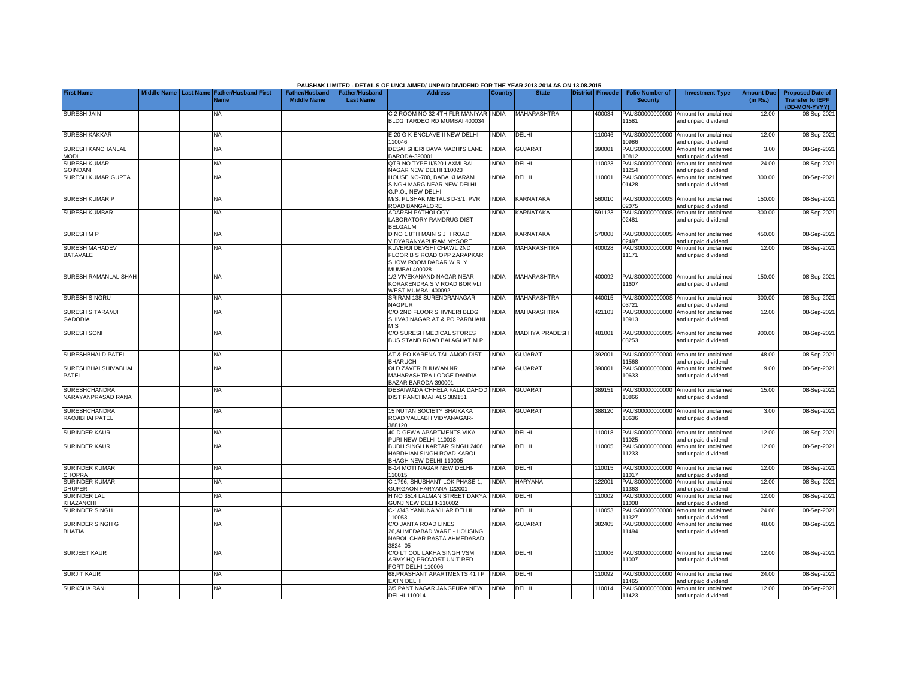|                                            |                    |                                       |                       |                       | PAUSHAK LIMITED - DETAILS OF UNCLAIMED/ UNPAID DIVIDEND FOR THE YEAR 2013-2014 AS ON 13.08.2015 |              |                       |                         |        |                          |                                                             |                   |                                          |
|--------------------------------------------|--------------------|---------------------------------------|-----------------------|-----------------------|-------------------------------------------------------------------------------------------------|--------------|-----------------------|-------------------------|--------|--------------------------|-------------------------------------------------------------|-------------------|------------------------------------------|
| <b>First Name</b>                          | <b>Middle Name</b> | <b>Last Name Father/Husband First</b> | <b>Father/Husband</b> | <b>Father/Husband</b> | <b>Address</b>                                                                                  | Country      | <b>State</b>          | <b>District Pincode</b> |        | <b>Folio Number of</b>   | <b>Investment Type</b>                                      | <b>Amount Due</b> | <b>Proposed Date of</b>                  |
|                                            |                    | <b>Vame</b>                           | <b>Middle Name</b>    | <b>Last Name</b>      |                                                                                                 |              |                       |                         |        | <b>Security</b>          |                                                             | (in Rs.)          | <b>Transfer to IEPF</b><br>(DD-MON-YYYY) |
| <b>SURESH JAIN</b>                         |                    | NA                                    |                       |                       | C 2 ROOM NO 32 4TH FLR MANIYAR INDIA<br>BLDG TARDEO RD MUMBAI 400034                            |              | <b>MAHARASHTRA</b>    |                         | 400034 | PAUS00000000000<br>1581  | Amount for unclaimed<br>and unpaid dividend                 | 12.00             | 08-Sep-2021                              |
| <b>SURESH KAKKAR</b>                       |                    | NA.                                   |                       |                       | E-20 G K ENCLAVE II NEW DELHI-<br>110046                                                        | <b>INDIA</b> | DELHI                 |                         | 110046 | PAUS00000000000<br>0986  | Amount for unclaimed<br>and unpaid dividend                 | 12.00             | 08-Sep-2021                              |
| SURESH KANCHANLAL<br><b>MODI</b>           |                    | <b>NA</b>                             |                       |                       | DESAI SHERI BAVA MADHI'S LANE<br>BARODA-390001                                                  | <b>INDIA</b> | <b>GUJARAT</b>        |                         | 390001 | PAUS00000000000<br>10812 | Amount for unclaimed<br>and unpaid dividend                 | 3.00              | 08-Sep-2021                              |
| <b>SURESH KUMAR</b>                        |                    | NA                                    |                       |                       | QTR NO TYPE II/520 LAXMI BAI                                                                    | INDIA        | DELHI                 |                         | 110023 | PAUS00000000000          | Amount for unclaimed                                        | 24.00             | 08-Sep-2021                              |
| <b>GOINDANI</b><br>SURESH KUMAR GUPTA      |                    | NA                                    |                       |                       | NAGAR NEW DELHI 110023<br>HOUSE NO-700, BABA KHARAM                                             | <b>NDIA</b>  | DELHI                 |                         | 110001 | 11254<br>PAUS0000000000S | and unpaid dividend<br>Amount for unclaimed                 | 300.00            | 08-Sep-2021                              |
|                                            |                    |                                       |                       |                       | SINGH MARG NEAR NEW DELHI<br>G.P.O., NEW DELHI                                                  |              |                       |                         |        | 01428                    | and unpaid dividend                                         |                   |                                          |
| <b>SURESH KUMAR P</b>                      |                    | NA                                    |                       |                       | M/S. PUSHAK METALS D-3/1. PVR<br>ROAD BANGALORE                                                 | <b>NDIA</b>  | KARNATAKA             |                         | 560010 | 02075                    | PAUS0000000000S Amount for unclaimed<br>and unpaid dividend | 150.00            | 08-Sep-2021                              |
| <b>SURESH KUMBAR</b>                       |                    | NA.                                   |                       |                       | ADARSH PATHOLOGY<br>LABORATORY RAMDRUG DIST                                                     | <b>NDIA</b>  | <b>KARNATAKA</b>      |                         | 591123 | PAUS0000000000S<br>02481 | Amount for unclaimed<br>and unpaid dividend                 | 300.00            | 08-Sep-2021                              |
| <b>SURESH M P</b>                          |                    | <b>NA</b>                             |                       |                       | <b>BELGAUM</b><br>D NO 1 8TH MAIN S J H ROAD<br><b>/IDYARANYAPURAM MYSORE</b>                   | <b>INDIA</b> | <b>KARNATAKA</b>      |                         | 570008 | 02497                    | PAUS0000000000S Amount for unclaimed<br>and unpaid dividend | 450.00            | 08-Sep-2021                              |
| <b>SURESH MAHADEV</b>                      |                    | <b>NA</b>                             |                       |                       | KUVERJI DEVSHI CHAWL 2ND                                                                        | <b>NDIA</b>  | <b>MAHARASHTRA</b>    |                         | 400028 | PAUS00000000000          | Amount for unclaimed                                        | 12.00             | 08-Sep-2021                              |
| <b>BATAVALE</b>                            |                    |                                       |                       |                       | FLOOR B S ROAD OPP ZARAPKAR<br>SHOW ROOM DADAR W RLY<br><b>MUMBAI 400028</b>                    |              |                       |                         |        | 11171                    | and unpaid dividend                                         |                   |                                          |
| <b>SURESH RAMANLAL SHAH</b>                |                    | NA.                                   |                       |                       | 1/2 VIVEKANAND NAGAR NEAR<br>KORAKENDRA S V ROAD BORIVLI<br>WEST MUMBAI 400092                  | <b>NDIA</b>  | <b>MAHARASHTRA</b>    |                         | 400092 | 1607                     | PAUS00000000000 Amount for unclaimed<br>and unpaid dividend | 150.00            | 08-Sep-2021                              |
| <b>SURESH SINGRU</b>                       |                    | NA                                    |                       |                       | SRIRAM 138 SURENDRANAGAR<br><b>VAGPUR</b>                                                       | <b>NDIA</b>  | <b>MAHARASHTRA</b>    |                         | 440015 | PAUS0000000000S<br>3721  | Amount for unclaimed<br>and unpaid dividend                 | 300.00            | 08-Sep-2021                              |
| <b>SURESH SITARAMJI</b><br><b>GADODIA</b>  |                    | NA                                    |                       |                       | C/O 2ND FLOOR SHIVNERI BLDG<br>SHIVAJINAGAR AT & PO PARBHANI                                    | <b>NDIA</b>  | <b>MAHARASHTRA</b>    |                         | 421103 | PAUS00000000000<br>10913 | Amount for unclaimed<br>and unpaid dividend                 | 12.00             | 08-Sep-2021                              |
| <b>SURESH SONI</b>                         |                    | NA                                    |                       |                       | M S<br>C/O SURESH MEDICAL STORES                                                                | <b>NDIA</b>  | <b>MADHYA PRADESH</b> |                         | 481001 |                          | PAUS0000000000S Amount for unclaimed                        | 900.00            | 08-Sep-2021                              |
|                                            |                    |                                       |                       |                       | BUS STAND ROAD BALAGHAT M.P.                                                                    |              |                       |                         |        | 03253                    | and unpaid dividend                                         |                   |                                          |
| SURESHBHAI D PATEL                         |                    | <b>NA</b>                             |                       |                       | AT & PO KARENA TAL AMOD DIST<br><b>BHARUCH</b>                                                  | INDIA        | <b>GUJARAT</b>        |                         | 392001 | 1568                     | PAUS00000000000 Amount for unclaimed<br>and unpaid dividend | 48.00             | 08-Sep-2021                              |
| SURESHBHAI SHIVABHAI<br>PATEL              |                    | NA                                    |                       |                       | OLD ZAVER BHUWAN NR<br>MAHARASHTRA LODGE DANDIA<br>3AZAR BARODA 390001                          | <b>NDIA</b>  | <b>GUJARAT</b>        |                         | 390001 | PAUS00000000000<br>10633 | Amount for unclaimed<br>and unpaid dividend                 | 9.00              | 08-Sep-2021                              |
| <b>SURESHCHANDRA</b><br>NARAYANPRASAD RANA |                    | NA                                    |                       |                       | DESAIWADA CHHELA FALIA DAHOD INDIA<br>DIST PANCHMAHALS 389151                                   |              | <b>GUJARAT</b>        |                         | 389151 | PAUS00000000000<br>10866 | Amount for unclaimed<br>and unpaid dividend                 | 15.00             | 08-Sep-2021                              |
| <b>SURESHCHANDRA</b><br>RAOJIBHAI PATEL    |                    | NA                                    |                       |                       | 15 NUTAN SOCIETY BHAIKAKA<br>ROAD VALLABH VIDYANAGAR-<br>388120                                 | INDIA        | <b>GUJARAT</b>        |                         | 388120 | PAUS00000000000<br>0636  | Amount for unclaimed<br>and unpaid dividend                 | 3.00              | 08-Sep-2021                              |
| <b>SURINDER KAUR</b>                       |                    | <b>NA</b>                             |                       |                       | 40-D GEWA APARTMENTS VIKA<br>PURI NEW DELHI 110018                                              | <b>INDIA</b> | DELHI                 |                         | 110018 | PAUS00000000000<br>11025 | Amount for unclaimed<br>and unpaid dividend                 | 12.00             | 08-Sep-2021                              |
| <b>SURINDER KAUR</b>                       |                    | <b>NA</b>                             |                       |                       | BUDH SINGH KARTAR SINGH 2406<br>HARDHIAN SINGH ROAD KAROL<br>3HAGH NEW DELHI-110005             | <b>INDIA</b> | DELHI                 |                         | 110005 | PAUS00000000000<br>11233 | Amount for unclaimed<br>and unpaid dividend                 | 12.00             | 08-Sep-2021                              |
| <b>SURINDER KUMAR</b><br><b>CHOPRA</b>     |                    | <b>NA</b>                             |                       |                       | <b>B-14 MOTI NAGAR NEW DELHI-</b><br>10015                                                      | <b>INDIA</b> | DELHI                 |                         | 110015 | PAUS00000000000<br>1017  | Amount for unclaimed<br>and unpaid dividend                 | 12.00             | 08-Sep-2021                              |
| SURINDER KUMAR<br><b>DHUPER</b>            |                    | <b>NA</b>                             |                       |                       | C-1796, SHUSHANT LOK PHASE-1,<br><b>GURGAON HARYANA-122001</b>                                  | <b>INDIA</b> | <b>HARYANA</b>        |                         | 122001 | PAUS00000000000<br>1363  | Amount for unclaimed<br>and unpaid dividend                 | 12.00             | 08-Sep-2021                              |
| <b>SURINDER LAL</b><br>KHAZANCHI           |                    | NA                                    |                       |                       | H NO 3514 LALMAN STREET DARYA<br><b>GUNJ NEW DELHI-110002</b>                                   | <b>INDIA</b> | DELHI                 |                         | 110002 | PAUS00000000000<br>1008  | Amount for unclaimed<br>and unpaid dividend                 | 12.00             | 08-Sep-2021                              |
| SURINDER SINGH                             |                    | <b>NA</b>                             |                       |                       | C-1/343 YAMUNA VIHAR DELHI<br>110053                                                            | <b>NDIA</b>  | DELHI                 |                         | 110053 | PAUS00000000000<br>1327  | Amount for unclaimed<br>and unpaid dividend                 | 24.00             | 08-Sep-2021                              |
| SURINDER SINGH G<br><b>BHATIA</b>          |                    | NA                                    |                       |                       | C/O JANTA ROAD LINES<br>26, AHMEDABAD WARE - HOUSING<br>NAROL CHAR RASTA AHMEDABAD<br>3824-05-  | <b>NDIA</b>  | <b>GUJARAT</b>        |                         | 382405 | PAUS00000000000<br>11494 | Amount for unclaimed<br>and unpaid dividend                 | 48.00             | 08-Sep-2021                              |
| <b>SURJEET KAUR</b>                        |                    | <b>NA</b>                             |                       |                       | C/O LT COL LAKHA SINGH VSM<br>ARMY HQ PROVOST UNIT RED<br><b>FORT DELHI-110006</b>              | <b>INDIA</b> | DELHI                 |                         | 110006 | 11007                    | PAUS00000000000 Amount for unclaimed<br>and unpaid dividend | 12.00             | 08-Sep-2021                              |
| <b>SURJIT KAUR</b>                         |                    | NA                                    |                       |                       | 68. PRASHANT APARTMENTS 41 I P                                                                  | <b>INDIA</b> | DELHI                 |                         | 10092  | PAUS00000000000          | Amount for unclaimed                                        | 24.00             | 08-Sep-2021                              |
| <b>SURKSHA RANI</b>                        |                    | <b>NA</b>                             |                       |                       | <b>EXTN DELHI</b><br>2/5 PANT NAGAR JANGPURA NEW                                                | <b>INDIA</b> | DELHI                 |                         | 110014 | 1465<br>PAUS00000000000  | and unpaid dividend<br>Amount for unclaimed                 | 12.00             | 08-Sep-2021                              |
|                                            |                    |                                       |                       |                       | <b>DELHI 110014</b>                                                                             |              |                       |                         |        | 11423                    | and unpaid dividend                                         |                   |                                          |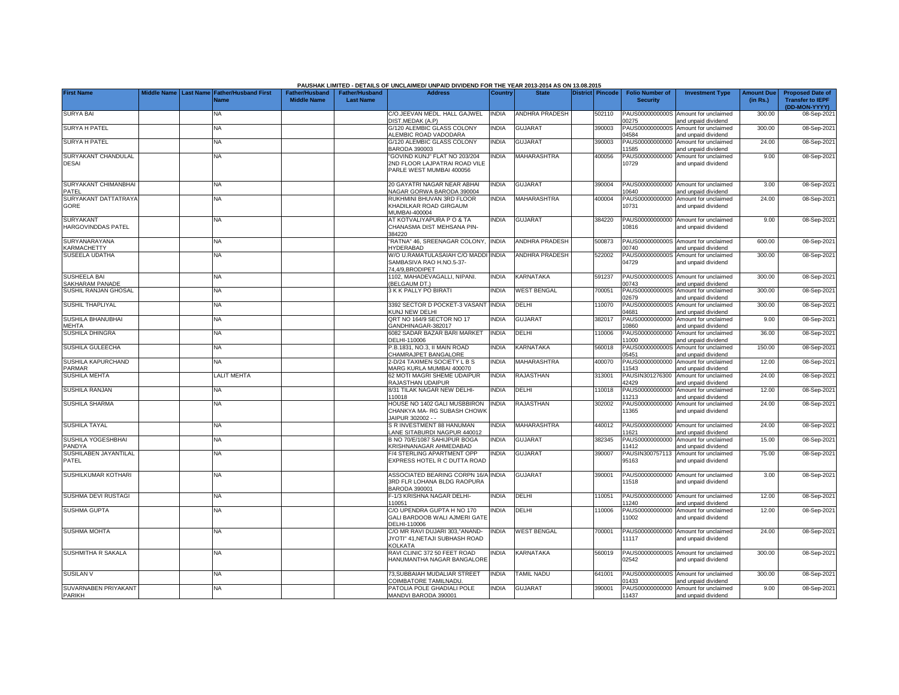|                                        |                       |                                     |                                             |                                           | PAUSHAK LIMITED - DETAILS OF UNCLAIMED/ UNPAID DIVIDEND FOR THE YEAR 2013-2014 AS ON 13.08.2015 |                |                       |                         |                                           |                                                             |                               |                                                                     |
|----------------------------------------|-----------------------|-------------------------------------|---------------------------------------------|-------------------------------------------|-------------------------------------------------------------------------------------------------|----------------|-----------------------|-------------------------|-------------------------------------------|-------------------------------------------------------------|-------------------------------|---------------------------------------------------------------------|
| <b>First Name</b>                      | Middle Name Last Name | <b>Father/Husband First</b><br>Name | <b>Father/Husband</b><br><b>Middle Name</b> | <b>Father/Husband</b><br><b>Last Name</b> | <b>Address</b>                                                                                  | <b>Country</b> | <b>State</b>          | <b>District Pincode</b> | <b>Folio Number of</b><br><b>Security</b> | <b>Investment Type</b>                                      | <b>Amount Due</b><br>(in Rs.) | <b>Proposed Date of</b><br><b>Transfer to IEPF</b><br>(DD-MON-YYYY) |
| <b>SURYA BAI</b>                       |                       | NA                                  |                                             |                                           | C/O.JEEVAN MEDL. HALL GAJWEL<br>DIST.MEDAK (A.P)                                                | <b>INDIA</b>   | <b>ANDHRA PRADESH</b> | 502110                  | PAUS0000000000S<br>0275                   | Amount for unclaimed<br>and unpaid dividend                 | 300.00                        | 08-Sep-2021                                                         |
| <b>SURYA H PATEL</b>                   |                       | ΝA                                  |                                             |                                           | G/120 ALEMBIC GLASS COLONY<br>ALEMBIC ROAD VADODARA                                             | <b>INDIA</b>   | <b>GUJARAT</b>        | 390003                  | PAUS0000000000S<br>04584                  | Amount for unclaimed<br>and unpaid dividend                 | 300.00                        | 08-Sep-2021                                                         |
| <b>SURYA H PATEL</b>                   |                       | <b>NA</b>                           |                                             |                                           | G/120 ALEMBIC GLASS COLONY<br><b>BARODA 390003</b>                                              | INDIA          | <b>GUJARAT</b>        | 390003                  | PAUS00000000000<br>1585                   | Amount for unclaimed<br>and unpaid dividend                 | 24.00                         | 08-Sep-2021                                                         |
| SURYAKANT CHANDULAL<br><b>DESAI</b>    |                       | NA                                  |                                             |                                           | GOVIND KUNJ" FLAT NO 203/204<br>2ND FLOOR LAJPATRAI ROAD VILE<br>PARLE WEST MUMBAI 400056       | <b>INDIA</b>   | <b>MAHARASHTRA</b>    | 400056                  | PAUS00000000000<br>10729                  | Amount for unclaimed<br>and unpaid dividend                 | 9.00                          | 08-Sep-2021                                                         |
| SURYAKANT CHIMANBHAI<br>PATEL          |                       | <b>NA</b>                           |                                             |                                           | 20 GAYATRI NAGAR NEAR ABHAI<br>NAGAR GORWA BARODA 390004                                        | <b>INDIA</b>   | <b>GUJARAT</b>        | 390004                  | 0640                                      | PAUS00000000000 Amount for unclaimed<br>and unpaid dividend | 3.00                          | 08-Sep-2021                                                         |
| SURYAKANT DATTATRAY/<br>GORE           |                       | NA.                                 |                                             |                                           | RUKHMINI BHUVAN 3RD FLOOR<br>KHADILKAR ROAD GIRGAUM<br><b>MUMBAI-400004</b>                     | <b>INDIA</b>   | <b>MAHARASHTRA</b>    | 400004                  | PAUS00000000000<br>10731                  | Amount for unclaimed<br>and unpaid dividend                 | 24.00                         | 08-Sep-2021                                                         |
| <b>SURYAKANT</b><br>HARGOVINDDAS PATEL |                       | NA                                  |                                             |                                           | AT KOTVALIYAPURA P O & TA<br>CHANASMA DIST MEHSANA PIN-<br>384220                               | <b>INDIA</b>   | <b>GUJARAT</b>        | 384220                  | PAUS00000000000<br>10816                  | Amount for unclaimed<br>and unpaid dividend                 | 9.00                          | 08-Sep-2021                                                         |
| SURYANARAYANA<br>KARMACHETTY           |                       | <b>NA</b>                           |                                             |                                           | "RATNA" 46, SREENAGAR COLONY,<br><b>IYDERABAD</b>                                               | <b>INDIA</b>   | ANDHRA PRADESH        | 500873                  | 0740                                      | PAUS0000000000S Amount for unclaimed<br>and unpaid dividend | 600.00                        | 08-Sep-2021                                                         |
| <b>SUSEELA UDATHA</b>                  |                       | NA                                  |                                             |                                           | W/O U.RAMATULASAIAH C/O MADDI INDIA<br>SAMBASIVA RAO H.NO.5-37-<br>4,4/9,BRODIPET               |                | <b>ANDHRA PRADESH</b> | 522002                  | PAUS0000000000S<br>04729                  | Amount for unclaimed<br>and unpaid dividend                 | 300.00                        | 08-Sep-2021                                                         |
| <b>SUSHEELA BAI</b><br>SAKHARAM PANADE |                       | <b>NA</b>                           |                                             |                                           | 1102, MAHADEVAGALLI, NIPANI.<br>(BELGAUM DT.)                                                   | <b>INDIA</b>   | KARNATAKA             | 591237                  | PAUS0000000000S<br>0743                   | Amount for unclaimed<br>and unpaid dividend                 | 300.00                        | 08-Sep-2021                                                         |
| SUSHIL RANJAN GHOSAL                   |                       | NA                                  |                                             |                                           | 3 K K PALLY PO BIRATI                                                                           | <b>INDIA</b>   | <b>WEST BENGAL</b>    | 700051                  | PAUS0000000000S<br>2679                   | Amount for unclaimed<br>and unpaid dividend                 | 300.00                        | 08-Sep-2021                                                         |
| <b>SUSHIL THAPLIYAL</b>                |                       | <b>NA</b>                           |                                             |                                           | 3392 SECTOR D POCKET-3 VASANT INDIA<br><b>KUNJ NEW DELHI</b>                                    |                | <b>DELHI</b>          | 110070                  | PAUS0000000000S<br>14681                  | Amount for unclaimed<br>and unpaid dividend                 | 300.00                        | 08-Sep-2021                                                         |
| SUSHILA BHANUBHAI<br>MEHTA             |                       | NA                                  |                                             |                                           | QRT NO 164/9 SECTOR NO 17<br>GANDHINAGAR-382017                                                 | INDIA          | <b>GUJARAT</b>        | 382017                  | PAUS00000000000<br>0860                   | Amount for unclaimed<br>and unpaid dividend                 | 9.00                          | 08-Sep-2021                                                         |
| SUSHILA DHINGRA                        |                       | NA.                                 |                                             |                                           | 6082 SADAR BAZAR BARI MARKET<br>DELHI-110006                                                    | <b>INDIA</b>   | DELHI                 | 110006                  | PAUS00000000000<br>1000                   | Amount for unclaimed<br>and unpaid dividend                 | 36.00                         | 08-Sep-2021                                                         |
| SUSHILA GULEECHA                       |                       | <b>NA</b>                           |                                             |                                           | P.B.1831, NO.3, II MAIN ROAD<br>CHAMRAJPET BANGALORE                                            | INDIA          | KARNATAKA             | 560018                  | PAUS0000000000S<br>05451                  | Amount for unclaimed<br>and unpaid dividend                 | 150.00                        | 08-Sep-2021                                                         |
| SUSHILA KAPURCHAND<br>PARMAR           |                       | <b>NA</b>                           |                                             |                                           | 2-D/24 TAXIMEN SOCIETY L B S<br>MARG KURLA MUMBAI 400070                                        | <b>INDIA</b>   | <b>MAHARASHTRA</b>    | 400070                  | 1543                                      | PAUS00000000000 Amount for unclaimed<br>and unpaid dividend | 12.00                         | 08-Sep-2021                                                         |
| <b>SUSHILA MEHTA</b>                   |                       | <b>ALIT MEHTA</b>                   |                                             |                                           | 62 MOTI MAGRI SHEME UDAIPUR<br>RAJASTHAN UDAIPUR                                                | <b>INDIA</b>   | <b>RAJASTHAN</b>      | 313001                  | PAUSIN301276300<br>2429                   | Amount for unclaimed<br>and unpaid dividend                 | 24.00                         | 08-Sep-2021                                                         |
| <b>SUSHILA RANJAN</b>                  |                       | NA                                  |                                             |                                           | 8/31 TILAK NAGAR NEW DELHI-<br>110018                                                           | <b>INDIA</b>   | DELHI                 | 110018                  | AUS00000000000<br>1213                    | Amount for unclaimed<br>and unpaid dividend                 | 12.00                         | 08-Sep-2021                                                         |
| <b>SUSHILA SHARMA</b>                  |                       | <b>NA</b>                           |                                             |                                           | HOUSE NO 1402 GALI MUSBBIRON<br>CHANKYA MA- RG SUBASH CHOWK<br>JAIPUR 302002 - -                | <b>INDIA</b>   | <b>RAJASTHAN</b>      | 302002                  | PAUS00000000000<br>1365                   | Amount for unclaimed<br>and unpaid dividend                 | 24.00                         | 08-Sep-2021                                                         |
| <b>SUSHILA TAYAL</b>                   |                       | <b>NA</b>                           |                                             |                                           | S R INVESTMENT 88 HANUMAN<br>ANE SITABURDI NAGPUR 440012                                        | <b>INDIA</b>   | <b>MAHARASHTRA</b>    | 440012                  | 1621                                      | PAUS00000000000 Amount for unclaimed<br>and unpaid dividend | 24.00                         | 08-Sep-2021                                                         |
| SUSHILA YOGESHBHAI<br>PANDYA           |                       | NA.                                 |                                             |                                           | B NO 70/E/1087 SAHIJPUR BOGA<br><b>KRISHNANAGAR AHMEDABAD</b>                                   | <b>INDIA</b>   | <b>GUJARAT</b>        | 382345                  | AUS00000000000<br>1412                    | Amount for unclaimed<br>and unpaid dividend                 | 15.00                         | 08-Sep-2021                                                         |
| SUSHILABEN JAYANTILAL<br>PATEL         |                       | <b>NA</b>                           |                                             |                                           | -/4 STERLING APARTMENT OPP<br>EXPRESS HOTEL R C DUTTA ROAD                                      | <b>INDIA</b>   | <b>GUJARAT</b>        | 390007                  | PAUSIN300757113<br>95163                  | Amount for unclaimed<br>and unpaid dividend                 | 75.00                         | 08-Sep-2021                                                         |
| SUSHILKUMAR KOTHARI                    |                       | <b>NA</b>                           |                                             |                                           | ASSOCIATED BEARING CORPN 16/A INDIA<br>3RD FLR LOHANA BLDG RAOPURA<br>BARODA 390001             |                | <b>GUJARAT</b>        | 390001                  | 11518                                     | PAUS00000000000 Amount for unclaimed<br>and unpaid dividend | 3.00                          | 08-Sep-2021                                                         |
| SUSHMA DEVI RUSTAGI                    |                       | <b>NA</b>                           |                                             |                                           | -- 1/3 KRISHNA NAGAR DELHI-<br>10051                                                            | <b>INDIA</b>   | <b>DELHI</b>          | 110051                  | 1240                                      | PAUS00000000000 Amount for unclaimed<br>and unpaid dividend | 12.00                         | 08-Sep-2021                                                         |
| <b>SUSHMA GUPTA</b>                    |                       | NA                                  |                                             |                                           | C/O UPENDRA GUPTA H NO 170<br>GALI BARDOOB WALI AJMERI GATE<br>DELHI-110006                     | INDIA          | DELHI                 | 110006                  | PAUS00000000000<br>1002                   | Amount for unclaimed<br>and unpaid dividend                 | 12.00                         | 08-Sep-2021                                                         |
| <b>SUSHMA MOHTA</b>                    |                       | <b>NA</b>                           |                                             |                                           | C/O MR RAVI DUJARI 303,"ANAND-<br>JYOTI" 41.NETAJI SUBHASH ROAD<br>KOLKATA                      | INDIA          | <b>WEST BENGAL</b>    | 700001                  | 11117                                     | PAUS00000000000 Amount for unclaimed<br>and unpaid dividend | 24.00                         | 08-Sep-2021                                                         |
| SUSHMITHA R SAKALA                     |                       | NA.                                 |                                             |                                           | RAVI CLINIC 372 50 FEET ROAD<br>HANUMANTHA NAGAR BANGALORE                                      | <b>INDIA</b>   | KARNATAKA             | 560019                  | 02542                                     | PAUS0000000000S Amount for unclaimed<br>and unpaid dividend | 300.00                        | 08-Sep-2021                                                         |
| <b>SUSILAN V</b>                       |                       | NA                                  |                                             |                                           | 73,SUBBAIAH MUDALIAR STREET<br>COIMBATORE TAMILNADU                                             | <b>INDIA</b>   | <b>TAMIL NADU</b>     | 641001                  | PAUS0000000000S<br>1433                   | Amount for unclaimed<br>and unpaid dividend                 | 300.00                        | 08-Sep-2021                                                         |
| SUVARNABEN PRIYAKANT<br><b>PARIKH</b>  |                       | <b>NA</b>                           |                                             |                                           | PATOLIA POLE GHADIALI POLE<br>MANDVI BARODA 390001                                              | <b>INDIA</b>   | <b>GUJARAT</b>        | 390001                  | 11437                                     | PAUS00000000000 Amount for unclaimed<br>and unpaid dividend | 9.00                          | 08-Sep-2021                                                         |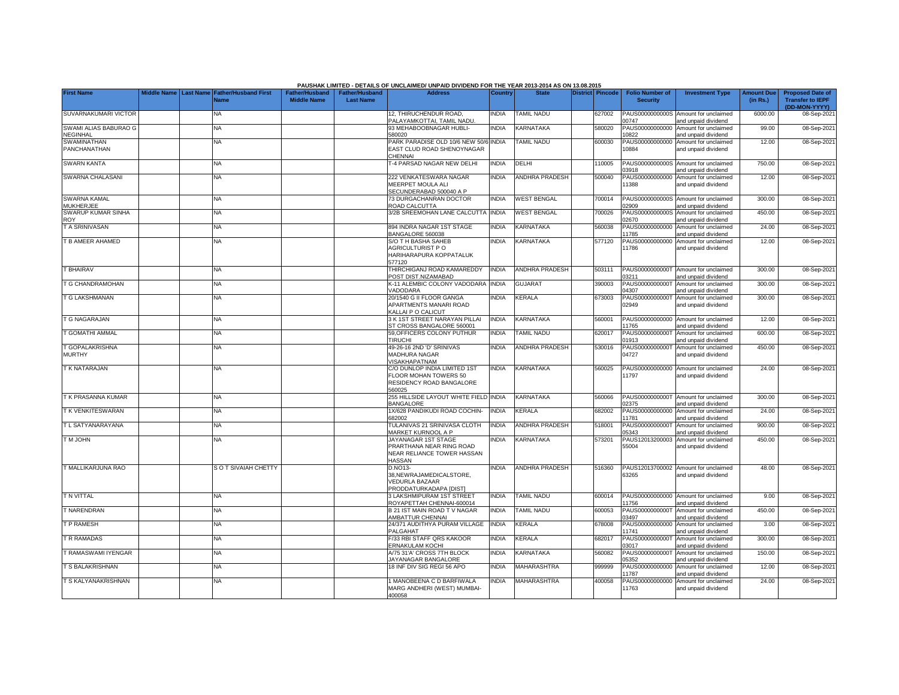|                                          |                         |                                            |                                             |                                           | PAUSHAK LIMITED - DETAILS OF UNCLAIMED/ UNPAID DIVIDEND FOR THE YEAR 2013-2014 AS ON 13.08.2015 |                |                       |                         |                                           |                                                             |                               |                                                    |
|------------------------------------------|-------------------------|--------------------------------------------|---------------------------------------------|-------------------------------------------|-------------------------------------------------------------------------------------------------|----------------|-----------------------|-------------------------|-------------------------------------------|-------------------------------------------------------------|-------------------------------|----------------------------------------------------|
| <b>First Name</b>                        | Middle Name   Last Name | <b>Father/Husband First</b><br><b>Name</b> | <b>Father/Husband</b><br><b>Middle Name</b> | <b>Father/Husband</b><br><b>Last Name</b> | <b>Address</b>                                                                                  | <b>Country</b> | <b>State</b>          | <b>District</b> Pincode | <b>Folio Number of</b><br><b>Security</b> | <b>Investment Type</b>                                      | <b>Amount Due</b><br>(in Rs.) | <b>Proposed Date of</b><br><b>Transfer to IEPF</b> |
| SUVARNAKUMARI VICTOR                     |                         | NA                                         |                                             |                                           | 12. THIRUCHENDUR ROAD.<br>PALAYAMKOTTAI, TAMIL NADU.                                            | <b>INDIA</b>   | <b>TAMIL NADU</b>     | 627002                  | PAUS0000000000S<br>0747                   | Amount for unclaimed<br>and unpaid dividend                 | 6000.00                       | (DD-MON-YYYY)<br>08-Sep-2021                       |
| SWAMI ALIAS BABURAO G<br><b>NEGINHAL</b> |                         | <b>NA</b>                                  |                                             |                                           | 93 MEHABOOBNAGAR HUBLI-<br>580020                                                               | <b>INDIA</b>   | KARNATAKA             | 580020                  | PAUS00000000000<br>10822                  | Amount for unclaimed<br>and unpaid dividend                 | 99.00                         | 08-Sep-2021                                        |
| SWAMINATHAN<br>PANCHANATHAN              |                         | NA                                         |                                             |                                           | PARK PARADISE OLD 10/6 NEW 50/6 INDIA<br>EAST CLUD ROAD SHENOYNAGAR<br>CHENNAI                  |                | <b>TAMIL NADU</b>     | 600030                  | PAUS00000000000<br>10884                  | Amount for unclaimed<br>and unpaid dividend                 | 12.00                         | 08-Sep-2021                                        |
| <b>SWARN KANTA</b>                       |                         | <b>NA</b>                                  |                                             |                                           | <b>-4 PARSAD NAGAR NEW DELHI</b>                                                                | <b>INDIA</b>   | DELHI                 | 110005                  | 03918                                     | PAUS0000000000S Amount for unclaimed<br>and unpaid dividend | 750.00                        | 08-Sep-2021                                        |
| SWARNA CHALASANI                         |                         | ΝA                                         |                                             |                                           | 222 VENKATESWARA NAGAR<br>MEERPET MOULA ALI<br>SECUNDERABAD 500040 A P                          | <b>INDIA</b>   | <b>ANDHRA PRADESH</b> | 500040                  | PAUS00000000000<br>11388                  | Amount for unclaimed<br>and unpaid dividend                 | 12.00                         | 08-Sep-2021                                        |
| SWARNA KAMAL<br><b>MUKHERJEE</b>         |                         | NA                                         |                                             |                                           | 73 DURGACHANRAN DOCTOR<br>ROAD CALCUTTA                                                         | <b>INDIA</b>   | <b>WEST BENGAL</b>    | 700014                  | )2909                                     | PAUS0000000000S Amount for unclaimed<br>and unpaid dividend | 300.00                        | 08-Sep-2021                                        |
| <b>SWARUP KUMAR SINHA</b><br><b>ROY</b>  |                         | NA                                         |                                             |                                           | 3/2B SREEMOHAN LANE CALCUTTA                                                                    | <b>INDIA</b>   | <b>WEST BENGAL</b>    | 700026                  | PAUS0000000000S<br>02670                  | Amount for unclaimed<br>and unpaid dividend                 | 450.00                        | 08-Sep-2021                                        |
| T A SRINIVASAN                           |                         | <b>NA</b>                                  |                                             |                                           | 894 INDRA NAGAR 1ST STAGE<br>BANGALORE 560038                                                   | <b>INDIA</b>   | KARNATAKA             | 560038                  | PAUS00000000000<br>11785                  | Amount for unclaimed<br>and unpaid dividend                 | 24.00                         | 08-Sep-2021                                        |
| T B AMEER AHAMED                         |                         | NA                                         |                                             |                                           | S/O T H BASHA SAHEB<br>AGRICULTURIST P O<br>HARIHARAPURA KOPPATALUK<br>577120                   | <b>INDIA</b>   | KARNATAKA             | 577120                  | PAUS00000000000<br>11786                  | Amount for unclaimed<br>and unpaid dividend                 | 12.00                         | 08-Sep-2021                                        |
| <b>T BHAIRAV</b>                         |                         | <b>NA</b>                                  |                                             |                                           | THIRCHIGANJ ROAD KAMAREDDY<br>POST DIST.NIZAMABAD                                               | <b>INDIA</b>   | <b>ANDHRA PRADESH</b> | 503111                  | 03211                                     | PAUS0000000000T Amount for unclaimed<br>and unpaid dividend | 300.00                        | 08-Sep-2021                                        |
| T G CHANDRAMOHAN                         |                         | <b>NA</b>                                  |                                             |                                           | K-11 ALEMBIC COLONY VADODARA<br>VADODARA                                                        | <b>INDIA</b>   | <b>GUJARAT</b>        | 390003                  | PAUS0000000000T<br>04307                  | Amount for unclaimed<br>and unpaid dividend                 | 300.00                        | 08-Sep-2021                                        |
| T G LAKSHMANAN                           |                         | NA                                         |                                             |                                           | 20/1540 G II FLOOR GANGA<br>APARTMENTS MANARI ROAD<br>KALLAI P O CALICUT                        | <b>NDIA</b>    | KERALA                | 673003                  | PAUS0000000000T<br>02949                  | Amount for unclaimed<br>and unpaid dividend                 | 300.00                        | 08-Sep-2021                                        |
| T G NAGARAJAN                            |                         | NA                                         |                                             |                                           | 3 K 1ST STREET NARAYAN PILLAI<br>ST CROSS BANGALORE 560001                                      | <b>NDIA</b>    | KARNATAKA             | 560001                  | PAUS00000000000<br>1765                   | Amount for unclaimed<br>and unpaid dividend                 | 12.00                         | 08-Sep-2021                                        |
| T GOMATHI AMMAL                          |                         | <b>NA</b>                                  |                                             |                                           | 59, OFFICERS COLONY PUTHUR<br><b>TIRUCHI</b>                                                    | <b>INDIA</b>   | TAMIL NADU            | 620017                  | PAUS0000000000T<br>01913                  | Amount for unclaimed<br>and unpaid dividend                 | 600.00                        | 08-Sep-2021                                        |
| T GOPALAKRISHNA<br><b>MURTHY</b>         |                         | NA                                         |                                             |                                           | 49-26-16 2ND 'D' SRINIVAS<br><b>MADHURA NAGAR</b><br>VISAKHAPATNAM                              | <b>INDIA</b>   | <b>ANDHRA PRADESH</b> | 530016                  | PAUS0000000000T<br>04727                  | Amount for unclaimed<br>and unpaid dividend                 | 450.00                        | 08-Sep-2021                                        |
| T K NATARAJAN                            |                         | NA.                                        |                                             |                                           | C/O DUNLOP INDIA LIMITED 1ST<br>FLOOR MOHAN TOWERS 50<br>RESIDENCY ROAD BANGALORE<br>560025     | <b>INDIA</b>   | KARNATAKA             | 560025                  | 11797                                     | PAUS00000000000 Amount for unclaimed<br>and unpaid dividend | 24.00                         | 08-Sep-2021                                        |
| T K PRASANNA KUMAR                       |                         | NA                                         |                                             |                                           | 255 HILLSIDE LAYOUT WHITE FIELD INDIA<br>BANGALORE                                              |                | KARNATAKA             | 560066                  | PAUS0000000000T<br>02375                  | Amount for unclaimed<br>and unpaid dividend                 | 300.00                        | 08-Sep-2021                                        |
| T K VENKITESWARAN                        |                         | NA                                         |                                             |                                           | 1X/628 PANDIKUDI ROAD COCHIN-<br>682002                                                         | <b>INDIA</b>   | KERALA                | 682002                  | PAUS00000000000<br>11781                  | Amount for unclaimed<br>and unpaid dividend                 | 24.00                         | 08-Sep-2021                                        |
| T L SATYANARAYANA                        |                         | NA                                         |                                             |                                           | TULANIVAS 21 SRINIVASA CLOTH<br>MARKET KURNOOL A P                                              | <b>INDIA</b>   | <b>ANDHRA PRADESH</b> | 518001                  | PAUS0000000000T<br>05343                  | Amount for unclaimed<br>and unpaid dividend                 | 900.00                        | 08-Sep-2021                                        |
| <b>TMJOHN</b>                            |                         | <b>NA</b>                                  |                                             |                                           | JAYANAGAR 1ST STAGE<br>PRARTHANA NEAR RING ROAD<br>NEAR RELIANCE TOWER HASSAN<br>HASSAN         | <b>INDIA</b>   | KARNATAKA             | 573201                  | PAUS12013200003<br>55004                  | Amount for unclaimed<br>and unpaid dividend                 | 450.00                        | 08-Sep-2021                                        |
| T MALLIKARJUNA RAO                       |                         | S O T SIVAIAH CHETTY                       |                                             |                                           | D.NO13-<br>38.NEWRAJAMEDICALSTORE.<br><b>VEDURLA BAZAAR</b><br>PRODDATURKADAPA [DIST]           | <b>INDIA</b>   | ANDHRA PRADESH        | 516360                  | 63265                                     | PAUS12013700002 Amount for unclaimed<br>and unpaid dividend | 48.00                         | 08-Sep-2021                                        |
| <b>T N VITTAL</b>                        |                         | <b>NA</b>                                  |                                             |                                           | <b>3 LAKSHMIPURAM 1ST STREET</b><br>ROYAPETTAH CHENNAI-600014                                   | <b>INDIA</b>   | TAMIL NADU            | 600014                  | PAUS00000000000<br>1756                   | Amount for unclaimed<br>and unpaid dividend                 | 9.00                          | 08-Sep-2021                                        |
| <b>T NARENDRAN</b>                       |                         | NA                                         |                                             |                                           | <b>B 21 IST MAIN ROAD T V NAGAR</b><br>AMBATTUR CHENNAI                                         | <b>INDIA</b>   | <b>TAMIL NADU</b>     | 600053                  | PAUS0000000000T<br>03497                  | Amount for unclaimed<br>and unpaid dividend                 | 450.00                        | 08-Sep-2021                                        |
| T P RAMESH                               |                         | ΝA                                         |                                             |                                           | 24/371 AUDITHYA PURAM VILLAGE<br>PALGAHAT                                                       | <b>INDIA</b>   | KERALA                | 678008                  | PAUS00000000000<br>11741                  | Amount for unclaimed<br>and unpaid dividend                 | 3.00                          | 08-Sep-2021                                        |
| T R RAMADAS                              |                         | NA                                         |                                             |                                           | F/33 RBI STAFF QRS KAKOOR<br>ERNAKULAM KOCHI                                                    | <b>INDIA</b>   | KERALA                | 682017                  | PAUS0000000000T<br>03017                  | Amount for unclaimed<br>and unpaid dividend                 | 300.00                        | 08-Sep-2021                                        |
| T RAMASWAMI IYENGAR                      |                         | <b>NA</b>                                  |                                             |                                           | A/75 31'A' CROSS 7TH BLOCK<br>JAYANAGAR BANGALORE                                               | <b>INDIA</b>   | KARNATAKA             | 560082                  | PAUS0000000000T<br>05352                  | Amount for unclaimed<br>and unpaid dividend                 | 150.00                        | 08-Sep-2021                                        |
| T S BALAKRISHNAN                         |                         | ΝA                                         |                                             |                                           | 18 INF DIV SIG REGI 56 APO                                                                      | <b>INDIA</b>   | MAHARASHTRA           | 999999                  | PAUS00000000000<br>11787                  | Amount for unclaimed<br>and unpaid dividend                 | 12.00                         | 08-Sep-2021                                        |
| T S KALYANAKRISHNAN                      |                         | NA                                         |                                             |                                           | MANOBEENA C D BARFIWALA<br>MARG ANDHERI (WEST) MUMBAI-<br>400058                                | <b>NDIA</b>    | MAHARASHTRA           | 400058                  | PAUS00000000000<br>11763                  | Amount for unclaimed<br>and unpaid dividend                 | 24.00                         | 08-Sep-2021                                        |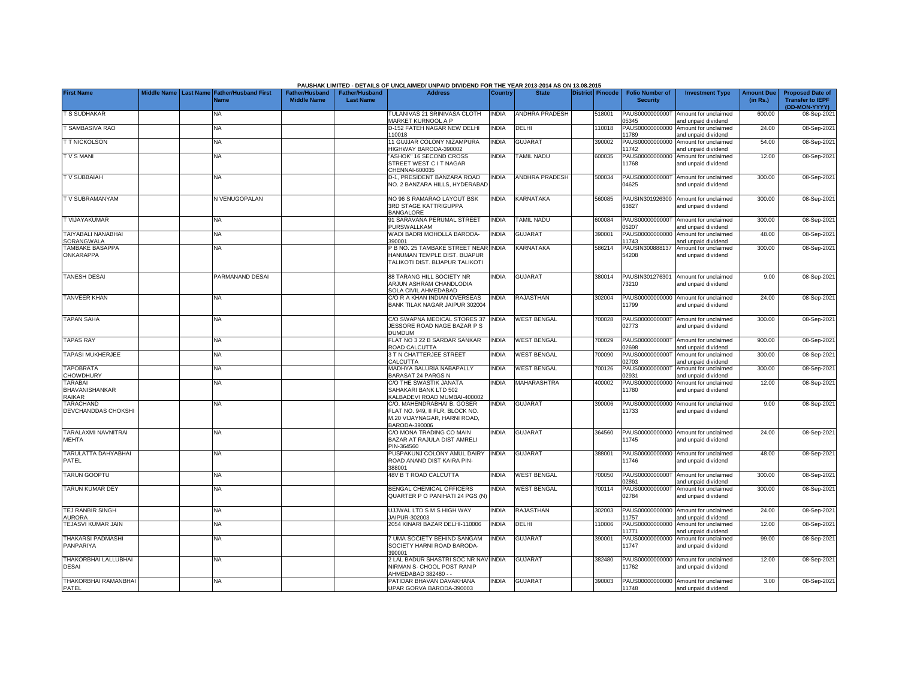|                                            |  |                                                               |                                      |                                           | PAUSHAK LIMITED - DETAILS OF UNCLAIMED/ UNPAID DIVIDEND FOR THE YEAR 2013-2014 AS ON 13.08.2015                |                |                       |                  |                                           |                                                             |                               |                                                                     |
|--------------------------------------------|--|---------------------------------------------------------------|--------------------------------------|-------------------------------------------|----------------------------------------------------------------------------------------------------------------|----------------|-----------------------|------------------|-------------------------------------------|-------------------------------------------------------------|-------------------------------|---------------------------------------------------------------------|
| <b>First Name</b>                          |  | Middle Name   Last Name   Father/Husband First<br><b>Name</b> | Father/Husband<br><b>Middle Name</b> | <b>Father/Husband</b><br><b>Last Name</b> | <b>Address</b>                                                                                                 | <b>Country</b> | <b>State</b>          | District Pincode | <b>Folio Number of</b><br><b>Security</b> | <b>Investment Type</b>                                      | <b>Amount Due</b><br>(in Rs.) | <b>Proposed Date of</b><br><b>Transfer to IEPF</b><br>(DD-MON-YYYY) |
| <b>T S SUDHAKAR</b>                        |  | <b>NA</b>                                                     |                                      |                                           | TULANIVAS 21 SRINIVASA CLOTH<br>MARKET KURNOOL A P                                                             | <b>INDIA</b>   | <b>ANDHRA PRADESH</b> | 518001           | PAUS0000000000T<br>05345                  | Amount for unclaimed<br>and unpaid dividend                 | 600.00                        | 08-Sep-2021                                                         |
| <b>SAMBASIVA RAO</b>                       |  | <b>NA</b>                                                     |                                      |                                           | D-152 FATEH NAGAR NEW DELHI<br>110018                                                                          | <b>NDIA</b>    | DELHI                 | 110018           | PAUS00000000000<br>11789                  | Amount for unclaimed<br>and unpaid dividend                 | 24.00                         | 08-Sep-2021                                                         |
| <b>T T NICKOLSON</b>                       |  | NA                                                            |                                      |                                           | 11 GUJJAR COLONY NIZAMPURA<br>HIGHWAY BARODA-390002                                                            | <b>NDIA</b>    | <b>GUJARA1</b>        | 390002           | PAUS00000000000<br>11742                  | Amount for unclaimed<br>and unpaid dividend                 | 54.00                         | 08-Sep-2021                                                         |
| <b>TVSMANI</b>                             |  | NA                                                            |                                      |                                           | 'ASHOK" 16 SECOND CROSS<br>STREET WEST C I T NAGAR<br>CHENNAI-600035                                           | <b>INDIA</b>   | <b>TAMIL NADU</b>     | 600035           | PAUS00000000000<br>11768                  | Amount for unclaimed<br>and unpaid dividend                 | 12.00                         | 08-Sep-2021                                                         |
| T V SUBBAIAH                               |  | NA                                                            |                                      |                                           | D-1, PRESIDENT BANZARA ROAD<br>NO. 2 BANZARA HILLS. HYDERABAD                                                  | <b>NDIA</b>    | <b>ANDHRA PRADESH</b> | 500034           | PAUS0000000000T<br>14625                  | Amount for unclaimed<br>and unpaid dividend                 | 300.00                        | 08-Sep-2021                                                         |
| TV SUBRAMANYAM                             |  | N VENUGOPALAN                                                 |                                      |                                           | NO 96 S RAMARAO LAYOUT BSK<br><b>3RD STAGE KATTRIGUPPA</b><br><b>BANGALORE</b>                                 | <b>INDIA</b>   | KARNATAKA             | 560085           | 63827                                     | PAUSIN301926300 Amount for unclaimed<br>and unpaid dividend | 300.00                        | 08-Sep-2021                                                         |
| T VIJAYAKUMAR                              |  | <b>NA</b>                                                     |                                      |                                           | 91 SARAVANA PERUMAL STREET<br>PURSWALLKAM                                                                      | <b>INDIA</b>   | <b>TAMIL NADU</b>     | 600084           | PAUS0000000000T<br>05207                  | Amount for unclaimed<br>and unpaid dividend                 | 300.00                        | 08-Sep-2021                                                         |
| TAIYABALI NANABHAI<br>SORANGWALA           |  | <b>NA</b>                                                     |                                      |                                           | WADI BADRI MOHOLLA BARODA-<br>390001                                                                           | <b>NDIA</b>    | <b>GUJARAT</b>        | 390001           | PAUS00000000000<br>11743                  | Amount for unclaimed<br>and unpaid dividend                 | 48.00                         | 08-Sep-2021                                                         |
| TAMBAKE BASAPPA<br>ONKARAPPA               |  | NA                                                            |                                      |                                           | P B NO. 25 TAMBAKE STREET NEAR<br>HANUMAN TEMPLE DIST. BIJAPUR<br>TALIKOTI DIST. BIJAPUR TALIKOTI              | <b>INDIA</b>   | KARNATAKA             | 586214           | PAUSIN300888137<br>54208                  | Amount for unclaimed<br>and unpaid dividend                 | 300.00                        | 08-Sep-2021                                                         |
| <b>TANESH DESAI</b>                        |  | PARMANAND DESAI                                               |                                      |                                           | 88 TARANG HILL SOCIETY NR<br>ARJUN ASHRAM CHANDLODIA<br>SOLA CIVIL AHMEDABAD                                   | <b>NDIA</b>    | <b>GUJARAT</b>        | 380014           | PAUSIN301276301<br>73210                  | Amount for unclaimed<br>and unpaid dividend                 | 9.00                          | 08-Sep-2021                                                         |
| <b>TANVEER KHAN</b>                        |  | NA.                                                           |                                      |                                           | C/O R A KHAN INDIAN OVERSEAS<br>BANK TILAK NAGAR JAIPUR 302004                                                 | <b>NDIA</b>    | RAJASTHAN             | 302004           | PAUS00000000000<br>11799                  | Amount for unclaimed<br>and unpaid dividend                 | 24.00                         | 08-Sep-2021                                                         |
| <b>TAPAN SAHA</b>                          |  | <b>NA</b>                                                     |                                      |                                           | C/O SWAPNA MEDICAL STORES 37<br>JESSORE ROAD NAGE BAZAR P S<br><b>DUMDUM</b>                                   | <b>NDIA</b>    | <b>WEST BENGAL</b>    | 700028           | 02773                                     | PAUS0000000000T Amount for unclaimed<br>and unpaid dividend | 300.00                        | 08-Sep-2021                                                         |
| <b>TAPAS RAY</b>                           |  | <b>NA</b>                                                     |                                      |                                           | FLAT NO 3 22 B SARDAR SANKAR<br>ROAD CALCUTTA                                                                  | <b>INDIA</b>   | <b>WEST BENGAL</b>    | 700029           | PAUS0000000000T<br>02698                  | Amount for unclaimed<br>and unpaid dividend                 | 900.00                        | 08-Sep-2021                                                         |
| TAPASI MUKHERJEE                           |  | <b>NA</b>                                                     |                                      |                                           | 3 T N CHATTERJEE STREET<br>CALCUTTA                                                                            | <b>NDIA</b>    | <b>WEST BENGAL</b>    | 700090           | PAUS0000000000T<br>2703                   | Amount for unclaimed<br>and unpaid dividend                 | 300.00                        | 08-Sep-2021                                                         |
| TAPOBRATA<br>CHOWDHURY                     |  | NA                                                            |                                      |                                           | MADHYA BALURIA NABAPALLY<br>BARASAT 24 PARGS N                                                                 | INDIA          | <b>WEST BENGAL</b>    | 700126           | PAUS0000000000T<br>02931                  | Amount for unclaimed<br>and unpaid dividend                 | 300.00                        | 08-Sep-2021                                                         |
| TARABAI<br>BHAVANISHANKAR<br>RAIKAR        |  | NA                                                            |                                      |                                           | C/O THE SWASTIK JANATA<br>SAHAKARI BANK LTD 502<br>KALBADEVI ROAD MUMBAI-400002                                | INDIA          | MAHARASHTRA           | 400002           | PAUS00000000000<br>11780                  | Amount for unclaimed<br>and unpaid dividend                 | 12.00                         | 08-Sep-2021                                                         |
| <b>TARACHAND</b><br>DEVCHANDDAS CHOKSHI    |  | <b>NA</b>                                                     |                                      |                                           | C/O. MAHENDRABHAI B. GOSER<br>FLAT NO. 949, II FLR, BLOCK NO.<br>M.20 VIJAYNAGAR, HARNI ROAD,<br>BARODA-390006 | <b>NDIA</b>    | <b>GUJARAT</b>        | 390006           | PAUS00000000000<br>11733                  | Amount for unclaimed<br>and unpaid dividend                 | 9.00                          | 08-Sep-2021                                                         |
| TARALAXMI NAVNITRAI<br>MEHTA               |  | <b>NA</b>                                                     |                                      |                                           | C/O MONA TRADING CO MAIN<br>BAZAR AT RAJULA DIST AMRELI<br>PIN-364560                                          | <b>NDIA</b>    | <b>GUJARAT</b>        | 364560           | 11745                                     | PAUS00000000000 Amount for unclaimed<br>and unpaid dividend | 24.00                         | 08-Sep-2021                                                         |
| <b><i>FARULATTA DAHYABHAI</i></b><br>PATEL |  | NΑ                                                            |                                      |                                           | PUSPAKUNJ COLONY AMUL DAIRY<br>ROAD ANAND DIST KAIRA PIN-<br>388001                                            | <b>INDIA</b>   | <b>GUJARAT</b>        | 388001           | PAUS00000000000<br>11746                  | Amount for unclaimed<br>and unpaid dividend                 | 48.00                         | 08-Sep-2021                                                         |
| <b>TARUN GOOPTU</b>                        |  | NA                                                            |                                      |                                           | 48V B T ROAD CALCUTTA                                                                                          | <b>INDIA</b>   | <b>WEST BENGAL</b>    | 700050           | 02861                                     | PAUS0000000000T Amount for unclaimed<br>and unpaid dividend | 300.00                        | 08-Sep-2021                                                         |
| TARUN KUMAR DEY                            |  | <b>NA</b>                                                     |                                      |                                           | BENGAL CHEMICAL OFFICERS<br>QUARTER P O PANIHATI 24 PGS (N)                                                    | <b>NDIA</b>    | <b>WEST BENGAL</b>    | 700114           | PAUS0000000000T<br>02784                  | Amount for unclaimed<br>and unpaid dividend                 | 300.00                        | 08-Sep-2021                                                         |
| TEJ RANBIR SINGH<br><b>NURORA</b>          |  | <b>NA</b>                                                     |                                      |                                           | UJJWAL LTD S M S HIGH WAY<br>JAIPUR-302003                                                                     | <b>INDIA</b>   | <b>RAJASTHAN</b>      | 302003           | PAUS00000000000<br>1757                   | Amount for unclaimed<br>and unpaid dividend                 | 24.00                         | 08-Sep-2021                                                         |
| <b><i>TEJASVI KUMAR JAIN</i></b>           |  | <b>NA</b>                                                     |                                      |                                           | 2054 KINARI BAZAR DELHI-110006                                                                                 | <b>INDIA</b>   | DELHI                 | 110006           | PAUS00000000000<br>1771                   | Amount for unclaimed<br>and unpaid dividend                 | 12.00                         | 08-Sep-2021                                                         |
| THAKARSI PADMASHI<br>PANPARIYA             |  | ΝA                                                            |                                      |                                           | <b>UMA SOCIETY BEHIND SANGAM</b><br>SOCIETY HARNI ROAD BARODA-<br>390001                                       | <b>NDIA</b>    | <b>GUJARA1</b>        | 390001           | PAUS00000000000<br>11747                  | Amount for unclaimed<br>and unpaid dividend                 | 99.00                         | 08-Sep-2021                                                         |
| THAKORBHAI LALLUBHAI<br>DESAI              |  | <b>NA</b>                                                     |                                      |                                           | LAL BADUR SHASTRI SOC NR NA\<br><b>VIRMAN S- CHOOL POST RANIP</b><br>AHMEDABAD 382480 - -                      | <b>INDIA</b>   | <b>GUJARAT</b>        | 382480           | PAUS00000000000<br>11762                  | Amount for unclaimed<br>and unpaid dividend                 | 12.00                         | 08-Sep-2021                                                         |
| THAKORBHAI RAMANBHA<br>PATEL               |  | NA                                                            |                                      |                                           | PATIDAR BHAVAN DAVAKHANA<br>UPAR GORVA BARODA-390003                                                           | <b>INDIA</b>   | <b>GUJARAT</b>        | 390003           | PAUS00000000000<br>11748                  | Amount for unclaimed<br>and unpaid dividend                 | 3.00                          | 08-Sep-2021                                                         |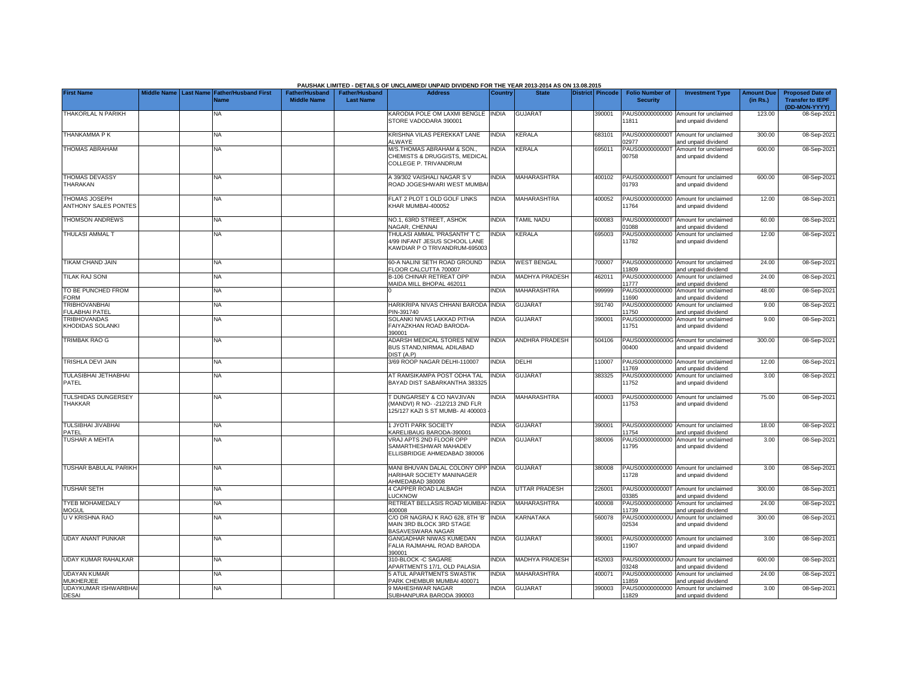|                                               |                    |                  |                                            |                                             |                                           | PAUSHAK LIMITED - DETAILS OF UNCLAIMED/ UNPAID DIVIDEND FOR THE YEAR 2013-2014 AS ON 13.08.2015             |                |                       |                         |                                           |                                                             |                               |                                                    |
|-----------------------------------------------|--------------------|------------------|--------------------------------------------|---------------------------------------------|-------------------------------------------|-------------------------------------------------------------------------------------------------------------|----------------|-----------------------|-------------------------|-------------------------------------------|-------------------------------------------------------------|-------------------------------|----------------------------------------------------|
| <b>First Name</b>                             | <b>Middle Name</b> | <b>Last Name</b> | <b>Father/Husband First</b><br><b>Name</b> | <b>Father/Husband</b><br><b>Middle Name</b> | <b>Father/Husband</b><br><b>Last Name</b> | <b>Address</b>                                                                                              | <b>Country</b> | <b>State</b>          | <b>District Pincode</b> | <b>Folio Number of</b><br><b>Security</b> | <b>Investment Type</b>                                      | <b>Amount Due</b><br>(in Rs.) | <b>Proposed Date of</b><br><b>Transfer to IEPF</b> |
|                                               |                    |                  |                                            |                                             |                                           |                                                                                                             |                |                       |                         |                                           |                                                             |                               | (DD-MON-YYYY)                                      |
| THAKORLAL N PARIKH                            |                    |                  | NA                                         |                                             |                                           | KARODIA POLE OM LAXMI BENGLE INDIA<br>STORE VADODARA 390001                                                 |                | <b>GUJARAT</b>        | 390001                  | 11811                                     | PAUS00000000000 Amount for unclaimed<br>and unpaid dividend | 123.00                        | 08-Sep-2021                                        |
| THANKAMMA P K                                 |                    |                  | NA.                                        |                                             |                                           | KRISHNA VILAS PEREKKAT LANE<br>ALWAYE                                                                       | <b>INDIA</b>   | <b>KERALA</b>         | 683101                  | 2977                                      | PAUS0000000000T Amount for unclaimed<br>and unpaid dividend | 300.00                        | 08-Sep-2021                                        |
| <b>THOMAS ABRAHAM</b>                         |                    |                  | <b>NA</b>                                  |                                             |                                           | M/S.THOMAS ABRAHAM & SON.<br>CHEMISTS & DRUGGISTS, MEDICAL<br>COLLEGE P. TRIVANDRUM                         | <b>NDIA</b>    | KERALA                | 695011                  | PAUS0000000000T<br>00758                  | Amount for unclaimed<br>and unpaid dividend                 | 600.00                        | 08-Sep-2021                                        |
| <b>THOMAS DEVASSY</b><br>THARAKAN             |                    |                  | <b>NA</b>                                  |                                             |                                           | A 39/302 VAISHALI NAGAR S V<br>ROAD JOGESHWARI WEST MUMBA                                                   | <b>NDIA</b>    | MAHARASHTRA           | 400102                  | 01793                                     | PAUS0000000000T Amount for unclaimed<br>and unpaid dividend | 600.00                        | 08-Sep-2021                                        |
| <b>THOMAS JOSEPH</b><br>ANTHONY SALES PONTES  |                    |                  | NA                                         |                                             |                                           | FLAT 2 PLOT 1 OLD GOLF LINKS<br>KHAR MUMBAI-400052                                                          | <b>NDIA</b>    | <b>MAHARASHTRA</b>    | 400052                  | 11764                                     | PAUS00000000000 Amount for unclaimed<br>and unpaid dividend | 12.00                         | 08-Sep-2021                                        |
| <b>THOMSON ANDREWS</b>                        |                    |                  | <b>NA</b>                                  |                                             |                                           | NO.1, 63RD STREET, ASHOK<br>NAGAR, CHENNAI                                                                  | <b>NDIA</b>    | TAMIL NADU            | 600083                  | PAUS0000000000T<br>1088                   | Amount for unclaimed<br>and unpaid dividend                 | 60.00                         | 08-Sep-202                                         |
| THULASI AMMAL T                               |                    |                  | <b>NA</b>                                  |                                             |                                           | THULASI AMMAL 'PRASANTH' T C<br>4/99 INFANT JESUS SCHOOL LANE<br>KAWDIAR P O TRIVANDRUM-695003              | <b>NDIA</b>    | <b>KERALA</b>         | 695003                  | 11782                                     | PAUS00000000000 Amount for unclaimed<br>and unpaid dividend | 12.00                         | 08-Sep-2021                                        |
| <b>TIKAM CHAND JAIN</b>                       |                    |                  | <b>NA</b>                                  |                                             |                                           | <b>60-A NALINI SETH ROAD GROUND</b><br>FLOOR CALCUTTA 700007                                                | <b>NDIA</b>    | <b>WEST BENGAL</b>    | 700007                  | 1809                                      | PAUS00000000000 Amount for unclaimed<br>and unpaid dividend | 24.00                         | 08-Sep-202                                         |
| <b>TILAK RAJ SONI</b>                         |                    |                  | <b>NA</b>                                  |                                             |                                           | <b>B-106 CHINAR RETREAT OPP</b><br>MAIDA MILL BHOPAL 462011                                                 | <b>NDIA</b>    | <b>MADHYA PRADESH</b> | 462011                  | 11777                                     | PAUS00000000000 Amount for unclaimed<br>and unpaid dividend | 24.00                         | 08-Sep-202                                         |
| TO BE PUNCHED FROM<br><b>FORM</b>             |                    |                  | <b>NA</b>                                  |                                             |                                           |                                                                                                             | <b>NDIA</b>    | <b>MAHARASHTRA</b>    | 999999                  | 1690                                      | PAUS00000000000 Amount for unclaimed<br>and unpaid dividend | 48.00                         | 08-Sep-202                                         |
| <b>TRIBHOVANBHAI</b><br><b>FULABHAI PATEL</b> |                    |                  | <b>NA</b>                                  |                                             |                                           | HARIKRIPA NIVAS CHHANI BARODA<br>PIN-391740                                                                 | <b>INDIA</b>   | <b>GUJARAT</b>        | 391740                  | PAUS00000000000<br>1750                   | Amount for unclaimed<br>and unpaid dividend                 | 9.00                          | 08-Sep-2021                                        |
| <b>TRIBHOVANDAS</b><br>KHODIDAS SOLANKI       |                    |                  | NA                                         |                                             |                                           | SOLANKI NIVAS LAKKAD PITHA<br>FAIYAZKHAN ROAD BARODA-<br>390001                                             | <b>NDIA</b>    | GUJARAT               | 390001                  | PAUS00000000000<br>11751                  | Amount for unclaimed<br>and unpaid dividend                 | 9.00                          | 08-Sep-202                                         |
| <b>TRIMBAK RAO G</b>                          |                    |                  | <b>NA</b>                                  |                                             |                                           | ADARSH MEDICAL STORES NEW<br>BUS STAND, NIRMAL ADILABAD<br>DIST <sub>(A.P)</sub>                            | INDIA          | ANDHRA PRADESH        | 504106                  | 00400                                     | PAUS0000000000G Amount for unclaimed<br>and unpaid dividend | 300.00                        | 08-Sep-202                                         |
| <b>TRISHLA DEVI JAIN</b>                      |                    |                  | NA                                         |                                             |                                           | 3/69 ROOP NAGAR DELHI-110007                                                                                | <b>NDIA</b>    | DELHI                 | 110007                  | 1769                                      | PAUS00000000000 Amount for unclaimed<br>and unpaid dividend | 12.00                         | 08-Sep-202                                         |
| <b>TULASIBHAI JETHABHAI</b><br>PATEL          |                    |                  | <b>NA</b>                                  |                                             |                                           | AT RAMSIKAMPA POST ODHA TAL<br>BAYAD DIST SABARKANTHA 383325                                                | <b>NDIA</b>    | <b>GUJARAT</b>        | 383325                  | PAUS00000000000<br>11752                  | Amount for unclaimed<br>and unpaid dividend                 | 3.00                          | 08-Sep-202                                         |
| <b>TULSHIDAS DUNGERSEY</b><br><b>THAKKAR</b>  |                    |                  | NA                                         |                                             |                                           | <b>DUNGARSEY &amp; CO NAVJIVAN</b><br>(MANDVI) R NO- - 212/213 2ND FLR<br>125/127 KAZI S ST MUMB- AI 400003 | <b>NDIA</b>    | MAHARASHTRA           | 400003                  | PAUS00000000000<br>11753                  | Amount for unclaimed<br>and unpaid dividend                 | 75.00                         | 08-Sep-2021                                        |
| <b>TULSIBHAI JIVABHAI</b><br>PATEL            |                    |                  | <b>NA</b>                                  |                                             |                                           | 1 JYOTI PARK SOCIETY<br>KARELIBAUG BARODA-390001                                                            | <b>NDIA</b>    | <b>GUJARAT</b>        | 390001                  | PAUS00000000000<br>11754                  | Amount for unclaimed<br>and unpaid dividend                 | 18.00                         | 08-Sep-2021                                        |
| <b>TUSHAR A MEHTA</b>                         |                    |                  | <b>NA</b>                                  |                                             |                                           | VRAJ APTS 2ND FLOOR OPP<br>SAMARTHESHWAR MAHADEV<br>ELLISBRIDGE AHMEDABAD 380006                            | <b>INDIA</b>   | <b>GUJARAT</b>        | 380006                  | PAUS00000000000<br>11795                  | Amount for unclaimed<br>and unpaid dividend                 | 3.00                          | 08-Sep-2021                                        |
| <b>TUSHAR BABULAL PARIKH</b>                  |                    |                  | <b>NA</b>                                  |                                             |                                           | MANI BHUVAN DALAL COLONY OPP INDIA<br>HARIHAR SOCIETY MANINAGER<br>AHMEDABAD 380008                         |                | <b>GUJARAT</b>        | 380008                  | 11728                                     | PAUS00000000000 Amount for unclaimed<br>and unpaid dividend | 3.00                          | 08-Sep-2021                                        |
| <b>TUSHAR SETH</b>                            |                    |                  | <b>NA</b>                                  |                                             |                                           | <b>4 CAPPER ROAD LALBAGH</b><br><b>LICKNOW</b>                                                              | <b>INDIA</b>   | <b>UTTAR PRADESH</b>  | 226001                  | 3385                                      | PAUS0000000000T Amount for unclaimed<br>hnebivib bisanu bne | 300.00                        | 08-Sep-202                                         |
| <b>TYEB MOHAMEDALY</b><br><b>MOGUL</b>        |                    |                  | <b>NA</b>                                  |                                             |                                           | RETREAT BELLASIS ROAD MUMBAI- INDIA<br>400008                                                               |                | MAHARASHTRA           | 400008                  | PAUS00000000000<br>1739                   | Amount for unclaimed<br>and unpaid dividend                 | 24.00                         | 08-Sep-2021                                        |
| U V KRISHNA RAO                               |                    |                  | NΑ                                         |                                             |                                           | C/O DR NAGRAJ K RAO 628, 8TH 'B'<br>MAIN 3RD BLOCK 3RD STAGE<br><b>BASAVESWARA NAGAR</b>                    | <b>INDIA</b>   | KARNATAKA             | 560078                  | PAUS0000000000U<br>02534                  | Amount for unclaimed<br>and unpaid dividend                 | 300.00                        | 08-Sep-2021                                        |
| <b>UDAY ANANT PUNKAR</b>                      |                    |                  | <b>NA</b>                                  |                                             |                                           | GANGADHAR NIWAS KUMEDAN<br>FALIA RAJMAHAL ROAD BARODA<br>390001                                             | <b>NDIA</b>    | <b>GUJARAT</b>        | 390001                  | 11907                                     | PAUS00000000000 Amount for unclaimed<br>and unpaid dividend | 3.00                          | 08-Sep-2021                                        |
| <b>UDAY KUMAR RAHALKAR</b>                    |                    |                  | <b>NA</b>                                  |                                             |                                           | 310-BLOCK -C SAGARE<br>APARTMENTS 17/1, OLD PALASIA                                                         | <b>NDIA</b>    | <b>MADHYA PRADESH</b> | 452003                  | 3248                                      | PAUS0000000000U Amount for unclaimed<br>and unpaid dividend | 600.00                        | 08-Sep-202                                         |
| <b>UDAYAN KUMAR</b><br><b>MUKHERJEE</b>       |                    |                  | <b>NA</b>                                  |                                             |                                           | <b>5 ATUL APARTMENTS SWASTIK</b><br>PARK CHEMBUR MUMBAI 400071                                              | NDIA           | <b>MAHARASHTRA</b>    | 400071                  | 1859                                      | PAUS00000000000 Amount for unclaimed<br>and unpaid dividend | 24.00                         | 08-Sep-202                                         |
| <b>UDAYKUMAR ISHWARBHA</b><br><b>DESAI</b>    |                    |                  | NA                                         |                                             |                                           | <b>9 MAHESHWAR NAGAR</b><br>SUBHANPURA BARODA 390003                                                        | <b>NDIA</b>    | <b>GUJARAT</b>        | 390003                  | 11829                                     | PAUS00000000000 Amount for unclaimed<br>and unpaid dividend | 3.00                          | 08-Sep-2021                                        |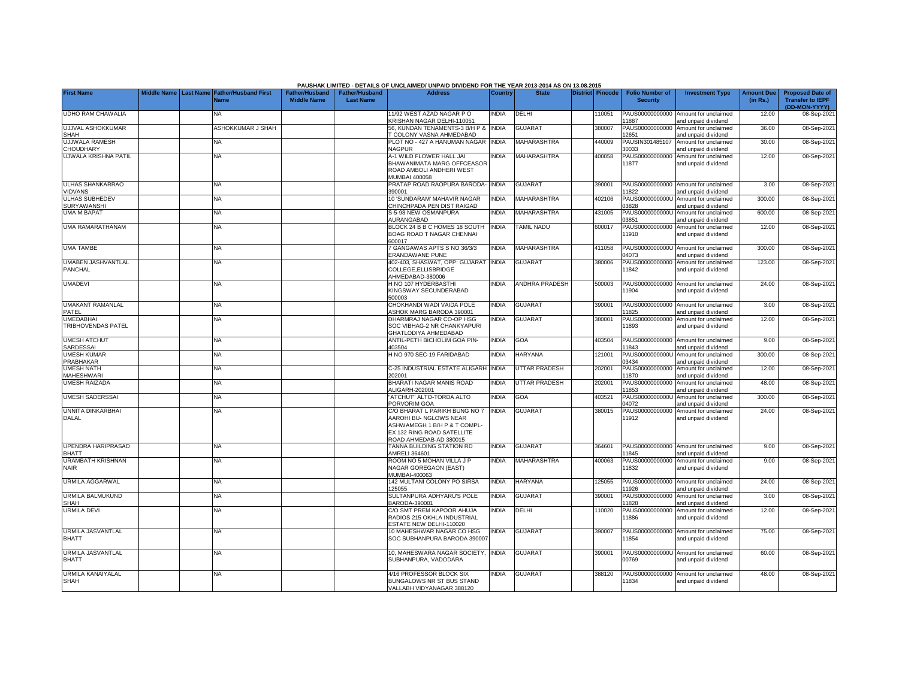|                                             |                       |                                            |                                             |                                           | PAUSHAK LIMITED - DETAILS OF UNCLAIMED/ UNPAID DIVIDEND FOR THE YEAR 2013-2014 AS ON 13.08.2015                                                 |                |                       |                         |                                           |                                                             |                               |                                                                     |
|---------------------------------------------|-----------------------|--------------------------------------------|---------------------------------------------|-------------------------------------------|-------------------------------------------------------------------------------------------------------------------------------------------------|----------------|-----------------------|-------------------------|-------------------------------------------|-------------------------------------------------------------|-------------------------------|---------------------------------------------------------------------|
| <b>First Name</b>                           | Middle Name Last Name | <b>Father/Husband First</b><br><b>Name</b> | <b>Father/Husband</b><br><b>Middle Name</b> | <b>Father/Husband</b><br><b>Last Name</b> | <b>Address</b>                                                                                                                                  | <b>Country</b> | <b>State</b>          | <b>District Pincode</b> | <b>Folio Number of</b><br><b>Security</b> | <b>Investment Type</b>                                      | <b>Amount Due</b><br>(in Rs.) | <b>Proposed Date of</b><br><b>Transfer to IEPF</b><br>(DD-MON-YYYY) |
| <b>UDHO RAM CHAWALIA</b>                    |                       | NA                                         |                                             |                                           | 11/92 WEST AZAD NAGAR PO<br>KRISHAN NAGAR DELHI-110051                                                                                          | <b>NDIA</b>    | DELHI                 | 10051                   | PAUS00000000000<br>11887                  | Amount for unclaimed<br>and unpaid dividend                 | 12.00                         | 08-Sep-2021                                                         |
| <b>UJJVAL ASHOKKUMAR</b><br><b>SHAH</b>     |                       | <b>ASHOKKUMAR J SHAH</b>                   |                                             |                                           | 56. KUNDAN TENAMENTS-3 B/H P & INDIA<br><b><i>COLONY VASNA AHMEDABAD</i></b>                                                                    |                | <b>GUJARAT</b>        | 380007                  | PAUS00000000000<br>12651                  | Amount for unclaimed<br>and unpaid dividend                 | 36.00                         | 08-Sep-2021                                                         |
| <b>UJJWALA RAMESH</b><br>CHOUDHARY          |                       | <b>NA</b>                                  |                                             |                                           | PLOT NO - 427 A HANUMAN NAGAR<br>NAGPUR                                                                                                         | <b>INDIA</b>   | MAHARASHTRA           | 440009                  | PAUSIN301485107<br>30033                  | Amount for unclaimed<br>and unpaid dividend                 | 30.00                         | 08-Sep-2021                                                         |
| UJWALA KRISHNA PATIL                        |                       | NA                                         |                                             |                                           | 4-1 WILD FLOWER HALL JAI<br>BHAWANIMATA MARG OFFCEASOR<br>ROAD AMBOLI ANDHERI WEST<br>MUMBAI 400058                                             | <b>NDIA</b>    | MAHARASHTRA           | 400058                  | PAUS00000000000<br>11877                  | Amount for unclaimed<br>and unpaid dividend                 | 12.00                         | 08-Sep-2021                                                         |
| <b>ULHAS SHANKARRAO</b><br><b>VIDVANS</b>   |                       | NA                                         |                                             |                                           | PRATAP ROAD RAOPURA BARODA-<br>390001                                                                                                           | <b>INDIA</b>   | <b>GUJARAT</b>        | 390001                  | PAUS00000000000<br>11822                  | Amount for unclaimed<br>and unpaid dividend                 | 3.00                          | 08-Sep-2021                                                         |
| <b>ULHAS SUBHEDEV</b><br><b>SURYAWANSHI</b> |                       | <b>NA</b>                                  |                                             |                                           | 10 'SUNDARAM' MAHAVIR NAGAR<br>CHINCHPADA PEN DIST RAIGAD                                                                                       | <b>INDIA</b>   | <b>MAHARASHTRA</b>    | 402106                  | PAUS0000000000U<br>03828                  | Amount for unclaimed<br>nd unpaid dividend                  | 300.00                        | 08-Sep-2021                                                         |
| <b>UMA M BAPAT</b>                          |                       | NA                                         |                                             |                                           | S-5-98 NEW OSMANPURA<br><b>AURANGABAD</b>                                                                                                       | <b>NDIA</b>    | <b>MAHARASHTRA</b>    | 431005                  | PAUS0000000000U<br>03851                  | Amount for unclaimed<br>and unpaid dividend                 | 600.00                        | 08-Sep-2021                                                         |
| <b>UMA RAMARATHANAM</b>                     |                       | <b>NA</b>                                  |                                             |                                           | BLOCK 24 B B C HOMES 18 SOUTH<br>BOAG ROAD T NAGAR CHENNAI<br>600017                                                                            | <b>INDIA</b>   | <b>TAMIL NADU</b>     | 600017                  | PAUS00000000000<br>11910                  | Amount for unclaimed<br>and unpaid dividend                 | 12.00                         | 08-Sep-2021                                                         |
| <b>UMA TAMBE</b>                            |                       | <b>NA</b>                                  |                                             |                                           | GANGAWAS APTS S NO 36/3/3<br><b>RANDAWANE PUNE</b>                                                                                              | <b>INDIA</b>   | <b>MAHARASHTRA</b>    | 411058                  | 04073                                     | PAUS0000000000U Amount for unclaimed<br>and unpaid dividend | 300.00                        | 08-Sep-2021                                                         |
| UMABEN JASHVANTLAL<br>PANCHAL               |                       | <b>NA</b>                                  |                                             |                                           | 402-403, SHASWAT, OPP: GUJARAT<br>COLLEGE,ELLISBRIDGE<br>AHMEDABAD-380006                                                                       | <b>INDIA</b>   | <b>GUJARAT</b>        | 380006                  | PAUS00000000000<br>11842                  | Amount for unclaimed<br>and unpaid dividend                 | 123.00                        | 08-Sep-2021                                                         |
| <b>UMADEVI</b>                              |                       | NA                                         |                                             |                                           | H NO 107 HYDERBASTHI<br>KINGSWAY SECUNDERABAD<br>500003                                                                                         | <b>NDIA</b>    | <b>ANDHRA PRADESH</b> | 500003                  | PAUS00000000000<br>11904                  | Amount for unclaimed<br>and unpaid dividend                 | 24.00                         | 08-Sep-2021                                                         |
| <b>UMAKANT RAMANLAL</b><br>PATEL            |                       | <b>NA</b>                                  |                                             |                                           | CHOKHANDI WADI VAIDA POLE<br><b>ASHOK MARG BARODA 390001</b>                                                                                    | <b>INDIA</b>   | <b>GUJARAT</b>        | 390001                  | PAUS00000000000<br>11825                  | Amount for unclaimed<br>and unpaid dividend                 | 3.00                          | 08-Sep-2021                                                         |
| <b>UMEDABHAI</b><br>TRIBHOVENDAS PATEL      |                       | NA                                         |                                             |                                           | DHARMRAJ NAGAR CO-OP HSG<br>SOC VIBHAG-2 NR CHANKYAPURI<br>GHATLODIYA AHMEDABAD                                                                 | INDIA          | <b>GUJARAT</b>        | 380001                  | PAUS00000000000<br>11893                  | Amount for unclaimed<br>and unpaid dividend                 | 12.00                         | 08-Sep-2021                                                         |
| <b>UMESH ATCHUT</b><br>SARDESSAI            |                       | <b>NA</b>                                  |                                             |                                           | ANTIL-PETH BICHOLIM GOA PIN-<br>103504                                                                                                          | <b>INDIA</b>   | GOA                   | 403504                  | PAUS00000000000<br>11843                  | Amount for unclaimed<br>nd unpaid dividend                  | 9.00                          | 08-Sep-2021                                                         |
| <b>UMESH KUMAR</b><br>PRABHAKAR             |                       | <b>NA</b>                                  |                                             |                                           | H NO 970 SEC-19 FARIDABAD                                                                                                                       | <b>NDIA</b>    | <b>HARYANA</b>        | 121001                  | PAUS0000000000U<br>03434                  | Amount for unclaimed<br>and unpaid dividend                 | 300.00                        | 08-Sep-2021                                                         |
| <b>UMESH NATH</b><br><b>MAHESHWARI</b>      |                       | <b>NA</b>                                  |                                             |                                           | C-25 INDUSTRIAL ESTATE ALIGARH INDIA<br>202001                                                                                                  |                | <b>UTTAR PRADESH</b>  | 202001                  | PAUS00000000000<br>11870                  | Amount for unclaimed<br>and unpaid dividend                 | 12.00                         | 08-Sep-2021                                                         |
| <b>UMESH RAIZADA</b>                        |                       | <b>NA</b>                                  |                                             |                                           | BHARATI NAGAR MANIS ROAD<br>ALIGARH-202001                                                                                                      | <b>INDIA</b>   | <b>UTTAR PRADESH</b>  | 202001                  | PAUS00000000000<br>11853                  | Amount for unclaimed<br>and unpaid dividend                 | 48.00                         | 08-Sep-2021                                                         |
| <b>UMESH SADERSSAI</b>                      |                       | NA                                         |                                             |                                           | 'ATCHUT" ALTO-TORDA ALTO<br>PORVORIM GOA                                                                                                        | <b>NDIA</b>    | GOA                   | 403521                  | PAUS0000000000U<br>04072                  | Amount for unclaimed<br>and unpaid dividend                 | 300.00                        | 08-Sep-2021                                                         |
| <b>UNNITA DINKARBHAI</b><br><b>DALAL</b>    |                       | <b>NA</b>                                  |                                             |                                           | C/O BHARAT L PARIKH BUNG NO 7<br>AAROHI BU- NGLOWS NEAR<br>ASHWAMEGH 1 B/H P & T COMPL-<br>EX 132 RING ROAD SATELLITE<br>ROAD AHMEDAB-AD 380015 | <b>INDIA</b>   | <b>GUJARAT</b>        | 380015                  | PAUS00000000000<br>11912                  | Amount for unclaimed<br>and unpaid dividend                 | 24.00                         | 08-Sep-2021                                                         |
| <b>UPENDRA HARIPRASAD</b><br><b>BHATT</b>   |                       | <b>NA</b>                                  |                                             |                                           | TANNA BUILDING STATION RD<br>AMRELI 364601                                                                                                      | <b>INDIA</b>   | <b>GUJARAT</b>        | 364601                  | PAUS00000000000<br>11845                  | Amount for unclaimed<br>and unpaid dividend                 | 9.00                          | 08-Sep-2021                                                         |
| <b>URAMBATH KRISHNAN</b><br><b>NAIR</b>     |                       | NA                                         |                                             |                                           | ROOM NO 5 MOHAN VILLA J P<br>NAGAR GOREGAON (EAST)<br>MUMBAI-400063                                                                             | INDIA          | <b>MAHARASHTRA</b>    | 400063                  | PAUS00000000000<br>11832                  | Amount for unclaimed<br>and unpaid dividend                 | 9.00                          | 08-Sep-2021                                                         |
| <b>URMILA AGGARWAL</b>                      |                       | <b>NA</b>                                  |                                             |                                           | 142 MULTANI COLONY PO SIRSA<br>125055                                                                                                           | <b>INDIA</b>   | HARYANA               | 125055                  | PAUS00000000000<br>11926                  | Amount for unclaimed<br>nd unpaid dividend                  | 24.00                         | 08-Sep-2021                                                         |
| URMILA BALMUKUND<br><b>SHAH</b>             |                       | <b>NA</b>                                  |                                             |                                           | SULTANPURA ADHYARU'S POLE<br>3ARODA-390001                                                                                                      | <b>INDIA</b>   | <b>GUJARAT</b>        | 390001                  | PAUS00000000000<br>11828                  | Amount for unclaimed<br>and unpaid dividend                 | 3.00                          | 08-Sep-2021                                                         |
| <b>URMILA DEVI</b>                          |                       | NA                                         |                                             |                                           | C/O SMT PREM KAPOOR AHUJA<br>RADIOS 215 OKHLA INDUSTRIAL<br><b>ESTATE NEW DELHI-110020</b>                                                      | <b>NDIA</b>    | DELHI                 | 110020                  | PAUS00000000000<br>11886                  | Amount for unclaimed<br>and unpaid dividend                 | 12.00                         | 08-Sep-2021                                                         |
| URMILA JASVANTLAL<br><b>BHATT</b>           |                       | NA.                                        |                                             |                                           | 10 MAHESHWAR NAGAR CO HSG<br>SOC SUBHANPURA BARODA 39000                                                                                        | <b>NDIA</b>    | <b>GUJARAT</b>        | 390007                  | PAUS00000000000<br>11854                  | Amount for unclaimed<br>and unpaid dividend                 | 75.00                         | 08-Sep-2021                                                         |
| URMILA JASVANTLAL<br><b>BHATT</b>           |                       | <b>NA</b>                                  |                                             |                                           | 10, MAHESWARA NAGAR SOCIETY,<br>SUBHANPURA, VADODARA                                                                                            | <b>INDIA</b>   | <b>GUJARAT</b>        | 390001                  | 00769                                     | PAUS0000000000U Amount for unclaimed<br>and unpaid dividend | 60.00                         | 08-Sep-2021                                                         |
| <b>URMILA KANAIYALAL</b><br><b>SHAH</b>     |                       | NA                                         |                                             |                                           | 4/16 PROFESSOR BLOCK SIX<br>BUNGALOWS NR ST BUS STAND<br>VALLABH VIDYANAGAR 388120                                                              | <b>NDIA</b>    | <b>GUJARAT</b>        | 388120                  | PAUS00000000000<br>11834                  | Amount for unclaimed<br>and unpaid dividend                 | 48.00                         | 08-Sep-2021                                                         |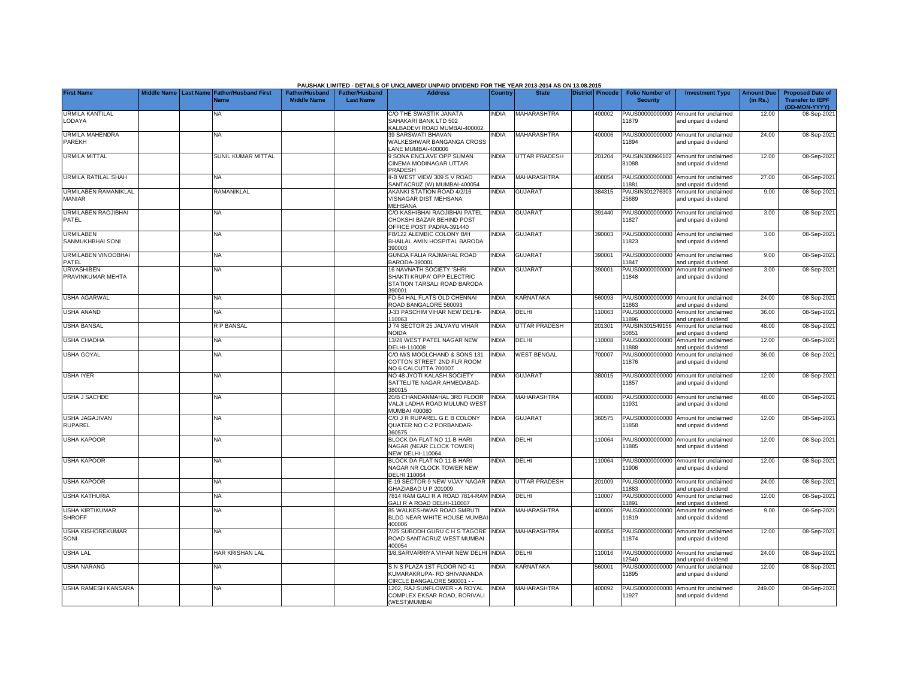|                                              |  |                                                        |                                             |                                           | PAUSHAK LIMITED - DETAILS OF UNCLAIMED/ UNPAID DIVIDEND FOR THE YEAR 2013-2014 AS ON 13.08.2015 |                |                      |                  |                                           |                                                             |                               |                                                                     |
|----------------------------------------------|--|--------------------------------------------------------|---------------------------------------------|-------------------------------------------|-------------------------------------------------------------------------------------------------|----------------|----------------------|------------------|-------------------------------------------|-------------------------------------------------------------|-------------------------------|---------------------------------------------------------------------|
| <b>First Name</b>                            |  | Middle Name   Last Name   Father/Husband First<br>Name | <b>Father/Husband</b><br><b>Middle Name</b> | <b>Father/Husband</b><br><b>Last Name</b> | <b>Address</b>                                                                                  | <b>Country</b> | <b>State</b>         | District Pincode | <b>Folio Number of</b><br><b>Security</b> | <b>Investment Type</b>                                      | <b>Amount Due</b><br>(in Rs.) | <b>Proposed Date of</b><br><b>Transfer to IEPF</b><br>(DD-MON-YYYY) |
| <b>URMILA KANTILAL</b><br>LODAYA             |  | NA                                                     |                                             |                                           | C/O THE SWASTIK JANATA<br>SAHAKARI BANK LTD 502<br><b>CALBADEVI ROAD MUMBAI-400002</b>          | INDIA          | MAHARASHTRA          | 400002           | PAUS00000000000<br>11879                  | Amount for unclaimed<br>and unpaid dividend                 | 12.00                         | 08-Sep-202                                                          |
| <b>URMILA MAHENDRA</b><br>PAREKH             |  | <b>NA</b>                                              |                                             |                                           | <b>39 SARSWATI BHAVAN</b><br><b><i>NALKESHWAR BANGANGA CROSS</i></b><br>ANE MUMBAI-400006       | <b>NDIA</b>    | <b>MAHARASHTRA</b>   | 400006           | 1894                                      | PAUS00000000000 Amount for unclaimed<br>and unpaid dividend | 24.00                         | 08-Sep-2021                                                         |
| <b>URMILA MITTAL</b>                         |  | <b>SUNIL KUMAR MITTAL</b>                              |                                             |                                           | SONA ENCLAVE OPP SUMAN<br>CINEMA MODINAGAR UTTAR<br>PRADESH                                     | <b>INDIA</b>   | <b>UTTAR PRADESH</b> | 201204           | 31088                                     | PAUSIN300966102 Amount for unclaimed<br>and unpaid dividend | 12.00                         | 08-Sep-202                                                          |
| <b>URMILA RATILAL SHAH</b>                   |  | NA                                                     |                                             |                                           | I-B WEST VIEW 309 S V ROAD<br>ANTACRUZ (W) MUMBAI-400054                                        | <b>INDIA</b>   | MAHARASHTRA          | 400054           | 1881                                      | PAUS00000000000 Amount for unclaimed<br>and unpaid dividend | 27.00                         | 08-Sep-202                                                          |
| <b>URMILABEN RAMANIKLAL</b><br><b>MANIAR</b> |  | RAMANIKLAL                                             |                                             |                                           | AKANKI STATION ROAD 4/2/16<br>/ISNAGAR DIST MEHSANA<br>MEHSANA                                  | <b>INDIA</b>   | <b>GUJARAT</b>       | 384315           | PAUSIN301276303<br>25689                  | Amount for unclaimed<br>and unpaid dividend                 | 9.00                          | 08-Sep-2021                                                         |
| URMILABEN RAOJIBHAI<br>PATEL                 |  | NA                                                     |                                             |                                           | C/O KASHIBHAI RAOJIBHAI PATEL<br>CHOKSHI BAZAR BEHIND POST<br>OFFICE POST PADRA-391440          | <b>INDIA</b>   | <b>GUJARAT</b>       | 391440           | PAUS00000000000<br>11827                  | Amount for unclaimed<br>and unpaid dividend                 | 3.00                          | 08-Sep-202                                                          |
| <b>URMILABEN</b><br>SANMUKHBHAI SONI         |  | NA                                                     |                                             |                                           | B/122 ALEMBIC COLONY B/H<br>BHAILAL AMIN HOSPITAL BARODA<br>390003                              | <b>NDIA</b>    | GUJARAT              | 390003           | PAUS00000000000<br>1823                   | Amount for unclaimed<br>and unpaid dividend                 | 3.00                          | 08-Sep-202                                                          |
| <b>URMILABEN VINOOBHAI</b><br>PATEL          |  | ΝA                                                     |                                             |                                           | <b>GUNDA FALIA RAJMAHAL ROAD</b><br>BARODA-390001                                               | <b>INDIA</b>   | <b>GUJARAT</b>       | 390001           | PAUS00000000000<br>1847                   | Amount for unclaimed<br>and unpaid dividend                 | 9.00                          | 08-Sep-202                                                          |
| <b>URVASHIBEN</b><br>PRAVINKUMAR MEHTA       |  | NA                                                     |                                             |                                           | 16 NAVNATH SOCIETY 'SHRI<br>SHAKTI KRUPA' OPP ELECTRIC<br>STATION TARSALI ROAD BARODA<br>390001 | <b>NDIA</b>    | <b>GUJARAT</b>       | 390001           | PAUS00000000000<br>11848                  | Amount for unclaimed<br>and unpaid dividend                 | 3.00                          | 08-Sep-202                                                          |
| <b>USHA AGARWAL</b>                          |  | NA                                                     |                                             |                                           | FD-54 HAL FLATS OLD CHENNAI<br>ROAD BANGALORE 560093                                            | INDIA          | KARNATAKA            | 560093           | 1863                                      | PAUS00000000000 Amount for unclaimed<br>and unpaid dividend | 24.00                         | 08-Sep-202                                                          |
| <b>USHA ANAND</b>                            |  | NA                                                     |                                             |                                           | J-33 PASCHIM VIHAR NEW DELHI-<br>110063                                                         | <b>INDIA</b>   | DELHI                | 110063           | PAUS00000000000<br>11896                  | Amount for unclaimed<br>and unpaid dividend                 | 36.00                         | 08-Sep-202                                                          |
| <b>USHA BANSAL</b>                           |  | R P BANSAL                                             |                                             |                                           | J 74 SECTOR 25 JALVAYU VIHAR<br>ACIDA                                                           | <b>INDIA</b>   | UTTAR PRADESH        | 201301           | PAUSIN301549156<br>50851                  | Amount for unclaimed<br>and unpaid dividend                 | 48.00                         | 08-Sep-202                                                          |
| <b>USHA CHADHA</b>                           |  | NA                                                     |                                             |                                           | 13/28 WEST PATEL NAGAR NEW<br>DELHI-110008                                                      | <b>INDIA</b>   | DELHI                | 110008           | PAUS00000000000<br>11888                  | Amount for unclaimed<br>and unpaid dividend                 | 12.00                         | 08-Sep-202                                                          |
| <b>USHA GOYAL</b>                            |  | NA                                                     |                                             |                                           | C/O M/S MOOLCHAND & SONS 131<br>COTTON STREET 2ND FLR ROOM<br>NO 6 CALCUTTA 700007              | INDIA          | <b>WEST BENGAL</b>   | 700007           | 11876                                     | PAUS00000000000 Amount for unclaimed<br>and unpaid dividend | 36.00                         | 08-Sep-2021                                                         |
| <b>USHA IYER</b>                             |  | <b>NA</b>                                              |                                             |                                           | NO 48 JYOTI KALASH SOCIETY<br>SATTELITE NAGAR AHMEDABAD-<br>380015                              | <b>NDIA</b>    | <b>GUJARAT</b>       | 380015           | 11857                                     | PAUS00000000000 Amount for unclaimed<br>and unpaid dividend | 12.00                         | 08-Sep-202                                                          |
| <b>USHA J SACHDE</b>                         |  | <b>NA</b>                                              |                                             |                                           | 20/B CHANDANMAHAL 3RD FLOOR<br><b>VALJI LADHA ROAD MULUND WEST</b><br>MUMBAI 400080             | <b>NDIA</b>    | MAHARASHTRA          | 400080           | 11931                                     | PAUS00000000000 Amount for unclaimed<br>and unpaid dividend | 48.00                         | 08-Sep-202                                                          |
| <b>USHA JAGAJIVAN</b><br><b>RUPAREL</b>      |  | ΝA                                                     |                                             |                                           | C/O J R RUPAREL G E B COLONY<br>QUATER NO C-2 PORBANDAR-<br>360575                              | <b>INDIA</b>   | <b>GUJARAT</b>       | 360575           | 1858                                      | PAUS00000000000 Amount for unclaimed<br>and unpaid dividend | 12.00                         | 08-Sep-202                                                          |
| <b>USHA KAPOOR</b>                           |  | <b>NA</b>                                              |                                             |                                           | BLOCK DA FLAT NO 11-B HARI<br>NAGAR (NEAR CLOCK TOWER)<br><b>VEW DELHI-110064</b>               | <b>INDIA</b>   | DELHI                | 110064           | 11885                                     | PAUS00000000000 Amount for unclaimed<br>and unpaid dividend | 12.00                         | 08-Sep-202                                                          |
| <b>USHA KAPOOR</b>                           |  | <b>NA</b>                                              |                                             |                                           | BLOCK DA FLAT NO 11-B HARI<br>NAGAR NR CLOCK TOWER NEW<br>DELHI 110064                          | <b>NDIA</b>    | DELHI                | 10064            | PAUS00000000000<br>11906                  | Amount for unclaimed<br>and unpaid dividend                 | 12.00                         | 08-Sep-202                                                          |
| <b>USHA KAPOOR</b>                           |  | <b>NA</b>                                              |                                             |                                           | -19 SECTOR-9 NEW VIJAY NAGAR INDIA<br>GHAZIABAD U P 201009                                      |                | <b>UTTAR PRADESH</b> | 201009           | 1883                                      | PAUS00000000000 Amount for unclaimed<br>and unpaid dividend | 24.00                         | 08-Sep-202                                                          |
| <b>USHA KATHURIA</b>                         |  | <b>NA</b>                                              |                                             |                                           | 7814 RAM GALI R A ROAD 7814-RAM INDIA<br><b>GALLR A ROAD DELHI-110007</b>                       |                | DELHI                | 110007           | PAUS00000000000<br>1891                   | Amount for unclaimed<br>and unpaid dividend                 | 12.00                         | 08-Sep-202                                                          |
| <b>USHA KIRTIKUMAR</b><br><b>SHROFF</b>      |  | <b>NA</b>                                              |                                             |                                           | <b>35 WALKESHWAR ROAD SMRUTI</b><br>BLDG NEAR WHITE HOUSE MUMBA<br>400006                       | <b>INDIA</b>   | <b>MAHARASHTRA</b>   | 400006           | PAUS00000000000<br>11819                  | Amount for unclaimed<br>and unpaid dividend                 | 9.00                          | 08-Sep-202                                                          |
| <b>USHA KISHOREKUMAR</b><br>SONI             |  | NA                                                     |                                             |                                           | 7/25 SUBODH GURU C H S TAGORE<br>ROAD SANTACRUZ WEST MUMBAI<br>100054                           | NDIA           | <b>MAHARASHTRA</b>   | 400054           | PAUS00000000000<br>11874                  | Amount for unclaimed<br>and unpaid dividend                 | 12.00                         | 08-Sep-202                                                          |
| <b>USHA LAL</b>                              |  | <b>HAR KRISHAN LAL</b>                                 |                                             |                                           | 3/8, SARVARRIYA VIHAR NEW DELHI                                                                 | <b>INDIA</b>   | DELHI                | 10016            | PAUS00000000000<br>2540                   | Amount for unclaimed<br>and unpaid dividend                 | 24.00                         | 08-Sep-202                                                          |
| <b>USHA NARANG</b>                           |  | NA                                                     |                                             |                                           | SNS PLAZA 1ST FLOOR NO 41<br>KUMARAKRUPA- RD SHIVANANDA<br>CIRCLE BANGALORE 560001 - -          | <b>NDIA</b>    | <b>KARNATAKA</b>     | 560001           | PAUS00000000000<br>11895                  | Amount for unclaimed<br>and unpaid dividend                 | 12.00                         | 08-Sep-2021                                                         |
| USHA RAMESH KANSARA                          |  | NA                                                     |                                             |                                           | 202, RAJ SUNFLOWER - A ROYAL<br>COMPLEX EKSAR ROAD, BORIVALI<br>(WEST)MUMBAI                    | <b>NDIA</b>    | <b>MAHARASHTRA</b>   | 400092           | PAUS00000000000<br>11927                  | Amount for unclaimed<br>and unpaid dividend                 | 249.00                        | 08-Sep-2021                                                         |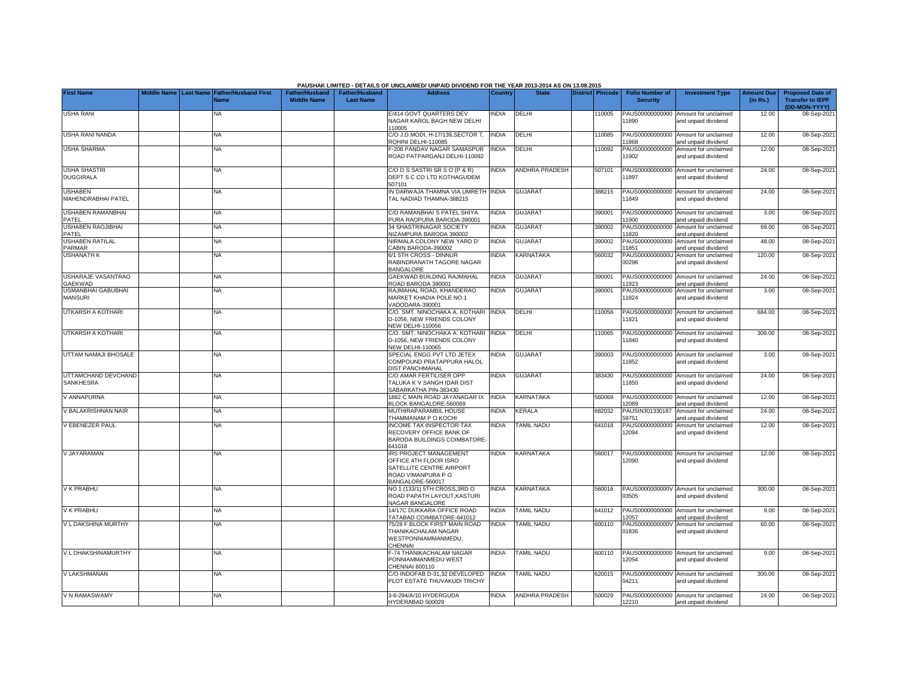|                                             |                       |                                            |                                             |                                           | PAUSHAK LIMITED - DETAILS OF UNCLAIMED/ UNPAID DIVIDEND FOR THE YEAR 2013-2014 AS ON 13.08.2015                      |                |                   |                  |                                           |                                                             |                               |                                                                     |
|---------------------------------------------|-----------------------|--------------------------------------------|---------------------------------------------|-------------------------------------------|----------------------------------------------------------------------------------------------------------------------|----------------|-------------------|------------------|-------------------------------------------|-------------------------------------------------------------|-------------------------------|---------------------------------------------------------------------|
| <b>First Name</b>                           | Middle Name Last Name | <b>Father/Husband First</b><br><b>Name</b> | <b>Father/Husband</b><br><b>Middle Name</b> | <b>Father/Husband</b><br><b>Last Name</b> | <b>Address</b>                                                                                                       | <b>Country</b> | <b>State</b>      | District Pincode | <b>Folio Number of</b><br><b>Security</b> | <b>Investment Type</b>                                      | <b>Amount Due</b><br>(in Rs.) | <b>Proposed Date of</b><br><b>Transfer to IEPF</b><br>(DD-MON-YYYY) |
| <b>USHA RANI</b>                            |                       | ΝA                                         |                                             |                                           | E/414 GOVT QUARTERS DEV<br>NAGAR KAROL BAGH NEW DELHI<br>110005                                                      | INDIA          | DELHI             | 10005            | PAUS00000000000<br>1890                   | Amount for unclaimed<br>and unpaid dividend                 | 12.00                         | 08-Sep-2021                                                         |
| <b>USHA RANI NANDA</b>                      |                       | <b>NA</b>                                  |                                             |                                           | C/O J.D.MODI, H-17/139, SECTOR 7,<br>ROHINI DELHI-110085                                                             | <b>INDIA</b>   | DELHI             | 110085           | 11868                                     | PAUS00000000000 Amount for unclaimed<br>and unpaid dividend | 12.00                         | 08-Sep-2021                                                         |
| <b>USHA SHARMA</b>                          |                       | <b>NA</b>                                  |                                             |                                           | -208 PANDAV NAGAR SAMASPUR<br>ROAD PATPARGANJ DELHI-110092                                                           | <b>INDIA</b>   | DELHI             | 110092           | PAUS00000000000<br>1902                   | Amount for unclaimed<br>and unpaid dividend                 | 12.00                         | 08-Sep-2021                                                         |
| <b>USHA SHASTRI</b><br><b>DUGGIRALA</b>     |                       | <b>NA</b>                                  |                                             |                                           | C/ODS SASTRISRS O (P & R)<br>DEPT S C CO LTD KOTHAGUDEM<br>507101                                                    | <b>NDIA</b>    | ANDHRA PRADESH    | 507101           | 1897                                      | PAUS00000000000 Amount for unclaimed<br>and unpaid dividend | 24.00                         | 08-Sep-2021                                                         |
| <b>USHABEN</b><br>MAHENDRABHAI PATEL        |                       | <b>NA</b>                                  |                                             |                                           | N DARWAJA THAMNA VIA UMRETH INDIA<br><b>TAL NADIAD THAMNA-388215</b>                                                 |                | <b>GUJARAT</b>    | 388215           | 1849                                      | PAUS00000000000 Amount for unclaimed<br>and unpaid dividend | 24.00                         | 08-Sep-2021                                                         |
| USHABEN RAMANBHAI<br>PATEL                  |                       | <b>NA</b>                                  |                                             |                                           | C/O RAMANBHAI S PATEL SHIYA<br>PURA RAOPURA BARODA-390001                                                            | INDIA          | <b>GUJARAT</b>    | 390001           | 1900                                      | PAUS00000000000 Amount for unclaimed<br>and unpaid dividend | 3.00                          | 08-Sep-2021                                                         |
| <b>USHABEN RAOJIBHAI</b><br>PATEL           |                       | <b>NA</b>                                  |                                             |                                           | <b>34 SHASTRINAGAR SOCIETY</b><br><b>VIZAMPURA BARODA 390002</b>                                                     | <b>INDIA</b>   | <b>GUJARAT</b>    | 390002           | PAUS00000000000<br>1820                   | Amount for unclaimed<br>and unpaid dividend                 | 69.00                         | 08-Sep-2021                                                         |
| <b>USHABEN RATILAL</b><br><b>PARMAR</b>     |                       | <b>NA</b>                                  |                                             |                                           | <b>NIRMALA COLONY NEW YARD D'</b><br>CABIN BARODA-390002                                                             | <b>INDIA</b>   | <b>GUJARAT</b>    | 390002           | PAUS00000000000<br>1851                   | Amount for unclaimed<br>and unpaid dividend                 | 48.00                         | 08-Sep-2021                                                         |
| <b>USHANATH K</b>                           |                       | <b>NA</b>                                  |                                             |                                           | 3/1 5TH CROSS - DINNUR<br>RABINDRANATH TAGORE NAGAR<br><b>BANGALORE</b>                                              | <b>NDIA</b>    | KARNATAKA         | 560032           | PAUS0000000000U<br>00296                  | Amount for unclaimed<br>and unpaid dividend                 | 120.00                        | 08-Sep-2021                                                         |
| <b>USHARAJE VASANTRAO</b><br><b>GAEKWAD</b> |                       | <b>NA</b>                                  |                                             |                                           | <b>GAEKWAD BUILDING RAJMAHAL</b><br>ROAD BARODA 390001                                                               | <b>INDIA</b>   | <b>GUJARAT</b>    | 390001           | 1923                                      | PAUS00000000000 Amount for unclaimed<br>and unpaid dividend | 24.00                         | 08-Sep-2021                                                         |
| <b>USMANBHAI GABUBHAI</b><br><b>MANSURI</b> |                       | <b>NA</b>                                  |                                             |                                           | RAJMAHAL ROAD, KHANDERAO<br><b>MARKET KHADIA POLE NO.1</b><br>/ADODARA-390001                                        | <b>INDIA</b>   | <b>GUJARAT</b>    | 390001           | PAUS00000000000<br>11824                  | Amount for unclaimed<br>and unpaid dividend                 | 3.00                          | 08-Sep-2021                                                         |
| UTKARSH A KOTHARI                           |                       | NA                                         |                                             |                                           | C/O. SMT. NINOCHAKA A. KOTHARI<br>D-1056, NEW FRIENDS COLONY<br><b>VEW DELHI-110056</b>                              | <b>INDIA</b>   | DELHI             | 10056            | 11821                                     | PAUS00000000000 Amount for unclaimed<br>and unpaid dividend | 684.00                        | 08-Sep-2021                                                         |
| UTKARSH A KOTHARI                           |                       | <b>NA</b>                                  |                                             |                                           | C/O. SMT. NINOCHAKA A. KOTHARI<br>D-1056, NEW FRIENDS COLONY<br><b>VEW DELHI-110065</b>                              | <b>INDIA</b>   | DELHI             | 10065            | 11840                                     | PAUS00000000000 Amount for unclaimed<br>and unpaid dividend | 309.00                        | 08-Sep-2021                                                         |
| UTTAM NAMAJI BHOSALE                        |                       | NA                                         |                                             |                                           | SPECIAL ENGG PVT LTD JETEX<br>COMPOUND PRATAPPURA HALOL<br><b>DIST PANCHMAHAL</b>                                    | NDIA           | <b>GUJARAT</b>    | 390003           | 11852                                     | PAUS00000000000 Amount for unclaimed<br>and unpaid dividend | 3.00                          | 08-Sep-2021                                                         |
| UTTAMCHAND DEVCHAND<br>SANKHESRA            |                       | NA                                         |                                             |                                           | C/O AMAR FERTILISER OPP<br><b>TALUKA K V SANGH IDAR DIST</b><br>SABARKATHA PIN-383430                                | <b>NDIA</b>    | <b>GUJARAT</b>    | 383430           | 11850                                     | PAUS00000000000 Amount for unclaimed<br>and unpaid dividend | 24.00                         | 08-Sep-2021                                                         |
| V ANNAPURNA                                 |                       | NA                                         |                                             |                                           | 1882 C MAIN ROAD JAYANAGAR IX<br><b>BLOCK BANGALORE-560069</b>                                                       | <b>INDIA</b>   | KARNATAKA         | 560069           | 2089                                      | PAUS00000000000 Amount for unclaimed<br>and unpaid dividend | 12.00                         | 08-Sep-2021                                                         |
| V BALAKRISHNAN NAIR                         |                       | <b>NA</b>                                  |                                             |                                           | <b>MUTHIRAPARAMBIL HOUSE</b><br><b>THAMMANAM P O KOCHI</b>                                                           | <b>INDIA</b>   | KERALA            | 682032           | PAUSIN301330187<br>59751                  | Amount for unclaimed<br>and unpaid dividend                 | 24.00                         | 08-Sep-2021                                                         |
| V EBENEZER PAUL                             |                       | NA                                         |                                             |                                           | NCOME TAX INSPECTOR TAX<br>RECOVERY OFFICE BANK OF<br>BARODA BUILDINGS COIMBATORE-<br>341018                         | <b>NDIA</b>    | <b>TAMIL NADU</b> | 641018           | PAUS00000000000<br>12094                  | Amount for unclaimed<br>and unpaid dividend                 | 12.00                         | 08-Sep-2021                                                         |
| V JAYARAMAN                                 |                       | <b>NA</b>                                  |                                             |                                           | RS PROJECT MANAGEMENT<br>OFFICE 4TH FLOOR ISRO<br>SATELLITE CENTRE AIRPORT<br>ROAD VIMANPURA P O<br>BANGALORE-560017 | <b>INDIA</b>   | KARNATAKA         | 560017           | 12090                                     | PAUS00000000000 Amount for unclaimed<br>and unpaid dividend | 12.00                         | 08-Sep-2021                                                         |
| V K PRABHU                                  |                       | <b>NA</b>                                  |                                             |                                           | NO 1 (133/1) 5TH CROSS,3RD O<br>ROAD PAPATH LAYOUT, KASTURI<br><b>VAGAR BANGALORE</b>                                | INDIA          | KARNATAKA         | 560016           | 03505                                     | PAUS0000000000V Amount for unclaimed<br>and unpaid dividend | 300.00                        | 08-Sep-2021                                                         |
| V K PRABHU                                  |                       | <b>NA</b>                                  |                                             |                                           | 14/17C DUKKARA OFFICE ROAD<br>TATABAD COIMBATORE-641012                                                              | <b>NDIA</b>    | <b>TAMIL NADU</b> | 641012           | 2057                                      | PAUS00000000000 Amount for unclaimed<br>and unpaid dividend | 9.00                          | 08-Sep-2021                                                         |
| V L DAKSHINA MURTHY                         |                       | <b>NA</b>                                  |                                             |                                           | 75/28 F BLOCK FIRST MAIN ROAD<br>THANIKACHALAM NAGAR<br>WESTPONNIAMMANMEDU.<br>CHENNAI                               | <b>INDIA</b>   | <b>TAMIL NADU</b> | 600110           | 01836                                     | PAUS0000000000V Amount for unclaimed<br>and unpaid dividend | 60.00                         | 08-Sep-2021                                                         |
| V L DHAKSHINAMURTHY                         |                       | <b>NA</b>                                  |                                             |                                           | -74 THANIKACHALAM NAGAR<br>PONNIAMMANMEDU WEST<br>CHENNAI 600110                                                     | <b>INDIA</b>   | <b>TAMIL NADU</b> | 600110           | 12054                                     | PAUS00000000000 Amount for unclaimed<br>and unpaid dividend | 9.00                          | 08-Sep-2021                                                         |
| <b>V LAKSHMANAN</b>                         |                       | <b>NA</b>                                  |                                             |                                           | C/O INDOFAB D-31,32 DEVELOPED<br>PLOT ESTATE THUVAKUDI TRICHY                                                        | <b>NDIA</b>    | <b>TAMIL NADU</b> | 620015           | 04211                                     | PAUS0000000000V Amount for unclaimed<br>and unpaid dividend | 300.00                        | 08-Sep-2021                                                         |
| V N RAMASWAMY                               |                       | <b>NA</b>                                  |                                             |                                           | 3-6-294/A/10 HYDERGUDA<br>YDERABAD 500029                                                                            | <b>INDIA</b>   | ANDHRA PRADESH    | 500029           | 12210                                     | PAUS00000000000 Amount for unclaimed<br>and unpaid dividend | 24.00                         | 08-Sep-2021                                                         |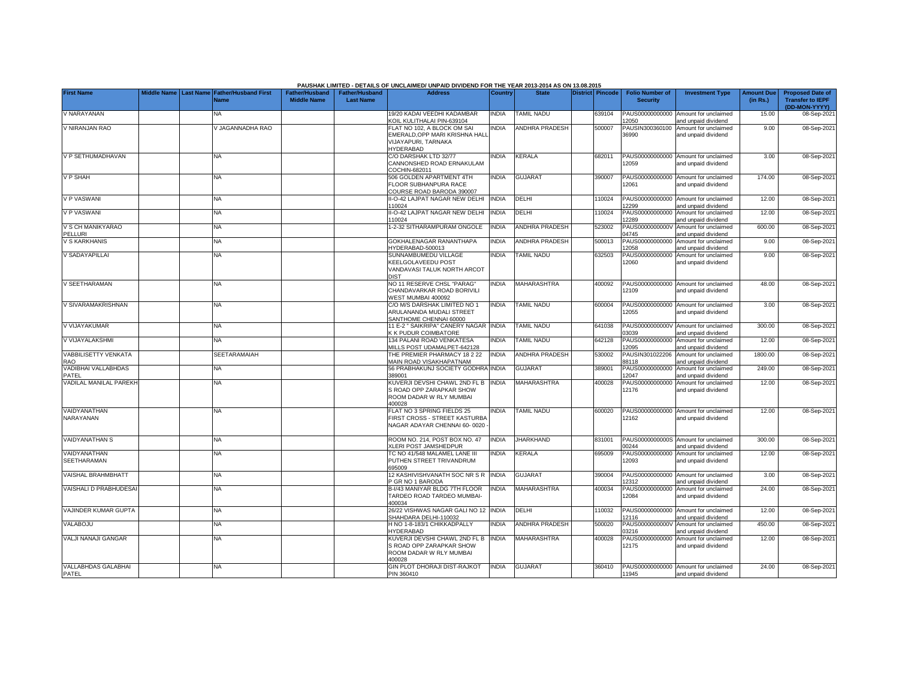|                                           |  |                                                           |                                             |                                           | PAUSHAK LIMITED - DETAILS OF UNCLAIMED/ UNPAID DIVIDEND FOR THE YEAR 2013-2014 AS ON 13.08.2015  |                |                       |                  |                                           |                                                             |                               |                                                                     |
|-------------------------------------------|--|-----------------------------------------------------------|---------------------------------------------|-------------------------------------------|--------------------------------------------------------------------------------------------------|----------------|-----------------------|------------------|-------------------------------------------|-------------------------------------------------------------|-------------------------------|---------------------------------------------------------------------|
| <b>First Name</b>                         |  | Middle Name Last Name Father/Husband First<br><b>Name</b> | <b>Father/Husband</b><br><b>Middle Name</b> | <b>Father/Husband</b><br><b>Last Name</b> | <b>Address</b>                                                                                   | <b>Country</b> | <b>State</b>          | District Pincode | <b>Folio Number of</b><br><b>Security</b> | <b>Investment Type</b>                                      | <b>Amount Due</b><br>(in Rs.) | <b>Proposed Date of</b><br><b>Transfer to IEPF</b><br>(DD-MON-YYYY) |
| V NARAYANAN                               |  | <b>NA</b>                                                 |                                             |                                           | 19/20 KADAI VEEDHI KADAMBAR<br>KOIL KULITHALAI PIN-639104                                        | <b>NDIA</b>    | TAMIL NADU            | 639104           | 2050                                      | PAUS00000000000 Amount for unclaimed<br>and unpaid dividend | 15.00                         | 08-Sep-202                                                          |
| V NIRANJAN RAO                            |  | V JAGANNADHA RAO                                          |                                             |                                           | FLAT NO 102. A BLOCK OM SAI<br>EMERALD.OPP MARI KRISHNA HALI<br>VIJAYAPURI, TARNAKA<br>HYDERABAD | <b>INDIA</b>   | <b>ANDHRA PRADESH</b> | 500007           | PAUSIN300360100<br>36990                  | Amount for unclaimed<br>and unpaid dividend                 | 9.00                          | 08-Sep-202                                                          |
| V P SETHUMADHAVAN                         |  | <b>NA</b>                                                 |                                             |                                           | C/O DARSHAK LTD 32/77<br>CANNONSHED ROAD ERNAKULAM<br>COCHIN-682011                              | <b>NDIA</b>    | <b>KERALA</b>         | 682011           | 12059                                     | PAUS00000000000 Amount for unclaimed<br>and unpaid dividend | 3.00                          | 08-Sep-202                                                          |
| V P SHAH                                  |  | <b>NA</b>                                                 |                                             |                                           | 506 GOLDEN APARTMENT 4TH<br>FLOOR SUBHANPURA RACE<br>COURSE ROAD BARODA 390007                   | <b>INDIA</b>   | <b>GUJARAT</b>        | 390007           | 12061                                     | PAUS00000000000 Amount for unclaimed<br>and unpaid dividend | 174.00                        | 08-Sep-202                                                          |
| <b>V P VASWANI</b>                        |  | <b>NA</b>                                                 |                                             |                                           | II-O-42 LAJPAT NAGAR NEW DELHI<br>10024                                                          | <b>INDIA</b>   | DELHI                 | 10024            | 2299                                      | PAUS00000000000 Amount for unclaimed<br>and unpaid dividend | 12.00                         | 08-Sep-202                                                          |
| <b>V P VASWANI</b>                        |  | <b>NA</b>                                                 |                                             |                                           | I-O-42 LAJPAT NAGAR NEW DELHI<br>10024                                                           | <b>NDIA</b>    | DELHI                 | 10024            | PAUS00000000000<br>2289                   | Amount for unclaimed<br>and unpaid dividend                 | 12.00                         | 08-Sep-202                                                          |
| V S CH MANIKYARAO<br>PELLURI              |  | <b>NA</b>                                                 |                                             |                                           | -2-32 SITHARAMPURAM ONGOLE                                                                       | <b>INDIA</b>   | <b>ANDHRA PRADESH</b> | 523002           | PAUS0000000000V<br>04745                  | Amount for unclaimed<br>and unpaid dividend                 | 600.00                        | 08-Sep-202                                                          |
| V S KARKHANIS                             |  | <b>NA</b>                                                 |                                             |                                           | GOKHALENAGAR RANANTHAPA<br>HYDERABAD-500013                                                      | <b>INDIA</b>   | <b>ANDHRA PRADESH</b> | 500013           | PAUS00000000000<br>2058                   | Amount for unclaimed<br>nd unpaid dividend                  | 9.00                          | 08-Sep-202                                                          |
| V SADAYAPILLAI                            |  | <b>NA</b>                                                 |                                             |                                           | SUNNAMBUMEDU VILLAGE<br>KEELGOLAVEEDU POST<br>VANDAVASI TALUK NORTH ARCOT<br><b>DIST</b>         | <b>INDIA</b>   | <b>TAMIL NADU</b>     | 632503           | PAUS00000000000<br>12060                  | Amount for unclaimed<br>and unpaid dividend                 | 9.00                          | 08-Sep-202                                                          |
| V SEETHARAMAN                             |  | NA                                                        |                                             |                                           | NO 11 RESERVE CHSL "PARAG"<br>CHANDAVARKAR ROAD BORIVILI<br>VEST MUMBAI 400092                   | <b>NDIA</b>    | <b>MAHARASHTRA</b>    | 400092           | 12109                                     | PAUS00000000000 Amount for unclaimed<br>and unpaid dividend | 48.00                         | 08-Sep-202                                                          |
| V SIVARAMAKRISHNAN                        |  | <b>NA</b>                                                 |                                             |                                           | C/O M/S DARSHAK LIMITED NO 1<br>ARULANANDA MUDALI STREET<br>SANTHOME CHENNAI 60000               | <b>NDIA</b>    | <b>TAMIL NADU</b>     | 600004           | PAUS00000000000<br>12055                  | Amount for unclaimed<br>and unpaid dividend                 | 3.00                          | 08-Sep-202                                                          |
| V VIJAYAKUMAR                             |  | <b>NA</b>                                                 |                                             |                                           | 11 E-2 " SAIKRIPA" CANERY NAGAR<br>K K PUDUR COIMBATORE                                          | <b>INDIA</b>   | <b>TAMIL NADU</b>     | 641038           | PAUS0000000000V<br>03039                  | Amount for unclaimed<br>and unpaid dividend                 | 300.00                        | 08-Sep-202                                                          |
| V VIJAYALAKSHMI                           |  | <b>NA</b>                                                 |                                             |                                           | 134 PALANI ROAD VENKATESA<br>MILLS POST UDAMALPET-642128                                         | <b>NDIA</b>    | <b>TAMIL NADU</b>     | 642128           | PAUS00000000000<br>2095                   | Amount for unclaimed<br>nd unpaid dividend                  | 12.00                         | 08-Sep-202                                                          |
| <b>VABBILISETTY VENKATA</b><br><b>RAO</b> |  | SEETARAMAIAH                                              |                                             |                                           | THE PREMIER PHARMACY 18 2 22<br>MAIN ROAD VISAKHAPATNAM                                          | <b>NDIA</b>    | <b>ANDHRA PRADESH</b> | 530002           | PAUSIN301022206<br>88118                  | Amount for unclaimed<br>and unpaid dividend                 | 1800.00                       | 08-Sep-202                                                          |
| VADIBHAI VALLABHDAS<br>PATEL              |  | <b>NA</b>                                                 |                                             |                                           | 56 PRABHAKUNJ SOCIETY GODHRA INDIA<br>389001                                                     |                | <b>GUJARAT</b>        | 389001           | 12047                                     | PAUS00000000000 Amount for unclaimed<br>and unpaid dividend | 249.00                        | 08-Sep-202                                                          |
| VADILAL MANILAL PAREKH                    |  | <b>NA</b>                                                 |                                             |                                           | KUVERJI DEVSHI CHAWL 2ND FL B<br>S ROAD OPP ZARAPKAR SHOW<br>ROOM DADAR W RLY MUMBAI<br>400028   | <b>INDIA</b>   | <b>MAHARASHTRA</b>    | 400028           | 12176                                     | PAUS00000000000 Amount for unclaimed<br>and unpaid dividend | 12.00                         | 08-Sep-2021                                                         |
| VAIDYANATHAN<br>NARAYANAN                 |  | <b>NA</b>                                                 |                                             |                                           | FLAT NO 3 SPRING FIELDS 25<br>FIRST CROSS - STREET KASTURBA<br>NAGAR ADAYAR CHENNAI 60-0020      | <b>NDIA</b>    | <b>TAMIL NADU</b>     | 600020           | 12162                                     | PAUS00000000000 Amount for unclaimed<br>and unpaid dividend | 12.00                         | 08-Sep-202                                                          |
| <b>VAIDYANATHAN S</b>                     |  | <b>NA</b>                                                 |                                             |                                           | ROOM NO. 214. POST BOX NO. 47<br>KLERI POST JAMSHEDPUR                                           | <b>INDIA</b>   | <b>JHARKHAND</b>      | 831001           | 0244                                      | PAUS0000000000S Amount for unclaimed<br>and unpaid dividend | 300.00                        | 08-Sep-202                                                          |
| VAIDYANATHAN<br><b>SEETHARAMAN</b>        |  | ΝA                                                        |                                             |                                           | TC NO 41/548 MALAMEL LANE III<br>PUTHEN STREET TRIVANDRUM<br>695009                              | <b>NDIA</b>    | KERALA                | 695009           | PAUS00000000000<br>12093                  | Amount for unclaimed<br>and unpaid dividend                 | 12.00                         | 08-Sep-202                                                          |
| VAISHAL BRAHMBHATT                        |  | <b>NA</b>                                                 |                                             |                                           | 12 KASHIVISHVANATH SOC NR S R<br>P GR NO 1 BARODA                                                | <b>NDIA</b>    | <b>GUJARAT</b>        | 390004           | PAUS00000000000<br>2312                   | Amount for unclaimed<br>and unpaid dividend                 | 3.00                          | 08-Sep-202                                                          |
| VAISHALI D PRABHUDESA                     |  | <b>NA</b>                                                 |                                             |                                           | B-I/43 MANIYAR BLDG 7TH FLOOR<br><b>TARDEO ROAD TARDEO MUMBAI-</b><br>400034                     | <b>NDIA</b>    | MAHARASHTRA           | 400034           | 12084                                     | PAUS00000000000 Amount for unclaimed<br>and unpaid dividend | 24.00                         | 08-Sep-202                                                          |
| VAJINDER KUMAR GUPTA                      |  | <b>NA</b>                                                 |                                             |                                           | 26/22 VISHWAS NAGAR GALI NO 12 INDIA<br>SHAHDARA DELHI-110032                                    |                | DELHI                 | 110032           | 12116                                     | PAUS00000000000 Amount for unclaimed<br>and unpaid dividend | 12.00                         | 08-Sep-202                                                          |
| VALABOJU                                  |  | <b>NA</b>                                                 |                                             |                                           | H NO 1-8-183/1 CHIKKADPALLY<br>HYDERABAD                                                         | <b>NDIA</b>    | <b>ANDHRA PRADESH</b> | 500020           | PAUS0000000000V<br>3216                   | Amount for unclaimed<br>and unpaid dividend                 | 450.00                        | 08-Sep-202                                                          |
| VALJI NANAJI GANGAR                       |  | <b>NA</b>                                                 |                                             |                                           | KUVERJI DEVSHI CHAWL 2ND FL B<br>S ROAD OPP ZARAPKAR SHOW<br>ROOM DADAR W RLY MUMBAI<br>400028   | <b>INDIA</b>   | <b>MAHARASHTRA</b>    | 400028           | PAUS00000000000<br>12175                  | Amount for unclaimed<br>and unpaid dividend                 | 12.00                         | 08-Sep-202                                                          |
| <b>VALLABHDAS GALABHAI</b><br>PATEL       |  | <b>NA</b>                                                 |                                             |                                           | <b>GIN PLOT DHORAJI DIST-RAJKOT</b><br>PIN 360410                                                | <b>NDIA</b>    | <b>GUJARAT</b>        | 360410           | 11945                                     | PAUS00000000000 Amount for unclaimed<br>and unpaid dividend | 24.00                         | 08-Sep-2021                                                         |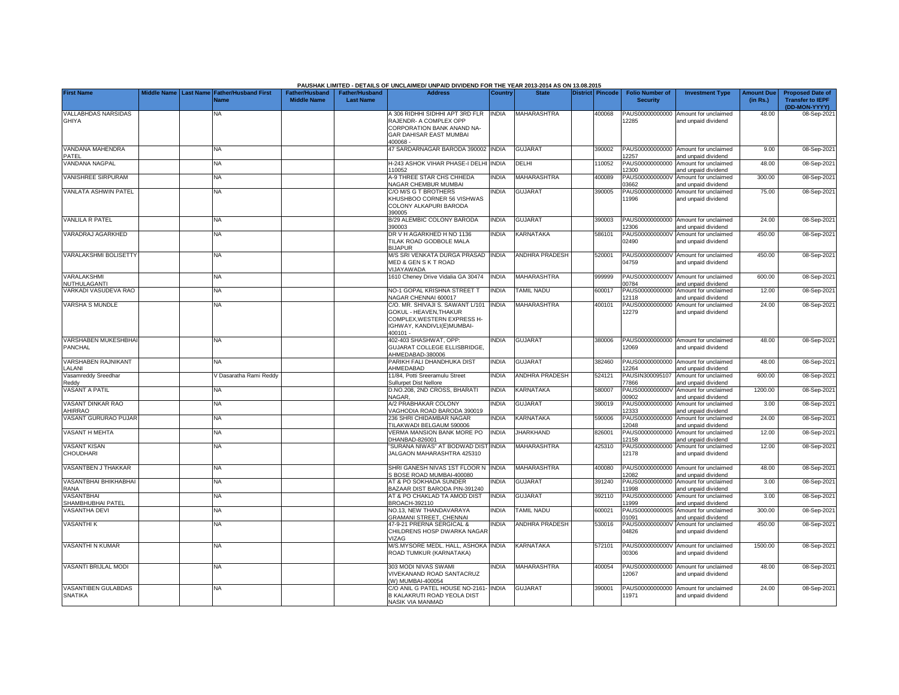|                                            |                         |                                            |                                             |                                           | PAUSHAK LIMITED - DETAILS OF UNCLAIMED/ UNPAID DIVIDEND FOR THE YEAR 2013-2014 AS ON 13.08.2015                                     |                |                       |                         |                                           |                                                             |                               |                                                    |
|--------------------------------------------|-------------------------|--------------------------------------------|---------------------------------------------|-------------------------------------------|-------------------------------------------------------------------------------------------------------------------------------------|----------------|-----------------------|-------------------------|-------------------------------------------|-------------------------------------------------------------|-------------------------------|----------------------------------------------------|
| <b>First Name</b>                          | Middle Name   Last Name | <b>Father/Husband First</b><br><b>Vame</b> | <b>Father/Husband</b><br><b>Middle Name</b> | <b>Father/Husband</b><br><b>Last Name</b> | <b>Address</b>                                                                                                                      | <b>Country</b> | <b>State</b>          | <b>District</b> Pincode | <b>Folio Number of</b><br><b>Security</b> | <b>Investment Type</b>                                      | <b>Amount Due</b><br>(in Rs.) | <b>Proposed Date of</b><br><b>Transfer to IEPF</b> |
| <b>VALLABHDAS NARSIDAS</b><br><b>GHIYA</b> |                         | NA.                                        |                                             |                                           | A 306 RIDHHI SIDHHI APT 3RD FLR<br>RAJENDR- A COMPLEX OPP<br>CORPORATION BANK ANAND NA-<br>GAR DAHISAR EAST MUMBAI<br>$-8300068$    | <b>INDIA</b>   | <b>MAHARASHTRA</b>    | 400068                  | PAUS00000000000<br>12285                  | Amount for unclaimed<br>and unpaid dividend                 | 48.00                         | (DD-MON-YYYY)<br>08-Sep-2021                       |
| VANDANA MAHENDRA<br>PATEL                  |                         | NA                                         |                                             |                                           | 47 SARDARNAGAR BARODA 390002 INDIA                                                                                                  |                | <b>GUJARAT</b>        | 390002                  | PAUS00000000000<br>12257                  | Amount for unclaimed<br>and unpaid dividend                 | 9.00                          | 08-Sep-2021                                        |
| <b>VANDANA NAGPAL</b>                      |                         | NA                                         |                                             |                                           | H-243 ASHOK VIHAR PHASE-I DELHI INDIA<br>10052                                                                                      |                | DELHI                 | 110052                  | PAUS00000000000<br>12300                  | Amount for unclaimed<br>and unpaid dividend                 | 48.00                         | 08-Sep-2021                                        |
| <b>VANISHREE SIRPURAM</b>                  |                         | NA                                         |                                             |                                           | 4-9 THREE STAR CHS CHHEDA<br><b>VAGAR CHEMBUR MUMBAI</b>                                                                            | <b>NDIA</b>    | <b>MAHARASHTRA</b>    | 400089                  | PAUS0000000000<br>03662                   | Amount for unclaimed<br>and unpaid dividend                 | 300.00                        | 08-Sep-2021                                        |
| <b>VANLATA ASHWIN PATEL</b>                |                         | NA                                         |                                             |                                           | C/O M/S G T BROTHERS<br>KHUSHBOO CORNER 56 VISHWAS<br>COLONY ALKAPURI BARODA<br>390005                                              | <b>NDIA</b>    | <b>GUJARAT</b>        | 390005                  | PAUS00000000000<br>11996                  | Amount for unclaimed<br>and unpaid dividend                 | 75.00                         | 08-Sep-2021                                        |
| <b>VANLILA R PATEL</b>                     |                         | NA                                         |                                             |                                           | B/29 ALEMBIC COLONY BARODA<br>390003                                                                                                | <b>INDIA</b>   | <b>GUJARAT</b>        | 390003                  | PAUS00000000000<br>12306                  | Amount for unclaimed<br>and unpaid dividend                 | 24.00                         | 08-Sep-2021                                        |
| VARADRAJ AGARKHED                          |                         | NA                                         |                                             |                                           | DR V H AGARKHED H NO 1136<br>TILAK ROAD GODBOLE MALA<br><b>BIJAPUR</b>                                                              | <b>INDIA</b>   | <b>KARNATAKA</b>      | 586101                  | PAUS0000000000V<br>02490                  | Amount for unclaimed<br>and unpaid dividend                 | 450.00                        | 08-Sep-2021                                        |
| <b>VARALAKSHMI BOLISETTY</b>               |                         | <b>NA</b>                                  |                                             |                                           | M/S SRI VENKATA DURGA PRASAD INDIA<br>MED & GEN S K T ROAD<br>VIJAYAWADA                                                            |                | <b>ANDHRA PRADESH</b> | 520001                  | 04759                                     | PAUS0000000000V Amount for unclaimed<br>and unpaid dividend | 450.00                        | 08-Sep-2021                                        |
| VARALAKSHMI<br>NUTHULAGANTI                |                         | NA                                         |                                             |                                           | 1610 Cheney Drive Vidalia GA 30474                                                                                                  | <b>INDIA</b>   | MAHARASHTRA           | 999999                  | PAUS0000000000V<br>00784                  | Amount for unclaimed<br>and unpaid dividend                 | 600.00                        | 08-Sep-2021                                        |
| VARKADI VASUDEVA RAO                       |                         | NA                                         |                                             |                                           | NO-1 GOPAL KRISHNA STREET T<br>NAGAR CHENNAI 600017                                                                                 | <b>INDIA</b>   | <b>TAMIL NADU</b>     | 600017                  | PAUS00000000000<br>12118                  | Amount for unclaimed<br>and unpaid dividend                 | 12.00                         | 08-Sep-2021                                        |
| <b>VARSHA S MUNDLE</b>                     |                         | <b>NA</b>                                  |                                             |                                           | C/O. MR. SHIVAJI S. SAWANT L/101<br>GOKUL - HEAVEN, THAKUR<br>COMPLEX, WESTERN EXPRESS H-<br>IGHWAY, KANDIVLI(E)MUMBAI-<br>400101 - | <b>INDIA</b>   | <b>MAHARASHTRA</b>    | 400101                  | PAUS00000000000<br>12279                  | Amount for unclaimed<br>and unpaid dividend                 | 24.00                         | 08-Sep-2021                                        |
| VARSHABEN MUKESHBHAI<br><b>PANCHAL</b>     |                         | NA                                         |                                             |                                           | 402-403 SHASHWAT, OPP:<br><b>GUJARAT COLLEGE ELLISBRIDGE.</b><br>AHMEDABAD-380006                                                   | <b>NDIA</b>    | <b>GUJARAT</b>        | 380006                  | PAUS00000000000<br>12069                  | Amount for unclaimed<br>and unpaid dividend                 | 48.00                         | 08-Sep-2021                                        |
| <b>VARSHABEN RAJNIKANT</b><br>LALANI       |                         | NA                                         |                                             |                                           | PARIKH FALI DHANDHUKA DIST<br>AHMEDABAD                                                                                             | <b>INDIA</b>   | <b>GUJARAT</b>        | 382460                  | PAUS00000000000<br>12264                  | Amount for unclaimed<br>and unpaid dividend                 | 48.00                         | 08-Sep-2021                                        |
| Vasamreddy Sreedhar<br>Reddy               |                         | / Dasaratha Rami Reddy                     |                                             |                                           | 11/84, Potti Sreeramulu Street<br>Sullurpet Dist Nellore                                                                            | <b>INDIA</b>   | <b>ANDHRA PRADESH</b> | 524121                  | PAUSIN300095107<br>77866                  | Amount for unclaimed<br>and unpaid dividend                 | 600.00                        | 08-Sep-2021                                        |
| VASANT A PATIL                             |                         | NA                                         |                                             |                                           | D.NO.208, 2ND CROSS, BHARATI<br>NAGAR,                                                                                              | INDIA          | KARNATAKA             | 580007                  | PAUS0000000000V<br>00902                  | Amount for unclaimed<br>and unpaid dividend                 | 1200.00                       | 08-Sep-2021                                        |
| VASANT DINKAR RAO<br>AHIRRAO               |                         | <b>NA</b>                                  |                                             |                                           | A/2 PRABHAKAR COLONY<br>VAGHODIA ROAD BARODA 390019                                                                                 | <b>INDIA</b>   | <b>GUJARAT</b>        | 390019                  | PAUS00000000000<br>12333                  | Amount for unclaimed<br>and unpaid dividend                 | 3.00                          | 08-Sep-2021                                        |
| VASANT GURURAO PUJAR                       |                         | NA                                         |                                             |                                           | 236 SHRI CHIDAMBAR NAGAR<br>TILAKWADI BELGAUM 590006                                                                                | <b>INDIA</b>   | KARNATAKA             | 590006                  | PAUS00000000000<br>12048                  | Amount for unclaimed<br>and unpaid dividend                 | 24.00                         | 08-Sep-2021                                        |
| VASANT H MEHTA                             |                         | NA                                         |                                             |                                           | VERMA MANSION BANK MORE PO<br>DHANBAD-826001                                                                                        | <b>INDIA</b>   | <b>JHARKHAND</b>      | 826001                  | PAUS00000000000<br>12158                  | Amount for unclaimed<br>and unpaid dividend                 | 12.00                         | 08-Sep-2021                                        |
| <b>VASANT KISAN</b><br><b>CHOUDHARI</b>    |                         | <b>NA</b>                                  |                                             |                                           | 'SURANA NIWAS" AT BODWAD DIST<br>JALGAON MAHARASHTRA 425310                                                                         | <b>INDIA</b>   | <b>MAHARASHTRA</b>    | 425310                  | PAUS00000000000<br>12178                  | Amount for unclaimed<br>and unpaid dividend                 | 12.00                         | 08-Sep-2021                                        |
| VASANTBEN J THAKKAR                        |                         | NA                                         |                                             |                                           | SHRI GANESH NIVAS 1ST FLOOR N INDIA<br>S BOSE ROAD MUMBAI-400080                                                                    |                | <b>MAHARASHTRA</b>    | 400080                  | PAUS00000000000<br>12082                  | Amount for unclaimed<br>and unpaid dividend                 | 48.00                         | 08-Sep-2021                                        |
| VASANTBHAI BHIKHABHAI<br><b>RANA</b>       |                         | <b>NA</b>                                  |                                             |                                           | AT & PO SOKHADA SUNDER<br>BAZAAR DIST BARODA PIN-391240                                                                             | <b>INDIA</b>   | <b>GUJARAT</b>        | 391240                  | PAUS00000000000<br>11998                  | Amount for unclaimed<br>and unpaid dividend                 | 3.00                          | 08-Sep-2021                                        |
| <b>VASANTBHAI</b><br>SHAMBHUBHAI PATEL     |                         | NA                                         |                                             |                                           | AT & PO CHAKLAD TA AMOD DIST<br>BROACH-392110                                                                                       | <b>INDIA</b>   | <b>GUJARAT</b>        | 392110                  | PAUS00000000000<br>11999                  | Amount for unclaimed<br>and unpaid dividend                 | 3.00                          | 08-Sep-2021                                        |
| <b>VASANTHA DEVI</b>                       |                         | NA                                         |                                             |                                           | NO.13, NEW THANDAVARAYA<br><b>GRAMANI STREET, CHENNAI</b>                                                                           | <b>NDIA</b>    | <b>TAMIL NADU</b>     | 600021                  | PAUS0000000000S<br>01091                  | Amount for unclaimed<br>and unpaid dividend                 | 300.00                        | 08-Sep-2021                                        |
| <b>VASANTHIK</b>                           |                         | NA                                         |                                             |                                           | 47-9-21 PRERNA SERGICAL &<br>CHILDRENS HOSP DWARKA NAGAF<br>/IZAG                                                                   | <b>NDIA</b>    | <b>ANDHRA PRADESH</b> | 530016                  | PAUS0000000000V<br>04826                  | Amount for unclaimed<br>and unpaid dividend                 | 450.00                        | 08-Sep-2021                                        |
| VASANTHI N KUMAR                           |                         | <b>NA</b>                                  |                                             |                                           | M/S.MYSORE MEDL. HALL, ASHOKA INDIA<br>ROAD TUMKUR (KARNATAKA)                                                                      |                | <b>KARNATAKA</b>      | 572101                  | 00306                                     | PAUS0000000000V Amount for unclaimed<br>and unpaid dividend | 1500.00                       | 08-Sep-2021                                        |
| <b>VASANTI BRIJLAL MODI</b>                |                         | <b>NA</b>                                  |                                             |                                           | 303 MODI NIVAS SWAMI<br><b>VIVEKANAND ROAD SANTACRUZ</b><br>W) MUMBAI-400054                                                        | <b>NDIA</b>    | <b>MAHARASHTRA</b>    | 400054                  | 12067                                     | PAUS00000000000 Amount for unclaimed<br>and unpaid dividend | 48.00                         | 08-Sep-2021                                        |
| <b>VASANTIBEN GULABDAS</b><br>SNATIKA      |                         | NA.                                        |                                             |                                           | C/O ANIL G PATEL HOUSE NO-2161-<br>B KALAKRUTI ROAD YEOLA DIST<br>NASIK VIA MANMAD                                                  | <b>INDIA</b>   | <b>GUJARAT</b>        | 390001                  | PAUS00000000000<br>11971                  | Amount for unclaimed<br>and unpaid dividend                 | 24.00                         | 08-Sep-2021                                        |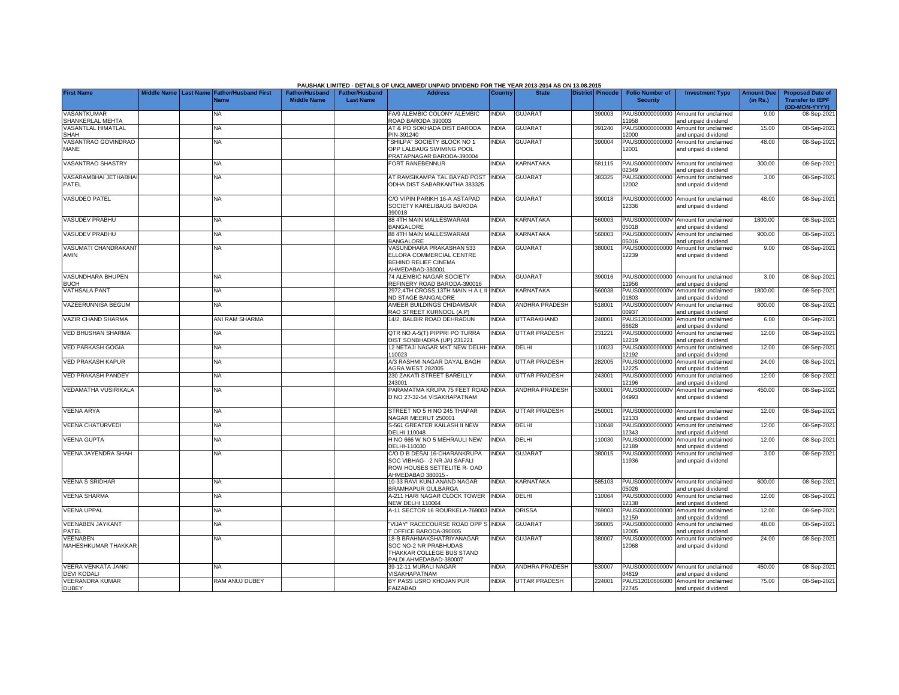|                                                  |  |                                                           |                                      |                                           | PAUSHAK LIMITED - DETAILS OF UNCLAIMED/ UNPAID DIVIDEND FOR THE YEAR 2013-2014 AS ON 13.08.2015                    |              |                       |                  |                                           |                                                             |                               |                                                                     |
|--------------------------------------------------|--|-----------------------------------------------------------|--------------------------------------|-------------------------------------------|--------------------------------------------------------------------------------------------------------------------|--------------|-----------------------|------------------|-------------------------------------------|-------------------------------------------------------------|-------------------------------|---------------------------------------------------------------------|
| <b>First Name</b>                                |  | Middle Name Last Name Father/Husband First<br><b>Name</b> | Father/Husband<br><b>Middle Name</b> | <b>Father/Husband</b><br><b>Last Name</b> | <b>Address</b>                                                                                                     | Country      | <b>State</b>          | District Pincode | <b>Folio Number of</b><br><b>Security</b> | <b>Investment Type</b>                                      | <b>Amount Due</b><br>(in Rs.) | <b>Proposed Date of</b><br><b>Transfer to IEPF</b><br>(DD-MON-YYYY) |
| <b>VASANTKUMAR</b><br>SHANKERLAL MEHTA           |  | NA                                                        |                                      |                                           | FA/9 ALEMBIC COLONY ALEMBIC<br>ROAD BARODA 390003                                                                  | <b>NDIA</b>  | <b>GUJARAT</b>        | 390003           | 1958                                      | PAUS00000000000 Amount for unclaimed<br>and unpaid dividend | 9.00                          | 08-Sep-202                                                          |
| VASANTLAL HIMATLAL<br><b>SHAH</b>                |  | <b>NA</b>                                                 |                                      |                                           | AT & PO SOKHADA DIST BARODA<br>PIN-391240                                                                          | <b>NDIA</b>  | GUJARAT               | 391240           | PAUS00000000000<br>12000                  | Amount for unclaimed<br>and unpaid dividend                 | 15.00                         | 08-Sep-202                                                          |
| VASANTRAO GOVINDRAO<br>MANE                      |  | <b>NA</b>                                                 |                                      |                                           | 'SHILPA" SOCIETY BLOCK NO 1<br>OPP LALBAUG SWIMING POOL<br>PRATAPNAGAR BARODA-390004                               | <b>INDIA</b> | <b>GUJARAT</b>        | 390004           | PAUS00000000000<br>12001                  | Amount for unclaimed<br>and unpaid dividend                 | 48.00                         | 08-Sep-202                                                          |
| VASANTRAO SHASTRY                                |  | <b>NA</b>                                                 |                                      |                                           | <b>FORT RANEBENNUR</b>                                                                                             | <b>INDIA</b> | KARNATAKA             | 581115           | PAUS0000000000V<br>)2349                  | Amount for unclaimed<br>and unpaid dividend                 | 300.00                        | 08-Sep-202                                                          |
| VASARAMBHAI JETHABHA<br>PATEL                    |  | NA                                                        |                                      |                                           | AT RAMSIKAMPA TAL BAYAD POST<br>ODHA DIST SABARKANTHA 383325                                                       | <b>NDIA</b>  | <b>GUJARAT</b>        | 383325           | PAUS00000000000<br>12002                  | Amount for unclaimed<br>and unpaid dividend                 | 3.00                          | 08-Sep-202                                                          |
| <b>VASUDEO PATEL</b>                             |  | <b>NA</b>                                                 |                                      |                                           | C/O VIPIN PARIKH 16-A ASTAPAD<br>SOCIETY KARELIBAUG BARODA<br>390018                                               | <b>NDIA</b>  | <b>GUJARAT</b>        | 390018           | 12336                                     | PAUS00000000000 Amount for unclaimed<br>and unpaid dividend | 48.00                         | 08-Sep-202                                                          |
| <b>VASUDEV PRABHU</b>                            |  | <b>NA</b>                                                 |                                      |                                           | <b>38 4TH MAIN MALLESWARAM</b><br>BANGALORE                                                                        | <b>INDIA</b> | KARNATAKA             | 560003           | 05018                                     | PAUS0000000000V Amount for unclaimed<br>and unpaid dividend | 1800.00                       | 08-Sep-202                                                          |
| <b>VASUDEV PRABHU</b>                            |  | <b>NA</b>                                                 |                                      |                                           | <b>88 4TH MAIN MALLESWARAM</b><br>BANGALORE                                                                        | <b>NDIA</b>  | KARNATAKA             | 560003           | 05016                                     | PAUS0000000000V Amount for unclaimed<br>and unpaid dividend | 900.00                        | 08-Sep-202                                                          |
| VASUMATI CHANDRAKANT<br>AMIN                     |  | <b>NA</b>                                                 |                                      |                                           | <b>/ASUNDHARA PRAKASHAN 533</b><br>ELLORA COMMERCIAL CENTRE<br>BEHIND RELIEF CINEMA<br>AHMEDABAD-380001            | <b>INDIA</b> | <b>GUJARAT</b>        | 380001           | PAUS00000000000<br>12239                  | Amount for unclaimed<br>and unpaid dividend                 | 9.00                          | 08-Sep-202                                                          |
| VASUNDHARA BHUPEN<br><b>BUCH</b>                 |  | <b>NA</b>                                                 |                                      |                                           | 74 ALEMBIC NAGAR SOCIETY<br>REFINERY ROAD BARODA-390016                                                            | <b>NDIA</b>  | <b>GUJARAT</b>        | 390016           | 1956                                      | PAUS00000000000 Amount for unclaimed<br>and unpaid dividend | 3.00                          | 08-Sep-202                                                          |
| <b>VATHSALA PANT</b>                             |  | <b>NA</b>                                                 |                                      |                                           | 2972,4TH CROSS,13TH MAIN H A L II INDIA<br><b>VD STAGE BANGALORE</b>                                               |              | <b>KARNATAKA</b>      | 560038           | PAUS0000000000V<br>1803                   | Amount for unclaimed<br>and unpaid dividend                 | 1800.00                       | 08-Sep-202                                                          |
| VAZEERUNNISA BEGUM                               |  | <b>NA</b>                                                 |                                      |                                           | AMEER BUILDINGS CHIDAMBAR<br>RAO STREET KURNOOL (A.P)                                                              | <b>INDIA</b> | <b>ANDHRA PRADESH</b> | 518001           | PAUS0000000000V<br>0937                   | Amount for unclaimed<br>and unpaid dividend                 | 600.00                        | 08-Sep-202                                                          |
| <b>VAZIR CHAND SHARMA</b>                        |  | ANI RAM SHARMA                                            |                                      |                                           | 14/2. BALBIR ROAD DEHRADUN                                                                                         | <b>INDIA</b> | UTTARAKHAND           | 248001           | PAUS12010604000<br>66628                  | Amount for unclaimed<br>and unpaid dividend                 | 6.00                          | 08-Sep-202                                                          |
| <b>VED BHUSHAN SHARMA</b>                        |  | NA                                                        |                                      |                                           | QTR NO A-5(T) PIPPRI PO TURRA<br><b>DIST SONBHADRA (UP) 231221</b>                                                 | <b>INDIA</b> | <b>UTTAR PRADESH</b>  | 231221           | PAUS00000000000<br>2219                   | Amount for unclaimed<br>and unpaid dividend                 | 12.00                         | 08-Sep-202                                                          |
| <b>VED PARKASH GOGIA</b>                         |  | <b>NA</b>                                                 |                                      |                                           | 12 NETAJI NAGAR MKT NEW DELHI-<br>110023                                                                           | <b>INDIA</b> | DELHI                 | 110023           | PAUS00000000000<br>2192                   | Amount for unclaimed<br>nd unpaid dividend                  | 12.00                         | 08-Sep-202                                                          |
| <b>VED PRAKASH KAPUR</b>                         |  | <b>NA</b>                                                 |                                      |                                           | 4/3 RASHMI NAGAR DAYAL BAGH<br><b>AGRA WEST 282005</b>                                                             | <b>INDIA</b> | <b>UTTAR PRADESH</b>  | 282005           | PAUS00000000000<br>2225                   | Amount for unclaimed<br>nd unpaid dividend                  | 24.00                         | 08-Sep-202                                                          |
| <b>VED PRAKASH PANDEY</b>                        |  | NA                                                        |                                      |                                           | 230 ZAKATI STREET BAREILLY<br>243001                                                                               | <b>NDIA</b>  | UTTAR PRADESH         | 243001           | PAUS00000000000<br>2196                   | Amount for unclaimed<br>and unpaid dividend                 | 12.00                         | 08-Sep-202                                                          |
| <b>VEDAMATHA VUSIRIKALA</b>                      |  | <b>NA</b>                                                 |                                      |                                           | PARAMATMA KRUPA 75 FEET ROAD INDIA<br>D NO 27-32-54 VISAKHAPATNAM                                                  |              | ANDHRA PRADESH        | 530001           | PAUS0000000000V<br>04993                  | Amount for unclaimed<br>and unpaid dividend                 | 450.00                        | 08-Sep-202                                                          |
| <b>VEENA ARYA</b>                                |  | <b>NA</b>                                                 |                                      |                                           | STREET NO 5 H NO 245 THAPAR<br>VAGAR MEERUT 250001                                                                 | <b>NDIA</b>  | <b>UTTAR PRADESH</b>  | 250001           | PAUS00000000000<br>12133                  | Amount for unclaimed<br>and unpaid dividend                 | 12.00                         | 08-Sep-202                                                          |
| <b>VEENA CHATURVEDI</b>                          |  | NA                                                        |                                      |                                           | S-561 GREATER KAILASH II NEW<br><b>DELHI 110048</b>                                                                | <b>NDIA</b>  | DELHI                 | 110048           | 12343                                     | PAUS00000000000 Amount for unclaimed<br>and unpaid dividend | 12.00                         | 08-Sep-202                                                          |
| <b>VEENA GUPTA</b>                               |  | <b>NA</b>                                                 |                                      |                                           | H NO 666 W NO 5 MEHRAULI NEW<br>DELHI-110030                                                                       | <b>NDIA</b>  | DELHI                 | 10030            | PAUS00000000000<br>12189                  | Amount for unclaimed<br>and unpaid dividend                 | 12.00                         | 08-Sep-202                                                          |
| VEENA JAYENDRA SHAH                              |  | NA                                                        |                                      |                                           | C/O D B DESAI 16-CHARANKRUPA<br>SOC VIBHAG- - 2 NR JAI SAFALI<br>ROW HOUSES SETTELITE R- OAD<br>AHMEDABAD 380015 - | <b>NDIA</b>  | GUJARAT               | 380015           | PAUS00000000000<br>11936                  | Amount for unclaimed<br>and unpaid dividend                 | 3.00                          | 08-Sep-202                                                          |
| <b>VEENA S SRIDHAR</b>                           |  | <b>NA</b>                                                 |                                      |                                           | 10-33 RAVI KUNJ ANAND NAGAR<br>BRAMHAPUR GULBARGA                                                                  | <b>NDIA</b>  | KARNATAKA             | 585103           | 05026                                     | PAUS0000000000V Amount for unclaimed<br>and unpaid dividend | 600.00                        | 08-Sep-202                                                          |
| <b>VEENA SHARMA</b>                              |  | NA                                                        |                                      |                                           | 4-211 HARI NAGAR CLOCK TOWER<br><b>NEW DELHI 110064</b>                                                            | <b>INDIA</b> | DELHI                 | 110064           | PAUS00000000000<br>2138                   | Amount for unclaimed<br>and unpaid dividend                 | 12.00                         | 08-Sep-202                                                          |
| <b>VEENA UPPAL</b>                               |  | <b>NA</b>                                                 |                                      |                                           | 4-11 SECTOR 16 ROURKELA-769003 INDIA                                                                               |              | ORISSA                | 769003           | PAUS00000000000<br>2159                   | Amount for unclaimed<br>nd unpaid dividend                  | 12.00                         | 08-Sep-202                                                          |
| <b>VEENABEN JAYKANT</b><br>PATEL                 |  | <b>NA</b>                                                 |                                      |                                           | VIJAY" RACECOURSE ROAD OPP S INDIA<br>OFFICE BARODA-390005                                                         |              | <b>GUJARAT</b>        | 390005           | PAUS00000000000<br>2005                   | Amount for unclaimed<br>and unpaid dividend                 | 48.00                         | 08-Sep-202                                                          |
| VEENABEN<br>MAHESHKUMAR THAKKAR                  |  | NA                                                        |                                      |                                           | 18-B BRAHMAKSHATRIYANAGAR<br>SOC NO-2 NR PRABHUDAS<br>THAKKAR COLLEGE BUS STAND<br>PALDI AHMEDABAD-380007          | <b>INDIA</b> | <b>GUJARAT</b>        | 380007           | PAUS00000000000<br>12068                  | Amount for unclaimed<br>and unpaid dividend                 | 24.00                         | 08-Sep-202                                                          |
| <b>VEERA VENKATA JANKI</b><br><b>DEVI KODALI</b> |  | <b>NA</b>                                                 |                                      |                                           | 39-12-11 MURALI NAGAR<br>/ISAKHAPATNAM                                                                             | <b>NDIA</b>  | <b>ANDHRA PRADESH</b> | 530007           | PAUS0000000000V<br>14819                  | Amount for unclaimed<br>and unpaid dividend                 | 450.00                        | 08-Sep-202                                                          |
| <b>VEERANDRA KUMAR</b><br><b>DUBEY</b>           |  | RAM ANUJ DUBEY                                            |                                      |                                           | BY PASS USRO KHOJAN PUR<br><b>FAIZABAD</b>                                                                         | <b>NDIA</b>  | <b>UTTAR PRADESH</b>  | 224001           | 22745                                     | PAUS12010606000 Amount for unclaimed<br>and unpaid dividend | 75.00                         | 08-Sep-2021                                                         |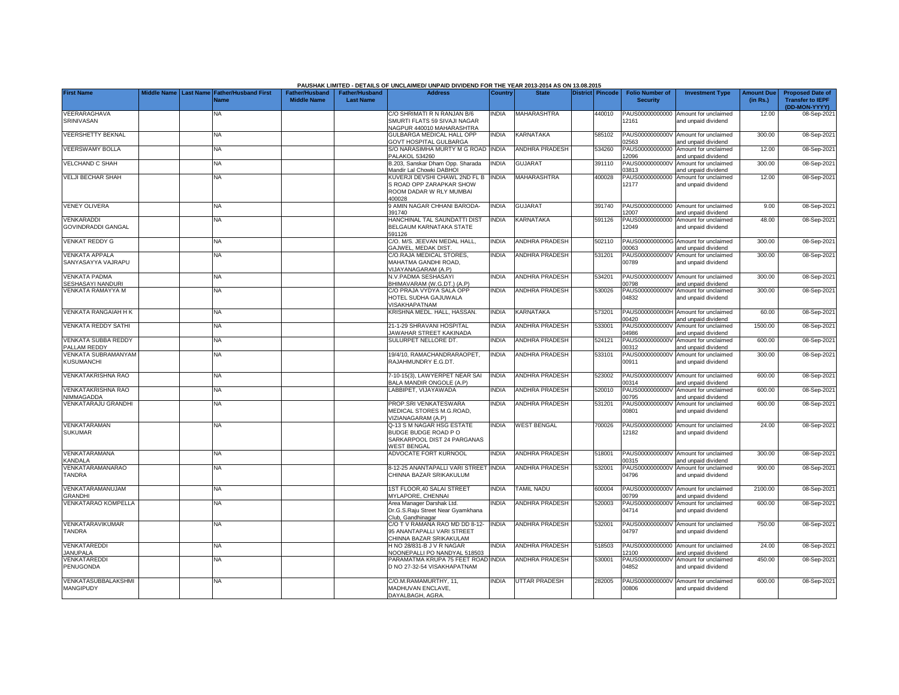|                                                  |  |                                            |                       |                       | PAUSHAK LIMITED - DETAILS OF UNCLAIMED/ UNPAID DIVIDEND FOR THE YEAR 2013-2014 AS ON 13.08.2015 |                |                       |                         |                          |                                                             |                   |                                          |
|--------------------------------------------------|--|--------------------------------------------|-----------------------|-----------------------|-------------------------------------------------------------------------------------------------|----------------|-----------------------|-------------------------|--------------------------|-------------------------------------------------------------|-------------------|------------------------------------------|
| <b>First Name</b>                                |  | Middle Name Last Name Father/Husband First | <b>Father/Husband</b> | <b>Father/Husband</b> | <b>Address</b>                                                                                  | <b>Country</b> | <b>State</b>          | <b>District Pincode</b> | <b>Folio Number of</b>   | <b>Investment Type</b>                                      | <b>Amount Due</b> | <b>Proposed Date of</b>                  |
|                                                  |  | <b>Name</b>                                | <b>Middle Name</b>    | <b>Last Name</b>      |                                                                                                 |                |                       |                         | <b>Security</b>          |                                                             | (in Rs.)          | <b>Transfer to IEPF</b><br>(DD-MON-YYYY) |
| VEERARAGHAVA                                     |  | NA                                         |                       |                       | C/O SHRIMATI R N RANJAN B/6                                                                     | <b>NDIA</b>    | <b>MAHARASHTRA</b>    | 440010                  | PAUS00000000000          | Amount for unclaimed                                        | 12.00             | 08-Sep-202                               |
| SRINIVASAN                                       |  |                                            |                       |                       | SMURTI FLATS 59 SIVAJI NAGAR<br><b>VAGPUR 440010 MAHARASHTRA</b>                                |                |                       |                         | 12161                    | and unpaid dividend                                         |                   |                                          |
| <b>VEERSHETTY BEKNAL</b>                         |  | NA                                         |                       |                       | GULBARGA MEDICAL HALL OPP<br>GOVT HOSPITAL GULBARGA                                             | <b>INDIA</b>   | KARNATAKA             | 585102                  | 2563                     | PAUS0000000000V Amount for unclaimed<br>and unpaid dividend | 300.00            | 08-Sep-202                               |
| <b>VEERSWAMY BOLLA</b>                           |  | NA                                         |                       |                       | <b>S/O NARASIMHA MURTY M G ROAD INDIA</b><br>PALAKOL 534260                                     |                | ANDHRA PRADESH        | 534260                  | PAUS00000000000<br>12096 | Amount for unclaimed<br>and unpaid dividend                 | 12.00             | 08-Sep-202                               |
| <b>VELCHAND C SHAH</b>                           |  | NA                                         |                       |                       | B.203, Sanskar Dham Opp. Sharada<br>Mandir Lal Chowki DABHOI                                    | <b>NDIA</b>    | <b>GUJARAT</b>        | 391110                  | PAUS0000000000V<br>03813 | Amount for unclaimed<br>and unpaid dividend                 | 300.00            | 08-Sep-202                               |
| <b>VELJI BECHAR SHAH</b>                         |  | <b>NA</b>                                  |                       |                       | <b>KUVERJI DEVSHI CHAWL 2ND FL B</b><br>S ROAD OPP ZARAPKAR SHOW                                | <b>INDIA</b>   | <b>MAHARASHTRA</b>    | 400028                  | PAUS00000000000<br>12177 | Amount for unclaimed<br>and unpaid dividend                 | 12.00             | 08-Sep-202                               |
|                                                  |  |                                            |                       |                       | ROOM DADAR W RLY MUMBAI<br>400028                                                               |                |                       |                         |                          |                                                             |                   |                                          |
| <b>VENEY OLIVERA</b>                             |  | ΝA                                         |                       |                       | 9 AMIN NAGAR CHHANI BARODA-<br>391740                                                           | INDIA          | <b>GUJARAT</b>        | 391740                  | 12007                    | PAUS00000000000 Amount for unclaimed<br>and unpaid dividend | 9.00              | 08-Sep-202                               |
| <b>VENKARADDI</b>                                |  | NA                                         |                       |                       | HANCHINAL TAL SAUNDATTI DIST                                                                    | INDIA          | KARNATAKA             | 591126                  |                          | PAUS00000000000 Amount for unclaimed                        | 48.00             | 08-Sep-202                               |
| <b>GOVINDRADDI GANGAL</b>                        |  |                                            |                       |                       | BELGAUM KARNATAKA STATE<br>591126                                                               |                |                       |                         | 12049                    | and unpaid dividend                                         |                   |                                          |
| <b>VENKAT REDDY G</b>                            |  | <b>NA</b>                                  |                       |                       | C/O. M/S. JEEVAN MEDAL HALL,<br>GAJWEL, MEDAK DIST                                              | <b>INDIA</b>   | ANDHRA PRADESH        | 502110                  | 00063                    | PAUS0000000000G Amount for unclaimed<br>and unpaid dividend | 300.00            | 08-Sep-202                               |
| <b>VENKATA APPALA</b>                            |  | <b>NA</b>                                  |                       |                       | C/O.RAJA MEDICAL STORES,                                                                        | <b>INDIA</b>   | <b>ANDHRA PRADESH</b> | 531201                  |                          | PAUS0000000000V Amount for unclaimed                        | 300.00            | 08-Sep-202                               |
| SANYASAYYA VAJRAPU                               |  |                                            |                       |                       | MAHATMA GANDHI ROAD.<br>VIJAYANAGARAM (A.P)                                                     |                |                       |                         | 00789                    | and unpaid dividend                                         |                   |                                          |
| <b>VENKATA PADMA</b><br><b>SESHASAYI NANDURI</b> |  | <b>NA</b>                                  |                       |                       | N.V.PADMA SESHASAYI<br>3HIMAVARAM (W.G.DT.) (A.P)                                               | <b>INDIA</b>   | <b>ANDHRA PRADESH</b> | 534201                  | 10798                    | PAUS0000000000V Amount for unclaimed<br>and unpaid dividend | 300.00            | 08-Sep-202                               |
| <b>VENKATA RAMAYYA M</b>                         |  | <b>NA</b>                                  |                       |                       | :/O PRAJA VYDYA SALA OPP                                                                        | <b>INDIA</b>   | <b>ANDHRA PRADESH</b> | 530026                  |                          | PAUS0000000000V Amount for unclaimed                        | 300.00            | 08-Sep-202                               |
|                                                  |  |                                            |                       |                       | HOTEL SUDHA GAJUWALA<br>/ISAKHAPATNAM                                                           |                |                       |                         | 04832                    | and unpaid dividend                                         |                   |                                          |
| <b>VENKATA RANGAIAH H K</b>                      |  | ΝA                                         |                       |                       | KRISHNA MEDL. HALL, HASSAN.                                                                     | <b>INDIA</b>   | KARNATAKA             | 573201                  | PAUS0000000000H<br>00420 | Amount for unclaimed<br>and unpaid dividend                 | 60.00             | 08-Sep-202                               |
| <b>VENKATA REDDY SATHI</b>                       |  | NA                                         |                       |                       | 21-1-29 SHRAVANI HOSPITAL<br><b>JAWAHAR STREET KAKINADA</b>                                     | <b>INDIA</b>   | <b>ANDHRA PRADESH</b> | 533001                  | PAUS0000000000V<br>04986 | Amount for unclaimed<br>and unpaid dividend                 | 1500.00           | 08-Sep-202                               |
| <b>VENKATA SUBBA REDDY</b><br>PALLAM REDDY       |  | <b>NA</b>                                  |                       |                       | SULURPET NELLORE DT.                                                                            | <b>INDIA</b>   | <b>ANDHRA PRADESH</b> | 524121                  | PAUS0000000000V<br>00312 | Amount for unclaimed<br>and unpaid dividend                 | 600.00            | 08-Sep-202                               |
| VENKATA SUBRAMANYAM                              |  | ΝA                                         |                       |                       | 19/4/10, RAMACHANDRARAOPET,                                                                     | INDIA          | ANDHRA PRADESH        | 533101                  | PAUS0000000000V          | Amount for unclaimed                                        | 300.00            | 08-Sep-202                               |
| KUSUMANCHI                                       |  |                                            |                       |                       | RAJAHMUNDRY E.G.DT.                                                                             |                |                       |                         | 00911                    | and unpaid dividend                                         |                   |                                          |
| <b>VENKATAKRISHNA RAO</b>                        |  | NA                                         |                       |                       | 7-10-15(3), LAWYERPET NEAR SAI<br><b>BALA MANDIR ONGOLE (A.P)</b>                               | <b>INDIA</b>   | <b>ANDHRA PRADESH</b> | 523002                  | PAUS0000000000V<br>0314  | Amount for unclaimed<br>and unpaid dividend                 | 600.00            | 08-Sep-202                               |
| VENKATAKRISHNA RAO<br>NIMMAGADDA                 |  | NA                                         |                       |                       | ABBIPET, VIJAYAWADA                                                                             | <b>INDIA</b>   | <b>ANDHRA PRADESH</b> | 520010                  | PAUS0000000000V<br>0795  | Amount for unclaimed<br>and unpaid dividend                 | 600.00            | 08-Sep-202                               |
| VENKATARAJU GRANDHI                              |  | <b>NA</b>                                  |                       |                       | PROP.SRI VENKATESWARA<br>MEDICAL STORES M.G.ROAD,<br>/IZIANAGARAM (A.P)                         | <b>INDIA</b>   | ANDHRA PRADESH        | 531201                  | PAUS0000000000V<br>00801 | Amount for unclaimed<br>and unpaid dividend                 | 600.00            | 08-Sep-202                               |
| <b>VENKATARAMAN</b>                              |  | <b>NA</b>                                  |                       |                       | Q-13 S M NAGAR HSG ESTATE                                                                       | <b>INDIA</b>   | <b>WEST BENGAL</b>    | 700026                  |                          | PAUS00000000000 Amount for unclaimed                        | 24.00             | 08-Sep-202                               |
| <b>SUKUMAR</b>                                   |  |                                            |                       |                       | BUDGE BUDGE ROAD PO<br>SARKARPOOL DIST 24 PARGANAS<br><b><i>NEST BENGAL</i></b>                 |                |                       |                         | 12182                    | and unpaid dividend                                         |                   |                                          |
| VENKATARAMANA<br>KANDALA                         |  | NA                                         |                       |                       | ADVOCATE FORT KURNOOL                                                                           | <b>INDIA</b>   | <b>ANDHRA PRADESH</b> | 518001                  | 0315                     | PAUS0000000000V Amount for unclaimed<br>and unpaid dividend | 300.00            | 08-Sep-202                               |
| VENKATARAMANARAO                                 |  | <b>NA</b>                                  |                       |                       | 3-12-25 ANANTAPALLI VARI STREET INDIA                                                           |                | <b>ANDHRA PRADESH</b> | 532001                  | PAUS0000000000V          | Amount for unclaimed                                        | 900.00            | 08-Sep-202                               |
| <b>TANDRA</b>                                    |  |                                            |                       |                       | CHINNA BAZAR SRIKAKULUM                                                                         |                |                       |                         | 04796                    | and unpaid dividend                                         |                   |                                          |
| VENKATARAMANUJAM<br><b>GRANDHI</b>               |  | <b>NA</b>                                  |                       |                       | IST FLOOR, 40 SALAI STREET<br><b>IYLAPORE, CHENNAI</b>                                          | <b>INDIA</b>   | <b>TAMIL NADU</b>     | 600004                  | PAUS0000000000V<br>0799  | Amount for unclaimed<br>and unpaid dividend                 | 2100.00           | 08-Sep-202                               |
| <b>VENKATARAO KOMPELLA</b>                       |  | ΝA                                         |                       |                       | Area Manager Darshak Ltd.<br>Dr.G.S.Raju Street Near Gyamkhana                                  | <b>NDIA</b>    | <b>ANDHRA PRADESH</b> | 520003                  | PAUS0000000000V<br>04714 | Amount for unclaimed<br>and unpaid dividend                 | 600.00            | 08-Sep-202                               |
| VENKATARAVIKUMAR                                 |  | ΝA                                         |                       |                       | Club, Gandhinagar<br>C/O T V RAMANA RAO MD DD 8-12-                                             | <b>INDIA</b>   | <b>ANDHRA PRADESH</b> | 532001                  |                          | PAUS0000000000V Amount for unclaimed                        | 750.00            | 08-Sep-202                               |
| <b>TANDRA</b>                                    |  |                                            |                       |                       | 95 ANANTAPALLI VARI STREET<br>CHINNA BAZAR SRIKAKULAM                                           |                |                       |                         | 04797                    | and unpaid dividend                                         |                   |                                          |
| VENKATAREDDI<br><b>JANUPALA</b>                  |  | <b>NA</b>                                  |                       |                       | H NO 28/831-B J V R NAGAR<br><b>NOONEPALLI PO NANDYAL 518503</b>                                | <b>NDIA</b>    | ANDHRA PRADESH        | 518503                  | 12100                    | PAUS00000000000 Amount for unclaimed<br>and unpaid dividend | 24.00             | 08-Sep-202                               |
| VENKATAREDDI                                     |  | <b>NA</b>                                  |                       |                       | PARAMATMA KRUPA 75 FEET ROAD INDIA                                                              |                | ANDHRA PRADESH        | 530001                  | PAUS0000000000V          | Amount for unclaimed                                        | 450.00            | 08-Sep-2021                              |
| <b>PENUGONDA</b>                                 |  |                                            |                       |                       | D NO 27-32-54 VISAKHAPATNAM                                                                     |                |                       |                         | 04852                    | and unpaid dividend                                         |                   |                                          |
| VENKATASUBBALAKSHM<br>MANGIPUDY                  |  | <b>NA</b>                                  |                       |                       | C/O.M.RAMAMURTHY, 11,<br>MADHUVAN ENCLAVE,<br>DAYALBAGH, AGRA.                                  | <b>INDIA</b>   | <b>UTTAR PRADESH</b>  | 282005                  | PAUS0000000000V<br>00806 | Amount for unclaimed<br>and unpaid dividend                 | 600.00            | 08-Sep-202                               |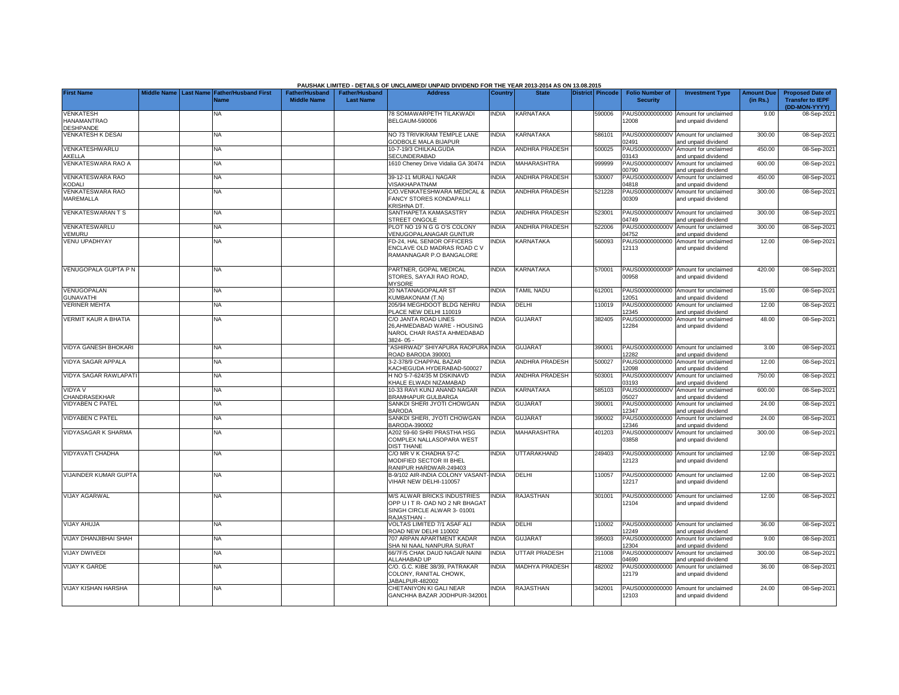|                                                     |             |                                                      |                                      |                                           | PAUSHAK LIMITED - DETAILS OF UNCLAIMED/ UNPAID DIVIDEND FOR THE YEAR 2013-2014 AS ON 13.08.2015                   |              |                       |                         |                                           |                                                             |                               |                                                                     |
|-----------------------------------------------------|-------------|------------------------------------------------------|--------------------------------------|-------------------------------------------|-------------------------------------------------------------------------------------------------------------------|--------------|-----------------------|-------------------------|-------------------------------------------|-------------------------------------------------------------|-------------------------------|---------------------------------------------------------------------|
| <b>First Name</b>                                   | Middle Name | <b>Last Name Father/Husband First</b><br><b>Name</b> | Father/Husband<br><b>Middle Name</b> | <b>Father/Husband</b><br><b>Last Name</b> | <b>Address</b>                                                                                                    | Country      | <b>State</b>          | <b>District Pincode</b> | <b>Folio Number of</b><br><b>Security</b> | <b>Investment Type</b>                                      | <b>Amount Due</b><br>(in Rs.) | <b>Proposed Date of</b><br><b>Transfer to IEPF</b><br>(DD-MON-YYYY) |
| VENKATESH<br><b>HANAMANTRAO</b><br><b>DESHPANDE</b> |             | <b>NA</b>                                            |                                      |                                           | 78 SOMAWARPETH TILAKWADI<br><b>BELGAUM-590006</b>                                                                 | NDIA         | KARNATAKA             | 590006                  | 12008                                     | PAUS00000000000 Amount for unclaimed<br>and unpaid dividend | 9.00                          | 08-Sep-2021                                                         |
| <b>VENKATESH K DESAI</b>                            |             | <b>NA</b>                                            |                                      |                                           | NO 73 TRIVIKRAM TEMPLE LANE<br><b>GODBOLE MALA BIJAPUR</b>                                                        | <b>INDIA</b> | KARNATAKA             | 586101                  | PAUS0000000000V<br>2491                   | Amount for unclaimed<br>and unpaid dividend                 | 300.00                        | 08-Sep-202                                                          |
| VENKATESHWARLU<br>AKELLA                            |             | <b>NA</b>                                            |                                      |                                           | 10-7-19/3 CHILKALGUDA<br>SECUNDERABAD                                                                             | <b>NDIA</b>  | <b>ANDHRA PRADESH</b> | 500025                  | PAUS0000000000V<br>3143                   | Amount for unclaimed<br>and unpaid dividend                 | 450.00                        | 08-Sep-202                                                          |
| VENKATESWARA RAO A                                  |             | NA                                                   |                                      |                                           | 1610 Cheney Drive Vidalia GA 30474                                                                                | INDIA        | MAHARASHTRA           | 999999                  | PAUS0000000000V<br>00790                  | Amount for unclaimed<br>and unpaid dividend                 | 600.00                        | 08-Sep-202                                                          |
| <b>VENKATESWARA RAO</b><br>KODALI                   |             | <b>NA</b>                                            |                                      |                                           | 39-12-11 MURALI NAGAR<br><b>/ISAKHAPATNAM</b>                                                                     | <b>NDIA</b>  | ANDHRA PRADESH        | 530007                  | PAUS0000000000V<br>14818                  | Amount for unclaimed<br>and unpaid dividend                 | 450.00                        | 08-Sep-202                                                          |
| <b>VENKATESWARA RAO</b><br>MAREMALLA                |             | <b>NA</b>                                            |                                      |                                           | C/O.VENKATESHWARA MEDICAL &<br>FANCY STORES KONDAPALLI<br>KRISHNA DT.                                             | <b>INDIA</b> | ANDHRA PRADESH        | 521228                  | 00309                                     | PAUS0000000000V Amount for unclaimed<br>and unpaid dividend | 300.00                        | 08-Sep-202                                                          |
| <b>VENKATESWARAN T S</b>                            |             | <b>NA</b>                                            |                                      |                                           | SANTHAPETA KAMASASTRY<br>STREET ONGOLE                                                                            | <b>NDIA</b>  | <b>ANDHRA PRADESH</b> | 523001                  | 14749                                     | PAUS0000000000V Amount for unclaimed<br>and unpaid dividend | 300.00                        | 08-Sep-202                                                          |
| VENKATESWARLU<br><b>VEMURU</b>                      |             | <b>NA</b>                                            |                                      |                                           | PLOT NO 19 N G G O'S COLONY<br><b>/ENUGOPALANAGAR GUNTUR</b>                                                      | <b>NDIA</b>  | <b>ANDHRA PRADESH</b> | 522006                  | PAUS0000000000V<br>04752                  | Amount for unclaimed<br>and unpaid dividend                 | 300.00                        | 08-Sep-202                                                          |
| <b>VENU UPADHYAY</b>                                |             | <b>NA</b>                                            |                                      |                                           | FD-24. HAL SENIOR OFFICERS<br>ENCLAVE OLD MADRAS ROAD C V<br>RAMANNAGAR P.O BANGALORE                             | <b>NDIA</b>  | KARNATAKA             | 560093                  | PAUS00000000000<br>12113                  | Amount for unclaimed<br>and unpaid dividend                 | 12.00                         | 08-Sep-202                                                          |
| VENUGOPALA GUPTA P N                                |             | <b>NA</b>                                            |                                      |                                           | PARTNER, GOPAL MEDICAL<br>STORES, SAYAJI RAO ROAD,<br><b>MYSORE</b>                                               | <b>NDIA</b>  | KARNATAKA             | 570001                  | 00958                                     | PAUS0000000000P Amount for unclaimed<br>and unpaid dividend | 420.00                        | 08-Sep-202                                                          |
| VENUGOPALAN<br><b>GUNAVATHI</b>                     |             | ΝA                                                   |                                      |                                           | 20 NATANAGOPALAR ST<br>KUMBAKONAM (T.N)                                                                           | INDIA        | <b>TAMIL NADU</b>     | 612001                  | 2051                                      | PAUS00000000000 Amount for unclaimed<br>and unpaid dividend | 15.00                         | 08-Sep-202                                                          |
| <b>VERINER MEHTA</b>                                |             | <b>NA</b>                                            |                                      |                                           | 205/94 MEGHDOOT BLDG NEHRU<br>PLACE NEW DELHI 110019                                                              | <b>INDIA</b> | DELHI                 | 110019                  | PAUS00000000000<br>2345                   | Amount for unclaimed<br>and unpaid dividend                 | 12.00                         | 08-Sep-202                                                          |
| VERMIT KAUR A BHATIA                                |             | <b>NA</b>                                            |                                      |                                           | C/O JANTA ROAD LINES<br>26.AHMEDABAD WARE - HOUSING<br>NAROL CHAR RASTA AHMEDABAD<br>3824-05-                     | <b>NDIA</b>  | <b>GUJARAT</b>        | 382405                  | PAUS00000000000<br>12284                  | Amount for unclaimed<br>and unpaid dividend                 | 48.00                         | 08-Sep-202                                                          |
| <b>VIDYA GANESH BHOKARI</b>                         |             | <b>NA</b>                                            |                                      |                                           | 'ASHIRWAD" SHIYAPURA RAOPURA<br>ROAD BARODA 390001                                                                | <b>INDIA</b> | <b>GUJARAT</b>        | 390001                  | 2282                                      | PAUS00000000000 Amount for unclaimed<br>and unpaid dividend | 3.00                          | 08-Sep-202                                                          |
| VIDYA SAGAR APPALA                                  |             | <b>NA</b>                                            |                                      |                                           | 3-2-378/9 CHAPPAL BAZAR<br><b>KACHEGUDA HYDERABAD-500027</b>                                                      | <b>NDIA</b>  | <b>ANDHRA PRADESH</b> | 500027                  | PAUS00000000000<br>2098                   | Amount for unclaimed<br>and unpaid dividend                 | 12.00                         | 08-Sep-202                                                          |
| <b>VIDYA SAGAR RAWLAPAT</b>                         |             | NA                                                   |                                      |                                           | H NO 5-7-624/35 M DSKINAVD<br>KHALE ELWADI NIZAMABAD                                                              | INDIA        | ANDHRA PRADESH        | 503001                  | PAUS0000000000V<br>3193                   | Amount for unclaimed<br>and unpaid dividend                 | 750.00                        | 08-Sep-202                                                          |
| <b>VIDYA V</b><br>CHANDRASEKHAR                     |             | <b>NA</b>                                            |                                      |                                           | 10-33 RAVI KUNJ ANAND NAGAR<br>BRAMHAPUR GULBARGA                                                                 | <b>INDIA</b> | KARNATAKA             | 585103                  | PAUS0000000000V<br>05027                  | Amount for unclaimed<br>and unpaid dividend                 | 600.00                        | 08-Sep-202                                                          |
| VIDYABEN C PATEL                                    |             | <b>NA</b>                                            |                                      |                                           | SANKDI SHERI JYOTI CHOWGAN<br>BARODA                                                                              | <b>INDIA</b> | <b>GUJARAT</b>        | 390001                  | PAUS00000000000<br>2347                   | Amount for unclaimed<br>nd unpaid dividend                  | 24.00                         | 08-Sep-202                                                          |
| VIDYABEN C PATEL                                    |             | <b>NA</b>                                            |                                      |                                           | SANKDI SHERI, JYOTI CHOWGAN<br>3ARODA-390002                                                                      | INDIA        | <b>GUJARAT</b>        | 390002                  | PAUS00000000000<br>2346                   | Amount for unclaimed<br>nd unpaid dividend                  | 24.00                         | 08-Sep-202                                                          |
| VIDYASAGAR K SHARMA                                 |             | <b>NA</b>                                            |                                      |                                           | 4202 59-60 SHRI PRASTHA HSG<br>COMPLEX NALLASOPARA WEST<br><b>DIST THANE</b>                                      | <b>NDIA</b>  | <b>MAHARASHTRA</b>    | 401203                  | PAUS0000000000V<br>3858                   | Amount for unclaimed<br>and unpaid dividend                 | 300.00                        | 08-Sep-202                                                          |
| <b>VIDYAVATI CHADHA</b>                             |             | NA                                                   |                                      |                                           | C/O MR V K CHADHA 57-C<br><b>MODIFIED SECTOR III BHEL</b><br>RANIPUR HARDWAR-249403                               | INDIA        | <b>UTTARAKHAND</b>    | 249403                  | 12123                                     | PAUS00000000000 Amount for unclaimed<br>and unpaid dividend | 12.00                         | 08-Sep-202                                                          |
| VIJAINDER KUMAR GUPTA                               |             | ΝA                                                   |                                      |                                           | B-9/102 AIR-INDIA COLONY VASANT-<br>VIHAR NEW DELHI-110057                                                        | <b>INDIA</b> | DELHI                 | 110057                  | PAUS00000000000<br>12217                  | Amount for unclaimed<br>and unpaid dividend                 | 12.00                         | 08-Sep-202                                                          |
| <b>VIJAY AGARWAL</b>                                |             | NA                                                   |                                      |                                           | M/S ALWAR BRICKS INDUSTRIES<br>OPP U I T R- OAD NO 2 NR BHAGAT<br>SINGH CIRCLE ALWAR 3-01001<br><b>RAJASTHAN-</b> | <b>NDIA</b>  | <b>RAJASTHAN</b>      | 301001                  | 12104                                     | PAUS00000000000 Amount for unclaimed<br>and unpaid dividend | 12.00                         | 08-Sep-202                                                          |
| <b>VIJAY AHUJA</b>                                  |             | <b>NA</b>                                            |                                      |                                           | VOLTAS LIMITED 7/1 ASAF ALI<br>ROAD NEW DELHI 110002                                                              | <b>NDIA</b>  | DELHI                 | 110002                  | 2249                                      | PAUS00000000000 Amount for unclaimed<br>and unpaid dividend | 36.00                         | 08-Sep-202                                                          |
| <b>VIJAY DHANJIBHAI SHAH</b>                        |             | <b>NA</b>                                            |                                      |                                           | 707 ARPAN APARTMENT KADAR<br>SHA NI NAAL NANPURA SURAT                                                            | <b>NDIA</b>  | <b>GUJARAT</b>        | 395003                  | PAUS00000000000<br>2304                   | Amount for unclaimed<br>and unpaid dividend                 | 9.00                          | 08-Sep-202                                                          |
| <b>VIJAY DWIVEDI</b>                                |             | <b>NA</b>                                            |                                      |                                           | 66/7F/5 CHAK DAUD NAGAR NAINI<br>ALLAHABAD UP                                                                     | <b>NDIA</b>  | UTTAR PRADESH         | 211008                  | PAUS0000000000V<br>4690                   | Amount for unclaimed<br>and unpaid dividend                 | 300.00                        | 08-Sep-202                                                          |
| <b>VIJAY K GARDE</b>                                |             | <b>NA</b>                                            |                                      |                                           | C/O. G.C. KIBE 38/39, PATRAKAR<br>COLONY, RANITAL CHOWK,<br>JABALPUR-482002                                       | <b>NDIA</b>  | MADHYA PRADESH        | 482002                  | PAUS00000000000<br>12179                  | Amount for unclaimed<br>and unpaid dividend                 | 36.00                         | 08-Sep-202                                                          |
| VIJAY KISHAN HARSHA                                 |             | <b>NA</b>                                            |                                      |                                           | CHETANIYON KI GALI NEAR<br>GANCHHA BAZAR JODHPUR-34200                                                            | <b>NDIA</b>  | <b>RAJASTHAN</b>      | 342001                  | PAUS00000000000<br>12103                  | Amount for unclaimed<br>and unpaid dividend                 | 24.00                         | 08-Sep-202                                                          |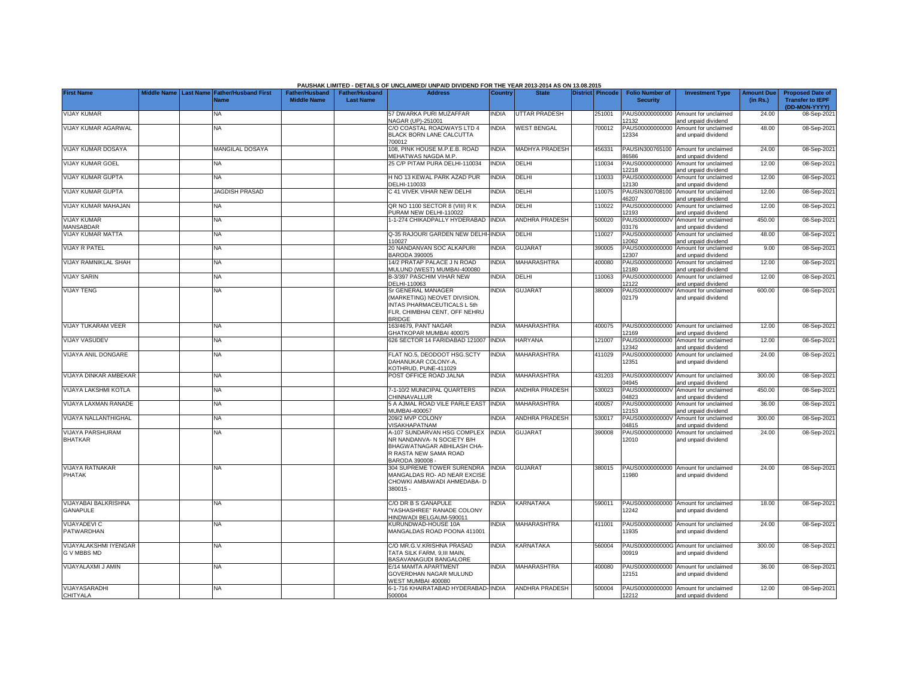|                                                |  |                                                        |                                             |                                           | PAUSHAK LIMITED - DETAILS OF UNCLAIMED/ UNPAID DIVIDEND FOR THE YEAR 2013-2014 AS ON 13.08.2015                                   |                |                       |                  |                                           |                                                                    |                               |                                                    |
|------------------------------------------------|--|--------------------------------------------------------|---------------------------------------------|-------------------------------------------|-----------------------------------------------------------------------------------------------------------------------------------|----------------|-----------------------|------------------|-------------------------------------------|--------------------------------------------------------------------|-------------------------------|----------------------------------------------------|
| <b>First Name</b>                              |  | Middle Name   Last Name   Father/Husband First<br>Name | <b>Father/Husband</b><br><b>Middle Name</b> | <b>Father/Husband</b><br><b>Last Name</b> | <b>Address</b>                                                                                                                    | <b>Country</b> | <b>State</b>          | District Pincode | <b>Folio Number of</b><br><b>Security</b> | <b>Investment Type</b>                                             | <b>Amount Due</b><br>(in Rs.) | <b>Proposed Date of</b><br><b>Transfer to IEPF</b> |
| <b>VIJAY KUMAR</b>                             |  | <b>NA</b>                                              |                                             |                                           | 57 DWARKA PURI MUZAFFAR                                                                                                           | <b>INDIA</b>   | <b>UTTAR PRADESH</b>  | 251001           | PAUS00000000000                           | Amount for unclaimed                                               | 24.00                         | (DD-MON-YYYY)<br>08-Sep-202                        |
| VIJAY KUMAR AGARWAL                            |  | <b>NA</b>                                              |                                             |                                           | <b>VAGAR (UP)-251001</b><br>C/O COASTAL ROADWAYS LTD 4                                                                            | <b>INDIA</b>   | <b>WEST BENGAL</b>    | 700012           | 2132<br>PAUS00000000000                   | and unpaid dividend<br>Amount for unclaimed                        | 48.00                         | 08-Sep-2021                                        |
|                                                |  |                                                        |                                             |                                           | BLACK BORN LANE CALCUTTA<br>700012                                                                                                |                |                       |                  | 12334                                     | and unpaid dividend                                                |                               |                                                    |
| VIJAY KUMAR DOSAYA                             |  | <b>MANGILAL DOSAYA</b>                                 |                                             |                                           | 108, PINK HOUSE M.P.E.B. ROAD<br>MEHATWAS NAGDA M.P.                                                                              | <b>INDIA</b>   | <b>MADHYA PRADESH</b> | 456331           | PAUSIN300765100<br>36586                  | Amount for unclaimed<br>and unpaid dividend                        | 24.00                         | 08-Sep-202                                         |
| <b>VIJAY KUMAR GOEL</b>                        |  | ΝA                                                     |                                             |                                           | 25 C/P PITAM PURA DELHI-110034                                                                                                    | INDIA          | DELHI                 | 110034           | PAUS00000000000<br>12218                  | Amount for unclaimed<br>and unpaid dividend                        | 12.00                         | 08-Sep-202                                         |
| <b>VIJAY KUMAR GUPTA</b>                       |  | NA                                                     |                                             |                                           | H NO 13 KEWAL PARK AZAD PUR                                                                                                       | <b>INDIA</b>   | DELHI                 | 110033           | PAUS00000000000                           | Amount for unclaimed                                               | 12.00                         | 08-Sep-202                                         |
| <b>VIJAY KUMAR GUPTA</b>                       |  | <b>JAGDISH PRASAD</b>                                  |                                             |                                           | DELHI-110033<br>2 41 VIVEK VIHAR NEW DELHI                                                                                        | <b>INDIA</b>   | DELHI                 | 10075            | 12130<br>PAUSIN300708100<br>46207         | and unpaid dividend<br>Amount for unclaimed<br>and unpaid dividend | 12.00                         | 08-Sep-202                                         |
| VIJAY KUMAR MAHAJAN                            |  | <b>NA</b>                                              |                                             |                                           | QR NO 1100 SECTOR 8 (VIII) R K<br>PURAM NEW DELHI-110022                                                                          | <b>INDIA</b>   | DELHI                 | 10022            | PAUS00000000000<br>12193                  | Amount for unclaimed<br>and unpaid dividend                        | 12.00                         | 08-Sep-202                                         |
| <b>VIJAY KUMAR</b>                             |  | NA                                                     |                                             |                                           | -1-274 CHIKADPALLY HYDERABAD                                                                                                      | <b>INDIA</b>   | <b>ANDHRA PRADESH</b> | 500020           | PAUS0000000000V                           | Amount for unclaimed                                               | 450.00                        | 08-Sep-202                                         |
| <b>MANSABDAR</b><br><b>VIJAY KUMAR MATTA</b>   |  | NA                                                     |                                             |                                           | Q-35 RAJOURI GARDEN NEW DELHI                                                                                                     | <b>INDIA</b>   | DELHI                 | 110027           | 03176<br>PAUS00000000000                  | and unpaid dividend<br>Amount for unclaimed                        | 48.00                         | 08-Sep-202                                         |
| <b>VIJAY R PATEL</b>                           |  | <b>NA</b>                                              |                                             |                                           | 110027<br>20 NANDANVAN SOC ALKAPURI                                                                                               | <b>INDIA</b>   | <b>GUJARAT</b>        | 390005           | 12062<br>PAUS00000000000                  | and unpaid dividend<br>Amount for unclaimed                        | 9.00                          | 08-Sep-202                                         |
|                                                |  |                                                        |                                             |                                           | <b>BARODA 390005</b>                                                                                                              |                |                       |                  | 12307                                     | and unpaid dividend                                                |                               |                                                    |
| <b>VIJAY RAMNIKLAL SHAH</b>                    |  | <b>NA</b>                                              |                                             |                                           | 14/2 PRATAP PALACE J N ROAD<br>MULUND (WEST) MUMBAI-400080                                                                        | <b>INDIA</b>   | MAHARASHTRA           | 400080           | 12180                                     | PAUS00000000000 Amount for unclaimed<br>and unpaid dividend        | 12.00                         | 08-Sep-202                                         |
| <b>VIJAY SARIN</b>                             |  | <b>NA</b>                                              |                                             |                                           | 3-3/397 PASCHIM VIHAR NEW<br>DELHI-110063                                                                                         | <b>NDIA</b>    | DELHI                 | 110063           | PAUS00000000000<br>12122                  | Amount for unclaimed<br>and unpaid dividend                        | 12.00                         | 08-Sep-202                                         |
| <b>VIJAY TENG</b>                              |  | NA                                                     |                                             |                                           | Sr GENERAL MANAGER<br>(MARKETING) NEOVET DIVISION.                                                                                | <b>INDIA</b>   | <b>GUJARAT</b>        | 380009           | 02179                                     | PAUS0000000000V Amount for unclaimed<br>and unpaid dividend        | 600.00                        | 08-Sep-202                                         |
|                                                |  |                                                        |                                             |                                           | <b>INTAS PHARMACEUTICALS L 5th</b><br>FLR, CHIMBHAI CENT, OFF NEHRU<br><b>BRIDGE</b>                                              |                |                       |                  |                                           |                                                                    |                               |                                                    |
| <b>VIJAY TUKARAM VEER</b>                      |  | <b>NA</b>                                              |                                             |                                           | 163/4679, PANT NAGAR<br>GHATKOPAR MUMBAI 400075                                                                                   | <b>INDIA</b>   | <b>MAHARASHTRA</b>    | 400075           | PAUS00000000000<br>12169                  | Amount for unclaimed<br>and unpaid dividend                        | 12.00                         | 08-Sep-202                                         |
| <b>VIJAY VASUDEV</b>                           |  | ΝA                                                     |                                             |                                           | 626 SECTOR 14 FARIDABAD 121007                                                                                                    | <b>INDIA</b>   | HARYANA               | 121007           | PAUS00000000000<br>12342                  | Amount for unclaimed<br>and unpaid dividend                        | 12.00                         | 08-Sep-202                                         |
| VIJAYA ANIL DONGARE                            |  | ΝA                                                     |                                             |                                           | FLAT NO.5, DEODOOT HSG.SCTY<br>DAHANUKAR COLONY-A,                                                                                | INDIA          | MAHARASHTRA           | 411029           | PAUS00000000000<br>12351                  | Amount for unclaimed<br>and unpaid dividend                        | 24.00                         | 08-Sep-202                                         |
| VIJAYA DINKAR AMBEKAR                          |  | NA                                                     |                                             |                                           | KOTHRUD, PUNE-411029<br>POST OFFICE ROAD JALNA                                                                                    | INDIA          | MAHARASHTRA           | 431203           |                                           | PAUS0000000000V Amount for unclaimed                               | 300.00                        | 08-Sep-202                                         |
| VIJAYA LAKSHMI KOTLA                           |  | NA                                                     |                                             |                                           | 7-1-10/2 MUNICIPAL QUARTERS                                                                                                       | <b>INDIA</b>   | <b>ANDHRA PRADESH</b> | 530023           | 14945<br>PAUS0000000000V                  | and unpaid dividend<br>Amount for unclaimed                        | 450.00                        | 08-Sep-202                                         |
|                                                |  |                                                        |                                             |                                           | CHINNAVALLUR                                                                                                                      |                |                       |                  | 04823                                     | and unpaid dividend                                                |                               |                                                    |
| <b>VIJAYA LAXMAN RANADE</b>                    |  | <b>NA</b>                                              |                                             |                                           | 5 A AJMAL ROAD VILE PARLE EAST<br><b>MUMBAI-400057</b>                                                                            | <b>INDIA</b>   | MAHARASHTRA           | 400057           | PAUS00000000000<br>12153                  | Amount for unclaimed<br>and unpaid dividend                        | 36.00                         | 08-Sep-202                                         |
| <b>VIJAYA NALLANTHIGHAL</b>                    |  | <b>NA</b>                                              |                                             |                                           | 209/2 MVP COLONY<br><b>ISAKHAPATNAM</b>                                                                                           | <b>INDIA</b>   | <b>ANDHRA PRADESH</b> | 530017           | PAUS0000000000V<br>04815                  | Amount for unclaimed<br>and unpaid dividend                        | 300.00                        | 08-Sep-202                                         |
| <b>VIJAYA PARSHURAM</b><br><b>BHATKAR</b>      |  | <b>NA</b>                                              |                                             |                                           | 4-107 SUNDARVAN HSG COMPLEX<br>NR NANDANVA- N SOCIETY B/H<br>BHAGWATNAGAR ABHILASH CHA-<br>R RASTA NEW SAMA ROAD<br>BARODA 390008 | INDIA          | <b>GUJARAT</b>        | 390008           | PAUS00000000000<br>12010                  | Amount for unclaimed<br>and unpaid dividend                        | 24.00                         | 08-Sep-202                                         |
| <b>VIJAYA RATNAKAR</b><br><b>PHATAK</b>        |  | <b>NA</b>                                              |                                             |                                           | <b>304 SUPREME TOWER SURENDRA</b><br>MANGALDAS RO- AD NEAR EXCISE<br>CHOWKI AMBAWADI AHMEDABA- D                                  | <b>INDIA</b>   | <b>GUJARAT</b>        | 380015           | 11980                                     | PAUS00000000000 Amount for unclaimed<br>and unpaid dividend        | 24.00                         | 08-Sep-202                                         |
|                                                |  |                                                        |                                             |                                           | 380015 -                                                                                                                          |                |                       |                  |                                           |                                                                    |                               |                                                    |
| <b>VIJAYABAI BALKRISHNA</b><br><b>GANAPULE</b> |  | <b>NA</b>                                              |                                             |                                           | C/O DR B S GANAPULE<br>YASHASHREE" RANADE COLONY<br>HINDWADI BELGAUM-590011                                                       | <b>NDIA</b>    | KARNATAKA             | 590011           | 12242                                     | PAUS00000000000 Amount for unclaimed<br>and unpaid dividend        | 18.00                         | 08-Sep-202                                         |
| <b>VIJAYADEVI C</b><br><b>PATWARDHAN</b>       |  | NA                                                     |                                             |                                           | <b>KURUNDWAD-HOUSE 10A</b><br>MANGALDAS ROAD POONA 411001                                                                         | <b>NDIA</b>    | MAHARASHTRA           | 411001           | 1935                                      | PAUS00000000000 Amount for unclaimed<br>and unpaid dividend        | 24.00                         | 08-Sep-202                                         |
| <b>VIJAYALAKSHMI IYENGAR</b><br>G V MBBS MD    |  | NA                                                     |                                             |                                           | C/O MR.G.V.KRISHNA PRASAD<br>TATA SILK FARM, 9,III MAIN,<br><b>BASAVANAGUDI BANGALORE</b>                                         | <b>NDIA</b>    | KARNATAKA             | 560004           | 00919                                     | PAUS0000000000G Amount for unclaimed<br>and unpaid dividend        | 300.00                        | 08-Sep-202                                         |
| VIJAYALAXMI J AMIN                             |  | ΝA                                                     |                                             |                                           | E/14 MAMTA APARTMENT<br>GOVERDHAN NAGAR MULUND                                                                                    | INDIA          | MAHARASHTRA           | 400080           | 12151                                     | PAUS00000000000 Amount for unclaimed<br>and unpaid dividend        | 36.00                         | 08-Sep-202                                         |
| VIJAYASARADHI<br>CHITYALA                      |  | <b>NA</b>                                              |                                             |                                           | VEST MUMBAI 400080<br>6-1-716 KHAIRATABAD HYDERABAD-INDIA<br>500004                                                               |                | ANDHRA PRADESH        | 500004           | 12212                                     | PAUS00000000000 Amount for unclaimed<br>and unpaid dividend        | 12.00                         | 08-Sep-2021                                        |
|                                                |  |                                                        |                                             |                                           |                                                                                                                                   |                |                       |                  |                                           |                                                                    |                               |                                                    |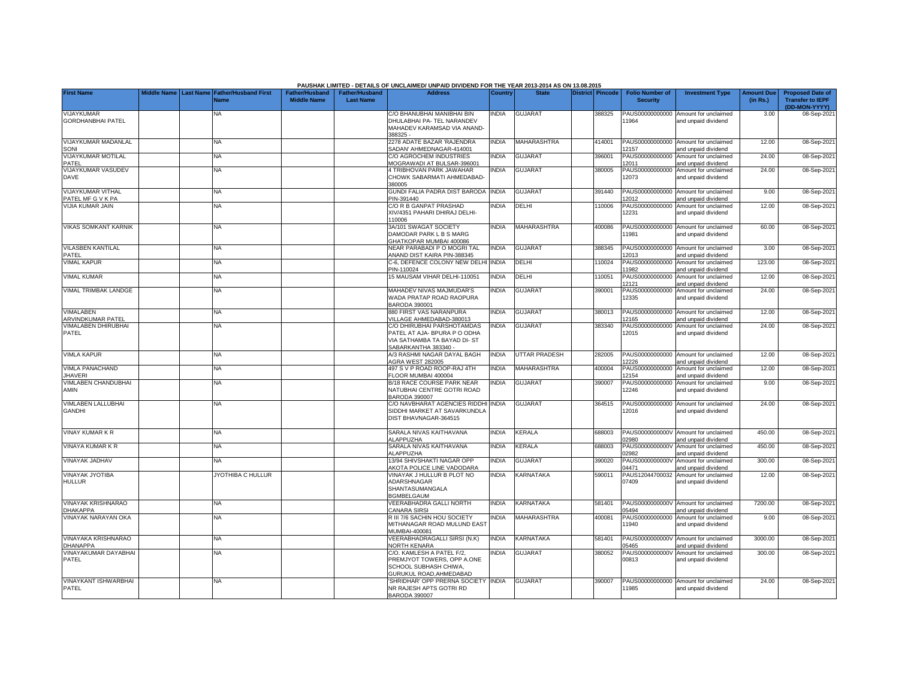|                                               |             |                  |                             |                       |                       | PAUSHAK LIMITED - DETAILS OF UNCLAIMED/ UNPAID DIVIDEND FOR THE YEAR 2013-2014 AS ON 13.08.2015 |                |                      |                         |                          |                                                             |                   |                              |
|-----------------------------------------------|-------------|------------------|-----------------------------|-----------------------|-----------------------|-------------------------------------------------------------------------------------------------|----------------|----------------------|-------------------------|--------------------------|-------------------------------------------------------------|-------------------|------------------------------|
| <b>First Name</b>                             | Middle Name | <b>Last Name</b> | <b>Father/Husband First</b> | <b>Father/Husband</b> | <b>Father/Husband</b> | <b>Address</b>                                                                                  | <b>Country</b> | <b>State</b>         | <b>District Pincode</b> | <b>Folio Number of</b>   | <b>Investment Type</b>                                      | <b>Amount Due</b> | <b>Proposed Date of</b>      |
|                                               |             |                  | <b>Name</b>                 | <b>Middle Name</b>    | <b>Last Name</b>      |                                                                                                 |                |                      |                         | <b>Security</b>          |                                                             | (in Rs.)          | <b>Transfer to IEPF</b>      |
| <b>VIJAYKUMAR</b>                             |             |                  | NA.                         |                       |                       | C/O BHANUBHAI MANIBHAI BIN                                                                      | <b>NDIA</b>    | <b>GUJARAT</b>       | 388325                  |                          | PAUS00000000000 Amount for unclaimed                        | 3.00              | (DD-MON-YYYY)<br>08-Sep-2021 |
| <b>GORDHANBHAI PATEL</b>                      |             |                  |                             |                       |                       | DHULABHAI PA- TEL NARANDEV                                                                      |                |                      |                         | 1964                     | and unpaid dividend                                         |                   |                              |
|                                               |             |                  |                             |                       |                       | MAHADEV KARAMSAD VIA ANAND-<br>388325 -                                                         |                |                      |                         |                          |                                                             |                   |                              |
| <b>VIJAYKUMAR MADANLAL</b>                    |             |                  | <b>NA</b>                   |                       |                       | 2278 ADATE BAZAR 'RAJENDRA                                                                      | <b>INDIA</b>   | <b>MAHARASHTRA</b>   | 414001                  |                          | PAUS00000000000 Amount for unclaimed                        | 12.00             | 08-Sep-2021                  |
| SONI                                          |             |                  |                             |                       |                       | SADAN' AHMEDNAGAR-414001                                                                        |                |                      |                         | 2157                     | and unpaid dividend                                         |                   |                              |
| VIJAYKUMAR MOTILAL<br>PATEL                   |             |                  | <b>NA</b>                   |                       |                       | C/O AGROCHEM INDUSTRIES<br><b>MOGRAWADI AT BULSAR-396001</b>                                    | <b>NDIA</b>    | <b>GUJARAT</b>       | 396001                  | 2011                     | PAUS00000000000 Amount for unclaimed                        | 24.00             | 08-Sep-2021                  |
| VIJAYKUMAR VASUDEV                            |             |                  | ΝA                          |                       |                       | 4 TRIBHOVAN PARK JAWAHAR                                                                        | <b>NDIA</b>    | <b>GUJARAT</b>       | 380005                  |                          | and unpaid dividend<br>PAUS00000000000 Amount for unclaimed | 24.00             | 08-Sep-2021                  |
| <b>DAVE</b>                                   |             |                  |                             |                       |                       | CHOWK SABARMATI AHMEDABAD-                                                                      |                |                      |                         | 12073                    | and unpaid dividend                                         |                   |                              |
|                                               |             |                  |                             |                       |                       | 380005                                                                                          |                |                      |                         |                          |                                                             |                   |                              |
| <b>VIJAYKUMAR VITHAL</b><br>PATEL MF G V K PA |             |                  | NA.                         |                       |                       | GUNDI FALIA PADRA DIST BARODA<br>PIN-391440                                                     | <b>NDIA</b>    | <b>GUJARAT</b>       | 391440                  | 12012                    | PAUS00000000000 Amount for unclaimed<br>and unpaid dividend | 9.00              | 08-Sep-2021                  |
| VIJIA KUMAR JAIN                              |             |                  | <b>NA</b>                   |                       |                       | C/O R B GANPAT PRASHAD                                                                          | <b>NDIA</b>    | DELHI                | 110006                  |                          | PAUS00000000000 Amount for unclaimed                        | 12.00             | 08-Sep-2021                  |
|                                               |             |                  |                             |                       |                       | XIV/4351 PAHARI DHIRAJ DELHI-                                                                   |                |                      |                         | 12231                    | and unpaid dividend                                         |                   |                              |
| <b>VIKAS SOMKANT KARNIK</b>                   |             |                  | <b>NA</b>                   |                       |                       | 110006<br>3A/101 SWAGAT SOCIETY                                                                 | <b>INDIA</b>   | <b>MAHARASHTRA</b>   | 400086                  |                          | PAUS00000000000 Amount for unclaimed                        | 60.00             | 08-Sep-2021                  |
|                                               |             |                  |                             |                       |                       | DAMODAR PARK L B S MARG                                                                         |                |                      |                         | 11981                    | and unpaid dividend                                         |                   |                              |
|                                               |             |                  |                             |                       |                       | GHATKOPAR MUMBAI 400086                                                                         |                |                      |                         |                          |                                                             |                   |                              |
| <b>VILASBEN KANTILAL</b>                      |             |                  | <b>NA</b>                   |                       |                       | NEAR PARABADI P O MOGRI TAL                                                                     | <b>INDIA</b>   | <b>GUJARAT</b>       | 388345                  |                          | PAUS00000000000 Amount for unclaimed                        | 3.00              | 08-Sep-202                   |
| PATEL<br><b>VIMAL KAPUR</b>                   |             |                  | <b>NA</b>                   |                       |                       | ANAND DIST KAIRA PIN-388345<br>C-6, DEFENCE COLONY NEW DELHI                                    | <b>INDIA</b>   | DELHI                | 110024                  | 2013                     | and unpaid dividend<br>PAUS00000000000 Amount for unclaimed | 123.00            | 08-Sep-2021                  |
|                                               |             |                  |                             |                       |                       | PIN-110024                                                                                      |                |                      |                         | 1982                     | and unpaid dividend                                         |                   |                              |
| <b>VIMAL KUMAR</b>                            |             |                  | NA                          |                       |                       | 15 MAUSAM VIHAR DELHI-110051                                                                    | <b>NDIA</b>    | DELHI                | 110051                  | PAUS00000000000          | Amount for unclaimed                                        | 12.00             | 08-Sep-202                   |
| <b>VIMAL TRIMBAK LANDGE</b>                   |             |                  | NA                          |                       |                       | MAHADEV NIVAS MAJMUDAR'S                                                                        | <b>NDIA</b>    | <b>GUJARAT</b>       | 390001                  | 2121<br>PAUS00000000000  | and unpaid dividend<br>Amount for unclaimed                 | 24.00             | 08-Sep-2021                  |
|                                               |             |                  |                             |                       |                       | WADA PRATAP ROAD RAOPURA                                                                        |                |                      |                         | 12335                    | and unpaid dividend                                         |                   |                              |
|                                               |             |                  |                             |                       |                       | BARODA 390001                                                                                   |                |                      |                         |                          |                                                             |                   |                              |
| VIMALABEN<br><b>ARVINDKUMAR PATEL</b>         |             |                  | NA                          |                       |                       | 880 FIRST VAS NARANPURA<br>VILLAGE AHMEDABAD-380013                                             | <b>INDIA</b>   | <b>GUJARAT</b>       | 380013                  | 2165                     | PAUS00000000000 Amount for unclaimed<br>and unpaid dividend | 12.00             | 08-Sep-202                   |
| VIMALABEN DHIRUBHAI                           |             |                  | <b>NA</b>                   |                       |                       | C/O DHIRUBHAI PARSHOTAMDAS                                                                      | <b>INDIA</b>   | <b>GUJARAT</b>       | 383340                  |                          | PAUS00000000000 Amount for unclaimed                        | 24.00             | 08-Sep-202                   |
| PATEL                                         |             |                  |                             |                       |                       | PATEL AT AJA- BPURA P O ODHA                                                                    |                |                      |                         | 12015                    | and unpaid dividend                                         |                   |                              |
|                                               |             |                  |                             |                       |                       | VIA SATHAMBA TA BAYAD DI- ST                                                                    |                |                      |                         |                          |                                                             |                   |                              |
| <b>VIMLA KAPUR</b>                            |             |                  | NA                          |                       |                       | SABARKANTHA 383340 -<br>A/3 RASHMI NAGAR DAYAL BAGH                                             | <b>NDIA</b>    | <b>UTTAR PRADESH</b> | 282005                  | PAUS00000000000          | Amount for unclaimed                                        | 12.00             | 08-Sep-2021                  |
|                                               |             |                  |                             |                       |                       | <b>AGRA WEST 282005</b>                                                                         |                |                      |                         | 2226                     | and unpaid dividend                                         |                   |                              |
| <b>VIMLA PANACHAND</b>                        |             |                  | NA.                         |                       |                       | 497 S V P ROAD ROOP-RAJ 4TH                                                                     | <b>NDIA</b>    | <b>MAHARASHTRA</b>   | 400004                  | PAUS00000000000          | Amount for unclaimed                                        | 12.00             | 08-Sep-2021                  |
| <b>JHAVERI</b><br>VIMLABEN CHANDUBHAI         |             |                  | <b>NA</b>                   |                       |                       | FLOOR MUMBAI 400004<br>B/18 RACE COURSE PARK NEAR                                               | <b>NDIA</b>    | <b>GUJARAT</b>       | 390007                  | 12154<br>PAUS00000000000 | and unpaid dividend<br>Amount for unclaimed                 | 9.00              | 08-Sep-2021                  |
| <b>AMIN</b>                                   |             |                  |                             |                       |                       | NATUBHAI CENTRE GOTRI ROAD                                                                      |                |                      |                         | 12246                    | and unpaid dividend                                         |                   |                              |
|                                               |             |                  |                             |                       |                       | <b>BARODA 390007</b>                                                                            |                |                      |                         |                          |                                                             |                   |                              |
| VIMLABEN LALLUBHAI<br><b>GANDHI</b>           |             |                  | <b>NA</b>                   |                       |                       | C/O NAVBHARAT AGENCIES RIDDHI<br>SIDDHI MARKET AT SAVARKUNDLA                                   | <b>INDIA</b>   | <b>GUJARAT</b>       | 364515                  | 12016                    | PAUS00000000000 Amount for unclaimed<br>and unpaid dividend | 24.00             | 08-Sep-2021                  |
|                                               |             |                  |                             |                       |                       | DIST BHAVNAGAR-364515                                                                           |                |                      |                         |                          |                                                             |                   |                              |
|                                               |             |                  |                             |                       |                       |                                                                                                 |                |                      |                         |                          |                                                             |                   |                              |
| <b>VINAY KUMAR K R</b>                        |             |                  | <b>NA</b>                   |                       |                       | SARALA NIVAS KAITHAVANA                                                                         | <b>INDIA</b>   | KERALA               | 688003                  |                          | PAUS0000000000V Amount for unclaimed                        | 450.00            | 08-Sep-202                   |
| <b>VINAYA KUMAR K R</b>                       |             |                  | NA                          |                       |                       | ALAPPUZHA<br>SARALA NIVAS KAITHAVANA                                                            | <b>NDIA</b>    | KERALA               | 688003                  | 2980<br>PAUS0000000000V  | and unpaid dividend<br>Amount for unclaimed                 | 450.00            | 08-Sep-2021                  |
|                                               |             |                  |                             |                       |                       | ALAPPUZHA                                                                                       |                |                      |                         | 2982                     | and unpaid dividend                                         |                   |                              |
| VINAYAK JADHAV                                |             |                  | NA                          |                       |                       | 13/94 SHIVSHAKTI NAGAR OPP                                                                      | <b>NDIA</b>    | <b>GUJARAT</b>       | 390020                  | PAUS0000000000V          | Amount for unclaimed                                        | 300.00            | 08-Sep-202                   |
| VINAYAK JYOTIBA                               |             |                  | JYOTHIBA C HULLUR           |                       |                       | AKOTA POLICE LINE VADODARA<br>VINAYAK J HULLUR B PLOT NO                                        | <b>NDIA</b>    | KARNATAKA            | 590011                  | 14471<br>PAUS12044700032 | and unpaid dividend<br>Amount for unclaimed                 | 12.00             | 08-Sep-2021                  |
| <b>HULLUR</b>                                 |             |                  |                             |                       |                       | ADARSHNAGAR                                                                                     |                |                      |                         | 07409                    | and unpaid dividend                                         |                   |                              |
|                                               |             |                  |                             |                       |                       | SHANTASUMANGALA                                                                                 |                |                      |                         |                          |                                                             |                   |                              |
| <b>VINAYAK KRISHNARAO</b>                     |             |                  | <b>NA</b>                   |                       |                       | <b>BGMBELGAUM</b><br>VEERABHADRA GALLI NORTH                                                    | <b>INDIA</b>   | KARNATAKA            | 581401                  |                          | PAUS0000000000V Amount for unclaimed                        | 7200.00           | 08-Sep-202                   |
| DHAKAPPA                                      |             |                  |                             |                       |                       | CANARA SIRSI                                                                                    |                |                      |                         | 15494                    | and unpaid dividend                                         |                   |                              |
| <b>VINAYAK NARAYAN OKA</b>                    |             |                  | NA.                         |                       |                       | R III 7/6 SACHIN HOU SOCIETY                                                                    | <b>NDIA</b>    | <b>MAHARASHTRA</b>   | 400081                  | PAUS00000000000          | Amount for unclaimed                                        | 9.00              | 08-Sep-2021                  |
|                                               |             |                  |                             |                       |                       | MITHANAGAR ROAD MULUND EAST<br>MUMBAI-400081                                                    |                |                      |                         | 11940                    | and unpaid dividend                                         |                   |                              |
| VINAYAKA KRISHNARAO                           |             |                  | NA.                         |                       |                       | VEERABHADRAGALLI SIRSI (N.K)                                                                    | <b>NDIA</b>    | KARNATAKA            | 581401                  | PAUS0000000000V          | Amount for unclaimed                                        | 3000.00           | 08-Sep-2021                  |
| <b>DHANAPPA</b>                               |             |                  |                             |                       |                       | NORTH KENARA                                                                                    |                |                      |                         | 05465                    | and unpaid dividend                                         |                   |                              |
| VINAYAKUMAR DAYABHAI                          |             |                  | <b>NA</b>                   |                       |                       | C/O. KAMLESH A PATEL F/2,                                                                       | <b>NDIA</b>    | <b>GUJARAT</b>       | 380052                  | PAUS0000000000V          | Amount for unclaimed                                        | 300.00            | 08-Sep-2021                  |
| PATEL                                         |             |                  |                             |                       |                       | PREMJYOT TOWERS, OPP A.ONE<br>SCHOOL SUBHASH CHIWA,                                             |                |                      |                         | 00813                    | and unpaid dividend                                         |                   |                              |
|                                               |             |                  |                             |                       |                       | GURUKUL ROAD, AHMEDABAD                                                                         |                |                      |                         |                          |                                                             |                   |                              |
| <b>VINAYKANT ISHWARBHAI</b>                   |             |                  | <b>NA</b>                   |                       |                       | SHRIDHAR' OPP PRERNA SOCIETY INDIA                                                              |                | <b>GUJARAT</b>       | 390007                  |                          | PAUS00000000000 Amount for unclaimed                        | 24.00             | 08-Sep-2021                  |
| PATEL                                         |             |                  |                             |                       |                       | NR RAJESH APTS GOTRI RD<br><b>BARODA 390007</b>                                                 |                |                      |                         | 11985                    | and unpaid dividend                                         |                   |                              |
|                                               |             |                  |                             |                       |                       |                                                                                                 |                |                      |                         |                          |                                                             |                   |                              |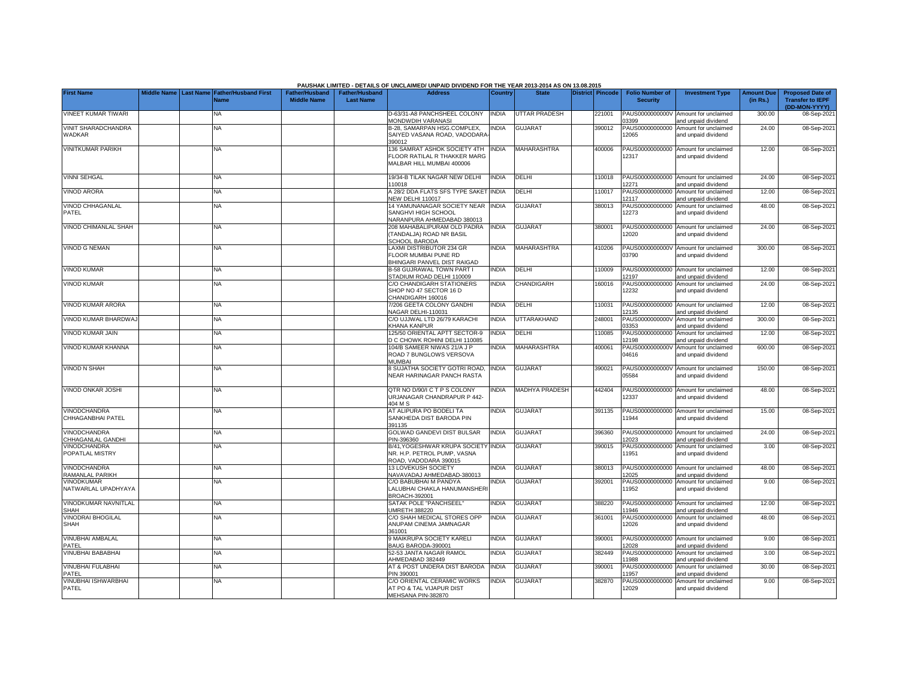|                                          |                    |                  |                                     |                                             |                                           | PAUSHAK LIMITED - DETAILS OF UNCLAIMED/ UNPAID DIVIDEND FOR THE YEAR 2013-2014 AS ON 13.08.2015 |              |                       |                         |                                           |                                                             |                               |                                                                     |
|------------------------------------------|--------------------|------------------|-------------------------------------|---------------------------------------------|-------------------------------------------|-------------------------------------------------------------------------------------------------|--------------|-----------------------|-------------------------|-------------------------------------------|-------------------------------------------------------------|-------------------------------|---------------------------------------------------------------------|
| <b>First Name</b>                        | <b>Middle Name</b> | <b>Last Name</b> | <b>Father/Husband First</b><br>Name | <b>Father/Husband</b><br><b>Middle Name</b> | <b>Father/Husband</b><br><b>Last Name</b> | <b>Address</b>                                                                                  | Country      | <b>State</b>          | <b>District Pincode</b> | <b>Folio Number of</b><br><b>Security</b> | <b>Investment Type</b>                                      | <b>Amount Due</b><br>(in Rs.) | <b>Proposed Date of</b><br><b>Transfer to IEPF</b><br>(DD-MON-YYYY) |
| <b>VINEET KUMAR TIWARI</b>               |                    |                  | NA                                  |                                             |                                           | D-63/31-A8 PANCHSHEEL COLONY<br>MONDWDIH VARANASI                                               | <b>INDIA</b> | <b>UTTAR PRADESH</b>  | 221001                  | PAUS0000000000V<br>03399                  | Amount for unclaimed<br>and unpaid dividend                 | 300.00                        | 08-Sep-2021                                                         |
| VINIT SHARADCHANDRA<br>WADKAR            |                    |                  | <b>NA</b>                           |                                             |                                           | B-28, SAMARPAN HSG.COMPLEX,<br>SAIYED VASANA ROAD, VADODARA<br>390012                           | <b>INDIA</b> | <b>GUJARAT</b>        | 390012                  | PAUS00000000000<br>12065                  | Amount for unclaimed<br>and unpaid dividend                 | 24.00                         | 08-Sep-2021                                                         |
| <b>VINITKUMAR PARIKH</b>                 |                    |                  | NA.                                 |                                             |                                           | 136 SAMRAT ASHOK SOCIETY 4TH<br>FLOOR RATILAL R THAKKER MARG<br>MALBAR HILL MUMBAI 400006       | <b>INDIA</b> | <b>MAHARASHTRA</b>    | 400006                  | PAUS00000000000<br>12317                  | Amount for unclaimed<br>and unpaid dividend                 | 12.00                         | 08-Sep-2021                                                         |
| <b>VINNI SEHGAL</b>                      |                    |                  | <b>NA</b>                           |                                             |                                           | 19/34-B TILAK NAGAR NEW DELHI<br>110018                                                         | <b>INDIA</b> | DELHI                 | 110018                  | PAUS00000000000<br>12271                  | Amount for unclaimed<br>and unpaid dividend                 | 24.00                         | 08-Sep-2021                                                         |
| <b>VINOD ARORA</b>                       |                    |                  | <b>NA</b>                           |                                             |                                           | A 28/2 DDA FLATS SFS TYPE SAKET INDIA<br><b>NEW DELHI 110017</b>                                |              | DELHI                 | 110017                  | PAUS00000000000<br>12117                  | Amount for unclaimed<br>and unpaid dividend                 | 12.00                         | 08-Sep-2021                                                         |
| VINOD CHHAGANLAL<br>PATEL                |                    |                  | <b>NA</b>                           |                                             |                                           | 14 YAMUNANAGAR SOCIETY NEAR<br>SANGHVI HIGH SCHOOL<br>NARANPURA AHMEDABAD 380013                | <b>INDIA</b> | <b>GUJARAT</b>        | 380013                  | PAUS00000000000<br>12273                  | Amount for unclaimed<br>and unpaid dividend                 | 48.00                         | 08-Sep-2021                                                         |
| VINOD CHIMANLAL SHAH                     |                    |                  | <b>NA</b>                           |                                             |                                           | 208 MAHABALIPURAM OLD PADRA<br>TANDALJA) ROAD NR BASIL<br><b>SCHOOL BARODA</b>                  | <b>INDIA</b> | <b>GUJARAT</b>        | 380001                  | PAUS00000000000<br>12020                  | Amount for unclaimed<br>and unpaid dividend                 | 24.00                         | 08-Sep-2021                                                         |
| <b>VINOD G NEMAN</b>                     |                    |                  | <b>NA</b>                           |                                             |                                           | AXMI DISTRIBUTOR 234 GR<br>FLOOR MUMBAI PUNE RD<br><b>BHINGARI PANVEL DIST RAIGAD</b>           | INDIA        | <b>MAHARASHTRA</b>    | 410206                  | 03790                                     | PAUS0000000000V Amount for unclaimed<br>and unpaid dividend | 300.00                        | 08-Sep-2021                                                         |
| <b>VINOD KUMAR</b>                       |                    |                  | NA                                  |                                             |                                           | <b>B-58 GUJRAWAL TOWN PART I</b><br>STADIUM ROAD DELHI 110009                                   | <b>NDIA</b>  | DELHI                 | 110009                  | PAUS00000000000<br>2197                   | Amount for unclaimed<br>and unpaid dividend                 | 12.00                         | 08-Sep-2021                                                         |
| <b>VINOD KUMAR</b>                       |                    |                  | NA                                  |                                             |                                           | C/O CHANDIGARH STATIONERS<br>SHOP NO 47 SECTOR 16 D<br>CHANDIGARH 160016                        | <b>INDIA</b> | CHANDIGARH            | 160016                  | PAUS00000000000<br>12232                  | Amount for unclaimed<br>and unpaid dividend                 | 24.00                         | 08-Sep-2021                                                         |
| <b>VINOD KUMAR ARORA</b>                 |                    |                  | <b>NA</b>                           |                                             |                                           | 7/206 GEETA COLONY GANDHI<br>NAGAR DELHI-110031                                                 | <b>INDIA</b> | <b>DELHI</b>          | 110031                  | PAUS00000000000<br>12135                  | Amount for unclaimed<br>and unpaid dividend                 | 12.00                         | 08-Sep-2021                                                         |
| VINOD KUMAR BHARDWA,                     |                    |                  | NA.                                 |                                             |                                           | C/O UJJWAL LTD 26/79 KARACHI<br><b>HANA KANPUR</b>                                              | <b>NDIA</b>  | UTTARAKHAND           | 248001                  | PAUS0000000000V<br>03353                  | Amount for unclaimed<br>and unpaid dividend                 | 300.00                        | 08-Sep-2021                                                         |
| VINOD KUMAR JAIN                         |                    |                  | NA.                                 |                                             |                                           | 125/50 ORIENTAL APTT SECTOR-9<br>C CHOWK ROHINI DELHI 110085                                    | INDIA        | DELHI                 | 110085                  | PAUS00000000000<br>12198                  | Amount for unclaimed<br>and unpaid dividend                 | 12.00                         | 08-Sep-2021                                                         |
| VINOD KUMAR KHANNA                       |                    |                  | <b>NA</b>                           |                                             |                                           | 104/B SAMEER NIWAS 21/A J P<br>ROAD 7 BUNGLOWS VERSOVA<br>MUMBAI                                | INDIA        | <b>MAHARASHTRA</b>    | 400061                  | PAUS0000000000V<br>04616                  | Amount for unclaimed<br>and unpaid dividend                 | 600.00                        | 08-Sep-2021                                                         |
| <b>VINOD N SHAH</b>                      |                    |                  | NA                                  |                                             |                                           | <b>B SUJATHA SOCIETY GOTRI ROAD,</b><br><b>NEAR HARINAGAR PANCH RASTA</b>                       | <b>INDIA</b> | <b>GUJARAT</b>        | 390021                  | PAUS0000000000V<br>05584                  | Amount for unclaimed<br>and unpaid dividend                 | 150.00                        | 08-Sep-2021                                                         |
| VINOD ONKAR JOSHI                        |                    |                  | NA                                  |                                             |                                           | QTR NO D/90/I C T P S COLONY<br>URJANAGAR CHANDRAPUR P 442-<br>404 M S                          | <b>NDIA</b>  | <b>MADHYA PRADESH</b> | 442404                  | PAUS00000000000<br>12337                  | Amount for unclaimed<br>and unpaid dividend                 | 48.00                         | 08-Sep-2021                                                         |
| <b>VINODCHANDRA</b><br>CHHAGANBHAI PATEL |                    |                  | <b>NA</b>                           |                                             |                                           | AT ALIPURA PO BODELI TA<br>SANKHEDA DIST BARODA PIN<br>391135                                   | <b>INDIA</b> | <b>GUJARAT</b>        | 391135                  | 11944                                     | PAUS00000000000 Amount for unclaimed<br>and unpaid dividend | 15.00                         | 08-Sep-2021                                                         |
| <b>VINODCHANDRA</b><br>CHHAGANLAL GANDHI |                    |                  | NA                                  |                                             |                                           | <b>GOLWAD GANDEVI DIST BULSAR</b><br>PIN-396360                                                 | INDIA        | <b>GUJARAT</b>        | 396360                  | 2023                                      | PAUS00000000000 Amount for unclaimed<br>and unpaid dividend | 24.00                         | 08-Sep-2021                                                         |
| VINODCHANDRA<br>POPATLAL MISTRY          |                    |                  | NA                                  |                                             |                                           | B/41, YOGESHWAR KRUPA SOCIETY<br>NR. H.P. PETROL PUMP, VASNA<br>ROAD, VADODARA 390015           | <b>INDIA</b> | <b>GUJARAT</b>        | 390015                  | PAUS00000000000<br>11951                  | Amount for unclaimed<br>and unpaid dividend                 | 3.00                          | 08-Sep-2021                                                         |
| VINODCHANDRA<br>RAMANLAL PARIKH          |                    |                  | <b>NA</b>                           |                                             |                                           | 13 LOVEKUSH SOCIETY<br>NAVAVADAJ AHMEDABAD-380013                                               | INDIA        | <b>GUJARAT</b>        | 380013                  | PAUS00000000000<br>2025                   | Amount for unclaimed<br>and unpaid dividend                 | 48.00                         | 08-Sep-2021                                                         |
| <b>VINODKUMAR</b><br>NATWARLAL UPADHYAYA |                    |                  | <b>NA</b>                           |                                             |                                           | C/O BABUBHAI M PANDYA<br>ALUBHAI CHAKLA HANUMANSHER<br>ROACH-392001                             | <b>NDIA</b>  | <b>GUJARAT</b>        | 392001                  | PAUS00000000000<br>11952                  | Amount for unclaimed<br>and unpaid dividend                 | 9.00                          | 08-Sep-2021                                                         |
| VINODKUMAR NAVNITLAL<br>SHAH             |                    |                  | NA                                  |                                             |                                           | SATAK POLE "PANCHSEEL"<br>JMRETH 388220                                                         | <b>NDIA</b>  | <b>GUJARAT</b>        | 388220                  | PAUS00000000000<br>1946                   | Amount for unclaimed<br>and unpaid dividend                 | 12.00                         | 08-Sep-2021                                                         |
| VINODRAI BHOGILAL<br>SHAH                |                    |                  | NA                                  |                                             |                                           | C/O SHAH MEDICAL STORES OPP<br>ANUPAM CINEMA JAMNAGAR<br>361001                                 | INDIA        | <b>GUJARAT</b>        | 361001                  | PAUS00000000000<br>12026                  | Amount for unclaimed<br>and unpaid dividend                 | 48.00                         | 08-Sep-2021                                                         |
| <b>VINUBHAI AMBALAL</b><br>PATEL         |                    |                  | <b>NA</b>                           |                                             |                                           | <b>9 MAIKRUPA SOCIETY KARELI</b><br><b>BAUG BARODA-390001</b>                                   | <b>INDIA</b> | <b>GUJARAT</b>        | 390001                  | 12028                                     | PAUS00000000000 Amount for unclaimed<br>and unpaid dividend | 9.00                          | 08-Sep-2021                                                         |
| VINUBHAI BABABHAI                        |                    |                  | NA.                                 |                                             |                                           | 52-53 JANTA NAGAR RAMOL<br>AHMEDABAD 382449                                                     | <b>NDIA</b>  | <b>GUJARAT</b>        | 382449                  | PAUS00000000000<br>1988                   | Amount for unclaimed<br>and unpaid dividend                 | 3.00                          | 08-Sep-2021                                                         |
| VINUBHAI FULABHAI<br>PATEL               |                    |                  | NA.                                 |                                             |                                           | AT & POST UNDERA DIST BARODA<br>PIN 390001                                                      | INDIA        | <b>GUJARAT</b>        | 390001                  | PAUS00000000000<br>11957                  | Amount for unclaimed<br>and unpaid dividend                 | 30.00                         | 08-Sep-2021                                                         |
| VINUBHAI ISHWARBHAI<br>PATEL             |                    |                  | <b>NA</b>                           |                                             |                                           | C/O ORIENTAL CERAMIC WORKS<br>AT PO & TAL VIJAPUR DIST<br>MEHSANA PIN-382870                    | <b>INDIA</b> | <b>GUJARAT</b>        | 382870                  | PAUS00000000000<br>12029                  | Amount for unclaimed<br>and unpaid dividend                 | 9.00                          | 08-Sep-2021                                                         |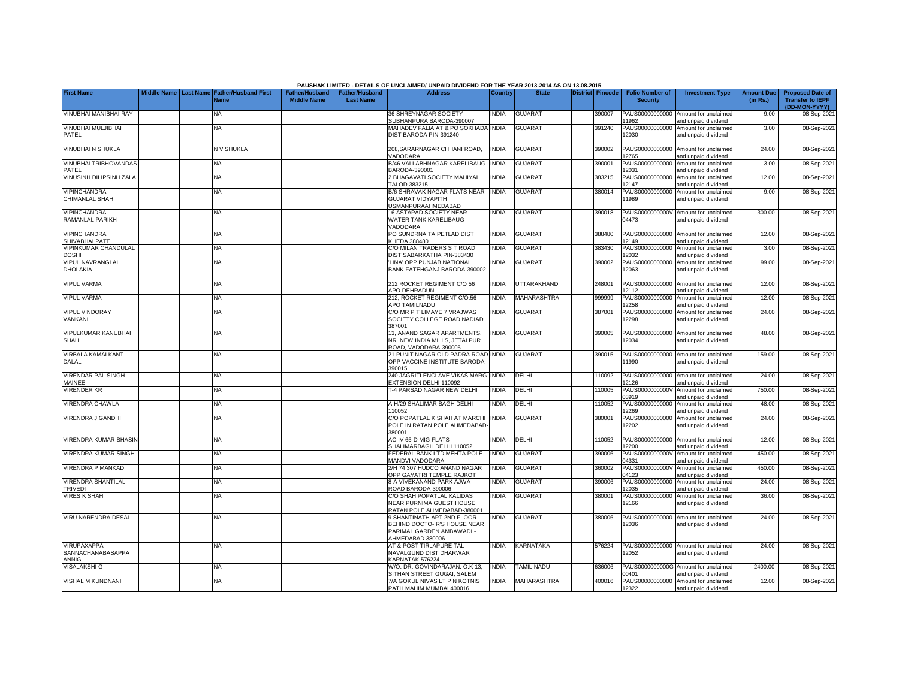|                                             |  |                                                    |                                             |                                    | PAUSHAK LIMITED - DETAILS OF UNCLAIMED/ UNPAID DIVIDEND FOR THE YEAR 2013-2014 AS ON 13.08.2015               |              |                    |                         |                                           |                                                             |                               |                                                    |
|---------------------------------------------|--|----------------------------------------------------|---------------------------------------------|------------------------------------|---------------------------------------------------------------------------------------------------------------|--------------|--------------------|-------------------------|-------------------------------------------|-------------------------------------------------------------|-------------------------------|----------------------------------------------------|
| <b>First Name</b>                           |  | Middle Name Last Name Father/Husband First<br>Name | <b>Father/Husband</b><br><b>Middle Name</b> | Father/Husband<br><b>Last Name</b> | <b>Address</b>                                                                                                | Country      | <b>State</b>       | <b>District Pincode</b> | <b>Folio Number of</b><br><b>Security</b> | <b>Investment Type</b>                                      | <b>Amount Due</b><br>(in Rs.) | <b>Proposed Date of</b><br><b>Transfer to IEPF</b> |
| VINUBHAI MANIBHAI RAY                       |  | NA                                                 |                                             |                                    | 36 SHREYNAGAR SOCIETY<br>SUBHANPURA BARODA-390007                                                             | INDIA        | <b>GUJARAT</b>     | 390007                  | PAUS00000000000<br>1962                   | Amount for unclaimed<br>and unpaid dividend                 | 9.00                          | (DD-MON-YYYY)<br>08-Sep-2021                       |
| VINUBHAI MULJIBHAI<br>PATEL                 |  | <b>NA</b>                                          |                                             |                                    | MAHADEV FALIA AT & PO SOKHADA INDIA<br>DIST BARODA PIN-391240                                                 |              | <b>GUJARAT</b>     | 391240                  | PAUS00000000000<br>12030                  | Amount for unclaimed<br>and unpaid dividend                 | 3.00                          | 08-Sep-2021                                        |
| <b>VINUBHAI N SHUKLA</b>                    |  | N V SHUKLA                                         |                                             |                                    | 208.SARARNAGAR CHHANI ROAD.<br>VADODARA                                                                       | <b>INDIA</b> | <b>GUJARAT</b>     | 390002                  | PAUS00000000000<br>12765                  | Amount for unclaimed<br>and unpaid dividend                 | 24.00                         | 08-Sep-2021                                        |
| <b>VINUBHAI TRIBHOVANDAS</b><br>PATEL       |  | NA                                                 |                                             |                                    | B/46 VALLABHNAGAR KARELIBAUG<br>BARODA-390001                                                                 | <b>INDIA</b> | <b>GUJARAT</b>     | 390001                  | PAUS00000000000<br>12031                  | Amount for unclaimed<br>and unpaid dividend                 | 3.00                          | 08-Sep-2021                                        |
| <b>VINUSINH DILIPSINH ZALA</b>              |  | NA                                                 |                                             |                                    | 2 BHAGAVATI SOCIETY MAHIYAL<br><b>TALOD 383215</b>                                                            | INDIA        | <b>GUJARAT</b>     | 383215                  | PAUS00000000000<br>12147                  | Amount for unclaimed<br>and unpaid dividend                 | 12.00                         | 08-Sep-2021                                        |
| <b>VIPINCHANDRA</b><br>CHIMANLAL SHAH       |  | NA                                                 |                                             |                                    | B/6 SHRAVAK NAGAR FLATS NEAR<br><b>GUJARAT VIDYAPITH</b><br><b>JSMANPURAAHMEDABAD</b>                         | <b>INDIA</b> | <b>GUJARAT</b>     | 380014                  | PAUS00000000000<br>11989                  | Amount for unclaimed<br>and unpaid dividend                 | 9.00                          | 08-Sep-2021                                        |
| <b>VIPINCHANDRA</b><br>RAMANLAL PARIKH      |  | NA                                                 |                                             |                                    | 16 ASTAPAD SOCIETY NEAR<br>WATER TANK KARELIBAUG<br>VADODARA                                                  | <b>INDIA</b> | <b>GUJARAT</b>     | 390018                  | PAUS0000000000V<br>04473                  | Amount for unclaimed<br>and unpaid dividend                 | 300.00                        | 08-Sep-2021                                        |
| <b>VIPINCHANDRA</b><br>SHIVABHAI PATEL      |  | NA                                                 |                                             |                                    | PO SUNDRNA TA PETLAD DIST<br>KHEDA 388480                                                                     | <b>INDIA</b> | <b>GUJARAT</b>     | 388480                  | 12149                                     | PAUS00000000000 Amount for unclaimed<br>and unpaid dividend | 12.00                         | 08-Sep-2021                                        |
| VIPINKUMAR CHANDULAL<br><b>DOSHI</b>        |  | NA                                                 |                                             |                                    | C/O MILAN TRADERS S T ROAD<br>DIST SABARKATHA PIN-383430                                                      | <b>INDIA</b> | <b>GUJARAT</b>     | 383430                  | PAUS00000000000<br>12032                  | Amount for unclaimed<br>and unpaid dividend                 | 3.00                          | 08-Sep-2021                                        |
| VIPUL NAVRANGLAL<br>DHOLAKIA                |  | NA                                                 |                                             |                                    | 'LINA' OPP PUNJAB NATIONAL<br>BANK FATEHGANJ BARODA-390002                                                    | <b>INDIA</b> | <b>GUJARAT</b>     | 390002                  | PAUS00000000000<br>12063                  | Amount for unclaimed<br>and unpaid dividend                 | 99.00                         | 08-Sep-2021                                        |
| <b>VIPUL VARMA</b>                          |  | NA                                                 |                                             |                                    | 212 ROCKET REGIMENT C/O 56<br>APO DEHRADUN                                                                    | <b>INDIA</b> | <b>UTTARAKHAND</b> | 248001                  | PAUS00000000000<br>2112                   | Amount for unclaimed<br>and unpaid dividend                 | 12.00                         | 08-Sep-2021                                        |
| <b>VIPUL VARMA</b>                          |  | NA                                                 |                                             |                                    | 212. ROCKET REGIMENT C/O.56<br><b>APO TAMILNADU</b>                                                           | <b>INDIA</b> | <b>MAHARASHTRA</b> | 999999                  | PAUS00000000000<br>12258                  | Amount for unclaimed<br>and unpaid dividend                 | 12.00                         | 08-Sep-2021                                        |
| <b>VIPUL VINDORAY</b><br>VANKANI            |  | NA                                                 |                                             |                                    | C/O MR P T LIMAYE 7 VRAJWAS<br>SOCIETY COLLEGE ROAD NADIAD<br>387001                                          | <b>INDIA</b> | <b>GUJARAT</b>     | 387001                  | PAUS00000000000<br>12298                  | Amount for unclaimed<br>and unpaid dividend                 | 24.00                         | 08-Sep-2021                                        |
| VIPULKUMAR KANUBHAI<br><b>SHAH</b>          |  | NA                                                 |                                             |                                    | 13, ANAND SAGAR APARTMENTS,<br>NR. NEW INDIA MILLS. JETALPUR<br>ROAD, VADODARA-390005                         | <b>INDIA</b> | <b>GUJARAT</b>     | 390005                  | PAUS00000000000<br>12034                  | Amount for unclaimed<br>and unpaid dividend                 | 48.00                         | 08-Sep-2021                                        |
| <b>VIRBALA KAMALKANT</b><br>DALAL           |  | <b>NA</b>                                          |                                             |                                    | 21 PUNIT NAGAR OLD PADRA ROAD INDIA<br>OPP VACCINE INSTITUTE BARODA<br>390015                                 |              | <b>GUJARAT</b>     | 390015                  | PAUS00000000000<br>11990                  | Amount for unclaimed<br>and unpaid dividend                 | 159.00                        | 08-Sep-2021                                        |
| <b>VIRENDAR PAL SINGH</b><br>MAINEE         |  | <b>NA</b>                                          |                                             |                                    | 240 JAGRITI ENCLAVE VIKAS MARG INDIA<br><b>EXTENSION DELHI 110092</b>                                         |              | DELHI              | 110092                  | 2126                                      | PAUS00000000000 Amount for unclaimed<br>and unpaid dividend | 24.00                         | 08-Sep-2021                                        |
| <b>VIRENDER KR</b>                          |  | NA                                                 |                                             |                                    | <b>-4 PARSAD NAGAR NEW DELHI</b>                                                                              | <b>INDIA</b> | DELHI              | 110005                  | PAUS0000000000V<br>3919                   | Amount for unclaimed<br>and unpaid dividend                 | 750.00                        | 08-Sep-2021                                        |
| VIRENDRA CHAWLA                             |  | <b>NA</b>                                          |                                             |                                    | A-H/29 SHALIMAR BAGH DELHI<br>110052                                                                          | <b>INDIA</b> | DELHI              | 110052                  | PAUS00000000000<br>12269                  | Amount for unclaimed<br>and unpaid dividend                 | 48.00                         | 08-Sep-2021                                        |
| VIRENDRA J GANDHI                           |  | NA                                                 |                                             |                                    | C/O POPATLAL K SHAH AT MARCHI<br>POLE IN RATAN POLE AHMEDABAD<br>380001                                       | <b>INDIA</b> | <b>GUJARAT</b>     | 380001                  | PAUS00000000000<br>12202                  | Amount for unclaimed<br>and unpaid dividend                 | 24.00                         | 08-Sep-2021                                        |
| VIRENDRA KUMAR BHASIN                       |  | NA                                                 |                                             |                                    | AC-IV 65-D MIG FLATS<br>SHALIMARBAGH DELHI 110052                                                             | INDIA        | <b>DELHI</b>       | 110052                  | 12200                                     | PAUS00000000000 Amount for unclaimed<br>and unpaid dividend | 12.00                         | 08-Sep-2021                                        |
| <b>VIRENDRA KUMAR SINGH</b>                 |  | NA                                                 |                                             |                                    | <b>EDERAL BANK LTD MEHTA POLE</b><br>MANDVI VADODARA                                                          | <b>INDIA</b> | <b>GUJARAT</b>     | 390006                  | PAUS0000000000V<br>04331                  | Amount for unclaimed<br>and unpaid dividend                 | 450.00                        | 08-Sep-2021                                        |
| VIRENDRA P MANKAD                           |  | NA                                                 |                                             |                                    | 2/H 74 307 HUDCO ANAND NAGAR<br><b>OPP GAYATRI TEMPLE RAJKOT</b>                                              | <b>INDIA</b> | <b>GUJARAT</b>     | 360002                  | PAUS0000000000V<br>04123                  | Amount for unclaimed<br>and unpaid dividend                 | 450.00                        | 08-Sep-2021                                        |
| <b>VIRENDRA SHANTILAL</b><br><b>TRIVEDI</b> |  | <b>NA</b>                                          |                                             |                                    | 8-A VIVEKANAND PARK AJWA<br>ROAD BARODA-390006                                                                | <b>INDIA</b> | <b>GUJARAT</b>     | 390006                  | PAUS00000000000<br>12035                  | Amount for unclaimed<br>and unpaid dividend                 | 24.00                         | 08-Sep-2021                                        |
| <b>VIRES K SHAH</b>                         |  | NA                                                 |                                             |                                    | C/O SHAH POPATLAL KALIDAS<br><b>NEAR PURNIMA GUEST HOUSE</b><br>RATAN POLE AHMEDABAD-380001                   | <b>INDIA</b> | <b>GUJARAT</b>     | 380001                  | PAUS00000000000<br>12166                  | Amount for unclaimed<br>and unpaid dividend                 | 36.00                         | 08-Sep-2021                                        |
| VIRU NARENDRA DESAI                         |  | NA                                                 |                                             |                                    | 9 SHANTINATH APT 2ND FLOOR<br>BEHIND DOCTO- R'S HOUSE NEAR<br>PARIMAL GARDEN AMBAWADI -<br>AHMEDABAD 380006 - | INDIA        | <b>GUJARAT</b>     | 380006                  | 12036                                     | PAUS00000000000 Amount for unclaimed<br>and unpaid dividend | 24.00                         | 08-Sep-2021                                        |
| VIRUPAXAPPA<br>SANNACHANABASAPPA<br>ANNIG   |  | NA                                                 |                                             |                                    | AT & POST TIRLAPURE TAL<br>NAVALGUND DIST DHARWAR<br>KARNATAK 576224                                          | <b>INDIA</b> | <b>KARNATAKA</b>   | 576224                  | 12052                                     | PAUS00000000000 Amount for unclaimed<br>and unpaid dividend | 24.00                         | 08-Sep-2021                                        |
| <b>VISALAKSHI G</b>                         |  | NA                                                 |                                             |                                    | W/O. DR. GOVINDARAJAN. O.K 13,<br>SITHAN STREET GUGAI, SALEM                                                  | <b>INDIA</b> | <b>TAMIL NADU</b>  | 636006                  | 0401                                      | PAUS0000000000G Amount for unclaimed<br>and unpaid dividend | 2400.00                       | 08-Sep-2021                                        |
| <b>VISHAL M KUNDNANI</b>                    |  | <b>NA</b>                                          |                                             |                                    | 7/A GOKUL NIVAS LT P N KOTNIS<br>PATH MAHIM MUMBAI 400016                                                     | <b>INDIA</b> | <b>MAHARASHTRA</b> | 400016                  | PAUS00000000000<br>12322                  | Amount for unclaimed<br>and unpaid dividend                 | 12.00                         | 08-Sep-2021                                        |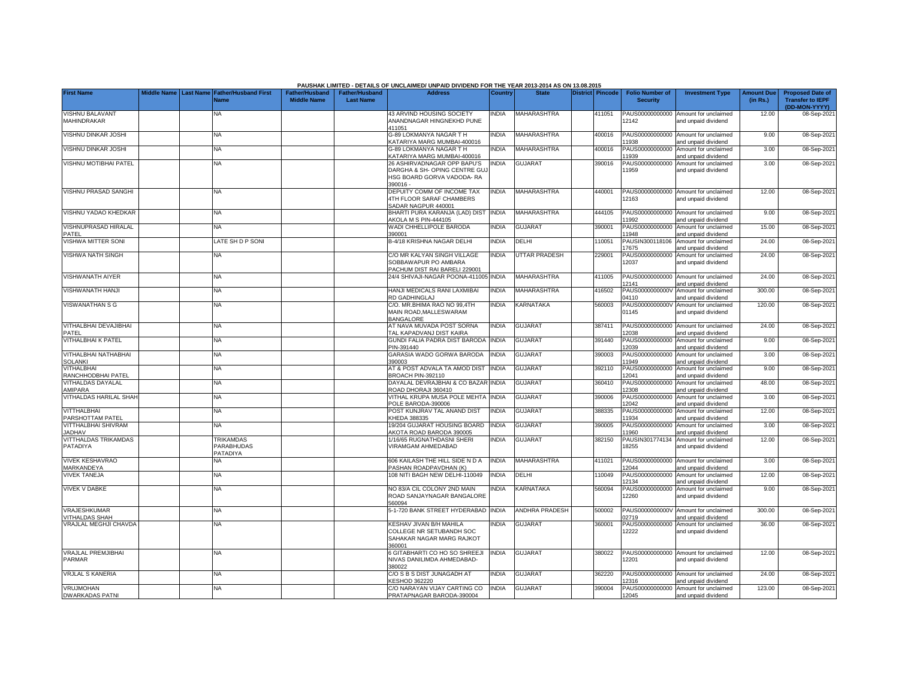|                                                |  |                                            |                       |                       | PAUSHAK LIMITED - DETAILS OF UNCLAIMED/ UNPAID DIVIDEND FOR THE YEAR 2013-2014 AS ON 13.08.2015 |                |                       |                  |                          |                                                             |                   |                                          |
|------------------------------------------------|--|--------------------------------------------|-----------------------|-----------------------|-------------------------------------------------------------------------------------------------|----------------|-----------------------|------------------|--------------------------|-------------------------------------------------------------|-------------------|------------------------------------------|
| <b>First Name</b>                              |  | Middle Name Last Name Father/Husband First | <b>Father/Husband</b> | <b>Father/Husband</b> | <b>Address</b>                                                                                  | <b>Country</b> | <b>State</b>          | District Pincode | <b>Folio Number of</b>   | <b>Investment Type</b>                                      | <b>Amount Due</b> | <b>Proposed Date of</b>                  |
|                                                |  | <b>Name</b>                                | <b>Middle Name</b>    | <b>Last Name</b>      |                                                                                                 |                |                       |                  | <b>Security</b>          |                                                             | (in Rs.)          | <b>Transfer to IEPF</b><br>(DD-MON-YYYY) |
| <b>VISHNU BALAVANT</b>                         |  | NA                                         |                       |                       | <b>43 ARVIND HOUSING SOCIETY</b>                                                                | <b>NDIA</b>    | <b>MAHARASHTRA</b>    | 411051           | PAUS00000000000          | Amount for unclaimed                                        | 12.00             | 08-Sep-202                               |
| MAHINDRAKAR                                    |  |                                            |                       |                       | ANANDNAGAR HINGNEKHD PUNE                                                                       |                |                       |                  | 12142                    | and unpaid dividend                                         |                   |                                          |
|                                                |  |                                            |                       |                       | 411051                                                                                          |                |                       |                  |                          |                                                             |                   |                                          |
| <b>VISHNU DINKAR JOSHI</b>                     |  | NA                                         |                       |                       | G-89 LOKMANYA NAGAR T H<br>KATARIYA MARG MUMBAI-400016                                          | <b>NDIA</b>    | <b>MAHARASHTRA</b>    | 400016           | PAUS00000000000<br>1938  | Amount for unclaimed<br>and unpaid dividend                 | 9.00              | 08-Sep-202                               |
| VISHNU DINKAR JOSHI                            |  | <b>NA</b>                                  |                       |                       | G-89 LOKMANYA NAGAR T H                                                                         | <b>NDIA</b>    | MAHARASHTRA           | 400016           | PAUS00000000000          | Amount for unclaimed                                        | 3.00              | 08-Sep-202                               |
|                                                |  |                                            |                       |                       | KATARIYA MARG MUMBAI-400016                                                                     |                |                       |                  | 1939                     | and unpaid dividend                                         |                   |                                          |
| VISHNU MOTIBHAI PATEL                          |  | <b>NA</b>                                  |                       |                       | 26 ASHIRVADNAGAR OPP BAPU'S                                                                     | NDIA           | <b>GUJARAT</b>        | 390016           |                          | PAUS00000000000 Amount for unclaimed                        | 3.00              | 08-Sep-202                               |
|                                                |  |                                            |                       |                       | DARGHA & SH- OPING CENTRE GU.<br>HSG BOARD GORVA VADODA- RA                                     |                |                       |                  | 11959                    | and unpaid dividend                                         |                   |                                          |
|                                                |  |                                            |                       |                       | 390016 -                                                                                        |                |                       |                  |                          |                                                             |                   |                                          |
| <b>VISHNU PRASAD SANGHI</b>                    |  | <b>NA</b>                                  |                       |                       | DEPUITY COMM OF INCOME TAX                                                                      | <b>INDIA</b>   | <b>MAHARASHTRA</b>    | 440001           |                          | PAUS00000000000 Amount for unclaimed                        | 12.00             | 08-Sep-202                               |
|                                                |  |                                            |                       |                       | <b>4TH FLOOR SARAF CHAMBERS</b>                                                                 |                |                       |                  | 12163                    | and unpaid dividend                                         |                   |                                          |
| <b>VISHNU YADAO KHEDKAR</b>                    |  | <b>NA</b>                                  |                       |                       | SADAR NAGPUR 440001<br>BHARTI PURA KARANJA (LAD) DIST                                           | <b>INDIA</b>   | MAHARASHTRA           | 444105           | PAUS00000000000          | Amount for unclaimed                                        | 9.00              | 08-Sep-202                               |
|                                                |  |                                            |                       |                       | AKOLA M S PIN-444105                                                                            |                |                       |                  | 1992                     | and unpaid dividend                                         |                   |                                          |
| VISHNUPRASAD HIRALAL                           |  | <b>NA</b>                                  |                       |                       | WADI CHHELLIPOLE BARODA                                                                         | <b>NDIA</b>    | <b>GUJARAT</b>        | 390001           | PAUS00000000000          | Amount for unclaimed                                        | 15.00             | 08-Sep-202                               |
| PATEL<br><b>VISHWA MITTER SONI</b>             |  | LATE SH D P SONI                           |                       |                       | 390001<br>B-4/18 KRISHNA NAGAR DELHI                                                            | <b>NDIA</b>    | DELHI                 |                  | 11948                    | and unpaid dividend<br>PAUSIN300118106 Amount for unclaimed | 24.00             |                                          |
|                                                |  |                                            |                       |                       |                                                                                                 |                |                       | 110051           | 17675                    | and unpaid dividend                                         |                   | 08-Sep-202                               |
| <b>VISHWA NATH SINGH</b>                       |  | <b>NA</b>                                  |                       |                       | C/O MR KALYAN SINGH VILLAGE                                                                     | <b>INDIA</b>   | <b>UTTAR PRADESH</b>  | 229001           |                          | PAUS00000000000 Amount for unclaimed                        | 24.00             | 08-Sep-2021                              |
|                                                |  |                                            |                       |                       | SOBBAWAPUR PO AMBARA                                                                            |                |                       |                  | 12037                    | and unpaid dividend                                         |                   |                                          |
| <b>VISHWANATH AIYER</b>                        |  | <b>NA</b>                                  |                       |                       | PACHUM DIST RAI BARELI 229001<br>24/4 SHIVAJI-NAGAR POONA-411005                                | <b>INDIA</b>   | MAHARASHTRA           | 411005           |                          | PAUS00000000000 Amount for unclaimed                        | 24.00             | 08-Sep-202                               |
|                                                |  |                                            |                       |                       |                                                                                                 |                |                       |                  | 12141                    | and unpaid dividend                                         |                   |                                          |
| <b>VISHWANATH HANJI</b>                        |  | <b>NA</b>                                  |                       |                       | HANJI MEDICALS RANI LAXMIBAI                                                                    | <b>NDIA</b>    | MAHARASHTRA           | 416502           | PAUS0000000000V          | Amount for unclaimed                                        | 300.00            | 08-Sep-202                               |
|                                                |  |                                            |                       |                       | RD GADHINGLAJ                                                                                   |                |                       |                  | 14110                    | and unpaid dividend                                         |                   |                                          |
| VISWANATHAN S G                                |  | NA                                         |                       |                       | C/O. MR.BHIMA RAO NO 99,4TH<br>MAIN ROAD, MALLESWARAM                                           | <b>NDIA</b>    | KARNATAKA             | 560003           | PAUS0000000000V<br>01145 | Amount for unclaimed<br>and unpaid dividend                 | 120.00            | 08-Sep-202                               |
|                                                |  |                                            |                       |                       | BANGALORE                                                                                       |                |                       |                  |                          |                                                             |                   |                                          |
| VITHALBHAI DEVAJIBHAI                          |  | <b>NA</b>                                  |                       |                       | AT NAVA MUVADA POST SORNA                                                                       | <b>NDIA</b>    | <b>GUJARAT</b>        | 387411           | PAUS00000000000          | Amount for unclaimed                                        | 24.00             | 08-Sep-202                               |
| PATEL                                          |  |                                            |                       |                       | TAL KAPADVANJ DIST KAIRA                                                                        |                |                       |                  | 12038                    | and unpaid dividend                                         |                   |                                          |
| VITHALBHAI K PATEL                             |  | <b>NA</b>                                  |                       |                       | GUNDI FALIA PADRA DIST BARODA INDIA<br>PIN-391440                                               |                | <b>GUJARAT</b>        | 391440           | PAUS00000000000<br>12039 | Amount for unclaimed<br>and unpaid dividend                 | 9.00              | 08-Sep-202                               |
| <b>VITHALBHAI NATHABHAI</b>                    |  | <b>NA</b>                                  |                       |                       | GARASIA WADO GORWA BARODA                                                                       | <b>INDIA</b>   | GUJARAT               | 390003           | PAUS00000000000          | Amount for unclaimed                                        | 3.00              | 08-Sep-202                               |
| <b>SOLANKI</b>                                 |  |                                            |                       |                       | 390003                                                                                          |                |                       |                  | 11949                    | and unpaid dividend                                         |                   |                                          |
| VITHALBHAI                                     |  | <b>NA</b>                                  |                       |                       | AT & POST ADVALA TA AMOD DIST                                                                   | <b>INDIA</b>   | <b>GUJARAT</b>        | 392110           | PAUS00000000000          | Amount for unclaimed                                        | 9.00              | 08-Sep-202                               |
| RANCHHODBHAI PATEL<br><b>VITHALDAS DAYALAL</b> |  | <b>NA</b>                                  |                       |                       | BROACH PIN-392110<br>DAYALAL DEVRAJBHAI & CO BAZAR INDIA                                        |                | <b>GUJARAT</b>        | 360410           | 12041<br>PAUS00000000000 | and unpaid dividend<br>Amount for unclaimed                 | 48.00             | 08-Sep-202                               |
| AMIPARA                                        |  |                                            |                       |                       | ROAD DHORAJI 360410                                                                             |                |                       |                  | 12308                    | and unpaid dividend                                         |                   |                                          |
| VITHALDAS HARILAL SHAH                         |  | NA                                         |                       |                       | VITHAL KRUPA MUSA POLE MEHTA                                                                    | <b>INDIA</b>   | GUJARAT               | 390006           | PAUS00000000000          | Amount for unclaimed                                        | 3.00              | 08-Sep-202                               |
|                                                |  |                                            |                       |                       | POLE BARODA-390006                                                                              |                |                       |                  | 2042                     | and unpaid dividend                                         |                   |                                          |
| <b>VITTHALBHAI</b><br>PARSHOTTAM PATEL         |  | <b>NA</b>                                  |                       |                       | POST KUNJRAV TAL ANAND DIST<br>KHEDA 388335                                                     | <b>NDIA</b>    | <b>GUJARAT</b>        | 388335           | PAUS00000000000<br>1934  | Amount for unclaimed<br>and unpaid dividend                 | 12.00             | 08-Sep-202                               |
| VITTHALBHAI SHIVRAM                            |  | <b>NA</b>                                  |                       |                       | 19/204 GUJARAT HOUSING BOARD                                                                    | <b>NDIA</b>    | <b>GUJARAT</b>        | 390005           | PAUS00000000000          | Amount for unclaimed                                        | 3.00              | 08-Sep-202                               |
| <b>JADHAV</b>                                  |  |                                            |                       |                       | AKOTA ROAD BARODA 390005                                                                        |                |                       |                  | 11960                    | and unpaid dividend                                         |                   |                                          |
| <b>VITTHALDAS TRIKAMDAS</b>                    |  | TRIKAMDAS<br>PARABHUDAS                    |                       |                       | 1/16/65 RUGNATHDASNI SHERI<br>VIRAMGAM AHMEDABAD                                                | <b>INDIA</b>   | <b>GUJARAT</b>        | 382150           | PAUSIN301774134<br>18255 | Amount for unclaimed                                        | 12.00             | 08-Sep-202                               |
| PATADIYA                                       |  | PATADIYA                                   |                       |                       |                                                                                                 |                |                       |                  |                          | and unpaid dividend                                         |                   |                                          |
| <b>VIVEK KESHAVRAO</b>                         |  | <b>NA</b>                                  |                       |                       | <b>606 KAILASH THE HILL SIDE N D A</b>                                                          | <b>INDIA</b>   | <b>MAHARASHTRA</b>    | 411021           |                          | PAUS00000000000 Amount for unclaimed                        | 3.00              | 08-Sep-202                               |
| MARKANDEYA                                     |  |                                            |                       |                       | PASHAN ROADPAVDHAN (K)                                                                          |                |                       |                  | 2044                     | and unpaid dividend                                         |                   |                                          |
| <b>VIVEK TANEJA</b>                            |  | <b>NA</b>                                  |                       |                       | 108 NITI BAGH NEW DELHI-110049                                                                  | <b>INDIA</b>   | DELHI                 | 110049           | PAUS00000000000<br>2134  | Amount for unclaimed<br>and unpaid dividend                 | 12.00             | 08-Sep-202                               |
| <b>VIVEK V DABKE</b>                           |  | <b>NA</b>                                  |                       |                       | NO 83/A CIL COLONY 2ND MAIN                                                                     | <b>NDIA</b>    | KARNATAKA             | 560094           | PAUS00000000000          | Amount for unclaimed                                        | 9.00              | 08-Sep-202                               |
|                                                |  |                                            |                       |                       | ROAD SANJAYNAGAR BANGALORE                                                                      |                |                       |                  | 12260                    | and unpaid dividend                                         |                   |                                          |
|                                                |  |                                            |                       |                       | 560094                                                                                          |                |                       |                  |                          |                                                             |                   |                                          |
| VRAJESHKUMAR<br>VITHALDAS SHAH                 |  | ΝA                                         |                       |                       | 5-1-720 BANK STREET HYDERABAD                                                                   | <b>INDIA</b>   | <b>ANDHRA PRADESH</b> | 500002           | PAUS0000000000V<br>2719  | Amount for unclaimed<br>and unpaid dividend                 | 300.00            | 08-Sep-202                               |
| VRAJLAL MEGHJI CHAVDA                          |  | ΝA                                         |                       |                       | KESHAV JIVAN B/H MAHILA                                                                         | <b>NDIA</b>    | <b>GUJARAT</b>        | 360001           | PAUS00000000000          | Amount for unclaimed                                        | 36.00             | 08-Sep-202                               |
|                                                |  |                                            |                       |                       | COLLEGE NR SETUBANDH SOC                                                                        |                |                       |                  | 12222                    | and unpaid dividend                                         |                   |                                          |
|                                                |  |                                            |                       |                       | SAHAKAR NAGAR MARG RAJKOT                                                                       |                |                       |                  |                          |                                                             |                   |                                          |
| <b>VRAJLAL PREMJIBHAI</b>                      |  | <b>NA</b>                                  |                       |                       | 360001<br><b>6 GITABHARTI CO HO SO SHREEJI</b>                                                  | <b>INDIA</b>   | <b>GUJARAT</b>        | 380022           |                          | PAUS00000000000 Amount for unclaimed                        | 12.00             | 08-Sep-2021                              |
| <b>PARMAR</b>                                  |  |                                            |                       |                       | NIVAS DANILIMDA AHMEDABAD-                                                                      |                |                       |                  | 12201                    | and unpaid dividend                                         |                   |                                          |
|                                                |  |                                            |                       |                       | 380022                                                                                          |                |                       |                  |                          |                                                             |                   |                                          |
| <b>VRJLAL S KANERIA</b>                        |  | <b>NA</b>                                  |                       |                       | C/O S B S DIST JUNAGADH AT<br><b>KESHOD 362220</b>                                              | <b>NDIA</b>    | <b>GUJARAT</b>        | 362220           | 2316                     | PAUS00000000000 Amount for unclaimed<br>and unpaid dividend | 24.00             | 08-Sep-202                               |
| VRUJMOHAN                                      |  | <b>NA</b>                                  |                       |                       | C/O NARAYAN VIJAY CARTING CO                                                                    | <b>INDIA</b>   | <b>GUJARAT</b>        | 390004           |                          | PAUS00000000000 Amount for unclaimed                        | 123.00            | 08-Sep-202                               |
| <b>DWARKADAS PATNI</b>                         |  |                                            |                       |                       | PRATAPNAGAR BARODA-390004                                                                       |                |                       |                  | 12045                    | and unpaid dividend                                         |                   |                                          |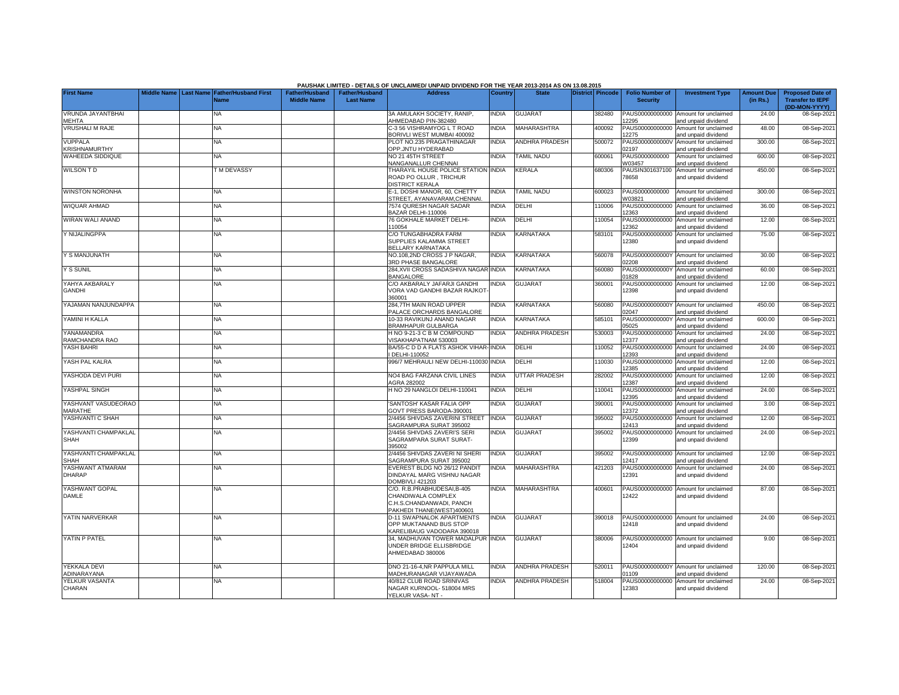|                                     |  |                                                |                       |                       | PAUSHAK LIMITED - DETAILS OF UNCLAIMED/ UNPAID DIVIDEND FOR THE YEAR 2013-2014 AS ON 13.08.2015 |                |                       |                         |                          |                                             |                   |                                          |
|-------------------------------------|--|------------------------------------------------|-----------------------|-----------------------|-------------------------------------------------------------------------------------------------|----------------|-----------------------|-------------------------|--------------------------|---------------------------------------------|-------------------|------------------------------------------|
| <b>First Name</b>                   |  | Middle Name   Last Name   Father/Husband First | <b>Father/Husband</b> | <b>Father/Husband</b> | <b>Address</b>                                                                                  | <b>Country</b> | <b>State</b>          | <b>District Pincode</b> | <b>Folio Number of</b>   | <b>Investment Type</b>                      | <b>Amount Due</b> | <b>Proposed Date of</b>                  |
|                                     |  | <b>Name</b>                                    | <b>Middle Name</b>    | <b>Last Name</b>      |                                                                                                 |                |                       |                         | <b>Security</b>          |                                             | (in Rs.)          | <b>Transfer to IEPF</b><br>(DD-MON-YYYY) |
| VRUNDA JAYANTBHAI                   |  | NA                                             |                       |                       | 3A AMULAKH SOCIETY, RANIP,                                                                      | <b>INDIA</b>   | <b>GUJARAT</b>        | 382480                  | PAUS00000000000          | Amount for unclaimed                        | 24.00             | 08-Sep-2021                              |
| <b>MEHTA</b>                        |  |                                                |                       |                       | AHMEDABAD PIN-382480                                                                            |                |                       |                         | 2295                     | and unpaid dividend                         |                   |                                          |
| <b>VRUSHALI M RAJE</b>              |  | ΝA                                             |                       |                       | C-3 56 VISHRAMYOG L T ROAD<br>BORIVLI WEST MUMBAI 400092                                        | <b>INDIA</b>   | <b>MAHARASHTRA</b>    | 400092                  | PAUS00000000000<br>12275 | Amount for unclaimed<br>and unpaid dividend | 48.00             | 08-Sep-2021                              |
| <b>VUPPALA</b>                      |  | <b>NA</b>                                      |                       |                       | PLOT NO.235 PRAGATHINAGAR                                                                       | <b>INDIA</b>   | <b>ANDHRA PRADESH</b> | 500072                  | PAUS0000000000V          | Amount for unclaimed                        | 300.00            | 08-Sep-2021                              |
| KRISHNAMURTHY                       |  |                                                |                       |                       | OPP.JNTU HYDERABAD                                                                              |                |                       |                         | 02197                    | and unpaid dividend                         |                   |                                          |
| WAHEEDA SIDDIQUE                    |  | <b>NA</b>                                      |                       |                       | NO 21 45TH STREET<br>NANGANALLUR CHENNAI                                                        | <b>INDIA</b>   | <b>TAMIL NADU</b>     | 600061                  | PAUS0000000000<br>W03457 | Amount for unclaimed<br>and unpaid dividend | 600.00            | 08-Sep-2021                              |
| <b>WILSON TD</b>                    |  | <b>MDEVASSY</b>                                |                       |                       | THARAYIL HOUSE POLICE STATION INDIA                                                             |                | <b>KERALA</b>         | 680306                  | PAUSIN301637100          | Amount for unclaimed                        | 450.00            | 08-Sep-2021                              |
|                                     |  |                                                |                       |                       | ROAD PO OLLUR, TRICHUR                                                                          |                |                       |                         | 78658                    | and unpaid dividend                         |                   |                                          |
| <b>WINSTON NORONHA</b>              |  | <b>NA</b>                                      |                       |                       | <b>DISTRICT KERALA</b><br>E-1, DOSHI MANOR, 60, CHETTY                                          | <b>NDIA</b>    | <b>TAMIL NADU</b>     | 600023                  | PAUS0000000000           | Amount for unclaimed                        | 300.00            | 08-Sep-2021                              |
|                                     |  |                                                |                       |                       | STREET, AYANAVARAM, CHENNAI.                                                                    |                |                       |                         | W03821                   | and unpaid dividend                         |                   |                                          |
| WIQUAR AHMAD                        |  | <b>NA</b>                                      |                       |                       | 7574 QURESH NAGAR SADAR<br>BAZAR DELHI-110006                                                   | <b>INDIA</b>   | DELHI                 | 110006                  | PAUS00000000000<br>12363 | Amount for unclaimed<br>and unpaid dividend | 36.00             | 08-Sep-2021                              |
| WIRAN WALI ANAND                    |  | NA                                             |                       |                       | 76 GOKHALE MARKET DELHI-                                                                        | INDIA          | DELHI                 | 110054                  | PAUS00000000000          | Amount for unclaimed                        | 12.00             | 08-Sep-2021                              |
|                                     |  |                                                |                       |                       | 110054                                                                                          |                |                       |                         | 12362                    | and unpaid dividend                         |                   |                                          |
| Y NIJALINGPPA                       |  | <b>NA</b>                                      |                       |                       | C/O TUNGABHADRA FARM<br>SUPPLIES KALAMMA STREET                                                 | <b>INDIA</b>   | KARNATAKA             | 583101                  | PAUS00000000000<br>12380 | Amount for unclaimed<br>and unpaid dividend | 75.00             | 08-Sep-2021                              |
|                                     |  |                                                |                       |                       | BELLARY KARNATAKA                                                                               |                |                       |                         |                          |                                             |                   |                                          |
| Y S MANJUNATH                       |  | <b>NA</b>                                      |                       |                       | NO.108.2ND CROSS J P NAGAR.                                                                     | <b>INDIA</b>   | <b>KARNATAKA</b>      | 560078                  |                          | PAUS0000000000Y Amount for unclaimed        | 30.00             | 08-Sep-2021                              |
| Y S SUNIL                           |  | <b>NA</b>                                      |                       |                       | 3RD PHASE BANGALORE<br>284, XVII CROSS SADASHIVA NAGAR INDIA                                    |                | KARNATAKA             | 560080                  | 02208<br>PAUS0000000000Y | hnebivib bisonu bns<br>Amount for unclaimed | 60.00             | 08-Sep-2021                              |
|                                     |  |                                                |                       |                       | <b>BANGALORE</b>                                                                                |                |                       |                         | 01828                    | and unpaid dividend                         |                   |                                          |
| YAHYA AKBARALY                      |  | NΑ                                             |                       |                       | C/O AKBARALY JAFARJI GANDHI                                                                     | <b>NDIA</b>    | <b>GUJARAT</b>        | 360001                  | PAUS00000000000          | Amount for unclaimed                        | 12.00             | 08-Sep-2021                              |
| <b>GANDHI</b>                       |  |                                                |                       |                       | VORA VAD GANDHI BAZAR RAJKOT<br>360001                                                          |                |                       |                         | 12398                    | and unpaid dividend                         |                   |                                          |
| YAJAMAN NANJUNDAPPA                 |  | <b>NA</b>                                      |                       |                       | 284,7TH MAIN ROAD UPPER                                                                         | <b>INDIA</b>   | KARNATAKA             | 560080                  | PAUS0000000000Y          | Amount for unclaimed                        | 450.00            | 08-Sep-2021                              |
|                                     |  |                                                |                       |                       | PALACE ORCHARDS BANGALORE                                                                       |                |                       |                         | 02047                    | and unpaid dividend                         |                   |                                          |
| YAMINI H KALLA                      |  | NA                                             |                       |                       | 10-33 RAVIKUNJ ANAND NAGAR<br><b>BRAMHAPUR GULBARGA</b>                                         | <b>INDIA</b>   | KARNATAKA             | 585101                  | PAUS0000000000Y<br>05025 | Amount for unclaimed<br>and unpaid dividend | 600.00            | 08-Sep-2021                              |
| YANAMANDRA                          |  | <b>NA</b>                                      |                       |                       | H NO 9-21-3 C B M COMPOUND                                                                      | <b>INDIA</b>   | <b>ANDHRA PRADESH</b> | 530003                  | PAUS00000000000          | Amount for unclaimed                        | 24.00             | 08-Sep-2021                              |
| RAMCHANDRA RAO<br>YASH BAHRI        |  |                                                |                       |                       | /ISAKHAPATNAM 530003                                                                            |                | DELHI                 |                         | 12377<br>PAUS00000000000 | and unpaid dividend                         |                   |                                          |
|                                     |  | <b>NA</b>                                      |                       |                       | BA/55-C D D A FLATS ASHOK VIHAR-INDIA<br>DELHI-110052                                           |                |                       | 110052                  | 12393                    | Amount for unclaimed<br>and unpaid dividend | 24.00             | 08-Sep-2021                              |
| YASH PAL KALRA                      |  | <b>NA</b>                                      |                       |                       | 996/7 MEHRAULI NEW DELHI-110030 INDIA                                                           |                | DELHI                 | 110030                  | PAUS00000000000          | Amount for unclaimed                        | 12.00             | 08-Sep-2021                              |
| YASHODA DEVI PURI                   |  | <b>NA</b>                                      |                       |                       | <b>NO4 BAG FARZANA CIVIL LINES</b>                                                              | <b>INDIA</b>   | <b>UTTAR PRADESH</b>  | 282002                  | 12385<br>PAUS00000000000 | and unpaid dividend                         | 12.00             | 08-Sep-2021                              |
|                                     |  |                                                |                       |                       | AGRA 282002                                                                                     |                |                       |                         | 12387                    | Amount for unclaimed<br>and unpaid dividend |                   |                                          |
| YASHPAL SINGH                       |  | NA                                             |                       |                       | H NO 29 NANGLOI DELHI-110041                                                                    | <b>INDIA</b>   | DELHI                 | 110041                  | PAUS00000000000          | Amount for unclaimed                        | 24.00             | 08-Sep-2021                              |
| YASHVANT VASUDEORAO                 |  | <b>NA</b>                                      |                       |                       | SANTOSH' KASAR FALIA OPP                                                                        | <b>INDIA</b>   | <b>GUJARAT</b>        | 390001                  | 2395<br>PAUS00000000000  | nd unpaid dividend<br>Amount for unclaimed  | 3.00              | 08-Sep-2021                              |
| MARATHE                             |  |                                                |                       |                       | GOVT PRESS BARODA-390001                                                                        |                |                       |                         | 2372                     | nd unpaid dividend                          |                   |                                          |
| YASHVANTI C SHAH                    |  | <b>NA</b>                                      |                       |                       | 2/4456 SHIVDAS ZAVERINI STREET                                                                  | <b>INDIA</b>   | <b>GUJARAT</b>        | 395002                  | PAUS00000000000          | Amount for unclaimed                        | 12.00             | 08-Sep-2021                              |
| YASHVANTI CHAMPAKLAL                |  | <b>NA</b>                                      |                       |                       | SAGRAMPURA SURAT 395002<br>2/4456 SHIVDAS ZAVERI'S SERI                                         | <b>NDIA</b>    | <b>GUJARAT</b>        | 395002                  | 2413<br>PAUS00000000000  | and unpaid dividend<br>Amount for unclaimed | 24.00             | 08-Sep-2021                              |
| <b>SHAH</b>                         |  |                                                |                       |                       | SAGRAMPARA SURAT SURAT-                                                                         |                |                       |                         | 12399                    | and unpaid dividend                         |                   |                                          |
|                                     |  |                                                |                       |                       | 395002                                                                                          |                |                       |                         |                          |                                             |                   |                                          |
| YASHVANTI CHAMPAKLAL<br><b>SHAH</b> |  | NA                                             |                       |                       | 2/4456 SHIVDAS ZAVERI NI SHERI<br>SAGRAMPURA SURAT 395002                                       | <b>INDIA</b>   | <b>GUJARAT</b>        | 395002                  | PAUS00000000000<br>2417  | Amount for unclaimed<br>and unpaid dividend | 12.00             | 08-Sep-2021                              |
| YASHWANT ATMARAM                    |  | NA                                             |                       |                       | EVEREST BLDG NO 26/12 PANDIT                                                                    | <b>NDIA</b>    | <b>MAHARASHTRA</b>    | 421203                  | PAUS00000000000          | Amount for unclaimed                        | 24.00             | 08-Sep-2021                              |
| <b>DHARAP</b>                       |  |                                                |                       |                       | DINDAYAL MARG VISHNU NAGAR<br><b>DOMBIVLI 421203</b>                                            |                |                       |                         | 12391                    | and unpaid dividend                         |                   |                                          |
| YASHWANT GOPAL                      |  | <b>NA</b>                                      |                       |                       | C/O. R.B.PRABHUDESAI,B-405                                                                      | <b>INDIA</b>   | <b>MAHARASHTRA</b>    | 400601                  |                          | PAUS00000000000 Amount for unclaimed        | 87.00             | 08-Sep-2021                              |
| <b>DAMLE</b>                        |  |                                                |                       |                       | CHANDIWALA COMPLEX                                                                              |                |                       |                         | 12422                    | and unpaid dividend                         |                   |                                          |
|                                     |  |                                                |                       |                       | C.H.S.CHANDANWADI, PANCH<br>PAKHEDI THANE(WEST)400601                                           |                |                       |                         |                          |                                             |                   |                                          |
| YATIN NARVERKAR                     |  | <b>NA</b>                                      |                       |                       | D-11 SWAPNALOK APARTMENTS                                                                       | <b>INDIA</b>   | <b>GUJARAT</b>        | 390018                  | PAUS00000000000          | Amount for unclaimed                        | 24.00             | 08-Sep-2021                              |
|                                     |  |                                                |                       |                       | OPP MUKTANAND BUS STOP                                                                          |                |                       |                         | 12418                    | and unpaid dividend                         |                   |                                          |
| YATIN P PATEL                       |  | NA                                             |                       |                       | KARELIBAUG VADODARA 390018<br>34, MADHUVAN TOWER MADALPUR INDIA                                 |                | <b>GUJARAT</b>        | 380006                  | PAUS00000000000          | Amount for unclaimed                        | 9.00              | 08-Sep-2021                              |
|                                     |  |                                                |                       |                       | UNDER BRIDGE ELLISBRIDGE                                                                        |                |                       |                         | 12404                    | and unpaid dividend                         |                   |                                          |
|                                     |  |                                                |                       |                       | AHMEDABAD 380006                                                                                |                |                       |                         |                          |                                             |                   |                                          |
| YEKKALA DEVI                        |  | <b>NA</b>                                      |                       |                       | DNO 21-16-4, NR PAPPULA MILL                                                                    | <b>INDIA</b>   | <b>ANDHRA PRADESH</b> | 520011                  |                          | PAUS0000000000Y Amount for unclaimed        | 120.00            | 08-Sep-2021                              |
| ADINARAYANA                         |  |                                                |                       |                       | MADHURANAGAR VIJAYAWADA                                                                         |                |                       |                         | 01109                    | and unpaid dividend                         |                   |                                          |
| YELKUR VASANTA<br>CHARAN            |  | <b>NA</b>                                      |                       |                       | 40/812 CLUB ROAD SRINIVAS<br>NAGAR KURNOOL- 518004 MRS                                          | <b>INDIA</b>   | <b>ANDHRA PRADESH</b> | 518004                  | PAUS00000000000<br>12383 | Amount for unclaimed<br>and unpaid dividend | 24.00             | 08-Sep-2021                              |
|                                     |  |                                                |                       |                       | YELKUR VASA- NT -                                                                               |                |                       |                         |                          |                                             |                   |                                          |